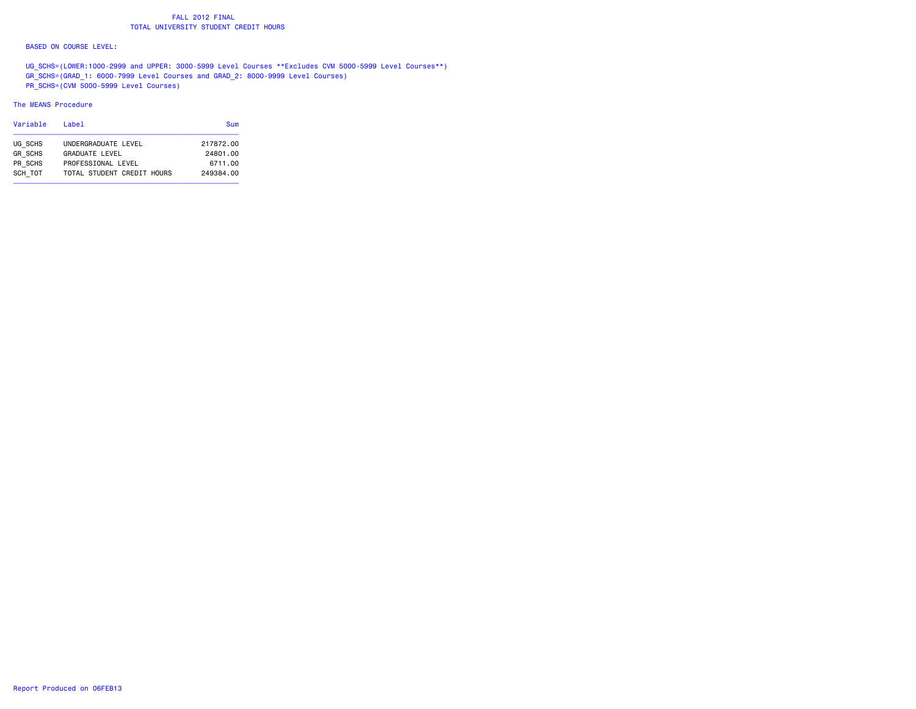## FALL 2012 FINALTOTAL UNIVERSITY STUDENT CREDIT HOURS

#### BASED ON COURSE LEVEL:

 UG\_SCHS=(LOWER:1000-2999 and UPPER: 3000-5999 Level Courses \*\*Excludes CVM 5000-5999 Level Courses\*\*) GR\_SCHS=(GRAD\_1: 6000-7999 Level Courses and GRAD\_2: 8000-9999 Level Courses) PR\_SCHS=(CVM 5000-5999 Level Courses)

#### The MEANS Procedure

| Variable       | Label                      | Sum       |
|----------------|----------------------------|-----------|
| UG SCHS        | UNDERGRADUATE LEVEL        | 217872.00 |
| <b>GR SCHS</b> | <b>GRADUATE LEVEL</b>      | 24801.00  |
| PR SCHS        | PROFESSIONAL LEVEL         | 6711.00   |
| SCH TOT        | TOTAL STUDENT CREDIT HOURS | 249384.00 |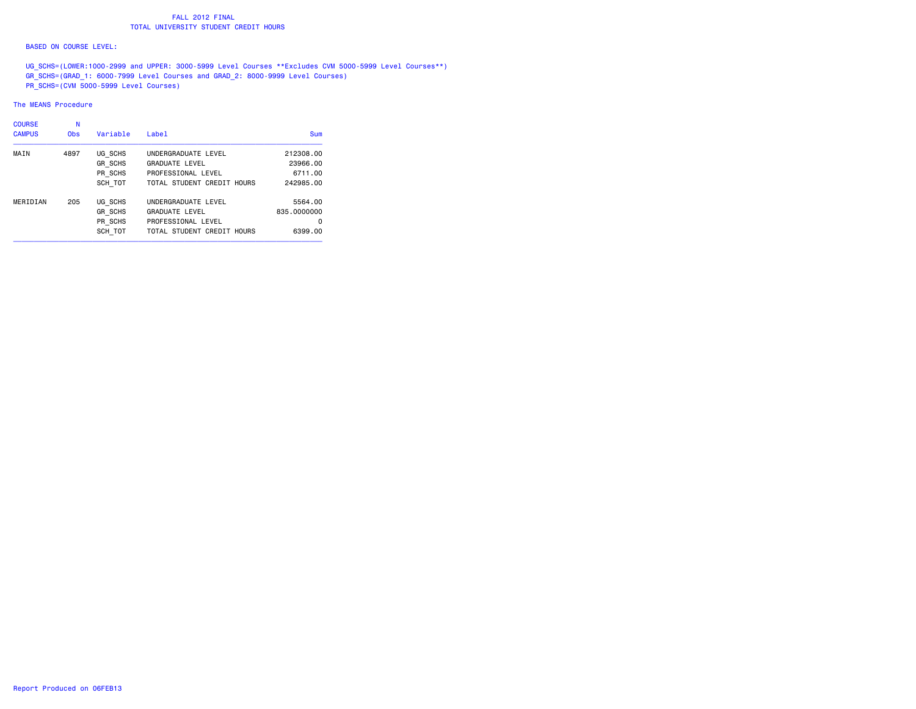## FALL 2012 FINALTOTAL UNIVERSITY STUDENT CREDIT HOURS

#### BASED ON COURSE LEVEL:

 UG\_SCHS=(LOWER:1000-2999 and UPPER: 3000-5999 Level Courses \*\*Excludes CVM 5000-5999 Level Courses\*\*) GR\_SCHS=(GRAD\_1: 6000-7999 Level Courses and GRAD\_2: 8000-9999 Level Courses) PR\_SCHS=(CVM 5000-5999 Level Courses)

#### The MEANS Procedure

| <b>COURSE</b> | N          |                |                            |             |
|---------------|------------|----------------|----------------------------|-------------|
| <b>CAMPUS</b> | <b>Obs</b> | Variable       | Label                      | Sum         |
| MAIN          | 4897       | UG SCHS        | UNDERGRADUATE LEVEL        | 212308.00   |
|               |            | <b>GR SCHS</b> | <b>GRADUATE LEVEL</b>      | 23966.00    |
|               |            | PR SCHS        | PROFESSIONAL LEVEL         | 6711.00     |
|               |            | SCH TOT        | TOTAL STUDENT CREDIT HOURS | 242985.00   |
| MERIDIAN      | 205        | UG SCHS        | UNDERGRADUATE LEVEL        | 5564.00     |
|               |            | <b>GR SCHS</b> | <b>GRADUATE LEVEL</b>      | 835,0000000 |
|               |            | PR SCHS        | PROFESSIONAL LEVEL         | 0           |
|               |            | SCH TOT        | TOTAL STUDENT CREDIT HOURS | 6399.00     |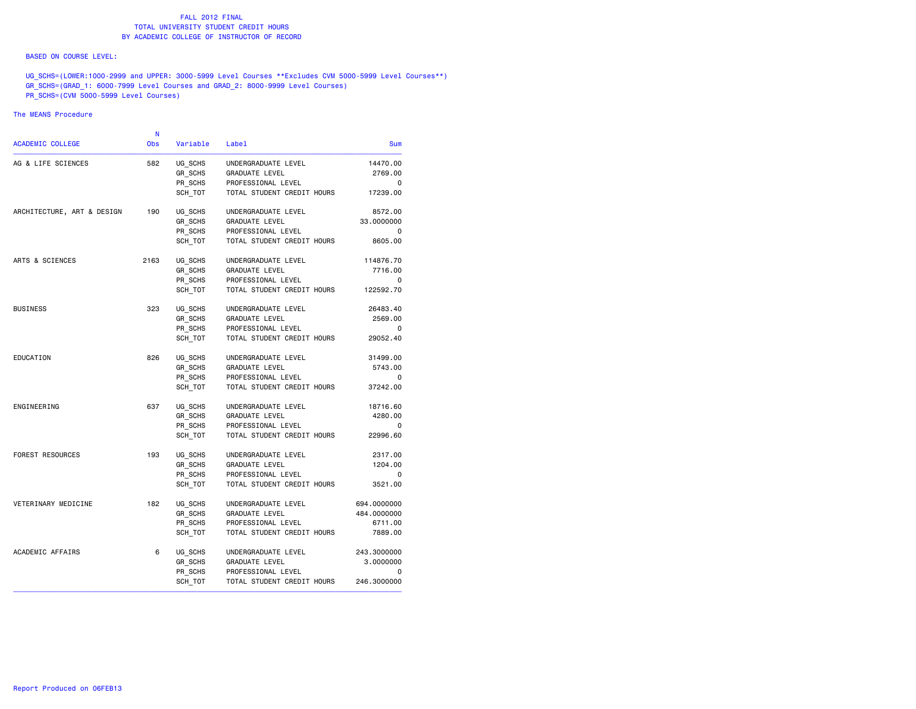#### BASED ON COURSE LEVEL:

UG\_SCHS=(LOWER:1000-2999 and UPPER: 3000-5999 Level Courses \*\*Excludes CVM 5000-5999 Level Courses\*\*) GR\_SCHS=(GRAD\_1: 6000-7999 Level Courses and GRAD\_2: 8000-9999 Level Courses) PR\_SCHS=(CVM 5000-5999 Level Courses)

### The MEANS Procedure

|             |                            |          | N          |                            |
|-------------|----------------------------|----------|------------|----------------------------|
| <b>Sum</b>  | Label                      | Variable | <b>Obs</b> | <b>ACADEMIC COLLEGE</b>    |
| 14470.00    | UNDERGRADUATE LEVEL        | UG_SCHS  | 582        | AG & LIFE SCIENCES         |
| 2769.00     | <b>GRADUATE LEVEL</b>      | GR SCHS  |            |                            |
| 0           | PROFESSIONAL LEVEL         | PR SCHS  |            |                            |
| 17239.00    | TOTAL STUDENT CREDIT HOURS | SCH_TOT  |            |                            |
| 8572.00     | UNDERGRADUATE LEVEL        | UG SCHS  | 190        | ARCHITECTURE, ART & DESIGN |
| 33.0000000  | GRADUATE LEVEL             | GR SCHS  |            |                            |
| $\Omega$    | PROFESSIONAL LEVEL         | PR SCHS  |            |                            |
| 8605.00     | TOTAL STUDENT CREDIT HOURS | SCH TOT  |            |                            |
| 114876.70   | UNDERGRADUATE LEVEL        | UG SCHS  | 2163       | ARTS & SCIENCES            |
| 7716.00     | GRADUATE LEVEL             | GR SCHS  |            |                            |
| 0           | PROFESSIONAL LEVEL         | PR SCHS  |            |                            |
| 122592.70   | TOTAL STUDENT CREDIT HOURS | SCH TOT  |            |                            |
| 26483.40    | UNDERGRADUATE LEVEL        | UG SCHS  | 323        | <b>BUSINESS</b>            |
| 2569.00     | GRADUATE LEVEL             | GR_SCHS  |            |                            |
| 0           | PROFESSIONAL LEVEL         | PR SCHS  |            |                            |
| 29052.40    | TOTAL STUDENT CREDIT HOURS | SCH TOT  |            |                            |
| 31499.00    | UNDERGRADUATE LEVEL        | UG SCHS  | 826        | EDUCATION                  |
| 5743.00     | <b>GRADUATE LEVEL</b>      | GR_SCHS  |            |                            |
| 0           | PROFESSIONAL LEVEL         | PR SCHS  |            |                            |
| 37242.00    | TOTAL STUDENT CREDIT HOURS | SCH TOT  |            |                            |
| 18716.60    | UNDERGRADUATE LEVEL        | UG SCHS  | 637        | ENGINEERING                |
| 4280.00     | <b>GRADUATE LEVEL</b>      | GR SCHS  |            |                            |
| 0           | PROFESSIONAL LEVEL         | PR_SCHS  |            |                            |
| 22996.60    | TOTAL STUDENT CREDIT HOURS | SCH_TOT  |            |                            |
| 2317.00     | UNDERGRADUATE LEVEL        | UG SCHS  | 193        | FOREST RESOURCES           |
| 1204.00     | GRADUATE LEVEL             | GR SCHS  |            |                            |
| $\Omega$    | PROFESSIONAL LEVEL         | PR SCHS  |            |                            |
| 3521.00     | TOTAL STUDENT CREDIT HOURS | SCH TOT  |            |                            |
| 694.0000000 | UNDERGRADUATE LEVEL        | UG_SCHS  | 182        | VETERINARY MEDICINE        |
| 484.0000000 | GRADUATE LEVEL             | GR SCHS  |            |                            |
| 6711.00     | PROFESSIONAL LEVEL         | PR SCHS  |            |                            |
| 7889.00     | TOTAL STUDENT CREDIT HOURS | SCH TOT  |            |                            |
| 243.3000000 | UNDERGRADUATE LEVEL        | UG SCHS  | 6          | ACADEMIC AFFAIRS           |
| 3.0000000   | <b>GRADUATE LEVEL</b>      | GR_SCHS  |            |                            |
| 0           | PROFESSIONAL LEVEL         | PR SCHS  |            |                            |
| 246,3000000 | TOTAL STUDENT CREDIT HOURS | SCH_TOT  |            |                            |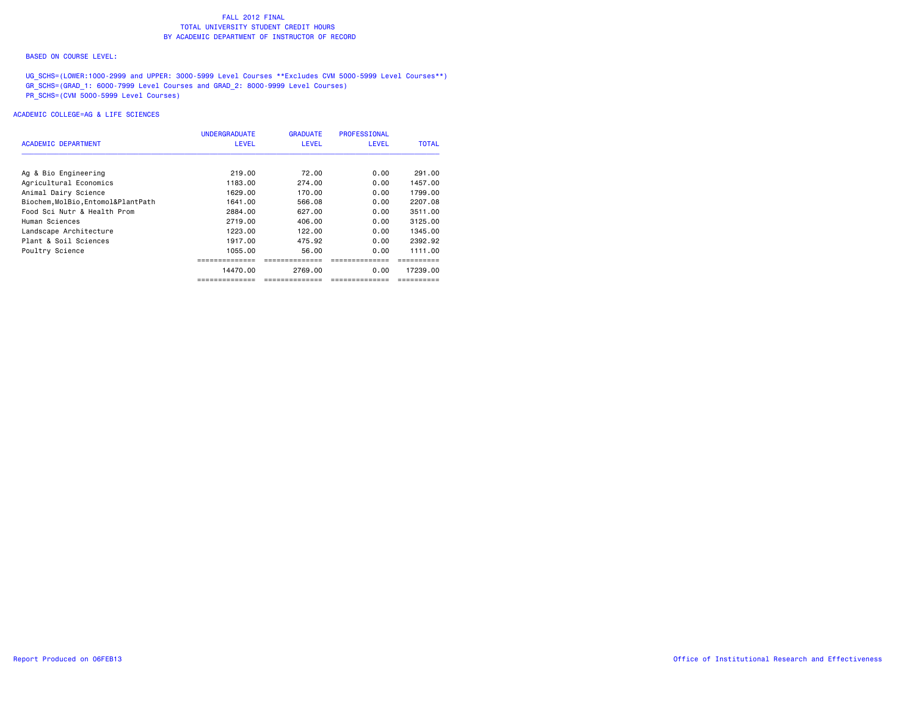#### BASED ON COURSE LEVEL:

UG\_SCHS=(LOWER:1000-2999 and UPPER: 3000-5999 Level Courses \*\*Excludes CVM 5000-5999 Level Courses\*\*) GR\_SCHS=(GRAD\_1: 6000-7999 Level Courses and GRAD\_2: 8000-9999 Level Courses) PR\_SCHS=(CVM 5000-5999 Level Courses)

## ACADEMIC COLLEGE=AG & LIFE SCIENCES

|                                    | <b>UNDERGRADUATE</b> | <b>GRADUATE</b> | <b>PROFESSIONAL</b> | <b>TOTAL</b> |
|------------------------------------|----------------------|-----------------|---------------------|--------------|
| ACADEMIC DEPARTMENT                | <b>LEVEL</b>         | <b>LEVEL</b>    | LEVEL               |              |
| Ag & Bio Engineering               | 219,00               | 72.00           | 0.00                | 291.00       |
| Agricultural Economics             | 1183.00              | 274.00          | 0.00                | 1457.00      |
| Animal Dairy Science               | 1629.00              | 170.00          | 0.00                | 1799.00      |
| Biochem, MolBio, Entomol&PlantPath | 1641.00              | 566.08          | 0.00                | 2207.08      |
| Food Sci Nutr & Health Prom        | 2884.00              | 627.00          | 0.00                | 3511.00      |
| Human Sciences                     | 2719.00              | 406.00          | 0.00                | 3125,00      |
| Landscape Architecture             | 1223.00              | 122.00          | 0.00                | 1345.00      |
| Plant & Soil Sciences              | 1917.00              | 475.92          | 0.00                | 2392.92      |
| Poultry Science                    | 1055.00              | 56.00           | 0.00                | 1111.00      |
|                                    |                      |                 |                     |              |
|                                    | 14470.00             | 2769.00         | 0.00                | 17239.00     |
|                                    |                      |                 |                     |              |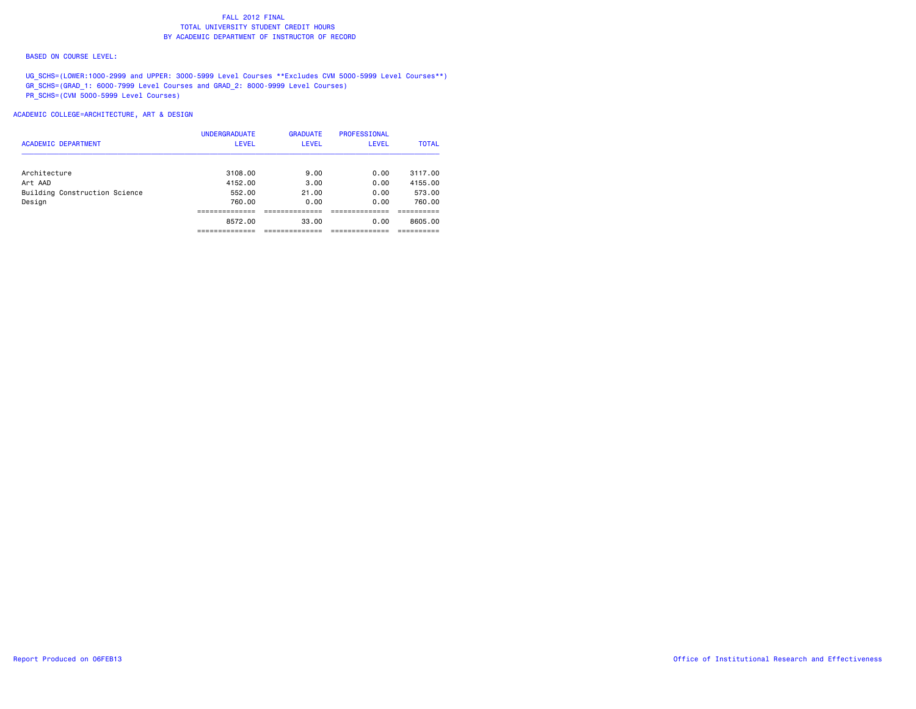#### BASED ON COURSE LEVEL:

UG\_SCHS=(LOWER:1000-2999 and UPPER: 3000-5999 Level Courses \*\*Excludes CVM 5000-5999 Level Courses\*\*) GR\_SCHS=(GRAD\_1: 6000-7999 Level Courses and GRAD\_2: 8000-9999 Level Courses) PR\_SCHS=(CVM 5000-5999 Level Courses)

|                               | <b>UNDERGRADUATE</b> | <b>GRADUATE</b> | PROFESSIONAL |              |
|-------------------------------|----------------------|-----------------|--------------|--------------|
| <b>ACADEMIC DEPARTMENT</b>    | <b>LEVEL</b>         | <b>LEVEL</b>    | <b>LEVEL</b> | <b>TOTAL</b> |
| Architecture                  | 3108.00              | 9.00            | 0.00         | 3117.00      |
| Art AAD                       | 4152.00              | 3.00            | 0.00         | 4155.00      |
| Building Construction Science | 552.00               | 21.00           | 0.00         | 573.00       |
| Design                        | 760.00               | 0.00            | 0.00         | 760.00       |
|                               |                      |                 |              |              |
|                               | 8572.00              | 33.00           | 0.00         | 8605.00      |
|                               |                      |                 |              |              |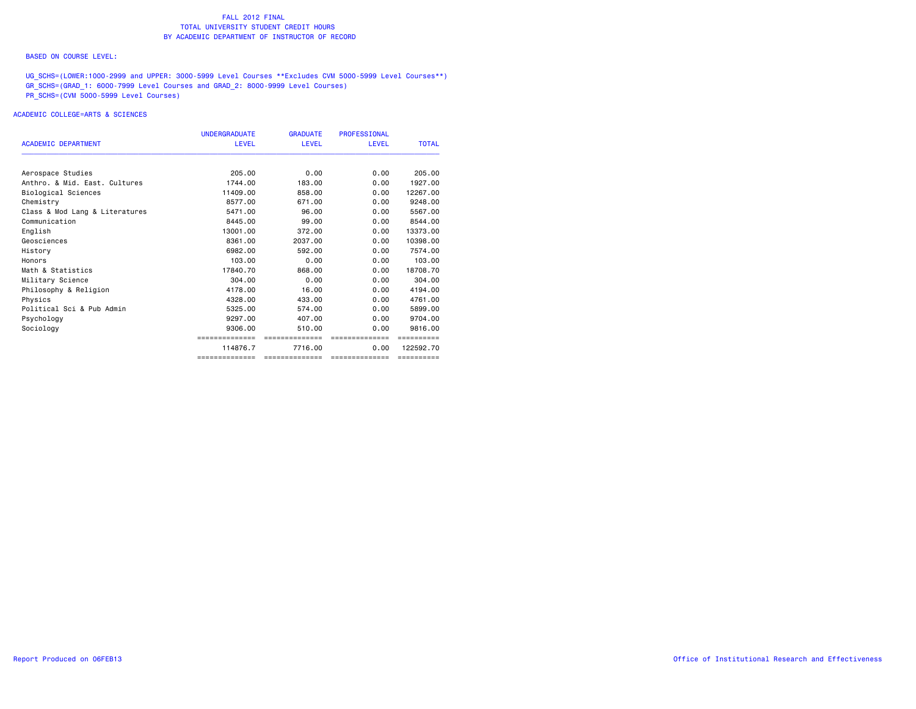#### BASED ON COURSE LEVEL:

UG\_SCHS=(LOWER:1000-2999 and UPPER: 3000-5999 Level Courses \*\*Excludes CVM 5000-5999 Level Courses\*\*) GR\_SCHS=(GRAD\_1: 6000-7999 Level Courses and GRAD\_2: 8000-9999 Level Courses) PR\_SCHS=(CVM 5000-5999 Level Courses)

## ACADEMIC COLLEGE=ARTS & SCIENCES

|                                | <b>UNDERGRADUATE</b> | <b>GRADUATE</b> | <b>PROFESSIONAL</b> |              |
|--------------------------------|----------------------|-----------------|---------------------|--------------|
| <b>ACADEMIC DEPARTMENT</b>     | <b>LEVEL</b>         | <b>LEVEL</b>    | <b>LEVEL</b>        | <b>TOTAL</b> |
| Aerospace Studies              | 205,00               | 0.00            | 0.00                | 205,00       |
| Anthro, & Mid. East. Cultures  | 1744.00              | 183.00          | 0.00                | 1927.00      |
| Biological Sciences            | 11409.00             | 858,00          | 0.00                | 12267.00     |
| Chemistry                      | 8577.00              | 671.00          | 0.00                | 9248.00      |
| Class & Mod Lang & Literatures | 5471.00              | 96.00           | 0.00                | 5567.00      |
| Communication                  | 8445.00              | 99.00           | 0.00                | 8544.00      |
| English                        | 13001.00             | 372.00          | 0.00                | 13373.00     |
| Geosciences                    | 8361.00              | 2037.00         | 0.00                | 10398.00     |
| History                        | 6982.00              | 592.00          | 0.00                | 7574.00      |
| Honors                         | 103.00               | 0.00            | 0.00                | 103,00       |
| Math & Statistics              | 17840.70             | 868.00          | 0.00                | 18708.70     |
| Military Science               | 304.00               | 0.00            | 0.00                | 304.00       |
| Philosophy & Religion          | 4178.00              | 16.00           | 0.00                | 4194.00      |
| Physics                        | 4328.00              | 433,00          | 0.00                | 4761.00      |
| Political Sci & Pub Admin      | 5325.00              | 574.00          | 0.00                | 5899.00      |
| Psychology                     | 9297.00              | 407.00          | 0.00                | 9704.00      |
| Sociology                      | 9306.00              | 510.00          | 0.00                | 9816.00      |
|                                | ==============       | ==============  | ==============      | ==========   |
|                                | 114876.7             | 7716.00         | 0.00                | 122592.70    |
|                                | --------------       | ==============  | ==============      | ==========   |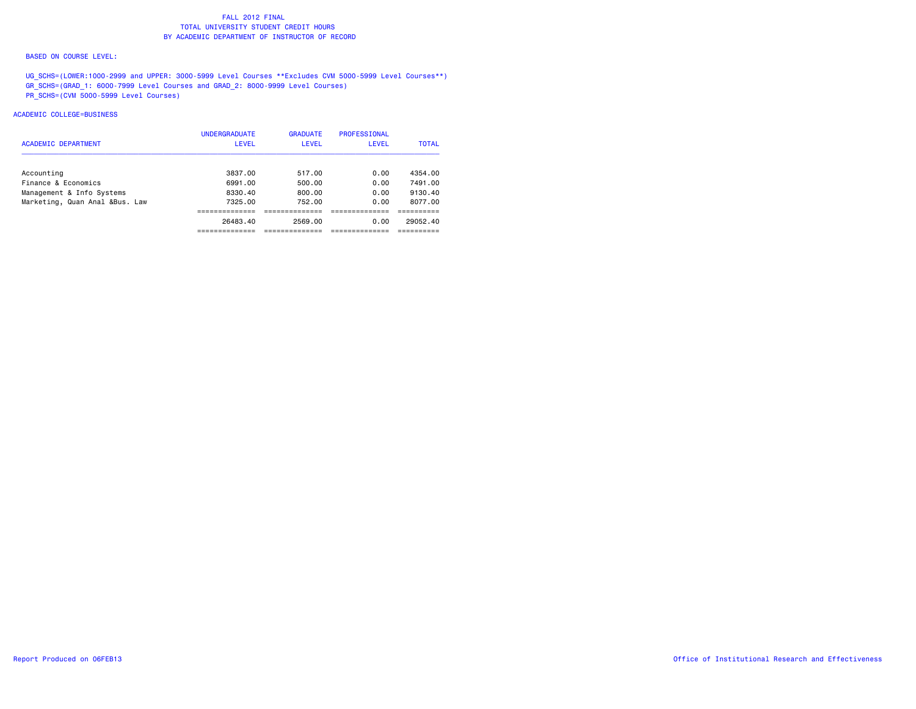#### BASED ON COURSE LEVEL:

UG\_SCHS=(LOWER:1000-2999 and UPPER: 3000-5999 Level Courses \*\*Excludes CVM 5000-5999 Level Courses\*\*) GR\_SCHS=(GRAD\_1: 6000-7999 Level Courses and GRAD\_2: 8000-9999 Level Courses) PR\_SCHS=(CVM 5000-5999 Level Courses)

## ACADEMIC COLLEGE=BUSINESS

| <b>ACADEMIC DEPARTMENT</b>     | <b>UNDERGRADUATE</b><br><b>LEVEL</b> | <b>GRADUATE</b><br>LEVEL | <b>PROFESSIONAL</b><br><b>LEVEL</b> | <b>TOTAL</b> |
|--------------------------------|--------------------------------------|--------------------------|-------------------------------------|--------------|
|                                |                                      |                          |                                     |              |
| Accounting                     | 3837.00                              | 517.00                   | 0.00                                | 4354.00      |
| Finance & Economics            | 6991.00                              | 500.00                   | 0.00                                | 7491.00      |
| Management & Info Systems      | 8330.40                              | 800.00                   | 0.00                                | 9130.40      |
| Marketing, Quan Anal &Bus. Law | 7325.00                              | 752.00                   | 0.00                                | 8077.00      |
|                                |                                      |                          |                                     |              |
|                                | 26483.40                             | 2569.00                  | 0.00                                | 29052.40     |
|                                |                                      |                          |                                     |              |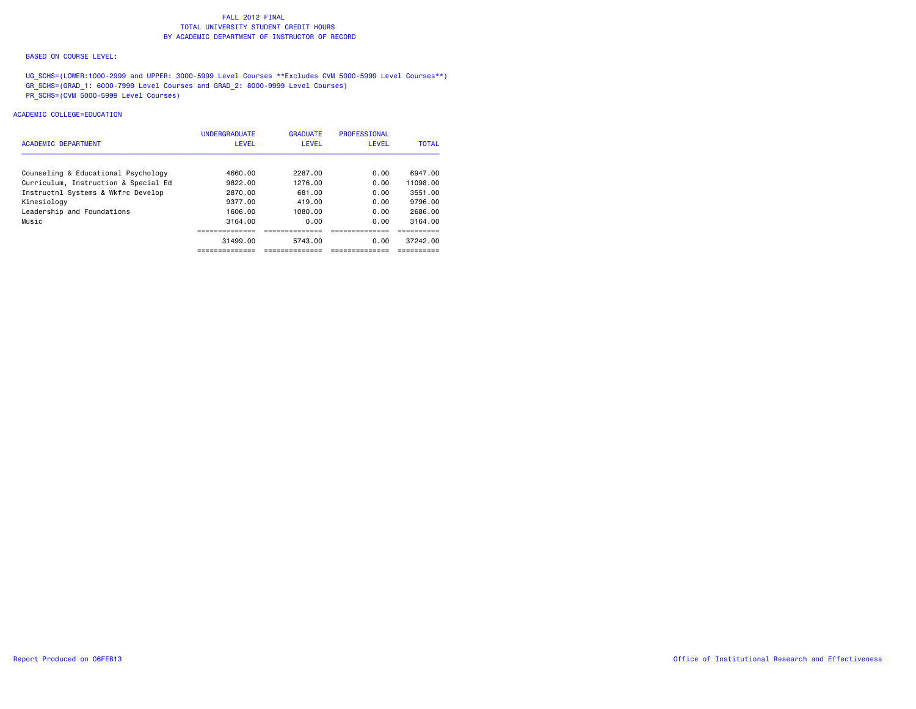#### BASED ON COURSE LEVEL:

UG\_SCHS=(LOWER:1000-2999 and UPPER: 3000-5999 Level Courses \*\*Excludes CVM 5000-5999 Level Courses\*\*) GR\_SCHS=(GRAD\_1: 6000-7999 Level Courses and GRAD\_2: 8000-9999 Level Courses) PR\_SCHS=(CVM 5000-5999 Level Courses)

## ACADEMIC COLLEGE=EDUCATION

| <b>ACADEMIC DEPARTMENT</b>           | <b>UNDERGRADUATE</b><br><b>LEVEL</b> | <b>GRADUATE</b><br>LEVEL | <b>PROFESSIONAL</b><br>LEVEL | <b>TOTAL</b> |
|--------------------------------------|--------------------------------------|--------------------------|------------------------------|--------------|
| Counseling & Educational Psychology  | 4660.00                              | 2287.00                  | 0.00                         | 6947.00      |
| Curriculum, Instruction & Special Ed | 9822.00                              | 1276.00                  | 0.00                         | 11098.00     |
| Instructnl Systems & Wkfrc Develop   | 2870.00                              | 681.00                   | 0.00                         | 3551.00      |
| Kinesiology                          | 9377.00                              | 419.00                   | 0.00                         | 9796.00      |
| Leadership and Foundations           | 1606.00                              | 1080.00                  | 0.00                         | 2686.00      |
| Music                                | 3164.00                              | 0.00                     | 0.00                         | 3164.00      |
|                                      |                                      |                          |                              |              |
|                                      | 31499.00                             | 5743.00                  | 0.00                         | 37242.00     |
|                                      |                                      |                          |                              |              |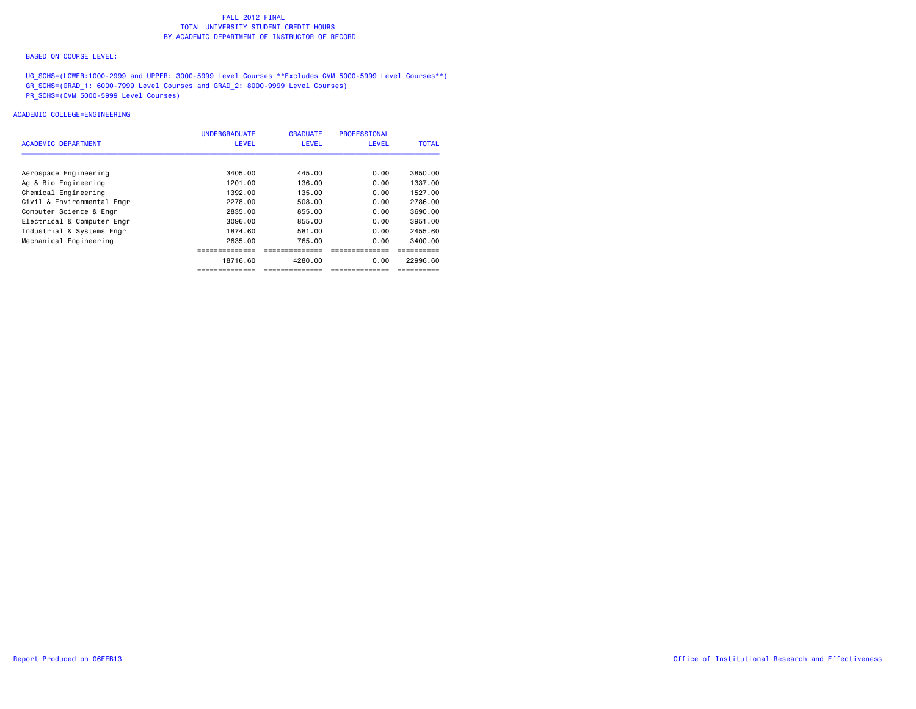#### BASED ON COURSE LEVEL:

UG\_SCHS=(LOWER:1000-2999 and UPPER: 3000-5999 Level Courses \*\*Excludes CVM 5000-5999 Level Courses\*\*) GR\_SCHS=(GRAD\_1: 6000-7999 Level Courses and GRAD\_2: 8000-9999 Level Courses) PR\_SCHS=(CVM 5000-5999 Level Courses)

## ACADEMIC COLLEGE=ENGINEERING

|                            | <b>UNDERGRADUATE</b> | <b>GRADUATE</b> | PROFESSIONAL |           |
|----------------------------|----------------------|-----------------|--------------|-----------|
| ACADEMIC DEPARTMENT        | <b>LEVEL</b>         | <b>LEVEL</b>    | LEVEL        | TOTAL     |
|                            |                      |                 |              |           |
| Aerospace Engineering      | 3405.00              | 445,00          | 0.00         | 3850.00   |
| Ag & Bio Engineering       | 1201.00              | 136.00          | 0.00         | 1337.00   |
| Chemical Engineering       | 1392.00              | 135.00          | 0.00         | 1527.00   |
| Civil & Environmental Engr | 2278.00              | 508.00          | 0.00         | 2786.00   |
| Computer Science & Engr    | 2835.00              | 855.00          | 0.00         | 3690.00   |
| Electrical & Computer Engr | 3096.00              | 855.00          | 0.00         | 3951.00   |
| Industrial & Systems Engr  | 1874.60              | 581.00          | 0.00         | 2455.60   |
| Mechanical Engineering     | 2635.00              | 765.00          | 0.00         | 3400.00   |
|                            |                      |                 |              |           |
|                            | 18716.60             | 4280.00         | 0.00         | 22996.60  |
|                            | ==============       | -----------     | -----------  | --------- |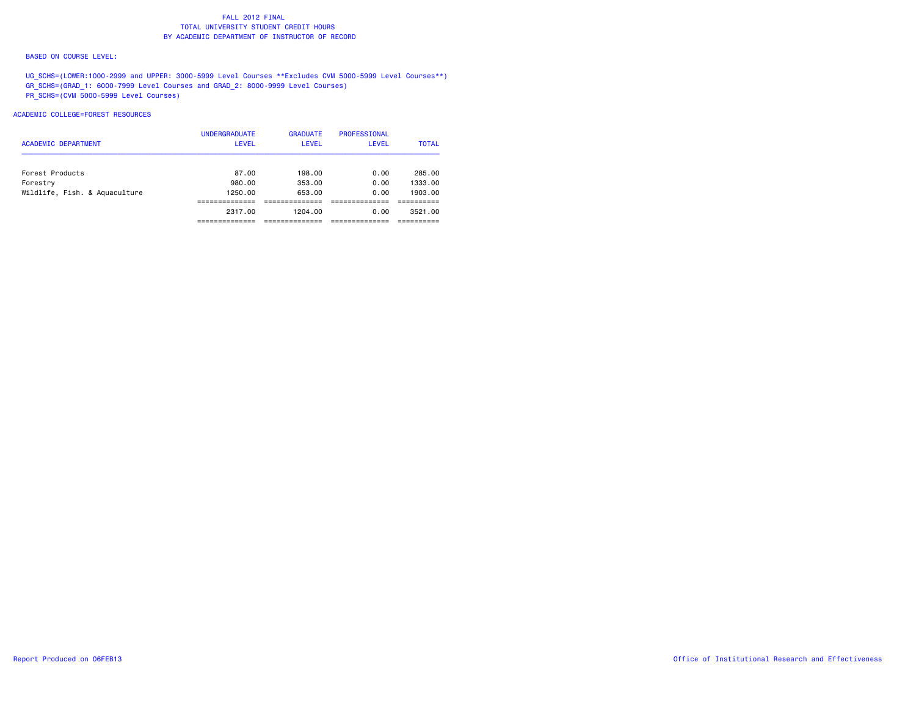#### BASED ON COURSE LEVEL:

UG\_SCHS=(LOWER:1000-2999 and UPPER: 3000-5999 Level Courses \*\*Excludes CVM 5000-5999 Level Courses\*\*) GR\_SCHS=(GRAD\_1: 6000-7999 Level Courses and GRAD\_2: 8000-9999 Level Courses) PR\_SCHS=(CVM 5000-5999 Level Courses)

## ACADEMIC COLLEGE=FOREST RESOURCES

| <b>ACADEMIC DEPARTMENT</b>    | <b>UNDERGRADUATE</b><br><b>LEVEL</b> | <b>GRADUATE</b><br><b>LEVEL</b> | PROFESSIONAL<br><b>LEVEL</b> | <b>TOTAL</b> |
|-------------------------------|--------------------------------------|---------------------------------|------------------------------|--------------|
| Forest Products               | 87.00                                | 198.00                          | 0.00                         | 285.00       |
| Forestry                      | 980.00                               | 353.00                          | 0.00                         | 1333.00      |
| Wildlife, Fish. & Aquaculture | 1250.00                              | 653.00                          | 0.00                         | 1903.00      |
|                               |                                      |                                 |                              |              |
|                               | 2317.00                              | 1204.00                         | 0.00                         | 3521.00      |
|                               |                                      |                                 |                              |              |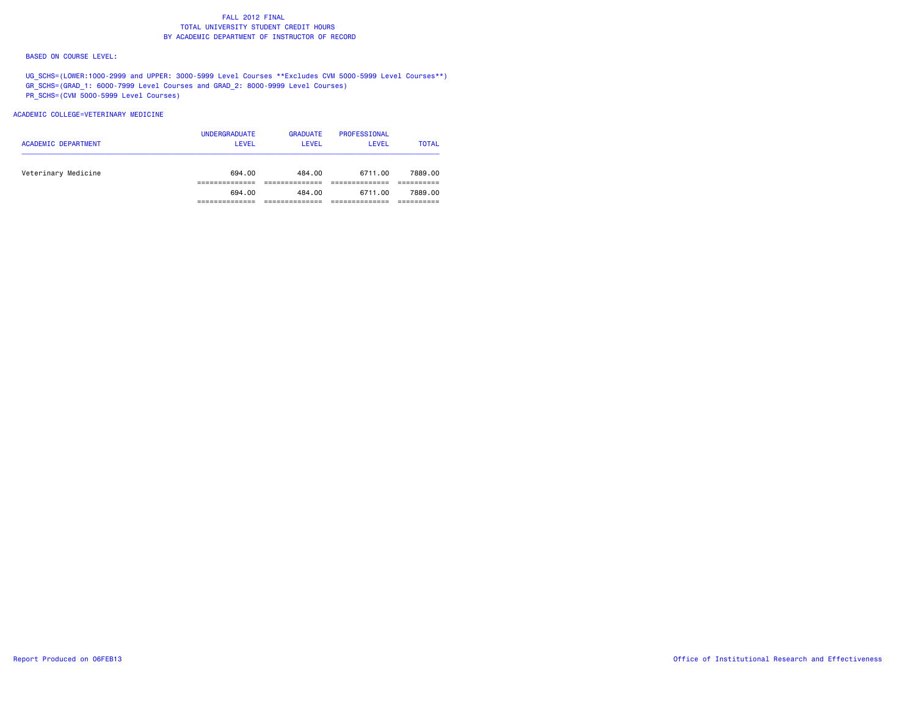#### BASED ON COURSE LEVEL:

UG\_SCHS=(LOWER:1000-2999 and UPPER: 3000-5999 Level Courses \*\*Excludes CVM 5000-5999 Level Courses\*\*) GR\_SCHS=(GRAD\_1: 6000-7999 Level Courses and GRAD\_2: 8000-9999 Level Courses) PR\_SCHS=(CVM 5000-5999 Level Courses)

## ACADEMIC COLLEGE=VETERINARY MEDICINE

| <b>ACADEMIC DEPARTMENT</b> | <b>UNDERGRADUATE</b><br><b>LEVEL</b> | <b>GRADUATE</b><br>LEVEL | PROFESSIONAL<br>LEVEL | <b>TOTAL</b> |
|----------------------------|--------------------------------------|--------------------------|-----------------------|--------------|
| Veterinary Medicine        | 694.00                               | 484.00                   | 6711.00               | 7889.00      |
|                            |                                      |                          |                       |              |
|                            | 694.00                               | 484.00                   | 6711.00               | 7889.00      |
|                            |                                      |                          |                       |              |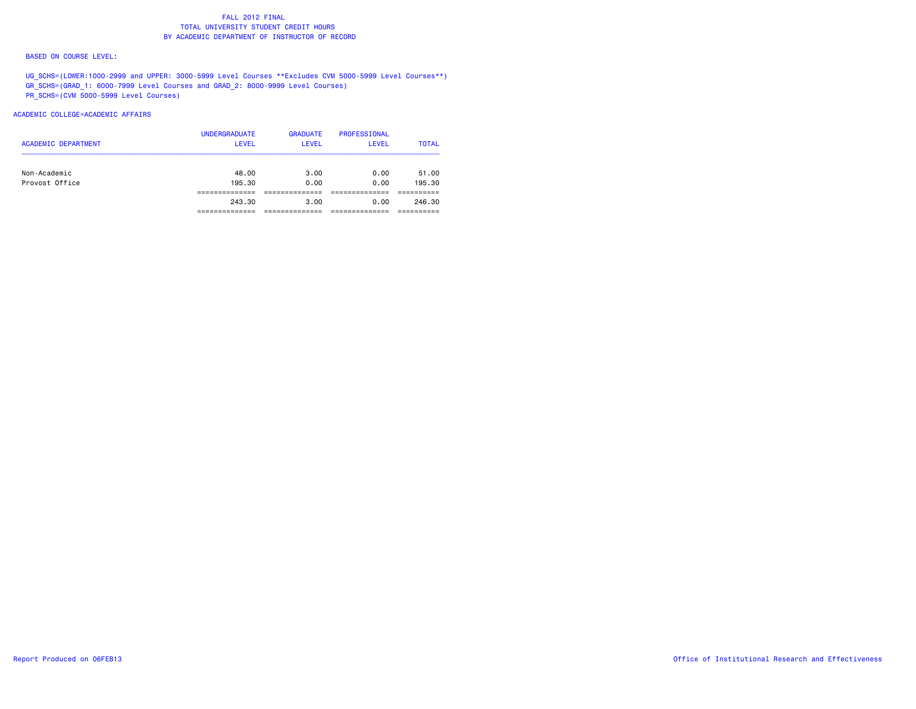#### BASED ON COURSE LEVEL:

UG\_SCHS=(LOWER:1000-2999 and UPPER: 3000-5999 Level Courses \*\*Excludes CVM 5000-5999 Level Courses\*\*) GR\_SCHS=(GRAD\_1: 6000-7999 Level Courses and GRAD\_2: 8000-9999 Level Courses) PR\_SCHS=(CVM 5000-5999 Level Courses)

## ACADEMIC COLLEGE=ACADEMIC AFFAIRS

| Non-Academic   | 48.00  | 3.00 | 0.00 | 51.00  |
|----------------|--------|------|------|--------|
| Provost Office | 195.30 | 0.00 | 0.00 | 195.30 |
|                | 243.30 | 3.00 | 0.00 | 246.30 |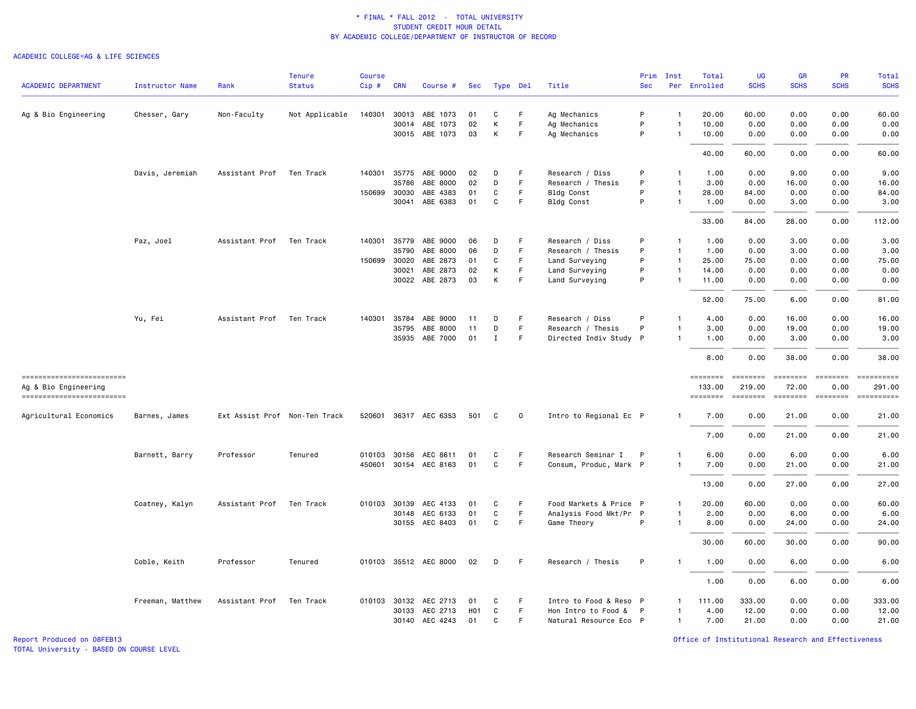#### ACADEMIC COLLEGE=AG & LIFE SCIENCES

|                                                   |                        |                               | <b>Tenure</b>  | <b>Course</b> |              |                       |     |             |             |                        | Prim       | Inst           | Total              | UG                                                                                                                                                                                                                                                                                                                                                                                                                                                                                               | <b>GR</b>       | <b>PR</b>                   | Total                     |
|---------------------------------------------------|------------------------|-------------------------------|----------------|---------------|--------------|-----------------------|-----|-------------|-------------|------------------------|------------|----------------|--------------------|--------------------------------------------------------------------------------------------------------------------------------------------------------------------------------------------------------------------------------------------------------------------------------------------------------------------------------------------------------------------------------------------------------------------------------------------------------------------------------------------------|-----------------|-----------------------------|---------------------------|
| ACADEMIC DEPARTMENT                               | <b>Instructor Name</b> | Rank                          | <b>Status</b>  | Cip#          | <b>CRN</b>   | Course #              | Sec | Type Del    |             | Title                  | <b>Sec</b> |                | Per Enrolled       | <b>SCHS</b>                                                                                                                                                                                                                                                                                                                                                                                                                                                                                      | <b>SCHS</b>     | <b>SCHS</b>                 | <b>SCHS</b>               |
| Ag & Bio Engineering                              | Chesser, Gary          | Non-Faculty                   | Not Applicable | 140301        | 30013        | ABE 1073              | 01  | C           | F.          | Ag Mechanics           | P          | $\mathbf{1}$   | 20.00              | 60.00                                                                                                                                                                                                                                                                                                                                                                                                                                                                                            | 0.00            | 0.00                        | 60.00                     |
|                                                   |                        |                               |                |               |              | 30014 ABE 1073        | 02  | К           | F           | Ag Mechanics           | P          | -1             | 10.00              | 0.00                                                                                                                                                                                                                                                                                                                                                                                                                                                                                             | 0.00            | 0.00                        | 0.00                      |
|                                                   |                        |                               |                |               |              | 30015 ABE 1073        | 03  | К           | F.          | Ag Mechanics           | P          | $\mathbf{1}$   | 10.00              | 0.00                                                                                                                                                                                                                                                                                                                                                                                                                                                                                             | 0.00            | 0.00                        | 0.00                      |
|                                                   |                        |                               |                |               |              |                       |     |             |             |                        |            |                | 40.00              | 60.00                                                                                                                                                                                                                                                                                                                                                                                                                                                                                            | 0.00            | 0.00                        | 60.00                     |
|                                                   | Davis, Jeremiah        | Assistant Prof                | Ten Track      |               |              | 140301 35775 ABE 9000 | 02  | D           | F           | Research / Diss        | P          | $\mathbf{1}$   | 1.00               | 0.00                                                                                                                                                                                                                                                                                                                                                                                                                                                                                             | 9.00            | 0.00                        | 9.00                      |
|                                                   |                        |                               |                |               | 35786        | ABE 8000              | 02  | D           | F.          | Research / Thesis      | P          | -1             | 3.00               | 0.00                                                                                                                                                                                                                                                                                                                                                                                                                                                                                             | 16.00           | 0.00                        | 16.00                     |
|                                                   |                        |                               |                |               | 150699 30030 | ABE 4383              | 01  | C           | F           | Bldg Const             | P          | $\mathbf{1}$   | 28.00              | 84.00                                                                                                                                                                                                                                                                                                                                                                                                                                                                                            | 0.00            | 0.00                        | 84.00                     |
|                                                   |                        |                               |                |               | 30041        | ABE 6383              | 01  | C           | F           | Bldg Const             | P          | $\mathbf{1}$   | 1.00               | 0.00                                                                                                                                                                                                                                                                                                                                                                                                                                                                                             | 3.00            | 0.00                        | 3.00                      |
|                                                   |                        |                               |                |               |              |                       |     |             |             |                        |            |                | 33.00              | 84.00                                                                                                                                                                                                                                                                                                                                                                                                                                                                                            | 28.00           | 0.00                        | 112.00                    |
|                                                   | Paz, Joel              | Assistant Prof                | Ten Track      | 140301        | 35779        | ABE 9000              | 06  | D           | F           | Research / Diss        | P          | $\mathbf{1}$   | 1.00               | 0.00                                                                                                                                                                                                                                                                                                                                                                                                                                                                                             | 3.00            | 0.00                        | 3.00                      |
|                                                   |                        |                               |                |               | 35790        | ABE 8000              | 06  | D           | F           | Research / Thesis      | P          | $\mathbf{1}$   | 1.00               | 0.00                                                                                                                                                                                                                                                                                                                                                                                                                                                                                             | 3.00            | 0.00                        | 3.00                      |
|                                                   |                        |                               |                |               | 150699 30020 | ABE 2873              | 01  | C           | F           | Land Surveying         | P          | $\mathbf{1}$   | 25.00              | 75.00                                                                                                                                                                                                                                                                                                                                                                                                                                                                                            | 0.00            | 0.00                        | 75.00                     |
|                                                   |                        |                               |                |               | 30021        | ABE 2873              | 02  | К           | F           | Land Surveying         | P          | $\overline{1}$ | 14.00              | 0.00                                                                                                                                                                                                                                                                                                                                                                                                                                                                                             | 0.00            | 0.00                        | 0.00                      |
|                                                   |                        |                               |                |               |              | 30022 ABE 2873        | 03  | К           | F.          | Land Surveying         | P          | -1             | 11.00              | 0.00                                                                                                                                                                                                                                                                                                                                                                                                                                                                                             | 0.00            | 0.00                        | 0.00                      |
|                                                   |                        |                               |                |               |              |                       |     |             |             |                        |            |                | 52.00              | 75.00                                                                                                                                                                                                                                                                                                                                                                                                                                                                                            | 6.00            | 0.00                        | 81.00                     |
|                                                   | Yu, Fei                | Assistant Prof                | Ten Track      | 140301        | 35784        | ABE 9000              | 11  | D           | F           | Research / Diss        | P          | -1             | 4.00               | 0.00                                                                                                                                                                                                                                                                                                                                                                                                                                                                                             | 16.00           | 0.00                        | 16.00                     |
|                                                   |                        |                               |                |               | 35795        | ABE 8000              | 11  | D           | F           | Research / Thesis      | P          | $\mathbf{1}$   | 3.00               | 0.00                                                                                                                                                                                                                                                                                                                                                                                                                                                                                             | 19.00           | 0.00                        | 19.00                     |
|                                                   |                        |                               |                |               | 35935        | ABE 7000              | 01  | $\mathbf I$ | F           | Directed Indiv Study P |            | $\mathbf{1}$   | 1.00               | 0.00                                                                                                                                                                                                                                                                                                                                                                                                                                                                                             | 3.00            | 0.00                        | 3.00                      |
|                                                   |                        |                               |                |               |              |                       |     |             |             |                        |            |                | 8.00               | 0.00                                                                                                                                                                                                                                                                                                                                                                                                                                                                                             | 38.00           | 0.00                        | 38.00                     |
| -------------------------<br>Ag & Bio Engineering |                        |                               |                |               |              |                       |     |             |             |                        |            |                | ========<br>133.00 | $\begin{array}{cccccccccc} \multicolumn{2}{c}{} & \multicolumn{2}{c}{} & \multicolumn{2}{c}{} & \multicolumn{2}{c}{} & \multicolumn{2}{c}{} & \multicolumn{2}{c}{} & \multicolumn{2}{c}{} & \multicolumn{2}{c}{} & \multicolumn{2}{c}{} & \multicolumn{2}{c}{} & \multicolumn{2}{c}{} & \multicolumn{2}{c}{} & \multicolumn{2}{c}{} & \multicolumn{2}{c}{} & \multicolumn{2}{c}{} & \multicolumn{2}{c}{} & \multicolumn{2}{c}{} & \multicolumn{2}{c}{} & \multicolumn{2}{c}{} & \mult$<br>219.00 | 72.00           | <b>EDEDEDER</b><br>0.00     | $= 22222222222$<br>291.00 |
| ==========================                        |                        |                               |                |               |              |                       |     |             |             |                        |            |                | <b>BEBBBBBB</b>    | <b>EDEDEDED</b>                                                                                                                                                                                                                                                                                                                                                                                                                                                                                  | <b>EDEDEDED</b> | $=$ $=$ $=$ $=$ $=$ $=$ $=$ |                           |
| Agricultural Economics                            | Barnes, James          | Ext Assist Prof Non-Ten Track |                |               |              | 520601 36317 AEC 6353 | 501 | C           | $\mathbf 0$ | Intro to Regional Ec P |            | $\mathbf{1}$   | 7.00               | 0.00                                                                                                                                                                                                                                                                                                                                                                                                                                                                                             | 21.00           | 0.00                        | 21.00                     |
|                                                   |                        |                               |                |               |              |                       |     |             |             |                        |            |                | 7.00               | 0.00                                                                                                                                                                                                                                                                                                                                                                                                                                                                                             | 21.00           | 0.00                        | 21.00                     |
|                                                   | Barnett, Barry         | Professor                     | Tenured        |               |              | 010103 30156 AEC 8611 | 01  | C           | F.          | Research Seminar I     | P          | $\mathbf{1}$   | 6.00               | 0.00                                                                                                                                                                                                                                                                                                                                                                                                                                                                                             | 6.00            | 0.00                        | 6.00                      |
|                                                   |                        |                               |                |               |              | 450601 30154 AEC 8163 | 01  | C           | F           | Consum, Produc, Mark P |            | $\mathbf{1}$   | 7.00               | 0.00                                                                                                                                                                                                                                                                                                                                                                                                                                                                                             | 21.00           | 0.00                        | 21.00                     |
|                                                   |                        |                               |                |               |              |                       |     |             |             |                        |            |                |                    |                                                                                                                                                                                                                                                                                                                                                                                                                                                                                                  |                 |                             |                           |
|                                                   |                        |                               |                |               |              |                       |     |             |             |                        |            |                | 13.00              | 0.00                                                                                                                                                                                                                                                                                                                                                                                                                                                                                             | 27.00           | 0.00                        | 27.00                     |
|                                                   | Coatney, Kalyn         | Assistant Prof                | Ten Track      |               | 010103 30139 | AEC 4133              | 01  | C           | F           | Food Markets & Price P |            | $\mathbf{1}$   | 20.00              | 60.00                                                                                                                                                                                                                                                                                                                                                                                                                                                                                            | 0.00            | 0.00                        | 60.00                     |
|                                                   |                        |                               |                |               | 30148        | AEC 6133              | 01  | C           | F           | Analysis Food Mkt/Pr P |            | $\mathbf{1}$   | 2.00               | 0.00                                                                                                                                                                                                                                                                                                                                                                                                                                                                                             | 6.00            | 0.00                        | 6.00                      |
|                                                   |                        |                               |                |               |              | 30155 AEC 8403        | 01  | C           | F.          | Game Theory            | P          | $\mathbf{1}$   | 8.00               | 0.00                                                                                                                                                                                                                                                                                                                                                                                                                                                                                             | 24.00           | 0.00                        | 24.00                     |
|                                                   |                        |                               |                |               |              |                       |     |             |             |                        |            |                | 30.00              | 60.00                                                                                                                                                                                                                                                                                                                                                                                                                                                                                            | 30.00           | 0.00                        | 90.00                     |
|                                                   | Coble, Keith           | Professor                     | Tenured        |               |              | 010103 35512 AEC 8000 | 02  | D           | -F          | Research / Thesis      | P          | -1             | 1.00               | 0.00                                                                                                                                                                                                                                                                                                                                                                                                                                                                                             | 6.00            | 0.00                        | 6.00                      |
|                                                   |                        |                               |                |               |              |                       |     |             |             |                        |            |                | 1.00               | 0.00                                                                                                                                                                                                                                                                                                                                                                                                                                                                                             | 6.00            | 0.00                        | 6.00                      |
|                                                   | Freeman, Matthew       | Assistant Prof                | Ten Track      |               | 010103 30132 | AEC 2713              | 01  | C           | -F          | Intro to Food & Reso P |            | $\mathbf{1}$   | 111.00             | 333.00                                                                                                                                                                                                                                                                                                                                                                                                                                                                                           | 0.00            | 0.00                        | 333.00                    |
|                                                   |                        |                               |                |               | 30133        | AEC 2713              | H01 | C           | -F          | Hon Intro to Food & P  |            | $\mathbf{1}$   | 4.00               | 12.00                                                                                                                                                                                                                                                                                                                                                                                                                                                                                            | 0.00            | 0.00                        | 12.00                     |
|                                                   |                        |                               |                |               |              | 30140 AEC 4243        | 01  | C           | F.          | Natural Resource Eco P |            | $\overline{1}$ | 7.00               | 21.00                                                                                                                                                                                                                                                                                                                                                                                                                                                                                            | 0.00            | 0.00                        | 21.00                     |

Report Produced on 08FEB13 Office of Institutional Research and Effectiveness

TOTAL University - BASED ON COURSE LEVEL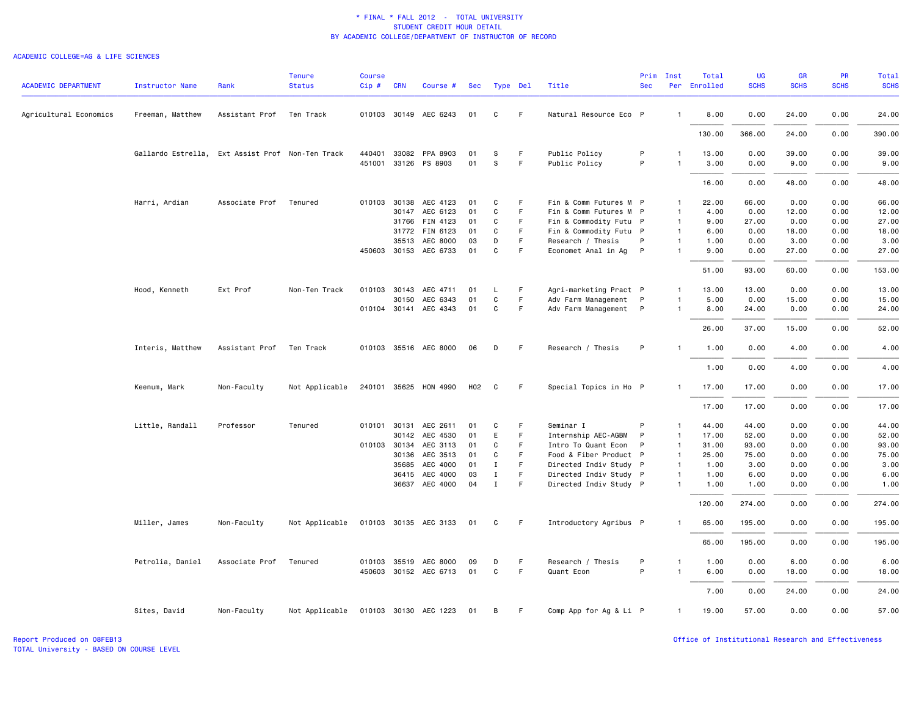#### ACADEMIC COLLEGE=AG & LIFE SCIENCES

| <b>ACADEMIC DEPARTMENT</b> | <b>Instructor Name</b>                           | Rank                   | <b>Tenure</b><br><b>Status</b> | <b>Course</b><br>Cip# | <b>CRN</b> | Course #                                      | Sec      |              | Type Del | Title                          | Prim<br><b>Sec</b> | Inst           | Total<br>Per Enrolled | UG<br><b>SCHS</b> | GR<br><b>SCHS</b> | PR<br><b>SCHS</b> | <b>Total</b><br><b>SCHS</b> |
|----------------------------|--------------------------------------------------|------------------------|--------------------------------|-----------------------|------------|-----------------------------------------------|----------|--------------|----------|--------------------------------|--------------------|----------------|-----------------------|-------------------|-------------------|-------------------|-----------------------------|
| Agricultural Economics     | Freeman, Matthew                                 | Assistant Prof         | Ten Track                      |                       |            | 010103 30149 AEC 6243                         | 01       | C            | F.       | Natural Resource Eco P         |                    | $\mathbf{1}$   | 8.00                  | 0.00              | 24.00             | 0.00              | 24.00                       |
|                            |                                                  |                        |                                |                       |            |                                               |          |              |          |                                |                    |                | 130.00                | 366.00            | 24.00             | 0.00              | 390.00                      |
|                            | Gallardo Estrella, Ext Assist Prof Non-Ten Track |                        |                                |                       |            | 440401 33082 PPA 8903<br>451001 33126 PS 8903 | 01<br>01 | S<br>S       | F.<br>F  | Public Policy<br>Public Policy | P<br>P             | $\mathbf{1}$   | 13.00<br>3.00         | 0.00<br>0.00      | 39.00<br>9.00     | 0.00<br>0.00      | 39.00<br>9.00               |
|                            |                                                  |                        |                                |                       |            |                                               |          |              |          |                                |                    |                | 16.00                 | 0.00              | 48.00             | 0.00              | 48.00                       |
|                            | Harri, Ardian                                    | Associate Prof Tenured |                                |                       |            | 010103 30138 AEC 4123                         | 01       | C            | F.       | Fin & Comm Futures M P         |                    | 1              | 22.00                 | 66.00             | 0.00              | 0.00              | 66.00                       |
|                            |                                                  |                        |                                |                       |            | 30147 AEC 6123                                | 01       | $\mathtt{C}$ | F        | Fin & Comm Futures M P         |                    | $\mathbf{1}$   | 4.00                  | 0.00              | 12.00             | 0.00              | 12.00                       |
|                            |                                                  |                        |                                |                       |            | 31766 FIN 4123                                | 01       | C            | F.       | Fin & Commodity Futu P         |                    | $\overline{1}$ | 9.00                  | 27.00             | 0.00              | 0.00              | 27.00                       |
|                            |                                                  |                        |                                |                       |            | 31772 FIN 6123                                | 01       | C            | F.       | Fin & Commodity Futu P         |                    | $\overline{1}$ | 6.00                  | 0.00              | 18.00             | 0.00              | 18.00                       |
|                            |                                                  |                        |                                |                       |            | 35513 AEC 8000                                | 03       | D            | F        | Research / Thesis              | P                  | $\mathbf{1}$   | 1.00                  | 0.00              | 3.00              | 0.00              | 3.00                        |
|                            |                                                  |                        |                                |                       |            | 450603 30153 AEC 6733                         | 01       | C            | F        | Economet Anal in Ag            | P                  | $\overline{1}$ | 9.00                  | 0.00              | 27.00             | 0.00              | 27.00                       |
|                            |                                                  |                        |                                |                       |            |                                               |          |              |          |                                |                    |                | 51.00                 | 93,00             | 60.00             | 0.00              | 153.00                      |
|                            | Hood, Kenneth                                    | Ext Prof               | Non-Ten Track                  | 010103 30143          |            | AEC 4711                                      | 01       | L            | F.       | Agri-marketing Pract P         |                    | 1              | 13.00                 | 13.00             | 0.00              | 0.00              | 13.00                       |
|                            |                                                  |                        |                                |                       | 30150      | AEC 6343                                      | 01       | $\mathtt{C}$ | F        | Adv Farm Management P          |                    | $\mathbf{1}$   | 5.00                  | 0.00              | 15.00             | 0.00              | 15.00                       |
|                            |                                                  |                        |                                |                       |            | 010104 30141 AEC 4343                         | 01       | C            | F.       | Adv Farm Management P          |                    | $\mathbf{1}$   | 8.00                  | 24.00             | 0.00              | 0.00              | 24.00                       |
|                            |                                                  |                        |                                |                       |            |                                               |          |              |          |                                |                    |                | 26.00                 | 37.00             | 15.00             | 0.00              | 52.00                       |
|                            | Interis, Matthew                                 | Assistant Prof         | Ten Track                      |                       |            | 010103 35516 AEC 8000                         | 06       | D            | F.       | Research / Thesis              | P                  | $\mathbf{1}$   | 1.00                  | 0.00              | 4.00              | 0.00              | 4.00                        |
|                            |                                                  |                        |                                |                       |            |                                               |          |              |          |                                |                    |                | 1.00                  | 0.00              | 4.00              | 0.00              | 4.00                        |
|                            | Keenum, Mark                                     | Non-Faculty            | Not Applicable                 |                       |            | 240101 35625 HON 4990                         | H02      | C            | F.       | Special Topics in Ho P         |                    | $\mathbf{1}$   | 17.00                 | 17.00             | 0.00              | 0.00              | 17.00                       |
|                            |                                                  |                        |                                |                       |            |                                               |          |              |          |                                |                    |                | 17.00                 | 17.00             | 0.00              | 0.00              | 17.00                       |
|                            | Little, Randall                                  | Professor              | Tenured                        | 010101 30131          |            | AEC 2611                                      | 01       | C            | F.       | Seminar I                      | P                  | $\mathbf{1}$   | 44.00                 | 44.00             | 0.00              | 0.00              | 44.00                       |
|                            |                                                  |                        |                                |                       |            | 30142 AEC 4530                                | 01       | E            | F.       | Internship AEC-AGBM            | P                  | $\overline{1}$ | 17.00                 | 52.00             | 0.00              | 0.00              | 52.00                       |
|                            |                                                  |                        |                                | 010103 30134          |            | AEC 3113                                      | 01       | C            | F        | Intro To Quant Econ            | P                  | $\overline{1}$ | 31.00                 | 93.00             | 0.00              | 0.00              | 93.00                       |
|                            |                                                  |                        |                                |                       | 30136      | AEC 3513                                      | 01       | C            | F.       | Food & Fiber Product P         |                    | $\overline{1}$ | 25.00                 | 75.00             | 0.00              | 0.00              | 75.00                       |
|                            |                                                  |                        |                                |                       | 35685      | AEC 4000                                      | 01       | $\mathbf{I}$ | F.       | Directed Indiv Study P         |                    | $\overline{1}$ | 1.00                  | 3.00              | 0.00              | 0.00              | 3.00                        |
|                            |                                                  |                        |                                |                       |            | 36415 AEC 4000                                | 03       | Ι.           | F.       | Directed Indiv Study P         |                    | -1             | 1.00                  | 6.00              | 0.00              | 0.00              | 6.00                        |
|                            |                                                  |                        |                                |                       |            | 36637 AEC 4000                                | 04       | $\mathbf I$  | F.       | Directed Indiv Study P         |                    | 1              | 1.00                  | 1.00              | 0.00              | 0.00              | 1.00                        |
|                            |                                                  |                        |                                |                       |            |                                               |          |              |          |                                |                    |                | 120.00                | 274.00            | 0.00              | 0.00              | 274.00                      |
|                            | Miller, James                                    | Non-Faculty            | Not Applicable                 |                       |            | 010103 30135 AEC 3133                         | 01       | C            | F.       | Introductory Agribus P         |                    |                | 65.00                 | 195.00            | 0.00              | 0.00              | 195.00                      |
|                            |                                                  |                        |                                |                       |            |                                               |          |              |          |                                |                    |                | 65.00                 | 195.00            | 0.00              | 0.00              | 195.00                      |
|                            | Petrolia, Daniel                                 | Associate Prof         | Tenured                        |                       |            | 010103 35519 AEC 8000                         | 09       | D            | F.       | Research / Thesis              | P                  | -1             | 1.00                  | 0.00              | 6.00              | 0.00              | 6.00                        |
|                            |                                                  |                        |                                |                       |            | 450603 30152 AEC 6713                         | 01       | C            | F        | Quant Econ                     | P                  | $\mathbf{1}$   | 6.00                  | 0.00              | 18.00             | 0.00              | 18.00                       |
|                            |                                                  |                        |                                |                       |            |                                               |          |              |          |                                |                    |                | 7.00                  | 0.00              | 24.00             | 0.00              | 24.00                       |
|                            | Sites, David                                     | Non-Faculty            | Not Applicable                 |                       |            | 010103 30130 AEC 1223                         | 01       | B            | F.       | Comp App for Ag & Li P         |                    | 1              | 19.00                 | 57.00             | 0.00              | 0.00              | 57.00                       |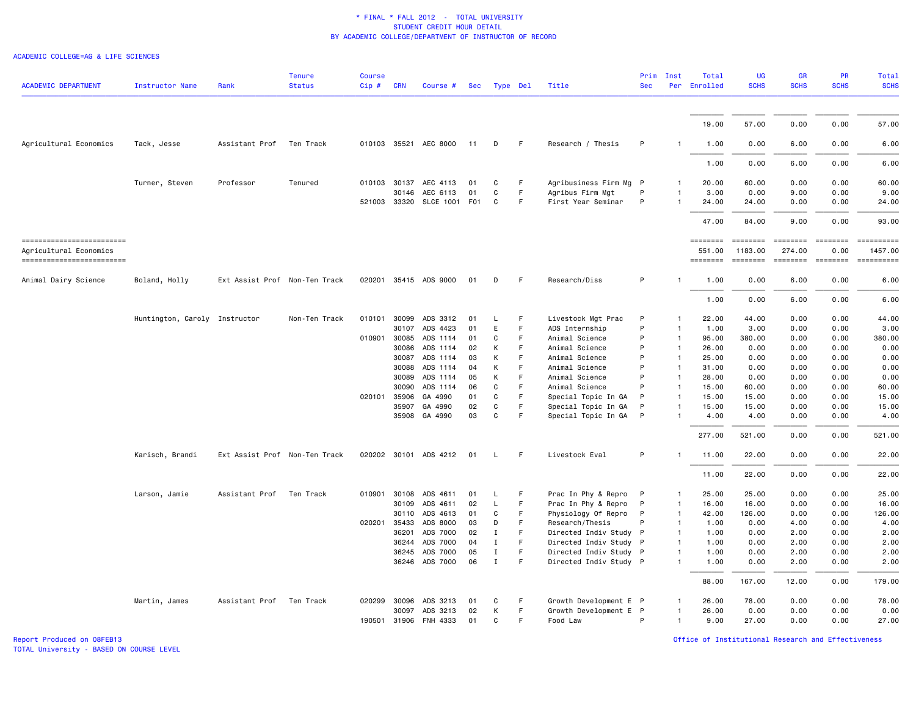#### ACADEMIC COLLEGE=AG & LIFE SCIENCES

| <b>ACADEMIC DEPARTMENT</b>                           | <b>Instructor Name</b>        | Rank                          | <b>Tenure</b><br><b>Status</b> | <b>Course</b><br>$Cip$ # | <b>CRN</b>     | Course #                          | Sec      | Type Del          |        | Title                                  | Prim<br><b>Sec</b> | Inst                           | Total<br>Per Enrolled     | <b>UG</b><br><b>SCHS</b>                                                                                                                                                                                                                                                                                                                                                                                                                                                                        | GR<br><b>SCHS</b>                                                                                                                                                                                                                                                                                                                                                                                                                                                                                                                   | <b>PR</b><br><b>SCHS</b>                                                | <b>Total</b><br><b>SCHS</b>                                                                                                                                                                                                                                                                                                                                                                                                                                                               |
|------------------------------------------------------|-------------------------------|-------------------------------|--------------------------------|--------------------------|----------------|-----------------------------------|----------|-------------------|--------|----------------------------------------|--------------------|--------------------------------|---------------------------|-------------------------------------------------------------------------------------------------------------------------------------------------------------------------------------------------------------------------------------------------------------------------------------------------------------------------------------------------------------------------------------------------------------------------------------------------------------------------------------------------|-------------------------------------------------------------------------------------------------------------------------------------------------------------------------------------------------------------------------------------------------------------------------------------------------------------------------------------------------------------------------------------------------------------------------------------------------------------------------------------------------------------------------------------|-------------------------------------------------------------------------|-------------------------------------------------------------------------------------------------------------------------------------------------------------------------------------------------------------------------------------------------------------------------------------------------------------------------------------------------------------------------------------------------------------------------------------------------------------------------------------------|
|                                                      |                               |                               |                                |                          |                |                                   |          |                   |        |                                        |                    |                                | 19.00                     | 57.00                                                                                                                                                                                                                                                                                                                                                                                                                                                                                           | 0.00                                                                                                                                                                                                                                                                                                                                                                                                                                                                                                                                | 0.00                                                                    | 57.00                                                                                                                                                                                                                                                                                                                                                                                                                                                                                     |
| Agricultural Economics                               | Tack, Jesse                   | Assistant Prof Ten Track      |                                |                          |                | 010103 35521 AEC 8000             | 11       | D                 | F.     | Research / Thesis                      | P                  |                                | 1.00                      | 0.00                                                                                                                                                                                                                                                                                                                                                                                                                                                                                            | 6.00                                                                                                                                                                                                                                                                                                                                                                                                                                                                                                                                | 0.00                                                                    | 6.00                                                                                                                                                                                                                                                                                                                                                                                                                                                                                      |
|                                                      |                               |                               |                                |                          |                |                                   |          |                   |        |                                        |                    |                                | 1.00                      | 0.00                                                                                                                                                                                                                                                                                                                                                                                                                                                                                            | 6.00                                                                                                                                                                                                                                                                                                                                                                                                                                                                                                                                | 0.00                                                                    | 6.00                                                                                                                                                                                                                                                                                                                                                                                                                                                                                      |
|                                                      |                               |                               |                                |                          |                |                                   |          |                   |        |                                        |                    |                                |                           |                                                                                                                                                                                                                                                                                                                                                                                                                                                                                                 |                                                                                                                                                                                                                                                                                                                                                                                                                                                                                                                                     |                                                                         |                                                                                                                                                                                                                                                                                                                                                                                                                                                                                           |
|                                                      | Turner, Steven                | Professor                     | Tenured                        |                          | 30146          | 010103 30137 AEC 4113<br>AEC 6113 | 01<br>01 | C<br>$\mathtt{C}$ | F<br>F | Agribusiness Firm Mg P                 | P                  | 1<br>$\mathbf{1}$              | 20.00<br>3.00             | 60.00<br>0.00                                                                                                                                                                                                                                                                                                                                                                                                                                                                                   | 0.00<br>9.00                                                                                                                                                                                                                                                                                                                                                                                                                                                                                                                        | 0.00<br>0.00                                                            | 60.00<br>9.00                                                                                                                                                                                                                                                                                                                                                                                                                                                                             |
|                                                      |                               |                               |                                |                          |                | 521003 33320 SLCE 1001            | F01      | C                 | F      | Agribus Firm Mgt<br>First Year Seminar | P                  |                                | 24.00                     | 24.00                                                                                                                                                                                                                                                                                                                                                                                                                                                                                           | 0.00                                                                                                                                                                                                                                                                                                                                                                                                                                                                                                                                | 0.00                                                                    | 24.00                                                                                                                                                                                                                                                                                                                                                                                                                                                                                     |
|                                                      |                               |                               |                                |                          |                |                                   |          |                   |        |                                        |                    |                                |                           |                                                                                                                                                                                                                                                                                                                                                                                                                                                                                                 |                                                                                                                                                                                                                                                                                                                                                                                                                                                                                                                                     |                                                                         |                                                                                                                                                                                                                                                                                                                                                                                                                                                                                           |
|                                                      |                               |                               |                                |                          |                |                                   |          |                   |        |                                        |                    |                                | 47.00                     | 84.00                                                                                                                                                                                                                                                                                                                                                                                                                                                                                           | 9.00                                                                                                                                                                                                                                                                                                                                                                                                                                                                                                                                | 0.00                                                                    | 93.00                                                                                                                                                                                                                                                                                                                                                                                                                                                                                     |
| ==========================<br>Agricultural Economics |                               |                               |                                |                          |                |                                   |          |                   |        |                                        |                    |                                | <b>ESSESSEE</b><br>551.00 | $\begin{array}{cccccc} \multicolumn{2}{c}{} & \multicolumn{2}{c}{} & \multicolumn{2}{c}{} & \multicolumn{2}{c}{} & \multicolumn{2}{c}{} & \multicolumn{2}{c}{} & \multicolumn{2}{c}{} & \multicolumn{2}{c}{} & \multicolumn{2}{c}{} & \multicolumn{2}{c}{} & \multicolumn{2}{c}{} & \multicolumn{2}{c}{} & \multicolumn{2}{c}{} & \multicolumn{2}{c}{} & \multicolumn{2}{c}{} & \multicolumn{2}{c}{} & \multicolumn{2}{c}{} & \multicolumn{2}{c}{} & \multicolumn{2}{c}{} & \multic$<br>1183.00 | $\begin{array}{c} \multicolumn{3}{c} {\small \texttt{m}} = \multicolumn{3}{c} {\small \texttt{m}} = \multicolumn{3}{c} {\small \texttt{m}} = \multicolumn{3}{c} {\small \texttt{m}} = \multicolumn{3}{c} {\small \texttt{m}} = \multicolumn{3}{c} {\small \texttt{m}} = \multicolumn{3}{c} {\small \texttt{m}} = \multicolumn{3}{c} {\small \texttt{m}} = \multicolumn{3}{c} {\small \texttt{m}} = \multicolumn{3}{c} {\small \texttt{m}} = \multicolumn{3}{c} {\small \texttt{m}} = \multicolumn{3}{c} {\small \texttt{$<br>274.00 | 0.00                                                                    | ==========<br>1457.00                                                                                                                                                                                                                                                                                                                                                                                                                                                                     |
| ==========================                           |                               |                               |                                |                          |                |                                   |          |                   |        |                                        |                    |                                | ========                  | ========                                                                                                                                                                                                                                                                                                                                                                                                                                                                                        |                                                                                                                                                                                                                                                                                                                                                                                                                                                                                                                                     | $\qquad \qquad \equiv \equiv \equiv \equiv \equiv \equiv \equiv \equiv$ | $\begin{minipage}{0.03\linewidth} \begin{tabular}{l} \multicolumn{2}{l}{} & \multicolumn{2}{l}{} & \multicolumn{2}{l}{} \\ \multicolumn{2}{l}{} & \multicolumn{2}{l}{} & \multicolumn{2}{l}{} \\ \multicolumn{2}{l}{} & \multicolumn{2}{l}{} & \multicolumn{2}{l}{} \\ \multicolumn{2}{l}{} & \multicolumn{2}{l}{} & \multicolumn{2}{l}{} \\ \multicolumn{2}{l}{} & \multicolumn{2}{l}{} & \multicolumn{2}{l}{} \\ \multicolumn{2}{l}{} & \multicolumn{2}{l}{} & \multicolumn{2}{l}{} \\$ |
| Animal Dairy Science                                 | Boland, Holly                 | Ext Assist Prof Non-Ten Track |                                |                          |                | 020201 35415 ADS 9000             | 01       | D                 | F      | Research/Diss                          | P                  | -1                             | 1.00                      | 0.00                                                                                                                                                                                                                                                                                                                                                                                                                                                                                            | 6.00                                                                                                                                                                                                                                                                                                                                                                                                                                                                                                                                | 0.00                                                                    | 6.00                                                                                                                                                                                                                                                                                                                                                                                                                                                                                      |
|                                                      |                               |                               |                                |                          |                |                                   |          |                   |        |                                        |                    |                                | 1.00                      | 0.00                                                                                                                                                                                                                                                                                                                                                                                                                                                                                            | 6.00                                                                                                                                                                                                                                                                                                                                                                                                                                                                                                                                | 0.00                                                                    | 6.00                                                                                                                                                                                                                                                                                                                                                                                                                                                                                      |
|                                                      | Huntington, Caroly Instructor |                               | Non-Ten Track                  |                          |                | 010101 30099 ADS 3312             | 01       | L.                | F      | Livestock Mgt Prac                     | P                  | $\mathbf{1}$                   | 22.00                     | 44.00                                                                                                                                                                                                                                                                                                                                                                                                                                                                                           | 0.00                                                                                                                                                                                                                                                                                                                                                                                                                                                                                                                                | 0.00                                                                    | 44.00                                                                                                                                                                                                                                                                                                                                                                                                                                                                                     |
|                                                      |                               |                               |                                |                          | 30107          | ADS 4423                          | 01       | E                 | F.     | ADS Internship                         | P                  | $\mathbf{1}$                   | 1.00                      | 3.00                                                                                                                                                                                                                                                                                                                                                                                                                                                                                            | 0.00                                                                                                                                                                                                                                                                                                                                                                                                                                                                                                                                | 0.00                                                                    | 3.00                                                                                                                                                                                                                                                                                                                                                                                                                                                                                      |
|                                                      |                               |                               |                                | 010901                   | 30085          | ADS 1114                          | 01       | C                 | F      | Animal Science                         | P                  | $\mathbf{1}$                   | 95.00                     | 380.00                                                                                                                                                                                                                                                                                                                                                                                                                                                                                          | 0.00                                                                                                                                                                                                                                                                                                                                                                                                                                                                                                                                | 0.00                                                                    | 380.00                                                                                                                                                                                                                                                                                                                                                                                                                                                                                    |
|                                                      |                               |                               |                                |                          | 30086          | ADS 1114                          | 02       | К                 | F.     | Animal Science                         | P                  | $\mathbf{1}$                   | 26.00                     | 0.00                                                                                                                                                                                                                                                                                                                                                                                                                                                                                            | 0.00                                                                                                                                                                                                                                                                                                                                                                                                                                                                                                                                | 0.00                                                                    | 0.00                                                                                                                                                                                                                                                                                                                                                                                                                                                                                      |
|                                                      |                               |                               |                                |                          | 30087          | ADS 1114                          | 03       | К                 | F<br>F | Animal Science                         | P<br>P             | $\overline{1}$<br>$\mathbf{1}$ | 25.00                     | 0.00                                                                                                                                                                                                                                                                                                                                                                                                                                                                                            | 0.00                                                                                                                                                                                                                                                                                                                                                                                                                                                                                                                                | 0.00                                                                    | 0.00                                                                                                                                                                                                                                                                                                                                                                                                                                                                                      |
|                                                      |                               |                               |                                |                          | 30088<br>30089 | ADS 1114<br>ADS 1114              | 04<br>05 | К<br>K            | F      | Animal Science<br>Animal Science       | P                  | $\mathbf{1}$                   | 31.00<br>28.00            | 0.00<br>0.00                                                                                                                                                                                                                                                                                                                                                                                                                                                                                    | 0.00<br>0.00                                                                                                                                                                                                                                                                                                                                                                                                                                                                                                                        | 0.00<br>0.00                                                            | 0.00<br>0.00                                                                                                                                                                                                                                                                                                                                                                                                                                                                              |
|                                                      |                               |                               |                                |                          | 30090          | ADS 1114                          | 06       | C                 | F      | Animal Science                         | P                  | $\mathbf{1}$                   | 15.00                     | 60.00                                                                                                                                                                                                                                                                                                                                                                                                                                                                                           | 0.00                                                                                                                                                                                                                                                                                                                                                                                                                                                                                                                                | 0.00                                                                    | 60.00                                                                                                                                                                                                                                                                                                                                                                                                                                                                                     |
|                                                      |                               |                               |                                | 020101                   | 35906          | GA 4990                           | 01       | C                 | F      | Special Topic In GA                    | P                  | $\mathbf{1}$                   | 15.00                     | 15.00                                                                                                                                                                                                                                                                                                                                                                                                                                                                                           | 0.00                                                                                                                                                                                                                                                                                                                                                                                                                                                                                                                                | 0.00                                                                    | 15.00                                                                                                                                                                                                                                                                                                                                                                                                                                                                                     |
|                                                      |                               |                               |                                |                          | 35907          | GA 4990                           | 02       | C                 | F      | Special Topic In GA                    | P                  | $\mathbf{1}$                   | 15.00                     | 15.00                                                                                                                                                                                                                                                                                                                                                                                                                                                                                           | 0.00                                                                                                                                                                                                                                                                                                                                                                                                                                                                                                                                | 0.00                                                                    | 15.00                                                                                                                                                                                                                                                                                                                                                                                                                                                                                     |
|                                                      |                               |                               |                                |                          |                | 35908 GA 4990                     | 03       | $\mathbf{C}$      | F      | Special Topic In GA                    | P                  | $\mathbf{1}$                   | 4.00                      | 4.00                                                                                                                                                                                                                                                                                                                                                                                                                                                                                            | 0.00                                                                                                                                                                                                                                                                                                                                                                                                                                                                                                                                | 0.00                                                                    | 4.00                                                                                                                                                                                                                                                                                                                                                                                                                                                                                      |
|                                                      |                               |                               |                                |                          |                |                                   |          |                   |        |                                        |                    |                                | 277.00                    | 521.00                                                                                                                                                                                                                                                                                                                                                                                                                                                                                          | 0.00                                                                                                                                                                                                                                                                                                                                                                                                                                                                                                                                | 0.00                                                                    | 521.00                                                                                                                                                                                                                                                                                                                                                                                                                                                                                    |
|                                                      | Karisch, Brandi               | Ext Assist Prof Non-Ten Track |                                |                          |                | 020202 30101 ADS 4212             | 01       | L.                | F.     | Livestock Eval                         | P                  | $\mathbf{1}$                   | 11.00                     | 22.00                                                                                                                                                                                                                                                                                                                                                                                                                                                                                           | 0.00                                                                                                                                                                                                                                                                                                                                                                                                                                                                                                                                | 0.00                                                                    | 22.00                                                                                                                                                                                                                                                                                                                                                                                                                                                                                     |
|                                                      |                               |                               |                                |                          |                |                                   |          |                   |        |                                        |                    |                                | 11.00                     | 22.00                                                                                                                                                                                                                                                                                                                                                                                                                                                                                           | 0.00                                                                                                                                                                                                                                                                                                                                                                                                                                                                                                                                | 0.00                                                                    | 22.00                                                                                                                                                                                                                                                                                                                                                                                                                                                                                     |
|                                                      | Larson, Jamie                 | Assistant Prof                | Ten Track                      | 010901                   | 30108          | ADS 4611                          | 01       | L                 | F.     | Prac In Phy & Repro                    | $\mathsf{P}$       | $\mathbf{1}$                   | 25.00                     | 25.00                                                                                                                                                                                                                                                                                                                                                                                                                                                                                           | 0.00                                                                                                                                                                                                                                                                                                                                                                                                                                                                                                                                | 0.00                                                                    | 25.00                                                                                                                                                                                                                                                                                                                                                                                                                                                                                     |
|                                                      |                               |                               |                                |                          | 30109          | ADS 4611                          | 02       | L                 | F      | Prac In Phy & Repro                    | P                  | $\mathbf{1}$                   | 16.00                     | 16.00                                                                                                                                                                                                                                                                                                                                                                                                                                                                                           | 0.00                                                                                                                                                                                                                                                                                                                                                                                                                                                                                                                                | 0.00                                                                    | 16.00                                                                                                                                                                                                                                                                                                                                                                                                                                                                                     |
|                                                      |                               |                               |                                |                          |                | 30110 ADS 4613                    | 01       | C                 | F.     | Physiology Of Repro                    | P                  | $\mathbf{1}$                   | 42.00                     | 126.00                                                                                                                                                                                                                                                                                                                                                                                                                                                                                          | 0.00                                                                                                                                                                                                                                                                                                                                                                                                                                                                                                                                | 0.00                                                                    | 126.00                                                                                                                                                                                                                                                                                                                                                                                                                                                                                    |
|                                                      |                               |                               |                                | 020201                   | 35433          | ADS 8000                          | 03       | D                 | F      | Research/Thesis                        | P                  | $\mathbf{1}$                   | 1.00                      | 0.00                                                                                                                                                                                                                                                                                                                                                                                                                                                                                            | 4.00                                                                                                                                                                                                                                                                                                                                                                                                                                                                                                                                | 0.00                                                                    | 4.00                                                                                                                                                                                                                                                                                                                                                                                                                                                                                      |
|                                                      |                               |                               |                                |                          | 36201          | ADS 7000                          | 02       | $\mathbf I$       | F      | Directed Indiv Study P                 |                    | $\mathbf{1}$                   | 1.00                      | 0.00                                                                                                                                                                                                                                                                                                                                                                                                                                                                                            | 2.00                                                                                                                                                                                                                                                                                                                                                                                                                                                                                                                                | 0.00                                                                    | 2.00                                                                                                                                                                                                                                                                                                                                                                                                                                                                                      |
|                                                      |                               |                               |                                |                          | 36244          | ADS 7000                          | 04       | $\mathbf I$       | F.     | Directed Indiv Study P                 |                    | $\mathbf{1}$                   | 1.00                      | 0.00                                                                                                                                                                                                                                                                                                                                                                                                                                                                                            | 2.00                                                                                                                                                                                                                                                                                                                                                                                                                                                                                                                                | 0.00                                                                    | 2.00                                                                                                                                                                                                                                                                                                                                                                                                                                                                                      |
|                                                      |                               |                               |                                |                          | 36245          | ADS 7000                          | 05       | $\mathbf{I}$      | F      | Directed Indiv Study P                 |                    | $\mathbf{1}$                   | 1.00                      | 0.00                                                                                                                                                                                                                                                                                                                                                                                                                                                                                            | 2.00                                                                                                                                                                                                                                                                                                                                                                                                                                                                                                                                | 0.00                                                                    | 2.00                                                                                                                                                                                                                                                                                                                                                                                                                                                                                      |
|                                                      |                               |                               |                                |                          |                | 36246 ADS 7000                    | 06       | $\mathbf I$       | F      | Directed Indiv Study P                 |                    | $\mathbf{1}$                   | 1.00                      | 0.00                                                                                                                                                                                                                                                                                                                                                                                                                                                                                            | 2.00                                                                                                                                                                                                                                                                                                                                                                                                                                                                                                                                | 0.00                                                                    | 2.00                                                                                                                                                                                                                                                                                                                                                                                                                                                                                      |
|                                                      |                               |                               |                                |                          |                |                                   |          |                   |        |                                        |                    |                                | 88.00                     | 167.00                                                                                                                                                                                                                                                                                                                                                                                                                                                                                          | 12.00                                                                                                                                                                                                                                                                                                                                                                                                                                                                                                                               | 0.00                                                                    | 179.00                                                                                                                                                                                                                                                                                                                                                                                                                                                                                    |
|                                                      | Martin, James                 | Assistant Prof Ten Track      |                                | 020299                   | 30096          | ADS 3213                          | 01       | C                 | F      | Growth Development E P                 |                    | $\mathbf{1}$                   | 26.00                     | 78.00                                                                                                                                                                                                                                                                                                                                                                                                                                                                                           | 0.00                                                                                                                                                                                                                                                                                                                                                                                                                                                                                                                                | 0.00                                                                    | 78.00                                                                                                                                                                                                                                                                                                                                                                                                                                                                                     |
|                                                      |                               |                               |                                |                          | 30097          | ADS 3213                          | 02       | К                 | F.     | Growth Development E P                 |                    | $\mathbf{1}$                   | 26.00                     | 0.00                                                                                                                                                                                                                                                                                                                                                                                                                                                                                            | 0.00                                                                                                                                                                                                                                                                                                                                                                                                                                                                                                                                | 0.00                                                                    | 0.00                                                                                                                                                                                                                                                                                                                                                                                                                                                                                      |
|                                                      |                               |                               |                                | 190501                   | 31906          | FNH 4333                          | 01       | C                 | F      | Food Law                               | P                  | $\mathbf{1}$                   | 9.00                      | 27.00                                                                                                                                                                                                                                                                                                                                                                                                                                                                                           | 0.00                                                                                                                                                                                                                                                                                                                                                                                                                                                                                                                                | 0.00                                                                    | 27.00                                                                                                                                                                                                                                                                                                                                                                                                                                                                                     |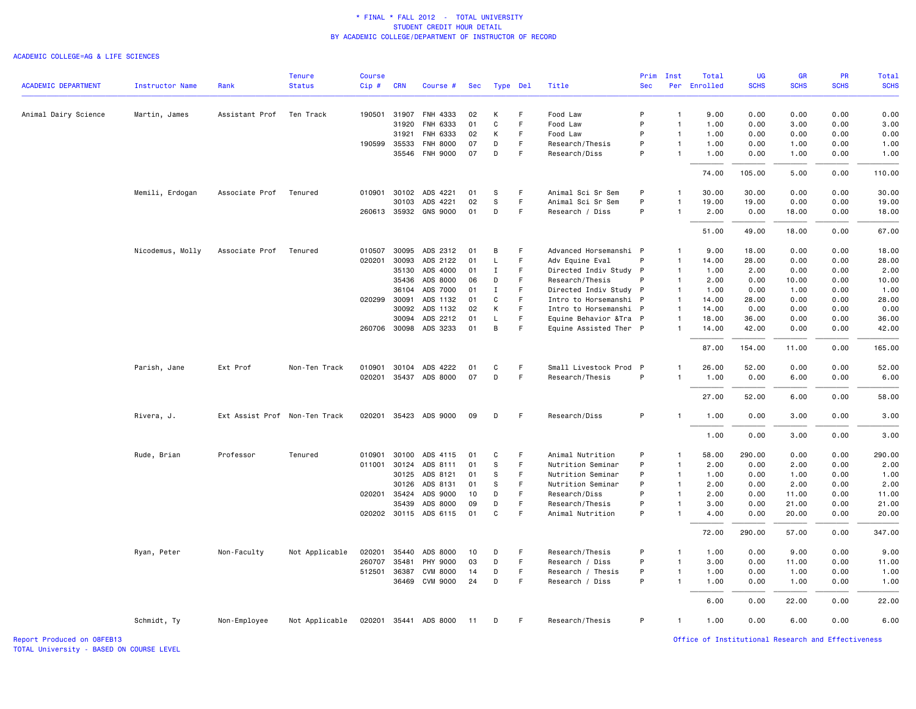#### ACADEMIC COLLEGE=AG & LIFE SCIENCES

|                            |                        |                               | Tenure         | <b>Course</b>    |                |                                   |          |             |             |                                           | Prim       | Inst                         | Total         | UG             | <b>GR</b>     | <b>PR</b>    | Total          |
|----------------------------|------------------------|-------------------------------|----------------|------------------|----------------|-----------------------------------|----------|-------------|-------------|-------------------------------------------|------------|------------------------------|---------------|----------------|---------------|--------------|----------------|
| <b>ACADEMIC DEPARTMENT</b> | <b>Instructor Name</b> | Rank                          | <b>Status</b>  | Cip#             | <b>CRN</b>     | Course #                          | Sec      |             | Type Del    | Title                                     | <b>Sec</b> |                              | Per Enrolled  | <b>SCHS</b>    | <b>SCHS</b>   | <b>SCHS</b>  | <b>SCHS</b>    |
| Animal Dairy Science       | Martin, James          | Assistant Prof                | Ten Track      | 190501           |                | 31907 FNH 4333                    | 02       | К           | -F          | Food Law                                  | P          | $\mathbf{1}$                 | 9.00          | 0.00           | 0.00          | 0.00         | 0.00           |
|                            |                        |                               |                |                  | 31920          | FNH 6333                          | 01       | $\mathbf C$ | F           | Food Law                                  | P          | $\mathbf{1}$                 | 1.00          | 0.00           | 3.00          | 0.00         | 3.00           |
|                            |                        |                               |                |                  | 31921          | FNH 6333                          | 02       | К           | $\mathsf F$ | Food Law                                  | P          | $\overline{1}$               | 1.00          | 0.00           | 0.00          | 0.00         | 0.00           |
|                            |                        |                               |                |                  | 190599 35533   | <b>FNH 8000</b>                   | 07       | D           | F           | Research/Thesis                           | P          | $\overline{1}$               | 1.00          | 0.00           | 1.00          | 0.00         | 1.00           |
|                            |                        |                               |                |                  |                | 35546 FNH 9000                    | 07       | D           | F.          | Research/Diss                             | P          | $\mathbf{1}$                 | 1.00          | 0.00           | 1.00          | 0.00         | 1.00           |
|                            |                        |                               |                |                  |                |                                   |          |             |             |                                           |            |                              | 74.00         | 105.00         | 5.00          | 0.00         | 110.00         |
|                            | Memili, Erdogan        | Associate Prof                | Tenured        |                  | 010901 30102   | ADS 4221                          | 01       | -S          | F           | Animal Sci Sr Sem                         | P          | -1                           | 30.00         | 30.00          | 0.00          | 0.00         | 30.00          |
|                            |                        |                               |                |                  | 30103          | ADS 4221                          | 02       | S           | F.          | Animal Sci Sr Sem                         | P          | $\mathbf{1}$                 | 19.00         | 19.00          | 0.00          | 0.00         | 19.00          |
|                            |                        |                               |                |                  |                | 260613 35932 GNS 9000             | 01       | D           | F           | Research / Diss                           | P          | $\mathbf{1}$                 | 2.00          | 0.00           | 18.00         | 0.00         | 18.00          |
|                            |                        |                               |                |                  |                |                                   |          |             |             |                                           |            |                              | 51.00         | 49.00          | 18.00         | 0.00         | 67.00          |
|                            | Nicodemus, Molly       | Associate Prof                | Tenured        | 010507<br>020201 | 30095<br>30093 | ADS 2312                          | 01       | В           | F<br>F      | Advanced Horsemanshi P                    | P          | $\mathbf{1}$                 | 9.00          | 18.00<br>28.00 | 0.00<br>0.00  | 0.00         | 18.00<br>28.00 |
|                            |                        |                               |                |                  | 35130          | ADS 2122<br>ADS 4000              | 01<br>01 | L<br>Ι.     | F.          | Adv Equine Eval<br>Directed Indiv Study P |            | $\mathbf{1}$<br>$\mathbf{1}$ | 14.00<br>1.00 | 2.00           | 0.00          | 0.00<br>0.00 | 2.00           |
|                            |                        |                               |                |                  | 35436          |                                   | 06       | D           | F           |                                           | P          | $\mathbf{1}$                 |               | 0.00           |               |              | 10.00          |
|                            |                        |                               |                |                  | 36104          | ADS 8000<br>ADS 7000              | 01       | I           | F           | Research/Thesis<br>Directed Indiv Study P |            | $\mathbf{1}$                 | 2.00<br>1.00  | 0.00           | 10.00<br>1.00 | 0.00<br>0.00 | 1.00           |
|                            |                        |                               |                |                  | 020299 30091   | ADS 1132                          | 01       | C           | F.          | Intro to Horsemanshi P                    |            | $\overline{1}$               | 14.00         | 28.00          | 0.00          | 0.00         | 28.00          |
|                            |                        |                               |                |                  | 30092          | ADS 1132                          | 02       | К           | F           | Intro to Horsemanshi P                    |            | $\overline{1}$               | 14.00         | 0.00           | 0.00          | 0.00         | 0.00           |
|                            |                        |                               |                |                  | 30094          | ADS 2212                          | 01       | L           | F           | Equine Behavior & Tra P                   |            | $\mathbf{1}$                 | 18.00         | 36.00          | 0.00          | 0.00         | 36.00          |
|                            |                        |                               |                |                  |                | 260706 30098 ADS 3233             | 01       | B           | F           | Equine Assisted Ther P                    |            | $\mathbf{1}$                 | 14.00         | 42.00          | 0.00          | 0.00         | 42.00          |
|                            |                        |                               |                |                  |                |                                   |          |             |             |                                           |            |                              | 87.00         | 154.00         | 11.00         | 0.00         | 165.00         |
|                            | Parish, Jane           | Ext Prof                      | Non-Ten Track  |                  |                | 010901 30104 ADS 4222             | 01       | C           | F           | Small Livestock Prod P                    |            | $\mathbf{1}$                 | 26.00         | 52.00          | 0.00          | 0.00         | 52.00          |
|                            |                        |                               |                |                  |                | 020201 35437 ADS 8000             | 07       | D           | $\mathsf F$ | Research/Thesis                           | P          | $\overline{1}$               | 1.00          | 0.00           | 6.00          | 0.00         | 6.00           |
|                            |                        |                               |                |                  |                |                                   |          |             |             |                                           |            |                              | 27.00         | 52.00          | 6.00          | 0.00         | 58.00          |
|                            | Rivera, J.             | Ext Assist Prof Non-Ten Track |                |                  |                | 020201 35423 ADS 9000             | 09       | D           | -F          | Research/Diss                             | P          | $\overline{1}$               | 1.00          | 0.00           | 3.00          | 0.00         | 3.00           |
|                            |                        |                               |                |                  |                |                                   |          |             |             |                                           |            |                              | 1.00          | 0.00           | 3.00          | 0.00         | 3.00           |
|                            | Rude, Brian            | Professor                     | Tenured        | 010901           | 30100          | ADS 4115                          | 01       | C           | F           | Animal Nutrition                          | P          | $\mathbf{1}$                 | 58.00         | 290.00         | 0.00          | 0.00         | 290.00         |
|                            |                        |                               |                |                  | 011001 30124   | ADS 8111                          | 01       | S           | F           | Nutrition Seminar                         | P          | $\overline{1}$               | 2.00          | 0.00           | 2.00          | 0.00         | 2.00           |
|                            |                        |                               |                |                  | 30125          | ADS 8121                          | 01       | S           | F           | Nutrition Seminar                         | P          | $\mathbf{1}$                 | 1.00          | 0.00           | 1.00          | 0.00         | 1.00           |
|                            |                        |                               |                |                  | 30126          | ADS 8131                          | 01       | S           | F           | Nutrition Seminar                         | P          | $\mathbf{1}$                 | 2.00          | 0.00           | 2.00          | 0.00         | 2.00           |
|                            |                        |                               |                |                  | 020201 35424   | ADS 9000                          | 10       | D           | F           | Research/Diss                             | P          | $\overline{1}$               | 2.00          | 0.00           | 11.00         | 0.00         | 11.00          |
|                            |                        |                               |                |                  | 35439          | ADS 8000                          | 09       | D           | $\mathsf F$ | Research/Thesis                           | P          | $\mathbf{1}$                 | 3.00          | 0.00           | 21.00         | 0.00         | 21.00          |
|                            |                        |                               |                |                  |                | 020202 30115 ADS 6115             | 01       | $\mathbf C$ | F           | Animal Nutrition                          | P          | $\mathbf{1}$                 | 4.00          | 0.00           | 20.00         | 0.00         | 20.00          |
|                            |                        |                               |                |                  |                |                                   |          |             |             |                                           |            |                              | 72.00         | 290.00         | 57.00         | 0.00         | 347.00         |
|                            | Ryan, Peter            | Non-Faculty                   | Not Applicable | 020201           | 35440          | ADS 8000                          | 10       | D           | F           | Research/Thesis                           | P          | $\mathbf{1}$                 | 1.00          | 0.00           | 9.00          | 0.00         | 9.00           |
|                            |                        |                               |                | 260707           | 35481          | PHY 9000                          | 03       | D           | F           | Research / Diss                           | P          | $\overline{1}$               | 3.00          | 0.00           | 11.00         | 0.00         | 11.00          |
|                            |                        |                               |                |                  | 512501 36387   | <b>CVM 8000</b><br>36469 CVM 9000 | 14<br>24 | D<br>D      | F.<br>F     | Research / Thesis<br>Research / Diss      | P<br>P     | $\mathbf{1}$<br>$\mathbf{1}$ | 1.00<br>1.00  | 0.00<br>0.00   | 1.00<br>1.00  | 0.00<br>0.00 | 1.00<br>1.00   |
|                            |                        |                               |                |                  |                |                                   |          |             |             |                                           |            |                              | 6.00          | 0.00           | 22.00         | 0.00         | 22.00          |
|                            |                        |                               |                |                  |                |                                   |          |             |             |                                           |            |                              |               |                |               |              |                |
|                            | Schmidt, Ty            | Non-Employee                  | Not Applicable |                  |                | 020201 35441 ADS 8000             | 11       | D           | -F          | Research/Thesis                           | P          | $\mathbf{1}$                 | 1.00          | 0.00           | 6.00          | 0.00         | 6.00           |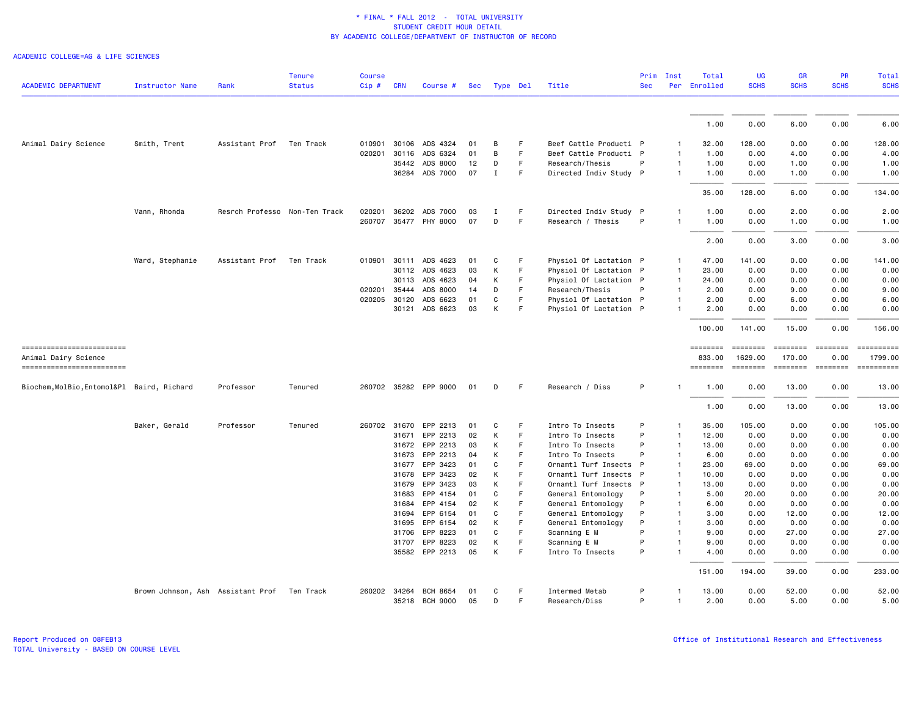ACADEMIC COLLEGE=AG & LIFE SCIENCES

| <b>ACADEMIC DEPARTMENT</b>                       | <b>Instructor Name</b>                      | Rank                          | <b>Tenure</b><br><b>Status</b> | <b>Course</b><br>$Cip$ # | CRN            | Course #              | Sec      |             | Type Del | Title                                    | Prim<br><b>Sec</b> | Inst                           | Total<br>Per Enrolled | <b>UG</b><br><b>SCHS</b> | <b>GR</b><br><b>SCHS</b>  | <b>PR</b><br><b>SCHS</b>                                                        | <b>Total</b><br><b>SCHS</b>                                                                                                                                                                                                                                                                                                                                                                                                                                                        |
|--------------------------------------------------|---------------------------------------------|-------------------------------|--------------------------------|--------------------------|----------------|-----------------------|----------|-------------|----------|------------------------------------------|--------------------|--------------------------------|-----------------------|--------------------------|---------------------------|---------------------------------------------------------------------------------|------------------------------------------------------------------------------------------------------------------------------------------------------------------------------------------------------------------------------------------------------------------------------------------------------------------------------------------------------------------------------------------------------------------------------------------------------------------------------------|
|                                                  |                                             |                               |                                |                          |                |                       |          |             |          |                                          |                    |                                |                       |                          |                           |                                                                                 |                                                                                                                                                                                                                                                                                                                                                                                                                                                                                    |
|                                                  |                                             |                               |                                |                          |                |                       |          |             |          |                                          |                    |                                | 1.00                  | 0.00                     | 6.00                      | 0.00                                                                            | 6.00                                                                                                                                                                                                                                                                                                                                                                                                                                                                               |
| Animal Dairy Science                             | Smith, Trent                                | Assistant Prof                | Ten Track                      | 010901                   |                | 30106 ADS 4324        | 01       | B           | F        | Beef Cattle Producti P                   |                    | $\mathbf{1}$                   | 32.00                 | 128.00                   | 0.00                      | 0.00                                                                            | 128.00                                                                                                                                                                                                                                                                                                                                                                                                                                                                             |
|                                                  |                                             |                               |                                | 020201                   | 30116          | ADS 6324              | 01       | B           | F        | Beef Cattle Producti P                   |                    | $\mathbf{1}$                   | 1.00                  | 0.00                     | 4.00                      | 0.00                                                                            | 4.00                                                                                                                                                                                                                                                                                                                                                                                                                                                                               |
|                                                  |                                             |                               |                                |                          | 35442          | ADS 8000              | 12       | D           | F        | Research/Thesis                          | P                  | $\mathbf{1}$                   | 1.00                  | 0.00                     | 1.00                      | 0.00                                                                            | 1.00                                                                                                                                                                                                                                                                                                                                                                                                                                                                               |
|                                                  |                                             |                               |                                |                          |                | 36284 ADS 7000        | 07       | $\mathbf I$ | F.       | Directed Indiv Study P                   |                    | $\mathbf{1}$                   | 1.00                  | 0.00                     | 1.00                      | 0.00                                                                            | 1.00                                                                                                                                                                                                                                                                                                                                                                                                                                                                               |
|                                                  |                                             |                               |                                |                          |                |                       |          |             |          |                                          |                    |                                | 35.00                 | 128.00                   | 6.00                      | 0.00                                                                            | 134.00                                                                                                                                                                                                                                                                                                                                                                                                                                                                             |
|                                                  | Vann, Rhonda                                | Resrch Professo Non-Ten Track |                                | 020201                   | 36202          | ADS 7000              | 03       | Ι           | F        | Directed Indiv Study P                   |                    | 1                              | 1.00                  | 0.00                     | 2.00                      | 0.00                                                                            | 2.00                                                                                                                                                                                                                                                                                                                                                                                                                                                                               |
|                                                  |                                             |                               |                                |                          |                | 260707 35477 PHY 8000 | 07       | D           | F        | Research / Thesis                        | P                  | $\mathbf{1}$                   | 1.00                  | 0.00                     | 1.00                      | 0.00                                                                            | 1.00                                                                                                                                                                                                                                                                                                                                                                                                                                                                               |
|                                                  |                                             |                               |                                |                          |                |                       |          |             |          |                                          |                    |                                | 2.00                  | 0.00                     | 3.00                      | 0.00                                                                            | 3.00                                                                                                                                                                                                                                                                                                                                                                                                                                                                               |
|                                                  | Ward, Stephanie                             | Assistant Prof                | Ten Track                      | 010901                   | 30111          | ADS 4623              | 01       | C           | F        | Physiol Of Lactation P                   |                    | $\mathbf{1}$                   | 47.00                 | 141.00                   | 0.00                      | 0.00                                                                            | 141.00                                                                                                                                                                                                                                                                                                                                                                                                                                                                             |
|                                                  |                                             |                               |                                |                          |                | 30112 ADS 4623        | 03       | К           | F        | Physiol Of Lactation P                   |                    | $\mathbf{1}$                   | 23.00                 | 0.00                     | 0.00                      | 0.00                                                                            | 0.00                                                                                                                                                                                                                                                                                                                                                                                                                                                                               |
|                                                  |                                             |                               |                                |                          | 30113          | ADS 4623              | 04       | К           | F        | Physiol Of Lactation P                   |                    | $\mathbf{1}$                   | 24.00                 | 0.00                     | 0.00                      | 0.00                                                                            | 0.00                                                                                                                                                                                                                                                                                                                                                                                                                                                                               |
|                                                  |                                             |                               |                                | 020201                   | 35444          | ADS 8000              | 14       | D           | F        | Research/Thesis                          | P                  | $\mathbf{1}$                   | 2.00                  | 0.00                     | 9.00                      | 0.00                                                                            | 9.00                                                                                                                                                                                                                                                                                                                                                                                                                                                                               |
|                                                  |                                             |                               |                                | 020205 30120             |                | ADS 6623              | 01       | C           | F        | Physiol Of Lactation P                   |                    | $\mathbf{1}$                   | 2.00                  | 0.00                     | 6.00                      | 0.00                                                                            | 6.00                                                                                                                                                                                                                                                                                                                                                                                                                                                                               |
|                                                  |                                             |                               |                                |                          |                | 30121 ADS 6623        | 03       | К           | F        | Physiol Of Lactation P                   |                    | $\mathbf{1}$                   | 2.00                  | 0.00                     | 0.00                      | 0.00                                                                            | 0.00                                                                                                                                                                                                                                                                                                                                                                                                                                                                               |
|                                                  |                                             |                               |                                |                          |                |                       |          |             |          |                                          |                    |                                | 100.00                | 141.00                   | 15.00                     | 0.00                                                                            | 156.00                                                                                                                                                                                                                                                                                                                                                                                                                                                                             |
| ==========================                       |                                             |                               |                                |                          |                |                       |          |             |          |                                          |                    |                                | ========              |                          | <b>EBBBBBBB</b>           | <b>ESSESSE</b>                                                                  | ==========                                                                                                                                                                                                                                                                                                                                                                                                                                                                         |
| Animal Dairy Science<br>------------------------ |                                             |                               |                                |                          |                |                       |          |             |          |                                          |                    |                                | 833.00<br>========    | 1629.00                  | 170.00<br><b>SEBBEBEB</b> | 0.00<br>$\qquad \qquad \equiv \equiv \equiv \equiv \equiv \equiv \equiv \equiv$ | 1799.00<br>$\begin{minipage}{0.9\linewidth} \hspace*{-0.2cm} \textbf{if the number of } \textit{if} \textit{if} \textit{if} \textit{if} \textit{if} \textit{if} \textit{if} \textit{if} \textit{if} \textit{if} \textit{if} \textit{if} \textit{if} \textit{if} \textit{if} \textit{if} \textit{if} \textit{if} \textit{if} \textit{if} \textit{if} \textit{if} \textit{if} \textit{if} \textit{if} \textit{if} \textit{if} \textit{if} \textit{if} \textit{if} \textit{if} \text$ |
| Biochem, MolBio, Entomol&Pl Baird, Richard       |                                             | Professor                     | Tenured                        |                          |                | 260702 35282 EPP 9000 | 01       | D           | F        | Research / Diss                          | P                  |                                | 1.00                  | 0.00                     | 13.00                     | 0.00                                                                            | 13,00                                                                                                                                                                                                                                                                                                                                                                                                                                                                              |
|                                                  |                                             |                               |                                |                          |                |                       |          |             |          |                                          |                    |                                |                       |                          |                           |                                                                                 |                                                                                                                                                                                                                                                                                                                                                                                                                                                                                    |
|                                                  |                                             |                               |                                |                          |                |                       |          |             |          |                                          |                    |                                | 1.00                  | 0.00                     | 13.00                     | 0.00                                                                            | 13.00                                                                                                                                                                                                                                                                                                                                                                                                                                                                              |
|                                                  | Baker, Gerald                               | Professor                     | Tenured                        |                          |                | 260702 31670 EPP 2213 | 01       | C           | F        | Intro To Insects                         | P                  | 1                              | 35.00                 | 105.00                   | 0.00                      | 0.00                                                                            | 105.00                                                                                                                                                                                                                                                                                                                                                                                                                                                                             |
|                                                  |                                             |                               |                                |                          | 31671          | EPP 2213              | 02       | K           | F.       | Intro To Insects                         | P                  | $\mathbf{1}$                   | 12.00                 | 0.00                     | 0.00                      | 0.00                                                                            | 0.00                                                                                                                                                                                                                                                                                                                                                                                                                                                                               |
|                                                  |                                             |                               |                                |                          | 31672          | EPP 2213              | 03       | K           | F        | Intro To Insects                         | P<br>P             | 1                              | 13.00                 | 0.00                     | 0.00                      | 0.00                                                                            | 0.00                                                                                                                                                                                                                                                                                                                                                                                                                                                                               |
|                                                  |                                             |                               |                                |                          | 31673<br>31677 | EPP 2213<br>EPP 3423  | 04<br>01 | K<br>C      | F<br>F   | Intro To Insects<br>Ornamtl Turf Insects | $\mathsf{P}$       | $\overline{1}$<br>$\mathbf{1}$ | 6.00<br>23.00         | 0.00<br>69.00            | 0.00<br>0.00              | 0.00<br>0.00                                                                    | 0.00<br>69.00                                                                                                                                                                                                                                                                                                                                                                                                                                                                      |
|                                                  |                                             |                               |                                |                          | 31678          | EPP 3423              | 02       | К           | F        | Ornamtl Turf Insects                     | $\mathsf{P}$       | $\mathbf{1}$                   | 10.00                 | 0.00                     | 0.00                      | 0.00                                                                            | 0.00                                                                                                                                                                                                                                                                                                                                                                                                                                                                               |
|                                                  |                                             |                               |                                |                          | 31679          | EPP 3423              | 03       | K           | F        | Ornamtl Turf Insects P                   |                    | $\overline{1}$                 | 13.00                 | 0.00                     | 0.00                      | 0.00                                                                            | 0.00                                                                                                                                                                                                                                                                                                                                                                                                                                                                               |
|                                                  |                                             |                               |                                |                          | 31683          | EPP 4154              | 01       | C           | F        | General Entomology                       | P                  | $\mathbf{1}$                   | 5.00                  | 20.00                    | 0.00                      | 0.00                                                                            | 20.00                                                                                                                                                                                                                                                                                                                                                                                                                                                                              |
|                                                  |                                             |                               |                                |                          | 31684          | EPP 4154              | 02       | К           | F        | General Entomology                       | P                  | 1                              | 6.00                  | 0.00                     | 0.00                      | 0.00                                                                            | 0.00                                                                                                                                                                                                                                                                                                                                                                                                                                                                               |
|                                                  |                                             |                               |                                |                          | 31694          | EPP 6154              | 01       | C           | F        | General Entomology                       | P                  | $\mathbf{1}$                   | 3.00                  | 0.00                     | 12.00                     | 0.00                                                                            | 12.00                                                                                                                                                                                                                                                                                                                                                                                                                                                                              |
|                                                  |                                             |                               |                                |                          | 31695          | EPP 6154              | 02       | К           | F        | General Entomology                       | P                  | $\mathbf{1}$                   | 3.00                  | 0.00                     | 0.00                      | 0.00                                                                            | 0.00                                                                                                                                                                                                                                                                                                                                                                                                                                                                               |
|                                                  |                                             |                               |                                |                          | 31706          | EPP 8223              | 01       | C           | F        | Scanning E M                             | P                  | $\mathbf{1}$                   | 9.00                  | 0.00                     | 27.00                     | 0.00                                                                            | 27.00                                                                                                                                                                                                                                                                                                                                                                                                                                                                              |
|                                                  |                                             |                               |                                |                          | 31707          | EPP 8223              | 02       | K           | F        | Scanning E M                             | P                  | $\mathbf{1}$                   | 9.00                  | 0.00                     | 0.00                      | 0.00                                                                            | 0.00                                                                                                                                                                                                                                                                                                                                                                                                                                                                               |
|                                                  |                                             |                               |                                |                          |                | 35582 EPP 2213        | 05       | K           | F        | Intro To Insects                         | P                  | $\mathbf{1}$                   | 4.00                  | 0.00                     | 0.00                      | 0.00                                                                            | 0.00                                                                                                                                                                                                                                                                                                                                                                                                                                                                               |
|                                                  |                                             |                               |                                |                          |                |                       |          |             |          |                                          |                    |                                | 151.00                | 194.00                   | 39.00                     | 0.00                                                                            | 233.00                                                                                                                                                                                                                                                                                                                                                                                                                                                                             |
|                                                  | Brown Johnson, Ash Assistant Prof Ten Track |                               |                                | 260202 34264             |                | <b>BCH 8654</b>       | 01       | C           | E        | Intermed Metab                           | P                  | -1                             | 13.00                 | 0.00                     | 52.00                     | 0.00                                                                            | 52.00                                                                                                                                                                                                                                                                                                                                                                                                                                                                              |
|                                                  |                                             |                               |                                |                          |                | 35218 BCH 9000        | 05       | D           | F        | Research/Diss                            | P                  | $\mathbf{1}$                   | 2.00                  | 0.00                     | 5.00                      | 0.00                                                                            | 5.00                                                                                                                                                                                                                                                                                                                                                                                                                                                                               |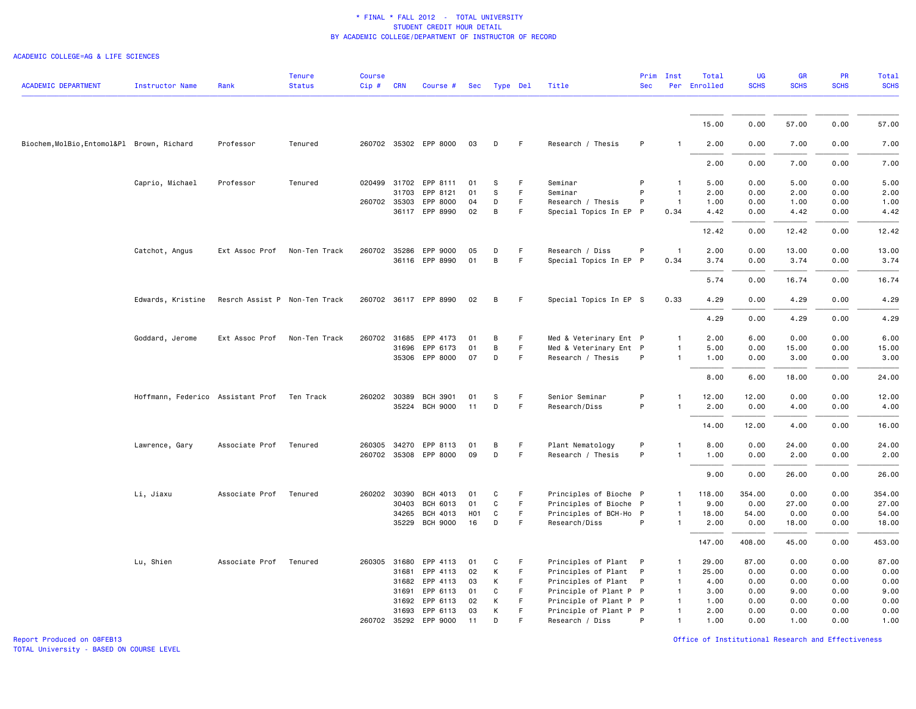#### ACADEMIC COLLEGE=AG & LIFE SCIENCES

| <b>ACADEMIC DEPARTMENT</b>                 | <b>Instructor Name</b>            | Rank                          | <b>Tenure</b><br><b>Status</b> | <b>Course</b><br>$Cip \#$ | <b>CRN</b>   | Course #              | Sec              | Type Del |    | Title                  | <b>Sec</b>   | Prim Inst      | Total<br>Per Enrolled | <b>UG</b><br><b>SCHS</b> | GR<br><b>SCHS</b> | <b>PR</b><br><b>SCHS</b> | <b>Total</b><br><b>SCHS</b> |
|--------------------------------------------|-----------------------------------|-------------------------------|--------------------------------|---------------------------|--------------|-----------------------|------------------|----------|----|------------------------|--------------|----------------|-----------------------|--------------------------|-------------------|--------------------------|-----------------------------|
|                                            |                                   |                               |                                |                           |              |                       |                  |          |    |                        |              |                |                       |                          |                   |                          |                             |
|                                            |                                   |                               |                                |                           |              |                       |                  |          |    |                        |              |                | 15.00                 | 0.00                     | 57.00             | 0.00                     | 57.00                       |
| Biochem, MolBio, Entomol&Pl Brown, Richard |                                   | Professor                     | Tenured                        |                           |              | 260702 35302 EPP 8000 | 03               | D        | F. | Research / Thesis      | P            | $\mathbf{1}$   | 2.00                  | 0.00                     | 7.00              | 0.00                     | 7.00                        |
|                                            |                                   |                               |                                |                           |              |                       |                  |          |    |                        |              |                | 2.00                  | 0.00                     | 7.00              | 0.00                     | 7.00                        |
|                                            | Caprio, Michael                   | Professor                     | Tenured                        |                           | 020499 31702 | EPP 8111              | 01               | S        | F  | Seminar                | P            | $\mathbf{1}$   | 5.00                  | 0.00                     | 5.00              | 0.00                     | 5.00                        |
|                                            |                                   |                               |                                |                           | 31703        | EPP 8121              | 01               | S        | F  | Seminar                | P            | $\overline{1}$ | 2.00                  | 0.00                     | 2.00              | 0.00                     | 2.00                        |
|                                            |                                   |                               |                                | 260702 35303              |              | EPP 8000              | 04               | D        | F. | Research / Thesis      | P            | $\overline{1}$ | 1.00                  | 0.00                     | 1.00              | 0.00                     | 1.00                        |
|                                            |                                   |                               |                                |                           |              | 36117 EPP 8990        | 02               | B        | F  | Special Topics In EP P |              | 0.34           | 4.42                  | 0.00                     | 4.42              | 0.00                     | 4.42                        |
|                                            |                                   |                               |                                |                           |              |                       |                  |          |    |                        |              |                | 12.42                 | 0.00                     | 12.42             | 0.00                     | 12.42                       |
|                                            | Catchot, Angus                    | Ext Assoc Prof                | Non-Ten Track                  |                           |              | 260702 35286 EPP 9000 | 05               | D        | F  | Research / Diss        | P            | $\mathbf{1}$   | 2.00                  | 0.00                     | 13.00             | 0.00                     | 13.00                       |
|                                            |                                   |                               |                                |                           |              | 36116 EPP 8990        | 01               | B        | F  | Special Topics In EP P |              | 0.34           | 3.74                  | 0.00                     | 3.74              | 0.00                     | 3.74                        |
|                                            |                                   |                               |                                |                           |              |                       |                  |          |    |                        |              |                | 5.74                  | 0.00                     | 16.74             | 0.00                     | 16.74                       |
|                                            | Edwards, Kristine                 | Resrch Assist P Non-Ten Track |                                |                           |              | 260702 36117 EPP 8990 | 02               | B        | F. | Special Topics In EP S |              | 0.33           | 4.29                  | 0.00                     | 4.29              | 0.00                     | 4.29                        |
|                                            |                                   |                               |                                |                           |              |                       |                  |          |    |                        |              |                | 4.29                  | 0.00                     | 4.29              | 0.00                     | 4.29                        |
|                                            | Goddard, Jerome                   | Ext Assoc Prof                | Non-Ten Track                  | 260702 31685              |              | EPP 4173              | 01               | B        | F  | Med & Veterinary Ent P |              | $\mathbf{1}$   | 2.00                  | 6.00                     | 0.00              | 0.00                     | 6.00                        |
|                                            |                                   |                               |                                |                           |              | 31696 EPP 6173        | 01               | B        | F  | Med & Veterinary Ent P |              | $\mathbf{1}$   | 5.00                  | 0.00                     | 15.00             | 0.00                     | 15.00                       |
|                                            |                                   |                               |                                |                           |              | 35306 EPP 8000        | 07               | D        | F  | Research / Thesis      | P            | $\mathbf{1}$   | 1.00                  | 0.00                     | 3.00              | 0.00                     | 3.00                        |
|                                            |                                   |                               |                                |                           |              |                       |                  |          |    |                        |              |                |                       |                          |                   |                          |                             |
|                                            |                                   |                               |                                |                           |              |                       |                  |          |    |                        |              |                | 8.00                  | 6.00                     | 18.00             | 0.00                     | 24.00                       |
|                                            | Hoffmann, Federico Assistant Prof |                               | Ten Track                      |                           | 260202 30389 | <b>BCH 3901</b>       | 01               | S        | F  | Senior Seminar         | P            | $\mathbf{1}$   | 12.00                 | 12.00                    | 0.00              | 0.00                     | 12.00                       |
|                                            |                                   |                               |                                |                           |              | 35224 BCH 9000        | 11               | D        | F. | Research/Diss          | P            | $\mathbf{1}$   | 2.00                  | 0.00                     | 4.00              | 0.00                     | 4.00                        |
|                                            |                                   |                               |                                |                           |              |                       |                  |          |    |                        |              |                | 14.00                 | 12.00                    | 4.00              | 0.00                     | 16.00                       |
|                                            | Lawrence, Gary                    | Associate Prof                | Tenured                        |                           |              | 260305 34270 EPP 8113 | 01               | B        | F  | Plant Nematology       | P            | $\mathbf{1}$   | 8.00                  | 0.00                     | 24.00             | 0.00                     | 24.00                       |
|                                            |                                   |                               |                                |                           |              | 260702 35308 EPP 8000 | 09               | D        | F  | Research / Thesis      | P            | $\mathbf{1}$   | 1.00                  | 0.00                     | 2.00              | 0.00                     | 2.00                        |
|                                            |                                   |                               |                                |                           |              |                       |                  |          |    |                        |              |                | 9.00                  | 0.00                     | 26.00             | 0.00                     | 26.00                       |
|                                            | Li, Jiaxu                         | Associate Prof                | Tenured                        | 260202 30390              |              | BCH 4013              | 01               | C        | F  | Principles of Bioche P |              | $\mathbf{1}$   | 118.00                | 354.00                   | 0.00              | 0.00                     | 354.00                      |
|                                            |                                   |                               |                                |                           | 30403        | BCH 6013              | 01               | C        | F. | Principles of Bioche P |              | $\mathbf{1}$   | 9.00                  | 0.00                     | 27.00             | 0.00                     | 27.00                       |
|                                            |                                   |                               |                                |                           | 34265        | BCH 4013              | H <sub>0</sub> 1 | C        | F  | Principles of BCH-Ho P |              | 1              | 18.00                 | 54.00                    | 0.00              | 0.00                     | 54.00                       |
|                                            |                                   |                               |                                |                           |              | 35229 BCH 9000        | 16               | D        | F  | Research/Diss          | P            | $\mathbf{1}$   | 2.00                  | 0.00                     | 18.00             | 0.00                     | 18.00                       |
|                                            |                                   |                               |                                |                           |              |                       |                  |          |    |                        |              |                | 147.00                | 408.00                   | 45.00             | 0.00                     | 453.00                      |
|                                            | Lu, Shien                         | Associate Prof                | Tenured                        | 260305 31680              |              | EPP 4113              | 01               | C        | F  | Principles of Plant P  |              | $\mathbf{1}$   | 29.00                 | 87.00                    | 0.00              | 0.00                     | 87.00                       |
|                                            |                                   |                               |                                |                           | 31681        | EPP 4113              | 02               | К        | F  | Principles of Plant    | P            | $\mathbf{1}$   | 25.00                 | 0.00                     | 0.00              | 0.00                     | 0.00                        |
|                                            |                                   |                               |                                |                           | 31682        | EPP 4113              | 03               | К        | F. | Principles of Plant    | $\mathsf{P}$ | $\mathbf{1}$   | 4.00                  | 0.00                     | 0.00              | 0.00                     | 0.00                        |
|                                            |                                   |                               |                                |                           | 31691        | EPP 6113              | 01               | C        | F  | Principle of Plant P P |              | $\mathbf{1}$   | 3.00                  | 0.00                     | 9.00              | 0.00                     | 9.00                        |
|                                            |                                   |                               |                                |                           | 31692        | EPP 6113              | 02               | K        | F. | Principle of Plant P P |              | $\mathbf{1}$   | 1.00                  | 0.00                     | 0.00              | 0.00                     | 0.00                        |
|                                            |                                   |                               |                                |                           | 31693        | EPP 6113              | 03               | К        | F  | Principle of Plant P P |              | 1              | 2.00                  | 0.00                     | 0.00              | 0.00                     | 0.00                        |
|                                            |                                   |                               |                                |                           |              | 260702 35292 EPP 9000 | 11               | D        | F  | Research / Diss        | P            | $\mathbf{1}$   | 1.00                  | 0.00                     | 1.00              | 0.00                     | 1.00                        |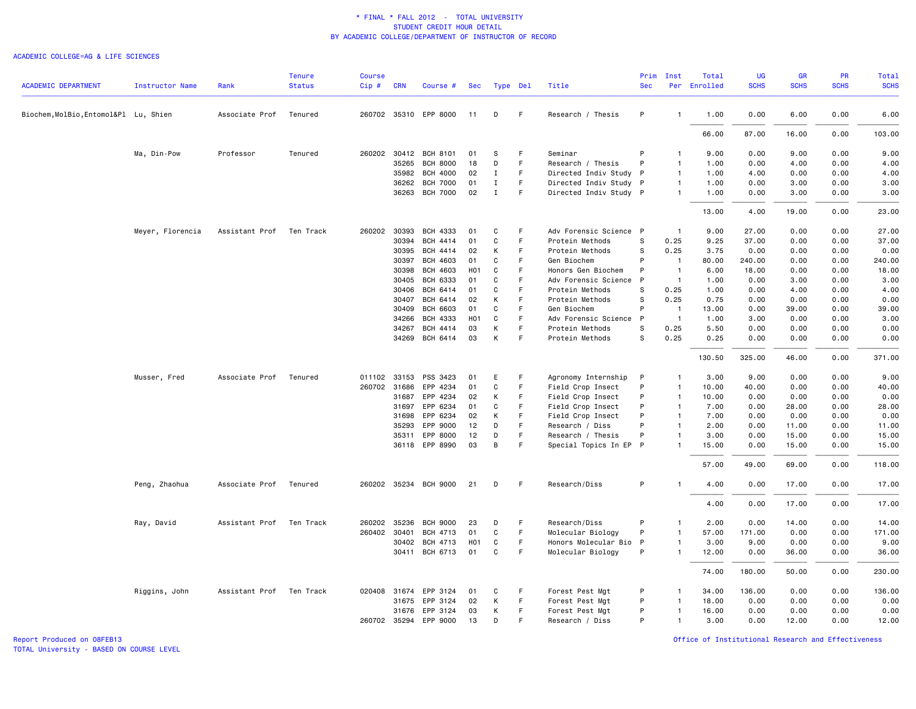#### ACADEMIC COLLEGE=AG & LIFE SCIENCES

| Type Del<br>Biochem, MolBio, Entomol&Pl Lu, Shien<br>Associate Prof<br>Tenured<br>260702 35310 EPP 8000<br>F<br>Research / Thesis<br>P<br>1.00<br>0.00<br>6.00<br>0.00<br>11<br>D<br>$\mathbf{1}$<br>87.00<br>16.00<br>0.00<br>66.00<br>Ma, Din-Pow<br>Professor<br>Tenured<br>260202 30412<br><b>BCH 8101</b><br>Seminar<br>9.00<br>0.00<br>9.00<br>0.00<br>01<br>S<br>F<br>P<br>$\mathbf{1}$<br>F.<br>35265<br><b>BCH 8000</b><br>18<br>D<br>Research / Thesis<br>P<br>$\mathbf{1}$<br>1.00<br>0.00<br>4.00<br>0.00<br>35982<br><b>BCH 4000</b><br>$\mathbf I$<br>Directed Indiv Study P<br>0.00<br>0.00<br>02<br>F.<br>$\mathbf{1}$<br>1.00<br>4.00<br><b>BCH 7000</b><br>01<br>$\mathbf I$<br>F<br>Directed Indiv Study P<br>0.00<br>3.00<br>0.00<br>36262<br>$\mathbf{1}$<br>1.00<br>36263 BCH 7000<br>$\mathbf I$<br>02<br>F.<br>Directed Indiv Study P<br>$\mathbf{1}$<br>1.00<br>0.00<br>3.00<br>0.00<br>19.00<br>0.00<br>13.00<br>4.00<br>Meyer, Florencia<br>Assistant Prof<br>Ten Track<br>260202 30393<br>BCH 4333<br>01<br>C<br>F<br>Adv Forensic Science P<br>$\overline{1}$<br>9.00<br>27.00<br>0.00<br>0.00<br>30394<br>BCH 4414<br>01<br>C<br>F<br>Protein Methods<br>S<br>0.25<br>9.25<br>37.00<br>0.00<br>0.00<br>BCH 4414<br>К<br>S<br>0.25<br>0.00<br>0.00<br>0.00<br>30395<br>02<br>F<br>Protein Methods<br>3.75<br>P<br>BCH 4603<br>01<br>C<br>F<br>80.00<br>240.00<br>0.00<br>0.00<br>30397<br>Gen Biochem<br>$\overline{1}$<br>P<br>30398<br>BCH 4603<br>H <sub>0</sub> 1<br>C<br>$\overline{1}$<br>18.00<br>0.00<br>0.00<br>F<br>Honors Gen Biochem<br>6.00<br>30405<br><b>BCH 6333</b><br>01<br>C<br>F<br>Adv Forensic Science<br>P<br>$\overline{1}$<br>1.00<br>0.00<br>3.00<br>0.00<br>F.<br>0.25<br>30406<br>BCH 6414<br>01<br>C<br>Protein Methods<br>S<br>1.00<br>0.00<br>4.00<br>0.00<br>K<br>30407<br>BCH 6414<br>02<br>Protein Methods<br>s<br>0.25<br>0.75<br>0.00<br>0.00<br>0.00<br>F<br><b>BCH 6603</b><br>$\mathbf{C}$<br>F<br>P<br>30409<br>01<br>Gen Biochem<br>$\overline{1}$<br>13.00<br>0.00<br>39.00<br>0.00<br>BCH 4333<br>C<br>F.<br>P<br>$\overline{1}$<br>0.00<br>34266<br>H <sub>0</sub> 1<br>Adv Forensic Science<br>1.00<br>3.00<br>0.00<br>K<br>0.25<br>0.00<br>34267<br>BCH 4414<br>03<br>F.<br>Protein Methods<br>s<br>5.50<br>0.00<br>0.00<br>34269<br>BCH 6414<br>03<br>К<br>F<br>Protein Methods<br>S<br>0.25<br>0.25<br>0.00<br>0.00<br>0.00<br>130.50<br>325.00<br>0.00<br>46.00<br>Musser, Fred<br>Associate Prof<br>Tenured<br>011102 33153<br>PSS 3423<br>Agronomy Internship<br>3.00<br>9.00<br>0.00<br>0.00<br>01<br>E<br>F<br>-P<br>1<br>$\mathtt{C}$<br>F.<br>P<br>0.00<br>0.00<br>260702 31686<br>EPP 4234<br>01<br>Field Crop Insect<br>$\overline{1}$<br>10.00<br>40.00<br>К<br>F<br>P<br>0.00<br>31687<br>EPP 4234<br>02<br>Field Crop Insect<br>$\mathbf{1}$<br>10.00<br>0.00<br>0.00<br>31697<br>EPP 6234<br>01<br>C<br>F<br>Field Crop Insect<br>P<br>7.00<br>0.00<br>28.00<br>0.00<br>$\mathbf{1}$<br>EPP 6234<br>F.<br>P<br>0.00<br>0.00<br>31698<br>02<br>К<br>Field Crop Insect<br>$\mathbf{1}$<br>7.00<br>0.00<br>P<br>0.00<br>35293<br>EPP 9000<br>12<br>D<br>F<br>Research / Diss<br>$\mathbf{1}$<br>2.00<br>0.00<br>11.00<br>EPP 8000<br>12<br>D<br>F<br>P<br>15.00<br>0.00<br>35311<br>Research / Thesis<br>$\mathbf{1}$<br>3.00<br>0.00<br>36118 EPP 8990<br>03<br>B<br>F<br>Special Topics In EP P<br>15.00<br>0.00<br>15.00<br>0.00<br>$\mathbf{1}$<br>57.00<br>49.00<br>69.00<br>0.00<br>Peng, Zhaohua<br>Associate Prof<br>260202 35234 BCH 9000<br>21<br>D<br>F<br>Research/Diss<br>P<br>Tenured<br>$\mathbf{1}$<br>4.00<br>0.00<br>17.00<br>0.00<br>4.00<br>0.00<br>17.00<br>0.00<br>P<br>35236<br>F<br>Research/Diss<br>0.00<br>14.00<br>Ray, David<br>Assistant Prof<br>Ten Track<br>260202<br><b>BCH 9000</b><br>23<br>D<br>$\mathbf{1}$<br>2.00<br>0.00<br>F<br>P<br>260402 30401<br>BCH 4713<br>01<br>C<br>Molecular Biology<br>$\mathbf{1}$<br>57.00<br>171.00<br>0.00<br>0.00<br>30402<br>BCH 4713<br>H <sub>0</sub> 1<br>C<br>F<br>Honors Molecular Bio<br>$\mathsf{P}$<br>3.00<br>9.00<br>0.00<br>0.00<br>1<br>BCH 6713<br>01<br>C<br>Molecular Biology<br>P<br>30411<br>F<br>12.00<br>0.00<br>36.00<br>0.00<br>$\mathbf{1}$<br>74.00<br>180.00<br>50.00<br>0.00<br>Assistant Prof<br>EPP 3124<br>P<br>136.00<br>0.00<br>0.00<br>Riggins, John<br>Ten Track<br>020408 31674<br>01<br>C<br>F<br>Forest Pest Mgt<br>34.00<br>-1<br>P<br>31675<br>EPP 3124<br>02<br>К<br>F<br>18.00<br>0.00<br>0.00<br>0.00<br>Forest Pest Mgt<br>$\mathbf{1}$<br>P<br>31676 EPP 3124<br>03<br>К<br>F<br>$\overline{1}$<br>0.00<br>0.00<br>0.00<br>Forest Pest Mgt<br>16.00<br>260702 35294<br>EPP 9000<br>13<br>D<br>P<br>3.00<br>0.00<br>12.00<br>0.00<br>F<br>Research / Diss<br>$\mathbf{1}$ | <b>ACADEMIC DEPARTMENT</b> | Instructor Name | Rank | <b>Tenure</b><br><b>Status</b> | <b>Course</b><br>Cip# | <b>CRN</b> | Course # | Sec |  | Title | Prim<br><b>Sec</b> | Inst | Total<br>Per Enrolled | <b>UG</b><br><b>SCHS</b> | <b>GR</b><br><b>SCHS</b> | PR<br><b>SCHS</b> | <b>Total</b><br><b>SCHS</b> |
|-----------------------------------------------------------------------------------------------------------------------------------------------------------------------------------------------------------------------------------------------------------------------------------------------------------------------------------------------------------------------------------------------------------------------------------------------------------------------------------------------------------------------------------------------------------------------------------------------------------------------------------------------------------------------------------------------------------------------------------------------------------------------------------------------------------------------------------------------------------------------------------------------------------------------------------------------------------------------------------------------------------------------------------------------------------------------------------------------------------------------------------------------------------------------------------------------------------------------------------------------------------------------------------------------------------------------------------------------------------------------------------------------------------------------------------------------------------------------------------------------------------------------------------------------------------------------------------------------------------------------------------------------------------------------------------------------------------------------------------------------------------------------------------------------------------------------------------------------------------------------------------------------------------------------------------------------------------------------------------------------------------------------------------------------------------------------------------------------------------------------------------------------------------------------------------------------------------------------------------------------------------------------------------------------------------------------------------------------------------------------------------------------------------------------------------------------------------------------------------------------------------------------------------------------------------------------------------------------------------------------------------------------------------------------------------------------------------------------------------------------------------------------------------------------------------------------------------------------------------------------------------------------------------------------------------------------------------------------------------------------------------------------------------------------------------------------------------------------------------------------------------------------------------------------------------------------------------------------------------------------------------------------------------------------------------------------------------------------------------------------------------------------------------------------------------------------------------------------------------------------------------------------------------------------------------------------------------------------------------------------------------------------------------------------------------------------------------------------------------------------------------------------------------------------------------------------------------------------------------------------------------------------------------------------------------------------------------------------------------------------------------------------------------------------------------------------------------------------------------------------------------------------------------------------------------------------------------------------------------------------------------------------------------------------------------------------------------------------------------------------------------------------------------------------------------------------------------------------------------------------------------------------------------------------------------------------------------------------------------------------------------------------------------------------------------------------------------------------------------------------------------------------------------|----------------------------|-----------------|------|--------------------------------|-----------------------|------------|----------|-----|--|-------|--------------------|------|-----------------------|--------------------------|--------------------------|-------------------|-----------------------------|
|                                                                                                                                                                                                                                                                                                                                                                                                                                                                                                                                                                                                                                                                                                                                                                                                                                                                                                                                                                                                                                                                                                                                                                                                                                                                                                                                                                                                                                                                                                                                                                                                                                                                                                                                                                                                                                                                                                                                                                                                                                                                                                                                                                                                                                                                                                                                                                                                                                                                                                                                                                                                                                                                                                                                                                                                                                                                                                                                                                                                                                                                                                                                                                                                                                                                                                                                                                                                                                                                                                                                                                                                                                                                                                                                                                                                                                                                                                                                                                                                                                                                                                                                                                                                                                                                                                                                                                                                                                                                                                                                                                                                                                                                                                                                                                                   |                            |                 |      |                                |                       |            |          |     |  |       |                    |      |                       |                          |                          |                   |                             |
|                                                                                                                                                                                                                                                                                                                                                                                                                                                                                                                                                                                                                                                                                                                                                                                                                                                                                                                                                                                                                                                                                                                                                                                                                                                                                                                                                                                                                                                                                                                                                                                                                                                                                                                                                                                                                                                                                                                                                                                                                                                                                                                                                                                                                                                                                                                                                                                                                                                                                                                                                                                                                                                                                                                                                                                                                                                                                                                                                                                                                                                                                                                                                                                                                                                                                                                                                                                                                                                                                                                                                                                                                                                                                                                                                                                                                                                                                                                                                                                                                                                                                                                                                                                                                                                                                                                                                                                                                                                                                                                                                                                                                                                                                                                                                                                   |                            |                 |      |                                |                       |            |          |     |  |       |                    |      |                       |                          |                          |                   | 6.00                        |
|                                                                                                                                                                                                                                                                                                                                                                                                                                                                                                                                                                                                                                                                                                                                                                                                                                                                                                                                                                                                                                                                                                                                                                                                                                                                                                                                                                                                                                                                                                                                                                                                                                                                                                                                                                                                                                                                                                                                                                                                                                                                                                                                                                                                                                                                                                                                                                                                                                                                                                                                                                                                                                                                                                                                                                                                                                                                                                                                                                                                                                                                                                                                                                                                                                                                                                                                                                                                                                                                                                                                                                                                                                                                                                                                                                                                                                                                                                                                                                                                                                                                                                                                                                                                                                                                                                                                                                                                                                                                                                                                                                                                                                                                                                                                                                                   |                            |                 |      |                                |                       |            |          |     |  |       |                    |      |                       |                          |                          |                   | 103.00                      |
|                                                                                                                                                                                                                                                                                                                                                                                                                                                                                                                                                                                                                                                                                                                                                                                                                                                                                                                                                                                                                                                                                                                                                                                                                                                                                                                                                                                                                                                                                                                                                                                                                                                                                                                                                                                                                                                                                                                                                                                                                                                                                                                                                                                                                                                                                                                                                                                                                                                                                                                                                                                                                                                                                                                                                                                                                                                                                                                                                                                                                                                                                                                                                                                                                                                                                                                                                                                                                                                                                                                                                                                                                                                                                                                                                                                                                                                                                                                                                                                                                                                                                                                                                                                                                                                                                                                                                                                                                                                                                                                                                                                                                                                                                                                                                                                   |                            |                 |      |                                |                       |            |          |     |  |       |                    |      |                       |                          |                          |                   | 9.00                        |
|                                                                                                                                                                                                                                                                                                                                                                                                                                                                                                                                                                                                                                                                                                                                                                                                                                                                                                                                                                                                                                                                                                                                                                                                                                                                                                                                                                                                                                                                                                                                                                                                                                                                                                                                                                                                                                                                                                                                                                                                                                                                                                                                                                                                                                                                                                                                                                                                                                                                                                                                                                                                                                                                                                                                                                                                                                                                                                                                                                                                                                                                                                                                                                                                                                                                                                                                                                                                                                                                                                                                                                                                                                                                                                                                                                                                                                                                                                                                                                                                                                                                                                                                                                                                                                                                                                                                                                                                                                                                                                                                                                                                                                                                                                                                                                                   |                            |                 |      |                                |                       |            |          |     |  |       |                    |      |                       |                          |                          |                   | 4.00                        |
|                                                                                                                                                                                                                                                                                                                                                                                                                                                                                                                                                                                                                                                                                                                                                                                                                                                                                                                                                                                                                                                                                                                                                                                                                                                                                                                                                                                                                                                                                                                                                                                                                                                                                                                                                                                                                                                                                                                                                                                                                                                                                                                                                                                                                                                                                                                                                                                                                                                                                                                                                                                                                                                                                                                                                                                                                                                                                                                                                                                                                                                                                                                                                                                                                                                                                                                                                                                                                                                                                                                                                                                                                                                                                                                                                                                                                                                                                                                                                                                                                                                                                                                                                                                                                                                                                                                                                                                                                                                                                                                                                                                                                                                                                                                                                                                   |                            |                 |      |                                |                       |            |          |     |  |       |                    |      |                       |                          |                          |                   | 4.00                        |
|                                                                                                                                                                                                                                                                                                                                                                                                                                                                                                                                                                                                                                                                                                                                                                                                                                                                                                                                                                                                                                                                                                                                                                                                                                                                                                                                                                                                                                                                                                                                                                                                                                                                                                                                                                                                                                                                                                                                                                                                                                                                                                                                                                                                                                                                                                                                                                                                                                                                                                                                                                                                                                                                                                                                                                                                                                                                                                                                                                                                                                                                                                                                                                                                                                                                                                                                                                                                                                                                                                                                                                                                                                                                                                                                                                                                                                                                                                                                                                                                                                                                                                                                                                                                                                                                                                                                                                                                                                                                                                                                                                                                                                                                                                                                                                                   |                            |                 |      |                                |                       |            |          |     |  |       |                    |      |                       |                          |                          |                   | 3.00                        |
|                                                                                                                                                                                                                                                                                                                                                                                                                                                                                                                                                                                                                                                                                                                                                                                                                                                                                                                                                                                                                                                                                                                                                                                                                                                                                                                                                                                                                                                                                                                                                                                                                                                                                                                                                                                                                                                                                                                                                                                                                                                                                                                                                                                                                                                                                                                                                                                                                                                                                                                                                                                                                                                                                                                                                                                                                                                                                                                                                                                                                                                                                                                                                                                                                                                                                                                                                                                                                                                                                                                                                                                                                                                                                                                                                                                                                                                                                                                                                                                                                                                                                                                                                                                                                                                                                                                                                                                                                                                                                                                                                                                                                                                                                                                                                                                   |                            |                 |      |                                |                       |            |          |     |  |       |                    |      |                       |                          |                          |                   | 3.00                        |
|                                                                                                                                                                                                                                                                                                                                                                                                                                                                                                                                                                                                                                                                                                                                                                                                                                                                                                                                                                                                                                                                                                                                                                                                                                                                                                                                                                                                                                                                                                                                                                                                                                                                                                                                                                                                                                                                                                                                                                                                                                                                                                                                                                                                                                                                                                                                                                                                                                                                                                                                                                                                                                                                                                                                                                                                                                                                                                                                                                                                                                                                                                                                                                                                                                                                                                                                                                                                                                                                                                                                                                                                                                                                                                                                                                                                                                                                                                                                                                                                                                                                                                                                                                                                                                                                                                                                                                                                                                                                                                                                                                                                                                                                                                                                                                                   |                            |                 |      |                                |                       |            |          |     |  |       |                    |      |                       |                          |                          |                   | 23.00                       |
|                                                                                                                                                                                                                                                                                                                                                                                                                                                                                                                                                                                                                                                                                                                                                                                                                                                                                                                                                                                                                                                                                                                                                                                                                                                                                                                                                                                                                                                                                                                                                                                                                                                                                                                                                                                                                                                                                                                                                                                                                                                                                                                                                                                                                                                                                                                                                                                                                                                                                                                                                                                                                                                                                                                                                                                                                                                                                                                                                                                                                                                                                                                                                                                                                                                                                                                                                                                                                                                                                                                                                                                                                                                                                                                                                                                                                                                                                                                                                                                                                                                                                                                                                                                                                                                                                                                                                                                                                                                                                                                                                                                                                                                                                                                                                                                   |                            |                 |      |                                |                       |            |          |     |  |       |                    |      |                       |                          |                          |                   | 27.00                       |
|                                                                                                                                                                                                                                                                                                                                                                                                                                                                                                                                                                                                                                                                                                                                                                                                                                                                                                                                                                                                                                                                                                                                                                                                                                                                                                                                                                                                                                                                                                                                                                                                                                                                                                                                                                                                                                                                                                                                                                                                                                                                                                                                                                                                                                                                                                                                                                                                                                                                                                                                                                                                                                                                                                                                                                                                                                                                                                                                                                                                                                                                                                                                                                                                                                                                                                                                                                                                                                                                                                                                                                                                                                                                                                                                                                                                                                                                                                                                                                                                                                                                                                                                                                                                                                                                                                                                                                                                                                                                                                                                                                                                                                                                                                                                                                                   |                            |                 |      |                                |                       |            |          |     |  |       |                    |      |                       |                          |                          |                   | 37.00                       |
|                                                                                                                                                                                                                                                                                                                                                                                                                                                                                                                                                                                                                                                                                                                                                                                                                                                                                                                                                                                                                                                                                                                                                                                                                                                                                                                                                                                                                                                                                                                                                                                                                                                                                                                                                                                                                                                                                                                                                                                                                                                                                                                                                                                                                                                                                                                                                                                                                                                                                                                                                                                                                                                                                                                                                                                                                                                                                                                                                                                                                                                                                                                                                                                                                                                                                                                                                                                                                                                                                                                                                                                                                                                                                                                                                                                                                                                                                                                                                                                                                                                                                                                                                                                                                                                                                                                                                                                                                                                                                                                                                                                                                                                                                                                                                                                   |                            |                 |      |                                |                       |            |          |     |  |       |                    |      |                       |                          |                          |                   | 0.00                        |
|                                                                                                                                                                                                                                                                                                                                                                                                                                                                                                                                                                                                                                                                                                                                                                                                                                                                                                                                                                                                                                                                                                                                                                                                                                                                                                                                                                                                                                                                                                                                                                                                                                                                                                                                                                                                                                                                                                                                                                                                                                                                                                                                                                                                                                                                                                                                                                                                                                                                                                                                                                                                                                                                                                                                                                                                                                                                                                                                                                                                                                                                                                                                                                                                                                                                                                                                                                                                                                                                                                                                                                                                                                                                                                                                                                                                                                                                                                                                                                                                                                                                                                                                                                                                                                                                                                                                                                                                                                                                                                                                                                                                                                                                                                                                                                                   |                            |                 |      |                                |                       |            |          |     |  |       |                    |      |                       |                          |                          |                   | 240.00                      |
|                                                                                                                                                                                                                                                                                                                                                                                                                                                                                                                                                                                                                                                                                                                                                                                                                                                                                                                                                                                                                                                                                                                                                                                                                                                                                                                                                                                                                                                                                                                                                                                                                                                                                                                                                                                                                                                                                                                                                                                                                                                                                                                                                                                                                                                                                                                                                                                                                                                                                                                                                                                                                                                                                                                                                                                                                                                                                                                                                                                                                                                                                                                                                                                                                                                                                                                                                                                                                                                                                                                                                                                                                                                                                                                                                                                                                                                                                                                                                                                                                                                                                                                                                                                                                                                                                                                                                                                                                                                                                                                                                                                                                                                                                                                                                                                   |                            |                 |      |                                |                       |            |          |     |  |       |                    |      |                       |                          |                          |                   | 18.00                       |
|                                                                                                                                                                                                                                                                                                                                                                                                                                                                                                                                                                                                                                                                                                                                                                                                                                                                                                                                                                                                                                                                                                                                                                                                                                                                                                                                                                                                                                                                                                                                                                                                                                                                                                                                                                                                                                                                                                                                                                                                                                                                                                                                                                                                                                                                                                                                                                                                                                                                                                                                                                                                                                                                                                                                                                                                                                                                                                                                                                                                                                                                                                                                                                                                                                                                                                                                                                                                                                                                                                                                                                                                                                                                                                                                                                                                                                                                                                                                                                                                                                                                                                                                                                                                                                                                                                                                                                                                                                                                                                                                                                                                                                                                                                                                                                                   |                            |                 |      |                                |                       |            |          |     |  |       |                    |      |                       |                          |                          |                   | 3.00                        |
|                                                                                                                                                                                                                                                                                                                                                                                                                                                                                                                                                                                                                                                                                                                                                                                                                                                                                                                                                                                                                                                                                                                                                                                                                                                                                                                                                                                                                                                                                                                                                                                                                                                                                                                                                                                                                                                                                                                                                                                                                                                                                                                                                                                                                                                                                                                                                                                                                                                                                                                                                                                                                                                                                                                                                                                                                                                                                                                                                                                                                                                                                                                                                                                                                                                                                                                                                                                                                                                                                                                                                                                                                                                                                                                                                                                                                                                                                                                                                                                                                                                                                                                                                                                                                                                                                                                                                                                                                                                                                                                                                                                                                                                                                                                                                                                   |                            |                 |      |                                |                       |            |          |     |  |       |                    |      |                       |                          |                          |                   | 4.00                        |
|                                                                                                                                                                                                                                                                                                                                                                                                                                                                                                                                                                                                                                                                                                                                                                                                                                                                                                                                                                                                                                                                                                                                                                                                                                                                                                                                                                                                                                                                                                                                                                                                                                                                                                                                                                                                                                                                                                                                                                                                                                                                                                                                                                                                                                                                                                                                                                                                                                                                                                                                                                                                                                                                                                                                                                                                                                                                                                                                                                                                                                                                                                                                                                                                                                                                                                                                                                                                                                                                                                                                                                                                                                                                                                                                                                                                                                                                                                                                                                                                                                                                                                                                                                                                                                                                                                                                                                                                                                                                                                                                                                                                                                                                                                                                                                                   |                            |                 |      |                                |                       |            |          |     |  |       |                    |      |                       |                          |                          |                   | 0.00                        |
|                                                                                                                                                                                                                                                                                                                                                                                                                                                                                                                                                                                                                                                                                                                                                                                                                                                                                                                                                                                                                                                                                                                                                                                                                                                                                                                                                                                                                                                                                                                                                                                                                                                                                                                                                                                                                                                                                                                                                                                                                                                                                                                                                                                                                                                                                                                                                                                                                                                                                                                                                                                                                                                                                                                                                                                                                                                                                                                                                                                                                                                                                                                                                                                                                                                                                                                                                                                                                                                                                                                                                                                                                                                                                                                                                                                                                                                                                                                                                                                                                                                                                                                                                                                                                                                                                                                                                                                                                                                                                                                                                                                                                                                                                                                                                                                   |                            |                 |      |                                |                       |            |          |     |  |       |                    |      |                       |                          |                          |                   | 39.00                       |
|                                                                                                                                                                                                                                                                                                                                                                                                                                                                                                                                                                                                                                                                                                                                                                                                                                                                                                                                                                                                                                                                                                                                                                                                                                                                                                                                                                                                                                                                                                                                                                                                                                                                                                                                                                                                                                                                                                                                                                                                                                                                                                                                                                                                                                                                                                                                                                                                                                                                                                                                                                                                                                                                                                                                                                                                                                                                                                                                                                                                                                                                                                                                                                                                                                                                                                                                                                                                                                                                                                                                                                                                                                                                                                                                                                                                                                                                                                                                                                                                                                                                                                                                                                                                                                                                                                                                                                                                                                                                                                                                                                                                                                                                                                                                                                                   |                            |                 |      |                                |                       |            |          |     |  |       |                    |      |                       |                          |                          |                   | 3.00                        |
|                                                                                                                                                                                                                                                                                                                                                                                                                                                                                                                                                                                                                                                                                                                                                                                                                                                                                                                                                                                                                                                                                                                                                                                                                                                                                                                                                                                                                                                                                                                                                                                                                                                                                                                                                                                                                                                                                                                                                                                                                                                                                                                                                                                                                                                                                                                                                                                                                                                                                                                                                                                                                                                                                                                                                                                                                                                                                                                                                                                                                                                                                                                                                                                                                                                                                                                                                                                                                                                                                                                                                                                                                                                                                                                                                                                                                                                                                                                                                                                                                                                                                                                                                                                                                                                                                                                                                                                                                                                                                                                                                                                                                                                                                                                                                                                   |                            |                 |      |                                |                       |            |          |     |  |       |                    |      |                       |                          |                          |                   | 0.00                        |
|                                                                                                                                                                                                                                                                                                                                                                                                                                                                                                                                                                                                                                                                                                                                                                                                                                                                                                                                                                                                                                                                                                                                                                                                                                                                                                                                                                                                                                                                                                                                                                                                                                                                                                                                                                                                                                                                                                                                                                                                                                                                                                                                                                                                                                                                                                                                                                                                                                                                                                                                                                                                                                                                                                                                                                                                                                                                                                                                                                                                                                                                                                                                                                                                                                                                                                                                                                                                                                                                                                                                                                                                                                                                                                                                                                                                                                                                                                                                                                                                                                                                                                                                                                                                                                                                                                                                                                                                                                                                                                                                                                                                                                                                                                                                                                                   |                            |                 |      |                                |                       |            |          |     |  |       |                    |      |                       |                          |                          |                   | 0.00                        |
|                                                                                                                                                                                                                                                                                                                                                                                                                                                                                                                                                                                                                                                                                                                                                                                                                                                                                                                                                                                                                                                                                                                                                                                                                                                                                                                                                                                                                                                                                                                                                                                                                                                                                                                                                                                                                                                                                                                                                                                                                                                                                                                                                                                                                                                                                                                                                                                                                                                                                                                                                                                                                                                                                                                                                                                                                                                                                                                                                                                                                                                                                                                                                                                                                                                                                                                                                                                                                                                                                                                                                                                                                                                                                                                                                                                                                                                                                                                                                                                                                                                                                                                                                                                                                                                                                                                                                                                                                                                                                                                                                                                                                                                                                                                                                                                   |                            |                 |      |                                |                       |            |          |     |  |       |                    |      |                       |                          |                          |                   | 371.00                      |
|                                                                                                                                                                                                                                                                                                                                                                                                                                                                                                                                                                                                                                                                                                                                                                                                                                                                                                                                                                                                                                                                                                                                                                                                                                                                                                                                                                                                                                                                                                                                                                                                                                                                                                                                                                                                                                                                                                                                                                                                                                                                                                                                                                                                                                                                                                                                                                                                                                                                                                                                                                                                                                                                                                                                                                                                                                                                                                                                                                                                                                                                                                                                                                                                                                                                                                                                                                                                                                                                                                                                                                                                                                                                                                                                                                                                                                                                                                                                                                                                                                                                                                                                                                                                                                                                                                                                                                                                                                                                                                                                                                                                                                                                                                                                                                                   |                            |                 |      |                                |                       |            |          |     |  |       |                    |      |                       |                          |                          |                   | 9.00                        |
|                                                                                                                                                                                                                                                                                                                                                                                                                                                                                                                                                                                                                                                                                                                                                                                                                                                                                                                                                                                                                                                                                                                                                                                                                                                                                                                                                                                                                                                                                                                                                                                                                                                                                                                                                                                                                                                                                                                                                                                                                                                                                                                                                                                                                                                                                                                                                                                                                                                                                                                                                                                                                                                                                                                                                                                                                                                                                                                                                                                                                                                                                                                                                                                                                                                                                                                                                                                                                                                                                                                                                                                                                                                                                                                                                                                                                                                                                                                                                                                                                                                                                                                                                                                                                                                                                                                                                                                                                                                                                                                                                                                                                                                                                                                                                                                   |                            |                 |      |                                |                       |            |          |     |  |       |                    |      |                       |                          |                          |                   | 40.00                       |
|                                                                                                                                                                                                                                                                                                                                                                                                                                                                                                                                                                                                                                                                                                                                                                                                                                                                                                                                                                                                                                                                                                                                                                                                                                                                                                                                                                                                                                                                                                                                                                                                                                                                                                                                                                                                                                                                                                                                                                                                                                                                                                                                                                                                                                                                                                                                                                                                                                                                                                                                                                                                                                                                                                                                                                                                                                                                                                                                                                                                                                                                                                                                                                                                                                                                                                                                                                                                                                                                                                                                                                                                                                                                                                                                                                                                                                                                                                                                                                                                                                                                                                                                                                                                                                                                                                                                                                                                                                                                                                                                                                                                                                                                                                                                                                                   |                            |                 |      |                                |                       |            |          |     |  |       |                    |      |                       |                          |                          |                   | 0.00                        |
|                                                                                                                                                                                                                                                                                                                                                                                                                                                                                                                                                                                                                                                                                                                                                                                                                                                                                                                                                                                                                                                                                                                                                                                                                                                                                                                                                                                                                                                                                                                                                                                                                                                                                                                                                                                                                                                                                                                                                                                                                                                                                                                                                                                                                                                                                                                                                                                                                                                                                                                                                                                                                                                                                                                                                                                                                                                                                                                                                                                                                                                                                                                                                                                                                                                                                                                                                                                                                                                                                                                                                                                                                                                                                                                                                                                                                                                                                                                                                                                                                                                                                                                                                                                                                                                                                                                                                                                                                                                                                                                                                                                                                                                                                                                                                                                   |                            |                 |      |                                |                       |            |          |     |  |       |                    |      |                       |                          |                          |                   | 28.00                       |
|                                                                                                                                                                                                                                                                                                                                                                                                                                                                                                                                                                                                                                                                                                                                                                                                                                                                                                                                                                                                                                                                                                                                                                                                                                                                                                                                                                                                                                                                                                                                                                                                                                                                                                                                                                                                                                                                                                                                                                                                                                                                                                                                                                                                                                                                                                                                                                                                                                                                                                                                                                                                                                                                                                                                                                                                                                                                                                                                                                                                                                                                                                                                                                                                                                                                                                                                                                                                                                                                                                                                                                                                                                                                                                                                                                                                                                                                                                                                                                                                                                                                                                                                                                                                                                                                                                                                                                                                                                                                                                                                                                                                                                                                                                                                                                                   |                            |                 |      |                                |                       |            |          |     |  |       |                    |      |                       |                          |                          |                   | 0.00                        |
|                                                                                                                                                                                                                                                                                                                                                                                                                                                                                                                                                                                                                                                                                                                                                                                                                                                                                                                                                                                                                                                                                                                                                                                                                                                                                                                                                                                                                                                                                                                                                                                                                                                                                                                                                                                                                                                                                                                                                                                                                                                                                                                                                                                                                                                                                                                                                                                                                                                                                                                                                                                                                                                                                                                                                                                                                                                                                                                                                                                                                                                                                                                                                                                                                                                                                                                                                                                                                                                                                                                                                                                                                                                                                                                                                                                                                                                                                                                                                                                                                                                                                                                                                                                                                                                                                                                                                                                                                                                                                                                                                                                                                                                                                                                                                                                   |                            |                 |      |                                |                       |            |          |     |  |       |                    |      |                       |                          |                          |                   | 11.00                       |
|                                                                                                                                                                                                                                                                                                                                                                                                                                                                                                                                                                                                                                                                                                                                                                                                                                                                                                                                                                                                                                                                                                                                                                                                                                                                                                                                                                                                                                                                                                                                                                                                                                                                                                                                                                                                                                                                                                                                                                                                                                                                                                                                                                                                                                                                                                                                                                                                                                                                                                                                                                                                                                                                                                                                                                                                                                                                                                                                                                                                                                                                                                                                                                                                                                                                                                                                                                                                                                                                                                                                                                                                                                                                                                                                                                                                                                                                                                                                                                                                                                                                                                                                                                                                                                                                                                                                                                                                                                                                                                                                                                                                                                                                                                                                                                                   |                            |                 |      |                                |                       |            |          |     |  |       |                    |      |                       |                          |                          |                   | 15.00                       |
|                                                                                                                                                                                                                                                                                                                                                                                                                                                                                                                                                                                                                                                                                                                                                                                                                                                                                                                                                                                                                                                                                                                                                                                                                                                                                                                                                                                                                                                                                                                                                                                                                                                                                                                                                                                                                                                                                                                                                                                                                                                                                                                                                                                                                                                                                                                                                                                                                                                                                                                                                                                                                                                                                                                                                                                                                                                                                                                                                                                                                                                                                                                                                                                                                                                                                                                                                                                                                                                                                                                                                                                                                                                                                                                                                                                                                                                                                                                                                                                                                                                                                                                                                                                                                                                                                                                                                                                                                                                                                                                                                                                                                                                                                                                                                                                   |                            |                 |      |                                |                       |            |          |     |  |       |                    |      |                       |                          |                          |                   | 15.00                       |
|                                                                                                                                                                                                                                                                                                                                                                                                                                                                                                                                                                                                                                                                                                                                                                                                                                                                                                                                                                                                                                                                                                                                                                                                                                                                                                                                                                                                                                                                                                                                                                                                                                                                                                                                                                                                                                                                                                                                                                                                                                                                                                                                                                                                                                                                                                                                                                                                                                                                                                                                                                                                                                                                                                                                                                                                                                                                                                                                                                                                                                                                                                                                                                                                                                                                                                                                                                                                                                                                                                                                                                                                                                                                                                                                                                                                                                                                                                                                                                                                                                                                                                                                                                                                                                                                                                                                                                                                                                                                                                                                                                                                                                                                                                                                                                                   |                            |                 |      |                                |                       |            |          |     |  |       |                    |      |                       |                          |                          |                   | 118.00                      |
|                                                                                                                                                                                                                                                                                                                                                                                                                                                                                                                                                                                                                                                                                                                                                                                                                                                                                                                                                                                                                                                                                                                                                                                                                                                                                                                                                                                                                                                                                                                                                                                                                                                                                                                                                                                                                                                                                                                                                                                                                                                                                                                                                                                                                                                                                                                                                                                                                                                                                                                                                                                                                                                                                                                                                                                                                                                                                                                                                                                                                                                                                                                                                                                                                                                                                                                                                                                                                                                                                                                                                                                                                                                                                                                                                                                                                                                                                                                                                                                                                                                                                                                                                                                                                                                                                                                                                                                                                                                                                                                                                                                                                                                                                                                                                                                   |                            |                 |      |                                |                       |            |          |     |  |       |                    |      |                       |                          |                          |                   | 17.00                       |
|                                                                                                                                                                                                                                                                                                                                                                                                                                                                                                                                                                                                                                                                                                                                                                                                                                                                                                                                                                                                                                                                                                                                                                                                                                                                                                                                                                                                                                                                                                                                                                                                                                                                                                                                                                                                                                                                                                                                                                                                                                                                                                                                                                                                                                                                                                                                                                                                                                                                                                                                                                                                                                                                                                                                                                                                                                                                                                                                                                                                                                                                                                                                                                                                                                                                                                                                                                                                                                                                                                                                                                                                                                                                                                                                                                                                                                                                                                                                                                                                                                                                                                                                                                                                                                                                                                                                                                                                                                                                                                                                                                                                                                                                                                                                                                                   |                            |                 |      |                                |                       |            |          |     |  |       |                    |      |                       |                          |                          |                   | 17.00                       |
|                                                                                                                                                                                                                                                                                                                                                                                                                                                                                                                                                                                                                                                                                                                                                                                                                                                                                                                                                                                                                                                                                                                                                                                                                                                                                                                                                                                                                                                                                                                                                                                                                                                                                                                                                                                                                                                                                                                                                                                                                                                                                                                                                                                                                                                                                                                                                                                                                                                                                                                                                                                                                                                                                                                                                                                                                                                                                                                                                                                                                                                                                                                                                                                                                                                                                                                                                                                                                                                                                                                                                                                                                                                                                                                                                                                                                                                                                                                                                                                                                                                                                                                                                                                                                                                                                                                                                                                                                                                                                                                                                                                                                                                                                                                                                                                   |                            |                 |      |                                |                       |            |          |     |  |       |                    |      |                       |                          |                          |                   | 14.00                       |
|                                                                                                                                                                                                                                                                                                                                                                                                                                                                                                                                                                                                                                                                                                                                                                                                                                                                                                                                                                                                                                                                                                                                                                                                                                                                                                                                                                                                                                                                                                                                                                                                                                                                                                                                                                                                                                                                                                                                                                                                                                                                                                                                                                                                                                                                                                                                                                                                                                                                                                                                                                                                                                                                                                                                                                                                                                                                                                                                                                                                                                                                                                                                                                                                                                                                                                                                                                                                                                                                                                                                                                                                                                                                                                                                                                                                                                                                                                                                                                                                                                                                                                                                                                                                                                                                                                                                                                                                                                                                                                                                                                                                                                                                                                                                                                                   |                            |                 |      |                                |                       |            |          |     |  |       |                    |      |                       |                          |                          |                   | 171.00                      |
|                                                                                                                                                                                                                                                                                                                                                                                                                                                                                                                                                                                                                                                                                                                                                                                                                                                                                                                                                                                                                                                                                                                                                                                                                                                                                                                                                                                                                                                                                                                                                                                                                                                                                                                                                                                                                                                                                                                                                                                                                                                                                                                                                                                                                                                                                                                                                                                                                                                                                                                                                                                                                                                                                                                                                                                                                                                                                                                                                                                                                                                                                                                                                                                                                                                                                                                                                                                                                                                                                                                                                                                                                                                                                                                                                                                                                                                                                                                                                                                                                                                                                                                                                                                                                                                                                                                                                                                                                                                                                                                                                                                                                                                                                                                                                                                   |                            |                 |      |                                |                       |            |          |     |  |       |                    |      |                       |                          |                          |                   | 9.00                        |
|                                                                                                                                                                                                                                                                                                                                                                                                                                                                                                                                                                                                                                                                                                                                                                                                                                                                                                                                                                                                                                                                                                                                                                                                                                                                                                                                                                                                                                                                                                                                                                                                                                                                                                                                                                                                                                                                                                                                                                                                                                                                                                                                                                                                                                                                                                                                                                                                                                                                                                                                                                                                                                                                                                                                                                                                                                                                                                                                                                                                                                                                                                                                                                                                                                                                                                                                                                                                                                                                                                                                                                                                                                                                                                                                                                                                                                                                                                                                                                                                                                                                                                                                                                                                                                                                                                                                                                                                                                                                                                                                                                                                                                                                                                                                                                                   |                            |                 |      |                                |                       |            |          |     |  |       |                    |      |                       |                          |                          |                   | 36.00                       |
|                                                                                                                                                                                                                                                                                                                                                                                                                                                                                                                                                                                                                                                                                                                                                                                                                                                                                                                                                                                                                                                                                                                                                                                                                                                                                                                                                                                                                                                                                                                                                                                                                                                                                                                                                                                                                                                                                                                                                                                                                                                                                                                                                                                                                                                                                                                                                                                                                                                                                                                                                                                                                                                                                                                                                                                                                                                                                                                                                                                                                                                                                                                                                                                                                                                                                                                                                                                                                                                                                                                                                                                                                                                                                                                                                                                                                                                                                                                                                                                                                                                                                                                                                                                                                                                                                                                                                                                                                                                                                                                                                                                                                                                                                                                                                                                   |                            |                 |      |                                |                       |            |          |     |  |       |                    |      |                       |                          |                          |                   | 230.00                      |
|                                                                                                                                                                                                                                                                                                                                                                                                                                                                                                                                                                                                                                                                                                                                                                                                                                                                                                                                                                                                                                                                                                                                                                                                                                                                                                                                                                                                                                                                                                                                                                                                                                                                                                                                                                                                                                                                                                                                                                                                                                                                                                                                                                                                                                                                                                                                                                                                                                                                                                                                                                                                                                                                                                                                                                                                                                                                                                                                                                                                                                                                                                                                                                                                                                                                                                                                                                                                                                                                                                                                                                                                                                                                                                                                                                                                                                                                                                                                                                                                                                                                                                                                                                                                                                                                                                                                                                                                                                                                                                                                                                                                                                                                                                                                                                                   |                            |                 |      |                                |                       |            |          |     |  |       |                    |      |                       |                          |                          |                   | 136.00                      |
|                                                                                                                                                                                                                                                                                                                                                                                                                                                                                                                                                                                                                                                                                                                                                                                                                                                                                                                                                                                                                                                                                                                                                                                                                                                                                                                                                                                                                                                                                                                                                                                                                                                                                                                                                                                                                                                                                                                                                                                                                                                                                                                                                                                                                                                                                                                                                                                                                                                                                                                                                                                                                                                                                                                                                                                                                                                                                                                                                                                                                                                                                                                                                                                                                                                                                                                                                                                                                                                                                                                                                                                                                                                                                                                                                                                                                                                                                                                                                                                                                                                                                                                                                                                                                                                                                                                                                                                                                                                                                                                                                                                                                                                                                                                                                                                   |                            |                 |      |                                |                       |            |          |     |  |       |                    |      |                       |                          |                          |                   | 0.00                        |
|                                                                                                                                                                                                                                                                                                                                                                                                                                                                                                                                                                                                                                                                                                                                                                                                                                                                                                                                                                                                                                                                                                                                                                                                                                                                                                                                                                                                                                                                                                                                                                                                                                                                                                                                                                                                                                                                                                                                                                                                                                                                                                                                                                                                                                                                                                                                                                                                                                                                                                                                                                                                                                                                                                                                                                                                                                                                                                                                                                                                                                                                                                                                                                                                                                                                                                                                                                                                                                                                                                                                                                                                                                                                                                                                                                                                                                                                                                                                                                                                                                                                                                                                                                                                                                                                                                                                                                                                                                                                                                                                                                                                                                                                                                                                                                                   |                            |                 |      |                                |                       |            |          |     |  |       |                    |      |                       |                          |                          |                   | 0.00                        |
|                                                                                                                                                                                                                                                                                                                                                                                                                                                                                                                                                                                                                                                                                                                                                                                                                                                                                                                                                                                                                                                                                                                                                                                                                                                                                                                                                                                                                                                                                                                                                                                                                                                                                                                                                                                                                                                                                                                                                                                                                                                                                                                                                                                                                                                                                                                                                                                                                                                                                                                                                                                                                                                                                                                                                                                                                                                                                                                                                                                                                                                                                                                                                                                                                                                                                                                                                                                                                                                                                                                                                                                                                                                                                                                                                                                                                                                                                                                                                                                                                                                                                                                                                                                                                                                                                                                                                                                                                                                                                                                                                                                                                                                                                                                                                                                   |                            |                 |      |                                |                       |            |          |     |  |       |                    |      |                       |                          |                          |                   | 12.00                       |

Report Produced on 08FEB13 Office of Institutional Research and Effectiveness

TOTAL University - BASED ON COURSE LEVEL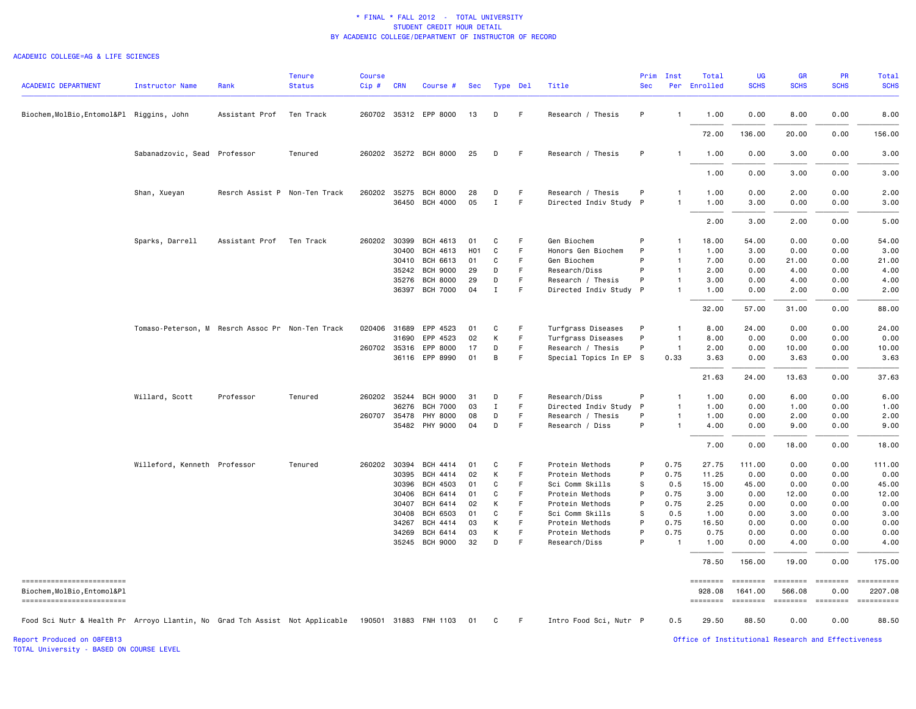#### ACADEMIC COLLEGE=AG & LIFE SCIENCES

| <b>ACADEMIC DEPARTMENT</b>                                                                        | <b>Instructor Name</b>                           | Rank                          | <b>Tenure</b><br><b>Status</b> | <b>Course</b><br>$Cip$ # | <b>CRN</b> | Course #              | Sec | Type Del    |    | Title                  | Prim<br><b>Sec</b> | Inst                    | Total<br>Per Enrolled       | <b>UG</b><br><b>SCHS</b> | <b>GR</b><br><b>SCHS</b> | PR<br><b>SCHS</b>       | Total<br><b>SCHS</b>  |
|---------------------------------------------------------------------------------------------------|--------------------------------------------------|-------------------------------|--------------------------------|--------------------------|------------|-----------------------|-----|-------------|----|------------------------|--------------------|-------------------------|-----------------------------|--------------------------|--------------------------|-------------------------|-----------------------|
| Biochem, MolBio, Entomol&Pl Riggins, John                                                         |                                                  | Assistant Prof                | Ten Track                      |                          |            | 260702 35312 EPP 8000 | 13  | D           | -F | Research / Thesis      | P                  | $\mathbf{1}$            | 1.00                        | 0.00                     | 8.00                     | 0.00                    | 8.00                  |
|                                                                                                   |                                                  |                               |                                |                          |            |                       |     |             |    |                        |                    |                         | 72.00                       | 136.00                   | 20.00                    | 0.00                    | 156.00                |
|                                                                                                   | Sabanadzovic, Sead Professor                     |                               | Tenured                        |                          |            | 260202 35272 BCH 8000 | 25  | D           | -F | Research / Thesis      | P                  | -1                      | 1.00                        | 0.00                     | 3.00                     | 0.00                    | 3.00                  |
|                                                                                                   |                                                  |                               |                                |                          |            |                       |     |             |    |                        |                    |                         | 1.00                        | 0.00                     | 3.00                     | 0.00                    | 3.00                  |
|                                                                                                   | Shan, Xueyan                                     | Resrch Assist P Non-Ten Track |                                | 260202 35275             |            | <b>BCH 8000</b>       | 28  | D           | F  | Research / Thesis      | P                  | 1                       | 1.00                        | 0.00                     | 2.00                     | 0.00                    | 2.00                  |
|                                                                                                   |                                                  |                               |                                |                          | 36450      | BCH 4000              | 05  | $\mathbf I$ | F  | Directed Indiv Study P |                    | $\mathbf{1}$            | 1.00                        | 3.00                     | 0.00                     | 0.00                    | 3.00                  |
|                                                                                                   |                                                  |                               |                                |                          |            |                       |     |             |    |                        |                    |                         | 2.00                        | 3.00                     | 2.00                     | 0.00                    | 5.00                  |
|                                                                                                   | Sparks, Darrell                                  | Assistant Prof                | Ten Track                      | 260202 30399             |            | BCH 4613              | 01  | C           | F  | Gen Biochem            | P                  | $\mathbf{1}$            | 18.00                       | 54.00                    | 0.00                     | 0.00                    | 54.00                 |
|                                                                                                   |                                                  |                               |                                |                          | 30400      | BCH 4613              | H01 | C           | F  | Honors Gen Biochem     | P                  | $\mathbf{1}$            | 1.00                        | 3.00                     | 0.00                     | 0.00                    | 3.00                  |
|                                                                                                   |                                                  |                               |                                |                          | 30410      | BCH 6613              | 01  | C           | F  | Gen Biochem            | P                  | $\mathbf{1}$            | 7.00                        | 0.00                     | 21.00                    | 0.00                    | 21.00                 |
|                                                                                                   |                                                  |                               |                                |                          | 35242      | <b>BCH 9000</b>       | 29  | D           | F  | Research/Diss          | P                  | $\mathbf{1}$            | 2.00                        | 0.00                     | 4.00                     | 0.00                    | 4.00                  |
|                                                                                                   |                                                  |                               |                                |                          | 35276      | <b>BCH 8000</b>       | 29  | D           | F  | Research / Thesis      | P                  | $\mathbf{1}$            | 3.00                        | 0.00                     | 4.00                     | 0.00                    | 4.00                  |
|                                                                                                   |                                                  |                               |                                |                          | 36397      | <b>BCH 7000</b>       | 04  | Ι.          | F  | Directed Indiv Study P |                    | -1                      | 1.00                        | 0.00                     | 2.00                     | 0.00                    | 2.00                  |
|                                                                                                   |                                                  |                               |                                |                          |            |                       |     |             |    |                        |                    |                         | 32.00                       | 57.00                    | 31.00                    | 0.00                    | 88.00                 |
|                                                                                                   | Tomaso-Peterson, M Resrch Assoc Pr Non-Ten Track |                               |                                | 020406                   | 31689      | EPP 4523              | 01  | C           | F. | Turfgrass Diseases     | P                  | $\mathbf{1}$            | 8.00                        | 24.00                    | 0.00                     | 0.00                    | 24.00                 |
|                                                                                                   |                                                  |                               |                                |                          | 31690      | EPP 4523              | 02  | К           | F  | Turfgrass Diseases     | P                  | $\overline{1}$          | 8.00                        | 0.00                     | 0.00                     | 0.00                    | 0.00                  |
|                                                                                                   |                                                  |                               |                                | 260702 35316             |            | EPP 8000              | 17  | D           | F  | Research / Thesis      | P                  | $\overline{\mathbf{1}}$ | 2.00                        | 0.00                     | 10.00                    | 0.00                    | 10.00                 |
|                                                                                                   |                                                  |                               |                                |                          | 36116      | EPP 8990              | 01  | В           | F  | Special Topics In EP S |                    | 0.33                    | 3.63                        | 0.00                     | 3.63                     | 0.00                    | 3.63                  |
|                                                                                                   |                                                  |                               |                                |                          |            |                       |     |             |    |                        |                    |                         | 21.63                       | 24.00                    | 13.63                    | 0.00                    | 37.63                 |
|                                                                                                   | Willard, Scott                                   | Professor                     | Tenured                        | 260202 35244             |            | <b>BCH 9000</b>       | 31  | D           | E  | Research/Diss          | P                  | -1                      | 1.00                        | 0.00                     | 6.00                     | 0.00                    | 6.00                  |
|                                                                                                   |                                                  |                               |                                |                          | 36276      | <b>BCH 7000</b>       | 03  | Ι.          | F  | Directed Indiv Study   | $\mathsf{P}$       | $\mathbf{1}$            | 1.00                        | 0.00                     | 1.00                     | 0.00                    | 1.00                  |
|                                                                                                   |                                                  |                               |                                | 260707 35478             |            | PHY 8000              | 08  | D           | F  | Research / Thesis      | P                  | $\mathbf{1}$            | 1.00                        | 0.00                     | 2.00                     | 0.00                    | 2.00                  |
|                                                                                                   |                                                  |                               |                                |                          |            | 35482 PHY 9000        | 04  | D           | F  | Research / Diss        | P                  | -1                      | 4.00                        | 0.00                     | 9.00                     | 0.00                    | 9.00                  |
|                                                                                                   |                                                  |                               |                                |                          |            |                       |     |             |    |                        |                    |                         | 7.00                        | 0.00                     | 18.00                    | 0.00                    | 18.00                 |
|                                                                                                   | Willeford, Kenneth Professor                     |                               | Tenured                        | 260202 30394             |            | <b>BCH 4414</b>       | 01  | C           | F  | Protein Methods        | P                  | 0.75                    | 27.75                       | 111.00                   | 0.00                     | 0.00                    | 111.00                |
|                                                                                                   |                                                  |                               |                                |                          | 30395      | BCH 4414              | 02  | К           | F. | Protein Methods        | P                  | 0.75                    | 11.25                       | 0.00                     | 0.00                     | 0.00                    | 0.00                  |
|                                                                                                   |                                                  |                               |                                |                          | 30396      | BCH 4503              | 01  | C           | F  | Sci Comm Skills        | s                  | 0.5                     | 15.00                       | 45.00                    | 0.00                     | 0.00                    | 45.00                 |
|                                                                                                   |                                                  |                               |                                |                          | 30406      | BCH 6414              | 01  | C           | E  | Protein Methods        | P                  | 0.75                    | 3.00                        | 0.00                     | 12.00                    | 0.00                    | 12.00                 |
|                                                                                                   |                                                  |                               |                                |                          | 30407      | BCH 6414              | 02  | К           | F  | Protein Methods        | P                  | 0.75                    | 2.25                        | 0.00                     | 0.00                     | 0.00                    | 0.00                  |
|                                                                                                   |                                                  |                               |                                |                          | 30408      | BCH 6503              | 01  | C           | F  | Sci Comm Skills        | S                  | 0.5                     | 1.00                        | 0.00                     | 3.00                     | 0.00                    | 3.00                  |
|                                                                                                   |                                                  |                               |                                |                          | 34267      | BCH 4414              | 03  | К           | F  | Protein Methods        | P                  | 0.75                    | 16.50                       | 0.00                     | 0.00                     | 0.00                    | 0.00                  |
|                                                                                                   |                                                  |                               |                                |                          | 34269      | BCH 6414              | 03  | К           | F  | Protein Methods        | P                  | 0.75                    | 0.75                        | 0.00                     | 0.00                     | 0.00                    | 0.00                  |
|                                                                                                   |                                                  |                               |                                |                          | 35245      | <b>BCH 9000</b>       | 32  | D           | F  | Research/Diss          | P                  |                         | 1.00                        | 0.00                     | 4.00                     | 0.00                    | 4.00                  |
|                                                                                                   |                                                  |                               |                                |                          |            |                       |     |             |    |                        |                    |                         | 78.50                       | 156.00                   | 19.00                    | 0.00                    | 175.00                |
| ------------------------<br>Biochem, MolBio, Entomol&Pl                                           |                                                  |                               |                                |                          |            |                       |     |             |    |                        |                    |                         | $=$ = = = = = = =<br>928,08 | ========<br>1641.00      | ========<br>566.08       | <b>EBBEBBBB</b><br>0.00 | ==========<br>2207.08 |
| ------------------------                                                                          |                                                  |                               |                                |                          |            |                       |     |             |    |                        |                    |                         | ========                    | ========                 | ========                 | <b>ESSESSE</b>          |                       |
| Food Sci Nutr & Health Pr Arroyo Llantin, No Grad Tch Assist Not Applicable 190501 31883 FNH 1103 |                                                  |                               |                                |                          |            |                       | 01  | C           | F. | Intro Food Sci, Nutr P |                    | 0.5                     | 29.50                       | 88.50                    | 0.00                     | 0.00                    | 88.50                 |

TOTAL University - BASED ON COURSE LEVEL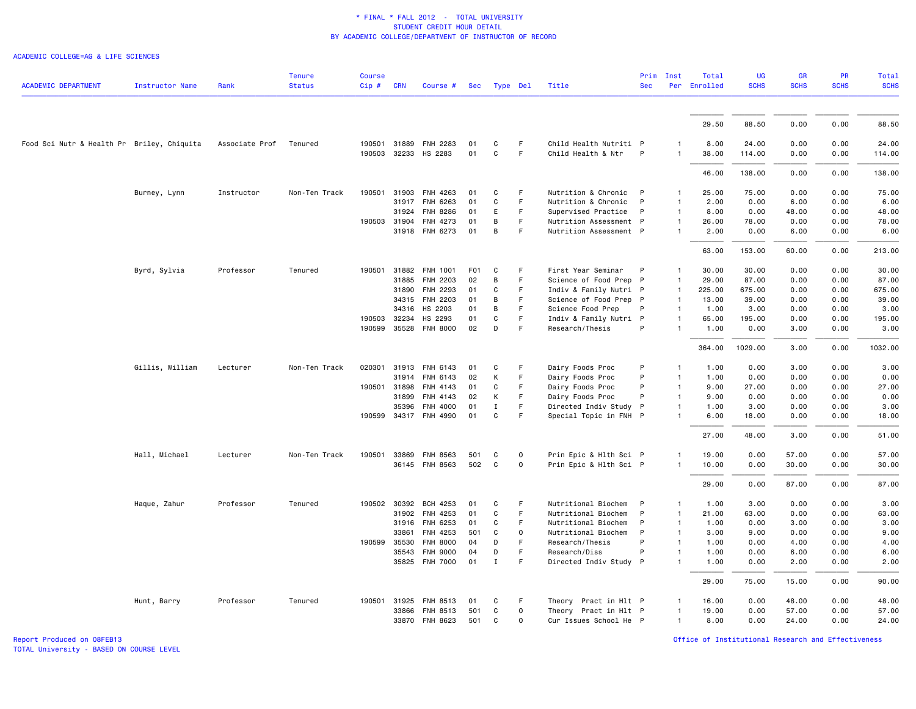ACADEMIC COLLEGE=AG & LIFE SCIENCES

| <b>ACADEMIC DEPARTMENT</b>                 | <b>Instructor Name</b> | Rank           | <b>Tenure</b><br><b>Status</b> | <b>Course</b><br>Cip# | <b>CRN</b>   | Course #                         | Sec              | Type Del          |             | Title                                        | Prim<br><b>Sec</b> | Inst              | Total<br>Per Enrolled | <b>UG</b><br><b>SCHS</b> | GR<br><b>SCHS</b> | PR<br><b>SCHS</b> | <b>Total</b><br><b>SCHS</b> |
|--------------------------------------------|------------------------|----------------|--------------------------------|-----------------------|--------------|----------------------------------|------------------|-------------------|-------------|----------------------------------------------|--------------------|-------------------|-----------------------|--------------------------|-------------------|-------------------|-----------------------------|
|                                            |                        |                |                                |                       |              |                                  |                  |                   |             |                                              |                    |                   |                       |                          |                   |                   |                             |
|                                            |                        |                |                                |                       |              |                                  |                  |                   |             |                                              |                    |                   | 29.50                 | 88.50                    | 0.00              | 0.00              | 88.50                       |
| Food Sci Nutr & Health Pr Briley, Chiquita |                        | Associate Prof | Tenured                        | 190503                | 32233        | 190501 31889 FNH 2283<br>HS 2283 | 01<br>01         | C<br>$\mathtt{C}$ | F<br>F      | Child Health Nutriti P<br>Child Health & Ntr | P                  | 1<br>$\mathbf{1}$ | 8.00<br>38.00         | 24.00<br>114.00          | 0.00<br>0.00      | 0.00<br>0.00      | 24.00<br>114.00             |
|                                            |                        |                |                                |                       |              |                                  |                  |                   |             |                                              |                    |                   | 46.00                 | 138.00                   | 0.00              | 0.00              | 138.00                      |
|                                            | Burney, Lynn           | Instructor     | Non-Ten Track                  |                       | 190501 31903 | FNH 4263                         | 01               | C                 | F           | Nutrition & Chronic                          | $\mathsf{P}$       | 1                 | 25.00                 | 75.00                    | 0.00              | 0.00              | 75.00                       |
|                                            |                        |                |                                |                       | 31917        | FNH 6263                         | 01               | $\mathtt{C}$      | F           | Nutrition & Chronic                          | P                  | $\mathbf{1}$      | 2.00                  | 0.00                     | 6.00              | 0.00              | 6.00                        |
|                                            |                        |                |                                |                       | 31924        | FNH 8286                         | 01               | E                 | F           | Supervised Practice                          | P                  | $\mathbf{1}$      | 8.00                  | 0.00                     | 48.00             | 0.00              | 48.00                       |
|                                            |                        |                |                                |                       | 190503 31904 | FNH 4273                         | 01               | B                 | F           | Nutrition Assessment P                       |                    | $\mathbf{1}$      | 26.00                 | 78.00                    | 0.00              | 0.00              | 78.00                       |
|                                            |                        |                |                                |                       |              | 31918 FNH 6273                   | 01               | B                 | F           | Nutrition Assessment P                       |                    | $\mathbf{1}$      | 2.00                  | 0.00                     | 6.00              | 0.00              | 6.00                        |
|                                            |                        |                |                                |                       |              |                                  |                  |                   |             |                                              |                    |                   | 63.00                 | 153.00                   | 60.00             | 0.00              | 213.00                      |
|                                            | Byrd, Sylvia           | Professor      | Tenured                        | 190501                | 31882        | FNH 1001                         | F <sub>0</sub> 1 | C                 | F.          | First Year Seminar                           | P                  | 1                 | 30.00                 | 30.00                    | 0.00              | 0.00              | 30.00                       |
|                                            |                        |                |                                |                       | 31885        | FNH 2203                         | 02               | B                 | F           | Science of Food Prep P                       |                    | $\mathbf{1}$      | 29.00                 | 87.00                    | 0.00              | 0.00              | 87.00                       |
|                                            |                        |                |                                |                       | 31890        | FNH 2293                         | 01               | C                 | F.          | Indiv & Family Nutri P                       |                    | $\mathbf{1}$      | 225.00                | 675.00                   | 0.00              | 0.00              | 675.00                      |
|                                            |                        |                |                                |                       | 34315        | FNH 2203                         | 01               | B                 | F           | Science of Food Prep P                       |                    | $\overline{1}$    | 13.00                 | 39.00                    | 0.00              | 0.00              | 39.00                       |
|                                            |                        |                |                                |                       | 34316        | HS 2203                          | 01               | B                 | F           | Science Food Prep                            | P                  | $\mathbf{1}$      | 1.00                  | 3.00                     | 0.00              | 0.00              | 3.00                        |
|                                            |                        |                |                                | 190503                | 32234        | HS 2293                          | 01               | C                 | F           | Indiv & Family Nutri P                       |                    | 1                 | 65.00                 | 195.00                   | 0.00              | 0.00              | 195.00                      |
|                                            |                        |                |                                |                       | 190599 35528 | <b>FNH 8000</b>                  | 02               | D                 | F           | Research/Thesis                              | P                  | $\mathbf{1}$      | 1.00                  | 0.00                     | 3.00              | 0.00              | 3.00                        |
|                                            |                        |                |                                |                       |              |                                  |                  |                   |             |                                              |                    |                   | 364.00                | 1029.00                  | 3.00              | 0.00              | 1032.00                     |
|                                            | Gillis, William        | Lecturer       | Non-Ten Track                  | 020301                | 31913        | FNH 6143                         | 01               | C                 | F.          | Dairy Foods Proc                             | P                  | $\mathbf{1}$      | 1.00                  | 0.00                     | 3.00              | 0.00              | 3.00                        |
|                                            |                        |                |                                |                       | 31914        | FNH 6143                         | 02               | K                 | F           | Dairy Foods Proc                             | P                  | $\mathbf{1}$      | 1.00                  | 0.00                     | 0.00              | 0.00              | 0.00                        |
|                                            |                        |                |                                |                       | 190501 31898 | FNH 4143                         | 01               | C                 | F           | Dairy Foods Proc                             | P                  | $\mathbf{1}$      | 9.00                  | 27.00                    | 0.00              | 0.00              | 27.00                       |
|                                            |                        |                |                                |                       | 31899        | FNH 4143                         | 02               | К                 | F           | Dairy Foods Proc                             | P                  | $\mathbf{1}$      | 9.00                  | 0.00                     | 0.00              | 0.00              | 0.00                        |
|                                            |                        |                |                                |                       | 35396        | FNH 4000                         | 01               | $\mathbf I$       | F.          | Directed Indiv Study P                       |                    | $\mathbf{1}$      | 1.00                  | 3.00                     | 0.00              | 0.00              | 3.00                        |
|                                            |                        |                |                                |                       |              | 190599 34317 FNH 4990            | 01               | C                 | F           | Special Topic in FNH P                       |                    | 1                 | 6.00                  | 18.00                    | 0.00              | 0.00              | 18.00                       |
|                                            |                        |                |                                |                       |              |                                  |                  |                   |             |                                              |                    |                   | 27.00                 | 48.00                    | 3.00              | 0.00              | 51.00                       |
|                                            | Hall, Michael          | Lecturer       | Non-Ten Track                  |                       | 190501 33869 | FNH 8563                         | 501              | C                 | $\mathbf 0$ | Prin Epic & Hlth Sci P                       |                    | 1                 | 19.00                 | 0.00                     | 57.00             | 0.00              | 57.00                       |
|                                            |                        |                |                                |                       |              | 36145 FNH 8563                   | 502              | C                 | $\mathbf 0$ | Prin Epic & Hlth Sci P                       |                    | $\mathbf{1}$      | 10.00                 | 0.00                     | 30.00             | 0.00              | 30.00                       |
|                                            |                        |                |                                |                       |              |                                  |                  |                   |             |                                              |                    |                   | 29.00                 | 0.00                     | 87.00             | 0.00              | 87.00                       |
|                                            | Haque, Zahur           | Professor      | Tenured                        |                       | 190502 30392 | BCH 4253                         | 01               | C                 | F.          | Nutritional Biochem                          | P                  | $\mathbf{1}$      | 1.00                  | 3.00                     | 0.00              | 0.00              | 3.00                        |
|                                            |                        |                |                                |                       | 31902        | FNH 4253                         | 01               | C                 | F           | Nutritional Biochem                          | P                  | $\mathbf{1}$      | 21.00                 | 63.00                    | 0.00              | 0.00              | 63.00                       |
|                                            |                        |                |                                |                       | 31916        | FNH 6253                         | 01               | $\mathtt{C}$      | F.          | Nutritional Biochem                          | P                  | $\mathbf{1}$      | 1.00                  | 0.00                     | 3.00              | 0.00              | 3.00                        |
|                                            |                        |                |                                |                       | 33861        | FNH 4253                         | 501              | C                 | $\mathbf 0$ | Nutritional Biochem                          | P                  | $\mathbf{1}$      | 3.00                  | 9.00                     | 0.00              | 0.00              | 9.00                        |
|                                            |                        |                |                                |                       | 190599 35530 | <b>FNH 8000</b>                  | 04               | D                 | F           | Research/Thesis                              | P                  | $\mathbf{1}$      | 1.00                  | 0.00                     | 4.00              | 0.00              | 4.00                        |
|                                            |                        |                |                                |                       | 35543        | <b>FNH 9000</b>                  | 04               | D                 | F.          | Research/Diss                                | P                  | $\mathbf{1}$      | 1.00                  | 0.00                     | 6.00              | 0.00              | 6.00                        |
|                                            |                        |                |                                |                       | 35825        | <b>FNH 7000</b>                  | 01               | $\mathbf I$       | F           | Directed Indiv Study P                       |                    | 1                 | 1.00                  | 0.00                     | 2.00              | 0.00              | 2.00                        |
|                                            |                        |                |                                |                       |              |                                  |                  |                   |             |                                              |                    |                   | 29.00                 | 75.00                    | 15.00             | 0.00              | 90.00                       |
|                                            | Hunt, Barry            | Professor      | Tenured                        | 190501                | 31925        | FNH 8513                         | 01               | C                 | F.          | Theory Pract in Hlt P                        |                    | 1                 | 16.00                 | 0.00                     | 48.00             | 0.00              | 48.00                       |
|                                            |                        |                |                                |                       | 33866        | FNH 8513                         | 501              | C                 | $\Omega$    | Theory Pract in Hlt P                        |                    | $\mathbf{1}$      | 19.00                 | 0.00                     | 57.00             | 0.00              | 57.00                       |
|                                            |                        |                |                                |                       |              | 33870 FNH 8623                   | 501              | C                 | $\Omega$    | Cur Issues School He P                       |                    | $\mathbf{1}$      | 8.00                  | 0.00                     | 24.00             | 0.00              | 24.00                       |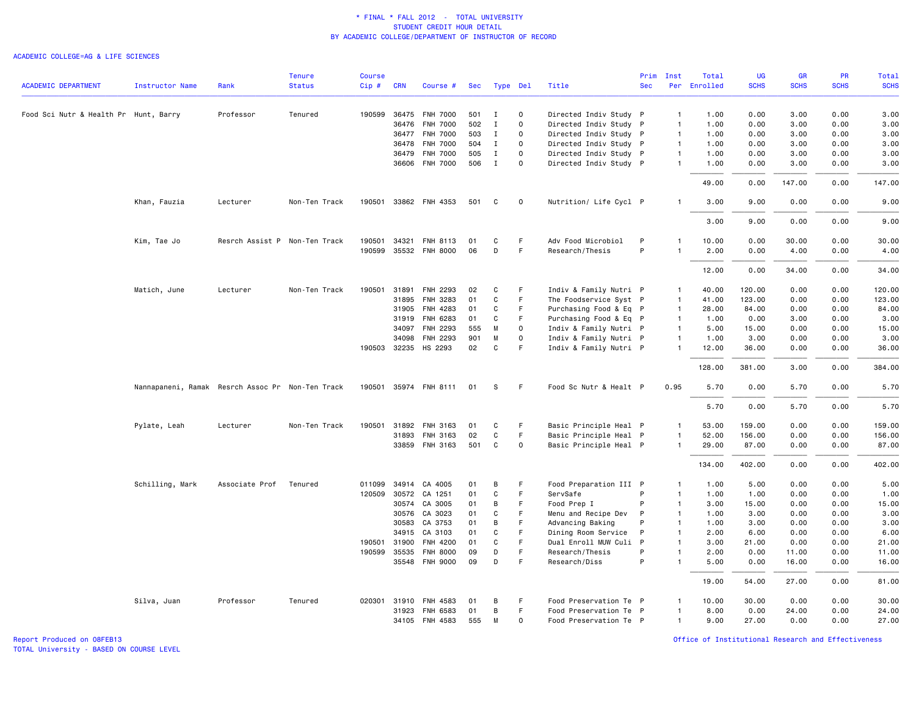#### ACADEMIC COLLEGE=AG & LIFE SCIENCES

|                                       |                                                  |                        | <b>Tenure</b> | <b>Course</b> |              |                       |     |              |             |                        | Prim       | Inst           | Total        | <b>UG</b>   | <b>GR</b>   | <b>PR</b>   | <b>Total</b> |
|---------------------------------------|--------------------------------------------------|------------------------|---------------|---------------|--------------|-----------------------|-----|--------------|-------------|------------------------|------------|----------------|--------------|-------------|-------------|-------------|--------------|
| <b>ACADEMIC DEPARTMENT</b>            | <b>Instructor Name</b>                           | Rank                   | <b>Status</b> | Cip#          | <b>CRN</b>   | Course #              | Sec | Type Del     |             | Title                  | <b>Sec</b> |                | Per Enrolled | <b>SCHS</b> | <b>SCHS</b> | <b>SCHS</b> | <b>SCHS</b>  |
| Food Sci Nutr & Health Pr Hunt, Barry |                                                  | Professor              | Tenured       | 190599        | 36475        | <b>FNH 7000</b>       | 501 | $\mathbf{I}$ | 0           | Directed Indiv Study P |            | $\mathbf{1}$   | 1.00         | 0.00        | 3.00        | 0.00        | 3.00         |
|                                       |                                                  |                        |               |               | 36476        | <b>FNH 7000</b>       | 502 | $\mathbf I$  | $\Omega$    | Directed Indiv Study P |            | $\overline{1}$ | 1.00         | 0.00        | 3.00        | 0.00        | 3.00         |
|                                       |                                                  |                        |               |               | 36477        | <b>FNH 7000</b>       | 503 | $\mathbf{I}$ | $\mathbf 0$ | Directed Indiv Study P |            | $\mathbf{1}$   | 1.00         | 0.00        | 3.00        | 0.00        | 3.00         |
|                                       |                                                  |                        |               |               | 36478        | <b>FNH 7000</b>       | 504 | $\mathbf{I}$ | $\Omega$    | Directed Indiv Study P |            | $\overline{1}$ | 1.00         | 0.00        | 3.00        | 0.00        | 3.00         |
|                                       |                                                  |                        |               |               | 36479        | <b>FNH 7000</b>       | 505 | $\mathbf{I}$ | $\Omega$    | Directed Indiv Study P |            | $\mathbf{1}$   | 1.00         | 0.00        | 3.00        | 0.00        | 3.00         |
|                                       |                                                  |                        |               |               |              | 36606 FNH 7000        | 506 | $\mathbf{I}$ | $\mathbf 0$ | Directed Indiv Study P |            | $\mathbf{1}$   | 1.00         | 0.00        | 3.00        | 0.00        | 3.00         |
|                                       |                                                  |                        |               |               |              |                       |     |              |             |                        |            |                | 49.00        | 0.00        | 147.00      | 0.00        | 147.00       |
|                                       | Khan, Fauzia                                     | Lecturer               | Non-Ten Track | 190501        |              | 33862 FNH 4353        | 501 | C            | $\mathbf 0$ | Nutrition/ Life Cycl P |            | $\mathbf{1}$   | 3.00         | 9.00        | 0.00        | 0.00        | 9.00         |
|                                       |                                                  |                        |               |               |              |                       |     |              |             |                        |            |                | 3.00         | 9.00        | 0.00        | 0.00        | 9.00         |
|                                       | Kim, Tae Jo                                      | Resrch Assist P        | Non-Ten Track | 190501        | 34321        | FNH 8113              | 01  | C            | F           | Adv Food Microbiol     | P          | $\mathbf{1}$   | 10.00        | 0.00        | 30.00       | 0.00        | 30.00        |
|                                       |                                                  |                        |               |               |              | 190599 35532 FNH 8000 | 06  | D            | F           | Research/Thesis        | P          | $\mathbf{1}$   | 2.00         | 0.00        | 4.00        | 0.00        | 4.00         |
|                                       |                                                  |                        |               |               |              |                       |     |              |             |                        |            |                | 12.00        | 0.00        | 34.00       | 0.00        | 34.00        |
|                                       | Matich, June                                     | Lecturer               | Non-Ten Track |               | 190501 31891 | FNH 2293              | 02  | C            | F           | Indiv & Family Nutri P |            | 1              | 40.00        | 120.00      | 0.00        | 0.00        | 120.00       |
|                                       |                                                  |                        |               |               | 31895        | FNH 3283              | 01  | $\mathbf{C}$ | F.          | The Foodservice Syst P |            | $\overline{1}$ | 41.00        | 123.00      | 0.00        | 0.00        | 123.00       |
|                                       |                                                  |                        |               |               | 31905        | FNH 4283              | 01  | C            | F           | Purchasing Food & Eq P |            | $\overline{1}$ | 28.00        | 84.00       | 0.00        | 0.00        | 84.00        |
|                                       |                                                  |                        |               |               | 31919        | FNH 6283              | 01  | C            | F           | Purchasing Food & Eq P |            | $\mathbf{1}$   | 1.00         | 0.00        | 3.00        | 0.00        | 3.00         |
|                                       |                                                  |                        |               |               | 34097        | FNH 2293              | 555 | M            | $\mathbf 0$ | Indiv & Family Nutri P |            | $\mathbf{1}$   | 5.00         | 15.00       | 0.00        | 0.00        | 15.00        |
|                                       |                                                  |                        |               |               | 34098        | FNH 2293              | 901 | M            | $\mathbf 0$ | Indiv & Family Nutri P |            | $\mathbf{1}$   | 1.00         | 3.00        | 0.00        | 0.00        | 3.00         |
|                                       |                                                  |                        |               |               |              | 190503 32235 HS 2293  | 02  | C            | F           | Indiv & Family Nutri P |            | $\mathbf{1}$   | 12.00        | 36.00       | 0.00        | 0.00        | 36.00        |
|                                       |                                                  |                        |               |               |              |                       |     |              |             |                        |            |                | 128.00       | 381.00      | 3.00        | 0.00        | 384.00       |
|                                       | Nannapaneni, Ramak Resrch Assoc Pr Non-Ten Track |                        |               |               |              | 190501 35974 FNH 8111 | 01  | S            | F.          | Food Sc Nutr & Healt P |            | 0.95           | 5.70         | 0.00        | 5.70        | 0.00        | 5.70         |
|                                       |                                                  |                        |               |               |              |                       |     |              |             |                        |            |                | 5.70         | 0.00        | 5.70        | 0.00        | 5.70         |
|                                       | Pylate, Leah                                     | Lecturer               | Non-Ten Track | 190501        | 31892        | FNH 3163              | 01  | C            | F.          | Basic Principle Heal P |            | $\mathbf{1}$   | 53.00        | 159.00      | 0.00        | 0.00        | 159.00       |
|                                       |                                                  |                        |               |               | 31893        | FNH 3163              | 02  | $\mathtt{C}$ | F.          | Basic Principle Heal P |            | $\mathbf{1}$   | 52.00        | 156.00      | 0.00        | 0.00        | 156.00       |
|                                       |                                                  |                        |               |               |              | 33859 FNH 3163        | 501 | C            | 0           | Basic Principle Heal P |            | 1              | 29.00        | 87.00       | 0.00        | 0.00        | 87.00        |
|                                       |                                                  |                        |               |               |              |                       |     |              |             |                        |            |                | 134.00       | 402.00      | 0.00        | 0.00        | 402.00       |
|                                       | Schilling, Mark                                  | Associate Prof Tenured |               |               |              | 011099 34914 CA 4005  | 01  | B            | F           | Food Preparation III P |            | $\mathbf{1}$   | 1.00         | 5.00        | 0.00        | 0.00        | 5.00         |
|                                       |                                                  |                        |               | 120509        | 30572        | CA 1251               | 01  | $\mathtt{C}$ | F           | ServSafe               | P          | $\mathbf{1}$   | 1.00         | 1.00        | 0.00        | 0.00        | 1.00         |
|                                       |                                                  |                        |               |               | 30574        | CA 3005               | 01  | B            | F           | Food Prep I            | P          | $\mathbf{1}$   | 3.00         | 15.00       | 0.00        | 0.00        | 15.00        |
|                                       |                                                  |                        |               |               |              | 30576 CA 3023         | 01  | C            | F.          | Menu and Recipe Dev    | P          | $\mathbf{1}$   | 1.00         | 3.00        | 0.00        | 0.00        | 3.00         |
|                                       |                                                  |                        |               |               | 30583        | CA 3753               | 01  | B            | F           | Advancing Baking       | P          | $\overline{1}$ | 1.00         | 3.00        | 0.00        | 0.00        | 3.00         |
|                                       |                                                  |                        |               |               | 34915        | CA 3103               | 01  | C            | F           | Dining Room Service    | P          | $\mathbf{1}$   | 2.00         | 6.00        | 0.00        | 0.00        | 6.00         |
|                                       |                                                  |                        |               | 190501        | 31900        | FNH 4200              | 01  | C            | F           | Dual Enroll MUW Culi P |            | $\mathbf{1}$   | 3.00         | 21.00       | 0.00        | 0.00        | 21.00        |
|                                       |                                                  |                        |               | 190599        | 35535        | <b>FNH 8000</b>       | 09  | D            | F           | Research/Thesis        | P          | $\mathbf{1}$   | 2.00         | 0.00        | 11.00       | 0.00        | 11.00        |
|                                       |                                                  |                        |               |               |              | 35548 FNH 9000        | 09  | D            | F           | Research/Diss          | P          | 1              | 5.00         | 0.00        | 16.00       | 0.00        | 16.00        |
|                                       |                                                  |                        |               |               |              |                       |     |              |             |                        |            |                | 19.00        | 54.00       | 27.00       | 0.00        | 81.00        |
|                                       | Silva, Juan                                      | Professor              | Tenured       |               | 020301 31910 | FNH 4583              | 01  | B            | F           | Food Preservation Te P |            | $\mathbf{1}$   | 10.00        | 30.00       | 0.00        | 0.00        | 30.00        |
|                                       |                                                  |                        |               |               | 31923        | FNH 6583              | 01  | B            | F.          | Food Preservation Te P |            | 1              | 8.00         | 0.00        | 24.00       | 0.00        | 24.00        |
|                                       |                                                  |                        |               |               | 34105        | FNH 4583              | 555 | M            | $\Omega$    | Food Preservation Te P |            | $\mathbf{1}$   | 9.00         | 27.00       | 0.00        | 0.00        | 27.00        |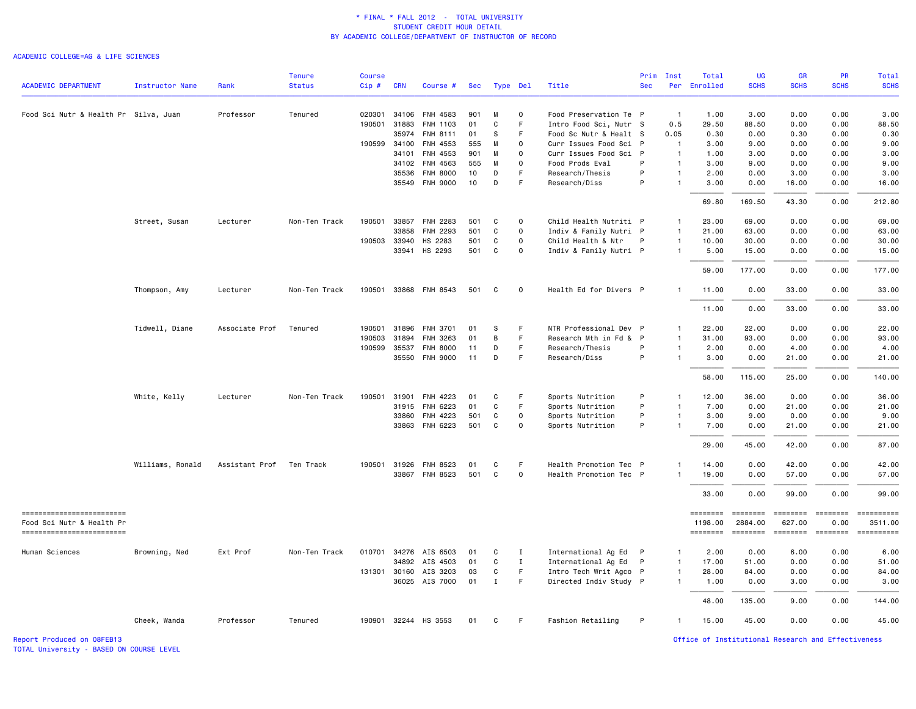#### ACADEMIC COLLEGE=AG & LIFE SCIENCES

|                                                         |                        |                | <b>Tenure</b> | <b>Course</b> |              |                       |     |              |              |                        | Prim       | Inst           | Total                      | UG                           | <b>GR</b>                 | <b>PR</b>              | Total                 |
|---------------------------------------------------------|------------------------|----------------|---------------|---------------|--------------|-----------------------|-----|--------------|--------------|------------------------|------------|----------------|----------------------------|------------------------------|---------------------------|------------------------|-----------------------|
| <b>ACADEMIC DEPARTMENT</b>                              | <b>Instructor Name</b> | Rank           | <b>Status</b> | Cip#          | <b>CRN</b>   | Course #              |     | Sec Type Del |              | Title                  | <b>Sec</b> |                | Per Enrolled               | <b>SCHS</b>                  | <b>SCHS</b>               | <b>SCHS</b>            | <b>SCHS</b>           |
| Food Sci Nutr & Health Pr Silva, Juan                   |                        | Professor      | Tenured       | 020301        | 34106        | FNH 4583              | 901 | M            | 0            | Food Preservation Te P |            | $\overline{1}$ | 1.00                       | 3.00                         | 0.00                      | 0.00                   | 3.00                  |
|                                                         |                        |                |               | 190501        | 31883        | <b>FNH 1103</b>       | 01  | C            | F            | Intro Food Sci, Nutr S |            | 0.5            | 29.50                      | 88.50                        | 0.00                      | 0.00                   | 88.50                 |
|                                                         |                        |                |               |               | 35974        | FNH 8111              | 01  | S            | F            | Food Sc Nutr & Healt S |            | 0.05           | 0.30                       | 0.00                         | 0.30                      | 0.00                   | 0.30                  |
|                                                         |                        |                |               | 190599        | 34100        | FNH 4553              | 555 | M            | 0            | Curr Issues Food Sci P |            | $\mathbf{1}$   | 3.00                       | 9.00                         | 0.00                      | 0.00                   | 9.00                  |
|                                                         |                        |                |               |               | 34101        | FNH 4553              | 901 | м            | $\Omega$     | Curr Issues Food Sci P |            | $\overline{1}$ | 1.00                       | 3.00                         | 0.00                      | 0.00                   | 3.00                  |
|                                                         |                        |                |               |               | 34102        | FNH 4563              | 555 | M            | 0            | Food Prods Eval        | P          | $\mathbf{1}$   | 3.00                       | 9.00                         | 0.00                      | 0.00                   | 9.00                  |
|                                                         |                        |                |               |               | 35536        | <b>FNH 8000</b>       | 10  | D            | F            | Research/Thesis        | P          | $\mathbf{1}$   | 2.00                       | 0.00                         | 3.00                      | 0.00                   | 3.00                  |
|                                                         |                        |                |               |               | 35549        | <b>FNH 9000</b>       | 10  | D            | F            | Research/Diss          | P          | $\mathbf{1}$   | 3.00                       | 0.00                         | 16.00                     | 0.00                   | 16.00                 |
|                                                         |                        |                |               |               |              |                       |     |              |              |                        |            |                | 69.80                      | 169.50                       | 43.30                     | 0.00                   | 212.80                |
|                                                         | Street, Susan          | Lecturer       | Non-Ten Track |               |              | 190501 33857 FNH 2283 | 501 | C            | $\mathbf 0$  | Child Health Nutriti P |            | $\mathbf{1}$   | 23.00                      | 69.00                        | 0.00                      | 0.00                   | 69.00                 |
|                                                         |                        |                |               |               | 33858        | FNH 2293              | 501 | $\mathsf{C}$ | $\mathbf{o}$ | Indiv & Family Nutri P |            | $\mathbf{1}$   | 21.00                      | 63.00                        | 0.00                      | 0.00                   | 63.00                 |
|                                                         |                        |                |               |               | 190503 33940 | HS 2283               | 501 | C            | $\mathbf 0$  | Child Health & Ntr     | P          | $\overline{1}$ | 10.00                      | 30.00                        | 0.00                      | 0.00                   | 30.00                 |
|                                                         |                        |                |               |               |              | 33941 HS 2293         | 501 | C            | $\mathbf 0$  | Indiv & Family Nutri P |            | $\mathbf{1}$   | 5.00                       | 15.00                        | 0.00                      | 0.00                   | 15.00                 |
|                                                         |                        |                |               |               |              |                       |     |              |              |                        |            |                | 59.00                      | 177.00                       | 0.00                      | 0.00                   | 177.00                |
|                                                         | Thompson, Amy          | Lecturer       | Non-Ten Track |               |              | 190501 33868 FNH 8543 | 501 | C            | $\mathbf 0$  | Health Ed for Divers P |            | $\mathbf{1}$   | 11.00                      | 0.00                         | 33.00                     | 0.00                   | 33.00                 |
|                                                         |                        |                |               |               |              |                       |     |              |              |                        |            |                | 11.00                      | 0.00                         | 33.00                     | 0.00                   | 33.00                 |
|                                                         | Tidwell, Diane         | Associate Prof | Tenured       | 190501        | 31896        | <b>FNH 3701</b>       | 01  | s            | F            | NTR Professional Dev P |            | $\overline{1}$ | 22.00                      | 22.00                        | 0.00                      | 0.00                   | 22.00                 |
|                                                         |                        |                |               | 190503        | 31894        | FNH 3263              | 01  | В            | F            | Research Mth in Fd & P |            | $\overline{1}$ | 31.00                      | 93.00                        | 0.00                      | 0.00                   | 93.00                 |
|                                                         |                        |                |               |               | 190599 35537 | <b>FNH 8000</b>       | 11  | D            | F.           | Research/Thesis        | P          | $\mathbf{1}$   | 2.00                       | 0.00                         | 4.00                      | 0.00                   | 4.00                  |
|                                                         |                        |                |               |               |              | 35550 FNH 9000        | 11  | D            | F.           | Research/Diss          | P          | $\mathbf{1}$   | 3.00                       | 0.00                         | 21.00                     | 0.00                   | 21.00                 |
|                                                         |                        |                |               |               |              |                       |     |              |              |                        |            |                | 58.00                      | 115.00                       | 25.00                     | 0.00                   | 140.00                |
|                                                         | White, Kelly           | Lecturer       | Non-Ten Track | 190501        | 31901        | FNH 4223              | 01  | C            | F            | Sports Nutrition       | P          | $\mathbf{1}$   | 12.00                      | 36.00                        | 0.00                      | 0.00                   | 36.00                 |
|                                                         |                        |                |               |               | 31915        | FNH 6223              | 01  | C            | F.           | Sports Nutrition       | P          | $\mathbf{1}$   | 7.00                       | 0.00                         | 21.00                     | 0.00                   | 21.00                 |
|                                                         |                        |                |               |               | 33860        | FNH 4223              | 501 | $\mathsf{C}$ | $\mathbf 0$  | Sports Nutrition       | P          | $\overline{1}$ | 3.00                       | 9.00                         | 0.00                      | 0.00                   | 9.00                  |
|                                                         |                        |                |               |               | 33863        | FNH 6223              | 501 | C            | $\mathbf 0$  | Sports Nutrition       | P          | $\overline{1}$ | 7.00                       | 0.00                         | 21.00                     | 0.00                   | 21.00                 |
|                                                         |                        |                |               |               |              |                       |     |              |              |                        |            |                | 29.00                      | 45.00                        | 42.00                     | 0.00                   | 87.00                 |
|                                                         | Williams, Ronald       | Assistant Prof | Ten Track     | 190501        | 31926        | FNH 8523              | 01  | C            | F            | Health Promotion Tec P |            | $\mathbf{1}$   | 14.00                      | 0.00                         | 42.00                     | 0.00                   | 42.00                 |
|                                                         |                        |                |               |               |              | 33867 FNH 8523        | 501 | С            | $\mathbf 0$  | Health Promotion Tec P |            | $\mathbf{1}$   | 19.00                      | 0.00                         | 57.00                     | 0.00                   | 57.00                 |
|                                                         |                        |                |               |               |              |                       |     |              |              |                        |            |                | 33.00                      | 0.00                         | 99.00                     | 0.00                   | 99.00                 |
| ==========================<br>Food Sci Nutr & Health Pr |                        |                |               |               |              |                       |     |              |              |                        |            |                | <b>SESSESSE</b><br>1198.00 | $=$ = = = = = = =<br>2884.00 | <b>ESSESSED</b><br>627.00 | <b>EDDEDED</b><br>0.00 | ==========<br>3511.00 |
| ------------------------                                |                        |                |               |               |              |                       |     |              |              |                        |            |                | ========                   | $= 222222222$                | ========                  | <b>ESSESSE</b>         | <b>EDECEMBER</b>      |
| Human Sciences                                          | Browning, Ned          | Ext Prof       | Non-Ten Track |               |              | 010701 34276 AIS 6503 | 01  | С            | I            | International Ag Ed P  |            | $\overline{1}$ | 2.00                       | 0.00                         | 6.00                      | 0.00                   | 6.00                  |
|                                                         |                        |                |               |               | 34892        | AIS 4503              | 01  | C            | $\mathbf{I}$ | International Ag Ed P  |            | $\mathbf{1}$   | 17.00                      | 51.00                        | 0.00                      | 0.00                   | 51.00                 |
|                                                         |                        |                |               |               |              | 131301 30160 AIS 3203 | 03  | C            | F            | Intro Tech Writ Agco P |            | $\mathbf{1}$   | 28.00                      | 84.00                        | 0.00                      | 0.00                   | 84.00                 |
|                                                         |                        |                |               |               |              | 36025 AIS 7000        | 01  | Ι.           | F            | Directed Indiv Study P |            | $\mathbf{1}$   | 1.00                       | 0.00                         | 3.00                      | 0.00                   | 3.00                  |
|                                                         |                        |                |               |               |              |                       |     |              |              |                        |            |                | 48.00                      | 135.00                       | 9.00                      | 0.00                   | 144.00                |
|                                                         | Cheek, Wanda           | Professor      | Tenured       |               |              | 190901 32244 HS 3553  | 01  | С            | F            | Fashion Retailing      | P          | $\mathbf{1}$   | 15.00                      | 45.00                        | 0.00                      | 0.00                   | 45.00                 |

TOTAL University - BASED ON COURSE LEVEL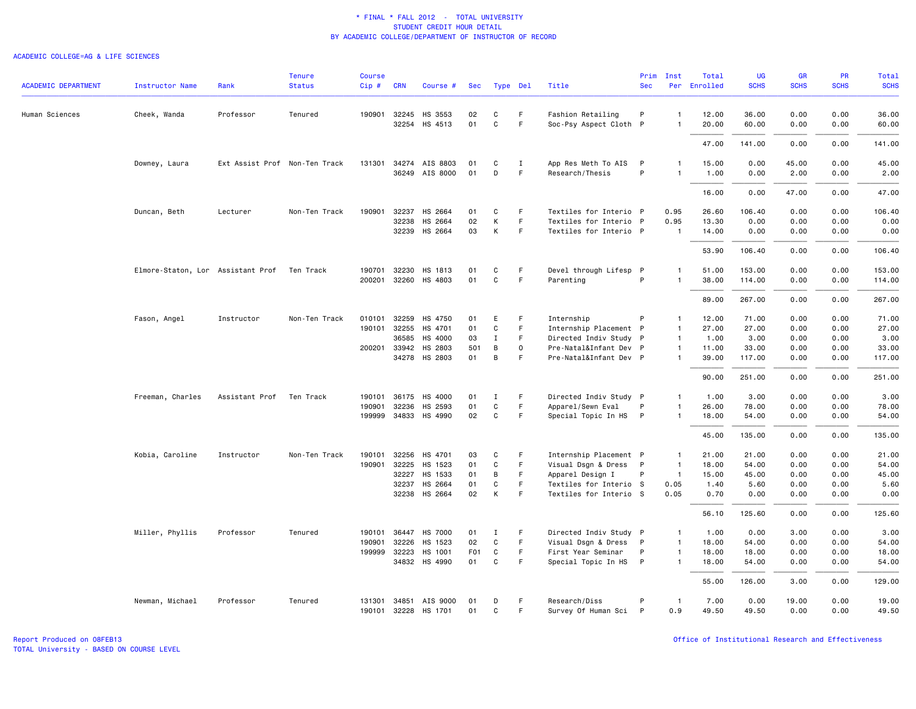#### ACADEMIC COLLEGE=AG & LIFE SCIENCES

| <b>ACADEMIC DEPARTMENT</b> | <b>Instructor Name</b>            | Rank                          | <b>Tenure</b><br><b>Status</b> | <b>Course</b><br>$Cip \#$ | <b>CRN</b>            | Course #                   | Sec              | Type Del         |                  | Title                                            | Prim<br><b>Sec</b> | Inst                           | Total<br>Per Enrolled | UG<br><b>SCHS</b> | <b>GR</b><br><b>SCHS</b> | PR<br><b>SCHS</b> | Total<br><b>SCHS</b> |
|----------------------------|-----------------------------------|-------------------------------|--------------------------------|---------------------------|-----------------------|----------------------------|------------------|------------------|------------------|--------------------------------------------------|--------------------|--------------------------------|-----------------------|-------------------|--------------------------|-------------------|----------------------|
|                            |                                   |                               |                                |                           |                       |                            |                  |                  |                  |                                                  |                    |                                |                       |                   |                          |                   |                      |
| Human Sciences             | Cheek, Wanda                      | Professor                     | Tenured                        |                           | 190901 32245<br>32254 | HS 3553<br>HS 4513         | 02<br>01         | C<br>$\mathbf C$ | F.<br>F          | Fashion Retailing<br>Soc-Psy Aspect Cloth P      | P                  | -1<br>$\mathbf{1}$             | 12.00<br>20.00        | 36.00<br>60.00    | 0.00<br>0.00             | 0.00<br>0.00      | 36.00<br>60.00       |
|                            |                                   |                               |                                |                           |                       |                            |                  |                  |                  |                                                  |                    |                                | 47.00                 | 141.00            | 0.00                     | 0.00              | 141.00               |
|                            | Downey, Laura                     | Ext Assist Prof Non-Ten Track |                                |                           | 131301 34274          | AIS 8803<br>36249 AIS 8000 | 01<br>01         | C<br>D           | I<br>F           | App Res Meth To AIS<br>Research/Thesis           | P<br>P             | $\mathbf{1}$                   | 15.00<br>1.00         | 0.00<br>0.00      | 45.00<br>2.00            | 0.00<br>0.00      | 45.00<br>2.00        |
|                            |                                   |                               |                                |                           |                       |                            |                  |                  |                  |                                                  |                    |                                | 16.00                 | 0.00              | 47.00                    | 0.00              | 47.00                |
|                            | Duncan, Beth                      | Lecturer                      | Non-Ten Track                  | 190901                    | 32237                 | HS 2664                    | 01               | C                | F                | Textiles for Interio P                           |                    | 0.95                           | 26.60                 | 106.40            | 0.00                     | 0.00              | 106.40               |
|                            |                                   |                               |                                |                           | 32238                 | HS 2664                    | 02               | К                | F                | Textiles for Interio P                           |                    | 0.95                           | 13.30                 | 0.00              | 0.00                     | 0.00              | 0.00                 |
|                            |                                   |                               |                                |                           | 32239                 | HS 2664                    | 03               | К                | F                | Textiles for Interio P                           |                    | -1                             | 14.00                 | 0.00              | 0.00                     | 0.00              | 0.00                 |
|                            |                                   |                               |                                |                           |                       |                            |                  |                  |                  |                                                  |                    |                                | 53.90                 | 106.40            | 0.00                     | 0.00              | 106.40               |
|                            | Elmore-Staton, Lor Assistant Prof |                               | Ten Track                      | 190701                    | 32230                 | HS 1813                    | 01               | C                | F                | Devel through Lifesp P                           |                    | 1                              | 51.00                 | 153.00            | 0.00                     | 0.00              | 153.00               |
|                            |                                   |                               |                                |                           |                       | 200201 32260 HS 4803       | 01               | $\mathbf C$      | F                | Parenting                                        | P                  | 1                              | 38.00                 | 114.00            | 0.00                     | 0.00              | 114.00               |
|                            |                                   |                               |                                |                           |                       |                            |                  |                  |                  |                                                  |                    |                                | 89.00                 | 267.00            | 0.00                     | 0.00              | 267.00               |
|                            | Fason, Angel                      | Instructor                    | Non-Ten Track                  | 010101                    | 32259                 | HS 4750                    | 01               | Ε                | F                | Internship                                       | P                  | $\mathbf{1}$                   | 12.00                 | 71.00             | 0.00                     | 0.00              | 71.00                |
|                            |                                   |                               |                                | 190101                    | 32255                 | HS 4701                    | 01               | C                | F                | Internship Placement P                           |                    | $\mathbf{1}$                   | 27.00                 | 27.00             | 0.00                     | 0.00              | 27.00                |
|                            |                                   |                               |                                | 200201                    | 36585<br>33942        | HS 4000<br>HS 2803         | 03<br>501        | $\mathbf I$<br>B | F<br>$\mathbf 0$ | Directed Indiv Study P<br>Pre-Natal&Infant Dev P |                    | $\overline{1}$<br>$\mathbf{1}$ | 1.00<br>11.00         | 3.00<br>33.00     | 0.00<br>0.00             | 0.00<br>0.00      | 3.00<br>33.00        |
|                            |                                   |                               |                                |                           | 34278                 | HS 2803                    | 01               | В                | F                | Pre-Natal&Infant Dev P                           |                    | $\mathbf{1}$                   | 39.00                 | 117.00            | 0.00                     | 0.00              | 117.00               |
|                            |                                   |                               |                                |                           |                       |                            |                  |                  |                  |                                                  |                    |                                | 90.00                 | 251.00            | 0.00                     | 0.00              | 251.00               |
|                            | Freeman, Charles                  | Assistant Prof Ten Track      |                                | 190101                    | 36175                 | HS 4000                    | 01               | $\mathbf I$      | F                | Directed Indiv Study P                           |                    | $\overline{1}$                 | 1.00                  | 3.00              | 0.00                     | 0.00              | 3.00                 |
|                            |                                   |                               |                                | 190901                    | 32236                 | HS 2593                    | 01               | $\mathbf C$      | F                | Apparel/Sewn Eval                                | P                  | $\mathbf{1}$                   | 26.00                 | 78.00             | 0.00                     | 0.00              | 78.00                |
|                            |                                   |                               |                                |                           |                       | 199999 34833 HS 4990       | 02               | C                | F.               | Special Topic In HS P                            |                    | $\mathbf{1}$                   | 18.00                 | 54.00             | 0.00                     | 0.00              | 54.00                |
|                            |                                   |                               |                                |                           |                       |                            |                  |                  |                  |                                                  |                    |                                | 45.00                 | 135.00            | 0.00                     | 0.00              | 135.00               |
|                            | Kobia, Caroline                   | Instructor                    | Non-Ten Track                  | 190101                    | 32256                 | HS 4701                    | 03               | C                | F.               | Internship Placement P                           |                    | $\mathbf{1}$                   | 21.00                 | 21.00             | 0.00                     | 0.00              | 21.00                |
|                            |                                   |                               |                                | 190901                    | 32225                 | HS 1523                    | 01               | $\mathtt{C}$     | F                | Visual Dsgn & Dress P                            |                    | $\overline{1}$                 | 18.00                 | 54.00             | 0.00                     | 0.00              | 54.00                |
|                            |                                   |                               |                                |                           | 32227                 | HS 1533                    | 01               | В                | F.               | Apparel Design I                                 | P                  | $\overline{1}$                 | 15.00                 | 45.00             | 0.00                     | 0.00              | 45.00                |
|                            |                                   |                               |                                |                           | 32237                 | HS 2664                    | 01               | C                | F                | Textiles for Interio S                           |                    | 0.05                           | 1.40                  | 5.60              | 0.00                     | 0.00              | 5.60                 |
|                            |                                   |                               |                                |                           | 32238                 | HS 2664                    | 02               | К                | F                | Textiles for Interio S                           |                    | 0.05                           | 0.70                  | 0.00              | 0.00                     | 0.00              | 0.00                 |
|                            |                                   |                               |                                |                           |                       |                            |                  |                  |                  |                                                  |                    |                                | 56.10                 | 125.60            | 0.00                     | 0.00              | 125.60               |
|                            | Miller, Phyllis                   | Professor                     | Tenured                        | 190101                    | 36447                 | <b>HS 7000</b>             | 01               | Ι.               | F.               | Directed Indiv Study P                           |                    | $\mathbf{1}$                   | 1.00                  | 0.00              | 3.00                     | 0.00              | 3.00                 |
|                            |                                   |                               |                                | 190901                    | 32226                 | HS 1523                    | 02               | $\mathbf C$      | $\mathsf F$      | Visual Dsgn & Dress                              | $\mathsf{P}$       | $\mathbf{1}$                   | 18.00                 | 54.00             | 0.00                     | 0.00              | 54.00                |
|                            |                                   |                               |                                | 199999                    | 32223                 | HS 1001                    | F <sub>0</sub> 1 | C                | $\mathsf F$      | First Year Seminar                               | P                  | $\overline{1}$                 | 18.00                 | 18.00             | 0.00                     | 0.00              | 18.00                |
|                            |                                   |                               |                                |                           |                       | 34832 HS 4990              | 01               | C                | $\mathsf F$      | Special Topic In HS P                            |                    | $\overline{1}$                 | 18.00                 | 54.00             | 0.00                     | 0.00              | 54.00                |
|                            |                                   |                               |                                |                           |                       |                            |                  |                  |                  |                                                  |                    |                                | 55.00                 | 126.00            | 3.00                     | 0.00              | 129.00               |
|                            | Newman, Michael                   | Professor                     | Tenured                        | 131301                    | 34851<br>190101 32228 | AIS 9000<br>HS 1701        | 01<br>01         | D<br>C           | F<br>F           | Research/Diss<br>Survey Of Human Sci P           | P                  | $\mathbf{1}$<br>0.9            | 7.00<br>49.50         | 0.00<br>49.50     | 19.00<br>0.00            | 0.00<br>0.00      | 19.00<br>49.50       |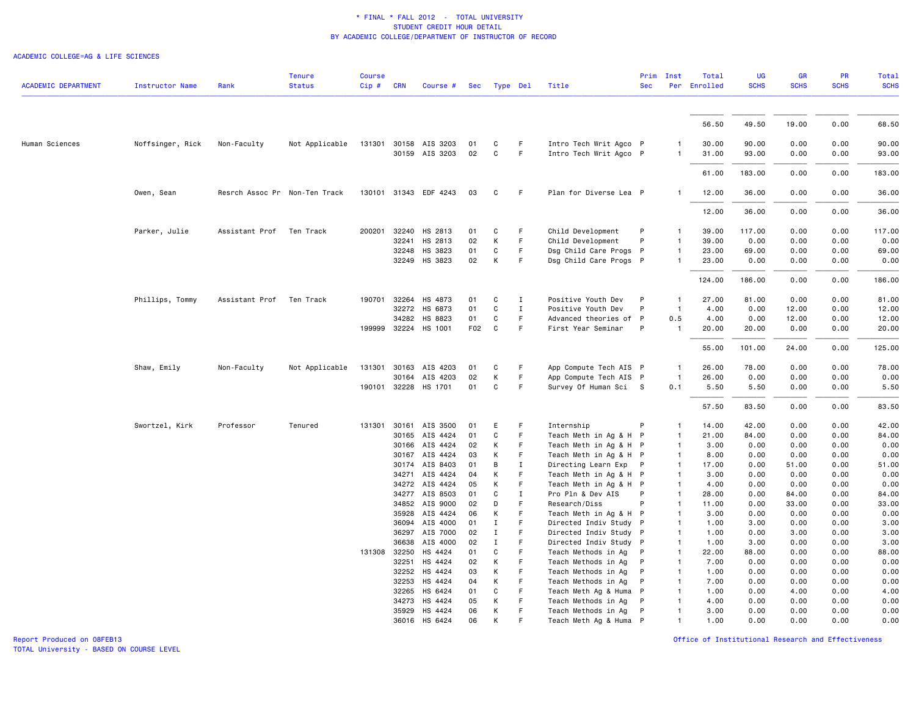#### ACADEMIC COLLEGE=AG & LIFE SCIENCES

| <b>ACADEMIC DEPARTMENT</b> | <b>Instructor Name</b> | Rank                          | <b>Tenure</b><br><b>Status</b> | <b>Course</b><br>Cip# | <b>CRN</b>     | Course #              | Sec      |              | Type Del    | Title                                      | Prim<br><b>Sec</b> | Inst                         | Total<br>Per Enrolled | UG<br><b>SCHS</b> | GR<br><b>SCHS</b> | PR<br><b>SCHS</b> | <b>Total</b><br><b>SCHS</b> |
|----------------------------|------------------------|-------------------------------|--------------------------------|-----------------------|----------------|-----------------------|----------|--------------|-------------|--------------------------------------------|--------------------|------------------------------|-----------------------|-------------------|-------------------|-------------------|-----------------------------|
|                            |                        |                               |                                |                       |                |                       |          |              |             |                                            |                    |                              |                       |                   |                   |                   |                             |
|                            |                        |                               |                                |                       |                |                       |          |              |             |                                            |                    |                              | 56.50                 | 49.50             | 19.00             | 0.00              | 68.50                       |
| Human Sciences             | Noffsinger, Rick       | Non-Faculty                   | Not Applicable                 |                       |                | 131301 30158 AIS 3203 | 01       | C            | F.          | Intro Tech Writ Agco P                     |                    | 1                            | 30.00                 | 90.00             | 0.00              | 0.00              | 90.00                       |
|                            |                        |                               |                                |                       |                | 30159 AIS 3203        | 02       | $\mathtt{C}$ | F           | Intro Tech Writ Agco P                     |                    | $\mathbf{1}$                 | 31.00                 | 93.00             | 0.00              | 0.00              | 93.00                       |
|                            |                        |                               |                                |                       |                |                       |          |              |             |                                            |                    |                              | 61.00                 | 183.00            | 0.00              | 0.00              | 183.00                      |
|                            | Owen, Sean             | Resrch Assoc Pr Non-Ten Track |                                |                       |                | 130101 31343 EDF 4243 | 03       | C            | F.          | Plan for Diverse Lea P                     |                    | -1                           | 12.00                 | 36.00             | 0.00              | 0.00              | 36.00                       |
|                            |                        |                               |                                |                       |                |                       |          |              |             |                                            |                    |                              | 12.00                 | 36.00             | 0.00              | 0.00              | 36.00                       |
|                            | Parker, Julie          | Assistant Prof                | Ten Track                      | 200201                | 32240          | HS 2813               | 01       | C            | F           | Child Development                          | P                  | 1                            | 39.00                 | 117.00            | 0.00              | 0.00              | 117.00                      |
|                            |                        |                               |                                |                       | 32241          | HS 2813               | 02       | K            | F           | Child Development                          | P                  | $\mathbf{1}$                 | 39.00                 | 0.00              | 0.00              | 0.00              | 0.00                        |
|                            |                        |                               |                                |                       | 32248          | HS 3823               | 01       | C            | F.          | Dsg Child Care Progs P                     |                    | $\mathbf{1}$                 | 23.00                 | 69.00             | 0.00              | 0.00              | 69.00                       |
|                            |                        |                               |                                |                       | 32249          | HS 3823               | 02       | К            | F           | Dsg Child Care Progs P                     |                    | $\mathbf{1}$                 | 23.00                 | 0.00              | 0.00              | 0.00              | 0.00                        |
|                            |                        |                               |                                |                       |                |                       |          |              |             |                                            |                    |                              | 124.00                | 186.00            | 0.00              | 0.00              | 186.00                      |
|                            | Phillips, Tommy        | Assistant Prof                | Ten Track                      | 190701                | 32264          | HS 4873               | 01       | C            | $\mathbf I$ | Positive Youth Dev                         | P                  | $\mathbf{1}$                 | 27.00                 | 81.00             | 0.00              | 0.00              | 81.00                       |
|                            |                        |                               |                                |                       | 32272          | HS 6873               | 01       | $\mathtt{C}$ | $\mathbf I$ | Positive Youth Dev                         | P                  | $\overline{1}$               | 4.00                  | 0.00              | 12.00             | 0.00              | 12.00                       |
|                            |                        |                               |                                |                       | 34282          | HS 8823               | 01       | C            | F.          | Advanced theories of P                     |                    | 0.5                          | 4.00                  | 0.00              | 12.00             | 0.00              | 12.00                       |
|                            |                        |                               |                                |                       |                | 199999 32224 HS 1001  | F02      | C            | F           | First Year Seminar                         | P                  | $\mathbf{1}$                 | 20.00                 | 20.00             | 0.00              | 0.00              | 20.00                       |
|                            |                        |                               |                                |                       |                |                       |          |              |             |                                            |                    |                              | 55.00                 | 101.00            | 24.00             | 0.00              | 125.00                      |
|                            | Shaw, Emily            | Non-Faculty                   | Not Applicable                 | 131301                | 30163          | AIS 4203              | 01       | C            | F           | App Compute Tech AIS P                     |                    | $\mathbf{1}$                 | 26.00                 | 78.00             | 0.00              | 0.00              | 78.00                       |
|                            |                        |                               |                                |                       |                | 30164 AIS 4203        | 02       | К            | F           | App Compute Tech AIS P                     |                    | $\overline{1}$               | 26.00                 | 0.00              | 0.00              | 0.00              | 0.00                        |
|                            |                        |                               |                                |                       |                | 190101 32228 HS 1701  | 01       | C            | F           | Survey Of Human Sci S                      |                    | 0.1                          | 5.50                  | 5.50              | 0.00              | 0.00              | 5.50                        |
|                            |                        |                               |                                |                       |                |                       |          |              |             |                                            |                    |                              | 57.50                 | 83.50             | 0.00              | 0.00              | 83.50                       |
|                            | Swortzel, Kirk         | Professor                     | Tenured                        | 131301                | 30161          | AIS 3500              | 01       | Е            | F           | Internship                                 | P                  | 1                            | 14.00                 | 42.00             | 0.00              | 0.00              | 42.00                       |
|                            |                        |                               |                                |                       |                | 30165 AIS 4424        | 01       | C            | F           | Teach Meth in Ag & H P                     |                    | $\mathbf{1}$                 | 21.00                 | 84.00             | 0.00              | 0.00              | 84.00                       |
|                            |                        |                               |                                |                       | 30166          | AIS 4424              | 02       | К            | F           | Teach Meth in Ag & H P                     |                    | $\overline{1}$               | 3.00                  | 0.00              | 0.00              | 0.00              | 0.00                        |
|                            |                        |                               |                                |                       |                | 30167 AIS 4424        | 03       | К            | F           | Teach Meth in Ag & H P                     |                    | $\mathbf{1}$                 | 8.00                  | 0.00              | 0.00              | 0.00              | 0.00                        |
|                            |                        |                               |                                |                       | 30174          | AIS 8403              | 01       | B            | $\mathbf I$ | Directing Learn Exp P                      |                    | $\mathbf{1}$                 | 17.00                 | 0.00              | 51.00             | 0.00              | 51.00                       |
|                            |                        |                               |                                |                       | 34271          | AIS 4424              | 04       | К            | F           | Teach Meth in Ag & H P                     |                    | $\overline{1}$               | 3.00                  | 0.00              | 0.00              | 0.00              | 0.00                        |
|                            |                        |                               |                                |                       |                | 34272 AIS 4424        | 05       | К            | F           | Teach Meth in Ag & H P                     |                    | $\mathbf{1}$                 | 4.00                  | 0.00              | 0.00              | 0.00              | 0.00                        |
|                            |                        |                               |                                |                       |                | 34277 AIS 8503        | 01       | C            | Ι.          | Pro Pln & Dev AIS                          | P                  | $\mathbf{1}$                 | 28.00                 | 0.00              | 84.00             | 0.00              | 84.00                       |
|                            |                        |                               |                                |                       |                | 34852 AIS 9000        | 02       | D            | F           | Research/Diss                              | P                  | $\mathbf{1}$                 | 11.00                 | 0.00              | 33.00             | 0.00              | 33.00                       |
|                            |                        |                               |                                |                       | 35928          | AIS 4424              | 06       | К            | F           | Teach Meth in Ag & H                       | $\mathsf{P}$       | $\mathbf{1}$                 | 3.00                  | 0.00              | 0.00              | 0.00              | 0.00                        |
|                            |                        |                               |                                |                       | 36094          | AIS 4000              | 01       | <b>I</b>     | F           | Directed Indiv Study P                     |                    | $\mathbf{1}$                 | 1.00                  | 3.00              | 0.00              | 0.00              | 3.00                        |
|                            |                        |                               |                                |                       | 36297          | AIS 7000              | 02       | $\mathbf I$  | F           | Directed Indiv Study P                     |                    | $\overline{1}$               | 1.00                  | 0.00              | 3.00              | 0.00              | 3.00                        |
|                            |                        |                               |                                |                       | 36638          | AIS 4000              | 02       | $\mathbf I$  | F           | Directed Indiv Study P                     |                    | $\overline{1}$               | 1.00                  | 3.00              | 0.00              | 0.00              | 3.00                        |
|                            |                        |                               |                                |                       | 131308 32250   | HS 4424               | 01       | C            | F<br>F.     | Teach Methods in Ag                        | P                  | $\mathbf{1}$                 | 22.00                 | 88.00             | 0.00              | 0.00              | 88.00                       |
|                            |                        |                               |                                |                       | 32251          | HS 4424               | 02       | К            | F           | Teach Methods in Ag                        | P                  | $\mathbf{1}$                 | 7.00                  | 0.00              | 0.00              | 0.00              | 0.00                        |
|                            |                        |                               |                                |                       | 32252<br>32253 | HS 4424<br>HS 4424    | 03<br>04 | К<br>К       | F           | Teach Methods in Ag<br>Teach Methods in Ag | P<br>P             | $\mathbf{1}$<br>$\mathbf{1}$ | 1.00<br>7.00          | 0.00<br>0.00      | 0.00<br>0.00      | 0.00<br>0.00      | 0.00<br>0.00                |
|                            |                        |                               |                                |                       | 32265          | HS 6424               | 01       | C            | F.          | Teach Meth Ag & Huma P                     |                    | $\mathbf{1}$                 | 1.00                  | 0.00              | 4.00              | 0.00              | 4.00                        |
|                            |                        |                               |                                |                       | 34273          | HS 4424               | 05       | К            | F           | Teach Methods in Ag                        | P                  | -1                           | 4.00                  | 0.00              | 0.00              | 0.00              | 0.00                        |
|                            |                        |                               |                                |                       |                | 35929 HS 4424         | 06       | К            | F           | Teach Methods in Ag                        | P                  | $\mathbf{1}$                 | 3.00                  | 0.00              | 0.00              | 0.00              | 0.00                        |
|                            |                        |                               |                                |                       | 36016          | HS 6424               | 06       | K            |             | Teach Meth Ag & Huma P                     |                    |                              | 1.00                  | 0.00              | 0.00              | 0.00              | 0.00                        |
|                            |                        |                               |                                |                       |                |                       |          |              |             |                                            |                    |                              |                       |                   |                   |                   |                             |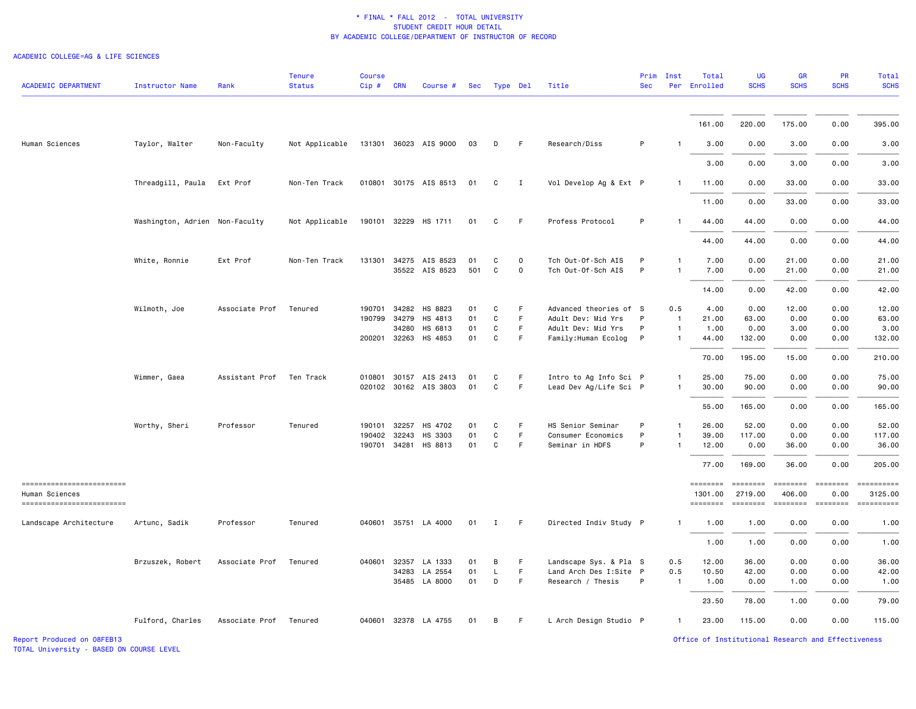#### ACADEMIC COLLEGE=AG & LIFE SCIENCES

| <b>ACADEMIC DEPARTMENT</b>                                                | Instructor Name                | Rank           | <b>Tenure</b><br><b>Status</b> | <b>Course</b><br>$Cip \#$              | <b>CRN</b>     | Course #                                       | Sec            | Type Del     |                         | Title                                                                 | <b>Sec</b>  | Prim Inst                               | Total<br>Per Enrolled           | UG<br><b>SCHS</b>                      | <b>GR</b><br><b>SCHS</b>              | PR<br><b>SCHS</b>                                                                      | Total<br><b>SCHS</b>                                                                                                                                                                                                                                                                                                                                                                                                                                                                                                                                                                                                                                                                                                                                                                                                                                                    |
|---------------------------------------------------------------------------|--------------------------------|----------------|--------------------------------|----------------------------------------|----------------|------------------------------------------------|----------------|--------------|-------------------------|-----------------------------------------------------------------------|-------------|-----------------------------------------|---------------------------------|----------------------------------------|---------------------------------------|----------------------------------------------------------------------------------------|-------------------------------------------------------------------------------------------------------------------------------------------------------------------------------------------------------------------------------------------------------------------------------------------------------------------------------------------------------------------------------------------------------------------------------------------------------------------------------------------------------------------------------------------------------------------------------------------------------------------------------------------------------------------------------------------------------------------------------------------------------------------------------------------------------------------------------------------------------------------------|
|                                                                           |                                |                |                                |                                        |                |                                                |                |              |                         |                                                                       |             |                                         | 161.00                          | 220.00                                 | 175.00                                | 0.00                                                                                   | 395.00                                                                                                                                                                                                                                                                                                                                                                                                                                                                                                                                                                                                                                                                                                                                                                                                                                                                  |
| Human Sciences                                                            | Taylor, Walter                 | Non-Faculty    | Not Applicable                 |                                        |                | 131301 36023 AIS 9000                          | 03             | D            | F.                      | Research/Diss                                                         | P           |                                         | 3.00                            | 0.00                                   | 3.00                                  | 0.00                                                                                   | 3.00                                                                                                                                                                                                                                                                                                                                                                                                                                                                                                                                                                                                                                                                                                                                                                                                                                                                    |
|                                                                           |                                |                |                                |                                        |                |                                                |                |              |                         |                                                                       |             |                                         | 3.00                            | 0.00                                   | 3.00                                  | 0.00                                                                                   | 3.00                                                                                                                                                                                                                                                                                                                                                                                                                                                                                                                                                                                                                                                                                                                                                                                                                                                                    |
|                                                                           | Threadgill, Paula              | Ext Prof       | Non-Ten Track                  |                                        |                | 010801 30175 AIS 8513                          | 01             | C            | I                       | Vol Develop Ag & Ext P                                                |             | $\mathbf{1}$                            | 11.00                           | 0.00                                   | 33.00                                 | 0.00                                                                                   | 33.00                                                                                                                                                                                                                                                                                                                                                                                                                                                                                                                                                                                                                                                                                                                                                                                                                                                                   |
|                                                                           |                                |                |                                |                                        |                |                                                |                |              |                         |                                                                       |             |                                         | 11.00                           | 0.00                                   | 33.00                                 | 0.00                                                                                   | 33.00                                                                                                                                                                                                                                                                                                                                                                                                                                                                                                                                                                                                                                                                                                                                                                                                                                                                   |
|                                                                           | Washington, Adrien Non-Faculty |                | Not Applicable                 |                                        |                | 190101 32229 HS 1711                           | 01             | C            | F                       | Profess Protocol                                                      | P           |                                         | 44.00                           | 44.00                                  | 0.00                                  | 0.00                                                                                   | 44.00                                                                                                                                                                                                                                                                                                                                                                                                                                                                                                                                                                                                                                                                                                                                                                                                                                                                   |
|                                                                           |                                |                |                                |                                        |                |                                                |                |              |                         |                                                                       |             |                                         | 44.00                           | 44.00                                  | 0.00                                  | 0.00                                                                                   | 44.00                                                                                                                                                                                                                                                                                                                                                                                                                                                                                                                                                                                                                                                                                                                                                                                                                                                                   |
|                                                                           | White, Ronnie                  | Ext Prof       | Non-Ten Track                  |                                        |                | 131301 34275 AIS 8523<br>35522 AIS 8523        | 01<br>501      | C<br>C       | $\circ$<br>$\mathsf{o}$ | Tch Out-Of-Sch AIS<br>Tch Out-Of-Sch AIS                              | P<br>P      | -1<br>$\overline{1}$                    | 7.00<br>7.00                    | 0.00<br>0.00                           | 21.00<br>21.00                        | 0.00<br>0.00                                                                           | 21.00<br>21.00                                                                                                                                                                                                                                                                                                                                                                                                                                                                                                                                                                                                                                                                                                                                                                                                                                                          |
|                                                                           |                                |                |                                |                                        |                |                                                |                |              |                         |                                                                       |             |                                         | 14.00                           | 0.00                                   | 42.00                                 | 0.00                                                                                   | 42.00                                                                                                                                                                                                                                                                                                                                                                                                                                                                                                                                                                                                                                                                                                                                                                                                                                                                   |
|                                                                           | Wilmoth, Joe                   | Associate Prof | Tenured                        | 190701<br>190799 34279                 | 34282<br>34280 | HS 8823<br>HS 4813<br>HS 6813                  | 01<br>01<br>01 | C<br>C<br>C  | F<br>F.<br>F            | Advanced theories of S<br>Adult Dev: Mid Yrs<br>Adult Dev: Mid Yrs    | P<br>P      | 0.5<br>$\overline{1}$<br>$\overline{1}$ | 4.00<br>21.00<br>1.00           | 0.00<br>63.00<br>0.00                  | 12.00<br>0.00<br>3.00                 | 0.00<br>0.00<br>0.00                                                                   | 12.00<br>63.00<br>3.00                                                                                                                                                                                                                                                                                                                                                                                                                                                                                                                                                                                                                                                                                                                                                                                                                                                  |
|                                                                           |                                |                |                                | 200201 32263                           |                | HS 4853                                        | 01             | C            | F                       | Family: Human Ecolog                                                  | P           | -1                                      | 44.00                           | 132.00                                 | 0.00                                  | 0.00                                                                                   | 132.00                                                                                                                                                                                                                                                                                                                                                                                                                                                                                                                                                                                                                                                                                                                                                                                                                                                                  |
|                                                                           |                                |                |                                |                                        |                |                                                |                |              |                         |                                                                       |             |                                         | 70.00                           | 195.00                                 | 15.00                                 | 0.00                                                                                   | 210.00                                                                                                                                                                                                                                                                                                                                                                                                                                                                                                                                                                                                                                                                                                                                                                                                                                                                  |
|                                                                           | Wimmer, Gaea                   | Assistant Prof | Ten Track                      |                                        |                | 010801 30157 AIS 2413<br>020102 30162 AIS 3803 | 01<br>01       | C<br>C       | F<br>F                  | Intro to Ag Info Sci P<br>Lead Dev Ag/Life Sci P                      |             | 1<br>1                                  | 25.00<br>30.00                  | 75.00<br>90.00                         | 0.00<br>0.00                          | 0.00<br>0.00                                                                           | 75.00<br>90.00                                                                                                                                                                                                                                                                                                                                                                                                                                                                                                                                                                                                                                                                                                                                                                                                                                                          |
|                                                                           |                                |                |                                |                                        |                |                                                |                |              |                         |                                                                       |             |                                         | 55.00                           | 165.00                                 | 0.00                                  | 0.00                                                                                   | 165.00                                                                                                                                                                                                                                                                                                                                                                                                                                                                                                                                                                                                                                                                                                                                                                                                                                                                  |
|                                                                           | Worthy, Sheri                  | Professor      | Tenured                        | 190101<br>190402 32243<br>190701 34281 | 32257          | HS 4702<br>HS 3303<br>HS 8813                  | 01<br>01<br>01 | C<br>C<br>C  | F<br>F.<br>F            | HS Senior Seminar<br>Consumer Economics<br>Seminar in HDFS            | P<br>P<br>P | -1<br>1                                 | 26.00<br>39.00<br>12.00         | 52.00<br>117.00<br>0.00                | 0.00<br>0.00<br>36.00                 | 0.00<br>0.00<br>0.00                                                                   | 52.00<br>117.00<br>36.00                                                                                                                                                                                                                                                                                                                                                                                                                                                                                                                                                                                                                                                                                                                                                                                                                                                |
|                                                                           |                                |                |                                |                                        |                |                                                |                |              |                         |                                                                       |             |                                         | 77.00                           | 169.00                                 | 36.00                                 | 0.00                                                                                   | 205.00                                                                                                                                                                                                                                                                                                                                                                                                                                                                                                                                                                                                                                                                                                                                                                                                                                                                  |
| -------------------------<br>Human Sciences<br>========================== |                                |                |                                |                                        |                |                                                |                |              |                         |                                                                       |             |                                         | ========<br>1301.00<br>======== | <b>EDEDEDER</b><br>2719.00<br>======== | <b>SEEBEEBE</b><br>406.00<br>======== | $=$<br>0.00<br>$\qquad \qquad \equiv \equiv \equiv \equiv \equiv \equiv \equiv \equiv$ | $\begin{minipage}{0.9\linewidth} \hspace*{-0.2cm} \textbf{1} & \textbf{2} & \textbf{3} & \textbf{5} & \textbf{6} & \textbf{7} \\ \textbf{5} & \textbf{6} & \textbf{7} & \textbf{8} & \textbf{8} & \textbf{9} & \textbf{10} \\ \textbf{6} & \textbf{8} & \textbf{8} & \textbf{8} & \textbf{9} & \textbf{10} & \textbf{10} \\ \textbf{7} & \textbf{9} & \textbf{10} & \textbf{10} & \textbf{10} & \textbf{10} & \textbf{10} &$<br>3125.00<br>$\begin{minipage}{0.9\linewidth} \hspace*{-0.2cm} \textbf{1} & \textbf{2} & \textbf{3} & \textbf{5} & \textbf{6} & \textbf{7} \\ \textbf{5} & \textbf{6} & \textbf{7} & \textbf{8} & \textbf{8} & \textbf{9} & \textbf{10} \\ \textbf{6} & \textbf{8} & \textbf{8} & \textbf{8} & \textbf{9} & \textbf{10} & \textbf{10} \\ \textbf{7} & \textbf{9} & \textbf{10} & \textbf{10} & \textbf{10} & \textbf{10} & \textbf{10} &$ |
| Landscape Architecture                                                    | Artunc, Sadik                  | Professor      | Tenured                        |                                        |                | 040601 35751 LA 4000                           | 01             | $\mathbf{I}$ | F.                      | Directed Indiv Study P                                                |             | $\mathbf{1}$                            | 1.00                            | 1.00                                   | 0.00                                  | 0.00                                                                                   | 1.00                                                                                                                                                                                                                                                                                                                                                                                                                                                                                                                                                                                                                                                                                                                                                                                                                                                                    |
|                                                                           |                                |                |                                |                                        |                |                                                |                |              |                         |                                                                       |             |                                         | 1.00                            | 1.00                                   | 0.00                                  | 0.00                                                                                   | 1.00                                                                                                                                                                                                                                                                                                                                                                                                                                                                                                                                                                                                                                                                                                                                                                                                                                                                    |
|                                                                           | Brzuszek, Robert               | Associate Prof | Tenured                        | 040601                                 | 32357<br>34283 | LA 1333<br>LA 2554<br>35485 LA 8000            | 01<br>01<br>01 | В<br>L<br>D  | F.<br>F<br>F            | Landscape Sys. & Pla S<br>Land Arch Des I:Site P<br>Research / Thesis | P           | 0.5<br>0.5<br>$\overline{1}$            | 12.00<br>10.50<br>1.00          | 36.00<br>42.00<br>0.00                 | 0.00<br>0.00<br>1.00                  | 0.00<br>0.00<br>0.00                                                                   | 36.00<br>42.00<br>1.00                                                                                                                                                                                                                                                                                                                                                                                                                                                                                                                                                                                                                                                                                                                                                                                                                                                  |
|                                                                           |                                |                |                                |                                        |                |                                                |                |              |                         |                                                                       |             |                                         | 23.50                           | 78.00                                  | 1.00                                  | 0.00                                                                                   | 79.00                                                                                                                                                                                                                                                                                                                                                                                                                                                                                                                                                                                                                                                                                                                                                                                                                                                                   |
|                                                                           | Fulford, Charles               | Associate Prof | Tenured                        |                                        |                | 040601 32378 LA 4755                           | 01             | В            | F                       | L Arch Design Studio P                                                |             | $\mathbf{1}$                            | 23.00                           | 115.00                                 | 0.00                                  | 0.00                                                                                   | 115.00                                                                                                                                                                                                                                                                                                                                                                                                                                                                                                                                                                                                                                                                                                                                                                                                                                                                  |

TOTAL University - BASED ON COURSE LEVEL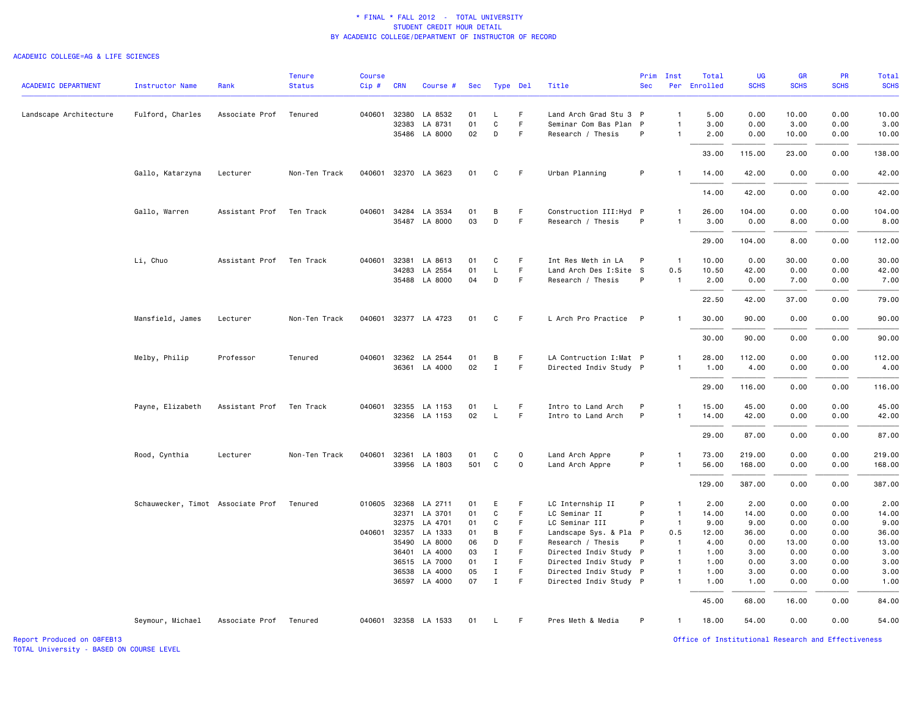#### ACADEMIC COLLEGE=AG & LIFE SCIENCES

| <b>ACADEMIC DEPARTMENT</b> | <b>Instructor Name</b>            | Rank                   | <b>Tenure</b><br><b>Status</b> | <b>Course</b><br>Cip# | <b>CRN</b> | Course #                              | Sec | Type Del          |             | Title                              | <b>Sec</b>   | Prim Inst      | Total<br>Per Enrolled | UG<br><b>SCHS</b> | <b>GR</b><br><b>SCHS</b> | PR<br><b>SCHS</b> | Total<br><b>SCHS</b> |
|----------------------------|-----------------------------------|------------------------|--------------------------------|-----------------------|------------|---------------------------------------|-----|-------------------|-------------|------------------------------------|--------------|----------------|-----------------------|-------------------|--------------------------|-------------------|----------------------|
|                            |                                   |                        |                                |                       |            |                                       |     |                   |             |                                    |              |                |                       |                   |                          |                   |                      |
| Landscape Architecture     | Fulford, Charles                  | Associate Prof         | Tenured                        | 040601                | 32380      | LA 8532                               | 01  | L                 | F.          | Land Arch Grad Stu 3 P             |              | $\overline{1}$ | 5.00                  | 0.00              | 10.00                    | 0.00              | 10.00                |
|                            |                                   |                        |                                |                       | 32383      | LA 8731                               | 01  | $\mathtt{C}$      | F           | Seminar Com Bas Plan P             |              | $\overline{1}$ | 3.00                  | 0.00              | 3.00                     | 0.00              | 3.00                 |
|                            |                                   |                        |                                |                       |            | 35486 LA 8000                         | 02  | D                 | F.          | Research / Thesis                  | P            | $\overline{1}$ | 2.00                  | 0.00              | 10.00                    | 0.00              | 10.00                |
|                            |                                   |                        |                                |                       |            |                                       |     |                   |             |                                    |              |                | 33.00                 | 115.00            | 23.00                    | 0.00              | 138.00               |
|                            | Gallo, Katarzyna                  | Lecturer               | Non-Ten Track                  |                       |            | 040601 32370 LA 3623                  | 01  | C                 | F.          | Urban Planning                     | P            | $\mathbf{1}$   | 14.00                 | 42.00             | 0.00                     | 0.00              | 42.00                |
|                            |                                   |                        |                                |                       |            |                                       |     |                   |             |                                    |              |                | 14.00                 | 42.00             | 0.00                     | 0.00              | 42.00                |
|                            | Gallo, Warren                     | Assistant Prof         | Ten Track                      | 040601                | 34284      | LA 3534                               | 01  | В                 | F           | Construction III: Hyd P            |              | $\mathbf{1}$   | 26.00                 | 104.00            | 0.00                     | 0.00              | 104.00               |
|                            |                                   |                        |                                |                       |            | 35487 LA 8000                         | 03  | D                 | F.          | Research / Thesis                  | P            | $\overline{1}$ | 3.00                  | 0.00              | 8.00                     | 0.00              | 8.00                 |
|                            |                                   |                        |                                |                       |            |                                       |     |                   |             |                                    |              |                | 29.00                 | 104.00            | 8.00                     | 0.00              | 112.00               |
|                            | Li, Chuo                          | Assistant Prof         | Ten Track                      | 040601                | 32381      | LA 8613                               | 01  | C                 | F           | Int Res Meth in LA                 | P            | $\overline{1}$ | 10.00                 | 0.00              | 30.00                    | 0.00              | 30.00                |
|                            |                                   |                        |                                |                       | 34283      | LA 2554                               | 01  | L                 | F.          | Land Arch Des I:Site S             |              | 0.5            | 10.50                 | 42.00             | 0.00                     | 0.00              | 42.00                |
|                            |                                   |                        |                                |                       |            | 35488 LA 8000                         | 04  | D                 | F           | Research / Thesis                  | P            | -1             | 2.00                  | 0.00              | 7.00                     | 0.00              | 7.00                 |
|                            |                                   |                        |                                |                       |            |                                       |     |                   |             |                                    |              |                | 22.50                 | 42.00             | 37.00                    | 0.00              | 79.00                |
|                            | Mansfield, James                  | Lecturer               | Non-Ten Track                  |                       |            | 040601 32377 LA 4723                  | 01  | C                 | F.          | L Arch Pro Practice                | P            | -1             | 30.00                 | 90.00             | 0.00                     | 0.00              | 90.00                |
|                            |                                   |                        |                                |                       |            |                                       |     |                   |             |                                    |              |                | 30.00                 | 90.00             | 0.00                     | 0.00              | 90.00                |
|                            | Melby, Philip                     | Professor              | Tenured                        | 040601 32362          |            | LA 2544                               | 01  | В                 | F           | LA Contruction I: Mat P            |              | $\mathbf{1}$   | 28.00                 | 112.00            | 0.00                     | 0.00              | 112.00               |
|                            |                                   |                        |                                |                       | 36361      | LA 4000                               | 02  | $\mathbf{I}$      | F.          | Directed Indiv Study P             |              | $\overline{1}$ | 1.00                  | 4.00              | 0.00                     | 0.00              | 4.00                 |
|                            |                                   |                        |                                |                       |            |                                       |     |                   |             |                                    |              |                | 29.00                 | 116.00            | 0.00                     | 0.00              | 116.00               |
|                            | Payne, Elizabeth                  | Assistant Prof         | Ten Track                      | 040601                |            | 32355 LA 1153                         | 01  | L                 | F           | Intro to Land Arch                 | P            | -1             | 15.00                 | 45.00             | 0.00                     | 0.00              | 45.00                |
|                            |                                   |                        |                                |                       |            | 32356 LA 1153                         | 02  | $\mathsf L$       | F.          | Intro to Land Arch                 | P            | $\overline{1}$ | 14.00                 | 42.00             | 0.00                     | 0.00              | 42.00                |
|                            |                                   |                        |                                |                       |            |                                       |     |                   |             |                                    |              |                | 29.00                 | 87.00             | 0.00                     | 0.00              | 87.00                |
|                            |                                   |                        |                                |                       |            |                                       | 01  |                   | 0           |                                    | P            | $\mathbf{1}$   |                       |                   |                          |                   |                      |
|                            | Rood, Cynthia                     | Lecturer               | Non-Ten Track                  |                       |            | 040601 32361 LA 1803<br>33956 LA 1803 | 501 | C<br>$\mathsf{C}$ | $\mathbf 0$ | Land Arch Appre<br>Land Arch Appre | P            | $\overline{1}$ | 73.00<br>56.00        | 219.00<br>168.00  | 0.00<br>0.00             | 0.00<br>0.00      | 219.00<br>168.00     |
|                            |                                   |                        |                                |                       |            |                                       |     |                   |             |                                    |              |                |                       |                   |                          |                   |                      |
|                            |                                   |                        |                                |                       |            |                                       |     |                   |             |                                    |              |                | 129.00                | 387.00            | 0.00                     | 0.00              | 387.00               |
|                            | Schauwecker, Timot Associate Prof |                        | Tenured                        | 010605 32368          |            | LA 2711                               | 01  | Ε                 | F           | LC Internship II                   | P            | -1             | 2.00                  | 2.00              | 0.00                     | 0.00              | 2.00                 |
|                            |                                   |                        |                                |                       | 32371      | LA 3701                               | 01  | C                 | F           | LC Seminar II                      | P            | $\overline{1}$ | 14.00                 | 14.00             | 0.00                     | 0.00              | 14.00                |
|                            |                                   |                        |                                |                       |            | 32375 LA 4701                         | 01  | C                 | F.          | LC Seminar III                     | P            | $\overline{1}$ | 9.00                  | 9.00              | 0.00                     | 0.00              | 9.00                 |
|                            |                                   |                        |                                | 040601                | 32357      | LA 1333                               | 01  | B                 | F.          | Landscape Sys. & Pla               | P            | 0.5            | 12.00                 | 36.00             | 0.00                     | 0.00              | 36.00                |
|                            |                                   |                        |                                |                       | 35490      | LA 8000                               | 06  | D                 |             | Research / Thesis                  | P            | $\overline{1}$ | 4.00                  | 0.00              | 13.00                    | 0.00              | 13.00                |
|                            |                                   |                        |                                |                       | 36401      | LA 4000                               | 03  | $\mathbf I$       | F.          | Directed Indiv Study               | $\mathsf{P}$ | $\overline{1}$ | 1.00                  | 3.00              | 0.00                     | 0.00              | 3.00                 |
|                            |                                   |                        |                                |                       |            | 36515 LA 7000                         | 01  | $\mathbf I$       | F           | Directed Indiv Study P             |              | $\overline{1}$ | 1.00                  | 0.00              | 3.00                     | 0.00              | 3.00                 |
|                            |                                   |                        |                                |                       | 36538      | LA 4000                               | 05  | I                 | F           | Directed Indiv Study P             |              | $\mathbf{1}$   | 1.00                  | 3.00              | 0.00                     | 0.00              | 3.00                 |
|                            |                                   |                        |                                |                       |            | 36597 LA 4000                         | 07  | $\mathbf I$       | F.          | Directed Indiv Study P             |              | $\mathbf{1}$   | 1.00                  | 1.00              | 0.00                     | 0.00              | 1.00                 |
|                            |                                   |                        |                                |                       |            |                                       |     |                   |             |                                    |              |                | 45.00                 | 68.00             | 16.00                    | 0.00              | 84.00                |
|                            | Seymour, Michael                  | Associate Prof Tenured |                                |                       |            | 040601 32358 LA 1533                  | 01  | L                 | F.          | Pres Meth & Media                  | P            | $\overline{1}$ | 18.00                 | 54.00             | 0.00                     | 0.00              | 54.00                |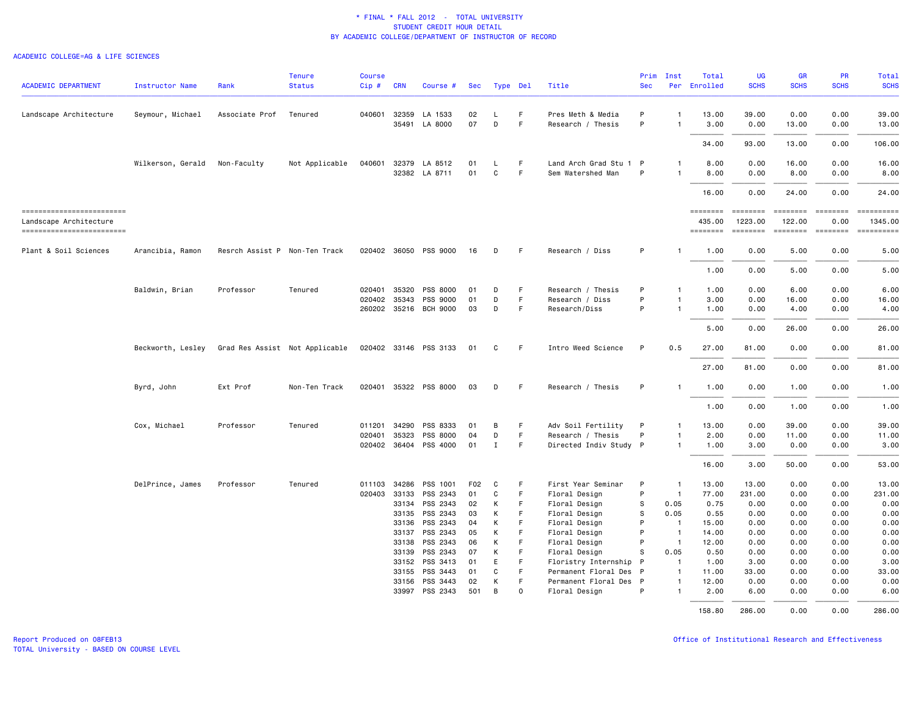#### ACADEMIC COLLEGE=AG & LIFE SCIENCES

| <b>ACADEMIC DEPARTMENT</b>                          | Instructor Name   | Rank                          | <b>Tenure</b><br><b>Status</b> | <b>Course</b><br>Cip# | <b>CRN</b>   | Course #              | <b>Sec</b> | Type Del |    | Title                  | Prim<br><b>Sec</b> | Inst           | Total<br>Per Enrolled     | UG<br><b>SCHS</b>   | <b>GR</b><br><b>SCHS</b>                                                                                                                                                                                                                                                                                                                                                                                                                                                               | <b>PR</b><br><b>SCHS</b> | Total<br><b>SCHS</b> |
|-----------------------------------------------------|-------------------|-------------------------------|--------------------------------|-----------------------|--------------|-----------------------|------------|----------|----|------------------------|--------------------|----------------|---------------------------|---------------------|----------------------------------------------------------------------------------------------------------------------------------------------------------------------------------------------------------------------------------------------------------------------------------------------------------------------------------------------------------------------------------------------------------------------------------------------------------------------------------------|--------------------------|----------------------|
|                                                     |                   |                               |                                |                       |              |                       |            |          |    |                        |                    |                |                           |                     |                                                                                                                                                                                                                                                                                                                                                                                                                                                                                        |                          |                      |
| Landscape Architecture                              | Seymour, Michael  | Associate Prof                | Tenured                        | 040601                | 32359        | LA 1533               | 02         | L        | -F | Pres Meth & Media      | P                  | $\mathbf{1}$   | 13.00                     | 39.00               | 0.00                                                                                                                                                                                                                                                                                                                                                                                                                                                                                   | 0.00                     | 39,00                |
|                                                     |                   |                               |                                |                       |              | 35491 LA 8000         | 07         | D        | F. | Research / Thesis      | P                  | $\mathbf{1}$   | 3.00                      | 0.00                | 13.00                                                                                                                                                                                                                                                                                                                                                                                                                                                                                  | 0.00                     | 13.00                |
|                                                     |                   |                               |                                |                       |              |                       |            |          |    |                        |                    |                | 34.00                     | 93.00               | 13.00                                                                                                                                                                                                                                                                                                                                                                                                                                                                                  | 0.00                     | 106.00               |
|                                                     | Wilkerson, Gerald | Non-Faculty                   | Not Applicable                 | 040601                | 32379        | LA 8512               | 01         | L        | F  | Land Arch Grad Stu 1 P |                    | 1              | 8.00                      | 0.00                | 16.00                                                                                                                                                                                                                                                                                                                                                                                                                                                                                  | 0.00                     | 16.00                |
|                                                     |                   |                               |                                |                       |              | 32382 LA 8711         | 01         | C        | F  | Sem Watershed Man      | P                  | 1              | 8.00                      | 0.00                | 8.00                                                                                                                                                                                                                                                                                                                                                                                                                                                                                   | 0.00                     | 8.00                 |
|                                                     |                   |                               |                                |                       |              |                       |            |          |    |                        |                    |                | 16.00                     | 0.00                | 24.00                                                                                                                                                                                                                                                                                                                                                                                                                                                                                  | 0.00                     | 24.00                |
| ------------------------                            |                   |                               |                                |                       |              |                       |            |          |    |                        |                    |                | <b>EDEDEDER</b>           | <b>SESSESSE</b>     | $\begin{array}{cccccccccc} \multicolumn{2}{c}{} & \multicolumn{2}{c}{} & \multicolumn{2}{c}{} & \multicolumn{2}{c}{} & \multicolumn{2}{c}{} & \multicolumn{2}{c}{} & \multicolumn{2}{c}{} & \multicolumn{2}{c}{} & \multicolumn{2}{c}{} & \multicolumn{2}{c}{} & \multicolumn{2}{c}{} & \multicolumn{2}{c}{} & \multicolumn{2}{c}{} & \multicolumn{2}{c}{} & \multicolumn{2}{c}{} & \multicolumn{2}{c}{} & \multicolumn{2}{c}{} & \multicolumn{2}{c}{} & \multicolumn{2}{c}{} & \mult$ | $= 222222222$            | $= 22222222222$      |
| Landscape Architecture<br>------------------------- |                   |                               |                                |                       |              |                       |            |          |    |                        |                    |                | 435.00<br><b>EDESSEDE</b> | 1223.00<br>======== | 122.00<br><b>EDEDEDED</b>                                                                                                                                                                                                                                                                                                                                                                                                                                                              | 0.00<br>$=$ ========     | 1345.00              |
| Plant & Soil Sciences                               | Arancibia, Ramon  | Resrch Assist P Non-Ten Track |                                |                       |              | 020402 36050 PSS 9000 | 16         | D        | -F | Research / Diss        | P                  | -1             | 1.00                      | 0.00                | 5.00                                                                                                                                                                                                                                                                                                                                                                                                                                                                                   | 0.00                     | 5.00                 |
|                                                     |                   |                               |                                |                       |              |                       |            |          |    |                        |                    |                | 1.00                      | 0.00                | 5.00                                                                                                                                                                                                                                                                                                                                                                                                                                                                                   | 0.00                     | 5.00                 |
|                                                     | Baldwin, Brian    | Professor                     | Tenured                        | 020401                | 35320        | PSS 8000              | 01         | D        | F  | Research / Thesis      | P                  | $\mathbf{1}$   | 1.00                      | 0.00                | 6.00                                                                                                                                                                                                                                                                                                                                                                                                                                                                                   | 0.00                     | 6.00                 |
|                                                     |                   |                               |                                |                       | 020402 35343 | <b>PSS 9000</b>       | 01         | D        | F  | Research / Diss        | P                  | $\mathbf{1}$   | 3.00                      | 0.00                | 16.00                                                                                                                                                                                                                                                                                                                                                                                                                                                                                  | 0.00                     | 16.00                |
|                                                     |                   |                               |                                |                       |              | 260202 35216 BCH 9000 | 03         | D        | F  | Research/Diss          | P                  | $\mathbf{1}$   | 1.00                      | 0.00                | 4.00                                                                                                                                                                                                                                                                                                                                                                                                                                                                                   | 0.00                     | 4.00                 |
|                                                     |                   |                               |                                |                       |              |                       |            |          |    |                        |                    |                | 5.00                      | 0.00                | 26.00                                                                                                                                                                                                                                                                                                                                                                                                                                                                                  | 0.00                     | 26.00                |
|                                                     | Beckworth, Lesley |                               | Grad Res Assist Not Applicable |                       |              | 020402 33146 PSS 3133 | 01         | C        | -F | Intro Weed Science     | P                  | 0.5            | 27.00                     | 81.00               | 0.00                                                                                                                                                                                                                                                                                                                                                                                                                                                                                   | 0.00                     | 81.00                |
|                                                     |                   |                               |                                |                       |              |                       |            |          |    |                        |                    |                | 27.00                     | 81.00               | 0.00                                                                                                                                                                                                                                                                                                                                                                                                                                                                                   | 0.00                     | 81.00                |
|                                                     | Byrd, John        | Ext Prof                      | Non-Ten Track                  |                       |              | 020401 35322 PSS 8000 | 03         | D        | -F | Research / Thesis      | P                  | $\mathbf{1}$   | 1.00                      | 0.00                | 1.00                                                                                                                                                                                                                                                                                                                                                                                                                                                                                   | 0.00                     | 1.00                 |
|                                                     |                   |                               |                                |                       |              |                       |            |          |    |                        |                    |                | 1.00                      | 0.00                | 1.00                                                                                                                                                                                                                                                                                                                                                                                                                                                                                   | 0.00                     | 1.00                 |
|                                                     | Cox, Michael      | Professor                     | Tenured                        | 011201                | 34290        | PSS 8333              | 01         | В        | F  | Adv Soil Fertility     | P                  | 1              | 13.00                     | 0.00                | 39.00                                                                                                                                                                                                                                                                                                                                                                                                                                                                                  | 0.00                     | 39.00                |
|                                                     |                   |                               |                                | 020401                | 35323        | PSS 8000              | 04         | D        | -F | Research / Thesis      | P                  | $\mathbf{1}$   | 2.00                      | 0.00                | 11.00                                                                                                                                                                                                                                                                                                                                                                                                                                                                                  | 0.00                     | 11.00                |
|                                                     |                   |                               |                                |                       | 020402 36404 | PSS 4000              | 01         | Ι.       | F. | Directed Indiv Study P |                    | $\mathbf{1}$   | 1.00                      | 3.00                | 0.00                                                                                                                                                                                                                                                                                                                                                                                                                                                                                   | 0.00                     | 3.00                 |
|                                                     |                   |                               |                                |                       |              |                       |            |          |    |                        |                    |                | 16.00                     | 3,00                | 50.00                                                                                                                                                                                                                                                                                                                                                                                                                                                                                  | 0.00                     | 53.00                |
|                                                     | DelPrince, James  | Professor                     | Tenured                        |                       | 011103 34286 | PSS 1001              | F02        | C        | F  | First Year Seminar     | P                  | $\mathbf{1}$   | 13.00                     | 13.00               | 0.00                                                                                                                                                                                                                                                                                                                                                                                                                                                                                   | 0.00                     | 13.00                |
|                                                     |                   |                               |                                |                       | 020403 33133 | PSS 2343              | 01         | C        | F. | Floral Design          | P                  | $\overline{1}$ | 77.00                     | 231.00              | 0.00                                                                                                                                                                                                                                                                                                                                                                                                                                                                                   | 0.00                     | 231.00               |
|                                                     |                   |                               |                                |                       | 33134        | PSS 2343              | 02         | К        | F  | Floral Design          | s                  | 0.05           | 0.75                      | 0.00                | 0.00                                                                                                                                                                                                                                                                                                                                                                                                                                                                                   | 0.00                     | 0.00                 |
|                                                     |                   |                               |                                |                       | 33135        | PSS 2343              | 03         | К        | E  | Floral Design          | s                  | 0.05           | 0.55                      | 0.00                | 0.00                                                                                                                                                                                                                                                                                                                                                                                                                                                                                   | 0.00                     | 0.00                 |
|                                                     |                   |                               |                                |                       | 33136        | PSS 2343              | 04         | К        | F. | Floral Design          | P                  | $\overline{1}$ | 15.00                     | 0.00                | 0.00                                                                                                                                                                                                                                                                                                                                                                                                                                                                                   | 0.00                     | 0.00                 |
|                                                     |                   |                               |                                |                       | 33137        | PSS 2343              | 05         | К        | F  | Floral Design          | P                  | $\overline{1}$ | 14.00                     | 0.00                | 0.00                                                                                                                                                                                                                                                                                                                                                                                                                                                                                   | 0.00                     | 0.00                 |
|                                                     |                   |                               |                                |                       | 33138        | PSS 2343              | 06         | К        | E  | Floral Design          | P                  | $\overline{1}$ | 12.00                     | 0.00                | 0.00                                                                                                                                                                                                                                                                                                                                                                                                                                                                                   | 0.00                     | 0.00                 |
|                                                     |                   |                               |                                |                       | 33139        | PSS 2343              | 07         | К        | F. | Floral Design          | s                  | 0.05           | 0.50                      | 0.00                | 0.00                                                                                                                                                                                                                                                                                                                                                                                                                                                                                   | 0.00                     | 0.00                 |
|                                                     |                   |                               |                                |                       | 33152        | PSS 3413              | 01         | E        | F  | Floristry Internship   | P                  | $\overline{1}$ | 1.00                      | 3.00                | 0.00                                                                                                                                                                                                                                                                                                                                                                                                                                                                                   | 0.00                     | 3.00                 |
|                                                     |                   |                               |                                |                       | 33155        | PSS 3443              | 01         | C        | E  | Permanent Floral Des   | $\mathsf{P}$       | $\overline{1}$ | 11.00                     | 33.00               | 0.00                                                                                                                                                                                                                                                                                                                                                                                                                                                                                   | 0.00                     | 33.00                |
|                                                     |                   |                               |                                |                       | 33156        | PSS 3443              | 02         | К        | F  | Permanent Floral Des P |                    | $\overline{1}$ | 12.00                     | 0.00                | 0.00                                                                                                                                                                                                                                                                                                                                                                                                                                                                                   | 0.00                     | 0.00                 |
|                                                     |                   |                               |                                |                       | 33997        | PSS 2343              | 501        | В        | 0  | Floral Design          | P                  |                | 2.00                      | 6.00                | 0.00                                                                                                                                                                                                                                                                                                                                                                                                                                                                                   | 0.00                     | 6.00                 |
|                                                     |                   |                               |                                |                       |              |                       |            |          |    |                        |                    |                | 158.80                    | 286.00              | 0.00                                                                                                                                                                                                                                                                                                                                                                                                                                                                                   | 0.00                     | 286.00               |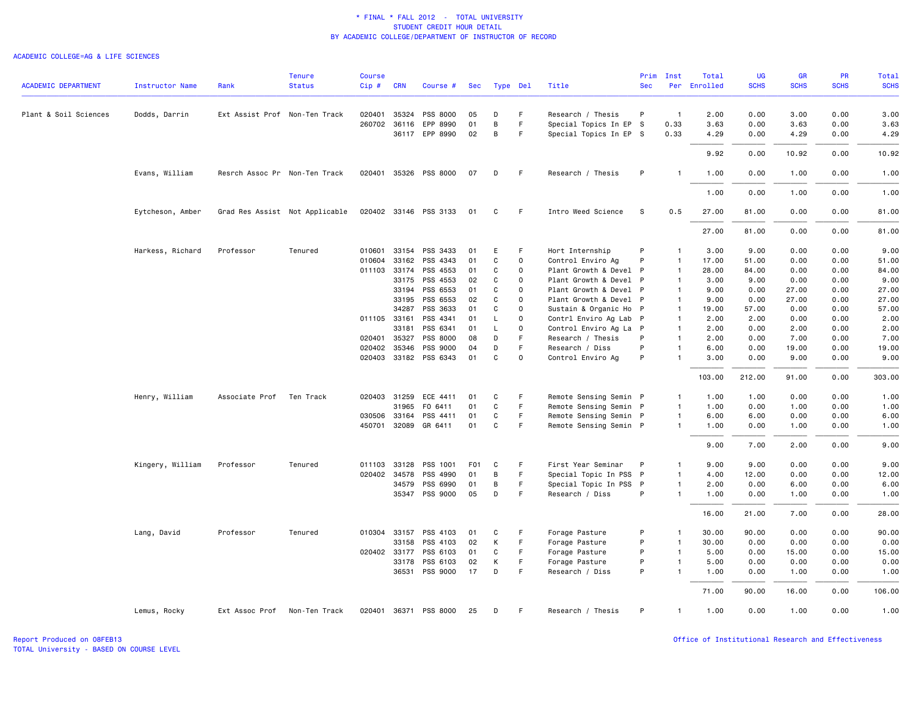#### ACADEMIC COLLEGE=AG & LIFE SCIENCES

|                            |                        |                               | <b>Tenure</b>                  | <b>Course</b> |              |                       |                  |          |             |                        | Prim         | Inst           | Total        | <b>UG</b>   | <b>GR</b>   | <b>PR</b>   | Total       |
|----------------------------|------------------------|-------------------------------|--------------------------------|---------------|--------------|-----------------------|------------------|----------|-------------|------------------------|--------------|----------------|--------------|-------------|-------------|-------------|-------------|
| <b>ACADEMIC DEPARTMENT</b> | <b>Instructor Name</b> | Rank                          | <b>Status</b>                  | $Cip$ #       | <b>CRN</b>   | Course #              | Sec              | Type Del |             | Title                  | <b>Sec</b>   |                | Per Enrolled | <b>SCHS</b> | <b>SCHS</b> | <b>SCHS</b> | <b>SCHS</b> |
| Plant & Soil Sciences      | Dodds, Darrin          | Ext Assist Prof Non-Ten Track |                                | 020401        | 35324        | PSS 8000              | 05               | D        | F.          | Research / Thesis      | P            | $\overline{1}$ | 2.00         | 0.00        | 3.00        | 0.00        | 3.00        |
|                            |                        |                               |                                |               | 260702 36116 | EPP 8990              | 01               | B        | F           | Special Topics In EP S |              | 0.33           | 3.63         | 0.00        | 3.63        | 0.00        | 3.63        |
|                            |                        |                               |                                |               |              | 36117 EPP 8990        | 02               | B        | F.          | Special Topics In EP S |              | 0.33           | 4.29         | 0.00        | 4.29        | 0.00        | 4.29        |
|                            |                        |                               |                                |               |              |                       |                  |          |             |                        |              |                | 9.92         | 0.00        | 10.92       | 0.00        | 10.92       |
|                            | Evans, William         | Resrch Assoc Pr Non-Ten Track |                                |               |              | 020401 35326 PSS 8000 | 07               | D        | -F          | Research / Thesis      | P            |                | 1.00         | 0.00        | 1.00        | 0.00        | 1.00        |
|                            |                        |                               |                                |               |              |                       |                  |          |             |                        |              |                | 1.00         | 0.00        | 1.00        | 0.00        | 1.00        |
|                            | Eytcheson, Amber       |                               | Grad Res Assist Not Applicable |               |              | 020402 33146 PSS 3133 | 01               | C        | F.          | Intro Weed Science     | S            | 0.5            | 27.00        | 81.00       | 0.00        | 0.00        | 81.00       |
|                            |                        |                               |                                |               |              |                       |                  |          |             |                        |              |                | 27.00        | 81.00       | 0.00        | 0.00        | 81.00       |
|                            | Harkess, Richard       | Professor                     | Tenured                        | 010601        | 33154        | PSS 3433              | 01               | E        | F           | Hort Internship        | P            | $\mathbf{1}$   | 3.00         | 9.00        | 0.00        | 0.00        | 9.00        |
|                            |                        |                               |                                | 010604        | 33162        | PSS 4343              | 01               | C        | $\mathbf 0$ | Control Enviro Ag      | P            | $\overline{1}$ | 17.00        | 51.00       | 0.00        | 0.00        | 51.00       |
|                            |                        |                               |                                |               | 011103 33174 | PSS 4553              | 01               | C        | $\Omega$    | Plant Growth & Devel P |              | $\overline{1}$ | 28.00        | 84.00       | 0.00        | 0.00        | 84.00       |
|                            |                        |                               |                                |               | 33175        | PSS 4553              | 02               | C        | $\Omega$    | Plant Growth & Devel P |              | $\overline{1}$ | 3.00         | 9.00        | 0.00        | 0.00        | 9.00        |
|                            |                        |                               |                                |               | 33194        | PSS 6553              | 01               | C        | $\Omega$    | Plant Growth & Devel P |              | $\mathbf{1}$   | 9.00         | 0.00        | 27.00       | 0.00        | 27.00       |
|                            |                        |                               |                                |               | 33195        | PSS 6553              | 02               | C        | $\Omega$    | Plant Growth & Devel P |              | $\mathbf{1}$   | 9.00         | 0.00        | 27.00       | 0.00        | 27.00       |
|                            |                        |                               |                                |               | 34287        | PSS 3633              | 01               | C        | $\mathbf 0$ | Sustain & Organic Ho P |              | $\mathbf{1}$   | 19.00        | 57.00       | 0.00        | 0.00        | 57.00       |
|                            |                        |                               |                                | 011105 33161  |              | PSS 4341              | 01               | L        | $\mathbf 0$ | Contrl Enviro Ag Lab   | $\mathsf{P}$ | $\mathbf{1}$   | 2.00         | 2.00        | 0.00        | 0.00        | 2.00        |
|                            |                        |                               |                                |               | 33181        | PSS 6341              | 01               | L        | $\Omega$    | Control Enviro Ag La P |              | $\overline{1}$ | 2.00         | 0.00        | 2.00        | 0.00        | 2.00        |
|                            |                        |                               |                                |               | 020401 35327 | PSS 8000              | 08               | D        | F.          | Research / Thesis      | P            | $\mathbf{1}$   | 2.00         | 0.00        | 7.00        | 0.00        | 7.00        |
|                            |                        |                               |                                | 020402 35346  |              | PSS 9000              | 04               | D        | F           | Research / Diss        | P            | $\overline{1}$ | 6.00         | 0.00        | 19.00       | 0.00        | 19.00       |
|                            |                        |                               |                                |               |              | 020403 33182 PSS 6343 | 01               | C        | $\Omega$    | Control Enviro Ag      | P            | $\overline{1}$ | 3.00         | 0.00        | 9.00        | 0.00        | 9.00        |
|                            |                        |                               |                                |               |              |                       |                  |          |             |                        |              |                | 103.00       | 212.00      | 91.00       | 0.00        | 303.00      |
|                            | Henry, William         | Associate Prof                | Ten Track                      |               | 020403 31259 | ECE 4411              | 01               | C        | F           | Remote Sensing Semin P |              | $\mathbf{1}$   | 1.00         | 1.00        | 0.00        | 0.00        | 1.00        |
|                            |                        |                               |                                |               | 31965        | F0 6411               | 01               | C        | F           | Remote Sensing Semin P |              | $\mathbf{1}$   | 1.00         | 0.00        | 1.00        | 0.00        | 1.00        |
|                            |                        |                               |                                |               | 030506 33164 | PSS 4411              | 01               | C        | F.          | Remote Sensing Semin P |              | $\mathbf{1}$   | 6.00         | 6.00        | 0.00        | 0.00        | 6.00        |
|                            |                        |                               |                                |               |              | 450701 32089 GR 6411  | 01               | C        | F.          | Remote Sensing Semin P |              | $\overline{1}$ | 1.00         | 0.00        | 1.00        | 0.00        | 1.00        |
|                            |                        |                               |                                |               |              |                       |                  |          |             |                        |              |                | 9.00         | 7.00        | 2.00        | 0.00        | 9.00        |
|                            | Kingery, William       | Professor                     | Tenured                        |               | 011103 33128 | PSS 1001              | F <sub>0</sub> 1 | C        | F           | First Year Seminar     | P            | $\mathbf{1}$   | 9.00         | 9.00        | 0.00        | 0.00        | 9.00        |
|                            |                        |                               |                                |               | 020402 34578 | PSS 4990              | 01               | B        | F.          | Special Topic In PSS P |              | $\mathbf{1}$   | 4.00         | 12.00       | 0.00        | 0.00        | 12.00       |
|                            |                        |                               |                                |               | 34579        | PSS 6990              | 01               | В        | F.          | Special Topic In PSS P |              | $\overline{1}$ | 2.00         | 0.00        | 6.00        | 0.00        | 6.00        |
|                            |                        |                               |                                |               | 35347        | PSS 9000              | 05               | D        | F.          | Research / Diss        | P            | $\overline{1}$ | 1.00         | 0.00        | 1.00        | 0.00        | 1.00        |
|                            |                        |                               |                                |               |              |                       |                  |          |             |                        |              |                | 16,00        | 21.00       | 7.00        | 0.00        | 28.00       |
|                            | Lang, David            | Professor                     | Tenured                        |               | 010304 33157 | PSS 4103              | 01               | C        | F           | Forage Pasture         | P            | $\overline{1}$ | 30.00        | 90.00       | 0.00        | 0.00        | 90.00       |
|                            |                        |                               |                                |               | 33158        | PSS 4103              | 02               | К        | F           | Forage Pasture         | P            | $\mathbf{1}$   | 30.00        | 0.00        | 0.00        | 0.00        | 0.00        |
|                            |                        |                               |                                |               | 020402 33177 | PSS 6103              | 01               | C        | F           | Forage Pasture         | P            | $\mathbf{1}$   | 5.00         | 0.00        | 15.00       | 0.00        | 15.00       |
|                            |                        |                               |                                |               | 33178        | PSS 6103              | 02               | К        | F           | Forage Pasture         | P            | $\mathbf{1}$   | 5.00         | 0.00        | 0.00        | 0.00        | 0.00        |
|                            |                        |                               |                                |               |              | 36531 PSS 9000        | 17               | D        | F.          | Research / Diss        | P            | $\overline{1}$ | 1.00         | 0.00        | 1.00        | 0.00        | 1.00        |
|                            |                        |                               |                                |               |              |                       |                  |          |             |                        |              |                | 71.00        | 90.00       | 16.00       | 0.00        | 106.00      |
|                            | Lemus, Rocky           | Ext Assoc Prof                | Non-Ten Track                  |               |              | 020401 36371 PSS 8000 | 25               | D        | F.          | Research / Thesis      | P            | $\overline{1}$ | 1.00         | 0.00        | 1.00        | 0.00        | 1.00        |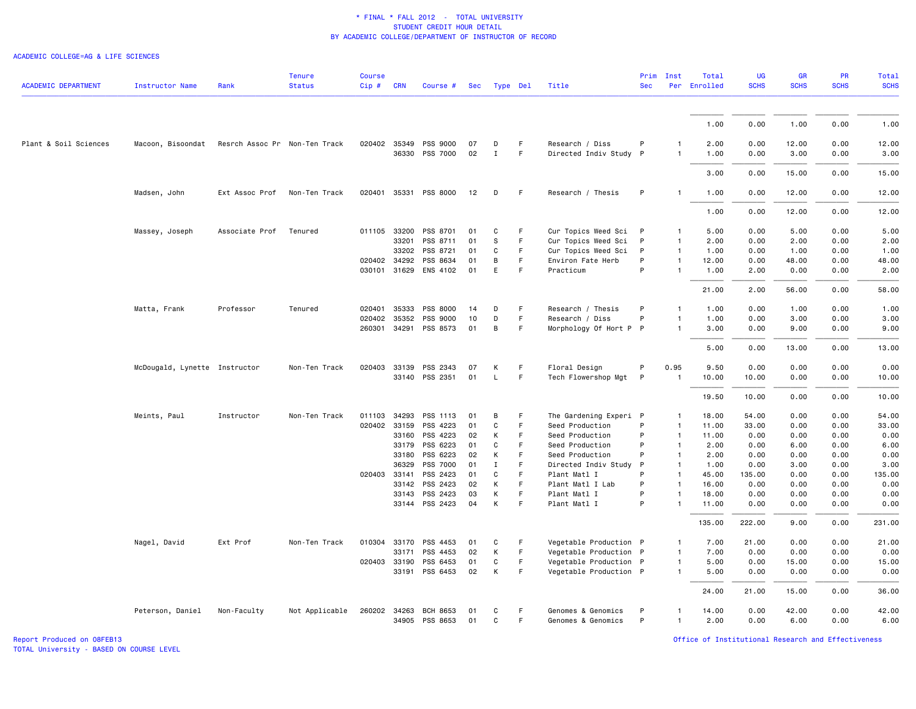#### ACADEMIC COLLEGE=AG & LIFE SCIENCES

| <b>ACADEMIC DEPARTMENT</b> | <b>Instructor Name</b>        | Rank                          | <b>Tenure</b><br><b>Status</b> | <b>Course</b><br>Cip# | <b>CRN</b>            | Course #              | Sec      |                   | <b>Type Del</b> | Title                                     | Prim<br><b>Sec</b> | Inst               | Total<br>Per Enrolled | <b>UG</b><br><b>SCHS</b> | GR<br><b>SCHS</b> | PR<br><b>SCHS</b> | <b>Total</b><br><b>SCHS</b> |
|----------------------------|-------------------------------|-------------------------------|--------------------------------|-----------------------|-----------------------|-----------------------|----------|-------------------|-----------------|-------------------------------------------|--------------------|--------------------|-----------------------|--------------------------|-------------------|-------------------|-----------------------------|
|                            |                               |                               |                                |                       |                       |                       |          |                   |                 |                                           |                    |                    |                       |                          |                   |                   |                             |
|                            |                               |                               |                                |                       |                       |                       |          |                   |                 |                                           |                    |                    | 1.00                  | 0.00                     | 1.00              | 0.00              | 1.00                        |
| Plant & Soil Sciences      | Macoon, Bisoondat             | Resrch Assoc Pr Non-Ten Track |                                |                       | 020402 35349<br>36330 | PSS 9000<br>PSS 7000  | 07<br>02 | D<br>$\mathbf{I}$ | F.<br>F.        | Research / Diss<br>Directed Indiv Study P | P                  | -1<br>$\mathbf{1}$ | 2.00<br>1.00          | 0.00<br>0.00             | 12.00<br>3.00     | 0.00<br>0.00      | 12.00<br>3.00               |
|                            |                               |                               |                                |                       |                       |                       |          |                   |                 |                                           |                    |                    | 3.00                  | 0.00                     | 15.00             | 0.00              | 15.00                       |
|                            | Madsen, John                  | Ext Assoc Prof                | Non-Ten Track                  |                       |                       | 020401 35331 PSS 8000 | 12       | D                 | F.              | Research / Thesis                         | P                  | $\mathbf{1}$       | 1.00                  | 0.00                     | 12.00             | 0.00              | 12.00                       |
|                            |                               |                               |                                |                       |                       |                       |          |                   |                 |                                           |                    |                    | 1.00                  | 0.00                     | 12.00             | 0.00              | 12.00                       |
|                            | Massey, Joseph                | Associate Prof                | Tenured                        |                       | 011105 33200          | PSS 8701              | 01       | C                 | F.              | Cur Topics Weed Sci                       | P                  | $\mathbf{1}$       | 5.00                  | 0.00                     | 5.00              | 0.00              | 5.00                        |
|                            |                               |                               |                                |                       | 33201                 | PSS 8711              | 01       | S                 | F               | Cur Topics Weed Sci                       | P                  | $\mathbf{1}$       | 2.00                  | 0.00                     | 2.00              | 0.00              | 2.00                        |
|                            |                               |                               |                                |                       | 33202                 | PSS 8721              | 01       | C                 | F               | Cur Topics Weed Sci                       | P                  | $\mathbf{1}$       | 1.00                  | 0.00                     | 1.00              | 0.00              | 1.00                        |
|                            |                               |                               |                                |                       | 020402 34292          | PSS 8634              | 01       | B                 | F               | Environ Fate Herb                         | P                  | $\mathbf{1}$       | 12.00                 | 0.00                     | 48.00             | 0.00              | 48.00                       |
|                            |                               |                               |                                |                       |                       | 030101 31629 ENS 4102 | 01       | E                 | F               | Practicum                                 | P                  |                    | 1.00                  | 2.00                     | 0.00              | 0.00              | 2.00                        |
|                            |                               |                               |                                |                       |                       |                       |          |                   |                 |                                           |                    |                    | 21.00                 | 2.00                     | 56.00             | 0.00              | 58.00                       |
|                            | Matta, Frank                  | Professor                     | Tenured                        | 020401                | 35333                 | PSS 8000              | 14       | D                 | F               | Research / Thesis                         | P                  | $\mathbf{1}$       | 1.00                  | 0.00                     | 1.00              | 0.00              | 1.00                        |
|                            |                               |                               |                                |                       | 020402 35352          | PSS 9000              | 10       | D                 | F.              | Research / Diss                           | P                  | 1                  | 1.00                  | 0.00                     | 3.00              | 0.00              | 3.00                        |
|                            |                               |                               |                                |                       | 260301 34291          | PSS 8573              | 01       | B                 | F               | Morphology Of Hort P P                    |                    | $\mathbf{1}$       | 3.00                  | 0.00                     | 9.00              | 0.00              | 9.00                        |
|                            |                               |                               |                                |                       |                       |                       |          |                   |                 |                                           |                    |                    | 5.00                  | 0.00                     | 13.00             | 0.00              | 13.00                       |
|                            | McDougald, Lynette Instructor |                               | Non-Ten Track                  | 020403                | 33139                 | PSS 2343              | 07       | К                 | F.              | Floral Design                             | P                  | 0.95               | 9.50                  | 0.00                     | 0.00              | 0.00              | 0.00                        |
|                            |                               |                               |                                |                       |                       | 33140 PSS 2351        | 01       | $\mathsf{L}$      | F.              | Tech Flowershop Mgt                       | P                  | $\overline{1}$     | 10.00                 | 10.00                    | 0.00              | 0.00              | 10.00                       |
|                            |                               |                               |                                |                       |                       |                       |          |                   |                 |                                           |                    |                    | 19.50                 | 10.00                    | 0.00              | 0.00              | 10.00                       |
|                            | Meints, Paul                  | Instructor                    | Non-Ten Track                  | 011103                | 34293                 | PSS 1113              | 01       | B                 | E               | The Gardening Experi P                    |                    | $\mathbf{1}$       | 18.00                 | 54.00                    | 0.00              | 0.00              | 54.00                       |
|                            |                               |                               |                                |                       | 020402 33159          | PSS 4223              | 01       | $\mathtt{C}$      | F               | Seed Production                           | P                  | $\mathbf{1}$       | 11.00                 | 33.00                    | 0.00              | 0.00              | 33.00                       |
|                            |                               |                               |                                |                       | 33160                 | PSS 4223              | 02       | К                 | F               | Seed Production                           | P                  | $\overline{1}$     | 11.00                 | 0.00                     | 0.00              | 0.00              | 0.00                        |
|                            |                               |                               |                                |                       | 33179                 | PSS 6223              | 01       | $\mathbf{C}$      | F               | Seed Production                           | P                  | $\mathbf{1}$       | 2.00                  | 0.00                     | 6.00              | 0.00              | 6.00                        |
|                            |                               |                               |                                |                       | 33180                 | PSS 6223              | 02       | К                 | F               | Seed Production                           | P                  | $\overline{1}$     | 2.00                  | 0.00                     | 0.00              | 0.00              | 0.00                        |
|                            |                               |                               |                                |                       | 36329                 | PSS 7000              | 01       | $\mathbf I$       | F               | Directed Indiv Study                      | P                  | $\mathbf{1}$       | 1.00                  | 0.00                     | 3.00              | 0.00              | 3.00                        |
|                            |                               |                               |                                |                       | 020403 33141          | PSS 2423              | 01       | C                 | F               | Plant Matl I                              | P                  | $\mathbf{1}$       | 45.00                 | 135.00                   | 0.00              | 0.00              | 135.00                      |
|                            |                               |                               |                                |                       | 33142                 | PSS 2423              | 02       | K                 | F               | Plant Matl I Lab                          | P                  | $\overline{1}$     | 16.00                 | 0.00                     | 0.00              | 0.00              | 0.00                        |
|                            |                               |                               |                                |                       | 33143                 | PSS 2423              | 03       | К                 | F.              | Plant Matl I                              | P                  | $\mathbf{1}$       | 18.00                 | 0.00                     | 0.00              | 0.00              | 0.00                        |
|                            |                               |                               |                                |                       |                       | 33144 PSS 2423        | 04       | К                 | F               | Plant Matl I                              | P                  | $\mathbf{1}$       | 11.00                 | 0.00                     | 0.00              | 0.00              | 0.00                        |
|                            |                               |                               |                                |                       |                       |                       |          |                   |                 |                                           |                    |                    | 135.00                | 222.00                   | 9.00              | 0.00              | 231.00                      |
|                            | Nagel, David                  | Ext Prof                      | Non-Ten Track                  |                       |                       | 010304 33170 PSS 4453 | 01       | C                 | F               | Vegetable Production P                    |                    | $\mathbf{1}$       | 7.00                  | 21.00                    | 0.00              | 0.00              | 21.00                       |
|                            |                               |                               |                                |                       | 33171                 | PSS 4453              | 02       | К                 | F               | Vegetable Production P                    |                    | $\mathbf{1}$       | 7.00                  | 0.00                     | 0.00              | 0.00              | 0.00                        |
|                            |                               |                               |                                |                       | 020403 33190          | PSS 6453              | 01       | C                 | F               | Vegetable Production P                    |                    | $\mathbf{1}$       | 5.00                  | 0.00                     | 15.00             | 0.00              | 15.00                       |
|                            |                               |                               |                                |                       | 33191                 | PSS 6453              | 02       | К                 | F.              | Vegetable Production P                    |                    | $\mathbf{1}$       | 5.00                  | 0.00                     | 0.00              | 0.00              | 0.00                        |
|                            |                               |                               |                                |                       |                       |                       |          |                   |                 |                                           |                    |                    | 24.00                 | 21.00                    | 15.00             | 0.00              | 36.00                       |
|                            | Peterson, Daniel              | Non-Faculty                   | Not Applicable                 |                       | 260202 34263          | <b>BCH 8653</b>       | 01       | C                 | F.              | Genomes & Genomics                        | P                  | $\mathbf{1}$       | 14.00                 | 0.00                     | 42.00             | 0.00              | 42.00                       |
|                            |                               |                               |                                |                       |                       | 34905 PSS 8653        | 01       | C                 | F               | Genomes & Genomics                        | P                  | 1                  | 2.00                  | 0.00                     | 6.00              | 0.00              | 6.00                        |
|                            |                               |                               |                                |                       |                       |                       |          |                   |                 |                                           |                    |                    |                       |                          |                   |                   |                             |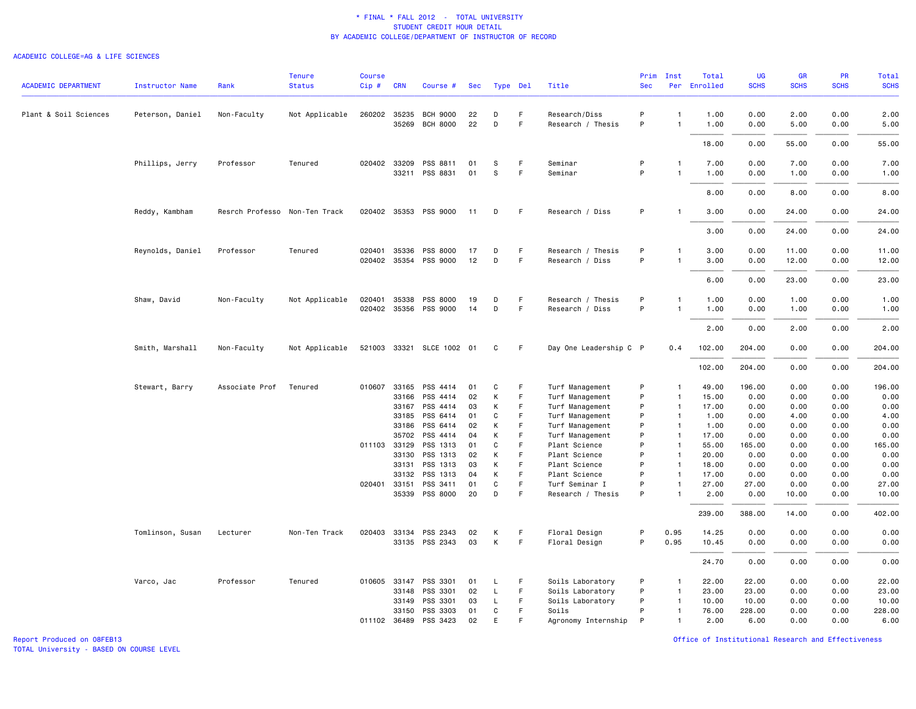#### ACADEMIC COLLEGE=AG & LIFE SCIENCES

| <b>ACADEMIC DEPARTMENT</b> | <b>Instructor Name</b> | Rank                          | <b>Tenure</b><br><b>Status</b> | <b>Course</b><br>Cip# | <b>CRN</b>            | Course #                           | <b>Sec</b> |        | Type Del | Title                              | Prim<br><b>Sec</b> | Inst                           | Total<br>Per Enrolled | <b>UG</b><br><b>SCHS</b> | <b>GR</b><br><b>SCHS</b> | PR<br><b>SCHS</b> | <b>Total</b><br><b>SCHS</b> |
|----------------------------|------------------------|-------------------------------|--------------------------------|-----------------------|-----------------------|------------------------------------|------------|--------|----------|------------------------------------|--------------------|--------------------------------|-----------------------|--------------------------|--------------------------|-------------------|-----------------------------|
|                            |                        |                               |                                |                       |                       |                                    |            |        |          |                                    |                    |                                |                       |                          |                          |                   |                             |
| Plant & Soil Sciences      | Peterson, Daniel       | Non-Faculty                   | Not Applicable                 |                       | 260202 35235<br>35269 | <b>BCH 9000</b><br><b>BCH 8000</b> | 22<br>22   | D<br>D | F.<br>F  | Research/Diss<br>Research / Thesis | P<br>P             | $\mathbf{1}$<br>$\mathbf{1}$   | 1.00<br>1.00          | 0.00<br>0.00             | 2.00<br>5.00             | 0.00<br>0.00      | 2.00<br>5.00                |
|                            |                        |                               |                                |                       |                       |                                    |            |        |          |                                    |                    |                                | 18.00                 | 0.00                     | 55.00                    | 0.00              | 55.00                       |
|                            |                        | Professor                     |                                |                       | 020402 33209          | PSS 8811                           | 01         |        | F        | Seminar                            | P                  | $\mathbf{1}$                   | 7.00                  | 0.00                     | 7.00                     | 0.00              | 7.00                        |
|                            | Phillips, Jerry        |                               | Tenured                        |                       | 33211                 | PSS 8831                           | 01         | S<br>S | F        | Seminar                            | P                  | $\mathbf{1}$                   | 1.00                  | 0.00                     | 1.00                     | 0.00              | 1.00                        |
|                            |                        |                               |                                |                       |                       |                                    |            |        |          |                                    |                    |                                | 8.00                  | 0.00                     | 8.00                     | 0.00              | 8.00                        |
|                            | Reddy, Kambham         | Resrch Professo Non-Ten Track |                                |                       | 020402 35353          | PSS 9000                           | 11         | D      | F.       | Research / Diss                    | P                  | $\mathbf{1}$                   | 3.00                  | 0.00                     | 24.00                    | 0.00              | 24.00                       |
|                            |                        |                               |                                |                       |                       |                                    |            |        |          |                                    |                    |                                | 3.00                  | 0.00                     | 24.00                    | 0.00              | 24.00                       |
|                            | Reynolds, Daniel       | Professor                     | Tenured                        | 020401                | 35336                 | PSS 8000                           | 17         | D      | F        | Research / Thesis                  | P                  | 1                              | 3.00                  | 0.00                     | 11.00                    | 0.00              | 11.00                       |
|                            |                        |                               |                                |                       | 020402 35354          | PSS 9000                           | 12         | D      | F        | Research / Diss                    | P                  | $\mathbf{1}$                   | 3.00                  | 0.00                     | 12.00                    | 0.00              | 12.00                       |
|                            |                        |                               |                                |                       |                       |                                    |            |        |          |                                    |                    |                                | 6.00                  | 0.00                     | 23.00                    | 0.00              | 23.00                       |
|                            | Shaw, David            | Non-Faculty                   | Not Applicable                 | 020401                | 35338                 | PSS 8000                           | 19         | D      | F.       | Research / Thesis                  | P                  | -1                             | 1.00                  | 0.00                     | 1.00                     | 0.00              | 1.00                        |
|                            |                        |                               |                                |                       |                       | 020402 35356 PSS 9000              | 14         | D      | F        | Research / Diss                    | P                  | $\mathbf{1}$                   | 1.00                  | 0.00                     | 1.00                     | 0.00              | 1.00                        |
|                            |                        |                               |                                |                       |                       |                                    |            |        |          |                                    |                    |                                | 2.00                  | 0.00                     | 2.00                     | 0.00              | 2.00                        |
|                            | Smith, Marshall        | Non-Faculty                   | Not Applicable                 |                       |                       | 521003 33321 SLCE 1002 01          |            | C      | F.       | Day One Leadership C P             |                    | 0.4                            | 102.00                | 204.00                   | 0.00                     | 0.00              | 204.00                      |
|                            |                        |                               |                                |                       |                       |                                    |            |        |          |                                    |                    |                                | 102.00                | 204.00                   | 0.00                     | 0.00              | 204.00                      |
|                            | Stewart, Barry         | Associate Prof                | Tenured                        | 010607                | 33165                 | PSS 4414                           | 01         | C      | F        | Turf Management                    | P                  | $\overline{1}$                 | 49.00                 | 196.00                   | 0.00                     | 0.00              | 196.00                      |
|                            |                        |                               |                                |                       | 33166                 | PSS 4414                           | 02         | К      | F        | Turf Management                    | P                  | $\mathbf{1}$                   | 15.00                 | 0.00                     | 0.00                     | 0.00              | 0.00                        |
|                            |                        |                               |                                |                       | 33167                 | PSS 4414                           | 03         | К<br>C | F<br>F   | Turf Management                    | P<br>P             | $\mathbf{1}$                   | 17.00                 | 0.00                     | 0.00                     | 0.00              | 0.00                        |
|                            |                        |                               |                                |                       | 33185<br>33186        | PSS 6414<br>PSS 6414               | 01<br>02   | К      | F.       | Turf Management<br>Turf Management | P                  | $\overline{1}$<br>$\mathbf{1}$ | 1.00<br>1.00          | 0.00<br>0.00             | 4.00<br>0.00             | 0.00<br>0.00      | 4.00<br>0.00                |
|                            |                        |                               |                                |                       | 35702                 | PSS 4414                           | 04         | К      | F        | Turf Management                    | P                  | $\overline{1}$                 | 17.00                 | 0.00                     | 0.00                     | 0.00              | 0.00                        |
|                            |                        |                               |                                |                       | 011103 33129          | PSS 1313                           | 01         | C      | F        | Plant Science                      | P                  | $\overline{1}$                 | 55.00                 | 165.00                   | 0.00                     | 0.00              | 165.00                      |
|                            |                        |                               |                                |                       | 33130                 | PSS 1313                           | 02         | К      | F        | Plant Science                      | P                  | $\mathbf{1}$                   | 20.00                 | 0.00                     | 0.00                     | 0.00              | 0.00                        |
|                            |                        |                               |                                |                       | 33131                 | PSS 1313                           | 03         | К      | F        | Plant Science                      | P                  | $\overline{1}$                 | 18.00                 | 0.00                     | 0.00                     | 0.00              | 0.00                        |
|                            |                        |                               |                                |                       | 33132                 | PSS 1313                           | 04         | К      | F.       | Plant Science                      | P                  | $\mathbf{1}$                   | 17.00                 | 0.00                     | 0.00                     | 0.00              | 0.00                        |
|                            |                        |                               |                                | 020401 33151          |                       | PSS 3411                           | 01         | C      | F        | Turf Seminar I                     | P                  | $\mathbf{1}$                   | 27.00                 | 27.00                    | 0.00                     | 0.00              | 27.00                       |
|                            |                        |                               |                                |                       |                       | 35339 PSS 8000                     | 20         | D      | F        | Research / Thesis                  | P                  | $\mathbf{1}$                   | 2.00                  | 0.00                     | 10.00                    | 0.00              | 10.00                       |
|                            |                        |                               |                                |                       |                       |                                    |            |        |          |                                    |                    |                                | 239.00                | 388.00                   | 14.00                    | 0.00              | 402.00                      |
|                            | Tomlinson, Susan       | Lecturer                      | Non-Ten Track                  |                       | 020403 33134          | PSS 2343                           | 02         | К      | F        | Floral Design                      | P                  | 0.95                           | 14.25                 | 0.00                     | 0.00                     | 0.00              | 0.00                        |
|                            |                        |                               |                                |                       | 33135                 | PSS 2343                           | 03         | К      | F        | Floral Design                      | P                  | 0.95                           | 10.45                 | 0.00                     | 0.00                     | 0.00              | 0.00                        |
|                            |                        |                               |                                |                       |                       |                                    |            |        |          |                                    |                    |                                | 24.70                 | 0.00                     | 0.00                     | 0.00              | 0.00                        |
|                            | Varco, Jac             | Professor                     | Tenured                        |                       | 010605 33147          | PSS 3301                           | 01         | L.     | F.       | Soils Laboratory                   | P                  | 1                              | 22.00                 | 22.00                    | 0.00                     | 0.00              | 22.00                       |
|                            |                        |                               |                                |                       | 33148                 | PSS 3301                           | 02         | L      | F        | Soils Laboratory                   | P                  | $\mathbf{1}$                   | 23.00                 | 23.00                    | 0.00                     | 0.00              | 23.00                       |
|                            |                        |                               |                                |                       | 33149                 | PSS 3301                           | 03         | L      | F        | Soils Laboratory                   | P                  | $\mathbf{1}$                   | 10.00                 | 10.00                    | 0.00                     | 0.00              | 10.00                       |
|                            |                        |                               |                                |                       | 33150                 | PSS 3303                           | 01         | C      | F.       | Soils                              | P                  | 1                              | 76.00                 | 228.00                   | 0.00                     | 0.00              | 228.00                      |
|                            |                        |                               |                                |                       | 011102 36489          | PSS 3423                           | 02         | E      | F        | Agronomy Internship                | P                  | $\mathbf{1}$                   | 2.00                  | 6.00                     | 0.00                     | 0.00              | 6.00                        |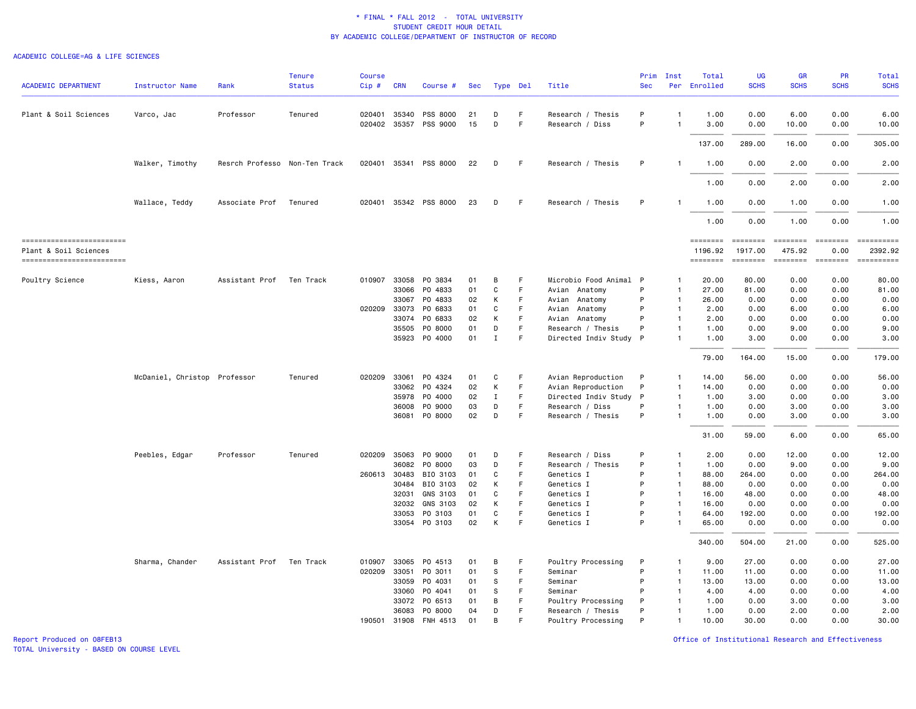#### ACADEMIC COLLEGE=AG & LIFE SCIENCES

| <b>ACADEMIC DEPARTMENT</b>                         | <b>Instructor Name</b>       | Rank                          | <b>Tenure</b><br><b>Status</b> | <b>Course</b><br>$Cip$ # | <b>CRN</b>   | Course #              | Sec |             | Type Del | Title                  | Prim<br><b>Sec</b> | Inst         | Total<br>Per Enrolled | <b>UG</b><br><b>SCHS</b>                                                                                                                                                                                                                                                                                                                                                                                                                                                                          | GR<br><b>SCHS</b> | PR<br><b>SCHS</b>                                                               | <b>Total</b><br><b>SCHS</b> |
|----------------------------------------------------|------------------------------|-------------------------------|--------------------------------|--------------------------|--------------|-----------------------|-----|-------------|----------|------------------------|--------------------|--------------|-----------------------|---------------------------------------------------------------------------------------------------------------------------------------------------------------------------------------------------------------------------------------------------------------------------------------------------------------------------------------------------------------------------------------------------------------------------------------------------------------------------------------------------|-------------------|---------------------------------------------------------------------------------|-----------------------------|
| Plant & Soil Sciences                              | Varco, Jac                   | Professor                     | Tenured                        |                          | 020401 35340 | PSS 8000              | 21  | D           | F.       | Research / Thesis      | P                  | $\mathbf{1}$ | 1.00                  | 0.00                                                                                                                                                                                                                                                                                                                                                                                                                                                                                              | 6.00              | 0.00                                                                            | 6.00                        |
|                                                    |                              |                               |                                | 020402 35357             |              | PSS 9000              | 15  | D           | F        | Research / Diss        | P                  | $\mathbf{1}$ | 3.00                  | 0.00                                                                                                                                                                                                                                                                                                                                                                                                                                                                                              | 10.00             | 0.00                                                                            | 10.00                       |
|                                                    |                              |                               |                                |                          |              |                       |     |             |          |                        |                    |              | 137.00                | 289.00                                                                                                                                                                                                                                                                                                                                                                                                                                                                                            | 16.00             | 0.00                                                                            | 305.00                      |
|                                                    | Walker, Timothy              | Resrch Professo Non-Ten Track |                                |                          |              | 020401 35341 PSS 8000 | 22  | D           | F.       | Research / Thesis      | P                  | $\mathbf{1}$ | 1.00                  | 0.00                                                                                                                                                                                                                                                                                                                                                                                                                                                                                              | 2.00              | 0.00                                                                            | 2.00                        |
|                                                    |                              |                               |                                |                          |              |                       |     |             |          |                        |                    |              | 1.00                  | 0.00                                                                                                                                                                                                                                                                                                                                                                                                                                                                                              | 2.00              | 0.00                                                                            | 2.00                        |
|                                                    | Wallace, Teddy               | Associate Prof                | Tenured                        |                          |              | 020401 35342 PSS 8000 | 23  | D           | F        | Research / Thesis      | P                  |              | 1.00                  | 0.00                                                                                                                                                                                                                                                                                                                                                                                                                                                                                              | 1.00              | 0.00                                                                            | 1.00                        |
|                                                    |                              |                               |                                |                          |              |                       |     |             |          |                        |                    |              | 1.00                  | 0.00                                                                                                                                                                                                                                                                                                                                                                                                                                                                                              | 1.00              | 0.00                                                                            | 1.00                        |
| -------------------------<br>Plant & Soil Sciences |                              |                               |                                |                          |              |                       |     |             |          |                        |                    |              | ========<br>1196.92   | $\begin{array}{cccccccccc} \multicolumn{2}{c}{} & \multicolumn{2}{c}{} & \multicolumn{2}{c}{} & \multicolumn{2}{c}{} & \multicolumn{2}{c}{} & \multicolumn{2}{c}{} & \multicolumn{2}{c}{} & \multicolumn{2}{c}{} & \multicolumn{2}{c}{} & \multicolumn{2}{c}{} & \multicolumn{2}{c}{} & \multicolumn{2}{c}{} & \multicolumn{2}{c}{} & \multicolumn{2}{c}{} & \multicolumn{2}{c}{} & \multicolumn{2}{c}{} & \multicolumn{2}{c}{} & \multicolumn{2}{c}{} & \multicolumn{2}{c}{} & \mult$<br>1917.00 | 475.92            | $\qquad \qquad \equiv \equiv \equiv \equiv \equiv \equiv \equiv \equiv$<br>0.00 | ==========<br>2392.92       |
| -------------------------                          |                              |                               |                                |                          |              |                       |     |             |          |                        |                    |              | <b>EDESSERS</b>       |                                                                                                                                                                                                                                                                                                                                                                                                                                                                                                   |                   |                                                                                 | ==========                  |
| Poultry Science                                    | Kiess, Aaron                 | Assistant Prof                | Ten Track                      | 010907 33058             |              | PO 3834               | 01  | В           | F        | Microbio Food Animal P |                    | $\mathbf{1}$ | 20.00                 | 80.00                                                                                                                                                                                                                                                                                                                                                                                                                                                                                             | 0.00              | 0.00                                                                            | 80.00                       |
|                                                    |                              |                               |                                |                          | 33066        | PO 4833               | 01  | C           | F        | Avian Anatomy          | P                  | $\mathbf{1}$ | 27.00                 | 81.00                                                                                                                                                                                                                                                                                                                                                                                                                                                                                             | 0.00              | 0.00                                                                            | 81.00                       |
|                                                    |                              |                               |                                |                          | 33067        | P0 4833               | 02  | К           | F.       | Avian<br>Anatomy       | P                  | $\mathbf{1}$ | 26.00                 | 0.00                                                                                                                                                                                                                                                                                                                                                                                                                                                                                              | 0.00              | 0.00                                                                            | 0.00                        |
|                                                    |                              |                               |                                | 020209                   | 33073        | PO 6833               | 01  | C           | F        | Avian<br>Anatomy       | P                  | $\mathbf{1}$ | 2.00                  | 0.00                                                                                                                                                                                                                                                                                                                                                                                                                                                                                              | 6.00              | 0.00                                                                            | 6.00                        |
|                                                    |                              |                               |                                |                          | 33074        | PO 6833               | 02  | К           | F.       | Avian Anatomy          | P                  | $\mathbf{1}$ | 2.00                  | 0.00                                                                                                                                                                                                                                                                                                                                                                                                                                                                                              | 0.00              | 0.00                                                                            | 0.00                        |
|                                                    |                              |                               |                                |                          | 35505        | P0 8000               | 01  | D           | F        | Research / Thesis      | P                  | $\mathbf{1}$ | 1.00                  | 0.00                                                                                                                                                                                                                                                                                                                                                                                                                                                                                              | 9.00              | 0.00                                                                            | 9.00                        |
|                                                    |                              |                               |                                |                          | 35923        | P0 4000               | 01  | $\mathbf I$ | F        | Directed Indiv Study P |                    | $\mathbf{1}$ | 1.00                  | 3.00                                                                                                                                                                                                                                                                                                                                                                                                                                                                                              | 0.00              | 0.00                                                                            | 3.00                        |
|                                                    |                              |                               |                                |                          |              |                       |     |             |          |                        |                    |              | 79.00                 | 164.00                                                                                                                                                                                                                                                                                                                                                                                                                                                                                            | 15.00             | 0.00                                                                            | 179.00                      |
|                                                    | McDaniel, Christop Professor |                               | Tenured                        | 020209 33061             |              | P0 4324               | 01  | C           | F        | Avian Reproduction     | P                  | 1            | 14.00                 | 56.00                                                                                                                                                                                                                                                                                                                                                                                                                                                                                             | 0.00              | 0.00                                                                            | 56.00                       |
|                                                    |                              |                               |                                |                          | 33062        | PO 4324               | 02  | К           | F        | Avian Reproduction     | P                  | $\mathbf{1}$ | 14.00                 | 0.00                                                                                                                                                                                                                                                                                                                                                                                                                                                                                              | 0.00              | 0.00                                                                            | 0.00                        |
|                                                    |                              |                               |                                |                          | 35978        | P0 4000               | 02  | $\mathbf I$ | F.       | Directed Indiv Study   | P                  | $\mathbf{1}$ | 1.00                  | 3.00                                                                                                                                                                                                                                                                                                                                                                                                                                                                                              | 0.00              | 0.00                                                                            | 3.00                        |
|                                                    |                              |                               |                                |                          | 36008        | PO 9000               | 03  | D           | F        | Research / Diss        | P                  | 1            | 1.00                  | 0.00                                                                                                                                                                                                                                                                                                                                                                                                                                                                                              | 3.00              | 0.00                                                                            | 3.00                        |
|                                                    |                              |                               |                                |                          | 36081        | PO 8000               | 02  | D           | F.       | Research / Thesis      | P                  | 1            | 1.00                  | 0.00                                                                                                                                                                                                                                                                                                                                                                                                                                                                                              | 3.00              | 0.00                                                                            | 3.00                        |
|                                                    |                              |                               |                                |                          |              |                       |     |             |          |                        |                    |              | 31.00                 | 59.00                                                                                                                                                                                                                                                                                                                                                                                                                                                                                             | 6.00              | 0.00                                                                            | 65.00                       |
|                                                    | Peebles, Edgar               | Professor                     | Tenured                        | 020209                   | 35063        | PO 9000               | 01  | D           | F        | Research / Diss        | P                  | $\mathbf{1}$ | 2.00                  | 0.00                                                                                                                                                                                                                                                                                                                                                                                                                                                                                              | 12.00             | 0.00                                                                            | 12.00                       |
|                                                    |                              |                               |                                |                          | 36082        | P0 8000               | 03  | D           | F.       | Research / Thesis      | P                  | $\mathbf{1}$ | 1.00                  | 0.00                                                                                                                                                                                                                                                                                                                                                                                                                                                                                              | 9.00              | 0.00                                                                            | 9.00                        |
|                                                    |                              |                               |                                | 260613 30483             |              | BIO 3103              | 01  | C           | F        | Genetics I             | P                  | $\mathbf{1}$ | 88.00                 | 264.00                                                                                                                                                                                                                                                                                                                                                                                                                                                                                            | 0.00              | 0.00                                                                            | 264.00                      |
|                                                    |                              |                               |                                |                          | 30484        | BIO 3103              | 02  | K           | F.       | Genetics I             | P                  | $\mathbf{1}$ | 88.00                 | 0.00                                                                                                                                                                                                                                                                                                                                                                                                                                                                                              | 0.00              | 0.00                                                                            | 0.00                        |
|                                                    |                              |                               |                                |                          | 32031        | GNS 3103              | 01  | C           | F.       | Genetics I             | P                  | $\mathbf{1}$ | 16.00                 | 48.00                                                                                                                                                                                                                                                                                                                                                                                                                                                                                             | 0.00              | 0.00                                                                            | 48.00                       |
|                                                    |                              |                               |                                |                          | 32032        | GNS 3103              | 02  | K           | F        | Genetics I             | P                  | $\mathbf{1}$ | 16.00                 | 0.00                                                                                                                                                                                                                                                                                                                                                                                                                                                                                              | 0.00              | 0.00                                                                            | 0.00                        |
|                                                    |                              |                               |                                |                          | 33053        | PO 3103               | 01  | C           | F.       | Genetics I             | P                  | $\mathbf{1}$ | 64.00                 | 192.00                                                                                                                                                                                                                                                                                                                                                                                                                                                                                            | 0.00              | 0.00                                                                            | 192.00                      |
|                                                    |                              |                               |                                |                          | 33054        | PO 3103               | 02  | K           | F        | Genetics I             | P                  | $\mathbf{1}$ | 65.00                 | 0.00                                                                                                                                                                                                                                                                                                                                                                                                                                                                                              | 0.00              | 0.00                                                                            | 0.00                        |
|                                                    |                              |                               |                                |                          |              |                       |     |             |          |                        |                    |              | 340.00                | 504.00                                                                                                                                                                                                                                                                                                                                                                                                                                                                                            | 21.00             | 0.00                                                                            | 525.00                      |
|                                                    | Sharma, Chander              | Assistant Prof                | Ten Track                      | 010907                   | 33065        | PO 4513               | 01  | B           | F        | Poultry Processing     | P                  | -1           | 9.00                  | 27,00                                                                                                                                                                                                                                                                                                                                                                                                                                                                                             | 0.00              | 0.00                                                                            | 27.00                       |
|                                                    |                              |                               |                                | 020209                   | 33051        | PO 3011               | 01  | s           | F        | Seminar                | P                  | $\mathbf{1}$ | 11.00                 | 11.00                                                                                                                                                                                                                                                                                                                                                                                                                                                                                             | 0.00              | 0.00                                                                            | 11.00                       |
|                                                    |                              |                               |                                |                          | 33059        | PO 4031               | 01  | S           | F.       | Seminar                | P                  | $\mathbf{1}$ | 13.00                 | 13.00                                                                                                                                                                                                                                                                                                                                                                                                                                                                                             | 0.00              | 0.00                                                                            | 13.00                       |
|                                                    |                              |                               |                                |                          | 33060        | PO 4041               | 01  | S           | F.       | Seminar                | P                  | $\mathbf{1}$ | 4.00                  | 4.00                                                                                                                                                                                                                                                                                                                                                                                                                                                                                              | 0.00              | 0.00                                                                            | 4.00                        |
|                                                    |                              |                               |                                |                          | 33072        | PO 6513               | 01  | В           | F        | Poultry Processing     | P                  | $\mathbf{1}$ | 1.00                  | 0.00                                                                                                                                                                                                                                                                                                                                                                                                                                                                                              | 3.00              | 0.00                                                                            | 3.00                        |
|                                                    |                              |                               |                                |                          | 36083        | P0 8000               | 04  | D           | F.       | Research / Thesis      | P                  | $\mathbf{1}$ | 1.00                  | 0.00                                                                                                                                                                                                                                                                                                                                                                                                                                                                                              | 2.00              | 0.00                                                                            | 2.00                        |
|                                                    |                              |                               |                                | 190501                   | 31908        | FNH 4513              | 01  | B           | F        | Poultry Processing     | P                  | 1            | 10.00                 | 30.00                                                                                                                                                                                                                                                                                                                                                                                                                                                                                             | 0.00              | 0.00                                                                            | 30.00                       |

Report Produced on 08FEB13 Office of Institutional Research and Effectiveness

TOTAL University - BASED ON COURSE LEVEL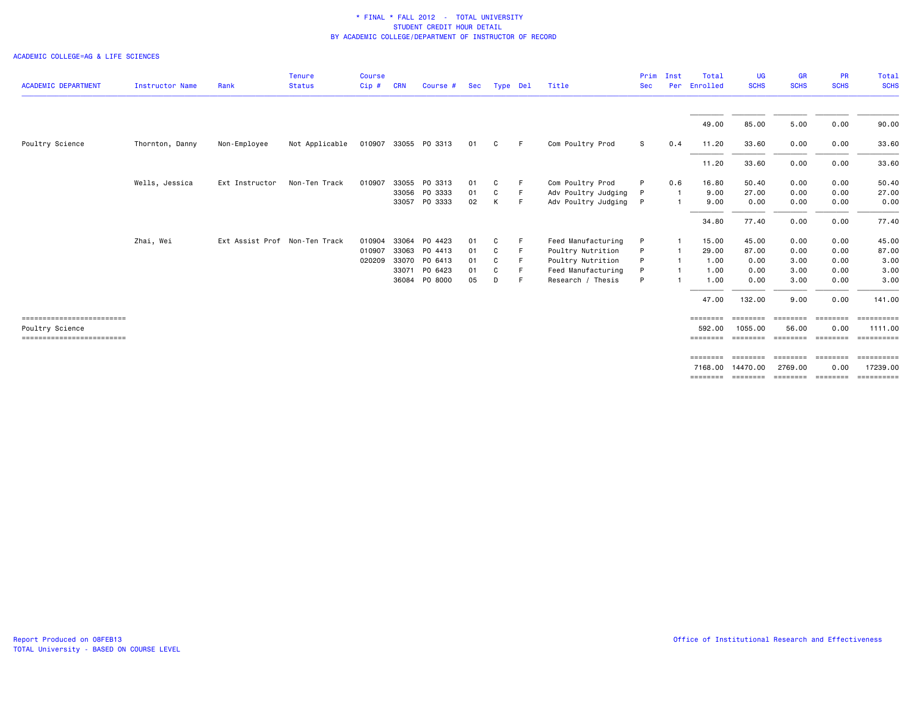#### ACADEMIC COLLEGE=AG & LIFE SCIENCES

| <b>ACADEMIC DEPARTMENT</b>                                                  | Instructor Name | Rank                          | Tenure<br><b>Status</b> | <b>Course</b><br>Cip#      | <b>CRN</b>     | Course #                                                              | Sec                        | Type Del              |          | Title                                                                                                   | Prim<br><b>Sec</b> | Inst<br>Per | Total<br>Enrolled                               | UG<br><b>SCHS</b>                                | <b>GR</b><br><b>SCHS</b>                     | <b>PR</b><br><b>SCHS</b>                     | Total<br><b>SCHS</b>                             |
|-----------------------------------------------------------------------------|-----------------|-------------------------------|-------------------------|----------------------------|----------------|-----------------------------------------------------------------------|----------------------------|-----------------------|----------|---------------------------------------------------------------------------------------------------------|--------------------|-------------|-------------------------------------------------|--------------------------------------------------|----------------------------------------------|----------------------------------------------|--------------------------------------------------|
|                                                                             |                 |                               |                         |                            |                |                                                                       |                            |                       |          |                                                                                                         |                    |             | 49.00                                           | 85.00                                            | 5.00                                         | 0.00                                         | 90.00                                            |
| Poultry Science                                                             | Thornton, Danny | Non-Employee                  | Not Applicable          |                            |                | 010907 33055 PO 3313                                                  | 01                         | C                     | -F       | Com Poultry Prod                                                                                        | S                  | 0.4         | 11.20                                           | 33.60                                            | 0.00                                         | 0.00                                         | 33.60                                            |
|                                                                             |                 |                               |                         |                            |                |                                                                       |                            |                       |          |                                                                                                         |                    |             | 11.20                                           | 33.60                                            | 0.00                                         | 0.00                                         | 33.60                                            |
|                                                                             | Wells, Jessica  | Ext Instructor                | Non-Ten Track           | 010907                     |                | 33055 PO 3313<br>33056 PO 3333<br>33057 PO 3333                       | 01<br>01<br>02             | C<br>C<br>К           | F.<br>F. | Com Poultry Prod<br>Adv Poultry Judging<br>Adv Poultry Judging                                          | P<br>P<br>P        | 0.6<br>-1   | 16.80<br>9.00<br>9.00                           | 50.40<br>27.00<br>0.00                           | 0.00<br>0.00<br>0.00                         | 0.00<br>0.00<br>0.00                         | 50.40<br>27.00<br>0.00                           |
|                                                                             |                 |                               |                         |                            |                |                                                                       |                            |                       |          |                                                                                                         |                    |             | 34.80                                           | 77.40                                            | 0.00                                         | 0.00                                         | 77.40                                            |
|                                                                             | Zhai, Wei       | Ext Assist Prof Non-Ten Track |                         | 010904<br>010907<br>020209 | 33064<br>36084 | PO 4423<br>33063 PO 4413<br>33070 PO 6413<br>33071 PO 6423<br>PO 8000 | 01<br>01<br>01<br>01<br>05 | C<br>C<br>C<br>C<br>D | F        | Feed Manufacturing<br>Poultry Nutrition<br>Poultry Nutrition<br>Feed Manufacturing<br>Research / Thesis | P<br>P             |             | 15.00<br>29.00<br>1.00<br>1.00<br>1.00<br>47.00 | 45.00<br>87.00<br>0.00<br>0.00<br>0.00<br>132.00 | 0.00<br>0.00<br>3.00<br>3.00<br>3.00<br>9.00 | 0.00<br>0.00<br>0.00<br>0.00<br>0.00<br>0.00 | 45.00<br>87.00<br>3.00<br>3.00<br>3.00<br>141.00 |
| ==========================<br>Poultry Science<br>========================== |                 |                               |                         |                            |                |                                                                       |                            |                       |          |                                                                                                         |                    |             | ========<br>592.00                              | ========<br>1055,00                              | ========<br>56.00                            | ========<br>0.00                             | $=$ ==========<br>1111.00                        |
|                                                                             |                 |                               |                         |                            |                |                                                                       |                            |                       |          |                                                                                                         |                    |             | ========<br>7168.00                             | ========<br>14470.00                             | <b>ESSESSED</b><br>2769.00                   | ========<br>0.00                             | ==========<br>17239.00                           |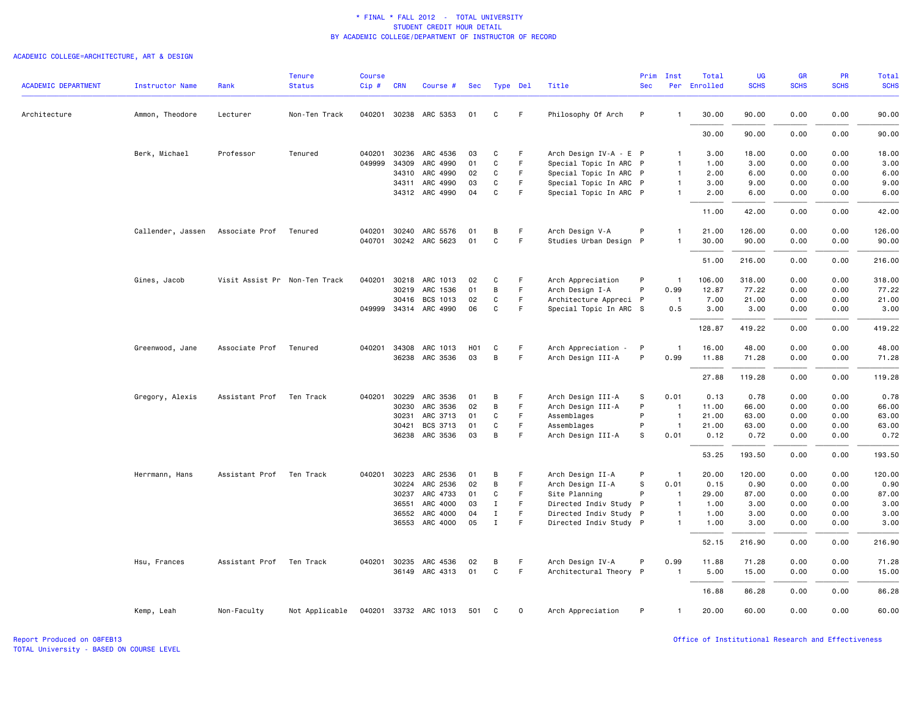|                            |                        |                               | <b>Tenure</b>  | <b>Course</b> |              |                       |                  |              |             |                        | Prim         | Inst                           | Total        | <b>UG</b>   | <b>GR</b>   | <b>PR</b>   | Total       |
|----------------------------|------------------------|-------------------------------|----------------|---------------|--------------|-----------------------|------------------|--------------|-------------|------------------------|--------------|--------------------------------|--------------|-------------|-------------|-------------|-------------|
| <b>ACADEMIC DEPARTMENT</b> | <b>Instructor Name</b> | Rank                          | <b>Status</b>  | $Cip$ #       | <b>CRN</b>   | Course #              | Sec              | Type Del     |             | Title                  | <b>Sec</b>   |                                | Per Enrolled | <b>SCHS</b> | <b>SCHS</b> | <b>SCHS</b> | <b>SCHS</b> |
| Architecture               | Ammon, Theodore        | Lecturer                      | Non-Ten Track  |               |              | 040201 30238 ARC 5353 | 01               | C            | F.          | Philosophy Of Arch     | P            |                                | 30.00        | 90.00       | 0.00        | 0.00        | 90.00       |
|                            |                        |                               |                |               |              |                       |                  |              |             |                        |              |                                | 30.00        | 90.00       | 0.00        | 0.00        | 90.00       |
|                            | Berk, Michael          | Professor                     | Tenured        | 040201        | 30236        | ARC 4536              | 03               | C            | F           | Arch Design IV-A - E P |              | $\overline{1}$                 | 3.00         | 18.00       | 0.00        | 0.00        | 18.00       |
|                            |                        |                               |                |               | 049999 34309 | ARC 4990              | 01               | C            | F           | Special Topic In ARC P |              | $\overline{1}$                 | 1.00         | 3.00        | 0.00        | 0.00        | 3.00        |
|                            |                        |                               |                |               | 34310        | ARC 4990              | 02               | C            | F           | Special Topic In ARC P |              | $\mathbf{1}$                   | 2.00         | 6.00        | 0.00        | 0.00        | 6.00        |
|                            |                        |                               |                |               |              | 34311 ARC 4990        | 03               | C            | F           | Special Topic In ARC P |              | $\mathbf{1}$                   | 3.00         | 9.00        | 0.00        | 0.00        | 9.00        |
|                            |                        |                               |                |               |              | 34312 ARC 4990        | 04               | C            | F.          | Special Topic In ARC P |              | $\overline{1}$                 | 2.00         | 6.00        | 0.00        | 0.00        | 6.00        |
|                            |                        |                               |                |               |              |                       |                  |              |             |                        |              |                                | 11.00        | 42.00       | 0.00        | 0.00        | 42.00       |
|                            | Callender, Jassen      | Associate Prof                | Tenured        | 040201        | 30240        | ARC 5576              | 01               | B            | F           | Arch Design V-A        | P            |                                | 21.00        | 126.00      | 0.00        | 0.00        | 126.00      |
|                            |                        |                               |                |               |              | 040701 30242 ARC 5623 | 01               | $\mathtt{C}$ | F.          | Studies Urban Design P |              | $\overline{1}$                 | 30.00        | 90.00       | 0.00        | 0.00        | 90.00       |
|                            |                        |                               |                |               |              |                       |                  |              |             |                        |              |                                | 51.00        | 216.00      | 0.00        | 0.00        | 216.00      |
|                            | Gines, Jacob           | Visit Assist Pr Non-Ten Track |                |               | 040201 30218 | ARC 1013              | 02               | C            | F           | Arch Appreciation      | P            | $\overline{1}$                 | 106.00       | 318.00      | 0.00        | 0.00        | 318.00      |
|                            |                        |                               |                |               | 30219        | ARC 1536              | 01               | В            | F           | Arch Design I-A        | P            | 0.99                           | 12.87        | 77.22       | 0.00        | 0.00        | 77.22       |
|                            |                        |                               |                |               | 30416        | BCS 1013              | 02               | C            | F.          | Architecture Appreci P |              | $\overline{1}$                 | 7.00         | 21.00       | 0.00        | 0.00        | 21.00       |
|                            |                        |                               |                |               |              | 049999 34314 ARC 4990 | 06               | C            | F.          | Special Topic In ARC S |              | 0.5                            | 3.00         | 3.00        | 0.00        | 0.00        | 3.00        |
|                            |                        |                               |                |               |              |                       |                  |              |             |                        |              |                                | 128.87       | 419.22      | 0.00        | 0.00        | 419.22      |
|                            | Greenwood, Jane        | Associate Prof                | Tenured        | 040201        | 34308        | ARC 1013              | H <sub>0</sub> 1 | C            | F           | Arch Appreciation -    | P            | $\mathbf{1}$                   | 16.00        | 48.00       | 0.00        | 0.00        | 48.00       |
|                            |                        |                               |                |               |              | 36238 ARC 3536        | 03               | B            | F.          | Arch Design III-A      | P            | 0.99                           | 11.88        | 71.28       | 0.00        | 0.00        | 71.28       |
|                            |                        |                               |                |               |              |                       |                  |              |             |                        |              |                                | 27.88        | 119.28      | 0.00        | 0.00        | 119.28      |
|                            | Gregory, Alexis        | Assistant Prof                | Ten Track      |               | 040201 30229 | ARC 3536              | 01               | B            | F.          | Arch Design III-A      | s            | 0.01                           | 0.13         | 0.78        | 0.00        | 0.00        | 0.78        |
|                            |                        |                               |                |               | 30230        | ARC 3536              | 02               | В            | $\mathsf F$ | Arch Design III-A      | P            | $\overline{1}$                 | 11.00        | 66.00       | 0.00        | 0.00        | 66.00       |
|                            |                        |                               |                |               | 30231        | ARC 3713              | 01               | C            | F.          | Assemblages            | P            | $\overline{1}$                 | 21.00        | 63.00       | 0.00        | 0.00        | 63.00       |
|                            |                        |                               |                |               | 30421        | BCS 3713              | 01               | C            | F.          | Assemblages            | P            | $\overline{1}$                 | 21.00        | 63.00       | 0.00        | 0.00        | 63.00       |
|                            |                        |                               |                |               | 36238        | ARC 3536              | 03               | B            | F           | Arch Design III-A      | s            | 0.01                           | 0.12         | 0.72        | 0.00        | 0.00        | 0.72        |
|                            |                        |                               |                |               |              |                       |                  |              |             |                        |              |                                | 53.25        | 193.50      | 0.00        | 0.00        | 193.50      |
|                            | Herrmann, Hans         | Assistant Prof                | Ten Track      |               | 040201 30223 | ARC 2536              | 01               | B            | F           | Arch Design II-A       | P            | $\overline{1}$                 | 20.00        | 120.00      | 0.00        | 0.00        | 120.00      |
|                            |                        |                               |                |               | 30224        | ARC 2536              | 02               | В            | $\mathsf F$ | Arch Design II-A       | s            | 0.01                           | 0.15         | 0.90        | 0.00        | 0.00        | 0.90        |
|                            |                        |                               |                |               | 30237        | ARC 4733              | 01               | C            | F           | Site Planning          | P            | $\overline{1}$                 | 29.00        | 87.00       | 0.00        | 0.00        | 87.00       |
|                            |                        |                               |                |               | 36551        | ARC 4000              | 03               | $\mathbf I$  | F.          | Directed Indiv Study   | $\mathsf{P}$ | $\overline{1}$                 | 1.00         | 3.00        | 0.00        | 0.00        | 3.00        |
|                            |                        |                               |                |               | 36552        | ARC 4000              | 04               | Ι.           | F.          | Directed Indiv Study P |              | $\mathbf{1}$<br>$\overline{1}$ | 1.00         | 3.00        | 0.00        | 0.00        | 3.00        |
|                            |                        |                               |                |               | 36553        | ARC 4000              | 05               | $\mathbf I$  | F.          | Directed Indiv Study P |              |                                | 1.00         | 3.00        | 0.00        | 0.00        | 3.00        |
|                            |                        |                               |                |               |              |                       |                  |              |             |                        |              |                                | 52.15        | 216.90      | 0.00        | 0.00        | 216.90      |
|                            | Hsu, Frances           | Assistant Prof                | Ten Track      |               | 040201 30235 | ARC 4536              | 02               | В            | F           | Arch Design IV-A       | P            | 0.99                           | 11.88        | 71.28       | 0.00        | 0.00        | 71.28       |
|                            |                        |                               |                |               |              | 36149 ARC 4313        | 01               | C            | $\mathsf F$ | Architectural Theory P |              |                                | 5.00         | 15.00       | 0.00        | 0.00        | 15.00       |
|                            |                        |                               |                |               |              |                       |                  |              |             |                        |              |                                | 16.88        | 86.28       | 0.00        | 0.00        | 86.28       |
|                            | Kemp, Leah             | Non-Faculty                   | Not Applicable |               |              | 040201 33732 ARC 1013 | 501              | C            | 0           | Arch Appreciation      | P            | $\mathbf{1}$                   | 20.00        | 60.00       | 0.00        | 0.00        | 60.00       |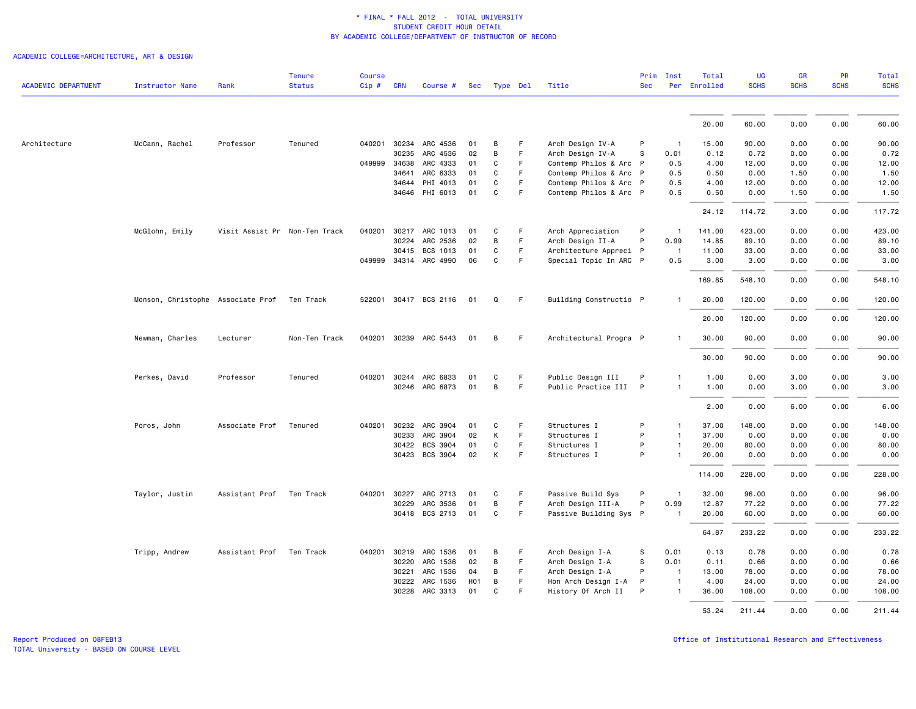|                            |                                             |                               | <b>Tenure</b> | <b>Course</b> |            |                       |                  |              |    |                        | Prim       | Inst           | Total        | UG          | <b>GR</b>   | <b>PR</b>   | Total       |
|----------------------------|---------------------------------------------|-------------------------------|---------------|---------------|------------|-----------------------|------------------|--------------|----|------------------------|------------|----------------|--------------|-------------|-------------|-------------|-------------|
| <b>ACADEMIC DEPARTMENT</b> | <b>Instructor Name</b>                      | Rank                          | <b>Status</b> | Cip #         | <b>CRN</b> | Course #              |                  | Sec Type Del |    | Title                  | <b>Sec</b> |                | Per Enrolled | <b>SCHS</b> | <b>SCHS</b> | <b>SCHS</b> | <b>SCHS</b> |
|                            |                                             |                               |               |               |            |                       |                  |              |    |                        |            |                |              |             |             |             |             |
|                            |                                             |                               |               |               |            |                       |                  |              |    |                        |            |                | 20.00        | 60.00       | 0.00        | 0.00        | 60.00       |
| Architecture               | McCann, Rachel                              | Professor                     | Tenured       |               |            | 040201 30234 ARC 4536 | 01               | в            | F  | Arch Design IV-A       | P          | $\overline{1}$ | 15.00        | 90.00       | 0.00        | 0.00        | 90.00       |
|                            |                                             |                               |               |               | 30235      | ARC 4536              | 02               | B            | F  | Arch Design IV-A       | s          | 0.01           | 0.12         | 0.72        | 0.00        | 0.00        | 0.72        |
|                            |                                             |                               |               | 049999        | 34638      | ARC 4333              | 01               | C            | F. | Contemp Philos & Arc P |            | 0.5            | 4.00         | 12.00       | 0.00        | 0.00        | 12.00       |
|                            |                                             |                               |               |               | 34641      | ARC 6333              | 01               | C            | F. | Contemp Philos & Arc P |            | 0.5            | 0.50         | 0.00        | 1.50        | 0.00        | 1.50        |
|                            |                                             |                               |               |               |            | 34644 PHI 4013        | 01               | C            | F  | Contemp Philos & Arc P |            | 0.5            | 4.00         | 12.00       | 0.00        | 0.00        | 12.00       |
|                            |                                             |                               |               |               |            | 34646 PHI 6013        | 01               | C            | F. | Contemp Philos & Arc P |            | 0.5            | 0.50         | 0.00        | 1.50        | 0.00        | 1.50        |
|                            |                                             |                               |               |               |            |                       |                  |              |    |                        |            |                | 24.12        | 114.72      | 3.00        | 0.00        | 117.72      |
|                            | McGlohn, Emily                              | Visit Assist Pr Non-Ten Track |               | 040201        |            | 30217 ARC 1013        | 01               | C            | F  | Arch Appreciation      | P          | $\mathbf{1}$   | 141.00       | 423.00      | 0.00        | 0.00        | 423.00      |
|                            |                                             |                               |               |               |            | 30224 ARC 2536        | 02               | В            | F. | Arch Design II-A       | P          | 0.99           | 14.85        | 89.10       | 0.00        | 0.00        | 89.10       |
|                            |                                             |                               |               |               |            | 30415 BCS 1013        | 01               | C            | F. | Architecture Appreci P |            | $\overline{1}$ | 11.00        | 33.00       | 0.00        | 0.00        | 33.00       |
|                            |                                             |                               |               | 049999        |            | 34314 ARC 4990        | 06               | C            | F  | Special Topic In ARC P |            | 0.5            | 3.00         | 3.00        | 0.00        | 0.00        | 3.00        |
|                            |                                             |                               |               |               |            |                       |                  |              |    |                        |            |                | 169.85       | 548.10      | 0.00        | 0.00        | 548.10      |
|                            | Monson, Christophe Associate Prof Ten Track |                               |               |               |            | 522001 30417 BCS 2116 | 01               | Q            | F  | Building Constructio P |            |                | 20.00        | 120.00      | 0.00        | 0.00        | 120.00      |
|                            |                                             |                               |               |               |            |                       |                  |              |    |                        |            |                | 20.00        | 120.00      | 0.00        | 0.00        | 120.00      |
|                            | Newman, Charles                             | Lecturer                      | Non-Ten Track | 040201        |            | 30239 ARC 5443        | 01               | В            | F. | Architectural Progra P |            |                | 30.00        | 90.00       | 0.00        | 0.00        | 90.00       |
|                            |                                             |                               |               |               |            |                       |                  |              |    |                        |            |                | 30.00        | 90.00       | 0.00        | 0.00        | 90.00       |
|                            | Perkes, David                               | Professor                     | Tenured       | 040201        | 30244      | ARC 6833              | 01               | C            | F  | Public Design III      | P          |                | 1.00         | 0.00        | 3.00        | 0.00        | 3.00        |
|                            |                                             |                               |               |               |            | 30246 ARC 6873        | 01               | B            | F  | Public Practice III P  |            | $\mathbf{1}$   | 1.00         | 0.00        | 3.00        | 0.00        | 3.00        |
|                            |                                             |                               |               |               |            |                       |                  |              |    |                        |            |                |              |             |             |             |             |
|                            |                                             |                               |               |               |            |                       |                  |              |    |                        |            |                | 2.00         | 0.00        | 6.00        | 0.00        | 6.00        |
|                            | Poros, John                                 | Associate Prof                | Tenured       | 040201        | 30232      | ARC 3904              | 01               | C            | F  | Structures I           | P          |                | 37.00        | 148.00      | 0.00        | 0.00        | 148.00      |
|                            |                                             |                               |               |               | 30233      | ARC 3904              | 02               | Κ            | F. | Structures I           | P          | $\mathbf{1}$   | 37.00        | 0.00        | 0.00        | 0.00        | 0.00        |
|                            |                                             |                               |               |               |            | 30422 BCS 3904        | 01               | C            | F. | Structures I           | P          | $\mathbf{1}$   | 20.00        | 80.00       | 0.00        | 0.00        | 80.00       |
|                            |                                             |                               |               |               |            | 30423 BCS 3904        | 02               | К            | F  | Structures I           | P          | $\overline{1}$ | 20.00        | 0.00        | 0.00        | 0.00        | 0.00        |
|                            |                                             |                               |               |               |            |                       |                  |              |    |                        |            |                | 114.00       | 228.00      | 0.00        | 0.00        | 228.00      |
|                            | Taylor, Justin                              | Assistant Prof                | Ten Track     | 040201        | 30227      | ARC 2713              | 01               | C            | F  | Passive Build Sys      | P          | $\mathbf{1}$   | 32.00        | 96.00       | 0.00        | 0.00        | 96.00       |
|                            |                                             |                               |               |               | 30229      | ARC 3536              | 01               | В            | F  | Arch Design III-A      | P          | 0.99           | 12.87        | 77.22       | 0.00        | 0.00        | 77.22       |
|                            |                                             |                               |               |               |            | 30418 BCS 2713        | 01               | C            | F. | Passive Building Sys P |            | $\overline{1}$ | 20.00        | 60.00       | 0.00        | 0.00        | 60.00       |
|                            |                                             |                               |               |               |            |                       |                  |              |    |                        |            |                | 64.87        | 233.22      | 0.00        | 0.00        | 233.22      |
|                            | Tripp, Andrew                               | Assistant Prof                | Ten Track     | 040201        | 30219      | ARC 1536              | 01               | B            | F  | Arch Design I-A        | S          | 0.01           | 0.13         | 0.78        | 0.00        | 0.00        | 0.78        |
|                            |                                             |                               |               |               |            | 30220 ARC 1536        | 02               | В            | F  | Arch Design I-A        | s          | 0.01           | 0.11         | 0.66        | 0.00        | 0.00        | 0.66        |
|                            |                                             |                               |               |               | 30221      | ARC 1536              | 04               | В            | F  | Arch Design I-A        | P          | $\overline{1}$ | 13.00        | 78.00       | 0.00        | 0.00        | 78.00       |
|                            |                                             |                               |               |               | 30222      | ARC 1536              | H <sub>0</sub> 1 | B            | F  | Hon Arch Design I-A    | P          | -1             | 4.00         | 24.00       | 0.00        | 0.00        | 24.00       |
|                            |                                             |                               |               |               | 30228      | ARC 3313              | 01               | C            | F  | History Of Arch II     | P          | $\mathbf{1}$   | 36.00        | 108.00      | 0.00        | 0.00        | 108.00      |
|                            |                                             |                               |               |               |            |                       |                  |              |    |                        |            |                | 53.24        | 211.44      | 0.00        | 0.00        | 211.44      |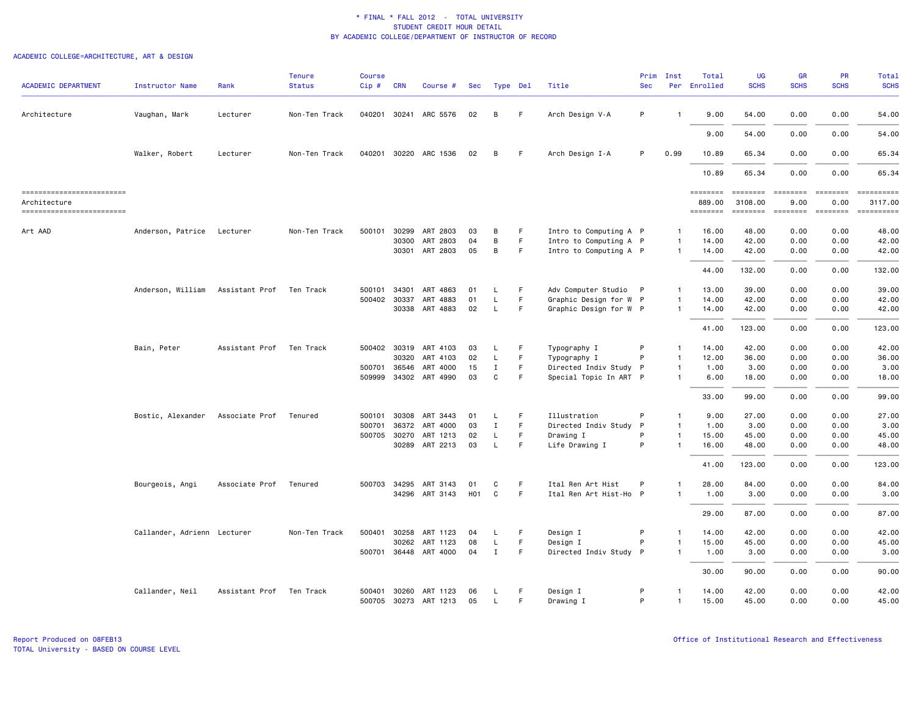|                                           |                             |                | <b>Tenure</b> | <b>Course</b> |              |                       |                  |              |             |                        | Prim       | Inst           | Total              | <b>UG</b>   | <b>GR</b>      | <b>PR</b>            | Total                                                                                                                                                                                                                                                                                                                                                                                                                                                                                                |
|-------------------------------------------|-----------------------------|----------------|---------------|---------------|--------------|-----------------------|------------------|--------------|-------------|------------------------|------------|----------------|--------------------|-------------|----------------|----------------------|------------------------------------------------------------------------------------------------------------------------------------------------------------------------------------------------------------------------------------------------------------------------------------------------------------------------------------------------------------------------------------------------------------------------------------------------------------------------------------------------------|
| <b>ACADEMIC DEPARTMENT</b>                | <b>Instructor Name</b>      | Rank           | <b>Status</b> | Cip#          | <b>CRN</b>   | Course #              | Sec              |              | Type Del    | Title                  | <b>Sec</b> |                | Per Enrolled       | <b>SCHS</b> | <b>SCHS</b>    | <b>SCHS</b>          | <b>SCHS</b>                                                                                                                                                                                                                                                                                                                                                                                                                                                                                          |
| Architecture                              | Vaughan, Mark               | Lecturer       | Non-Ten Track |               |              | 040201 30241 ARC 5576 | 02               | В            | F.          | Arch Design V-A        | P          | $\mathbf{1}$   | 9.00               | 54.00       | 0.00           | 0.00                 | 54.00                                                                                                                                                                                                                                                                                                                                                                                                                                                                                                |
|                                           |                             |                |               |               |              |                       |                  |              |             |                        |            |                | 9.00               | 54.00       | 0.00           | 0.00                 | 54.00                                                                                                                                                                                                                                                                                                                                                                                                                                                                                                |
|                                           | Walker, Robert              | Lecturer       | Non-Ten Track |               |              | 040201 30220 ARC 1536 | 02               | B            | F.          | Arch Design I-A        | P          | 0.99           | 10.89              | 65.34       | 0.00           | 0.00                 | 65.34                                                                                                                                                                                                                                                                                                                                                                                                                                                                                                |
|                                           |                             |                |               |               |              |                       |                  |              |             |                        |            |                | 10.89              | 65.34       | 0.00           | 0.00                 | 65.34                                                                                                                                                                                                                                                                                                                                                                                                                                                                                                |
| -------------------------                 |                             |                |               |               |              |                       |                  |              |             |                        |            |                | ========           | ========    | <b>ESSESSE</b> | <b>EDEDEED</b>       | $\begin{minipage}{0.03\linewidth} \begin{tabular}{l} \multicolumn{2}{l}{} & \multicolumn{2}{l}{} & \multicolumn{2}{l}{} \\ \multicolumn{2}{l}{} & \multicolumn{2}{l}{} & \multicolumn{2}{l}{} \\ \multicolumn{2}{l}{} & \multicolumn{2}{l}{} & \multicolumn{2}{l}{} \\ \multicolumn{2}{l}{} & \multicolumn{2}{l}{} & \multicolumn{2}{l}{} \\ \multicolumn{2}{l}{} & \multicolumn{2}{l}{} & \multicolumn{2}{l}{} \\ \multicolumn{2}{l}{} & \multicolumn{2}{l}{} & \multicolumn{2}{l}{} \\$            |
| Architecture<br>------------------------- |                             |                |               |               |              |                       |                  |              |             |                        |            |                | 889.00<br>======== | 3108.00     | 9.00           | 0.00<br>$=$ ======== | 3117.00<br>$\begin{minipage}{0.03\linewidth} \begin{tabular}{l} \multicolumn{2}{l}{} & \multicolumn{2}{l}{} & \multicolumn{2}{l}{} \\ \multicolumn{2}{l}{} & \multicolumn{2}{l}{} & \multicolumn{2}{l}{} \\ \multicolumn{2}{l}{} & \multicolumn{2}{l}{} & \multicolumn{2}{l}{} \\ \multicolumn{2}{l}{} & \multicolumn{2}{l}{} & \multicolumn{2}{l}{} \\ \multicolumn{2}{l}{} & \multicolumn{2}{l}{} & \multicolumn{2}{l}{} \\ \multicolumn{2}{l}{} & \multicolumn{2}{l}{} & \multicolumn{2}{l}{} \\$ |
| Art AAD                                   | Anderson, Patrice           | Lecturer       | Non-Ten Track | 500101        | 30299        | ART 2803              | 03               | B            | F.          | Intro to Computing A P |            | $\mathbf{1}$   | 16.00              | 48.00       | 0.00           | 0.00                 | 48.00                                                                                                                                                                                                                                                                                                                                                                                                                                                                                                |
|                                           |                             |                |               |               | 30300        | ART 2803              | 04               | В            | $\mathsf F$ | Intro to Computing A P |            | -1             | 14.00              | 42.00       | 0.00           | 0.00                 | 42.00                                                                                                                                                                                                                                                                                                                                                                                                                                                                                                |
|                                           |                             |                |               |               |              | 30301 ART 2803        | 05               | B            | F.          | Intro to Computing A P |            | $\mathbf{1}$   | 14.00              | 42.00       | 0.00           | 0.00                 | 42.00                                                                                                                                                                                                                                                                                                                                                                                                                                                                                                |
|                                           |                             |                |               |               |              |                       |                  |              |             |                        |            |                | 44.00              | 132.00      | 0.00           | 0.00                 | 132.00                                                                                                                                                                                                                                                                                                                                                                                                                                                                                               |
|                                           | Anderson, William           | Assistant Prof | Ten Track     | 500101        | 34301        | ART 4863              | 01               | L            | F           | Adv Computer Studio P  |            | $\mathbf{1}$   | 13.00              | 39.00       | 0.00           | 0.00                 | 39.00                                                                                                                                                                                                                                                                                                                                                                                                                                                                                                |
|                                           |                             |                |               |               | 500402 30337 | ART 4883              | 01               | L.           | $\mathsf F$ | Graphic Design for W P |            | $\mathbf{1}$   | 14.00              | 42.00       | 0.00           | 0.00                 | 42.00                                                                                                                                                                                                                                                                                                                                                                                                                                                                                                |
|                                           |                             |                |               |               |              | 30338 ART 4883        | 02               | L.           | F.          | Graphic Design for W P |            | $\overline{1}$ | 14.00              | 42.00       | 0.00           | 0.00                 | 42.00                                                                                                                                                                                                                                                                                                                                                                                                                                                                                                |
|                                           |                             |                |               |               |              |                       |                  |              |             |                        |            |                | 41.00              | 123.00      | 0.00           | 0.00                 | 123.00                                                                                                                                                                                                                                                                                                                                                                                                                                                                                               |
|                                           | Bain, Peter                 | Assistant Prof | Ten Track     |               | 500402 30319 | ART 4103              | 03               | L            | F           | Typography I           | P          | -1             | 14.00              | 42.00       | 0.00           | 0.00                 | 42.00                                                                                                                                                                                                                                                                                                                                                                                                                                                                                                |
|                                           |                             |                |               |               | 30320        | ART 4103              | 02               | L.           | F           | Typography I           | P          | $\overline{1}$ | 12.00              | 36.00       | 0.00           | 0.00                 | 36.00                                                                                                                                                                                                                                                                                                                                                                                                                                                                                                |
|                                           |                             |                |               |               | 500701 36546 | ART 4000              | 15               | Ι.           | F.          | Directed Indiv Study P |            | $\overline{1}$ | 1.00               | 3.00        | 0.00           | 0.00                 | 3.00                                                                                                                                                                                                                                                                                                                                                                                                                                                                                                 |
|                                           |                             |                |               |               |              | 509999 34302 ART 4990 | 03               | C            | F.          | Special Topic In ART P |            |                | 6.00               | 18.00       | 0.00           | 0.00                 | 18.00                                                                                                                                                                                                                                                                                                                                                                                                                                                                                                |
|                                           |                             |                |               |               |              |                       |                  |              |             |                        |            |                | 33.00              | 99.00       | 0.00           | 0.00                 | 99.00                                                                                                                                                                                                                                                                                                                                                                                                                                                                                                |
|                                           | Bostic, Alexander           | Associate Prof | Tenured       | 500101        | 30308        | ART 3443              | 01               | L.           | F           | Illustration           | P          | $\overline{1}$ | 9.00               | 27.00       | 0.00           | 0.00                 | 27.00                                                                                                                                                                                                                                                                                                                                                                                                                                                                                                |
|                                           |                             |                |               | 500701        | 36372        | ART 4000              | 03               | $\mathbf I$  | F           | Directed Indiv Study P |            | $\overline{1}$ | 1.00               | 3.00        | 0.00           | 0.00                 | 3.00                                                                                                                                                                                                                                                                                                                                                                                                                                                                                                 |
|                                           |                             |                |               |               |              | 500705 30270 ART 1213 | 02               | L            | F           | Drawing I              | P          | $\overline{1}$ | 15.00              | 45.00       | 0.00           | 0.00                 | 45.00                                                                                                                                                                                                                                                                                                                                                                                                                                                                                                |
|                                           |                             |                |               |               |              | 30289 ART 2213        | 03               | L.           | F           | Life Drawing I         | P          | $\overline{1}$ | 16.00              | 48.00       | 0.00           | 0.00                 | 48.00                                                                                                                                                                                                                                                                                                                                                                                                                                                                                                |
|                                           |                             |                |               |               |              |                       |                  |              |             |                        |            |                | 41.00              | 123.00      | 0.00           | 0.00                 | 123.00                                                                                                                                                                                                                                                                                                                                                                                                                                                                                               |
|                                           | Bourgeois, Angi             | Associate Prof | Tenured       |               | 500703 34295 | ART 3143              | 01               | C            | F           | Ital Ren Art Hist      | P          | $\mathbf{1}$   | 28.00              | 84.00       | 0.00           | 0.00                 | 84.00                                                                                                                                                                                                                                                                                                                                                                                                                                                                                                |
|                                           |                             |                |               |               |              | 34296 ART 3143        | H <sub>0</sub> 1 | $\mathtt{C}$ | F.          | Ital Ren Art Hist-Ho P |            | $\overline{1}$ | 1.00               | 3.00        | 0.00           | 0.00                 | 3.00                                                                                                                                                                                                                                                                                                                                                                                                                                                                                                 |
|                                           |                             |                |               |               |              |                       |                  |              |             |                        |            |                | 29.00              | 87.00       | 0.00           | 0.00                 | 87.00                                                                                                                                                                                                                                                                                                                                                                                                                                                                                                |
|                                           | Callander, Adrienn Lecturer |                | Non-Ten Track | 500401        | 30258        | ART 1123              | 04               | L.           | F           | Design I               | P          | $\mathbf{1}$   | 14.00              | 42.00       | 0.00           | 0.00                 | 42.00                                                                                                                                                                                                                                                                                                                                                                                                                                                                                                |
|                                           |                             |                |               |               | 30262        | ART 1123              | 08               | $\mathsf{L}$ | F           | Design I               | P          | $\mathbf{1}$   | 15.00              | 45.00       | 0.00           | 0.00                 | 45.00                                                                                                                                                                                                                                                                                                                                                                                                                                                                                                |
|                                           |                             |                |               |               |              | 500701 36448 ART 4000 | 04               | $\mathbf I$  | F.          | Directed Indiv Study P |            | $\mathbf{1}$   | 1.00               | 3.00        | 0.00           | 0.00                 | 3.00                                                                                                                                                                                                                                                                                                                                                                                                                                                                                                 |
|                                           |                             |                |               |               |              |                       |                  |              |             |                        |            |                | 30.00              | 90.00       | 0.00           | 0.00                 | 90.00                                                                                                                                                                                                                                                                                                                                                                                                                                                                                                |
|                                           | Callander, Neil             | Assistant Prof | Ten Track     | 500401        | 30260        | ART 1123              | 06               | L.           | F           | Design I               | P          | $\mathbf{1}$   | 14.00              | 42.00       | 0.00           | 0.00                 | 42.00                                                                                                                                                                                                                                                                                                                                                                                                                                                                                                |
|                                           |                             |                |               |               |              | 500705 30273 ART 1213 | 05               | L.           | F           | Drawing I              | P          | $\mathbf{1}$   | 15.00              | 45.00       | 0.00           | 0.00                 | 45.00                                                                                                                                                                                                                                                                                                                                                                                                                                                                                                |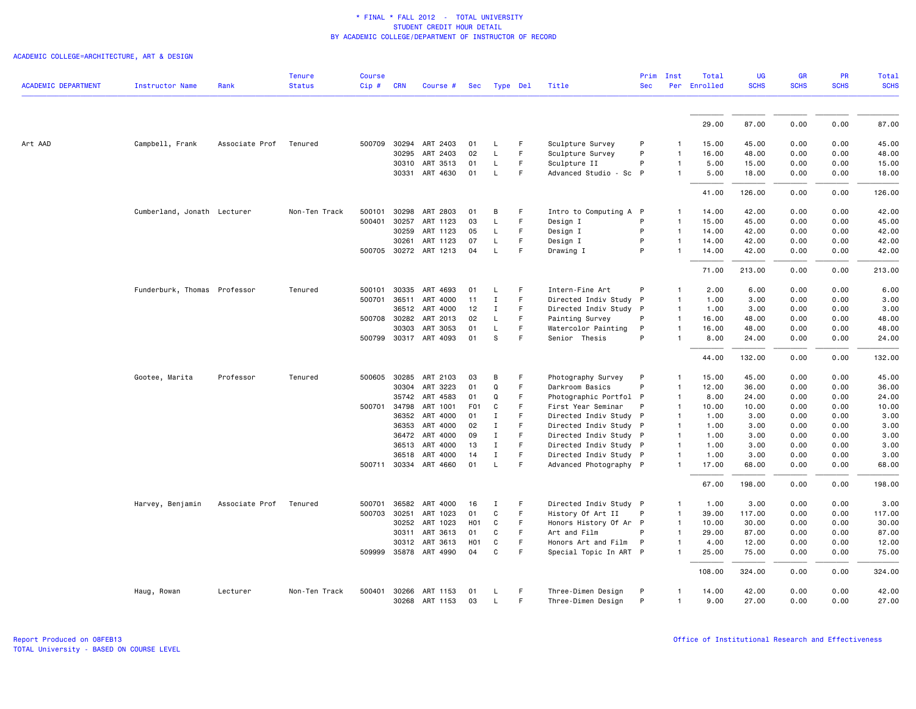ACADEMIC COLLEGE=ARCHITECTURE, ART & DESIGN

|                            |                              |                | <b>Tenure</b> | <b>Course</b> |            |                       |                  |                       |        |                                                  | Prim       | Inst                           | Total        | <b>UG</b><br><b>SCHS</b> | GR           | <b>PR</b>    | Total<br><b>SCHS</b> |
|----------------------------|------------------------------|----------------|---------------|---------------|------------|-----------------------|------------------|-----------------------|--------|--------------------------------------------------|------------|--------------------------------|--------------|--------------------------|--------------|--------------|----------------------|
| <b>ACADEMIC DEPARTMENT</b> | <b>Instructor Name</b>       | Rank           | <b>Status</b> | $Cip$ #       | <b>CRN</b> | Course #              | Sec              | Type Del              |        | Title                                            | <b>Sec</b> |                                | Per Enrolled |                          | <b>SCHS</b>  | <b>SCHS</b>  |                      |
|                            |                              |                |               |               |            |                       |                  |                       |        |                                                  |            |                                | 29.00        | 87.00                    | 0.00         | 0.00         | 87.00                |
| Art AAD                    | Campbell, Frank              | Associate Prof | Tenured       | 500709        | 30294      | ART 2403              | 01               | L.                    | F      | Sculpture Survey                                 | P          | 1                              | 15.00        | 45.00                    | 0.00         | 0.00         | 45.00                |
|                            |                              |                |               |               | 30295      | ART 2403              | 02               | L                     | F.     | Sculpture Survey                                 | P          | $\mathbf{1}$                   | 16.00        | 48.00                    | 0.00         | 0.00         | 48.00                |
|                            |                              |                |               |               |            | 30310 ART 3513        | 01               | L                     | F.     | Sculpture II                                     | P          | $\mathbf{1}$                   | 5.00         | 15.00                    | 0.00         | 0.00         | 15.00                |
|                            |                              |                |               |               |            | 30331 ART 4630        | 01               | L                     | F      | Advanced Studio - Sc P                           |            | $\mathbf{1}$                   | 5.00         | 18.00                    | 0.00         | 0.00         | 18.00                |
|                            |                              |                |               |               |            |                       |                  |                       |        |                                                  |            |                                | 41.00        | 126.00                   | 0.00         | 0.00         | 126.00               |
|                            | Cumberland, Jonath Lecturer  |                | Non-Ten Track | 500101        | 30298      | ART 2803              | 01               | B                     | F      | Intro to Computing A P                           |            | 1                              | 14.00        | 42.00                    | 0.00         | 0.00         | 42.00                |
|                            |                              |                |               | 500401        | 30257      | ART 1123              | 03               | L                     | F      | Design I                                         | P          | $\overline{1}$                 | 15.00        | 45.00                    | 0.00         | 0.00         | 45.00                |
|                            |                              |                |               |               | 30259      | ART 1123              | 05               | L                     | F.     | Design I                                         | P          | $\mathbf{1}$                   | 14.00        | 42.00                    | 0.00         | 0.00         | 42.00                |
|                            |                              |                |               |               | 30261      | ART 1123              | 07               | L                     | F      | Design I                                         | P          | $\mathbf{1}$                   | 14.00        | 42.00                    | 0.00         | 0.00         | 42.00                |
|                            |                              |                |               |               |            | 500705 30272 ART 1213 | 04               | L                     | F      | Drawing I                                        | P          | $\mathbf{1}$                   | 14.00        | 42.00                    | 0.00         | 0.00         | 42.00                |
|                            |                              |                |               |               |            |                       |                  |                       |        |                                                  |            |                                | 71.00        | 213,00                   | 0.00         | 0.00         | 213.00               |
|                            | Funderburk, Thomas Professor |                | Tenured       | 500101        | 30335      | ART 4693              | 01               | L.                    | F      | Intern-Fine Art                                  | P          | $\mathbf{1}$                   | 2.00         | 6.00                     | 0.00         | 0.00         | 6.00                 |
|                            |                              |                |               | 500701        | 36511      | ART 4000              | 11               | $\mathbf I$           | F      | Directed Indiv Study P                           |            | $\mathbf{1}$                   | 1.00         | 3.00                     | 0.00         | 0.00         | 3.00                 |
|                            |                              |                |               |               | 36512      | ART 4000              | 12               | Ι                     | F.     | Directed Indiv Study P                           |            | $\mathbf{1}$                   | 1.00         | 3.00                     | 0.00         | 0.00         | 3.00                 |
|                            |                              |                |               | 500708 30282  |            | ART 2013              | 02               | L                     | F.     | Painting Survey                                  | P          | $\overline{1}$                 | 16.00        | 48.00                    | 0.00         | 0.00         | 48.00                |
|                            |                              |                |               |               | 30303      | ART 3053              | 01               | L                     | F      | Watercolor Painting                              | P          | $\mathbf{1}$                   | 16.00        | 48.00                    | 0.00         | 0.00         | 48.00                |
|                            |                              |                |               |               |            | 500799 30317 ART 4093 | 01               | s                     | F      | Senior Thesis                                    | P          | $\mathbf{1}$                   | 8.00         | 24.00                    | 0.00         | 0.00         | 24.00                |
|                            |                              |                |               |               |            |                       |                  |                       |        |                                                  |            |                                | 44.00        | 132.00                   | 0.00         | 0.00         | 132.00               |
|                            | Gootee, Marita               | Professor      | Tenured       | 500605        | 30285      | ART 2103              | 03               | B                     | F      | Photography Survey                               | P          | 1                              | 15.00        | 45.00                    | 0.00         | 0.00         | 45.00                |
|                            |                              |                |               |               | 30304      | ART 3223              | 01               | $\Omega$              | F      | Darkroom Basics                                  | P          | $\mathbf{1}$                   | 12.00        | 36.00                    | 0.00         | 0.00         | 36.00                |
|                            |                              |                |               |               |            | 35742 ART 4583        | 01               | Q                     | F.     | Photographic Portfol P                           |            | $\mathbf{1}$                   | 8.00         | 24.00                    | 0.00         | 0.00         | 24.00                |
|                            |                              |                |               | 500701        | 34798      | ART 1001              | F <sub>0</sub> 1 | C                     | F      | First Year Seminar                               | P          | $\mathbf{1}$                   | 10.00        | 10.00                    | 0.00         | 0.00         | 10.00                |
|                            |                              |                |               |               |            | 36352 ART 4000        | 01               | $\mathbf I$           | F      | Directed Indiv Study P                           |            | $\overline{1}$                 | 1.00         | 3.00                     | 0.00         | 0.00         | 3.00                 |
|                            |                              |                |               |               | 36353      | ART 4000              | 02               | $\mathbf I$           | F      | Directed Indiv Study P                           |            | $\overline{1}$                 | 1.00         | 3.00                     | 0.00         | 0.00         | 3.00                 |
|                            |                              |                |               |               | 36472      | ART 4000              | 09               | Ι.                    | F      | Directed Indiv Study P                           |            | $\mathbf{1}$                   | 1.00         | 3.00                     | 0.00         | 0.00         | 3.00                 |
|                            |                              |                |               |               | 36513      | ART 4000<br>ART 4000  | 13<br>14         | $\mathbf I$<br>$\;$ I | F<br>F | Directed Indiv Study P                           |            | $\mathbf{1}$<br>$\overline{1}$ | 1.00<br>1.00 | 3.00<br>3.00             | 0.00<br>0.00 | 0.00<br>0.00 | 3.00<br>3.00         |
|                            |                              |                |               |               | 36518      | 500711 30334 ART 4660 | 01               | L                     | F      | Directed Indiv Study P<br>Advanced Photography P |            | $\mathbf{1}$                   | 17.00        | 68.00                    | 0.00         | 0.00         | 68.00                |
|                            |                              |                |               |               |            |                       |                  |                       |        |                                                  |            |                                | 67.00        | 198.00                   | 0.00         | 0.00         | 198.00               |
|                            | Harvey, Benjamin             | Associate Prof | Tenured       | 500701        | 36582      | ART 4000              | 16               | Ι                     | F      | Directed Indiv Study P                           |            | $\mathbf{1}$                   | 1.00         | 3.00                     | 0.00         | 0.00         | 3.00                 |
|                            |                              |                |               | 500703        | 30251      | ART 1023              | 01               | C                     | F      | History Of Art II                                | P          | $\overline{1}$                 | 39.00        | 117.00                   | 0.00         | 0.00         | 117.00               |
|                            |                              |                |               |               | 30252      | ART 1023              | H <sub>0</sub> 1 | C                     | F      | Honors History Of Ar P                           |            | $\overline{1}$                 | 10.00        | 30.00                    | 0.00         | 0.00         | 30.00                |
|                            |                              |                |               |               | 30311      | ART 3613              | 01               | C                     | F.     | Art and Film                                     | P          | $\mathbf{1}$                   | 29.00        | 87.00                    | 0.00         | 0.00         | 87.00                |
|                            |                              |                |               |               | 30312      | ART 3613              | H <sub>0</sub> 1 | C                     | F      | Honors Art and Film                              | P          | $\mathbf{1}$                   | 4.00         | 12.00                    | 0.00         | 0.00         | 12.00                |
|                            |                              |                |               |               |            | 509999 35878 ART 4990 | 04               | C                     | F      | Special Topic In ART P                           |            | $\mathbf{1}$                   | 25.00        | 75.00                    | 0.00         | 0.00         | 75.00                |
|                            |                              |                |               |               |            |                       |                  |                       |        |                                                  |            |                                | 108.00       | 324.00                   | 0.00         | 0.00         | 324.00               |
|                            | Haug, Rowan                  | Lecturer       | Non-Ten Track | 500401        |            | 30266 ART 1153        | 01               | L.                    | F      | Three-Dimen Design                               | P          | $\mathbf{1}$                   | 14.00        | 42.00                    | 0.00         | 0.00         | 42.00                |
|                            |                              |                |               |               |            | 30268 ART 1153        | 03               | L.                    | F.     | Three-Dimen Design                               | P          | $\mathbf{1}$                   | 9.00         | 27.00                    | 0.00         | 0.00         | 27.00                |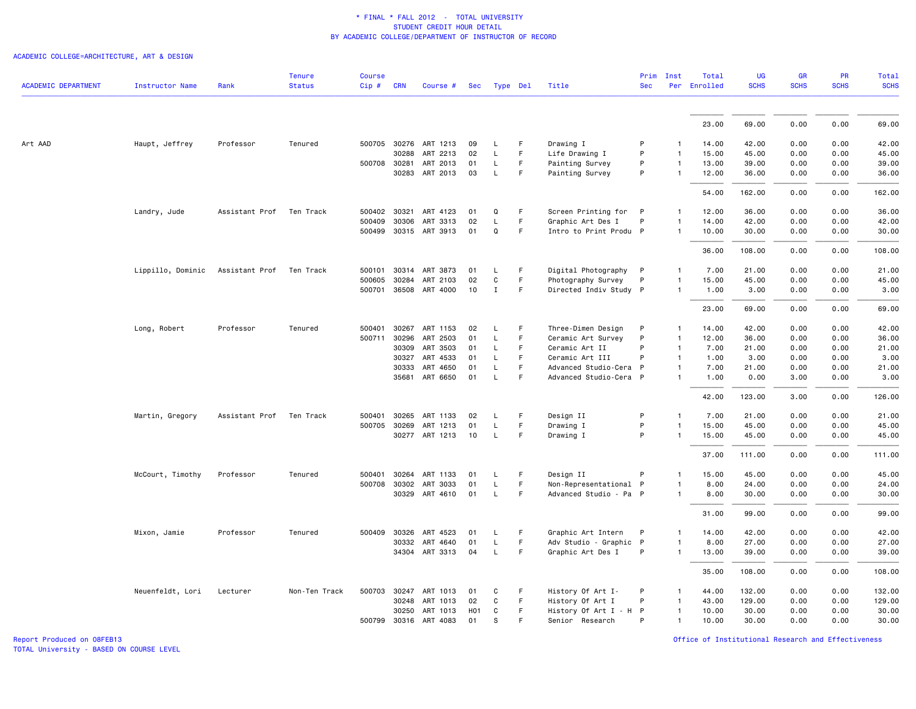ACADEMIC COLLEGE=ARCHITECTURE, ART & DESIGN

| <b>ACADEMIC DEPARTMENT</b> | <b>Instructor Name</b> | Rank           | <b>Tenure</b><br><b>Status</b> | <b>Course</b><br>Cip# | <b>CRN</b>   | Course #              | Sec |              | Type Del | Title                  | Prim<br><b>Sec</b> | Inst         | Total<br>Per Enrolled | <b>UG</b><br><b>SCHS</b> | GR<br><b>SCHS</b> | PR<br><b>SCHS</b> | <b>Total</b><br><b>SCHS</b> |
|----------------------------|------------------------|----------------|--------------------------------|-----------------------|--------------|-----------------------|-----|--------------|----------|------------------------|--------------------|--------------|-----------------------|--------------------------|-------------------|-------------------|-----------------------------|
|                            |                        |                |                                |                       |              |                       |     |              |          |                        |                    |              |                       |                          |                   |                   |                             |
|                            |                        |                |                                |                       |              |                       |     |              |          |                        |                    |              | 23.00                 | 69.00                    | 0.00              | 0.00              | 69.00                       |
| Art AAD                    | Haupt, Jeffrey         | Professor      | Tenured                        |                       |              | 500705 30276 ART 1213 | 09  | L            | F.       | Drawing I              | P                  | -1           | 14.00                 | 42.00                    | 0.00              | 0.00              | 42.00                       |
|                            |                        |                |                                |                       | 30288        | ART 2213              | 02  | L            | F        | Life Drawing I         | P                  | $\mathbf{1}$ | 15.00                 | 45.00                    | 0.00              | 0.00              | 45.00                       |
|                            |                        |                |                                | 500708 30281          |              | ART 2013              | 01  | L            | F.       | Painting Survey        | P                  | $\mathbf{1}$ | 13.00                 | 39.00                    | 0.00              | 0.00              | 39.00                       |
|                            |                        |                |                                |                       |              | 30283 ART 2013        | 03  | $\mathsf{L}$ | F.       | Painting Survey        | P                  | $\mathbf{1}$ | 12.00                 | 36.00                    | 0.00              | 0.00              | 36.00                       |
|                            |                        |                |                                |                       |              |                       |     |              |          |                        |                    |              | 54.00                 | 162.00                   | 0.00              | 0.00              | 162.00                      |
|                            |                        |                |                                |                       |              |                       |     |              |          |                        |                    |              |                       |                          |                   |                   |                             |
|                            | Landry, Jude           | Assistant Prof | Ten Track                      |                       | 500402 30321 | ART 4123              | 01  | Q            | F        | Screen Printing for P  |                    | $\mathbf{1}$ | 12.00                 | 36.00                    | 0.00              | 0.00              | 36.00                       |
|                            |                        |                |                                | 500409                | 30306        | ART 3313              | 02  | L            | F.       | Graphic Art Des I      | P                  | $\mathbf{1}$ | 14.00                 | 42.00                    | 0.00              | 0.00              | 42.00                       |
|                            |                        |                |                                |                       |              | 500499 30315 ART 3913 | 01  | Q            | F.       | Intro to Print Produ P |                    | $\mathbf{1}$ | 10.00                 | 30.00                    | 0.00              | 0.00              | 30.00                       |
|                            |                        |                |                                |                       |              |                       |     |              |          |                        |                    |              | 36.00                 | 108.00                   | 0.00              | 0.00              | 108.00                      |
|                            | Lippillo, Dominic      | Assistant Prof | Ten Track                      | 500101                | 30314        | ART 3873              | 01  | L            | F        | Digital Photography    | $\mathsf{P}$       | $\mathbf{1}$ | 7.00                  | 21.00                    | 0.00              | 0.00              | 21.00                       |
|                            |                        |                |                                | 500605                | 30284        | ART 2103              | 02  | C            | F.       | Photography Survey     | P                  | $\mathbf{1}$ | 15.00                 | 45.00                    | 0.00              | 0.00              | 45.00                       |
|                            |                        |                |                                |                       |              | 500701 36508 ART 4000 | 10  | $\mathbf{I}$ | F.       | Directed Indiv Study P |                    | $\mathbf{1}$ | 1.00                  | 3.00                     | 0.00              | 0.00              | 3.00                        |
|                            |                        |                |                                |                       |              |                       |     |              |          |                        |                    |              | 23.00                 | 69.00                    | 0.00              | 0.00              | 69.00                       |
|                            | Long, Robert           | Professor      | Tenured                        | 500401                | 30267        | ART 1153              | 02  | L            | F.       | Three-Dimen Design     | P                  | $\mathbf{1}$ | 14.00                 | 42.00                    | 0.00              | 0.00              | 42.00                       |
|                            |                        |                |                                | 500711 30296          |              | ART 2503              | 01  | L            | F.       | Ceramic Art Survey     | P                  | $\mathbf{1}$ | 12.00                 | 36.00                    | 0.00              | 0.00              | 36.00                       |
|                            |                        |                |                                |                       | 30309        | ART 3503              | 01  | L            | F.       | Ceramic Art II         | P                  | $\mathbf{1}$ | 7.00                  | 21.00                    | 0.00              | 0.00              | 21.00                       |
|                            |                        |                |                                |                       | 30327        | ART 4533              | 01  | L            | F.       | Ceramic Art III        | P                  | $\mathbf{1}$ | 1.00                  | 3.00                     | 0.00              | 0.00              | 3.00                        |
|                            |                        |                |                                |                       | 30333        | ART 4650              | 01  | L            | F        | Advanced Studio-Cera   | $\mathsf{P}$       | $\mathbf{1}$ | 7.00                  | 21.00                    | 0.00              | 0.00              | 21.00                       |
|                            |                        |                |                                |                       |              | 35681 ART 6650        | 01  | L            | F        | Advanced Studio-Cera P |                    | $\mathbf{1}$ | 1.00                  | 0.00                     | 3.00              | 0.00              | 3.00                        |
|                            |                        |                |                                |                       |              |                       |     |              |          |                        |                    |              | 42.00                 | 123.00                   | 3.00              | 0.00              | 126.00                      |
|                            | Martin, Gregory        | Assistant Prof | Ten Track                      | 500401                | 30265        | ART 1133              | 02  | L            | F        | Design II              | P                  | $\mathbf{1}$ | 7.00                  | 21.00                    | 0.00              | 0.00              | 21.00                       |
|                            |                        |                |                                | 500705 30269          |              | ART 1213              | 01  | L            | F        | Drawing I              | P                  | $\mathbf{1}$ | 15.00                 | 45.00                    | 0.00              | 0.00              | 45.00                       |
|                            |                        |                |                                |                       |              | 30277 ART 1213        | 10  | L            | F        | Drawing I              | P                  | $\mathbf{1}$ | 15.00                 | 45.00                    | 0.00              | 0.00              | 45.00                       |
|                            |                        |                |                                |                       |              |                       |     |              |          |                        |                    |              | 37.00                 | 111.00                   | 0.00              | 0.00              | 111.00                      |
|                            | McCourt, Timothy       | Professor      | Tenured                        | 500401                | 30264        | ART 1133              | 01  | L            | F        | Design II              | P                  | $\mathbf{1}$ | 15.00                 | 45.00                    | 0.00              | 0.00              | 45.00                       |
|                            |                        |                |                                |                       |              | 500708 30302 ART 3033 | 01  | $\mathsf{L}$ | F        | Non-Representational P |                    | $\mathbf{1}$ | 8.00                  | 24.00                    | 0.00              | 0.00              | 24.00                       |
|                            |                        |                |                                |                       |              | 30329 ART 4610        | 01  | L            | F.       | Advanced Studio - Pa P |                    | $\mathbf{1}$ | 8.00                  | 30.00                    | 0.00              | 0.00              | 30.00                       |
|                            |                        |                |                                |                       |              |                       |     |              |          |                        |                    |              | 31.00                 | 99.00                    | 0.00              | 0.00              | 99.00                       |
|                            | Mixon, Jamie           | Professor      | Tenured                        | 500409 30326          |              | ART 4523              | 01  | L            | F.       | Graphic Art Intern     | P                  | $\mathbf{1}$ | 14.00                 | 42.00                    | 0.00              | 0.00              | 42.00                       |
|                            |                        |                |                                |                       | 30332        | ART 4640              | 01  | L            | F        | Adv Studio - Graphic P |                    | 1            | 8.00                  | 27.00                    | 0.00              | 0.00              | 27.00                       |
|                            |                        |                |                                |                       |              | 34304 ART 3313        | 04  | L            | F.       | Graphic Art Des I      | P                  | $\mathbf{1}$ | 13.00                 | 39.00                    | 0.00              | 0.00              | 39.00                       |
|                            |                        |                |                                |                       |              |                       |     |              |          |                        |                    |              | 35.00                 | 108.00                   | 0.00              | 0.00              | 108.00                      |
|                            | Neuenfeldt, Lori       | Lecturer       | Non-Ten Track                  | 500703                | 30247        | ART<br>1013           | 01  | C            | F.       | History Of Art I-      | P                  | $\mathbf{1}$ | 44.00                 | 132.00                   | 0.00              | 0.00              | 132.00                      |
|                            |                        |                |                                |                       | 30248        | ART 1013              | 02  | C            | F        | History Of Art I       | P                  | $\mathbf{1}$ | 43.00                 | 129.00                   | 0.00              | 0.00              | 129.00                      |
|                            |                        |                |                                |                       |              | 30250 ART 1013        | H01 | C            | F.       | History Of Art I - H P |                    | $\mathbf{1}$ | 10.00                 | 30.00                    | 0.00              | 0.00              | 30.00                       |
|                            |                        |                |                                |                       |              | 500799 30316 ART 4083 | 01  | s            | F        | Senior Research        | P                  | $\mathbf{1}$ | 10.00                 | 30.00                    | 0.00              | 0.00              | 30.00                       |
|                            |                        |                |                                |                       |              |                       |     |              |          |                        |                    |              |                       |                          |                   |                   |                             |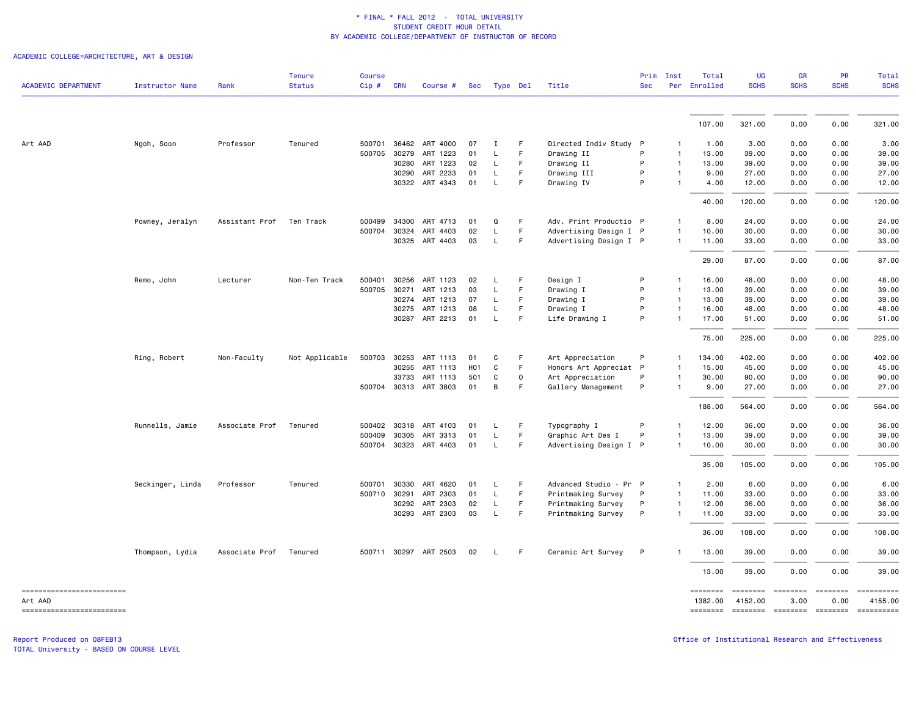ACADEMIC COLLEGE=ARCHITECTURE, ART & DESIGN

| <b>ACADEMIC DEPARTMENT</b>            | <b>Instructor Name</b> | Rank           | <b>Tenure</b><br><b>Status</b> | <b>Course</b><br>Cip# | <b>CRN</b> | Course #              | Sec              |              | Type Del    | Title                  | Prim<br><b>Sec</b> | Inst           | Total<br>Per Enrolled | <b>UG</b><br><b>SCHS</b> | GR<br><b>SCHS</b> | PR<br><b>SCHS</b>      | <b>Total</b><br><b>SCHS</b> |
|---------------------------------------|------------------------|----------------|--------------------------------|-----------------------|------------|-----------------------|------------------|--------------|-------------|------------------------|--------------------|----------------|-----------------------|--------------------------|-------------------|------------------------|-----------------------------|
|                                       |                        |                |                                |                       |            |                       |                  |              |             |                        |                    |                |                       |                          |                   |                        |                             |
|                                       |                        |                |                                |                       |            |                       |                  |              |             |                        |                    |                | 107.00                | 321.00                   | 0.00              | 0.00                   | 321.00                      |
| Art AAD                               | Ngoh, Soon             | Professor      | Tenured                        |                       |            | 500701 36462 ART 4000 | 07               | Ι.           | F.          | Directed Indiv Study P |                    | $\mathbf{1}$   | 1.00                  | 3.00                     | 0.00              | 0.00                   | 3.00                        |
|                                       |                        |                |                                | 500705                | 30279      | ART 1223              | 01               | L            | F.          | Drawing II             | P                  | $\mathbf{1}$   | 13.00                 | 39.00                    | 0.00              | 0.00                   | 39.00                       |
|                                       |                        |                |                                |                       | 30280      | ART 1223              | 02               | L            | F           | Drawing II             | P                  | $\mathbf{1}$   | 13.00                 | 39.00                    | 0.00              | 0.00                   | 39.00                       |
|                                       |                        |                |                                |                       | 30290      | ART 2233              | 01               | L            | F           | Drawing III            | P                  | $\mathbf{1}$   | 9.00                  | 27.00                    | 0.00              | 0.00                   | 27.00                       |
|                                       |                        |                |                                |                       |            | 30322 ART 4343        | 01               | $\mathsf{L}$ | F           | Drawing IV             | P                  | $\overline{1}$ | 4.00                  | 12.00                    | 0.00              | 0.00                   | 12.00                       |
|                                       |                        |                |                                |                       |            |                       |                  |              |             |                        |                    |                | 40.00                 | 120.00                   | 0.00              | 0.00                   | 120.00                      |
|                                       | Powney, Jeralyn        | Assistant Prof | Ten Track                      | 500499                | 34300      | ART 4713              | 01               | $\Omega$     | F           | Adv. Print Productio P |                    | 1              | 8.00                  | 24.00                    | 0.00              | 0.00                   | 24.00                       |
|                                       |                        |                |                                | 500704                | 30324      | ART 4403              | 02               | L            | F           | Advertising Design I P |                    | $\mathbf{1}$   | 10.00                 | 30.00                    | 0.00              | 0.00                   | 30.00                       |
|                                       |                        |                |                                |                       |            | 30325 ART 4403        | 03               | L.           | F           | Advertising Design I P |                    | $\mathbf{1}$   | 11.00                 | 33.00                    | 0.00              | 0.00                   | 33.00                       |
|                                       |                        |                |                                |                       |            |                       |                  |              |             |                        |                    |                | 29.00                 | 87.00                    | 0.00              | 0.00                   | 87.00                       |
|                                       | Remo, John             | Lecturer       | Non-Ten Track                  | 500401                | 30256      | ART 1123              | 02               | L.           | F           | Design I               | P                  | $\mathbf{1}$   | 16.00                 | 48.00                    | 0.00              | 0.00                   | 48.00                       |
|                                       |                        |                |                                | 500705                | 30271      | ART 1213              | 03               | L            | F.          | Drawing I              | P                  | $\overline{1}$ | 13.00                 | 39.00                    | 0.00              | 0.00                   | 39.00                       |
|                                       |                        |                |                                |                       |            | 30274 ART 1213        | 07               | L.           | F.          | Drawing I              | P                  | $\mathbf{1}$   | 13.00                 | 39,00                    | 0.00              | 0.00                   | 39.00                       |
|                                       |                        |                |                                |                       |            | 30275 ART 1213        | 08               | L            | F           | Drawing I              | P                  | $\mathbf{1}$   | 16.00                 | 48.00                    | 0.00              | 0.00                   | 48.00                       |
|                                       |                        |                |                                |                       |            | 30287 ART 2213        | 01               | $\mathsf L$  | F.          | Life Drawing I         | P                  | $\mathbf{1}$   | 17.00                 | 51.00                    | 0.00              | 0.00                   | 51.00                       |
|                                       |                        |                |                                |                       |            |                       |                  |              |             |                        |                    |                | 75.00                 | 225.00                   | 0.00              | 0.00                   | 225.00                      |
|                                       | Ring, Robert           | Non-Faculty    | Not Applicable                 | 500703                | 30253      | ART 1113              | 01               | C            | F           | Art Appreciation       | P                  | $\mathbf{1}$   | 134.00                | 402.00                   | 0.00              | 0.00                   | 402.00                      |
|                                       |                        |                |                                |                       | 30255      | ART 1113              | H <sub>0</sub> 1 | $\mathtt{C}$ | F.          | Honors Art Appreciat P |                    | $\mathbf{1}$   | 15.00                 | 45.00                    | 0.00              | 0.00                   | 45.00                       |
|                                       |                        |                |                                |                       | 33733      | ART 1113              | 501              | C            | $\mathbf 0$ | Art Appreciation       | P                  | 1              | 30.00                 | 90.00                    | 0.00              | 0.00                   | 90.00                       |
|                                       |                        |                |                                |                       |            | 500704 30313 ART 3803 | 01               | B            | F           | Gallery Management     | P                  | $\mathbf{1}$   | 9.00                  | 27.00                    | 0.00              | 0.00                   | 27.00                       |
|                                       |                        |                |                                |                       |            |                       |                  |              |             |                        |                    |                | 188.00                | 564.00                   | 0.00              | 0.00                   | 564.00                      |
|                                       | Runnells, Jamie        | Associate Prof | Tenured                        |                       |            | 500402 30318 ART 4103 | 01               | L            | F           | Typography I           | P                  | 1              | 12.00                 | 36.00                    | 0.00              | 0.00                   | 36.00                       |
|                                       |                        |                |                                | 500409                | 30305      | ART 3313              | 01               | L            | F           | Graphic Art Des I      | P                  | $\mathbf{1}$   | 13.00                 | 39.00                    | 0.00              | 0.00                   | 39.00                       |
|                                       |                        |                |                                |                       |            | 500704 30323 ART 4403 | 01               | L.           | F           | Advertising Design I P |                    | $\overline{1}$ | 10.00                 | 30.00                    | 0.00              | 0.00                   | 30.00                       |
|                                       |                        |                |                                |                       |            |                       |                  |              |             |                        |                    |                | 35.00                 | 105.00                   | 0.00              | 0.00                   | 105.00                      |
|                                       | Seckinger, Linda       | Professor      | Tenured                        | 500701                | 30330      | ART 4620              | 01               | L.           | F           | Advanced Studio - Pr P |                    | $\mathbf{1}$   | 2.00                  | 6.00                     | 0.00              | 0.00                   | 6.00                        |
|                                       |                        |                |                                | 500710 30291          |            | ART 2303              | 01               | L            | F.          | Printmaking Survey     | P                  | $\mathbf{1}$   | 11.00                 | 33.00                    | 0.00              | 0.00                   | 33.00                       |
|                                       |                        |                |                                |                       | 30292      | ART 2303              | 02               | L.           | F           | Printmaking Survey     | P                  | $\mathbf{1}$   | 12.00                 | 36.00                    | 0.00              | 0.00                   | 36.00                       |
|                                       |                        |                |                                |                       | 30293      | ART 2303              | 03               | L            | F.          | Printmaking Survey     | P                  | -1             | 11.00                 | 33.00                    | 0.00              | 0.00                   | 33.00                       |
|                                       |                        |                |                                |                       |            |                       |                  |              |             |                        |                    |                | 36.00                 | 108,00                   | 0.00              | 0.00                   | 108.00                      |
|                                       | Thompson, Lydia        | Associate Prof | Tenured                        |                       |            | 500711 30297 ART 2503 | 02               | L.           | F.          | Ceramic Art Survey     | P                  |                | 13.00                 | 39.00                    | 0.00              | 0.00                   | 39.00                       |
|                                       |                        |                |                                |                       |            |                       |                  |              |             |                        |                    |                | 13.00                 | 39.00                    | 0.00              | 0.00                   | 39.00                       |
| ==========================<br>Art AAD |                        |                |                                |                       |            |                       |                  |              |             |                        |                    |                | ========<br>1382.00   | ========<br>4152.00      | ========<br>3.00  | <b>EDDEDED</b><br>0.00 | ==========<br>4155.00       |
| -------------------------             |                        |                |                                |                       |            |                       |                  |              |             |                        |                    |                |                       |                          |                   |                        |                             |

TOTAL University - BASED ON COURSE LEVEL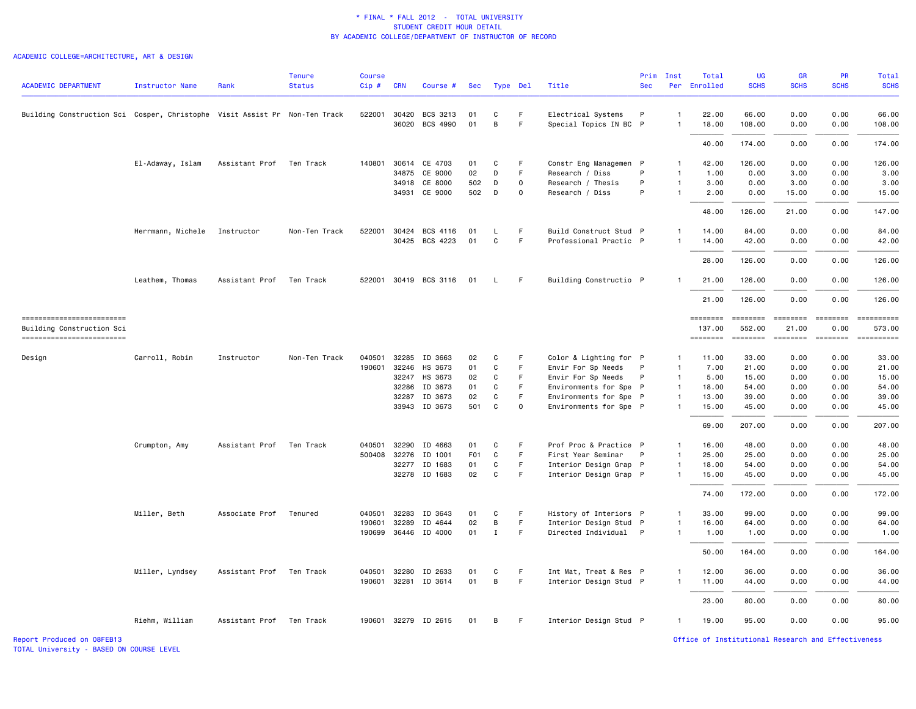# ACADEMIC COLLEGE=ARCHITECTURE, ART & DESIGN

| <b>ACADEMIC DEPARTMENT</b>                                                 | <b>Instructor Name</b> | Rank                     | <b>Tenure</b><br><b>Status</b> | <b>Course</b><br>$Cip \#$ | <b>CRN</b>   | Course #              | Sec              |             | Type Del    | Title                  | Prim<br><b>Sec</b> | Inst           | Total<br>Per Enrolled                                                                                                                                                                                                                                                                                                                                                                                                                                                                              | <b>UG</b><br><b>SCHS</b> | <b>GR</b><br><b>SCHS</b>                    | PR<br><b>SCHS</b> | Total<br><b>SCHS</b> |
|----------------------------------------------------------------------------|------------------------|--------------------------|--------------------------------|---------------------------|--------------|-----------------------|------------------|-------------|-------------|------------------------|--------------------|----------------|----------------------------------------------------------------------------------------------------------------------------------------------------------------------------------------------------------------------------------------------------------------------------------------------------------------------------------------------------------------------------------------------------------------------------------------------------------------------------------------------------|--------------------------|---------------------------------------------|-------------------|----------------------|
|                                                                            |                        |                          |                                |                           |              |                       |                  |             |             |                        |                    |                |                                                                                                                                                                                                                                                                                                                                                                                                                                                                                                    |                          |                                             |                   |                      |
| Building Construction Sci Cosper, Christophe Visit Assist Pr Non-Ten Track |                        |                          |                                |                           |              | 522001 30420 BCS 3213 | 01               | C           | F           | Electrical Systems     | P                  | $\overline{1}$ | 22.00                                                                                                                                                                                                                                                                                                                                                                                                                                                                                              | 66.00                    | 0.00                                        | 0.00              | 66.00                |
|                                                                            |                        |                          |                                |                           | 36020        | BCS 4990              | 01               | B           | F           | Special Topics IN BC P |                    | $\mathbf{1}$   | 18.00                                                                                                                                                                                                                                                                                                                                                                                                                                                                                              | 108.00                   | 0.00                                        | 0.00              | 108.00               |
|                                                                            |                        |                          |                                |                           |              |                       |                  |             |             |                        |                    |                | 40.00                                                                                                                                                                                                                                                                                                                                                                                                                                                                                              | 174.00                   | 0.00                                        | 0.00              | 174.00               |
|                                                                            | El-Adaway, Islam       | Assistant Prof           | Ten Track                      |                           |              | 140801 30614 CE 4703  | 01               | C           | F           | Constr Eng Managemen P |                    | $\mathbf{1}$   | 42.00                                                                                                                                                                                                                                                                                                                                                                                                                                                                                              | 126.00                   | 0.00                                        | 0.00              | 126.00               |
|                                                                            |                        |                          |                                |                           | 34875        | CE 9000               | 02               | D           | F           | Research / Diss        | P                  | $\mathbf{1}$   | 1.00                                                                                                                                                                                                                                                                                                                                                                                                                                                                                               | 0.00                     | 3.00                                        | 0.00              | 3.00                 |
|                                                                            |                        |                          |                                |                           | 34918        | CE 8000               | 502              | D           | 0           | Research / Thesis      | P                  | $\mathbf{1}$   | 3.00                                                                                                                                                                                                                                                                                                                                                                                                                                                                                               | 0.00                     | 3.00                                        | 0.00              | 3.00                 |
|                                                                            |                        |                          |                                |                           |              | 34931 CE 9000         | 502              | D           | $\mathbf 0$ | Research / Diss        | P                  | 1              | 2.00                                                                                                                                                                                                                                                                                                                                                                                                                                                                                               | 0.00                     | 15.00                                       | 0.00              | 15.00                |
|                                                                            |                        |                          |                                |                           |              |                       |                  |             |             |                        |                    |                | 48.00                                                                                                                                                                                                                                                                                                                                                                                                                                                                                              | 126.00                   | 21.00                                       | 0.00              | 147.00               |
|                                                                            | Herrmann, Michele      | Instructor               | Non-Ten Track                  | 522001                    |              | 30424 BCS 4116        | 01               | L           | F           | Build Construct Stud P |                    | $\mathbf{1}$   | 14.00                                                                                                                                                                                                                                                                                                                                                                                                                                                                                              | 84.00                    | 0.00                                        | 0.00              | 84.00                |
|                                                                            |                        |                          |                                |                           |              | 30425 BCS 4223        | 01               | C           | -F          | Professional Practic P |                    |                | 14.00                                                                                                                                                                                                                                                                                                                                                                                                                                                                                              | 42.00                    | 0.00                                        | 0.00              | 42.00                |
|                                                                            |                        |                          |                                |                           |              |                       |                  |             |             |                        |                    |                | 28.00                                                                                                                                                                                                                                                                                                                                                                                                                                                                                              | 126.00                   | 0.00                                        | 0.00              | 126.00               |
|                                                                            | Leathem, Thomas        | Assistant Prof           | Ten Track                      |                           |              | 522001 30419 BCS 3116 | 01               | L.          | -F          | Building Constructio P |                    |                | 21.00                                                                                                                                                                                                                                                                                                                                                                                                                                                                                              | 126.00                   | 0.00                                        | 0.00              | 126.00               |
|                                                                            |                        |                          |                                |                           |              |                       |                  |             |             |                        |                    |                | 21.00                                                                                                                                                                                                                                                                                                                                                                                                                                                                                              | 126.00                   | 0.00                                        | 0.00              | 126.00               |
| -------------------------<br>Building Construction Sci                     |                        |                          |                                |                           |              |                       |                  |             |             |                        |                    |                | $\begin{array}{cccccc} \multicolumn{2}{c}{{\color{red}z}} & \multicolumn{2}{c}{{\color{blue}z}} & \multicolumn{2}{c}{{\color{blue}z}} & \multicolumn{2}{c}{{\color{blue}z}} & \multicolumn{2}{c}{{\color{blue}z}} & \multicolumn{2}{c}{{\color{blue}z}} & \multicolumn{2}{c}{{\color{blue}z}} & \multicolumn{2}{c}{{\color{blue}z}} & \multicolumn{2}{c}{{\color{blue}z}} & \multicolumn{2}{c}{{\color{blue}z}} & \multicolumn{2}{c}{{\color{blue}z}} & \multicolumn{2}{c}{{\color{blue$<br>137.00 | 552.00                   | -------- ------- -------- --------<br>21.00 | 0.00              | 573.00               |
| ========================                                                   |                        |                          |                                |                           |              |                       |                  |             |             |                        |                    |                | ========                                                                                                                                                                                                                                                                                                                                                                                                                                                                                           | ========                 | ========                                    | ========          | ==========           |
| Design                                                                     | Carroll, Robin         | Instructor               | Non-Ten Track                  | 040501                    |              | 32285 ID 3663         | 02               | C           | F           | Color & Lighting for P |                    | $\mathbf{1}$   | 11.00                                                                                                                                                                                                                                                                                                                                                                                                                                                                                              | 33.00                    | 0.00                                        | 0.00              | 33.00                |
|                                                                            |                        |                          |                                | 190601                    | 32246        | HS 3673               | 01               | $\mathbf C$ | F           | Envir For Sp Needs     | P                  | $\overline{1}$ | 7.00                                                                                                                                                                                                                                                                                                                                                                                                                                                                                               | 21.00                    | 0.00                                        | 0.00              | 21.00                |
|                                                                            |                        |                          |                                |                           | 32247        | HS 3673               | 02               | C           | F           | Envir For Sp Needs     | P                  | $\mathbf{1}$   | 5.00                                                                                                                                                                                                                                                                                                                                                                                                                                                                                               | 15.00                    | 0.00                                        | 0.00              | 15.00                |
|                                                                            |                        |                          |                                |                           | 32286        | ID 3673               | 01               | C           | F.          | Environments for Spe P |                    | $\overline{1}$ | 18.00                                                                                                                                                                                                                                                                                                                                                                                                                                                                                              | 54.00                    | 0.00                                        | 0.00              | 54.00                |
|                                                                            |                        |                          |                                |                           | 32287        | ID 3673               | 02               | $\mathbf C$ | F           | Environments for Spe P |                    | $\overline{1}$ | 13.00                                                                                                                                                                                                                                                                                                                                                                                                                                                                                              | 39.00                    | 0.00                                        | 0.00              | 39.00                |
|                                                                            |                        |                          |                                |                           |              | 33943 ID 3673         | 501              | C           | 0           | Environments for Spe P |                    | $\mathbf{1}$   | 15.00                                                                                                                                                                                                                                                                                                                                                                                                                                                                                              | 45.00                    | 0.00                                        | 0.00              | 45.00                |
|                                                                            |                        |                          |                                |                           |              |                       |                  |             |             |                        |                    |                | 69.00                                                                                                                                                                                                                                                                                                                                                                                                                                                                                              | 207.00                   | 0.00                                        | 0.00              | 207.00               |
|                                                                            | Crumpton, Amy          | Assistant Prof           | Ten Track                      | 040501                    | 32290        | ID 4663               | 01               | C           | F           | Prof Proc & Practice P |                    | $\mathbf{1}$   | 16.00                                                                                                                                                                                                                                                                                                                                                                                                                                                                                              | 48.00                    | 0.00                                        | 0.00              | 48.00                |
|                                                                            |                        |                          |                                |                           | 500408 32276 | ID 1001               | F <sub>0</sub> 1 | C           | F.          | First Year Seminar     | $\mathsf{P}$       | $\mathbf{1}$   | 25.00                                                                                                                                                                                                                                                                                                                                                                                                                                                                                              | 25.00                    | 0.00                                        | 0.00              | 25.00                |
|                                                                            |                        |                          |                                |                           | 32277        | ID 1683               | 01               | C           | F           | Interior Design Grap P |                    | $\mathbf{1}$   | 18.00                                                                                                                                                                                                                                                                                                                                                                                                                                                                                              | 54.00                    | 0.00                                        | 0.00              | 54.00                |
|                                                                            |                        |                          |                                |                           |              | 32278 ID 1683         | 02               | $\mathbf C$ | F           | Interior Design Grap P |                    | $\overline{1}$ | 15.00                                                                                                                                                                                                                                                                                                                                                                                                                                                                                              | 45.00                    | 0.00                                        | 0.00              | 45.00                |
|                                                                            |                        |                          |                                |                           |              |                       |                  |             |             |                        |                    |                | 74.00                                                                                                                                                                                                                                                                                                                                                                                                                                                                                              | 172.00                   | 0.00                                        | 0.00              | 172.00               |
|                                                                            | Miller, Beth           | Associate Prof           | Tenured                        | 040501                    | 32283        | ID 3643               | 01               | C           | F           | History of Interiors P |                    | $\mathbf{1}$   | 33.00                                                                                                                                                                                                                                                                                                                                                                                                                                                                                              | 99.00                    | 0.00                                        | 0.00              | 99.00                |
|                                                                            |                        |                          |                                | 190601                    | 32289        | ID 4644               | 02               | В           | F.          | Interior Design Stud P |                    | $\mathbf{1}$   | 16.00                                                                                                                                                                                                                                                                                                                                                                                                                                                                                              | 64.00                    | 0.00                                        | 0.00              | 64.00                |
|                                                                            |                        |                          |                                |                           | 190699 36446 | ID 4000               | 01               | Ι.          | F.          | Directed Individual P  |                    | $\mathbf{1}$   | 1.00                                                                                                                                                                                                                                                                                                                                                                                                                                                                                               | 1.00                     | 0.00                                        | 0.00              | 1.00                 |
|                                                                            |                        |                          |                                |                           |              |                       |                  |             |             |                        |                    |                | 50.00                                                                                                                                                                                                                                                                                                                                                                                                                                                                                              | 164.00                   | 0.00                                        | 0.00              | 164.00               |
|                                                                            | Miller, Lyndsey        | Assistant Prof           | Ten Track                      |                           | 040501 32280 | ID 2633               | 01               | C           | F           | Int Mat, Treat & Res P |                    | 1              | 12.00                                                                                                                                                                                                                                                                                                                                                                                                                                                                                              | 36.00                    | 0.00                                        | 0.00              | 36.00                |
|                                                                            |                        |                          |                                |                           |              | 190601 32281 ID 3614  | 01               | В           | F           | Interior Design Stud P |                    | $\mathbf{1}$   | 11.00                                                                                                                                                                                                                                                                                                                                                                                                                                                                                              | 44.00                    | 0.00                                        | 0.00              | 44.00                |
|                                                                            |                        |                          |                                |                           |              |                       |                  |             |             |                        |                    |                | 23.00                                                                                                                                                                                                                                                                                                                                                                                                                                                                                              | 80.00                    | 0.00                                        | 0.00              | 80.00                |
|                                                                            | Riehm, William         | Assistant Prof Ten Track |                                |                           |              | 190601 32279 ID 2615  | 01               | В           | F.          | Interior Design Stud P |                    | $\mathbf{1}$   | 19.00                                                                                                                                                                                                                                                                                                                                                                                                                                                                                              | 95.00                    | 0.00                                        | 0.00              | 95.00                |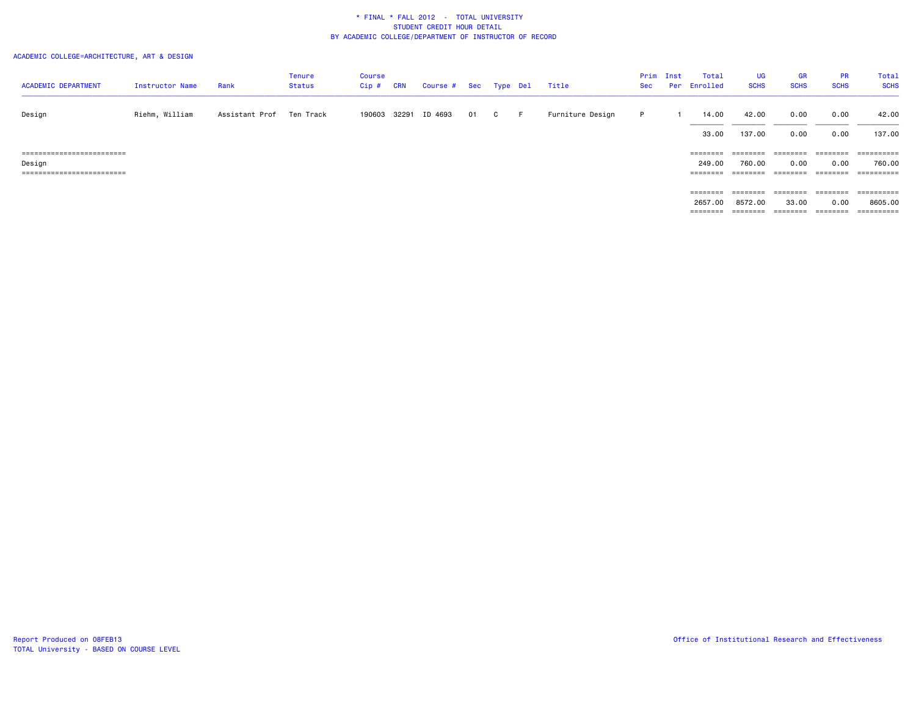# ACADEMIC COLLEGE=ARCHITECTURE, ART & DESIGN

| <b>ACADEMIC DEPARTMENT</b> | Instructor Name | Rank           | <b>Tenure</b><br>Status | Course<br>$Cip$ # | <b>CRN</b> | Course # Sec |    | Type Del |       | Title            | Prim<br>Sec | Inst | Total<br>Per Enrolled | <b>UG</b><br><b>SCHS</b> | GR<br><b>SCHS</b> | <b>PR</b><br><b>SCHS</b>                                                | Total<br><b>SCHS</b> |
|----------------------------|-----------------|----------------|-------------------------|-------------------|------------|--------------|----|----------|-------|------------------|-------------|------|-----------------------|--------------------------|-------------------|-------------------------------------------------------------------------|----------------------|
| Design                     | Riehm, William  | Assistant Prof | Ten Track               | 190603 32291      |            | ID 4693      | 01 | C        | - F - | Furniture Design | P.          |      | 14.00                 | 42.00                    | 0.00              | 0.00                                                                    | 42.00                |
|                            |                 |                |                         |                   |            |              |    |          |       |                  |             |      | 33.00                 | 137.00                   | 0.00              | 0.00                                                                    | 137.00               |
| ========================== |                 |                |                         |                   |            |              |    |          |       |                  |             |      | ========              | ========                 | ========          | $\qquad \qquad \equiv \equiv \equiv \equiv \equiv \equiv \equiv \equiv$ |                      |
| Design                     |                 |                |                         |                   |            |              |    |          |       |                  |             |      | 249.00                | 760.00                   | 0.00              | 0.00                                                                    | 760.00               |
| ========================== |                 |                |                         |                   |            |              |    |          |       |                  |             |      | ========              | ========                 | ========          | ========                                                                | ==========           |
|                            |                 |                |                         |                   |            |              |    |          |       |                  |             |      |                       |                          |                   |                                                                         |                      |
|                            |                 |                |                         |                   |            |              |    |          |       |                  |             |      | ========              | ========                 | ========          | $\qquad \qquad \equiv \equiv \equiv \equiv \equiv \equiv \equiv \equiv$ |                      |
|                            |                 |                |                         |                   |            |              |    |          |       |                  |             |      | 2657.00               | 8572.00                  | 33.00             | 0.00                                                                    | 8605.00              |
|                            |                 |                |                         |                   |            |              |    |          |       |                  |             |      | ========              | ========                 | ========          | ========                                                                | ==========           |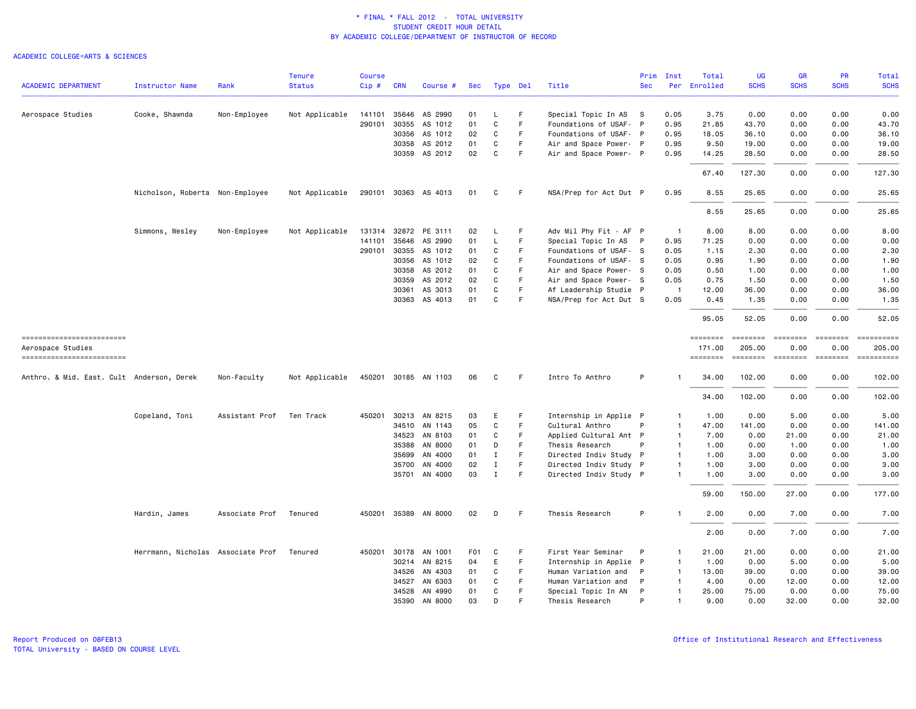|                                                |                                   |                | <b>Tenure</b>  | <b>Course</b> |              |                      |                  |              |          |                        | Prim       | Inst           | Total                     | <b>UG</b>          | <b>GR</b>            | PR                   | Total                                                                                                                                                                                                                                                                                                                                                                                                                                                                                            |
|------------------------------------------------|-----------------------------------|----------------|----------------|---------------|--------------|----------------------|------------------|--------------|----------|------------------------|------------|----------------|---------------------------|--------------------|----------------------|----------------------|--------------------------------------------------------------------------------------------------------------------------------------------------------------------------------------------------------------------------------------------------------------------------------------------------------------------------------------------------------------------------------------------------------------------------------------------------------------------------------------------------|
| <b>ACADEMIC DEPARTMENT</b>                     | <b>Instructor Name</b>            | Rank           | <b>Status</b>  | Cip#          | <b>CRN</b>   | Course #             | <b>Sec</b>       |              | Type Del | Title                  | <b>Sec</b> | Per            | Enrolled                  | <b>SCHS</b>        | <b>SCHS</b>          | <b>SCHS</b>          | <b>SCHS</b>                                                                                                                                                                                                                                                                                                                                                                                                                                                                                      |
| Aerospace Studies                              | Cooke, Shawnda                    | Non-Employee   |                | 141101        |              | 35646 AS 2990        | 01               | L            | F        | Special Topic In AS    | <b>S</b>   | 0.05           | 3.75                      | 0.00               | 0.00                 | 0.00                 | 0.00                                                                                                                                                                                                                                                                                                                                                                                                                                                                                             |
|                                                |                                   |                | Not Applicable | 290101        |              | 30355 AS 1012        | 01               | C            | F.       | Foundations of USAF- P |            | 0.95           | 21.85                     | 43.70              | 0.00                 | 0.00                 | 43.70                                                                                                                                                                                                                                                                                                                                                                                                                                                                                            |
|                                                |                                   |                |                |               | 30356        | AS 1012              | 02               | C            | F        | Foundations of USAF- P |            | 0.95           | 18.05                     | 36.10              | 0.00                 | 0.00                 | 36.10                                                                                                                                                                                                                                                                                                                                                                                                                                                                                            |
|                                                |                                   |                |                |               | 30358        | AS 2012              | 01               | C            | F        | Air and Space Power- P |            | 0.95           | 9.50                      | 19.00              | 0.00                 | 0.00                 | 19.00                                                                                                                                                                                                                                                                                                                                                                                                                                                                                            |
|                                                |                                   |                |                |               | 30359        | AS 2012              | 02               | $\mathbf{C}$ | F        | Air and Space Power- P |            | 0.95           | 14.25                     | 28.50              | 0.00                 | 0.00                 | 28.50                                                                                                                                                                                                                                                                                                                                                                                                                                                                                            |
|                                                |                                   |                |                |               |              |                      |                  |              |          |                        |            |                | 67.40                     | 127.30             | 0.00                 | 0.00                 | 127.30                                                                                                                                                                                                                                                                                                                                                                                                                                                                                           |
|                                                | Nicholson, Roberta Non-Employee   |                | Not Applicable |               |              | 290101 30363 AS 4013 | 01               | C            | F.       | NSA/Prep for Act Dut P |            | 0.95           | 8.55                      | 25.65              | 0.00                 | 0.00                 | 25.65                                                                                                                                                                                                                                                                                                                                                                                                                                                                                            |
|                                                |                                   |                |                |               |              |                      |                  |              |          |                        |            |                | 8.55                      | 25.65              | 0.00                 | 0.00                 | 25.65                                                                                                                                                                                                                                                                                                                                                                                                                                                                                            |
|                                                |                                   |                |                |               |              |                      |                  |              |          |                        |            |                |                           |                    |                      |                      |                                                                                                                                                                                                                                                                                                                                                                                                                                                                                                  |
|                                                | Simmons, Wesley                   | Non-Employee   | Not Applicable | 131314        |              | 32872 PE 3111        | 02               | L            | F        | Adv Mil Phy Fit - AF P |            | $\overline{1}$ | 8.00                      | 8.00               | 0.00                 | 0.00                 | 8.00                                                                                                                                                                                                                                                                                                                                                                                                                                                                                             |
|                                                |                                   |                |                | 141101        | 35646        | AS 2990              | 01               | L            | F.       | Special Topic In AS    | P          | 0.95           | 71.25                     | 0.00               | 0.00                 | 0.00                 | 0.00                                                                                                                                                                                                                                                                                                                                                                                                                                                                                             |
|                                                |                                   |                |                |               | 290101 30355 | AS 1012              | 01               | C            | F        | Foundations of USAF- S |            | 0.05           | 1.15                      | 2.30               | 0.00                 | 0.00                 | 2.30                                                                                                                                                                                                                                                                                                                                                                                                                                                                                             |
|                                                |                                   |                |                |               | 30356        | AS 1012              | 02               | $\mathtt{C}$ | F        | Foundations of USAF- S |            | 0.05           | 0.95                      | 1.90               | 0.00                 | 0.00                 | 1.90                                                                                                                                                                                                                                                                                                                                                                                                                                                                                             |
|                                                |                                   |                |                |               | 30358        | AS 2012              | 01               | C            | F        | Air and Space Power- S |            | 0.05           | 0.50                      | 1.00               | 0.00                 | 0.00                 | 1.00                                                                                                                                                                                                                                                                                                                                                                                                                                                                                             |
|                                                |                                   |                |                |               | 30359        | AS 2012              | 02               | C            | F        | Air and Space Power- S |            | 0.05           | 0.75                      | 1.50               | 0.00                 | 0.00                 | 1.50                                                                                                                                                                                                                                                                                                                                                                                                                                                                                             |
|                                                |                                   |                |                |               | 30361        | AS 3013              | 01               | $\mathbf c$  | F.       | Af Leadership Studie P |            | $\overline{1}$ | 12.00                     | 36.00              | 0.00                 | 0.00                 | 36.00                                                                                                                                                                                                                                                                                                                                                                                                                                                                                            |
|                                                |                                   |                |                |               |              | 30363 AS 4013        | 01               | C            | F        | NSA/Prep for Act Dut S |            | 0.05           | 0.45                      | 1.35               | 0.00                 | 0.00                 | 1.35                                                                                                                                                                                                                                                                                                                                                                                                                                                                                             |
|                                                |                                   |                |                |               |              |                      |                  |              |          |                        |            |                | 95.05                     | 52.05              | 0.00                 | 0.00                 | 52.05                                                                                                                                                                                                                                                                                                                                                                                                                                                                                            |
| ------------------------                       |                                   |                |                |               |              |                      |                  |              |          |                        |            |                | ========                  | ========           | $=$ ========         | ========             | - ==========                                                                                                                                                                                                                                                                                                                                                                                                                                                                                     |
| Aerospace Studies<br>------------------------- |                                   |                |                |               |              |                      |                  |              |          |                        |            |                | 171.00<br><b>EDESSERS</b> | 205.00<br>======== | 0.00<br>$=$ ======== | 0.00<br>$=$ ======== | 205.00<br>$\begin{array}{cccccccccc} \multicolumn{2}{c}{} & \multicolumn{2}{c}{} & \multicolumn{2}{c}{} & \multicolumn{2}{c}{} & \multicolumn{2}{c}{} & \multicolumn{2}{c}{} & \multicolumn{2}{c}{} & \multicolumn{2}{c}{} & \multicolumn{2}{c}{} & \multicolumn{2}{c}{} & \multicolumn{2}{c}{} & \multicolumn{2}{c}{} & \multicolumn{2}{c}{} & \multicolumn{2}{c}{} & \multicolumn{2}{c}{} & \multicolumn{2}{c}{} & \multicolumn{2}{c}{} & \multicolumn{2}{c}{} & \multicolumn{2}{c}{} & \mult$ |
| Anthro. & Mid. East. Cult Anderson, Derek      |                                   | Non-Faculty    | Not Applicable |               |              | 450201 30185 AN 1103 | 06               | C            | F.       | Intro To Anthro        | P          |                | 34.00                     | 102.00             | 0.00                 | 0.00                 | 102.00                                                                                                                                                                                                                                                                                                                                                                                                                                                                                           |
|                                                |                                   |                |                |               |              |                      |                  |              |          |                        |            |                | 34.00                     | 102.00             | 0.00                 | 0.00                 | 102.00                                                                                                                                                                                                                                                                                                                                                                                                                                                                                           |
|                                                | Copeland, Toni                    | Assistant Prof | Ten Track      | 450201        | 30213        | AN 8215              | 03               | E            | F        | Internship in Applie P |            | $\mathbf{1}$   | 1.00                      | 0.00               | 5.00                 | 0.00                 | 5.00                                                                                                                                                                                                                                                                                                                                                                                                                                                                                             |
|                                                |                                   |                |                |               |              | 34510 AN 1143        | 05               | C            | F.       | Cultural Anthro        | P          | $\overline{1}$ | 47.00                     | 141.00             | 0.00                 | 0.00                 | 141.00                                                                                                                                                                                                                                                                                                                                                                                                                                                                                           |
|                                                |                                   |                |                |               |              | 34523 AN 8103        | 01               | C            | F        | Applied Cultural Ant P |            | $\mathbf{1}$   | 7.00                      | 0.00               | 21.00                | 0.00                 | 21.00                                                                                                                                                                                                                                                                                                                                                                                                                                                                                            |
|                                                |                                   |                |                |               | 35388        | AN 8000              | 01               | D            | F        | Thesis Research        | P          | $\mathbf{1}$   | 1.00                      | 0.00               | 1.00                 | 0.00                 | 1.00                                                                                                                                                                                                                                                                                                                                                                                                                                                                                             |
|                                                |                                   |                |                |               | 35699        | AN 4000              | 01               | $\mathbf I$  | F        | Directed Indiv Study P |            | $\overline{1}$ | 1.00                      | 3.00               | 0.00                 | 0.00                 | 3.00                                                                                                                                                                                                                                                                                                                                                                                                                                                                                             |
|                                                |                                   |                |                |               | 35700        | AN 4000              | 02               | $\mathbf I$  | F        | Directed Indiv Study P |            | $\mathbf{1}$   | 1.00                      | 3.00               | 0.00                 | 0.00                 | 3.00                                                                                                                                                                                                                                                                                                                                                                                                                                                                                             |
|                                                |                                   |                |                |               |              | 35701 AN 4000        | 03               | $\mathbf{I}$ | F.       | Directed Indiv Study P |            | $\mathbf{1}$   | 1.00                      | 3.00               | 0.00                 | 0.00                 | 3.00                                                                                                                                                                                                                                                                                                                                                                                                                                                                                             |
|                                                |                                   |                |                |               |              |                      |                  |              |          |                        |            |                | 59.00                     | 150.00             | 27.00                | 0.00                 | 177.00                                                                                                                                                                                                                                                                                                                                                                                                                                                                                           |
|                                                | Hardin, James                     | Associate Prof | Tenured        | 450201        |              | 35389 AN 8000        | 02               | D            | F.       | Thesis Research        | P          |                | 2.00                      | 0.00               | 7.00                 | 0.00                 | 7.00                                                                                                                                                                                                                                                                                                                                                                                                                                                                                             |
|                                                |                                   |                |                |               |              |                      |                  |              |          |                        |            |                | 2.00                      | 0.00               | 7.00                 | 0.00                 | 7.00                                                                                                                                                                                                                                                                                                                                                                                                                                                                                             |
|                                                | Herrmann, Nicholas Associate Prof |                | Tenured        | 450201        |              | 30178 AN 1001        | F <sub>0</sub> 1 | C            | F        | First Year Seminar     | P          | 1              | 21.00                     | 21.00              | 0.00                 | 0.00                 | 21.00                                                                                                                                                                                                                                                                                                                                                                                                                                                                                            |
|                                                |                                   |                |                |               | 30214        | AN 8215              | 04               | E            | F        | Internship in Applie P |            | $\overline{1}$ | 1.00                      | 0.00               | 5.00                 | 0.00                 | 5.00                                                                                                                                                                                                                                                                                                                                                                                                                                                                                             |
|                                                |                                   |                |                |               | 34526        | AN 4303              | 01               | C            | F.       | Human Variation and    | P          | $\mathbf{1}$   | 13.00                     | 39.00              | 0.00                 | 0.00                 | 39.00                                                                                                                                                                                                                                                                                                                                                                                                                                                                                            |
|                                                |                                   |                |                |               | 34527        | AN 6303              | 01               | C            | F.       | Human Variation and    | P          | $\mathbf{1}$   | 4.00                      | 0.00               | 12.00                | 0.00                 | 12.00                                                                                                                                                                                                                                                                                                                                                                                                                                                                                            |
|                                                |                                   |                |                |               | 34528        | AN 4990              | 01               | C            | F        | Special Topic In AN    | P          | $\mathbf{1}$   | 25.00                     | 75.00              | 0.00                 | 0.00                 | 75.00                                                                                                                                                                                                                                                                                                                                                                                                                                                                                            |
|                                                |                                   |                |                |               |              | 35390 AN 8000        | 03               | D            | F        | Thesis Research        | P          | $\mathbf{1}$   | 9.00                      | 0.00               | 32.00                | 0.00                 | 32.00                                                                                                                                                                                                                                                                                                                                                                                                                                                                                            |
|                                                |                                   |                |                |               |              |                      |                  |              |          |                        |            |                |                           |                    |                      |                      |                                                                                                                                                                                                                                                                                                                                                                                                                                                                                                  |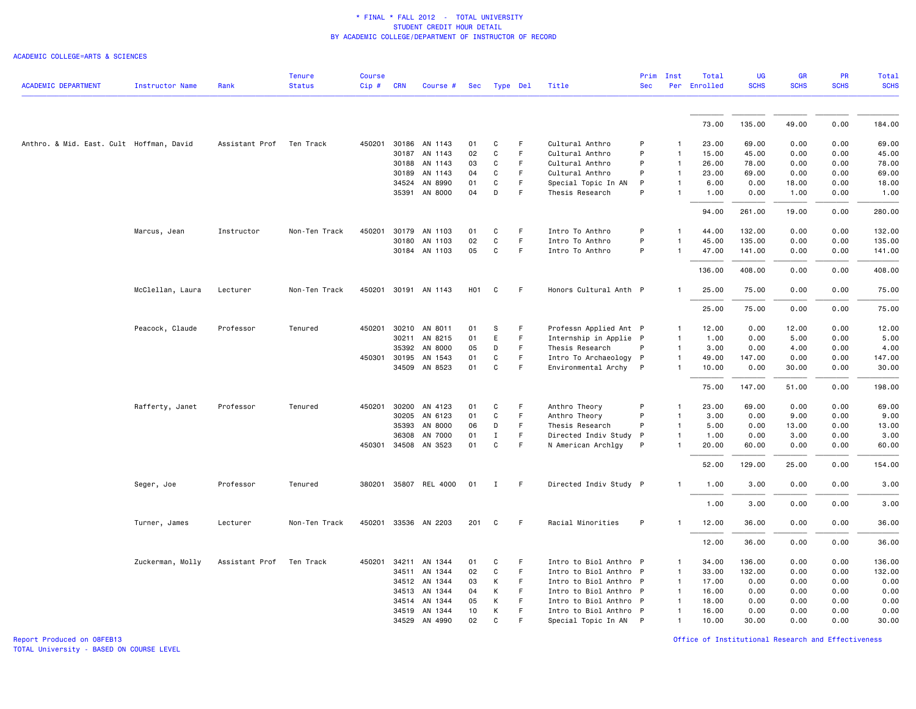#### ACADEMIC COLLEGE=ARTS & SCIENCES

| <b>ACADEMIC DEPARTMENT</b>               | Instructor Name  | Rank           | <b>Tenure</b><br><b>Status</b> | <b>Course</b><br>Cip# | <b>CRN</b>   | Course #              | Sec              |              | Type Del | Title                  | Prim<br><b>Sec</b> | Inst           | Total<br>Per Enrolled | <b>UG</b><br><b>SCHS</b> | GR<br><b>SCHS</b> | PR<br><b>SCHS</b> | <b>Total</b><br><b>SCHS</b> |
|------------------------------------------|------------------|----------------|--------------------------------|-----------------------|--------------|-----------------------|------------------|--------------|----------|------------------------|--------------------|----------------|-----------------------|--------------------------|-------------------|-------------------|-----------------------------|
|                                          |                  |                |                                |                       |              |                       |                  |              |          |                        |                    |                |                       |                          |                   |                   |                             |
|                                          |                  |                |                                |                       |              |                       |                  |              |          |                        |                    |                | 73.00                 | 135.00                   | 49.00             | 0.00              | 184.00                      |
| Anthro. & Mid. East. Cult Hoffman, David |                  | Assistant Prof | Ten Track                      |                       |              | 450201 30186 AN 1143  | 01               | C            | F.       | Cultural Anthro        | P                  | -1             | 23.00                 | 69.00                    | 0.00              | 0.00              | 69.00                       |
|                                          |                  |                |                                |                       |              | 30187 AN 1143         | 02               | C            | F        | Cultural Anthro        | P                  | $\mathbf{1}$   | 15.00                 | 45.00                    | 0.00              | 0.00              | 45.00                       |
|                                          |                  |                |                                |                       | 30188        | AN 1143               | 03               | $\mathtt{C}$ | F.       | Cultural Anthro        | P                  | $\mathbf{1}$   | 26.00                 | 78.00                    | 0.00              | 0.00              | 78.00                       |
|                                          |                  |                |                                |                       | 30189        | AN 1143               | 04               | C            | F.       | Cultural Anthro        | P                  | $\mathbf{1}$   | 23.00                 | 69.00                    | 0.00              | 0.00              | 69.00                       |
|                                          |                  |                |                                |                       | 34524        | AN 8990               | 01               | $\mathbf c$  | F        | Special Topic In AN    | P                  | $\mathbf{1}$   | 6.00                  | 0.00                     | 18.00             | 0.00              | 18.00                       |
|                                          |                  |                |                                |                       |              | 35391 AN 8000         | 04               | D            | F.       | Thesis Research        | P                  | $\mathbf{1}$   | 1.00                  | 0.00                     | 1.00              | 0.00              | 1.00                        |
|                                          |                  |                |                                |                       |              |                       |                  |              |          |                        |                    |                | 94.00                 | 261.00                   | 19.00             | 0.00              | 280.00                      |
|                                          | Marcus, Jean     | Instructor     | Non-Ten Track                  | 450201                |              | 30179 AN 1103         | 01               | C            | F.       | Intro To Anthro        | P                  | $\mathbf{1}$   | 44.00                 | 132.00                   | 0.00              | 0.00              | 132.00                      |
|                                          |                  |                |                                |                       |              | 30180 AN 1103         | 02               | $\mathtt{C}$ | F.       | Intro To Anthro        | P                  |                | 45.00                 | 135.00                   | 0.00              | 0.00              | 135.00                      |
|                                          |                  |                |                                |                       |              | 30184 AN 1103         | 05               | C            | F        | Intro To Anthro        | P                  | $\mathbf{1}$   | 47.00                 | 141.00                   | 0.00              | 0.00              | 141.00                      |
|                                          |                  |                |                                |                       |              |                       |                  |              |          |                        |                    |                | 136.00                | 408.00                   | 0.00              | 0.00              | 408.00                      |
|                                          | McClellan, Laura | Lecturer       | Non-Ten Track                  |                       |              | 450201 30191 AN 1143  | H <sub>0</sub> 1 | C            | F        | Honors Cultural Anth P |                    | $\mathbf{1}$   | 25.00                 | 75.00                    | 0.00              | 0.00              | 75.00                       |
|                                          |                  |                |                                |                       |              |                       |                  |              |          |                        |                    |                | 25.00                 | 75.00                    | 0.00              | 0.00              | 75.00                       |
|                                          | Peacock, Claude  | Professor      | Tenured                        | 450201                | 30210        | AN 8011               | 01               | s            | F.       | Professn Applied Ant P |                    | $\mathbf{1}$   | 12.00                 | 0.00                     | 12.00             | 0.00              | 12.00                       |
|                                          |                  |                |                                |                       | 30211        | AN 8215               | 01               | E            | F        | Internship in Applie P |                    | $\mathbf{1}$   | 1.00                  | 0.00                     | 5.00              | 0.00              | 5.00                        |
|                                          |                  |                |                                |                       | 35392        | AN 8000               | 05               | D            | F        | Thesis Research        | P                  | $\mathbf{1}$   | 3.00                  | 0.00                     | 4.00              | 0.00              | 4.00                        |
|                                          |                  |                |                                |                       | 450301 30195 | AN 1543               | 01               | C            | F.       | Intro To Archaeology P |                    | $\mathbf{1}$   | 49.00                 | 147.00                   | 0.00              | 0.00              | 147.00                      |
|                                          |                  |                |                                |                       |              | 34509 AN 8523         | 01               | C            | F        | Environmental Archy P  |                    | $\mathbf{1}$   | 10.00                 | 0.00                     | 30.00             | 0.00              | 30.00                       |
|                                          |                  |                |                                |                       |              |                       |                  |              |          |                        |                    |                | 75.00                 | 147.00                   | 51.00             | 0.00              | 198.00                      |
|                                          | Rafferty, Janet  | Professor      | Tenured                        |                       |              | 450201 30200 AN 4123  | 01               | C            | F        | Anthro Theory          | P                  | $\mathbf{1}$   | 23.00                 | 69.00                    | 0.00              | 0.00              | 69.00                       |
|                                          |                  |                |                                |                       |              | 30205 AN 6123         | 01               | C            | F        | Anthro Theory          | P                  | $\mathbf{1}$   | 3.00                  | 0.00                     | 9.00              | 0.00              | 9.00                        |
|                                          |                  |                |                                |                       | 35393        | AN 8000               | 06               | D            | F        | Thesis Research        | P                  | $\mathbf{1}$   | 5.00                  | 0.00                     | 13.00             | 0.00              | 13.00                       |
|                                          |                  |                |                                |                       | 36308        | AN 7000               | 01               | $\mathbf I$  | F        | Directed Indiv Study   | P                  | $\mathbf{1}$   | 1.00                  | 0.00                     | 3.00              | 0.00              | 3.00                        |
|                                          |                  |                |                                |                       |              | 450301 34508 AN 3523  | 01               | C            | F.       | N American Archlgy     | P                  | 1              | 20.00                 | 60.00                    | 0.00              | 0.00              | 60.00                       |
|                                          |                  |                |                                |                       |              |                       |                  |              |          |                        |                    |                | 52.00                 | 129.00                   | 25.00             | 0.00              | 154.00                      |
|                                          | Seger, Joe       | Professor      | Tenured                        |                       |              | 380201 35807 REL 4000 | 01               | $\mathbf{I}$ | F.       | Directed Indiv Study P |                    | $\mathbf{1}$   | 1.00                  | 3.00                     | 0.00              | 0.00              | 3.00                        |
|                                          |                  |                |                                |                       |              |                       |                  |              |          |                        |                    |                | 1.00                  | 3.00                     | 0.00              | 0.00              | 3.00                        |
|                                          | Turner, James    | Lecturer       | Non-Ten Track                  |                       |              | 450201 33536 AN 2203  | 201              | C            | F.       | Racial Minorities      | P                  |                | 12.00                 | 36.00                    | 0.00              | 0.00              | 36.00                       |
|                                          |                  |                |                                |                       |              |                       |                  |              |          |                        |                    |                | 12.00                 | 36.00                    | 0.00              | 0.00              | 36.00                       |
|                                          | Zuckerman, Molly | Assistant Prof | Ten Track                      | 450201                | 34211        | AN 1344               | 01               | C            | F        | Intro to Biol Anthro P |                    | 1              | 34.00                 | 136.00                   | 0.00              | 0.00              | 136.00                      |
|                                          |                  |                |                                |                       | 34511        | AN 1344               | 02               | $\mathtt{C}$ | F.       | Intro to Biol Anthro P |                    | $\mathbf{1}$   | 33.00                 | 132.00                   | 0.00              | 0.00              | 132.00                      |
|                                          |                  |                |                                |                       | 34512        | AN 1344               | 03               | К            | F.       | Intro to Biol Anthro P |                    | $\mathbf{1}$   | 17.00                 | 0.00                     | 0.00              | 0.00              | 0.00                        |
|                                          |                  |                |                                |                       | 34513        | AN 1344               | 04               | K            | F        | Intro to Biol Anthro P |                    | $\mathbf{1}$   | 16.00                 | 0.00                     | 0.00              | 0.00              | 0.00                        |
|                                          |                  |                |                                |                       | 34514        | AN 1344               | 05               | К            | F        | Intro to Biol Anthro P |                    | $\mathbf{1}$   | 18.00                 | 0.00                     | 0.00              | 0.00              | 0.00                        |
|                                          |                  |                |                                |                       | 34519        | AN 1344               | 10               | K            | F        | Intro to Biol Anthro P |                    | $\overline{1}$ | 16.00                 | 0.00                     | 0.00              | 0.00              | 0.00                        |
|                                          |                  |                |                                |                       |              | 34529 AN 4990         | 02               | C            | F        | Special Topic In AN P  |                    | $\mathbf{1}$   | 10.00                 | 30.00                    | 0.00              | 0.00              | 30.00                       |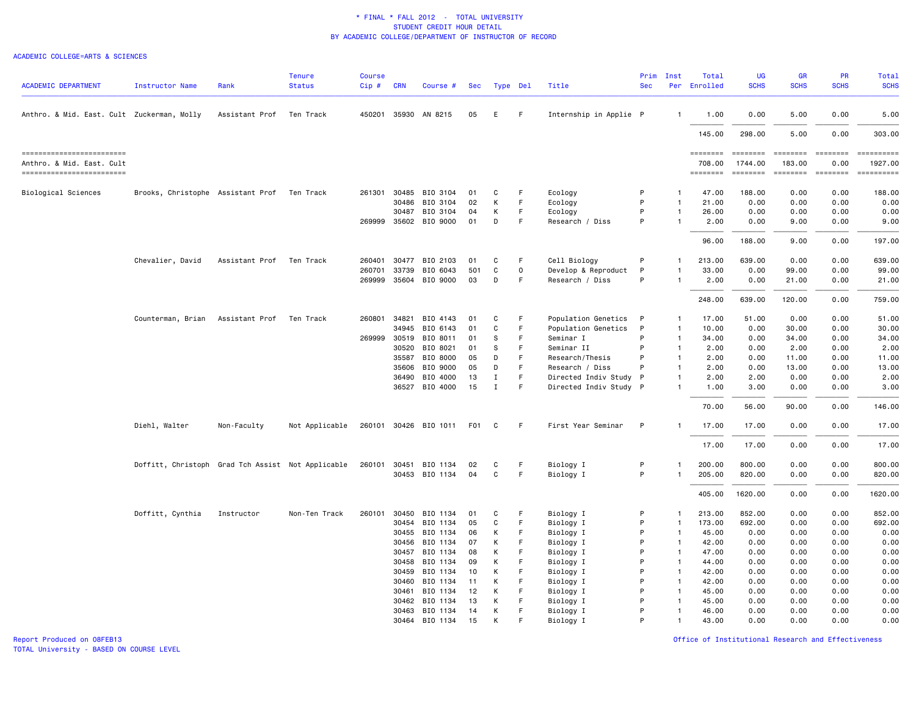#### ACADEMIC COLLEGE=ARTS & SCIENCES

| <b>ACADEMIC DEPARTMENT</b>                                                        | <b>Instructor Name</b>                            | Rank           | <b>Tenure</b><br><b>Status</b> | <b>Course</b><br>Cip# | <b>CRN</b> | Course #              | Sec |             | Type Del | Title                  | Prim<br><b>Sec</b> | Inst           | Total<br>Per Enrolled          | <b>UG</b><br><b>SCHS</b>                                                                                                                                                                                                                                                                                                                                                                                                                                                                                             | GR<br><b>SCHS</b>                     | PR<br><b>SCHS</b>                 | Total<br><b>SCHS</b>                |
|-----------------------------------------------------------------------------------|---------------------------------------------------|----------------|--------------------------------|-----------------------|------------|-----------------------|-----|-------------|----------|------------------------|--------------------|----------------|--------------------------------|----------------------------------------------------------------------------------------------------------------------------------------------------------------------------------------------------------------------------------------------------------------------------------------------------------------------------------------------------------------------------------------------------------------------------------------------------------------------------------------------------------------------|---------------------------------------|-----------------------------------|-------------------------------------|
| Anthro. & Mid. East. Cult Zuckerman, Molly                                        |                                                   | Assistant Prof | Ten Track                      |                       |            | 450201 35930 AN 8215  | 05  | E           | F.       | Internship in Applie P |                    | $\mathbf{1}$   | 1.00                           | 0.00                                                                                                                                                                                                                                                                                                                                                                                                                                                                                                                 | 5.00                                  | 0.00                              | 5.00                                |
|                                                                                   |                                                   |                |                                |                       |            |                       |     |             |          |                        |                    |                | 145.00                         | 298.00                                                                                                                                                                                                                                                                                                                                                                                                                                                                                                               | 5.00                                  | 0.00                              | 303.00                              |
| ------------------------<br>Anthro. & Mid. East. Cult<br>------------------------ |                                                   |                |                                |                       |            |                       |     |             |          |                        |                    |                | ========<br>708,00<br>======== | $\begin{array}{cccccccccc} \multicolumn{2}{c}{} & \multicolumn{2}{c}{} & \multicolumn{2}{c}{} & \multicolumn{2}{c}{} & \multicolumn{2}{c}{} & \multicolumn{2}{c}{} & \multicolumn{2}{c}{} & \multicolumn{2}{c}{} & \multicolumn{2}{c}{} & \multicolumn{2}{c}{} & \multicolumn{2}{c}{} & \multicolumn{2}{c}{} & \multicolumn{2}{c}{} & \multicolumn{2}{c}{} & \multicolumn{2}{c}{} & \multicolumn{2}{c}{} & \multicolumn{2}{c}{} & \multicolumn{2}{c}{} & \multicolumn{2}{c}{} & \mult$<br>1744.00<br><b>EEEEEEEE</b> | ========<br>183,00<br><b>SEBBEBEB</b> | $= 222222222$<br>0.00<br>ESSESSEE | ==========<br>1927.00<br>========== |
|                                                                                   |                                                   |                |                                |                       |            |                       |     |             |          |                        |                    |                |                                |                                                                                                                                                                                                                                                                                                                                                                                                                                                                                                                      |                                       |                                   |                                     |
| Biological Sciences                                                               | Brooks, Christophe Assistant Prof                 |                | Ten Track                      | 261301                |            | 30485 BIO 3104        | 01  | C           | F        | Ecology                | P                  | $\mathbf{1}$   | 47.00                          | 188.00                                                                                                                                                                                                                                                                                                                                                                                                                                                                                                               | 0.00                                  | 0.00                              | 188.00                              |
|                                                                                   |                                                   |                |                                |                       | 30486      | BIO 3104              | 02  | K           | F.       | Ecology                | P                  | $\mathbf{1}$   | 21.00                          | 0.00                                                                                                                                                                                                                                                                                                                                                                                                                                                                                                                 | 0.00                                  | 0.00                              | 0.00                                |
|                                                                                   |                                                   |                |                                |                       | 30487      | BIO 3104              | 04  | К           | F        | Ecology                | P                  | -1             | 26.00                          | 0.00                                                                                                                                                                                                                                                                                                                                                                                                                                                                                                                 | 0.00                                  | 0.00                              | 0.00                                |
|                                                                                   |                                                   |                |                                |                       |            | 269999 35602 BIO 9000 | 01  | D           | F        | Research / Diss        | P                  | $\mathbf{1}$   | 2.00                           | 0.00                                                                                                                                                                                                                                                                                                                                                                                                                                                                                                                 | 9.00                                  | 0.00                              | 9.00                                |
|                                                                                   |                                                   |                |                                |                       |            |                       |     |             |          |                        |                    |                | 96.00                          | 188.00                                                                                                                                                                                                                                                                                                                                                                                                                                                                                                               | 9.00                                  | 0.00                              | 197.00                              |
|                                                                                   | Chevalier, David                                  | Assistant Prof | Ten Track                      | 260401                | 30477      | BIO 2103              | 01  | C           | F        | Cell Biology           | P                  | $\mathbf{1}$   | 213.00                         | 639.00                                                                                                                                                                                                                                                                                                                                                                                                                                                                                                               | 0.00                                  | 0.00                              | 639.00                              |
|                                                                                   |                                                   |                |                                | 260701                | 33739      | BIO 6043              | 501 | C           | 0        | Develop & Reproduct    | P                  |                | 33.00                          | 0.00                                                                                                                                                                                                                                                                                                                                                                                                                                                                                                                 | 99.00                                 | 0.00                              | 99.00                               |
|                                                                                   |                                                   |                |                                |                       |            | 269999 35604 BIO 9000 | 03  | D           | F.       | Research / Diss        | P                  | $\mathbf{1}$   | 2.00                           | 0.00                                                                                                                                                                                                                                                                                                                                                                                                                                                                                                                 | 21.00                                 | 0.00                              | 21.00                               |
|                                                                                   |                                                   |                |                                |                       |            |                       |     |             |          |                        |                    |                | 248.00                         | 639.00                                                                                                                                                                                                                                                                                                                                                                                                                                                                                                               | 120.00                                | 0.00                              | 759.00                              |
|                                                                                   | Counterman, Brian                                 | Assistant Prof | Ten Track                      | 260801                | 34821      | BIO 4143              | 01  | C           | F        | Population Genetics    | P                  | $\mathbf{1}$   | 17.00                          | 51.00                                                                                                                                                                                                                                                                                                                                                                                                                                                                                                                | 0.00                                  | 0.00                              | 51.00                               |
|                                                                                   |                                                   |                |                                |                       | 34945      | BIO 6143              | 01  | C           | F        | Population Genetics    | P                  | $\mathbf{1}$   | 10.00                          | 0.00                                                                                                                                                                                                                                                                                                                                                                                                                                                                                                                 | 30.00                                 | 0.00                              | 30.00                               |
|                                                                                   |                                                   |                |                                | 269999 30519          |            | BIO 8011              | 01  | S           | F        | Seminar I              | P                  | $\mathbf{1}$   | 34.00                          | 0.00                                                                                                                                                                                                                                                                                                                                                                                                                                                                                                                 | 34.00                                 | 0.00                              | 34.00                               |
|                                                                                   |                                                   |                |                                |                       | 30520      | BIO 8021              | 01  | S           | F        | Seminar II             | P                  | $\mathbf{1}$   | 2.00                           | 0.00                                                                                                                                                                                                                                                                                                                                                                                                                                                                                                                 | 2.00                                  | 0.00                              | 2.00                                |
|                                                                                   |                                                   |                |                                |                       | 35587      | BIO 8000              | 05  | D           | F.       | Research/Thesis        | P                  | $\mathbf{1}$   | 2.00                           | 0.00                                                                                                                                                                                                                                                                                                                                                                                                                                                                                                                 | 11.00                                 | 0.00                              | 11.00                               |
|                                                                                   |                                                   |                |                                |                       | 35606      | BIO 9000              | 05  | D           | F        | Research / Diss        | P                  | $\mathbf{1}$   | 2.00                           | 0.00                                                                                                                                                                                                                                                                                                                                                                                                                                                                                                                 | 13.00                                 | 0.00                              | 13.00                               |
|                                                                                   |                                                   |                |                                |                       | 36490      | BIO 4000              | 13  | $\mathbf I$ | F        | Directed Indiv Study P |                    | $\mathbf{1}$   | 2.00                           | 2.00                                                                                                                                                                                                                                                                                                                                                                                                                                                                                                                 | 0.00                                  | 0.00                              | 2.00                                |
|                                                                                   |                                                   |                |                                |                       |            | 36527 BIO 4000        | 15  | $\mathbf I$ | F        | Directed Indiv Study P |                    |                | 1.00                           | 3.00                                                                                                                                                                                                                                                                                                                                                                                                                                                                                                                 | 0.00                                  | 0.00                              | 3.00                                |
|                                                                                   |                                                   |                |                                |                       |            |                       |     |             |          |                        |                    |                | 70.00                          | 56.00                                                                                                                                                                                                                                                                                                                                                                                                                                                                                                                | 90.00                                 | 0.00                              | 146.00                              |
|                                                                                   | Diehl, Walter                                     | Non-Faculty    | Not Applicable                 |                       |            | 260101 30426 BIO 1011 | F01 | C           | F        | First Year Seminar     | P                  |                | 17.00                          | 17.00                                                                                                                                                                                                                                                                                                                                                                                                                                                                                                                | 0.00                                  | 0.00                              | 17.00                               |
|                                                                                   |                                                   |                |                                |                       |            |                       |     |             |          |                        |                    |                | 17.00                          | 17.00                                                                                                                                                                                                                                                                                                                                                                                                                                                                                                                | 0.00                                  | 0.00                              | 17.00                               |
|                                                                                   | Doffitt, Christoph Grad Tch Assist Not Applicable |                |                                |                       |            | 260101 30451 BIO 1134 | 02  | C           | F        | Biology I              | P                  | $\mathbf{1}$   | 200.00                         | 800.00                                                                                                                                                                                                                                                                                                                                                                                                                                                                                                               | 0.00                                  | 0.00                              | 800.00                              |
|                                                                                   |                                                   |                |                                |                       |            | 30453 BIO 1134        | 04  | C           | F.       | Biology I              | P                  | $\mathbf{1}$   | 205.00                         | 820.00                                                                                                                                                                                                                                                                                                                                                                                                                                                                                                               | 0.00                                  | 0.00                              | 820.00                              |
|                                                                                   |                                                   |                |                                |                       |            |                       |     |             |          |                        |                    |                | 405.00                         | 1620.00                                                                                                                                                                                                                                                                                                                                                                                                                                                                                                              | 0.00                                  | 0.00                              | 1620.00                             |
|                                                                                   | Doffitt, Cynthia                                  | Instructor     | Non-Ten Track                  | 260101                | 30450      | BIO 1134              | 01  | C           | F        | Biology I              | P                  | $\mathbf{1}$   | 213.00                         | 852.00                                                                                                                                                                                                                                                                                                                                                                                                                                                                                                               | 0.00                                  | 0.00                              | 852.00                              |
|                                                                                   |                                                   |                |                                |                       | 30454      | BIO 1134              | 05  | C           | F        | Biology I              | P                  | $\mathbf{1}$   | 173.00                         | 692.00                                                                                                                                                                                                                                                                                                                                                                                                                                                                                                               | 0.00                                  | 0.00                              | 692.00                              |
|                                                                                   |                                                   |                |                                |                       | 30455      | BIO 1134              | 06  | К           | F        | Biology I              | P                  | $\overline{1}$ | 45.00                          | 0.00                                                                                                                                                                                                                                                                                                                                                                                                                                                                                                                 | 0.00                                  | 0.00                              | 0.00                                |
|                                                                                   |                                                   |                |                                |                       | 30456      | BIO 1134              | 07  | K           | F        | Biology I              | P                  | $\mathbf{1}$   | 42.00                          | 0.00                                                                                                                                                                                                                                                                                                                                                                                                                                                                                                                 | 0.00                                  | 0.00                              | 0.00                                |
|                                                                                   |                                                   |                |                                |                       | 30457      | BIO 1134              | 08  | К           | F        | Biology I              | P                  | $\mathbf{1}$   | 47.00                          | 0.00                                                                                                                                                                                                                                                                                                                                                                                                                                                                                                                 | 0.00                                  | 0.00                              | 0.00                                |
|                                                                                   |                                                   |                |                                |                       | 30458      | BIO 1134              | 09  | K           | F        | Biology I              | P                  | $\overline{1}$ | 44.00                          | 0.00                                                                                                                                                                                                                                                                                                                                                                                                                                                                                                                 | 0.00                                  | 0.00                              | 0.00                                |
|                                                                                   |                                                   |                |                                |                       | 30459      | BIO 1134              | 10  | К           | F        | Biology I              | P                  | $\mathbf{1}$   | 42.00                          | 0.00                                                                                                                                                                                                                                                                                                                                                                                                                                                                                                                 | 0.00                                  | 0.00                              | 0.00                                |
|                                                                                   |                                                   |                |                                |                       | 30460      | BIO 1134              | 11  | К           | F        | Biology I              | P                  | $\overline{1}$ | 42.00                          | 0.00                                                                                                                                                                                                                                                                                                                                                                                                                                                                                                                 | 0.00                                  | 0.00                              | 0.00                                |
|                                                                                   |                                                   |                |                                |                       | 30461      | BIO 1134              | 12  | K           | E        | Biology I              | P                  | $\mathbf{1}$   | 45.00                          | 0.00                                                                                                                                                                                                                                                                                                                                                                                                                                                                                                                 | 0.00                                  | 0.00                              | 0.00                                |
|                                                                                   |                                                   |                |                                |                       | 30462      | BIO 1134              | 13  | К           | F        | Biology I              | P                  | $\mathbf{1}$   | 45.00                          | 0.00                                                                                                                                                                                                                                                                                                                                                                                                                                                                                                                 | 0.00                                  | 0.00                              | 0.00                                |
|                                                                                   |                                                   |                |                                |                       |            | 30463 BIO 1134        | 14  | K           | F        | Biology I              | P                  | $\mathbf{1}$   | 46.00                          | 0.00                                                                                                                                                                                                                                                                                                                                                                                                                                                                                                                 | 0.00                                  | 0.00                              | 0.00                                |
|                                                                                   |                                                   |                |                                |                       |            | 30464 BIO 1134        | 15  | К           |          | Biology I              | P                  |                | 43.00                          | 0.00                                                                                                                                                                                                                                                                                                                                                                                                                                                                                                                 | 0.00                                  | 0.00                              | 0.00                                |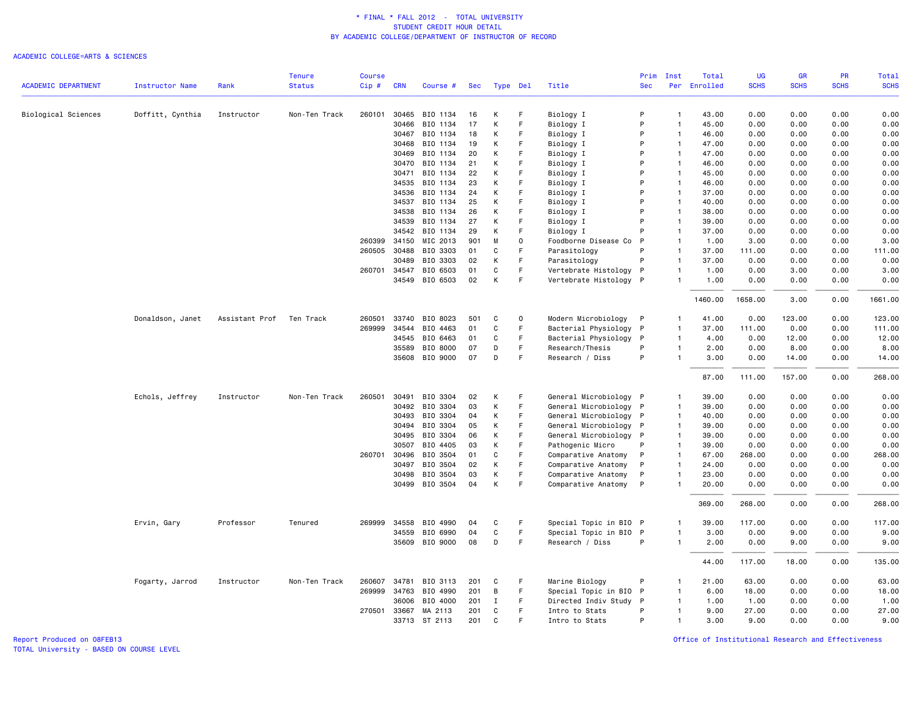#### ACADEMIC COLLEGE=ARTS & SCIENCES

|                            |                        |                          | <b>Tenure</b> | <b>Course</b> |              |                |            |              |          |                        | Prim       | Inst           | Total    | <b>UG</b>   | <b>GR</b>   | PR          | Total       |
|----------------------------|------------------------|--------------------------|---------------|---------------|--------------|----------------|------------|--------------|----------|------------------------|------------|----------------|----------|-------------|-------------|-------------|-------------|
| <b>ACADEMIC DEPARTMENT</b> | <b>Instructor Name</b> | Rank                     | <b>Status</b> | Cip#          | <b>CRN</b>   | Course #       | <b>Sec</b> |              | Type Del | Title                  | <b>Sec</b> | Per            | Enrolled | <b>SCHS</b> | <b>SCHS</b> | <b>SCHS</b> | <b>SCHS</b> |
|                            |                        | Instructor               | Non-Ten Track | 260101        | 30465        | BIO 1134       | 16         | К            | F        |                        | P          | $\mathbf{1}$   | 43.00    | 0.00        | 0.00        | 0.00        | 0.00        |
| Biological Sciences        | Doffitt, Cynthia       |                          |               |               | 30466        | BIO 1134       | 17         | К            | F        | Biology I<br>Biology I | P          | $\overline{1}$ | 45.00    | 0.00        | 0.00        | 0.00        | 0.00        |
|                            |                        |                          |               |               | 30467        | BIO 1134       | 18         | K            | F        | Biology I              | P          | $\overline{1}$ | 46.00    | 0.00        | 0.00        | 0.00        | 0.00        |
|                            |                        |                          |               |               | 30468        | BIO 1134       | 19         | К            | F        | Biology I              | P          | $\overline{1}$ | 47.00    | 0.00        | 0.00        | 0.00        | 0.00        |
|                            |                        |                          |               |               | 30469        | BIO 1134       | 20         | K            |          | Biology I              | P          | $\overline{1}$ | 47.00    | 0.00        | 0.00        | 0.00        | 0.00        |
|                            |                        |                          |               |               | 30470        | BIO 1134       | 21         | К            | F        | Biology I              | P          | $\overline{1}$ | 46.00    | 0.00        | 0.00        | 0.00        | 0.00        |
|                            |                        |                          |               |               | 30471        | BIO 1134       | 22         | К            | F        | Biology I              | P          | $\overline{1}$ | 45.00    | 0.00        | 0.00        | 0.00        | 0.00        |
|                            |                        |                          |               |               | 34535        | BIO 1134       | 23         | К            |          | Biology I              | P          | $\overline{1}$ | 46.00    | 0.00        | 0.00        | 0.00        | 0.00        |
|                            |                        |                          |               |               | 34536        | BIO 1134       | 24         | К            | F        | Biology I              | P          | $\overline{1}$ | 37.00    | 0.00        | 0.00        | 0.00        | 0.00        |
|                            |                        |                          |               |               | 34537        | BIO 1134       | 25         | К            | F        | Biology I              | P          | $\overline{1}$ | 40.00    | 0.00        | 0.00        | 0.00        | 0.00        |
|                            |                        |                          |               |               | 34538        | BIO 1134       | 26         | K            |          | Biology I              | P          | $\overline{1}$ | 38.00    | 0.00        | 0.00        | 0.00        | 0.00        |
|                            |                        |                          |               |               | 34539        | BIO 1134       | 27         | К            | F        | Biology I              | P          | $\overline{1}$ | 39.00    | 0.00        | 0.00        | 0.00        | 0.00        |
|                            |                        |                          |               |               | 34542        | BIO 1134       | 29         | K            | F        | Biology I              | P          | $\overline{1}$ | 37.00    | 0.00        | 0.00        | 0.00        | 0.00        |
|                            |                        |                          |               |               | 260399 34150 | MIC 2013       | 901        | M            | $\circ$  | Foodborne Disease Co   | P          | $\overline{1}$ | 1.00     | 3.00        | 0.00        | 0.00        | 3.00        |
|                            |                        |                          |               | 260505        | 30488        | BIO 3303       | 01         | C            |          | Parasitology           | P          | $\overline{1}$ | 37.00    | 111.00      | 0.00        | 0.00        | 111.00      |
|                            |                        |                          |               |               | 30489        | BIO 3303       | 02         | К            | F        | Parasitology           | P          | $\overline{1}$ | 37.00    | 0.00        | 0.00        | 0.00        | 0.00        |
|                            |                        |                          |               |               | 260701 34547 | BIO 6503       | 01         | C            | F        | Vertebrate Histology   | P          | $\overline{1}$ | 1.00     | 0.00        | 3.00        | 0.00        | 3.00        |
|                            |                        |                          |               |               |              | 34549 BIO 6503 | 02         | К            | F        | Vertebrate Histology P |            | $\mathbf{1}$   | 1.00     | 0.00        | 0.00        | 0.00        | 0.00        |
|                            |                        |                          |               |               |              |                |            |              |          |                        |            |                | 1460.00  | 1658.00     | 3.00        | 0.00        | 1661.00     |
|                            | Donaldson, Janet       | Assistant Prof Ten Track |               | 260501        |              | 33740 BIO 8023 | 501        | C            | $\Omega$ | Modern Microbiology    | P          | $\mathbf{1}$   | 41.00    | 0.00        | 123.00      | 0.00        | 123.00      |
|                            |                        |                          |               | 269999        | 34544        | BIO 4463       | 01         | C            | F        | Bacterial Physiology   | P          | $\mathbf{1}$   | 37.00    | 111.00      | 0.00        | 0.00        | 111.00      |
|                            |                        |                          |               |               | 34545        | BIO 6463       | 01         | C            | F        | Bacterial Physiology   | P          | $\overline{1}$ | 4.00     | 0.00        | 12.00       | 0.00        | 12.00       |
|                            |                        |                          |               |               | 35589        | BIO 8000       | 07         | D            | F        | Research/Thesis        | P          | $\overline{1}$ | 2.00     | 0.00        | 8.00        | 0.00        | 8.00        |
|                            |                        |                          |               |               | 35608        | BIO 9000       | 07         | D            | F        | Research / Diss        | P          | $\overline{1}$ | 3.00     | 0.00        | 14.00       | 0.00        | 14.00       |
|                            |                        |                          |               |               |              |                |            |              |          |                        |            |                | 87.00    | 111.00      | 157.00      | 0.00        | 268.00      |
|                            | Echols, Jeffrey        | Instructor               | Non-Ten Track | 260501        | 30491        | BIO 3304       | 02         | К            | F        | General Microbiology P |            | -1             | 39.00    | 0.00        | 0.00        | 0.00        | 0.00        |
|                            |                        |                          |               |               | 30492        | BIO 3304       | 03         | К            | F        | General Microbiology P |            | $\overline{1}$ | 39.00    | 0.00        | 0.00        | 0.00        | 0.00        |
|                            |                        |                          |               |               | 30493        | BIO 3304       | 04         | К            | F        | General Microbiology   | P          | $\overline{1}$ | 40.00    | 0.00        | 0.00        | 0.00        | 0.00        |
|                            |                        |                          |               |               | 30494        | BIO 3304       | 05         | К            | F        | General Microbiology   | P          | $\overline{1}$ | 39.00    | 0.00        | 0.00        | 0.00        | 0.00        |
|                            |                        |                          |               |               | 30495        | BIO 3304       | 06         | К            | F        | General Microbiology P |            | $\overline{1}$ | 39.00    | 0.00        | 0.00        | 0.00        | 0.00        |
|                            |                        |                          |               |               | 30507        | BIO 4405       | 03         | К            | F        | Pathogenic Micro       | P          | $\overline{1}$ | 39.00    | 0.00        | 0.00        | 0.00        | 0.00        |
|                            |                        |                          |               | 260701        | 30496        | BIO 3504       | 01         | C            | F        | Comparative Anatomy    | P          | $\overline{1}$ | 67.00    | 268.00      | 0.00        | 0.00        | 268.00      |
|                            |                        |                          |               |               | 30497        | BIO 3504       | 02         | К            | F        | Comparative Anatomy    | P          | $\overline{1}$ | 24,00    | 0.00        | 0.00        | 0.00        | 0.00        |
|                            |                        |                          |               |               | 30498        | BIO 3504       | 03         | К            | F        | Comparative Anatomy    | P          | $\overline{1}$ | 23.00    | 0.00        | 0.00        | 0.00        | 0.00        |
|                            |                        |                          |               |               | 30499        | BIO 3504       | 04         | К            | F        | Comparative Anatomy    | P          | -1             | 20.00    | 0.00        | 0.00        | 0.00        | 0.00        |
|                            |                        |                          |               |               |              |                |            |              |          |                        |            |                | 369.00   | 268.00      | 0.00        | 0.00        | 268.00      |
|                            | Ervin, Gary            | Professor                | Tenured       | 269999        | 34558        | BIO 4990       | 04         | C            | F        | Special Topic in BIO P |            | $\mathbf{1}$   | 39.00    | 117.00      | 0.00        | 0.00        | 117.00      |
|                            |                        |                          |               |               | 34559        | BIO 6990       | 04         | $\mathbf C$  | F        | Special Topic in BIO   | P          | $\mathbf{1}$   | 3.00     | 0.00        | 9.00        | 0.00        | 9.00        |
|                            |                        |                          |               |               | 35609        | BIO 9000       | 08         | D            | F        | Research / Diss        | P          | $\overline{1}$ | 2.00     | 0.00        | 9.00        | 0.00        | 9.00        |
|                            |                        |                          |               |               |              |                |            |              |          |                        |            |                | 44.00    | 117.00      | 18.00       | 0.00        | 135.00      |
|                            | Fogarty, Jarrod        | Instructor               | Non-Ten Track | 260607        | 34781        | BIO 3113       | 201        | C            | F        | Marine Biology         | P          | $\mathbf{1}$   | 21.00    | 63,00       | 0.00        | 0.00        | 63.00       |
|                            |                        |                          |               | 269999        | 34763        | BIO 4990       | 201        | B            | F        | Special Topic in BIO   | P          | $\overline{1}$ | 6.00     | 18.00       | 0.00        | 0.00        | 18.00       |
|                            |                        |                          |               |               | 36006        | BIO 4000       | 201        | $\mathbf{I}$ | F        | Directed Indiv Study   | P          | $\overline{1}$ | 1.00     | 1.00        | 0.00        | 0.00        | 1.00        |
|                            |                        |                          |               | 270501        | 33667        | MA 2113        | 201        | C            | F        | Intro to Stats         | P          | $\overline{1}$ | 9.00     | 27.00       | 0.00        | 0.00        | 27.00       |
|                            |                        |                          |               |               |              | 33713 ST 2113  | 201        | C            |          | Intro to Stats         | P          | $\overline{1}$ | 3.00     | 9.00        | 0.00        | 0.00        | 9.00        |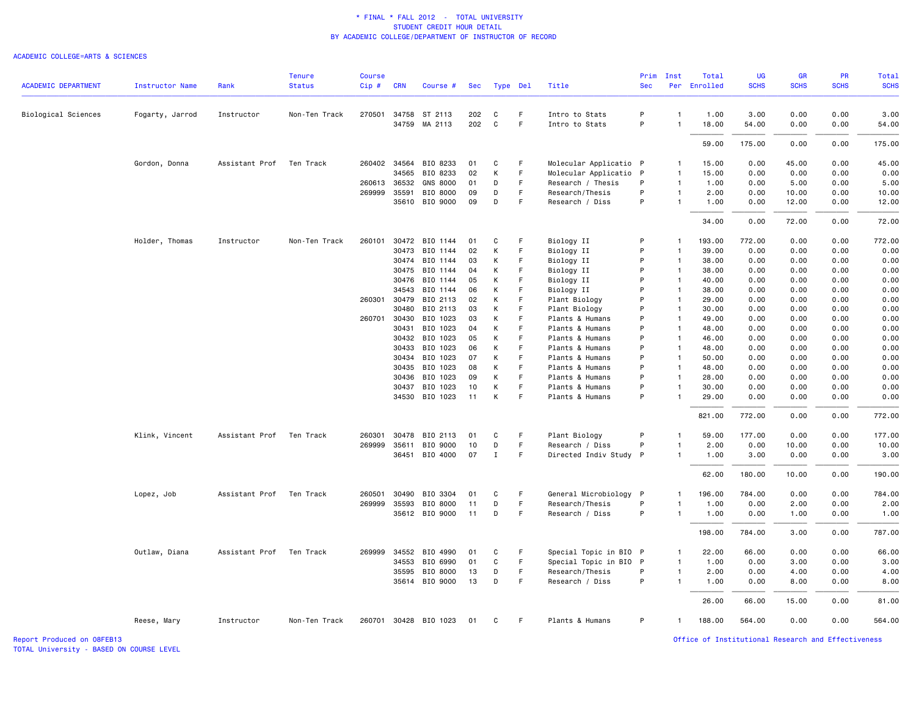#### ACADEMIC COLLEGE=ARTS & SCIENCES

|                            |                 |                | <b>Tenure</b> | <b>Course</b> |              |                       |     |             |             |                        | Prim       | Inst           | Total        | <b>UG</b>   | <b>GR</b>   | <b>PR</b>   | Total       |
|----------------------------|-----------------|----------------|---------------|---------------|--------------|-----------------------|-----|-------------|-------------|------------------------|------------|----------------|--------------|-------------|-------------|-------------|-------------|
| <b>ACADEMIC DEPARTMENT</b> | Instructor Name | Rank           | <b>Status</b> | $Cip$ #       | <b>CRN</b>   | Course #              | Sec | Type Del    |             | Title                  | <b>Sec</b> |                | Per Enrolled | <b>SCHS</b> | <b>SCHS</b> | <b>SCHS</b> | <b>SCHS</b> |
| Biological Sciences        | Fogarty, Jarrod | Instructor     | Non-Ten Track | 270501        | 34758        | ST 2113               | 202 | C           | F.          | Intro to Stats         | P          | $\overline{1}$ | 1.00         | 3.00        | 0.00        | 0.00        | 3.00        |
|                            |                 |                |               |               | 34759        | MA 2113               | 202 | $\mathbf C$ | $\mathsf F$ | Intro to Stats         | P          | $\overline{1}$ | 18.00        | 54.00       | 0.00        | 0.00        | 54.00       |
|                            |                 |                |               |               |              |                       |     |             |             |                        |            |                | 59.00        | 175.00      | 0.00        | 0.00        | 175.00      |
|                            | Gordon, Donna   | Assistant Prof | Ten Track     |               | 260402 34564 | BIO 8233              | 01  | C           | -F          | Molecular Applicatio P |            | $\mathbf{1}$   | 15.00        | 0.00        | 45.00       | 0.00        | 45.00       |
|                            |                 |                |               |               | 34565        | BIO 8233              | 02  | К           | F           | Molecular Applicatio P |            | $\overline{1}$ | 15.00        | 0.00        | 0.00        | 0.00        | 0.00        |
|                            |                 |                |               |               | 260613 36532 | <b>GNS 8000</b>       | 01  | D           | F           | Research / Thesis      | P          | $\mathbf{1}$   | 1.00         | 0.00        | 5.00        | 0.00        | 5.00        |
|                            |                 |                |               |               | 269999 35591 | BIO 8000              | 09  | D           | F           | Research/Thesis        | P          | $\mathbf{1}$   | 2.00         | 0.00        | 10.00       | 0.00        | 10.00       |
|                            |                 |                |               |               | 35610        | BIO 9000              | 09  | D           | F           | Research / Diss        | P          | $\mathbf{1}$   | 1.00         | 0.00        | 12.00       | 0.00        | 12.00       |
|                            |                 |                |               |               |              |                       |     |             |             |                        |            |                | 34.00        | 0.00        | 72.00       | 0.00        | 72.00       |
|                            | Holder, Thomas  | Instructor     | Non-Ten Track | 260101        | 30472        | BIO 1144              | 01  | C           | F           | Biology II             | P          | $\mathbf{1}$   | 193.00       | 772.00      | 0.00        | 0.00        | 772.00      |
|                            |                 |                |               |               | 30473        | BIO 1144              | 02  | К           | F           | Biology II             | P          | $\overline{1}$ | 39.00        | 0.00        | 0.00        | 0.00        | 0.00        |
|                            |                 |                |               |               | 30474        | BIO 1144              | 03  | К           | F           | Biology II             | P          | $\overline{1}$ | 38.00        | 0.00        | 0.00        | 0.00        | 0.00        |
|                            |                 |                |               |               | 30475        | BIO 1144              | 04  | к           | F           | Biology II             | P          | $\overline{1}$ | 38.00        | 0.00        | 0.00        | 0.00        | 0.00        |
|                            |                 |                |               |               | 30476        | BIO 1144              | 05  | К           | F           | Biology II             | P          | $\overline{1}$ | 40.00        | 0.00        | 0.00        | 0.00        | 0.00        |
|                            |                 |                |               |               | 34543        | BIO 1144              | 06  | К           | F           | Biology II             | P          | $\overline{1}$ | 38.00        | 0.00        | 0.00        | 0.00        | 0.00        |
|                            |                 |                |               | 260301        | 30479        | BIO 2113              | 02  | К           | F           | Plant Biology          | P          | $\overline{1}$ | 29.00        | 0.00        | 0.00        | 0.00        | 0.00        |
|                            |                 |                |               |               | 30480        | BIO 2113              | 03  | К           | F           | Plant Biology          | P          | $\overline{1}$ | 30.00        | 0.00        | 0.00        | 0.00        | 0.00        |
|                            |                 |                |               |               | 260701 30430 | BIO 1023              | 03  | К           | F           | Plants & Humans        | P          | $\overline{1}$ | 49.00        | 0.00        | 0.00        | 0.00        | 0.00        |
|                            |                 |                |               |               | 30431        | BIO 1023              | 04  | К           | F           | Plants & Humans        | P          | $\overline{1}$ | 48.00        | 0.00        | 0.00        | 0.00        | 0.00        |
|                            |                 |                |               |               | 30432        | BIO 1023              | 05  | К           | F           | Plants & Humans        | P          | $\overline{1}$ | 46.00        | 0.00        | 0.00        | 0.00        | 0.00        |
|                            |                 |                |               |               | 30433        | BIO 1023              | 06  | К           | F           | Plants & Humans        | P          | $\mathbf{1}$   | 48.00        | 0.00        | 0.00        | 0.00        | 0.00        |
|                            |                 |                |               |               | 30434        | BIO 1023              | 07  | К           | F           | Plants & Humans        | P          | $\overline{1}$ | 50.00        | 0.00        | 0.00        | 0.00        | 0.00        |
|                            |                 |                |               |               | 30435        | BIO 1023              | 08  | К           | F           | Plants & Humans        | P          | $\overline{1}$ | 48.00        | 0.00        | 0.00        | 0.00        | 0.00        |
|                            |                 |                |               |               | 30436        | BIO 1023              | 09  | К           | F           | Plants & Humans        | P          | $\overline{1}$ | 28.00        | 0.00        | 0.00        | 0.00        | 0.00        |
|                            |                 |                |               |               | 30437        | BIO 1023              | 10  | К           | F           | Plants & Humans        | P          | $\mathbf{1}$   | 30.00        | 0.00        | 0.00        | 0.00        | 0.00        |
|                            |                 |                |               |               | 34530        | BIO 1023              | 11  | К           | F           | Plants & Humans        | P          | $\overline{1}$ | 29.00        | 0.00        | 0.00        | 0.00        | 0.00        |
|                            |                 |                |               |               |              |                       |     |             |             |                        |            |                | 821.00       | 772.00      | 0.00        | 0.00        | 772.00      |
|                            | Klink, Vincent  | Assistant Prof | Ten Track     | 260301        | 30478        | BIO 2113              | 01  | C           | F           | Plant Biology          | P          | $\mathbf{1}$   | 59.00        | 177.00      | 0.00        | 0.00        | 177.00      |
|                            |                 |                |               | 269999        | 35611        | BIO 9000              | 10  | D           | F           | Research / Diss        | P          | -1             | 2.00         | 0.00        | 10.00       | 0.00        | 10.00       |
|                            |                 |                |               |               |              | 36451 BIO 4000        | 07  | Ι.          | F           | Directed Indiv Study P |            | $\mathbf{1}$   | 1.00         | 3.00        | 0.00        | 0.00        | 3.00        |
|                            |                 |                |               |               |              |                       |     |             |             |                        |            |                | 62.00        | 180.00      | 10.00       | 0.00        | 190.00      |
|                            | Lopez, Job      | Assistant Prof | Ten Track     | 260501        | 30490        | BIO 3304              | 01  | C           | F.          | General Microbiology P |            | $\mathbf{1}$   | 196.00       | 784.00      | 0.00        | 0.00        | 784.00      |
|                            |                 |                |               |               | 269999 35593 | BIO 8000              | 11  | D           | F           | Research/Thesis        | P          | -1             | 1.00         | 0.00        | 2.00        | 0.00        | 2.00        |
|                            |                 |                |               |               |              | 35612 BIO 9000        | 11  | D           | F           | Research / Diss        | P          | $\mathbf{1}$   | 1.00         | 0.00        | 1.00        | 0.00        | 1.00        |
|                            |                 |                |               |               |              |                       |     |             |             |                        |            |                | 198.00       | 784.00      | 3.00        | 0.00        | 787.00      |
|                            | Outlaw, Diana   | Assistant Prof | Ten Track     |               |              | 269999 34552 BIO 4990 | 01  | C           | F.          | Special Topic in BIO P |            | $\mathbf{1}$   | 22.00        | 66.00       | 0.00        | 0.00        | 66.00       |
|                            |                 |                |               |               | 34553        | BIO 6990              | 01  | C           | F           | Special Topic in BIO P |            | $\mathbf{1}$   | 1.00         | 0.00        | 3.00        | 0.00        | 3.00        |
|                            |                 |                |               |               | 35595        | BIO 8000              | 13  | D           | F           | Research/Thesis        | P          | -1             | 2.00         | 0.00        | 4.00        | 0.00        | 4.00        |
|                            |                 |                |               |               |              | 35614 BIO 9000        | 13  | D           | F           | Research / Diss        | P          | $\mathbf{1}$   | 1.00         | 0.00        | 8.00        | 0.00        | 8.00        |
|                            |                 |                |               |               |              |                       |     |             |             |                        |            |                | 26.00        | 66.00       | 15.00       | 0.00        | 81.00       |
|                            | Reese, Mary     | Instructor     | Non-Ten Track |               |              | 260701 30428 BIO 1023 | 01  | C           | F           | Plants & Humans        | P          | $\mathbf{1}$   | 188.00       | 564.00      | 0.00        | 0.00        | 564.00      |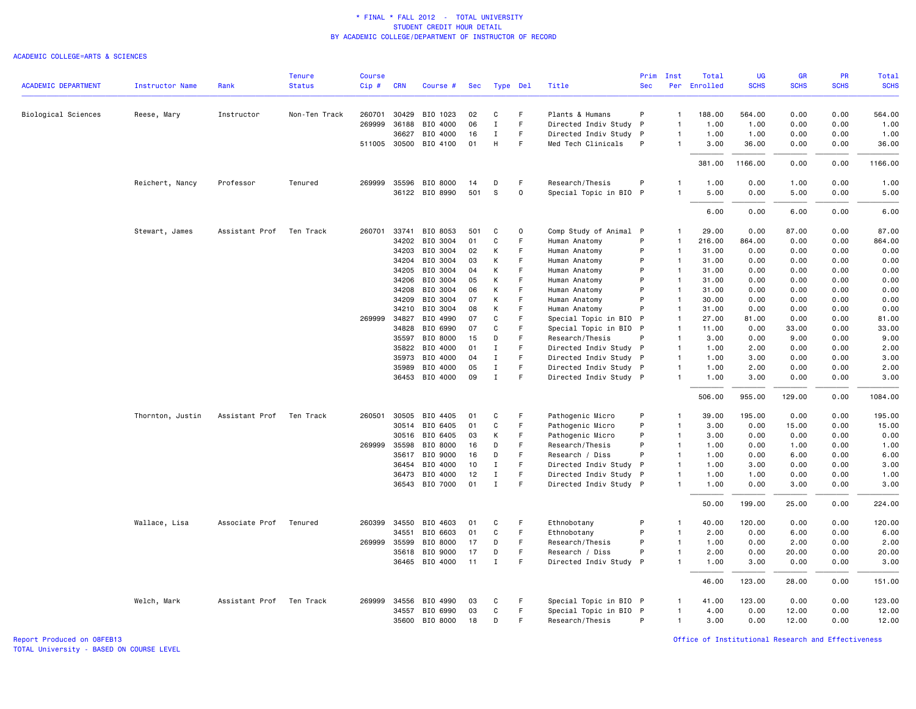#### ACADEMIC COLLEGE=ARTS & SCIENCES

|                            |                        |                | <b>Tenure</b> | <b>Course</b> |                |                       |          |                            |        |                                                  | Prim         | Inst                         | Total        | UG           | <b>GR</b>    | <b>PR</b>    | Total        |
|----------------------------|------------------------|----------------|---------------|---------------|----------------|-----------------------|----------|----------------------------|--------|--------------------------------------------------|--------------|------------------------------|--------------|--------------|--------------|--------------|--------------|
| <b>ACADEMIC DEPARTMENT</b> | <b>Instructor Name</b> | Rank           | <b>Status</b> | Cip#          | <b>CRN</b>     | Course #              | Sec      | Type Del                   |        | Title                                            | <b>Sec</b>   |                              | Per Enrolled | <b>SCHS</b>  | <b>SCHS</b>  | <b>SCHS</b>  | <b>SCHS</b>  |
| Biological Sciences        | Reese, Mary            | Instructor     | Non-Ten Track | 260701        | 30429          | BIO 1023              | 02       | C                          | F.     | Plants & Humans                                  | P            | $\mathbf{1}$                 | 188.00       | 564.00       | 0.00         | 0.00         | 564.00       |
|                            |                        |                |               | 269999        | 36188          | BIO 4000              | 06       | $\mathbf I$                | F      | Directed Indiv Study P                           |              | $\mathbf{1}$                 | 1.00         | 1.00         | 0.00         | 0.00         | 1.00         |
|                            |                        |                |               |               | 36627          | BIO 4000              | 16       | Ι.                         | F      | Directed Indiv Study P                           |              | $\mathbf{1}$                 | 1.00         | 1.00         | 0.00         | 0.00         | 1.00         |
|                            |                        |                |               |               | 511005 30500   | BIO 4100              | 01       | Н                          | F      | Med Tech Clinicals                               | P            | -1                           | 3.00         | 36.00        | 0.00         | 0.00         | 36.00        |
|                            |                        |                |               |               |                |                       |          |                            |        |                                                  |              |                              | 381.00       | 1166.00      | 0.00         | 0.00         | 1166.00      |
|                            | Reichert, Nancy        | Professor      | Tenured       |               |                | 269999 35596 BIO 8000 | 14       | D                          | F      | Research/Thesis                                  | P            | 1                            | 1.00         | 0.00         | 1.00         | 0.00         | 1.00         |
|                            |                        |                |               |               |                | 36122 BIO 8990        | 501      | S                          | 0      | Special Topic in BIO P                           |              | $\mathbf{1}$                 | 5.00         | 0.00         | 5.00         | 0.00         | 5.00         |
|                            |                        |                |               |               |                |                       |          |                            |        |                                                  |              |                              | 6.00         | 0.00         | 6.00         | 0.00         | 6.00         |
|                            | Stewart, James         | Assistant Prof | Ten Track     | 260701        | 33741          | BIO 8053              | 501      | C                          | 0      | Comp Study of Animal P                           |              | $\mathbf{1}$                 | 29.00        | 0.00         | 87.00        | 0.00         | 87.00        |
|                            |                        |                |               |               | 34202          | BIO 3004              | 01       | C                          | F      | Human Anatomy                                    | P            | $\mathbf{1}$                 | 216.00       | 864.00       | 0.00         | 0.00         | 864.00       |
|                            |                        |                |               |               | 34203          | BIO 3004              | 02       | К                          | F      | Human Anatomy                                    | P            | $\mathbf{1}$                 | 31.00        | 0.00         | 0.00         | 0.00         | 0.00         |
|                            |                        |                |               |               | 34204          | BIO 3004              | 03       | К                          | F      | Human Anatomy                                    | P            | $\overline{1}$               | 31.00        | 0.00         | 0.00         | 0.00         | 0.00         |
|                            |                        |                |               |               | 34205          | BIO 3004              | 04       | К                          | F      | Human Anatomy                                    | P            | $\overline{1}$               | 31.00        | 0.00         | 0.00         | 0.00         | 0.00         |
|                            |                        |                |               |               | 34206          | BIO 3004              | 05       | К                          | F      | Human Anatomy                                    | P            | $\mathbf{1}$                 | 31.00        | 0.00         | 0.00         | 0.00         | 0.00         |
|                            |                        |                |               |               | 34208          | BIO 3004              | 06       | К                          | F      | Human Anatomy                                    | P            | $\mathbf{1}$                 | 31.00        | 0.00         | 0.00         | 0.00         | 0.00         |
|                            |                        |                |               |               | 34209          | BIO 3004              | 07       | К                          | F      | Human Anatomy                                    | P            | $\overline{1}$               | 30.00        | 0.00         | 0.00         | 0.00         | 0.00         |
|                            |                        |                |               |               | 34210          | BIO 3004              | 08       | К                          | F      | Human Anatomy                                    | P            | $\mathbf{1}$                 | 31.00        | 0.00         | 0.00         | 0.00         | 0.00         |
|                            |                        |                |               | 269999        | 34827          | BIO 4990              | 07       | C                          | F      | Special Topic in BIO                             | P            | $\overline{1}$               | 27.00        | 81.00        | 0.00         | 0.00         | 81.00        |
|                            |                        |                |               |               | 34828          | BIO 6990              | 07       | $\mathbf{C}$               | F      | Special Topic in BIO P                           |              | $\mathbf{1}$                 | 11.00        | 0.00         | 33.00        | 0.00         | 33.00        |
|                            |                        |                |               |               | 35597          | BIO 8000              | 15       | D                          | F      | Research/Thesis                                  | P            | $\mathbf{1}$                 | 3.00         | 0.00         | 9.00         | 0.00         | 9.00         |
|                            |                        |                |               |               | 35822          | BIO 4000              | 01       | $\mathbf I$                | F      | Directed Indiv Study P                           |              | $\overline{1}$               | 1.00         | 2.00         | 0.00         | 0.00         | 2.00         |
|                            |                        |                |               |               | 35973          | BIO 4000              | 04       | $\mathbf I$                | F      | Directed Indiv Study P                           |              | $\mathbf{1}$                 | 1.00         | 3.00         | 0.00         | 0.00         | 3.00         |
|                            |                        |                |               |               | 35989          | BIO 4000              | 05       | Ι.                         | F      | Directed Indiv Study P                           |              | $\mathbf{1}$                 | 1.00         | 2.00         | 0.00         | 0.00         | 2.00         |
|                            |                        |                |               |               |                | 36453 BIO 4000        | 09       | $\mathbf I$                | E      | Directed Indiv Study P                           |              | $\mathbf{1}$                 | 1.00         | 3.00         | 0.00         | 0.00         | 3.00         |
|                            |                        |                |               |               |                |                       |          |                            |        |                                                  |              |                              | 506.00       | 955.00       | 129.00       | 0.00         | 1084.00      |
|                            | Thornton, Justin       | Assistant Prof | Ten Track     | 260501        | 30505          | BIO 4405              | 01       | C                          | F.     | Pathogenic Micro                                 | P            | $\mathbf{1}$                 | 39.00        | 195.00       | 0.00         | 0.00         | 195.00       |
|                            |                        |                |               |               | 30514          | BIO 6405              | 01       | C                          | F      | Pathogenic Micro                                 | P            | $\mathbf{1}$                 | 3.00         | 0.00         | 15.00        | 0.00         | 15.00        |
|                            |                        |                |               |               | 30516          | BIO 6405              | 03       | К                          | F      | Pathogenic Micro                                 | P            | $\mathbf{1}$                 | 3.00         | 0.00         | 0.00         | 0.00         | 0.00         |
|                            |                        |                |               |               | 269999 35598   | BIO 8000              | 16       | D                          | F      | Research/Thesis                                  | P            | $\overline{1}$               | 1.00         | 0.00         | 1.00         | 0.00         | 1.00         |
|                            |                        |                |               |               | 35617          | BIO 9000              | 16       | D                          | F      | Research / Diss                                  | P            | $\overline{1}$               | 1.00         | 0.00         | 6.00         | 0.00         | 6.00         |
|                            |                        |                |               |               | 36454          | BIO 4000              | 10       | I                          | F      | Directed Indiv Study                             | - P          | $\mathbf{1}$                 | 1.00         | 3.00         | 0.00         | 0.00         | 3.00         |
|                            |                        |                |               |               | 36473<br>36543 | BIO 4000<br>BIO 7000  | 12<br>01 | $\mathbf I$<br>$\mathbf I$ | F<br>F | Directed Indiv Study P<br>Directed Indiv Study P |              | $\mathbf{1}$<br>$\mathbf{1}$ | 1.00<br>1.00 | 1.00<br>0.00 | 0.00<br>3.00 | 0.00<br>0.00 | 1.00<br>3.00 |
|                            |                        |                |               |               |                |                       |          |                            |        |                                                  |              |                              |              |              |              |              |              |
|                            |                        |                |               |               |                |                       |          |                            |        |                                                  |              |                              | 50.00        | 199.00       | 25.00        | 0.00         | 224.00       |
|                            | Wallace, Lisa          | Associate Prof | Tenured       | 260399        | 34550          | BIO 4603              | 01       | C                          | F.     | Ethnobotany                                      | P            | $\mathbf{1}$                 | 40.00        | 120.00       | 0.00         | 0.00         | 120.00       |
|                            |                        |                |               |               | 34551          | BIO 6603              | 01       | C                          | F      | Ethnobotany                                      | P            | $\mathbf{1}$                 | 2.00         | 0.00         | 6.00         | 0.00         | 6.00         |
|                            |                        |                |               |               | 269999 35599   | BIO 8000              | 17       | D                          | F.     | Research/Thesis                                  | P            | $\mathbf{1}$                 | 1.00         | 0.00         | 2.00         | 0.00         | 2.00         |
|                            |                        |                |               |               | 35618          | BIO 9000              | 17       | D                          | F      | Research / Diss                                  | P            | $\mathbf{1}$                 | 2.00         | 0.00         | 20.00        | 0.00         | 20.00        |
|                            |                        |                |               |               |                | 36465 BIO 4000        | 11       | $\mathbf I$                | F      | Directed Indiv Study                             | $\mathsf{P}$ | $\overline{1}$               | 1.00         | 3.00         | 0.00         | 0.00         | 3.00         |
|                            |                        |                |               |               |                |                       |          |                            |        |                                                  |              |                              | 46.00        | 123.00       | 28.00        | 0.00         | 151.00       |
|                            | Welch, Mark            | Assistant Prof | Ten Track     |               | 269999 34556   | BIO 4990              | 03       | C                          | F      | Special Topic in BIO P                           |              | 1                            | 41.00        | 123.00       | 0.00         | 0.00         | 123.00       |
|                            |                        |                |               |               | 34557          | BIO 6990              | 03       | $\mathsf{C}$               | F      | Special Topic in BIO P                           |              | -1                           | 4.00         | 0.00         | 12.00        | 0.00         | 12.00        |
|                            |                        |                |               |               | 35600          | BIO 8000              | 18       | D                          | F      | Research/Thesis                                  | P            | $\mathbf{1}$                 | 3.00         | 0.00         | 12.00        | 0.00         | 12.00        |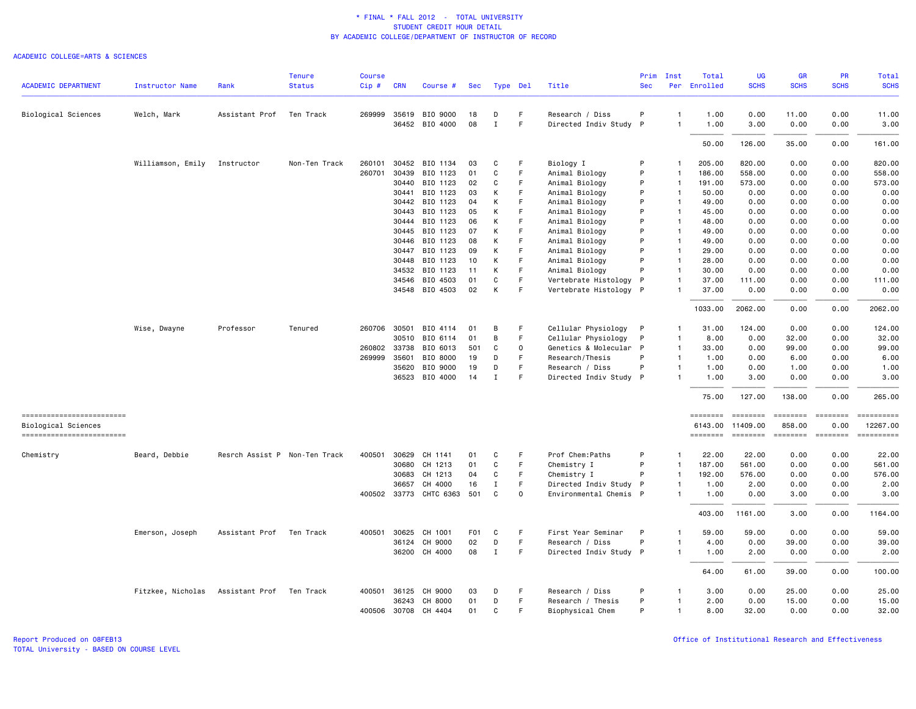| <b>ACADEMIC DEPARTMENT</b> |                        |                               | <b>Tenure</b><br><b>Status</b> | <b>Course</b> |              |                      |                  |             |             | Title                  | Prim<br><b>Sec</b> | Inst           | Total<br>Per Enrolled | UG<br><b>SCHS</b>                                                                                                                                                                                                                                                                                                                                                                                                                                                                                                     | GR<br><b>SCHS</b> | PR<br><b>SCHS</b>                                                       | Total<br><b>SCHS</b> |
|----------------------------|------------------------|-------------------------------|--------------------------------|---------------|--------------|----------------------|------------------|-------------|-------------|------------------------|--------------------|----------------|-----------------------|-----------------------------------------------------------------------------------------------------------------------------------------------------------------------------------------------------------------------------------------------------------------------------------------------------------------------------------------------------------------------------------------------------------------------------------------------------------------------------------------------------------------------|-------------------|-------------------------------------------------------------------------|----------------------|
|                            | <b>Instructor Name</b> | Rank                          |                                | Cip#          | <b>CRN</b>   | Course #             | Sec              | Type Del    |             |                        |                    |                |                       |                                                                                                                                                                                                                                                                                                                                                                                                                                                                                                                       |                   |                                                                         |                      |
| Biological Sciences        | Welch, Mark            | Assistant Prof                | Ten Track                      |               | 269999 35619 | BIO 9000             | 18               | D           | F           | Research / Diss        | P                  | -1             | 1.00                  | 0.00                                                                                                                                                                                                                                                                                                                                                                                                                                                                                                                  | 11.00             | 0.00                                                                    | 11.00                |
|                            |                        |                               |                                |               |              | 36452 BIO 4000       | 08               | $\mathbf I$ | F.          | Directed Indiv Study P |                    | $\mathbf{1}$   | 1.00                  | 3.00                                                                                                                                                                                                                                                                                                                                                                                                                                                                                                                  | 0.00              | 0.00                                                                    | 3.00                 |
|                            |                        |                               |                                |               |              |                      |                  |             |             |                        |                    |                | 50.00                 | 126.00                                                                                                                                                                                                                                                                                                                                                                                                                                                                                                                | 35.00             | 0.00                                                                    | 161.00               |
|                            | Williamson, Emily      | Instructor                    | Non-Ten Track                  | 260101        | 30452        | BIO 1134             | 03               | C           | F           | Biology I              | P                  | $\mathbf{1}$   | 205.00                | 820.00                                                                                                                                                                                                                                                                                                                                                                                                                                                                                                                | 0.00              | 0.00                                                                    | 820.00               |
|                            |                        |                               |                                | 260701        | 30439        | BIO 1123             | 01               | C           | F           | Animal Biology         | P                  | $\mathbf{1}$   | 186.00                | 558.00                                                                                                                                                                                                                                                                                                                                                                                                                                                                                                                | 0.00              | 0.00                                                                    | 558.00               |
|                            |                        |                               |                                |               | 30440        | BIO 1123             | 02               | C           | F           | Animal Biology         | P                  | $\mathbf{1}$   | 191.00                | 573.00                                                                                                                                                                                                                                                                                                                                                                                                                                                                                                                | 0.00              | 0.00                                                                    | 573.00               |
|                            |                        |                               |                                |               | 30441        | BIO 1123             | 03               | К           | F           | Animal Biology         | P                  | $\overline{1}$ | 50.00                 | 0.00                                                                                                                                                                                                                                                                                                                                                                                                                                                                                                                  | 0.00              | 0.00                                                                    | 0.00                 |
|                            |                        |                               |                                |               | 30442        | BIO 1123             | 04               | К           | F           | Animal Biology         | P                  | $\mathbf{1}$   | 49.00                 | 0.00                                                                                                                                                                                                                                                                                                                                                                                                                                                                                                                  | 0.00              | 0.00                                                                    | 0.00                 |
|                            |                        |                               |                                |               | 30443        | BIO 1123             | 05               | К           | F           | Animal Biology         | P                  | $\mathbf{1}$   | 45.00                 | 0.00                                                                                                                                                                                                                                                                                                                                                                                                                                                                                                                  | 0.00              | 0.00                                                                    | 0.00                 |
|                            |                        |                               |                                |               | 30444        | BIO 1123             | 06               | К           | F           | Animal Biology         | P                  | $\mathbf{1}$   | 48.00                 | 0.00                                                                                                                                                                                                                                                                                                                                                                                                                                                                                                                  | 0.00              | 0.00                                                                    | 0.00                 |
|                            |                        |                               |                                |               | 30445        | BIO 1123             | 07               | К           | F           | Animal Biology         | P                  | $\overline{1}$ | 49.00                 | 0.00                                                                                                                                                                                                                                                                                                                                                                                                                                                                                                                  | 0.00              | 0.00                                                                    | 0.00                 |
|                            |                        |                               |                                |               | 30446        | BIO 1123             | 08               | К           | F           | Animal Biology         | P                  | $\overline{1}$ | 49.00                 | 0.00                                                                                                                                                                                                                                                                                                                                                                                                                                                                                                                  | 0.00              | 0.00                                                                    | 0.00                 |
|                            |                        |                               |                                |               | 30447        | BIO 1123             | 09               | К           | F           | Animal Biology         | P                  | $\overline{1}$ | 29.00                 | 0.00                                                                                                                                                                                                                                                                                                                                                                                                                                                                                                                  | 0.00              | 0.00                                                                    | 0.00                 |
|                            |                        |                               |                                |               | 30448        | BIO 1123             | 10               | К           | E           | Animal Biology         | P                  | $\mathbf{1}$   | 28.00                 | 0.00                                                                                                                                                                                                                                                                                                                                                                                                                                                                                                                  | 0.00              | 0.00                                                                    | 0.00                 |
|                            |                        |                               |                                |               | 34532        | BIO 1123             | 11               | К           | F           | Animal Biology         | P                  | $\mathbf{1}$   | 30.00                 | 0.00                                                                                                                                                                                                                                                                                                                                                                                                                                                                                                                  | 0.00              | 0.00                                                                    | 0.00                 |
|                            |                        |                               |                                |               | 34546        | BIO 4503             | 01               | $\mathbf C$ | F           | Vertebrate Histology   | $\mathsf{P}$       | $\overline{1}$ | 37.00                 | 111.00                                                                                                                                                                                                                                                                                                                                                                                                                                                                                                                | 0.00              | 0.00                                                                    | 111.00               |
|                            |                        |                               |                                |               |              | 34548 BIO 4503       | 02               | К           | F.          | Vertebrate Histology P |                    |                | 37.00                 | 0.00                                                                                                                                                                                                                                                                                                                                                                                                                                                                                                                  | 0.00              | 0.00                                                                    | 0.00                 |
|                            |                        |                               |                                |               |              |                      |                  |             |             |                        |                    |                | 1033.00               | 2062.00                                                                                                                                                                                                                                                                                                                                                                                                                                                                                                               | 0.00              | 0.00                                                                    | 2062.00              |
|                            | Wise, Dwayne           | Professor                     | Tenured                        |               | 260706 30501 | BIO 4114             | 01               | B           | F           | Cellular Physiology    | $\mathsf{P}$       | -1             | 31.00                 | 124.00                                                                                                                                                                                                                                                                                                                                                                                                                                                                                                                | 0.00              | 0.00                                                                    | 124.00               |
|                            |                        |                               |                                |               | 30510        | BIO 6114             | 01               | В           | F           | Cellular Physiology    | P                  | $\mathbf{1}$   | 8.00                  | 0.00                                                                                                                                                                                                                                                                                                                                                                                                                                                                                                                  | 32.00             | 0.00                                                                    | 32.00                |
|                            |                        |                               |                                | 260802        | 33738        | BIO 6013             | 501              | C           | 0           | Genetics & Molecular   | $\mathsf{P}$       | $\mathbf{1}$   | 33.00                 | 0.00                                                                                                                                                                                                                                                                                                                                                                                                                                                                                                                  | 99.00             | 0.00                                                                    | 99.00                |
|                            |                        |                               |                                |               | 269999 35601 | BIO 8000             | 19               | D           | F           | Research/Thesis        | P                  | $\mathbf{1}$   | 1.00                  | 0.00                                                                                                                                                                                                                                                                                                                                                                                                                                                                                                                  | 6.00              | 0.00                                                                    | 6.00                 |
|                            |                        |                               |                                |               | 35620        | BIO 9000             | 19               | D           | F           | Research / Diss        | P                  | $\mathbf{1}$   | 1.00                  | 0.00                                                                                                                                                                                                                                                                                                                                                                                                                                                                                                                  | 1.00              | 0.00                                                                    | 1.00                 |
|                            |                        |                               |                                |               | 36523        | BIO 4000             | 14               | Ι.          | F           | Directed Indiv Study P |                    | -1             | 1.00                  | 3.00                                                                                                                                                                                                                                                                                                                                                                                                                                                                                                                  | 0.00              | 0.00                                                                    | 3.00                 |
|                            |                        |                               |                                |               |              |                      |                  |             |             |                        |                    |                | 75.00                 | 127.00                                                                                                                                                                                                                                                                                                                                                                                                                                                                                                                | 138.00            | 0.00                                                                    | 265.00               |
| -------------------------  |                        |                               |                                |               |              |                      |                  |             |             |                        |                    |                | $=$ = = = = = = =     | $\begin{array}{c} \multicolumn{3}{c} {\color{blue} \textbf{2}} & \multicolumn{3}{c} {\color{blue} \textbf{3}} \\ \multicolumn{3}{c} {\color{blue} \textbf{4}} & \multicolumn{3}{c} {\color{blue} \textbf{5}} \\ \multicolumn{3}{c} {\color{blue} \textbf{5}} & \multicolumn{3}{c} {\color{blue} \textbf{6}} \\ \multicolumn{3}{c} {\color{blue} \textbf{6}} & \multicolumn{3}{c} {\color{blue} \textbf{6}} \\ \multicolumn{3}{c} {\color{blue} \textbf{6}} & \multicolumn{3}{c} {\color{blue} \textbf{7}} \\ \multic$ | ========          | $= 122222222$                                                           |                      |
| Biological Sciences        |                        |                               |                                |               |              |                      |                  |             |             |                        |                    |                | 6143.00               | 11409.00                                                                                                                                                                                                                                                                                                                                                                                                                                                                                                              | 858.00            | 0.00                                                                    | 12267.00             |
| -------------------------  |                        |                               |                                |               |              |                      |                  |             |             |                        |                    |                | ========              | <b>CODEDDE</b>                                                                                                                                                                                                                                                                                                                                                                                                                                                                                                        | <b>SEEBEEBE</b>   | $\qquad \qquad \equiv \equiv \equiv \equiv \equiv \equiv \equiv \equiv$ | $= 22222222222$      |
| Chemistry                  | Beard, Debbie          | Resrch Assist P Non-Ten Track |                                | 400501        | 30629        | CH 1141              | 01               | C           | F           | Prof Chem: Paths       | P                  | 1              | 22.00                 | 22.00                                                                                                                                                                                                                                                                                                                                                                                                                                                                                                                 | 0.00              | 0.00                                                                    | 22.00                |
|                            |                        |                               |                                |               | 30680        | CH 1213              | 01               | C           | F           | Chemistry I            | P                  | $\mathbf{1}$   | 187.00                | 561.00                                                                                                                                                                                                                                                                                                                                                                                                                                                                                                                | 0.00              | 0.00                                                                    | 561.00               |
|                            |                        |                               |                                |               | 30683        | CH 1213              | 04               | C           | F           | Chemistry I            | P                  | $\mathbf{1}$   | 192.00                | 576.00                                                                                                                                                                                                                                                                                                                                                                                                                                                                                                                | 0.00              | 0.00                                                                    | 576.00               |
|                            |                        |                               |                                |               | 36657        | CH 4000              | 16               | Ι.          | F.          | Directed Indiv Study   | - P                | $\mathbf{1}$   | 1.00                  | 2.00                                                                                                                                                                                                                                                                                                                                                                                                                                                                                                                  | 0.00              | 0.00                                                                    | 2.00                 |
|                            |                        |                               |                                |               | 400502 33773 | CHTC 6363            | 501              | C           | $\Omega$    | Environmental Chemis P |                    | -1             | 1.00                  | 0.00                                                                                                                                                                                                                                                                                                                                                                                                                                                                                                                  | 3.00              | 0.00                                                                    | 3.00                 |
|                            |                        |                               |                                |               |              |                      |                  |             |             |                        |                    |                | 403.00                | 1161.00                                                                                                                                                                                                                                                                                                                                                                                                                                                                                                               | 3.00              | 0.00                                                                    | 1164.00              |
|                            | Emerson, Joseph        | Assistant Prof                | Ten Track                      | 400501        | 30625        | CH 1001              | F <sub>0</sub> 1 | C           | F.          | First Year Seminar     | P                  | $\mathbf{1}$   | 59.00                 | 59.00                                                                                                                                                                                                                                                                                                                                                                                                                                                                                                                 | 0.00              | 0.00                                                                    | 59.00                |
|                            |                        |                               |                                |               | 36124        | CH 9000              | 02               | D           | $\mathsf F$ | Research / Diss        | P                  | $\overline{1}$ | 4.00                  | 0.00                                                                                                                                                                                                                                                                                                                                                                                                                                                                                                                  | 39.00             | 0.00                                                                    | 39.00                |
|                            |                        |                               |                                |               | 36200        | CH 4000              | 08               | $\mathbf I$ | F           | Directed Indiv Study P |                    | $\overline{1}$ | 1.00                  | 2.00                                                                                                                                                                                                                                                                                                                                                                                                                                                                                                                  | 0.00              | 0.00                                                                    | 2.00                 |
|                            |                        |                               |                                |               |              |                      |                  |             |             |                        |                    |                | 64.00                 | 61.00                                                                                                                                                                                                                                                                                                                                                                                                                                                                                                                 | 39.00             | 0.00                                                                    | 100.00               |
|                            | Fitzkee, Nicholas      | Assistant Prof                | Ten Track                      | 400501        | 36125        | CH 9000              | 03               | D           | -F          | Research / Diss        | P                  | $\mathbf{1}$   | 3.00                  | 0.00                                                                                                                                                                                                                                                                                                                                                                                                                                                                                                                  | 25.00             | 0.00                                                                    | 25.00                |
|                            |                        |                               |                                |               | 36243        | CH 8000              | 01               | D           | F.          | Research / Thesis      | P                  | $\mathbf{1}$   | 2.00                  | 0.00                                                                                                                                                                                                                                                                                                                                                                                                                                                                                                                  | 15.00             | 0.00                                                                    | 15.00                |
|                            |                        |                               |                                |               |              | 400506 30708 CH 4404 | 01               | C           | F           | Biophysical Chem       | P                  | $\mathbf{1}$   | 8.00                  | 32.00                                                                                                                                                                                                                                                                                                                                                                                                                                                                                                                 | 0.00              | 0.00                                                                    | 32.00                |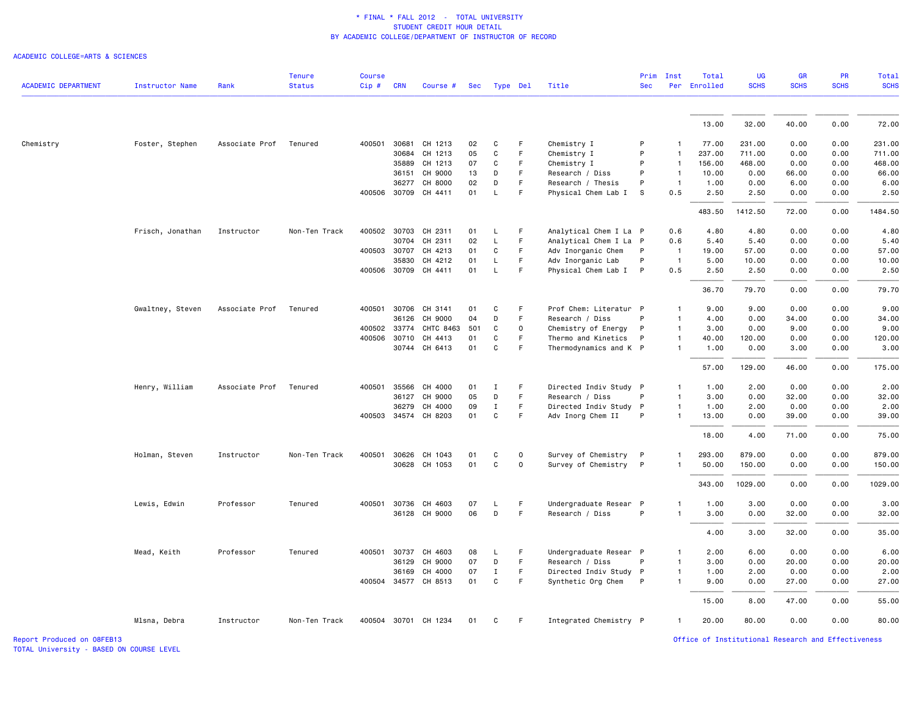#### ACADEMIC COLLEGE=ARTS & SCIENCES

| <b>ACADEMIC DEPARTMENT</b> | Instructor Name  | Rank           | <b>Tenure</b><br><b>Status</b> | <b>Course</b><br>Cip# | <b>CRN</b>   | Course #             | Sec |              | Type Del    | Title                  | Prim<br><b>Sec</b> | Inst           | Total<br>Per Enrolled | <b>UG</b><br><b>SCHS</b> | GR<br><b>SCHS</b> | PR<br><b>SCHS</b> | <b>Total</b><br><b>SCHS</b> |
|----------------------------|------------------|----------------|--------------------------------|-----------------------|--------------|----------------------|-----|--------------|-------------|------------------------|--------------------|----------------|-----------------------|--------------------------|-------------------|-------------------|-----------------------------|
|                            |                  |                |                                |                       |              |                      |     |              |             |                        |                    |                |                       |                          |                   |                   |                             |
|                            |                  |                |                                |                       |              |                      |     |              |             |                        |                    |                | 13.00                 | 32.00                    | 40.00             | 0.00              | 72.00                       |
| Chemistry                  | Foster, Stephen  | Associate Prof | Tenured                        | 400501                | 30681        | CH 1213              | 02  | C            | F           | Chemistry I            | P                  |                | 77.00                 | 231.00                   | 0.00              | 0.00              | 231.00                      |
|                            |                  |                |                                |                       | 30684        | CH 1213              | 05  | $\mathbf c$  | F           | Chemistry I            | P                  | $\mathbf{1}$   | 237.00                | 711.00                   | 0.00              | 0.00              | 711.00                      |
|                            |                  |                |                                |                       | 35889        | CH 1213              | 07  | C            | F           | Chemistry I            | P                  | $\mathbf{1}$   | 156.00                | 468.00                   | 0.00              | 0.00              | 468.00                      |
|                            |                  |                |                                |                       | 36151        | CH 9000              | 13  | D            | F.          | Research / Diss        | P                  | $\mathbf{1}$   | 10.00                 | 0.00                     | 66.00             | 0.00              | 66.00                       |
|                            |                  |                |                                |                       | 36277        | CH 8000              | 02  | D            | F           | Research / Thesis      | P                  | $\overline{1}$ | 1.00                  | 0.00                     | 6.00              | 0.00              | 6.00                        |
|                            |                  |                |                                |                       |              | 400506 30709 CH 4411 | 01  | L            | F.          | Physical Chem Lab I    | s                  | 0.5            | 2.50                  | 2.50                     | 0.00              | 0.00              | 2.50                        |
|                            |                  |                |                                |                       |              |                      |     |              |             |                        |                    |                | 483.50                | 1412.50                  | 72.00             | 0.00              | 1484.50                     |
|                            | Frisch, Jonathan | Instructor     | Non-Ten Track                  |                       | 400502 30703 | CH 2311              | 01  | L            | F           | Analytical Chem I La P |                    | 0.6            | 4.80                  | 4.80                     | 0.00              | 0.00              | 4.80                        |
|                            |                  |                |                                |                       | 30704        | CH 2311              | 02  | L            | F.          | Analytical Chem I La P |                    | 0.6            | 5.40                  | 5.40                     | 0.00              | 0.00              | 5.40                        |
|                            |                  |                |                                |                       | 400503 30707 | CH 4213              | 01  | C            | F           | Adv Inorganic Chem     | P                  | $\overline{1}$ | 19.00                 | 57.00                    | 0.00              | 0.00              | 57.00                       |
|                            |                  |                |                                |                       | 35830        | CH 4212              | 01  | $\mathsf L$  | F.          | Adv Inorganic Lab      | P                  | $\overline{1}$ | 5.00                  | 10.00                    | 0.00              | 0.00              | 10.00                       |
|                            |                  |                |                                |                       | 400506 30709 | CH 4411              | 01  | L.           | F           | Physical Chem Lab I    | $\mathsf{P}$       | 0.5            | 2.50                  | 2.50                     | 0.00              | 0.00              | 2.50                        |
|                            |                  |                |                                |                       |              |                      |     |              |             |                        |                    |                | 36.70                 | 79.70                    | 0.00              | 0.00              | 79.70                       |
|                            | Gwaltney, Steven | Associate Prof | Tenured                        |                       | 400501 30706 | CH 3141              | 01  | C            | F           | Prof Chem: Literatur P |                    | $\mathbf{1}$   | 9.00                  | 9.00                     | 0.00              | 0.00              | 9.00                        |
|                            |                  |                |                                |                       | 36126        | CH 9000              | 04  | D            | F.          | Research / Diss        | P                  | $\mathbf{1}$   | 4.00                  | 0.00                     | 34.00             | 0.00              | 34.00                       |
|                            |                  |                |                                |                       | 400502 33774 | CHTC 8463            | 501 | C            | $\mathbf 0$ | Chemistry of Energy    | P                  | $\overline{1}$ | 3.00                  | 0.00                     | 9.00              | 0.00              | 9.00                        |
|                            |                  |                |                                |                       | 400506 30710 | CH 4413              | 01  | C            | F.          | Thermo and Kinetics    | P                  | $\mathbf{1}$   | 40.00                 | 120.00                   | 0.00              | 0.00              | 120.00                      |
|                            |                  |                |                                |                       |              | 30744 CH 6413        | 01  | $\mathtt{C}$ | F           | Thermodynamics and K P |                    | $\mathbf{1}$   | 1.00                  | 0.00                     | 3.00              | 0.00              | 3.00                        |
|                            |                  |                |                                |                       |              |                      |     |              |             |                        |                    |                | 57.00                 | 129.00                   | 46.00             | 0.00              | 175.00                      |
|                            | Henry, William   | Associate Prof | Tenured                        |                       | 400501 35566 | CH 4000              | 01  | <b>I</b>     | F           | Directed Indiv Study P |                    | $\mathbf{1}$   | 1.00                  | 2.00                     | 0.00              | 0.00              | 2.00                        |
|                            |                  |                |                                |                       | 36127        | CH 9000              | 05  | D            | F           | Research / Diss        | P                  | $\mathbf{1}$   | 3.00                  | 0.00                     | 32.00             | 0.00              | 32.00                       |
|                            |                  |                |                                |                       | 36279        | CH 4000              | 09  | $\mathbf I$  | F           | Directed Indiv Study P |                    | $\mathbf{1}$   | 1.00                  | 2.00                     | 0.00              | 0.00              | 2.00                        |
|                            |                  |                |                                |                       |              | 400503 34574 CH 8203 | 01  | C            | F           | Adv Inorg Chem II      | P                  | 1              | 13.00                 | 0.00                     | 39.00             | 0.00              | 39.00                       |
|                            |                  |                |                                |                       |              |                      |     |              |             |                        |                    |                | 18.00                 | 4.00                     | 71.00             | 0.00              | 75.00                       |
|                            | Holman, Steven   | Instructor     | Non-Ten Track                  |                       |              | 400501 30626 CH 1043 | 01  | C            | $\mathbf 0$ | Survey of Chemistry    | $\mathsf{P}$       | $\mathbf{1}$   | 293.00                | 879.00                   | 0.00              | 0.00              | 879.00                      |
|                            |                  |                |                                |                       |              | 30628 CH 1053        | 01  | C            | 0           | Survey of Chemistry P  |                    |                | 50.00                 | 150.00                   | 0.00              | 0.00              | 150.00                      |
|                            |                  |                |                                |                       |              |                      |     |              |             |                        |                    |                |                       |                          |                   |                   |                             |
|                            |                  |                |                                |                       |              |                      |     |              |             |                        |                    |                | 343.00                | 1029.00                  | 0.00              | 0.00              | 1029.00                     |
|                            | Lewis, Edwin     | Professor      | Tenured                        |                       | 400501 30736 | CH 4603              | 07  | L            | F           | Undergraduate Resear P |                    | $\mathbf{1}$   | 1.00                  | 3.00                     | 0.00              | 0.00              | 3.00                        |
|                            |                  |                |                                |                       |              | 36128 CH 9000        | 06  | D            | F           | Research / Diss        | P                  | $\mathbf{1}$   | 3.00                  | 0.00                     | 32.00             | 0.00              | 32.00                       |
|                            |                  |                |                                |                       |              |                      |     |              |             |                        |                    |                | 4.00                  | 3.00                     | 32.00             | 0.00              | 35.00                       |
|                            | Mead, Keith      | Professor      | Tenured                        | 400501                | 30737        | CH 4603              | 08  | L            | F           | Undergraduate Resear P |                    | $\mathbf{1}$   | 2.00                  | 6.00                     | 0.00              | 0.00              | 6.00                        |
|                            |                  |                |                                |                       | 36129        | CH 9000              | 07  | D            | F.          | Research / Diss        | P                  | 1              | 3.00                  | 0.00                     | 20.00             | 0.00              | 20.00                       |
|                            |                  |                |                                |                       | 36169        | CH 4000              | 07  | $\mathbf I$  | F           | Directed Indiv Study P |                    | $\mathbf{1}$   | 1.00                  | 2.00                     | 0.00              | 0.00              | 2.00                        |
|                            |                  |                |                                |                       |              | 400504 34577 CH 8513 | 01  | $\mathtt{C}$ | F.          | Synthetic Org Chem     | P                  | $\mathbf{1}$   | 9.00                  | 0.00                     | 27.00             | 0.00              | 27.00                       |
|                            |                  |                |                                |                       |              |                      |     |              |             |                        |                    |                | 15.00                 | 8,00                     | 47.00             | 0.00              | 55.00                       |
|                            | Mlsna, Debra     | Instructor     | Non-Ten Track                  |                       |              | 400504 30701 CH 1234 | 01  | C            | F.          | Integrated Chemistry P |                    | 1              | 20.00                 | 80.00                    | 0.00              | 0.00              | 80.00                       |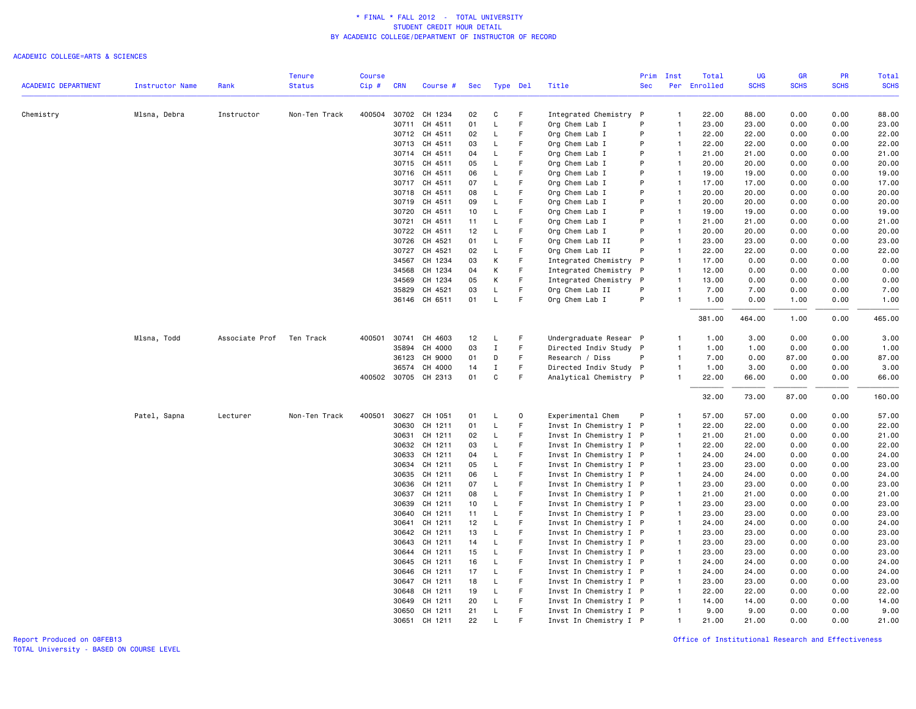#### ACADEMIC COLLEGE=ARTS & SCIENCES

|                            |                        |                | <b>Tenure</b> | <b>Course</b> |            |                      |            |             |             |                        | Prim       | Inst           | Total        | UG          | <b>GR</b>   | PR          | Total       |
|----------------------------|------------------------|----------------|---------------|---------------|------------|----------------------|------------|-------------|-------------|------------------------|------------|----------------|--------------|-------------|-------------|-------------|-------------|
| <b>ACADEMIC DEPARTMENT</b> | <b>Instructor Name</b> | Rank           | <b>Status</b> | Cip#          | <b>CRN</b> | Course #             | <b>Sec</b> |             | Type Del    | Title                  | <b>Sec</b> |                | Per Enrolled | <b>SCHS</b> | <b>SCHS</b> | <b>SCHS</b> | <b>SCHS</b> |
| Chemistry                  | Mlsna, Debra           | Instructor     | Non-Ten Track |               |            | 400504 30702 CH 1234 | 02         | C           | F           | Integrated Chemistry   | P          | -1             | 22.00        | 88.00       | 0.00        | 0.00        | 88.00       |
|                            |                        |                |               |               | 30711      | CH 4511              | 01         | L           | F           | Org Chem Lab I         | P          | $\overline{1}$ | 23.00        | 23.00       | 0.00        | 0.00        | 23.00       |
|                            |                        |                |               |               |            | 30712 CH 4511        | 02         | L           | F           | Org Chem Lab I         | P          | $\overline{1}$ | 22.00        | 22.00       | 0.00        | 0.00        | 22.00       |
|                            |                        |                |               |               |            | 30713 CH 4511        | 03         | L           | F           | Org Chem Lab I         | P          | $\overline{1}$ | 22.00        | 22.00       | 0.00        | 0.00        | 22.00       |
|                            |                        |                |               |               | 30714      | CH 4511              | 04         | L           | F           | Org Chem Lab I         | P          | $\overline{1}$ | 21.00        | 21.00       | 0.00        | 0.00        | 21.00       |
|                            |                        |                |               |               |            | 30715 CH 4511        | 05         | L           | F           | Org Chem Lab I         | P          | $\overline{1}$ | 20.00        | 20.00       | 0.00        | 0.00        | 20.00       |
|                            |                        |                |               |               |            | 30716 CH 4511        | 06         | L           | F           | Org Chem Lab I         | P          | $\overline{1}$ | 19.00        | 19,00       | 0.00        | 0.00        | 19.00       |
|                            |                        |                |               |               |            | 30717 CH 4511        | 07         | L           |             | Org Chem Lab I         | P          | $\overline{1}$ | 17.00        | 17.00       | 0.00        | 0.00        | 17.00       |
|                            |                        |                |               |               | 30718      | CH 4511              | 08         | $\mathsf L$ | F           | Org Chem Lab I         | P          | $\overline{1}$ | 20.00        | 20.00       | 0.00        | 0.00        | 20.00       |
|                            |                        |                |               |               | 30719      | CH 4511              | 09         | L           | F           | Org Chem Lab I         | P          | $\overline{1}$ | 20.00        | 20.00       | 0.00        | 0.00        | 20.00       |
|                            |                        |                |               |               | 30720      | CH 4511              | 10         | L           |             | Org Chem Lab I         | P          | $\overline{1}$ | 19.00        | 19.00       | 0.00        | 0.00        | 19.00       |
|                            |                        |                |               |               | 30721      | CH 4511              | 11         | L           | F           | Org Chem Lab I         | P          | $\overline{1}$ | 21.00        | 21.00       | 0.00        | 0.00        | 21.00       |
|                            |                        |                |               |               | 30722      | CH 4511              | 12         | L           | F           | Org Chem Lab I         | P          | $\overline{1}$ | 20.00        | 20.00       | 0.00        | 0.00        | 20.00       |
|                            |                        |                |               |               |            | 30726 CH 4521        | 01         | L           |             | Org Chem Lab II        | P          | $\overline{1}$ | 23.00        | 23.00       | 0.00        | 0.00        | 23.00       |
|                            |                        |                |               |               | 30727      | CH 4521              | 02         | L           | F           | Org Chem Lab II        | P          | $\overline{1}$ | 22.00        | 22.00       | 0.00        | 0.00        | 22.00       |
|                            |                        |                |               |               | 34567      | CH 1234              | 03         | К           | F           | Integrated Chemistry   | P          | $\overline{1}$ | 17.00        | 0.00        | 0.00        | 0.00        | 0.00        |
|                            |                        |                |               |               | 34568      | CH 1234              | 04         | К           | F           | Integrated Chemistry   | P          | $\overline{1}$ | 12.00        | 0.00        | 0.00        | 0.00        | 0.00        |
|                            |                        |                |               |               | 34569      | CH 1234              | 05         | К           | F           | Integrated Chemistry   | P          | $\overline{1}$ | 13.00        | 0.00        | 0.00        | 0.00        | 0.00        |
|                            |                        |                |               |               | 35829      | CH 4521              | 03         | L           | F           | Org Chem Lab II        | P          | $\overline{1}$ | 7.00         | 7.00        | 0.00        | 0.00        | 7.00        |
|                            |                        |                |               |               |            | 36146 CH 6511        | 01         | $\mathsf L$ | F           | Org Chem Lab I         | P          | $\overline{1}$ | 1.00         | 0.00        | 1.00        | 0.00        | 1.00        |
|                            |                        |                |               |               |            |                      |            |             |             |                        |            |                | 381.00       | 464.00      | 1.00        | 0.00        | 465.00      |
|                            | Mlsna, Todd            | Associate Prof | Ten Track     | 400501        | 30741      | CH 4603              | 12         | L           | F           | Undergraduate Resear P |            | $\overline{1}$ | 1.00         | 3.00        | 0.00        | 0.00        | 3.00        |
|                            |                        |                |               |               | 35894      | CH 4000              | 03         | $\;$ I      | F           | Directed Indiv Study P |            | $\overline{1}$ | 1.00         | 1.00        | 0.00        | 0.00        | 1.00        |
|                            |                        |                |               |               | 36123      | CH 9000              | 01         | D           | F           | Research / Diss        | P          | $\mathbf{1}$   | 7.00         | 0.00        | 87.00       | 0.00        | 87.00       |
|                            |                        |                |               |               | 36574      | CH 4000              | 14         | $\mathbf I$ | F           | Directed Indiv Study P |            | $\overline{1}$ | 1.00         | 3.00        | 0.00        | 0.00        | 3.00        |
|                            |                        |                |               |               |            | 400502 30705 CH 2313 | 01         | $\mathbf C$ | F           | Analytical Chemistry P |            | $\overline{1}$ | 22.00        | 66.00       | 0.00        | 0.00        | 66.00       |
|                            |                        |                |               |               |            |                      |            |             |             |                        |            |                | 32.00        | 73.00       | 87.00       | 0.00        | 160.00      |
|                            | Patel, Sapna           | Lecturer       | Non-Ten Track | 400501        | 30627      | CH 1051              | 01         | L           | $\mathbf 0$ | Experimental Chem      | P          | $\mathbf{1}$   | 57.00        | 57.00       | 0.00        | 0.00        | 57.00       |
|                            |                        |                |               |               | 30630      | CH 1211              | 01         | L           |             | Invst In Chemistry I P |            | $\overline{1}$ | 22.00        | 22.00       | 0.00        | 0.00        | 22.00       |
|                            |                        |                |               |               | 30631      | CH 1211              | 02         | L           | F           | Invst In Chemistry I P |            | $\overline{1}$ | 21.00        | 21.00       | 0.00        | 0.00        | 21.00       |
|                            |                        |                |               |               | 30632      | CH 1211              | 03         | L           | F           | Invst In Chemistry I P |            | $\overline{1}$ | 22.00        | 22.00       | 0.00        | 0.00        | 22.00       |
|                            |                        |                |               |               | 30633      | CH 1211              | 04         | L           | F           | Invst In Chemistry I P |            | $\overline{1}$ | 24.00        | 24.00       | 0.00        | 0.00        | 24.00       |
|                            |                        |                |               |               | 30634      | CH 1211              | 05         | L           | F           | Invst In Chemistry I P |            | $\overline{1}$ | 23.00        | 23.00       | 0.00        | 0.00        | 23.00       |
|                            |                        |                |               |               | 30635      | CH 1211              | 06         | L           | F           | Invst In Chemistry I P |            | $\overline{1}$ | 24.00        | 24.00       | 0.00        | 0.00        | 24.00       |
|                            |                        |                |               |               |            | 30636 CH 1211        | 07         | L           | F           | Invst In Chemistry I P |            | $\overline{1}$ | 23.00        | 23.00       | 0.00        | 0.00        | 23.00       |
|                            |                        |                |               |               | 30637      | CH 1211              | 08         | L           | F           | Invst In Chemistry I P |            | $\overline{1}$ | 21.00        | 21.00       | 0.00        | 0.00        | 21.00       |
|                            |                        |                |               |               | 30639      | CH 1211              | 10         | L           | F           | Invst In Chemistry I P |            | $\overline{1}$ | 23.00        | 23.00       | 0.00        | 0.00        | 23.00       |
|                            |                        |                |               |               | 30640      | CH 1211              | 11         | L           | F           | Invst In Chemistry I P |            | $\overline{1}$ | 23.00        | 23,00       | 0.00        | 0.00        | 23.00       |
|                            |                        |                |               |               | 30641      | CH 1211              | 12         | L           | F           | Invst In Chemistry I P |            | $\overline{1}$ | 24.00        | 24.00       | 0.00        | 0.00        | 24.00       |
|                            |                        |                |               |               |            | 30642 CH 1211        | 13         | L           | F           | Invst In Chemistry I P |            | $\overline{1}$ | 23.00        | 23.00       | 0.00        | 0.00        | 23.00       |
|                            |                        |                |               |               | 30643      | CH 1211              | 14         | L           | F           | Invst In Chemistry I P |            | $\overline{1}$ | 23.00        | 23,00       | 0.00        | 0.00        | 23.00       |
|                            |                        |                |               |               | 30644      | CH 1211              | 15         | L           | F           | Invst In Chemistry I P |            | $\overline{1}$ | 23.00        | 23.00       | 0.00        | 0.00        | 23.00       |
|                            |                        |                |               |               |            | 30645 CH 1211        | 16         | L           | F           | Invst In Chemistry I P |            | $\overline{1}$ | 24.00        | 24.00       | 0.00        | 0.00        | 24.00       |
|                            |                        |                |               |               | 30646      | CH 1211              | 17         | L           | F           | Invst In Chemistry I P |            | $\overline{1}$ | 24.00        | 24.00       | 0.00        | 0.00        | 24.00       |
|                            |                        |                |               |               |            | 30647 CH 1211        | 18         | L           |             | Invst In Chemistry I P |            | $\overline{1}$ | 23.00        | 23.00       | 0.00        | 0.00        | 23.00       |
|                            |                        |                |               |               |            | 30648 CH 1211        | 19         | L           | F           | Invst In Chemistry I P |            | $\overline{1}$ | 22.00        | 22.00       | 0.00        | 0.00        | 22.00       |
|                            |                        |                |               |               | 30649      | CH 1211              | 20         | L           | F           | Invst In Chemistry I P |            | $\overline{1}$ | 14.00        | 14.00       | 0.00        | 0.00        | 14.00       |
|                            |                        |                |               |               |            | 30650 CH 1211        | 21         | L           | F           | Invst In Chemistry I P |            | $\overline{1}$ | 9.00         | 9.00        | 0.00        | 0.00        | 9.00        |
|                            |                        |                |               |               | 30651      | CH 1211              | 22         | L           |             | Invst In Chemistry I P |            | $\mathbf{1}$   | 21.00        | 21.00       | 0.00        | 0.00        | 21.00       |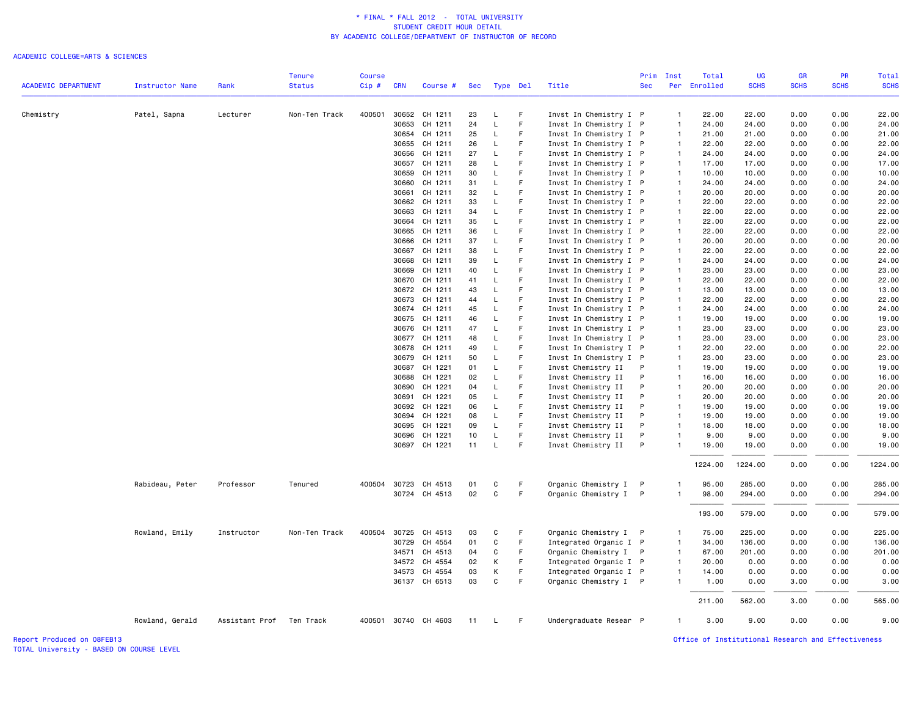#### ACADEMIC COLLEGE=ARTS & SCIENCES

| <b>ACADEMIC DEPARTMENT</b> | Instructor Name | Rank                     | <b>Tenure</b><br><b>Status</b> | <b>Course</b><br>Cip# | <b>CRN</b>   | Course #             | Sec |              | Type Del | Title                  | Prim<br><b>Sec</b> | Inst           | Total<br>Per Enrolled | <b>UG</b><br><b>SCHS</b> | GR<br><b>SCHS</b> | PR<br><b>SCHS</b> | <b>Total</b><br><b>SCHS</b> |
|----------------------------|-----------------|--------------------------|--------------------------------|-----------------------|--------------|----------------------|-----|--------------|----------|------------------------|--------------------|----------------|-----------------------|--------------------------|-------------------|-------------------|-----------------------------|
|                            |                 |                          |                                |                       |              |                      |     |              |          |                        |                    |                |                       |                          |                   |                   |                             |
| Chemistry                  | Patel, Sapna    | Lecturer                 | Non-Ten Track                  |                       |              | 400501 30652 CH 1211 | 23  | L            | F        | Invst In Chemistry I P |                    | $\mathbf{1}$   | 22.00                 | 22.00                    | 0.00              | 0.00              | 22.00                       |
|                            |                 |                          |                                |                       | 30653        | CH 1211              | 24  | $\mathsf L$  | F        | Invst In Chemistry I P |                    | $\mathbf{1}$   | 24.00                 | 24.00                    | 0.00              | 0.00              | 24.00                       |
|                            |                 |                          |                                |                       | 30654        | CH 1211              | 25  | L            | F        | Invst In Chemistry I P |                    | $\overline{1}$ | 21.00                 | 21.00                    | 0.00              | 0.00              | 21.00                       |
|                            |                 |                          |                                |                       | 30655        | CH 1211              | 26  | L            | F        | Invst In Chemistry I P |                    | $\overline{1}$ | 22.00                 | 22.00                    | 0.00              | 0.00              | 22.00                       |
|                            |                 |                          |                                |                       | 30656        | CH 1211              | 27  | L            | F        | Invst In Chemistry I P |                    | $\overline{1}$ | 24.00                 | 24.00                    | 0.00              | 0.00              | 24.00                       |
|                            |                 |                          |                                |                       | 30657        | CH 1211              | 28  | $\mathsf L$  | F.       | Invst In Chemistry I P |                    | $\overline{1}$ | 17.00                 | 17.00                    | 0.00              | 0.00              | 17.00                       |
|                            |                 |                          |                                |                       | 30659        | CH 1211              | 30  | L            | F.       | Invst In Chemistry I P |                    | $\overline{1}$ | 10.00                 | 10.00                    | 0.00              | 0.00              | 10.00                       |
|                            |                 |                          |                                |                       | 30660        | CH 1211              | 31  | L            | F        | Invst In Chemistry I P |                    | $\overline{1}$ | 24,00                 | 24.00                    | 0.00              | 0.00              | 24.00                       |
|                            |                 |                          |                                |                       | 30661        | CH 1211              | 32  | L            | F.       | Invst In Chemistry I P |                    | $\mathbf{1}$   | 20.00                 | 20.00                    | 0.00              | 0.00              | 20.00                       |
|                            |                 |                          |                                |                       | 30662        | CH 1211              | 33  | L.           | F        | Invst In Chemistry I P |                    | $\mathbf{1}$   | 22.00                 | 22.00                    | 0.00              | 0.00              | 22.00                       |
|                            |                 |                          |                                |                       | 30663        | CH 1211              | 34  | L            | F        | Invst In Chemistry I P |                    | $\mathbf{1}$   | 22.00                 | 22.00                    | 0.00              | 0.00              | 22.00                       |
|                            |                 |                          |                                |                       | 30664        | CH 1211              | 35  | L            | F.       | Invst In Chemistry I P |                    | $\overline{1}$ | 22.00                 | 22.00                    | 0.00              | 0.00              | 22.00                       |
|                            |                 |                          |                                |                       | 30665        | CH 1211              | 36  | L            | F.       | Invst In Chemistry I P |                    | $\overline{1}$ | 22.00                 | 22.00                    | 0.00              | 0.00              | 22.00                       |
|                            |                 |                          |                                |                       | 30666        | CH 1211              | 37  | L            | F        | Invst In Chemistry I P |                    | $\overline{1}$ | 20.00                 | 20.00                    | 0.00              | 0.00              | 20.00                       |
|                            |                 |                          |                                |                       | 30667        | CH 1211              | 38  | L            | F        | Invst In Chemistry I P |                    | $\mathbf{1}$   | 22.00                 | 22.00                    | 0.00              | 0.00              | 22.00                       |
|                            |                 |                          |                                |                       | 30668        | CH 1211              | 39  | $\mathsf L$  | F.       | Invst In Chemistry I P |                    | $\overline{1}$ | 24.00                 | 24.00                    | 0.00              | 0.00              | 24.00                       |
|                            |                 |                          |                                |                       | 30669        | CH 1211              | 40  | L            | F        | Invst In Chemistry I P |                    | $\overline{1}$ | 23.00                 | 23.00                    | 0.00              | 0.00              | 23.00                       |
|                            |                 |                          |                                |                       | 30670        | CH 1211              | 41  | L            | F        | Invst In Chemistry I P |                    | $\overline{1}$ | 22.00                 | 22.00                    | 0.00              | 0.00              | 22.00                       |
|                            |                 |                          |                                |                       |              | 30672 CH 1211        | 43  | L            | F        | Invst In Chemistry I P |                    | $\blacksquare$ | 13.00                 | 13.00                    | 0.00              | 0.00              | 13.00                       |
|                            |                 |                          |                                |                       | 30673        | CH 1211              | 44  | $\mathsf L$  | F        | Invst In Chemistry I P |                    | $\mathbf{1}$   | 22.00                 | 22.00                    | 0.00              | 0.00              | 22.00                       |
|                            |                 |                          |                                |                       | 30674        | CH 1211              | 45  | L            | F        | Invst In Chemistry I P |                    | $\overline{1}$ | 24.00                 | 24.00                    | 0.00              | 0.00              | 24.00                       |
|                            |                 |                          |                                |                       |              | 30675 CH 1211        | 46  | L            | F.       | Invst In Chemistry I P |                    | $\mathbf{1}$   | 19.00                 | 19.00                    | 0.00              | 0.00              | 19.00                       |
|                            |                 |                          |                                |                       | 30676        | CH 1211              | 47  | L            | F        | Invst In Chemistry I P |                    | $\overline{1}$ | 23.00                 | 23.00                    | 0.00              | 0.00              | 23.00                       |
|                            |                 |                          |                                |                       |              | 30677 CH 1211        | 48  | L            | F        | Invst In Chemistry I P |                    | $\mathbf{1}$   | 23.00                 | 23.00                    | 0.00              | 0.00              | 23.00                       |
|                            |                 |                          |                                |                       | 30678        | CH 1211              | 49  | L            | F.       | Invst In Chemistry I P |                    | $\overline{1}$ | 22.00                 | 22.00                    | 0.00              | 0.00              | 22.00                       |
|                            |                 |                          |                                |                       | 30679        | CH 1211              | 50  | L            | F.       | Invst In Chemistry I P |                    | $\overline{1}$ | 23.00                 | 23,00                    | 0.00              | 0.00              | 23.00                       |
|                            |                 |                          |                                |                       | 30687        | CH 1221              | 01  | L            | F        | Invst Chemistry II     | P                  | $\overline{1}$ | 19.00                 | 19.00                    | 0.00              | 0.00              | 19.00                       |
|                            |                 |                          |                                |                       | 30688        | CH 1221              | 02  | L            | F        | Invst Chemistry II     | P                  | $\overline{1}$ | 16.00                 | 16.00                    | 0.00              | 0.00              | 16.00                       |
|                            |                 |                          |                                |                       | 30690        | CH 1221              | 04  | L            | F        | Invst Chemistry II     | P                  | $\overline{1}$ | 20.00                 | 20.00                    | 0.00              | 0.00              | 20.00                       |
|                            |                 |                          |                                |                       | 30691        | CH 1221              | 05  | <b>L</b>     | F.       | Invst Chemistry II     | P                  | $\overline{1}$ | 20.00                 | 20.00                    | 0.00              | 0.00              | 20.00                       |
|                            |                 |                          |                                |                       | 30692        | CH 1221              | 06  | L            | F        | Invst Chemistry II     | P                  | $\overline{1}$ | 19.00                 | 19.00                    | 0.00              | 0.00              | 19.00                       |
|                            |                 |                          |                                |                       | 30694        | CH 1221              | 08  | L            | F.       | Invst Chemistry II     | P                  | $\overline{1}$ | 19.00                 | 19.00                    | 0.00              | 0.00              | 19.00                       |
|                            |                 |                          |                                |                       | 30695        | CH 1221              | 09  | L            | F        | Invst Chemistry II     | P                  | $\mathbf{1}$   | 18.00                 | 18.00                    | 0.00              | 0.00              | 18.00                       |
|                            |                 |                          |                                |                       |              | 30696 CH 1221        | 10  | L            | F        | Invst Chemistry II     | P                  | $\mathbf{1}$   | 9.00                  | 9.00                     | 0.00              | 0.00              | 9.00                        |
|                            |                 |                          |                                |                       |              | 30697 CH 1221        | 11  | L            | F.       | Invst Chemistry II     | P                  | 1              | 19.00                 | 19.00                    | 0.00              | 0.00              | 19.00                       |
|                            |                 |                          |                                |                       |              |                      |     |              |          |                        |                    |                |                       |                          |                   |                   |                             |
|                            |                 |                          |                                |                       |              |                      |     |              |          |                        |                    |                | 1224.00               | 1224.00                  | 0.00              | 0.00              | 1224.00                     |
|                            | Rabideau, Peter | Professor                | Tenured                        |                       |              | 400504 30723 CH 4513 | 01  | C            | F        | Organic Chemistry I P  |                    | $\mathbf{1}$   | 95.00                 | 285.00                   | 0.00              | 0.00              | 285.00                      |
|                            |                 |                          |                                |                       |              | 30724 CH 4513        | 02  | $\mathsf{C}$ | F.       | Organic Chemistry I P  |                    | $\mathbf{1}$   | 98.00                 | 294.00                   | 0.00              | 0.00              | 294.00                      |
|                            |                 |                          |                                |                       |              |                      |     |              |          |                        |                    |                | 193.00                | 579.00                   | 0.00              | 0.00              | 579.00                      |
|                            | Rowland, Emily  | Instructor               | Non-Ten Track                  |                       | 400504 30725 | CH 4513              | 03  | C            | F        | Organic Chemistry I P  |                    | $\mathbf{1}$   | 75.00                 | 225.00                   | 0.00              | 0.00              | 225.00                      |
|                            |                 |                          |                                |                       |              | 30729 CH 4554        | 01  | C            | F        | Integrated Organic I P |                    | $\overline{1}$ | 34.00                 | 136.00                   | 0.00              | 0.00              | 136.00                      |
|                            |                 |                          |                                |                       | 34571        | CH 4513              | 04  | $\mathtt{C}$ | F        | Organic Chemistry I P  |                    | $\overline{1}$ | 67.00                 | 201.00                   | 0.00              | 0.00              | 201.00                      |
|                            |                 |                          |                                |                       | 34572        | CH 4554              | 02  | К            | F        | Integrated Organic I P |                    | $\overline{1}$ | 20.00                 | 0.00                     | 0.00              | 0.00              | 0.00                        |
|                            |                 |                          |                                |                       | 34573        | CH 4554              | 03  | К            | F.       | Integrated Organic I P |                    | $\mathbf{1}$   | 14.00                 | 0.00                     | 0.00              | 0.00              | 0.00                        |
|                            |                 |                          |                                |                       |              | 36137 CH 6513        | 03  | C            | F        | Organic Chemistry I P  |                    | $\mathbf{1}$   | 1.00                  | 0.00                     | 3.00              | 0.00              | 3.00                        |
|                            |                 |                          |                                |                       |              |                      |     |              |          |                        |                    |                | 211.00                | 562.00                   | 3.00              | 0.00              | 565.00                      |
|                            | Rowland, Gerald | Assistant Prof Ten Track |                                |                       |              | 400501 30740 CH 4603 | 11  | $\mathsf{L}$ | F.       | Undergraduate Resear P |                    | 1              | 3.00                  | 9.00                     | 0.00              | 0.00              | 9.00                        |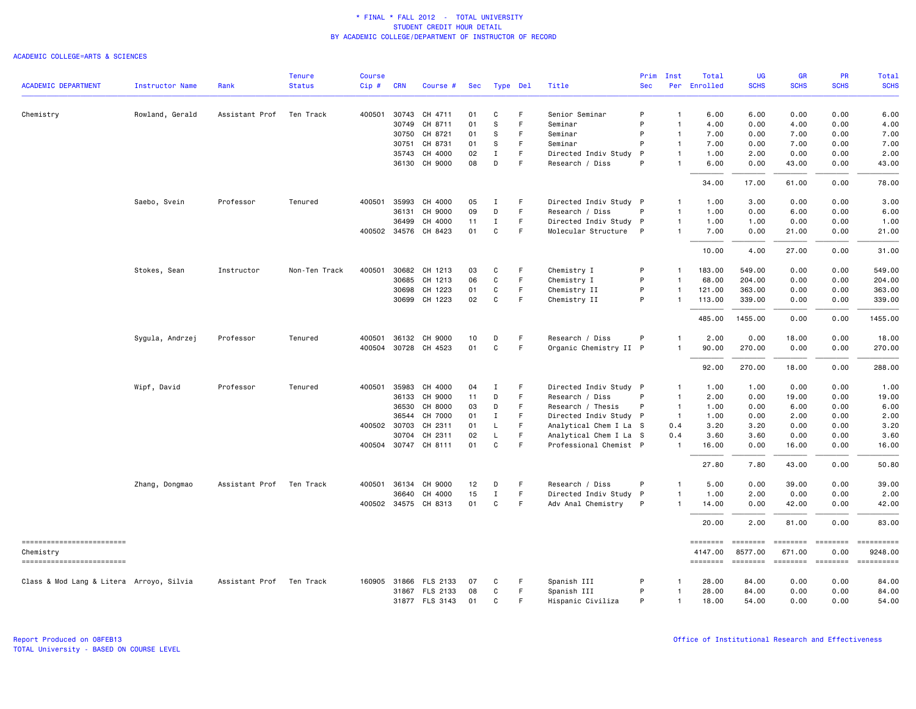|                                          |                        |                          | <b>Tenure</b> | <b>Course</b> |              |                       |     |             |             |                        | Prim         | Inst           | Total               | UG                  | <b>GR</b>     | PR              | Total                                                                                                                                                                                                                                                                                                                                                                                                                               |
|------------------------------------------|------------------------|--------------------------|---------------|---------------|--------------|-----------------------|-----|-------------|-------------|------------------------|--------------|----------------|---------------------|---------------------|---------------|-----------------|-------------------------------------------------------------------------------------------------------------------------------------------------------------------------------------------------------------------------------------------------------------------------------------------------------------------------------------------------------------------------------------------------------------------------------------|
| <b>ACADEMIC DEPARTMENT</b>               | <b>Instructor Name</b> | Rank                     | <b>Status</b> | $Cip$ #       | <b>CRN</b>   | Course #              | Sec |             | Type Del    | Title                  | <b>Sec</b>   |                | Per Enrolled        | <b>SCHS</b>         | <b>SCHS</b>   | <b>SCHS</b>     | <b>SCHS</b>                                                                                                                                                                                                                                                                                                                                                                                                                         |
| Chemistry                                | Rowland, Gerald        | Assistant Prof           | Ten Track     | 400501        | 30743        | CH 4711               | 01  | C           | F           | Senior Seminar         | P            | $\mathbf{1}$   | 6.00                | 6.00                | 0.00          | 0.00            | 6.00                                                                                                                                                                                                                                                                                                                                                                                                                                |
|                                          |                        |                          |               |               | 30749        | CH 8711               | 01  | S           | F           | Seminar                | P            | $\mathbf{1}$   | 4.00                | 0.00                | 4.00          | 0.00            | 4.00                                                                                                                                                                                                                                                                                                                                                                                                                                |
|                                          |                        |                          |               |               | 30750        | CH 8721               | 01  | S           | F.          | Seminar                | P            | $\mathbf{1}$   | 7.00                | 0.00                | 7.00          | 0.00            | 7.00                                                                                                                                                                                                                                                                                                                                                                                                                                |
|                                          |                        |                          |               |               | 30751        | CH 8731               | 01  | s           | F           | Seminar                | P            | $\mathbf{1}$   | 7.00                | 0.00                | 7.00          | 0.00            | 7.00                                                                                                                                                                                                                                                                                                                                                                                                                                |
|                                          |                        |                          |               |               | 35743        | CH 4000               | 02  | $\mathbf I$ | F           | Directed Indiv Study   | $\mathsf{P}$ | $\mathbf{1}$   | 1.00                | 2.00                | 0.00          | 0.00            | 2.00                                                                                                                                                                                                                                                                                                                                                                                                                                |
|                                          |                        |                          |               |               |              | 36130 CH 9000         | 08  | D           | F           | Research / Diss        | P            | $\overline{1}$ | 6.00                | 0.00                | 43.00         | 0.00            | 43.00                                                                                                                                                                                                                                                                                                                                                                                                                               |
|                                          |                        |                          |               |               |              |                       |     |             |             |                        |              |                | 34.00               | 17.00               | 61.00         | 0.00            | 78.00                                                                                                                                                                                                                                                                                                                                                                                                                               |
|                                          | Saebo, Svein           | Professor                | Tenured       | 400501        | 35993        | CH 4000               | 05  | Ι.          | -F          | Directed Indiv Study P |              | $\mathbf{1}$   | 1.00                | 3.00                | 0.00          | 0.00            | 3.00                                                                                                                                                                                                                                                                                                                                                                                                                                |
|                                          |                        |                          |               |               | 36131        | CH 9000               | 09  | D           | F           | Research / Diss        | P            | $\mathbf{1}$   | 1.00                | 0.00                | 6.00          | 0.00            | 6.00                                                                                                                                                                                                                                                                                                                                                                                                                                |
|                                          |                        |                          |               |               | 36499        | CH 4000               | 11  | Ι.          | F           | Directed Indiv Study P |              | $\mathbf{1}$   | 1.00                | 1.00                | 0.00          | 0.00            | 1.00                                                                                                                                                                                                                                                                                                                                                                                                                                |
|                                          |                        |                          |               |               | 400502 34576 | CH 8423               | 01  | C           | F           | Molecular Structure P  |              | $\mathbf{1}$   | 7.00                | 0.00                | 21.00         | 0.00            | 21.00                                                                                                                                                                                                                                                                                                                                                                                                                               |
|                                          |                        |                          |               |               |              |                       |     |             |             |                        |              |                | 10.00               | 4.00                | 27.00         | 0.00            | 31.00                                                                                                                                                                                                                                                                                                                                                                                                                               |
|                                          | Stokes, Sean           | Instructor               | Non-Ten Track | 400501        | 30682        | CH 1213               | 03  | C           | F           | Chemistry I            | P            | $\mathbf{1}$   | 183.00              | 549.00              | 0.00          | 0.00            | 549.00                                                                                                                                                                                                                                                                                                                                                                                                                              |
|                                          |                        |                          |               |               | 30685        | CH 1213               | 06  | C           | F           | Chemistry I            | P            | $\mathbf{1}$   | 68.00               | 204.00              | 0.00          | 0.00            | 204.00                                                                                                                                                                                                                                                                                                                                                                                                                              |
|                                          |                        |                          |               |               | 30698        | CH 1223               | 01  | C           | F           | Chemistry II           | P            | $\mathbf{1}$   | 121.00              | 363.00              | 0.00          | 0.00            | 363.00                                                                                                                                                                                                                                                                                                                                                                                                                              |
|                                          |                        |                          |               |               | 30699        | CH 1223               | 02  | $\mathbf C$ | $\mathsf F$ | Chemistry II           | P            | $\overline{1}$ | 113.00              | 339.00              | 0.00          | 0.00            | 339.00                                                                                                                                                                                                                                                                                                                                                                                                                              |
|                                          |                        |                          |               |               |              |                       |     |             |             |                        |              |                | 485.00              | 1455.00             | 0.00          | 0.00            | 1455.00                                                                                                                                                                                                                                                                                                                                                                                                                             |
|                                          | Sygula, Andrzej        | Professor                | Tenured       |               |              | 400501 36132 CH 9000  | 10  | D           | -F          | Research / Diss        | P            | $\mathbf{1}$   | 2.00                | 0.00                | 18.00         | 0.00            | 18.00                                                                                                                                                                                                                                                                                                                                                                                                                               |
|                                          |                        |                          |               |               |              | 400504 30728 CH 4523  | 01  | $\mathbf C$ | $\mathsf F$ | Organic Chemistry II P |              | -1             | 90.00               | 270.00              | 0.00          | 0.00            | 270.00                                                                                                                                                                                                                                                                                                                                                                                                                              |
|                                          |                        |                          |               |               |              |                       |     |             |             |                        |              |                | 92.00               | 270.00              | 18.00         | 0.00            | 288.00                                                                                                                                                                                                                                                                                                                                                                                                                              |
|                                          | Wipf, David            | Professor                | Tenured       | 400501        | 35983        | CH 4000               | 04  | Ι.          | F           | Directed Indiv Study P |              | $\mathbf{1}$   | 1.00                | 1.00                | 0.00          | 0.00            | 1.00                                                                                                                                                                                                                                                                                                                                                                                                                                |
|                                          |                        |                          |               |               | 36133        | CH 9000               | 11  | D           | F           | Research / Diss        | P            | $\overline{1}$ | 2.00                | 0.00                | 19.00         | 0.00            | 19.00                                                                                                                                                                                                                                                                                                                                                                                                                               |
|                                          |                        |                          |               |               | 36530        | CH 8000               | 03  | D           | F           | Research / Thesis      | P            | $\overline{1}$ | 1.00                | 0.00                | 6.00          | 0.00            | 6.00                                                                                                                                                                                                                                                                                                                                                                                                                                |
|                                          |                        |                          |               |               | 36544        | CH 7000               | 01  | Ι.          | F           | Directed Indiv Study P |              | $\overline{1}$ | 1.00                | 0.00                | 2.00          | 0.00            | 2.00                                                                                                                                                                                                                                                                                                                                                                                                                                |
|                                          |                        |                          |               |               | 400502 30703 | CH 2311               | 01  | L.          | F           | Analytical Chem I La S |              | 0.4            | 3.20                | 3.20                | 0.00          | 0.00            | 3.20                                                                                                                                                                                                                                                                                                                                                                                                                                |
|                                          |                        |                          |               |               | 30704        | CH 2311               | 02  | L           | $\mathsf F$ | Analytical Chem I La S |              | 0.4            | 3.60                | 3.60                | 0.00          | 0.00            | 3.60                                                                                                                                                                                                                                                                                                                                                                                                                                |
|                                          |                        |                          |               |               |              | 400504 30747 CH 8111  | 01  | C           | F           | Professional Chemist P |              | $\overline{1}$ | 16.00               | 0.00                | 16.00         | 0.00            | 16.00                                                                                                                                                                                                                                                                                                                                                                                                                               |
|                                          |                        |                          |               |               |              |                       |     |             |             |                        |              |                | 27.80               | 7.80                | 43.00         | 0.00            | 50.80                                                                                                                                                                                                                                                                                                                                                                                                                               |
|                                          | Zhang, Dongmao         | Assistant Prof           | Ten Track     | 400501        | 36134        | CH 9000               | 12  | D           | F           | Research / Diss        | P            | $\overline{1}$ | 5.00                | 0.00                | 39.00         | 0.00            | 39.00                                                                                                                                                                                                                                                                                                                                                                                                                               |
|                                          |                        |                          |               |               | 36640        | CH 4000               | 15  | $\mathbf I$ | $\mathsf F$ | Directed Indiv Study P |              | $\mathbf{1}$   | 1.00                | 2.00                | 0.00          | 0.00            | 2.00                                                                                                                                                                                                                                                                                                                                                                                                                                |
|                                          |                        |                          |               |               |              | 400502 34575 CH 8313  | 01  | C           | F           | Adv Anal Chemistry     | P            | $\mathbf{1}$   | 14.00               | 0.00                | 42.00         | 0.00            | 42.00                                                                                                                                                                                                                                                                                                                                                                                                                               |
|                                          |                        |                          |               |               |              |                       |     |             |             |                        |              |                | 20.00               | 2.00                | 81.00         | 0.00            | 83.00                                                                                                                                                                                                                                                                                                                                                                                                                               |
| ==========================               |                        |                          |               |               |              |                       |     |             |             |                        |              |                |                     |                     | ========      | <b>ESSESSES</b> |                                                                                                                                                                                                                                                                                                                                                                                                                                     |
| Chemistry<br>------------------------    |                        |                          |               |               |              |                       |     |             |             |                        |              |                | 4147.00<br>======== | 8577.00<br>======== | 671.00<br>$=$ | 0.00            | 9248.00<br>$\begin{minipage}{0.03\linewidth} \hspace*{-0.2cm} \textbf{if} \hspace*{-0.3cm} \textbf{if} \hspace*{-0.3cm} \textbf{if} \hspace*{-0.3cm} \textbf{if} \hspace*{-0.3cm} \textbf{if} \hspace*{-0.3cm} \textbf{if} \hspace*{-0.3cm} \textbf{if} \hspace*{-0.3cm} \textbf{if} \hspace*{-0.3cm} \textbf{if} \hspace*{-0.3cm} \textbf{if} \hspace*{-0.3cm} \textbf{if} \hspace*{-0.3cm} \textbf{if} \hspace*{-0.3cm} \textbf{$ |
| Class & Mod Lang & Litera Arroyo, Silvia |                        | Assistant Prof Ten Track |               |               |              | 160905 31866 FLS 2133 | 07  | C           | -F          | Spanish III            | P            | -1             | 28.00               | 84.00               | 0.00          | 0.00            | 84.00                                                                                                                                                                                                                                                                                                                                                                                                                               |
|                                          |                        |                          |               |               |              | 31867 FLS 2133        | 08  | C           | $\mathsf F$ | Spanish III            | P            | $\overline{1}$ | 28.00               | 84.00               | 0.00          | 0.00            | 84.00                                                                                                                                                                                                                                                                                                                                                                                                                               |
|                                          |                        |                          |               |               |              | 31877 FLS 3143        | 01  | C           | E           | Hispanic Civiliza      | P            | $\mathbf{1}$   | 18,00               | 54.00               | 0.00          | 0.00            | 54.00                                                                                                                                                                                                                                                                                                                                                                                                                               |
|                                          |                        |                          |               |               |              |                       |     |             |             |                        |              |                |                     |                     |               |                 |                                                                                                                                                                                                                                                                                                                                                                                                                                     |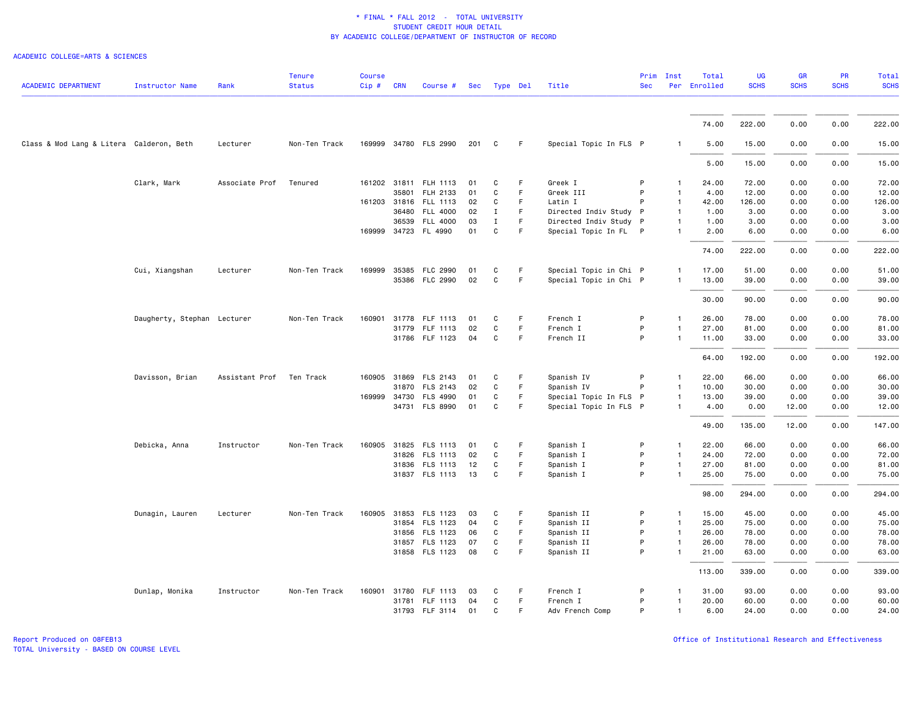| <b>ACADEMIC DEPARTMENT</b>               | <b>Instructor Name</b>      | Rank           | <b>Tenure</b><br><b>Status</b> | <b>Course</b><br>Cip# | <b>CRN</b> | Course #              |     | Sec Type Del |    | Title                  | Prim<br><b>Sec</b> | Inst           | Total<br>Per Enrolled | <b>UG</b><br><b>SCHS</b> | <b>GR</b><br><b>SCHS</b> | <b>PR</b><br><b>SCHS</b> | Total<br><b>SCHS</b> |
|------------------------------------------|-----------------------------|----------------|--------------------------------|-----------------------|------------|-----------------------|-----|--------------|----|------------------------|--------------------|----------------|-----------------------|--------------------------|--------------------------|--------------------------|----------------------|
|                                          |                             |                |                                |                       |            |                       |     |              |    |                        |                    |                |                       |                          |                          |                          |                      |
|                                          |                             |                |                                |                       |            |                       |     |              |    |                        |                    |                | 74.00                 | 222.00                   | 0.00                     | 0.00                     | 222.00               |
| Class & Mod Lang & Litera Calderon, Beth |                             | Lecturer       | Non-Ten Track                  |                       |            | 169999 34780 FLS 2990 | 201 | C            | F  | Special Topic In FLS P |                    |                | 5.00                  | 15.00                    | 0.00                     | 0.00                     | 15.00                |
|                                          |                             |                |                                |                       |            |                       |     |              |    |                        |                    |                | 5.00                  | 15.00                    | 0.00                     | 0.00                     | 15.00                |
|                                          | Clark, Mark                 | Associate Prof | Tenured                        |                       |            | 161202 31811 FLH 1113 | 01  | C            | F  | Greek I                | P                  |                | 24.00                 | 72.00                    | 0.00                     | 0.00                     | 72.00                |
|                                          |                             |                |                                |                       | 35801      | FLH 2133              | 01  | C            | F  | Greek III              | P                  |                | 4.00                  | 12.00                    | 0.00                     | 0.00                     | 12.00                |
|                                          |                             |                |                                |                       |            | 161203 31816 FLL 1113 | 02  | C            | F  | Latin I                |                    |                | 42.00                 | 126.00                   | 0.00                     | 0.00                     | 126.00               |
|                                          |                             |                |                                |                       |            | 36480 FLL 4000        | 02  | $\mathbf I$  | F  | Directed Indiv Study P |                    | -1             | 1.00                  | 3.00                     | 0.00                     | 0.00                     | 3.00                 |
|                                          |                             |                |                                |                       |            | 36539 FLL 4000        | 03  | Ι.           | F. | Directed Indiv Study P |                    |                | 1.00                  | 3.00                     | 0.00                     | 0.00                     | 3.00                 |
|                                          |                             |                |                                | 169999                |            | 34723 FL 4990         | 01  | C            | F  | Special Topic In FL P  |                    |                | 2.00                  | 6.00                     | 0.00                     | 0.00                     | 6.00                 |
|                                          |                             |                |                                |                       |            |                       |     |              |    |                        |                    |                | 74.00                 | 222.00                   | 0.00                     | 0.00                     | 222.00               |
|                                          | Cui, Xiangshan              | Lecturer       | Non-Ten Track                  | 169999                |            | 35385 FLC 2990        | 01  | C            | F  | Special Topic in Chi P |                    |                | 17.00                 | 51.00                    | 0.00                     | 0.00                     | 51.00                |
|                                          |                             |                |                                |                       |            | 35386 FLC 2990        | 02  | C            | F. | Special Topic in Chi P |                    |                | 13.00                 | 39.00                    | 0.00                     | 0.00                     | 39.00                |
|                                          |                             |                |                                |                       |            |                       |     |              |    |                        |                    |                | 30.00                 | 90.00                    | 0.00                     | 0.00                     | 90.00                |
|                                          | Daugherty, Stephan Lecturer |                | Non-Ten Track                  | 160901                | 31778      | <b>FLF 1113</b>       | 01  | C            | F  | French I               | P                  | $\mathbf{1}$   | 26.00                 | 78.00                    | 0.00                     | 0.00                     | 78.00                |
|                                          |                             |                |                                |                       |            | 31779 FLF 1113        | 02  | C            | F  | French I               | P                  | $\mathbf{1}$   | 27.00                 | 81.00                    | 0.00                     | 0.00                     | 81.00                |
|                                          |                             |                |                                |                       |            | 31786 FLF 1123        | 04  | C            | F. | French II              | P                  | $\mathbf{1}$   | 11.00                 | 33.00                    | 0.00                     | 0.00                     | 33.00                |
|                                          |                             |                |                                |                       |            |                       |     |              |    |                        |                    |                | 64.00                 | 192.00                   | 0.00                     | 0.00                     | 192.00               |
|                                          | Davisson, Brian             | Assistant Prof | Ten Track                      | 160905                |            | 31869 FLS 2143        | 01  | C            | F  | Spanish IV             | P                  |                | 22.00                 | 66.00                    | 0.00                     | 0.00                     | 66.00                |
|                                          |                             |                |                                |                       |            | 31870 FLS 2143        | 02  | C            | F  | Spanish IV             | P                  |                | 10.00                 | 30.00                    | 0.00                     | 0.00                     | 30.00                |
|                                          |                             |                |                                | 169999                |            | 34730 FLS 4990        | 01  | C            | F. | Special Topic In FLS P |                    | $\mathbf{1}$   | 13.00                 | 39.00                    | 0.00                     | 0.00                     | 39.00                |
|                                          |                             |                |                                |                       |            | 34731 FLS 8990        | 01  | C            | F  | Special Topic In FLS P |                    |                | 4.00                  | 0.00                     | 12.00                    | 0.00                     | 12.00                |
|                                          |                             |                |                                |                       |            |                       |     |              |    |                        |                    |                | 49.00                 | 135.00                   | 12.00                    | 0.00                     | 147.00               |
|                                          | Debicka, Anna               | Instructor     | Non-Ten Track                  | 160905                |            | 31825 FLS 1113        | 01  | C            | F  | Spanish I              | P                  |                | 22.00                 | 66.00                    | 0.00                     | 0.00                     | 66.00                |
|                                          |                             |                |                                |                       | 31826      | FLS 1113              | 02  | C            | F. | Spanish I              | P                  | $\mathbf{1}$   | 24.00                 | 72.00                    | 0.00                     | 0.00                     | 72.00                |
|                                          |                             |                |                                |                       |            | 31836 FLS 1113        | 12  | C            | F  | Spanish I              | P                  | $\mathbf{1}$   | 27.00                 | 81.00                    | 0.00                     | 0.00                     | 81.00                |
|                                          |                             |                |                                |                       |            | 31837 FLS 1113        | 13  | C            | F  | Spanish I              | P                  |                | 25.00                 | 75.00                    | 0.00                     | 0.00                     | 75.00                |
|                                          |                             |                |                                |                       |            |                       |     |              |    |                        |                    |                | 98.00                 | 294.00                   | 0.00                     | 0.00                     | 294.00               |
|                                          | Dunagin, Lauren             | Lecturer       | Non-Ten Track                  | 160905                |            | 31853 FLS 1123        | 03  | C            | F  | Spanish II             | P                  | -1             | 15.00                 | 45.00                    | 0.00                     | 0.00                     | 45.00                |
|                                          |                             |                |                                |                       |            | 31854 FLS 1123        | 04  | C            | F  | Spanish II             | P                  | $\mathbf{1}$   | 25.00                 | 75.00                    | 0.00                     | 0.00                     | 75.00                |
|                                          |                             |                |                                |                       |            | 31856 FLS 1123        | 06  | C            | F. | Spanish II             | P                  | $\mathbf{1}$   | 26.00                 | 78.00                    | 0.00                     | 0.00                     | 78.00                |
|                                          |                             |                |                                |                       |            | 31857 FLS 1123        | 07  | C            | F  | Spanish II             | P                  | $\overline{1}$ | 26.00                 | 78.00                    | 0.00                     | 0.00                     | 78.00                |
|                                          |                             |                |                                |                       |            | 31858 FLS 1123        | 08  | C            | F  | Spanish II             | P                  |                | 21.00                 | 63.00                    | 0.00                     | 0.00                     | 63.00                |
|                                          |                             |                |                                |                       |            |                       |     |              |    |                        |                    |                | 113.00                | 339.00                   | 0.00                     | 0.00                     | 339.00               |
|                                          | Dunlap, Monika              | Instructor     | Non-Ten Track                  | 160901                |            | 31780 FLF 1113        | 03  | C            | F  | French I               | P                  | $\mathbf{1}$   | 31.00                 | 93.00                    | 0.00                     | 0.00                     | 93.00                |
|                                          |                             |                |                                |                       | 31781      | FLF 1113              | 04  | C            | F  | French I               | P                  | $\overline{1}$ | 20.00                 | 60.00                    | 0.00                     | 0.00                     | 60.00                |
|                                          |                             |                |                                |                       |            | 31793 FLF 3114        | 01  | C            | F. | Adv French Comp        | P                  | $\overline{1}$ | 6.00                  | 24.00                    | 0.00                     | 0.00                     | 24.00                |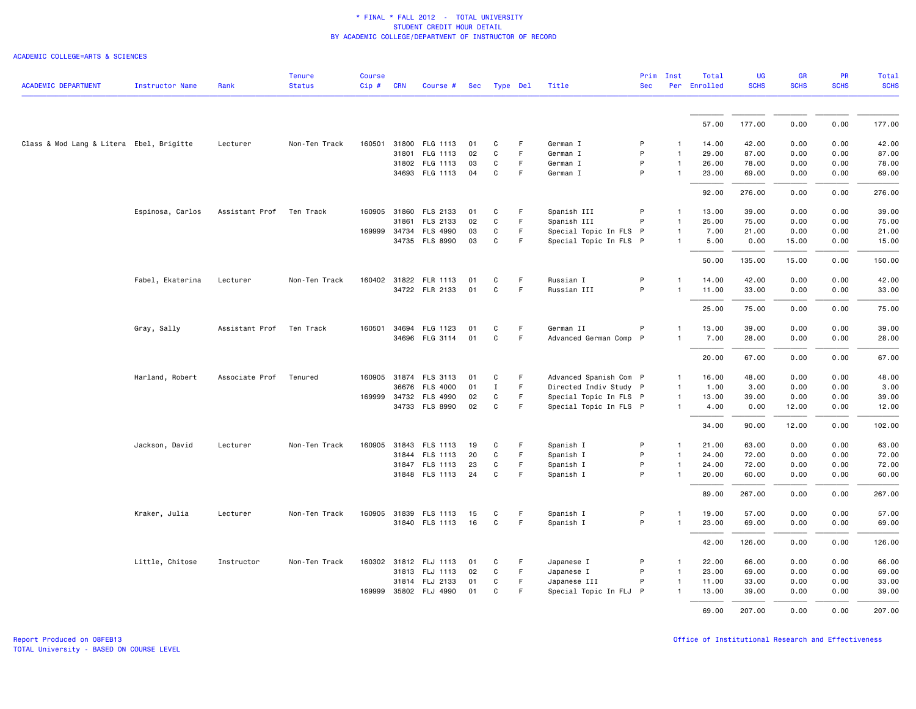|                                          |                        |                          | <b>Tenure</b> | <b>Course</b> |            |                       |     |              |    |                        | Prim       | Inst           | Total        | <b>UG</b>   | GR          | PR          | <b>Total</b> |
|------------------------------------------|------------------------|--------------------------|---------------|---------------|------------|-----------------------|-----|--------------|----|------------------------|------------|----------------|--------------|-------------|-------------|-------------|--------------|
| <b>ACADEMIC DEPARTMENT</b>               | <b>Instructor Name</b> | Rank                     | <b>Status</b> | $Cip \#$      | <b>CRN</b> | Course #              | Sec | Type Del     |    | Title                  | <b>Sec</b> |                | Per Enrolled | <b>SCHS</b> | <b>SCHS</b> | <b>SCHS</b> | <b>SCHS</b>  |
|                                          |                        |                          |               |               |            |                       |     |              |    |                        |            |                | 57.00        | 177.00      | 0.00        | 0.00        | 177.00       |
|                                          |                        |                          |               |               |            |                       |     |              |    |                        |            |                |              |             |             |             |              |
| Class & Mod Lang & Litera Ebel, Brigitte |                        | Lecturer                 | Non-Ten Track |               |            | 160501 31800 FLG 1113 | 01  | C            | F. | German I               | P          | $\mathbf{1}$   | 14.00        | 42.00       | 0.00        | 0.00        | 42.00        |
|                                          |                        |                          |               |               | 31801      | FLG 1113              | 02  | $\mathtt{C}$ | F  | German I               | P          | $\overline{1}$ | 29.00        | 87.00       | 0.00        | 0.00        | 87.00        |
|                                          |                        |                          |               |               |            | 31802 FLG 1113        | 03  | C            | F  | German I               | P          | $\mathbf{1}$   | 26.00        | 78.00       | 0.00        | 0.00        | 78.00        |
|                                          |                        |                          |               |               |            | 34693 FLG 1113        | 04  | C            | F  | German I               | P          | $\mathbf{1}$   | 23.00        | 69.00       | 0.00        | 0.00        | 69.00        |
|                                          |                        |                          |               |               |            |                       |     |              |    |                        |            |                | 92.00        | 276.00      | 0.00        | 0.00        | 276.00       |
|                                          | Espinosa, Carlos       | Assistant Prof Ten Track |               |               |            | 160905 31860 FLS 2133 | 01  | C            | F  | Spanish III            | P          | $\mathbf{1}$   | 13.00        | 39.00       | 0.00        | 0.00        | 39.00        |
|                                          |                        |                          |               |               | 31861      | FLS 2133              | 02  | C            | F  | Spanish III            | P          | $\mathbf{1}$   | 25.00        | 75.00       | 0.00        | 0.00        | 75.00        |
|                                          |                        |                          |               | 169999 34734  |            | <b>FLS 4990</b>       | 03  | C            | F  | Special Topic In FLS P |            | $\mathbf{1}$   | 7.00         | 21.00       | 0.00        | 0.00        | 21.00        |
|                                          |                        |                          |               |               |            | 34735 FLS 8990        | 03  | $\mathtt{C}$ | F. | Special Topic In FLS P |            | $\mathbf{1}$   | 5.00         | 0.00        | 15.00       | 0.00        | 15.00        |
|                                          |                        |                          |               |               |            |                       |     |              |    |                        |            |                | 50.00        | 135.00      | 15.00       | 0.00        | 150.00       |
|                                          | Fabel, Ekaterina       | Lecturer                 | Non-Ten Track |               |            | 160402 31822 FLR 1113 | 01  | C            | F. | Russian I              | P          | $\mathbf{1}$   | 14.00        | 42.00       | 0.00        | 0.00        | 42.00        |
|                                          |                        |                          |               |               |            | 34722 FLR 2133        | 01  | C            | F. | Russian III            | P          | $\mathbf{1}$   | 11.00        | 33.00       | 0.00        | 0.00        | 33.00        |
|                                          |                        |                          |               |               |            |                       |     |              |    |                        |            |                | 25.00        | 75.00       | 0.00        | 0.00        | 75.00        |
|                                          |                        | Assistant Prof Ten Track |               |               |            | 160501 34694 FLG 1123 | 01  | C            | F. | German II              | P          | $\mathbf{1}$   | 13.00        | 39.00       | 0.00        | 0.00        | 39.00        |
|                                          | Gray, Sally            |                          |               |               |            | 34696 FLG 3114        | 01  | C            | F. | Advanced German Comp P |            |                | 7.00         | 28.00       | 0.00        | 0.00        | 28.00        |
|                                          |                        |                          |               |               |            |                       |     |              |    |                        |            |                |              |             |             |             |              |
|                                          |                        |                          |               |               |            |                       |     |              |    |                        |            |                | 20.00        | 67.00       | 0.00        | 0.00        | 67.00        |
|                                          | Harland, Robert        | Associate Prof           | Tenured       |               |            | 160905 31874 FLS 3113 | 01  | C            | F. | Advanced Spanish Com P |            | $\mathbf{1}$   | 16.00        | 48.00       | 0.00        | 0.00        | 48.00        |
|                                          |                        |                          |               |               |            | 36676 FLS 4000        | 01  | $\mathbf I$  | F. | Directed Indiv Study P |            | $\overline{1}$ | 1.00         | 3.00        | 0.00        | 0.00        | 3.00         |
|                                          |                        |                          |               |               |            | 169999 34732 FLS 4990 | 02  | C            | F. | Special Topic In FLS P |            | $\mathbf{1}$   | 13.00        | 39.00       | 0.00        | 0.00        | 39.00        |
|                                          |                        |                          |               |               |            | 34733 FLS 8990        | 02  | C            | F  | Special Topic In FLS P |            | $\mathbf{1}$   | 4.00         | 0.00        | 12.00       | 0.00        | 12.00        |
|                                          |                        |                          |               |               |            |                       |     |              |    |                        |            |                | 34.00        | 90.00       | 12.00       | 0.00        | 102.00       |
|                                          | Jackson, David         | Lecturer                 | Non-Ten Track |               |            | 160905 31843 FLS 1113 | 19  | C            | F  | Spanish I              | P          | $\mathbf{1}$   | 21.00        | 63.00       | 0.00        | 0.00        | 63.00        |
|                                          |                        |                          |               |               |            | 31844 FLS 1113        | 20  | C            | F  | Spanish I              | P          | $\mathbf{1}$   | 24.00        | 72.00       | 0.00        | 0.00        | 72.00        |
|                                          |                        |                          |               |               |            | 31847 FLS 1113        | 23  | C            | F  | Spanish I              | P          | $\mathbf{1}$   | 24.00        | 72.00       | 0.00        | 0.00        | 72.00        |
|                                          |                        |                          |               |               |            | 31848 FLS 1113        | 24  | $\mathbf c$  | F  | Spanish I              | P          | $\mathbf{1}$   | 20.00        | 60.00       | 0.00        | 0.00        | 60.00        |
|                                          |                        |                          |               |               |            |                       |     |              |    |                        |            |                | 89.00        | 267.00      | 0.00        | 0.00        | 267.00       |
|                                          | Kraker, Julia          | Lecturer                 | Non-Ten Track |               |            | 160905 31839 FLS 1113 | 15  | C            | F  | Spanish I              | P          | $\mathbf{1}$   | 19.00        | 57.00       | 0.00        | 0.00        | 57.00        |
|                                          |                        |                          |               |               |            | 31840 FLS 1113        | 16  | C            | F  | Spanish I              | P          | $\mathbf{1}$   | 23.00        | 69.00       | 0.00        | 0.00        | 69.00        |
|                                          |                        |                          |               |               |            |                       |     |              |    |                        |            |                | 42.00        | 126.00      | 0.00        | 0.00        | 126.00       |
|                                          | Little, Chitose        | Instructor               | Non-Ten Track |               |            | 160302 31812 FLJ 1113 | 01  | C            | F. | Japanese I             | P          | $\mathbf{1}$   | 22.00        | 66.00       | 0.00        | 0.00        | 66.00        |
|                                          |                        |                          |               |               |            | 31813 FLJ 1113        | 02  | C            | F. | Japanese I             | P          | $\mathbf{1}$   | 23.00        | 69.00       | 0.00        | 0.00        | 69.00        |
|                                          |                        |                          |               |               |            | 31814 FLJ 2133        | 01  | C            | F  | Japanese III           | P          | $\mathbf{1}$   | 11.00        | 33.00       | 0.00        | 0.00        | 33.00        |
|                                          |                        |                          |               |               |            | 169999 35802 FLJ 4990 | 01  | C            | F  | Special Topic In FLJ P |            | $\mathbf{1}$   | 13.00        | 39.00       | 0.00        | 0.00        | 39.00        |
|                                          |                        |                          |               |               |            |                       |     |              |    |                        |            |                |              |             |             |             |              |
|                                          |                        |                          |               |               |            |                       |     |              |    |                        |            |                | 69.00        | 207.00      | 0.00        | 0.00        | 207.00       |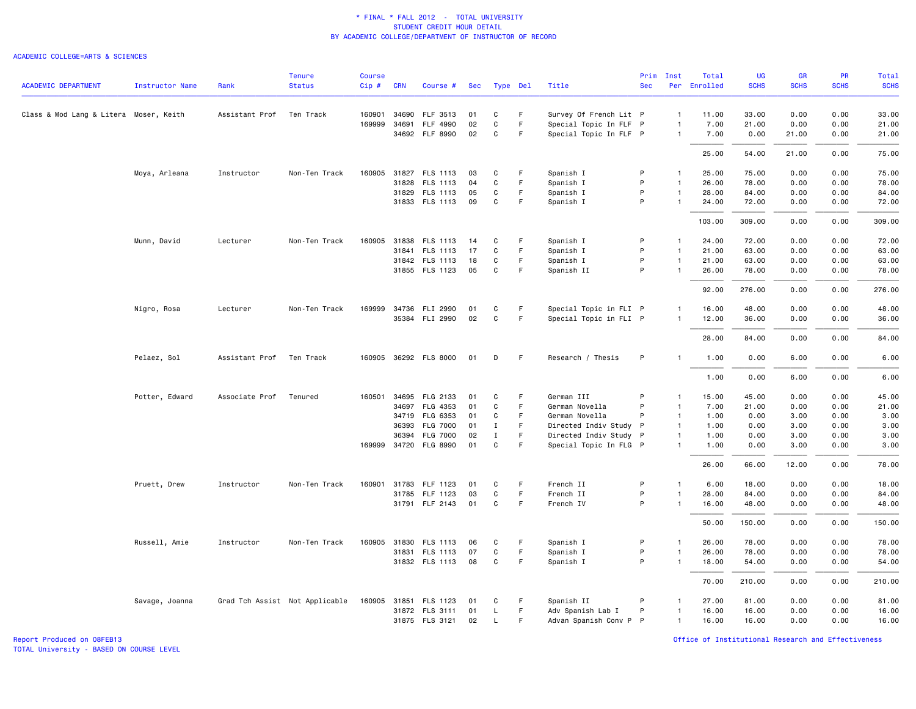#### ACADEMIC COLLEGE=ARTS & SCIENCES

|                                        |                 |                | <b>Tenure</b>                  | <b>Course</b> |            |                       |     |              |          |                        | Prim       | Inst           | Total        | <b>UG</b>   | GR          | PR          | <b>Total</b> |
|----------------------------------------|-----------------|----------------|--------------------------------|---------------|------------|-----------------------|-----|--------------|----------|------------------------|------------|----------------|--------------|-------------|-------------|-------------|--------------|
| <b>ACADEMIC DEPARTMENT</b>             | Instructor Name | Rank           | <b>Status</b>                  | Cip#          | <b>CRN</b> | Course #              | Sec |              | Type Del | Title                  | <b>Sec</b> |                | Per Enrolled | <b>SCHS</b> | <b>SCHS</b> | <b>SCHS</b> | <b>SCHS</b>  |
| Class & Mod Lang & Litera Moser, Keith |                 | Assistant Prof | Ten Track                      | 160901        |            | 34690 FLF 3513        | 01  | C            | F.       | Survey Of French Lit P |            | 1              | 11.00        | 33.00       | 0.00        | 0.00        | 33.00        |
|                                        |                 |                |                                | 169999        | 34691      | FLF 4990              | 02  | C            | F        | Special Topic In FLF P |            | $\mathbf{1}$   | 7.00         | 21.00       | 0.00        | 0.00        | 21.00        |
|                                        |                 |                |                                |               |            | 34692 FLF 8990        | 02  | C            | F.       | Special Topic In FLF P |            | $\mathbf{1}$   | 7.00         | 0.00        | 21.00       | 0.00        | 21.00        |
|                                        |                 |                |                                |               |            |                       |     |              |          |                        |            |                | 25.00        | 54.00       | 21.00       | 0.00        | 75.00        |
|                                        | Moya, Arleana   | Instructor     | Non-Ten Track                  | 160905        |            | 31827 FLS 1113        | 03  | C            | F.       | Spanish I              | P          | $\mathbf{1}$   | 25.00        | 75.00       | 0.00        | 0.00        | 75.00        |
|                                        |                 |                |                                |               |            | 31828 FLS 1113        | 04  | $\mathtt{C}$ | F        | Spanish I              | P          | $\mathbf{1}$   | 26.00        | 78.00       | 0.00        | 0.00        | 78.00        |
|                                        |                 |                |                                |               |            | 31829 FLS 1113        | 05  | C            | F        | Spanish I              | P          | $\mathbf{1}$   | 28.00        | 84.00       | 0.00        | 0.00        | 84.00        |
|                                        |                 |                |                                |               |            | 31833 FLS 1113        | 09  | C            | F        | Spanish I              | P          | $\mathbf{1}$   | 24.00        | 72.00       | 0.00        | 0.00        | 72.00        |
|                                        |                 |                |                                |               |            |                       |     |              |          |                        |            |                | 103.00       | 309.00      | 0.00        | 0.00        | 309.00       |
|                                        | Munn, David     | Lecturer       | Non-Ten Track                  | 160905        |            | 31838 FLS 1113        | 14  | C            | F.       | Spanish I              | P          | $\mathbf{1}$   | 24.00        | 72.00       | 0.00        | 0.00        | 72.00        |
|                                        |                 |                |                                |               |            | 31841 FLS 1113        | 17  | $\mathtt{C}$ | F        | Spanish I              | P          | $\mathbf{1}$   | 21.00        | 63.00       | 0.00        | 0.00        | 63.00        |
|                                        |                 |                |                                |               |            | 31842 FLS 1113        | 18  | C            | F        | Spanish I              | P          | $\mathbf{1}$   | 21.00        | 63.00       | 0.00        | 0.00        | 63.00        |
|                                        |                 |                |                                |               |            | 31855 FLS 1123        | 05  | C            | F        | Spanish II             | P          | $\mathbf{1}$   | 26.00        | 78.00       | 0.00        | 0.00        | 78.00        |
|                                        |                 |                |                                |               |            |                       |     |              |          |                        |            |                |              |             |             |             |              |
|                                        |                 |                |                                |               |            |                       |     |              |          |                        |            |                | 92.00        | 276.00      | 0.00        | 0.00        | 276.00       |
|                                        | Nigro, Rosa     | Lecturer       | Non-Ten Track                  |               |            | 169999 34736 FLI 2990 | 01  | C            | F        | Special Topic in FLI P |            | -1             | 16.00        | 48.00       | 0.00        | 0.00        | 48.00        |
|                                        |                 |                |                                |               |            | 35384 FLI 2990        | 02  | $\mathsf{C}$ | F        | Special Topic in FLI P |            | $\mathbf{1}$   | 12.00        | 36.00       | 0.00        | 0.00        | 36.00        |
|                                        |                 |                |                                |               |            |                       |     |              |          |                        |            |                | 28.00        | 84.00       | 0.00        | 0.00        | 84.00        |
|                                        | Pelaez, Sol     | Assistant Prof | Ten Track                      |               |            | 160905 36292 FLS 8000 | 01  | D            | F        | Research / Thesis      | P          | -1             | 1.00         | 0.00        | 6.00        | 0.00        | 6.00         |
|                                        |                 |                |                                |               |            |                       |     |              |          |                        |            |                | 1.00         | 0.00        | 6.00        | 0.00        | 6.00         |
|                                        | Potter, Edward  | Associate Prof | Tenured                        | 160501        | 34695      | FLG 2133              | 01  | C            | F.       | German III             | P          | $\mathbf{1}$   | 15.00        | 45.00       | 0.00        | 0.00        | 45.00        |
|                                        |                 |                |                                |               | 34697      | FLG 4353              | 01  | $\mathtt{C}$ | F        | German Novella         | P          | $\mathbf{1}$   | 7.00         | 21.00       | 0.00        | 0.00        | 21.00        |
|                                        |                 |                |                                |               | 34719      | FLG 6353              | 01  | C            | F.       | German Novella         | P          | $\mathbf{1}$   | 1.00         | 0.00        | 3.00        | 0.00        | 3.00         |
|                                        |                 |                |                                |               | 36393      | <b>FLG 7000</b>       | 01  | $\mathbf I$  | F.       | Directed Indiv Study P |            | $\overline{1}$ | 1.00         | 0.00        | 3.00        | 0.00        | 3.00         |
|                                        |                 |                |                                |               | 36394      | <b>FLG 7000</b>       | 02  | $\mathbf{I}$ | F.       | Directed Indiv Study P |            | $\mathbf{1}$   | 1.00         | 0.00        | 3.00        | 0.00        | 3.00         |
|                                        |                 |                |                                |               |            | 169999 34720 FLG 8990 | 01  | $\mathtt{C}$ | F        | Special Topic In FLG P |            | $\mathbf{1}$   | 1.00         | 0.00        | 3.00        | 0.00        | 3.00         |
|                                        |                 |                |                                |               |            |                       |     |              |          |                        |            |                | 26.00        | 66.00       | 12.00       | 0.00        | 78.00        |
|                                        | Pruett, Drew    | Instructor     | Non-Ten Track                  |               |            | 160901 31783 FLF 1123 | 01  | C            | F.       | French II              | P          | $\mathbf{1}$   | 6.00         | 18.00       | 0.00        | 0.00        | 18.00        |
|                                        |                 |                |                                |               |            | 31785 FLF 1123        | 03  | $\mathtt{C}$ | F        | French II              | P          | $\mathbf{1}$   | 28.00        | 84.00       | 0.00        | 0.00        | 84.00        |
|                                        |                 |                |                                |               |            | 31791 FLF 2143        | 01  | $\mathtt{C}$ | F        | French IV              | P          | $\mathbf{1}$   | 16.00        | 48.00       | 0.00        | 0.00        | 48.00        |
|                                        |                 |                |                                |               |            |                       |     |              |          |                        |            |                | 50.00        | 150.00      | 0.00        | 0.00        | 150.00       |
|                                        | Russell, Amie   | Instructor     | Non-Ten Track                  |               |            | 160905 31830 FLS 1113 | 06  | C            | F        | Spanish I              | P          | $\mathbf{1}$   | 26.00        | 78.00       | 0.00        | 0.00        | 78.00        |
|                                        |                 |                |                                |               |            | 31831 FLS 1113        | 07  | $\mathtt{C}$ | F        | Spanish I              | P          | $\mathbf{1}$   | 26.00        | 78.00       | 0.00        | 0.00        | 78.00        |
|                                        |                 |                |                                |               |            | 31832 FLS 1113        | 08  | C            | F        | Spanish I              | P          | $\mathbf{1}$   | 18.00        | 54.00       | 0.00        | 0.00        | 54.00        |
|                                        |                 |                |                                |               |            |                       |     |              |          |                        |            |                | 70.00        | 210.00      | 0.00        | 0.00        | 210.00       |
|                                        | Savage, Joanna  |                | Grad Tch Assist Not Applicable | 160905 31851  |            | FLS 1123              | 01  | C            | F        | Spanish II             | P          | -1             | 27.00        | 81.00       | 0.00        | 0.00        | 81.00        |
|                                        |                 |                |                                |               |            | 31872 FLS 3111        | 01  | L.           | F.       | Adv Spanish Lab I      | P          | $\mathbf{1}$   | 16.00        | 16.00       | 0.00        | 0.00        | 16.00        |
|                                        |                 |                |                                |               |            | 31875 FLS 3121        | 02  | $\mathsf{L}$ | F        | Advan Spanish Conv P P |            | $\mathbf{1}$   | 16.00        | 16.00       | 0.00        | 0.00        | 16.00        |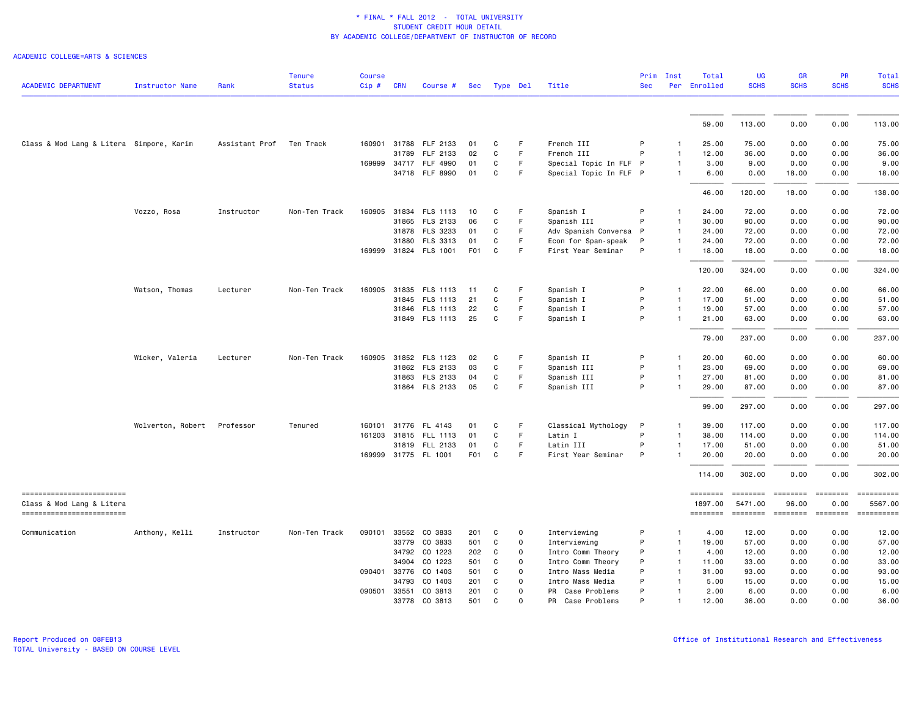ACADEMIC COLLEGE=ARTS & SCIENCES

|                                                         |                        |                | <b>Tenure</b> | <b>Course</b> |              |                       |                 |             |              |                        | Prim       | Inst           | Total               | UG                           | <b>GR</b>         | <b>PR</b>               | Total                                                                                                                                                                                                                                                                                                                                                                                                                                                                                             |
|---------------------------------------------------------|------------------------|----------------|---------------|---------------|--------------|-----------------------|-----------------|-------------|--------------|------------------------|------------|----------------|---------------------|------------------------------|-------------------|-------------------------|---------------------------------------------------------------------------------------------------------------------------------------------------------------------------------------------------------------------------------------------------------------------------------------------------------------------------------------------------------------------------------------------------------------------------------------------------------------------------------------------------|
| <b>ACADEMIC DEPARTMENT</b>                              | <b>Instructor Name</b> | Rank           | <b>Status</b> | $Cip$ #       | <b>CRN</b>   | Course #              | Sec             | Type Del    |              | Title                  | <b>Sec</b> |                | Per Enrolled        | <b>SCHS</b>                  | <b>SCHS</b>       | <b>SCHS</b>             | <b>SCHS</b>                                                                                                                                                                                                                                                                                                                                                                                                                                                                                       |
|                                                         |                        |                |               |               |              |                       |                 |             |              |                        |            |                | 59.00               | 113.00                       | 0.00              | 0.00                    | 113.00                                                                                                                                                                                                                                                                                                                                                                                                                                                                                            |
| Class & Mod Lang & Litera Simpore, Karim                |                        | Assistant Prof | Ten Track     |               | 160901 31788 | FLF 2133              | 01              | C           | F            | French III             | P          | $\mathbf{1}$   | 25.00               | 75.00                        | 0.00              | 0.00                    | 75.00                                                                                                                                                                                                                                                                                                                                                                                                                                                                                             |
|                                                         |                        |                |               |               | 31789        | FLF 2133              | 02              | C           | $\mathsf F$  | French III             | P          | $\mathbf{1}$   | 12.00               | 36.00                        | 0.00              | 0.00                    | 36.00                                                                                                                                                                                                                                                                                                                                                                                                                                                                                             |
|                                                         |                        |                |               |               |              | 169999 34717 FLF 4990 | 01              | C           | F.           | Special Topic In FLF P |            | $\mathbf{1}$   | 3.00                | 9.00                         | 0.00              | 0.00                    | 9.00                                                                                                                                                                                                                                                                                                                                                                                                                                                                                              |
|                                                         |                        |                |               |               |              | 34718 FLF 8990        | 01              | C           | F            | Special Topic In FLF P |            | $\mathbf{1}$   | 6.00                | 0.00                         | 18.00             | 0.00                    | 18.00                                                                                                                                                                                                                                                                                                                                                                                                                                                                                             |
|                                                         |                        |                |               |               |              |                       |                 |             |              |                        |            |                | 46.00               | 120.00                       | 18.00             | 0.00                    | 138.00                                                                                                                                                                                                                                                                                                                                                                                                                                                                                            |
|                                                         | Vozzo, Rosa            | Instructor     | Non-Ten Track | 160905        |              | 31834 FLS 1113        | 10              | C           | F            | Spanish I              | P          | -1             | 24.00               | 72.00                        | 0.00              | 0.00                    | 72.00                                                                                                                                                                                                                                                                                                                                                                                                                                                                                             |
|                                                         |                        |                |               |               | 31865        | FLS 2133              | 06              | C           | F            | Spanish III            | P          | $\mathbf{1}$   | 30.00               | 90.00                        | 0.00              | 0.00                    | 90.00                                                                                                                                                                                                                                                                                                                                                                                                                                                                                             |
|                                                         |                        |                |               |               |              | 31878 FLS 3233        | 01              | C           | F            | Adv Spanish Conversa P |            | $\overline{1}$ | 24.00               | 72.00                        | 0.00              | 0.00                    | 72.00                                                                                                                                                                                                                                                                                                                                                                                                                                                                                             |
|                                                         |                        |                |               |               | 31880        | FLS 3313              | 01              | C           | F            | Econ for Span-speak    | P          | $\mathbf{1}$   | 24.00               | 72.00                        | 0.00              | 0.00                    | 72.00                                                                                                                                                                                                                                                                                                                                                                                                                                                                                             |
|                                                         |                        |                |               |               |              | 169999 31824 FLS 1001 | F01             | C.          | E            | First Year Seminar     | P          | $\mathbf{1}$   | 18.00               | 18.00                        | 0.00              | 0.00                    | 18.00                                                                                                                                                                                                                                                                                                                                                                                                                                                                                             |
|                                                         |                        |                |               |               |              |                       |                 |             |              |                        |            |                | 120.00              | 324.00                       | 0.00              | 0.00                    | 324.00                                                                                                                                                                                                                                                                                                                                                                                                                                                                                            |
|                                                         | Watson, Thomas         | Lecturer       | Non-Ten Track |               |              | 160905 31835 FLS 1113 | 11              | C           | F            | Spanish I              | P          | $\mathbf{1}$   | 22.00               | 66.00                        | 0.00              | 0.00                    | 66.00                                                                                                                                                                                                                                                                                                                                                                                                                                                                                             |
|                                                         |                        |                |               |               | 31845        | <b>FLS 1113</b>       | 21              | C           | F.           | Spanish I              | P          | $\mathbf{1}$   | 17.00               | 51.00                        | 0.00              | 0.00                    | 51.00                                                                                                                                                                                                                                                                                                                                                                                                                                                                                             |
|                                                         |                        |                |               |               |              | 31846 FLS 1113        | 22              | C           | F            | Spanish I              | P          | $\mathbf{1}$   | 19.00               | 57.00                        | 0.00              | 0.00                    | 57.00                                                                                                                                                                                                                                                                                                                                                                                                                                                                                             |
|                                                         |                        |                |               |               |              | 31849 FLS 1113        | 25              | C           | F            | Spanish I              | P          | $\overline{1}$ | 21.00               | 63.00                        | 0.00              | 0.00                    | 63.00                                                                                                                                                                                                                                                                                                                                                                                                                                                                                             |
|                                                         |                        |                |               |               |              |                       |                 |             |              |                        |            |                | 79.00               | 237.00                       | 0.00              | 0.00                    | 237.00                                                                                                                                                                                                                                                                                                                                                                                                                                                                                            |
|                                                         | Wicker, Valeria        | Lecturer       | Non-Ten Track |               |              | 160905 31852 FLS 1123 | 02              | C           | F.           | Spanish II             | P          | -1             | 20.00               | 60.00                        | 0.00              | 0.00                    | 60.00                                                                                                                                                                                                                                                                                                                                                                                                                                                                                             |
|                                                         |                        |                |               |               |              | 31862 FLS 2133        | 03              | $\mathbf C$ | $\mathsf F$  | Spanish III            | P          | $\overline{1}$ | 23.00               | 69.00                        | 0.00              | 0.00                    | 69.00                                                                                                                                                                                                                                                                                                                                                                                                                                                                                             |
|                                                         |                        |                |               |               |              | 31863 FLS 2133        | 04              | C           | F            | Spanish III            | P          | $\mathbf{1}$   | 27.00               | 81.00                        | 0.00              | 0.00                    | 81.00                                                                                                                                                                                                                                                                                                                                                                                                                                                                                             |
|                                                         |                        |                |               |               |              | 31864 FLS 2133        | 05              | C           | F            | Spanish III            | P          | -1             | 29.00               | 87.00                        | 0.00              | 0.00                    | 87.00                                                                                                                                                                                                                                                                                                                                                                                                                                                                                             |
|                                                         |                        |                |               |               |              |                       |                 |             |              |                        |            |                | 99.00               | 297.00                       | 0.00              | 0.00                    | 297.00                                                                                                                                                                                                                                                                                                                                                                                                                                                                                            |
|                                                         | Wolverton, Robert      | Professor      | Tenured       | 160101 31776  |              | FL 4143               | 01              | C           | -F           | Classical Mythology    | P          | $\mathbf{1}$   | 39.00               | 117.00                       | 0.00              | 0.00                    | 117.00                                                                                                                                                                                                                                                                                                                                                                                                                                                                                            |
|                                                         |                        |                |               |               |              | 161203 31815 FLL 1113 | 01              | C           | F            | Latin I                | P          | $\overline{1}$ | 38.00               | 114.00                       | 0.00              | 0.00                    | 114.00                                                                                                                                                                                                                                                                                                                                                                                                                                                                                            |
|                                                         |                        |                |               |               |              | 31819 FLL 2133        | 01              | C           | F            | Latin III              | P          | $\mathbf{1}$   | 17.00               | 51.00                        | 0.00              | 0.00                    | 51.00                                                                                                                                                                                                                                                                                                                                                                                                                                                                                             |
|                                                         |                        |                |               |               |              | 169999 31775 FL 1001  | F <sub>01</sub> | C           | F.           | First Year Seminar     | P          | $\mathbf{1}$   | 20.00               | 20.00                        | 0.00              | 0.00                    | 20.00                                                                                                                                                                                                                                                                                                                                                                                                                                                                                             |
|                                                         |                        |                |               |               |              |                       |                 |             |              |                        |            |                | 114.00              | 302.00                       | 0.00              | 0.00                    | 302.00                                                                                                                                                                                                                                                                                                                                                                                                                                                                                            |
| ==========================<br>Class & Mod Lang & Litera |                        |                |               |               |              |                       |                 |             |              |                        |            |                | ========<br>1897.00 | $=$ = = = = = = =<br>5471.00 | ========<br>96.00 | <b>EBBEBBBB</b><br>0.00 | $\begin{array}{cccccccccc} \multicolumn{2}{c}{} & \multicolumn{2}{c}{} & \multicolumn{2}{c}{} & \multicolumn{2}{c}{} & \multicolumn{2}{c}{} & \multicolumn{2}{c}{} & \multicolumn{2}{c}{} & \multicolumn{2}{c}{} & \multicolumn{2}{c}{} & \multicolumn{2}{c}{} & \multicolumn{2}{c}{} & \multicolumn{2}{c}{} & \multicolumn{2}{c}{} & \multicolumn{2}{c}{} & \multicolumn{2}{c}{} & \multicolumn{2}{c}{} & \multicolumn{2}{c}{} & \multicolumn{2}{c}{} & \multicolumn{2}{c}{} & \mult$<br>5567.00 |
| -------------------------                               |                        |                |               |               |              |                       |                 |             |              |                        |            |                | ========            | -------- -------             |                   |                         | $\begin{minipage}{0.03\linewidth} \hspace*{-0.2cm} \textbf{if} \hspace*{-0.3cm} \textbf{if} \hspace*{-0.3cm} \textbf{if} \hspace*{-0.3cm} \textbf{if} \hspace*{-0.3cm} \textbf{if} \hspace*{-0.3cm} \textbf{if} \hspace*{-0.3cm} \textbf{if} \hspace*{-0.3cm} \textbf{if} \hspace*{-0.3cm} \textbf{if} \hspace*{-0.3cm} \textbf{if} \hspace*{-0.3cm} \textbf{if} \hspace*{-0.3cm} \textbf{if} \hspace*{-0.3cm} \textbf{$                                                                          |
| Communication                                           | Anthony, Kelli         | Instructor     | Non-Ten Track | 090101        | 33552        | CO 3833               | 201             | C           | 0            | Interviewing           | P          | $\overline{1}$ | 4.00                | 12.00                        | 0.00              | 0.00                    | 12.00                                                                                                                                                                                                                                                                                                                                                                                                                                                                                             |
|                                                         |                        |                |               |               | 33779        | CO 3833               | 501             | C           | $\mathsf{o}$ | Interviewing           | P          | $\mathbf{1}$   | 19.00               | 57.00                        | 0.00              | 0.00                    | 57.00                                                                                                                                                                                                                                                                                                                                                                                                                                                                                             |
|                                                         |                        |                |               |               | 34792        | CO 1223               | 202             | C           | $\Omega$     | Intro Comm Theory      | P          | $\mathbf{1}$   | 4.00                | 12.00                        | 0.00              | 0.00                    | 12.00                                                                                                                                                                                                                                                                                                                                                                                                                                                                                             |
|                                                         |                        |                |               |               | 34904        | CO 1223               | 501             | C           | $\Omega$     | Intro Comm Theory      | P          | $\overline{1}$ | 11.00               | 33.00                        | 0.00              | 0.00                    | 33.00                                                                                                                                                                                                                                                                                                                                                                                                                                                                                             |
|                                                         |                        |                |               | 090401 33776  |              | CO 1403               | 501             | C           | $\Omega$     | Intro Mass Media       | P          | $\mathbf{1}$   | 31.00               | 93.00                        | 0.00              | 0.00                    | 93.00                                                                                                                                                                                                                                                                                                                                                                                                                                                                                             |
|                                                         |                        |                |               |               | 34793        | CO 1403               | 201             | C           | $\Omega$     | Intro Mass Media       | P          | $\mathbf{1}$   | 5.00                | 15.00                        | 0.00              | 0.00                    | 15.00                                                                                                                                                                                                                                                                                                                                                                                                                                                                                             |
|                                                         |                        |                |               | 090501        | 33551        | CO 3813               | 201             | C           | $\Omega$     | PR<br>Case Problems    | P          | $\mathbf{1}$   | 2.00                | 6.00                         | 0.00              | 0.00                    | 6.00                                                                                                                                                                                                                                                                                                                                                                                                                                                                                              |
|                                                         |                        |                |               |               | 33778        | CO 3813               | 501             | C           | $\Omega$     | PR Case Problems       | P          | $\mathbf{1}$   | 12.00               | 36.00                        | 0.00              | 0.00                    | 36.00                                                                                                                                                                                                                                                                                                                                                                                                                                                                                             |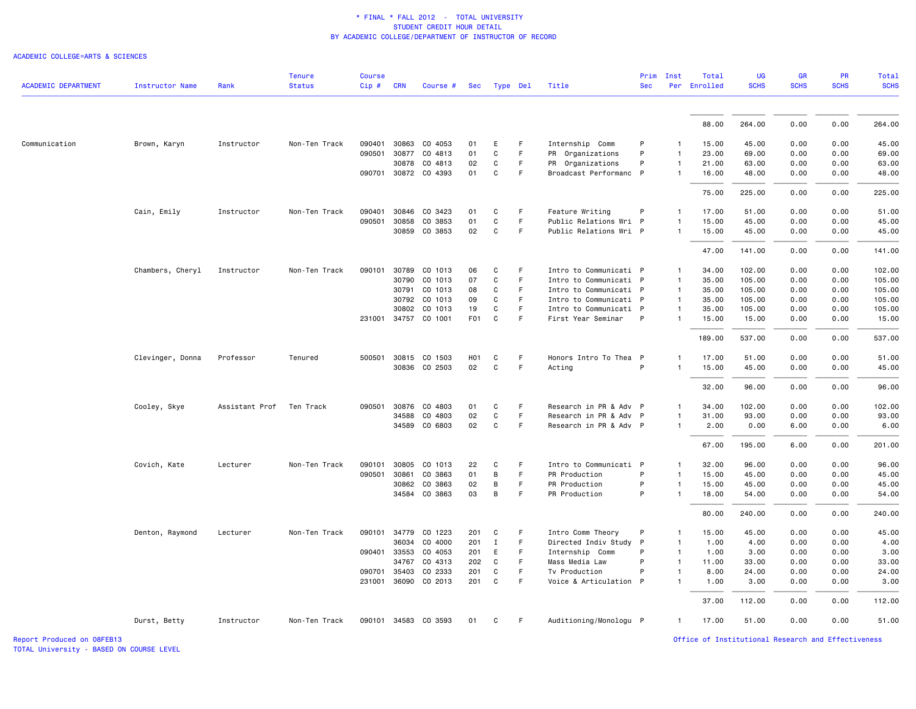#### ACADEMIC COLLEGE=ARTS & SCIENCES

| <b>ACADEMIC DEPARTMENT</b> | Instructor Name  | Rank           | <b>Tenure</b><br><b>Status</b> | <b>Course</b><br>$Cip$ # | <b>CRN</b>   | Course #             | Sec              |              | Type Del | Title                  | Prim<br><b>Sec</b> | Inst                         | Total<br>Per Enrolled | <b>UG</b><br><b>SCHS</b> | <b>GR</b><br><b>SCHS</b> | PR<br><b>SCHS</b> | <b>Total</b><br><b>SCHS</b> |
|----------------------------|------------------|----------------|--------------------------------|--------------------------|--------------|----------------------|------------------|--------------|----------|------------------------|--------------------|------------------------------|-----------------------|--------------------------|--------------------------|-------------------|-----------------------------|
|                            |                  |                |                                |                          |              |                      |                  |              |          |                        |                    |                              |                       |                          |                          |                   |                             |
|                            |                  |                |                                |                          |              |                      |                  |              |          |                        |                    |                              | 88.00                 | 264.00                   | 0.00                     | 0.00              | 264.00                      |
| Communication              | Brown, Karyn     | Instructor     | Non-Ten Track                  | 090401                   | 30863        | CO 4053              | 01               | E            | F        | Internship Comm        | P                  |                              | 15.00                 | 45.00                    | 0.00                     | 0.00              | 45.00                       |
|                            |                  |                |                                | 090501                   | 30877        | CO 4813              | 01               | C            | F.       | PR Organizations       | P                  | $\mathbf{1}$                 | 23.00                 | 69.00                    | 0.00                     | 0.00              | 69.00                       |
|                            |                  |                |                                |                          | 30878        | CO 4813              | 02               | C            | F        | PR Organizations       | P                  | $\mathbf{1}$                 | 21.00                 | 63.00                    | 0.00                     | 0.00              | 63.00                       |
|                            |                  |                |                                |                          |              | 090701 30872 CO 4393 | 01               | C            | F        | Broadcast Performanc P |                    | $\mathbf{1}$                 | 16.00                 | 48.00                    | 0.00                     | 0.00              | 48.00                       |
|                            |                  |                |                                |                          |              |                      |                  |              |          |                        |                    |                              | 75.00                 | 225.00                   | 0.00                     | 0.00              | 225.00                      |
|                            | Cain, Emily      | Instructor     | Non-Ten Track                  | 090401                   | 30846        | CO 3423              | 01               | C            | F.       | Feature Writing        | P                  | $\mathbf{1}$                 | 17.00                 | 51.00                    | 0.00                     | 0.00              | 51.00                       |
|                            |                  |                |                                |                          | 090501 30858 | CO 3853              | 01               | C            | F        | Public Relations Wri P |                    | $\mathbf{1}$                 | 15.00                 | 45.00                    | 0.00                     | 0.00              | 45.00                       |
|                            |                  |                |                                |                          |              | 30859 CO 3853        | 02               | $\mathtt{C}$ | F        | Public Relations Wri P |                    | $\mathbf{1}$                 | 15.00                 | 45.00                    | 0.00                     | 0.00              | 45.00                       |
|                            |                  |                |                                |                          |              |                      |                  |              |          |                        |                    |                              | 47.00                 | 141.00                   | 0.00                     | 0.00              | 141.00                      |
|                            | Chambers, Cheryl | Instructor     | Non-Ten Track                  | 090101                   | 30789        | CO 1013              | 06               | C            | F        | Intro to Communicati P |                    | $\mathbf{1}$                 | 34.00                 | 102.00                   | 0.00                     | 0.00              | 102.00                      |
|                            |                  |                |                                |                          | 30790        | CO 1013              | 07               | C            | F        | Intro to Communicati P |                    | $\overline{1}$               | 35.00                 | 105.00                   | 0.00                     | 0.00              | 105.00                      |
|                            |                  |                |                                |                          | 30791        | CO 1013              | 08               | C            | F.       | Intro to Communicati P |                    | $\mathbf{1}$                 | 35.00                 | 105.00                   | 0.00                     | 0.00              | 105.00                      |
|                            |                  |                |                                |                          | 30792        | CO 1013              | 09               | C            | F.       | Intro to Communicati P |                    | $\overline{1}$               | 35.00                 | 105.00                   | 0.00                     | 0.00              | 105.00                      |
|                            |                  |                |                                |                          | 30802        | CO 1013              | 19               | C            | F.       | Intro to Communicati P |                    | $\mathbf{1}$                 | 35.00                 | 105.00                   | 0.00                     | 0.00              | 105.00                      |
|                            |                  |                |                                |                          |              | 231001 34757 CO 1001 | F <sub>01</sub>  | $\mathbf c$  | F        | First Year Seminar     | P                  | $\mathbf{1}$                 | 15.00                 | 15.00                    | 0.00                     | 0.00              | 15.00                       |
|                            |                  |                |                                |                          |              |                      |                  |              |          |                        |                    |                              | 189.00                | 537.00                   | 0.00                     | 0.00              | 537.00                      |
|                            | Clevinger, Donna | Professor      | Tenured                        |                          | 500501 30815 | CO 1503              | H <sub>0</sub> 1 | C            | F        | Honors Intro To Thea P |                    | 1                            | 17.00                 | 51.00                    | 0.00                     | 0.00              | 51.00                       |
|                            |                  |                |                                |                          | 30836        | CO 2503              | 02               | C            | F        | Acting                 | P                  | $\mathbf{1}$                 | 15.00                 | 45.00                    | 0.00                     | 0.00              | 45.00                       |
|                            |                  |                |                                |                          |              |                      |                  |              |          |                        |                    |                              | 32.00                 | 96.00                    | 0.00                     | 0.00              | 96.00                       |
|                            | Cooley, Skye     | Assistant Prof | Ten Track                      | 090501                   | 30876        | CO 4803              | 01               | C            | F.       | Research in PR & Adv P |                    | $\mathbf{1}$                 | 34.00                 | 102.00                   | 0.00                     | 0.00              | 102.00                      |
|                            |                  |                |                                |                          | 34588        | CO 4803              | 02               | C            | F        | Research in PR & Adv P |                    | $\mathbf{1}$                 | 31.00                 | 93.00                    | 0.00                     | 0.00              | 93.00                       |
|                            |                  |                |                                |                          |              | 34589 CO 6803        | 02               | $\mathtt{C}$ | F.       | Research in PR & Adv P |                    | $\mathbf{1}$                 | 2.00                  | 0.00                     | 6.00                     | 0.00              | 6.00                        |
|                            |                  |                |                                |                          |              |                      |                  |              |          |                        |                    |                              | 67.00                 | 195.00                   | 6.00                     | 0.00              | 201.00                      |
|                            | Covich, Kate     | Lecturer       | Non-Ten Track                  | 090101                   | 30805        | CO 1013              | 22               | C            | F.       | Intro to Communicati P |                    | $\mathbf{1}$                 | 32.00                 | 96.00                    | 0.00                     | 0.00              | 96.00                       |
|                            |                  |                |                                |                          | 090501 30861 | CO 3863              | 01               | B            | F.       | PR Production          | P                  | $\mathbf{1}$                 | 15.00                 | 45.00                    | 0.00                     | 0.00              | 45.00                       |
|                            |                  |                |                                |                          | 30862        | CO 3863              | 02               | B            | F        | PR Production          | P                  | $\mathbf{1}$                 | 15.00                 | 45.00                    | 0.00                     | 0.00              | 45.00                       |
|                            |                  |                |                                |                          |              | 34584 CO 3863        | 03               | B            | F.       | PR Production          | P                  | $\mathbf{1}$                 | 18.00                 | 54.00                    | 0.00                     | 0.00              | 54.00                       |
|                            |                  |                |                                |                          |              |                      |                  |              |          |                        |                    |                              | 80.00                 | 240.00                   | 0.00                     | 0.00              | 240.00                      |
|                            | Denton, Raymond  | Lecturer       | Non-Ten Track                  | 090101                   | 34779        | CO 1223              | 201              | C            | F.       | Intro Comm Theory      | P                  | 1                            | 15.00                 | 45.00                    | 0.00                     | 0.00              | 45.00                       |
|                            |                  |                |                                |                          | 36034        | CO 4000              | 201              | $\mathbf I$  | F        | Directed Indiv Study   | $\mathsf{P}$       | $\mathbf{1}$                 | 1.00                  | 4.00                     | 0.00                     | 0.00              | 4.00                        |
|                            |                  |                |                                |                          | 090401 33553 | CO 4053              | 201              | E            | F.       | Internship Comm        | P                  | $\mathbf{1}$                 | 1.00                  | 3.00                     | 0.00                     | 0.00              | 3.00                        |
|                            |                  |                |                                |                          | 34767        | CO 4313              | 202              | C            | F.       | Mass Media Law         | P                  | $\overline{1}$               | 11.00                 | 33.00                    | 0.00                     | 0.00              | 33.00                       |
|                            |                  |                |                                | 090701                   | 35403        | CO 2333              | 201              | C            | F.       | Tv Production          | P                  | $\mathbf{1}$<br>$\mathbf{1}$ | 8.00                  | 24.00                    | 0.00                     | 0.00              | 24.00                       |
|                            |                  |                |                                |                          |              | 231001 36090 CO 2013 | 201              | C            | F        | Voice & Articulation P |                    |                              | 1.00                  | 3.00                     | 0.00                     | 0.00              | 3.00                        |
|                            |                  |                |                                |                          |              |                      |                  |              |          |                        |                    |                              | 37.00                 | 112.00                   | 0.00                     | 0.00              | 112.00                      |
|                            | Durst, Betty     | Instructor     | Non-Ten Track                  |                          |              | 090101 34583 CO 3593 | 01               | C            | F.       | Auditioning/Monologu P |                    | $\mathbf{1}$                 | 17.00                 | 51.00                    | 0.00                     | 0.00              | 51.00                       |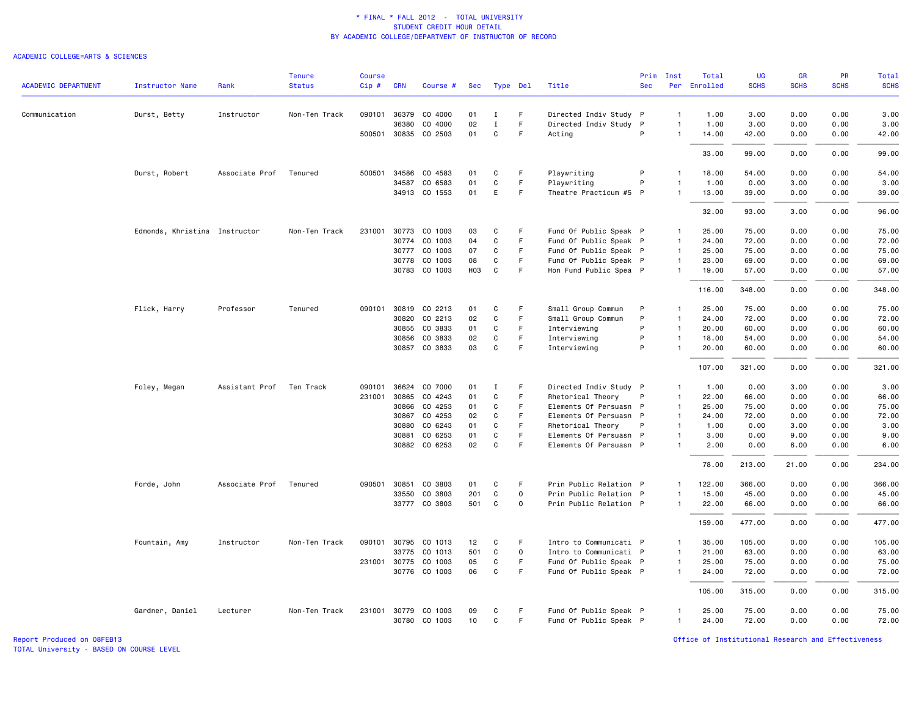#### ACADEMIC COLLEGE=ARTS & SCIENCES

|                            |                               |                | <b>Tenure</b> | <b>Course</b> |              |                      |                 |              |              |                        | Prim       | Inst           | Total        | UG          | <b>GR</b>   | <b>PR</b>   | Total       |
|----------------------------|-------------------------------|----------------|---------------|---------------|--------------|----------------------|-----------------|--------------|--------------|------------------------|------------|----------------|--------------|-------------|-------------|-------------|-------------|
| <b>ACADEMIC DEPARTMENT</b> | <b>Instructor Name</b>        | Rank           | <b>Status</b> | Cip#          | <b>CRN</b>   | Course #             | Sec             | Type Del     |              | Title                  | <b>Sec</b> |                | Per Enrolled | <b>SCHS</b> | <b>SCHS</b> | <b>SCHS</b> | <b>SCHS</b> |
| Communication              | Durst, Betty                  | Instructor     | Non-Ten Track | 090101        | 36379        | CO 4000              | 01              | Ι.           | F            | Directed Indiv Study P |            | $\mathbf{1}$   | 1.00         | 3.00        | 0.00        | 0.00        | 3.00        |
|                            |                               |                |               |               | 36380        | CO 4000              | 02              | $\mathbf I$  | F            | Directed Indiv Study P |            | $\mathbf{1}$   | 1.00         | 3.00        | 0.00        | 0.00        | 3.00        |
|                            |                               |                |               |               |              | 500501 30835 CO 2503 | 01              | C            | F.           | Acting                 | P          | $\mathbf{1}$   | 14.00        | 42.00       | 0.00        | 0.00        | 42.00       |
|                            |                               |                |               |               |              |                      |                 |              |              |                        |            |                | 33.00        | 99.00       | 0.00        | 0.00        | 99.00       |
|                            | Durst, Robert                 | Associate Prof | Tenured       | 500501        | 34586        | CO 4583              | 01              | C            | F.           | Playwriting            | P          | $\mathbf{1}$   | 18.00        | 54.00       | 0.00        | 0.00        | 54.00       |
|                            |                               |                |               |               | 34587        | CO 6583              | 01              | $\mathbf C$  | F            | Playwriting            | P          | $\overline{1}$ | 1.00         | 0.00        | 3.00        | 0.00        | 3.00        |
|                            |                               |                |               |               |              | 34913 CO 1553        | 01              | Ε            | F            | Theatre Practicum #5 P |            | $\mathbf{1}$   | 13.00        | 39.00       | 0.00        | 0.00        | 39.00       |
|                            |                               |                |               |               |              |                      |                 |              |              |                        |            |                | 32.00        | 93.00       | 3.00        | 0.00        | 96.00       |
|                            | Edmonds, Khristina Instructor |                | Non-Ten Track |               |              | 231001 30773 CO 1003 | 03              | C            | F.           | Fund Of Public Speak P |            | $\mathbf{1}$   | 25.00        | 75.00       | 0.00        | 0.00        | 75.00       |
|                            |                               |                |               |               | 30774        | CO 1003              | 04              | $\mathbf C$  | $\mathsf F$  | Fund Of Public Speak P |            | $\overline{1}$ | 24.00        | 72.00       | 0.00        | 0.00        | 72.00       |
|                            |                               |                |               |               | 30777        | CO 1003              | 07              | C            | F            | Fund Of Public Speak P |            | $\mathbf{1}$   | 25.00        | 75.00       | 0.00        | 0.00        | 75.00       |
|                            |                               |                |               |               | 30778        | CO 1003              | 08              | C            | F.           | Fund Of Public Speak P |            | $\mathbf{1}$   | 23.00        | 69.00       | 0.00        | 0.00        | 69.00       |
|                            |                               |                |               |               | 30783        | CO 1003              | H <sub>03</sub> | C            | F            | Hon Fund Public Spea P |            | $\mathbf{1}$   | 19.00        | 57.00       | 0.00        | 0.00        | 57.00       |
|                            |                               |                |               |               |              |                      |                 |              |              |                        |            |                | 116.00       | 348.00      | 0.00        | 0.00        | 348.00      |
|                            | Flick, Harry                  | Professor      | Tenured       | 090101        |              | 30819 CO 2213        | 01              | C            | F            | Small Group Commun     | P          | $\mathbf{1}$   | 25.00        | 75.00       | 0.00        | 0.00        | 75.00       |
|                            |                               |                |               |               | 30820        | CO 2213              | 02              | $\mathbf C$  | $\mathsf F$  | Small Group Commun     | P          | $\mathbf{1}$   | 24.00        | 72.00       | 0.00        | 0.00        | 72.00       |
|                            |                               |                |               |               | 30855        | CO 3833              | 01              | C            | $\mathsf F$  | Interviewing           | P          | $\mathbf{1}$   | 20.00        | 60.00       | 0.00        | 0.00        | 60.00       |
|                            |                               |                |               |               | 30856        | CO 3833              | 02              | C            | F            | Interviewing           | P          | $\mathbf{1}$   | 18.00        | 54.00       | 0.00        | 0.00        | 54.00       |
|                            |                               |                |               |               |              | 30857 CO 3833        | 03              | C            | F            | Interviewing           | P          | $\mathbf{1}$   | 20.00        | 60.00       | 0.00        | 0.00        | 60.00       |
|                            |                               |                |               |               |              |                      |                 |              |              |                        |            |                | 107.00       | 321.00      | 0.00        | 0.00        | 321.00      |
|                            | Foley, Megan                  | Assistant Prof | Ten Track     | 090101        | 36624        | CO 7000              | 01              | Ι.           | F            | Directed Indiv Study P |            | $\mathbf{1}$   | 1.00         | 0.00        | 3.00        | 0.00        | 3.00        |
|                            |                               |                |               | 231001        | 30865        | CO 4243              | 01              | $\mathbf C$  | $\mathsf F$  | Rhetorical Theory      | P          | $\overline{1}$ | 22.00        | 66.00       | 0.00        | 0.00        | 66.00       |
|                            |                               |                |               |               | 30866        | CO 4253              | 01              | C            | F            | Elements Of Persuasn P |            | $\overline{1}$ | 25.00        | 75.00       | 0.00        | 0.00        | 75.00       |
|                            |                               |                |               |               | 30867        | CO 4253              | 02              | C            | $\mathsf F$  | Elements Of Persuasn P |            | $\mathbf{1}$   | 24.00        | 72.00       | 0.00        | 0.00        | 72.00       |
|                            |                               |                |               |               | 30880        | CO 6243              | 01              | C            | $\mathsf F$  | Rhetorical Theory      | P          | $\mathbf{1}$   | 1.00         | 0.00        | 3.00        | 0.00        | 3.00        |
|                            |                               |                |               |               | 30881        | CO 6253              | 01              | C            | F.           | Elements Of Persuasn P |            | $\mathbf{1}$   | 3.00         | 0.00        | 9.00        | 0.00        | 9.00        |
|                            |                               |                |               |               |              | 30882 CO 6253        | 02              | $\mathbf C$  | $\mathsf F$  | Elements Of Persuasn P |            | $\mathbf{1}$   | 2.00         | 0.00        | 6.00        | 0.00        | 6.00        |
|                            |                               |                |               |               |              |                      |                 |              |              |                        |            |                | 78.00        | 213.00      | 21.00       | 0.00        | 234.00      |
|                            | Forde, John                   | Associate Prof | Tenured       |               |              | 090501 30851 CO 3803 | 01              | C            | -F           | Prin Public Relation P |            | $\mathbf{1}$   | 122.00       | 366.00      | 0.00        | 0.00        | 366.00      |
|                            |                               |                |               |               | 33550        | CO 3803              | 201             | $\mathtt{C}$ | $\mathsf{o}$ | Prin Public Relation P |            | $\mathbf{1}$   | 15.00        | 45.00       | 0.00        | 0.00        | 45.00       |
|                            |                               |                |               |               |              | 33777 CO 3803        | 501             | C            | 0            | Prin Public Relation P |            | $\mathbf{1}$   | 22.00        | 66.00       | 0.00        | 0.00        | 66.00       |
|                            |                               |                |               |               |              |                      |                 |              |              |                        |            |                | 159.00       | 477.00      | 0.00        | 0.00        | 477.00      |
|                            | Fountain, Amy                 | Instructor     | Non-Ten Track | 090101        | 30795        | CO 1013              | 12              | C            | F            | Intro to Communicati P |            | $\mathbf{1}$   | 35.00        | 105.00      | 0.00        | 0.00        | 105.00      |
|                            |                               |                |               |               | 33775        | CO 1013              | 501             | $\mathtt{C}$ | $\mathsf{o}$ | Intro to Communicati P |            | $\mathbf{1}$   | 21.00        | 63.00       | 0.00        | 0.00        | 63.00       |
|                            |                               |                |               | 231001        | 30775        | CO 1003              | 05              | C            | F.           | Fund Of Public Speak P |            | $\mathbf{1}$   | 25.00        | 75.00       | 0.00        | 0.00        | 75.00       |
|                            |                               |                |               |               |              | 30776 CO 1003        | 06              | $\mathtt{C}$ | F            | Fund Of Public Speak P |            | $\mathbf{1}$   | 24.00        | 72.00       | 0.00        | 0.00        | 72.00       |
|                            |                               |                |               |               |              |                      |                 |              |              |                        |            |                | 105.00       | 315.00      | 0.00        | 0.00        | 315.00      |
|                            | Gardner, Daniel               | Lecturer       | Non-Ten Track |               | 231001 30779 | CO 1003              | 09              | C            | -F           | Fund Of Public Speak P |            | $\mathbf{1}$   | 25.00        | 75.00       | 0.00        | 0.00        | 75.00       |
|                            |                               |                |               |               |              | 30780 CO 1003        | 10              | C            | F.           | Fund Of Public Speak P |            | $\mathbf{1}$   | 24.00        | 72.00       | 0.00        | 0.00        | 72.00       |
|                            |                               |                |               |               |              |                      |                 |              |              |                        |            |                |              |             |             |             |             |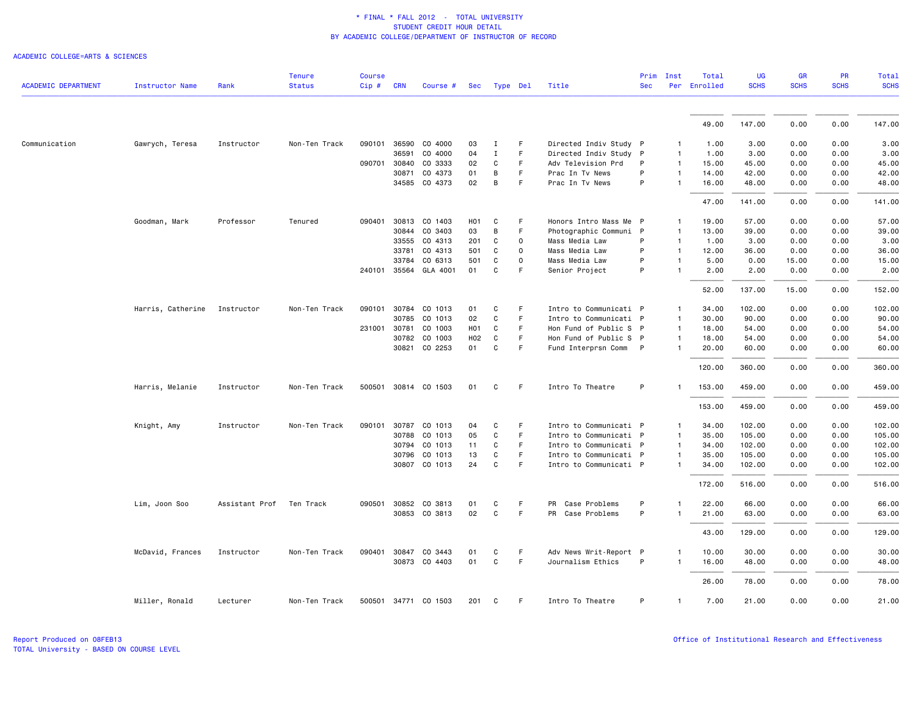|                            |                        |                | <b>Tenure</b> | <b>Course</b> |              |                      |                  |              |          |                        | Prim       | Inst           | Total        | <b>UG</b>   | <b>GR</b>   | PR          | <b>Total</b><br><b>SCHS</b> |
|----------------------------|------------------------|----------------|---------------|---------------|--------------|----------------------|------------------|--------------|----------|------------------------|------------|----------------|--------------|-------------|-------------|-------------|-----------------------------|
| <b>ACADEMIC DEPARTMENT</b> | <b>Instructor Name</b> | Rank           | <b>Status</b> | Cip#          | <b>CRN</b>   | Course #             | Sec              |              | Type Del | Title                  | <b>Sec</b> |                | Per Enrolled | <b>SCHS</b> | <b>SCHS</b> | <b>SCHS</b> |                             |
|                            |                        |                |               |               |              |                      |                  |              |          |                        |            |                | 49.00        | 147.00      | 0.00        | 0.00        | 147.00                      |
|                            |                        |                |               |               |              |                      |                  |              |          |                        |            |                |              |             |             |             |                             |
| Communication              | Gawrych, Teresa        | Instructor     | Non-Ten Track |               |              | 090101 36590 CO 4000 | 03               | п.           | F.       | Directed Indiv Study P |            | $\mathbf{1}$   | 1.00         | 3.00        | 0.00        | 0.00        | 3.00                        |
|                            |                        |                |               |               | 36591        | CO 4000              | 04               | $\mathbf I$  | F.       | Directed Indiv Study P |            | $\mathbf{1}$   | 1.00         | 3.00        | 0.00        | 0.00        | 3.00                        |
|                            |                        |                |               |               | 090701 30840 | CO 3333              | 02               | C            | F        | Adv Television Prd     | P          | $\mathbf{1}$   | 15.00        | 45.00       | 0.00        | 0.00        | 45.00                       |
|                            |                        |                |               |               | 30871        | CO 4373              | 01               | B            | F.       | Prac In Tv News        | P          | $\overline{1}$ | 14.00        | 42.00       | 0.00        | 0.00        | 42.00                       |
|                            |                        |                |               |               |              | 34585 CO 4373        | 02               | B            | F        | Prac In Tv News        | P          | $\mathbf{1}$   | 16.00        | 48.00       | 0.00        | 0.00        | 48.00                       |
|                            |                        |                |               |               |              |                      |                  |              |          |                        |            |                | 47.00        | 141.00      | 0.00        | 0.00        | 141.00                      |
|                            | Goodman, Mark          | Professor      | Tenured       | 090401        | 30813        | CO 1403              | H <sub>0</sub> 1 | C            | F        | Honors Intro Mass Me P |            | 1              | 19.00        | 57.00       | 0.00        | 0.00        | 57.00                       |
|                            |                        |                |               |               | 30844        | CO 3403              | 03               | B            | F        | Photographic Communi P |            | $\mathbf{1}$   | 13.00        | 39.00       | 0.00        | 0.00        | 39.00                       |
|                            |                        |                |               |               | 33555        | CO 4313              | 201              | C            | 0        | Mass Media Law         | P          | $\overline{1}$ | 1.00         | 3.00        | 0.00        | 0.00        | 3.00                        |
|                            |                        |                |               |               | 33781        | CO 4313              | 501              | C            | $\Omega$ | Mass Media Law         | P          | $\mathbf{1}$   | 12.00        | 36.00       | 0.00        | 0.00        | 36.00                       |
|                            |                        |                |               |               | 33784        | CO 6313              | 501              | C            | $\circ$  | Mass Media Law         | P          | $\mathbf{1}$   | 5.00         | 0.00        | 15.00       | 0.00        | 15.00                       |
|                            |                        |                |               |               | 240101 35564 | GLA 4001             | 01               | C            | F        | Senior Project         | P          | $\mathbf{1}$   | 2.00         | 2.00        | 0.00        | 0.00        | 2.00                        |
|                            |                        |                |               |               |              |                      |                  |              |          |                        |            |                | 52.00        | 137.00      | 15.00       | 0.00        | 152.00                      |
|                            | Harris, Catherine      | Instructor     | Non-Ten Track | 090101        | 30784        | CO 1013              | 01               | C            | F        | Intro to Communicati P |            | $\mathbf{1}$   | 34.00        | 102.00      | 0.00        | 0.00        | 102.00                      |
|                            |                        |                |               |               | 30785        | CO 1013              | 02               | C            | F.       | Intro to Communicati P |            | $\overline{1}$ | 30.00        | 90.00       | 0.00        | 0.00        | 90.00                       |
|                            |                        |                |               |               | 231001 30781 | CO 1003              | H <sub>0</sub> 1 | C            | F.       | Hon Fund of Public S P |            | $\mathbf{1}$   | 18.00        | 54.00       | 0.00        | 0.00        | 54.00                       |
|                            |                        |                |               |               | 30782        | CO 1003              | H02              | C            | F        | Hon Fund of Public S P |            | $\overline{1}$ | 18.00        | 54.00       | 0.00        | 0.00        | 54.00                       |
|                            |                        |                |               |               |              | 30821 CO 2253        | 01               | C            | F        | Fund Interprsn Comm P  |            | $\mathbf{1}$   | 20.00        | 60.00       | 0.00        | 0.00        | 60.00                       |
|                            |                        |                |               |               |              |                      |                  |              |          |                        |            |                | 120.00       | 360.00      | 0.00        | 0.00        | 360.00                      |
|                            | Harris, Melanie        | Instructor     | Non-Ten Track | 500501        |              | 30814 CO 1503        | 01               | C            | F.       | Intro To Theatre       | P          | 1              | 153.00       | 459.00      | 0.00        | 0.00        | 459.00                      |
|                            |                        |                |               |               |              |                      |                  |              |          |                        |            |                | 153.00       | 459.00      | 0.00        | 0.00        | 459.00                      |
|                            | Knight, Amy            | Instructor     | Non-Ten Track |               |              | 090101 30787 CO 1013 | 04               | C            | F        | Intro to Communicati P |            | 1              | 34.00        | 102.00      | 0.00        | 0.00        | 102.00                      |
|                            |                        |                |               |               |              | 30788 CO 1013        | 05               | C            | F.       | Intro to Communicati P |            | $\mathbf{1}$   | 35.00        | 105.00      | 0.00        | 0.00        | 105.00                      |
|                            |                        |                |               |               | 30794        | CO 1013              | 11               | C            | F.       | Intro to Communicati P |            | $\mathbf{1}$   | 34.00        | 102.00      | 0.00        | 0.00        | 102.00                      |
|                            |                        |                |               |               | 30796        | CO 1013              | 13               | C            | F        | Intro to Communicati P |            | $\mathbf{1}$   | 35.00        | 105.00      | 0.00        | 0.00        | 105.00                      |
|                            |                        |                |               |               |              | 30807 CO 1013        | 24               | C            | F        | Intro to Communicati P |            | $\mathbf{1}$   | 34.00        | 102.00      | 0.00        | 0.00        | 102.00                      |
|                            |                        |                |               |               |              |                      |                  |              |          |                        |            |                | 172.00       | 516.00      | 0.00        | 0.00        | 516.00                      |
|                            | Lim, Joon Soo          | Assistant Prof | Ten Track     |               |              | 090501 30852 CO 3813 | 01               | C            | F.       | Case Problems<br>PR    | P          |                | 22.00        | 66.00       | 0.00        | 0.00        | 66.00                       |
|                            |                        |                |               |               |              | 30853 CO 3813        | 02               | $\mathtt{C}$ | F.       | PR Case Problems       | P          | $\mathbf{1}$   | 21.00        | 63.00       | 0.00        | 0.00        | 63.00                       |
|                            |                        |                |               |               |              |                      |                  |              |          |                        |            |                | 43.00        | 129.00      | 0.00        | 0.00        | 129.00                      |
|                            | McDavid, Frances       | Instructor     | Non-Ten Track | 090401        | 30847        | CO 3443              | 01               | C            | F.       | Adv News Writ-Report P |            | 1              | 10.00        | 30.00       | 0.00        | 0.00        | 30.00                       |
|                            |                        |                |               |               |              | 30873 CO 4403        | 01               | C            | F.       | Journalism Ethics      | P          | $\mathbf{1}$   | 16.00        | 48.00       | 0.00        | 0.00        | 48.00                       |
|                            |                        |                |               |               |              |                      |                  |              |          |                        |            |                | 26.00        | 78.00       | 0.00        | 0.00        | 78.00                       |
|                            | Miller, Ronald         | Lecturer       | Non-Ten Track |               |              | 500501 34771 CO 1503 | 201              | C            | F        | Intro To Theatre       | P          | $\mathbf{1}$   | 7.00         | 21.00       | 0.00        | 0.00        | 21.00                       |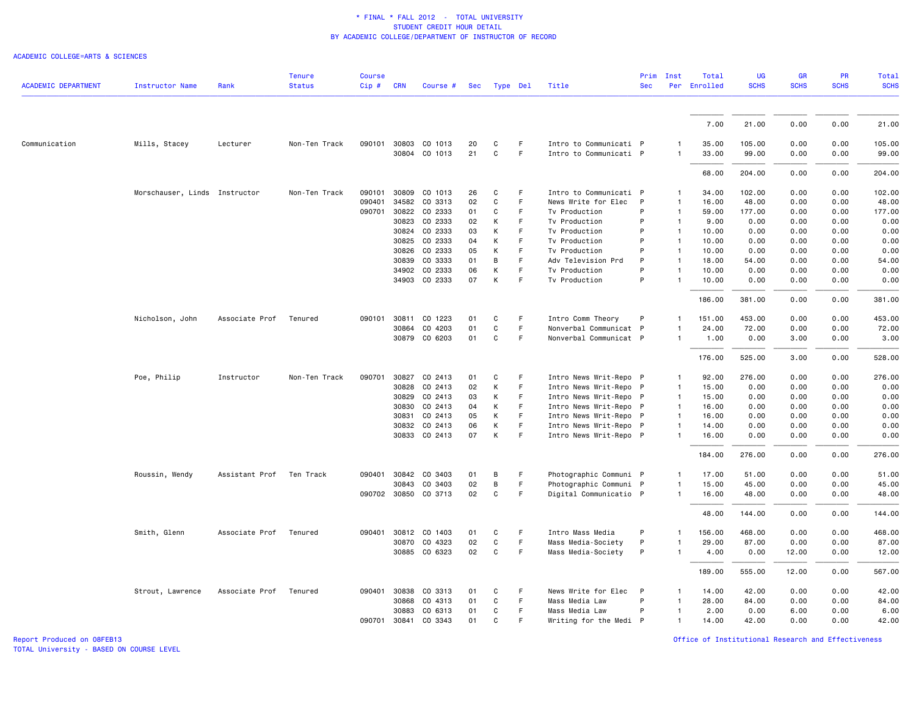#### ACADEMIC COLLEGE=ARTS & SCIENCES

| <b>ACADEMIC DEPARTMENT</b> | Instructor Name               | Rank           | <b>Tenure</b><br><b>Status</b> | <b>Course</b><br>Cip# | <b>CRN</b>   | Course #             | Sec |              | Type Del | Title                  | Prim<br><b>Sec</b> | Inst<br>Per    | Total<br>Enrolled | <b>UG</b><br><b>SCHS</b> | GR<br><b>SCHS</b> | PR<br><b>SCHS</b> | <b>Total</b><br><b>SCHS</b> |
|----------------------------|-------------------------------|----------------|--------------------------------|-----------------------|--------------|----------------------|-----|--------------|----------|------------------------|--------------------|----------------|-------------------|--------------------------|-------------------|-------------------|-----------------------------|
|                            |                               |                |                                |                       |              |                      |     |              |          |                        |                    |                |                   |                          |                   |                   |                             |
|                            |                               |                |                                |                       |              |                      |     |              |          |                        |                    |                | 7.00              | 21.00                    | 0.00              | 0.00              | 21.00                       |
| Communication              | Mills, Stacey                 | Lecturer       | Non-Ten Track                  | 090101                | 30803        | CO 1013              | 20  | C            | F.       | Intro to Communicati P |                    |                | 35.00             | 105.00                   | 0.00              | 0.00              | 105.00                      |
|                            |                               |                |                                |                       |              | 30804 CO 1013        | 21  | C            | F        | Intro to Communicati P |                    | $\mathbf{1}$   | 33.00             | 99.00                    | 0.00              | 0.00              | 99.00                       |
|                            |                               |                |                                |                       |              |                      |     |              |          |                        |                    |                | 68.00             | 204.00                   | 0.00              | 0.00              | 204.00                      |
|                            | Morschauser, Linds Instructor |                | Non-Ten Track                  | 090101                | 30809        | CO 1013              | 26  | C            | F        | Intro to Communicati P |                    | 1              | 34.00             | 102.00                   | 0.00              | 0.00              | 102.00                      |
|                            |                               |                |                                | 090401                | 34582        | CO 3313              | 02  | C            | F        | News Write for Elec    | P                  | $\mathbf{1}$   | 16.00             | 48.00                    | 0.00              | 0.00              | 48.00                       |
|                            |                               |                |                                | 090701                | 30822        | CO 2333              | 01  | C            | F        | Tv Production          | P                  | $\mathbf{1}$   | 59.00             | 177.00                   | 0.00              | 0.00              | 177.00                      |
|                            |                               |                |                                |                       | 30823        | CO 2333              | 02  | К            | F        | Tv Production          | P                  | $\mathbf{1}$   | 9.00              | 0.00                     | 0.00              | 0.00              | 0.00                        |
|                            |                               |                |                                |                       | 30824        | CO 2333              | 03  | К            | F        | Tv Production          | P                  | $\overline{1}$ | 10.00             | 0.00                     | 0.00              | 0.00              | 0.00                        |
|                            |                               |                |                                |                       | 30825        | CO 2333              | 04  | К            | F        | Tv Production          | P                  | $\mathbf{1}$   | 10.00             | 0.00                     | 0.00              | 0.00              | 0.00                        |
|                            |                               |                |                                |                       | 30826        | CO 2333              | 05  | К            | F        | Tv Production          | P                  | $\mathbf{1}$   | 10.00             | 0.00                     | 0.00              | 0.00              | 0.00                        |
|                            |                               |                |                                |                       | 30839        | CO 3333              | 01  | B            | F.       | Adv Television Prd     | P                  | $\mathbf{1}$   | 18.00             | 54.00                    | 0.00              | 0.00              | 54.00                       |
|                            |                               |                |                                |                       | 34902        | CO 2333              | 06  | К            | F.       | Tv Production          | P                  | $\mathbf{1}$   | 10.00             | 0.00                     | 0.00              | 0.00              | 0.00                        |
|                            |                               |                |                                |                       |              | 34903 CO 2333        | 07  | К            | F        | Tv Production          | P                  |                | 10.00             | 0.00                     | 0.00              | 0.00              | 0.00                        |
|                            |                               |                |                                |                       |              |                      |     |              |          |                        |                    |                | 186.00            | 381.00                   | 0.00              | 0.00              | 381.00                      |
|                            | Nicholson, John               | Associate Prof | Tenured                        | 090101                | 30811        | CO 1223              | 01  | C            | F        | Intro Comm Theory      | P                  | $\mathbf{1}$   | 151.00            | 453.00                   | 0.00              | 0.00              | 453.00                      |
|                            |                               |                |                                |                       | 30864        | CO 4203              | 01  | C            | F        | Nonverbal Communicat P |                    | $\mathbf{1}$   | 24.00             | 72.00                    | 0.00              | 0.00              | 72.00                       |
|                            |                               |                |                                |                       |              | 30879 CO 6203        | 01  | $\mathtt{C}$ | F        | Nonverbal Communicat P |                    | -1             | 1.00              | 0.00                     | 3.00              | 0.00              | 3.00                        |
|                            |                               |                |                                |                       |              |                      |     |              |          |                        |                    |                | 176.00            | 525.00                   | 3.00              | 0.00              | 528.00                      |
|                            | Poe, Philip                   | Instructor     | Non-Ten Track                  | 090701                | 30827        | CO 2413              | 01  | C            | F        | Intro News Writ-Repo P |                    | 1              | 92.00             | 276.00                   | 0.00              | 0.00              | 276.00                      |
|                            |                               |                |                                |                       |              | 30828 CO 2413        | 02  | К            | F        | Intro News Writ-Repo P |                    | $\mathbf{1}$   | 15.00             | 0.00                     | 0.00              | 0.00              | 0.00                        |
|                            |                               |                |                                |                       | 30829        | CO 2413              | 03  | К            | F.       | Intro News Writ-Repo P |                    | $\mathbf{1}$   | 15.00             | 0.00                     | 0.00              | 0.00              | 0.00                        |
|                            |                               |                |                                |                       | 30830        | CO 2413              | 04  | K            | F        | Intro News Writ-Repo P |                    | $\overline{1}$ | 16.00             | 0.00                     | 0.00              | 0.00              | 0.00                        |
|                            |                               |                |                                |                       | 30831        | CO 2413              | 05  | К            | F.       | Intro News Writ-Repo P |                    | $\overline{1}$ | 16.00             | 0.00                     | 0.00              | 0.00              | 0.00                        |
|                            |                               |                |                                |                       | 30832        | CO 2413              | 06  | К            | F        | Intro News Writ-Repo P |                    | $\mathbf{1}$   | 14.00             | 0.00                     | 0.00              | 0.00              | 0.00                        |
|                            |                               |                |                                |                       |              | 30833 CO 2413        | 07  | К            | F        | Intro News Writ-Repo P |                    | $\mathbf{1}$   | 16.00             | 0.00                     | 0.00              | 0.00              | 0.00                        |
|                            |                               |                |                                |                       |              |                      |     |              |          |                        |                    |                | 184.00            | 276.00                   | 0.00              | 0.00              | 276.00                      |
|                            | Roussin, Wendy                | Assistant Prof | Ten Track                      |                       | 090401 30842 | CO 3403              | 01  | В            | F        | Photographic Communi P |                    | 1              | 17.00             | 51.00                    | 0.00              | 0.00              | 51.00                       |
|                            |                               |                |                                |                       | 30843        | CO 3403              | 02  | B            | F        | Photographic Communi P |                    | $\mathbf{1}$   | 15.00             | 45.00                    | 0.00              | 0.00              | 45.00                       |
|                            |                               |                |                                |                       |              | 090702 30850 CO 3713 | 02  | C            | F        | Digital Communicatio P |                    |                | 16.00             | 48.00                    | 0.00              | 0.00              | 48.00                       |
|                            |                               |                |                                |                       |              |                      |     |              |          |                        |                    |                | 48.00             | 144.00                   | 0.00              | 0.00              | 144.00                      |
|                            | Smith, Glenn                  | Associate Prof | Tenured                        | 090401                | 30812        | CO 1403              | 01  | C            | F.       | Intro Mass Media       | P                  | $\mathbf{1}$   | 156.00            | 468.00                   | 0.00              | 0.00              | 468.00                      |
|                            |                               |                |                                |                       | 30870        | CO 4323              | 02  | C            | F.       | Mass Media-Society     | P                  | 1              | 29.00             | 87.00                    | 0.00              | 0.00              | 87.00                       |
|                            |                               |                |                                |                       |              | 30885 CO 6323        | 02  | C            | F.       | Mass Media-Society     | P                  | $\mathbf{1}$   | 4.00              | 0.00                     | 12.00             | 0.00              | 12.00                       |
|                            |                               |                |                                |                       |              |                      |     |              |          |                        |                    |                | 189.00            | 555.00                   | 12.00             | 0.00              | 567.00                      |
|                            | Strout, Lawrence              | Associate Prof | Tenured                        | 090401                | 30838        | CO 3313              | 01  | C            | F        | News Write for Elec    | P                  | $\mathbf{1}$   | 14.00             | 42.00                    | 0.00              | 0.00              | 42.00                       |
|                            |                               |                |                                |                       | 30868        | CO 4313              | 01  | C            | F        | Mass Media Law         | P                  | $\mathbf{1}$   | 28.00             | 84.00                    | 0.00              | 0.00              | 84.00                       |
|                            |                               |                |                                |                       | 30883        | CO 6313              | 01  | C            | F.       | Mass Media Law         | P                  | $\mathbf{1}$   | 2.00              | 0.00                     | 6.00              | 0.00              | 6.00                        |
|                            |                               |                |                                | 090701                | 30841        | CO 3343              | 01  | C            | F        | Writing for the Medi P |                    | 1              | 14.00             | 42.00                    | 0.00              | 0.00              | 42.00                       |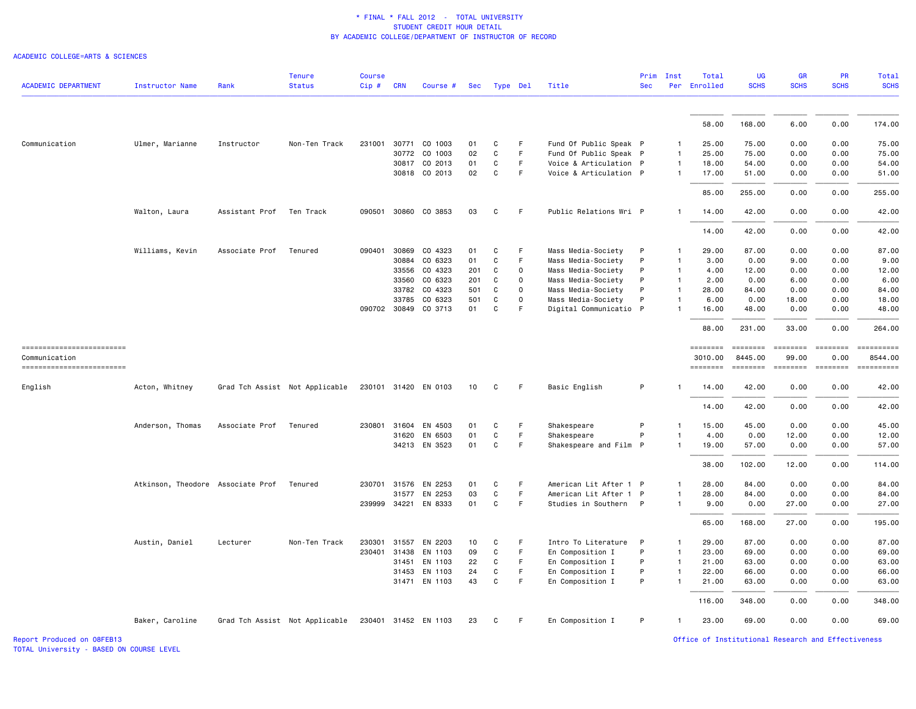ACADEMIC COLLEGE=ARTS & SCIENCES

| <b>ACADEMIC DEPARTMENT</b>                 | <b>Instructor Name</b>            | Rank           | <b>Tenure</b><br><b>Status</b> | <b>Course</b><br>Cip# | <b>CRN</b> | Course #             | Sec | Type Del     |                     | Title                  | Prim<br><b>Sec</b> | Inst         | Total<br>Per Enrolled | <b>UG</b><br><b>SCHS</b>  | <b>GR</b><br><b>SCHS</b>                                                                                                                                                                                                                                                                                                                                                                                                                                                               | <b>PR</b><br><b>SCHS</b>                                                                                                                                                                                                                                                                                                                                                                                                                                                               | <b>Total</b><br><b>SCHS</b>                                                                                                                                                                                                                                                                                                                                                                                                                                                                          |
|--------------------------------------------|-----------------------------------|----------------|--------------------------------|-----------------------|------------|----------------------|-----|--------------|---------------------|------------------------|--------------------|--------------|-----------------------|---------------------------|----------------------------------------------------------------------------------------------------------------------------------------------------------------------------------------------------------------------------------------------------------------------------------------------------------------------------------------------------------------------------------------------------------------------------------------------------------------------------------------|----------------------------------------------------------------------------------------------------------------------------------------------------------------------------------------------------------------------------------------------------------------------------------------------------------------------------------------------------------------------------------------------------------------------------------------------------------------------------------------|------------------------------------------------------------------------------------------------------------------------------------------------------------------------------------------------------------------------------------------------------------------------------------------------------------------------------------------------------------------------------------------------------------------------------------------------------------------------------------------------------|
|                                            |                                   |                |                                |                       |            |                      |     |              |                     |                        |                    |              | 58.00                 | 168.00                    | 6.00                                                                                                                                                                                                                                                                                                                                                                                                                                                                                   | 0.00                                                                                                                                                                                                                                                                                                                                                                                                                                                                                   | 174.00                                                                                                                                                                                                                                                                                                                                                                                                                                                                                               |
|                                            |                                   |                |                                |                       |            |                      |     |              |                     |                        |                    |              |                       |                           |                                                                                                                                                                                                                                                                                                                                                                                                                                                                                        |                                                                                                                                                                                                                                                                                                                                                                                                                                                                                        |                                                                                                                                                                                                                                                                                                                                                                                                                                                                                                      |
| Communication                              | Ulmer, Marianne                   | Instructor     | Non-Ten Track                  | 231001                |            | 30771 CO 1003        | 01  | C            | F                   | Fund Of Public Speak P |                    | 1            | 25.00                 | 75.00                     | 0.00                                                                                                                                                                                                                                                                                                                                                                                                                                                                                   | 0.00                                                                                                                                                                                                                                                                                                                                                                                                                                                                                   | 75.00                                                                                                                                                                                                                                                                                                                                                                                                                                                                                                |
|                                            |                                   |                |                                |                       | 30772      | CO 1003              | 02  | C            | F                   | Fund Of Public Speak P |                    | $\mathbf{1}$ | 25.00                 | 75.00                     | 0.00                                                                                                                                                                                                                                                                                                                                                                                                                                                                                   | 0.00                                                                                                                                                                                                                                                                                                                                                                                                                                                                                   | 75.00                                                                                                                                                                                                                                                                                                                                                                                                                                                                                                |
|                                            |                                   |                |                                |                       |            | 30817 CO 2013        | 01  | C            | F                   | Voice & Articulation P |                    | $\mathbf{1}$ | 18.00                 | 54.00                     | 0.00                                                                                                                                                                                                                                                                                                                                                                                                                                                                                   | 0.00                                                                                                                                                                                                                                                                                                                                                                                                                                                                                   | 54.00                                                                                                                                                                                                                                                                                                                                                                                                                                                                                                |
|                                            |                                   |                |                                |                       |            | 30818 CO 2013        | 02  | $\mathtt{C}$ | F.                  | Voice & Articulation P |                    | $\mathbf{1}$ | 17.00                 | 51.00                     | 0.00                                                                                                                                                                                                                                                                                                                                                                                                                                                                                   | 0.00                                                                                                                                                                                                                                                                                                                                                                                                                                                                                   | 51.00                                                                                                                                                                                                                                                                                                                                                                                                                                                                                                |
|                                            |                                   |                |                                |                       |            |                      |     |              |                     |                        |                    |              | 85.00                 | 255.00                    | 0.00                                                                                                                                                                                                                                                                                                                                                                                                                                                                                   | 0.00                                                                                                                                                                                                                                                                                                                                                                                                                                                                                   | 255.00                                                                                                                                                                                                                                                                                                                                                                                                                                                                                               |
|                                            | Walton, Laura                     | Assistant Prof | Ten Track                      |                       |            | 090501 30860 CO 3853 | 03  | C            | F.                  | Public Relations Wri P |                    | -1           | 14.00                 | 42.00                     | 0.00                                                                                                                                                                                                                                                                                                                                                                                                                                                                                   | 0.00                                                                                                                                                                                                                                                                                                                                                                                                                                                                                   | 42.00                                                                                                                                                                                                                                                                                                                                                                                                                                                                                                |
|                                            |                                   |                |                                |                       |            |                      |     |              |                     |                        |                    |              | 14.00                 | 42.00                     | 0.00                                                                                                                                                                                                                                                                                                                                                                                                                                                                                   | 0.00                                                                                                                                                                                                                                                                                                                                                                                                                                                                                   | 42.00                                                                                                                                                                                                                                                                                                                                                                                                                                                                                                |
|                                            | Williams, Kevin                   | Associate Prof | Tenured                        | 090401                | 30869      | CO 4323              | 01  | C            | F                   | Mass Media-Society     | P                  | $\mathbf{1}$ | 29.00                 | 87.00                     | 0.00                                                                                                                                                                                                                                                                                                                                                                                                                                                                                   | 0.00                                                                                                                                                                                                                                                                                                                                                                                                                                                                                   | 87.00                                                                                                                                                                                                                                                                                                                                                                                                                                                                                                |
|                                            |                                   |                |                                |                       | 30884      | CO 6323              | 01  | C            | F.                  | Mass Media-Society     | P                  | 1            | 3.00                  | 0.00                      | 9.00                                                                                                                                                                                                                                                                                                                                                                                                                                                                                   | 0.00                                                                                                                                                                                                                                                                                                                                                                                                                                                                                   | 9.00                                                                                                                                                                                                                                                                                                                                                                                                                                                                                                 |
|                                            |                                   |                |                                |                       | 33556      | CO 4323              | 201 | C            | $\Omega$            | Mass Media-Society     | P                  | $\mathbf{1}$ | 4.00                  | 12.00                     | 0.00                                                                                                                                                                                                                                                                                                                                                                                                                                                                                   | 0.00                                                                                                                                                                                                                                                                                                                                                                                                                                                                                   | 12.00                                                                                                                                                                                                                                                                                                                                                                                                                                                                                                |
|                                            |                                   |                |                                |                       | 33560      | CO 6323              | 201 | C            | $\mathbf 0$         | Mass Media-Society     | P                  | $\mathbf{1}$ | 2.00                  | 0.00                      | 6.00                                                                                                                                                                                                                                                                                                                                                                                                                                                                                   | 0.00                                                                                                                                                                                                                                                                                                                                                                                                                                                                                   | 6.00                                                                                                                                                                                                                                                                                                                                                                                                                                                                                                 |
|                                            |                                   |                |                                |                       | 33782      | CO 4323              | 501 | C            | 0                   | Mass Media-Society     | P                  | $\mathbf{1}$ | 28.00                 | 84.00                     | 0.00                                                                                                                                                                                                                                                                                                                                                                                                                                                                                   | 0.00                                                                                                                                                                                                                                                                                                                                                                                                                                                                                   | 84.00                                                                                                                                                                                                                                                                                                                                                                                                                                                                                                |
|                                            |                                   |                |                                |                       | 33785      | CO 6323              | 501 | C            | $\mathsf{O}\xspace$ | Mass Media-Society     | P                  | $\mathbf{1}$ | 6.00                  | 0.00                      | 18.00                                                                                                                                                                                                                                                                                                                                                                                                                                                                                  | 0.00                                                                                                                                                                                                                                                                                                                                                                                                                                                                                   | 18.00                                                                                                                                                                                                                                                                                                                                                                                                                                                                                                |
|                                            |                                   |                |                                | 090702 30849          |            | CO 3713              | 01  | C            | F                   | Digital Communicatio P |                    |              | 16.00                 | 48.00                     | 0.00                                                                                                                                                                                                                                                                                                                                                                                                                                                                                   | 0.00                                                                                                                                                                                                                                                                                                                                                                                                                                                                                   | 48.00                                                                                                                                                                                                                                                                                                                                                                                                                                                                                                |
|                                            |                                   |                |                                |                       |            |                      |     |              |                     |                        |                    |              | 88.00                 | 231.00                    | 33.00                                                                                                                                                                                                                                                                                                                                                                                                                                                                                  | 0.00                                                                                                                                                                                                                                                                                                                                                                                                                                                                                   | 264.00                                                                                                                                                                                                                                                                                                                                                                                                                                                                                               |
| -------------------------                  |                                   |                |                                |                       |            |                      |     |              |                     |                        |                    |              | ========              | ========                  | $\begin{array}{cccccccccc} \multicolumn{2}{c}{} & \multicolumn{2}{c}{} & \multicolumn{2}{c}{} & \multicolumn{2}{c}{} & \multicolumn{2}{c}{} & \multicolumn{2}{c}{} & \multicolumn{2}{c}{} & \multicolumn{2}{c}{} & \multicolumn{2}{c}{} & \multicolumn{2}{c}{} & \multicolumn{2}{c}{} & \multicolumn{2}{c}{} & \multicolumn{2}{c}{} & \multicolumn{2}{c}{} & \multicolumn{2}{c}{} & \multicolumn{2}{c}{} & \multicolumn{2}{c}{} & \multicolumn{2}{c}{} & \multicolumn{2}{c}{} & \mult$ | $\begin{array}{cccccccccc} \multicolumn{2}{c}{} & \multicolumn{2}{c}{} & \multicolumn{2}{c}{} & \multicolumn{2}{c}{} & \multicolumn{2}{c}{} & \multicolumn{2}{c}{} & \multicolumn{2}{c}{} & \multicolumn{2}{c}{} & \multicolumn{2}{c}{} & \multicolumn{2}{c}{} & \multicolumn{2}{c}{} & \multicolumn{2}{c}{} & \multicolumn{2}{c}{} & \multicolumn{2}{c}{} & \multicolumn{2}{c}{} & \multicolumn{2}{c}{} & \multicolumn{2}{c}{} & \multicolumn{2}{c}{} & \multicolumn{2}{c}{} & \mult$ | ==========                                                                                                                                                                                                                                                                                                                                                                                                                                                                                           |
| Communication<br>------------------------- |                                   |                |                                |                       |            |                      |     |              |                     |                        |                    |              | 3010.00<br>========   | 8445.00<br><b>ESSESSE</b> | 99.00                                                                                                                                                                                                                                                                                                                                                                                                                                                                                  | 0.00<br>$=$                                                                                                                                                                                                                                                                                                                                                                                                                                                                            | 8544.00<br>$\begin{minipage}{0.03\linewidth} \begin{tabular}{l} \multicolumn{2}{l}{} & \multicolumn{2}{l}{} & \multicolumn{2}{l}{} \\ \multicolumn{2}{l}{} & \multicolumn{2}{l}{} & \multicolumn{2}{l}{} \\ \multicolumn{2}{l}{} & \multicolumn{2}{l}{} & \multicolumn{2}{l}{} \\ \multicolumn{2}{l}{} & \multicolumn{2}{l}{} & \multicolumn{2}{l}{} \\ \multicolumn{2}{l}{} & \multicolumn{2}{l}{} & \multicolumn{2}{l}{} \\ \multicolumn{2}{l}{} & \multicolumn{2}{l}{} & \multicolumn{2}{l}{} \\$ |
| English                                    | Acton, Whitney                    |                | Grad Tch Assist Not Applicable |                       |            | 230101 31420 EN 0103 | 10  | C            | F                   | Basic English          | P                  |              | 14.00                 | 42.00                     | 0.00                                                                                                                                                                                                                                                                                                                                                                                                                                                                                   | 0.00                                                                                                                                                                                                                                                                                                                                                                                                                                                                                   | 42.00                                                                                                                                                                                                                                                                                                                                                                                                                                                                                                |
|                                            |                                   |                |                                |                       |            |                      |     |              |                     |                        |                    |              | 14.00                 | 42.00                     | 0.00                                                                                                                                                                                                                                                                                                                                                                                                                                                                                   | 0.00                                                                                                                                                                                                                                                                                                                                                                                                                                                                                   | 42.00                                                                                                                                                                                                                                                                                                                                                                                                                                                                                                |
|                                            | Anderson, Thomas                  | Associate Prof | Tenured                        | 230801                | 31604      | EN 4503              | 01  | C            | F                   | Shakespeare            | P                  | 1            | 15.00                 | 45.00                     | 0.00                                                                                                                                                                                                                                                                                                                                                                                                                                                                                   | 0.00                                                                                                                                                                                                                                                                                                                                                                                                                                                                                   | 45.00                                                                                                                                                                                                                                                                                                                                                                                                                                                                                                |
|                                            |                                   |                |                                |                       | 31620      | EN 6503              | 01  | C            | F                   | Shakespeare            | P                  | 1            | 4.00                  | 0.00                      | 12.00                                                                                                                                                                                                                                                                                                                                                                                                                                                                                  | 0.00                                                                                                                                                                                                                                                                                                                                                                                                                                                                                   | 12.00                                                                                                                                                                                                                                                                                                                                                                                                                                                                                                |
|                                            |                                   |                |                                |                       |            | 34213 EN 3523        | 01  | C            | F.                  | Shakespeare and Film P |                    | $\mathbf{1}$ | 19,00                 | 57.00                     | 0.00                                                                                                                                                                                                                                                                                                                                                                                                                                                                                   | 0.00                                                                                                                                                                                                                                                                                                                                                                                                                                                                                   | 57.00                                                                                                                                                                                                                                                                                                                                                                                                                                                                                                |
|                                            |                                   |                |                                |                       |            |                      |     |              |                     |                        |                    |              | 38.00                 | 102.00                    | 12.00                                                                                                                                                                                                                                                                                                                                                                                                                                                                                  | 0.00                                                                                                                                                                                                                                                                                                                                                                                                                                                                                   | 114.00                                                                                                                                                                                                                                                                                                                                                                                                                                                                                               |
|                                            | Atkinson, Theodore Associate Prof |                | Tenured                        | 230701 31576          |            | EN 2253              | 01  | C            | F.                  | American Lit After 1 P |                    | -1           | 28.00                 | 84.00                     | 0.00                                                                                                                                                                                                                                                                                                                                                                                                                                                                                   | 0.00                                                                                                                                                                                                                                                                                                                                                                                                                                                                                   | 84.00                                                                                                                                                                                                                                                                                                                                                                                                                                                                                                |
|                                            |                                   |                |                                |                       | 31577      | EN 2253              | 03  | $\mathtt{C}$ | F.                  | American Lit After 1 P |                    | $\mathbf{1}$ | 28.00                 | 84.00                     | 0.00                                                                                                                                                                                                                                                                                                                                                                                                                                                                                   | 0.00                                                                                                                                                                                                                                                                                                                                                                                                                                                                                   | 84.00                                                                                                                                                                                                                                                                                                                                                                                                                                                                                                |
|                                            |                                   |                |                                | 239999 34221          |            | EN 8333              | 01  | C            | F.                  | Studies in Southern    | $\mathsf{P}$       | $\mathbf{1}$ | 9.00                  | 0.00                      | 27.00                                                                                                                                                                                                                                                                                                                                                                                                                                                                                  | 0.00                                                                                                                                                                                                                                                                                                                                                                                                                                                                                   | 27.00                                                                                                                                                                                                                                                                                                                                                                                                                                                                                                |
|                                            |                                   |                |                                |                       |            |                      |     |              |                     |                        |                    |              | 65.00                 | 168.00                    | 27.00                                                                                                                                                                                                                                                                                                                                                                                                                                                                                  | 0.00                                                                                                                                                                                                                                                                                                                                                                                                                                                                                   | 195.00                                                                                                                                                                                                                                                                                                                                                                                                                                                                                               |
|                                            | Austin, Daniel                    | Lecturer       | Non-Ten Track                  | 230301                | 31557      | EN 2203              | 10  | C            | F.                  | Intro To Literature    | P                  | 1            | 29.00                 | 87.00                     | 0.00                                                                                                                                                                                                                                                                                                                                                                                                                                                                                   | 0.00                                                                                                                                                                                                                                                                                                                                                                                                                                                                                   | 87.00                                                                                                                                                                                                                                                                                                                                                                                                                                                                                                |
|                                            |                                   |                |                                | 230401                | 31438      | EN 1103              | 09  | C            | F                   | En Composition I       | P                  | $\mathbf{1}$ | 23.00                 | 69.00                     | 0.00                                                                                                                                                                                                                                                                                                                                                                                                                                                                                   | 0.00                                                                                                                                                                                                                                                                                                                                                                                                                                                                                   | 69.00                                                                                                                                                                                                                                                                                                                                                                                                                                                                                                |
|                                            |                                   |                |                                |                       | 31451      | EN 1103              | 22  | C            | F.                  | En Composition I       | P                  | $\mathbf{1}$ | 21.00                 | 63.00                     | 0.00                                                                                                                                                                                                                                                                                                                                                                                                                                                                                   | 0.00                                                                                                                                                                                                                                                                                                                                                                                                                                                                                   | 63.00                                                                                                                                                                                                                                                                                                                                                                                                                                                                                                |
|                                            |                                   |                |                                |                       | 31453      | EN 1103              | 24  | C            | F                   | En Composition I       | P                  | $\mathbf{1}$ | 22.00                 | 66.00                     | 0.00                                                                                                                                                                                                                                                                                                                                                                                                                                                                                   | 0.00                                                                                                                                                                                                                                                                                                                                                                                                                                                                                   | 66.00                                                                                                                                                                                                                                                                                                                                                                                                                                                                                                |
|                                            |                                   |                |                                |                       | 31471      | EN 1103              | 43  | C            | F.                  | En Composition I       | P                  |              | 21.00                 | 63.00                     | 0.00                                                                                                                                                                                                                                                                                                                                                                                                                                                                                   | 0.00                                                                                                                                                                                                                                                                                                                                                                                                                                                                                   | 63.00                                                                                                                                                                                                                                                                                                                                                                                                                                                                                                |
|                                            |                                   |                |                                |                       |            |                      |     |              |                     |                        |                    |              | 116.00                | 348.00                    | 0.00                                                                                                                                                                                                                                                                                                                                                                                                                                                                                   | 0.00                                                                                                                                                                                                                                                                                                                                                                                                                                                                                   | 348.00                                                                                                                                                                                                                                                                                                                                                                                                                                                                                               |
|                                            | Baker, Caroline                   |                | Grad Tch Assist Not Applicable |                       |            | 230401 31452 EN 1103 | 23  | C            | F.                  | En Composition I       | P                  | $\mathbf{1}$ | 23.00                 | 69.00                     | 0.00                                                                                                                                                                                                                                                                                                                                                                                                                                                                                   | 0.00                                                                                                                                                                                                                                                                                                                                                                                                                                                                                   | 69.00                                                                                                                                                                                                                                                                                                                                                                                                                                                                                                |

TOTAL University - BASED ON COURSE LEVEL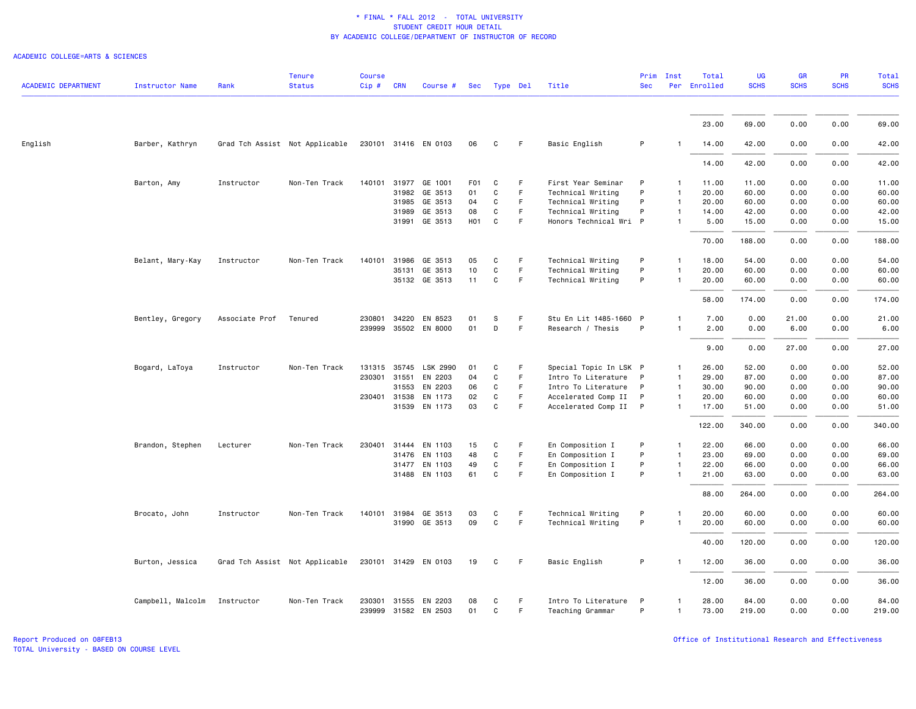| <b>ACADEMIC DEPARTMENT</b> | <b>Instructor Name</b> | Rank           | <b>Tenure</b><br><b>Status</b> | <b>Course</b><br>Cip # | <b>CRN</b> | Course #             |                  | Sec Type Del |    | Title                  | Prim<br><b>Sec</b> | Inst         | Total<br>Per Enrolled | UG<br><b>SCHS</b> | <b>GR</b><br><b>SCHS</b> | PR<br><b>SCHS</b> | Total<br><b>SCHS</b> |
|----------------------------|------------------------|----------------|--------------------------------|------------------------|------------|----------------------|------------------|--------------|----|------------------------|--------------------|--------------|-----------------------|-------------------|--------------------------|-------------------|----------------------|
|                            |                        |                |                                |                        |            |                      |                  |              |    |                        |                    |              |                       |                   |                          |                   |                      |
|                            |                        |                |                                |                        |            |                      |                  |              |    |                        |                    |              | 23.00                 | 69.00             | 0.00                     | 0.00              | 69.00                |
| English                    | Barber, Kathryn        |                | Grad Tch Assist Not Applicable |                        |            | 230101 31416 EN 0103 | 06               | C            | F  | Basic English          | P                  |              | 14.00                 | 42.00             | 0.00                     | 0.00              | 42.00                |
|                            |                        |                |                                |                        |            |                      |                  |              |    |                        |                    |              | 14.00                 | 42.00             | 0.00                     | 0.00              | 42.00                |
|                            | Barton, Amy            | Instructor     | Non-Ten Track                  | 140101                 |            | 31977 GE 1001        | F <sub>0</sub> 1 | C            | F  | First Year Seminar     | P                  |              | 11.00                 | 11.00             | 0.00                     | 0.00              | 11.00                |
|                            |                        |                |                                |                        | 31982      | GE 3513              | 01               | C            | F  | Technical Writing      | P                  | $\mathbf{1}$ | 20.00                 | 60.00             | 0.00                     | 0.00              | 60.00                |
|                            |                        |                |                                |                        | 31985      | GE 3513              | 04               | C            | F  | Technical Writing      | P                  |              | 20.00                 | 60.00             | 0.00                     | 0.00              | 60.00                |
|                            |                        |                |                                |                        | 31989      | GE 3513              | 08               | C            | F. | Technical Writing      | P                  |              | 14.00                 | 42.00             | 0.00                     | 0.00              | 42.00                |
|                            |                        |                |                                |                        | 31991      | GE 3513              | <b>HO1</b>       | C            | F  | Honors Technical Wri P |                    |              | 5.00                  | 15.00             | 0.00                     | 0.00              | 15.00                |
|                            |                        |                |                                |                        |            |                      |                  |              |    |                        |                    |              | 70.00                 | 188.00            | 0.00                     | 0.00              | 188.00               |
|                            | Belant, Mary-Kay       | Instructor     | Non-Ten Track                  | 140101                 | 31986      | GE 3513              | 05               | C            | F  | Technical Writing      | P                  |              | 18.00                 | 54.00             | 0.00                     | 0.00              | 54.00                |
|                            |                        |                |                                |                        | 35131      | GE 3513              | 10               | C            | F  | Technical Writing      | P                  |              | 20.00                 | 60.00             | 0.00                     | 0.00              | 60.00                |
|                            |                        |                |                                |                        |            | 35132 GE 3513        | 11               | C            | F. | Technical Writing      | P                  |              | 20.00                 | 60.00             | 0.00                     | 0.00              | 60.00                |
|                            |                        |                |                                |                        |            |                      |                  |              |    |                        |                    |              | 58.00                 | 174.00            | 0.00                     | 0.00              | 174.00               |
|                            | Bentley, Gregory       | Associate Prof | Tenured                        | 230801                 | 34220      | EN 8523              | 01               | <b>S</b>     | F  | Stu En Lit 1485-1660 P |                    |              | 7.00                  | 0.00              | 21.00                    | 0.00              | 21.00                |
|                            |                        |                |                                | 239999                 |            | 35502 EN 8000        | 01               | D            | F  | Research / Thesis      | P                  |              | 2.00                  | 0.00              | 6.00                     | 0.00              | 6.00                 |
|                            |                        |                |                                |                        |            |                      |                  |              |    |                        |                    |              | 9.00                  | 0.00              | 27.00                    | 0.00              | 27.00                |
|                            |                        |                |                                |                        |            |                      |                  |              |    |                        |                    |              |                       |                   |                          |                   |                      |
|                            | Bogard, LaToya         | Instructor     | Non-Ten Track                  | 131315                 | 35745      | LSK 2990             | 01               | C            | F  | Special Topic In LSK P |                    |              | 26.00                 | 52.00             | 0.00                     | 0.00              | 52.00                |
|                            |                        |                |                                | 230301                 | 31551      | EN 2203              | 04               | C            | F  | Intro To Literature    | P                  |              | 29.00                 | 87.00             | 0.00                     | 0.00              | 87.00                |
|                            |                        |                |                                |                        | 31553      | EN 2203              | 06               | C            | F  | Intro To Literature    | P                  |              | 30.00                 | 90.00             | 0.00                     | 0.00              | 90.00                |
|                            |                        |                |                                |                        |            | 230401 31538 EN 1173 | 02               | C            | F  | Accelerated Comp II P  |                    | $\mathbf{1}$ | 20.00                 | 60.00             | 0.00                     | 0.00              | 60.00                |
|                            |                        |                |                                |                        | 31539      | EN 1173              | 03               | $\mathsf{C}$ | F  | Accelerated Comp II    | $\mathsf{P}$       |              | 17.00                 | 51.00             | 0.00                     | 0.00              | 51.00                |
|                            |                        |                |                                |                        |            |                      |                  |              |    |                        |                    |              | 122.00                | 340.00            | 0.00                     | 0.00              | 340.00               |
|                            | Brandon, Stephen       | Lecturer       | Non-Ten Track                  | 230401                 | 31444      | EN 1103              | 15               | C            | F  | En Composition I       | P                  |              | 22.00                 | 66.00             | 0.00                     | 0.00              | 66.00                |
|                            |                        |                |                                |                        | 31476      | EN 1103              | 48               | C            | F  | En Composition I       | P                  |              | 23.00                 | 69.00             | 0.00                     | 0.00              | 69.00                |
|                            |                        |                |                                |                        | 31477      | EN 1103              | 49               | C            | F  | En Composition I       | P                  | $\mathbf{1}$ | 22.00                 | 66.00             | 0.00                     | 0.00              | 66.00                |
|                            |                        |                |                                |                        |            | 31488 EN 1103        | 61               | C            | F  | En Composition I       | P                  | $\mathbf{1}$ | 21.00                 | 63.00             | 0.00                     | 0.00              | 63.00                |
|                            |                        |                |                                |                        |            |                      |                  |              |    |                        |                    |              | 88.00                 | 264.00            | 0.00                     | 0.00              | 264.00               |
|                            | Brocato, John          | Instructor     | Non-Ten Track                  | 140101                 | 31984      | GE 3513              | 03               | C            | F  | Technical Writing      | P                  |              | 20.00                 | 60.00             | 0.00                     | 0.00              | 60.00                |
|                            |                        |                |                                |                        | 31990      | GE 3513              | 09               | C            | F  | Technical Writing      | P                  |              | 20.00                 | 60.00             | 0.00                     | 0.00              | 60.00                |
|                            |                        |                |                                |                        |            |                      |                  |              |    |                        |                    |              | 40.00                 | 120.00            | 0.00                     | 0.00              | 120.00               |
|                            | Burton, Jessica        |                | Grad Tch Assist Not Applicable |                        |            | 230101 31429 EN 0103 | 19               | C            | F. | Basic English          | P                  |              | 12.00                 | 36.00             | 0.00                     | 0.00              | 36.00                |
|                            |                        |                |                                |                        |            |                      |                  |              |    |                        |                    |              | 12.00                 | 36.00             | 0.00                     | 0.00              | 36.00                |
|                            | Campbell, Malcolm      | Instructor     | Non-Ten Track                  | 230301                 | 31555      | EN 2203              | 08               | C            | F  | Intro To Literature    | P                  |              | 28.00                 | 84.00             | 0.00                     | 0.00              | 84.00                |
|                            |                        |                |                                |                        |            | 239999 31582 EN 2503 | 01               | C            | F  | Teaching Grammar       | P                  | $\mathbf{1}$ | 73.00                 | 219.00            | 0.00                     | 0.00              | 219.00               |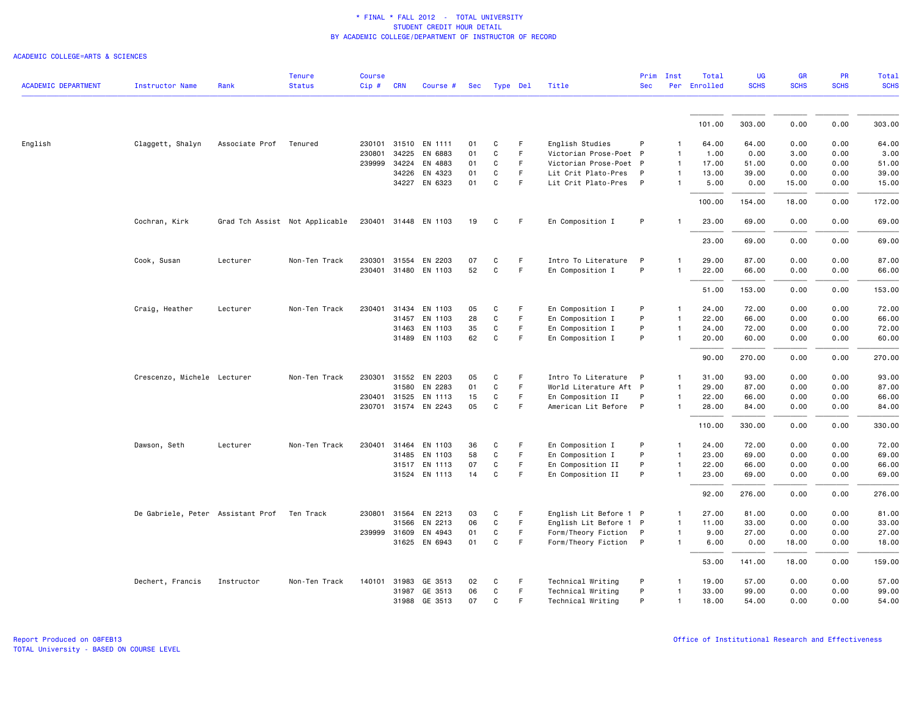|                            |                                   |                | <b>Tenure</b>                  | <b>Course</b> |              |                      |          |              |          |                        | Prim         | Inst           | Total        | <b>UG</b>   | <b>GR</b>   | PR          | Total          |
|----------------------------|-----------------------------------|----------------|--------------------------------|---------------|--------------|----------------------|----------|--------------|----------|------------------------|--------------|----------------|--------------|-------------|-------------|-------------|----------------|
| <b>ACADEMIC DEPARTMENT</b> | <b>Instructor Name</b>            | Rank           | <b>Status</b>                  | Cip#          | <b>CRN</b>   | Course #             | Sec      |              | Type Del | Title                  | <b>Sec</b>   |                | Per Enrolled | <b>SCHS</b> | <b>SCHS</b> | <b>SCHS</b> | <b>SCHS</b>    |
|                            |                                   |                |                                |               |              |                      |          |              |          |                        |              |                | 101.00       | 303.00      | 0.00        | 0.00        | 303.00         |
| English                    | Claggett, Shalyn                  | Associate Prof | Tenured                        |               | 230101 31510 | EN 1111              | 01       | C            | F.       | English Studies        | P            | $\mathbf{1}$   | 64.00        | 64.00       | 0.00        | 0.00        | 64.00          |
|                            |                                   |                |                                | 230801        | 34225        | EN 6883              | 01       | C            | F.       | Victorian Prose-Poet P |              | $\mathbf{1}$   | 1.00         | 0.00        | 3.00        | 0.00        | 3.00           |
|                            |                                   |                |                                | 239999 34224  |              | EN 4883              | 01       | C            | F.       | Victorian Prose-Poet P |              | $\mathbf{1}$   | 17.00        | 51.00       | 0.00        | 0.00        | 51.00          |
|                            |                                   |                |                                |               | 34226        | EN 4323              | 01       | C            | F.       | Lit Crit Plato-Pres    | P            | 1              | 13.00        | 39.00       | 0.00        | 0.00        | 39.00          |
|                            |                                   |                |                                |               |              | EN 6323              | 01       | C            | F.       |                        | P            | $\mathbf{1}$   | 5.00         |             |             |             | 15.00          |
|                            |                                   |                |                                |               | 34227        |                      |          |              |          | Lit Crit Plato-Pres    |              |                |              | 0.00        | 15.00       | 0.00        |                |
|                            |                                   |                |                                |               |              |                      |          |              |          |                        |              |                | 100.00       | 154.00      | 18.00       | 0.00        | 172.00         |
|                            | Cochran, Kirk                     |                | Grad Tch Assist Not Applicable |               |              | 230401 31448 EN 1103 | 19       | C            | F        | En Composition I       | P            |                | 23.00        | 69.00       | 0.00        | 0.00        | 69.00          |
|                            |                                   |                |                                |               |              |                      |          |              |          |                        |              |                | 23.00        | 69.00       | 0.00        | 0.00        | 69.00          |
|                            |                                   |                |                                |               |              |                      |          |              |          |                        |              |                |              |             |             |             |                |
|                            | Cook, Susan                       | Lecturer       | Non-Ten Track                  | 230301        | 31554        | EN 2203              | 07<br>52 | C            | F.<br>F  | Intro To Literature    | P<br>P       | $\mathbf{1}$   | 29.00        | 87.00       | 0.00        | 0.00        | 87.00<br>66.00 |
|                            |                                   |                |                                |               |              | 230401 31480 EN 1103 |          | C            |          | En Composition I       |              |                | 22.00        | 66.00       | 0.00        | 0.00        |                |
|                            |                                   |                |                                |               |              |                      |          |              |          |                        |              |                | 51.00        | 153.00      | 0.00        | 0.00        | 153.00         |
|                            | Craig, Heather                    | Lecturer       | Non-Ten Track                  | 230401        | 31434        | EN 1103              | 05       | C            | F        | En Composition I       | P            | $\mathbf{1}$   | 24.00        | 72.00       | 0.00        | 0.00        | 72.00          |
|                            |                                   |                |                                |               | 31457        | EN 1103              | 28       | C            | F.       | En Composition I       | P            | $\mathbf{1}$   | 22.00        | 66.00       | 0.00        | 0.00        | 66.00          |
|                            |                                   |                |                                |               | 31463        | EN 1103              | 35       | C            | F        | En Composition I       | P            | $\mathbf{1}$   | 24.00        | 72.00       | 0.00        | 0.00        | 72.00          |
|                            |                                   |                |                                |               |              | 31489 EN 1103        | 62       | C            | F.       | En Composition I       | P            | $\mathbf{1}$   | 20.00        | 60.00       | 0.00        | 0.00        | 60.00          |
|                            |                                   |                |                                |               |              |                      |          |              |          |                        |              |                | 90.00        | 270.00      | 0.00        | 0.00        | 270.00         |
|                            | Crescenzo, Michele Lecturer       |                | Non-Ten Track                  | 230301        | 31552        | EN 2203              | 05       | C            | F        | Intro To Literature    | $\mathsf{P}$ | $\mathbf{1}$   | 31.00        | 93.00       | 0.00        | 0.00        | 93.00          |
|                            |                                   |                |                                |               | 31580        | EN 2283              | 01       | C            | F        | World Literature Aft P |              | $\mathbf{1}$   | 29.00        | 87.00       | 0.00        | 0.00        | 87.00          |
|                            |                                   |                |                                | 230401 31525  |              | EN 1113              | 15       | C            | F.       | En Composition II      | P            | $\mathbf{1}$   | 22.00        | 66.00       | 0.00        | 0.00        | 66.00          |
|                            |                                   |                |                                |               |              | 230701 31574 EN 2243 | 05       | C            | F        | American Lit Before P  |              | $\mathbf{1}$   | 28.00        | 84.00       | 0.00        | 0.00        | 84.00          |
|                            |                                   |                |                                |               |              |                      |          |              |          |                        |              |                | 110.00       | 330.00      | 0.00        | 0.00        | 330.00         |
|                            | Dawson, Seth                      | Lecturer       | Non-Ten Track                  | 230401 31464  |              | EN 1103              | 36       | C            | F        | En Composition I       | P            | $\mathbf{1}$   | 24.00        | 72.00       | 0.00        | 0.00        | 72.00          |
|                            |                                   |                |                                |               | 31485        | EN 1103              | 58       | $\mathtt{C}$ | F        | En Composition I       | P            | $\mathbf{1}$   | 23.00        | 69.00       | 0.00        | 0.00        | 69.00          |
|                            |                                   |                |                                |               |              | 31517 EN 1113        | 07       | C            | F        | En Composition II      | P            | $\mathbf{1}$   | 22.00        | 66.00       | 0.00        | 0.00        | 66.00          |
|                            |                                   |                |                                |               |              | 31524 EN 1113        | 14       | C            | F.       | En Composition II      | P            | $\mathbf{1}$   | 23.00        | 69.00       | 0.00        | 0.00        | 69.00          |
|                            |                                   |                |                                |               |              |                      |          |              |          |                        |              |                | 92.00        | 276.00      | 0.00        | 0.00        | 276.00         |
|                            | De Gabriele, Peter Assistant Prof |                | Ten Track                      |               | 230801 31564 | EN 2213              | 03       | C            | F        | English Lit Before 1 P |              | $\mathbf{1}$   | 27.00        | 81.00       | 0.00        | 0.00        | 81.00          |
|                            |                                   |                |                                |               | 31566        | EN 2213              | 06       | $\mathtt{C}$ | F.       | English Lit Before 1 P |              | $\mathbf{1}$   | 11.00        | 33.00       | 0.00        | 0.00        | 33.00          |
|                            |                                   |                |                                | 239999 31609  |              | EN 4943              | 01       | C            | F        | Form/Theory Fiction    | $\mathsf{P}$ | $\overline{1}$ | 9.00         | 27.00       | 0.00        | 0.00        | 27.00          |
|                            |                                   |                |                                |               |              | 31625 EN 6943        | 01       | C            | F        | Form/Theory Fiction P  |              | $\mathbf{1}$   | 6.00         | 0.00        | 18.00       | 0.00        | 18.00          |
|                            |                                   |                |                                |               |              |                      |          |              |          |                        |              |                | 53.00        | 141.00      | 18.00       | 0.00        | 159.00         |
|                            | Dechert, Francis                  | Instructor     | Non-Ten Track                  |               |              | 140101 31983 GE 3513 | 02       | C            | F        | Technical Writing      | P            | -1             | 19.00        | 57.00       | 0.00        | 0.00        | 57.00          |
|                            |                                   |                |                                |               | 31987        | GE 3513              | 06       | C            | F        | Technical Writing      | P            |                | 33.00        | 99.00       | 0.00        | 0.00        | 99.00          |
|                            |                                   |                |                                |               |              | 31988 GE 3513        | 07       | C.           | F        | Technical Writing      | P            | $\mathbf{1}$   | 18,00        | 54.00       | 0.00        | 0.00        | 54.00          |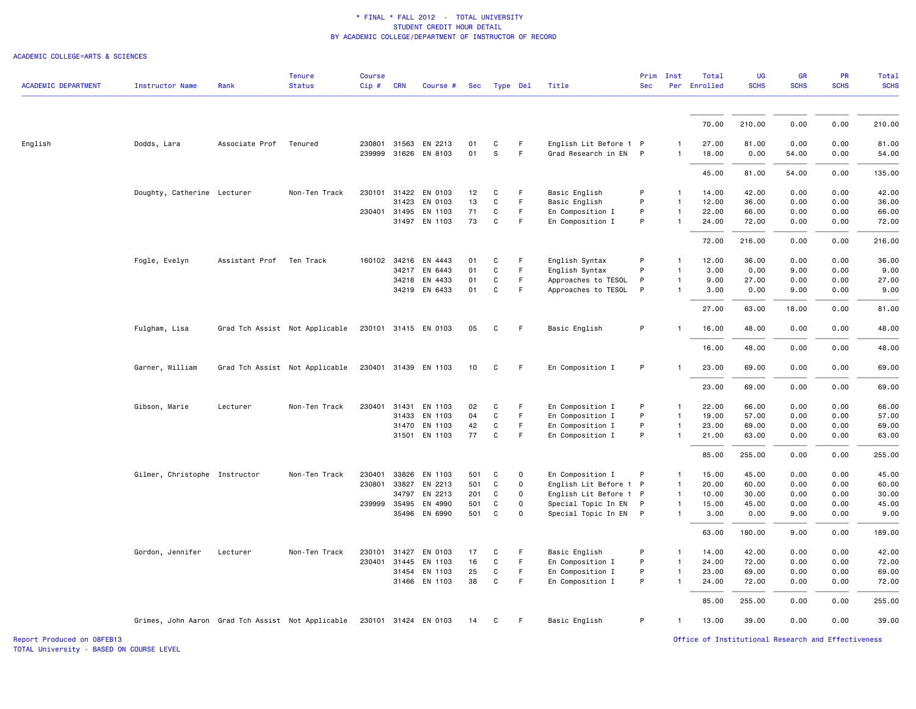#### ACADEMIC COLLEGE=ARTS & SCIENCES

| <b>ACADEMIC DEPARTMENT</b> | <b>Instructor Name</b>                            | Rank                     | <b>Tenure</b><br><b>Status</b> | <b>Course</b><br>Cip# | <b>CRN</b>   | Course #             | Sec |              | Type Del    | Title                  | Prim<br><b>Sec</b> | Inst           | Total<br>Per Enrolled | UG<br><b>SCHS</b> | GR<br><b>SCHS</b> | PR<br><b>SCHS</b> | <b>Total</b><br><b>SCHS</b> |
|----------------------------|---------------------------------------------------|--------------------------|--------------------------------|-----------------------|--------------|----------------------|-----|--------------|-------------|------------------------|--------------------|----------------|-----------------------|-------------------|-------------------|-------------------|-----------------------------|
|                            |                                                   |                          |                                |                       |              |                      |     |              |             |                        |                    |                |                       |                   |                   |                   |                             |
|                            |                                                   |                          |                                |                       |              |                      |     |              |             |                        |                    |                | 70.00                 | 210.00            | 0.00              | 0.00              | 210.00                      |
| English                    | Dodds, Lara                                       | Associate Prof           | Tenured                        |                       | 230801 31563 | EN 2213              | 01  | C            | F           | English Lit Before 1 P |                    |                | 27.00                 | 81.00             | 0.00              | 0.00              | 81.00                       |
|                            |                                                   |                          |                                |                       |              | 239999 31626 EN 8103 | 01  | s            | F.          | Grad Research in EN P  |                    | $\mathbf{1}$   | 18.00                 | 0.00              | 54.00             | 0.00              | 54.00                       |
|                            |                                                   |                          |                                |                       |              |                      |     |              |             |                        |                    |                | 45.00                 | 81.00             | 54.00             | 0.00              | 135.00                      |
|                            | Doughty, Catherine Lecturer                       |                          | Non-Ten Track                  | 230101 31422          |              | EN 0103              | 12  | C            | F           | Basic English          | P                  | $\mathbf{1}$   | 14.00                 | 42.00             | 0.00              | 0.00              | 42.00                       |
|                            |                                                   |                          |                                |                       | 31423        | EN 0103              | 13  | C            | F.          | Basic English          | P                  | $\mathbf{1}$   | 12.00                 | 36.00             | 0.00              | 0.00              | 36.00                       |
|                            |                                                   |                          |                                | 230401 31495          |              | EN 1103              | 71  | C            | F.          | En Composition I       | P                  | $\mathbf{1}$   | 22.00                 | 66.00             | 0.00              | 0.00              | 66.00                       |
|                            |                                                   |                          |                                |                       | 31497        | EN 1103              | 73  | C            | F           | En Composition I       | P                  | $\mathbf{1}$   | 24.00                 | 72.00             | 0.00              | 0.00              | 72.00                       |
|                            |                                                   |                          |                                |                       |              |                      |     |              |             |                        |                    |                | 72.00                 | 216.00            | 0.00              | 0.00              | 216.00                      |
|                            | Fogle, Evelyn                                     | Assistant Prof Ten Track |                                |                       |              | 160102 34216 EN 4443 | 01  | C            | F.          | English Syntax         | P                  | $\mathbf{1}$   | 12.00                 | 36.00             | 0.00              | 0.00              | 36.00                       |
|                            |                                                   |                          |                                |                       | 34217        | EN 6443              | 01  | C            | F           | English Syntax         | P                  | $\mathbf{1}$   | 3.00                  | 0.00              | 9.00              | 0.00              | 9.00                        |
|                            |                                                   |                          |                                |                       |              | 34218 EN 4433        | 01  | C            | F           | Approaches to TESOL    | P                  | $\mathbf{1}$   | 9.00                  | 27.00             | 0.00              | 0.00              | 27.00                       |
|                            |                                                   |                          |                                |                       |              | 34219 EN 6433        | 01  | $\mathtt{C}$ | F           | Approaches to TESOL    | P                  | $\mathbf{1}$   | 3.00                  | 0.00              | 9.00              | 0.00              | 9.00                        |
|                            |                                                   |                          |                                |                       |              |                      |     |              |             |                        |                    |                | 27.00                 | 63.00             | 18.00             | 0.00              | 81.00                       |
|                            | Fulgham, Lisa                                     |                          | Grad Tch Assist Not Applicable |                       |              | 230101 31415 EN 0103 | 05  | C            | F.          | Basic English          | P                  | $\mathbf{1}$   | 16.00                 | 48.00             | 0.00              | 0.00              | 48.00                       |
|                            |                                                   |                          |                                |                       |              |                      |     |              |             |                        |                    |                | 16.00                 | 48.00             | 0.00              | 0.00              | 48.00                       |
|                            | Garner, William                                   |                          | Grad Tch Assist Not Applicable |                       |              | 230401 31439 EN 1103 | 10  | C            | F.          | En Composition I       | P                  |                | 23.00                 | 69.00             | 0.00              | 0.00              | 69.00                       |
|                            |                                                   |                          |                                |                       |              |                      |     |              |             |                        |                    |                | 23.00                 | 69.00             | 0.00              | 0.00              | 69.00                       |
|                            | Gibson, Marie                                     | Lecturer                 | Non-Ten Track                  | 230401                | 31431        | EN 1103              | 02  | C            | F.          | En Composition I       | P                  | 1              | 22.00                 | 66.00             | 0.00              | 0.00              | 66.00                       |
|                            |                                                   |                          |                                |                       | 31433        | EN 1103              | 04  | $\mathtt{C}$ | F           | En Composition I       | P                  | $\mathbf{1}$   | 19.00                 | 57.00             | 0.00              | 0.00              | 57.00                       |
|                            |                                                   |                          |                                |                       |              | 31470 EN 1103        | 42  | C            | F.          | En Composition I       | P                  | $\mathbf{1}$   | 23.00                 | 69.00             | 0.00              | 0.00              | 69.00                       |
|                            |                                                   |                          |                                |                       | 31501        | EN 1103              | 77  | C            | F           | En Composition I       | P                  | $\mathbf{1}$   | 21.00                 | 63.00             | 0.00              | 0.00              | 63.00                       |
|                            |                                                   |                          |                                |                       |              |                      |     |              |             |                        |                    |                | 85.00                 | 255.00            | 0.00              | 0.00              | 255.00                      |
|                            | Gilmer, Christophe Instructor                     |                          | Non-Ten Track                  | 230401                | 33826        | EN 1103              | 501 | C            | 0           | En Composition I       | P                  | $\mathbf{1}$   | 15.00                 | 45.00             | 0.00              | 0.00              | 45.00                       |
|                            |                                                   |                          |                                | 230801                | 33827        | EN 2213              | 501 | C            | $\Omega$    | English Lit Before 1 P |                    | $\mathbf{1}$   | 20.00                 | 60.00             | 0.00              | 0.00              | 60.00                       |
|                            |                                                   |                          |                                |                       | 34797        | EN 2213              | 201 | C            | $\mathbf 0$ | English Lit Before 1 P |                    | $\overline{1}$ | 10.00                 | 30.00             | 0.00              | 0.00              | 30.00                       |
|                            |                                                   |                          |                                | 239999 35495          |              | EN 4990              | 501 | C            | 0           | Special Topic In EN    | P                  | $\mathbf{1}$   | 15.00                 | 45.00             | 0.00              | 0.00              | 45.00                       |
|                            |                                                   |                          |                                |                       |              | 35496 EN 6990        | 501 | C            | $\Omega$    | Special Topic In EN P  |                    | $\mathbf{1}$   | 3.00                  | 0.00              | 9.00              | 0.00              | 9.00                        |
|                            |                                                   |                          |                                |                       |              |                      |     |              |             |                        |                    |                | 63.00                 | 180.00            | 9.00              | 0.00              | 189.00                      |
|                            | Gordon, Jennifer                                  | Lecturer                 | Non-Ten Track                  | 230101                | 31427        | EN 0103              | 17  | C            | F           | Basic English          | P                  | $\mathbf{1}$   | 14.00                 | 42.00             | 0.00              | 0.00              | 42.00                       |
|                            |                                                   |                          |                                | 230401 31445          |              | EN 1103              | 16  | C            | F           | En Composition I       | P                  | $\mathbf{1}$   | 24.00                 | 72.00             | 0.00              | 0.00              | 72.00                       |
|                            |                                                   |                          |                                |                       | 31454        | EN 1103              | 25  | C            | F.          | En Composition I       | P                  | $\mathbf{1}$   | 23.00                 | 69.00             | 0.00              | 0.00              | 69.00                       |
|                            |                                                   |                          |                                |                       |              | 31466 EN 1103        | 38  | $\mathtt{C}$ | F.          | En Composition I       | P                  | $\mathbf{1}$   | 24.00                 | 72.00             | 0.00              | 0.00              | 72.00                       |
|                            |                                                   |                          |                                |                       |              |                      |     |              |             |                        |                    |                | 85.00                 | 255.00            | 0.00              | 0.00              | 255.00                      |
|                            | Grimes, John Aaron Grad Tch Assist Not Applicable |                          |                                |                       |              | 230101 31424 EN 0103 | 14  | C            | F           | Basic English          | P                  | $\mathbf{1}$   | 13.00                 | 39.00             | 0.00              | 0.00              | 39.00                       |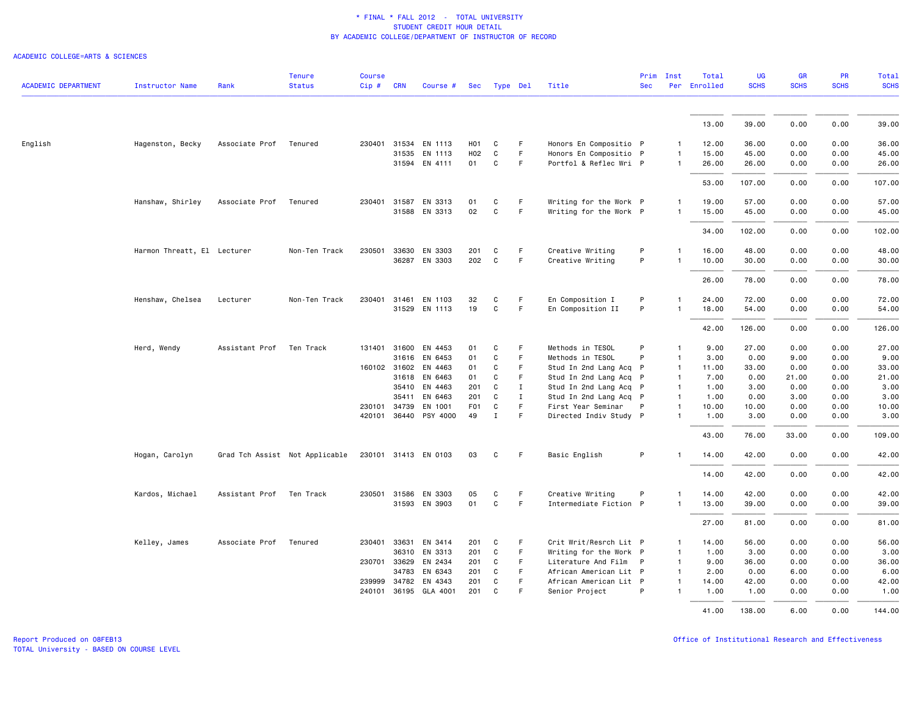| <b>ACADEMIC DEPARTMENT</b> | <b>Instructor Name</b>      | Rank           | <b>Tenure</b><br><b>Status</b> | <b>Course</b><br>Cip# | <b>CRN</b>   | Course #              | Sec | Type Del     |             | Title                  | <b>Sec</b>   | Prim Inst      | Total<br>Per Enrolled | <b>UG</b><br><b>SCHS</b> | <b>GR</b><br><b>SCHS</b> | <b>PR</b><br><b>SCHS</b> | <b>Total</b><br><b>SCHS</b> |
|----------------------------|-----------------------------|----------------|--------------------------------|-----------------------|--------------|-----------------------|-----|--------------|-------------|------------------------|--------------|----------------|-----------------------|--------------------------|--------------------------|--------------------------|-----------------------------|
|                            |                             |                |                                |                       |              |                       |     |              |             |                        |              |                |                       |                          |                          |                          |                             |
|                            |                             |                |                                |                       |              |                       |     |              |             |                        |              |                | 13.00                 | 39.00                    | 0.00                     | 0.00                     | 39.00                       |
| English                    | Hagenston, Becky            | Associate Prof | Tenured                        |                       |              | 230401 31534 EN 1113  | H01 | C            | F.          | Honors En Compositio P |              | $\mathbf{1}$   | 12.00                 | 36.00                    | 0.00                     | 0.00                     | 36.00                       |
|                            |                             |                |                                |                       | 31535        | EN 1113               | H02 | C            | F           | Honors En Compositio P |              | $\mathbf{1}$   | 15.00                 | 45.00                    | 0.00                     | 0.00                     | 45.00                       |
|                            |                             |                |                                |                       |              | 31594 EN 4111         | 01  | C            | F           | Portfol & Reflec Wri P |              | $\mathbf{1}$   | 26.00                 | 26.00                    | 0.00                     | 0.00                     | 26.00                       |
|                            |                             |                |                                |                       |              |                       |     |              |             |                        |              |                |                       |                          |                          |                          |                             |
|                            |                             |                |                                |                       |              |                       |     |              |             |                        |              |                | 53.00                 | 107.00                   | 0.00                     | 0.00                     | 107.00                      |
|                            | Hanshaw, Shirley            | Associate Prof | Tenured                        |                       | 230401 31587 | EN 3313               | 01  | C            | F.          | Writing for the Work P |              | $\mathbf{1}$   | 19.00                 | 57.00                    | 0.00                     | 0.00                     | 57.00                       |
|                            |                             |                |                                |                       |              | 31588 EN 3313         | 02  | $\mathsf{C}$ | F           | Writing for the Work P |              | $\mathbf{1}$   | 15.00                 | 45.00                    | 0.00                     | 0.00                     | 45.00                       |
|                            |                             |                |                                |                       |              |                       |     |              |             |                        |              |                | 34.00                 | 102.00                   | 0.00                     | 0.00                     | 102.00                      |
|                            | Harmon Threatt, El Lecturer |                | Non-Ten Track                  | 230501                | 33630        | EN 3303               | 201 | C            | F.          | Creative Writing       | P            | $\mathbf{1}$   | 16.00                 | 48.00                    | 0.00                     | 0.00                     | 48.00                       |
|                            |                             |                |                                |                       |              | 36287 EN 3303         | 202 | C            | F           | Creative Writing       | P            | $\mathbf{1}$   | 10.00                 | 30.00                    | 0.00                     | 0.00                     | 30.00                       |
|                            |                             |                |                                |                       |              |                       |     |              |             |                        |              |                |                       |                          |                          |                          |                             |
|                            |                             |                |                                |                       |              |                       |     |              |             |                        |              |                | 26.00                 | 78.00                    | 0.00                     | 0.00                     | 78.00                       |
|                            | Henshaw, Chelsea            | Lecturer       | Non-Ten Track                  |                       | 230401 31461 | EN 1103               | 32  | C            | F           | En Composition I       | P            | $\mathbf{1}$   | 24.00                 | 72.00                    | 0.00                     | 0.00                     | 72.00                       |
|                            |                             |                |                                |                       |              | 31529 EN 1113         | 19  | C            | F           | En Composition II      | P            | $\mathbf{1}$   | 18.00                 | 54.00                    | 0.00                     | 0.00                     | 54.00                       |
|                            |                             |                |                                |                       |              |                       |     |              |             |                        |              |                | 42.00                 | 126.00                   | 0.00                     | 0.00                     | 126.00                      |
|                            | Herd, Wendy                 | Assistant Prof | Ten Track                      |                       | 131401 31600 | EN 4453               | 01  | C            | F           | Methods in TESOL       | P            | $\mathbf{1}$   | 9.00                  | 27.00                    | 0.00                     | 0.00                     | 27.00                       |
|                            |                             |                |                                |                       | 31616        | EN 6453               | 01  | C            | F.          | Methods in TESOL       | P            | $\overline{1}$ | 3.00                  | 0.00                     | 9.00                     | 0.00                     | 9.00                        |
|                            |                             |                |                                |                       | 160102 31602 | EN 4463               | 01  | C            | F.          | Stud In 2nd Lang Acq P |              | $\mathbf{1}$   | 11.00                 | 33.00                    | 0.00                     | 0.00                     | 33.00                       |
|                            |                             |                |                                |                       | 31618        | EN 6463               | 01  | C            | F.          | Stud In 2nd Lang Acq P |              | $\mathbf{1}$   | 7.00                  | 0.00                     | 21.00                    | 0.00                     | 21.00                       |
|                            |                             |                |                                |                       | 35410        | EN 4463               | 201 | C            | $\mathbf I$ | Stud In 2nd Lang Acq P |              | $\overline{1}$ | 1.00                  | 3.00                     | 0.00                     | 0.00                     | 3.00                        |
|                            |                             |                |                                |                       | 35411        | EN 6463               | 201 | C            | $\mathbf I$ | Stud In 2nd Lang Acq P |              | $\mathbf{1}$   | 1.00                  | 0.00                     | 3.00                     | 0.00                     | 3.00                        |
|                            |                             |                |                                |                       | 230101 34739 | EN 1001               | F01 | C            | F.          | First Year Seminar     | P            | $\mathbf{1}$   | 10.00                 | 10.00                    | 0.00                     | 0.00                     | 10.00                       |
|                            |                             |                |                                |                       |              | 420101 36440 PSY 4000 | 49  | Ι.           | F.          | Directed Indiv Study P |              | $\mathbf{1}$   | 1.00                  | 3.00                     | 0.00                     | 0.00                     | 3.00                        |
|                            |                             |                |                                |                       |              |                       |     |              |             |                        |              |                | 43.00                 | 76.00                    | 33.00                    | 0.00                     | 109.00                      |
|                            | Hogan, Carolyn              |                | Grad Tch Assist Not Applicable |                       |              | 230101 31413 EN 0103  | 03  | C            | F.          | Basic English          | P            | -1             | 14.00                 | 42.00                    | 0.00                     | 0.00                     | 42.00                       |
|                            |                             |                |                                |                       |              |                       |     |              |             |                        |              |                | 14.00                 | 42.00                    | 0.00                     | 0.00                     | 42.00                       |
|                            | Kardos, Michael             | Assistant Prof | Ten Track                      |                       | 230501 31586 | EN 3303               | 05  | C            | F           | Creative Writing       | P            | $\mathbf{1}$   | 14.00                 | 42.00                    | 0.00                     | 0.00                     | 42.00                       |
|                            |                             |                |                                |                       | 31593        | EN 3903               | 01  | C            | F           | Intermediate Fiction P |              | $\mathbf{1}$   | 13.00                 | 39.00                    | 0.00                     | 0.00                     | 39.00                       |
|                            |                             |                |                                |                       |              |                       |     |              |             |                        |              |                | 27.00                 | 81.00                    | 0.00                     | 0.00                     | 81.00                       |
|                            | Kelley, James               | Associate Prof | Tenured                        |                       | 230401 33631 | EN 3414               | 201 | C            | F           | Crit Writ/Resrch Lit P |              | $\mathbf{1}$   | 14.00                 | 56.00                    | 0.00                     | 0.00                     | 56.00                       |
|                            |                             |                |                                |                       | 36310        | EN 3313               | 201 | C            | F.          | Writing for the Work P |              | $\mathbf{1}$   | 1.00                  | 3.00                     | 0.00                     | 0.00                     | 3.00                        |
|                            |                             |                |                                |                       | 230701 33629 | EN 2434               | 201 | C            | F           | Literature And Film    | $\mathsf{P}$ | $\overline{1}$ | 9.00                  | 36.00                    | 0.00                     | 0.00                     | 36.00                       |
|                            |                             |                |                                |                       | 34783        | EN 6343               | 201 | C            | F           | African American Lit P |              | $\mathbf{1}$   | 2.00                  | 0.00                     | 6.00                     | 0.00                     | 6.00                        |
|                            |                             |                |                                |                       | 239999 34782 | EN 4343               | 201 | C            | F.          | African American Lit P |              | $\mathbf{1}$   | 14.00                 | 42.00                    | 0.00                     | 0.00                     | 42.00                       |
|                            |                             |                |                                | 240101                | 36195        | GLA 4001              | 201 | C            | F           | Senior Project         | P            | $\mathbf{1}$   | 1.00                  | 1.00                     | 0.00                     | 0.00                     | 1.00                        |
|                            |                             |                |                                |                       |              |                       |     |              |             |                        |              |                | 41.00                 | 138,00                   | 6.00                     | 0.00                     | 144.00                      |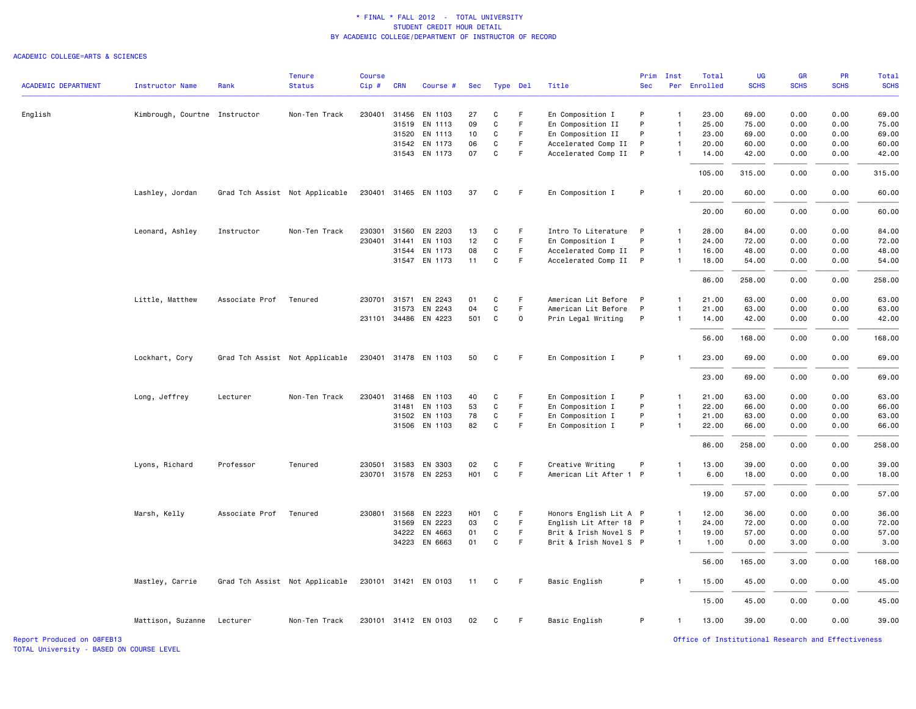#### ACADEMIC COLLEGE=ARTS & SCIENCES

| <b>ACADEMIC DEPARTMENT</b> | <b>Instructor Name</b>        | Rank           | <b>Tenure</b><br><b>Status</b> | <b>Course</b><br>Cip# | <b>CRN</b>   | Course #             | Sec              |              | Type Del | Title                  | <b>Sec</b> | Prim Inst      | Total<br>Per Enrolled | UG<br><b>SCHS</b> | <b>GR</b><br><b>SCHS</b> | PR<br><b>SCHS</b> | Total<br><b>SCHS</b> |
|----------------------------|-------------------------------|----------------|--------------------------------|-----------------------|--------------|----------------------|------------------|--------------|----------|------------------------|------------|----------------|-----------------------|-------------------|--------------------------|-------------------|----------------------|
|                            |                               |                |                                |                       |              |                      |                  |              |          |                        |            |                |                       |                   |                          |                   |                      |
| English                    | Kimbrough, Courtne Instructor |                | Non-Ten Track                  | 230401                | 31456        | EN 1103              | 27               | C            | F        | En Composition I       | P          | $\overline{1}$ | 23.00                 | 69.00             | 0.00                     | 0.00              | 69.00                |
|                            |                               |                |                                |                       | 31519        | EN 1113              | 09               | $\mathbf C$  | F        | En Composition II      | P          | $\overline{1}$ | 25.00                 | 75.00             | 0.00                     | 0.00              | 75.00                |
|                            |                               |                |                                |                       | 31520        | EN 1113              | 10               | C            | F.       | En Composition II      | P          | $\overline{1}$ | 23.00                 | 69.00             | 0.00                     | 0.00              | 69.00                |
|                            |                               |                |                                |                       | 31542        | EN 1173              | 06               | C            | F.       | Accelerated Comp II    | P          | $\overline{1}$ | 20.00                 | 60.00             | 0.00                     | 0.00              | 60.00                |
|                            |                               |                |                                |                       |              | 31543 EN 1173        | 07               | $\mathsf{C}$ | F.       | Accelerated Comp II    | P          | $\overline{1}$ | 14.00                 | 42.00             | 0.00                     | 0.00              | 42.00                |
|                            |                               |                |                                |                       |              |                      |                  |              |          |                        |            |                | 105.00                | 315.00            | 0.00                     | 0.00              | 315.00               |
|                            | Lashley, Jordan               |                | Grad Tch Assist Not Applicable |                       |              | 230401 31465 EN 1103 | 37               | C            | F        | En Composition I       | P          |                | 20.00                 | 60.00             | 0.00                     | 0.00              | 60.00                |
|                            |                               |                |                                |                       |              |                      |                  |              |          |                        |            |                | 20.00                 | 60.00             | 0.00                     | 0.00              | 60.00                |
|                            | Leonard, Ashley               | Instructor     | Non-Ten Track                  | 230301                |              | 31560 EN 2203        | 13               | C            | F        | Intro To Literature    | P          | $\mathbf{1}$   | 28.00                 | 84.00             | 0.00                     | 0.00              | 84.00                |
|                            |                               |                |                                | 230401                | 31441        | EN 1103              | 12               | $\mathbf C$  | F.       | En Composition I       | P          | $\overline{1}$ | 24.00                 | 72.00             | 0.00                     | 0.00              | 72.00                |
|                            |                               |                |                                |                       | 31544        | EN 1173              | 08               | C            | F.       | Accelerated Comp II    | P          | $\overline{1}$ | 16.00                 | 48.00             | 0.00                     | 0.00              | 48.00                |
|                            |                               |                |                                |                       |              | 31547 EN 1173        | 11               | C            | F.       | Accelerated Comp II    | P          | $\overline{1}$ | 18.00                 | 54.00             | 0.00                     | 0.00              | 54.00                |
|                            |                               |                |                                |                       |              |                      |                  |              |          |                        |            |                | 86.00                 | 258.00            | 0.00                     | 0.00              | 258.00               |
|                            | Little, Matthew               | Associate Prof | Tenured                        | 230701 31571          |              | EN 2243              | 01               | C            | F        | American Lit Before    | P          | $\overline{1}$ | 21.00                 | 63.00             | 0.00                     | 0.00              | 63.00                |
|                            |                               |                |                                |                       | 31573        | EN 2243              | 04               | C            | F.       | American Lit Before    | P          | $\overline{1}$ | 21.00                 | 63.00             | 0.00                     | 0.00              | 63.00                |
|                            |                               |                |                                |                       |              | 231101 34486 EN 4223 | 501              | C            | 0        | Prin Legal Writing     | P          | $\overline{1}$ | 14.00                 | 42.00             | 0.00                     | 0.00              | 42.00                |
|                            |                               |                |                                |                       |              |                      |                  |              |          |                        |            |                | 56.00                 | 168.00            | 0.00                     | 0.00              | 168.00               |
|                            | Lockhart, Cory                |                | Grad Tch Assist Not Applicable |                       |              | 230401 31478 EN 1103 | 50               | C            | F        | En Composition I       | P          |                | 23.00                 | 69.00             | 0.00                     | 0.00              | 69.00                |
|                            |                               |                |                                |                       |              |                      |                  |              |          |                        |            |                | 23.00                 | 69.00             | 0.00                     | 0.00              | 69.00                |
|                            | Long, Jeffrey                 | Lecturer       | Non-Ten Track                  | 230401                | 31468        | EN 1103              | 40               | C            | F        | En Composition I       | P          | $\overline{1}$ | 21.00                 | 63.00             | 0.00                     | 0.00              | 63.00                |
|                            |                               |                |                                |                       | 31481        | EN 1103              | 53               | C            | F.       | En Composition I       | P          | $\overline{1}$ | 22.00                 | 66.00             | 0.00                     | 0.00              | 66.00                |
|                            |                               |                |                                |                       | 31502        | EN 1103              | 78               | C            | F.       | En Composition I       | P          | $\overline{1}$ | 21.00                 | 63.00             | 0.00                     | 0.00              | 63.00                |
|                            |                               |                |                                |                       |              | 31506 EN 1103        | 82               | $\mathbf C$  | F        | En Composition I       | P          | $\overline{1}$ | 22.00                 | 66.00             | 0.00                     | 0.00              | 66.00                |
|                            |                               |                |                                |                       |              |                      |                  |              |          |                        |            |                | 86.00                 | 258.00            | 0.00                     | 0.00              | 258.00               |
|                            | Lyons, Richard                | Professor      | Tenured                        | 230501                | 31583        | EN 3303              | 02               | C            | F        | Creative Writing       | P          | $\mathbf{1}$   | 13.00                 | 39.00             | 0.00                     | 0.00              | 39.00                |
|                            |                               |                |                                |                       |              | 230701 31578 EN 2253 | <b>HO1</b>       | $\mathtt{C}$ | F        | American Lit After 1 P |            | $\overline{1}$ | 6.00                  | 18.00             | 0.00                     | 0.00              | 18.00                |
|                            |                               |                |                                |                       |              |                      |                  |              |          |                        |            |                | 19.00                 | 57.00             | 0.00                     | 0.00              | 57.00                |
|                            | Marsh, Kelly                  | Associate Prof | Tenured                        |                       | 230801 31568 | EN 2223              | H <sub>0</sub> 1 | C            | F        | Honors English Lit A P |            | $\overline{1}$ | 12.00                 | 36.00             | 0.00                     | 0.00              | 36.00                |
|                            |                               |                |                                |                       | 31569        | EN 2223              | 03               | C            | F.       | English Lit After 18 P |            | $\overline{1}$ |                       | 72.00             | 0.00                     | 0.00              | 72.00                |
|                            |                               |                |                                |                       | 34222        | EN 4663              | 01               | C            | F.       | Brit & Irish Novel S P |            | $\overline{1}$ | 24.00<br>19.00        | 57.00             | 0.00                     | 0.00              | 57.00                |
|                            |                               |                |                                |                       |              | 34223 EN 6663        | 01               | $\mathbf C$  | F.       | Brit & Irish Novel S P |            | $\overline{1}$ | 1.00                  | 0.00              | 3.00                     | 0.00              | 3.00                 |
|                            |                               |                |                                |                       |              |                      |                  |              |          |                        |            |                |                       |                   |                          |                   |                      |
|                            |                               |                |                                |                       |              |                      |                  |              |          |                        |            |                | 56.00                 | 165.00            | 3.00                     | 0.00              | 168.00               |
|                            | Mastley, Carrie               |                | Grad Tch Assist Not Applicable |                       |              | 230101 31421 EN 0103 | 11               | C            | F        | Basic English          | P          | $\mathbf{1}$   | 15.00                 | 45.00             | 0.00                     | 0.00              | 45.00                |
|                            |                               |                |                                |                       |              |                      |                  |              |          |                        |            |                | 15.00                 | 45.00             | 0.00                     | 0.00              | 45.00                |
|                            | Mattison, Suzanne             | Lecturer       | Non-Ten Track                  |                       |              | 230101 31412 EN 0103 | 02               | C            | F.       | Basic English          | P          | $\overline{1}$ | 13.00                 | 39.00             | 0.00                     | 0.00              | 39.00                |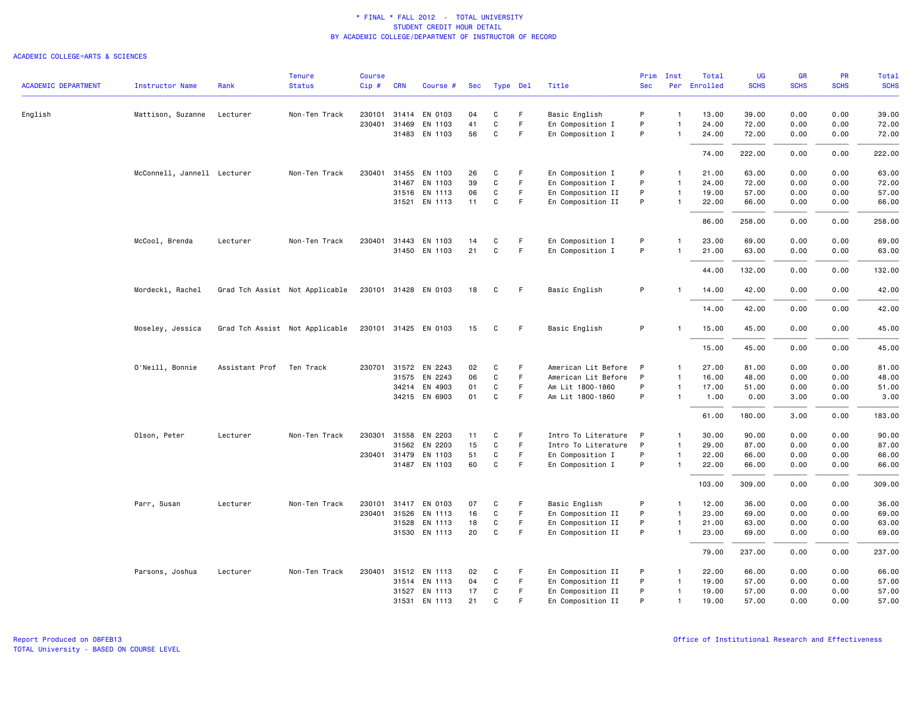|                            |                             |                          | <b>Tenure</b>                  | <b>Course</b> |              |                      |     |              |             |                     | Prim         | Inst           | Total        | UG          | <b>GR</b>   | PR          | Total       |
|----------------------------|-----------------------------|--------------------------|--------------------------------|---------------|--------------|----------------------|-----|--------------|-------------|---------------------|--------------|----------------|--------------|-------------|-------------|-------------|-------------|
| <b>ACADEMIC DEPARTMENT</b> | <b>Instructor Name</b>      | Rank                     | <b>Status</b>                  | Cip#          | <b>CRN</b>   | Course #             | Sec |              | Type Del    | Title               | <b>Sec</b>   |                | Per Enrolled | <b>SCHS</b> | <b>SCHS</b> | <b>SCHS</b> | <b>SCHS</b> |
| English                    | Mattison, Suzanne           | Lecturer                 | Non-Ten Track                  | 230101        |              | 31414 EN 0103        | 04  | C            | F           | Basic English       | P            | $\mathbf{1}$   | 13.00        | 39.00       | 0.00        | 0.00        | 39.00       |
|                            |                             |                          |                                | 230401        | 31469        | EN 1103              | 41  | $\mathbf C$  | F           | En Composition I    | P            | $\mathbf{1}$   | 24.00        | 72.00       | 0.00        | 0.00        | 72.00       |
|                            |                             |                          |                                |               |              | 31483 EN 1103        | 56  | C            | -F          | En Composition I    | P            | -1             | 24.00        | 72.00       | 0.00        | 0.00        | 72.00       |
|                            |                             |                          |                                |               |              |                      |     |              |             |                     |              |                | 74.00        | 222.00      | 0.00        | 0.00        | 222.00      |
|                            | McConnell, Jannell Lecturer |                          | Non-Ten Track                  | 230401        | 31455        | EN 1103              | 26  | C            | F           | En Composition I    | P            | $\mathbf{1}$   | 21.00        | 63.00       | 0.00        | 0.00        | 63.00       |
|                            |                             |                          |                                |               | 31467        | EN 1103              | 39  | $\mathbf C$  | F           | En Composition I    | P            | $\mathbf{1}$   | 24,00        | 72.00       | 0.00        | 0.00        | 72.00       |
|                            |                             |                          |                                |               |              | 31516 EN 1113        | 06  | C            | F.          | En Composition II   | P            | $\mathbf{1}$   | 19.00        | 57.00       | 0.00        | 0.00        | 57.00       |
|                            |                             |                          |                                |               |              | 31521 EN 1113        | 11  | C            | F.          | En Composition II   | P            | $\mathbf{1}$   | 22.00        | 66.00       | 0.00        | 0.00        | 66.00       |
|                            |                             |                          |                                |               |              |                      |     |              |             |                     |              |                | 86.00        | 258.00      | 0.00        | 0.00        | 258.00      |
|                            | McCool, Brenda              | Lecturer                 | Non-Ten Track                  | 230401        | 31443        | EN 1103              | 14  | C            | F           | En Composition I    | P            | -1             | 23.00        | 69.00       | 0.00        | 0.00        | 69.00       |
|                            |                             |                          |                                |               |              | 31450 EN 1103        | 21  | $\mathbf C$  | F           | En Composition I    | P            | $\overline{1}$ | 21.00        | 63.00       | 0.00        | 0.00        | 63.00       |
|                            |                             |                          |                                |               |              |                      |     |              |             |                     |              |                | 44.00        | 132.00      | 0.00        | 0.00        | 132.00      |
|                            | Mordecki, Rachel            |                          | Grad Tch Assist Not Applicable |               |              | 230101 31428 EN 0103 | 18  | C            | F           | Basic English       | P            |                | 14.00        | 42.00       | 0.00        | 0.00        | 42.00       |
|                            |                             |                          |                                |               |              |                      |     |              |             |                     |              |                | 14.00        | 42.00       | 0.00        | 0.00        | 42.00       |
|                            | Moseley, Jessica            |                          | Grad Tch Assist Not Applicable |               |              | 230101 31425 EN 0103 | 15  | C            | F.          | Basic English       | P            |                | 15.00        | 45.00       | 0.00        | 0.00        | 45.00       |
|                            |                             |                          |                                |               |              |                      |     |              |             |                     |              |                | 15.00        | 45.00       | 0.00        | 0.00        | 45.00       |
|                            | O'Neill, Bonnie             | Assistant Prof Ten Track |                                |               |              | 230701 31572 EN 2243 | 02  | C            | -F          | American Lit Before | $\mathsf{P}$ | -1             | 27.00        | 81.00       | 0.00        | 0.00        | 81.00       |
|                            |                             |                          |                                |               | 31575        | EN 2243              | 06  | $\mathbf C$  | $\mathsf F$ | American Lit Before | P            | $\mathbf{1}$   | 16.00        | 48.00       | 0.00        | 0.00        | 48.00       |
|                            |                             |                          |                                |               |              | 34214 EN 4903        | 01  | C            | F           | Am Lit 1800-1860    | P            | $\mathbf{1}$   | 17.00        | 51.00       | 0.00        | 0.00        | 51.00       |
|                            |                             |                          |                                |               |              | 34215 EN 6903        | 01  | C            | F.          | Am Lit 1800-1860    | P            | $\mathbf{1}$   | 1.00         | 0.00        | 3.00        | 0.00        | 3.00        |
|                            |                             |                          |                                |               |              |                      |     |              |             |                     |              |                | 61.00        | 180.00      | 3.00        | 0.00        | 183.00      |
|                            | Olson, Peter                | Lecturer                 | Non-Ten Track                  |               | 230301 31558 | EN 2203              | 11  | C            | F.          | Intro To Literature | P            | $\mathbf{1}$   | 30.00        | 90.00       | 0.00        | 0.00        | 90.00       |
|                            |                             |                          |                                |               | 31562        | EN 2203              | 15  | $\mathbf C$  | F           | Intro To Literature | P            | $\mathbf{1}$   | 29.00        | 87.00       | 0.00        | 0.00        | 87.00       |
|                            |                             |                          |                                |               | 230401 31479 | EN 1103              | 51  | C            | F           | En Composition I    | P            | $\overline{1}$ | 22.00        | 66.00       | 0.00        | 0.00        | 66.00       |
|                            |                             |                          |                                |               |              | 31487 EN 1103        | 60  | $\mathtt{C}$ | $\mathsf F$ | En Composition I    | P            | $\mathbf{1}$   | 22.00        | 66.00       | 0.00        | 0.00        | 66.00       |
|                            |                             |                          |                                |               |              |                      |     |              |             |                     |              |                | 103.00       | 309.00      | 0.00        | 0.00        | 309.00      |
|                            | Parr, Susan                 | Lecturer                 | Non-Ten Track                  | 230101        |              | 31417 EN 0103        | 07  | C            | F           | Basic English       | P            | $\mathbf{1}$   | 12.00        | 36.00       | 0.00        | 0.00        | 36.00       |
|                            |                             |                          |                                | 230401        | 31526        | EN 1113              | 16  | C            | F.          | En Composition II   | P            | $\mathbf{1}$   | 23.00        | 69.00       | 0.00        | 0.00        | 69.00       |
|                            |                             |                          |                                |               | 31528        | EN 1113              | 18  | C            | F           | En Composition II   | P            | $\mathbf{1}$   | 21.00        | 63.00       | 0.00        | 0.00        | 63.00       |
|                            |                             |                          |                                |               |              | 31530 EN 1113        | 20  | $\mathbf C$  | $\mathsf F$ | En Composition II   | P            | $\mathbf{1}$   | 23.00        | 69.00       | 0.00        | 0.00        | 69.00       |
|                            |                             |                          |                                |               |              |                      |     |              |             |                     |              |                | 79.00        | 237.00      | 0.00        | 0.00        | 237.00      |
|                            | Parsons, Joshua             | Lecturer                 | Non-Ten Track                  |               |              | 230401 31512 EN 1113 | 02  | C            | F           | En Composition II   | P            | $\mathbf{1}$   | 22.00        | 66.00       | 0.00        | 0.00        | 66.00       |
|                            |                             |                          |                                |               |              | 31514 EN 1113        | 04  | C            | F.          | En Composition II   | P            | $\mathbf{1}$   | 19.00        | 57.00       | 0.00        | 0.00        | 57.00       |
|                            |                             |                          |                                |               |              | 31527 EN 1113        | 17  | C            | F           | En Composition II   | P            | $\mathbf{1}$   | 19.00        | 57.00       | 0.00        | 0.00        | 57.00       |
|                            |                             |                          |                                |               | 31531        | EN 1113              | 21  | $\mathsf{C}$ | E           | En Composition II   | P            | $\mathbf{1}$   | 19.00        | 57.00       | 0.00        | 0.00        | 57.00       |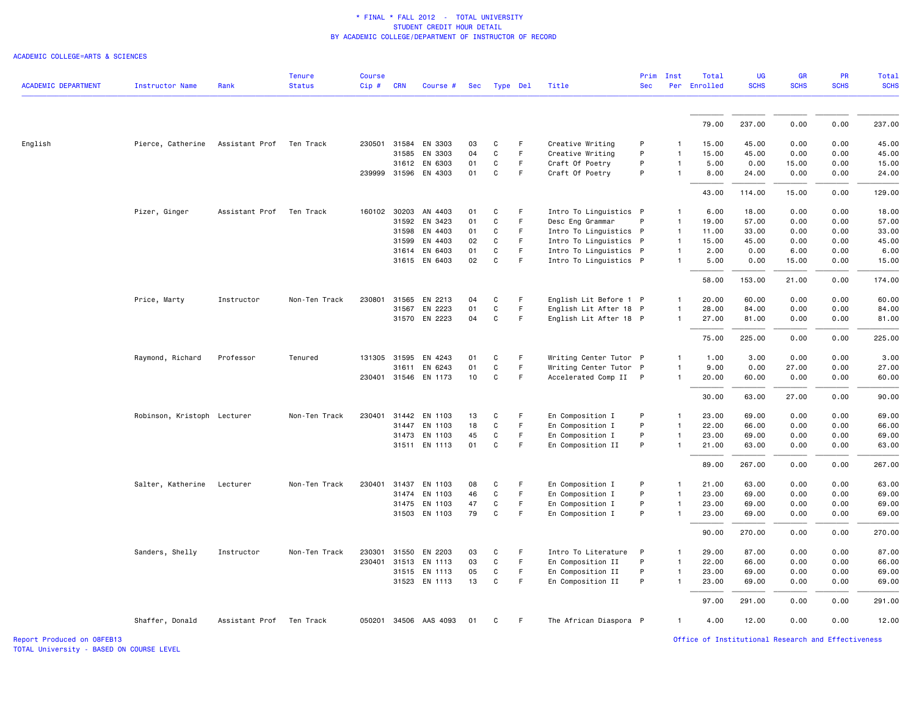#### ACADEMIC COLLEGE=ARTS & SCIENCES

|                            |                             |                | <b>Tenure</b> | <b>Course</b> |              |                       |     |              |             |                        | Prim       | Inst         | Total        | UG          | <b>GR</b>   | <b>PR</b>   | Total       |
|----------------------------|-----------------------------|----------------|---------------|---------------|--------------|-----------------------|-----|--------------|-------------|------------------------|------------|--------------|--------------|-------------|-------------|-------------|-------------|
| <b>ACADEMIC DEPARTMENT</b> | Instructor Name             | Rank           | <b>Status</b> | Cip#          | <b>CRN</b>   | Course #              | Sec | Type Del     |             | Title                  | <b>Sec</b> |              | Per Enrolled | <b>SCHS</b> | <b>SCHS</b> | <b>SCHS</b> | <b>SCHS</b> |
|                            |                             |                |               |               |              |                       |     |              |             |                        |            |              |              |             |             |             |             |
|                            |                             |                |               |               |              |                       |     |              |             |                        |            |              | 79.00        | 237.00      | 0.00        | 0.00        | 237.00      |
| English                    | Pierce, Catherine           | Assistant Prof | Ten Track     | 230501        |              | 31584 EN 3303         | 03  | C            | F           | Creative Writing       | P          |              | 15.00        | 45.00       | 0.00        | 0.00        | 45.00       |
|                            |                             |                |               |               | 31585        | EN 3303               | 04  | C            | F.          | Creative Writing       | P          |              | 15.00        | 45.00       | 0.00        | 0.00        | 45.00       |
|                            |                             |                |               |               |              | 31612 EN 6303         | 01  | C            | F           | Craft Of Poetry        | P          | $\mathbf{1}$ | 5.00         | 0.00        | 15.00       | 0.00        | 15.00       |
|                            |                             |                |               |               |              | 239999 31596 EN 4303  | 01  | C            | F           | Craft Of Poetry        | P          | $\mathbf{1}$ | 8.00         | 24.00       | 0.00        | 0.00        | 24.00       |
|                            |                             |                |               |               |              |                       |     |              |             |                        |            |              | 43.00        | 114.00      | 15.00       | 0.00        | 129.00      |
|                            | Pizer, Ginger               | Assistant Prof | Ten Track     | 160102        | 30203        | AN 4403               | 01  | C            | F           | Intro To Linguistics P |            |              | 6.00         | 18.00       | 0.00        | 0.00        | 18.00       |
|                            |                             |                |               |               | 31592        | EN 3423               | 01  | C            | F           | Desc Eng Grammar       | P          | $\mathbf{1}$ | 19.00        | 57.00       | 0.00        | 0.00        | 57.00       |
|                            |                             |                |               |               | 31598        | EN 4403               | 01  | C            | F.          | Intro To Linguistics P |            | $\mathbf{1}$ | 11.00        | 33.00       | 0.00        | 0.00        | 33.00       |
|                            |                             |                |               |               | 31599        | EN 4403               | 02  | C            | F.          | Intro To Linguistics P |            |              | 15.00        | 45.00       | 0.00        | 0.00        | 45.00       |
|                            |                             |                |               |               |              | 31614 EN 6403         | 01  | C            | F.          | Intro To Linguistics P |            | -1           | 2.00         | 0.00        | 6.00        | 0.00        | 6.00        |
|                            |                             |                |               |               |              | 31615 EN 6403         | 02  | C            | F           | Intro To Linguistics P |            | $\mathbf{1}$ | 5.00         | 0.00        | 15.00       | 0.00        | 15.00       |
|                            |                             |                |               |               |              |                       |     |              |             |                        |            |              | 58.00        | 153.00      | 21.00       | 0.00        | 174.00      |
|                            | Price, Marty                | Instructor     | Non-Ten Track | 230801        | 31565        | EN 2213               | 04  | C            | F           | English Lit Before 1 P |            | $\mathbf{1}$ | 20.00        | 60.00       | 0.00        | 0.00        | 60.00       |
|                            |                             |                |               |               | 31567        | EN 2223               | 01  | C            | F           | English Lit After 18 P |            |              | 28.00        | 84.00       | 0.00        | 0.00        | 84.00       |
|                            |                             |                |               |               |              | 31570 EN 2223         | 04  | C            | F           | English Lit After 18 P |            | $\mathbf{1}$ | 27.00        | 81.00       | 0.00        | 0.00        | 81.00       |
|                            |                             |                |               |               |              |                       |     |              |             |                        |            |              | 75.00        | 225.00      | 0.00        | 0.00        | 225.00      |
|                            | Raymond, Richard            | Professor      | Tenured       |               | 131305 31595 | EN 4243               | 01  | C            | F           | Writing Center Tutor P |            |              | 1.00         | 3.00        | 0.00        | 0.00        | 3.00        |
|                            |                             |                |               |               | 31611        | EN 6243               | 01  | $\mathbf C$  | F           | Writing Center Tutor P |            | $\mathbf{1}$ | 9.00         | 0.00        | 27.00       | 0.00        | 27.00       |
|                            |                             |                |               |               |              | 230401 31546 EN 1173  | 10  | $\mathsf{C}$ | F.          | Accelerated Comp II P  |            | $\mathbf{1}$ | 20.00        | 60.00       | 0.00        | 0.00        | 60.00       |
|                            |                             |                |               |               |              |                       |     |              |             |                        |            |              | 30.00        | 63.00       | 27.00       | 0.00        | 90.00       |
|                            | Robinson, Kristoph Lecturer |                | Non-Ten Track | 230401        | 31442        | EN 1103               | 13  | C            | F           | En Composition I       | P          |              | 23.00        | 69.00       | 0.00        | 0.00        | 69.00       |
|                            |                             |                |               |               | 31447        | EN 1103               | 18  | $\mathtt{C}$ | $\mathsf F$ | En Composition I       | P          | $\mathbf{1}$ | 22.00        | 66.00       | 0.00        | 0.00        | 66.00       |
|                            |                             |                |               |               | 31473        | EN 1103               | 45  | C            | F.          | En Composition I       | P          | $\mathbf{1}$ | 23.00        | 69.00       | 0.00        | 0.00        | 69.00       |
|                            |                             |                |               |               |              | 31511 EN 1113         | 01  | C            | F           | En Composition II      | P          |              | 21.00        | 63.00       | 0.00        | 0.00        | 63.00       |
|                            |                             |                |               |               |              |                       |     |              |             |                        |            |              | 89.00        | 267.00      | 0.00        | 0.00        | 267.00      |
|                            | Salter, Katherine           | Lecturer       | Non-Ten Track | 230401        | 31437        | EN 1103               | 08  | C            | F           | En Composition I       | P          |              | 21.00        | 63.00       | 0.00        | 0.00        | 63.00       |
|                            |                             |                |               |               | 31474        | EN 1103               | 46  | C            | F.          | En Composition I       | P          | $\mathbf{1}$ | 23.00        | 69.00       | 0.00        | 0.00        | 69.00       |
|                            |                             |                |               |               | 31475        | EN 1103               | 47  | C            | F           | En Composition I       | P          | $\mathbf{1}$ | 23.00        | 69.00       | 0.00        | 0.00        | 69.00       |
|                            |                             |                |               |               |              | 31503 EN 1103         | 79  | C            | F           | En Composition I       | P          | $\mathbf{1}$ | 23.00        | 69.00       | 0.00        | 0.00        | 69.00       |
|                            |                             |                |               |               |              |                       |     |              |             |                        |            |              | 90.00        | 270.00      | 0.00        | 0.00        | 270.00      |
|                            | Sanders, Shelly             | Instructor     | Non-Ten Track | 230301        |              | 31550 EN 2203         | 03  | C            | F           | Intro To Literature    | P          |              | 29.00        | 87.00       | 0.00        | 0.00        | 87.00       |
|                            |                             |                |               | 230401        | 31513        | EN 1113               | 03  | C            | F           | En Composition II      | P          | $\mathbf{1}$ | 22.00        | 66.00       | 0.00        | 0.00        | 66.00       |
|                            |                             |                |               |               |              | 31515 EN 1113         | 05  | C            | F           | En Composition II      | P          |              | 23.00        | 69.00       | 0.00        | 0.00        | 69.00       |
|                            |                             |                |               |               |              | 31523 EN 1113         | 13  | C            | F           | En Composition II      | P          |              | 23.00        | 69.00       | 0.00        | 0.00        | 69.00       |
|                            |                             |                |               |               |              |                       |     |              |             |                        |            |              | 97.00        | 291.00      | 0.00        | 0.00        | 291.00      |
|                            | Shaffer, Donald             | Assistant Prof | Ten Track     |               |              | 050201 34506 AAS 4093 | 01  | C            | F.          | The African Diaspora P |            | $\mathbf{1}$ | 4.00         | 12.00       | 0.00        | 0.00        | 12.00       |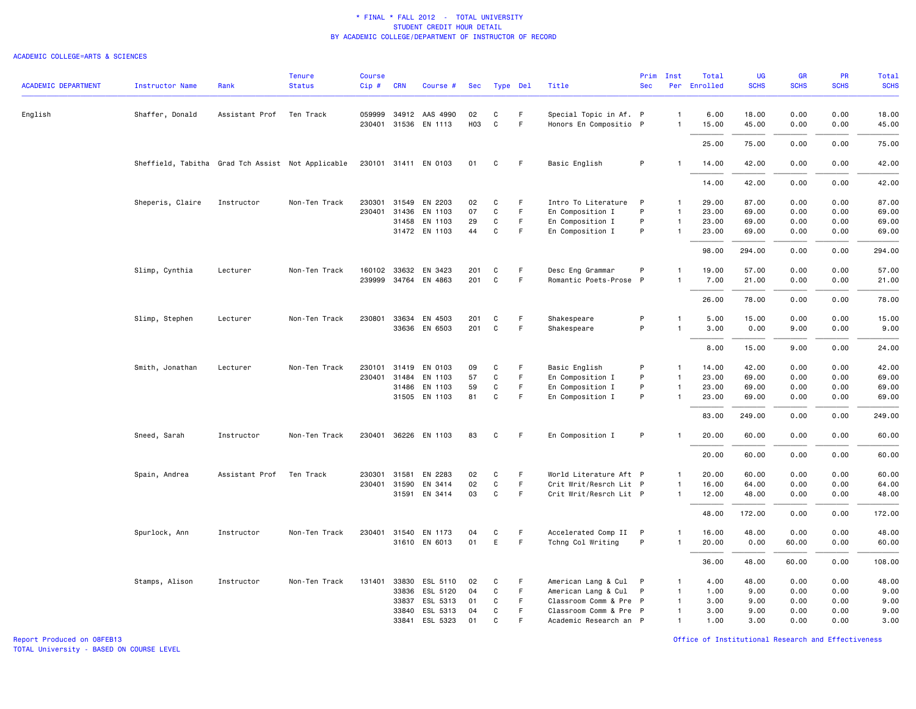#### ACADEMIC COLLEGE=ARTS & SCIENCES

|                            |                                                   |                | <b>Tenure</b> | <b>Course</b> |              |                       |     |              |                        |                        | Prim       | Inst           | Total        | <b>UG</b>   | GR          | PR          | Total       |
|----------------------------|---------------------------------------------------|----------------|---------------|---------------|--------------|-----------------------|-----|--------------|------------------------|------------------------|------------|----------------|--------------|-------------|-------------|-------------|-------------|
| <b>ACADEMIC DEPARTMENT</b> | Instructor Name                                   | Rank           | <b>Status</b> | $Cip$ #       | <b>CRN</b>   | Course #              | Sec | Type Del     |                        | Title                  | <b>Sec</b> |                | Per Enrolled | <b>SCHS</b> | <b>SCHS</b> | <b>SCHS</b> | <b>SCHS</b> |
| English                    | Shaffer, Donald                                   | Assistant Prof | Ten Track     |               |              | 059999 34912 AAS 4990 | 02  | C            | F.                     | Special Topic in Af. P |            | $\mathbf{1}$   | 6.00         | 18.00       | 0.00        | 0.00        | 18.00       |
|                            |                                                   |                |               |               |              | 230401 31536 EN 1113  | H03 | $\mathtt{C}$ | F                      | Honors En Compositio P |            | $\mathbf{1}$   | 15.00        | 45.00       | 0.00        | 0.00        | 45.00       |
|                            |                                                   |                |               |               |              |                       |     |              |                        |                        |            |                | 25.00        | 75.00       | 0.00        | 0.00        | 75.00       |
|                            | Sheffield, Tabitha Grad Tch Assist Not Applicable |                |               |               |              | 230101 31411 EN 0103  | 01  | C            | F                      | Basic English          | P          | $\mathbf{1}$   | 14.00        | 42.00       | 0.00        | 0.00        | 42.00       |
|                            |                                                   |                |               |               |              |                       |     |              |                        |                        |            |                | 14.00        | 42.00       | 0.00        | 0.00        | 42.00       |
|                            | Sheperis, Claire                                  | Instructor     | Non-Ten Track | 230301        | 31549        | EN 2203               | 02  | C            | F.                     | Intro To Literature    | P          | $\mathbf{1}$   | 29.00        | 87.00       | 0.00        | 0.00        | 87.00       |
|                            |                                                   |                |               | 230401        | 31436        | EN 1103               | 07  | $\mathbf C$  | F                      | En Composition I       | P          | $\mathbf{1}$   | 23.00        | 69.00       | 0.00        | 0.00        | 69.00       |
|                            |                                                   |                |               |               |              | 31458 EN 1103         | 29  | C            | F.                     | En Composition I       | P          | $\mathbf{1}$   | 23.00        | 69.00       | 0.00        | 0.00        | 69.00       |
|                            |                                                   |                |               |               | 31472        | EN 1103               | 44  | $\mathtt{C}$ | $\mathsf F$            | En Composition I       | P          | $\mathbf{1}$   | 23.00        | 69.00       | 0.00        | 0.00        | 69.00       |
|                            |                                                   |                |               |               |              |                       |     |              |                        |                        |            |                | 98.00        | 294.00      | 0.00        | 0.00        | 294.00      |
|                            | Slimp, Cynthia                                    | Lecturer       | Non-Ten Track |               |              | 160102 33632 EN 3423  | 201 | C            | F                      | Desc Eng Grammar       | P          | -1             | 19.00        | 57.00       | 0.00        | 0.00        | 57.00       |
|                            |                                                   |                |               |               |              | 239999 34764 EN 4863  | 201 | $\mathbf C$  | F                      | Romantic Poets-Prose P |            | $\mathbf{1}$   | 7.00         | 21.00       | 0.00        | 0.00        | 21.00       |
|                            |                                                   |                |               |               |              |                       |     |              |                        |                        |            |                | 26.00        | 78.00       | 0.00        | 0.00        | 78.00       |
|                            | Slimp, Stephen                                    | Lecturer       | Non-Ten Track |               |              | 230801 33634 EN 4503  | 201 | C            | F                      | Shakespeare            | P          | $\mathbf{1}$   | 5.00         | 15.00       | 0.00        | 0.00        | 15.00       |
|                            |                                                   |                |               |               |              | 33636 EN 6503         | 201 | C            | F                      | Shakespeare            | P          | $\overline{1}$ | 3.00         | 0.00        | 9.00        | 0.00        | 9.00        |
|                            |                                                   |                |               |               |              |                       |     |              |                        |                        |            |                | 8.00         | 15.00       | 9.00        | 0.00        | 24.00       |
|                            |                                                   |                |               |               |              |                       |     |              |                        |                        |            |                |              |             |             |             |             |
|                            | Smith, Jonathan                                   | Lecturer       | Non-Ten Track | 230101        | 31419        | EN 0103               | 09  | C            | F                      | Basic English          | P          | -1             | 14.00        | 42.00       | 0.00        | 0.00        | 42.00       |
|                            |                                                   |                |               |               | 230401 31484 | EN 1103               | 57  | $\mathbf C$  | F                      | En Composition I       | P          | $\mathbf{1}$   | 23.00        | 69.00       | 0.00        | 0.00        | 69.00       |
|                            |                                                   |                |               |               | 31486        | EN 1103               | 59  | C            | $\mathsf F$            | En Composition I       | P          | $\mathbf{1}$   | 23.00        | 69.00       | 0.00        | 0.00        | 69.00       |
|                            |                                                   |                |               |               |              | 31505 EN 1103         | 81  | C            | F.                     | En Composition I       | P          | $\overline{1}$ | 23.00        | 69.00       | 0.00        | 0.00        | 69.00       |
|                            |                                                   |                |               |               |              |                       |     |              |                        |                        |            |                | 83.00        | 249.00      | 0.00        | 0.00        | 249.00      |
|                            | Sneed, Sarah                                      | Instructor     | Non-Ten Track | 230401        |              | 36226 EN 1103         | 83  | C            | F                      | En Composition I       | P          | -1             | 20.00        | 60.00       | 0.00        | 0.00        | 60.00       |
|                            |                                                   |                |               |               |              |                       |     |              |                        |                        |            |                | 20.00        | 60.00       | 0.00        | 0.00        | 60.00       |
|                            | Spain, Andrea                                     | Assistant Prof | Ten Track     | 230301        | 31581        | EN 2283               | 02  | $\mathbf C$  | $\mathsf F$            | World Literature Aft P |            | $\mathbf{1}$   | 20.00        | 60.00       | 0.00        | 0.00        | 60.00       |
|                            |                                                   |                |               | 230401        | 31590        | EN 3414               | 02  | C            | F                      | Crit Writ/Resrch Lit P |            | $\mathbf{1}$   | 16.00        | 64.00       | 0.00        | 0.00        | 64.00       |
|                            |                                                   |                |               |               |              | 31591 EN 3414         | 03  | $\mathbf C$  | F                      | Crit Writ/Resrch Lit P |            | $\mathbf{1}$   | 12.00        | 48.00       | 0.00        | 0.00        | 48.00       |
|                            |                                                   |                |               |               |              |                       |     |              |                        |                        |            |                | 48.00        | 172.00      | 0.00        | 0.00        | 172.00      |
|                            | Spurlock, Ann                                     | Instructor     | Non-Ten Track | 230401        | 31540        | EN 1173               | 04  | C            | F.                     | Accelerated Comp II P  |            | 1              | 16.00        | 48.00       | 0.00        | 0.00        | 48.00       |
|                            |                                                   |                |               |               |              | 31610 EN 6013         | 01  | E            | F.                     | Tchng Col Writing      | P          | $\mathbf{1}$   | 20.00        | 0.00        | 60.00       | 0.00        | 60.00       |
|                            |                                                   |                |               |               |              |                       |     |              |                        |                        |            |                | 36.00        | 48.00       | 60.00       | 0.00        | 108.00      |
|                            |                                                   |                |               |               |              |                       |     |              |                        |                        |            |                |              |             |             |             |             |
|                            | Stamps, Alison                                    | Instructor     | Non-Ten Track | 131401        | 33830        | ESL 5110              | 02  | C            | F.                     | American Lang & Cul P  |            | $\mathbf{1}$   | 4.00         | 48.00       | 0.00        | 0.00        | 48.00       |
|                            |                                                   |                |               |               | 33836        | ESL 5120              | 04  | C            | F                      | American Lang & Cul    | P          | $\mathbf{1}$   | 1.00         | 9.00        | 0.00        | 0.00        | 9.00        |
|                            |                                                   |                |               |               | 33837        | ESL 5313              | 01  | C            | $\mid \mathsf{F} \mid$ | Classroom Comm & Pre P |            | $\mathbf{1}$   | 3.00         | 9.00        | 0.00        | 0.00        | 9.00        |
|                            |                                                   |                |               |               | 33840        | ESL 5313              | 04  | C            | F                      | Classroom Comm & Pre P |            | $\mathbf{1}$   | 3.00         | 9.00        | 0.00        | 0.00        | 9.00        |
|                            |                                                   |                |               |               |              | 33841 ESL 5323        | 01  | $\mathsf{C}$ | E                      | Academic Research an P |            | $\mathbf{1}$   | 1.00         | 3.00        | 0.00        | 0.00        | 3.00        |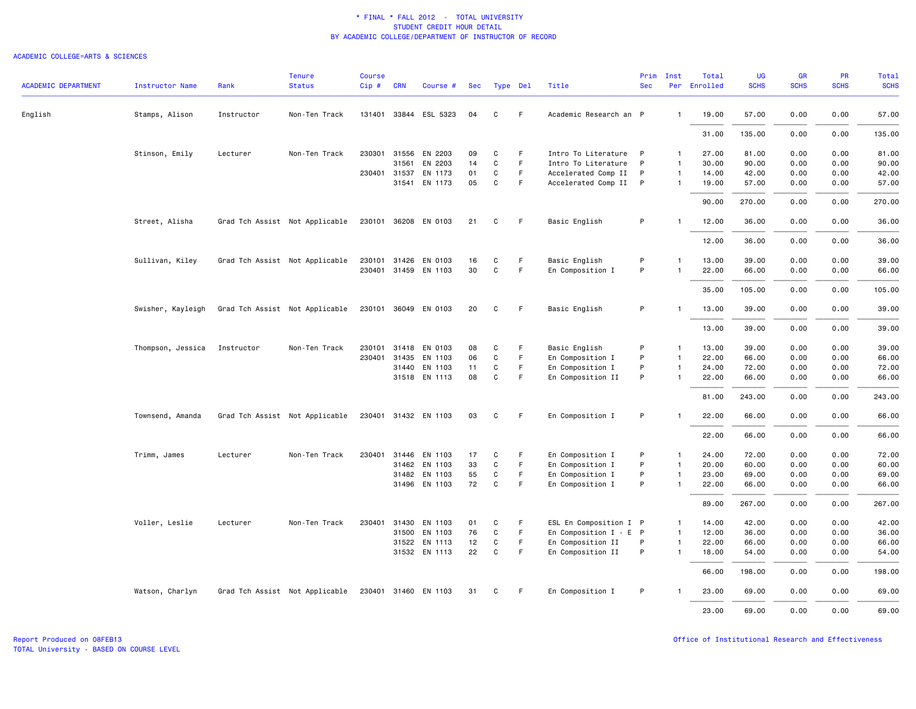| <b>ACADEMIC DEPARTMENT</b> | <b>Instructor Name</b> | Rank       | <b>Tenure</b><br><b>Status</b> | <b>Course</b><br>Cip# | <b>CRN</b>   | Course #              | Sec | Type Del    |             | Title                    | Prim<br><b>Sec</b> | Inst           | Total<br>Per Enrolled | <b>UG</b><br><b>SCHS</b> | GR<br><b>SCHS</b> | PR<br><b>SCHS</b> | Total<br><b>SCHS</b> |
|----------------------------|------------------------|------------|--------------------------------|-----------------------|--------------|-----------------------|-----|-------------|-------------|--------------------------|--------------------|----------------|-----------------------|--------------------------|-------------------|-------------------|----------------------|
|                            |                        |            |                                |                       |              |                       |     |             |             |                          |                    |                |                       |                          |                   |                   |                      |
| English                    | Stamps, Alison         | Instructor | Non-Ten Track                  |                       |              | 131401 33844 ESL 5323 | 04  | C           | F.          | Academic Research an P   |                    | $\mathbf{1}$   | 19.00                 | 57.00                    | 0.00              | 0.00              | 57.00                |
|                            |                        |            |                                |                       |              |                       |     |             |             |                          |                    |                | 31.00                 | 135.00                   | 0.00              | 0.00              | 135.00               |
|                            | Stinson, Emily         | Lecturer   | Non-Ten Track                  |                       |              | 230301 31556 EN 2203  | 09  | C           | F.          | Intro To Literature P    |                    | $\mathbf{1}$   | 27.00                 | 81.00                    | 0.00              | 0.00              | 81.00                |
|                            |                        |            |                                |                       | 31561        | EN 2203               | 14  | C           | F.          | Intro To Literature      | P                  | $\mathbf{1}$   | 30.00                 | 90.00                    | 0.00              | 0.00              | 90.00                |
|                            |                        |            |                                |                       | 230401 31537 | EN 1173               | 01  | C           | F           | Accelerated Comp II      | P                  | $\mathbf{1}$   | 14.00                 | 42.00                    | 0.00              | 0.00              | 42.00                |
|                            |                        |            |                                |                       |              | 31541 EN 1173         | 05  | C           | F           | Accelerated Comp II P    |                    | $\mathbf{1}$   | 19.00                 | 57.00                    | 0.00              | 0.00              | 57.00                |
|                            |                        |            |                                |                       |              |                       |     |             |             |                          |                    |                | 90.00                 | 270.00                   | 0.00              | 0.00              | 270.00               |
|                            | Street, Alisha         |            | Grad Tch Assist Not Applicable | 230101                | 36208        | EN 0103               | 21  | C           | F.          | Basic English            | P                  | -1             | 12.00                 | 36.00                    | 0.00              | 0.00              | 36.00                |
|                            |                        |            |                                |                       |              |                       |     |             |             |                          |                    |                | 12.00                 | 36.00                    | 0.00              | 0.00              | 36.00                |
|                            | Sullivan, Kiley        |            | Grad Tch Assist Not Applicable | 230101                | 31426        | EN 0103               | 16  | C           | F.          | Basic English            | P                  | -1             | 13.00                 | 39.00                    | 0.00              | 0.00              | 39.00                |
|                            |                        |            |                                |                       |              | 230401 31459 EN 1103  | 30  | C           | F.          | En Composition I         | P                  | $\overline{1}$ | 22.00                 | 66.00                    | 0.00              | 0.00              | 66.00                |
|                            |                        |            |                                |                       |              |                       |     |             |             |                          |                    |                |                       |                          |                   | 0.00              |                      |
|                            |                        |            |                                |                       |              |                       |     |             |             |                          |                    |                | 35.00                 | 105.00                   | 0.00              |                   | 105.00               |
|                            | Swisher, Kayleigh      |            | Grad Tch Assist Not Applicable |                       |              | 230101 36049 EN 0103  | 20  | C           | F           | Basic English            | P                  | -1             | 13.00                 | 39.00                    | 0.00              | 0.00              | 39.00                |
|                            |                        |            |                                |                       |              |                       |     |             |             |                          |                    |                | 13.00                 | 39.00                    | 0.00              | 0.00              | 39.00                |
|                            | Thompson, Jessica      | Instructor | Non-Ten Track                  | 230101                | 31418        | EN 0103               | 08  | C           | F           | Basic English            | P                  | $\mathbf{1}$   | 13.00                 | 39.00                    | 0.00              | 0.00              | 39.00                |
|                            |                        |            |                                |                       | 230401 31435 | EN 1103               | 06  | $\mathbf C$ | F           | En Composition I         | P                  | $\mathbf{1}$   | 22.00                 | 66.00                    | 0.00              | 0.00              | 66.00                |
|                            |                        |            |                                |                       | 31440        | EN 1103               | 11  | C           | F           | En Composition I         | P                  | $\mathbf{1}$   | 24.00                 | 72.00                    | 0.00              | 0.00              | 72.00                |
|                            |                        |            |                                |                       |              | 31518 EN 1113         | 08  | C           | F           | En Composition II        | P                  | 1              | 22.00                 | 66.00                    | 0.00              | 0.00              | 66.00                |
|                            |                        |            |                                |                       |              |                       |     |             |             |                          |                    |                | 81.00                 | 243.00                   | 0.00              | 0.00              | 243.00               |
|                            | Townsend, Amanda       |            | Grad Tch Assist Not Applicable |                       |              | 230401 31432 EN 1103  | 03  | C           | -F          | En Composition I         | P                  |                | 22.00                 | 66.00                    | 0.00              | 0.00              | 66.00                |
|                            |                        |            |                                |                       |              |                       |     |             |             |                          |                    |                | 22.00                 | 66.00                    | 0.00              | 0.00              | 66.00                |
|                            | Trimm, James           | Lecturer   | Non-Ten Track                  | 230401                | 31446        | EN 1103               | 17  | C           | F           | En Composition I         | P                  | $\mathbf{1}$   | 24.00                 | 72.00                    | 0.00              | 0.00              | 72.00                |
|                            |                        |            |                                |                       | 31462        | EN 1103               | 33  | C           | F           | En Composition I         | P                  | $\overline{1}$ | 20.00                 | 60.00                    | 0.00              | 0.00              | 60.00                |
|                            |                        |            |                                |                       |              | 31482 EN 1103         | 55  | C           | F           | En Composition I         | P                  | $\mathbf{1}$   | 23.00                 | 69.00                    | 0.00              | 0.00              | 69.00                |
|                            |                        |            |                                |                       |              | 31496 EN 1103         | 72  | $\mathbf C$ | $\mathsf F$ | En Composition I         | P                  | $\mathbf{1}$   | 22.00                 | 66.00                    | 0.00              | 0.00              | 66.00                |
|                            |                        |            |                                |                       |              |                       |     |             |             |                          |                    |                | 89.00                 | 267.00                   | 0.00              | 0.00              | 267.00               |
|                            | Voller, Leslie         | Lecturer   | Non-Ten Track                  | 230401                | 31430        | EN 1103               | 01  | C           | F           | ESL En Composition I P   |                    | $\mathbf{1}$   | 14.00                 | 42.00                    | 0.00              | 0.00              | 42.00                |
|                            |                        |            |                                |                       |              | 31500 EN 1103         | 76  | C           | F.          | En Composition $I - E P$ |                    | $\overline{1}$ | 12.00                 | 36.00                    | 0.00              | 0.00              | 36.00                |
|                            |                        |            |                                |                       |              | 31522 EN 1113         | 12  | C           | F           | En Composition II        | P                  | $\mathbf{1}$   | 22.00                 | 66.00                    | 0.00              | 0.00              | 66.00                |
|                            |                        |            |                                |                       |              | 31532 EN 1113         | 22  | C           | $\mathsf F$ | En Composition II        | P                  | $\mathbf{1}$   | 18.00                 | 54.00                    | 0.00              | 0.00              | 54.00                |
|                            |                        |            |                                |                       |              |                       |     |             |             |                          |                    |                | 66.00                 | 198.00                   | 0.00              | 0.00              | 198.00               |
|                            | Watson, Charlyn        |            | Grad Tch Assist Not Applicable |                       |              | 230401 31460 EN 1103  | 31  | C           | F           | En Composition I         | P                  |                | 23.00                 | 69.00                    | 0.00              | 0.00              | 69.00                |
|                            |                        |            |                                |                       |              |                       |     |             |             |                          |                    |                | 23.00                 | 69.00                    | 0.00              | 0.00              | 69.00                |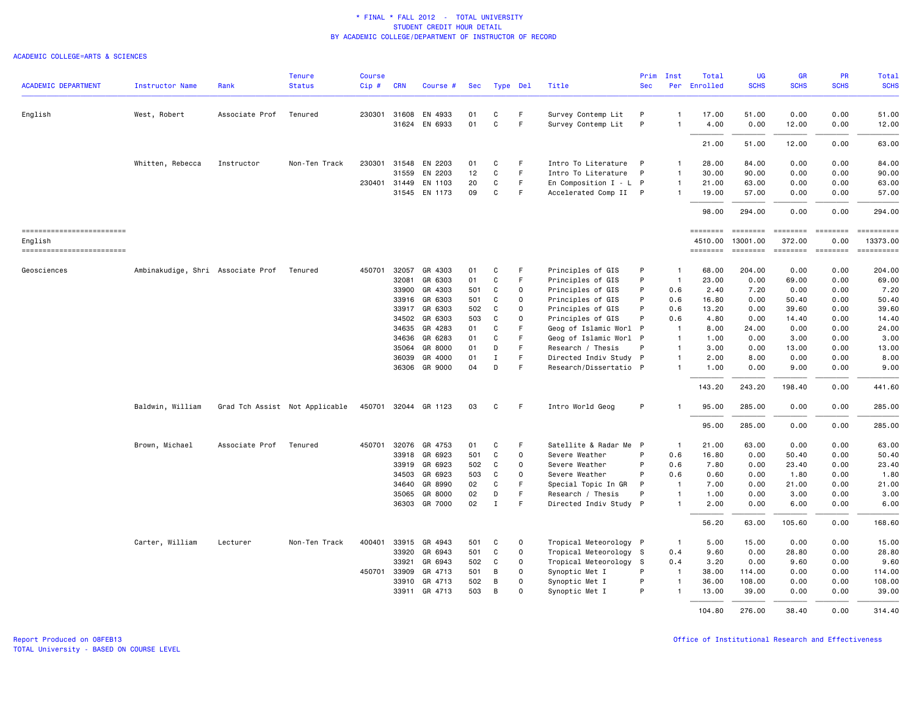| <b>ACADEMIC DEPARTMENT</b>            | Instructor Name                           | Rank           | <b>Tenure</b><br><b>Status</b> | <b>Course</b><br>Cip# | <b>CRN</b>   | Course #             | Sec |              | Type Del    | Title                  | Prim<br><b>Sec</b> | Inst<br>Per    | Total<br>Enrolled         | <b>UG</b><br><b>SCHS</b>                                                                                                                                                                                                                                                                                                                                                                                                                                                                           | GR<br><b>SCHS</b>                                                                                                                                                                                                                                                                                                                                                                                                                                                                                | PR<br><b>SCHS</b>       | <b>Total</b><br><b>SCHS</b> |
|---------------------------------------|-------------------------------------------|----------------|--------------------------------|-----------------------|--------------|----------------------|-----|--------------|-------------|------------------------|--------------------|----------------|---------------------------|----------------------------------------------------------------------------------------------------------------------------------------------------------------------------------------------------------------------------------------------------------------------------------------------------------------------------------------------------------------------------------------------------------------------------------------------------------------------------------------------------|--------------------------------------------------------------------------------------------------------------------------------------------------------------------------------------------------------------------------------------------------------------------------------------------------------------------------------------------------------------------------------------------------------------------------------------------------------------------------------------------------|-------------------------|-----------------------------|
|                                       |                                           |                |                                |                       |              |                      |     |              |             |                        |                    |                |                           |                                                                                                                                                                                                                                                                                                                                                                                                                                                                                                    |                                                                                                                                                                                                                                                                                                                                                                                                                                                                                                  |                         |                             |
| English                               | West, Robert                              | Associate Prof | Tenured                        | 230301 31608          |              | EN 4933              | 01  | C            | F           | Survey Contemp Lit     | P                  | $\mathbf{1}$   | 17.00                     | 51.00                                                                                                                                                                                                                                                                                                                                                                                                                                                                                              | 0.00                                                                                                                                                                                                                                                                                                                                                                                                                                                                                             | 0.00                    | 51.00                       |
|                                       |                                           |                |                                |                       | 31624        | EN 6933              | 01  | C            | F.          | Survey Contemp Lit     | P                  | $\mathbf{1}$   | 4.00                      | 0.00                                                                                                                                                                                                                                                                                                                                                                                                                                                                                               | 12.00                                                                                                                                                                                                                                                                                                                                                                                                                                                                                            | 0.00                    | 12.00                       |
|                                       |                                           |                |                                |                       |              |                      |     |              |             |                        |                    |                | 21.00                     | 51.00                                                                                                                                                                                                                                                                                                                                                                                                                                                                                              | 12.00                                                                                                                                                                                                                                                                                                                                                                                                                                                                                            | 0.00                    | 63.00                       |
|                                       | Whitten, Rebecca                          | Instructor     | Non-Ten Track                  | 230301                | 31548        | EN 2203              | 01  | C            | F           | Intro To Literature    | P                  | $\mathbf{1}$   | 28.00                     | 84.00                                                                                                                                                                                                                                                                                                                                                                                                                                                                                              | 0.00                                                                                                                                                                                                                                                                                                                                                                                                                                                                                             | 0.00                    | 84.00                       |
|                                       |                                           |                |                                |                       | 31559        | EN 2203              | 12  | C            | F.          | Intro To Literature    | P                  | $\mathbf{1}$   | 30.00                     | 90.00                                                                                                                                                                                                                                                                                                                                                                                                                                                                                              | 0.00                                                                                                                                                                                                                                                                                                                                                                                                                                                                                             | 0.00                    | 90.00                       |
|                                       |                                           |                |                                | 230401 31449          |              | EN 1103              | 20  | C            | F           | En Composition I - L P |                    | $\mathbf{1}$   | 21.00                     | 63.00                                                                                                                                                                                                                                                                                                                                                                                                                                                                                              | 0.00                                                                                                                                                                                                                                                                                                                                                                                                                                                                                             | 0.00                    | 63.00                       |
|                                       |                                           |                |                                |                       | 31545        | EN 1173              | 09  | C            | F           | Accelerated Comp II P  |                    | $\mathbf{1}$   | 19.00                     | 57.00                                                                                                                                                                                                                                                                                                                                                                                                                                                                                              | 0.00                                                                                                                                                                                                                                                                                                                                                                                                                                                                                             | 0.00                    | 57.00                       |
|                                       |                                           |                |                                |                       |              |                      |     |              |             |                        |                    |                | 98.00                     | 294.00                                                                                                                                                                                                                                                                                                                                                                                                                                                                                             | 0.00                                                                                                                                                                                                                                                                                                                                                                                                                                                                                             | 0.00                    | 294.00                      |
| ==========================<br>English |                                           |                |                                |                       |              |                      |     |              |             |                        |                    |                | <b>EBBEDEE</b><br>4510.00 | $\begin{array}{cccccccccc} \multicolumn{2}{c}{} & \multicolumn{2}{c}{} & \multicolumn{2}{c}{} & \multicolumn{2}{c}{} & \multicolumn{2}{c}{} & \multicolumn{2}{c}{} & \multicolumn{2}{c}{} & \multicolumn{2}{c}{} & \multicolumn{2}{c}{} & \multicolumn{2}{c}{} & \multicolumn{2}{c}{} & \multicolumn{2}{c}{} & \multicolumn{2}{c}{} & \multicolumn{2}{c}{} & \multicolumn{2}{c}{} & \multicolumn{2}{c}{} & \multicolumn{2}{c}{} & \multicolumn{2}{c}{} & \multicolumn{2}{c}{} & \mult$<br>13001.00 | $\begin{array}{cccccccccc} \multicolumn{2}{c}{} & \multicolumn{2}{c}{} & \multicolumn{2}{c}{} & \multicolumn{2}{c}{} & \multicolumn{2}{c}{} & \multicolumn{2}{c}{} & \multicolumn{2}{c}{} & \multicolumn{2}{c}{} & \multicolumn{2}{c}{} & \multicolumn{2}{c}{} & \multicolumn{2}{c}{} & \multicolumn{2}{c}{} & \multicolumn{2}{c}{} & \multicolumn{2}{c}{} & \multicolumn{2}{c}{} & \multicolumn{2}{c}{} & \multicolumn{2}{c}{} & \multicolumn{2}{c}{} & \multicolumn{2}{c}{} & \mult$<br>372.00 | <b>EBBEBBBB</b><br>0.00 | ==========<br>13373.00      |
| ------------------------              |                                           |                |                                |                       |              |                      |     |              |             |                        |                    |                | <b>EDESSERS</b>           | $\begin{array}{c} \texttt{m} = \texttt{m} = \texttt{m} = \texttt{m} \end{array}$                                                                                                                                                                                                                                                                                                                                                                                                                   |                                                                                                                                                                                                                                                                                                                                                                                                                                                                                                  |                         | ==========                  |
| Geosciences                           | Ambinakudige, Shri Associate Prof Tenured |                |                                | 450701                | 32057        | GR 4303              | 01  | C            | F           | Principles of GIS      | P                  | $\mathbf{1}$   | 68.00                     | 204.00                                                                                                                                                                                                                                                                                                                                                                                                                                                                                             | 0.00                                                                                                                                                                                                                                                                                                                                                                                                                                                                                             | 0.00                    | 204.00                      |
|                                       |                                           |                |                                |                       | 32081        | GR 6303              | 01  | C            | F           | Principles of GIS      | P                  | $\overline{1}$ | 23.00                     | 0.00                                                                                                                                                                                                                                                                                                                                                                                                                                                                                               | 69.00                                                                                                                                                                                                                                                                                                                                                                                                                                                                                            | 0.00                    | 69.00                       |
|                                       |                                           |                |                                |                       | 33900        | GR 4303              | 501 | C            | $\mathbf 0$ | Principles of GIS      | P                  | 0.6            | 2.40                      | 7.20                                                                                                                                                                                                                                                                                                                                                                                                                                                                                               | 0.00                                                                                                                                                                                                                                                                                                                                                                                                                                                                                             | 0.00                    | 7.20                        |
|                                       |                                           |                |                                |                       | 33916        | GR 6303              | 501 | C            | $\Omega$    | Principles of GIS      | P                  | 0.6            | 16.80                     | 0.00                                                                                                                                                                                                                                                                                                                                                                                                                                                                                               | 50.40                                                                                                                                                                                                                                                                                                                                                                                                                                                                                            | 0.00                    | 50.40                       |
|                                       |                                           |                |                                |                       | 33917        | GR 6303              | 502 | C            | $\Omega$    | Principles of GIS      | P                  | 0.6            | 13.20                     | 0.00                                                                                                                                                                                                                                                                                                                                                                                                                                                                                               | 39.60                                                                                                                                                                                                                                                                                                                                                                                                                                                                                            | 0.00                    | 39.60                       |
|                                       |                                           |                |                                |                       | 34502        | GR 6303              | 503 | C            | $\Omega$    | Principles of GIS      | P                  | 0.6            | 4.80                      | 0.00                                                                                                                                                                                                                                                                                                                                                                                                                                                                                               | 14.40                                                                                                                                                                                                                                                                                                                                                                                                                                                                                            | 0.00                    | 14.40                       |
|                                       |                                           |                |                                |                       | 34635        | GR 4283              | 01  | C            | F           | Geog of Islamic Worl P |                    | $\overline{1}$ | 8.00                      | 24.00                                                                                                                                                                                                                                                                                                                                                                                                                                                                                              | 0.00                                                                                                                                                                                                                                                                                                                                                                                                                                                                                             | 0.00                    | 24.00                       |
|                                       |                                           |                |                                |                       | 34636        | GR 6283              | 01  | C            | F           | Geog of Islamic Worl P |                    | $\overline{1}$ | 1.00                      | 0.00                                                                                                                                                                                                                                                                                                                                                                                                                                                                                               | 3.00                                                                                                                                                                                                                                                                                                                                                                                                                                                                                             | 0.00                    | 3.00                        |
|                                       |                                           |                |                                |                       | 35064        | GR 8000              | 01  | D            | F           | Research / Thesis      | P                  | $\mathbf{1}$   | 3.00                      | 0.00                                                                                                                                                                                                                                                                                                                                                                                                                                                                                               | 13.00                                                                                                                                                                                                                                                                                                                                                                                                                                                                                            | 0.00                    | 13.00                       |
|                                       |                                           |                |                                |                       | 36039        | GR 4000              | 01  | $\mathbf I$  | F           | Directed Indiv Study P |                    | 1              | 2.00                      | 8.00                                                                                                                                                                                                                                                                                                                                                                                                                                                                                               | 0.00                                                                                                                                                                                                                                                                                                                                                                                                                                                                                             | 0.00                    | 8.00                        |
|                                       |                                           |                |                                |                       |              | 36306 GR 9000        | 04  | D            | F           | Research/Dissertatio P |                    | $\mathbf{1}$   | 1.00                      | 0.00                                                                                                                                                                                                                                                                                                                                                                                                                                                                                               | 9.00                                                                                                                                                                                                                                                                                                                                                                                                                                                                                             | 0.00                    | 9.00                        |
|                                       |                                           |                |                                |                       |              |                      |     |              |             |                        |                    |                | 143.20                    | 243.20                                                                                                                                                                                                                                                                                                                                                                                                                                                                                             | 198.40                                                                                                                                                                                                                                                                                                                                                                                                                                                                                           | 0.00                    | 441.60                      |
|                                       | Baldwin, William                          |                | Grad Tch Assist Not Applicable |                       |              | 450701 32044 GR 1123 | 03  | C            | F.          | Intro World Geog       | P                  |                | 95.00                     | 285.00                                                                                                                                                                                                                                                                                                                                                                                                                                                                                             | 0.00                                                                                                                                                                                                                                                                                                                                                                                                                                                                                             | 0.00                    | 285.00                      |
|                                       |                                           |                |                                |                       |              |                      |     |              |             |                        |                    |                | 95.00                     | 285.00                                                                                                                                                                                                                                                                                                                                                                                                                                                                                             | 0.00                                                                                                                                                                                                                                                                                                                                                                                                                                                                                             | 0.00                    | 285.00                      |
|                                       | Brown, Michael                            | Associate Prof | Tenured                        | 450701 32076          |              | GR 4753              | 01  | C            | F           | Satellite & Radar Me P |                    | $\blacksquare$ | 21.00                     | 63.00                                                                                                                                                                                                                                                                                                                                                                                                                                                                                              | 0.00                                                                                                                                                                                                                                                                                                                                                                                                                                                                                             | 0.00                    | 63.00                       |
|                                       |                                           |                |                                |                       | 33918        | GR 6923              | 501 | C            | $\Omega$    | Severe Weather         | P                  | 0.6            | 16.80                     | 0.00                                                                                                                                                                                                                                                                                                                                                                                                                                                                                               | 50.40                                                                                                                                                                                                                                                                                                                                                                                                                                                                                            | 0.00                    | 50.40                       |
|                                       |                                           |                |                                |                       | 33919        | GR 6923              | 502 | C            | $\Omega$    | Severe Weather         | P                  | 0.6            | 7.80                      | 0.00                                                                                                                                                                                                                                                                                                                                                                                                                                                                                               | 23.40                                                                                                                                                                                                                                                                                                                                                                                                                                                                                            | 0.00                    | 23.40                       |
|                                       |                                           |                |                                |                       | 34503        | GR 6923              | 503 | C            | 0           | Severe Weather         | P                  | 0.6            | 0.60                      | 0.00                                                                                                                                                                                                                                                                                                                                                                                                                                                                                               | 1.80                                                                                                                                                                                                                                                                                                                                                                                                                                                                                             | 0.00                    | 1.80                        |
|                                       |                                           |                |                                |                       | 34640        | GR 8990              | 02  | C            | F           | Special Topic In GR    | P                  | $\overline{1}$ | 7.00                      | 0.00                                                                                                                                                                                                                                                                                                                                                                                                                                                                                               | 21.00                                                                                                                                                                                                                                                                                                                                                                                                                                                                                            | 0.00                    | 21.00                       |
|                                       |                                           |                |                                |                       | 35065        | GR 8000              | 02  | D            | F.          | Research / Thesis      | P                  | $\overline{1}$ | 1.00                      | 0.00                                                                                                                                                                                                                                                                                                                                                                                                                                                                                               | 3.00                                                                                                                                                                                                                                                                                                                                                                                                                                                                                             | 0.00                    | 3.00                        |
|                                       |                                           |                |                                |                       |              | 36303 GR 7000        | 02  | $\mathbf{I}$ | F           | Directed Indiv Study P |                    | $\mathbf{1}$   | 2.00                      | 0.00                                                                                                                                                                                                                                                                                                                                                                                                                                                                                               | 6.00                                                                                                                                                                                                                                                                                                                                                                                                                                                                                             | 0.00                    | 6.00                        |
|                                       |                                           |                |                                |                       |              |                      |     |              |             |                        |                    |                | 56.20                     | 63.00                                                                                                                                                                                                                                                                                                                                                                                                                                                                                              | 105.60                                                                                                                                                                                                                                                                                                                                                                                                                                                                                           | 0.00                    | 168.60                      |
|                                       | Carter, William                           | Lecturer       | Non-Ten Track                  | 400401                | 33915        | GR 4943              | 501 | C            | $\circ$     | Tropical Meteorology P |                    | $\overline{1}$ | 5.00                      | 15.00                                                                                                                                                                                                                                                                                                                                                                                                                                                                                              | 0.00                                                                                                                                                                                                                                                                                                                                                                                                                                                                                             | 0.00                    | 15.00                       |
|                                       |                                           |                |                                |                       | 33920        | GR 6943              | 501 | C            | $\Omega$    | Tropical Meteorology S |                    | 0.4            | 9.60                      | 0.00                                                                                                                                                                                                                                                                                                                                                                                                                                                                                               | 28.80                                                                                                                                                                                                                                                                                                                                                                                                                                                                                            | 0.00                    | 28.80                       |
|                                       |                                           |                |                                |                       | 33921        | GR 6943              | 502 | C            | 0           | Tropical Meteorology S |                    | 0.4            | 3.20                      | 0.00                                                                                                                                                                                                                                                                                                                                                                                                                                                                                               | 9.60                                                                                                                                                                                                                                                                                                                                                                                                                                                                                             | 0.00                    | 9.60                        |
|                                       |                                           |                |                                |                       | 450701 33909 | GR 4713              | 501 | B            | $\Omega$    | Synoptic Met I         | P                  | $\overline{1}$ | 38.00                     | 114.00                                                                                                                                                                                                                                                                                                                                                                                                                                                                                             | 0.00                                                                                                                                                                                                                                                                                                                                                                                                                                                                                             | 0.00                    | 114.00                      |
|                                       |                                           |                |                                |                       | 33910        | GR 4713              | 502 | B            | $\mathbf 0$ | Synoptic Met I         | P                  | $\mathbf{1}$   | 36.00                     | 108.00                                                                                                                                                                                                                                                                                                                                                                                                                                                                                             | 0.00                                                                                                                                                                                                                                                                                                                                                                                                                                                                                             | 0.00                    | 108.00                      |
|                                       |                                           |                |                                |                       |              | 33911 GR 4713        | 503 | B            | $\Omega$    | Synoptic Met I         | P                  | $\mathbf{1}$   | 13.00                     | 39.00                                                                                                                                                                                                                                                                                                                                                                                                                                                                                              | 0.00                                                                                                                                                                                                                                                                                                                                                                                                                                                                                             | 0.00                    | 39.00                       |
|                                       |                                           |                |                                |                       |              |                      |     |              |             |                        |                    |                | 104.80                    | 276.00                                                                                                                                                                                                                                                                                                                                                                                                                                                                                             | 38,40                                                                                                                                                                                                                                                                                                                                                                                                                                                                                            | 0.00                    | 314.40                      |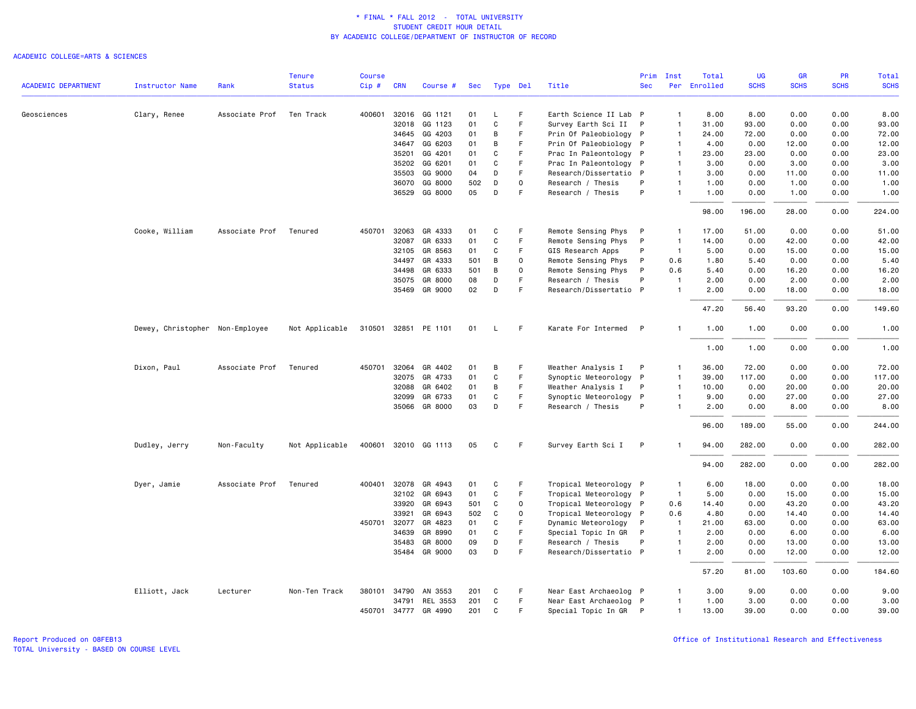#### ACADEMIC COLLEGE=ARTS & SCIENCES

|                            |                                 |                | <b>Tenure</b>  | <b>Course</b> |              |                      |     |             |             |                        | Prim         | Inst           | Total    | <b>UG</b>   | <b>GR</b>   | PR          | Total       |
|----------------------------|---------------------------------|----------------|----------------|---------------|--------------|----------------------|-----|-------------|-------------|------------------------|--------------|----------------|----------|-------------|-------------|-------------|-------------|
| <b>ACADEMIC DEPARTMENT</b> | Instructor Name                 | Rank           | <b>Status</b>  | Cip#          | <b>CRN</b>   | Course #             | Sec |             | Type Del    | Title                  | <b>Sec</b>   | Per            | Enrolled | <b>SCHS</b> | <b>SCHS</b> | <b>SCHS</b> | <b>SCHS</b> |
| Geosciences                | Clary, Renee                    | Associate Prof | Ten Track      | 400601        |              | 32016 GG 1121        | 01  | L           | F           | Earth Science II Lab P |              | $\overline{1}$ | 8.00     | 8.00        | 0.00        | 0.00        | 8.00        |
|                            |                                 |                |                |               | 32018        | GG 1123              | 01  | $\mathbf C$ | F           | Survey Earth Sci II    | P            | $\overline{1}$ | 31.00    | 93.00       | 0.00        | 0.00        | 93.00       |
|                            |                                 |                |                |               | 34645        | GG 4203              | 01  | B           | F           | Prin Of Paleobiology P |              | $\overline{1}$ | 24.00    | 72.00       | 0.00        | 0.00        | 72.00       |
|                            |                                 |                |                |               | 34647        | GG 6203              | 01  | В           | F           | Prin Of Paleobiology P |              | $\overline{1}$ | 4.00     | 0.00        | 12.00       | 0.00        | 12.00       |
|                            |                                 |                |                |               | 35201        | GG 4201              | 01  | C           | F           | Prac In Paleontology P |              | $\overline{1}$ | 23.00    | 23,00       | 0.00        | 0.00        | 23.00       |
|                            |                                 |                |                |               | 35202        | GG 6201              | 01  | C           | F           | Prac In Paleontology   | P            | $\overline{1}$ | 3.00     | 0.00        | 3.00        | 0.00        | 3.00        |
|                            |                                 |                |                |               | 35503        | GG 9000              | 04  | D           | F           | Research/Dissertatio P |              | $\overline{1}$ | 3.00     | 0.00        | 11.00       | 0.00        | 11.00       |
|                            |                                 |                |                |               | 36070        | GG 8000              | 502 | D           | 0           | Research / Thesis      | P            | $\overline{1}$ | 1.00     | 0.00        | 1.00        | 0.00        | 1.00        |
|                            |                                 |                |                |               | 36529        | GG 8000              | 05  | D           | F           | Research / Thesis      | P            | $\overline{1}$ | 1.00     | 0.00        | 1.00        | 0.00        | 1.00        |
|                            |                                 |                |                |               |              |                      |     |             |             |                        |              |                | 98.00    | 196.00      | 28.00       | 0.00        | 224.00      |
|                            | Cooke, William                  | Associate Prof | Tenured        |               | 450701 32063 | GR 4333              | 01  | C           | F           | Remote Sensing Phys    | P            | -1             | 17.00    | 51.00       | 0.00        | 0.00        | 51.00       |
|                            |                                 |                |                |               | 32087        | GR 6333              | 01  | C           | F           | Remote Sensing Phys    | P            | $\overline{1}$ | 14.00    | 0.00        | 42.00       | 0.00        | 42.00       |
|                            |                                 |                |                |               | 32105        | GR 8563              | 01  | C           | F           | GIS Research Apps      | P            | $\overline{1}$ | 5.00     | 0.00        | 15.00       | 0.00        | 15.00       |
|                            |                                 |                |                |               | 34497        | GR 4333              | 501 | B           | $\mathbf 0$ | Remote Sensing Phys    | P            | 0.6            | 1.80     | 5.40        | 0.00        | 0.00        | 5.40        |
|                            |                                 |                |                |               | 34498        | GR 6333              | 501 | В           | $\mathbf 0$ | Remote Sensing Phys    | P            | 0.6            | 5.40     | 0.00        | 16.20       | 0.00        | 16.20       |
|                            |                                 |                |                |               | 35075        | GR 8000              | 08  | D           | F           | Research / Thesis      | P            | $\overline{1}$ | 2.00     | 0.00        | 2.00        | 0.00        | 2.00        |
|                            |                                 |                |                |               |              | 35469 GR 9000        | 02  | D           | F           | Research/Dissertatio P |              | $\overline{1}$ | 2.00     | 0.00        | 18.00       | 0.00        | 18.00       |
|                            |                                 |                |                |               |              |                      |     |             |             |                        |              |                | 47.20    | 56.40       | 93.20       | 0.00        | 149.60      |
|                            | Dewey, Christopher Non-Employee |                | Not Applicable |               |              | 310501 32851 PE 1101 | 01  | L.          | F           | Karate For Intermed    | P            | $\mathbf{1}$   | 1.00     | 1.00        | 0.00        | 0.00        | 1.00        |
|                            |                                 |                |                |               |              |                      |     |             |             |                        |              |                | 1.00     | 1.00        | 0.00        | 0.00        | 1.00        |
|                            | Dixon, Paul                     | Associate Prof | Tenured        | 450701        | 32064        | GR 4402              | 01  | В           | F           | Weather Analysis I     | P            | $\overline{1}$ | 36.00    | 72.00       | 0.00        | 0.00        | 72.00       |
|                            |                                 |                |                |               | 32075        | GR 4733              | 01  | C           | F           | Synoptic Meteorology   | $\mathsf{P}$ | $\overline{1}$ | 39.00    | 117.00      | 0.00        | 0.00        | 117.00      |
|                            |                                 |                |                |               | 32088        | GR 6402              | 01  | B           | F.          | Weather Analysis I     | P            | $\overline{1}$ | 10.00    | 0.00        | 20.00       | 0.00        | 20.00       |
|                            |                                 |                |                |               | 32099        | GR 6733              | 01  | C           | F           | Synoptic Meteorology P |              | $\overline{1}$ | 9.00     | 0.00        | 27.00       | 0.00        | 27.00       |
|                            |                                 |                |                |               |              | 35066 GR 8000        | 03  | D           | F           | Research / Thesis      | P            | $\overline{1}$ | 2.00     | 0.00        | 8.00        | 0.00        | 8.00        |
|                            |                                 |                |                |               |              |                      |     |             |             |                        |              |                | 96.00    | 189.00      | 55.00       | 0.00        | 244.00      |
|                            | Dudley, Jerry                   | Non-Faculty    | Not Applicable |               |              | 400601 32010 GG 1113 | 05  | C           | F           | Survey Earth Sci I     | P            | $\mathbf{1}$   | 94.00    | 282.00      | 0.00        | 0.00        | 282.00      |
|                            |                                 |                |                |               |              |                      |     |             |             |                        |              |                | 94.00    | 282.00      | 0.00        | 0.00        | 282.00      |
|                            | Dyer, Jamie                     | Associate Prof | Tenured        | 400401        | 32078        | GR 4943              | 01  | C           | F           | Tropical Meteorology P |              | $\overline{1}$ | 6.00     | 18.00       | 0.00        | 0.00        | 18.00       |
|                            |                                 |                |                |               | 32102        | GR 6943              | 01  | C           | F           | Tropical Meteorology P |              | $\overline{1}$ | 5.00     | 0.00        | 15.00       | 0.00        | 15.00       |
|                            |                                 |                |                |               | 33920        | GR 6943              | 501 | $\mathbf C$ | 0           | Tropical Meteorology P |              | 0.6            | 14.40    | 0.00        | 43.20       | 0.00        | 43.20       |
|                            |                                 |                |                |               | 33921        | GR 6943              | 502 | C           | $\Omega$    | Tropical Meteorology P |              | 0.6            | 4.80     | 0.00        | 14.40       | 0.00        | 14.40       |
|                            |                                 |                |                |               | 450701 32077 | GR 4823              | 01  | C           | F           | Dynamic Meteorology    | P            | $\overline{1}$ | 21.00    | 63.00       | 0.00        | 0.00        | 63.00       |
|                            |                                 |                |                |               | 34639        | GR 8990              | 01  | C           | F           | Special Topic In GR    | P            | $\overline{1}$ | 2.00     | 0.00        | 6.00        | 0.00        | 6.00        |
|                            |                                 |                |                |               | 35483        | GR 8000              | 09  | D           | F           | Research / Thesis      | P            | $\overline{1}$ | 2.00     | 0.00        | 13.00       | 0.00        | 13.00       |
|                            |                                 |                |                |               | 35484        | GR 9000              | 03  | D           | F           | Research/Dissertatio P |              | -1             | 2.00     | 0.00        | 12.00       | 0.00        | 12.00       |
|                            |                                 |                |                |               |              |                      |     |             |             |                        |              |                | 57.20    | 81.00       | 103.60      | 0.00        | 184.60      |
|                            | Elliott, Jack                   | Lecturer       | Non-Ten Track  | 380101        | 34790        | AN 3553              | 201 | C           | F           | Near East Archaeolog P |              | $\mathbf{1}$   | 3.00     | 9.00        | 0.00        | 0.00        | 9.00        |
|                            |                                 |                |                |               | 34791        | <b>REL 3553</b>      | 201 | C           | F           | Near East Archaeolog   | P            | $\overline{1}$ | 1.00     | 3.00        | 0.00        | 0.00        | 3.00        |
|                            |                                 |                |                |               | 450701 34777 | GR 4990              | 201 | C           | F.          | Special Topic In GR    | P            | $\overline{1}$ | 13.00    | 39.00       | 0.00        | 0.00        | 39.00       |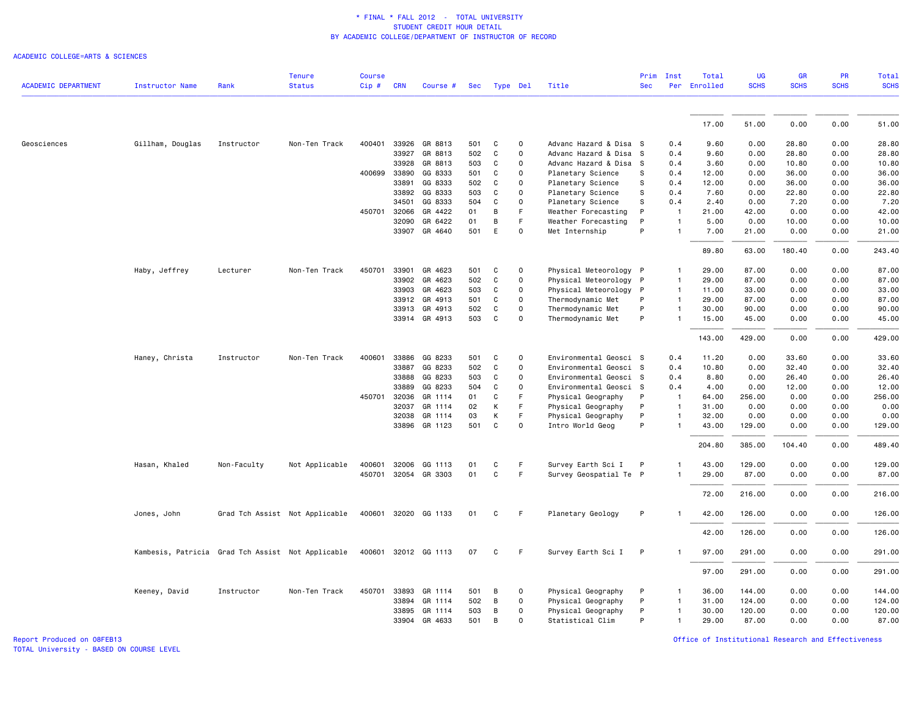#### ACADEMIC COLLEGE=ARTS & SCIENCES

| Cip#<br><b>ACADEMIC DEPARTMENT</b><br>Rank<br><b>Status</b><br><b>CRN</b><br>Title<br><b>Sec</b><br>Instructor Name<br>Course #<br>Type Del<br>Sec<br>Gillham, Douglas<br>33926<br>GR 8813<br>501<br>C<br>0<br>Advanc Hazard & Disa S<br>Geosciences<br>Instructor<br>Non-Ten Track<br>400401<br>33927<br>GR 8813<br>502<br>C<br>0<br>Advanc Hazard & Disa<br>s<br>$\mathbf 0$<br>33928<br>GR 8813<br>503<br>C<br>Advanc Hazard & Disa S | 0.4<br>0.4<br>0.4<br>0.4<br>0.4<br>0.4<br>0.4<br>-1<br>$\mathbf{1}$ | Per Enrolled<br>17.00<br>9.60<br>9.60<br>3.60<br>12.00<br>12.00<br>7.60<br>2.40 | <b>SCHS</b><br>51.00<br>0.00<br>0.00<br>0.00<br>0.00 | <b>SCHS</b><br>0.00<br>28.80<br>28.80<br>10.80 | <b>SCHS</b><br>0.00<br>0.00<br>0.00 | <b>SCHS</b><br>51.00<br>28.80<br>28.80 |
|------------------------------------------------------------------------------------------------------------------------------------------------------------------------------------------------------------------------------------------------------------------------------------------------------------------------------------------------------------------------------------------------------------------------------------------|---------------------------------------------------------------------|---------------------------------------------------------------------------------|------------------------------------------------------|------------------------------------------------|-------------------------------------|----------------------------------------|
|                                                                                                                                                                                                                                                                                                                                                                                                                                          |                                                                     |                                                                                 |                                                      |                                                |                                     |                                        |
|                                                                                                                                                                                                                                                                                                                                                                                                                                          |                                                                     |                                                                                 |                                                      |                                                |                                     |                                        |
|                                                                                                                                                                                                                                                                                                                                                                                                                                          |                                                                     |                                                                                 |                                                      |                                                |                                     |                                        |
|                                                                                                                                                                                                                                                                                                                                                                                                                                          |                                                                     |                                                                                 |                                                      |                                                |                                     |                                        |
|                                                                                                                                                                                                                                                                                                                                                                                                                                          |                                                                     |                                                                                 |                                                      |                                                |                                     |                                        |
|                                                                                                                                                                                                                                                                                                                                                                                                                                          |                                                                     |                                                                                 |                                                      |                                                | 0.00                                | 10.80                                  |
| 400699<br>33890<br>GG 8333<br>0<br>501<br>C<br>Planetary Science<br>s                                                                                                                                                                                                                                                                                                                                                                    |                                                                     |                                                                                 |                                                      | 36.00                                          | 0.00                                | 36.00                                  |
| 33891<br>GG 8333<br>0<br>S<br>502<br>C<br>Planetary Science                                                                                                                                                                                                                                                                                                                                                                              |                                                                     |                                                                                 | 0.00                                                 | 36.00                                          | 0.00                                | 36.00                                  |
| $\mathbf 0$<br>33892<br>GG 8333<br>503<br>C<br>Planetary Science<br>S                                                                                                                                                                                                                                                                                                                                                                    |                                                                     |                                                                                 | 0.00                                                 | 22.80                                          | 0.00                                | 22.80                                  |
| 34501<br>GG 8333<br>504<br>C<br>0<br>Planetary Science<br>S                                                                                                                                                                                                                                                                                                                                                                              |                                                                     |                                                                                 | 0.00                                                 | 7.20                                           | 0.00                                | 7.20                                   |
| 450701<br>32066<br>F<br>P<br>GR 4422<br>01<br>B<br>Weather Forecasting                                                                                                                                                                                                                                                                                                                                                                   |                                                                     | 21.00                                                                           | 42.00                                                | 0.00                                           | 0.00                                | 42.00                                  |
| 32090<br>GR 6422<br>В<br>F.<br>P<br>01<br>Weather Forecasting                                                                                                                                                                                                                                                                                                                                                                            |                                                                     | 5.00                                                                            | 0.00                                                 | 10.00                                          | 0.00                                | 10.00                                  |
| E<br>P<br>33907<br>GR 4640<br>501<br>$\mathbf 0$<br>Met Internship                                                                                                                                                                                                                                                                                                                                                                       |                                                                     | 7.00                                                                            | 21.00                                                | 0.00                                           | 0.00                                | 21.00                                  |
|                                                                                                                                                                                                                                                                                                                                                                                                                                          |                                                                     |                                                                                 |                                                      |                                                |                                     |                                        |
|                                                                                                                                                                                                                                                                                                                                                                                                                                          |                                                                     | 89.80                                                                           | 63.00                                                | 180.40                                         | 0.00                                | 243.40                                 |
| 33901<br>450701<br>GR 4623<br>501<br>C<br>0<br>Physical Meteorology P<br>Haby, Jeffrey<br>Lecturer<br>Non-Ten Track                                                                                                                                                                                                                                                                                                                      |                                                                     | 29.00                                                                           | 87.00                                                | 0.00                                           | 0.00                                | 87.00                                  |
| 33902<br>GR 4623<br>502<br>C<br>0<br>Physical Meteorology P                                                                                                                                                                                                                                                                                                                                                                              |                                                                     | 29.00                                                                           | 87.00                                                | 0.00                                           | 0.00                                | 87.00                                  |
| $\mathsf{O}\xspace$<br>33903<br>GR 4623<br>503<br>C<br>Physical Meteorology P                                                                                                                                                                                                                                                                                                                                                            | $\mathbf{1}$                                                        | 11.00                                                                           | 33.00                                                | 0.00                                           | 0.00                                | 33.00                                  |
| 0<br>Thermodynamic Met<br>P<br>33912<br>GR 4913<br>501<br>C                                                                                                                                                                                                                                                                                                                                                                              | $\mathbf{1}$                                                        | 29.00                                                                           | 87.00                                                | 0.00                                           | 0.00                                | 87.00                                  |
| P<br>33913<br>GR 4913<br>C<br>0<br>Thermodynamic Met<br>502                                                                                                                                                                                                                                                                                                                                                                              |                                                                     | 30.00                                                                           | 90.00                                                | 0.00                                           | 0.00                                | 90.00                                  |
| $\mathbf 0$<br>33914 GR 4913<br>503<br>C<br>Thermodynamic Met<br>P                                                                                                                                                                                                                                                                                                                                                                       |                                                                     | 15.00                                                                           | 45.00                                                | 0.00                                           | 0.00                                | 45.00                                  |
|                                                                                                                                                                                                                                                                                                                                                                                                                                          |                                                                     | 143.00                                                                          | 429.00                                               | 0.00                                           | 0.00                                | 429.00                                 |
| Haney, Christa<br>Instructor<br>Non-Ten Track<br>400601<br>33886<br>GG 8233<br>501<br>C<br>$\mathbf 0$<br>Environmental Geosci S                                                                                                                                                                                                                                                                                                         | 0.4                                                                 | 11.20                                                                           | 0.00                                                 | 33.60                                          | 0.00                                | 33.60                                  |
| 33887<br>GG 8233<br>502<br>C<br>0<br>Environmental Geosci S                                                                                                                                                                                                                                                                                                                                                                              | 0.4                                                                 | 10.80                                                                           | 0.00                                                 | 32.40                                          | 0.00                                | 32.40                                  |
| GG 8233<br>$\mathsf{O}\xspace$<br>33888<br>503<br>C<br>Environmental Geosci S                                                                                                                                                                                                                                                                                                                                                            | 0.4                                                                 | 8.80                                                                            | 0.00                                                 | 26.40                                          | 0.00                                | 26.40                                  |
| $\mathsf{O}\xspace$<br>GG 8233<br>504<br>C<br>Environmental Geosci S<br>33889                                                                                                                                                                                                                                                                                                                                                            | 0.4                                                                 | 4.00                                                                            | 0.00                                                 | 12.00                                          | 0.00                                | 12.00                                  |
| F<br>450701<br>32036<br>GR 1114<br>01<br>C<br>Physical Geography<br>P                                                                                                                                                                                                                                                                                                                                                                    |                                                                     | 64.00                                                                           | 256.00                                               | 0.00                                           | 0.00                                | 256.00                                 |
| 32037<br>GR 1114<br>F<br>Physical Geography<br>02<br>К<br>P                                                                                                                                                                                                                                                                                                                                                                              | $\mathbf{1}$                                                        | 31.00                                                                           | 0.00                                                 | 0.00                                           | 0.00                                | 0.00                                   |
| F<br>32038<br>GR 1114<br>03<br>К<br>Physical Geography<br>P                                                                                                                                                                                                                                                                                                                                                                              | $\mathbf{1}$                                                        | 32.00                                                                           | 0.00                                                 | 0.00                                           | 0.00                                | 0.00                                   |
| P<br>33896<br>GR 1123<br>501<br>C<br>0<br>Intro World Geog                                                                                                                                                                                                                                                                                                                                                                               |                                                                     | 43.00                                                                           | 129.00                                               | 0.00                                           | 0.00                                | 129.00                                 |
|                                                                                                                                                                                                                                                                                                                                                                                                                                          |                                                                     | 204.80                                                                          | 385.00                                               | 104.40                                         | 0.00                                | 489.40                                 |
| 400601<br>32006<br>C<br>Survey Earth Sci I<br>Hasan, Khaled<br>Non-Faculty<br>Not Applicable<br>GG 1113<br>F<br>P<br>01                                                                                                                                                                                                                                                                                                                  |                                                                     | 43.00                                                                           | 129.00                                               | 0.00                                           | 0.00                                | 129.00                                 |
| F<br>450701<br>32054 GR 3303<br>01<br>C<br>Survey Geospatial Te P                                                                                                                                                                                                                                                                                                                                                                        |                                                                     | 29.00                                                                           | 87.00                                                | 0.00                                           | 0.00                                | 87.00                                  |
|                                                                                                                                                                                                                                                                                                                                                                                                                                          |                                                                     | 72.00                                                                           | 216.00                                               | 0.00                                           | 0.00                                | 216.00                                 |
| P<br>400601 32020<br>GG 1133<br>C<br>F<br>Planetary Geology<br>Jones, John<br>Grad Tch Assist Not Applicable<br>01                                                                                                                                                                                                                                                                                                                       |                                                                     | 42.00                                                                           | 126.00                                               | 0.00                                           | 0.00                                | 126.00                                 |
|                                                                                                                                                                                                                                                                                                                                                                                                                                          |                                                                     | 42.00                                                                           | 126.00                                               | 0.00                                           | 0.00                                | 126.00                                 |
| 32012 GG 1113<br>Kambesis, Patricia<br>Grad Tch Assist Not Applicable<br>400601<br>07<br>C<br>F.<br>Survey Earth Sci I<br>P                                                                                                                                                                                                                                                                                                              |                                                                     | 97.00                                                                           | 291.00                                               | 0.00                                           | 0.00                                | 291.00                                 |
|                                                                                                                                                                                                                                                                                                                                                                                                                                          |                                                                     | 97.00                                                                           | 291.00                                               | 0.00                                           | 0.00                                | 291.00                                 |
| 450701<br>33893<br>Physical Geography<br>Non-Ten Track<br>GR 1114<br>501<br>B<br>0<br>P<br>Keeney, David<br>Instructor                                                                                                                                                                                                                                                                                                                   |                                                                     | 36.00                                                                           | 144.00                                               | 0.00                                           | 0.00                                | 144.00                                 |
| $\mathsf{O}\xspace$<br>33894<br>502<br>В<br>Physical Geography<br>P<br>GR 1114                                                                                                                                                                                                                                                                                                                                                           |                                                                     | 31.00                                                                           | 124.00                                               | 0.00                                           | 0.00                                | 124.00                                 |
| 33895<br>GR 1114<br>503<br>B<br>0<br>Physical Geography<br>P                                                                                                                                                                                                                                                                                                                                                                             |                                                                     | 30.00                                                                           | 120.00                                               | 0.00                                           | 0.00                                | 120.00                                 |
| 33904<br>GR 4633<br>501<br>B<br>$\mathbf 0$<br>Statistical Clim<br>P                                                                                                                                                                                                                                                                                                                                                                     | $\mathbf{1}$                                                        | 29.00                                                                           | 87.00                                                | 0.00                                           | 0.00                                | 87.00                                  |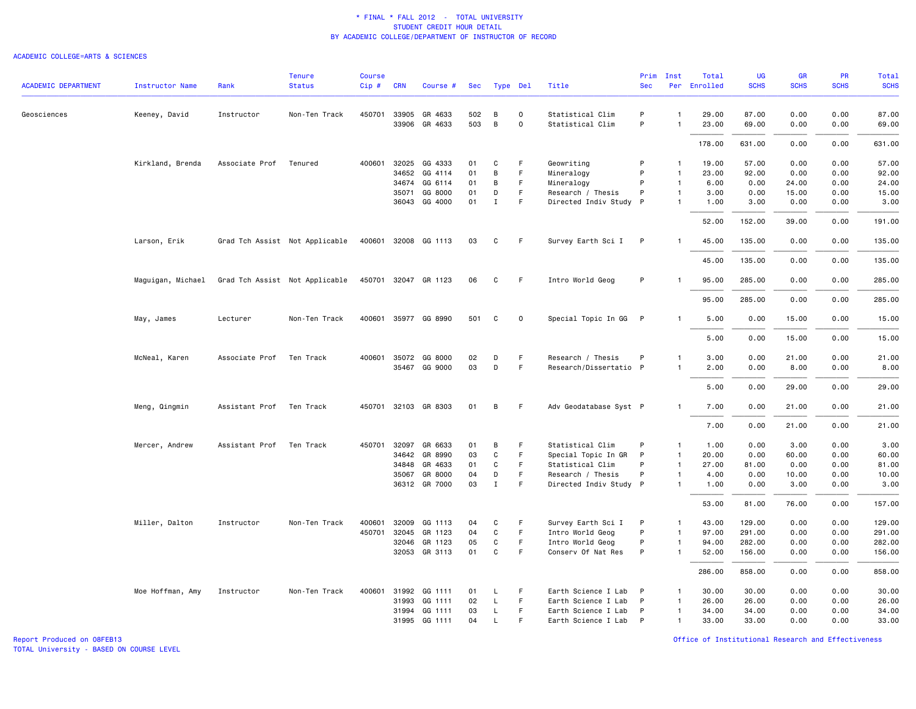### ACADEMIC COLLEGE=ARTS & SCIENCES

|                            |                        |                          | <b>Tenure</b>                  | <b>Course</b> |              |                      |     |              |             |                        | Prim       | Inst           | Total        | <b>UG</b>   | <b>GR</b>   | PR          | Total       |
|----------------------------|------------------------|--------------------------|--------------------------------|---------------|--------------|----------------------|-----|--------------|-------------|------------------------|------------|----------------|--------------|-------------|-------------|-------------|-------------|
| <b>ACADEMIC DEPARTMENT</b> | <b>Instructor Name</b> | Rank                     | <b>Status</b>                  | Cip#          | <b>CRN</b>   | Course #             | Sec | Type Del     |             | Title                  | <b>Sec</b> |                | Per Enrolled | <b>SCHS</b> | <b>SCHS</b> | <b>SCHS</b> | <b>SCHS</b> |
| Geosciences                | Keeney, David          | Instructor               | Non-Ten Track                  |               | 450701 33905 | GR 4633              | 502 | B            | $\mathbf 0$ | Statistical Clim       | P          | -1             | 29.00        | 87.00       | 0.00        | 0.00        | 87.00       |
|                            |                        |                          |                                |               | 33906        | GR 4633              | 503 | $\, {\bf B}$ | 0           | Statistical Clim       | P          | $\overline{1}$ | 23.00        | 69.00       | 0.00        | 0.00        | 69.00       |
|                            |                        |                          |                                |               |              |                      |     |              |             |                        |            |                | 178.00       | 631.00      | 0.00        | 0.00        | 631.00      |
|                            | Kirkland, Brenda       | Associate Prof           | Tenured                        |               |              | 400601 32025 GG 4333 | 01  | C            | F           | Geowriting             | P          | -1             | 19.00        | 57.00       | 0.00        | 0.00        | 57.00       |
|                            |                        |                          |                                |               | 34652        | GG 4114              | 01  | B            | F.          | Mineralogy             | P          | $\overline{1}$ | 23.00        | 92.00       | 0.00        | 0.00        | 92.00       |
|                            |                        |                          |                                |               | 34674        | GG 6114              | 01  | B            | F           | Mineralogy             | P          | $\overline{1}$ | 6.00         | 0.00        | 24.00       | 0.00        | 24.00       |
|                            |                        |                          |                                |               | 35071        | GG 8000              | 01  | D            | F.          | Research / Thesis      | P          | $\overline{1}$ | 3.00         | 0.00        | 15.00       | 0.00        | 15.00       |
|                            |                        |                          |                                |               | 36043        | GG 4000              | 01  | $\mathbf I$  | F.          | Directed Indiv Study P |            | $\mathbf{1}$   | 1.00         | 3.00        | 0.00        | 0.00        | 3.00        |
|                            |                        |                          |                                |               |              |                      |     |              |             |                        |            |                | 52.00        | 152.00      | 39.00       | 0.00        | 191.00      |
|                            | Larson, Erik           |                          | Grad Tch Assist Not Applicable |               |              | 400601 32008 GG 1113 | 03  | C            | F           | Survey Earth Sci I     | P          | -1             | 45.00        | 135.00      | 0.00        | 0.00        | 135.00      |
|                            |                        |                          |                                |               |              |                      |     |              |             |                        |            |                | 45.00        | 135.00      | 0.00        | 0.00        | 135.00      |
|                            | Maguigan, Michael      |                          | Grad Tch Assist Not Applicable |               |              | 450701 32047 GR 1123 | 06  | C            | F           | Intro World Geog       | P          | -1             | 95.00        | 285.00      | 0.00        | 0.00        | 285.00      |
|                            |                        |                          |                                |               |              |                      |     |              |             |                        |            |                | 95.00        | 285.00      | 0.00        | 0.00        | 285.00      |
|                            | May, James             | Lecturer                 | Non-Ten Track                  |               |              | 400601 35977 GG 8990 | 501 | C            | $\mathbf 0$ | Special Topic In GG P  |            | $\mathbf{1}$   | 5.00         | 0.00        | 15.00       | 0.00        | 15.00       |
|                            |                        |                          |                                |               |              |                      |     |              |             |                        |            |                | 5.00         | 0.00        | 15.00       | 0.00        | 15.00       |
|                            | McNeal, Karen          | Associate Prof           | Ten Track                      | 400601        | 35072        | GG 8000              | 02  | D            | F           | Research / Thesis      | P          | $\overline{1}$ | 3.00         | 0.00        | 21.00       | 0.00        | 21.00       |
|                            |                        |                          |                                |               |              | 35467 GG 9000        | 03  | D            | F           | Research/Dissertatio P |            | $\overline{1}$ | 2.00         | 0.00        | 8.00        | 0.00        | 8.00        |
|                            |                        |                          |                                |               |              |                      |     |              |             |                        |            |                | 5.00         | 0.00        | 29.00       | 0.00        | 29.00       |
|                            | Meng, Qingmin          | Assistant Prof Ten Track |                                |               |              | 450701 32103 GR 8303 | 01  | B            | F           | Adv Geodatabase Syst P |            | $\mathbf{1}$   | 7.00         | 0.00        | 21.00       | 0.00        | 21.00       |
|                            |                        |                          |                                |               |              |                      |     |              |             |                        |            |                | 7.00         | 0.00        | 21.00       | 0.00        | 21.00       |
|                            | Mercer, Andrew         | Assistant Prof           | Ten Track                      |               | 450701 32097 | GR 6633              | 01  | В            | F           | Statistical Clim       | P          | $\overline{1}$ | 1.00         | 0.00        | 3.00        | 0.00        | 3.00        |
|                            |                        |                          |                                |               | 34642        | GR 8990              | 03  | C            | F           | Special Topic In GR    | P          | $\overline{1}$ | 20.00        | 0.00        | 60.00       | 0.00        | 60.00       |
|                            |                        |                          |                                |               | 34848        | GR 4633              | 01  | C            | F           | Statistical Clim       | P          | $\overline{1}$ | 27.00        | 81.00       | 0.00        | 0.00        | 81.00       |
|                            |                        |                          |                                |               | 35067        | GR 8000              | 04  | D            | F.          | Research / Thesis      | P          | $\overline{1}$ | 4.00         | 0.00        | 10.00       | 0.00        | 10.00       |
|                            |                        |                          |                                |               | 36312        | GR 7000              | 03  | $\;$ I       | F           | Directed Indiv Study P |            | -1             | 1.00         | 0.00        | 3.00        | 0.00        | 3.00        |
|                            |                        |                          |                                |               |              |                      |     |              |             |                        |            |                | 53.00        | 81.00       | 76.00       | 0.00        | 157.00      |
|                            | Miller, Dalton         | Instructor               | Non-Ten Track                  | 400601        | 32009        | GG 1113              | 04  | C            | F           | Survey Earth Sci I     | P          | $\overline{1}$ | 43.00        | 129.00      | 0.00        | 0.00        | 129.00      |
|                            |                        |                          |                                | 450701        | 32045        | GR 1123              | 04  | $\mathbf C$  | F.          | Intro World Geog       | P          | $\overline{1}$ | 97.00        | 291.00      | 0.00        | 0.00        | 291.00      |
|                            |                        |                          |                                |               | 32046        | GR 1123              | 05  | C            | F           | Intro World Geog       | P          | $\overline{1}$ | 94.00        | 282.00      | 0.00        | 0.00        | 282.00      |
|                            |                        |                          |                                |               |              | 32053 GR 3113        | 01  | C            | F           | Conserv Of Nat Res     | P          | $\overline{1}$ | 52.00        | 156.00      | 0.00        | 0.00        | 156.00      |
|                            |                        |                          |                                |               |              |                      |     |              |             |                        |            |                | 286.00       | 858.00      | 0.00        | 0.00        | 858.00      |
|                            | Moe Hoffman, Amy       | Instructor               | Non-Ten Track                  |               | 400601 31992 | GG 1111              | 01  | L            | F           | Earth Science I Lab    | P          | $\overline{1}$ | 30.00        | 30.00       | 0.00        | 0.00        | 30.00       |
|                            |                        |                          |                                |               | 31993        | GG 1111              | 02  | L            | F.          | Earth Science I Lab    | P          | $\overline{1}$ | 26.00        | 26.00       | 0.00        | 0.00        | 26.00       |
|                            |                        |                          |                                |               | 31994        | GG 1111              | 03  | L            | F           | Earth Science I Lab    | P          | $\overline{1}$ | 34.00        | 34.00       | 0.00        | 0.00        | 34.00       |
|                            |                        |                          |                                |               |              | 31995 GG 1111        | 04  | $\mathsf{L}$ |             | Earth Science I Lab    | P          | $\overline{1}$ | 33,00        | 33,00       | 0.00        | 0.00        | 33.00       |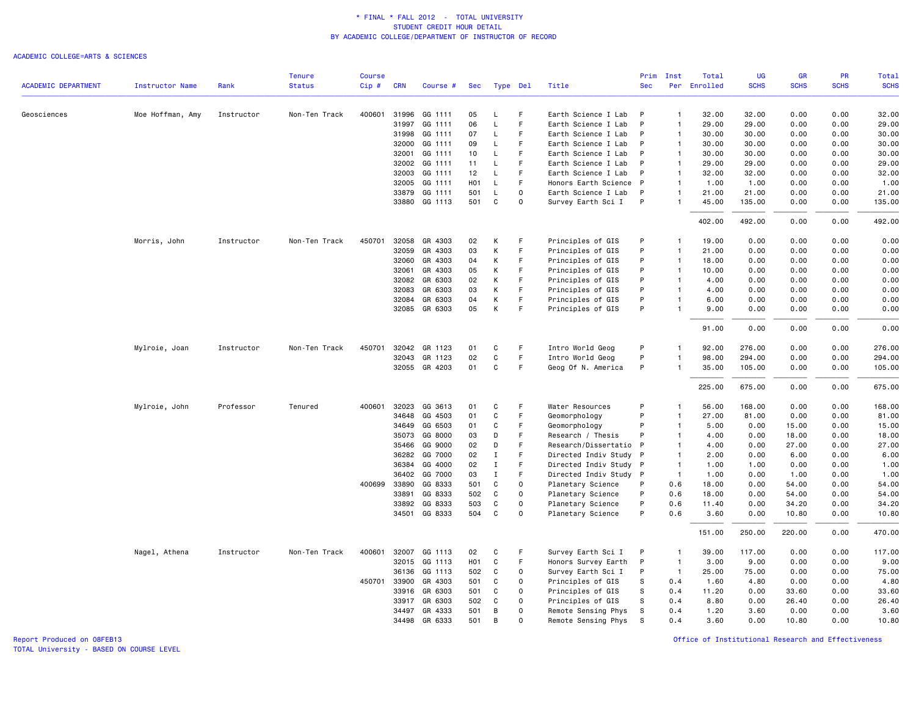### ACADEMIC COLLEGE=ARTS & SCIENCES

|                            |                  |            | <b>Tenure</b> | <b>Course</b> |              |                          |                        |                  |             |                                         | Prim       | Inst                             | Total         | <b>UG</b>      | <b>GR</b>    | PR           | Total          |
|----------------------------|------------------|------------|---------------|---------------|--------------|--------------------------|------------------------|------------------|-------------|-----------------------------------------|------------|----------------------------------|---------------|----------------|--------------|--------------|----------------|
| <b>ACADEMIC DEPARTMENT</b> | Instructor Name  | Rank       | <b>Status</b> | Cip#          | <b>CRN</b>   | Course #                 | Sec                    |                  | Type Del    | Title                                   | <b>Sec</b> | Per                              | Enrolled      | <b>SCHS</b>    | <b>SCHS</b>  | <b>SCHS</b>  | <b>SCHS</b>    |
| Geosciences                | Moe Hoffman, Amy | Instructor | Non-Ten Track | 400601        | 31996        | GG 1111                  | 05                     | L                | F           | Earth Science I Lab                     | P          | $\overline{1}$                   | 32.00         | 32.00          | 0.00         | 0.00         | 32.00          |
|                            |                  |            |               |               | 31997        | GG 1111                  | 06                     | L                | F           | Earth Science I Lab                     | P          | $\overline{1}$                   | 29.00         | 29.00          | 0.00         | 0.00         | 29.00          |
|                            |                  |            |               |               | 31998        | GG 1111                  | 07                     | L                | F           | Earth Science I Lab                     | P          | $\overline{1}$                   | 30.00         | 30.00          | 0.00         | 0.00         | 30.00          |
|                            |                  |            |               |               | 32000        | GG 1111                  | 09                     | L                | F           | Earth Science I Lab                     | P          | $\overline{1}$                   | 30.00         | 30.00          | 0.00         | 0.00         | 30.00          |
|                            |                  |            |               |               | 32001        | GG 1111                  | 10                     | L                |             | Earth Science I Lab                     | P          | $\overline{1}$                   | 30.00         | 30.00          | 0.00         | 0.00         | 30.00          |
|                            |                  |            |               |               | 32002        | GG 1111                  | 11                     | L                | F           | Earth Science I Lab                     | P          | $\overline{1}$                   | 29.00         | 29.00          | 0.00         | 0.00         | 29.00          |
|                            |                  |            |               |               | 32003        | GG 1111                  | 12                     | L                | F           | Earth Science I Lab                     | P          | $\overline{1}$                   | 32.00         | 32.00          | 0.00         | 0.00         | 32.00          |
|                            |                  |            |               |               | 32005        | GG 1111                  | H <sub>0</sub> 1       | L                |             | Honors Earth Science                    | P          | $\overline{1}$                   | 1.00          | 1.00           | 0.00         | 0.00         | 1.00           |
|                            |                  |            |               |               | 33879        | GG 1111                  | 501                    | L                | $\mathbf 0$ | Earth Science I Lab                     | P          | $\overline{1}$                   | 21.00         | 21.00          | 0.00         | 0.00         | 21.00          |
|                            |                  |            |               |               | 33880        | GG 1113                  | 501                    | C                | $\Omega$    | Survey Earth Sci I                      | P          | $\overline{1}$                   | 45.00         | 135.00         | 0.00         | 0.00         | 135.00         |
|                            |                  |            |               |               |              |                          |                        |                  |             |                                         |            |                                  | 402.00        | 492.00         | 0.00         | 0.00         | 492.00         |
|                            | Morris, John     | Instructor | Non-Ten Track | 450701        | 32058        | GR 4303                  | 02                     | К                | F           | Principles of GIS                       | P          | -1                               | 19.00         | 0.00           | 0.00         | 0.00         | 0.00           |
|                            |                  |            |               |               | 32059        | GR 4303                  | 03                     | К                | F           | Principles of GIS                       | P          | $\overline{1}$                   | 21.00         | 0.00           | 0.00         | 0.00         | 0.00           |
|                            |                  |            |               |               | 32060        | GR 4303                  | 04                     | К                | F           | Principles of GIS                       | P          | $\overline{1}$                   | 18.00         | 0.00           | 0.00         | 0.00         | 0.00           |
|                            |                  |            |               |               | 32061        | GR 4303                  | 05                     | К                | F           | Principles of GIS                       | P          | $\overline{1}$                   | 10.00         | 0.00           | 0.00         | 0.00         | 0.00           |
|                            |                  |            |               |               | 32082        | GR 6303                  | 02                     | K                | F           | Principles of GIS                       | P          | $\overline{1}$                   | 4.00          | 0.00           | 0.00         | 0.00         | 0.00           |
|                            |                  |            |               |               | 32083        | GR 6303                  | 03                     | К                | F           | Principles of GIS                       | P          | $\overline{1}$                   | 4.00          | 0.00           | 0.00         | 0.00         | 0.00           |
|                            |                  |            |               |               | 32084        | GR 6303<br>32085 GR 6303 | 04<br>05               | К<br>К           | F<br>E      | Principles of GIS<br>Principles of GIS  | P<br>P     | $\overline{1}$<br>$\overline{1}$ | 6.00<br>9.00  | 0.00<br>0.00   | 0.00<br>0.00 | 0.00<br>0.00 | 0.00<br>0.00   |
|                            |                  |            |               |               |              |                          |                        |                  |             |                                         |            |                                  | 91.00         | 0.00           | 0.00         | 0.00         | 0.00           |
|                            | Mylroie, Joan    | Instructor | Non-Ten Track | 450701        | 32042        | GR 1123                  | 01                     | $\mathbf C$      | F           | Intro World Geog                        | P          | $\mathbf{1}$                     | 92.00         | 276.00         | 0.00         | 0.00         | 276.00         |
|                            |                  |            |               |               | 32043        | GR 1123                  | 02                     | $\mathbf C$      | F           | Intro World Geog                        | P          | $\overline{1}$                   | 98.00         | 294.00         | 0.00         | 0.00         | 294.00         |
|                            |                  |            |               |               |              | 32055 GR 4203            | 01                     | $\mathbf C$      | F           | Geog Of N. America                      | P          | $\overline{1}$                   | 35.00         | 105.00         | 0.00         | 0.00         | 105.00         |
|                            |                  |            |               |               |              |                          |                        |                  |             |                                         |            |                                  | 225.00        | 675.00         | 0.00         | 0.00         | 675.00         |
|                            | Mylroie, John    | Professor  | Tenured       | 400601        | 32023        | GG 3613                  | 01                     | C                | F           | Water Resources                         | P          | $\overline{1}$                   | 56.00         | 168.00         | 0.00         | 0.00         | 168.00         |
|                            |                  |            |               |               | 34648        | GG 4503                  | 01                     | C                | F           | Geomorphology                           | P          | $\overline{1}$                   | 27.00         | 81.00          | 0.00         | 0.00         | 81.00          |
|                            |                  |            |               |               | 34649        | GG 6503                  | 01                     | $\mathbf C$      | F           | Geomorphology                           | P          | $\overline{1}$                   | 5.00          | 0.00           | 15.00        | 0.00         | 15.00          |
|                            |                  |            |               |               | 35073        | GG 8000                  | 03                     | D                | F           | Research / Thesis                       | P          | $\overline{1}$                   | 4.00          | 0.00           | 18.00        | 0.00         | 18.00          |
|                            |                  |            |               |               | 35466        | GG 9000                  | 02                     | D                | F           | Research/Dissertatio                    | P          | $\overline{1}$                   | 4.00          | 0.00           | 27.00        | 0.00         | 27.00          |
|                            |                  |            |               |               | 36282        | GG 7000                  | 02                     | $\mathbf I$      | F           | Directed Indiv Study                    | P          | $\overline{1}$                   | 2.00          | 0.00           | 6.00         | 0.00         | 6.00           |
|                            |                  |            |               |               | 36384        | GG 4000                  | 02                     | $\mathbf I$      | F           | Directed Indiv Study                    | P          | $\overline{1}$                   | 1.00          | 1.00           | 0.00         | 0.00         | 1.00           |
|                            |                  |            |               |               | 36402        | GG 7000                  | 03                     | $\mathbf I$      | F           | Directed Indiv Study                    | P          | $\overline{1}$                   | 1.00          | 0.00           | 1.00         | 0.00         | 1.00           |
|                            |                  |            |               |               | 400699 33890 | GG 8333                  | 501                    | $\mathbf C$      | $\mathbf 0$ | Planetary Science                       | P          | 0.6                              | 18.00         | 0.00           | 54.00        | 0.00         | 54.00          |
|                            |                  |            |               |               | 33891        | GG 8333                  | 502                    | C                | 0           | Planetary Science                       | P          | 0.6                              | 18.00         | 0.00           | 54.00        | 0.00         | 54.00          |
|                            |                  |            |               |               | 33892        | GG 8333                  | 503                    | C                | 0           | Planetary Science                       | P          | 0.6                              | 11.40         | 0.00           | 34.20        | 0.00         | 34.20          |
|                            |                  |            |               |               | 34501        | GG 8333                  | 504                    | C                | $\Omega$    | Planetary Science                       | P          | 0.6                              | 3.60          | 0.00           | 10.80        | 0.00         | 10.80          |
|                            |                  |            |               |               |              |                          |                        |                  |             |                                         |            |                                  | 151.00        | 250.00         | 220.00       | 0.00         | 470.00         |
|                            | Nagel, Athena    | Instructor | Non-Ten Track | 400601        | 32007        | GG 1113<br>32015 GG 1113 | 02<br>H <sub>0</sub> 1 | C<br>$\mathbf C$ | F<br>F      | Survey Earth Sci I                      | P<br>P     | $\overline{1}$<br>$\overline{1}$ | 39.00         | 117.00<br>9.00 | 0.00         | 0.00         | 117.00<br>9.00 |
|                            |                  |            |               |               | 36136        | GG 1113                  | 502                    | C                | 0           | Honors Survey Earth                     | P          | $\overline{1}$                   | 3.00<br>25.00 | 75.00          | 0.00<br>0.00 | 0.00<br>0.00 | 75.00          |
|                            |                  |            |               | 450701        | 33900        | GR 4303                  | 501                    | C                | $\mathbf 0$ | Survey Earth Sci I<br>Principles of GIS | s          | 0.4                              | 1.60          | 4.80           | 0.00         | 0.00         | 4.80           |
|                            |                  |            |               |               | 33916        | GR 6303                  | 501                    | C                | 0           | Principles of GIS                       | s          | 0.4                              | 11.20         | 0.00           | 33.60        | 0.00         | 33.60          |
|                            |                  |            |               |               | 33917        | GR 6303                  | 502                    | C                | $\mathbf 0$ | Principles of GIS                       | s          | 0.4                              | 8.80          | 0.00           | 26.40        | 0.00         | 26.40          |
|                            |                  |            |               |               | 34497        | GR 4333                  | 501                    | B                | $\Omega$    | Remote Sensing Phys                     | S          | 0.4                              | 1.20          | 3.60           | 0.00         | 0.00         | 3.60           |
|                            |                  |            |               |               | 34498        | GR 6333                  | 501                    | B                | $\Omega$    | Remote Sensing Phys                     | S          | 0.4                              | 3.60          | 0.00           | 10.80        | 0.00         | 10.80          |
|                            |                  |            |               |               |              |                          |                        |                  |             |                                         |            |                                  |               |                |              |              |                |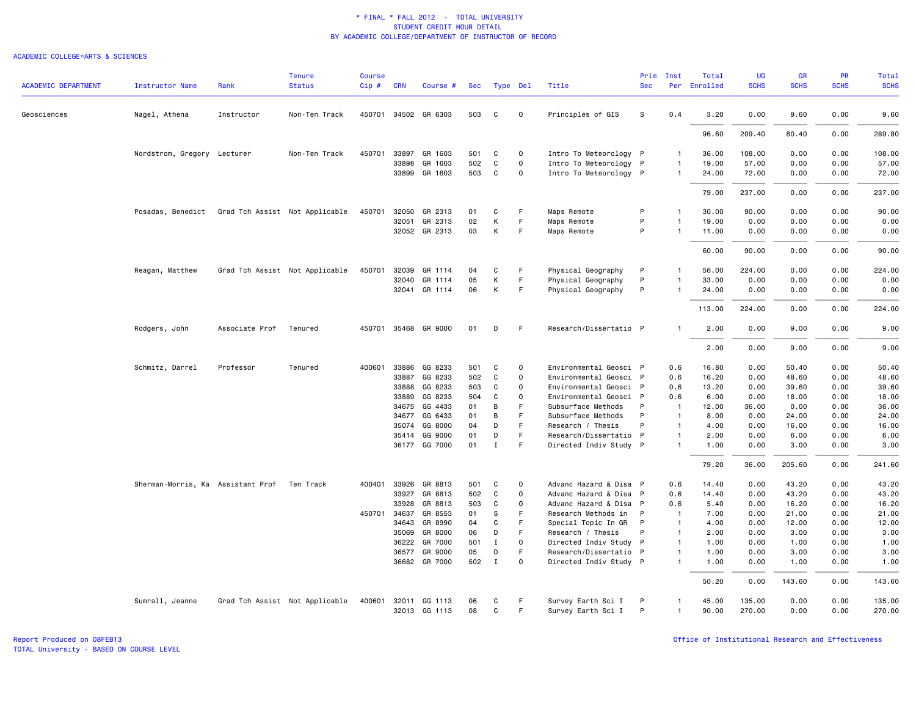### ACADEMIC COLLEGE=ARTS & SCIENCES

| <b>ACADEMIC DEPARTMENT</b> | <b>Instructor Name</b>                      | Rank           | <b>Tenure</b><br><b>Status</b> | <b>Course</b><br>Cip# | <b>CRN</b>     | Course #             | Sec      |              | Type Del    | Title                                       | Prim<br><b>Sec</b> | Inst                             | Total<br>Per Enrolled | <b>UG</b><br><b>SCHS</b> | GR<br><b>SCHS</b> | PR<br><b>SCHS</b> | <b>Total</b><br><b>SCHS</b> |
|----------------------------|---------------------------------------------|----------------|--------------------------------|-----------------------|----------------|----------------------|----------|--------------|-------------|---------------------------------------------|--------------------|----------------------------------|-----------------------|--------------------------|-------------------|-------------------|-----------------------------|
| Geosciences                | Nagel, Athena                               | Instructor     | Non-Ten Track                  |                       |                | 450701 34502 GR 6303 | 503      | C            | $\circ$     | Principles of GIS                           | S                  | 0.4                              | 3.20                  | 0.00                     | 9.60              | 0.00              | 9.60                        |
|                            |                                             |                |                                |                       |                |                      |          |              |             |                                             |                    |                                  | 96.60                 | 209.40                   | 80.40             | 0.00              | 289.80                      |
|                            | Nordstrom, Gregory Lecturer                 |                | Non-Ten Track                  | 450701                | 33897          | GR 1603              | 501      | C            | $\circ$     | Intro To Meteorology P                      |                    | 1                                | 36.00                 | 108.00                   | 0.00              | 0.00              | 108.00                      |
|                            |                                             |                |                                |                       | 33898          | GR 1603              | 502      | C            | $\circ$     | Intro To Meteorology P                      |                    | $\mathbf{1}$                     | 19.00                 | 57.00                    | 0.00              | 0.00              | 57.00                       |
|                            |                                             |                |                                |                       |                | 33899 GR 1603        | 503      | C            | 0           | Intro To Meteorology P                      |                    | $\mathbf{1}$                     | 24.00                 | 72.00                    | 0.00              | 0.00              | 72.00                       |
|                            |                                             |                |                                |                       |                |                      |          |              |             |                                             |                    |                                  | 79.00                 | 237.00                   | 0.00              | 0.00              | 237.00                      |
|                            | Posadas, Benedict                           |                | Grad Tch Assist Not Applicable | 450701                | 32050          | GR 2313              | 01       | C            | F           | Maps Remote                                 | P                  | $\mathbf{1}$                     | 30.00                 | 90.00                    | 0.00              | 0.00              | 90.00                       |
|                            |                                             |                |                                |                       | 32051          | GR 2313              | 02       | К            | F           | Maps Remote                                 | P                  | $\mathbf{1}$                     | 19.00                 | 0.00                     | 0.00              | 0.00              | 0.00                        |
|                            |                                             |                |                                |                       |                | 32052 GR 2313        | 03       | К            | F           | Maps Remote                                 | P                  | $\mathbf{1}$                     | 11.00                 | 0.00                     | 0.00              | 0.00              | 0.00                        |
|                            |                                             |                |                                |                       |                |                      |          |              |             |                                             |                    |                                  | 60.00                 | 90.00                    | 0.00              | 0.00              | 90.00                       |
|                            | Reagan, Matthew                             |                | Grad Tch Assist Not Applicable | 450701 32039          |                | GR 1114              | 04       | C            | F           | Physical Geography                          | P                  | $\mathbf{1}$                     | 56.00                 | 224.00                   | 0.00              | 0.00              | 224.00                      |
|                            |                                             |                |                                |                       |                | 32040 GR 1114        | 05       | К            | F           | Physical Geography                          | P                  | $\mathbf{1}$                     | 33.00                 | 0.00                     | 0.00              | 0.00              | 0.00                        |
|                            |                                             |                |                                |                       |                | 32041 GR 1114        | 06       | K            | F           | Physical Geography                          | P                  |                                  | 24.00                 | 0.00                     | 0.00              | 0.00              | 0.00                        |
|                            |                                             |                |                                |                       |                |                      |          |              |             |                                             |                    |                                  | 113.00                | 224.00                   | 0.00              | 0.00              | 224.00                      |
|                            | Rodgers, John                               | Associate Prof | Tenured                        |                       |                | 450701 35468 GR 9000 | 01       | D            | F           | Research/Dissertatio P                      |                    | $\mathbf{1}$                     | 2.00                  | 0.00                     | 9.00              | 0.00              | 9.00                        |
|                            |                                             |                |                                |                       |                |                      |          |              |             |                                             |                    |                                  | 2.00                  | 0.00                     | 9.00              | 0.00              | 9.00                        |
|                            | Schmitz, Darrel                             | Professor      | Tenured                        | 400601 33886          |                | GG 8233              | 501      | C            | 0           | Environmental Geosci P                      |                    | 0.6                              | 16.80                 | 0.00                     | 50.40             | 0.00              | 50.40                       |
|                            |                                             |                |                                |                       | 33887          | GG 8233              | 502      | C            | $\Omega$    | Environmental Geosci P                      |                    | 0.6                              | 16.20                 | 0.00                     | 48.60             | 0.00              | 48.60                       |
|                            |                                             |                |                                |                       | 33888          | GG 8233              | 503      | C            | $\Omega$    | Environmental Geosci P                      |                    | 0.6                              | 13.20                 | 0.00                     | 39.60             | 0.00              | 39.60                       |
|                            |                                             |                |                                |                       | 33889          | GG 8233              | 504      | C            | $\Omega$    | Environmental Geosci P                      |                    | 0.6                              | 6.00                  | 0.00                     | 18.00             | 0.00              | 18.00                       |
|                            |                                             |                |                                |                       | 34675          | GG 4433              | 01       | B            | F           | Subsurface Methods                          | P                  | $\mathbf{1}$                     | 12.00                 | 36.00                    | 0.00              | 0.00              | 36.00                       |
|                            |                                             |                |                                |                       | 34677          | GG 6433              | 01       | B            | F<br>F.     | Subsurface Methods                          | P<br>P             | $\overline{1}$<br>$\overline{1}$ | 8.00                  | 0.00                     | 24.00             | 0.00              | 24.00                       |
|                            |                                             |                |                                |                       | 35074<br>35414 | GG 8000<br>GG 9000   | 04<br>01 | D<br>D       | F           | Research / Thesis<br>Research/Dissertatio P |                    | $\mathbf{1}$                     | 4.00<br>2.00          | 0.00<br>0.00             | 16.00<br>6.00     | 0.00<br>0.00      | 16.00<br>6.00               |
|                            |                                             |                |                                |                       |                | 36177 GG 7000        | 01       | $\mathbf I$  | F           | Directed Indiv Study P                      |                    | $\mathbf{1}$                     | 1.00                  | 0.00                     | 3.00              | 0.00              | 3.00                        |
|                            |                                             |                |                                |                       |                |                      |          |              |             |                                             |                    |                                  | 79.20                 | 36.00                    | 205.60            | 0.00              | 241.60                      |
|                            | Sherman-Morris, Ka Assistant Prof Ten Track |                |                                | 400401                | 33926          | GR 8813              | 501      | C            | $\Omega$    | Advanc Hazard & Disa P                      |                    | 0.6                              | 14.40                 | 0.00                     | 43.20             | 0.00              | 43.20                       |
|                            |                                             |                |                                |                       | 33927          | GR 8813              | 502      | C            | $\circ$     | Advanc Hazard & Disa P                      |                    | 0.6                              | 14.40                 | 0.00                     | 43.20             | 0.00              | 43.20                       |
|                            |                                             |                |                                |                       | 33928          | GR 8813              | 503      | C            | $\Omega$    | Advanc Hazard & Disa P                      |                    | 0.6                              | 5.40                  | 0.00                     | 16.20             | 0.00              | 16.20                       |
|                            |                                             |                |                                |                       | 450701 34637   | GR 8553              | 01       | S            | F           | Research Methods in P                       |                    | $\overline{1}$                   | 7.00                  | 0.00                     | 21.00             | 0.00              | 21.00                       |
|                            |                                             |                |                                |                       | 34643          | GR 8990              | 04       | C            | F           | Special Topic In GR                         | $\mathsf{P}$       | $\overline{1}$                   | 4.00                  | 0.00                     | 12.00             | 0.00              | 12.00                       |
|                            |                                             |                |                                |                       | 35069          | GR 8000              | 06       | D            | F           | Research / Thesis                           | P                  | $\mathbf{1}$                     | 2.00                  | 0.00                     | 3.00              | 0.00              | 3.00                        |
|                            |                                             |                |                                |                       | 36222          | GR 7000              | 501      | $\mathbf I$  | $\mathbf 0$ | Directed Indiv Study P                      |                    | $\mathbf{1}$                     | 1.00                  | 0.00                     | 1.00              | 0.00              | 1.00                        |
|                            |                                             |                |                                |                       | 36577          | GR 9000              | 05       | D            | F           | Research/Dissertatio P                      |                    | $\overline{1}$                   | 1.00                  | 0.00                     | 3.00              | 0.00              | 3.00                        |
|                            |                                             |                |                                |                       |                | 36682 GR 7000        | 502      | $\mathbf{I}$ | $\Omega$    | Directed Indiv Study P                      |                    | $\mathbf{1}$                     | 1.00                  | 0.00                     | 1.00              | 0.00              | 1.00                        |
|                            |                                             |                |                                |                       |                |                      |          |              |             |                                             |                    |                                  | 50.20                 | 0.00                     | 143.60            | 0.00              | 143.60                      |
|                            | Sumrall, Jeanne                             |                | Grad Tch Assist Not Applicable | 400601                | 32011          | GG 1113              | 06       | C            | F           | Survey Earth Sci I                          | P                  | $\mathbf{1}$                     | 45.00                 | 135.00                   | 0.00              | 0.00              | 135.00                      |
|                            |                                             |                |                                |                       |                | 32013 GG 1113        | 08       | C            | F           | Survey Earth Sci I                          | P                  | $\mathbf{1}$                     | 90.00                 | 270.00                   | 0.00              | 0.00              | 270.00                      |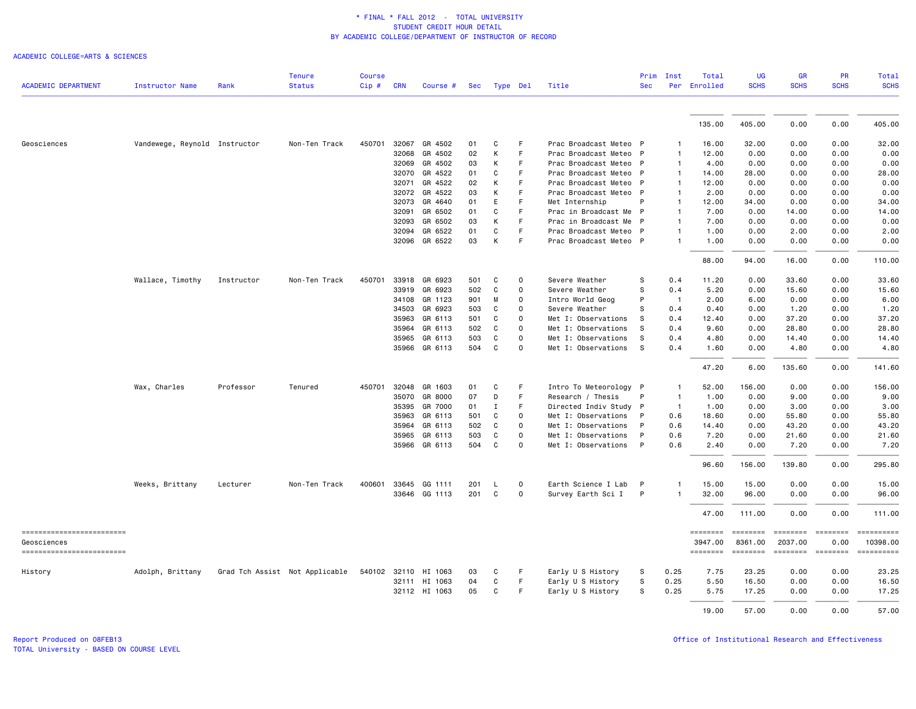|                                          |                               |                                | <b>Tenure</b> | <b>Course</b> |            |               |     |             |             |                        | Prim         | Inst           | Total               | <b>UG</b>           | <b>GR</b>               | <b>PR</b>       | Total                                                                                                                                                                                                                                                                                                                                                                                                                                           |
|------------------------------------------|-------------------------------|--------------------------------|---------------|---------------|------------|---------------|-----|-------------|-------------|------------------------|--------------|----------------|---------------------|---------------------|-------------------------|-----------------|-------------------------------------------------------------------------------------------------------------------------------------------------------------------------------------------------------------------------------------------------------------------------------------------------------------------------------------------------------------------------------------------------------------------------------------------------|
| <b>ACADEMIC DEPARTMENT</b>               | <b>Instructor Name</b>        | Rank                           | <b>Status</b> | $Cip$ #       | <b>CRN</b> | Course #      | Sec | Type Del    |             | Title                  | <b>Sec</b>   | Per            | Enrolled            | <b>SCHS</b>         | <b>SCHS</b>             | <b>SCHS</b>     | <b>SCHS</b>                                                                                                                                                                                                                                                                                                                                                                                                                                     |
|                                          |                               |                                |               |               |            |               |     |             |             |                        |              |                |                     |                     |                         |                 |                                                                                                                                                                                                                                                                                                                                                                                                                                                 |
|                                          |                               |                                |               |               |            |               |     |             |             |                        |              |                | 135.00              | 405.00              | 0.00                    | 0.00            | 405.00                                                                                                                                                                                                                                                                                                                                                                                                                                          |
| Geosciences                              | Vandewege, Reynold Instructor |                                | Non-Ten Track | 450701        | 32067      | GR 4502       | 01  | C           | F           | Prac Broadcast Meteo P |              |                | 16.00               | 32.00               | 0.00                    | 0.00            | 32.00                                                                                                                                                                                                                                                                                                                                                                                                                                           |
|                                          |                               |                                |               |               | 32068      | GR 4502       | 02  | K           | F.          | Prac Broadcast Meteo P |              | -1             | 12.00               | 0.00                | 0.00                    | 0.00            | 0.00                                                                                                                                                                                                                                                                                                                                                                                                                                            |
|                                          |                               |                                |               |               | 32069      | GR 4502       | 03  | К           | F           | Prac Broadcast Meteo P |              | -1             | 4.00                | 0.00                | 0.00                    | 0.00            | 0.00                                                                                                                                                                                                                                                                                                                                                                                                                                            |
|                                          |                               |                                |               |               | 32070      | GR 4522       | 01  | C           | F           | Prac Broadcast Meteo P |              |                | 14.00               | 28.00               | 0.00                    | 0.00            | 28.00                                                                                                                                                                                                                                                                                                                                                                                                                                           |
|                                          |                               |                                |               |               | 32071      | GR 4522       | 02  | К           | F           | Prac Broadcast Meteo P |              | -1             | 12.00               | 0.00                | 0.00                    | 0.00            | 0.00                                                                                                                                                                                                                                                                                                                                                                                                                                            |
|                                          |                               |                                |               |               | 32072      | GR 4522       | 03  | К           | F           | Prac Broadcast Meteo P |              |                | 2.00                | 0.00                | 0.00                    | 0.00            | 0.00                                                                                                                                                                                                                                                                                                                                                                                                                                            |
|                                          |                               |                                |               |               | 32073      | GR 4640       | 01  | E           | F           | Met Internship         | P            |                | 12.00               | 34.00               | 0.00                    | 0.00            | 34.00                                                                                                                                                                                                                                                                                                                                                                                                                                           |
|                                          |                               |                                |               |               | 32091      | GR 6502       | 01  | C           | F.          | Prac in Broadcast Me P |              |                | 7.00                | 0.00                | 14.00                   | 0.00            | 14.00                                                                                                                                                                                                                                                                                                                                                                                                                                           |
|                                          |                               |                                |               |               | 32093      | GR 6502       | 03  | К           | F           | Prac in Broadcast Me P |              |                | 7.00                | 0.00                | 0.00                    | 0.00            | 0.00                                                                                                                                                                                                                                                                                                                                                                                                                                            |
|                                          |                               |                                |               |               | 32094      | GR 6522       | 01  | C           | F           | Prac Broadcast Meteo P |              |                | 1.00                | 0.00                | 2.00                    | 0.00            | 2.00                                                                                                                                                                                                                                                                                                                                                                                                                                            |
|                                          |                               |                                |               |               |            | 32096 GR 6522 | 03  | Κ           | F           | Prac Broadcast Meteo P |              | $\mathbf{1}$   | 1.00                | 0.00                | 0.00                    | 0.00            | 0.00                                                                                                                                                                                                                                                                                                                                                                                                                                            |
|                                          |                               |                                |               |               |            |               |     |             |             |                        |              |                | 88.00               | 94.00               | 16.00                   | 0.00            | 110.00                                                                                                                                                                                                                                                                                                                                                                                                                                          |
|                                          | Wallace, Timothy              | Instructor                     | Non-Ten Track | 450701        | 33918      | GR 6923       | 501 | C           | 0           | Severe Weather         | s            | 0.4            | 11.20               | 0.00                | 33.60                   | 0.00            | 33.60                                                                                                                                                                                                                                                                                                                                                                                                                                           |
|                                          |                               |                                |               |               | 33919      | GR 6923       | 502 | C           | 0           | Severe Weather         | S            | 0.4            | 5.20                | 0.00                | 15.60                   | 0.00            | 15.60                                                                                                                                                                                                                                                                                                                                                                                                                                           |
|                                          |                               |                                |               |               | 34108      | GR 1123       | 901 | M           | 0           | Intro World Geog       | P            | $\mathbf{1}$   | 2.00                | 6.00                | 0.00                    | 0.00            | 6.00                                                                                                                                                                                                                                                                                                                                                                                                                                            |
|                                          |                               |                                |               |               | 34503      | GR 6923       | 503 | C           | 0           | Severe Weather         | S            | 0.4            | 0.40                | 0.00                | 1.20                    | 0.00            | 1.20                                                                                                                                                                                                                                                                                                                                                                                                                                            |
|                                          |                               |                                |               |               | 35963      | GR 6113       | 501 | C           | 0           | Met I: Observations    | s            | 0.4            | 12.40               | 0.00                | 37.20                   | 0.00            | 37.20                                                                                                                                                                                                                                                                                                                                                                                                                                           |
|                                          |                               |                                |               |               | 35964      | GR 6113       | 502 | C           | $\mathbf 0$ | Met I: Observations    | s            | 0.4            | 9.60                | 0.00                | 28.80                   | 0.00            | 28.80                                                                                                                                                                                                                                                                                                                                                                                                                                           |
|                                          |                               |                                |               |               | 35965      | GR 6113       | 503 | C           | 0           | Met I: Observations    | -S           | 0.4            | 4.80                | 0.00                | 14.40                   | 0.00            | 14.40                                                                                                                                                                                                                                                                                                                                                                                                                                           |
|                                          |                               |                                |               |               | 35966      | GR 6113       | 504 | C           | $\mathbf 0$ | Met I: Observations    | S            | 0.4            | 1.60                | 0.00                | 4.80                    | 0.00            | 4.80                                                                                                                                                                                                                                                                                                                                                                                                                                            |
|                                          |                               |                                |               |               |            |               |     |             |             |                        |              |                | 47.20               | 6.00                | 135.60                  | 0.00            | 141.60                                                                                                                                                                                                                                                                                                                                                                                                                                          |
|                                          | Wax, Charles                  | Professor                      | Tenured       | 450701        | 32048      | GR 1603       | 01  | C           | F           | Intro To Meteorology P |              |                | 52.00               | 156.00              | 0.00                    | 0.00            | 156.00                                                                                                                                                                                                                                                                                                                                                                                                                                          |
|                                          |                               |                                |               |               | 35070      | GR 8000       | 07  | D           | F           | Research / Thesis      | P            |                | 1.00                | 0.00                | 9.00                    | 0.00            | 9.00                                                                                                                                                                                                                                                                                                                                                                                                                                            |
|                                          |                               |                                |               |               | 35395      | GR 7000       | 01  | Ι.          | F           | Directed Indiv Study P |              | $\overline{1}$ | 1.00                | 0.00                | 3.00                    | 0.00            | 3.00                                                                                                                                                                                                                                                                                                                                                                                                                                            |
|                                          |                               |                                |               |               | 35963      | GR 6113       | 501 | C           | 0           | Met I: Observations    | P            | 0.6            | 18.60               | 0.00                | 55.80                   | 0.00            | 55.80                                                                                                                                                                                                                                                                                                                                                                                                                                           |
|                                          |                               |                                |               |               | 35964      | GR 6113       | 502 | C           | 0           | Met I: Observations    | P            | 0.6            | 14.40               | 0.00                | 43.20                   | 0.00            | 43.20                                                                                                                                                                                                                                                                                                                                                                                                                                           |
|                                          |                               |                                |               |               | 35965      | GR 6113       | 503 | C           | $\mathbf 0$ | Met I: Observations    | P            | 0.6            | 7.20                | 0.00                | 21.60                   | 0.00            | 21.60                                                                                                                                                                                                                                                                                                                                                                                                                                           |
|                                          |                               |                                |               |               | 35966      | GR 6113       | 504 | $\mathbf c$ | $\mathbf 0$ | Met I: Observations    | $\mathsf{P}$ | 0.6            | 2.40                | 0.00                | 7.20                    | 0.00            | 7.20                                                                                                                                                                                                                                                                                                                                                                                                                                            |
|                                          |                               |                                |               |               |            |               |     |             |             |                        |              |                | 96.60               | 156.00              | 139.80                  | 0.00            | 295.80                                                                                                                                                                                                                                                                                                                                                                                                                                          |
|                                          | Weeks, Brittany               | Lecturer                       | Non-Ten Track | 400601        | 33645      | GG 1111       | 201 | L.          | 0           | Earth Science I Lab    | -P           |                | 15.00               | 15.00               | 0.00                    | 0.00            | 15.00                                                                                                                                                                                                                                                                                                                                                                                                                                           |
|                                          |                               |                                |               |               |            | 33646 GG 1113 | 201 | C           | 0           | Survey Earth Sci I     | P            |                | 32.00               | 96.00               | 0.00                    | 0.00            | 96.00                                                                                                                                                                                                                                                                                                                                                                                                                                           |
|                                          |                               |                                |               |               |            |               |     |             |             |                        |              |                | 47.00               | 111.00              | 0.00                    | 0.00            | 111.00                                                                                                                                                                                                                                                                                                                                                                                                                                          |
| ==========================               |                               |                                |               |               |            |               |     |             |             |                        |              |                | ========            | <b>EEEEEEE</b>      | ========                | $= 10000000000$ | ==========                                                                                                                                                                                                                                                                                                                                                                                                                                      |
| Geosciences<br>------------------------- |                               |                                |               |               |            |               |     |             |             |                        |              |                | 3947.00<br>======== | 8361.00<br>======== | 2037.00<br>$=$ ======== | 0.00            | 10398.00<br>$\begin{minipage}{0.9\linewidth} \hspace*{-0.2cm} \textbf{1} & \textbf{2} & \textbf{3} & \textbf{5} & \textbf{6} & \textbf{7} & \textbf{8} \\ \textbf{5} & \textbf{6} & \textbf{7} & \textbf{8} & \textbf{8} & \textbf{8} & \textbf{9} & \textbf{1} & \textbf{1} & \textbf{1} \\ \textbf{6} & \textbf{8} & \textbf{8} & \textbf{8} & \textbf{8} & \textbf{8} & \textbf{1} & \textbf{1} & \textbf{1} & \textbf{1} & \textbf{1} \\ \$ |
| History                                  | Adolph, Brittany              | Grad Tch Assist Not Applicable |               | 540102        |            | 32110 HI 1063 | 03  | C           | F           | Early U S History      | -S           | 0.25           | 7.75                | 23.25               | 0.00                    | 0.00            | 23.25                                                                                                                                                                                                                                                                                                                                                                                                                                           |
|                                          |                               |                                |               |               |            | 32111 HI 1063 | 04  | C           | F.          | Early U S History      | S            | 0.25           | 5.50                | 16.50               | 0.00                    | 0.00            | 16.50                                                                                                                                                                                                                                                                                                                                                                                                                                           |
|                                          |                               |                                |               |               |            | 32112 HI 1063 | 05  | C           | F           | Early U S History      | S            | 0.25           | 5.75                | 17.25               | 0.00                    | 0.00            | 17.25                                                                                                                                                                                                                                                                                                                                                                                                                                           |
|                                          |                               |                                |               |               |            |               |     |             |             |                        |              |                | 19.00               | 57.00               | 0.00                    | 0.00            | 57.00                                                                                                                                                                                                                                                                                                                                                                                                                                           |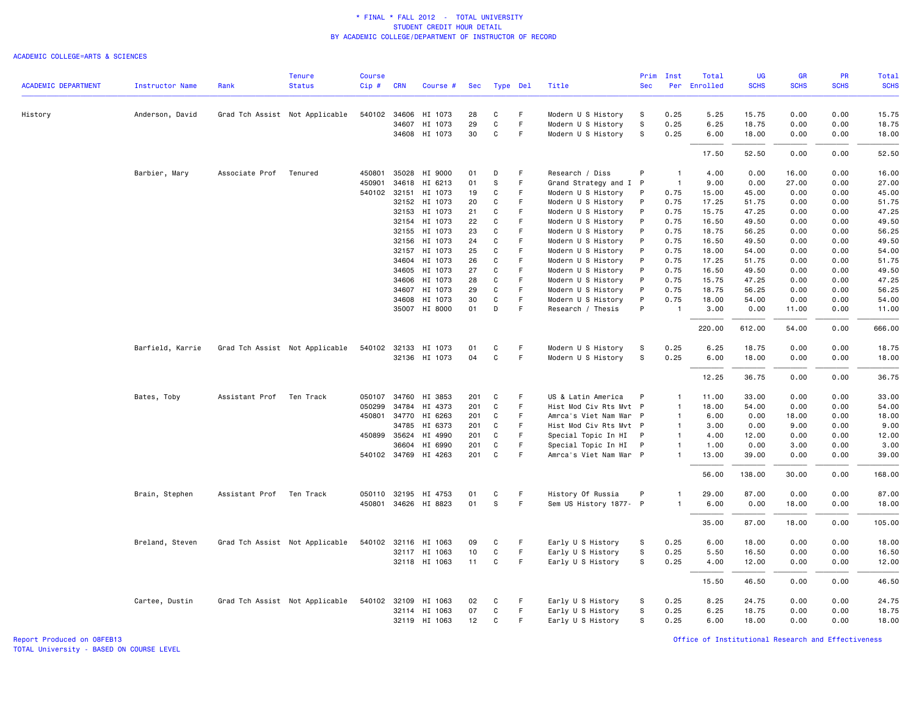### ACADEMIC COLLEGE=ARTS & SCIENCES

| <b>ACADEMIC DEPARTMENT</b> | <b>Instructor Name</b> | Rank                     | <b>Tenure</b><br><b>Status</b> | <b>Course</b><br>Cip# | <b>CRN</b> | Course #             | Sec |              | Type Del | Title                  | <b>Sec</b> | Prim Inst      | Total<br>Per Enrolled | UG<br><b>SCHS</b> | <b>GR</b><br><b>SCHS</b> | <b>PR</b><br><b>SCHS</b> | <b>Total</b><br><b>SCHS</b> |
|----------------------------|------------------------|--------------------------|--------------------------------|-----------------------|------------|----------------------|-----|--------------|----------|------------------------|------------|----------------|-----------------------|-------------------|--------------------------|--------------------------|-----------------------------|
|                            |                        |                          |                                |                       |            |                      |     |              |          |                        |            |                |                       |                   |                          |                          |                             |
| History                    | Anderson, David        |                          | Grad Tch Assist Not Applicable |                       |            | 540102 34606 HI 1073 | 28  | C            | F.       | Modern U S History     | S          | 0.25           | 5.25                  | 15.75             | 0.00                     | 0.00                     | 15.75                       |
|                            |                        |                          |                                |                       | 34607      | HI 1073              | 29  | $\mathtt{C}$ | F.       | Modern U S History     | S          | 0.25           | 6.25                  | 18.75             | 0.00                     | 0.00                     | 18.75                       |
|                            |                        |                          |                                |                       |            | 34608 HI 1073        | 30  | C            | F        | Modern U S History     | S          | 0.25           | 6.00                  | 18.00             | 0.00                     | 0.00                     | 18.00                       |
|                            |                        |                          |                                |                       |            |                      |     |              |          |                        |            |                | 17.50                 | 52.50             | 0.00                     | 0.00                     | 52.50                       |
|                            | Barbier, Mary          | Associate Prof Tenured   |                                |                       |            | 450801 35028 HI 9000 | 01  | D            | F.       | Research / Diss        | P          | $\overline{1}$ | 4.00                  | 0.00              | 16.00                    | 0.00                     | 16.00                       |
|                            |                        |                          |                                | 450901                |            | 34618 HI 6213        | 01  | s            | F        | Grand Strategy and I P |            | $\mathbf{1}$   | 9.00                  | 0.00              | 27.00                    | 0.00                     | 27.00                       |
|                            |                        |                          |                                | 540102 32151          |            | HI 1073              | 19  | C            | F        | Modern U S History     | P          | 0.75           | 15.00                 | 45.00             | 0.00                     | 0.00                     | 45.00                       |
|                            |                        |                          |                                |                       |            | 32152 HI 1073        | 20  | C            | F.       | Modern U S History     | P          | 0.75           | 17.25                 | 51.75             | 0.00                     | 0.00                     | 51.75                       |
|                            |                        |                          |                                |                       | 32153      | HI 1073              | 21  | C            | F        | Modern U S History     | P          | 0.75           | 15.75                 | 47.25             | 0.00                     | 0.00                     | 47.25                       |
|                            |                        |                          |                                |                       |            | 32154 HI 1073        | 22  | C            | F        | Modern U S History     | P          | 0.75           | 16.50                 | 49.50             | 0.00                     | 0.00                     | 49.50                       |
|                            |                        |                          |                                |                       | 32155      | HI 1073              | 23  | C            | F.       | Modern U S History     | P          | 0.75           | 18.75                 | 56.25             | 0.00                     | 0.00                     | 56.25                       |
|                            |                        |                          |                                |                       | 32156      | HI 1073              | 24  | C            | F        | Modern U S History     | P          | 0.75           | 16.50                 | 49.50             | 0.00                     | 0.00                     | 49.50                       |
|                            |                        |                          |                                |                       |            | 32157 HI 1073        | 25  | C            | F        | Modern U S History     | P          | 0.75           | 18.00                 | 54.00             | 0.00                     | 0.00                     | 54.00                       |
|                            |                        |                          |                                |                       | 34604      | HI 1073              | 26  | C            | F        | Modern U S History     | P          | 0.75           | 17.25                 | 51.75             | 0.00                     | 0.00                     | 51.75                       |
|                            |                        |                          |                                |                       | 34605      | HI 1073              | 27  | C            | F        | Modern U S History     | P          | 0.75           | 16.50                 | 49.50             | 0.00                     | 0.00                     | 49.50                       |
|                            |                        |                          |                                |                       |            | 34606 HI 1073        | 28  | C            | F        | Modern U S History     | P          | 0.75           | 15.75                 | 47.25             | 0.00                     | 0.00                     | 47.25                       |
|                            |                        |                          |                                |                       |            | 34607 HI 1073        | 29  | C            | F        | Modern U S History     | P          | 0.75           | 18.75                 | 56.25             | 0.00                     | 0.00                     | 56.25                       |
|                            |                        |                          |                                |                       | 34608      | HI 1073              | 30  | C            | F        | Modern U S History     | P          | 0.75           | 18.00                 | 54.00             | 0.00                     | 0.00                     | 54.00                       |
|                            |                        |                          |                                |                       |            | 35007 HI 8000        | 01  | D            | F        | Research / Thesis      | P          |                | 3.00                  | 0.00              | 11.00                    | 0.00                     | 11.00                       |
|                            |                        |                          |                                |                       |            |                      |     |              |          |                        |            |                | 220.00                | 612.00            | 54.00                    | 0.00                     | 666.00                      |
|                            | Barfield, Karrie       |                          | Grad Tch Assist Not Applicable |                       |            | 540102 32133 HI 1073 | 01  | C            | F        | Modern U S History     | S          | 0.25           | 6.25                  | 18.75             | 0.00                     | 0.00                     | 18.75                       |
|                            |                        |                          |                                |                       |            | 32136 HI 1073        | 04  | C            | F        | Modern U S History     | s          | 0.25           | 6.00                  | 18.00             | 0.00                     | 0.00                     | 18.00                       |
|                            |                        |                          |                                |                       |            |                      |     |              |          |                        |            |                | 12.25                 | 36.75             | 0.00                     | 0.00                     | 36.75                       |
|                            | Bates, Toby            | Assistant Prof           | Ten Track                      |                       |            | 050107 34760 HI 3853 | 201 | C            | F        | US & Latin America     | P          | $\overline{1}$ | 11.00                 | 33.00             | 0.00                     | 0.00                     | 33.00                       |
|                            |                        |                          |                                | 050299                | 34784      | HI 4373              | 201 | C            | F.       | Hist Mod Civ Rts Mvt P |            | $\mathbf{1}$   | 18.00                 | 54.00             | 0.00                     | 0.00                     | 54.00                       |
|                            |                        |                          |                                |                       |            | 450801 34770 HI 6263 | 201 | C            | F        | Amrca's Viet Nam War P |            | $\mathbf{1}$   | 6.00                  | 0.00              | 18.00                    | 0.00                     | 18.00                       |
|                            |                        |                          |                                |                       | 34785      | HI 6373              | 201 | C            | F.       | Hist Mod Civ Rts Mvt P |            | $\mathbf{1}$   | 3.00                  | 0.00              | 9.00                     | 0.00                     | 9.00                        |
|                            |                        |                          |                                | 450899                | 35624      | HI 4990              | 201 | C            | F        | Special Topic In HI    | P          | $\mathbf{1}$   | 4.00                  | 12.00             | 0.00                     | 0.00                     | 12.00                       |
|                            |                        |                          |                                |                       | 36604      | HI 6990              | 201 | C            | F        | Special Topic In HI    | P          | $\mathbf{1}$   | 1.00                  | 0.00              | 3.00                     | 0.00                     | 3.00                        |
|                            |                        |                          |                                |                       |            | 540102 34769 HI 4263 | 201 | C            | F        | Amrca's Viet Nam War P |            | $\mathbf{1}$   | 13.00                 | 39.00             | 0.00                     | 0.00                     | 39.00                       |
|                            |                        |                          |                                |                       |            |                      |     |              |          |                        |            |                | 56.00                 | 138.00            | 30.00                    | 0.00                     | 168.00                      |
|                            |                        |                          |                                |                       |            |                      |     |              |          |                        |            |                |                       |                   |                          |                          |                             |
|                            | Brain, Stephen         | Assistant Prof Ten Track |                                |                       |            | 050110 32195 HI 4753 | 01  | C            | F        | History Of Russia      | P          | $\mathbf{1}$   | 29.00                 | 87.00             | 0.00                     | 0.00                     | 87.00                       |
|                            |                        |                          |                                |                       |            | 450801 34626 HI 8823 | 01  | S            | F.       | Sem US History 1877- P |            | $\mathbf{1}$   | 6.00                  | 0.00              | 18.00                    | 0.00                     | 18.00                       |
|                            |                        |                          |                                |                       |            |                      |     |              |          |                        |            |                | 35.00                 | 87.00             | 18.00                    | 0.00                     | 105.00                      |
|                            | Breland, Steven        |                          | Grad Tch Assist Not Applicable |                       |            | 540102 32116 HI 1063 | 09  | C            | F        | Early U S History      | S          | 0.25           | 6.00                  | 18,00             | 0.00                     | 0.00                     | 18.00                       |
|                            |                        |                          |                                |                       |            | 32117 HI 1063        | 10  | C            | F        | Early U S History      | S          | 0.25           | 5.50                  | 16.50             | 0.00                     | 0.00                     | 16.50                       |
|                            |                        |                          |                                |                       |            | 32118 HI 1063        | 11  | $\mathtt{C}$ | F        | Early U S History      | S          | 0.25           | 4.00                  | 12.00             | 0.00                     | 0.00                     | 12.00                       |
|                            |                        |                          |                                |                       |            |                      |     |              |          |                        |            |                | 15.50                 | 46.50             | 0.00                     | 0.00                     | 46.50                       |
|                            | Cartee, Dustin         |                          | Grad Tch Assist Not Applicable |                       |            | 540102 32109 HI 1063 | 02  | C            | F.       | Early U S History      | S          | 0.25           | 8.25                  | 24.75             | 0.00                     | 0.00                     | 24.75                       |
|                            |                        |                          |                                |                       |            | 32114 HI 1063        | 07  | C            | F.       | Early U S History      | s          | 0.25           | 6.25                  | 18.75             | 0.00                     | 0.00                     | 18.75                       |
|                            |                        |                          |                                |                       |            | 32119 HI 1063        | 12  | C            | F        | Early U S History      | s          | 0.25           | 6.00                  | 18,00             | 0.00                     | 0.00                     | 18.00                       |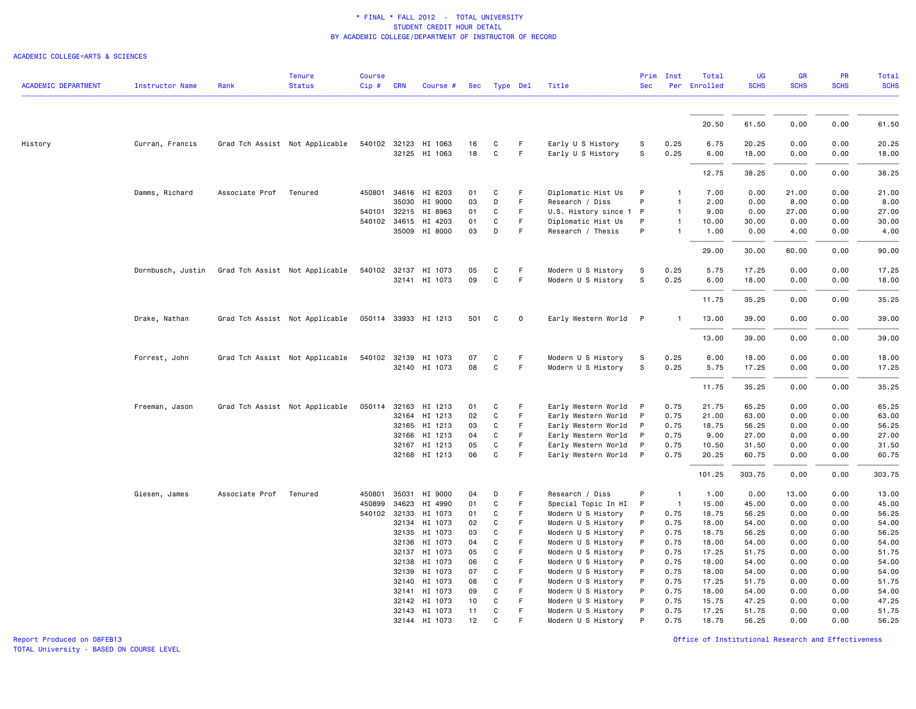#### ACADEMIC COLLEGE=ARTS & SCIENCES

| <b>ACADEMIC DEPARTMENT</b> | <b>Instructor Name</b> | Rank           | <b>Tenure</b><br><b>Status</b> | <b>Course</b><br>Cip# | <b>CRN</b>   | Course #                              |          | Sec Type Del |         | Title                                    | Prim<br><b>Sec</b> | Inst           | Total<br>Per Enrolled | UG<br><b>SCHS</b> | <b>GR</b><br><b>SCHS</b> | <b>PR</b><br><b>SCHS</b> | Total<br><b>SCHS</b> |
|----------------------------|------------------------|----------------|--------------------------------|-----------------------|--------------|---------------------------------------|----------|--------------|---------|------------------------------------------|--------------------|----------------|-----------------------|-------------------|--------------------------|--------------------------|----------------------|
|                            |                        |                |                                |                       |              |                                       |          |              |         |                                          |                    |                |                       |                   |                          |                          |                      |
|                            |                        |                |                                |                       |              |                                       |          |              |         |                                          |                    |                | 20.50                 | 61.50             | 0.00                     | 0.00                     | 61.50                |
|                            |                        |                |                                |                       |              |                                       |          |              |         |                                          |                    |                |                       |                   |                          |                          |                      |
| History                    | Curran, Francis        |                | Grad Tch Assist Not Applicable |                       |              | 540102 32123 HI 1063<br>32125 HI 1063 | 16<br>18 | C<br>C       | F.<br>F | Early U S History<br>Early U S History   | S<br>s             | 0.25<br>0.25   | 6.75<br>6.00          | 20.25<br>18.00    | 0.00<br>0.00             | 0.00<br>0.00             | 20.25<br>18.00       |
|                            |                        |                |                                |                       |              |                                       |          |              |         |                                          |                    |                | 12.75                 | 38.25             | 0.00                     | 0.00                     | 38.25                |
|                            | Damms, Richard         | Associate Prof | Tenured                        | 450801                |              | 34616 HI 6203                         | 01       | $\mathbf{C}$ | F       | Diplomatic Hist Us                       | P                  |                | 7.00                  | 0.00              | 21.00                    | 0.00                     | 21.00                |
|                            |                        |                |                                |                       | 35030        | HI 9000                               | 03       | D            | F       | Research / Diss                          | P                  |                | 2.00                  | 0.00              | 8.00                     | 0.00                     | 8.00                 |
|                            |                        |                |                                |                       |              | 540101 32215 HI 8963                  | 01       | C            | F       | U.S. History since 1 P                   |                    |                | 9.00                  | 0.00              | 27.00                    | 0.00                     | 27.00                |
|                            |                        |                |                                |                       | 540102 34615 | HI 4203                               | 01       | C            | F       | Diplomatic Hist Us                       | P                  | $\mathbf{1}$   | 10.00                 | 30.00             | 0.00                     | 0.00                     | 30.00                |
|                            |                        |                |                                |                       |              | 35009 HI 8000                         | 03       | D            | F.      | Research / Thesis                        | P                  | $\mathbf{1}$   | 1.00                  | 0.00              | 4.00                     | 0.00                     | 4.00                 |
|                            |                        |                |                                |                       |              |                                       |          |              |         |                                          |                    |                | 29.00                 | 30.00             | 60.00                    | 0.00                     | 90.00                |
|                            | Dornbusch, Justin      |                | Grad Tch Assist Not Applicable |                       |              | 540102 32137 HI 1073                  | 05       | C            | F       | Modern U S History                       | S                  | 0.25           | 5.75                  | 17.25             | 0.00                     | 0.00                     | 17.25                |
|                            |                        |                |                                |                       |              | 32141 HI 1073                         | 09       | C            | F.      | Modern U S History                       | S                  | 0.25           | 6.00                  | 18.00             | 0.00                     | 0.00                     | 18.00                |
|                            |                        |                |                                |                       |              |                                       |          |              |         |                                          |                    |                | 11.75                 | 35.25             | 0.00                     | 0.00                     | 35.25                |
|                            | Drake, Nathan          |                | Grad Tch Assist Not Applicable |                       |              | 050114 33933 HI 1213                  | 501      | C            | 0       | Early Western World                      | $\mathsf{P}$       |                | 13.00                 | 39.00             | 0.00                     | 0.00                     | 39.00                |
|                            |                        |                |                                |                       |              |                                       |          |              |         |                                          |                    |                | 13.00                 | 39.00             | 0.00                     | 0.00                     | 39.00                |
|                            | Forrest, John          |                | Grad Tch Assist Not Applicable | 540102                |              | 32139 HI 1073                         | 07       | C            | F       | Modern U S History                       | S                  | 0.25           | 6.00                  | 18,00             | 0.00                     | 0.00                     | 18,00                |
|                            |                        |                |                                |                       |              | 32140 HI 1073                         | 08       | C            | F       | Modern U S History                       | s                  | 0.25           | 5.75                  | 17.25             | 0.00                     | 0.00                     | 17.25                |
|                            |                        |                |                                |                       |              |                                       |          |              |         |                                          |                    |                | 11.75                 | 35.25             | 0.00                     | 0.00                     | 35.25                |
|                            | Freeman, Jason         |                | Grad Tch Assist Not Applicable |                       |              | 050114 32163 HI 1213                  | 01       | C            | F       | Early Western World                      | $\mathsf{P}$       | 0.75           | 21.75                 | 65.25             | 0.00                     | 0.00                     | 65.25                |
|                            |                        |                |                                |                       |              | 32164 HI 1213                         | 02       | C            | F       | Early Western World                      | $\mathsf{P}$       | 0.75           | 21.00                 | 63.00             | 0.00                     | 0.00                     | 63.00                |
|                            |                        |                |                                |                       |              | 32165 HI 1213                         | 03       | C            | F       | Early Western World                      | $\mathsf{P}$       | 0.75           | 18.75                 | 56.25             | 0.00                     | 0.00                     | 56.25                |
|                            |                        |                |                                |                       |              | 32166 HI 1213                         | 04       | C            | F.      | Early Western World                      | P                  | 0.75           | 9.00                  | 27.00             | 0.00                     | 0.00                     | 27.00                |
|                            |                        |                |                                |                       |              | 32167 HI 1213                         | 05       | C            | F       | Early Western World                      | $\mathsf{P}$       | 0.75           | 10.50                 | 31.50             | 0.00                     | 0.00                     | 31.50                |
|                            |                        |                |                                |                       |              | 32168 HI 1213                         | 06       | C            | F       | Early Western World                      | $\mathsf{P}$       | 0.75           | 20.25                 | 60.75             | 0.00                     | 0.00                     | 60.75                |
|                            |                        |                |                                |                       |              |                                       |          |              |         |                                          |                    |                | 101.25                | 303.75            | 0.00                     | 0.00                     | 303.75               |
|                            | Giesen, James          | Associate Prof | Tenured                        | 450801                | 35031        | HI 9000                               | 04       | D            | F       | Research / Diss                          | P                  | $\overline{1}$ | 1.00                  | 0.00              | 13.00                    | 0.00                     | 13.00                |
|                            |                        |                |                                | 450899                | 34623        | HI 4990                               | 01       | C            | F       | Special Topic In HI                      | P                  | $\overline{1}$ | 15.00                 | 45.00             | 0.00                     | 0.00                     | 45.00                |
|                            |                        |                |                                | 540102                | 32133        | HI 1073                               | 01       | C            | F.      | Modern U S History                       | P                  | 0.75           | 18.75                 | 56.25             | 0.00                     | 0.00                     | 56.25                |
|                            |                        |                |                                |                       |              | 32134 HI 1073                         | 02       | C            | F       | Modern U S History                       | P                  | 0.75           | 18.00                 | 54.00             | 0.00                     | 0.00                     | 54.00                |
|                            |                        |                |                                |                       |              | 32135 HI 1073                         | 03       | C            | F       | Modern U S History                       | P                  | 0.75           | 18.75                 | 56.25             | 0.00                     | 0.00                     | 56.25                |
|                            |                        |                |                                |                       | 32136        | HI 1073                               | 04       | C            | F       | Modern U S History                       | P                  | 0.75           | 18,00                 | 54.00             | 0.00                     | 0.00                     | 54.00                |
|                            |                        |                |                                |                       | 32137        | HI 1073<br>32138 HI 1073              | 05<br>06 | C<br>C       | F<br>F. | Modern U S History<br>Modern U S History | P<br>P             | 0.75<br>0.75   | 17.25<br>18.00        | 51.75<br>54.00    | 0.00<br>0.00             | 0.00<br>0.00             | 51.75<br>54.00       |
|                            |                        |                |                                |                       | 32139        | HI 1073                               | 07       | C            | F       | Modern U S History                       | P                  | 0.75           | 18.00                 | 54.00             | 0.00                     | 0.00                     | 54.00                |
|                            |                        |                |                                |                       |              | 32140 HI 1073                         | 08       | C            | F       | Modern U S History                       | P                  | 0.75           | 17.25                 | 51.75             | 0.00                     | 0.00                     | 51.75                |
|                            |                        |                |                                |                       | 32141        | HI 1073                               | 09       | C            | F.      | Modern U S History                       | P                  | 0.75           | 18.00                 | 54.00             | 0.00                     | 0.00                     | 54.00                |
|                            |                        |                |                                |                       | 32142        | HI 1073                               | 10       | C            | F       | Modern U S History                       | P                  | 0.75           | 15.75                 | 47.25             | 0.00                     | 0.00                     | 47.25                |
|                            |                        |                |                                |                       |              | 32143 HI 1073                         | 11       | C            | F       | Modern U S History                       | P                  | 0.75           | 17.25                 | 51.75             | 0.00                     | 0.00                     | 51.75                |
|                            |                        |                |                                |                       |              | 32144 HI 1073                         | 12       | C.           |         | Modern U S History                       |                    | 0.75           | 18.75                 | 56.25             | 0.00                     | 0.00                     | 56.25                |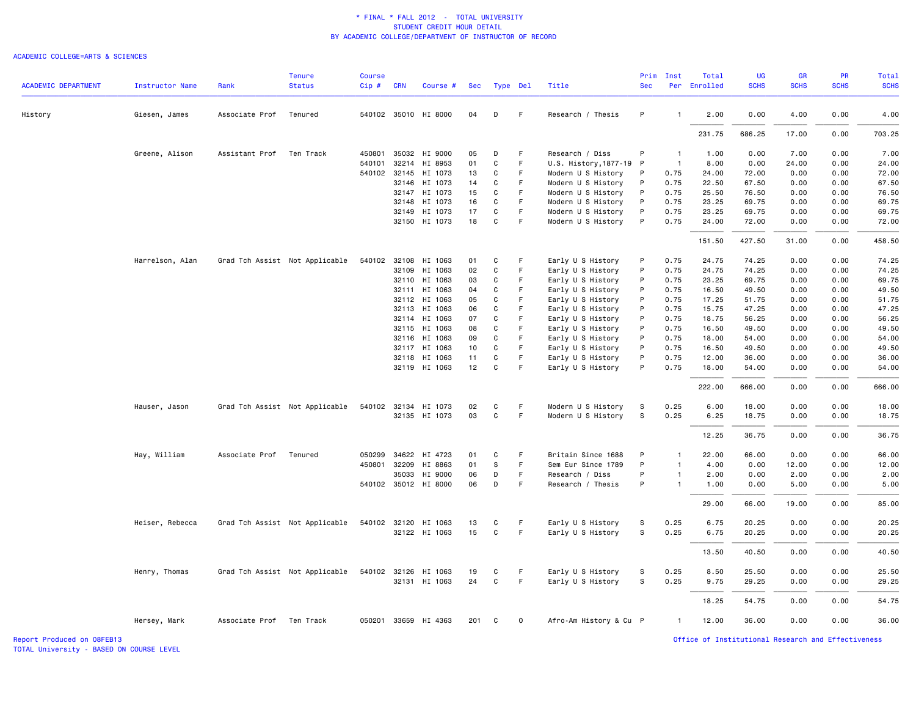#### ACADEMIC COLLEGE=ARTS & SCIENCES

|                            |                        |                          | <b>Tenure</b>                  | <b>Course</b> |            |                      |     |              |             |                        | Prim         | <b>Inst</b>    | Total        | <b>UG</b>   | <b>GR</b>   | PR          | Total       |
|----------------------------|------------------------|--------------------------|--------------------------------|---------------|------------|----------------------|-----|--------------|-------------|------------------------|--------------|----------------|--------------|-------------|-------------|-------------|-------------|
| <b>ACADEMIC DEPARTMENT</b> | <b>Instructor Name</b> | Rank                     | <b>Status</b>                  | $Cip \#$      | <b>CRN</b> | Course #             | Sec | Type Del     |             | Title                  | <b>Sec</b>   |                | Per Enrolled | <b>SCHS</b> | <b>SCHS</b> | <b>SCHS</b> | <b>SCHS</b> |
| History                    | Giesen, James          | Associate Prof           | Tenured                        |               |            | 540102 35010 HI 8000 | 04  | D            | F.          | Research / Thesis      | P            | -1             | 2.00         | 0.00        | 4.00        | 0.00        | 4.00        |
|                            |                        |                          |                                |               |            |                      |     |              |             |                        |              |                | 231.75       | 686.25      | 17.00       | 0.00        | 703.25      |
|                            | Greene, Alison         | Assistant Prof           | Ten Track                      | 450801        |            | 35032 HI 9000        | 05  | D            | F           | Research / Diss        | P            | $\overline{1}$ | 1.00         | 0.00        | 7.00        | 0.00        | 7.00        |
|                            |                        |                          |                                | 540101        |            | 32214 HI 8953        | 01  | C            | F.          | U.S. History, 1877-19  | $\mathsf{P}$ | $\overline{1}$ | 8.00         | 0.00        | 24.00       | 0.00        | 24.00       |
|                            |                        |                          |                                |               |            | 540102 32145 HI 1073 | 13  | C            | F           | Modern U S History     | P            | 0.75           | 24.00        | 72.00       | 0.00        | 0.00        | 72.00       |
|                            |                        |                          |                                |               |            | 32146 HI 1073        | 14  | C            | F           | Modern U S History     | P            | 0.75           | 22.50        | 67.50       | 0.00        | 0.00        | 67.50       |
|                            |                        |                          |                                |               |            | 32147 HI 1073        | 15  | C            | F           | Modern U S History     | P            | 0.75           | 25.50        | 76.50       | 0.00        | 0.00        | 76.50       |
|                            |                        |                          |                                |               | 32148      | HI 1073              | 16  | C            | F           | Modern U S History     | P            | 0.75           | 23.25        | 69.75       | 0.00        | 0.00        | 69.75       |
|                            |                        |                          |                                |               | 32149      | HI 1073              | 17  | C            | F           | Modern U S History     | P            | 0.75           | 23.25        | 69.75       | 0.00        | 0.00        | 69.75       |
|                            |                        |                          |                                |               |            | 32150 HI 1073        | 18  | $\mathbf C$  | F           | Modern U S History     | P            | 0.75           | 24.00        | 72.00       | 0.00        | 0.00        | 72.00       |
|                            |                        |                          |                                |               |            |                      |     |              |             |                        |              |                | 151.50       | 427.50      | 31.00       | 0.00        | 458.50      |
|                            | Harrelson, Alan        |                          | Grad Tch Assist Not Applicable |               |            | 540102 32108 HI 1063 | 01  | C            | F           | Early U S History      | P            | 0.75           | 24.75        | 74.25       | 0.00        | 0.00        | 74.25       |
|                            |                        |                          |                                |               |            | 32109 HI 1063        | 02  | C            | F           | Early U S History      | P            | 0.75           | 24.75        | 74.25       | 0.00        | 0.00        | 74.25       |
|                            |                        |                          |                                |               |            | 32110 HI 1063        | 03  | C            | F.          | Early U S History      | P            | 0.75           | 23.25        | 69.75       | 0.00        | 0.00        | 69.75       |
|                            |                        |                          |                                |               |            | 32111 HI 1063        | 04  | C            | F           | Early U S History      | P            | 0.75           | 16.50        | 49.50       | 0.00        | 0.00        | 49.50       |
|                            |                        |                          |                                |               |            | 32112 HI 1063        | 05  | $\mathbf C$  | F           | Early U S History      | P            | 0.75           | 17.25        | 51.75       | 0.00        | 0.00        | 51.75       |
|                            |                        |                          |                                |               | 32113      | HI 1063              | 06  | C            | F           | Early U S History      | P            | 0.75           | 15.75        | 47.25       | 0.00        | 0.00        | 47.25       |
|                            |                        |                          |                                |               |            | 32114 HI 1063        | 07  | C            |             | Early U S History      | P            | 0.75           | 18.75        | 56.25       | 0.00        | 0.00        | 56.25       |
|                            |                        |                          |                                |               |            | 32115 HI 1063        | 08  | C            | F.          | Early U S History      | P            | 0.75           | 16.50        | 49.50       | 0.00        | 0.00        | 49.50       |
|                            |                        |                          |                                |               | 32116      | HI 1063              | 09  | C            | F           | Early U S History      | P            | 0.75           | 18.00        | 54.00       | 0.00        | 0.00        | 54.00       |
|                            |                        |                          |                                |               |            | 32117 HI 1063        | 10  | $\mathbf C$  | F           | Early U S History      | P            | 0.75           | 16.50        | 49.50       | 0.00        | 0.00        | 49.50       |
|                            |                        |                          |                                |               | 32118      | HI 1063              | 11  | C            | F           | Early U S History      | P            | 0.75           | 12.00        | 36.00       | 0.00        | 0.00        | 36.00       |
|                            |                        |                          |                                |               |            | 32119 HI 1063        | 12  | $\mathbf C$  | F.          | Early U S History      | P            | 0.75           | 18.00        | 54.00       | 0.00        | 0.00        | 54.00       |
|                            |                        |                          |                                |               |            |                      |     |              |             |                        |              |                | 222.00       | 666.00      | 0.00        | 0.00        | 666.00      |
|                            | Hauser, Jason          |                          | Grad Tch Assist Not Applicable |               |            | 540102 32134 HI 1073 | 02  | C            | F           | Modern U S History     | S            | 0.25           | 6.00         | 18.00       | 0.00        | 0.00        | 18.00       |
|                            |                        |                          |                                |               |            | 32135 HI 1073        | 03  | C            | F.          | Modern U S History     | s            | 0.25           | 6.25         | 18.75       | 0.00        | 0.00        | 18.75       |
|                            |                        |                          |                                |               |            |                      |     |              |             |                        |              |                | 12.25        | 36.75       | 0.00        | 0.00        | 36.75       |
|                            | Hay, William           | Associate Prof           | Tenured                        |               |            | 050299 34622 HI 4723 | 01  | C            | F           | Britain Since 1688     | P            | $\mathbf{1}$   | 22.00        | 66.00       | 0.00        | 0.00        | 66.00       |
|                            |                        |                          |                                |               |            | 450801 32209 HI 8863 | 01  | S            | F.          | Sem Eur Since 1789     | P            | $\overline{1}$ | 4.00         | 0.00        | 12.00       | 0.00        | 12.00       |
|                            |                        |                          |                                |               | 35033      | HI 9000              | 06  | D            | F           | Research / Diss        | P            | $\overline{1}$ | 2.00         | 0.00        | 2.00        | 0.00        | 2.00        |
|                            |                        |                          |                                |               |            | 540102 35012 HI 8000 | 06  | D            | F           | Research / Thesis      | P            | $\overline{1}$ | 1.00         | 0.00        | 5.00        | 0.00        | 5.00        |
|                            |                        |                          |                                |               |            |                      |     |              |             |                        |              |                | 29.00        | 66.00       | 19.00       | 0.00        | 85.00       |
|                            | Heiser, Rebecca        |                          | Grad Tch Assist Not Applicable |               |            | 540102 32120 HI 1063 | 13  | C            | F           | Early U S History      | s            | 0.25           | 6.75         | 20.25       | 0.00        | 0.00        | 20.25       |
|                            |                        |                          |                                |               |            | 32122 HI 1063        | 15  | C            | F.          | Early U S History      | s            | 0.25           | 6.75         | 20.25       | 0.00        | 0.00        | 20.25       |
|                            |                        |                          |                                |               |            |                      |     |              |             |                        |              |                | 13.50        | 40.50       | 0.00        | 0.00        | 40.50       |
|                            | Henry, Thomas          |                          | Grad Tch Assist Not Applicable |               |            | 540102 32126 HI 1063 | 19  | C            | F           | Early U S History      | s            | 0.25           | 8.50         | 25.50       | 0.00        | 0.00        | 25.50       |
|                            |                        |                          |                                |               |            | 32131 HI 1063        | 24  | $\mathsf{C}$ | F.          | Early U S History      | $\mathbb S$  | 0.25           | 9.75         | 29.25       | 0.00        | 0.00        | 29.25       |
|                            |                        |                          |                                |               |            |                      |     |              |             |                        |              |                | 18.25        | 54.75       | 0.00        | 0.00        | 54.75       |
|                            | Hersey, Mark           | Associate Prof Ten Track |                                |               |            | 050201 33659 HI 4363 | 201 | C            | $\mathbf 0$ | Afro-Am History & Cu P |              | $\overline{1}$ | 12.00        | 36.00       | 0.00        | 0.00        | 36.00       |
|                            |                        |                          |                                |               |            |                      |     |              |             |                        |              |                |              |             |             |             |             |

TOTAL University - BASED ON COURSE LEVEL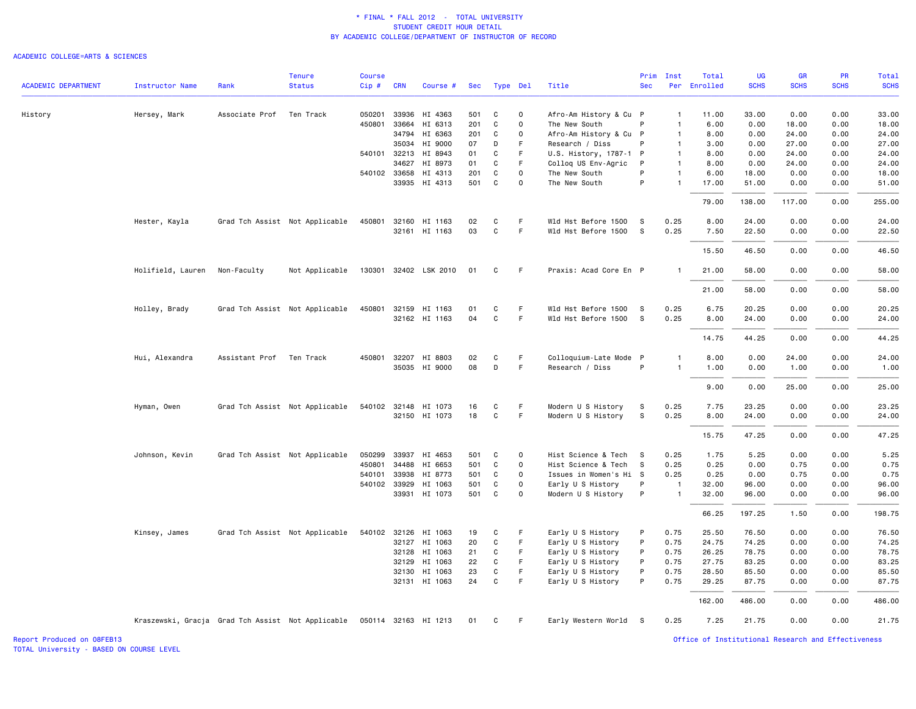#### ACADEMIC COLLEGE=ARTS & SCIENCES

| <b>SCHS</b><br><b>SCHS</b><br><b>SCHS</b><br><b>ACADEMIC DEPARTMENT</b><br><b>Instructor Name</b><br>Rank<br><b>Status</b><br>$Cip$ #<br><b>CRN</b><br>Title<br><b>Sec</b><br>Per Enrolled<br><b>SCHS</b><br>Course #<br>Sec<br>Type Del<br>0.00<br>33.00<br>Hersey, Mark<br>Associate Prof<br>Ten Track<br>33936<br>HI 4363<br>501<br>C<br>Afro-Am History & Cu P<br>33.00<br>0.00<br>History<br>050201<br>$\mathbf 0$<br>$\mathbf{1}$<br>11.00<br>201<br>C<br>18.00<br>0.00<br>450801<br>33664<br>HI 6313<br>0<br>The New South<br>P<br>6.00<br>0.00<br>18.00<br>$\mathbf{1}$<br>34794<br>HI 6363<br>201<br>C<br>$\mathsf{o}$<br>Afro-Am History & Cu P<br>8.00<br>0.00<br>24.00<br>0.00<br>24.00<br>$\mathbf{1}$<br>HI 9000<br>D<br>F<br>Research / Diss<br>P<br>27.00<br>0.00<br>27.00<br>35034<br>07<br>3.00<br>0.00<br>$\mathbf{1}$<br>F<br>24.00<br>0.00<br>24.00<br>540101 32213<br>HI 8943<br>01<br>C<br>U.S. History, 1787-1 P<br>8.00<br>0.00<br>$\mathbf{1}$<br>HI 8973<br>C<br>F<br>Collog US Env-Agric<br>0.00<br>24.00<br>0.00<br>24.00<br>34627<br>01<br>P<br>$\mathbf{1}$<br>8.00<br>C<br>P<br>0.00<br>540102 33658<br>HI 4313<br>201<br>0<br>The New South<br>6.00<br>18.00<br>0.00<br>18.00<br>$\mathbf{1}$<br>33935<br>HI 4313<br>501<br>C<br>$\mathsf{o}$<br>The New South<br>P<br>$\mathbf{1}$<br>17.00<br>51.00<br>0.00<br>0.00<br>51.00<br>138.00<br>117.00<br>0.00<br>255.00<br>79.00<br>24.00<br>Hester, Kayla<br>Grad Tch Assist Not Applicable<br>450801 32160 HI 1163<br>C<br>F.<br>Wld Hst Before 1500<br>0.25<br>8.00<br>24.00<br>0.00<br>0.00<br>02<br>- S<br>32161 HI 1163<br>03<br>C<br>F<br>Wld Hst Before 1500 S<br>0.25<br>7.50<br>22.50<br>0.00<br>0.00<br>22.50<br>46.50<br>0.00<br>0.00<br>46.50<br>15.50<br>Holifield, Lauren<br>Not Applicable<br>130301 32402 LSK 2010<br>F<br>Praxis: Acad Core En P<br>58.00<br>0.00<br>0.00<br>58.00<br>Non-Faculty<br>01<br>C<br>-1<br>21.00<br>58.00<br>21.00<br>0.00<br>0.00<br>58.00<br>32159 HI 1163<br>F<br>20.25<br>20.25<br>Holley, Brady<br>Grad Tch Assist Not Applicable<br>450801<br>C<br>Wld Hst Before 1500<br>- S<br>0.25<br>6.75<br>0.00<br>0.00<br>01<br>04<br>$\mathbf C$<br>F.<br>32162 HI 1163<br>Wld Hst Before 1500 S<br>0.25<br>8.00<br>24.00<br>0.00<br>0.00<br>44.25<br>0.00<br>0.00<br>14.75<br>Hui, Alexandra<br>Assistant Prof<br>Ten Track<br>450801<br>32207<br>HI 8803<br>02<br>C<br>F.<br>Colloquium-Late Mode P<br>8.00<br>0.00<br>24.00<br>0.00<br>$\mathbf{1}$<br>08<br>F<br>35035 HI 9000<br>D<br>Research / Diss<br>P<br>0.00<br>$\overline{1}$<br>1.00<br>0.00<br>1.00<br>25.00<br>0.00<br>9.00<br>0.00<br>Grad Tch Assist Not Applicable<br>540102 32148<br>C<br>F<br>Modern U S History<br>S.<br>0.25<br>7.75<br>23.25<br>0.00<br>0.00<br>Hyman, Owen<br>HI 1073<br>16<br>$\mathbf C$<br>$\mathsf F$<br>S<br>18<br>Modern U S History<br>0.25<br>0.00<br>0.00<br>32150 HI 1073<br>8.00<br>24.00<br>15.75<br>47.25<br>0.00<br>0.00<br>0.00<br>0.00<br>Johnson, Kevin<br>Grad Tch Assist Not Applicable<br>050299 33937<br>HI 4653<br>C<br>Hist Science & Tech<br>0.25<br>1.75<br>5.25<br>501<br>$\Omega$<br>- S<br>501<br>C<br>0.25<br>0.75<br>0.00<br>450801<br>34488<br>HI 6653<br>0<br>Hist Science & Tech<br>- S<br>0.25<br>0.00<br>540101 33938<br>0.75<br>HI 8773<br>501<br>C<br>0<br>Issues in Women's Hi S<br>0.25<br>0.25<br>0.00<br>0.00<br>540102 33929<br>HI 1063<br>501<br>C<br>0<br>Early U S History<br>P<br>$\overline{1}$<br>32.00<br>96.00<br>0.00<br>0.00<br>P<br>33931 HI 1073<br>501<br>C<br>0.00<br>0<br>Modern U S History<br>$\overline{1}$<br>32.00<br>96.00<br>0.00<br>197.25<br>0.00<br>66.25<br>1.50<br>Kinsey, James<br>Grad Tch Assist Not Applicable<br>540102 32126 HI 1063<br>C<br>F<br>Early U S History<br>P<br>0.75<br>25.50<br>76.50<br>0.00<br>0.00<br>19<br>20<br>C<br>F.<br>P<br>0.75<br>74.25<br>0.00<br>0.00<br>32127 HI 1063<br>Early U S History<br>24.75<br>C<br>F.<br>Early U S History<br>P<br>0.75<br>78.75<br>0.00<br>0.00<br>32128<br>HI 1063<br>21<br>26.25<br>F<br>32129<br>HI 1063<br>22<br>C<br>Early U S History<br>P<br>0.75<br>27.75<br>83.25<br>0.00<br>0.00<br>$\mathtt{C}$<br>F.<br>Early U S History<br>P<br>0.75<br>32130 HI 1063<br>23<br>28.50<br>85.50<br>0.00<br>0.00<br>C<br>$\mathsf F$<br>P<br>32131 HI 1063<br>24<br>Early U S History<br>0.75<br>29.25<br>87.75<br>0.00<br>0.00<br>486.00<br>162.00<br>0.00<br>0.00<br>21.75<br>0.00<br>0.00<br>Kraszewski, Gracja Grad Tch Assist Not Applicable 050114 32163 HI 1213<br>C<br>-F<br>Early Western World S<br>0.25<br>7.25<br>01 |  | <b>Tenure</b> | <b>Course</b> |  |  |  | Prim | Inst | Total | UG | <b>GR</b> | <b>PR</b> | Total |
|------------------------------------------------------------------------------------------------------------------------------------------------------------------------------------------------------------------------------------------------------------------------------------------------------------------------------------------------------------------------------------------------------------------------------------------------------------------------------------------------------------------------------------------------------------------------------------------------------------------------------------------------------------------------------------------------------------------------------------------------------------------------------------------------------------------------------------------------------------------------------------------------------------------------------------------------------------------------------------------------------------------------------------------------------------------------------------------------------------------------------------------------------------------------------------------------------------------------------------------------------------------------------------------------------------------------------------------------------------------------------------------------------------------------------------------------------------------------------------------------------------------------------------------------------------------------------------------------------------------------------------------------------------------------------------------------------------------------------------------------------------------------------------------------------------------------------------------------------------------------------------------------------------------------------------------------------------------------------------------------------------------------------------------------------------------------------------------------------------------------------------------------------------------------------------------------------------------------------------------------------------------------------------------------------------------------------------------------------------------------------------------------------------------------------------------------------------------------------------------------------------------------------------------------------------------------------------------------------------------------------------------------------------------------------------------------------------------------------------------------------------------------------------------------------------------------------------------------------------------------------------------------------------------------------------------------------------------------------------------------------------------------------------------------------------------------------------------------------------------------------------------------------------------------------------------------------------------------------------------------------------------------------------------------------------------------------------------------------------------------------------------------------------------------------------------------------------------------------------------------------------------------------------------------------------------------------------------------------------------------------------------------------------------------------------------------------------------------------------------------------------------------------------------------------------------------------------------------------------------------------------------------------------------------------------------------------------------------------------------------------------------------------------------------------------------------------------------------------------------------------------------------------------------------------------------------------------------------------------------------------------------------------------------------------------------------------------------------------------------------------------------------------------------------------------------------------------------------------------------------------------------------------------------------------------------------------|--|---------------|---------------|--|--|--|------|------|-------|----|-----------|-----------|-------|
|                                                                                                                                                                                                                                                                                                                                                                                                                                                                                                                                                                                                                                                                                                                                                                                                                                                                                                                                                                                                                                                                                                                                                                                                                                                                                                                                                                                                                                                                                                                                                                                                                                                                                                                                                                                                                                                                                                                                                                                                                                                                                                                                                                                                                                                                                                                                                                                                                                                                                                                                                                                                                                                                                                                                                                                                                                                                                                                                                                                                                                                                                                                                                                                                                                                                                                                                                                                                                                                                                                                                                                                                                                                                                                                                                                                                                                                                                                                                                                                                                                                                                                                                                                                                                                                                                                                                                                                                                                                                                                                                                                              |  |               |               |  |  |  |      |      |       |    |           |           |       |
|                                                                                                                                                                                                                                                                                                                                                                                                                                                                                                                                                                                                                                                                                                                                                                                                                                                                                                                                                                                                                                                                                                                                                                                                                                                                                                                                                                                                                                                                                                                                                                                                                                                                                                                                                                                                                                                                                                                                                                                                                                                                                                                                                                                                                                                                                                                                                                                                                                                                                                                                                                                                                                                                                                                                                                                                                                                                                                                                                                                                                                                                                                                                                                                                                                                                                                                                                                                                                                                                                                                                                                                                                                                                                                                                                                                                                                                                                                                                                                                                                                                                                                                                                                                                                                                                                                                                                                                                                                                                                                                                                                              |  |               |               |  |  |  |      |      |       |    |           |           |       |
|                                                                                                                                                                                                                                                                                                                                                                                                                                                                                                                                                                                                                                                                                                                                                                                                                                                                                                                                                                                                                                                                                                                                                                                                                                                                                                                                                                                                                                                                                                                                                                                                                                                                                                                                                                                                                                                                                                                                                                                                                                                                                                                                                                                                                                                                                                                                                                                                                                                                                                                                                                                                                                                                                                                                                                                                                                                                                                                                                                                                                                                                                                                                                                                                                                                                                                                                                                                                                                                                                                                                                                                                                                                                                                                                                                                                                                                                                                                                                                                                                                                                                                                                                                                                                                                                                                                                                                                                                                                                                                                                                                              |  |               |               |  |  |  |      |      |       |    |           |           |       |
|                                                                                                                                                                                                                                                                                                                                                                                                                                                                                                                                                                                                                                                                                                                                                                                                                                                                                                                                                                                                                                                                                                                                                                                                                                                                                                                                                                                                                                                                                                                                                                                                                                                                                                                                                                                                                                                                                                                                                                                                                                                                                                                                                                                                                                                                                                                                                                                                                                                                                                                                                                                                                                                                                                                                                                                                                                                                                                                                                                                                                                                                                                                                                                                                                                                                                                                                                                                                                                                                                                                                                                                                                                                                                                                                                                                                                                                                                                                                                                                                                                                                                                                                                                                                                                                                                                                                                                                                                                                                                                                                                                              |  |               |               |  |  |  |      |      |       |    |           |           |       |
|                                                                                                                                                                                                                                                                                                                                                                                                                                                                                                                                                                                                                                                                                                                                                                                                                                                                                                                                                                                                                                                                                                                                                                                                                                                                                                                                                                                                                                                                                                                                                                                                                                                                                                                                                                                                                                                                                                                                                                                                                                                                                                                                                                                                                                                                                                                                                                                                                                                                                                                                                                                                                                                                                                                                                                                                                                                                                                                                                                                                                                                                                                                                                                                                                                                                                                                                                                                                                                                                                                                                                                                                                                                                                                                                                                                                                                                                                                                                                                                                                                                                                                                                                                                                                                                                                                                                                                                                                                                                                                                                                                              |  |               |               |  |  |  |      |      |       |    |           |           |       |
|                                                                                                                                                                                                                                                                                                                                                                                                                                                                                                                                                                                                                                                                                                                                                                                                                                                                                                                                                                                                                                                                                                                                                                                                                                                                                                                                                                                                                                                                                                                                                                                                                                                                                                                                                                                                                                                                                                                                                                                                                                                                                                                                                                                                                                                                                                                                                                                                                                                                                                                                                                                                                                                                                                                                                                                                                                                                                                                                                                                                                                                                                                                                                                                                                                                                                                                                                                                                                                                                                                                                                                                                                                                                                                                                                                                                                                                                                                                                                                                                                                                                                                                                                                                                                                                                                                                                                                                                                                                                                                                                                                              |  |               |               |  |  |  |      |      |       |    |           |           |       |
|                                                                                                                                                                                                                                                                                                                                                                                                                                                                                                                                                                                                                                                                                                                                                                                                                                                                                                                                                                                                                                                                                                                                                                                                                                                                                                                                                                                                                                                                                                                                                                                                                                                                                                                                                                                                                                                                                                                                                                                                                                                                                                                                                                                                                                                                                                                                                                                                                                                                                                                                                                                                                                                                                                                                                                                                                                                                                                                                                                                                                                                                                                                                                                                                                                                                                                                                                                                                                                                                                                                                                                                                                                                                                                                                                                                                                                                                                                                                                                                                                                                                                                                                                                                                                                                                                                                                                                                                                                                                                                                                                                              |  |               |               |  |  |  |      |      |       |    |           |           |       |
|                                                                                                                                                                                                                                                                                                                                                                                                                                                                                                                                                                                                                                                                                                                                                                                                                                                                                                                                                                                                                                                                                                                                                                                                                                                                                                                                                                                                                                                                                                                                                                                                                                                                                                                                                                                                                                                                                                                                                                                                                                                                                                                                                                                                                                                                                                                                                                                                                                                                                                                                                                                                                                                                                                                                                                                                                                                                                                                                                                                                                                                                                                                                                                                                                                                                                                                                                                                                                                                                                                                                                                                                                                                                                                                                                                                                                                                                                                                                                                                                                                                                                                                                                                                                                                                                                                                                                                                                                                                                                                                                                                              |  |               |               |  |  |  |      |      |       |    |           |           |       |
|                                                                                                                                                                                                                                                                                                                                                                                                                                                                                                                                                                                                                                                                                                                                                                                                                                                                                                                                                                                                                                                                                                                                                                                                                                                                                                                                                                                                                                                                                                                                                                                                                                                                                                                                                                                                                                                                                                                                                                                                                                                                                                                                                                                                                                                                                                                                                                                                                                                                                                                                                                                                                                                                                                                                                                                                                                                                                                                                                                                                                                                                                                                                                                                                                                                                                                                                                                                                                                                                                                                                                                                                                                                                                                                                                                                                                                                                                                                                                                                                                                                                                                                                                                                                                                                                                                                                                                                                                                                                                                                                                                              |  |               |               |  |  |  |      |      |       |    |           |           |       |
|                                                                                                                                                                                                                                                                                                                                                                                                                                                                                                                                                                                                                                                                                                                                                                                                                                                                                                                                                                                                                                                                                                                                                                                                                                                                                                                                                                                                                                                                                                                                                                                                                                                                                                                                                                                                                                                                                                                                                                                                                                                                                                                                                                                                                                                                                                                                                                                                                                                                                                                                                                                                                                                                                                                                                                                                                                                                                                                                                                                                                                                                                                                                                                                                                                                                                                                                                                                                                                                                                                                                                                                                                                                                                                                                                                                                                                                                                                                                                                                                                                                                                                                                                                                                                                                                                                                                                                                                                                                                                                                                                                              |  |               |               |  |  |  |      |      |       |    |           |           |       |
|                                                                                                                                                                                                                                                                                                                                                                                                                                                                                                                                                                                                                                                                                                                                                                                                                                                                                                                                                                                                                                                                                                                                                                                                                                                                                                                                                                                                                                                                                                                                                                                                                                                                                                                                                                                                                                                                                                                                                                                                                                                                                                                                                                                                                                                                                                                                                                                                                                                                                                                                                                                                                                                                                                                                                                                                                                                                                                                                                                                                                                                                                                                                                                                                                                                                                                                                                                                                                                                                                                                                                                                                                                                                                                                                                                                                                                                                                                                                                                                                                                                                                                                                                                                                                                                                                                                                                                                                                                                                                                                                                                              |  |               |               |  |  |  |      |      |       |    |           |           |       |
|                                                                                                                                                                                                                                                                                                                                                                                                                                                                                                                                                                                                                                                                                                                                                                                                                                                                                                                                                                                                                                                                                                                                                                                                                                                                                                                                                                                                                                                                                                                                                                                                                                                                                                                                                                                                                                                                                                                                                                                                                                                                                                                                                                                                                                                                                                                                                                                                                                                                                                                                                                                                                                                                                                                                                                                                                                                                                                                                                                                                                                                                                                                                                                                                                                                                                                                                                                                                                                                                                                                                                                                                                                                                                                                                                                                                                                                                                                                                                                                                                                                                                                                                                                                                                                                                                                                                                                                                                                                                                                                                                                              |  |               |               |  |  |  |      |      |       |    |           |           |       |
|                                                                                                                                                                                                                                                                                                                                                                                                                                                                                                                                                                                                                                                                                                                                                                                                                                                                                                                                                                                                                                                                                                                                                                                                                                                                                                                                                                                                                                                                                                                                                                                                                                                                                                                                                                                                                                                                                                                                                                                                                                                                                                                                                                                                                                                                                                                                                                                                                                                                                                                                                                                                                                                                                                                                                                                                                                                                                                                                                                                                                                                                                                                                                                                                                                                                                                                                                                                                                                                                                                                                                                                                                                                                                                                                                                                                                                                                                                                                                                                                                                                                                                                                                                                                                                                                                                                                                                                                                                                                                                                                                                              |  |               |               |  |  |  |      |      |       |    |           |           |       |
|                                                                                                                                                                                                                                                                                                                                                                                                                                                                                                                                                                                                                                                                                                                                                                                                                                                                                                                                                                                                                                                                                                                                                                                                                                                                                                                                                                                                                                                                                                                                                                                                                                                                                                                                                                                                                                                                                                                                                                                                                                                                                                                                                                                                                                                                                                                                                                                                                                                                                                                                                                                                                                                                                                                                                                                                                                                                                                                                                                                                                                                                                                                                                                                                                                                                                                                                                                                                                                                                                                                                                                                                                                                                                                                                                                                                                                                                                                                                                                                                                                                                                                                                                                                                                                                                                                                                                                                                                                                                                                                                                                              |  |               |               |  |  |  |      |      |       |    |           |           |       |
|                                                                                                                                                                                                                                                                                                                                                                                                                                                                                                                                                                                                                                                                                                                                                                                                                                                                                                                                                                                                                                                                                                                                                                                                                                                                                                                                                                                                                                                                                                                                                                                                                                                                                                                                                                                                                                                                                                                                                                                                                                                                                                                                                                                                                                                                                                                                                                                                                                                                                                                                                                                                                                                                                                                                                                                                                                                                                                                                                                                                                                                                                                                                                                                                                                                                                                                                                                                                                                                                                                                                                                                                                                                                                                                                                                                                                                                                                                                                                                                                                                                                                                                                                                                                                                                                                                                                                                                                                                                                                                                                                                              |  |               |               |  |  |  |      |      |       |    |           |           |       |
|                                                                                                                                                                                                                                                                                                                                                                                                                                                                                                                                                                                                                                                                                                                                                                                                                                                                                                                                                                                                                                                                                                                                                                                                                                                                                                                                                                                                                                                                                                                                                                                                                                                                                                                                                                                                                                                                                                                                                                                                                                                                                                                                                                                                                                                                                                                                                                                                                                                                                                                                                                                                                                                                                                                                                                                                                                                                                                                                                                                                                                                                                                                                                                                                                                                                                                                                                                                                                                                                                                                                                                                                                                                                                                                                                                                                                                                                                                                                                                                                                                                                                                                                                                                                                                                                                                                                                                                                                                                                                                                                                                              |  |               |               |  |  |  |      |      |       |    |           |           |       |
| 44.25<br>24.00<br>1.00<br>25.00<br>23.25<br>24.00<br>47.25<br>5.25<br>0.75<br>0.75<br>96.00<br>96.00<br>198.75<br>76.50<br>74.25<br>78.75<br>83.25<br>85.50<br>87.75<br>486.00<br>21.75                                                                                                                                                                                                                                                                                                                                                                                                                                                                                                                                                                                                                                                                                                                                                                                                                                                                                                                                                                                                                                                                                                                                                                                                                                                                                                                                                                                                                                                                                                                                                                                                                                                                                                                                                                                                                                                                                                                                                                                                                                                                                                                                                                                                                                                                                                                                                                                                                                                                                                                                                                                                                                                                                                                                                                                                                                                                                                                                                                                                                                                                                                                                                                                                                                                                                                                                                                                                                                                                                                                                                                                                                                                                                                                                                                                                                                                                                                                                                                                                                                                                                                                                                                                                                                                                                                                                                                                      |  |               |               |  |  |  |      |      |       |    |           |           | 24.00 |
|                                                                                                                                                                                                                                                                                                                                                                                                                                                                                                                                                                                                                                                                                                                                                                                                                                                                                                                                                                                                                                                                                                                                                                                                                                                                                                                                                                                                                                                                                                                                                                                                                                                                                                                                                                                                                                                                                                                                                                                                                                                                                                                                                                                                                                                                                                                                                                                                                                                                                                                                                                                                                                                                                                                                                                                                                                                                                                                                                                                                                                                                                                                                                                                                                                                                                                                                                                                                                                                                                                                                                                                                                                                                                                                                                                                                                                                                                                                                                                                                                                                                                                                                                                                                                                                                                                                                                                                                                                                                                                                                                                              |  |               |               |  |  |  |      |      |       |    |           |           |       |
|                                                                                                                                                                                                                                                                                                                                                                                                                                                                                                                                                                                                                                                                                                                                                                                                                                                                                                                                                                                                                                                                                                                                                                                                                                                                                                                                                                                                                                                                                                                                                                                                                                                                                                                                                                                                                                                                                                                                                                                                                                                                                                                                                                                                                                                                                                                                                                                                                                                                                                                                                                                                                                                                                                                                                                                                                                                                                                                                                                                                                                                                                                                                                                                                                                                                                                                                                                                                                                                                                                                                                                                                                                                                                                                                                                                                                                                                                                                                                                                                                                                                                                                                                                                                                                                                                                                                                                                                                                                                                                                                                                              |  |               |               |  |  |  |      |      |       |    |           |           |       |
|                                                                                                                                                                                                                                                                                                                                                                                                                                                                                                                                                                                                                                                                                                                                                                                                                                                                                                                                                                                                                                                                                                                                                                                                                                                                                                                                                                                                                                                                                                                                                                                                                                                                                                                                                                                                                                                                                                                                                                                                                                                                                                                                                                                                                                                                                                                                                                                                                                                                                                                                                                                                                                                                                                                                                                                                                                                                                                                                                                                                                                                                                                                                                                                                                                                                                                                                                                                                                                                                                                                                                                                                                                                                                                                                                                                                                                                                                                                                                                                                                                                                                                                                                                                                                                                                                                                                                                                                                                                                                                                                                                              |  |               |               |  |  |  |      |      |       |    |           |           |       |
|                                                                                                                                                                                                                                                                                                                                                                                                                                                                                                                                                                                                                                                                                                                                                                                                                                                                                                                                                                                                                                                                                                                                                                                                                                                                                                                                                                                                                                                                                                                                                                                                                                                                                                                                                                                                                                                                                                                                                                                                                                                                                                                                                                                                                                                                                                                                                                                                                                                                                                                                                                                                                                                                                                                                                                                                                                                                                                                                                                                                                                                                                                                                                                                                                                                                                                                                                                                                                                                                                                                                                                                                                                                                                                                                                                                                                                                                                                                                                                                                                                                                                                                                                                                                                                                                                                                                                                                                                                                                                                                                                                              |  |               |               |  |  |  |      |      |       |    |           |           |       |
|                                                                                                                                                                                                                                                                                                                                                                                                                                                                                                                                                                                                                                                                                                                                                                                                                                                                                                                                                                                                                                                                                                                                                                                                                                                                                                                                                                                                                                                                                                                                                                                                                                                                                                                                                                                                                                                                                                                                                                                                                                                                                                                                                                                                                                                                                                                                                                                                                                                                                                                                                                                                                                                                                                                                                                                                                                                                                                                                                                                                                                                                                                                                                                                                                                                                                                                                                                                                                                                                                                                                                                                                                                                                                                                                                                                                                                                                                                                                                                                                                                                                                                                                                                                                                                                                                                                                                                                                                                                                                                                                                                              |  |               |               |  |  |  |      |      |       |    |           |           |       |
|                                                                                                                                                                                                                                                                                                                                                                                                                                                                                                                                                                                                                                                                                                                                                                                                                                                                                                                                                                                                                                                                                                                                                                                                                                                                                                                                                                                                                                                                                                                                                                                                                                                                                                                                                                                                                                                                                                                                                                                                                                                                                                                                                                                                                                                                                                                                                                                                                                                                                                                                                                                                                                                                                                                                                                                                                                                                                                                                                                                                                                                                                                                                                                                                                                                                                                                                                                                                                                                                                                                                                                                                                                                                                                                                                                                                                                                                                                                                                                                                                                                                                                                                                                                                                                                                                                                                                                                                                                                                                                                                                                              |  |               |               |  |  |  |      |      |       |    |           |           |       |
|                                                                                                                                                                                                                                                                                                                                                                                                                                                                                                                                                                                                                                                                                                                                                                                                                                                                                                                                                                                                                                                                                                                                                                                                                                                                                                                                                                                                                                                                                                                                                                                                                                                                                                                                                                                                                                                                                                                                                                                                                                                                                                                                                                                                                                                                                                                                                                                                                                                                                                                                                                                                                                                                                                                                                                                                                                                                                                                                                                                                                                                                                                                                                                                                                                                                                                                                                                                                                                                                                                                                                                                                                                                                                                                                                                                                                                                                                                                                                                                                                                                                                                                                                                                                                                                                                                                                                                                                                                                                                                                                                                              |  |               |               |  |  |  |      |      |       |    |           |           |       |
|                                                                                                                                                                                                                                                                                                                                                                                                                                                                                                                                                                                                                                                                                                                                                                                                                                                                                                                                                                                                                                                                                                                                                                                                                                                                                                                                                                                                                                                                                                                                                                                                                                                                                                                                                                                                                                                                                                                                                                                                                                                                                                                                                                                                                                                                                                                                                                                                                                                                                                                                                                                                                                                                                                                                                                                                                                                                                                                                                                                                                                                                                                                                                                                                                                                                                                                                                                                                                                                                                                                                                                                                                                                                                                                                                                                                                                                                                                                                                                                                                                                                                                                                                                                                                                                                                                                                                                                                                                                                                                                                                                              |  |               |               |  |  |  |      |      |       |    |           |           |       |
|                                                                                                                                                                                                                                                                                                                                                                                                                                                                                                                                                                                                                                                                                                                                                                                                                                                                                                                                                                                                                                                                                                                                                                                                                                                                                                                                                                                                                                                                                                                                                                                                                                                                                                                                                                                                                                                                                                                                                                                                                                                                                                                                                                                                                                                                                                                                                                                                                                                                                                                                                                                                                                                                                                                                                                                                                                                                                                                                                                                                                                                                                                                                                                                                                                                                                                                                                                                                                                                                                                                                                                                                                                                                                                                                                                                                                                                                                                                                                                                                                                                                                                                                                                                                                                                                                                                                                                                                                                                                                                                                                                              |  |               |               |  |  |  |      |      |       |    |           |           |       |
|                                                                                                                                                                                                                                                                                                                                                                                                                                                                                                                                                                                                                                                                                                                                                                                                                                                                                                                                                                                                                                                                                                                                                                                                                                                                                                                                                                                                                                                                                                                                                                                                                                                                                                                                                                                                                                                                                                                                                                                                                                                                                                                                                                                                                                                                                                                                                                                                                                                                                                                                                                                                                                                                                                                                                                                                                                                                                                                                                                                                                                                                                                                                                                                                                                                                                                                                                                                                                                                                                                                                                                                                                                                                                                                                                                                                                                                                                                                                                                                                                                                                                                                                                                                                                                                                                                                                                                                                                                                                                                                                                                              |  |               |               |  |  |  |      |      |       |    |           |           |       |
|                                                                                                                                                                                                                                                                                                                                                                                                                                                                                                                                                                                                                                                                                                                                                                                                                                                                                                                                                                                                                                                                                                                                                                                                                                                                                                                                                                                                                                                                                                                                                                                                                                                                                                                                                                                                                                                                                                                                                                                                                                                                                                                                                                                                                                                                                                                                                                                                                                                                                                                                                                                                                                                                                                                                                                                                                                                                                                                                                                                                                                                                                                                                                                                                                                                                                                                                                                                                                                                                                                                                                                                                                                                                                                                                                                                                                                                                                                                                                                                                                                                                                                                                                                                                                                                                                                                                                                                                                                                                                                                                                                              |  |               |               |  |  |  |      |      |       |    |           |           |       |
|                                                                                                                                                                                                                                                                                                                                                                                                                                                                                                                                                                                                                                                                                                                                                                                                                                                                                                                                                                                                                                                                                                                                                                                                                                                                                                                                                                                                                                                                                                                                                                                                                                                                                                                                                                                                                                                                                                                                                                                                                                                                                                                                                                                                                                                                                                                                                                                                                                                                                                                                                                                                                                                                                                                                                                                                                                                                                                                                                                                                                                                                                                                                                                                                                                                                                                                                                                                                                                                                                                                                                                                                                                                                                                                                                                                                                                                                                                                                                                                                                                                                                                                                                                                                                                                                                                                                                                                                                                                                                                                                                                              |  |               |               |  |  |  |      |      |       |    |           |           |       |
|                                                                                                                                                                                                                                                                                                                                                                                                                                                                                                                                                                                                                                                                                                                                                                                                                                                                                                                                                                                                                                                                                                                                                                                                                                                                                                                                                                                                                                                                                                                                                                                                                                                                                                                                                                                                                                                                                                                                                                                                                                                                                                                                                                                                                                                                                                                                                                                                                                                                                                                                                                                                                                                                                                                                                                                                                                                                                                                                                                                                                                                                                                                                                                                                                                                                                                                                                                                                                                                                                                                                                                                                                                                                                                                                                                                                                                                                                                                                                                                                                                                                                                                                                                                                                                                                                                                                                                                                                                                                                                                                                                              |  |               |               |  |  |  |      |      |       |    |           |           |       |
|                                                                                                                                                                                                                                                                                                                                                                                                                                                                                                                                                                                                                                                                                                                                                                                                                                                                                                                                                                                                                                                                                                                                                                                                                                                                                                                                                                                                                                                                                                                                                                                                                                                                                                                                                                                                                                                                                                                                                                                                                                                                                                                                                                                                                                                                                                                                                                                                                                                                                                                                                                                                                                                                                                                                                                                                                                                                                                                                                                                                                                                                                                                                                                                                                                                                                                                                                                                                                                                                                                                                                                                                                                                                                                                                                                                                                                                                                                                                                                                                                                                                                                                                                                                                                                                                                                                                                                                                                                                                                                                                                                              |  |               |               |  |  |  |      |      |       |    |           |           |       |
|                                                                                                                                                                                                                                                                                                                                                                                                                                                                                                                                                                                                                                                                                                                                                                                                                                                                                                                                                                                                                                                                                                                                                                                                                                                                                                                                                                                                                                                                                                                                                                                                                                                                                                                                                                                                                                                                                                                                                                                                                                                                                                                                                                                                                                                                                                                                                                                                                                                                                                                                                                                                                                                                                                                                                                                                                                                                                                                                                                                                                                                                                                                                                                                                                                                                                                                                                                                                                                                                                                                                                                                                                                                                                                                                                                                                                                                                                                                                                                                                                                                                                                                                                                                                                                                                                                                                                                                                                                                                                                                                                                              |  |               |               |  |  |  |      |      |       |    |           |           |       |
|                                                                                                                                                                                                                                                                                                                                                                                                                                                                                                                                                                                                                                                                                                                                                                                                                                                                                                                                                                                                                                                                                                                                                                                                                                                                                                                                                                                                                                                                                                                                                                                                                                                                                                                                                                                                                                                                                                                                                                                                                                                                                                                                                                                                                                                                                                                                                                                                                                                                                                                                                                                                                                                                                                                                                                                                                                                                                                                                                                                                                                                                                                                                                                                                                                                                                                                                                                                                                                                                                                                                                                                                                                                                                                                                                                                                                                                                                                                                                                                                                                                                                                                                                                                                                                                                                                                                                                                                                                                                                                                                                                              |  |               |               |  |  |  |      |      |       |    |           |           |       |
|                                                                                                                                                                                                                                                                                                                                                                                                                                                                                                                                                                                                                                                                                                                                                                                                                                                                                                                                                                                                                                                                                                                                                                                                                                                                                                                                                                                                                                                                                                                                                                                                                                                                                                                                                                                                                                                                                                                                                                                                                                                                                                                                                                                                                                                                                                                                                                                                                                                                                                                                                                                                                                                                                                                                                                                                                                                                                                                                                                                                                                                                                                                                                                                                                                                                                                                                                                                                                                                                                                                                                                                                                                                                                                                                                                                                                                                                                                                                                                                                                                                                                                                                                                                                                                                                                                                                                                                                                                                                                                                                                                              |  |               |               |  |  |  |      |      |       |    |           |           |       |
|                                                                                                                                                                                                                                                                                                                                                                                                                                                                                                                                                                                                                                                                                                                                                                                                                                                                                                                                                                                                                                                                                                                                                                                                                                                                                                                                                                                                                                                                                                                                                                                                                                                                                                                                                                                                                                                                                                                                                                                                                                                                                                                                                                                                                                                                                                                                                                                                                                                                                                                                                                                                                                                                                                                                                                                                                                                                                                                                                                                                                                                                                                                                                                                                                                                                                                                                                                                                                                                                                                                                                                                                                                                                                                                                                                                                                                                                                                                                                                                                                                                                                                                                                                                                                                                                                                                                                                                                                                                                                                                                                                              |  |               |               |  |  |  |      |      |       |    |           |           |       |
|                                                                                                                                                                                                                                                                                                                                                                                                                                                                                                                                                                                                                                                                                                                                                                                                                                                                                                                                                                                                                                                                                                                                                                                                                                                                                                                                                                                                                                                                                                                                                                                                                                                                                                                                                                                                                                                                                                                                                                                                                                                                                                                                                                                                                                                                                                                                                                                                                                                                                                                                                                                                                                                                                                                                                                                                                                                                                                                                                                                                                                                                                                                                                                                                                                                                                                                                                                                                                                                                                                                                                                                                                                                                                                                                                                                                                                                                                                                                                                                                                                                                                                                                                                                                                                                                                                                                                                                                                                                                                                                                                                              |  |               |               |  |  |  |      |      |       |    |           |           |       |
|                                                                                                                                                                                                                                                                                                                                                                                                                                                                                                                                                                                                                                                                                                                                                                                                                                                                                                                                                                                                                                                                                                                                                                                                                                                                                                                                                                                                                                                                                                                                                                                                                                                                                                                                                                                                                                                                                                                                                                                                                                                                                                                                                                                                                                                                                                                                                                                                                                                                                                                                                                                                                                                                                                                                                                                                                                                                                                                                                                                                                                                                                                                                                                                                                                                                                                                                                                                                                                                                                                                                                                                                                                                                                                                                                                                                                                                                                                                                                                                                                                                                                                                                                                                                                                                                                                                                                                                                                                                                                                                                                                              |  |               |               |  |  |  |      |      |       |    |           |           |       |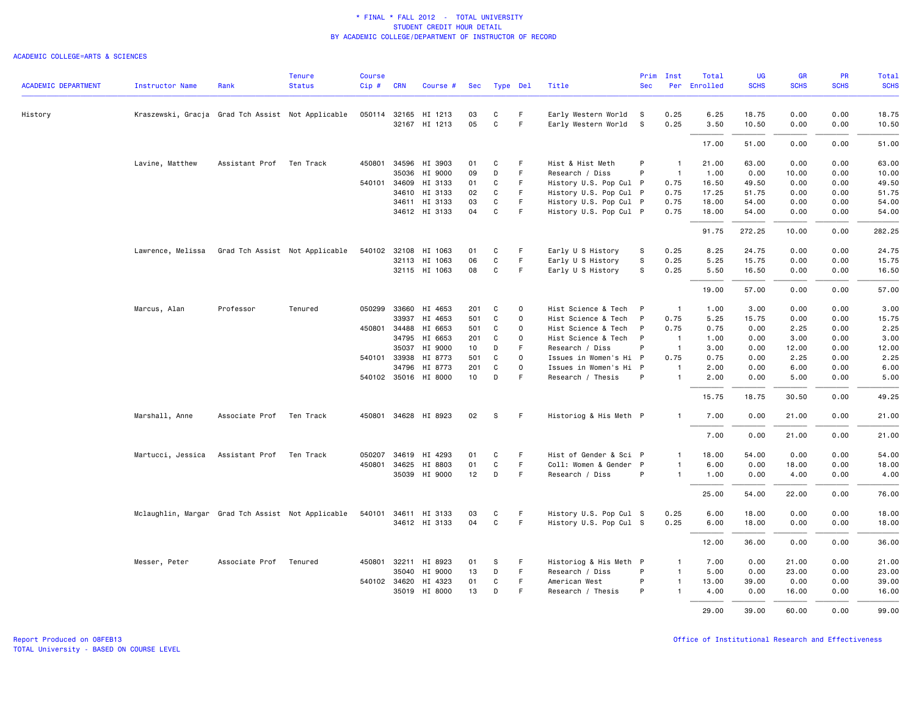| <b>ACADEMIC DEPARTMENT</b> | <b>Instructor Name</b>                            | Rank                     | <b>Tenure</b><br><b>Status</b> | <b>Course</b><br>Cip# | <b>CRN</b>   | Course #                        | Sec                    |              | Type Del    | Title                                       | Prim<br><b>Sec</b> | Inst<br>Per                      | Total<br>Enrolled | <b>UG</b><br><b>SCHS</b> | <b>GR</b><br><b>SCHS</b> | PR<br><b>SCHS</b> | Total<br><b>SCHS</b> |
|----------------------------|---------------------------------------------------|--------------------------|--------------------------------|-----------------------|--------------|---------------------------------|------------------------|--------------|-------------|---------------------------------------------|--------------------|----------------------------------|-------------------|--------------------------|--------------------------|-------------------|----------------------|
|                            |                                                   |                          |                                |                       |              |                                 |                        |              |             |                                             |                    |                                  |                   |                          |                          |                   |                      |
| History                    | Kraszewski, Gracja Grad Tch Assist Not Applicable |                          |                                |                       |              | 050114 32165 HI 1213            | 03                     | C            | F.          | Early Western World                         | s.                 | 0.25                             | 6.25              | 18.75                    | 0.00                     | 0.00              | 18.75                |
|                            |                                                   |                          |                                |                       |              | 32167 HI 1213                   | 05                     | $\mathsf{C}$ | F.          | Early Western World                         | $\mathbf{s}$       | 0.25                             | 3.50              | 10.50                    | 0.00                     | 0.00              | 10.50                |
|                            |                                                   |                          |                                |                       |              |                                 |                        |              |             |                                             |                    |                                  | 17.00             | 51.00                    | 0.00                     | 0.00              | 51.00                |
|                            | Lavine, Matthew                                   | Assistant Prof           | Ten Track                      | 450801                | 34596        | HI 3903                         | 01                     | C            | F           | Hist & Hist Meth                            | P                  | $\overline{1}$                   | 21.00             | 63.00                    | 0.00                     | 0.00              | 63.00                |
|                            |                                                   |                          |                                |                       |              | 35036 HI 9000                   | 09                     | D            | F           | Research / Diss                             | P                  | $\overline{1}$                   | 1.00              | 0.00                     | 10.00                    | 0.00              | 10.00                |
|                            |                                                   |                          |                                |                       |              | 540101 34609 HI 3133            | 01                     | C            | F           | History U.S. Pop Cul P                      |                    | 0.75                             | 16.50             | 49.50                    | 0.00                     | 0.00              | 49.50                |
|                            |                                                   |                          |                                |                       | 34610        | HI 3133                         | 02                     | C            | F.          | History U.S. Pop Cul P                      |                    | 0.75                             | 17.25             | 51.75                    | 0.00                     | 0.00              | 51.75                |
|                            |                                                   |                          |                                |                       |              | 34611 HI 3133                   | 03                     | C            | F           | History U.S. Pop Cul P                      |                    | 0.75                             | 18.00             | 54.00                    | 0.00                     | 0.00              | 54.00                |
|                            |                                                   |                          |                                |                       |              | 34612 HI 3133                   | 04                     | $\mathsf{C}$ | F.          | History U.S. Pop Cul P                      |                    | 0.75                             | 18.00             | 54.00                    | 0.00                     | 0.00              | 54.00                |
|                            |                                                   |                          |                                |                       |              |                                 |                        |              |             |                                             |                    |                                  | 91.75             | 272.25                   | 10.00                    | 0.00              | 282.25               |
|                            | Lawrence, Melissa                                 |                          | Grad Tch Assist Not Applicable | 540102                | 32108        | HI 1063                         | 01                     | C            | F           | Early U S History                           | s                  | 0.25                             | 8.25              | 24.75                    | 0.00                     | 0.00              | 24.75                |
|                            |                                                   |                          |                                |                       |              | 32113 HI 1063                   | 06                     | C            | F           | Early U S History                           | s                  | 0.25                             | 5.25              | 15.75                    | 0.00                     | 0.00              | 15.75                |
|                            |                                                   |                          |                                |                       |              | 32115 HI 1063                   | 08                     | C            | F.          | Early U S History                           | s                  | 0.25                             | 5.50              | 16.50                    | 0.00                     | 0.00              | 16.50                |
|                            |                                                   |                          |                                |                       |              |                                 |                        |              |             |                                             |                    |                                  | 19.00             | 57.00                    | 0.00                     | 0.00              | 57.00                |
|                            | Marcus, Alan                                      | Professor                | Tenured                        | 050299                | 33660        | HI 4653                         | 201                    | C            | 0           | Hist Science & Tech                         | P                  | $\overline{1}$                   | 1.00              | 3.00                     | 0.00                     | 0.00              | 3.00                 |
|                            |                                                   |                          |                                |                       |              | 33937 HI 4653                   | 501                    | C            | 0           | Hist Science & Tech                         | P                  | 0.75                             | 5.25              | 15.75                    | 0.00                     | 0.00              | 15.75                |
|                            |                                                   |                          |                                |                       |              | 450801 34488 HI 6653            | 501                    | C            | $\mathbf 0$ | Hist Science & Tech                         | P                  | 0.75                             | 0.75              | 0.00                     | 2.25                     | 0.00              | 2.25                 |
|                            |                                                   |                          |                                |                       | 34795        | HI 6653                         | 201                    | C            | 0           | Hist Science & Tech                         | P                  | $\overline{1}$                   | 1.00              | 0.00                     | 3.00                     | 0.00              | 3.00                 |
|                            |                                                   |                          |                                |                       |              |                                 |                        |              | F           |                                             | P                  |                                  |                   |                          |                          |                   | 12.00                |
|                            |                                                   |                          |                                |                       | 35037        | HI 9000                         | 10                     | D            |             | Research / Diss                             |                    | $\overline{1}$                   | 3.00              | 0.00                     | 12.00                    | 0.00              |                      |
|                            |                                                   |                          |                                |                       | 540101 33938 | HI 8773                         | 501                    | C            | $\mathbf 0$ | Issues in Women's Hi P                      |                    | 0.75                             | 0.75              | 0.00                     | 2.25                     | 0.00              | 2.25                 |
|                            |                                                   |                          |                                |                       | 34796        | HI 8773<br>540102 35016 HI 8000 | 201<br>10 <sub>1</sub> | C<br>D       | 0<br>F      | Issues in Women's Hi P<br>Research / Thesis | P                  | $\overline{1}$<br>$\overline{1}$ | 2.00<br>2.00      | 0.00<br>0.00             | 6.00<br>5.00             | 0.00<br>0.00      | 6.00<br>5.00         |
|                            |                                                   |                          |                                |                       |              |                                 |                        |              |             |                                             |                    |                                  |                   |                          |                          |                   |                      |
|                            |                                                   |                          |                                |                       |              |                                 |                        |              |             |                                             |                    |                                  | 15.75             | 18.75                    | 30.50                    | 0.00              | 49.25                |
|                            | Marshall, Anne                                    | Associate Prof Ten Track |                                |                       |              | 450801 34628 HI 8923            | 02                     | -S           | F.          | Historiog & His Meth P                      |                    | $\mathbf{1}$                     | 7.00              | 0.00                     | 21.00                    | 0.00              | 21.00                |
|                            |                                                   |                          |                                |                       |              |                                 |                        |              |             |                                             |                    |                                  | 7.00              | 0.00                     | 21.00                    | 0.00              | 21.00                |
|                            | Martucci, Jessica                                 | Assistant Prof Ten Track |                                |                       |              | 050207 34619 HI 4293            | 01                     | C            | F           | Hist of Gender & Sci P                      |                    | $\mathbf{1}$                     | 18.00             | 54.00                    | 0.00                     | 0.00              | 54.00                |
|                            |                                                   |                          |                                | 450801                | 34625        | HI 8803                         | 01                     | $\mathbf C$  | F.          | Coll: Women & Gender P                      |                    | $\overline{1}$                   | 6.00              | 0.00                     | 18.00                    | 0.00              | 18.00                |
|                            |                                                   |                          |                                |                       |              | 35039 HI 9000                   | 12                     | D            | F.          | Research / Diss                             | P                  | $\overline{1}$                   | 1.00              | 0.00                     | 4.00                     | 0.00              | 4.00                 |
|                            |                                                   |                          |                                |                       |              |                                 |                        |              |             |                                             |                    |                                  | 25.00             | 54.00                    | 22.00                    | 0.00              | 76.00                |
|                            | Mclaughlin, Margar Grad Tch Assist Not Applicable |                          |                                |                       |              | 540101 34611 HI 3133            | 03                     | C            | F           | History U.S. Pop Cul S                      |                    | 0.25                             | 6.00              | 18.00                    | 0.00                     | 0.00              | 18.00                |
|                            |                                                   |                          |                                |                       |              | 34612 HI 3133                   | 04                     | C            | F.          | History U.S. Pop Cul S                      |                    | 0.25                             | 6.00              | 18.00                    | 0.00                     | 0.00              | 18.00                |
|                            |                                                   |                          |                                |                       |              |                                 |                        |              |             |                                             |                    |                                  |                   |                          |                          |                   |                      |
|                            |                                                   |                          |                                |                       |              |                                 |                        |              |             |                                             |                    |                                  | 12.00             | 36.00                    | 0.00                     | 0.00              | 36.00                |
|                            | Messer, Peter                                     | Associate Prof           | Tenured                        |                       |              | 450801 32211 HI 8923            | 01                     | S            | F           | Historiog & His Meth P                      |                    | $\overline{1}$                   | 7.00              | 0.00                     | 21.00                    | 0.00              | 21.00                |
|                            |                                                   |                          |                                |                       |              | 35040 HI 9000                   | 13                     | D            | F           | Research / Diss                             | P                  | $\overline{1}$                   | 5.00              | 0.00                     | 23.00                    | 0.00              | 23.00                |
|                            |                                                   |                          |                                |                       | 540102 34620 | HI 4323                         | 01                     | C            | F.          | American West                               | P                  | $\overline{1}$                   | 13.00             | 39.00                    | 0.00                     | 0.00              | 39.00                |
|                            |                                                   |                          |                                |                       | 35019        | HI 8000                         | 13                     | D            | F           | Research / Thesis                           | P                  | $\mathbf{1}$                     | 4.00              | 0.00                     | 16.00                    | 0.00              | 16.00                |
|                            |                                                   |                          |                                |                       |              |                                 |                        |              |             |                                             |                    |                                  | 29,00             | 39.00                    | 60.00                    | 0.00              | 99.00                |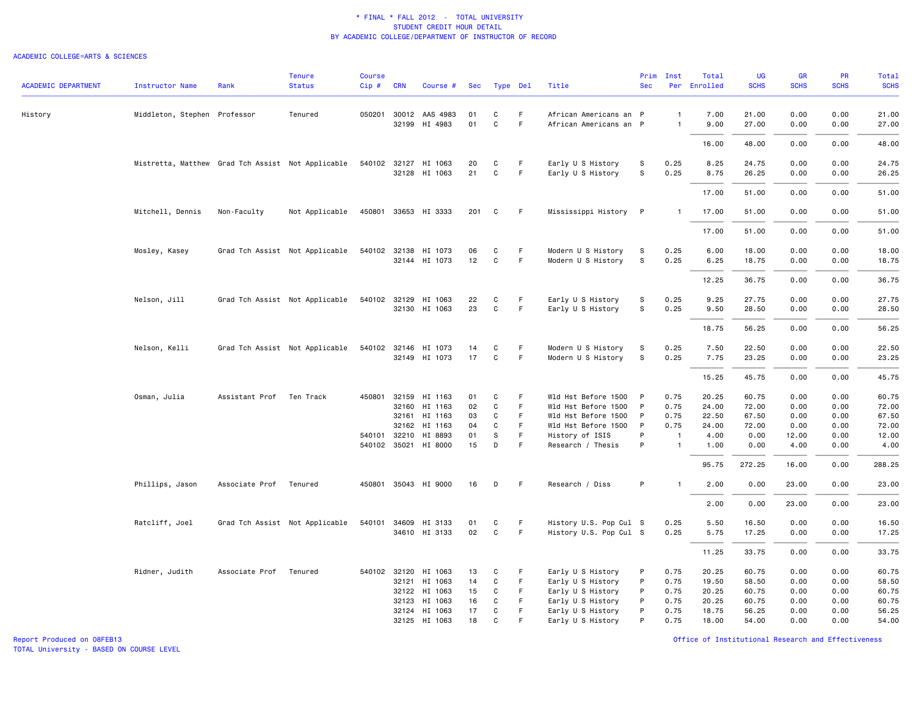### ACADEMIC COLLEGE=ARTS & SCIENCES

| <b>ACADEMIC DEPARTMENT</b> | <b>Instructor Name</b>                            | Rank                     | <b>Tenure</b><br><b>Status</b> | Course<br>Cip# | <b>CRN</b>   | Course #                              |          | Sec Type Del |          | Title                                    | Prim<br><b>Sec</b> | Inst           | Total<br>Per Enrolled | UG<br><b>SCHS</b> | <b>GR</b><br><b>SCHS</b> | <b>PR</b><br><b>SCHS</b> | Total<br><b>SCHS</b> |
|----------------------------|---------------------------------------------------|--------------------------|--------------------------------|----------------|--------------|---------------------------------------|----------|--------------|----------|------------------------------------------|--------------------|----------------|-----------------------|-------------------|--------------------------|--------------------------|----------------------|
|                            |                                                   |                          |                                |                |              |                                       |          |              |          |                                          |                    |                |                       |                   |                          |                          |                      |
| History                    | Middleton, Stephen Professor                      |                          | Tenured                        |                |              | 050201 30012 AAS 4983                 | 01       | C            | F.       | African Americans an P                   |                    | $\mathbf{1}$   | 7.00                  | 21.00             | 0.00                     | 0.00                     | 21.00                |
|                            |                                                   |                          |                                |                |              | 32199 HI 4983                         | 01       | $\mathbf{C}$ | F        | African Americans an P                   |                    | $\overline{1}$ | 9.00                  | 27.00             | 0.00                     | 0.00                     | 27.00                |
|                            |                                                   |                          |                                |                |              |                                       |          |              |          |                                          |                    |                | 16.00                 | 48.00             | 0.00                     | 0.00                     | 48.00                |
|                            | Mistretta, Matthew Grad Tch Assist Not Applicable |                          |                                |                |              | 540102 32127 HI 1063                  | 20       | C            | F        | Early U S History                        | s                  | 0.25           | 8.25                  | 24.75             | 0.00                     | 0.00                     | 24.75                |
|                            |                                                   |                          |                                |                |              | 32128 HI 1063                         | 21       | C            | F        | Early U S History                        | s                  | 0.25           | 8.75                  | 26.25             | 0.00                     | 0.00                     | 26.25                |
|                            |                                                   |                          |                                |                |              |                                       |          |              |          |                                          |                    |                | 17.00                 | 51.00             | 0.00                     | 0.00                     | 51.00                |
|                            | Mitchell, Dennis                                  | Non-Faculty              | Not Applicable                 |                |              | 450801 33653 HI 3333                  | 201      | C            | F.       | Mississippi History P                    |                    | -1             | 17.00                 | 51.00             | 0.00                     | 0.00                     | 51.00                |
|                            |                                                   |                          |                                |                |              |                                       |          |              |          |                                          |                    |                | 17.00                 | 51.00             | 0.00                     | 0.00                     | 51.00                |
|                            | Mosley, Kasey                                     |                          | Grad Tch Assist Not Applicable |                |              | 540102 32138 HI 1073                  | 06       | С            | F        | Modern U S History                       | S                  | 0.25           | 6.00                  | 18.00             | 0.00                     | 0.00                     | 18.00                |
|                            |                                                   |                          |                                |                |              | 32144 HI 1073                         | 12       | C            | F        | Modern U S History                       | ${\tt S}$          | 0.25           | 6.25                  | 18.75             | 0.00                     | 0.00                     | 18.75                |
|                            |                                                   |                          |                                |                |              |                                       |          |              |          |                                          |                    |                | 12.25                 | 36.75             | 0.00                     | 0.00                     | 36.75                |
|                            |                                                   |                          |                                |                |              |                                       |          |              |          |                                          |                    |                |                       |                   |                          |                          |                      |
|                            | Nelson, Jill                                      |                          | Grad Tch Assist Not Applicable |                |              | 540102 32129 HI 1063<br>32130 HI 1063 | 22<br>23 | С<br>C       | F<br>F   | Early U S History<br>Early U S History   | S<br>s             | 0.25<br>0.25   | 9.25<br>9.50          | 27.75<br>28.50    | 0.00<br>0.00             | 0.00<br>0.00             | 27.75<br>28.50       |
|                            |                                                   |                          |                                |                |              |                                       |          |              |          |                                          |                    |                | 18.75                 | 56.25             | 0.00                     | 0.00                     | 56.25                |
|                            |                                                   |                          |                                |                |              |                                       |          |              |          |                                          |                    |                |                       |                   |                          |                          |                      |
|                            | Nelson, Kelli                                     |                          | Grad Tch Assist Not Applicable |                |              | 540102 32146 HI 1073<br>32149 HI 1073 | 14<br>17 | С<br>С       | F.<br>F. | Modern U S History<br>Modern U S History | s<br>S             | 0.25<br>0.25   | 7.50<br>7.75          | 22.50<br>23.25    | 0.00<br>0.00             | 0.00<br>0.00             | 22.50<br>23.25       |
|                            |                                                   |                          |                                |                |              |                                       |          |              |          |                                          |                    |                |                       |                   |                          |                          |                      |
|                            |                                                   |                          |                                |                |              |                                       |          |              |          |                                          |                    |                | 15.25                 | 45.75             | 0.00                     | 0.00                     | 45.75                |
|                            | Osman, Julia                                      | Assistant Prof Ten Track |                                |                |              | 450801 32159 HI 1163                  | 01       | C            | F        | Wld Hst Before 1500                      | $\mathsf{P}$       | 0.75           | 20.25                 | 60.75             | 0.00                     | 0.00                     | 60.75                |
|                            |                                                   |                          |                                |                | 32160        | HI 1163                               | 02       | C            | F.       | Wld Hst Before 1500                      | $\mathsf{P}$       | 0.75           | 24.00                 | 72.00             | 0.00                     | 0.00                     | 72.00                |
|                            |                                                   |                          |                                |                |              | 32161 HI 1163                         | 03       | C            | F.       | Wld Hst Before 1500                      | $\mathsf{P}$       | 0.75           | 22.50                 | 67.50             | 0.00                     | 0.00                     | 67.50                |
|                            |                                                   |                          |                                |                | 32162        | HI 1163                               | 04       | C            | F.       | Wld Hst Before 1500                      | $\mathsf{P}$       | 0.75           | 24.00                 | 72.00             | 0.00                     | 0.00                     | 72.00                |
|                            |                                                   |                          |                                |                | 540101 32210 | HI 8893                               | 01       | S            | F.       | History of ISIS                          | P                  | $\overline{1}$ | 4.00                  | 0.00              | 12.00                    | 0.00                     | 12.00                |
|                            |                                                   |                          |                                |                |              | 540102 35021 HI 8000                  | 15       | D            | F        | Research / Thesis                        | P                  | $\mathbf{1}$   | 1.00                  | 0.00              | 4.00                     | 0.00                     | 4.00                 |
|                            |                                                   |                          |                                |                |              |                                       |          |              |          |                                          |                    |                | 95.75                 | 272.25            | 16.00                    | 0.00                     | 288.25               |
|                            | Phillips, Jason                                   | Associate Prof           | Tenured                        |                |              | 450801 35043 HI 9000                  | 16       | D            | F        | Research / Diss                          | P                  | $\mathbf{1}$   | 2.00                  | 0.00              | 23.00                    | 0.00                     | 23.00                |
|                            |                                                   |                          |                                |                |              |                                       |          |              |          |                                          |                    |                | 2.00                  | 0.00              | 23.00                    | 0.00                     | 23.00                |
|                            | Ratcliff, Joel                                    |                          | Grad Tch Assist Not Applicable |                |              | 540101 34609 HI 3133                  | 01       | C            | F.       | History U.S. Pop Cul S                   |                    | 0.25           | 5.50                  | 16.50             | 0.00                     | 0.00                     | 16.50                |
|                            |                                                   |                          |                                |                |              | 34610 HI 3133                         | 02       | $\mathsf{C}$ | F        | History U.S. Pop Cul S                   |                    | 0.25           | 5.75                  | 17.25             | 0.00                     | 0.00                     | 17.25                |
|                            |                                                   |                          |                                |                |              |                                       |          |              |          |                                          |                    |                | 11.25                 | 33.75             | 0.00                     | 0.00                     | 33.75                |
|                            | Ridner, Judith                                    | Associate Prof Tenured   |                                |                |              | 540102 32120 HI 1063                  | 13       | С            | F        | Early U S History                        | P                  | 0.75           | 20.25                 | 60.75             | 0.00                     | 0.00                     | 60.75                |
|                            |                                                   |                          |                                |                | 32121        | HI 1063                               | 14       | С            | F        | Early U S History                        | P                  | 0.75           | 19.50                 | 58.50             | 0.00                     | 0.00                     | 58.50                |
|                            |                                                   |                          |                                |                |              | 32122 HI 1063                         | 15       | С            | F        | Early U S History                        | P                  | 0.75           | 20.25                 | 60.75             | 0.00                     | 0.00                     | 60.75                |
|                            |                                                   |                          |                                |                | 32123        | HI 1063                               | 16       | C            | F.       | Early U S History                        | P                  | 0.75           | 20.25                 | 60.75             | 0.00                     | 0.00                     | 60.75                |
|                            |                                                   |                          |                                |                |              | 32124 HI 1063                         | 17       | С            | F        | Early U S History                        | P                  | 0.75           | 18.75                 | 56.25             | 0.00                     | 0.00                     | 56.25                |
|                            |                                                   |                          |                                |                |              | 32125 HI 1063                         | 18       | $\mathbf{C}$ | E        | Early U S History                        | P                  | 0.75           | 18.00                 | 54.00             | 0.00                     | 0.00                     | 54.00                |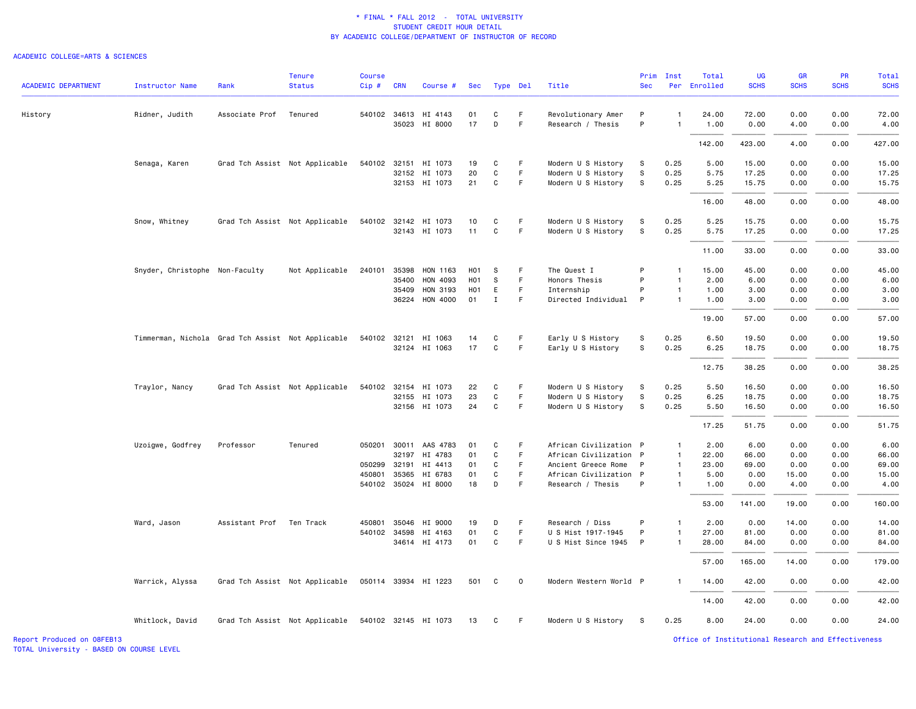#### ACADEMIC COLLEGE=ARTS & SCIENCES

|                            |                                                   |                | <b>Tenure</b>                                       | <b>Course</b> |              |                                 |                  |              |             |                                             | Prim       | Inst                         | Total        | UG           | <b>GR</b>     | <b>PR</b>    | Total         |
|----------------------------|---------------------------------------------------|----------------|-----------------------------------------------------|---------------|--------------|---------------------------------|------------------|--------------|-------------|---------------------------------------------|------------|------------------------------|--------------|--------------|---------------|--------------|---------------|
| <b>ACADEMIC DEPARTMENT</b> | <b>Instructor Name</b>                            | Rank           | <b>Status</b>                                       | $Cip \#$      | <b>CRN</b>   | Course #                        |                  | Sec Type Del |             | Title                                       | <b>Sec</b> |                              | Per Enrolled | <b>SCHS</b>  | <b>SCHS</b>   | <b>SCHS</b>  | <b>SCHS</b>   |
| History                    | Ridner, Judith                                    | Associate Prof | Tenured                                             |               |              | 540102 34613 HI 4143            | 01               | C            | F.          | Revolutionary Amer                          | P          | $\mathbf{1}$                 | 24.00        | 72.00        | 0.00          | 0.00         | 72.00         |
|                            |                                                   |                |                                                     |               | 35023        | HI 8000                         | 17               | D            | F           | Research / Thesis                           | P          | -1                           | 1.00         | 0.00         | 4.00          | 0.00         | 4.00          |
|                            |                                                   |                |                                                     |               |              |                                 |                  |              |             |                                             |            |                              | 142.00       | 423.00       | 4.00          | 0.00         | 427.00        |
|                            | Senaga, Karen                                     |                | Grad Tch Assist Not Applicable                      |               | 540102 32151 | HI 1073                         | 19               | C            | F.          | Modern U S History                          | S          | 0.25                         | 5.00         | 15.00        | 0.00          | 0.00         | 15.00         |
|                            |                                                   |                |                                                     |               |              | 32152 HI 1073                   | 20               | C            | F           | Modern U S History                          | S          | 0.25                         | 5.75         | 17.25        | 0.00          | 0.00         | 17.25         |
|                            |                                                   |                |                                                     |               |              | 32153 HI 1073                   | 21               | C            | F           | Modern U S History                          | S          | 0.25                         | 5.25         | 15.75        | 0.00          | 0.00         | 15.75         |
|                            |                                                   |                |                                                     |               |              |                                 |                  |              |             |                                             |            |                              | 16.00        | 48.00        | 0.00          | 0.00         | 48.00         |
|                            | Snow, Whitney                                     |                | Grad Tch Assist Not Applicable                      |               |              | 540102 32142 HI 1073            | 10               | C            | F.          | Modern U S History                          | S.         | 0.25                         | 5.25         | 15.75        | 0.00          | 0.00         | 15.75         |
|                            |                                                   |                |                                                     |               |              | 32143 HI 1073                   | 11               | C            | F           | Modern U S History                          | S          | 0.25                         | 5.75         | 17.25        | 0.00          | 0.00         | 17.25         |
|                            |                                                   |                |                                                     |               |              |                                 |                  |              |             |                                             |            |                              | 11.00        | 33.00        | 0.00          | 0.00         | 33.00         |
|                            | Snyder, Christophe Non-Faculty                    |                | Not Applicable                                      | 240101        | 35398        | HON 1163                        | H01              | s            | F.          | The Quest I                                 | P          | $\mathbf{1}$                 | 15.00        | 45.00        | 0.00          | 0.00         | 45.00         |
|                            |                                                   |                |                                                     |               | 35400        | HON 4093                        | H <sub>0</sub> 1 | S            | F           | Honors Thesis                               | P          | $\mathbf{1}$                 | 2.00         | 6.00         | 0.00          | 0.00         | 6.00          |
|                            |                                                   |                |                                                     |               | 35409        | HON 3193                        | H01              | E            | F           | Internship                                  | P          | $\mathbf{1}$                 | 1.00         | 3.00         | 0.00          | 0.00         | 3.00          |
|                            |                                                   |                |                                                     |               |              | 36224 HON 4000                  | 01               | $\mathbf{I}$ | F.          | Directed Individual                         | P          | $\mathbf{1}$                 | 1.00         | 3.00         | 0.00          | 0.00         | 3.00          |
|                            |                                                   |                |                                                     |               |              |                                 |                  |              |             |                                             |            |                              | 19.00        | 57.00        | 0.00          | 0.00         | 57.00         |
|                            | Timmerman, Nichola Grad Tch Assist Not Applicable |                |                                                     |               |              | 540102 32121 HI 1063            | 14               | C            | F.          | Early U S History                           | S          | 0.25                         | 6.50         | 19.50        | 0.00          | 0.00         | 19.50         |
|                            |                                                   |                |                                                     |               |              | 32124 HI 1063                   | 17               | $\mathbf C$  | F           | Early U S History                           | s          | 0.25                         | 6.25         | 18.75        | 0.00          | 0.00         | 18.75         |
|                            |                                                   |                |                                                     |               |              |                                 |                  |              |             |                                             |            |                              | 12.75        | 38.25        | 0.00          | 0.00         | 38.25         |
|                            | Traylor, Nancy                                    |                | Grad Tch Assist Not Applicable                      |               | 540102 32154 | HI 1073                         | 22               | C            | F.          | Modern U S History                          | s          | 0.25                         | 5.50         | 16.50        | 0.00          | 0.00         | 16.50         |
|                            |                                                   |                |                                                     |               |              | 32155 HI 1073                   | 23               | $\mathtt{C}$ | F           | Modern U S History                          | s          | 0.25                         | 6.25         | 18.75        | 0.00          | 0.00         | 18.75         |
|                            |                                                   |                |                                                     |               |              | 32156 HI 1073                   | 24               | C            | F           | Modern U S History                          | s.         | 0.25                         | 5.50         | 16.50        | 0.00          | 0.00         | 16.50         |
|                            |                                                   |                |                                                     |               |              |                                 |                  |              |             |                                             |            |                              | 17.25        | 51.75        | 0.00          | 0.00         | 51.75         |
|                            | Uzoigwe, Godfrey                                  | Professor      | Tenured                                             |               | 050201 30011 | AAS 4783                        | 01               | C            | F           | African Civilization P                      |            | $\mathbf{1}$                 | 2.00         | 6.00         | 0.00          | 0.00         | 6.00          |
|                            |                                                   |                |                                                     |               | 32197        | HI 4783                         | 01               | C            | F.          | African Civilization P                      |            | $\overline{1}$               | 22.00        | 66.00        | 0.00          | 0.00         | 66.00         |
|                            |                                                   |                |                                                     | 050299        | 32191        | HI 4413                         | 01               | C            | F.          | Ancient Greece Rome                         | P          | $\overline{1}$               | 23.00        | 69.00        | 0.00          | 0.00         | 69.00         |
|                            |                                                   |                |                                                     | 450801        | 35365        | HI 6783<br>540102 35024 HI 8000 | 01<br>18         | C<br>D       | F<br>F.     | African Civilization P<br>Research / Thesis | P          | $\mathbf{1}$<br>$\mathbf{1}$ | 5.00<br>1.00 | 0.00<br>0.00 | 15.00<br>4.00 | 0.00<br>0.00 | 15.00<br>4.00 |
|                            |                                                   |                |                                                     |               |              |                                 |                  |              |             |                                             |            |                              |              |              |               |              |               |
|                            |                                                   |                |                                                     |               |              |                                 |                  |              |             |                                             |            |                              | 53.00        | 141.00       | 19.00         | 0.00         | 160.00        |
|                            | Ward, Jason                                       | Assistant Prof | Ten Track                                           | 450801        | 35046        | HI 9000                         | 19               | D            | F           | Research / Diss                             | P          | $\mathbf{1}$                 | 2.00         | 0.00         | 14.00         | 0.00         | 14.00         |
|                            |                                                   |                |                                                     |               | 540102 34598 | HI 4163                         | 01               | C            | F.          | U S Hist 1917-1945                          | P          | $\mathbf{1}$                 | 27.00        | 81.00        | 0.00          | 0.00         | 81.00         |
|                            |                                                   |                |                                                     |               |              | 34614 HI 4173                   | 01               | C            | F           | U S Hist Since 1945 P                       |            | $\mathbf{1}$                 | 28.00        | 84.00        | 0.00          | 0.00         | 84.00         |
|                            |                                                   |                |                                                     |               |              |                                 |                  |              |             |                                             |            |                              | 57.00        | 165.00       | 14.00         | 0.00         | 179.00        |
|                            | Warrick, Alyssa                                   |                | Grad Tch Assist Not Applicable                      |               |              | 050114 33934 HI 1223            | 501              | C.           | $\mathbf 0$ | Modern Western World P                      |            | -1                           | 14.00        | 42.00        | 0.00          | 0.00         | 42.00         |
|                            |                                                   |                |                                                     |               |              |                                 |                  |              |             |                                             |            |                              | 14.00        | 42.00        | 0.00          | 0.00         | 42.00         |
|                            | Whitlock, David                                   |                | Grad Tch Assist Not Applicable 540102 32145 HI 1073 |               |              |                                 | 13               | C            | -F          | Modern U S History                          | S.         | 0.25                         | 8.00         | 24.00        | 0.00          | 0.00         | 24.00         |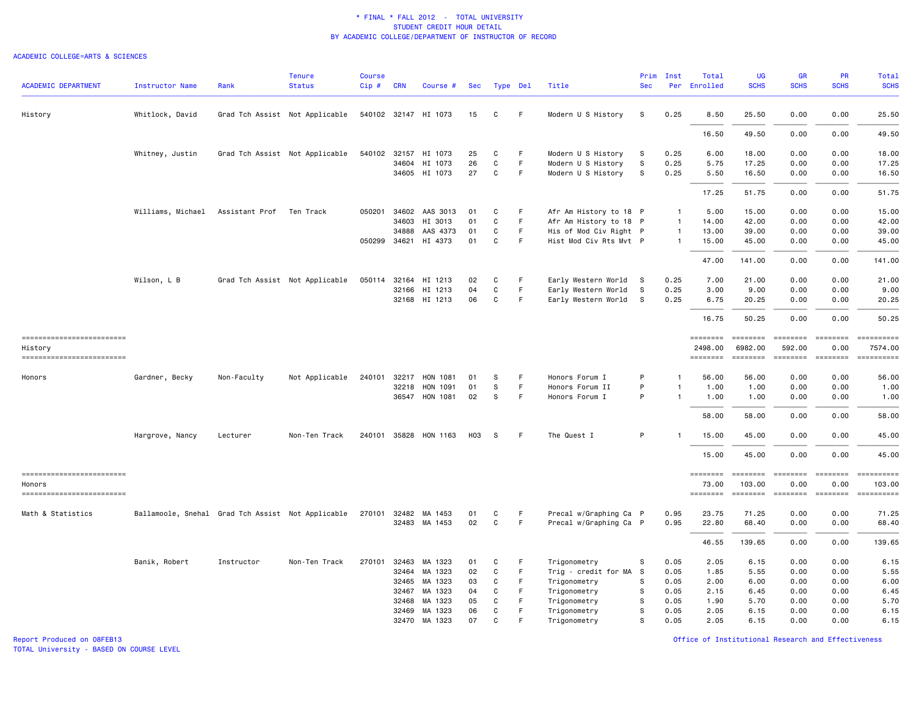#### ACADEMIC COLLEGE=ARTS & SCIENCES

| <b>ACADEMIC DEPARTMENT</b>             | <b>Instructor Name</b>                            | Rank           | <b>Tenure</b><br><b>Status</b> | <b>Course</b><br>Cip# | <b>CRN</b> | Course #                       | Sec             |                   | Type Del | Title                                    | Prim<br><b>Sec</b> | Inst<br>Per    | Total<br>Enrolled        | <b>UG</b><br><b>SCHS</b>                                                                                                                                                                                                                                                                                                                                                                                                                                                                         | <b>GR</b><br><b>SCHS</b>                                                                                                                                                                                                                                                                                                                                                                                                                                                                       | PR<br><b>SCHS</b>                                                                                                                                                                                                                                                                                                                                                                                                                                                                              | Total<br><b>SCHS</b>                                                                                                                                                                                                                                                                                                                                                                                                                                                                   |
|----------------------------------------|---------------------------------------------------|----------------|--------------------------------|-----------------------|------------|--------------------------------|-----------------|-------------------|----------|------------------------------------------|--------------------|----------------|--------------------------|--------------------------------------------------------------------------------------------------------------------------------------------------------------------------------------------------------------------------------------------------------------------------------------------------------------------------------------------------------------------------------------------------------------------------------------------------------------------------------------------------|------------------------------------------------------------------------------------------------------------------------------------------------------------------------------------------------------------------------------------------------------------------------------------------------------------------------------------------------------------------------------------------------------------------------------------------------------------------------------------------------|------------------------------------------------------------------------------------------------------------------------------------------------------------------------------------------------------------------------------------------------------------------------------------------------------------------------------------------------------------------------------------------------------------------------------------------------------------------------------------------------|----------------------------------------------------------------------------------------------------------------------------------------------------------------------------------------------------------------------------------------------------------------------------------------------------------------------------------------------------------------------------------------------------------------------------------------------------------------------------------------|
| History                                | Whitlock, David                                   |                | Grad Tch Assist Not Applicable |                       |            | 540102 32147 HI 1073           | 15              | C                 | F        | Modern U S History                       | s                  | 0.25           | 8.50                     | 25.50                                                                                                                                                                                                                                                                                                                                                                                                                                                                                            | 0.00                                                                                                                                                                                                                                                                                                                                                                                                                                                                                           | 0.00                                                                                                                                                                                                                                                                                                                                                                                                                                                                                           | 25.50                                                                                                                                                                                                                                                                                                                                                                                                                                                                                  |
|                                        |                                                   |                |                                |                       |            |                                |                 |                   |          |                                          |                    |                | 16.50                    | 49.50                                                                                                                                                                                                                                                                                                                                                                                                                                                                                            | 0.00                                                                                                                                                                                                                                                                                                                                                                                                                                                                                           | 0.00                                                                                                                                                                                                                                                                                                                                                                                                                                                                                           | 49.50                                                                                                                                                                                                                                                                                                                                                                                                                                                                                  |
|                                        | Whitney, Justin                                   |                | Grad Tch Assist Not Applicable |                       |            | 540102 32157 HI 1073           | 25              | C                 | F        | Modern U S History                       | S                  | 0.25           | 6.00                     | 18.00                                                                                                                                                                                                                                                                                                                                                                                                                                                                                            | 0.00                                                                                                                                                                                                                                                                                                                                                                                                                                                                                           | 0.00                                                                                                                                                                                                                                                                                                                                                                                                                                                                                           | 18.00                                                                                                                                                                                                                                                                                                                                                                                                                                                                                  |
|                                        |                                                   |                |                                |                       |            | 34604 HI 1073<br>34605 HI 1073 | 26<br>27        | $\mathsf{C}$<br>C | F.<br>F. | Modern U S History<br>Modern U S History | s<br>S             | 0.25<br>0.25   | 5.75<br>5.50             | 17.25<br>16.50                                                                                                                                                                                                                                                                                                                                                                                                                                                                                   | 0.00<br>0.00                                                                                                                                                                                                                                                                                                                                                                                                                                                                                   | 0.00<br>0.00                                                                                                                                                                                                                                                                                                                                                                                                                                                                                   | 17.25<br>16.50                                                                                                                                                                                                                                                                                                                                                                                                                                                                         |
|                                        |                                                   |                |                                |                       |            |                                |                 |                   |          |                                          |                    |                | 17.25                    | 51.75                                                                                                                                                                                                                                                                                                                                                                                                                                                                                            | 0.00                                                                                                                                                                                                                                                                                                                                                                                                                                                                                           | 0.00                                                                                                                                                                                                                                                                                                                                                                                                                                                                                           | 51.75                                                                                                                                                                                                                                                                                                                                                                                                                                                                                  |
|                                        | Williams, Michael                                 | Assistant Prof | Ten Track                      | 050201                |            | 34602 AAS 3013                 | 01              | C                 | F        | Afr Am History to 18 P                   |                    | -1             | 5.00                     | 15.00                                                                                                                                                                                                                                                                                                                                                                                                                                                                                            | 0.00                                                                                                                                                                                                                                                                                                                                                                                                                                                                                           | 0.00                                                                                                                                                                                                                                                                                                                                                                                                                                                                                           | 15.00                                                                                                                                                                                                                                                                                                                                                                                                                                                                                  |
|                                        |                                                   |                |                                |                       | 34603      | HI 3013                        | 01              | C                 | F.       | Afr Am History to 18 P                   |                    | $\overline{1}$ | 14.00                    | 42.00                                                                                                                                                                                                                                                                                                                                                                                                                                                                                            | 0.00                                                                                                                                                                                                                                                                                                                                                                                                                                                                                           | 0.00                                                                                                                                                                                                                                                                                                                                                                                                                                                                                           | 42.00                                                                                                                                                                                                                                                                                                                                                                                                                                                                                  |
|                                        |                                                   |                |                                |                       | 34888      | AAS 4373                       | 01              | $\mathbf C$       | F.       | His of Mod Civ Right P                   |                    | $\overline{1}$ | 13.00                    | 39.00                                                                                                                                                                                                                                                                                                                                                                                                                                                                                            | 0.00                                                                                                                                                                                                                                                                                                                                                                                                                                                                                           | 0.00                                                                                                                                                                                                                                                                                                                                                                                                                                                                                           | 39.00                                                                                                                                                                                                                                                                                                                                                                                                                                                                                  |
|                                        |                                                   |                |                                |                       |            | 050299 34621 HI 4373           | 01              | C                 | F.       | Hist Mod Civ Rts Mvt P                   |                    | $\overline{1}$ | 15.00                    | 45.00                                                                                                                                                                                                                                                                                                                                                                                                                                                                                            | 0.00                                                                                                                                                                                                                                                                                                                                                                                                                                                                                           | 0.00                                                                                                                                                                                                                                                                                                                                                                                                                                                                                           | 45.00                                                                                                                                                                                                                                                                                                                                                                                                                                                                                  |
|                                        |                                                   |                |                                |                       |            |                                |                 |                   |          |                                          |                    |                | 47.00                    | 141.00                                                                                                                                                                                                                                                                                                                                                                                                                                                                                           | 0.00                                                                                                                                                                                                                                                                                                                                                                                                                                                                                           | 0.00                                                                                                                                                                                                                                                                                                                                                                                                                                                                                           | 141.00                                                                                                                                                                                                                                                                                                                                                                                                                                                                                 |
|                                        | Wilson, L B                                       |                | Grad Tch Assist Not Applicable |                       |            | 050114 32164 HI 1213           | 02              | C                 | F        | Early Western World                      | -S                 | 0.25           | 7.00                     | 21.00                                                                                                                                                                                                                                                                                                                                                                                                                                                                                            | 0.00                                                                                                                                                                                                                                                                                                                                                                                                                                                                                           | 0.00                                                                                                                                                                                                                                                                                                                                                                                                                                                                                           | 21.00                                                                                                                                                                                                                                                                                                                                                                                                                                                                                  |
|                                        |                                                   |                |                                |                       |            | 32166 HI 1213                  | 04              | C                 | F.       | Early Western World                      | s.                 | 0.25           | 3.00                     | 9.00                                                                                                                                                                                                                                                                                                                                                                                                                                                                                             | 0.00                                                                                                                                                                                                                                                                                                                                                                                                                                                                                           | 0.00                                                                                                                                                                                                                                                                                                                                                                                                                                                                                           | 9.00                                                                                                                                                                                                                                                                                                                                                                                                                                                                                   |
|                                        |                                                   |                |                                |                       |            | 32168 HI 1213                  | 06              | C                 | F.       | Early Western World S                    |                    | 0.25           | 6.75                     | 20.25                                                                                                                                                                                                                                                                                                                                                                                                                                                                                            | 0.00                                                                                                                                                                                                                                                                                                                                                                                                                                                                                           | 0.00                                                                                                                                                                                                                                                                                                                                                                                                                                                                                           | 20.25                                                                                                                                                                                                                                                                                                                                                                                                                                                                                  |
|                                        |                                                   |                |                                |                       |            |                                |                 |                   |          |                                          |                    |                | 16.75                    | 50.25                                                                                                                                                                                                                                                                                                                                                                                                                                                                                            | 0.00                                                                                                                                                                                                                                                                                                                                                                                                                                                                                           | 0.00                                                                                                                                                                                                                                                                                                                                                                                                                                                                                           | 50.25                                                                                                                                                                                                                                                                                                                                                                                                                                                                                  |
| ===========================<br>History |                                                   |                |                                |                       |            |                                |                 |                   |          |                                          |                    |                | 2498.00                  | ========<br>6982.00                                                                                                                                                                                                                                                                                                                                                                                                                                                                              | eeeeeee<br>592.00                                                                                                                                                                                                                                                                                                                                                                                                                                                                              | essesses<br>0.00                                                                                                                                                                                                                                                                                                                                                                                                                                                                               | <b>CONSIDERS</b><br>7574.00                                                                                                                                                                                                                                                                                                                                                                                                                                                            |
| -------------------------              |                                                   |                |                                |                       |            |                                |                 |                   |          |                                          |                    |                | ========                 | ========                                                                                                                                                                                                                                                                                                                                                                                                                                                                                         | ========                                                                                                                                                                                                                                                                                                                                                                                                                                                                                       |                                                                                                                                                                                                                                                                                                                                                                                                                                                                                                | $\begin{array}{cccccccccc} \multicolumn{2}{c}{} & \multicolumn{2}{c}{} & \multicolumn{2}{c}{} & \multicolumn{2}{c}{} & \multicolumn{2}{c}{} & \multicolumn{2}{c}{} & \multicolumn{2}{c}{} & \multicolumn{2}{c}{} & \multicolumn{2}{c}{} & \multicolumn{2}{c}{} & \multicolumn{2}{c}{} & \multicolumn{2}{c}{} & \multicolumn{2}{c}{} & \multicolumn{2}{c}{} & \multicolumn{2}{c}{} & \multicolumn{2}{c}{} & \multicolumn{2}{c}{} & \multicolumn{2}{c}{} & \multicolumn{2}{c}{} & \mult$ |
| Honors                                 | Gardner, Becky                                    | Non-Faculty    | Not Applicable                 |                       |            | 240101 32217 HON 1081          | 01              | -S                | F        | Honors Forum I                           | P                  | -1             | 56.00                    | 56.00                                                                                                                                                                                                                                                                                                                                                                                                                                                                                            | 0.00                                                                                                                                                                                                                                                                                                                                                                                                                                                                                           | 0.00                                                                                                                                                                                                                                                                                                                                                                                                                                                                                           | 56.00                                                                                                                                                                                                                                                                                                                                                                                                                                                                                  |
|                                        |                                                   |                |                                |                       | 32218      | HON 1091                       | 01              | S                 | F.       | Honors Forum II                          | P                  | $\overline{1}$ | 1.00                     | 1.00                                                                                                                                                                                                                                                                                                                                                                                                                                                                                             | 0.00                                                                                                                                                                                                                                                                                                                                                                                                                                                                                           | 0.00                                                                                                                                                                                                                                                                                                                                                                                                                                                                                           | 1.00                                                                                                                                                                                                                                                                                                                                                                                                                                                                                   |
|                                        |                                                   |                |                                |                       |            | 36547 HON 1081                 | 02              | S                 | F.       | Honors Forum I                           | P                  | $\mathbf{1}$   | 1.00                     | 1.00                                                                                                                                                                                                                                                                                                                                                                                                                                                                                             | 0.00                                                                                                                                                                                                                                                                                                                                                                                                                                                                                           | 0.00                                                                                                                                                                                                                                                                                                                                                                                                                                                                                           | 1.00                                                                                                                                                                                                                                                                                                                                                                                                                                                                                   |
|                                        |                                                   |                |                                |                       |            |                                |                 |                   |          |                                          |                    |                | 58.00                    | 58.00                                                                                                                                                                                                                                                                                                                                                                                                                                                                                            | 0.00                                                                                                                                                                                                                                                                                                                                                                                                                                                                                           | 0.00                                                                                                                                                                                                                                                                                                                                                                                                                                                                                           | 58.00                                                                                                                                                                                                                                                                                                                                                                                                                                                                                  |
|                                        | Hargrove, Nancy                                   | Lecturer       | Non-Ten Track                  |                       |            | 240101 35828 HON 1163          | H <sub>03</sub> | -S                | F.       | The Quest I                              | P                  | $\overline{1}$ | 15.00                    | 45.00                                                                                                                                                                                                                                                                                                                                                                                                                                                                                            | 0.00                                                                                                                                                                                                                                                                                                                                                                                                                                                                                           | 0.00                                                                                                                                                                                                                                                                                                                                                                                                                                                                                           | 45.00                                                                                                                                                                                                                                                                                                                                                                                                                                                                                  |
|                                        |                                                   |                |                                |                       |            |                                |                 |                   |          |                                          |                    |                | 15.00                    | 45.00                                                                                                                                                                                                                                                                                                                                                                                                                                                                                            | 0.00                                                                                                                                                                                                                                                                                                                                                                                                                                                                                           | 0.00                                                                                                                                                                                                                                                                                                                                                                                                                                                                                           | 45.00                                                                                                                                                                                                                                                                                                                                                                                                                                                                                  |
| ------------------------               |                                                   |                |                                |                       |            |                                |                 |                   |          |                                          |                    |                | <b>ESSESSES</b>          | ========                                                                                                                                                                                                                                                                                                                                                                                                                                                                                         | $\qquad \qquad \equiv \equiv \equiv \equiv \equiv \equiv \equiv \equiv$                                                                                                                                                                                                                                                                                                                                                                                                                        | ========                                                                                                                                                                                                                                                                                                                                                                                                                                                                                       |                                                                                                                                                                                                                                                                                                                                                                                                                                                                                        |
| Honors<br>==========================   |                                                   |                |                                |                       |            |                                |                 |                   |          |                                          |                    |                | 73.00<br>$= 1.122222222$ | 103.00<br>$\begin{array}{cccccccccc} \multicolumn{2}{c}{} & \multicolumn{2}{c}{} & \multicolumn{2}{c}{} & \multicolumn{2}{c}{} & \multicolumn{2}{c}{} & \multicolumn{2}{c}{} & \multicolumn{2}{c}{} & \multicolumn{2}{c}{} & \multicolumn{2}{c}{} & \multicolumn{2}{c}{} & \multicolumn{2}{c}{} & \multicolumn{2}{c}{} & \multicolumn{2}{c}{} & \multicolumn{2}{c}{} & \multicolumn{2}{c}{} & \multicolumn{2}{c}{} & \multicolumn{2}{c}{} & \multicolumn{2}{c}{} & \multicolumn{2}{c}{} & \mult$ | 0.00<br>$\begin{array}{cccccccccc} \multicolumn{2}{c}{} & \multicolumn{2}{c}{} & \multicolumn{2}{c}{} & \multicolumn{2}{c}{} & \multicolumn{2}{c}{} & \multicolumn{2}{c}{} & \multicolumn{2}{c}{} & \multicolumn{2}{c}{} & \multicolumn{2}{c}{} & \multicolumn{2}{c}{} & \multicolumn{2}{c}{} & \multicolumn{2}{c}{} & \multicolumn{2}{c}{} & \multicolumn{2}{c}{} & \multicolumn{2}{c}{} & \multicolumn{2}{c}{} & \multicolumn{2}{c}{} & \multicolumn{2}{c}{} & \multicolumn{2}{c}{} & \mult$ | 0.00<br>$\begin{array}{cccccccccc} \multicolumn{2}{c}{} & \multicolumn{2}{c}{} & \multicolumn{2}{c}{} & \multicolumn{2}{c}{} & \multicolumn{2}{c}{} & \multicolumn{2}{c}{} & \multicolumn{2}{c}{} & \multicolumn{2}{c}{} & \multicolumn{2}{c}{} & \multicolumn{2}{c}{} & \multicolumn{2}{c}{} & \multicolumn{2}{c}{} & \multicolumn{2}{c}{} & \multicolumn{2}{c}{} & \multicolumn{2}{c}{} & \multicolumn{2}{c}{} & \multicolumn{2}{c}{} & \multicolumn{2}{c}{} & \multicolumn{2}{c}{} & \mult$ | 103.00<br>==========                                                                                                                                                                                                                                                                                                                                                                                                                                                                   |
| Math & Statistics                      | Ballamoole, Snehal Grad Tch Assist Not Applicable |                |                                |                       |            | 270101 32482 MA 1453           | 01              | C                 | F        | Precal w/Graphing Ca P                   |                    | 0.95           | 23.75                    | 71.25                                                                                                                                                                                                                                                                                                                                                                                                                                                                                            | 0.00                                                                                                                                                                                                                                                                                                                                                                                                                                                                                           | 0.00                                                                                                                                                                                                                                                                                                                                                                                                                                                                                           | 71.25                                                                                                                                                                                                                                                                                                                                                                                                                                                                                  |
|                                        |                                                   |                |                                |                       |            | 32483 MA 1453                  | 02              | $\mathbf{C}$      | F.       | Precal w/Graphing Ca P                   |                    | 0.95           | 22.80                    | 68.40                                                                                                                                                                                                                                                                                                                                                                                                                                                                                            | 0.00                                                                                                                                                                                                                                                                                                                                                                                                                                                                                           | 0.00                                                                                                                                                                                                                                                                                                                                                                                                                                                                                           | 68.40                                                                                                                                                                                                                                                                                                                                                                                                                                                                                  |
|                                        |                                                   |                |                                |                       |            |                                |                 |                   |          |                                          |                    |                | 46.55                    | 139.65                                                                                                                                                                                                                                                                                                                                                                                                                                                                                           | 0.00                                                                                                                                                                                                                                                                                                                                                                                                                                                                                           | 0.00                                                                                                                                                                                                                                                                                                                                                                                                                                                                                           | 139.65                                                                                                                                                                                                                                                                                                                                                                                                                                                                                 |
|                                        | Banik, Robert                                     | Instructor     | Non-Ten Track                  | 270101 32463          |            | MA 1323                        | 01              | C                 | F        | Trigonometry                             | S                  | 0.05           | 2.05                     | 6.15                                                                                                                                                                                                                                                                                                                                                                                                                                                                                             | 0.00                                                                                                                                                                                                                                                                                                                                                                                                                                                                                           | 0.00                                                                                                                                                                                                                                                                                                                                                                                                                                                                                           | 6.15                                                                                                                                                                                                                                                                                                                                                                                                                                                                                   |
|                                        |                                                   |                |                                |                       |            | 32464 MA 1323                  | 02              | C                 | F.       | Trig - credit for MA                     | S.                 | 0.05           | 1.85                     | 5.55                                                                                                                                                                                                                                                                                                                                                                                                                                                                                             | 0.00                                                                                                                                                                                                                                                                                                                                                                                                                                                                                           | 0.00                                                                                                                                                                                                                                                                                                                                                                                                                                                                                           | 5.55                                                                                                                                                                                                                                                                                                                                                                                                                                                                                   |
|                                        |                                                   |                |                                |                       | 32465      | MA 1323                        | 03              | C                 | F        | Trigonometry                             | s                  | 0.05           | 2.00                     | 6.00                                                                                                                                                                                                                                                                                                                                                                                                                                                                                             | 0.00                                                                                                                                                                                                                                                                                                                                                                                                                                                                                           | 0.00                                                                                                                                                                                                                                                                                                                                                                                                                                                                                           | 6.00                                                                                                                                                                                                                                                                                                                                                                                                                                                                                   |
|                                        |                                                   |                |                                |                       | 32467      | MA 1323                        | 04              | C                 | F        | Trigonometry                             | s                  | 0.05           | 2.15                     | 6.45                                                                                                                                                                                                                                                                                                                                                                                                                                                                                             | 0.00                                                                                                                                                                                                                                                                                                                                                                                                                                                                                           | 0.00                                                                                                                                                                                                                                                                                                                                                                                                                                                                                           | 6.45                                                                                                                                                                                                                                                                                                                                                                                                                                                                                   |
|                                        |                                                   |                |                                |                       | 32468      | MA 1323                        | 05              | C                 | F.       | Trigonometry                             | s                  | 0.05           | 1.90                     | 5.70                                                                                                                                                                                                                                                                                                                                                                                                                                                                                             | 0.00                                                                                                                                                                                                                                                                                                                                                                                                                                                                                           | 0.00                                                                                                                                                                                                                                                                                                                                                                                                                                                                                           | 5.70                                                                                                                                                                                                                                                                                                                                                                                                                                                                                   |
|                                        |                                                   |                |                                |                       | 32469      | MA 1323                        | 06              | C                 | F        | Trigonometry                             | S                  | 0.05           | 2.05                     | 6.15                                                                                                                                                                                                                                                                                                                                                                                                                                                                                             | 0.00                                                                                                                                                                                                                                                                                                                                                                                                                                                                                           | 0.00                                                                                                                                                                                                                                                                                                                                                                                                                                                                                           | 6.15                                                                                                                                                                                                                                                                                                                                                                                                                                                                                   |
|                                        |                                                   |                |                                |                       |            | 32470 MA 1323                  | 07              | $\mathsf{C}$      | F        | Trigonometry                             | s                  | 0.05           | 2.05                     | 6.15                                                                                                                                                                                                                                                                                                                                                                                                                                                                                             | 0.00                                                                                                                                                                                                                                                                                                                                                                                                                                                                                           | 0.00                                                                                                                                                                                                                                                                                                                                                                                                                                                                                           | 6.15                                                                                                                                                                                                                                                                                                                                                                                                                                                                                   |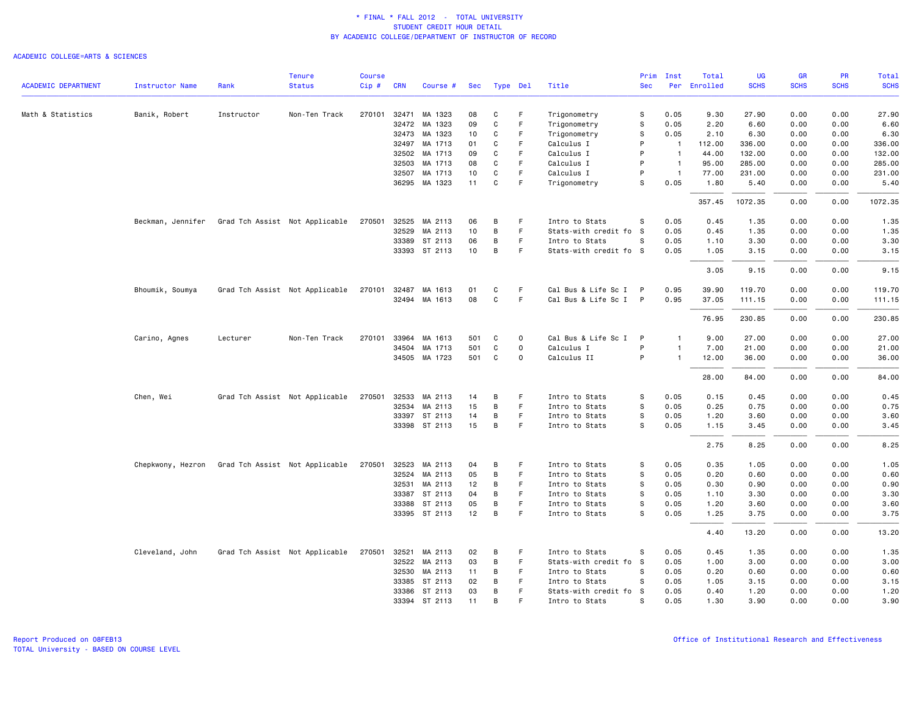|                            |                        |            | <b>Tenure</b>                  | <b>Course</b> |              |               |     |               |              |                        | Prim         | Inst           | Total        | UG          | <b>GR</b>   | <b>PR</b>   | Total       |
|----------------------------|------------------------|------------|--------------------------------|---------------|--------------|---------------|-----|---------------|--------------|------------------------|--------------|----------------|--------------|-------------|-------------|-------------|-------------|
| <b>ACADEMIC DEPARTMENT</b> | <b>Instructor Name</b> | Rank       | <b>Status</b>                  | Cip#          | <b>CRN</b>   | Course #      | Sec | Type Del      |              | Title                  | <b>Sec</b>   |                | Per Enrolled | <b>SCHS</b> | <b>SCHS</b> | <b>SCHS</b> | <b>SCHS</b> |
| Math & Statistics          | Banik, Robert          | Instructor | Non-Ten Track                  |               | 270101 32471 | MA 1323       | 08  | C             | F            | Trigonometry           | s            | 0.05           | 9.30         | 27.90       | 0.00        | 0.00        | 27.90       |
|                            |                        |            |                                |               | 32472        | MA 1323       | 09  | C             | F            | Trigonometry           | s            | 0.05           | 2.20         | 6.60        | 0.00        | 0.00        | 6.60        |
|                            |                        |            |                                |               | 32473        | MA 1323       | 10  | C             | F            | Trigonometry           | s            | 0.05           | 2.10         | 6.30        | 0.00        | 0.00        | 6.30        |
|                            |                        |            |                                |               | 32497        | MA 1713       | 01  | C             | F            | Calculus I             | P            | $\overline{1}$ | 112.00       | 336.00      | 0.00        | 0.00        | 336.00      |
|                            |                        |            |                                |               | 32502        | MA 1713       | 09  | $\mathbf C$   | $\mathsf F$  | Calculus I             | P            | $\overline{1}$ | 44.00        | 132.00      | 0.00        | 0.00        | 132.00      |
|                            |                        |            |                                |               | 32503        | MA 1713       | 08  | C             | F.           | Calculus I             | P            | $\overline{1}$ | 95.00        | 285.00      | 0.00        | 0.00        | 285.00      |
|                            |                        |            |                                |               | 32507        | MA 1713       | 10  | C             | F            | Calculus I             | P            | $\overline{1}$ | 77.00        | 231.00      | 0.00        | 0.00        | 231.00      |
|                            |                        |            |                                |               | 36295        | MA 1323       | 11  | $\mathbf C$   | $\mathsf F$  | Trigonometry           | s            | 0.05           | 1.80         | 5.40        | 0.00        | 0.00        | 5.40        |
|                            |                        |            |                                |               |              |               |     |               |              |                        |              |                | 357.45       | 1072.35     | 0.00        | 0.00        | 1072.35     |
|                            | Beckman, Jennifer      |            | Grad Tch Assist Not Applicable | 270501        | 32525        | MA 2113       | 06  | В             | F.           | Intro to Stats         | s            | 0.05           | 0.45         | 1.35        | 0.00        | 0.00        | 1.35        |
|                            |                        |            |                                |               | 32529        | MA 2113       | 10  | В             | F.           | Stats-with credit fo   | - S          | 0.05           | 0.45         | 1.35        | 0.00        | 0.00        | 1.35        |
|                            |                        |            |                                |               | 33389        | ST 2113       | 06  | В             | F            | Intro to Stats         | s            | 0.05           | 1.10         | 3.30        | 0.00        | 0.00        | 3.30        |
|                            |                        |            |                                |               |              | 33393 ST 2113 | 10  | $\, {\bf B}$  | F            | Stats-with credit fo S |              | 0.05           | 1.05         | 3.15        | 0.00        | 0.00        | 3.15        |
|                            |                        |            |                                |               |              |               |     |               |              |                        |              |                | 3.05         | 9.15        | 0.00        | 0.00        | 9.15        |
|                            | Bhoumik, Soumya        |            | Grad Tch Assist Not Applicable | 270101        | 32487        | MA 1613       | 01  | C             | F.           | Cal Bus & Life Sc I P  |              | 0.95           | 39.90        | 119.70      | 0.00        | 0.00        | 119.70      |
|                            |                        |            |                                |               |              | 32494 MA 1613 | 08  | C             | F            | Cal Bus & Life Sc I P  |              | 0.95           | 37.05        | 111.15      | 0.00        | 0.00        | 111.15      |
|                            |                        |            |                                |               |              |               |     |               |              |                        |              |                | 76.95        | 230.85      | 0.00        | 0.00        | 230.85      |
|                            | Carino, Agnes          | Lecturer   | Non-Ten Track                  | 270101        | 33964        | MA 1613       | 501 | C             | $\Omega$     | Cal Bus & Life Sc I    | $\mathsf{P}$ |                | 9.00         | 27.00       | 0.00        | 0.00        | 27.00       |
|                            |                        |            |                                |               | 34504        | MA 1713       | 501 | C             | $\mathsf{o}$ | Calculus I             | P            | $\mathbf{1}$   | 7.00         | 21.00       | 0.00        | 0.00        | 21.00       |
|                            |                        |            |                                |               |              | 34505 MA 1723 | 501 | C             | $\Omega$     | Calculus II            | P            | $\overline{1}$ | 12.00        | 36.00       | 0.00        | 0.00        | 36.00       |
|                            |                        |            |                                |               |              |               |     |               |              |                        |              |                | 28.00        | 84.00       | 0.00        | 0.00        | 84.00       |
|                            | Chen, Wei              |            | Grad Tch Assist Not Applicable | 270501        | 32533        | MA 2113       | 14  | В             | F            | Intro to Stats         | s            | 0.05           | 0.15         | 0.45        | 0.00        | 0.00        | 0.45        |
|                            |                        |            |                                |               |              | 32534 MA 2113 | 15  | В             | F            | Intro to Stats         | s            | 0.05           | 0.25         | 0.75        | 0.00        | 0.00        | 0.75        |
|                            |                        |            |                                |               |              | 33397 ST 2113 | 14  | В             | F            | Intro to Stats         | s            | 0.05           | 1.20         | 3.60        | 0.00        | 0.00        | 3.60        |
|                            |                        |            |                                |               |              | 33398 ST 2113 | 15  | В             | F            | Intro to Stats         | s            | 0.05           | 1.15         | 3.45        | 0.00        | 0.00        | 3.45        |
|                            |                        |            |                                |               |              |               |     |               |              |                        |              |                | 2.75         | 8.25        | 0.00        | 0.00        | 8.25        |
|                            | Chepkwony, Hezron      |            | Grad Tch Assist Not Applicable |               | 270501 32523 | MA 2113       | 04  | B             | F            | Intro to Stats         | s            | 0.05           | 0.35         | 1.05        | 0.00        | 0.00        | 1.05        |
|                            |                        |            |                                |               | 32524        | MA 2113       | 05  | В             | F            | Intro to Stats         | s            | 0.05           | 0.20         | 0.60        | 0.00        | 0.00        | 0.60        |
|                            |                        |            |                                |               | 32531        | MA 2113       | 12  | В             | F            | Intro to Stats         | s            | 0.05           | 0.30         | 0.90        | 0.00        | 0.00        | 0.90        |
|                            |                        |            |                                |               |              | 33387 ST 2113 | 04  | В             | $\mathsf F$  | Intro to Stats         | s            | 0.05           | 1.10         | 3.30        | 0.00        | 0.00        | 3.30        |
|                            |                        |            |                                |               | 33388        | ST 2113       | 05  | В             | F            | Intro to Stats         | s            | 0.05           | 1.20         | 3.60        | 0.00        | 0.00        | 3.60        |
|                            |                        |            |                                |               |              | 33395 ST 2113 | 12  | В             | F.           | Intro to Stats         | s            | 0.05           | 1.25         | 3.75        | 0.00        | 0.00        | 3.75        |
|                            |                        |            |                                |               |              |               |     |               |              |                        |              |                | 4.40         | 13.20       | 0.00        | 0.00        | 13.20       |
|                            | Cleveland, John        |            | Grad Tch Assist Not Applicable | 270501        |              | 32521 MA 2113 | 02  | В             | -F           | Intro to Stats         | s            | 0.05           | 0.45         | 1.35        | 0.00        | 0.00        | 1.35        |
|                            |                        |            |                                |               | 32522        | MA 2113       | 03  | В             | F            | Stats-with credit fo   | - S          | 0.05           | 1.00         | 3.00        | 0.00        | 0.00        | 3.00        |
|                            |                        |            |                                |               | 32530        | MA 2113       | 11  | B             | F            | Intro to Stats         | s            | 0.05           | 0.20         | 0.60        | 0.00        | 0.00        | 0.60        |
|                            |                        |            |                                |               |              | 33385 ST 2113 | 02  | В             | F.           | Intro to Stats         | s            | 0.05           | 1.05         | 3.15        | 0.00        | 0.00        | 3.15        |
|                            |                        |            |                                |               | 33386        | ST 2113       | 03  | В<br><b>B</b> | F<br>E       | Stats-with credit fo   | -S<br>S      | 0.05           | 0.40         | 1.20        | 0.00        | 0.00        | 1.20        |
|                            |                        |            |                                |               |              | 33394 ST 2113 | 11  |               |              | Intro to Stats         |              | 0.05           | 1.30         | 3.90        | 0.00        | 0.00        | 3.90        |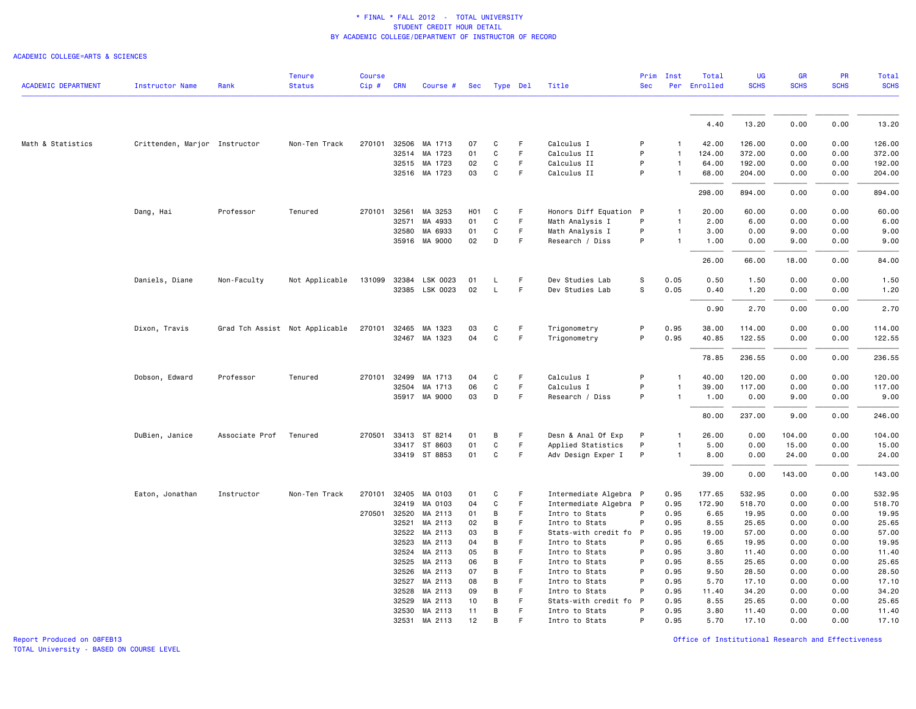### ACADEMIC COLLEGE=ARTS & SCIENCES

|                            |                               |                | <b>Tenure</b>                  | <b>Course</b> |            |                                |                  |                   |         |                              | Prim       | Inst           | Total          | <b>UG</b>        | GR           | PR           | <b>Total</b>     |
|----------------------------|-------------------------------|----------------|--------------------------------|---------------|------------|--------------------------------|------------------|-------------------|---------|------------------------------|------------|----------------|----------------|------------------|--------------|--------------|------------------|
| <b>ACADEMIC DEPARTMENT</b> | <b>Instructor Name</b>        | Rank           | <b>Status</b>                  | Cip#          | <b>CRN</b> | Course #                       | Sec              | Type Del          |         | Title                        | <b>Sec</b> |                | Per Enrolled   | <b>SCHS</b>      | <b>SCHS</b>  | <b>SCHS</b>  | <b>SCHS</b>      |
|                            |                               |                |                                |               |            |                                |                  |                   |         |                              |            |                | 4.40           | 13.20            | 0.00         | 0.00         | 13.20            |
|                            |                               |                |                                |               |            |                                |                  |                   |         |                              | P          |                |                |                  |              |              |                  |
| Math & Statistics          | Crittenden, Marjor Instructor |                | Non-Ten Track                  |               |            | 270101 32506 MA 1713           | 07               | C                 | F.      | Calculus I                   |            |                | 42.00          | 126.00           | 0.00         | 0.00         | 126.00           |
|                            |                               |                |                                |               | 32514      | MA 1723                        | 01               | C                 | F       | Calculus II                  | P          | 1              | 124.00         | 372.00           | 0.00         | 0.00         | 372.00           |
|                            |                               |                |                                |               |            | 32515 MA 1723<br>32516 MA 1723 | 02<br>03         | C<br>$\mathtt{C}$ | F.<br>F | Calculus II<br>Calculus II   | P<br>P     | $\mathbf{1}$   | 64.00<br>68.00 | 192.00<br>204.00 | 0.00<br>0.00 | 0.00<br>0.00 | 192.00<br>204.00 |
|                            |                               |                |                                |               |            |                                |                  |                   |         |                              |            |                | 298.00         | 894.00           | 0.00         | 0.00         | 894.00           |
|                            |                               |                |                                |               |            |                                |                  |                   |         |                              |            |                |                |                  |              |              |                  |
|                            | Dang, Hai                     | Professor      | Tenured                        | 270101 32561  |            | MA 3253                        | H <sub>0</sub> 1 | C                 | F       | Honors Diff Equation P       |            | -1             | 20.00          | 60.00            | 0.00         | 0.00         | 60.00            |
|                            |                               |                |                                |               | 32571      | MA 4933                        | 01               | C                 | F       | Math Analysis I              | P          | $\mathbf{1}$   | 2.00           | 6.00             | 0.00         | 0.00         | 6.00             |
|                            |                               |                |                                |               | 32580      | MA 6933                        | 01               | C                 | F.      | Math Analysis I              | P          | $\mathbf{1}$   | 3.00           | 0.00             | 9.00         | 0.00         | 9.00             |
|                            |                               |                |                                |               |            | 35916 MA 9000                  | 02               | D                 | F       | Research / Diss              | P          | $\mathbf{1}$   | 1.00           | 0.00             | 9.00         | 0.00         | 9.00             |
|                            |                               |                |                                |               |            |                                |                  |                   |         |                              |            |                | 26.00          | 66.00            | 18.00        | 0.00         | 84.00            |
|                            | Daniels, Diane                | Non-Faculty    | Not Applicable                 | 131099        | 32384      | LSK 0023                       | 01               | L.                | F       | Dev Studies Lab              | s          | 0.05           | 0.50           | 1.50             | 0.00         | 0.00         | 1.50             |
|                            |                               |                |                                |               | 32385      | LSK 0023                       | 02               | L                 | F       | Dev Studies Lab              | S          | 0.05           | 0.40           | 1.20             | 0.00         | 0.00         | 1.20             |
|                            |                               |                |                                |               |            |                                |                  |                   |         |                              |            |                | 0.90           | 2.70             | 0.00         | 0.00         | 2.70             |
|                            |                               |                |                                |               |            |                                | 03               | C                 | F.      |                              | P          | 0.95           |                |                  | 0.00         | 0.00         | 114.00           |
|                            | Dixon, Travis                 |                | Grad Tch Assist Not Applicable | 270101 32465  |            | MA 1323<br>32467 MA 1323       | 04               | C                 | F       | Trigonometry<br>Trigonometry | P          | 0.95           | 38.00<br>40.85 | 114.00<br>122.55 | 0.00         | 0.00         | 122.55           |
|                            |                               |                |                                |               |            |                                |                  |                   |         |                              |            |                | 78.85          | 236.55           | 0.00         | 0.00         | 236.55           |
|                            |                               |                |                                |               |            |                                |                  |                   |         |                              |            |                |                |                  |              |              |                  |
|                            | Dobson, Edward                | Professor      | Tenured                        | 270101 32499  |            | MA 1713                        | 04               | C                 | F       | Calculus I                   | P          | $\overline{1}$ | 40.00          | 120.00           | 0.00         | 0.00         | 120.00           |
|                            |                               |                |                                |               | 32504      | MA 1713                        | 06               | C                 | F       | Calculus I                   | P          | -1             | 39.00          | 117.00           | 0.00         | 0.00         | 117.00           |
|                            |                               |                |                                |               |            | 35917 MA 9000                  | 03               | D                 | F       | Research / Diss              | P          | $\mathbf{1}$   | 1.00           | 0.00             | 9.00         | 0.00         | 9.00             |
|                            |                               |                |                                |               |            |                                |                  |                   |         |                              |            |                | 80.00          | 237.00           | 9.00         | 0.00         | 246.00           |
|                            | DuBien, Janice                | Associate Prof | Tenured                        |               |            | 270501 33413 ST 8214           | 01               | B                 | F       | Desn & Anal Of Exp           | P          | 1              | 26.00          | 0.00             | 104.00       | 0.00         | 104.00           |
|                            |                               |                |                                |               |            | 33417 ST 8603                  | 01               | C                 | F       | Applied Statistics           | P          | $\mathbf{1}$   | 5.00           | 0.00             | 15.00        | 0.00         | 15.00            |
|                            |                               |                |                                |               |            | 33419 ST 8853                  | 01               | C                 | F       | Adv Design Exper I           | P          | $\mathbf{1}$   | 8.00           | 0.00             | 24.00        | 0.00         | 24.00            |
|                            |                               |                |                                |               |            |                                |                  |                   |         |                              |            |                | 39.00          | 0.00             | 143.00       | 0.00         | 143.00           |
|                            | Eaton, Jonathan               | Instructor     | Non-Ten Track                  |               |            | 270101 32405 MA 0103           | 01               | C                 | F       | Intermediate Algebra P       |            | 0.95           | 177.65         | 532.95           | 0.00         | 0.00         | 532.95           |
|                            |                               |                |                                |               | 32419      | MA 0103                        | 04               | C                 | F       | Intermediate Algebra P       |            | 0.95           | 172.90         | 518.70           | 0.00         | 0.00         | 518.70           |
|                            |                               |                |                                | 270501 32520  |            | MA 2113                        | 01               | B                 | F       | Intro to Stats               | P          | 0.95           | 6.65           | 19.95            | 0.00         | 0.00         | 19.95            |
|                            |                               |                |                                |               | 32521      | MA 2113                        | 02               | B                 | F.      | Intro to Stats               | P          | 0.95           | 8.55           | 25.65            | 0.00         | 0.00         | 25.65            |
|                            |                               |                |                                |               | 32522      | MA 2113                        | 03               | B                 | F       | Stats-with credit fo P       |            | 0.95           | 19.00          | 57.00            | 0.00         | 0.00         | 57.00            |
|                            |                               |                |                                |               | 32523      | MA 2113                        | 04               | B                 | F       | Intro to Stats               | P          | 0.95           | 6.65           | 19.95            | 0.00         | 0.00         | 19.95            |
|                            |                               |                |                                |               | 32524      | MA 2113                        | 05               | B                 | F       | Intro to Stats               | P          | 0.95           | 3.80           | 11.40            | 0.00         | 0.00         | 11.40            |
|                            |                               |                |                                |               | 32525      | MA 2113                        | 06               | B                 | F       | Intro to Stats               | P          | 0.95           | 8.55           | 25.65            | 0.00         | 0.00         | 25.65            |
|                            |                               |                |                                |               | 32526      | MA 2113                        | 07               | B                 | F       | Intro to Stats               | P          | 0.95           | 9.50           | 28.50            | 0.00         | 0.00         | 28.50            |
|                            |                               |                |                                |               | 32527      | MA 2113                        | 08               | B                 | F       | Intro to Stats               | P          | 0.95           | 5.70           | 17.10            | 0.00         | 0.00         | 17.10            |
|                            |                               |                |                                |               | 32528      | MA 2113                        | 09               | В                 | F       | Intro to Stats               | P          | 0.95           | 11.40          | 34.20            | 0.00         | 0.00         | 34.20            |
|                            |                               |                |                                |               | 32529      | MA 2113                        | 10               | B                 | F       | Stats-with credit fo         | P          | 0.95           | 8.55           | 25.65            | 0.00         | 0.00         | 25.65            |
|                            |                               |                |                                |               |            | 32530 MA 2113                  | 11               | B                 | F       | Intro to Stats               | P          | 0.95           | 3.80           | 11.40            | 0.00         | 0.00         | 11.40            |
|                            |                               |                |                                |               | 32531      | MA 2113                        | 12               | <b>B</b>          |         | Intro to Stats               | P          | 0.95           | 5.70           | 17.10            | 0.00         | 0.00         | 17.10            |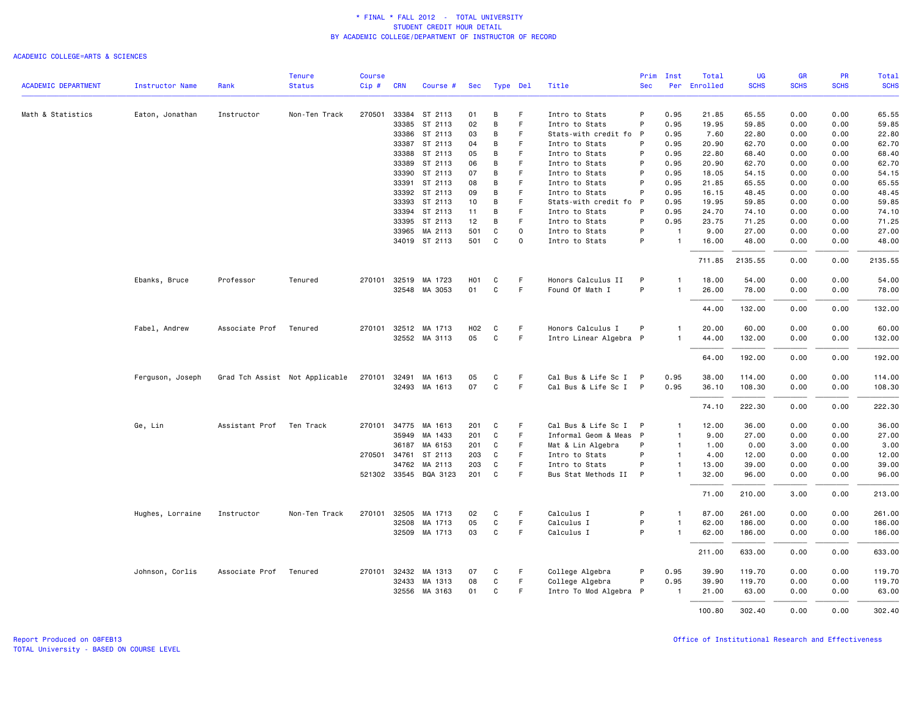|                            |                        |                | <b>Tenure</b>                  | <b>Course</b> |              |                       |                  |   |             |                        | Prim         | Inst           | Total    | UG          | <b>GR</b>   | <b>PR</b>   | Total       |
|----------------------------|------------------------|----------------|--------------------------------|---------------|--------------|-----------------------|------------------|---|-------------|------------------------|--------------|----------------|----------|-------------|-------------|-------------|-------------|
| <b>ACADEMIC DEPARTMENT</b> | <b>Instructor Name</b> | Rank           | <b>Status</b>                  | Cip#          | <b>CRN</b>   | Course #              | Sec              |   | Type Del    | Title                  | <b>Sec</b>   | Per            | Enrolled | <b>SCHS</b> | <b>SCHS</b> | <b>SCHS</b> | <b>SCHS</b> |
| Math & Statistics          | Eaton, Jonathan        | Instructor     | Non-Ten Track                  | 270501        |              | 33384 ST 2113         | 01               | B | F           | Intro to Stats         | P            | 0.95           | 21.85    | 65.55       | 0.00        | 0.00        | 65.55       |
|                            |                        |                |                                |               | 33385        | ST 2113               | 02               | В | F.          | Intro to Stats         | P            | 0.95           | 19.95    | 59.85       | 0.00        | 0.00        | 59.85       |
|                            |                        |                |                                |               | 33386        | ST 2113               | 03               | В | F           | Stats-with credit fo P |              | 0.95           | 7.60     | 22.80       | 0.00        | 0.00        | 22.80       |
|                            |                        |                |                                |               |              | 33387 ST 2113         | 04               | B | F           | Intro to Stats         | P            | 0.95           | 20.90    | 62.70       | 0.00        | 0.00        | 62.70       |
|                            |                        |                |                                |               |              | 33388 ST 2113         | 05               | B | F.          | Intro to Stats         | P            | 0.95           | 22.80    | 68.40       | 0.00        | 0.00        | 68.40       |
|                            |                        |                |                                |               | 33389        | ST 2113               | 06               | В | F           | Intro to Stats         | P            | 0.95           | 20.90    | 62.70       | 0.00        | 0.00        | 62.70       |
|                            |                        |                |                                |               |              | 33390 ST 2113         | 07               | B | F           | Intro to Stats         | P            | 0.95           | 18.05    | 54.15       | 0.00        | 0.00        | 54.15       |
|                            |                        |                |                                |               |              | 33391 ST 2113         | 08               | B | F.          | Intro to Stats         | P            | 0.95           | 21.85    | 65.55       | 0.00        | 0.00        | 65.55       |
|                            |                        |                |                                |               |              | 33392 ST 2113         | 09               | В | F           | Intro to Stats         | P            | 0.95           | 16.15    | 48.45       | 0.00        | 0.00        | 48.45       |
|                            |                        |                |                                |               |              | 33393 ST 2113         | 10               | B | E           | Stats-with credit fo   | P            | 0.95           | 19.95    | 59.85       | 0.00        | 0.00        | 59.85       |
|                            |                        |                |                                |               |              | 33394 ST 2113         | 11               | B | F.          | Intro to Stats         | P            | 0.95           | 24.70    | 74.10       | 0.00        | 0.00        | 74.10       |
|                            |                        |                |                                |               | 33395        | ST 2113               | 12               | В | F           | Intro to Stats         | P            | 0.95           | 23.75    | 71.25       | 0.00        | 0.00        | 71.25       |
|                            |                        |                |                                |               | 33965        | MA 2113               | 501              | C | $\Omega$    | Intro to Stats         | P            | $\overline{1}$ | 9.00     | 27.00       | 0.00        | 0.00        | 27.00       |
|                            |                        |                |                                |               |              | 34019 ST 2113         | 501              | C | $\mathbf 0$ | Intro to Stats         | P            | $\overline{1}$ | 16.00    | 48.00       | 0.00        | 0.00        | 48.00       |
|                            |                        |                |                                |               |              |                       |                  |   |             |                        |              |                | 711.85   | 2135.55     | 0.00        | 0.00        | 2135.55     |
|                            | Ebanks, Bruce          | Professor      | Tenured                        | 270101        | 32519        | MA 1723               | H <sub>0</sub> 1 | C | F           | Honors Calculus II     | P            |                | 18.00    | 54.00       | 0.00        | 0.00        | 54.00       |
|                            |                        |                |                                |               |              | 32548 MA 3053         | 01               | C | F           | Found Of Math I        | P            |                | 26.00    | 78.00       | 0.00        | 0.00        | 78.00       |
|                            |                        |                |                                |               |              |                       |                  |   |             |                        |              |                | 44.00    | 132.00      | 0.00        | 0.00        | 132.00      |
|                            | Fabel, Andrew          | Associate Prof | Tenured                        |               |              | 270101 32512 MA 1713  | H02              | C | F           | Honors Calculus I      | P            | $\mathbf{1}$   | 20.00    | 60.00       | 0.00        | 0.00        | 60.00       |
|                            |                        |                |                                |               |              | 32552 MA 3113         | 05               | C | F           | Intro Linear Algebra P |              | $\mathbf{1}$   | 44.00    | 132.00      | 0.00        | 0.00        | 132.00      |
|                            |                        |                |                                |               |              |                       |                  |   |             |                        |              |                | 64.00    | 192.00      | 0.00        | 0.00        | 192.00      |
|                            | Ferguson, Joseph       |                | Grad Tch Assist Not Applicable | 270101        | 32491        | MA 1613               | 05               | C | F.          | Cal Bus & Life Sc I    | $\mathsf{P}$ | 0.95           | 38.00    | 114.00      | 0.00        | 0.00        | 114.00      |
|                            |                        |                |                                |               |              | 32493 MA 1613         | 07               | C | F.          | Cal Bus & Life Sc I P  |              | 0.95           | 36.10    | 108.30      | 0.00        | 0.00        | 108.30      |
|                            |                        |                |                                |               |              |                       |                  |   |             |                        |              |                | 74.10    | 222.30      | 0.00        | 0.00        | 222.30      |
|                            | Ge, Lin                | Assistant Prof | Ten Track                      | 270101        | 34775        | MA 1613               | 201              | C | -F          | Cal Bus & Life Sc I    | $\mathsf{P}$ | $\mathbf{1}$   | 12.00    | 36.00       | 0.00        | 0.00        | 36.00       |
|                            |                        |                |                                |               | 35949        | MA 1433               | 201              | C | -F          | Informal Geom & Meas P |              | $\mathbf{1}$   | 9.00     | 27.00       | 0.00        | 0.00        | 27.00       |
|                            |                        |                |                                |               | 36187        | MA 6153               | 201              | C | F           | Mat & Lin Algebra      | P            | $\overline{1}$ | 1.00     | 0.00        | 3.00        | 0.00        | 3.00        |
|                            |                        |                |                                |               | 270501 34761 | ST 2113               | 203              | C | F.          | Intro to Stats         | P            | $\mathbf{1}$   | 4.00     | 12.00       | 0.00        | 0.00        | 12.00       |
|                            |                        |                |                                |               | 34762        | MA 2113               | 203              | C | F           | Intro to Stats         | P            | $\mathbf{1}$   | 13.00    | 39.00       | 0.00        | 0.00        | 39.00       |
|                            |                        |                |                                |               |              | 521302 33545 BQA 3123 | 201              | C | F           | Bus Stat Methods II    | P            | $\mathbf{1}$   | 32.00    | 96.00       | 0.00        | 0.00        | 96.00       |
|                            |                        |                |                                |               |              |                       |                  |   |             |                        |              |                | 71.00    | 210.00      | 3.00        | 0.00        | 213.00      |
|                            | Hughes, Lorraine       | Instructor     | Non-Ten Track                  | 270101        | 32505        | MA 1713               | 02               | C | -F          | Calculus I             | P            | $\mathbf{1}$   | 87.00    | 261.00      | 0.00        | 0.00        | 261.00      |
|                            |                        |                |                                |               | 32508        | MA 1713               | 05               | C | F           | Calculus I             | P            | $\mathbf{1}$   | 62.00    | 186.00      | 0.00        | 0.00        | 186.00      |
|                            |                        |                |                                |               | 32509        | MA 1713               | 03               | C | F.          | Calculus I             | P            | $\overline{1}$ | 62.00    | 186.00      | 0.00        | 0.00        | 186.00      |
|                            |                        |                |                                |               |              |                       |                  |   |             |                        |              |                | 211.00   | 633.00      | 0.00        | 0.00        | 633.00      |
|                            | Johnson, Corlis        | Associate Prof | Tenured                        |               | 270101 32432 | MA 1313               | 07               | C | -F          | College Algebra        | P            | 0.95           | 39.90    | 119.70      | 0.00        | 0.00        | 119.70      |
|                            |                        |                |                                |               | 32433        | MA 1313               | 08               | C | F.          | College Algebra        | P            | 0.95           | 39.90    | 119.70      | 0.00        | 0.00        | 119.70      |
|                            |                        |                |                                |               | 32556        | MA 3163               | 01               | C | F           | Intro To Mod Algebra P |              |                | 21.00    | 63.00       | 0.00        | 0.00        | 63.00       |
|                            |                        |                |                                |               |              |                       |                  |   |             |                        |              |                | 100.80   | 302.40      | 0.00        | 0.00        | 302.40      |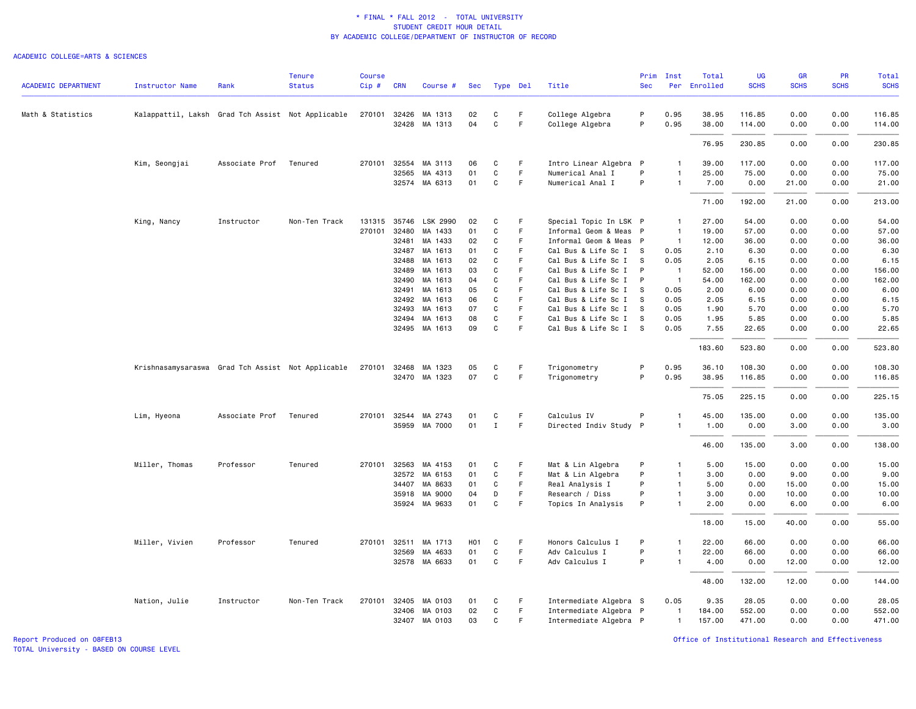### ACADEMIC COLLEGE=ARTS & SCIENCES

|                            |                                                   |                | <b>Tenure</b> | <b>Course</b> |              |               |                  |              |    |                        |            | Prim Inst      | Total        | <b>UG</b>   | <b>GR</b>   | <b>PR</b>   | Total       |
|----------------------------|---------------------------------------------------|----------------|---------------|---------------|--------------|---------------|------------------|--------------|----|------------------------|------------|----------------|--------------|-------------|-------------|-------------|-------------|
| <b>ACADEMIC DEPARTMENT</b> | <b>Instructor Name</b>                            | Rank           | <b>Status</b> | Cip#          | <b>CRN</b>   | Course #      | Sec              | Type Del     |    | Title                  | <b>Sec</b> |                | Per Enrolled | <b>SCHS</b> | <b>SCHS</b> | <b>SCHS</b> | <b>SCHS</b> |
| Math & Statistics          | Kalappattil, Laksh Grad Tch Assist Not Applicable |                |               | 270101        | 32426        | MA 1313       | 02               | C            | F  | College Algebra        | P          | 0.95           | 38.95        | 116.85      | 0.00        | 0.00        | 116.85      |
|                            |                                                   |                |               |               |              | 32428 MA 1313 | 04               | $\mathbf c$  | F  | College Algebra        | P          | 0.95           | 38.00        | 114.00      | 0.00        | 0.00        | 114.00      |
|                            |                                                   |                |               |               |              |               |                  |              |    |                        |            |                | 76.95        | 230.85      | 0.00        | 0.00        | 230.85      |
|                            | Kim, Seongjai                                     | Associate Prof | Tenured       | 270101        | 32554        | MA 3113       | 06               | C            | F  | Intro Linear Algebra P |            | 1              | 39.00        | 117.00      | 0.00        | 0.00        | 117.00      |
|                            |                                                   |                |               |               | 32565        | MA 4313       | 01               | C            | F. | Numerical Anal I       | P          | $\mathbf{1}$   | 25.00        | 75.00       | 0.00        | 0.00        | 75.00       |
|                            |                                                   |                |               |               |              | 32574 MA 6313 | 01               | C            | F  | Numerical Anal I       | P          | $\mathbf{1}$   | 7.00         | 0.00        | 21.00       | 0.00        | 21.00       |
|                            |                                                   |                |               |               |              |               |                  |              |    |                        |            |                | 71.00        | 192.00      | 21.00       | 0.00        | 213.00      |
|                            | King, Nancy                                       | Instructor     | Non-Ten Track | 131315        | 35746        | LSK 2990      | 02               | C            | F  | Special Topic In LSK P |            | $\overline{1}$ | 27.00        | 54.00       | 0.00        | 0.00        | 54.00       |
|                            |                                                   |                |               | 270101        | 32480        | MA 1433       | 01               | $\mathtt{C}$ | F. | Informal Geom & Meas P |            | $\overline{1}$ | 19.00        | 57.00       | 0.00        | 0.00        | 57.00       |
|                            |                                                   |                |               |               | 32481        | MA 1433       | 02               | C            | F  | Informal Geom & Meas P |            | $\overline{1}$ | 12.00        | 36.00       | 0.00        | 0.00        | 36.00       |
|                            |                                                   |                |               |               | 32487        | MA 1613       | 01               | $\mathbf{C}$ | F  | Cal Bus & Life Sc I S  |            | 0.05           | 2.10         | 6.30        | 0.00        | 0.00        | 6.30        |
|                            |                                                   |                |               |               | 32488        | MA 1613       | 02               | C            | F. | Cal Bus & Life Sc I    | <b>S</b>   | 0.05           | 2.05         | 6.15        | 0.00        | 0.00        | 6.15        |
|                            |                                                   |                |               |               | 32489        | MA 1613       | 03               | C            | F  | Cal Bus & Life Sc I    | P          | $\overline{1}$ | 52.00        | 156.00      | 0.00        | 0.00        | 156.00      |
|                            |                                                   |                |               |               | 32490        | MA 1613       | 04               | C            | F  | Cal Bus & Life Sc I P  |            | $\overline{1}$ | 54.00        | 162.00      | 0.00        | 0.00        | 162.00      |
|                            |                                                   |                |               |               | 32491        | MA 1613       | 05               | C            | F  | Cal Bus & Life Sc I    | -S         | 0.05           | 2.00         | 6.00        | 0.00        | 0.00        | 6.00        |
|                            |                                                   |                |               |               | 32492        | MA 1613       | 06               | $\mathbf c$  | F  | Cal Bus & Life Sc I    | <b>S</b>   | 0.05           | 2.05         | 6.15        | 0.00        | 0.00        | 6.15        |
|                            |                                                   |                |               |               | 32493        | MA 1613       | 07               | C            | F  | Cal Bus & Life Sc I    | - S        | 0.05           | 1.90         | 5.70        | 0.00        | 0.00        | 5.70        |
|                            |                                                   |                |               |               | 32494        | MA 1613       | 08               | C            | F  | Cal Bus & Life Sc I    | - S        | 0.05           | 1.95         | 5.85        | 0.00        | 0.00        | 5.85        |
|                            |                                                   |                |               |               |              | 32495 MA 1613 | 09               | $\mathbf c$  | F  | Cal Bus & Life Sc I    | - S        | 0.05           | 7.55         | 22.65       | 0.00        | 0.00        | 22.65       |
|                            |                                                   |                |               |               |              |               |                  |              |    |                        |            |                | 183.60       | 523.80      | 0.00        | 0.00        | 523.80      |
|                            | Krishnasamysaraswa Grad Tch Assist Not Applicable |                |               | 270101        | 32468        | MA 1323       | 05               | C            | F. | Trigonometry           | P          | 0.95           | 36.10        | 108.30      | 0.00        | 0.00        | 108.30      |
|                            |                                                   |                |               |               |              | 32470 MA 1323 | 07               | $\mathsf{C}$ | F  | Trigonometry           | P          | 0.95           | 38.95        | 116.85      | 0.00        | 0.00        | 116.85      |
|                            |                                                   |                |               |               |              |               |                  |              |    |                        |            |                | 75.05        | 225.15      | 0.00        | 0.00        | 225.15      |
|                            | Lim, Hyeona                                       | Associate Prof | Tenured       |               | 270101 32544 | MA 2743       | 01               | C            | F  | Calculus IV            | P          | $\mathbf{1}$   | 45.00        | 135.00      | 0.00        | 0.00        | 135.00      |
|                            |                                                   |                |               |               | 35959        | MA 7000       | 01               | $\mathbf{I}$ | F  | Directed Indiv Study P |            | $\mathbf{1}$   | 1.00         | 0.00        | 3.00        | 0.00        | 3.00        |
|                            |                                                   |                |               |               |              |               |                  |              |    |                        |            |                | 46.00        | 135.00      | 3.00        | 0.00        | 138.00      |
|                            | Miller, Thomas                                    | Professor      | Tenured       | 270101        | 32563        | MA 4153       | 01               | C            | F  | Mat & Lin Algebra      | P          | $\mathbf{1}$   | 5.00         | 15.00       | 0.00        | 0.00        | 15.00       |
|                            |                                                   |                |               |               | 32572        | MA 6153       | 01               | C            | F  | Mat & Lin Algebra      | P          | $\mathbf{1}$   | 3.00         | 0.00        | 9.00        | 0.00        | 9.00        |
|                            |                                                   |                |               |               | 34407        | MA 8633       | 01               | C            | F. | Real Analysis I        | P          | $\mathbf{1}$   | 5.00         | 0.00        | 15.00       | 0.00        | 15.00       |
|                            |                                                   |                |               |               | 35918        | MA 9000       | 04               | D            | F  | Research / Diss        | P          | $\mathbf{1}$   | 3.00         | 0.00        | 10.00       | 0.00        | 10.00       |
|                            |                                                   |                |               |               | 35924        | MA 9633       | 01               | $\mathtt{C}$ | F  | Topics In Analysis     | P          | $\mathbf{1}$   | 2.00         | 0.00        | 6.00        | 0.00        | 6.00        |
|                            |                                                   |                |               |               |              |               |                  |              |    |                        |            |                | 18.00        | 15.00       | 40.00       | 0.00        | 55.00       |
|                            | Miller, Vivien                                    | Professor      | Tenured       |               | 270101 32511 | MA 1713       | H <sub>0</sub> 1 | C            | F  | Honors Calculus I      | P          | $\mathbf{1}$   | 22.00        | 66.00       | 0.00        | 0.00        | 66.00       |
|                            |                                                   |                |               |               | 32569        | MA 4633       | 01               | $\mathtt{C}$ | F  | Adv Calculus I         | P          | $\mathbf{1}$   | 22.00        | 66.00       | 0.00        | 0.00        | 66.00       |
|                            |                                                   |                |               |               | 32578        | MA 6633       | 01               | $\mathtt{C}$ | F. | Adv Calculus I         | P          | 1              | 4.00         | 0.00        | 12.00       | 0.00        | 12.00       |
|                            |                                                   |                |               |               |              |               |                  |              |    |                        |            |                | 48.00        | 132.00      | 12.00       | 0.00        | 144.00      |
|                            | Nation, Julie                                     | Instructor     | Non-Ten Track |               | 270101 32405 | MA 0103       | 01               | C            | F. | Intermediate Algebra S |            | 0.05           | 9.35         | 28.05       | 0.00        | 0.00        | 28.05       |
|                            |                                                   |                |               |               | 32406        | MA 0103       | 02               | C            | F  | Intermediate Algebra P |            | $\mathbf{1}$   | 184.00       | 552.00      | 0.00        | 0.00        | 552.00      |
|                            |                                                   |                |               |               | 32407        | MA 0103       | 03               | C            | F  | Intermediate Algebra P |            | $\mathbf{1}$   | 157.00       | 471.00      | 0.00        | 0.00        | 471.00      |

Report Produced on 08FEB13 Office of Institutional Research and Effectiveness

TOTAL University - BASED ON COURSE LEVEL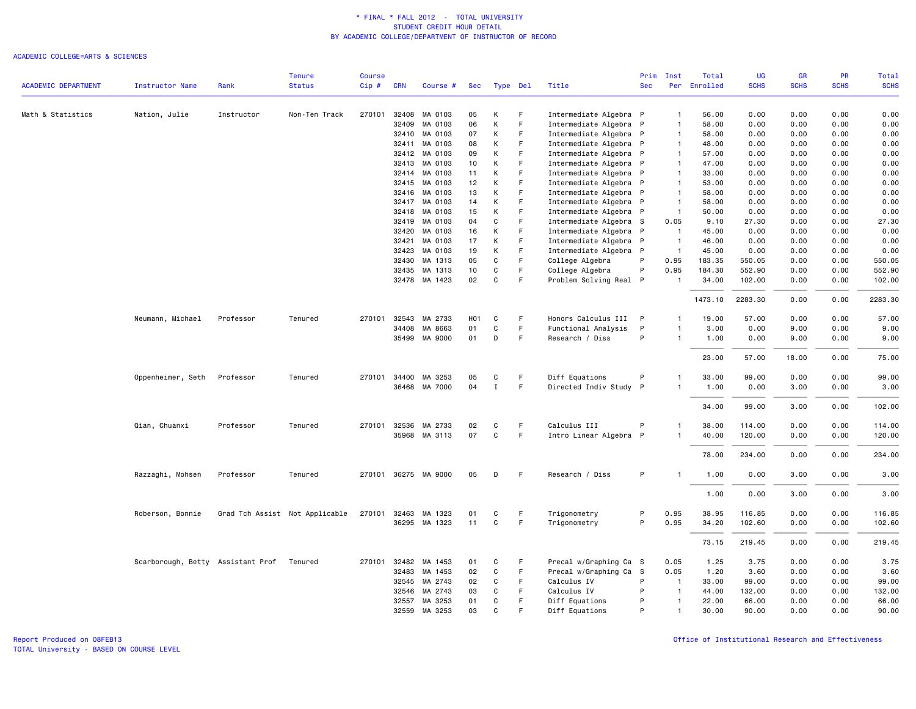### ACADEMIC COLLEGE=ARTS & SCIENCES

|                            |                                           |            | <b>Tenure</b>                  | <b>Course</b> |              |                      |                  |              |          |                        | Prim       | Inst           | Total        | <b>UG</b>   | <b>GR</b>   | <b>PR</b>   | Total       |
|----------------------------|-------------------------------------------|------------|--------------------------------|---------------|--------------|----------------------|------------------|--------------|----------|------------------------|------------|----------------|--------------|-------------|-------------|-------------|-------------|
| <b>ACADEMIC DEPARTMENT</b> | <b>Instructor Name</b>                    | Rank       | <b>Status</b>                  | Cip#          | <b>CRN</b>   | Course #             | Sec              |              | Type Del | Title                  | <b>Sec</b> |                | Per Enrolled | <b>SCHS</b> | <b>SCHS</b> | <b>SCHS</b> | <b>SCHS</b> |
| Math & Statistics          | Nation, Julie                             | Instructor | Non-Ten Track                  | 270101        | 32408        | MA 0103              | 05               | К            | F        | Intermediate Algebra P |            | $\mathbf{1}$   | 56.00        | 0.00        | 0.00        | 0.00        | 0.00        |
|                            |                                           |            |                                |               | 32409        | MA 0103              | 06               | К            | F        | Intermediate Algebra P |            | $\mathbf{1}$   | 58.00        | 0.00        | 0.00        | 0.00        | 0.00        |
|                            |                                           |            |                                |               | 32410        | MA 0103              | 07               | К            | F        | Intermediate Algebra P |            | $\overline{1}$ | 58.00        | 0.00        | 0.00        | 0.00        | 0.00        |
|                            |                                           |            |                                |               | 32411        | MA 0103              | 08               | К            | F        | Intermediate Algebra P |            | $\mathbf{1}$   | 48.00        | 0.00        | 0.00        | 0.00        | 0.00        |
|                            |                                           |            |                                |               | 32412        | MA 0103              | 09               | K            | F        | Intermediate Algebra P |            | $\overline{1}$ | 57.00        | 0.00        | 0.00        | 0.00        | 0.00        |
|                            |                                           |            |                                |               | 32413        | MA 0103              | 10               | К            | F        | Intermediate Algebra P |            | $\overline{1}$ | 47.00        | 0.00        | 0.00        | 0.00        | 0.00        |
|                            |                                           |            |                                |               | 32414        | MA 0103              | 11               | К            | F        | Intermediate Algebra P |            | $\overline{1}$ | 33.00        | 0.00        | 0.00        | 0.00        | 0.00        |
|                            |                                           |            |                                |               | 32415        | MA 0103              | 12               | K            | F        | Intermediate Algebra P |            | $\overline{1}$ | 53.00        | 0.00        | 0.00        | 0.00        | 0.00        |
|                            |                                           |            |                                |               | 32416        | MA 0103              | 13               | К            | F        | Intermediate Algebra P |            | $\overline{1}$ | 58.00        | 0.00        | 0.00        | 0.00        | 0.00        |
|                            |                                           |            |                                |               | 32417        | MA 0103              | 14               | K            | F        | Intermediate Algebra P |            | $\overline{1}$ | 58.00        | 0.00        | 0.00        | 0.00        | 0.00        |
|                            |                                           |            |                                |               | 32418        | MA 0103              | 15               | К            | F        | Intermediate Algebra P |            | $\overline{1}$ | 50.00        | 0.00        | 0.00        | 0.00        | 0.00        |
|                            |                                           |            |                                |               | 32419        | MA 0103              | 04               | C            | F        | Intermediate Algebra S |            | 0.05           | 9.10         | 27.30       | 0.00        | 0.00        | 27.30       |
|                            |                                           |            |                                |               | 32420        | MA 0103              | 16               | K            | F        | Intermediate Algebra P |            | $\overline{1}$ | 45.00        | 0.00        | 0.00        | 0.00        | 0.00        |
|                            |                                           |            |                                |               | 32421        | MA 0103              | 17               | К            | F        | Intermediate Algebra P |            | $\overline{1}$ | 46.00        | 0.00        | 0.00        | 0.00        | 0.00        |
|                            |                                           |            |                                |               | 32423        | MA 0103              | 19               | К            | F        | Intermediate Algebra P |            | $\overline{1}$ | 45.00        | 0.00        | 0.00        | 0.00        | 0.00        |
|                            |                                           |            |                                |               | 32430        | MA 1313              | 05               | C            | F        | College Algebra        | P          | 0.95           | 183.35       | 550.05      | 0.00        | 0.00        | 550.05      |
|                            |                                           |            |                                |               | 32435        | MA 1313              | 10               | C            | F        | College Algebra        | P          | 0.95           | 184.30       | 552.90      | 0.00        | 0.00        | 552.90      |
|                            |                                           |            |                                |               |              | 32478 MA 1423        | 02               | C            | F        | Problem Solving Real P |            | -1             | 34.00        | 102.00      | 0.00        | 0.00        | 102.00      |
|                            |                                           |            |                                |               |              |                      |                  |              |          |                        |            |                | 1473.10      | 2283.30     | 0.00        | 0.00        | 2283.30     |
|                            | Neumann, Michael                          | Professor  | Tenured                        |               | 270101 32543 | MA 2733              | H <sub>0</sub> 1 | C            | F.       | Honors Calculus III P  |            | -1             | 19.00        | 57.00       | 0.00        | 0.00        | 57.00       |
|                            |                                           |            |                                |               | 34408        | MA 8663              | 01               | C            | F.       | Functional Analysis    | P          | 1              | 3.00         | 0.00        | 9.00        | 0.00        | 9.00        |
|                            |                                           |            |                                |               | 35499        | MA 9000              | 01               | D            | F        | Research / Diss        | P          | $\mathbf{1}$   | 1.00         | 0.00        | 9.00        | 0.00        | 9.00        |
|                            |                                           |            |                                |               |              |                      |                  |              |          |                        |            |                | 23.00        | 57.00       | 18.00       | 0.00        | 75.00       |
|                            | Oppenheimer, Seth                         | Professor  | Tenured                        |               | 270101 34400 | MA 3253              | 05               | C            | F.       | Diff Equations         | P          | $\mathbf{1}$   | 33.00        | 99.00       | 0.00        | 0.00        | 99.00       |
|                            |                                           |            |                                |               |              | 36468 MA 7000        | 04               | $\mathbf{I}$ | F.       | Directed Indiv Study P |            | $\mathbf{1}$   | 1.00         | 0.00        | 3.00        | 0.00        | 3.00        |
|                            |                                           |            |                                |               |              |                      |                  |              |          |                        |            |                |              |             |             |             |             |
|                            |                                           |            |                                |               |              |                      |                  |              |          |                        |            |                | 34.00        | 99.00       | 3.00        | 0.00        | 102.00      |
|                            | Qian, Chuanxi                             | Professor  | Tenured                        | 270101        | 32536        | MA 2733              | 02               | C            | F        | Calculus III           | P          | 1              | 38.00        | 114.00      | 0.00        | 0.00        | 114.00      |
|                            |                                           |            |                                |               |              | 35968 MA 3113        | 07               | C            | F        | Intro Linear Algebra P |            | $\mathbf{1}$   | 40.00        | 120.00      | 0.00        | 0.00        | 120.00      |
|                            |                                           |            |                                |               |              |                      |                  |              |          |                        |            |                | 78.00        | 234.00      | 0.00        | 0.00        | 234.00      |
|                            | Razzaghi, Mohsen                          | Professor  | Tenured                        |               |              | 270101 36275 MA 9000 | 05               | D            | F        | Research / Diss        | P          | $\mathbf{1}$   | 1.00         | 0.00        | 3.00        | 0.00        | 3.00        |
|                            |                                           |            |                                |               |              |                      |                  |              |          |                        |            |                | 1.00         | 0.00        | 3.00        | 0.00        | 3.00        |
|                            | Roberson, Bonnie                          |            | Grad Tch Assist Not Applicable | 270101        | 32463        | MA 1323              | 01               | C            | F        | Trigonometry           | P          | 0.95           | 38.95        | 116.85      | 0.00        | 0.00        | 116.85      |
|                            |                                           |            |                                |               |              | 36295 MA 1323        | 11               | $\mathbf c$  | F        | Trigonometry           | P          | 0.95           | 34.20        | 102.60      | 0.00        | 0.00        | 102.60      |
|                            |                                           |            |                                |               |              |                      |                  |              |          |                        |            |                |              |             |             |             |             |
|                            |                                           |            |                                |               |              |                      |                  |              |          |                        |            |                | 73.15        | 219.45      | 0.00        | 0.00        | 219.45      |
|                            | Scarborough, Betty Assistant Prof Tenured |            |                                |               | 270101 32482 | MA 1453              | 01               | C            | F.       | Precal w/Graphing Ca S |            | 0.05           | 1.25         | 3.75        | 0.00        | 0.00        | 3.75        |
|                            |                                           |            |                                |               | 32483        | MA 1453              | 02               | $\mathtt{C}$ | F        | Precal w/Graphing Ca S |            | 0.05           | 1.20         | 3.60        | 0.00        | 0.00        | 3.60        |
|                            |                                           |            |                                |               | 32545        | MA 2743              | 02               | C            | F        | Calculus IV            | P          | $\overline{1}$ | 33.00        | 99.00       | 0.00        | 0.00        | 99.00       |
|                            |                                           |            |                                |               | 32546        | MA 2743              | 03               | C            | F.       | Calculus IV            | P          | $\overline{1}$ | 44.00        | 132.00      | 0.00        | 0.00        | 132.00      |
|                            |                                           |            |                                |               | 32557        | MA 3253              | 01               | C            | F        | Diff Equations         | P          | $\mathbf{1}$   | 22.00        | 66.00       | 0.00        | 0.00        | 66.00       |
|                            |                                           |            |                                |               | 32559        | MA 3253              | 03               | C            | F        | Diff Equations         | P          | $\mathbf{1}$   | 30.00        | 90.00       | 0.00        | 0.00        | 90.00       |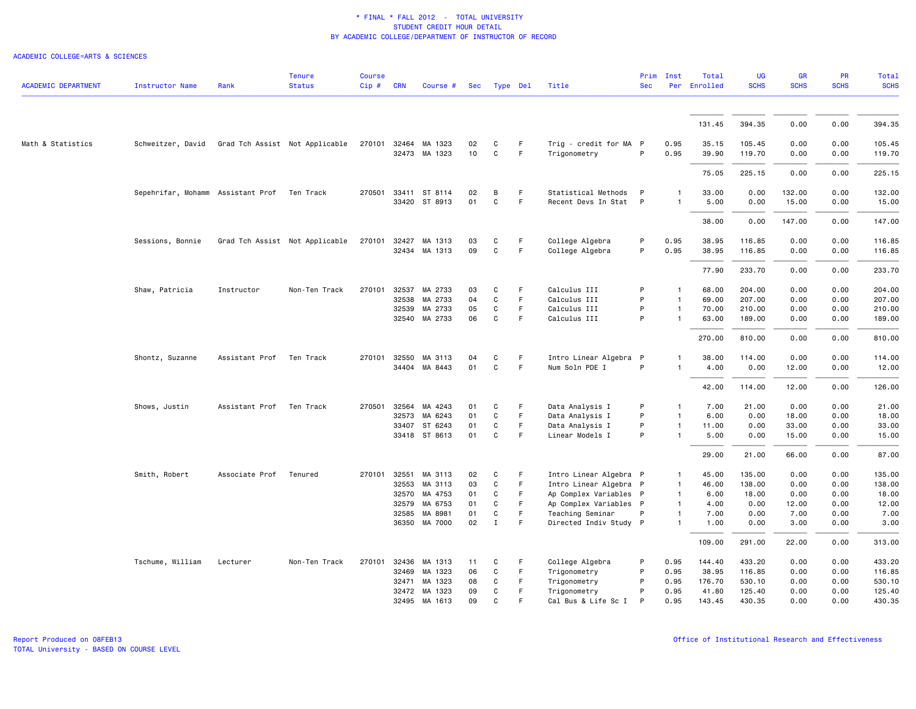| <b>ACADEMIC DEPARTMENT</b> | <b>Instructor Name</b>                           | Rank           | <b>Tenure</b><br><b>Status</b> | <b>Course</b><br>Cip# | <b>CRN</b>   | Course #             | Sec |              | Type Del | Title                  | <b>Sec</b> | Prim Inst      | Total<br>Per Enrolled | <b>UG</b><br><b>SCHS</b> | <b>GR</b><br><b>SCHS</b> | PR<br><b>SCHS</b> | <b>Total</b><br><b>SCHS</b> |
|----------------------------|--------------------------------------------------|----------------|--------------------------------|-----------------------|--------------|----------------------|-----|--------------|----------|------------------------|------------|----------------|-----------------------|--------------------------|--------------------------|-------------------|-----------------------------|
|                            |                                                  |                |                                |                       |              |                      |     |              |          |                        |            |                |                       |                          |                          |                   |                             |
|                            |                                                  |                |                                |                       |              |                      |     |              |          |                        |            |                | 131.45                | 394.35                   | 0.00                     | 0.00              | 394.35                      |
| Math & Statistics          | Schweitzer, David Grad Tch Assist Not Applicable |                |                                |                       |              | 270101 32464 MA 1323 | 02  | C            | F.       | Trig - credit for MA P |            | 0.95           | 35.15                 | 105.45                   | 0.00                     | 0.00              | 105.45                      |
|                            |                                                  |                |                                |                       |              | 32473 MA 1323        | 10  | $\mathtt{C}$ | F        | Trigonometry           | P          | 0.95           | 39.90                 | 119.70                   | 0.00                     | 0.00              | 119.70                      |
|                            |                                                  |                |                                |                       |              |                      |     |              |          |                        |            |                | 75.05                 | 225.15                   | 0.00                     | 0.00              | 225.15                      |
|                            | Sepehrifar, Mohamm Assistant Prof Ten Track      |                |                                |                       |              | 270501 33411 ST 8114 | 02  | B            | F.       | Statistical Methods    | P          | -1             | 33.00                 | 0.00                     | 132.00                   | 0.00              | 132.00                      |
|                            |                                                  |                |                                |                       |              | 33420 ST 8913        | 01  | C            | F.       | Recent Devs In Stat P  |            | 1              | 5.00                  | 0.00                     | 15.00                    | 0.00              | 15.00                       |
|                            |                                                  |                |                                |                       |              |                      |     |              |          |                        |            |                | 38.00                 | 0.00                     | 147.00                   | 0.00              | 147.00                      |
|                            | Sessions, Bonnie                                 |                | Grad Tch Assist Not Applicable | 270101                | 32427        | MA 1313              | 03  | C            | F        | College Algebra        | P          | 0.95           | 38.95                 | 116.85                   | 0.00                     | 0.00              | 116.85                      |
|                            |                                                  |                |                                |                       |              | 32434 MA 1313        | 09  | C            | F        | College Algebra        | P          | 0.95           | 38.95                 | 116.85                   | 0.00                     | 0.00              | 116.85                      |
|                            |                                                  |                |                                |                       |              |                      |     |              |          |                        |            |                | 77.90                 | 233.70                   | 0.00                     | 0.00              | 233.70                      |
|                            | Shaw, Patricia                                   | Instructor     | Non-Ten Track                  | 270101                | 32537        | MA 2733              | 03  | C            | F        | Calculus III           | P          | $\mathbf{1}$   | 68.00                 | 204.00                   | 0.00                     | 0.00              | 204.00                      |
|                            |                                                  |                |                                |                       | 32538        | MA 2733              | 04  | C            | F        | Calculus III           | P          | $\mathbf{1}$   | 69.00                 | 207.00                   | 0.00                     | 0.00              | 207.00                      |
|                            |                                                  |                |                                |                       | 32539        | MA 2733              | 05  | C            | F        | Calculus III           | P          | $\mathbf{1}$   | 70.00                 | 210.00                   | 0.00                     | 0.00              | 210.00                      |
|                            |                                                  |                |                                |                       |              | 32540 MA 2733        | 06  | C            | F        | Calculus III           | P          | $\mathbf{1}$   | 63.00                 | 189.00                   | 0.00                     | 0.00              | 189.00                      |
|                            |                                                  |                |                                |                       |              |                      |     |              |          |                        |            |                | 270.00                | 810.00                   | 0.00                     | 0.00              | 810.00                      |
|                            | Shontz, Suzanne                                  | Assistant Prof | Ten Track                      |                       | 270101 32550 | MA 3113              | 04  | C            | F.       | Intro Linear Algebra P |            | -1             | 38.00                 | 114.00                   | 0.00                     | 0.00              | 114.00                      |
|                            |                                                  |                |                                |                       |              | 34404 MA 8443        | 01  | $\mathtt{C}$ | F        | Num Soln PDE I         | P          | 1              | 4.00                  | 0.00                     | 12.00                    | 0.00              | 12.00                       |
|                            |                                                  |                |                                |                       |              |                      |     |              |          |                        |            |                | 42.00                 | 114.00                   | 12.00                    | 0.00              | 126.00                      |
|                            | Shows, Justin                                    | Assistant Prof | Ten Track                      | 270501                | 32564        | MA 4243              | 01  | C            | F.       | Data Analysis I        | P          | $\mathbf{1}$   | 7.00                  | 21.00                    | 0.00                     | 0.00              | 21.00                       |
|                            |                                                  |                |                                |                       | 32573        | MA 6243              | 01  | C            | F        | Data Analysis I        | P          | $\mathbf{1}$   | 6.00                  | 0.00                     | 18.00                    | 0.00              | 18.00                       |
|                            |                                                  |                |                                |                       | 33407        | ST 6243              | 01  | C            | F        | Data Analysis I        | P          | $\overline{1}$ | 11.00                 | 0.00                     | 33.00                    | 0.00              | 33.00                       |
|                            |                                                  |                |                                |                       |              | 33418 ST 8613        | 01  | C            | F        | Linear Models I        | P          | $\overline{1}$ | 5.00                  | 0.00                     | 15.00                    | 0.00              | 15.00                       |
|                            |                                                  |                |                                |                       |              |                      |     |              |          |                        |            |                | 29.00                 | 21.00                    | 66.00                    | 0.00              | 87.00                       |
|                            | Smith, Robert                                    | Associate Prof | Tenured                        |                       | 270101 32551 | MA 3113              | 02  | C            | F.       | Intro Linear Algebra P |            | $\mathbf{1}$   | 45.00                 | 135.00                   | 0.00                     | 0.00              | 135.00                      |
|                            |                                                  |                |                                |                       | 32553        | MA 3113              | 03  | C            | F.       | Intro Linear Algebra P |            | $\overline{1}$ | 46.00                 | 138.00                   | 0.00                     | 0.00              | 138.00                      |
|                            |                                                  |                |                                |                       | 32570        | MA 4753              | 01  | C            | F        | Ap Complex Variables P |            | $\overline{1}$ | 6.00                  | 18.00                    | 0.00                     | 0.00              | 18.00                       |
|                            |                                                  |                |                                |                       | 32579        | MA 6753              | 01  | C            | F.       | Ap Complex Variables P |            | $\mathbf{1}$   | 4.00                  | 0.00                     | 12.00                    | 0.00              | 12.00                       |
|                            |                                                  |                |                                |                       | 32585        | MA 8981              | 01  | C            | F        | Teaching Seminar       | P          | $\mathbf{1}$   | 7.00                  | 0.00                     | 7.00                     | 0.00              | 7.00                        |
|                            |                                                  |                |                                |                       |              | 36350 MA 7000        | 02  | $\mathbf{I}$ | F        | Directed Indiv Study P |            | $\mathbf{1}$   | 1.00                  | 0.00                     | 3.00                     | 0.00              | 3.00                        |
|                            |                                                  |                |                                |                       |              |                      |     |              |          |                        |            |                | 109.00                | 291.00                   | 22.00                    | 0.00              | 313.00                      |
|                            | Tschume, William                                 | Lecturer       | Non-Ten Track                  |                       |              | 270101 32436 MA 1313 | 11  | C            | F.       | College Algebra        | P          | 0.95           | 144.40                | 433.20                   | 0.00                     | 0.00              | 433.20                      |
|                            |                                                  |                |                                |                       |              | 32469 MA 1323        | 06  | C            | F.       | Trigonometry           | P          | 0.95           | 38.95                 | 116.85                   | 0.00                     | 0.00              | 116.85                      |
|                            |                                                  |                |                                |                       | 32471        | MA 1323              | 08  | C            | F        | Trigonometry           | P          | 0.95           | 176.70                | 530.10                   | 0.00                     | 0.00              | 530.10                      |
|                            |                                                  |                |                                |                       | 32472        | MA 1323              | 09  | C            | F        | Trigonometry           | P          | 0.95           | 41.80                 | 125.40                   | 0.00                     | 0.00              | 125.40                      |
|                            |                                                  |                |                                |                       |              | 32495 MA 1613        | 09  | C            | F        | Cal Bus & Life Sc I    | P          | 0.95           | 143.45                | 430.35                   | 0.00                     | 0.00              | 430.35                      |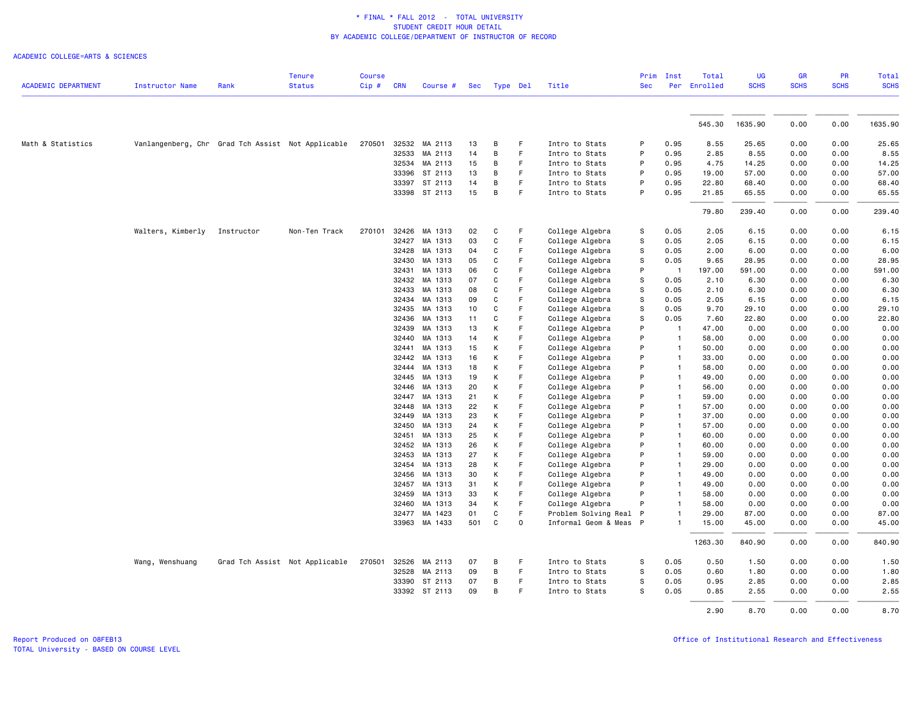|                            |                                                   |            | <b>Tenure</b>                  | <b>Course</b> |            |               |     |          |    |                        | Prim       | Inst           | Total        | <b>UG</b>   | <b>GR</b>   | <b>PR</b>   | Total       |
|----------------------------|---------------------------------------------------|------------|--------------------------------|---------------|------------|---------------|-----|----------|----|------------------------|------------|----------------|--------------|-------------|-------------|-------------|-------------|
| <b>ACADEMIC DEPARTMENT</b> | <b>Instructor Name</b>                            | Rank       | <b>Status</b>                  | Cip#          | <b>CRN</b> | Course #      | Sec | Type Del |    | Title                  | <b>Sec</b> |                | Per Enrolled | <b>SCHS</b> | <b>SCHS</b> | <b>SCHS</b> | <b>SCHS</b> |
|                            |                                                   |            |                                |               |            |               |     |          |    |                        |            |                |              |             |             |             |             |
|                            |                                                   |            |                                |               |            |               |     |          |    |                        |            |                | 545.30       | 1635.90     | 0.00        | 0.00        | 1635.90     |
| Math & Statistics          | Vanlangenberg, Chr Grad Tch Assist Not Applicable |            |                                | 270501        |            | 32532 MA 2113 | 13  | B        | F  | Intro to Stats         | P          | 0.95           | 8.55         | 25.65       | 0.00        | 0.00        | 25.65       |
|                            |                                                   |            |                                |               | 32533      | MA 2113       | 14  | B        | F. | Intro to Stats         | P          | 0.95           | 2.85         | 8.55        | 0.00        | 0.00        | 8.55        |
|                            |                                                   |            |                                |               |            | 32534 MA 2113 | 15  | В        | F  | Intro to Stats         | P          | 0.95           | 4.75         | 14.25       | 0.00        | 0.00        | 14.25       |
|                            |                                                   |            |                                |               | 33396      | ST 2113       | 13  | B        | F  | Intro to Stats         | P          | 0.95           | 19.00        | 57.00       | 0.00        | 0.00        | 57.00       |
|                            |                                                   |            |                                |               | 33397      | ST 2113       | 14  | B        | F  | Intro to Stats         | P          | 0.95           | 22.80        | 68.40       | 0.00        | 0.00        | 68.40       |
|                            |                                                   |            |                                |               |            | 33398 ST 2113 | 15  | B        | F  | Intro to Stats         | P          | 0.95           | 21.85        | 65.55       | 0.00        | 0.00        | 65.55       |
|                            |                                                   |            |                                |               |            |               |     |          |    |                        |            |                | 79.80        | 239.40      | 0.00        | 0.00        | 239.40      |
|                            | Walters, Kimberly                                 | Instructor | Non-Ten Track                  | 270101        | 32426      | MA 1313       | 02  | C        | F  | College Algebra        | s          | 0.05           | 2.05         | 6.15        | 0.00        | 0.00        | 6.15        |
|                            |                                                   |            |                                |               | 32427      | MA 1313       | 03  | C        | F  | College Algebra        | s          | 0.05           | 2.05         | 6.15        | 0.00        | 0.00        | 6.15        |
|                            |                                                   |            |                                |               | 32428      | MA 1313       | 04  | C        | F  | College Algebra        | s          | 0.05           | 2.00         | 6.00        | 0.00        | 0.00        | 6.00        |
|                            |                                                   |            |                                |               | 32430      | MA 1313       | 05  | C        | F  | College Algebra        | S          | 0.05           | 9.65         | 28.95       | 0.00        | 0.00        | 28.95       |
|                            |                                                   |            |                                |               | 32431      | MA 1313       | 06  | C        | F  | College Algebra        | P          | $\overline{1}$ | 197.00       | 591.00      | 0.00        | 0.00        | 591.00      |
|                            |                                                   |            |                                |               | 32432      | MA 1313       | 07  | C        | F  | College Algebra        | S          | 0.05           | 2.10         | 6.30        | 0.00        | 0.00        | 6.30        |
|                            |                                                   |            |                                |               | 32433      | MA 1313       | 08  | C        | F  | College Algebra        | s          | 0.05           | 2.10         | 6.30        | 0.00        | 0.00        | 6.30        |
|                            |                                                   |            |                                |               | 32434      | MA 1313       | 09  | C        | F  | College Algebra        | s          | 0.05           | 2.05         | 6.15        | 0.00        | 0.00        | 6.15        |
|                            |                                                   |            |                                |               | 32435      | MA 1313       | 10  | C        | F  | College Algebra        | S          | 0.05           | 9.70         | 29.10       | 0.00        | 0.00        | 29.10       |
|                            |                                                   |            |                                |               | 32436      | MA 1313       | 11  | C        | F  | College Algebra        | s          | 0.05           | 7.60         | 22.80       | 0.00        | 0.00        | 22.80       |
|                            |                                                   |            |                                |               | 32439      | MA 1313       | 13  | K        | F  | College Algebra        | P          | $\mathbf{1}$   | 47.00        | 0.00        | 0.00        | 0.00        | 0.00        |
|                            |                                                   |            |                                |               | 32440      | MA 1313       | 14  | К        | F  | College Algebra        | P          | $\mathbf{1}$   | 58.00        | 0.00        | 0.00        | 0.00        | 0.00        |
|                            |                                                   |            |                                |               | 32441      | MA 1313       | 15  | К        | F  | College Algebra        | P          | $\mathbf{1}$   | 50.00        | 0.00        | 0.00        | 0.00        | 0.00        |
|                            |                                                   |            |                                |               | 32442      | MA 1313       | 16  | K        | F  | College Algebra        | P          | $\overline{1}$ | 33.00        | 0.00        | 0.00        | 0.00        | 0.00        |
|                            |                                                   |            |                                |               | 32444      | MA 1313       | 18  | К        | F  | College Algebra        | P          | $\overline{1}$ | 58.00        | 0.00        | 0.00        | 0.00        | 0.00        |
|                            |                                                   |            |                                |               | 32445      | MA 1313       | 19  | К        | F  | College Algebra        | P          | $\mathbf{1}$   | 49.00        | 0.00        | 0.00        | 0.00        | 0.00        |
|                            |                                                   |            |                                |               | 32446      | MA 1313       | 20  | K        | F  | College Algebra        | P          | $\mathbf{1}$   | 56.00        | 0.00        | 0.00        | 0.00        | 0.00        |
|                            |                                                   |            |                                |               | 32447      | MA 1313       | 21  | K        | F  | College Algebra        | P          |                | 59.00        | 0.00        | 0.00        | 0.00        | 0.00        |
|                            |                                                   |            |                                |               | 32448      | MA 1313       | 22  | К        | F  | College Algebra        | P          | $\mathbf{1}$   | 57.00        | 0.00        | 0.00        | 0.00        | 0.00        |
|                            |                                                   |            |                                |               | 32449      | MA 1313       | 23  | K        | F  | College Algebra        | P          | $\mathbf{1}$   | 37.00        | 0.00        | 0.00        | 0.00        | 0.00        |
|                            |                                                   |            |                                |               | 32450      | MA 1313       | 24  | К        | F  | College Algebra        | P          |                | 57.00        | 0.00        | 0.00        | 0.00        | 0.00        |
|                            |                                                   |            |                                |               | 32451      | MA 1313       | 25  | Κ        | F  | College Algebra        | P          |                | 60.00        | 0.00        | 0.00        | 0.00        | 0.00        |
|                            |                                                   |            |                                |               | 32452      | MA 1313       | 26  | K        | F  | College Algebra        | P          | $\mathbf{1}$   | 60.00        | 0.00        | 0.00        | 0.00        | 0.00        |
|                            |                                                   |            |                                |               | 32453      | MA 1313       | 27  | К        | F  | College Algebra        | P          | $\mathbf{1}$   | 59.00        | 0.00        | 0.00        | 0.00        | 0.00        |
|                            |                                                   |            |                                |               | 32454      | MA 1313       | 28  | К        | F  | College Algebra        | P          |                | 29,00        | 0.00        | 0.00        | 0.00        | 0.00        |
|                            |                                                   |            |                                |               | 32456      | MA 1313       | 30  | K        | F  | College Algebra        | P          |                | 49.00        | 0.00        | 0.00        | 0.00        | 0.00        |
|                            |                                                   |            |                                |               | 32457      | MA 1313       | 31  | К        | F  | College Algebra        | P          |                | 49.00        | 0.00        | 0.00        | 0.00        | 0.00        |
|                            |                                                   |            |                                |               | 32459      | MA 1313       | 33  | К        | F  | College Algebra        | P          |                | 58.00        | 0.00        | 0.00        | 0.00        | 0.00        |
|                            |                                                   |            |                                |               | 32460      | MA 1313       | 34  | K        | F  | College Algebra        | P          |                | 58.00        | 0.00        | 0.00        | 0.00        | 0.00        |
|                            |                                                   |            |                                |               | 32477      | MA 1423       | 01  | C        | F  | Problem Solving Real P |            |                | 29.00        | 87.00       | 0.00        | 0.00        | 87.00       |
|                            |                                                   |            |                                |               | 33963      | MA 1433       | 501 | C        | 0  | Informal Geom & Meas P |            |                | 15.00        | 45.00       | 0.00        | 0.00        | 45.00       |
|                            |                                                   |            |                                |               |            |               |     |          |    |                        |            |                | 1263.30      | 840.90      | 0.00        | 0.00        | 840.90      |
|                            | Wang, Wenshuang                                   |            | Grad Tch Assist Not Applicable | 270501        | 32526      | MA 2113       | 07  | В        | F  | Intro to Stats         | S          | 0.05           | 0.50         | 1.50        | 0.00        | 0.00        | 1.50        |
|                            |                                                   |            |                                |               | 32528      | MA 2113       | 09  | B        | F  | Intro to Stats         | s          | 0.05           | 0.60         | 1.80        | 0.00        | 0.00        | 1.80        |
|                            |                                                   |            |                                |               | 33390      | ST 2113       | 07  | B        | F  | Intro to Stats         | s          | 0.05           | 0.95         | 2.85        | 0.00        | 0.00        | 2.85        |
|                            |                                                   |            |                                |               |            | 33392 ST 2113 | 09  | В        | F  | Intro to Stats         | S          | 0.05           | 0.85         | 2.55        | 0.00        | 0.00        | 2.55        |
|                            |                                                   |            |                                |               |            |               |     |          |    |                        |            |                | 2.90         | 8.70        | 0.00        | 0.00        | 8.70        |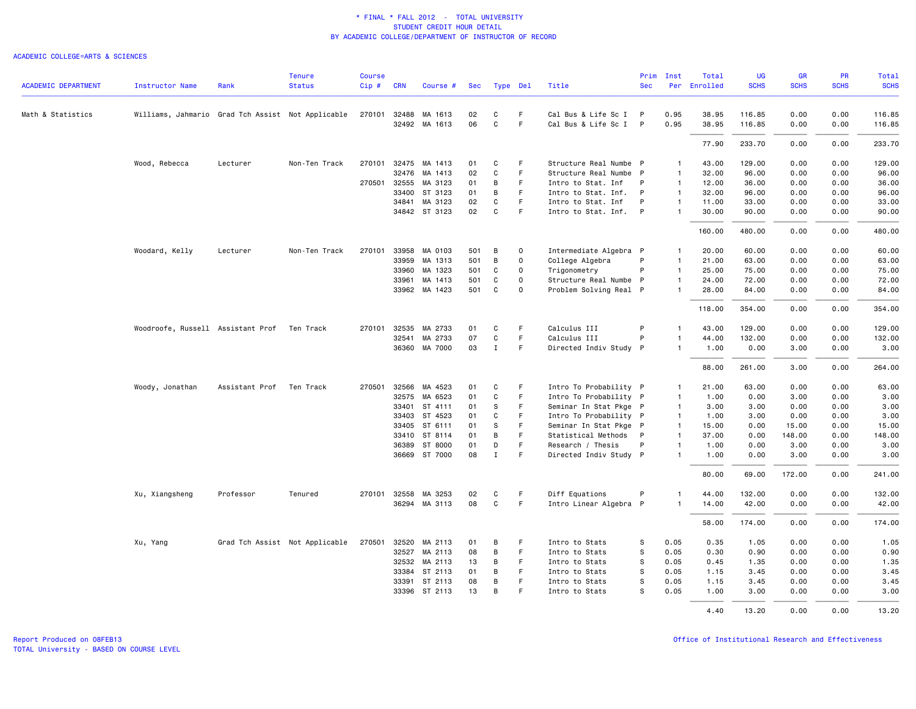| <b>ACADEMIC DEPARTMENT</b> | Instructor Name                                   | Rank                     | <b>Tenure</b><br><b>Status</b> | Course<br>Cip# | <b>CRN</b>   | Course #             | Sec |              | Type Del    | Title                  | Prim<br><b>Sec</b> | Inst<br>Per    | Total<br>Enrolled | UG<br><b>SCHS</b> | <b>GR</b><br><b>SCHS</b> | <b>PR</b><br><b>SCHS</b> | Total<br><b>SCHS</b> |
|----------------------------|---------------------------------------------------|--------------------------|--------------------------------|----------------|--------------|----------------------|-----|--------------|-------------|------------------------|--------------------|----------------|-------------------|-------------------|--------------------------|--------------------------|----------------------|
|                            |                                                   |                          |                                |                |              |                      |     |              |             |                        |                    |                |                   |                   |                          |                          |                      |
| Math & Statistics          | Williams, Jahmario Grad Tch Assist Not Applicable |                          |                                |                |              | 270101 32488 MA 1613 | 02  | C            | F           | Cal Bus & Life Sc I P  |                    | 0.95           | 38.95             | 116.85            | 0.00                     | 0.00                     | 116.85               |
|                            |                                                   |                          |                                |                |              | 32492 MA 1613        | 06  | C            | F.          | Cal Bus & Life Sc I P  |                    | 0.95           | 38.95             | 116.85            | 0.00                     | 0.00                     | 116.85               |
|                            |                                                   |                          |                                |                |              |                      |     |              |             |                        |                    |                | 77.90             | 233.70            | 0.00                     | 0.00                     | 233.70               |
|                            | Wood, Rebecca                                     | Lecturer                 | Non-Ten Track                  | 270101         | 32475        | MA 1413              | 01  | C            | F           | Structure Real Numbe P |                    | $\mathbf{1}$   | 43.00             | 129.00            | 0.00                     | 0.00                     | 129.00               |
|                            |                                                   |                          |                                |                | 32476        | MA 1413              | 02  | C            | F           | Structure Real Numbe P |                    | $\overline{1}$ | 32.00             | 96.00             | 0.00                     | 0.00                     | 96.00                |
|                            |                                                   |                          |                                |                | 270501 32555 | MA 3123              | 01  | В            | F.          | Intro to Stat. Inf     | P                  | $\mathbf{1}$   | 12.00             | 36.00             | 0.00                     | 0.00                     | 36.00                |
|                            |                                                   |                          |                                |                | 33400        | ST 3123              | 01  | В            | F           | Intro to Stat. Inf.    | $\mathsf{P}$       | $\mathbf{1}$   | 32.00             | 96.00             | 0.00                     | 0.00                     | 96.00                |
|                            |                                                   |                          |                                |                | 34841        | MA 3123              | 02  | C            | F           | Intro to Stat. Inf     | P                  | $\mathbf{1}$   | 11.00             | 33.00             | 0.00                     | 0.00                     | 33.00                |
|                            |                                                   |                          |                                |                |              | 34842 ST 3123        | 02  | C            | F.          | Intro to Stat. Inf. P  |                    | $\mathbf{1}$   | 30.00             | 90.00             | 0.00                     | 0.00                     | 90.00                |
|                            |                                                   |                          |                                |                |              |                      |     |              |             |                        |                    |                | 160.00            | 480.00            | 0.00                     | 0.00                     | 480.00               |
|                            | Woodard, Kelly                                    | Lecturer                 | Non-Ten Track                  | 270101         | 33958        | MA 0103              | 501 | В            | $\mathbf 0$ | Intermediate Algebra P |                    | $\mathbf{1}$   | 20.00             | 60.00             | 0.00                     | 0.00                     | 60.00                |
|                            |                                                   |                          |                                |                |              | 33959 MA 1313        | 501 | B            | $\Omega$    | College Algebra        | P                  | $\mathbf{1}$   | 21.00             | 63,00             | 0.00                     | 0.00                     | 63.00                |
|                            |                                                   |                          |                                |                |              | 33960 MA 1323        | 501 | C            | $\mathbf 0$ | Trigonometry           | P                  | $\mathbf{1}$   | 25.00             | 75.00             | 0.00                     | 0.00                     | 75.00                |
|                            |                                                   |                          |                                |                | 33961        | MA 1413              | 501 | C            | $\mathbf 0$ | Structure Real Numbe P |                    | $\mathbf{1}$   | 24.00             | 72.00             | 0.00                     | 0.00                     | 72.00                |
|                            |                                                   |                          |                                |                |              | 33962 MA 1423        | 501 | C            | $\Omega$    | Problem Solving Real P |                    | $\mathbf{1}$   | 28.00             | 84.00             | 0.00                     | 0.00                     | 84.00                |
|                            |                                                   |                          |                                |                |              |                      |     |              |             |                        |                    |                | 118.00            | 354.00            | 0.00                     | 0.00                     | 354.00               |
|                            | Woodroofe, Russell Assistant Prof Ten Track       |                          |                                |                |              | 270101 32535 MA 2733 | 01  | C            | F           | Calculus III           | P                  | $\mathbf{1}$   | 43.00             | 129.00            | 0.00                     | 0.00                     | 129.00               |
|                            |                                                   |                          |                                |                | 32541        | MA 2733              | 07  | C            | F.          | Calculus III           | P                  | $\mathbf{1}$   | 44.00             | 132.00            | 0.00                     | 0.00                     | 132.00               |
|                            |                                                   |                          |                                |                |              | 36360 MA 7000        | 03  | $\mathbf I$  | F           | Directed Indiv Study P |                    | $\mathbf{1}$   | 1.00              | 0.00              | 3.00                     | 0.00                     | 3.00                 |
|                            |                                                   |                          |                                |                |              |                      |     |              |             |                        |                    |                | 88.00             | 261.00            | 3.00                     | 0.00                     | 264.00               |
|                            | Woody, Jonathan                                   | Assistant Prof Ten Track |                                |                |              | 270501 32566 MA 4523 | 01  | C            | F           | Intro To Probability P |                    | -1             | 21.00             | 63.00             | 0.00                     | 0.00                     | 63.00                |
|                            |                                                   |                          |                                |                | 32575        | MA 6523              | 01  | C            | F.          | Intro To Probability P |                    | $\mathbf{1}$   | 1.00              | 0.00              | 3.00                     | 0.00                     | 3.00                 |
|                            |                                                   |                          |                                |                | 33401        | ST 4111              | 01  | S            | F           | Seminar In Stat Pkge P |                    | $\mathbf{1}$   | 3.00              | 3.00              | 0.00                     | 0.00                     | 3.00                 |
|                            |                                                   |                          |                                |                |              | 33403 ST 4523        | 01  | C            | F.          | Intro To Probability P |                    | $\mathbf{1}$   | 1.00              | 3.00              | 0.00                     | 0.00                     | 3.00                 |
|                            |                                                   |                          |                                |                | 33405        | ST 6111              | 01  | s            | F.          | Seminar In Stat Pkge P |                    | $\mathbf{1}$   | 15.00             | 0.00              | 15.00                    | 0.00                     | 15.00                |
|                            |                                                   |                          |                                |                | 33410        | ST 8114              | 01  | В            | F           | Statistical Methods    | $\mathsf{P}$       | $\mathbf{1}$   | 37.00             | 0.00              | 148.00                   | 0.00                     | 148.00               |
|                            |                                                   |                          |                                |                | 36389        | ST 8000              | 01  | D            | F           | Research / Thesis      | P                  | $\mathbf{1}$   | 1.00              | 0.00              | 3.00                     | 0.00                     | 3.00                 |
|                            |                                                   |                          |                                |                |              | 36669 ST 7000        | 08  | $\mathbf{I}$ | F.          | Directed Indiv Study P |                    | $\mathbf{1}$   | 1.00              | 0.00              | 3.00                     | 0.00                     | 3.00                 |
|                            |                                                   |                          |                                |                |              |                      |     |              |             |                        |                    |                | 80.00             | 69.00             | 172.00                   | 0.00                     | 241.00               |
|                            | Xu, Xiangsheng                                    | Professor                | Tenured                        |                | 270101 32558 | MA 3253              | 02  | С            | F           | Diff Equations         | P                  | $\mathbf{1}$   | 44.00             | 132.00            | 0.00                     | 0.00                     | 132.00               |
|                            |                                                   |                          |                                |                |              | 36294 MA 3113        | 08  | C            | F           | Intro Linear Algebra P |                    | $\mathbf{1}$   | 14.00             | 42.00             | 0.00                     | 0.00                     | 42.00                |
|                            |                                                   |                          |                                |                |              |                      |     |              |             |                        |                    |                | 58.00             | 174.00            | 0.00                     | 0.00                     | 174.00               |
|                            | Xu, Yang                                          |                          | Grad Tch Assist Not Applicable |                |              | 270501 32520 MA 2113 | 01  | B            | F.          | Intro to Stats         | S                  | 0.05           | 0.35              | 1.05              | 0.00                     | 0.00                     | 1.05                 |
|                            |                                                   |                          |                                |                | 32527        | MA 2113              | 08  | В            | F.          | Intro to Stats         | S                  | 0.05           | 0.30              | 0.90              | 0.00                     | 0.00                     | 0.90                 |
|                            |                                                   |                          |                                |                |              | 32532 MA 2113        | 13  | В            | F           | Intro to Stats         | s                  | 0.05           | 0.45              | 1.35              | 0.00                     | 0.00                     | 1.35                 |
|                            |                                                   |                          |                                |                |              | 33384 ST 2113        | 01  | В            | F.          | Intro to Stats         | s                  | 0.05           | 1.15              | 3.45              | 0.00                     | 0.00                     | 3.45                 |
|                            |                                                   |                          |                                |                | 33391        | ST 2113              | 08  | В            | F.          | Intro to Stats         | S                  | 0.05           | 1.15              | 3.45              | 0.00                     | 0.00                     | 3.45                 |
|                            |                                                   |                          |                                |                |              | 33396 ST 2113        | 13  | B            | F           | Intro to Stats         | S                  | 0.05           | 1.00              | 3.00              | 0.00                     | 0.00                     | 3.00                 |
|                            |                                                   |                          |                                |                |              |                      |     |              |             |                        |                    |                | 4.40              | 13.20             | 0.00                     | 0.00                     | 13.20                |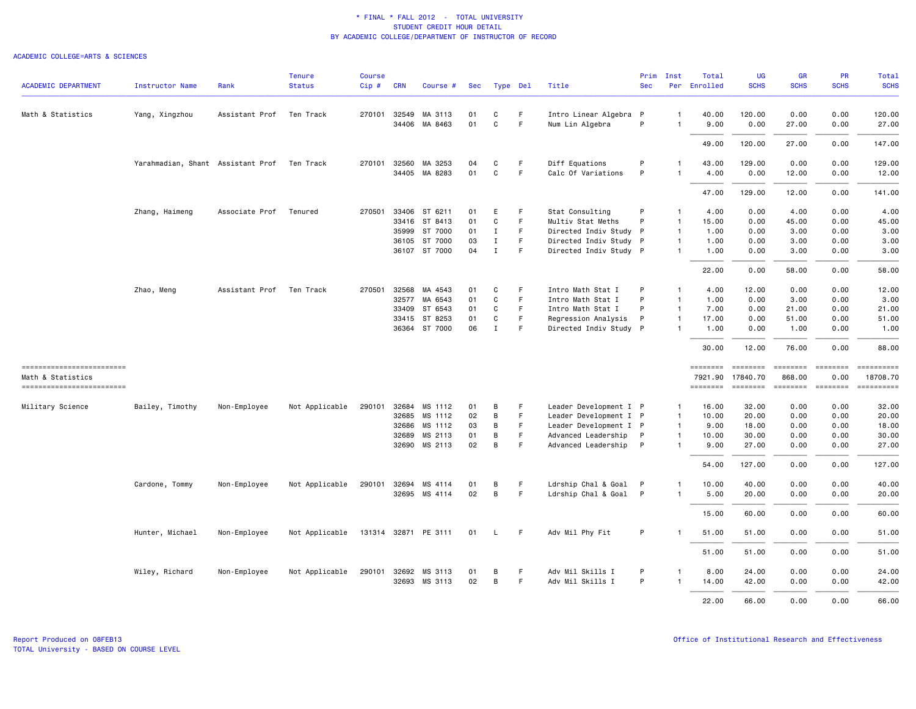| <b>ACADEMIC DEPARTMENT</b>                    | <b>Instructor Name</b>            | Rank           | <b>Tenure</b><br><b>Status</b> | <b>Course</b><br>Cip# | <b>CRN</b>   | Course #             | Sec |              | Type Del | Title                  | Prim<br><b>Sec</b> | Inst           | Total<br>Per Enrolled | <b>UG</b><br><b>SCHS</b> | GR<br><b>SCHS</b>      | <b>PR</b><br><b>SCHS</b> | Total<br><b>SCHS</b>   |
|-----------------------------------------------|-----------------------------------|----------------|--------------------------------|-----------------------|--------------|----------------------|-----|--------------|----------|------------------------|--------------------|----------------|-----------------------|--------------------------|------------------------|--------------------------|------------------------|
|                                               |                                   |                |                                |                       |              |                      |     |              |          |                        |                    |                |                       |                          |                        |                          |                        |
| Math & Statistics                             | Yang, Xingzhou                    | Assistant Prof | Ten Track                      |                       | 270101 32549 | MA 3113              | 01  | C            | F.       | Intro Linear Algebra P |                    | $\mathbf{1}$   | 40.00                 | 120.00                   | 0.00                   | 0.00                     | 120.00                 |
|                                               |                                   |                |                                |                       | 34406        | MA 8463              | 01  | $\mathbf{C}$ | F.       | Num Lin Algebra        | P                  | $\mathbf{1}$   | 9.00                  | 0.00                     | 27.00                  | 0.00                     | 27.00                  |
|                                               |                                   |                |                                |                       |              |                      |     |              |          |                        |                    |                | 49.00                 | 120.00                   | 27.00                  | 0.00                     | 147.00                 |
|                                               | Yarahmadian, Shant Assistant Prof |                | Ten Track                      |                       | 270101 32560 | MA 3253              | 04  | C            | F        | Diff Equations         | P                  |                | 43.00                 | 129.00                   | 0.00                   | 0.00                     | 129.00                 |
|                                               |                                   |                |                                |                       |              | 34405 MA 8283        | 01  | C            | F.       | Calc Of Variations     | P                  | 1              | 4.00                  | 0.00                     | 12.00                  | 0.00                     | 12.00                  |
|                                               |                                   |                |                                |                       |              |                      |     |              |          |                        |                    |                | 47.00                 | 129.00                   | 12.00                  | 0.00                     | 141.00                 |
|                                               | Zhang, Haimeng                    | Associate Prof | Tenured                        | 270501                | 33406        | ST 6211              | 01  | E            | F        | Stat Consulting        | P                  | $\mathbf{1}$   | 4.00                  | 0.00                     | 4.00                   | 0.00                     | 4.00                   |
|                                               |                                   |                |                                |                       | 33416        | ST 8413              | 01  | C            | F        | Multiv Stat Meths      | P                  | $\mathbf{1}$   | 15.00                 | 0.00                     | 45.00                  | 0.00                     | 45.00                  |
|                                               |                                   |                |                                |                       | 35999        | ST 7000              | 01  | Ι.           | F.       | Directed Indiv Study P |                    | $\overline{1}$ | 1.00                  | 0.00                     | 3.00                   | 0.00                     | 3.00                   |
|                                               |                                   |                |                                |                       |              | 36105 ST 7000        | 03  | $\mathbf I$  | F        | Directed Indiv Study P |                    | $\mathbf{1}$   | 1.00                  | 0.00                     | 3.00                   | 0.00                     | 3.00                   |
|                                               |                                   |                |                                |                       |              | 36107 ST 7000        | 04  | $\mathbf I$  | F.       | Directed Indiv Study P |                    | 1              | 1.00                  | 0.00                     | 3.00                   | 0.00                     | 3.00                   |
|                                               |                                   |                |                                |                       |              |                      |     |              |          |                        |                    |                | 22.00                 | 0.00                     | 58.00                  | 0.00                     | 58.00                  |
|                                               | Zhao, Meng                        | Assistant Prof | Ten Track                      | 270501                | 32568        | MA 4543              | 01  | C            | F        | Intro Math Stat I      | P                  | $\mathbf{1}$   | 4.00                  | 12.00                    | 0.00                   | 0.00                     | 12.00                  |
|                                               |                                   |                |                                |                       | 32577        | MA 6543              | 01  | C            | F.       | Intro Math Stat I      | P                  | $\mathbf{1}$   | 1.00                  | 0.00                     | 3.00                   | 0.00                     | 3.00                   |
|                                               |                                   |                |                                |                       | 33409        | ST 6543              | 01  | C            | F        | Intro Math Stat I      | P                  | $\mathbf{1}$   | 7.00                  | 0.00                     | 21.00                  | 0.00                     | 21.00                  |
|                                               |                                   |                |                                |                       | 33415        | ST 8253              | 01  | C            | F        | Regression Analysis    | P                  | $\mathbf{1}$   | 17.00                 | 0.00                     | 51.00                  | 0.00                     | 51.00                  |
|                                               |                                   |                |                                |                       |              | 36364 ST 7000        | 06  | $\mathbf I$  | F.       | Directed Indiv Study P |                    | $\mathbf{1}$   | 1.00                  | 0.00                     | 1.00                   | 0.00                     | 1.00                   |
|                                               |                                   |                |                                |                       |              |                      |     |              |          |                        |                    |                | 30.00                 | 12.00                    | 76.00                  | 0.00                     | 88.00                  |
| ------------------------                      |                                   |                |                                |                       |              |                      |     |              |          |                        |                    |                | ========              | <b>ESSESSE</b>           | <b>SEBBEBEB</b>        |                          | ==========             |
| Math & Statistics<br>------------------------ |                                   |                |                                |                       |              |                      |     |              |          |                        |                    |                | 7921.90<br>========   | 17840.70<br>========     | 868.00<br>$=$ ======== | 0.00                     | 18708.70<br>========== |
| Military Science                              | Bailey, Timothy                   | Non-Employee   | Not Applicable                 |                       |              | 290101 32684 MS 1112 | 01  | B            | F        | Leader Development I P |                    | $\mathbf{1}$   | 16.00                 | 32.00                    | 0.00                   | 0.00                     | 32.00                  |
|                                               |                                   |                |                                |                       |              | 32685 MS 1112        | 02  | B            | F        | Leader Development I P |                    | $\mathbf{1}$   | 10.00                 | 20.00                    | 0.00                   | 0.00                     | 20.00                  |
|                                               |                                   |                |                                |                       |              |                      | 03  | B            | F.       | Leader Development I P |                    | $\mathbf{1}$   |                       |                          |                        |                          | 18.00                  |
|                                               |                                   |                |                                |                       | 32686        | MS 1112              |     |              |          |                        |                    |                | 9.00                  | 18.00                    | 0.00                   | 0.00                     |                        |
|                                               |                                   |                |                                |                       | 32689        | MS 2113              | 01  | В            | F        | Advanced Leadership    | $\mathsf{P}$       | $\mathbf{1}$   | 10.00                 | 30.00                    | 0.00                   | 0.00                     | 30.00                  |
|                                               |                                   |                |                                |                       |              | 32690 MS 2113        | 02  | B            | F        | Advanced Leadership    | $\mathsf{P}$       | $\mathbf{1}$   | 9.00                  | 27.00                    | 0.00                   | 0.00                     | 27.00                  |
|                                               |                                   |                |                                |                       |              |                      |     |              |          |                        |                    |                | 54.00                 | 127.00                   | 0.00                   | 0.00                     | 127.00                 |
|                                               | Cardone, Tommy                    | Non-Employee   | Not Applicable                 |                       | 290101 32694 | MS 4114              | 01  | B            | F.       | Ldrship Chal & Goal P  |                    | 1              | 10.00                 | 40.00                    | 0.00                   | 0.00                     | 40.00                  |
|                                               |                                   |                |                                |                       |              | 32695 MS 4114        | 02  | B            | F        | Ldrship Chal & Goal P  |                    | 1              | 5.00                  | 20.00                    | 0.00                   | 0.00                     | 20.00                  |
|                                               |                                   |                |                                |                       |              |                      |     |              |          |                        |                    |                |                       |                          |                        |                          |                        |
|                                               |                                   |                |                                |                       |              |                      |     |              |          |                        |                    |                | 15.00                 | 60.00                    | 0.00                   | 0.00                     | 60.00                  |
|                                               | Hunter, Michael                   | Non-Employee   | Not Applicable                 |                       |              | 131314 32871 PE 3111 | 01  | $\mathsf{L}$ | F.       | Adv Mil Phy Fit        | P                  |                | 51.00                 | 51.00                    | 0.00                   | 0.00                     | 51.00                  |
|                                               |                                   |                |                                |                       |              |                      |     |              |          |                        |                    |                | 51.00                 | 51.00                    | 0.00                   | 0.00                     | 51.00                  |
|                                               | Wiley, Richard                    | Non-Employee   | Not Applicable                 |                       | 290101 32692 | MS 3113              | 01  | В            | F        | Adv Mil Skills I       | P                  | $\mathbf{1}$   | 8.00                  | 24.00                    | 0.00                   | 0.00                     | 24.00                  |
|                                               |                                   |                |                                |                       | 32693        | MS 3113              | 02  | B            | F.       | Adv Mil Skills I       | P                  | $\mathbf{1}$   | 14.00                 | 42.00                    | 0.00                   | 0.00                     | 42.00                  |
|                                               |                                   |                |                                |                       |              |                      |     |              |          |                        |                    |                |                       |                          |                        |                          |                        |
|                                               |                                   |                |                                |                       |              |                      |     |              |          |                        |                    |                | 22.00                 | 66.00                    | 0.00                   | 0.00                     | 66,00                  |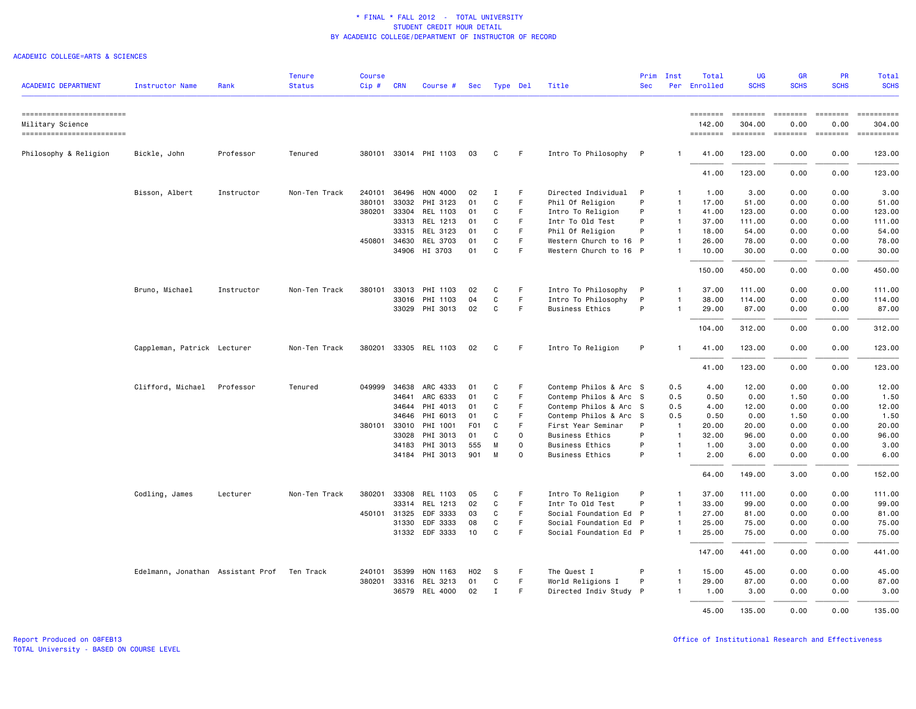| <b>ACADEMIC DEPARTMENT</b>                                                  | <b>Instructor Name</b>                      | Rank       | <b>Tenure</b><br><b>Status</b> | <b>Course</b><br>Cip# | <b>CRN</b>   | Course #              | Sec | Type Del     |             | Title                  | <b>Sec</b>   | Prim Inst      | Total<br>Per Enrolled                 | UG<br><b>SCHS</b>                                                                                                                                                                                                                                                                                                                                                                                                                                                                                                  | <b>GR</b><br><b>SCHS</b>                                                                                                                                      | <b>PR</b><br><b>SCHS</b>                | Total<br><b>SCHS</b> |
|-----------------------------------------------------------------------------|---------------------------------------------|------------|--------------------------------|-----------------------|--------------|-----------------------|-----|--------------|-------------|------------------------|--------------|----------------|---------------------------------------|--------------------------------------------------------------------------------------------------------------------------------------------------------------------------------------------------------------------------------------------------------------------------------------------------------------------------------------------------------------------------------------------------------------------------------------------------------------------------------------------------------------------|---------------------------------------------------------------------------------------------------------------------------------------------------------------|-----------------------------------------|----------------------|
|                                                                             |                                             |            |                                |                       |              |                       |     |              |             |                        |              |                |                                       |                                                                                                                                                                                                                                                                                                                                                                                                                                                                                                                    |                                                                                                                                                               |                                         |                      |
| ==========================<br>Military Science<br>========================= |                                             |            |                                |                       |              |                       |     |              |             |                        |              |                | <b>ESSESSEE</b><br>142.00<br>======== | $\begin{array}{cccccccccc} \multicolumn{2}{c}{} & \multicolumn{2}{c}{} & \multicolumn{2}{c}{} & \multicolumn{2}{c}{} & \multicolumn{2}{c}{} & \multicolumn{2}{c}{} & \multicolumn{2}{c}{} & \multicolumn{2}{c}{} & \multicolumn{2}{c}{} & \multicolumn{2}{c}{} & \multicolumn{2}{c}{} & \multicolumn{2}{c}{} & \multicolumn{2}{c}{} & \multicolumn{2}{c}{} & \multicolumn{2}{c}{} & \multicolumn{2}{c}{} & \multicolumn{2}{c}{} & \multicolumn{2}{c}{} & \multicolumn{2}{c}{} & \mult$<br>304.00<br><b>ESSESSE</b> | $= 222222222$<br>0.00<br>$\qquad \qquad \blacksquare \blacksquare \blacksquare \blacksquare \blacksquare \blacksquare \blacksquare \blacksquare \blacksquare$ | $= 222222222$<br>0.00<br><b>ESSESSE</b> | ==========<br>304.00 |
| Philosophy & Religion                                                       | Bickle, John                                | Professor  | Tenured                        |                       |              | 380101 33014 PHI 1103 | 03  | C            | F.          | Intro To Philosophy P  |              | -1             | 41.00                                 | 123.00                                                                                                                                                                                                                                                                                                                                                                                                                                                                                                             | 0.00                                                                                                                                                          | 0.00                                    | 123.00               |
|                                                                             |                                             |            |                                |                       |              |                       |     |              |             |                        |              |                | 41.00                                 | 123.00                                                                                                                                                                                                                                                                                                                                                                                                                                                                                                             | 0.00                                                                                                                                                          | 0.00                                    | 123.00               |
|                                                                             | Bisson, Albert                              | Instructor | Non-Ten Track                  | 240101                | 36496        | HON 4000              | 02  | <b>I</b>     | F           | Directed Individual    | P            | -1             | 1.00                                  | 3.00                                                                                                                                                                                                                                                                                                                                                                                                                                                                                                               | 0.00                                                                                                                                                          | 0.00                                    | 3.00                 |
|                                                                             |                                             |            |                                | 380101                | 33032        | PHI 3123              | 01  | C            | F           | Phil Of Religion       | P            | $\mathbf{1}$   | 17.00                                 | 51.00                                                                                                                                                                                                                                                                                                                                                                                                                                                                                                              | 0.00                                                                                                                                                          | 0.00                                    | 51.00                |
|                                                                             |                                             |            |                                |                       | 380201 33304 | REL 1103              | 01  | C            | F.          | Intro To Religion      | P            | $\overline{1}$ | 41.00                                 | 123.00                                                                                                                                                                                                                                                                                                                                                                                                                                                                                                             | 0.00                                                                                                                                                          | 0.00                                    | 123.00               |
|                                                                             |                                             |            |                                |                       | 33313        | REL 1213              | 01  | C            | F           | Intr To Old Test       | P            | $\mathbf{1}$   | 37.00                                 | 111.00                                                                                                                                                                                                                                                                                                                                                                                                                                                                                                             | 0.00                                                                                                                                                          | 0.00                                    | 111.00               |
|                                                                             |                                             |            |                                |                       | 33315        | REL 3123              | 01  | C            | F           | Phil Of Religion       | P            | $\mathbf{1}$   | 18.00                                 | 54.00                                                                                                                                                                                                                                                                                                                                                                                                                                                                                                              | 0.00                                                                                                                                                          | 0.00                                    | 54.00                |
|                                                                             |                                             |            |                                |                       | 450801 34630 | REL 3703              | 01  | C            | F           | Western Church to 16 P |              | $\mathbf{1}$   | 26.00                                 | 78.00                                                                                                                                                                                                                                                                                                                                                                                                                                                                                                              | 0.00                                                                                                                                                          | 0.00                                    | 78.00                |
|                                                                             |                                             |            |                                |                       |              | 34906 HI 3703         | 01  | C            | F           | Western Church to 16 P |              |                | 10.00                                 | 30.00                                                                                                                                                                                                                                                                                                                                                                                                                                                                                                              | 0.00                                                                                                                                                          | 0.00                                    | 30.00                |
|                                                                             |                                             |            |                                |                       |              |                       |     |              |             |                        |              |                | 150.00                                | 450.00                                                                                                                                                                                                                                                                                                                                                                                                                                                                                                             | 0.00                                                                                                                                                          | 0.00                                    | 450.00               |
|                                                                             | Bruno, Michael                              | Instructor | Non-Ten Track                  | 380101                | 33013        | PHI 1103              | 02  | C            | F           | Intro To Philosophy    | $\mathsf{P}$ | $\mathbf{1}$   | 37.00                                 | 111.00                                                                                                                                                                                                                                                                                                                                                                                                                                                                                                             | 0.00                                                                                                                                                          | 0.00                                    | 111.00               |
|                                                                             |                                             |            |                                |                       |              | 33016 PHI 1103        | 04  | C            | F.          | Intro To Philosophy    | P            | $\mathbf{1}$   | 38.00                                 | 114.00                                                                                                                                                                                                                                                                                                                                                                                                                                                                                                             | 0.00                                                                                                                                                          | 0.00                                    | 114.00               |
|                                                                             |                                             |            |                                |                       |              | 33029 PHI 3013        | 02  | C            | F.          | <b>Business Ethics</b> | P            |                | 29.00                                 | 87.00                                                                                                                                                                                                                                                                                                                                                                                                                                                                                                              | 0.00                                                                                                                                                          | 0.00                                    | 87.00                |
|                                                                             |                                             |            |                                |                       |              |                       |     |              |             |                        |              |                | 104.00                                | 312.00                                                                                                                                                                                                                                                                                                                                                                                                                                                                                                             | 0.00                                                                                                                                                          | 0.00                                    | 312.00               |
|                                                                             | Cappleman, Patrick Lecturer                 |            | Non-Ten Track                  | 380201                |              | 33305 REL 1103        | 02  | C            | F.          | Intro To Religion      | P            | 1              | 41.00                                 | 123.00                                                                                                                                                                                                                                                                                                                                                                                                                                                                                                             | 0.00                                                                                                                                                          | 0.00                                    | 123.00               |
|                                                                             |                                             |            |                                |                       |              |                       |     |              |             |                        |              |                | 41.00                                 | 123.00                                                                                                                                                                                                                                                                                                                                                                                                                                                                                                             | 0.00                                                                                                                                                          | 0.00                                    | 123.00               |
|                                                                             | Clifford, Michael                           | Professor  | Tenured                        | 049999                |              | 34638 ARC 4333        | 01  | C            | F           | Contemp Philos & Arc S |              | 0.5            | 4.00                                  | 12.00                                                                                                                                                                                                                                                                                                                                                                                                                                                                                                              | 0.00                                                                                                                                                          | 0.00                                    | 12.00                |
|                                                                             |                                             |            |                                |                       | 34641        | ARC 6333              | 01  | C            | F           | Contemp Philos & Arc S |              | 0.5            | 0.50                                  | 0.00                                                                                                                                                                                                                                                                                                                                                                                                                                                                                                               | 1.50                                                                                                                                                          | 0.00                                    | 1.50                 |
|                                                                             |                                             |            |                                |                       | 34644        | PHI 4013              | 01  | C            | F           | Contemp Philos & Arc S |              | 0.5            | 4.00                                  | 12.00                                                                                                                                                                                                                                                                                                                                                                                                                                                                                                              | 0.00                                                                                                                                                          | 0.00                                    | 12.00                |
|                                                                             |                                             |            |                                |                       | 34646        | PHI 6013              | 01  | C            | F           | Contemp Philos & Arc S |              | 0.5            | 0.50                                  | 0.00                                                                                                                                                                                                                                                                                                                                                                                                                                                                                                               | 1.50                                                                                                                                                          | 0.00                                    | 1.50                 |
|                                                                             |                                             |            |                                |                       | 380101 33010 | PHI 1001              | F01 | C            | F           | First Year Seminar     | P            | $\overline{1}$ | 20.00                                 | 20.00                                                                                                                                                                                                                                                                                                                                                                                                                                                                                                              | 0.00                                                                                                                                                          | 0.00                                    | 20.00                |
|                                                                             |                                             |            |                                |                       | 33028        | PHI 3013              | 01  | C            | $\circ$     | <b>Business Ethics</b> | P            | $\mathbf{1}$   | 32.00                                 | 96.00                                                                                                                                                                                                                                                                                                                                                                                                                                                                                                              | 0.00                                                                                                                                                          | 0.00                                    | 96.00                |
|                                                                             |                                             |            |                                |                       | 34183        | PHI 3013              | 555 | M            | $\mathbf 0$ | <b>Business Ethics</b> | P            | $\mathbf{1}$   | 1.00                                  | 3.00                                                                                                                                                                                                                                                                                                                                                                                                                                                                                                               | 0.00                                                                                                                                                          | 0.00                                    | 3.00                 |
|                                                                             |                                             |            |                                |                       |              | 34184 PHI 3013        | 901 | M            | $\Omega$    | <b>Business Ethics</b> | P            | $\mathbf{1}$   | 2.00                                  | 6.00                                                                                                                                                                                                                                                                                                                                                                                                                                                                                                               | 0.00                                                                                                                                                          | 0.00                                    | 6.00                 |
|                                                                             |                                             |            |                                |                       |              |                       |     |              |             |                        |              |                | 64.00                                 | 149.00                                                                                                                                                                                                                                                                                                                                                                                                                                                                                                             | 3.00                                                                                                                                                          | 0.00                                    | 152.00               |
|                                                                             | Codling, James                              | Lecturer   | Non-Ten Track                  | 380201                | 33308        | REL 1103              | 05  | C            | F           | Intro To Religion      | P            | 1              | 37.00                                 | 111.00                                                                                                                                                                                                                                                                                                                                                                                                                                                                                                             | 0.00                                                                                                                                                          | 0.00                                    | 111.00               |
|                                                                             |                                             |            |                                |                       | 33314        | REL 1213              | 02  | C            | F.          | Intr To Old Test       | P            | $\mathbf{1}$   | 33.00                                 | 99.00                                                                                                                                                                                                                                                                                                                                                                                                                                                                                                              | 0.00                                                                                                                                                          | 0.00                                    | 99.00                |
|                                                                             |                                             |            |                                |                       | 450101 31325 | EDF 3333              | 03  | C            | F           | Social Foundation Ed P |              | $\mathbf{1}$   | 27.00                                 | 81.00                                                                                                                                                                                                                                                                                                                                                                                                                                                                                                              | 0.00                                                                                                                                                          | 0.00                                    | 81.00                |
|                                                                             |                                             |            |                                |                       | 31330        | EDF 3333              | 08  | C            | F.          | Social Foundation Ed P |              | $\mathbf{1}$   | 25.00                                 | 75.00                                                                                                                                                                                                                                                                                                                                                                                                                                                                                                              | 0.00                                                                                                                                                          | 0.00                                    | 75.00                |
|                                                                             |                                             |            |                                |                       | 31332        | EDF 3333              | 10  | C            | F           | Social Foundation Ed P |              |                | 25.00                                 | 75.00                                                                                                                                                                                                                                                                                                                                                                                                                                                                                                              | 0.00                                                                                                                                                          | 0.00                                    | 75.00                |
|                                                                             |                                             |            |                                |                       |              |                       |     |              |             |                        |              |                | 147.00                                | 441.00                                                                                                                                                                                                                                                                                                                                                                                                                                                                                                             | 0.00                                                                                                                                                          | 0.00                                    | 441.00               |
|                                                                             | Edelmann, Jonathan Assistant Prof Ten Track |            |                                |                       | 240101 35399 | HON 1163              | H02 | S            | F           | The Quest I            | P            | $\mathbf{1}$   | 15.00                                 | 45.00                                                                                                                                                                                                                                                                                                                                                                                                                                                                                                              | 0.00                                                                                                                                                          | 0.00                                    | 45.00                |
|                                                                             |                                             |            |                                |                       |              | 380201 33316 REL 3213 | 01  | C            | F           | World Religions I      | P            | $\mathbf{1}$   | 29.00                                 | 87.00                                                                                                                                                                                                                                                                                                                                                                                                                                                                                                              | 0.00                                                                                                                                                          | 0.00                                    | 87.00                |
|                                                                             |                                             |            |                                |                       |              | 36579 REL 4000        | 02  | $\mathbf{I}$ | F.          | Directed Indiv Study P |              |                | 1.00                                  | 3.00                                                                                                                                                                                                                                                                                                                                                                                                                                                                                                               | 0.00                                                                                                                                                          | 0.00                                    | 3.00                 |
|                                                                             |                                             |            |                                |                       |              |                       |     |              |             |                        |              |                | 45.00                                 | 135.00                                                                                                                                                                                                                                                                                                                                                                                                                                                                                                             | 0.00                                                                                                                                                          | 0.00                                    | 135.00               |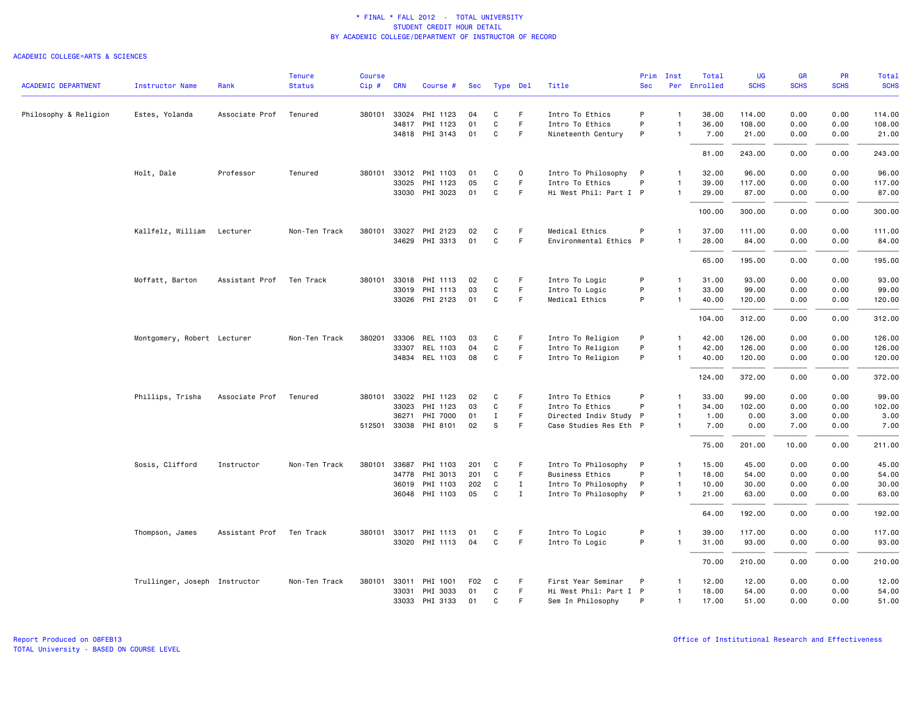|                            |                               |                | <b>Tenure</b> | <b>Course</b> |            |                       |                 |             |             |                        | Prim       | Inst           | Total        | UG          | <b>GR</b>   | <b>PR</b>   | Total       |
|----------------------------|-------------------------------|----------------|---------------|---------------|------------|-----------------------|-----------------|-------------|-------------|------------------------|------------|----------------|--------------|-------------|-------------|-------------|-------------|
| <b>ACADEMIC DEPARTMENT</b> | <b>Instructor Name</b>        | Rank           | <b>Status</b> | Cip#          | <b>CRN</b> | Course #              | Sec             | Type Del    |             | Title                  | <b>Sec</b> |                | Per Enrolled | <b>SCHS</b> | <b>SCHS</b> | <b>SCHS</b> | <b>SCHS</b> |
| Philosophy & Religion      | Estes, Yolanda                | Associate Prof | Tenured       |               |            | 380101 33024 PHI 1123 | 04              | C           | F.          | Intro To Ethics        | P          | $\mathbf{1}$   | 38.00        | 114.00      | 0.00        | 0.00        | 114.00      |
|                            |                               |                |               |               |            | 34817 PHI 1123        | 01              | C           | F           | Intro To Ethics        | P          | $\mathbf{1}$   | 36.00        | 108.00      | 0.00        | 0.00        | 108.00      |
|                            |                               |                |               |               |            | 34818 PHI 3143        | 01              | C           | F           | Nineteenth Century     | P          | $\mathbf{1}$   | 7.00         | 21.00       | 0.00        | 0.00        | 21.00       |
|                            |                               |                |               |               |            |                       |                 |             |             |                        |            |                | 81.00        | 243.00      | 0.00        | 0.00        | 243.00      |
|                            |                               |                |               |               |            |                       |                 |             |             |                        |            |                |              |             |             |             |             |
|                            | Holt, Dale                    | Professor      | Tenured       |               |            | 380101 33012 PHI 1103 | 01              | C           | $\mathsf 0$ | Intro To Philosophy P  |            | $\mathbf{1}$   | 32.00        | 96.00       | 0.00        | 0.00        | 96.00       |
|                            |                               |                |               |               | 33025      | PHI 1123              | 05              | C           | F           | Intro To Ethics        | P          | $\mathbf{1}$   | 39.00        | 117.00      | 0.00        | 0.00        | 117.00      |
|                            |                               |                |               |               |            | 33030 PHI 3023        | 01              | C           | F.          | Hi West Phil: Part I P |            | $\mathbf{1}$   | 29.00        | 87.00       | 0.00        | 0.00        | 87.00       |
|                            |                               |                |               |               |            |                       |                 |             |             |                        |            |                | 100.00       | 300.00      | 0.00        | 0.00        | 300.00      |
|                            | Kallfelz, William             | Lecturer       | Non-Ten Track | 380101        | 33027      | PHI 2123              | 02              | C           | F.          | Medical Ethics         | P          | $\mathbf{1}$   | 37.00        | 111.00      | 0.00        | 0.00        | 111.00      |
|                            |                               |                |               |               | 34629      | PHI 3313              | 01              | C           | F.          | Environmental Ethics P |            | -1             | 28.00        | 84.00       | 0.00        | 0.00        | 84.00       |
|                            |                               |                |               |               |            |                       |                 |             |             |                        |            |                | 65.00        | 195.00      | 0.00        | 0.00        | 195.00      |
|                            | Moffatt, Barton               | Assistant Prof | Ten Track     |               |            | 380101 33018 PHI 1113 | 02              | C           | F.          | Intro To Logic         | P          | $\mathbf{1}$   | 31.00        | 93.00       | 0.00        | 0.00        | 93.00       |
|                            |                               |                |               |               |            | 33019 PHI 1113        | 03              | $\mathbf C$ | F           | Intro To Logic         | P          | $\mathbf{1}$   | 33.00        | 99.00       | 0.00        | 0.00        | 99.00       |
|                            |                               |                |               |               |            | 33026 PHI 2123        | 01              | C           | F.          | Medical Ethics         | P          |                | 40.00        | 120.00      | 0.00        | 0.00        | 120.00      |
|                            |                               |                |               |               |            |                       |                 |             |             |                        |            |                | 104.00       | 312.00      | 0.00        | 0.00        | 312.00      |
|                            | Montgomery, Robert Lecturer   |                | Non-Ten Track | 380201        |            | 33306 REL 1103        | 03              | C           | -F          | Intro To Religion      | P          | $\mathbf{1}$   | 42.00        | 126.00      | 0.00        | 0.00        | 126.00      |
|                            |                               |                |               |               | 33307      | REL 1103              | 04              | C           | F           | Intro To Religion      | P          | $\mathbf{1}$   | 42.00        | 126.00      | 0.00        | 0.00        | 126.00      |
|                            |                               |                |               |               |            | 34834 REL 1103        | 08              | C           | F           | Intro To Religion      | P          | -1             | 40.00        | 120.00      | 0.00        | 0.00        | 120.00      |
|                            |                               |                |               |               |            |                       |                 |             |             |                        |            |                | 124.00       | 372.00      | 0.00        | 0.00        | 372.00      |
|                            | Phillips, Trisha              | Associate Prof | Tenured       |               |            | 380101 33022 PHI 1123 | 02              | C           | -F          | Intro To Ethics        | P          | $\mathbf{1}$   | 33.00        | 99.00       | 0.00        | 0.00        | 99.00       |
|                            |                               |                |               |               | 33023      | PHI 1123              | 03              | C           | $\mathsf F$ | Intro To Ethics        | P          | $\mathbf{1}$   | 34.00        | 102.00      | 0.00        | 0.00        | 102.00      |
|                            |                               |                |               |               | 36271      | PHI 7000              | 01              | Ι.          | F           | Directed Indiv Study P |            | $\mathbf{1}$   | 1.00         | 0.00        | 3.00        | 0.00        | 3.00        |
|                            |                               |                |               |               |            | 512501 33038 PHI 8101 | 02              | S           | F.          | Case Studies Res Eth P |            | $\mathbf{1}$   | 7.00         | 0.00        | 7.00        | 0.00        | 7.00        |
|                            |                               |                |               |               |            |                       |                 |             |             |                        |            |                | 75.00        | 201.00      | 10.00       | 0.00        | 211.00      |
|                            | Sosis, Clifford               | Instructor     | Non-Ten Track |               |            | 380101 33687 PHI 1103 | 201             | C           | F.          | Intro To Philosophy P  |            | -1             | 15.00        | 45.00       | 0.00        | 0.00        | 45.00       |
|                            |                               |                |               |               | 34778      | PHI 3013              | 201             | C           | F           | <b>Business Ethics</b> | P          | $\overline{1}$ | 18.00        | 54.00       | 0.00        | 0.00        | 54.00       |
|                            |                               |                |               |               | 36019      | PHI 1103              | 202             | C           | Ι.          | Intro To Philosophy P  |            | $\overline{1}$ | 10.00        | 30.00       | 0.00        | 0.00        | 30.00       |
|                            |                               |                |               |               |            | 36048 PHI 1103        | 05              | C           | Ι.          | Intro To Philosophy P  |            | $\mathbf{1}$   | 21.00        | 63.00       | 0.00        | 0.00        | 63.00       |
|                            |                               |                |               |               |            |                       |                 |             |             |                        |            |                | 64.00        | 192.00      | 0.00        | 0.00        | 192.00      |
|                            | Thompson, James               | Assistant Prof | Ten Track     |               |            | 380101 33017 PHI 1113 | 01              | C           | -F          | Intro To Logic         | P          | $\mathbf{1}$   | 39.00        | 117.00      | 0.00        | 0.00        | 117.00      |
|                            |                               |                |               |               |            | 33020 PHI 1113        | 04              | C           | F.          | Intro To Logic         | P          | -1             | 31.00        | 93.00       | 0.00        | 0.00        | 93.00       |
|                            |                               |                |               |               |            |                       |                 |             |             |                        |            |                | 70.00        | 210.00      | 0.00        | 0.00        | 210.00      |
|                            | Trullinger, Joseph Instructor |                | Non-Ten Track | 380101        |            | 33011 PHI 1001        | F <sub>02</sub> | C           | F.          | First Year Seminar     | P          | -1             | 12.00        | 12.00       | 0.00        | 0.00        | 12.00       |
|                            |                               |                |               |               | 33031      | PHI 3033              | 01              | C           | F           | Hi West Phil: Part I P |            | $\mathbf{1}$   | 18.00        | 54.00       | 0.00        | 0.00        | 54.00       |
|                            |                               |                |               |               |            | 33033 PHI 3133        | 01              | C           | F.          | Sem In Philosophy      | P          | $\mathbf{1}$   | 17.00        | 51.00       | 0.00        | 0.00        | 51.00       |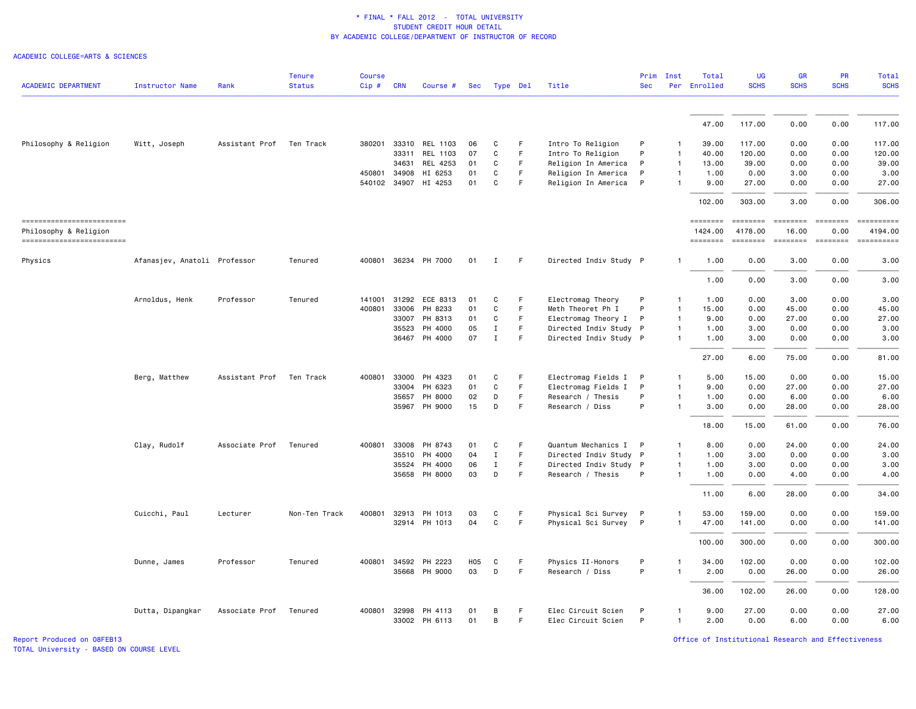ACADEMIC COLLEGE=ARTS & SCIENCES

| <b>ACADEMIC DEPARTMENT</b>                          |                              | Rank           | <b>Tenure</b><br><b>Status</b> | <b>Course</b><br>Cip# | <b>CRN</b> |                      |            |              |             | Title                  | Prim<br><b>Sec</b> | Inst         | Total<br>Per Enrolled | UG<br><b>SCHS</b>                                                                                                                                                                                                                                                                                                                                                                                                                                                                                 | GR<br><b>SCHS</b>        | PR<br><b>SCHS</b>                                                   | Total<br><b>SCHS</b>  |
|-----------------------------------------------------|------------------------------|----------------|--------------------------------|-----------------------|------------|----------------------|------------|--------------|-------------|------------------------|--------------------|--------------|-----------------------|---------------------------------------------------------------------------------------------------------------------------------------------------------------------------------------------------------------------------------------------------------------------------------------------------------------------------------------------------------------------------------------------------------------------------------------------------------------------------------------------------|--------------------------|---------------------------------------------------------------------|-----------------------|
|                                                     | <b>Instructor Name</b>       |                |                                |                       |            | Course #             | <b>Sec</b> | Type Del     |             |                        |                    |              |                       |                                                                                                                                                                                                                                                                                                                                                                                                                                                                                                   |                          |                                                                     |                       |
|                                                     |                              |                |                                |                       |            |                      |            |              |             |                        |                    |              | 47.00                 | 117.00                                                                                                                                                                                                                                                                                                                                                                                                                                                                                            | 0.00                     | 0.00                                                                | 117.00                |
|                                                     |                              |                |                                |                       |            |                      |            |              |             |                        |                    |              |                       |                                                                                                                                                                                                                                                                                                                                                                                                                                                                                                   |                          |                                                                     |                       |
| Philosophy & Religion                               | Witt, Joseph                 | Assistant Prof | Ten Track                      | 380201                | 33310      | REL 1103             | 06         | C            | F           | Intro To Religion      | P                  | 1            | 39.00                 | 117.00                                                                                                                                                                                                                                                                                                                                                                                                                                                                                            | 0.00                     | 0.00                                                                | 117.00                |
|                                                     |                              |                |                                |                       | 33311      | REL 1103             | 07         | С            | F           | Intro To Religion      | P                  | 1            | 40.00                 | 120.00                                                                                                                                                                                                                                                                                                                                                                                                                                                                                            | 0.00                     | 0.00                                                                | 120.00                |
|                                                     |                              |                |                                |                       | 34631      | REL 4253             | 01         | C            | $\mathsf F$ | Religion In America    | P                  | $\mathbf{1}$ | 13.00                 | 39.00                                                                                                                                                                                                                                                                                                                                                                                                                                                                                             | 0.00                     | 0.00                                                                | 39.00                 |
|                                                     |                              |                |                                | 450801                | 34908      | HI 6253              | 01         | C            | $\mathsf F$ | Religion In America    | P                  | $\mathbf{1}$ | 1.00                  | 0.00                                                                                                                                                                                                                                                                                                                                                                                                                                                                                              | 3.00                     | 0.00                                                                | 3.00                  |
|                                                     |                              |                |                                |                       |            | 540102 34907 HI 4253 | 01         | C            | $\mathsf F$ | Religion In America    | $\mathsf{P}$       |              | 9.00                  | 27.00                                                                                                                                                                                                                                                                                                                                                                                                                                                                                             | 0.00                     | 0.00                                                                | 27.00                 |
|                                                     |                              |                |                                |                       |            |                      |            |              |             |                        |                    |              | 102.00                | 303.00                                                                                                                                                                                                                                                                                                                                                                                                                                                                                            | 3.00                     | 0.00                                                                | 306.00                |
| ==========================<br>Philosophy & Religion |                              |                |                                |                       |            |                      |            |              |             |                        |                    |              | ========<br>1424.00   | $\begin{array}{cccccccccc} \multicolumn{2}{c}{} & \multicolumn{2}{c}{} & \multicolumn{2}{c}{} & \multicolumn{2}{c}{} & \multicolumn{2}{c}{} & \multicolumn{2}{c}{} & \multicolumn{2}{c}{} & \multicolumn{2}{c}{} & \multicolumn{2}{c}{} & \multicolumn{2}{c}{} & \multicolumn{2}{c}{} & \multicolumn{2}{c}{} & \multicolumn{2}{c}{} & \multicolumn{2}{c}{} & \multicolumn{2}{c}{} & \multicolumn{2}{c}{} & \multicolumn{2}{c}{} & \multicolumn{2}{c}{} & \multicolumn{2}{c}{} & \mult$<br>4178.00 | $= 10000000000$<br>16.00 | $\begin{array}{ccc}\n 255555556 \\ 265555566\n \end{array}$<br>0.00 | ==========<br>4194.00 |
| ------------------------                            |                              |                |                                |                       |            |                      |            |              |             |                        |                    |              | ========              | ========                                                                                                                                                                                                                                                                                                                                                                                                                                                                                          | ========                 | <b>EDEDEDER</b>                                                     | ==========            |
| Physics                                             | Afanasjev, Anatoli Professor |                | Tenured                        |                       |            | 400801 36234 PH 7000 | 01         | $\mathbf{I}$ | F           | Directed Indiv Study P |                    |              | 1.00                  | 0.00                                                                                                                                                                                                                                                                                                                                                                                                                                                                                              | 3.00                     | 0.00                                                                | 3.00                  |
|                                                     |                              |                |                                |                       |            |                      |            |              |             |                        |                    |              | 1.00                  | 0.00                                                                                                                                                                                                                                                                                                                                                                                                                                                                                              | 3.00                     | 0.00                                                                | 3.00                  |
|                                                     | Arnoldus, Henk               | Professor      | Tenured                        | 141001                | 31292      | ECE 8313             | 01         | C            | F           | Electromag Theory      | P                  | -1           | 1.00                  | 0.00                                                                                                                                                                                                                                                                                                                                                                                                                                                                                              | 3.00                     | 0.00                                                                | 3.00                  |
|                                                     |                              |                |                                | 400801                | 33006      | PH 8233              | 01         | C            | F           | Meth Theoret Ph I      | P                  | 1            | 15.00                 | 0.00                                                                                                                                                                                                                                                                                                                                                                                                                                                                                              | 45.00                    | 0.00                                                                | 45.00                 |
|                                                     |                              |                |                                |                       | 33007      | PH 8313              | 01         | C            | F           | Electromag Theory I    | P                  | 1            | 9.00                  | 0.00                                                                                                                                                                                                                                                                                                                                                                                                                                                                                              | 27.00                    | 0.00                                                                | 27.00                 |
|                                                     |                              |                |                                |                       | 35523      | PH 4000              | 05         | $\mathbf{I}$ | F           | Directed Indiv Study P |                    | $\mathbf{1}$ | 1.00                  | 3.00                                                                                                                                                                                                                                                                                                                                                                                                                                                                                              | 0.00                     | 0.00                                                                | 3.00                  |
|                                                     |                              |                |                                |                       | 36467      | PH 4000              | 07         | Ι.           | F           | Directed Indiv Study P |                    |              | 1.00                  | 3.00                                                                                                                                                                                                                                                                                                                                                                                                                                                                                              | 0.00                     | 0.00                                                                | 3.00                  |
|                                                     |                              |                |                                |                       |            |                      |            |              |             |                        |                    |              | 27,00                 | 6.00                                                                                                                                                                                                                                                                                                                                                                                                                                                                                              | 75.00                    | 0.00                                                                | 81,00                 |
|                                                     | Berg, Matthew                | Assistant Prof | Ten Track                      | 400801                | 33000      | PH 4323              | 01         | C            | F           | Electromag Fields I    | P                  |              | 5.00                  | 15.00                                                                                                                                                                                                                                                                                                                                                                                                                                                                                             | 0.00                     | 0.00                                                                | 15.00                 |
|                                                     |                              |                |                                |                       | 33004      | PH 6323              | 01         | C            | $\mathsf F$ | Electromag Fields I    | P                  | 1            | 9.00                  | 0.00                                                                                                                                                                                                                                                                                                                                                                                                                                                                                              | 27.00                    | 0.00                                                                | 27.00                 |
|                                                     |                              |                |                                |                       | 35657      | PH 8000              | 02         | D            | F           | Research / Thesis      | P                  | $\mathbf{1}$ | 1.00                  | 0.00                                                                                                                                                                                                                                                                                                                                                                                                                                                                                              | 6.00                     | 0.00                                                                | 6.00                  |
|                                                     |                              |                |                                |                       |            | 35967 PH 9000        | 15         | D            | F           | Research / Diss        | P                  | $\mathbf{1}$ | 3.00                  | 0.00                                                                                                                                                                                                                                                                                                                                                                                                                                                                                              | 28.00                    | 0.00                                                                | 28.00                 |
|                                                     |                              |                |                                |                       |            |                      |            |              |             |                        |                    |              | 18.00                 | 15.00                                                                                                                                                                                                                                                                                                                                                                                                                                                                                             | 61.00                    | 0.00                                                                | 76.00                 |
|                                                     | Clay, Rudolf                 | Associate Prof | Tenured                        | 400801                | 33008      | PH 8743              | 01         | C            | F           | Quantum Mechanics I    | P                  |              | 8.00                  | 0.00                                                                                                                                                                                                                                                                                                                                                                                                                                                                                              | 24,00                    | 0.00                                                                | 24,00                 |
|                                                     |                              |                |                                |                       | 35510      | PH 4000              | 04         | $\mathbf I$  | F.          | Directed Indiv Study P |                    | $\mathbf{1}$ | 1.00                  | 3.00                                                                                                                                                                                                                                                                                                                                                                                                                                                                                              | 0.00                     | 0.00                                                                | 3.00                  |
|                                                     |                              |                |                                |                       | 35524      | PH 4000              | 06         | $\mathbf{I}$ | F           | Directed Indiv Study P |                    | $\mathbf{1}$ | 1.00                  | 3.00                                                                                                                                                                                                                                                                                                                                                                                                                                                                                              | 0.00                     | 0.00                                                                | 3.00                  |
|                                                     |                              |                |                                |                       | 35658      | PH 8000              | 03         | D            | F           | Research / Thesis      | P                  | 1            | 1.00                  | 0.00                                                                                                                                                                                                                                                                                                                                                                                                                                                                                              | 4.00                     | 0.00                                                                | 4.00                  |
|                                                     |                              |                |                                |                       |            |                      |            |              |             |                        |                    |              | 11.00                 | 6.00                                                                                                                                                                                                                                                                                                                                                                                                                                                                                              | 28.00                    | 0.00                                                                | 34.00                 |
|                                                     | Cuicchi, Paul                | Lecturer       | Non-Ten Track                  | 400801                |            | 32913 PH 1013        | 03         | С            | F.          | Physical Sci Survey    | $\mathsf{P}$       |              | 53.00                 | 159.00                                                                                                                                                                                                                                                                                                                                                                                                                                                                                            | 0.00                     | 0.00                                                                | 159.00                |
|                                                     |                              |                |                                |                       |            | 32914 PH 1013        | 04         | $\mathbf C$  | F           | Physical Sci Survey    | P                  | 1            | 47.00                 | 141.00                                                                                                                                                                                                                                                                                                                                                                                                                                                                                            | 0.00                     | 0.00                                                                | 141.00                |
|                                                     |                              |                |                                |                       |            |                      |            |              |             |                        |                    |              | 100.00                | 300.00                                                                                                                                                                                                                                                                                                                                                                                                                                                                                            | 0.00                     | 0.00                                                                | 300.00                |
|                                                     | Dunne, James                 | Professor      | Tenured                        | 400801                |            | 34592 PH 2223        | <b>H05</b> | C            | F           | Physics II-Honors      | P                  | 1            | 34.00                 | 102.00                                                                                                                                                                                                                                                                                                                                                                                                                                                                                            | 0.00                     | 0.00                                                                | 102.00                |
|                                                     |                              |                |                                |                       |            | 35668 PH 9000        | 03         | D            | F           | Research / Diss        | P                  | $\mathbf{1}$ | 2.00                  | 0.00                                                                                                                                                                                                                                                                                                                                                                                                                                                                                              | 26.00                    | 0.00                                                                | 26.00                 |
|                                                     |                              |                |                                |                       |            |                      |            |              |             |                        |                    |              | 36.00                 | 102.00                                                                                                                                                                                                                                                                                                                                                                                                                                                                                            | 26.00                    | 0.00                                                                | 128.00                |
|                                                     | Dutta, Dipangkar             | Associate Prof | Tenured                        | 400801                | 32998      | PH 4113              | 01         | B            | F.          | Elec Circuit Scien     | P                  | 1            | 9.00                  | 27.00                                                                                                                                                                                                                                                                                                                                                                                                                                                                                             | 0.00                     | 0.00                                                                | 27,00                 |
|                                                     |                              |                |                                |                       |            | 33002 PH 6113        | 01         | B            | F           | Elec Circuit Scien     | P                  | $\mathbf{1}$ | 2.00                  | 0.00                                                                                                                                                                                                                                                                                                                                                                                                                                                                                              | 6.00                     | 0.00                                                                | 6.00                  |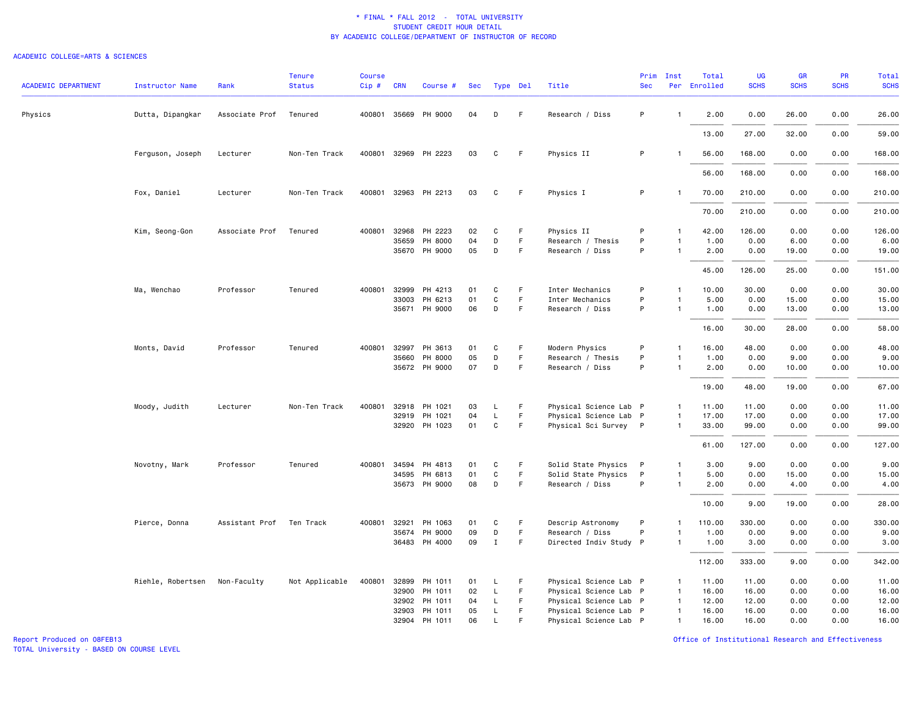#### ACADEMIC COLLEGE=ARTS & SCIENCES

| <b>ACADEMIC DEPARTMENT</b> | <b>Instructor Name</b> | Rank           | <b>Tenure</b><br><b>Status</b> | Course<br>$Cip$ # | <b>CRN</b>   | Course #             | Sec | Type Del     |    | Title                  | Prim<br><b>Sec</b> | Inst           | Total<br>Per Enrolled | <b>UG</b><br><b>SCHS</b> | <b>GR</b><br><b>SCHS</b> | PR<br><b>SCHS</b> | Total<br><b>SCHS</b> |
|----------------------------|------------------------|----------------|--------------------------------|-------------------|--------------|----------------------|-----|--------------|----|------------------------|--------------------|----------------|-----------------------|--------------------------|--------------------------|-------------------|----------------------|
|                            |                        |                |                                |                   |              |                      |     |              |    |                        |                    |                |                       |                          |                          |                   |                      |
| Physics                    | Dutta, Dipangkar       | Associate Prof | Tenured                        |                   | 400801 35669 | PH 9000              | 04  | D            | F  | Research / Diss        | P                  | $\overline{1}$ | 2.00                  | 0.00                     | 26.00                    | 0.00              | 26.00                |
|                            |                        |                |                                |                   |              |                      |     |              |    |                        |                    |                | 13.00                 | 27.00                    | 32.00                    | 0.00              | 59.00                |
|                            | Ferguson, Joseph       | Lecturer       | Non-Ten Track                  |                   |              | 400801 32969 PH 2223 | 03  | С            | F  | Physics II             | P                  |                | 56.00                 | 168.00                   | 0.00                     | 0.00              | 168.00               |
|                            |                        |                |                                |                   |              |                      |     |              |    |                        |                    |                | 56.00                 | 168.00                   | 0.00                     | 0.00              | 168.00               |
|                            | Fox, Daniel            | Lecturer       | Non-Ten Track                  |                   |              | 400801 32963 PH 2213 | 03  | С            | F. | Physics I              | P                  | $\overline{1}$ | 70.00                 | 210.00                   | 0.00                     | 0.00              | 210.00               |
|                            |                        |                |                                |                   |              |                      |     |              |    |                        |                    |                | 70.00                 | 210.00                   | 0.00                     | 0.00              | 210.00               |
|                            | Kim, Seong-Gon         | Associate Prof | Tenured                        | 400801            | 32968        | PH 2223              | 02  | C            | F  | Physics II             | P                  |                | 42.00                 | 126.00                   | 0.00                     | 0.00              | 126.00               |
|                            |                        |                |                                |                   | 35659        | PH 8000              | 04  | D            | F  | Research / Thesis      | P                  | $\mathbf{1}$   | 1.00                  | 0.00                     | 6.00                     | 0.00              | 6.00                 |
|                            |                        |                |                                |                   |              | 35670 PH 9000        | 05  | D            | F. | Research / Diss        | P                  | $\mathbf{1}$   | 2.00                  | 0.00                     | 19.00                    | 0.00              | 19.00                |
|                            |                        |                |                                |                   |              |                      |     |              |    |                        |                    |                | 45.00                 | 126.00                   | 25.00                    | 0.00              | 151.00               |
|                            | Ma, Wenchao            | Professor      | Tenured                        | 400801            | 32999        | PH 4213              | 01  | С            | F  | Inter Mechanics        | P                  | $\overline{1}$ | 10.00                 | 30.00                    | 0.00                     | 0.00              | 30.00                |
|                            |                        |                |                                |                   | 33003        | PH 6213              | 01  | C            | F. | Inter Mechanics        | P                  |                | 5.00                  | 0.00                     | 15.00                    | 0.00              | 15.00                |
|                            |                        |                |                                |                   |              | 35671 PH 9000        | 06  | D            | F  | Research / Diss        | P                  | $\mathbf{1}$   | 1.00                  | 0.00                     | 13.00                    | 0.00              | 13.00                |
|                            |                        |                |                                |                   |              |                      |     |              |    |                        |                    |                | 16.00                 | 30.00                    | 28.00                    | 0.00              | 58.00                |
|                            | Monts, David           | Professor      | Tenured                        |                   | 400801 32997 | PH 3613              | 01  | С            | F  | Modern Physics         | P                  | $\mathbf{1}$   | 16.00                 | 48.00                    | 0.00                     | 0.00              | 48.00                |
|                            |                        |                |                                |                   | 35660        | PH 8000              | 05  | D            | F  | Research / Thesis      | P                  | $\mathbf{1}$   | 1.00                  | 0.00                     | 9.00                     | 0.00              | 9.00                 |
|                            |                        |                |                                |                   |              | 35672 PH 9000        | 07  | D            | F. | Research / Diss        | P                  | $\mathbf{1}$   | 2.00                  | 0.00                     | 10.00                    | 0.00              | 10.00                |
|                            |                        |                |                                |                   |              |                      |     |              |    |                        |                    |                | 19.00                 | 48.00                    | 19.00                    | 0.00              | 67.00                |
|                            | Moody, Judith          | Lecturer       | Non-Ten Track                  | 400801            | 32918        | PH 1021              | 03  | L            | F  | Physical Science Lab P |                    | $\mathbf{1}$   | 11.00                 | 11.00                    | 0.00                     | 0.00              | 11.00                |
|                            |                        |                |                                |                   | 32919        | PH 1021              | 04  | L            | F. | Physical Science Lab P |                    | $\mathbf{1}$   | 17.00                 | 17.00                    | 0.00                     | 0.00              | 17.00                |
|                            |                        |                |                                |                   |              | 32920 PH 1023        | 01  | $\mathsf{C}$ | F  | Physical Sci Survey P  |                    | $\overline{1}$ | 33.00                 | 99.00                    | 0.00                     | 0.00              | 99.00                |
|                            |                        |                |                                |                   |              |                      |     |              |    |                        |                    |                | 61.00                 | 127.00                   | 0.00                     | 0.00              | 127.00               |
|                            | Novotny, Mark          | Professor      | Tenured                        |                   | 400801 34594 | PH 4813              | 01  | С            | F. | Solid State Physics    | $\mathsf{P}$       | $\mathbf{1}$   | 3.00                  | 9.00                     | 0.00                     | 0.00              | 9.00                 |
|                            |                        |                |                                |                   | 34595        | PH 6813              | 01  | C            | F. | Solid State Physics    | $\mathsf{P}$       | $\overline{1}$ | 5.00                  | 0.00                     | 15.00                    | 0.00              | 15.00                |
|                            |                        |                |                                |                   | 35673        | PH 9000              | 08  | D            | F  | Research / Diss        | P                  | $\mathbf{1}$   | 2.00                  | 0.00                     | 4.00                     | 0.00              | 4.00                 |
|                            |                        |                |                                |                   |              |                      |     |              |    |                        |                    |                | 10.00                 | 9.00                     | 19.00                    | 0.00              | 28.00                |
|                            | Pierce, Donna          | Assistant Prof | Ten Track                      | 400801            | 32921        | PH 1063              | 01  | C            | F  | Descrip Astronomy      | P                  | -1             | 110.00                | 330.00                   | 0.00                     | 0.00              | 330.00               |
|                            |                        |                |                                |                   | 35674        | PH 9000              | 09  | D            | F  | Research / Diss        | P                  | $\mathbf{1}$   | 1.00                  | 0.00                     | 9.00                     | 0.00              | 9.00                 |
|                            |                        |                |                                |                   | 36483        | PH 4000              | 09  | $\mathbf I$  | F  | Directed Indiv Study P |                    | $\mathbf{1}$   | 1.00                  | 3.00                     | 0.00                     | 0.00              | 3.00                 |
|                            |                        |                |                                |                   |              |                      |     |              |    |                        |                    |                | 112.00                | 333.00                   | 9.00                     | 0.00              | 342.00               |
|                            | Riehle, Robertsen      | Non-Faculty    | Not Applicable                 | 400801            |              | 32899 PH 1011        | 01  | L            | F  | Physical Science Lab P |                    | $\mathbf{1}$   | 11.00                 | 11.00                    | 0.00                     | 0.00              | 11.00                |
|                            |                        |                |                                |                   | 32900        | PH 1011              | 02  | L            | F  | Physical Science Lab P |                    | $\mathbf{1}$   | 16.00                 | 16.00                    | 0.00                     | 0.00              | 16.00                |
|                            |                        |                |                                |                   | 32902        | PH 1011              | 04  | L            | F. | Physical Science Lab P |                    | $\mathbf{1}$   | 12.00                 | 12.00                    | 0.00                     | 0.00              | 12.00                |
|                            |                        |                |                                |                   | 32903        | PH 1011              | 05  | L            | F. | Physical Science Lab P |                    | $\mathbf{1}$   | 16.00                 | 16.00                    | 0.00                     | 0.00              | 16.00                |
|                            |                        |                |                                |                   |              | 32904 PH 1011        | 06  | $\mathsf{L}$ | E  | Physical Science Lab P |                    | $\mathbf{1}$   | 16.00                 | 16.00                    | 0.00                     | 0.00              | 16.00                |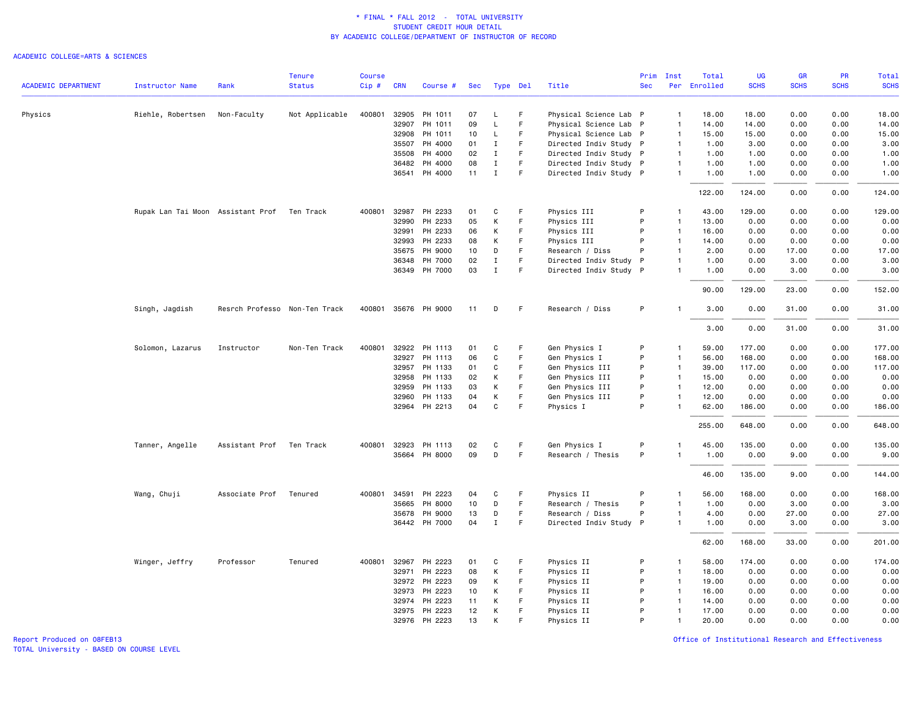### ACADEMIC COLLEGE=ARTS & SCIENCES

|                            |                                   |                               | <b>Tenure</b>  | <b>Course</b> |              |                      |     |             |             |                        | Prim       | Inst           | Total        | UG          | <b>GR</b>   | PR          | Total       |
|----------------------------|-----------------------------------|-------------------------------|----------------|---------------|--------------|----------------------|-----|-------------|-------------|------------------------|------------|----------------|--------------|-------------|-------------|-------------|-------------|
| <b>ACADEMIC DEPARTMENT</b> | <b>Instructor Name</b>            | Rank                          | <b>Status</b>  | $Cip \#$      | <b>CRN</b>   | Course #             | Sec | Type Del    |             | Title                  | <b>Sec</b> |                | Per Enrolled | <b>SCHS</b> | <b>SCHS</b> | <b>SCHS</b> | <b>SCHS</b> |
| Physics                    | Riehle, Robertsen                 | Non-Faculty                   | Not Applicable | 400801        | 32905        | PH 1011              | 07  | L           | F.          | Physical Science Lab P |            | $\mathbf{1}$   | 18.00        | 18,00       | 0.00        | 0.00        | 18.00       |
|                            |                                   |                               |                |               | 32907        | PH 1011              | 09  | L           | F           | Physical Science Lab P |            | $\overline{1}$ | 14.00        | 14.00       | 0.00        | 0.00        | 14.00       |
|                            |                                   |                               |                |               | 32908        | PH 1011              | 10  | $\mathsf L$ | F.          | Physical Science Lab P |            | $\overline{1}$ | 15.00        | 15.00       | 0.00        | 0.00        | 15.00       |
|                            |                                   |                               |                |               | 35507        | PH 4000              | 01  | $\mathbf I$ | F           | Directed Indiv Study P |            | $\overline{1}$ | 1.00         | 3.00        | 0.00        | 0.00        | 3.00        |
|                            |                                   |                               |                |               | 35508        | PH 4000              | 02  | $\mathbf I$ | F           | Directed Indiv Study P |            | $\overline{1}$ | 1.00         | 1.00        | 0.00        | 0.00        | 1.00        |
|                            |                                   |                               |                |               | 36482        | PH 4000              | 08  | $\mathbf I$ | F.          | Directed Indiv Study P |            | $\mathbf{1}$   | 1.00         | 1.00        | 0.00        | 0.00        | 1.00        |
|                            |                                   |                               |                |               | 36541        | PH 4000              | 11  | $\mathbf I$ | $\mathsf F$ | Directed Indiv Study P |            | $\mathbf{1}$   | 1.00         | 1.00        | 0.00        | 0.00        | 1.00        |
|                            |                                   |                               |                |               |              |                      |     |             |             |                        |            |                | 122.00       | 124.00      | 0.00        | 0.00        | 124.00      |
|                            | Rupak Lan Tai Moon Assistant Prof |                               | Ten Track      | 400801        | 32987        | PH 2233              | 01  | C           | F           | Physics III            | P          | $\mathbf{1}$   | 43.00        | 129.00      | 0.00        | 0.00        | 129.00      |
|                            |                                   |                               |                |               | 32990        | PH 2233              | 05  | К           | $\mathsf F$ | Physics III            | P          | $\overline{1}$ | 13.00        | 0.00        | 0.00        | 0.00        | 0.00        |
|                            |                                   |                               |                |               | 32991        | PH 2233              | 06  | К           | F           | Physics III            | P          | $\overline{1}$ | 16.00        | 0.00        | 0.00        | 0.00        | 0.00        |
|                            |                                   |                               |                |               | 32993        | PH 2233              | 08  | К           | F.          | Physics III            | P          | $\overline{1}$ | 14.00        | 0.00        | 0.00        | 0.00        | 0.00        |
|                            |                                   |                               |                |               | 35675        | PH 9000              | 10  | D           | F           | Research / Diss        | P          | $\overline{1}$ | 2.00         | 0.00        | 17.00       | 0.00        | 17.00       |
|                            |                                   |                               |                |               | 36348        | PH 7000              | 02  | $\mathbf I$ | $\mathsf F$ | Directed Indiv Study P |            | $\overline{1}$ | 1.00         | 0.00        | 3.00        | 0.00        | 3.00        |
|                            |                                   |                               |                |               |              | 36349 PH 7000        | 03  | Ι.          | F           | Directed Indiv Study P |            | $\mathbf{1}$   | 1.00         | 0.00        | 3.00        | 0.00        | 3.00        |
|                            |                                   |                               |                |               |              |                      |     |             |             |                        |            |                | 90.00        | 129.00      | 23.00       | 0.00        | 152.00      |
|                            | Singh, Jagdish                    | Resrch Professo Non-Ten Track |                |               |              | 400801 35676 PH 9000 | 11  | D           | -F          | Research / Diss        | P          | 1              | 3.00         | 0.00        | 31.00       | 0.00        | 31.00       |
|                            |                                   |                               |                |               |              |                      |     |             |             |                        |            |                | 3.00         | 0.00        | 31.00       | 0.00        | 31.00       |
|                            | Solomon, Lazarus                  | Instructor                    | Non-Ten Track  | 400801        |              | 32922 PH 1113        | 01  | C           | F           | Gen Physics I          | P          | $\mathbf{1}$   | 59.00        | 177.00      | 0.00        | 0.00        | 177.00      |
|                            |                                   |                               |                |               | 32927        | PH 1113              | 06  | $\mathbf C$ | F           | Gen Physics I          | P          | $\overline{1}$ | 56.00        | 168.00      | 0.00        | 0.00        | 168.00      |
|                            |                                   |                               |                |               | 32957        | PH 1133              | 01  | C           | F.          | Gen Physics III        | P          | $\overline{1}$ | 39.00        | 117.00      | 0.00        | 0.00        | 117.00      |
|                            |                                   |                               |                |               | 32958        | PH 1133              | 02  | К           | $\mathsf F$ | Gen Physics III        | P          | $\overline{1}$ | 15.00        | 0.00        | 0.00        | 0.00        | 0.00        |
|                            |                                   |                               |                |               | 32959        | PH 1133              | 03  | К           | F           | Gen Physics III        | P          | $\overline{1}$ | 12.00        | 0.00        | 0.00        | 0.00        | 0.00        |
|                            |                                   |                               |                |               | 32960        | PH 1133              | 04  | К           | F           | Gen Physics III        | P          | $\mathbf{1}$   | 12.00        | 0.00        | 0.00        | 0.00        | 0.00        |
|                            |                                   |                               |                |               |              | 32964 PH 2213        | 04  | C           | F           | Physics I              | P          | $\mathbf{1}$   | 62.00        | 186.00      | 0.00        | 0.00        | 186.00      |
|                            |                                   |                               |                |               |              |                      |     |             |             |                        |            |                | 255.00       | 648.00      | 0.00        | 0.00        | 648.00      |
|                            | Tanner, Angelle                   | Assistant Prof Ten Track      |                |               | 400801 32923 | PH 1113              | 02  | C           | F.          | Gen Physics I          | P          | $\mathbf{1}$   | 45.00        | 135.00      | 0.00        | 0.00        | 135.00      |
|                            |                                   |                               |                |               |              | 35664 PH 8000        | 09  | D           | F           | Research / Thesis      | P          | -1             | 1.00         | 0.00        | 9.00        | 0.00        | 9.00        |
|                            |                                   |                               |                |               |              |                      |     |             |             |                        |            |                | 46.00        | 135.00      | 9.00        | 0.00        | 144.00      |
|                            | Wang, Chuji                       | Associate Prof                | Tenured        | 400801        | 34591        | PH 2223              | 04  | C           | F.          | Physics II             | P          | $\mathbf{1}$   | 56.00        | 168.00      | 0.00        | 0.00        | 168.00      |
|                            |                                   |                               |                |               | 35665        | PH 8000              | 10  | D           | F.          | Research / Thesis      | P          | $\overline{1}$ | 1.00         | 0.00        | 3.00        | 0.00        | 3.00        |
|                            |                                   |                               |                |               | 35678        | PH 9000              | 13  | D           | $\mathsf F$ | Research / Diss        | P          | $\mathbf{1}$   | 4.00         | 0.00        | 27.00       | 0.00        | 27.00       |
|                            |                                   |                               |                |               |              | 36442 PH 7000        | 04  | $\mathbf I$ | F           | Directed Indiv Study P |            | $\mathbf{1}$   | 1.00         | 0.00        | 3.00        | 0.00        | 3.00        |
|                            |                                   |                               |                |               |              |                      |     |             |             |                        |            |                | 62.00        | 168.00      | 33.00       | 0.00        | 201.00      |
|                            | Winger, Jeffry                    | Professor                     | Tenured        | 400801        | 32967        | PH 2223              | 01  | C           | F           | Physics II             | P          | $\mathbf{1}$   | 58.00        | 174.00      | 0.00        | 0.00        | 174.00      |
|                            |                                   |                               |                |               |              | 32971 PH 2223        | 08  | К           | $\mathsf F$ | Physics II             | P          | $\overline{1}$ | 18.00        | 0.00        | 0.00        | 0.00        | 0.00        |
|                            |                                   |                               |                |               | 32972        | PH 2223              | 09  | К           | $\mathsf F$ | Physics II             | P          | $\overline{1}$ | 19.00        | 0.00        | 0.00        | 0.00        | 0.00        |
|                            |                                   |                               |                |               | 32973        | PH 2223              | 10  | К           | F           | Physics II             | P          | $\overline{1}$ | 16.00        | 0.00        | 0.00        | 0.00        | 0.00        |
|                            |                                   |                               |                |               | 32974        | PH 2223              | 11  | К           | F.          | Physics II             | P          | $\overline{1}$ | 14.00        | 0.00        | 0.00        | 0.00        | 0.00        |
|                            |                                   |                               |                |               | 32975        | PH 2223              | 12  | К           | F           | Physics II             | P          | $\mathbf{1}$   | 17.00        | 0.00        | 0.00        | 0.00        | 0.00        |
|                            |                                   |                               |                |               |              | 32976 PH 2223        | 13  | К           | E           | Physics II             | P          | $\mathbf{1}$   | 20.00        | 0.00        | 0.00        | 0.00        | 0.00        |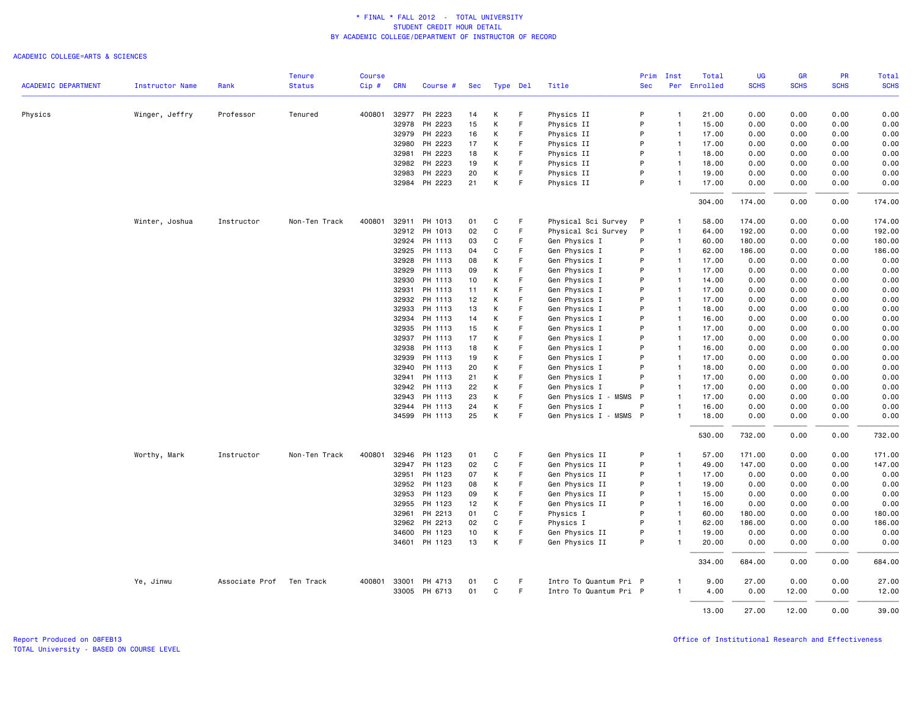|                            |                        |                | <b>Tenure</b> | <b>Course</b> |            |                          |          |              |        |                                | Prim         | Inst                           | Total          | UG           | <b>GR</b>    | <b>PR</b>    | Total        |
|----------------------------|------------------------|----------------|---------------|---------------|------------|--------------------------|----------|--------------|--------|--------------------------------|--------------|--------------------------------|----------------|--------------|--------------|--------------|--------------|
| <b>ACADEMIC DEPARTMENT</b> | <b>Instructor Name</b> | Rank           | <b>Status</b> | Cip#          | <b>CRN</b> | Course #                 | Sec      | Type Del     |        | Title                          | <b>Sec</b>   |                                | Per Enrolled   | <b>SCHS</b>  | <b>SCHS</b>  | <b>SCHS</b>  | <b>SCHS</b>  |
| Physics                    | Winger, Jeffry         | Professor      | Tenured       | 400801        | 32977      | PH 2223                  | 14       | К            | F      | Physics II                     | P            | $\mathbf{1}$                   | 21.00          | 0.00         | 0.00         | 0.00         | 0.00         |
|                            |                        |                |               |               | 32978      | PH 2223                  | 15       | К            | F      | Physics II                     | P            | $\overline{1}$                 | 15.00          | 0.00         | 0.00         | 0.00         | 0.00         |
|                            |                        |                |               |               | 32979      | PH 2223                  | 16       | K            | F      | Physics II                     | P            | $\overline{1}$                 | 17.00          | 0.00         | 0.00         | 0.00         | 0.00         |
|                            |                        |                |               |               | 32980      | PH 2223                  | 17       | К            | F      | Physics II                     | P            | $\mathbf{1}$                   | 17.00          | 0.00         | 0.00         | 0.00         | 0.00         |
|                            |                        |                |               |               | 32981      | PH 2223                  | 18       | K            | F      | Physics II                     | P            | $\mathbf{1}$                   | 18.00          | 0.00         | 0.00         | 0.00         | 0.00         |
|                            |                        |                |               |               | 32982      | PH 2223                  | 19       | K            | F      | Physics II                     | P            | $\overline{1}$                 | 18.00          | 0.00         | 0.00         | 0.00         | 0.00         |
|                            |                        |                |               |               | 32983      | PH 2223                  | 20       | Κ            | F      | Physics II                     | P            | $\mathbf{1}$                   | 19.00          | 0.00         | 0.00         | 0.00         | 0.00         |
|                            |                        |                |               |               |            | 32984 PH 2223            | 21       | К            | F      | Physics II                     | P            | $\mathbf{1}$                   | 17.00          | 0.00         | 0.00         | 0.00         | 0.00         |
|                            |                        |                |               |               |            |                          |          |              |        |                                |              |                                | 304.00         | 174.00       | 0.00         | 0.00         | 174.00       |
|                            | Winter, Joshua         | Instructor     | Non-Ten Track | 400801        | 32911      | PH 1013                  | 01       | С            | F      | Physical Sci Survey            | $\mathsf{P}$ | $\mathbf{1}$                   | 58.00          | 174.00       | 0.00         | 0.00         | 174.00       |
|                            |                        |                |               |               | 32912      | PH 1013                  | 02       | $\mathbf{C}$ | F.     | Physical Sci Survey            | P            | $\overline{1}$                 | 64.00          | 192.00       | 0.00         | 0.00         | 192.00       |
|                            |                        |                |               |               | 32924      | PH 1113                  | 03       | С            | F      | Gen Physics I                  | P            | $\mathbf{1}$                   | 60.00          | 180.00       | 0.00         | 0.00         | 180.00       |
|                            |                        |                |               |               | 32925      | PH 1113                  | 04       | C            | F      | Gen Physics I                  | P            | $\mathbf{1}$                   | 62.00          | 186.00       | 0.00         | 0.00         | 186.00       |
|                            |                        |                |               |               | 32928      | PH 1113                  | 08       | Κ            | F      | Gen Physics I                  | P            | $\mathbf{1}$                   | 17.00          | 0.00         | 0.00         | 0.00         | 0.00         |
|                            |                        |                |               |               | 32929      | PH 1113                  | 09       | К            | F      | Gen Physics I                  | P            | $\mathbf{1}$                   | 17.00          | 0.00         | 0.00         | 0.00         | 0.00         |
|                            |                        |                |               |               | 32930      | PH 1113                  | 10       | К            | E      | Gen Physics I                  | P            | $\mathbf{1}$                   | 14.00          | 0.00         | 0.00         | 0.00         | 0.00         |
|                            |                        |                |               |               | 32931      | PH 1113                  | 11       | Κ            | F      | Gen Physics I                  | P            | $\overline{1}$                 | 17.00          | 0.00         | 0.00         | 0.00         | 0.00         |
|                            |                        |                |               |               | 32932      | PH 1113                  | 12       | K            | F      | Gen Physics I                  | P            | $\mathbf{1}$                   | 17.00          | 0.00         | 0.00         | 0.00         | 0.00         |
|                            |                        |                |               |               | 32933      | PH 1113                  | 13       | K            | F      | Gen Physics I                  | P            | $\mathbf{1}$                   | 18.00          | 0.00         | 0.00         | 0.00         | 0.00         |
|                            |                        |                |               |               | 32934      | PH 1113                  | 14       | К            | F      | Gen Physics I                  | P            | $\overline{1}$                 | 16.00          | 0.00         | 0.00         | 0.00         | 0.00         |
|                            |                        |                |               |               | 32935      | PH 1113                  | 15       | K            | F      | Gen Physics I                  | P            | $\mathbf{1}$                   | 17.00          | 0.00         | 0.00         | 0.00         | 0.00         |
|                            |                        |                |               |               | 32937      | PH 1113                  | 17       | K            | E      | Gen Physics I                  | P            | $\overline{1}$                 | 17.00          | 0.00         | 0.00         | 0.00         | 0.00         |
|                            |                        |                |               |               | 32938      | PH 1113                  | 18       | Κ            | F      | Gen Physics I                  | P            | $\mathbf{1}$                   | 16.00          | 0.00         | 0.00         | 0.00         | 0.00         |
|                            |                        |                |               |               | 32939      | PH 1113                  | 19       | К            | F      | Gen Physics I                  | P            | $\mathbf{1}$                   | 17.00          | 0.00         | 0.00         | 0.00         | 0.00         |
|                            |                        |                |               |               | 32940      | PH 1113                  | 20       | K            | F      | Gen Physics I                  | P            | $\mathbf{1}$                   | 18.00          | 0.00         | 0.00         | 0.00         | 0.00         |
|                            |                        |                |               |               | 32941      | PH 1113                  | 21       | К            | F      | Gen Physics I                  | P            | $\mathbf{1}$                   | 17.00          | 0.00         | 0.00         | 0.00         | 0.00         |
|                            |                        |                |               |               |            | 32942 PH 1113            | 22       | Κ            | F      | Gen Physics I                  | P            | $\mathbf{1}$                   | 17.00          | 0.00         | 0.00         | 0.00         | 0.00         |
|                            |                        |                |               |               | 32943      | PH 1113                  | 23       | K            | F      | <b>MSMS</b><br>Gen Physics I - | P            | $\overline{1}$                 | 17.00          | 0.00         | 0.00         | 0.00         | 0.00         |
|                            |                        |                |               |               | 32944      | PH 1113                  | 24       | К            | F      | Gen Physics I                  | P            | $\mathbf{1}$                   | 16.00          | 0.00         | 0.00         | 0.00         | 0.00         |
|                            |                        |                |               |               |            | 34599 PH 1113            | 25       | К            | F      | Gen Physics I - MSMS P         |              | $\mathbf{1}$                   | 18.00          | 0.00         | 0.00         | 0.00         | 0.00         |
|                            |                        |                |               |               |            |                          |          |              |        |                                |              |                                | 530.00         | 732.00       | 0.00         | 0.00         | 732.00       |
|                            | Worthy, Mark           | Instructor     | Non-Ten Track | 400801        | 32946      | PH 1123                  | 01       | C            | F      | Gen Physics II                 | P            | $\mathbf{1}$                   | 57.00          | 171.00       | 0.00         | 0.00         | 171.00       |
|                            |                        |                |               |               | 32947      | PH 1123                  | 02       | С            | F      | Gen Physics II                 | P            | $\mathbf{1}$                   | 49.00          | 147.00       | 0.00         | 0.00         | 147.00       |
|                            |                        |                |               |               | 32951      | PH 1123                  | 07       | Κ            | F      | Gen Physics II                 | P            | $\mathbf{1}$                   | 17.00          | 0.00         | 0.00         | 0.00         | 0.00         |
|                            |                        |                |               |               |            | 32952 PH 1123            | 08       | Κ            | F      | Gen Physics II                 | P            | $\mathbf{1}$                   | 19.00          | 0.00         | 0.00         | 0.00         | 0.00         |
|                            |                        |                |               |               | 32953      | PH 1123                  | 09       | К            | F      | Gen Physics II                 | P            | $\overline{1}$                 | 15.00          | 0.00         | 0.00         | 0.00         | 0.00         |
|                            |                        |                |               |               | 32955      | PH 1123                  | 12       | К            | F      | Gen Physics II                 | P            | $\mathbf{1}$                   | 16.00          | 0.00         | 0.00         | 0.00         | 0.00         |
|                            |                        |                |               |               | 32961      | PH 2213                  | 01       | C            | F      | Physics I                      | P            | $\mathbf{1}$                   | 60.00          | 180.00       | 0.00         | 0.00         | 180.00       |
|                            |                        |                |               |               | 32962      | PH 2213                  | 02       | $\mathbf{C}$ | F      | Physics I                      | P            | $\overline{1}$                 | 62.00          | 186.00       | 0.00         | 0.00         | 186.00       |
|                            |                        |                |               |               | 34600      | PH 1123<br>34601 PH 1123 | 10<br>13 | К<br>К       | F<br>F | Gen Physics II                 | P<br>P       | $\overline{1}$<br>$\mathbf{1}$ | 19.00<br>20.00 | 0.00<br>0.00 | 0.00<br>0.00 | 0.00<br>0.00 | 0.00<br>0.00 |
|                            |                        |                |               |               |            |                          |          |              |        | Gen Physics II                 |              |                                |                |              |              |              |              |
|                            |                        |                |               |               |            |                          |          |              |        |                                |              |                                | 334.00         | 684.00       | 0.00         | 0.00         | 684.00       |
|                            | Ye, Jinwu              | Associate Prof | Ten Track     | 400801        | 33001      | PH 4713                  | 01       | C            | F      | Intro To Quantum Pri P         |              | $\overline{1}$                 | 9.00           | 27.00        | 0.00         | 0.00         | 27.00        |
|                            |                        |                |               |               |            | 33005 PH 6713            | 01       | C            | F.     | Intro To Quantum Pri P         |              | $\mathbf{1}$                   | 4.00           | 0.00         | 12.00        | 0.00         | 12.00        |
|                            |                        |                |               |               |            |                          |          |              |        |                                |              |                                | 13.00          | 27.00        | 12.00        | 0.00         | 39.00        |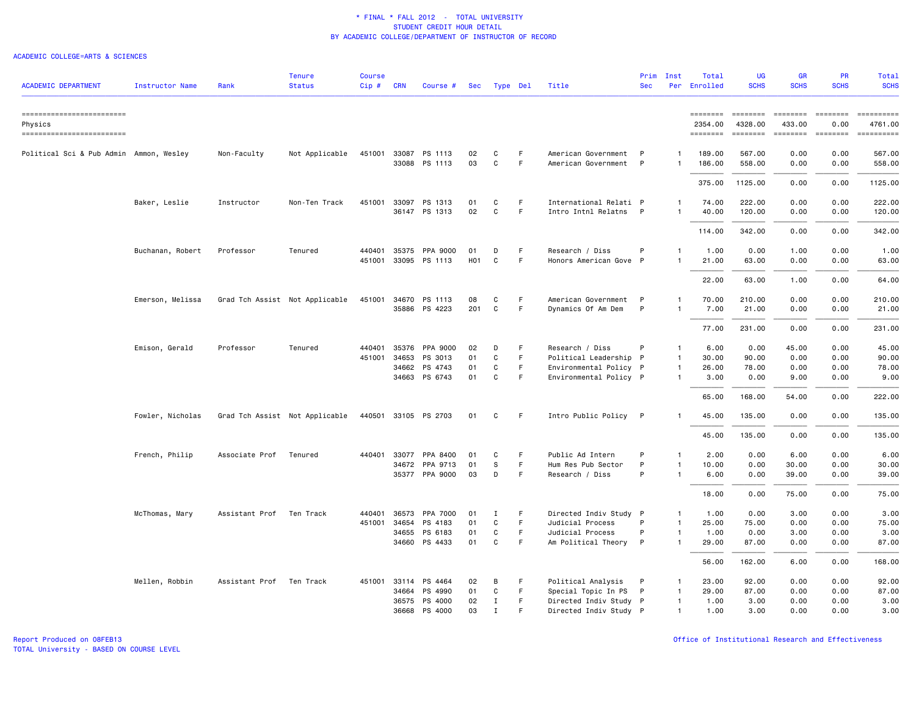### ACADEMIC COLLEGE=ARTS & SCIENCES

| <b>ACADEMIC DEPARTMENT</b>                                       | <b>Instructor Name</b> | Rank           | <b>Tenure</b><br><b>Status</b> | <b>Course</b><br>$Cip$ # | <b>CRN</b> | Course #                              | Sec                    | Type Del    |                  | Title                                       | Prim<br><b>Sec</b> | Inst<br>Per                  | Total<br>Enrolled               | UG<br><b>SCHS</b>               | <b>GR</b><br><b>SCHS</b>              | PR<br><b>SCHS</b>                                                                               | Total<br><b>SCHS</b>                                                                                                                                                     |
|------------------------------------------------------------------|------------------------|----------------|--------------------------------|--------------------------|------------|---------------------------------------|------------------------|-------------|------------------|---------------------------------------------|--------------------|------------------------------|---------------------------------|---------------------------------|---------------------------------------|-------------------------------------------------------------------------------------------------|--------------------------------------------------------------------------------------------------------------------------------------------------------------------------|
|                                                                  |                        |                |                                |                          |            |                                       |                        |             |                  |                                             |                    |                              |                                 |                                 |                                       |                                                                                                 |                                                                                                                                                                          |
| ------------------------<br>Physics<br>========================= |                        |                |                                |                          |            |                                       |                        |             |                  |                                             |                    |                              | ========<br>2354.00<br>======== | ========<br>4328.00<br>======== | ========<br>433.00<br><b>ESSESSER</b> | $\qquad \qquad \equiv \equiv \equiv \equiv \equiv \equiv \equiv \equiv$<br>0.00<br>$=$ ======== | 4761.00<br>$\begin{array}{c} \multicolumn{3}{c} {\small \texttt{m}} = {\small \texttt{m}} = {\small \texttt{m}} = {\small \texttt{m}} = {\small \texttt{m}} \end{array}$ |
| Political Sci & Pub Admin Ammon, Wesley                          |                        | Non-Faculty    | Not Applicable                 |                          |            | 451001 33087 PS 1113                  | 02                     | C           | F                | American Government P                       |                    | -1                           | 189.00                          | 567.00                          | 0.00                                  | 0.00                                                                                            | 567.00                                                                                                                                                                   |
|                                                                  |                        |                |                                |                          |            | 33088 PS 1113                         | 03                     | C           | F                | American Government                         | $\mathsf{P}$       | $\mathbf{1}$                 | 186.00                          | 558.00                          | 0.00                                  | 0.00                                                                                            | 558.00                                                                                                                                                                   |
|                                                                  |                        |                |                                |                          |            |                                       |                        |             |                  |                                             |                    |                              | 375.00                          | 1125.00                         | 0.00                                  | 0.00                                                                                            | 1125.00                                                                                                                                                                  |
|                                                                  | Baker, Leslie          | Instructor     | Non-Ten Track                  | 451001                   | 33097      | PS 1313                               | 01<br>02               | C<br>C      | F<br>F           | International Relati P                      |                    | $\mathbf{1}$<br>$\mathbf{1}$ | 74.00                           | 222.00                          | 0.00                                  | 0.00                                                                                            | 222.00                                                                                                                                                                   |
|                                                                  |                        |                |                                |                          |            | 36147 PS 1313                         |                        |             |                  | Intro Intnl Relatns P                       |                    |                              | 40.00                           | 120.00                          | 0.00                                  | 0.00                                                                                            | 120.00                                                                                                                                                                   |
|                                                                  |                        |                |                                |                          |            |                                       |                        |             |                  |                                             |                    |                              | 114.00                          | 342.00                          | 0.00                                  | 0.00                                                                                            | 342.00                                                                                                                                                                   |
|                                                                  | Buchanan, Robert       | Professor      | Tenured                        | 440401                   | 35375      | PPA 9000<br>451001 33095 PS 1113      | 01<br>H <sub>0</sub> 1 | D<br>C      | -F<br>F          | Research / Diss<br>Honors American Gove P   | P                  | -1                           | 1.00<br>21.00                   | 0.00<br>63.00                   | 1.00<br>0.00                          | 0.00<br>0.00                                                                                    | 1.00<br>63.00                                                                                                                                                            |
|                                                                  |                        |                |                                |                          |            |                                       |                        |             |                  |                                             |                    |                              | 22.00                           | 63.00                           | 1.00                                  | 0.00                                                                                            | 64.00                                                                                                                                                                    |
|                                                                  |                        |                |                                |                          |            |                                       |                        |             |                  |                                             |                    |                              |                                 |                                 |                                       |                                                                                                 |                                                                                                                                                                          |
|                                                                  | Emerson, Melissa       |                | Grad Tch Assist Not Applicable |                          |            | 451001 34670 PS 1113<br>35886 PS 4223 | 08<br>201              | C<br>C      | F<br>$\mathsf F$ | American Government P<br>Dynamics Of Am Dem | P                  | $\mathbf{1}$<br>-1           | 70.00<br>7.00                   | 210.00<br>21.00                 | 0.00<br>0.00                          | 0.00<br>0.00                                                                                    | 210.00<br>21.00                                                                                                                                                          |
|                                                                  |                        |                |                                |                          |            |                                       |                        |             |                  |                                             |                    |                              | 77.00                           | 231.00                          | 0.00                                  | 0.00                                                                                            | 231.00                                                                                                                                                                   |
|                                                                  | Emison, Gerald         | Professor      | Tenured                        | 440401                   | 35376      | PPA 9000                              | 02                     | D           | F                | Research / Diss                             | P                  | $\mathbf{1}$                 | 6.00                            | 0.00                            | 45.00                                 | 0.00                                                                                            | 45.00                                                                                                                                                                    |
|                                                                  |                        |                |                                | 451001 34653             |            | PS 3013                               | 01                     | C           | F.               | Political Leadership P                      |                    | $\mathbf{1}$                 | 30.00                           | 90.00                           | 0.00                                  | 0.00                                                                                            | 90.00                                                                                                                                                                    |
|                                                                  |                        |                |                                |                          | 34662      | PS 4743                               | 01                     | C           | F                | Environmental Policy P                      |                    | $\mathbf{1}$                 | 26.00                           | 78.00                           | 0.00                                  | 0.00                                                                                            | 78.00                                                                                                                                                                    |
|                                                                  |                        |                |                                |                          |            | 34663 PS 6743                         | 01                     | C           | F                | Environmental Policy P                      |                    | $\mathbf{1}$                 | 3.00                            | 0.00                            | 9.00                                  | 0.00                                                                                            | 9.00                                                                                                                                                                     |
|                                                                  |                        |                |                                |                          |            |                                       |                        |             |                  |                                             |                    |                              | 65.00                           | 168.00                          | 54.00                                 | 0.00                                                                                            | 222.00                                                                                                                                                                   |
|                                                                  | Fowler, Nicholas       |                | Grad Tch Assist Not Applicable |                          |            | 440501 33105 PS 2703                  | 01                     | C           | -F               | Intro Public Policy P                       |                    |                              | 45.00                           | 135.00                          | 0.00                                  | 0.00                                                                                            | 135.00                                                                                                                                                                   |
|                                                                  |                        |                |                                |                          |            |                                       |                        |             |                  |                                             |                    |                              | 45.00                           | 135.00                          | 0.00                                  | 0.00                                                                                            | 135.00                                                                                                                                                                   |
|                                                                  | French, Philip         | Associate Prof | Tenured                        | 440401                   | 33077      | PPA 8400                              | 01                     | C           | F                | Public Ad Intern                            | P                  | $\mathbf{1}$                 | 2.00                            | 0.00                            | 6.00                                  | 0.00                                                                                            | 6.00                                                                                                                                                                     |
|                                                                  |                        |                |                                |                          |            | 34672 PPA 9713                        | 01                     | S           | F                | Hum Res Pub Sector                          | P                  | $\mathbf{1}$                 | 10.00                           | 0.00                            | 30.00                                 | 0.00                                                                                            | 30.00                                                                                                                                                                    |
|                                                                  |                        |                |                                |                          |            | 35377 PPA 9000                        | 03                     | D           | F.               | Research / Diss                             | P                  | $\mathbf{1}$                 | 6.00                            | 0.00                            | 39.00                                 | 0.00                                                                                            | 39.00                                                                                                                                                                    |
|                                                                  |                        |                |                                |                          |            |                                       |                        |             |                  |                                             |                    |                              | 18.00                           | 0.00                            | 75.00                                 | 0.00                                                                                            | 75.00                                                                                                                                                                    |
|                                                                  | McThomas, Mary         | Assistant Prof | Ten Track                      | 440401                   | 36573      | PPA 7000                              | 01                     | Ι.          | F                | Directed Indiv Study P                      |                    | $\overline{1}$               | 1.00                            | 0.00                            | 3.00                                  | 0.00                                                                                            | 3.00                                                                                                                                                                     |
|                                                                  |                        |                |                                | 451001                   | 34654      | PS 4183                               | 01                     | C           | F                | Judicial Process                            | P                  | $\mathbf{1}$                 | 25.00                           | 75.00                           | 0.00                                  | 0.00                                                                                            | 75.00                                                                                                                                                                    |
|                                                                  |                        |                |                                |                          | 34655      | PS 6183                               | 01                     | C           | F.               | Judicial Process                            | P                  | $\mathbf{1}$                 | 1.00                            | 0.00                            | 3.00                                  | 0.00                                                                                            | 3.00                                                                                                                                                                     |
|                                                                  |                        |                |                                |                          |            | 34660 PS 4433                         | 01                     | C           | F                | Am Political Theory P                       |                    | $\mathbf{1}$                 | 29.00                           | 87.00                           | 0.00                                  | 0.00                                                                                            | 87.00                                                                                                                                                                    |
|                                                                  |                        |                |                                |                          |            |                                       |                        |             |                  |                                             |                    |                              | 56.00                           | 162.00                          | 6.00                                  | 0.00                                                                                            | 168.00                                                                                                                                                                   |
|                                                                  | Mellen, Robbin         | Assistant Prof | Ten Track                      | 451001 33114             |            | PS 4464                               | 02                     | В           | F                | Political Analysis                          | P                  | $\mathbf{1}$                 | 23.00                           | 92.00                           | 0.00                                  | 0.00                                                                                            | 92.00                                                                                                                                                                    |
|                                                                  |                        |                |                                |                          | 34664      | PS 4990                               | 01                     | C           | F.               | Special Topic In PS P                       |                    | $\mathbf{1}$                 | 29.00                           | 87.00                           | 0.00                                  | 0.00                                                                                            | 87.00                                                                                                                                                                    |
|                                                                  |                        |                |                                |                          |            | 36575 PS 4000                         | 02                     | $\mathbf I$ | F                | Directed Indiv Study P                      |                    | $\mathbf{1}$                 | 1.00                            | 3.00                            | 0.00                                  | 0.00                                                                                            | 3.00                                                                                                                                                                     |
|                                                                  |                        |                |                                |                          | 36668      | PS 4000                               | 03                     | $\mathbf I$ | E                | Directed Indiv Study P                      |                    | $\mathbf{1}$                 | 1.00                            | 3.00                            | 0.00                                  | 0.00                                                                                            | 3.00                                                                                                                                                                     |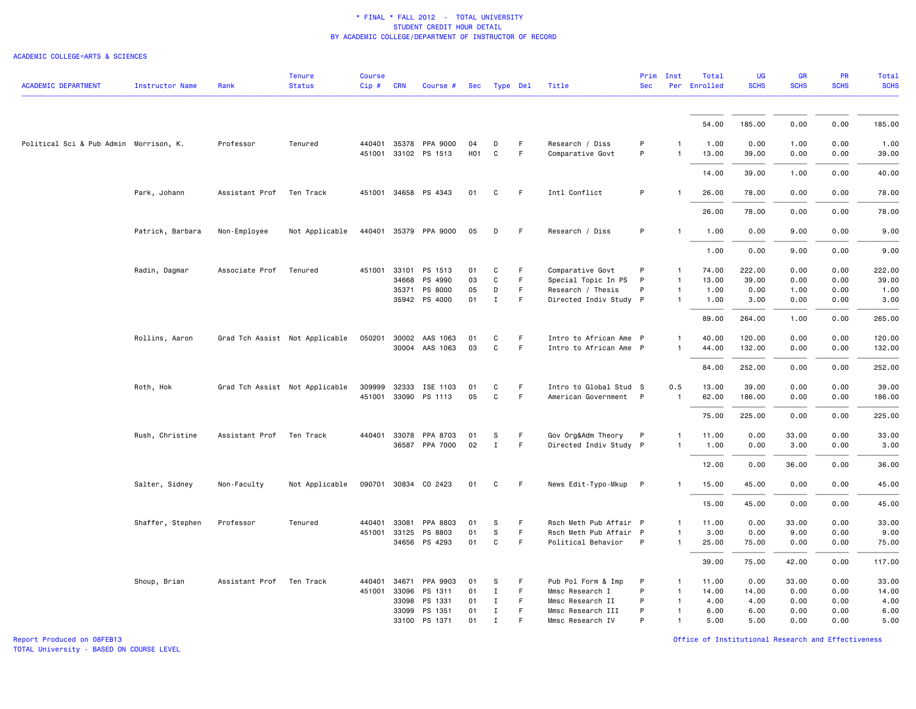#### ACADEMIC COLLEGE=ARTS & SCIENCES

| <b>ACADEMIC DEPARTMENT</b>             | <b>Instructor Name</b> | Rank           | <b>Tenure</b><br><b>Status</b> | <b>Course</b><br>$Cip \#$ | <b>CRN</b>   | Course #                                      | Sec                    | Type Del         |                   | Title                               | Prim<br><b>Sec</b> | Inst               | Total<br>Per Enrolled | <b>UG</b><br><b>SCHS</b> | GR<br><b>SCHS</b> | PR<br><b>SCHS</b> | Total<br><b>SCHS</b> |
|----------------------------------------|------------------------|----------------|--------------------------------|---------------------------|--------------|-----------------------------------------------|------------------------|------------------|-------------------|-------------------------------------|--------------------|--------------------|-----------------------|--------------------------|-------------------|-------------------|----------------------|
|                                        |                        |                |                                |                           |              |                                               |                        |                  |                   |                                     |                    |                    |                       |                          |                   |                   |                      |
|                                        |                        |                |                                |                           |              |                                               |                        |                  |                   |                                     |                    |                    | 54.00                 | 185.00                   | 0.00              | 0.00              | 185.00               |
| Political Sci & Pub Admin Morrison, K. |                        | Professor      | Tenured                        |                           |              | 440401 35378 PPA 9000<br>451001 33102 PS 1513 | 04<br>H <sub>0</sub> 1 | D<br>$\mathbf C$ | -F<br>$\mathsf F$ | Research / Diss<br>Comparative Govt | P<br>P             | -1<br>$\mathbf{1}$ | 1.00<br>13.00         | 0.00<br>39.00            | 1.00<br>0.00      | 0.00<br>0.00      | 1.00<br>39.00        |
|                                        |                        |                |                                |                           |              |                                               |                        |                  |                   |                                     |                    |                    | 14.00                 | 39.00                    | 1.00              | 0.00              | 40.00                |
|                                        | Park, Johann           | Assistant Prof | Ten Track                      |                           |              | 451001 34658 PS 4343                          | 01                     | C                | - F               | Intl Conflict                       | P                  | -1                 | 26.00                 | 78.00                    | 0.00              | 0.00              | 78.00                |
|                                        |                        |                |                                |                           |              |                                               |                        |                  |                   |                                     |                    |                    | 26.00                 | 78.00                    | 0.00              | 0.00              | 78.00                |
|                                        | Patrick, Barbara       | Non-Employee   | Not Applicable                 |                           |              | 440401 35379 PPA 9000                         | 05                     | D                | -F                | Research / Diss                     | P                  | $\mathbf{1}$       | 1.00                  | 0.00                     | 9.00              | 0.00              | 9.00                 |
|                                        |                        |                |                                |                           |              |                                               |                        |                  |                   |                                     |                    |                    | 1.00                  | 0.00                     | 9.00              | 0.00              | 9.00                 |
|                                        | Radin, Dagmar          | Associate Prof | Tenured                        |                           |              | 451001 33101 PS 1513                          | 01                     | C                | F.                | Comparative Govt                    | P                  | -1                 | 74.00                 | 222.00                   | 0.00              | 0.00              | 222.00               |
|                                        |                        |                |                                |                           | 34668        | PS 4990                                       | 03                     | $\mathbf C$      | $\mathsf F$       | Special Topic In PS                 | P                  | $\overline{1}$     | 13.00                 | 39.00                    | 0.00              | 0.00              | 39.00                |
|                                        |                        |                |                                |                           | 35371        | PS 8000                                       | 05                     | D                | F.                | Research / Thesis                   | P                  | $\mathbf{1}$       | 1.00                  | 0.00                     | 1.00              | 0.00              | 1.00                 |
|                                        |                        |                |                                |                           |              | 35942 PS 4000                                 | 01                     | $\mathbf{I}$     | F.                | Directed Indiv Study P              |                    | $\mathbf{1}$       | 1.00                  | 3.00                     | 0.00              | 0.00              | 3.00                 |
|                                        |                        |                |                                |                           |              |                                               |                        |                  |                   |                                     |                    |                    | 89.00                 | 264.00                   | 1.00              | 0.00              | 265.00               |
|                                        | Rollins, Aaron         |                | Grad Tch Assist Not Applicable |                           | 050201 30002 | AAS 1063                                      | 01                     | C                | F                 | Intro to African Ame P              |                    | 1                  | 40.00                 | 120.00                   | 0.00              | 0.00              | 120.00               |
|                                        |                        |                |                                |                           |              | 30004 AAS 1063                                | 03                     | C                | F                 | Intro to African Ame P              |                    | $\mathbf{1}$       | 44.00                 | 132.00                   | 0.00              | 0.00              | 132.00               |
|                                        |                        |                |                                |                           |              |                                               |                        |                  |                   |                                     |                    |                    | 84.00                 | 252.00                   | 0.00              | 0.00              | 252.00               |
|                                        | Roth, Hok              |                | Grad Tch Assist Not Applicable | 309999                    | 32333        | ISE 1103                                      | 01                     | C                | -F                | Intro to Global Stud S              |                    | 0.5                | 13.00                 | 39.00                    | 0.00              | 0.00              | 39.00                |
|                                        |                        |                |                                |                           |              | 451001 33090 PS 1113                          | 05                     | C                | F                 | American Government P               |                    | $\mathbf{1}$       | 62.00                 | 186.00                   | 0.00              | 0.00              | 186.00               |
|                                        |                        |                |                                |                           |              |                                               |                        |                  |                   |                                     |                    |                    | 75.00                 | 225.00                   | 0.00              | 0.00              | 225.00               |
|                                        | Rush, Christine        | Assistant Prof | Ten Track                      |                           |              | 440401 33078 PPA 8703                         | 01                     | s                | F                 | Gov Org&Adm Theory                  | $\mathsf{P}$       | $\mathbf{1}$       | 11.00                 | 0.00                     | 33.00             | 0.00              | 33.00                |
|                                        |                        |                |                                |                           |              | 36587 PPA 7000                                | 02                     | $\mathbf I$      | F                 | Directed Indiv Study P              |                    | $\mathbf{1}$       | 1.00                  | 0.00                     | 3.00              | 0.00              | 3.00                 |
|                                        |                        |                |                                |                           |              |                                               |                        |                  |                   |                                     |                    |                    | 12.00                 | 0.00                     | 36.00             | 0.00              | 36.00                |
|                                        | Salter, Sidney         | Non-Faculty    | Not Applicable                 |                           |              | 090701 30834 CO 2423                          | 01                     | C                | F.                | News Edit-Typo-Mkup P               |                    | -1                 | 15.00                 | 45.00                    | 0.00              | 0.00              | 45.00                |
|                                        |                        |                |                                |                           |              |                                               |                        |                  |                   |                                     |                    |                    | 15.00                 | 45.00                    | 0.00              | 0.00              | 45.00                |
|                                        | Shaffer, Stephen       | Professor      | Tenured                        | 440401                    | 33081        | PPA 8803                                      | 01                     | S                | F                 | Rsch Meth Pub Affair P              |                    | $\mathbf{1}$       | 11.00                 | 0.00                     | 33.00             | 0.00              | 33.00                |
|                                        |                        |                |                                |                           | 451001 33125 | PS 8803                                       | 01                     | S                | F                 | Rsch Meth Pub Affair P              |                    | $\mathbf{1}$       | 3.00                  | 0.00                     | 9.00              | 0.00              | 9.00                 |
|                                        |                        |                |                                |                           |              | 34656 PS 4293                                 | 01                     | $\mathbf C$      | $\mathsf F$       | Political Behavior                  | P                  | $\overline{1}$     | 25.00                 | 75.00                    | 0.00              | 0.00              | 75.00                |
|                                        |                        |                |                                |                           |              |                                               |                        |                  |                   |                                     |                    |                    | 39.00                 | 75.00                    | 42.00             | 0.00              | 117.00               |
|                                        | Shoup, Brian           | Assistant Prof | Ten Track                      | 440401                    | 34671        | PPA 9903                                      | 01                     | S                | F                 | Pub Pol Form & Imp                  | P                  | $\mathbf{1}$       | 11.00                 | 0.00                     | 33.00             | 0.00              | 33.00                |
|                                        |                        |                |                                | 451001                    | 33096        | PS 1311                                       | 01                     | Ι.               | F                 | Mmsc Research I                     | P                  | $\mathbf{1}$       | 14.00                 | 14.00                    | 0.00              | 0.00              | 14.00                |
|                                        |                        |                |                                |                           | 33098        | PS 1331                                       | 01                     | $\mathbf I$      | F.                | Mmsc Research II                    | P                  | $\overline{1}$     | 4.00                  | 4.00                     | 0.00              | 0.00              | 4.00                 |
|                                        |                        |                |                                |                           | 33099        | PS 1351                                       | 01                     | Ι.               | F.                | Mmsc Research III                   | P                  | $\mathbf{1}$       | 6.00                  | 6.00                     | 0.00              | 0.00              | 6.00                 |
|                                        |                        |                |                                |                           |              | 33100 PS 1371                                 | 01                     | $\mathbf I$      | F                 | Mmsc Research IV                    | P                  | $\mathbf{1}$       | 5.00                  | 5.00                     | 0.00              | 0.00              | 5.00                 |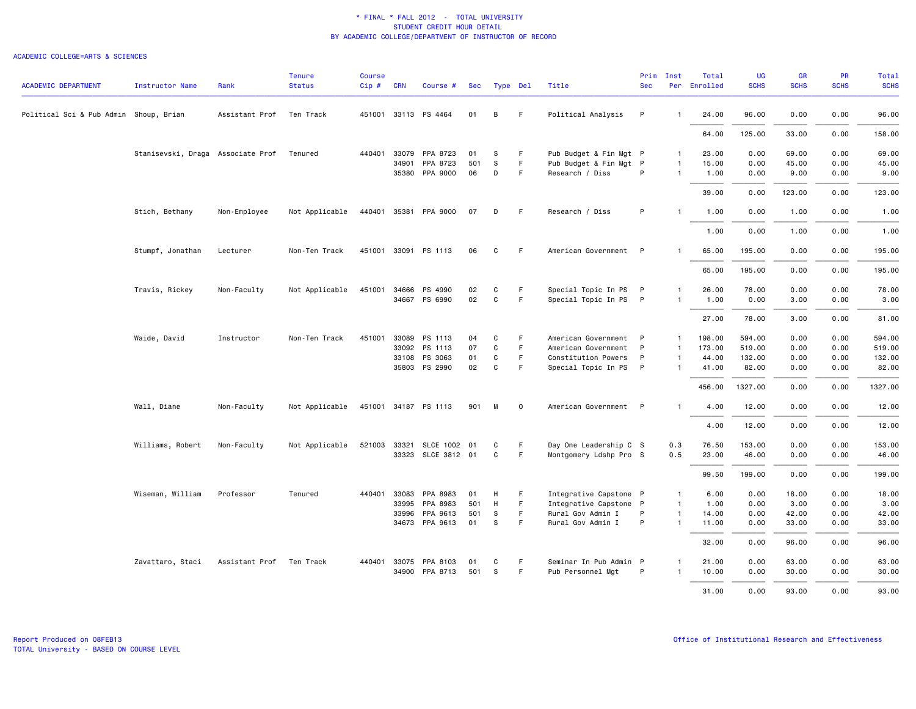| <b>ACADEMIC DEPARTMENT</b>             | <b>Instructor Name</b>                    | Rank                     | <b>Tenure</b><br><b>Status</b> | <b>Course</b><br>$Cip$ # | <b>CRN</b> | Course #              | Sec | Type Del     |         | Title                  | Prim<br><b>Sec</b> | Inst           | Total<br>Per Enrolled | <b>UG</b><br><b>SCHS</b> | GR<br><b>SCHS</b> | PR<br><b>SCHS</b> | <b>Total</b><br><b>SCHS</b> |
|----------------------------------------|-------------------------------------------|--------------------------|--------------------------------|--------------------------|------------|-----------------------|-----|--------------|---------|------------------------|--------------------|----------------|-----------------------|--------------------------|-------------------|-------------------|-----------------------------|
| Political Sci & Pub Admin Shoup, Brian |                                           | Assistant Prof           | Ten Track                      |                          |            | 451001 33113 PS 4464  | 01  | B            | F.      | Political Analysis     | P                  | $\mathbf{1}$   | 24.00                 | 96.00                    | 0.00              | 0.00              | 96.00                       |
|                                        |                                           |                          |                                |                          |            |                       |     |              |         |                        |                    |                | 64.00                 | 125.00                   | 33.00             | 0.00              | 158.00                      |
|                                        | Stanisevski, Draga Associate Prof Tenured |                          |                                |                          |            | 440401 33079 PPA 8723 | 01  | S            | F.      | Pub Budget & Fin Mgt P |                    | $\mathbf{1}$   | 23.00                 | 0.00                     | 69.00             | 0.00              | 69.00                       |
|                                        |                                           |                          |                                |                          | 34901      | PPA 8723              | 501 | s            | F.      | Pub Budget & Fin Mgt P |                    | 1              | 15.00                 | 0.00                     | 45.00             | 0.00              | 45.00                       |
|                                        |                                           |                          |                                |                          |            | 35380 PPA 9000        | 06  | D            | F       | Research / Diss        | P                  | $\mathbf{1}$   | 1.00                  | 0.00                     | 9.00              | 0.00              | 9.00                        |
|                                        |                                           |                          |                                |                          |            |                       |     |              |         |                        |                    |                | 39.00                 | 0.00                     | 123.00            | 0.00              | 123.00                      |
|                                        | Stich, Bethany                            | Non-Employee             | Not Applicable                 |                          |            | 440401 35381 PPA 9000 | 07  | D            | F.      | Research / Diss        | P                  | $\mathbf{1}$   | 1.00                  | 0.00                     | 1.00              | 0.00              | 1.00                        |
|                                        |                                           |                          |                                |                          |            |                       |     |              |         |                        |                    |                | 1.00                  | 0.00                     | 1.00              | 0.00              | 1.00                        |
|                                        | Stumpf, Jonathan                          | Lecturer                 | Non-Ten Track                  |                          |            | 451001 33091 PS 1113  | 06  | C            | F.      | American Government P  |                    |                | 65.00                 | 195.00                   | 0.00              | 0.00              | 195.00                      |
|                                        |                                           |                          |                                |                          |            |                       |     |              |         |                        |                    |                | 65.00                 | 195.00                   | 0.00              | 0.00              | 195.00                      |
|                                        | Travis, Rickey                            | Non-Faculty              | Not Applicable                 |                          |            | 451001 34666 PS 4990  | 02  | C            | F.      | Special Topic In PS P  |                    | $\mathbf{1}$   | 26.00                 | 78.00                    | 0.00              | 0.00              | 78.00                       |
|                                        |                                           |                          |                                |                          |            | 34667 PS 6990         | 02  | C            | F       | Special Topic In PS P  |                    | 1              | 1.00                  | 0.00                     | 3.00              | 0.00              | 3.00                        |
|                                        |                                           |                          |                                |                          |            |                       |     |              |         |                        |                    |                | 27.00                 | 78.00                    | 3.00              | 0.00              | 81.00                       |
|                                        | Waide, David                              | Instructor               | Non-Ten Track                  | 451001                   | 33089      | PS 1113               | 04  | C            | F       | American Government    | P.                 | 1              | 198.00                | 594.00                   | 0.00              | 0.00              | 594.00                      |
|                                        |                                           |                          |                                |                          | 33092      | PS 1113               | 07  | $\mathtt{C}$ | F       | American Government    | P                  | $\mathbf{1}$   | 173.00                | 519.00                   | 0.00              | 0.00              | 519.00                      |
|                                        |                                           |                          |                                |                          |            | 33108 PS 3063         | 01  | C            | F       | Constitution Powers    | P                  | $\mathbf{1}$   | 44.00                 | 132.00                   | 0.00              | 0.00              | 132.00                      |
|                                        |                                           |                          |                                |                          |            | 35803 PS 2990         | 02  | C            | F.      | Special Topic In PS P  |                    | $\mathbf{1}$   | 41.00                 | 82.00                    | 0.00              | 0.00              | 82.00                       |
|                                        |                                           |                          |                                |                          |            |                       |     |              |         |                        |                    |                | 456.00                | 1327.00                  | 0.00              | 0.00              | 1327.00                     |
|                                        | Wall, Diane                               | Non-Faculty              | Not Applicable                 |                          |            | 451001 34187 PS 1113  | 901 | M            | $\circ$ | American Government P  |                    | $\mathbf{1}$   | 4.00                  | 12.00                    | 0.00              | 0.00              | 12.00                       |
|                                        |                                           |                          |                                |                          |            |                       |     |              |         |                        |                    |                | 4.00                  | 12.00                    | 0.00              | 0.00              | 12.00                       |
|                                        | Williams, Robert                          | Non-Faculty              | Not Applicable                 | 521003 33321             |            | SLCE 1002 01          |     | C            | F.      | Day One Leadership C S |                    | 0.3            | 76.50                 | 153.00                   | 0.00              | 0.00              | 153.00                      |
|                                        |                                           |                          |                                |                          |            | 33323 SLCE 3812 01    |     | C            | F.      | Montgomery Ldshp Pro S |                    | 0.5            | 23.00                 | 46.00                    | 0.00              | 0.00              | 46.00                       |
|                                        |                                           |                          |                                |                          |            |                       |     |              |         |                        |                    |                | 99.50                 | 199.00                   | 0.00              | 0.00              | 199.00                      |
|                                        | Wiseman, William                          | Professor                | Tenured                        | 440401                   | 33083      | PPA 8983              | 01  | H            | F       | Integrative Capstone P |                    | $\overline{1}$ | 6.00                  | 0.00                     | 18.00             | 0.00              | 18.00                       |
|                                        |                                           |                          |                                |                          | 33995      | PPA 8983              | 501 | H            | F.      | Integrative Capstone P |                    | $\mathbf{1}$   | 1.00                  | 0.00                     | 3.00              | 0.00              | 3.00                        |
|                                        |                                           |                          |                                |                          | 33996      | PPA 9613              | 501 | -S           | F       | Rural Gov Admin I      | P                  | $\mathbf{1}$   | 14.00                 | 0.00                     | 42.00             | 0.00              | 42.00                       |
|                                        |                                           |                          |                                |                          |            | 34673 PPA 9613        | 01  | S            | F       | Rural Gov Admin I      | P                  | $\mathbf{1}$   | 11.00                 | 0.00                     | 33.00             | 0.00              | 33.00                       |
|                                        |                                           |                          |                                |                          |            |                       |     |              |         |                        |                    |                | 32.00                 | 0.00                     | 96.00             | 0.00              | 96.00                       |
|                                        | Zavattaro, Staci                          | Assistant Prof Ten Track |                                | 440401 33075             |            | PPA 8103              | 01  | C            | F.      | Seminar In Pub Admin P |                    | $\mathbf{1}$   | 21.00                 | 0.00                     | 63.00             | 0.00              | 63.00                       |
|                                        |                                           |                          |                                |                          | 34900      | PPA 8713              | 501 | <sub>S</sub> | F.      | Pub Personnel Mgt      | P                  | $\mathbf{1}$   | 10.00                 | 0.00                     | 30.00             | 0.00              | 30.00                       |
|                                        |                                           |                          |                                |                          |            |                       |     |              |         |                        |                    |                | 31.00                 | 0.00                     | 93.00             | 0.00              | 93.00                       |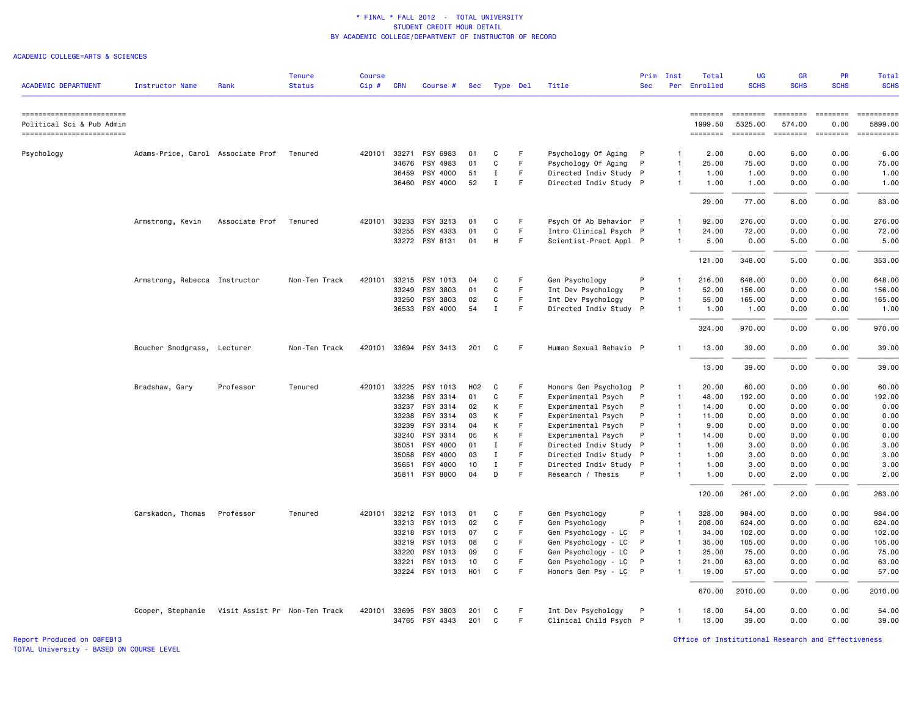### ACADEMIC COLLEGE=ARTS & SCIENCES

| <b>ACADEMIC DEPARTMENT</b>                             | Instructor Name                   | Rank                          | <b>Tenure</b><br><b>Status</b> | <b>Course</b><br>$Cip$ # | <b>CRN</b> | Course #              | Sec              | Type Del     |    | Title                  | Prim<br><b>Sec</b> | Inst           | Total<br>Per Enrolled | <b>UG</b><br><b>SCHS</b>  | <b>GR</b><br><b>SCHS</b> | PR<br><b>SCHS</b> | Total<br><b>SCHS</b>                                                                                                                                                                                                                                                                                                                                                                                                                |
|--------------------------------------------------------|-----------------------------------|-------------------------------|--------------------------------|--------------------------|------------|-----------------------|------------------|--------------|----|------------------------|--------------------|----------------|-----------------------|---------------------------|--------------------------|-------------------|-------------------------------------------------------------------------------------------------------------------------------------------------------------------------------------------------------------------------------------------------------------------------------------------------------------------------------------------------------------------------------------------------------------------------------------|
| ------------------------                               |                                   |                               |                                |                          |            |                       |                  |              |    |                        |                    |                | ========              | ========                  | <b>EEEEEEEE</b>          | <b>EDEDEED</b>    |                                                                                                                                                                                                                                                                                                                                                                                                                                     |
| Political Sci & Pub Admin<br>------------------------- |                                   |                               |                                |                          |            |                       |                  |              |    |                        |                    |                | 1999.50<br>========   | 5325.00<br><b>EDEDEED</b> | 574.00<br>========       | 0.00              | 5899.00<br>$\begin{minipage}{0.03\linewidth} \hspace*{-0.2cm} \textbf{if} \hspace*{-0.1cm} \textbf{if} \hspace*{-0.1cm} \textbf{if} \hspace*{-0.1cm} \textbf{if} \hspace*{-0.1cm} \textbf{if} \hspace*{-0.1cm} \textbf{if} \hspace*{-0.1cm} \textbf{if} \hspace*{-0.1cm} \textbf{if} \hspace*{-0.1cm} \textbf{if} \hspace*{-0.1cm} \textbf{if} \hspace*{-0.1cm} \textbf{if} \hspace*{-0.1cm} \textbf{if} \hspace*{-0.1cm} \textbf{$ |
| Psychology                                             | Adams-Price, Carol Associate Prof |                               | Tenured                        | 420101                   | 33271      | PSY 6983              | 01               | C            | F  | Psychology Of Aging    | P                  | $\mathbf{1}$   | 2.00                  | 0.00                      | 6.00                     | 0.00              | 6.00                                                                                                                                                                                                                                                                                                                                                                                                                                |
|                                                        |                                   |                               |                                |                          | 34676      | PSY 4983              | 01               | $\mathsf{C}$ | F. | Psychology Of Aging    | P                  | $\mathbf{1}$   | 25.00                 | 75.00                     | 0.00                     | 0.00              | 75.00                                                                                                                                                                                                                                                                                                                                                                                                                               |
|                                                        |                                   |                               |                                |                          | 36459      | PSY 4000              | 51               | I            | F  | Directed Indiv Study   | $\mathsf{P}$       | $\overline{1}$ | 1.00                  | 1.00                      | 0.00                     | 0.00              | 1.00                                                                                                                                                                                                                                                                                                                                                                                                                                |
|                                                        |                                   |                               |                                |                          |            | 36460 PSY 4000        | 52               | $\mathbf I$  | E  | Directed Indiv Study P |                    | $\overline{1}$ | 1.00                  | 1.00                      | 0.00                     | 0.00              | 1.00                                                                                                                                                                                                                                                                                                                                                                                                                                |
|                                                        |                                   |                               |                                |                          |            |                       |                  |              |    |                        |                    |                | 29.00                 | 77.00                     | 6.00                     | 0.00              | 83.00                                                                                                                                                                                                                                                                                                                                                                                                                               |
|                                                        | Armstrong, Kevin                  | Associate Prof                | Tenured                        | 420101                   | 33233      | PSY 3213              | 01               | C            | F  | Psych Of Ab Behavior P |                    | $\overline{1}$ | 92.00                 | 276.00                    | 0.00                     | 0.00              | 276.00                                                                                                                                                                                                                                                                                                                                                                                                                              |
|                                                        |                                   |                               |                                |                          | 33255      | PSY 4333              | 01               | $\mathbf C$  | F. | Intro Clinical Psych P |                    | $\overline{1}$ | 24.00                 | 72.00                     | 0.00                     | 0.00              | 72.00                                                                                                                                                                                                                                                                                                                                                                                                                               |
|                                                        |                                   |                               |                                |                          |            | 33272 PSY 8131        | 01               | H            | F. | Scientist-Pract Appl P |                    | -1             | 5.00                  | 0.00                      | 5.00                     | 0.00              | 5.00                                                                                                                                                                                                                                                                                                                                                                                                                                |
|                                                        |                                   |                               |                                |                          |            |                       |                  |              |    |                        |                    |                | 121.00                | 348.00                    | 5.00                     | 0.00              | 353.00                                                                                                                                                                                                                                                                                                                                                                                                                              |
|                                                        | Armstrong, Rebecca Instructor     |                               | Non-Ten Track                  | 420101                   |            | 33215 PSY 1013        | 04               | C            | F  | Gen Psychology         | P                  | -1             | 216.00                | 648,00                    | 0.00                     | 0.00              | 648.00                                                                                                                                                                                                                                                                                                                                                                                                                              |
|                                                        |                                   |                               |                                |                          |            | 33249 PSY 3803        | 01               | C            | F. | Int Dev Psychology     | P                  | $\overline{1}$ | 52.00                 | 156.00                    | 0.00                     | 0.00              | 156.00                                                                                                                                                                                                                                                                                                                                                                                                                              |
|                                                        |                                   |                               |                                |                          | 33250      | PSY 3803              | 02               | $\mathbf C$  | F  | Int Dev Psychology     | P                  | $\mathbf{1}$   | 55.00                 | 165.00                    | 0.00                     | 0.00              | 165.00                                                                                                                                                                                                                                                                                                                                                                                                                              |
|                                                        |                                   |                               |                                |                          |            | 36533 PSY 4000        | 54               | $\mathbf I$  | F  | Directed Indiv Study P |                    | -1             | 1.00                  | 1.00                      | 0.00                     | 0.00              | 1.00                                                                                                                                                                                                                                                                                                                                                                                                                                |
|                                                        |                                   |                               |                                |                          |            |                       |                  |              |    |                        |                    |                | 324.00                | 970.00                    | 0.00                     | 0.00              | 970.00                                                                                                                                                                                                                                                                                                                                                                                                                              |
|                                                        | Boucher Snodgrass, Lecturer       |                               | Non-Ten Track                  |                          |            | 420101 33694 PSY 3413 | 201              | C            | F  | Human Sexual Behavio P |                    | $\mathbf{1}$   | 13.00                 | 39.00                     | 0.00                     | 0.00              | 39.00                                                                                                                                                                                                                                                                                                                                                                                                                               |
|                                                        |                                   |                               |                                |                          |            |                       |                  |              |    |                        |                    |                | 13.00                 | 39.00                     | 0.00                     | 0.00              | 39.00                                                                                                                                                                                                                                                                                                                                                                                                                               |
|                                                        | Bradshaw, Gary                    | Professor                     | Tenured                        |                          |            | 420101 33225 PSY 1013 | H <sub>02</sub>  | C            | F  | Honors Gen Psycholog P |                    | $\overline{1}$ | 20.00                 | 60.00                     | 0.00                     | 0.00              | 60.00                                                                                                                                                                                                                                                                                                                                                                                                                               |
|                                                        |                                   |                               |                                |                          | 33236      | PSY 3314              | 01               | C            | F  | Experimental Psych     | P                  | -1             | 48.00                 | 192.00                    | 0.00                     | 0.00              | 192.00                                                                                                                                                                                                                                                                                                                                                                                                                              |
|                                                        |                                   |                               |                                |                          | 33237      | PSY 3314              | 02               | К            |    | Experimental Psych     | P                  | $\overline{1}$ | 14.00                 | 0.00                      | 0.00                     | 0.00              | 0.00                                                                                                                                                                                                                                                                                                                                                                                                                                |
|                                                        |                                   |                               |                                |                          | 33238      | PSY 3314              | 03               | К            | F  | Experimental Psych     | P                  | $\overline{1}$ | 11.00                 | 0.00                      | 0.00                     | 0.00              | 0.00                                                                                                                                                                                                                                                                                                                                                                                                                                |
|                                                        |                                   |                               |                                |                          | 33239      | PSY 3314              | 04               | К            | F  | Experimental Psych     | P                  | $\overline{1}$ | 9.00                  | 0.00                      | 0.00                     | 0.00              | 0.00                                                                                                                                                                                                                                                                                                                                                                                                                                |
|                                                        |                                   |                               |                                |                          |            | 33240 PSY 3314        | 05               | К            | E  | Experimental Psych     | P                  | $\overline{1}$ | 14.00                 | 0.00                      | 0.00                     | 0.00              | 0.00                                                                                                                                                                                                                                                                                                                                                                                                                                |
|                                                        |                                   |                               |                                |                          | 35051      | PSY 4000              | 01               | Ι.           | F  | Directed Indiv Study   | P                  | $\overline{1}$ | 1.00                  | 3.00                      | 0.00                     | 0.00              | 3.00                                                                                                                                                                                                                                                                                                                                                                                                                                |
|                                                        |                                   |                               |                                |                          | 35058      | PSY 4000              | 03               | $\mathbf I$  | F  | Directed Indiv Study   | P                  | $\overline{1}$ | 1.00                  | 3.00                      | 0.00                     | 0.00              | 3.00                                                                                                                                                                                                                                                                                                                                                                                                                                |
|                                                        |                                   |                               |                                |                          | 35651      | PSY 4000              | 10               | $\mathbf I$  | F  | Directed Indiv Study   | P                  | $\mathbf{1}$   | 1.00                  | 3.00                      | 0.00                     | 0.00              | 3.00                                                                                                                                                                                                                                                                                                                                                                                                                                |
|                                                        |                                   |                               |                                |                          |            | 35811 PSY 8000        | 04               | D            | F  | Research / Thesis      | P                  | $\overline{1}$ | 1.00                  | 0.00                      | 2.00                     | 0.00              | 2.00                                                                                                                                                                                                                                                                                                                                                                                                                                |
|                                                        |                                   |                               |                                |                          |            |                       |                  |              |    |                        |                    |                | 120.00                | 261.00                    | 2.00                     | 0.00              | 263.00                                                                                                                                                                                                                                                                                                                                                                                                                              |
|                                                        | Carskadon, Thomas                 | Professor                     | Tenured                        |                          |            | 420101 33212 PSY 1013 | 01               | C            | F  | Gen Psychology         | P                  | -1             | 328.00                | 984.00                    | 0.00                     | 0.00              | 984.00                                                                                                                                                                                                                                                                                                                                                                                                                              |
|                                                        |                                   |                               |                                |                          | 33213      | PSY 1013              | 02               | C            | F. | Gen Psychology         | P                  | $\overline{1}$ | 208.00                | 624.00                    | 0.00                     | 0.00              | 624.00                                                                                                                                                                                                                                                                                                                                                                                                                              |
|                                                        |                                   |                               |                                |                          |            | 33218 PSY 1013        | 07               | C            | F  | Gen Psychology - LC    | P                  | $\overline{1}$ | 34.00                 | 102.00                    | 0.00                     | 0.00              | 102.00                                                                                                                                                                                                                                                                                                                                                                                                                              |
|                                                        |                                   |                               |                                |                          | 33219      | PSY 1013              | 08               | C            | F  | Gen Psychology - LC    | P                  | $\overline{1}$ | 35.00                 | 105.00                    | 0.00                     | 0.00              | 105.00                                                                                                                                                                                                                                                                                                                                                                                                                              |
|                                                        |                                   |                               |                                |                          | 33220      | PSY 1013              | 09               | C            | F  | Gen Psychology - LC    | P                  | $\overline{1}$ | 25.00                 | 75.00                     | 0.00                     | 0.00              | 75.00                                                                                                                                                                                                                                                                                                                                                                                                                               |
|                                                        |                                   |                               |                                |                          | 33221      | PSY 1013              | 10               | C            | F  | Gen Psychology - LC    | P                  | $\mathbf{1}$   | 21.00                 | 63.00                     | 0.00                     | 0.00              | 63.00                                                                                                                                                                                                                                                                                                                                                                                                                               |
|                                                        |                                   |                               |                                |                          |            | 33224 PSY 1013        | H <sub>0</sub> 1 | C            | F  | Honors Gen Psy - LC    | P                  | $\overline{1}$ | 19.00                 | 57.00                     | 0.00                     | 0.00              | 57.00                                                                                                                                                                                                                                                                                                                                                                                                                               |
|                                                        |                                   |                               |                                |                          |            |                       |                  |              |    |                        |                    |                | 670.00                | 2010.00                   | 0.00                     | 0.00              | 2010.00                                                                                                                                                                                                                                                                                                                                                                                                                             |
|                                                        | Cooper, Stephanie                 | Visit Assist Pr Non-Ten Track |                                | 420101                   | 33695      | PSY 3803              | 201              | C            | F  | Int Dev Psychology     | P                  | $\mathbf{1}$   | 18.00                 | 54.00                     | 0.00                     | 0.00              | 54.00                                                                                                                                                                                                                                                                                                                                                                                                                               |
|                                                        |                                   |                               |                                |                          |            | 34765 PSY 4343        | 201              | C            | F. | Clinical Child Psych P |                    | $\overline{1}$ | 13.00                 | 39.00                     | 0.00                     | 0.00              | 39.00                                                                                                                                                                                                                                                                                                                                                                                                                               |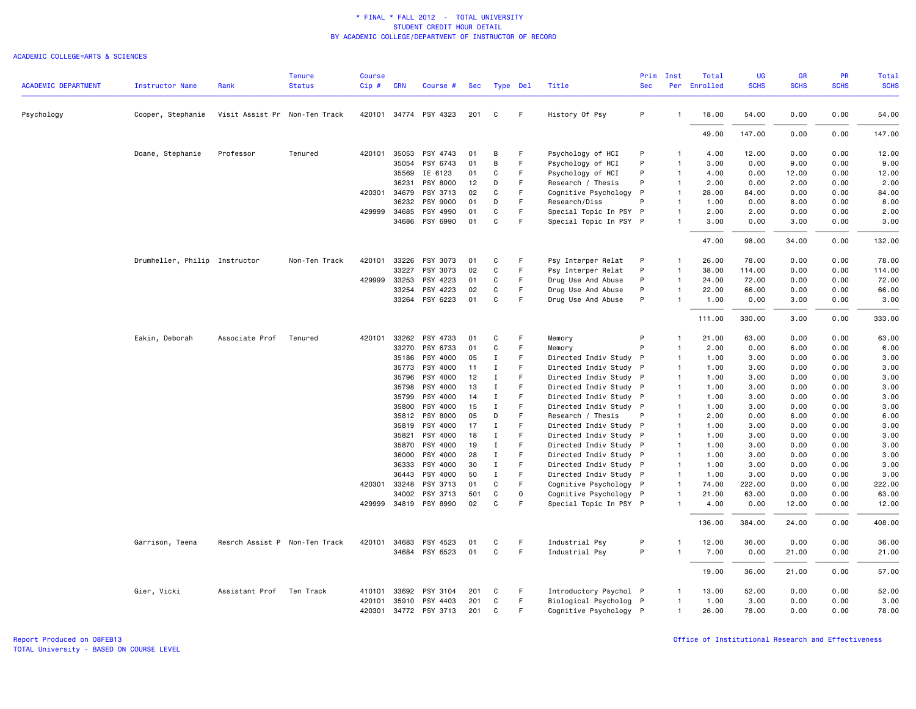### ACADEMIC COLLEGE=ARTS & SCIENCES

| <b>ACADEMIC DEPARTMENT</b> | <b>Instructor Name</b>        | Rank                          | <b>Tenure</b><br><b>Status</b> | <b>Course</b><br>Cip# | <b>CRN</b>     | Course #              | <b>Sec</b> |                            | Type Del | Title                                            | Prim<br><b>Sec</b> | Inst                           | Total<br>Per Enrolled | UG<br><b>SCHS</b> | GR<br><b>SCHS</b> | PR<br><b>SCHS</b> | <b>Total</b><br><b>SCHS</b> |
|----------------------------|-------------------------------|-------------------------------|--------------------------------|-----------------------|----------------|-----------------------|------------|----------------------------|----------|--------------------------------------------------|--------------------|--------------------------------|-----------------------|-------------------|-------------------|-------------------|-----------------------------|
|                            |                               |                               |                                |                       |                |                       |            |                            |          |                                                  |                    |                                |                       |                   |                   |                   |                             |
| Psychology                 | Cooper, Stephanie             | Visit Assist Pr Non-Ten Track |                                |                       |                | 420101 34774 PSY 4323 | 201        | C                          | F.       | History Of Psy                                   | P                  | $\mathbf{1}$                   | 18.00                 | 54.00             | 0.00              | 0.00              | 54.00                       |
|                            |                               |                               |                                |                       |                |                       |            |                            |          |                                                  |                    |                                | 49.00                 | 147.00            | 0.00              | 0.00              | 147.00                      |
|                            | Doane, Stephanie              | Professor                     | Tenured                        | 420101                | 35053          | PSY 4743              | 01         | B                          | F        | Psychology of HCI                                | P                  | $\mathbf{1}$                   | 4.00                  | 12.00             | 0.00              | 0.00              | 12.00                       |
|                            |                               |                               |                                |                       | 35054          | PSY 6743              | 01         | B                          | F        | Psychology of HCI                                | P                  | $\mathbf{1}$                   | 3.00                  | 0.00              | 9.00              | 0.00              | 9.00                        |
|                            |                               |                               |                                |                       | 35569          | IE 6123               | 01         | C                          | F        | Psychology of HCI                                | P                  | $\mathbf{1}$                   | 4.00                  | 0.00              | 12.00             | 0.00              | 12.00                       |
|                            |                               |                               |                                |                       | 36231          | PSY 8000              | 12         | D                          | F        | Research / Thesis                                | P                  | $\mathbf{1}$                   | 2.00                  | 0.00              | 2.00              | 0.00              | 2.00                        |
|                            |                               |                               |                                | 420301 34679          |                | PSY 3713              | 02         | C                          | F        | Cognitive Psychology P                           |                    | $\overline{1}$                 | 28.00                 | 84.00             | 0.00              | 0.00              | 84.00                       |
|                            |                               |                               |                                |                       | 36232          | PSY 9000              | 01         | D                          | F        | Research/Diss                                    | P                  | $\overline{1}$                 | 1.00                  | 0.00              | 8.00              | 0.00              | 8.00                        |
|                            |                               |                               |                                | 429999 34685          | 34686          | PSY 4990<br>PSY 6990  | 01<br>01   | C<br>C                     | F<br>F   | Special Topic In PSY P<br>Special Topic In PSY P |                    | 1<br>$\mathbf{1}$              | 2.00<br>3.00          | 2.00<br>0.00      | 0.00<br>3.00      | 0.00<br>0.00      | 2.00<br>3.00                |
|                            |                               |                               |                                |                       |                |                       |            |                            |          |                                                  |                    |                                | 47.00                 | 98.00             | 34.00             | 0.00              | 132.00                      |
|                            |                               |                               |                                |                       |                |                       |            |                            |          |                                                  |                    |                                |                       |                   |                   |                   |                             |
|                            | Drumheller, Philip Instructor |                               | Non-Ten Track                  | 420101                | 33226          | PSY 3073              | 01         | C                          | F        | Psy Interper Relat                               | P                  | $\mathbf{1}$                   | 26.00                 | 78.00             | 0.00              | 0.00              | 78.00                       |
|                            |                               |                               |                                |                       | 33227          | PSY 3073              | 02         | C                          | F        | Psy Interper Relat                               | P                  | $\mathbf{1}$                   | 38.00                 | 114.00            | 0.00              | 0.00              | 114.00                      |
|                            |                               |                               |                                | 429999                | 33253          | PSY 4223              | 01         | C                          | F        | Drug Use And Abuse                               | P                  | $\mathbf{1}$                   | 24.00                 | 72.00             | 0.00              | 0.00              | 72.00                       |
|                            |                               |                               |                                |                       | 33254          | PSY 4223              | 02         | C                          | F        | Drug Use And Abuse                               | P                  | $\mathbf{1}$                   | 22.00                 | 66.00             | 0.00              | 0.00              | 66.00                       |
|                            |                               |                               |                                |                       | 33264          | PSY 6223              | 01         | C                          | F        | Drug Use And Abuse                               | P                  | $\mathbf{1}$                   | 1.00                  | 0.00              | 3.00              | 0.00              | 3.00                        |
|                            |                               |                               |                                |                       |                |                       |            |                            |          |                                                  |                    |                                | 111.00                | 330.00            | 3.00              | 0.00              | 333.00                      |
|                            | Eakin, Deborah                | Associate Prof                | Tenured                        | 420101                | 33262          | PSY 4733              | 01         | C                          | F        | Memory                                           | P                  | $\mathbf{1}$                   | 21.00                 | 63.00             | 0.00              | 0.00              | 63.00                       |
|                            |                               |                               |                                |                       | 33270          | PSY 6733              | 01         | C                          | F        | Memory                                           | P                  | $\mathbf{1}$                   | 2.00                  | 0.00              | 6.00              | 0.00              | 6.00                        |
|                            |                               |                               |                                |                       | 35186          | PSY 4000              | 05         | $\mathbf I$                | F        | Directed Indiv Study P                           |                    | $\mathbf{1}$                   | 1.00                  | 3.00              | 0.00              | 0.00              | 3.00                        |
|                            |                               |                               |                                |                       | 35773          | PSY 4000              | 11         | $\mathbf I$                | F        | Directed Indiv Study P                           |                    | $\overline{1}$                 | 1.00                  | 3.00              | 0.00              | 0.00              | 3.00                        |
|                            |                               |                               |                                |                       | 35796          | PSY 4000              | 12         | $\mathbf I$                | F        | Directed Indiv Study P                           |                    | $\mathbf{1}$                   | 1.00                  | 3.00              | 0.00              | 0.00              | 3.00                        |
|                            |                               |                               |                                |                       | 35798          | PSY 4000              | 13         | $\mathbf I$                | F        | Directed Indiv Study P                           |                    | $\mathbf{1}$                   | 1.00                  | 3.00              | 0.00              | 0.00              | 3.00                        |
|                            |                               |                               |                                |                       | 35799          | PSY 4000              | 14         | $\mathbf I$                | F        | Directed Indiv Study P                           |                    | $\overline{1}$                 | 1.00                  | 3.00              | 0.00              | 0.00              | 3.00                        |
|                            |                               |                               |                                |                       | 35800          | PSY 4000              | 15         | $\mathbf I$                | F        | Directed Indiv Study P                           |                    | $\overline{1}$                 | 1.00                  | 3.00              | 0.00              | 0.00              | 3.00                        |
|                            |                               |                               |                                |                       | 35812          | PSY 8000              | 05         | D                          | F        | Research / Thesis                                | P                  | $\mathbf{1}$                   | 2.00                  | 0.00              | 6.00              | 0.00              | 6.00                        |
|                            |                               |                               |                                |                       | 35819          | PSY 4000              | 17         | $\mathbf I$                | F        | Directed Indiv Study P                           |                    | $\overline{1}$                 | 1.00                  | 3.00              | 0.00              | 0.00              | 3.00                        |
|                            |                               |                               |                                |                       | 35821          | PSY 4000              | 18         | <b>I</b>                   | F        | Directed Indiv Study P                           |                    | $\mathbf{1}$                   | 1.00                  | 3.00              | 0.00              | 0.00              | 3.00                        |
|                            |                               |                               |                                |                       | 35870<br>36000 | PSY 4000              | 19<br>28   | $\mathbf I$<br>$\mathbf I$ | F<br>F   | Directed Indiv Study P                           |                    | $\mathbf{1}$<br>$\overline{1}$ | 1.00<br>1.00          | 3.00<br>3.00      | 0.00<br>0.00      | 0.00              | 3.00                        |
|                            |                               |                               |                                |                       | 36333          | PSY 4000<br>PSY 4000  | 30         | I                          | F        | Directed Indiv Study P                           |                    | $\mathbf{1}$                   | 1.00                  | 3.00              | 0.00              | 0.00<br>0.00      | 3.00<br>3.00                |
|                            |                               |                               |                                |                       | 36443          | PSY 4000              | 50         | $\mathbf I$                | F        | Directed Indiv Study P<br>Directed Indiv Study P |                    | $\mathbf{1}$                   | 1.00                  | 3.00              | 0.00              | 0.00              | 3.00                        |
|                            |                               |                               |                                | 420301 33248          |                | PSY 3713              | 01         | C                          | F        | Cognitive Psychology P                           |                    | $\overline{1}$                 | 74.00                 | 222.00            | 0.00              | 0.00              | 222.00                      |
|                            |                               |                               |                                |                       | 34002          | PSY 3713              | 501        | C                          | $\Omega$ | Cognitive Psychology P                           |                    | $\mathbf{1}$                   | 21.00                 | 63.00             | 0.00              | 0.00              | 63.00                       |
|                            |                               |                               |                                |                       |                | 429999 34819 PSY 8990 | 02         | C                          | F        | Special Topic In PSY P                           |                    | $\mathbf{1}$                   | 4.00                  | 0.00              | 12.00             | 0.00              | 12.00                       |
|                            |                               |                               |                                |                       |                |                       |            |                            |          |                                                  |                    |                                |                       |                   |                   |                   |                             |
|                            |                               |                               |                                |                       |                |                       |            |                            |          |                                                  |                    |                                | 136.00                | 384.00            | 24.00             | 0.00              | 408.00                      |
|                            | Garrison, Teena               | Resrch Assist P Non-Ten Track |                                | 420101                | 34683          | PSY 4523              | 01         | C                          | F        | Industrial Psy                                   | P                  | $\mathbf{1}$                   | 12.00                 | 36.00             | 0.00              | 0.00              | 36.00                       |
|                            |                               |                               |                                |                       |                | 34684 PSY 6523        | 01         | C                          | F        | Industrial Psy                                   | P                  |                                | 7.00                  | 0.00              | 21.00             | 0.00              | 21.00                       |
|                            |                               |                               |                                |                       |                |                       |            |                            |          |                                                  |                    |                                | 19.00                 | 36.00             | 21.00             | 0.00              | 57.00                       |
|                            | Gier, Vicki                   | Assistant Prof Ten Track      |                                | 410101                | 33692          | PSY 3104              | 201        | C                          | F        | Introductory Psychol P                           |                    | 1                              | 13.00                 | 52.00             | 0.00              | 0.00              | 52.00                       |
|                            |                               |                               |                                | 420101                | 35910          | PSY 4403              | 201        | C                          | F.       | Biological Psycholog P                           |                    | $\mathbf{1}$                   | 1.00                  | 3.00              | 0.00              | 0.00              | 3.00                        |
|                            |                               |                               |                                | 420301                |                | 34772 PSY 3713        | 201        | C                          | F        | Cognitive Psychology P                           |                    | 1                              | 26.00                 | 78.00             | 0.00              | 0.00              | 78.00                       |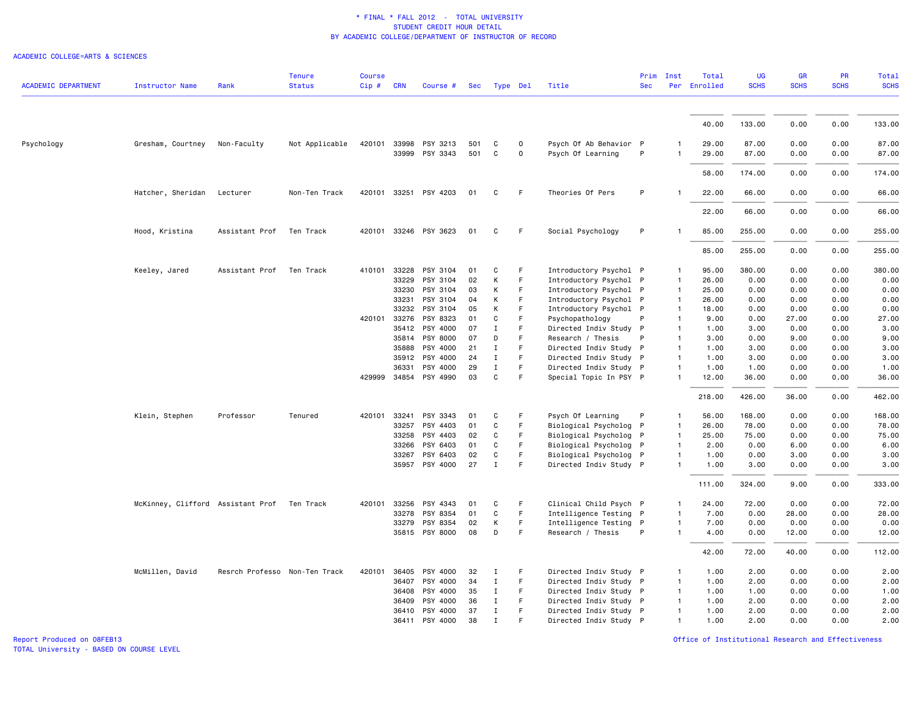#### ACADEMIC COLLEGE=ARTS & SCIENCES

| <b>ACADEMIC DEPARTMENT</b> | <b>Instructor Name</b>                      | Rank                          | <b>Tenure</b><br><b>Status</b> | <b>Course</b><br>$Cip$ # | <b>CRN</b>            | Course #              | Sec        |              | Type Del         | Title                                       | Prim<br><b>Sec</b> | Inst              | Total<br>Per Enrolled | <b>UG</b><br><b>SCHS</b> | GR<br><b>SCHS</b> | PR<br><b>SCHS</b> | <b>Total</b><br><b>SCHS</b> |
|----------------------------|---------------------------------------------|-------------------------------|--------------------------------|--------------------------|-----------------------|-----------------------|------------|--------------|------------------|---------------------------------------------|--------------------|-------------------|-----------------------|--------------------------|-------------------|-------------------|-----------------------------|
|                            |                                             |                               |                                |                          |                       |                       |            |              |                  |                                             |                    |                   |                       |                          |                   |                   |                             |
|                            |                                             |                               |                                |                          |                       |                       |            |              |                  |                                             |                    |                   | 40.00                 | 133.00                   | 0.00              | 0.00              | 133.00                      |
| Psychology                 | Gresham, Courtney                           | Non-Faculty                   | Not Applicable                 |                          | 420101 33998<br>33999 | PSY 3213<br>PSY 3343  | 501<br>501 | C<br>C       | $\mathbf 0$<br>0 | Psych Of Ab Behavior P<br>Psych Of Learning | P                  | 1<br>$\mathbf{1}$ | 29.00<br>29.00        | 87.00<br>87.00           | 0.00<br>0.00      | 0.00<br>0.00      | 87.00<br>87.00              |
|                            |                                             |                               |                                |                          |                       |                       |            |              |                  |                                             |                    |                   | 58.00                 | 174.00                   | 0.00              | 0.00              | 174.00                      |
|                            | Hatcher, Sheridan                           | Lecturer                      | Non-Ten Track                  |                          |                       | 420101 33251 PSY 4203 | 01         | C            | F.               | Theories Of Pers                            | P                  |                   | 22.00                 | 66.00                    | 0.00              | 0.00              | 66.00                       |
|                            |                                             |                               |                                |                          |                       |                       |            |              |                  |                                             |                    |                   | 22.00                 | 66.00                    | 0.00              | 0.00              | 66.00                       |
|                            | Hood, Kristina                              | Assistant Prof                | Ten Track                      |                          |                       | 420101 33246 PSY 3623 | 01         | C            | F.               | Social Psychology                           | P                  |                   | 85.00                 | 255.00                   | 0.00              | 0.00              | 255.00                      |
|                            |                                             |                               |                                |                          |                       |                       |            |              |                  |                                             |                    |                   | 85.00                 | 255.00                   | 0.00              | 0.00              | 255.00                      |
|                            | Keeley, Jared                               | Assistant Prof                | Ten Track                      | 410101                   | 33228                 | PSY 3104              | 01         | C            | F                | Introductory Psychol P                      |                    | $\mathbf{1}$      | 95.00                 | 380.00                   | 0.00              | 0.00              | 380.00                      |
|                            |                                             |                               |                                |                          | 33229                 | PSY 3104              | 02         | К            | F                | Introductory Psychol P                      |                    | $\mathbf{1}$      | 26.00                 | 0.00                     | 0.00              | 0.00              | 0.00                        |
|                            |                                             |                               |                                |                          | 33230                 | PSY 3104              | 03         | К            | F                | Introductory Psychol P                      |                    | $\mathbf{1}$      | 25.00                 | 0.00                     | 0.00              | 0.00              | 0.00                        |
|                            |                                             |                               |                                |                          | 33231                 | PSY 3104              | 04         | К            | F                | Introductory Psychol P                      |                    | $\overline{1}$    | 26.00                 | 0.00                     | 0.00              | 0.00              | 0.00                        |
|                            |                                             |                               |                                |                          | 33232                 | PSY 3104              | 05         | K            | F                | Introductory Psychol P                      |                    | $\mathbf{1}$      | 18.00                 | 0.00                     | 0.00              | 0.00              | 0.00                        |
|                            |                                             |                               |                                |                          | 420101 33276          | PSY 8323              | 01         | C            | F                | Psychopathology                             | P                  | $\mathbf{1}$      | 9.00                  | 0.00                     | 27.00             | 0.00              | 27.00                       |
|                            |                                             |                               |                                |                          | 35412                 | PSY 4000              | 07         | $\mathbf I$  | F                | Directed Indiv Study P                      |                    | $\mathbf{1}$      | 1.00                  | 3.00                     | 0.00              | 0.00              | 3.00                        |
|                            |                                             |                               |                                |                          | 35814                 | PSY 8000              | 07         | D            | F                | Research / Thesis                           | P                  | $\mathbf{1}$      | 3.00                  | 0.00                     | 9.00              | 0.00              | 9.00                        |
|                            |                                             |                               |                                |                          | 35888                 | PSY 4000              | 21         | $\mathbf I$  | F.               | Directed Indiv Study P                      |                    | $\mathbf{1}$      | 1.00                  | 3.00                     | 0.00              | 0.00              | 3.00                        |
|                            |                                             |                               |                                |                          | 35912                 | PSY 4000              | 24         | $\;$ I       | F                | Directed Indiv Study P                      |                    | $\overline{1}$    | 1.00                  | 3.00                     | 0.00              | 0.00              | 3.00                        |
|                            |                                             |                               |                                |                          | 36331                 | PSY 4000              | 29         | $\mathbf I$  | F                | Directed Indiv Study P                      |                    | $\mathbf{1}$      | 1.00                  | 1.00                     | 0.00              | 0.00              | 1.00                        |
|                            |                                             |                               |                                |                          | 429999 34854          | PSY 4990              | 03         | $\mathtt{C}$ | F                | Special Topic In PSY P                      |                    | $\mathbf{1}$      | 12.00                 | 36.00                    | 0.00              | 0.00              | 36.00                       |
|                            |                                             |                               |                                |                          |                       |                       |            |              |                  |                                             |                    |                   | 218.00                | 426.00                   | 36.00             | 0.00              | 462.00                      |
|                            | Klein, Stephen                              | Professor                     | Tenured                        |                          | 420101 33241          | PSY 3343              | 01         | C            | F                | Psych Of Learning                           | P                  | $\mathbf{1}$      | 56.00                 | 168.00                   | 0.00              | 0.00              | 168.00                      |
|                            |                                             |                               |                                |                          | 33257                 | PSY 4403              | 01         | C            | F                | Biological Psycholog P                      |                    | $\mathbf{1}$      | 26.00                 | 78.00                    | 0.00              | 0.00              | 78.00                       |
|                            |                                             |                               |                                |                          | 33258                 | PSY 4403              | 02         | C            | F                | Biological Psycholog P                      |                    | $\mathbf{1}$      | 25.00                 | 75.00                    | 0.00              | 0.00              | 75.00                       |
|                            |                                             |                               |                                |                          | 33266                 | PSY 6403              | 01         | C            | F                | Biological Psycholog P                      |                    | $\mathbf{1}$      | 2.00                  | 0.00                     | 6.00              | 0.00              | 6.00                        |
|                            |                                             |                               |                                |                          | 33267                 | PSY 6403              | 02         | C            | F                | Biological Psycholog P                      |                    | $\mathbf{1}$      | 1.00                  | 0.00                     | 3.00              | 0.00              | 3.00                        |
|                            |                                             |                               |                                |                          |                       | 35957 PSY 4000        | 27         | $\mathbf I$  | F                | Directed Indiv Study P                      |                    | $\mathbf{1}$      | 1.00                  | 3.00                     | 0.00              | 0.00              | 3.00                        |
|                            |                                             |                               |                                |                          |                       |                       |            |              |                  |                                             |                    |                   | 111.00                | 324.00                   | 9.00              | 0.00              | 333.00                      |
|                            | McKinney, Clifford Assistant Prof Ten Track |                               |                                | 420101                   | 33256                 | PSY 4343              | 01         | C            | F                | Clinical Child Psych P                      |                    | $\mathbf{1}$      | 24.00                 | 72.00                    | 0.00              | 0.00              | 72.00                       |
|                            |                                             |                               |                                |                          | 33278                 | PSY 8354              | 01         | C            | F                | Intelligence Testing P                      |                    | $\mathbf{1}$      | 7.00                  | 0.00                     | 28.00             | 0.00              | 28.00                       |
|                            |                                             |                               |                                |                          |                       | 33279 PSY 8354        | 02         | К            | F.               | Intelligence Testing P                      |                    | $\mathbf{1}$      | 7.00                  | 0.00                     | 0.00              | 0.00              | 0.00                        |
|                            |                                             |                               |                                |                          |                       | 35815 PSY 8000        | 08         | D            | F                | Research / Thesis                           | P                  | $\mathbf{1}$      | 4.00                  | 0.00                     | 12.00             | 0.00              | 12.00                       |
|                            |                                             |                               |                                |                          |                       |                       |            |              |                  |                                             |                    |                   | 42.00                 | 72.00                    | 40.00             | 0.00              | 112.00                      |
|                            | McMillen, David                             | Resrch Professo Non-Ten Track |                                |                          | 420101 36405          | PSY 4000              | 32         | Ι            | F                | Directed Indiv Study P                      |                    | 1                 | 1.00                  | 2.00                     | 0.00              | 0.00              | 2.00                        |
|                            |                                             |                               |                                |                          | 36407                 | PSY 4000              | 34         | $\mathbf I$  | F                | Directed Indiv Study P                      |                    | $\mathbf{1}$      | 1.00                  | 2.00                     | 0.00              | 0.00              | 2.00                        |
|                            |                                             |                               |                                |                          | 36408                 | PSY 4000              | 35         | Ι.           | F                | Directed Indiv Study P                      |                    | $\mathbf{1}$      | 1.00                  | 1.00                     | 0.00              | 0.00              | 1.00                        |
|                            |                                             |                               |                                |                          | 36409                 | PSY 4000              | 36         | $\mathbf I$  | F.               | Directed Indiv Study P                      |                    | $\overline{1}$    | 1.00                  | 2.00                     | 0.00              | 0.00              | 2.00                        |
|                            |                                             |                               |                                |                          | 36410                 | PSY 4000              | 37         | $\mathbf I$  | F                | Directed Indiv Study P                      |                    | $\mathbf{1}$      | 1.00                  | 2.00                     | 0.00              | 0.00              | 2.00                        |
|                            |                                             |                               |                                |                          | 36411                 | PSY 4000              | 38         | $\mathbf{I}$ | F                | Directed Indiv Study P                      |                    | $\mathbf{1}$      | 1.00                  | 2.00                     | 0.00              | 0.00              | 2.00                        |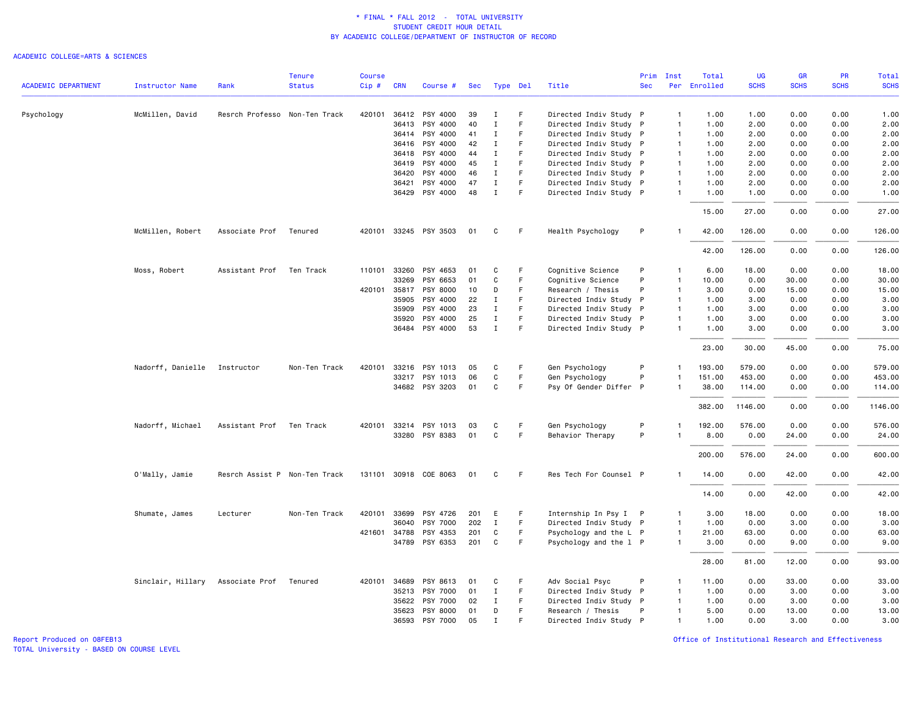### ACADEMIC COLLEGE=ARTS & SCIENCES

|                            |                        |                               | <b>Tenure</b> | <b>Course</b> |              |                       |     |              |     |                        | Prim       | Inst           | Total        | UG          | <b>GR</b>   | <b>PR</b>   | Total       |
|----------------------------|------------------------|-------------------------------|---------------|---------------|--------------|-----------------------|-----|--------------|-----|------------------------|------------|----------------|--------------|-------------|-------------|-------------|-------------|
| <b>ACADEMIC DEPARTMENT</b> | <b>Instructor Name</b> | Rank                          | <b>Status</b> | Cip#          | <b>CRN</b>   | Course #              |     | Sec Type Del |     | Title                  | <b>Sec</b> |                | Per Enrolled | <b>SCHS</b> | <b>SCHS</b> | <b>SCHS</b> | <b>SCHS</b> |
| Psychology                 | McMillen, David        | Resrch Professo Non-Ten Track |               | 420101        |              | 36412 PSY 4000        | 39  | Ι.           | -F  | Directed Indiv Study P |            | $\mathbf{1}$   | 1.00         | 1.00        | 0.00        | 0.00        | 1.00        |
|                            |                        |                               |               |               | 36413        | PSY 4000              | 40  | Ι.           | F   | Directed Indiv Study P |            | $\overline{1}$ | 1.00         | 2.00        | 0.00        | 0.00        | 2.00        |
|                            |                        |                               |               |               | 36414        | PSY 4000              | 41  | $\mathbf I$  | F.  | Directed Indiv Study P |            | $\overline{1}$ | 1.00         | 2.00        | 0.00        | 0.00        | 2.00        |
|                            |                        |                               |               |               | 36416        | PSY 4000              | 42  | Ι.           | F   | Directed Indiv Study P |            | $\mathbf{1}$   | 1.00         | 2.00        | 0.00        | 0.00        | 2.00        |
|                            |                        |                               |               |               | 36418        | PSY 4000              | 44  | Ι.           | F   | Directed Indiv Study P |            | $\overline{1}$ | 1.00         | 2.00        | 0.00        | 0.00        | 2.00        |
|                            |                        |                               |               |               | 36419        | PSY 4000              | 45  | $\mathbf I$  | F   | Directed Indiv Study P |            | $\overline{1}$ | 1.00         | 2.00        | 0.00        | 0.00        | 2.00        |
|                            |                        |                               |               |               | 36420        | PSY 4000              | 46  | $\mathbf I$  | F   | Directed Indiv Study P |            | $\overline{1}$ | 1.00         | 2.00        | 0.00        | 0.00        | 2.00        |
|                            |                        |                               |               |               | 36421        | PSY 4000              | 47  | $\mathbf I$  | E   | Directed Indiv Study P |            | $\mathbf{1}$   | 1.00         | 2.00        | 0.00        | 0.00        | 2.00        |
|                            |                        |                               |               |               |              | 36429 PSY 4000        | 48  | $\mathbf I$  | F.  | Directed Indiv Study P |            | $\mathbf{1}$   | 1.00         | 1.00        | 0.00        | 0.00        | 1.00        |
|                            |                        |                               |               |               |              |                       |     |              |     |                        |            |                | 15.00        | 27.00       | 0.00        | 0.00        | 27.00       |
|                            | McMillen, Robert       | Associate Prof                | Tenured       |               |              | 420101 33245 PSY 3503 | 01  | C            | - F | Health Psychology      | P          | $\mathbf{1}$   | 42.00        | 126.00      | 0.00        | 0.00        | 126.00      |
|                            |                        |                               |               |               |              |                       |     |              |     |                        |            |                | 42.00        | 126.00      | 0.00        | 0.00        | 126.00      |
|                            | Moss, Robert           | Assistant Prof                | Ten Track     | 110101        | 33260        | PSY 4653              | 01  | C            | F.  | Cognitive Science      | P          | $\mathbf{1}$   | 6.00         | 18.00       | 0.00        | 0.00        | 18.00       |
|                            |                        |                               |               |               | 33269        | PSY 6653              | 01  | C            | F   | Cognitive Science      | P          | $\overline{1}$ | 10.00        | 0.00        | 30.00       | 0.00        | 30.00       |
|                            |                        |                               |               |               | 420101 35817 | PSY 8000              | 10  | D            | F   | Research / Thesis      | P          | $\mathbf{1}$   | 3.00         | 0.00        | 15.00       | 0.00        | 15.00       |
|                            |                        |                               |               |               | 35905        | PSY 4000              | 22  | Ι.           | F   | Directed Indiv Study P |            | $\overline{1}$ | 1.00         | 3.00        | 0.00        | 0.00        | 3.00        |
|                            |                        |                               |               |               | 35909        | PSY 4000              | 23  | $\mathbf I$  | F   | Directed Indiv Study P |            | $\mathbf{1}$   | 1.00         | 3.00        | 0.00        | 0.00        | 3.00        |
|                            |                        |                               |               |               | 35920        | PSY 4000              | 25  | $\mathbf I$  | F.  | Directed Indiv Study P |            | $\overline{1}$ | 1.00         | 3.00        | 0.00        | 0.00        | 3.00        |
|                            |                        |                               |               |               |              | 36484 PSY 4000        | 53  | $\mathbf I$  | F   | Directed Indiv Study P |            | $\mathbf{1}$   | 1.00         | 3.00        | 0.00        | 0.00        | 3.00        |
|                            |                        |                               |               |               |              |                       |     |              |     |                        |            |                | 23.00        | 30.00       | 45.00       | 0.00        | 75.00       |
|                            | Nadorff, Danielle      | Instructor                    | Non-Ten Track | 420101        | 33216        | PSY 1013              | 05  | C            | F   | Gen Psychology         | P          | $\mathbf{1}$   | 193.00       | 579.00      | 0.00        | 0.00        | 579.00      |
|                            |                        |                               |               |               |              | 33217 PSY 1013        | 06  | C            | F.  | Gen Psychology         | P          | $\mathbf{1}$   | 151.00       | 453.00      | 0.00        | 0.00        | 453.00      |
|                            |                        |                               |               |               |              | 34682 PSY 3203        | 01  | C            | F   | Psy Of Gender Differ P |            | $\mathbf{1}$   | 38.00        | 114.00      | 0.00        | 0.00        | 114.00      |
|                            |                        |                               |               |               |              |                       |     |              |     |                        |            |                | 382.00       | 1146.00     | 0.00        | 0.00        | 1146.00     |
|                            | Nadorff, Michael       | Assistant Prof                | Ten Track     |               |              | 420101 33214 PSY 1013 | 03  | C            | -F  | Gen Psychology         | P          | -1             | 192.00       | 576.00      | 0.00        | 0.00        | 576.00      |
|                            |                        |                               |               |               |              | 33280 PSY 8383        | 01  | C            | F.  | Behavior Therapy       | P          | $\mathbf{1}$   | 8.00         | 0.00        | 24.00       | 0.00        | 24.00       |
|                            |                        |                               |               |               |              |                       |     |              |     |                        |            |                | 200.00       | 576.00      | 24.00       | 0.00        | 600.00      |
|                            | O'Mally, Jamie         | Resrch Assist P Non-Ten Track |               |               |              | 131101 30918 COE 8063 | 01  | C            | -F  | Res Tech For Counsel P |            | $\mathbf{1}$   | 14.00        | 0.00        | 42.00       | 0.00        | 42.00       |
|                            |                        |                               |               |               |              |                       |     |              |     |                        |            |                | 14.00        | 0.00        | 42.00       | 0.00        | 42.00       |
|                            | Shumate, James         | Lecturer                      | Non-Ten Track | 420101        | 33699        | PSY 4726              | 201 | E            | F.  | Internship In Psy I P  |            | $\mathbf{1}$   | 3.00         | 18.00       | 0.00        | 0.00        | 18.00       |
|                            |                        |                               |               |               | 36040        | PSY 7000              | 202 | $\mathbf I$  | F   | Directed Indiv Study P |            | $\mathbf{1}$   | 1.00         | 0.00        | 3.00        | 0.00        | 3.00        |
|                            |                        |                               |               |               | 421601 34788 | PSY 4353              | 201 | C            | F   | Psychology and the L P |            | $\overline{1}$ | 21.00        | 63.00       | 0.00        | 0.00        | 63.00       |
|                            |                        |                               |               |               | 34789        | PSY 6353              | 201 | C            | F   | Psychology and the 1 P |            | $\mathbf{1}$   | 3.00         | 0.00        | 9.00        | 0.00        | 9.00        |
|                            |                        |                               |               |               |              |                       |     |              |     |                        |            |                | 28.00        | 81.00       | 12.00       | 0.00        | 93.00       |
|                            | Sinclair, Hillary      | Associate Prof                | Tenured       |               | 420101 34689 | PSY 8613              | 01  | C            | F   | Adv Social Psyc        | P          | $\mathbf{1}$   | 11.00        | 0.00        | 33.00       | 0.00        | 33.00       |
|                            |                        |                               |               |               | 35213        | PSY 7000              | 01  | $\mathbf I$  | F.  | Directed Indiv Study P |            | $\overline{1}$ | 1.00         | 0.00        | 3.00        | 0.00        | 3.00        |
|                            |                        |                               |               |               | 35622        | PSY 7000              | 02  | Ι.           | F.  | Directed Indiv Study P |            | $\overline{1}$ | 1.00         | 0.00        | 3.00        | 0.00        | 3.00        |
|                            |                        |                               |               |               | 35623        | PSY 8000              | 01  | D            | F   | Research / Thesis      | P          | $\mathbf{1}$   | 5.00         | 0.00        | 13.00       | 0.00        | 13.00       |
|                            |                        |                               |               |               | 36593        | PSY 7000              | 05  | $\mathbf{I}$ | E   | Directed Indiv Study P |            | $\mathbf{1}$   | 1.00         | 0.00        | 3.00        | 0.00        | 3.00        |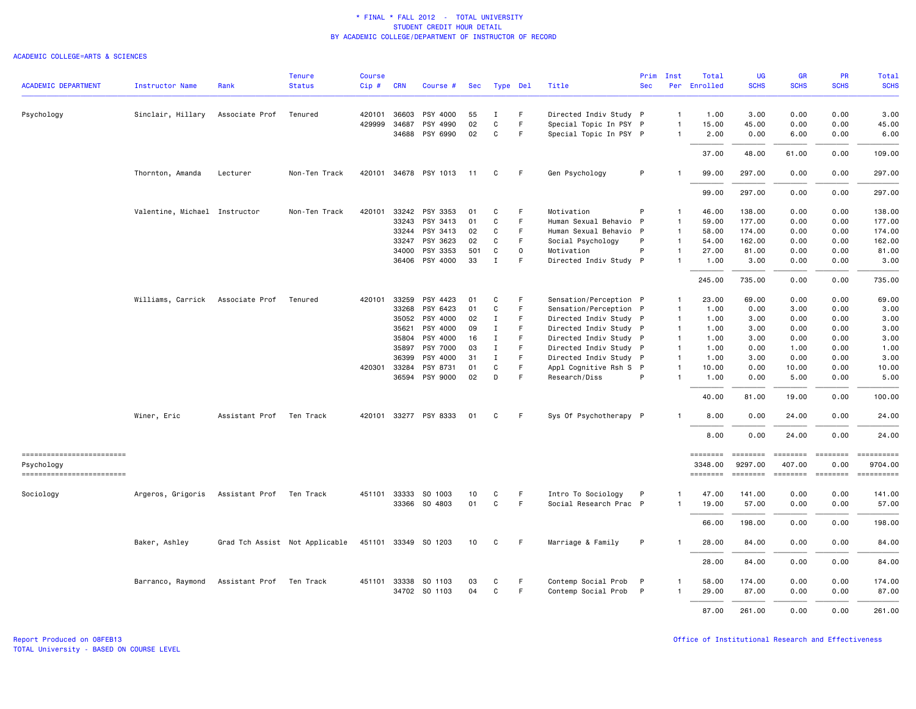|                                          |                               |                | <b>Tenure</b>                  | <b>Course</b> |              |                       |     |              |          |                        | Prim       | Inst           | Total               | <b>UG</b>           | <b>GR</b>                  | PR          | Total                                                                                                                                                                                                                                                                                                                                                                                                                                                                                             |
|------------------------------------------|-------------------------------|----------------|--------------------------------|---------------|--------------|-----------------------|-----|--------------|----------|------------------------|------------|----------------|---------------------|---------------------|----------------------------|-------------|---------------------------------------------------------------------------------------------------------------------------------------------------------------------------------------------------------------------------------------------------------------------------------------------------------------------------------------------------------------------------------------------------------------------------------------------------------------------------------------------------|
| <b>ACADEMIC DEPARTMENT</b>               | Instructor Name               | Rank           | <b>Status</b>                  | Cip#          | <b>CRN</b>   | Course #              | Sec |              | Type Del | Title                  | <b>Sec</b> | Per            | Enrolled            | <b>SCHS</b>         | <b>SCHS</b>                | <b>SCHS</b> | <b>SCHS</b>                                                                                                                                                                                                                                                                                                                                                                                                                                                                                       |
| Psychology                               | Sinclair, Hillary             | Associate Prof | Tenured                        |               | 420101 36603 | PSY 4000              | 55  | I            | F        | Directed Indiv Study P |            | $\overline{1}$ | 1.00                | 3.00                | 0.00                       | 0.00        | 3.00                                                                                                                                                                                                                                                                                                                                                                                                                                                                                              |
|                                          |                               |                |                                |               | 429999 34687 | PSY 4990              | 02  | $\mathbf C$  | F        | Special Topic In PSY P |            | $\overline{1}$ | 15.00               | 45.00               | 0.00                       | 0.00        | 45.00                                                                                                                                                                                                                                                                                                                                                                                                                                                                                             |
|                                          |                               |                |                                |               |              | 34688 PSY 6990        | 02  | C            | F        | Special Topic In PSY P |            | $\overline{1}$ | 2.00                | 0.00                | 6.00                       | 0.00        | 6.00                                                                                                                                                                                                                                                                                                                                                                                                                                                                                              |
|                                          |                               |                |                                |               |              |                       |     |              |          |                        |            |                | 37.00               | 48.00               | 61.00                      | 0.00        | 109.00                                                                                                                                                                                                                                                                                                                                                                                                                                                                                            |
|                                          | Thornton, Amanda              | Lecturer       | Non-Ten Track                  |               |              | 420101 34678 PSY 1013 | 11  | C            | F        | Gen Psychology         | P          |                | 99.00               | 297.00              | 0.00                       | 0.00        | 297.00                                                                                                                                                                                                                                                                                                                                                                                                                                                                                            |
|                                          |                               |                |                                |               |              |                       |     |              |          |                        |            |                | 99.00               | 297.00              | 0.00                       | 0.00        | 297.00                                                                                                                                                                                                                                                                                                                                                                                                                                                                                            |
|                                          | Valentine, Michael Instructor |                | Non-Ten Track                  | 420101        |              | 33242 PSY 3353        | 01  | C            | F        | Motivation             | P          | $\mathbf{1}$   | 46.00               | 138,00              | 0.00                       | 0.00        | 138,00                                                                                                                                                                                                                                                                                                                                                                                                                                                                                            |
|                                          |                               |                |                                |               | 33243        | PSY 3413              | 01  | C            | F        | Human Sexual Behavio   | P          | $\overline{1}$ | 59.00               | 177.00              | 0.00                       | 0.00        | 177.00                                                                                                                                                                                                                                                                                                                                                                                                                                                                                            |
|                                          |                               |                |                                |               |              | 33244 PSY 3413        | 02  | C            | E        | Human Sexual Behavio P |            | $\overline{1}$ | 58.00               | 174.00              | 0.00                       | 0.00        | 174.00                                                                                                                                                                                                                                                                                                                                                                                                                                                                                            |
|                                          |                               |                |                                |               | 33247        | PSY 3623              | 02  | C            | F        | Social Psychology      | P          | $\mathbf{1}$   | 54.00               | 162.00              | 0.00                       | 0.00        | 162.00                                                                                                                                                                                                                                                                                                                                                                                                                                                                                            |
|                                          |                               |                |                                |               | 34000        | PSY 3353              | 501 | C            | 0        | Motivation             | P          | $\overline{1}$ | 27.00               | 81.00               | 0.00                       | 0.00        | 81.00                                                                                                                                                                                                                                                                                                                                                                                                                                                                                             |
|                                          |                               |                |                                |               |              | 36406 PSY 4000        | 33  | $\mathbf I$  | F        | Directed Indiv Study P |            | $\overline{1}$ | 1.00                | 3.00                | 0.00                       | 0.00        | 3.00                                                                                                                                                                                                                                                                                                                                                                                                                                                                                              |
|                                          |                               |                |                                |               |              |                       |     |              |          |                        |            |                | 245.00              | 735.00              | 0.00                       | 0.00        | 735.00                                                                                                                                                                                                                                                                                                                                                                                                                                                                                            |
|                                          | Williams, Carrick             | Associate Prof | Tenured                        |               | 420101 33259 | PSY 4423              | 01  | C            | F        | Sensation/Perception P |            | -1             | 23.00               | 69.00               | 0.00                       | 0.00        | 69.00                                                                                                                                                                                                                                                                                                                                                                                                                                                                                             |
|                                          |                               |                |                                |               | 33268        | PSY 6423              | 01  | $\mathbf C$  | F        | Sensation/Perception P |            | $\mathbf{1}$   | 1.00                | 0.00                | 3.00                       | 0.00        | 3.00                                                                                                                                                                                                                                                                                                                                                                                                                                                                                              |
|                                          |                               |                |                                |               | 35052        | PSY 4000              | 02  | I            | F        | Directed Indiv Study P |            | $\overline{1}$ | 1.00                | 3.00                | 0.00                       | 0.00        | 3.00                                                                                                                                                                                                                                                                                                                                                                                                                                                                                              |
|                                          |                               |                |                                |               | 35621        | PSY 4000              | 09  | Ι.           | F        | Directed Indiv Study P |            | $\overline{1}$ | 1.00                | 3.00                | 0.00                       | 0.00        | 3.00                                                                                                                                                                                                                                                                                                                                                                                                                                                                                              |
|                                          |                               |                |                                |               | 35804        | PSY 4000              | 16  | I            | F        | Directed Indiv Study P |            | $\overline{1}$ | 1.00                | 3.00                | 0.00                       | 0.00        | 3.00                                                                                                                                                                                                                                                                                                                                                                                                                                                                                              |
|                                          |                               |                |                                |               | 35897        | PSY 7000              | 03  | $\mathbf I$  |          | Directed Indiv Study P |            | $\overline{1}$ | 1.00                | 0.00                | 1.00                       | 0.00        | 1.00                                                                                                                                                                                                                                                                                                                                                                                                                                                                                              |
|                                          |                               |                |                                |               | 36399        | PSY 4000              | 31  | $\mathbf I$  | F        | Directed Indiv Study P |            | $\overline{1}$ | 1.00                | 3,00                | 0.00                       | 0.00        | 3.00                                                                                                                                                                                                                                                                                                                                                                                                                                                                                              |
|                                          |                               |                |                                |               | 420301 33284 | PSY 8731              | 01  | C            | F        | Appl Cognitive Rsh S P |            | $\overline{1}$ | 10.00               | 0.00                | 10.00                      | 0.00        | 10.00                                                                                                                                                                                                                                                                                                                                                                                                                                                                                             |
|                                          |                               |                |                                |               |              | 36594 PSY 9000        | 02  | D            | F        | Research/Diss          | P          | $\overline{1}$ | 1.00                | 0.00                | 5.00                       | 0.00        | 5.00                                                                                                                                                                                                                                                                                                                                                                                                                                                                                              |
|                                          |                               |                |                                |               |              |                       |     |              |          |                        |            |                | 40.00               | 81.00               | 19.00                      | 0.00        | 100.00                                                                                                                                                                                                                                                                                                                                                                                                                                                                                            |
|                                          | Winer, Eric                   | Assistant Prof | Ten Track                      |               |              | 420101 33277 PSY 8333 | 01  | C            | F        | Sys Of Psychotherapy P |            |                | 8.00                | 0.00                | 24.00                      | 0.00        | 24.00                                                                                                                                                                                                                                                                                                                                                                                                                                                                                             |
|                                          |                               |                |                                |               |              |                       |     |              |          |                        |            |                | 8.00                | 0.00                | 24.00                      | 0.00        | 24.00                                                                                                                                                                                                                                                                                                                                                                                                                                                                                             |
| -------------------------                |                               |                |                                |               |              |                       |     |              |          |                        |            |                | ========            | ========            | ========                   |             | $\begin{minipage}{0.03\linewidth} \hspace*{-0.2cm} \textbf{if} \hspace*{-0.1cm} \textbf{if} \hspace*{-0.1cm} \textbf{if} \hspace*{-0.1cm} \textbf{if} \hspace*{-0.1cm} \textbf{if} \hspace*{-0.1cm} \textbf{if} \hspace*{-0.1cm} \textbf{if} \hspace*{-0.1cm} \textbf{if} \hspace*{-0.1cm} \textbf{if} \hspace*{-0.1cm} \textbf{if} \hspace*{-0.1cm} \textbf{if} \hspace*{-0.1cm} \textbf{if} \hspace*{-0.1cm} \textbf{$                                                                          |
| Psychology<br>========================== |                               |                |                                |               |              |                       |     |              |          |                        |            |                | 3348.00<br>======== | 9297.00<br>======== | 407.00<br>======== ======= | 0.00        | 9704.00<br>$\begin{array}{cccccccccc} \multicolumn{2}{c}{} & \multicolumn{2}{c}{} & \multicolumn{2}{c}{} & \multicolumn{2}{c}{} & \multicolumn{2}{c}{} & \multicolumn{2}{c}{} & \multicolumn{2}{c}{} & \multicolumn{2}{c}{} & \multicolumn{2}{c}{} & \multicolumn{2}{c}{} & \multicolumn{2}{c}{} & \multicolumn{2}{c}{} & \multicolumn{2}{c}{} & \multicolumn{2}{c}{} & \multicolumn{2}{c}{} & \multicolumn{2}{c}{} & \multicolumn{2}{c}{} & \multicolumn{2}{c}{} & \multicolumn{2}{c}{} & \mult$ |
| Sociology                                | Argeros, Grigoris             | Assistant Prof | Ten Track                      |               | 451101 33333 | SO 1003               | 10  | C            | F        | Intro To Sociology     | P          | -1             | 47.00               | 141.00              | 0.00                       | 0.00        | 141.00                                                                                                                                                                                                                                                                                                                                                                                                                                                                                            |
|                                          |                               |                |                                |               |              | 33366 SO 4803         | 01  | C            | F.       | Social Research Prac P |            | $\overline{1}$ | 19,00               | 57.00               | 0.00                       | 0.00        | 57.00                                                                                                                                                                                                                                                                                                                                                                                                                                                                                             |
|                                          |                               |                |                                |               |              |                       |     |              |          |                        |            |                | 66.00               | 198.00              | 0.00                       | 0.00        | 198.00                                                                                                                                                                                                                                                                                                                                                                                                                                                                                            |
|                                          | Baker, Ashley                 |                | Grad Tch Assist Not Applicable |               |              | 451101 33349 SO 1203  | 10  | C            | F.       | Marriage & Family      | P          | $\mathbf{1}$   | 28.00               | 84.00               | 0.00                       | 0.00        | 84.00                                                                                                                                                                                                                                                                                                                                                                                                                                                                                             |
|                                          |                               |                |                                |               |              |                       |     |              |          |                        |            |                | 28.00               | 84.00               | 0.00                       | 0.00        | 84.00                                                                                                                                                                                                                                                                                                                                                                                                                                                                                             |
|                                          | Barranco, Raymond             | Assistant Prof | Ten Track                      |               | 451101 33338 | SO 1103               | 03  | C            | F        | Contemp Social Prob    | P          | $\mathbf{1}$   | 58.00               | 174.00              | 0.00                       | 0.00        | 174.00                                                                                                                                                                                                                                                                                                                                                                                                                                                                                            |
|                                          |                               |                |                                |               |              | 34702 SO 1103         | 04  | $\mathsf{C}$ | F.       | Contemp Social Prob    | P          | $\overline{1}$ | 29.00               | 87.00               | 0.00                       | 0.00        | 87.00                                                                                                                                                                                                                                                                                                                                                                                                                                                                                             |
|                                          |                               |                |                                |               |              |                       |     |              |          |                        |            |                |                     |                     |                            |             |                                                                                                                                                                                                                                                                                                                                                                                                                                                                                                   |
|                                          |                               |                |                                |               |              |                       |     |              |          |                        |            |                | 87.00               | 261.00              | 0.00                       | 0.00        | 261.00                                                                                                                                                                                                                                                                                                                                                                                                                                                                                            |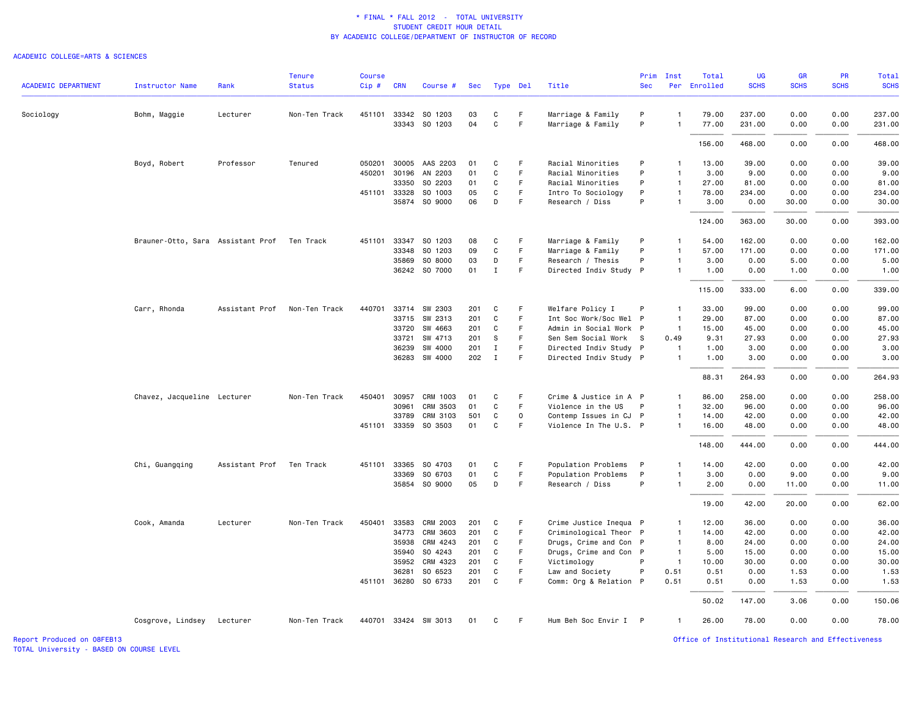## ACADEMIC COLLEGE=ARTS & SCIENCES

|                            |                                   |                | <b>Tenure</b> | <b>Course</b> |              |                      |     |              |              |                        | Prim       | Inst           | Total        | UG          | <b>GR</b>   | PR          | Total       |
|----------------------------|-----------------------------------|----------------|---------------|---------------|--------------|----------------------|-----|--------------|--------------|------------------------|------------|----------------|--------------|-------------|-------------|-------------|-------------|
| <b>ACADEMIC DEPARTMENT</b> | Instructor Name                   | Rank           | <b>Status</b> | $Cip \#$      | <b>CRN</b>   | Course #             | Sec | Type Del     |              | Title                  | <b>Sec</b> |                | Per Enrolled | <b>SCHS</b> | <b>SCHS</b> | <b>SCHS</b> | <b>SCHS</b> |
| Sociology                  | Bohm, Maggie                      | Lecturer       | Non-Ten Track |               | 451101 33342 | SO 1203              | 03  | C            | F.           | Marriage & Family      | P          | $\overline{1}$ | 79.00        | 237.00      | 0.00        | 0.00        | 237.00      |
|                            |                                   |                |               |               | 33343        | SO 1203              | 04  | $\mathbf C$  | $\mathsf F$  | Marriage & Family      | P          | $\mathbf{1}$   | 77.00        | 231.00      | 0.00        | 0.00        | 231.00      |
|                            |                                   |                |               |               |              |                      |     |              |              |                        |            |                | 156.00       | 468.00      | 0.00        | 0.00        | 468.00      |
|                            | Boyd, Robert                      | Professor      | Tenured       | 050201        | 30005        | AAS 2203             | 01  | C            | -F           | Racial Minorities      | P          | $\mathbf{1}$   | 13.00        | 39.00       | 0.00        | 0.00        | 39.00       |
|                            |                                   |                |               | 450201        | 30196        | AN 2203              | 01  | $\mathbf C$  | $\mathsf F$  | Racial Minorities      | P          | $\mathbf{1}$   | 3.00         | 9.00        | 0.00        | 0.00        | 9.00        |
|                            |                                   |                |               |               | 33350        | SO 2203              | 01  | C            | F            | Racial Minorities      | P          | $\mathbf{1}$   | 27.00        | 81.00       | 0.00        | 0.00        | 81.00       |
|                            |                                   |                |               |               | 451101 33328 | SO 1003              | 05  | $\mathbf C$  | F.           | Intro To Sociology     | P          | $\mathbf{1}$   | 78.00        | 234.00      | 0.00        | 0.00        | 234.00      |
|                            |                                   |                |               |               | 35874        | SO 9000              | 06  | D            | F            | Research / Diss        | P          | $\overline{1}$ | 3.00         | 0.00        | 30.00       | 0.00        | 30.00       |
|                            |                                   |                |               |               |              |                      |     |              |              |                        |            |                | 124.00       | 363.00      | 30.00       | 0.00        | 393.00      |
|                            | Brauner-Otto, Sara Assistant Prof |                | Ten Track     | 451101        | 33347        | SO 1203              | 08  | C            | F            | Marriage & Family      | P          | $\mathbf{1}$   | 54.00        | 162.00      | 0.00        | 0.00        | 162.00      |
|                            |                                   |                |               |               | 33348        | SO 1203              | 09  | C            | F            | Marriage & Family      | P          | $\mathbf{1}$   | 57.00        | 171.00      | 0.00        | 0.00        | 171.00      |
|                            |                                   |                |               |               | 35869        | SO 8000              | 03  | D            | F            | Research / Thesis      | P          | $\mathbf{1}$   | 3.00         | 0.00        | 5.00        | 0.00        | 5.00        |
|                            |                                   |                |               |               | 36242        | SO 7000              | 01  | $\mathbf I$  | F            | Directed Indiv Study P |            | $\mathbf{1}$   | 1.00         | 0.00        | 1.00        | 0.00        | 1.00        |
|                            |                                   |                |               |               |              |                      |     |              |              |                        |            |                | 115.00       | 333.00      | 6.00        | 0.00        | 339.00      |
|                            | Carr, Rhonda                      | Assistant Prof | Non-Ten Track | 440701        |              | 33714 SW 2303        | 201 | C            | F            | Welfare Policy I       | P          | $\mathbf{1}$   | 33.00        | 99.00       | 0.00        | 0.00        | 99.00       |
|                            |                                   |                |               |               | 33715        | SW 2313              | 201 | C            | F            | Int Soc Work/Soc Wel P |            | $\overline{1}$ | 29.00        | 87.00       | 0.00        | 0.00        | 87.00       |
|                            |                                   |                |               |               | 33720        | SW 4663              | 201 | C            | F            | Admin in Social Work P |            | $\mathbf{1}$   | 15.00        | 45.00       | 0.00        | 0.00        | 45.00       |
|                            |                                   |                |               |               | 33721        | SW 4713              | 201 | S            | F            | Sen Sem Social Work    | -S         | 0.49           | 9.31         | 27.93       | 0.00        | 0.00        | 27.93       |
|                            |                                   |                |               |               | 36239        | SW 4000              | 201 | $\mathbf{I}$ | F            | Directed Indiv Study P |            | $\mathbf{1}$   | 1.00         | 3.00        | 0.00        | 0.00        | 3.00        |
|                            |                                   |                |               |               |              | 36283 SW 4000        | 202 | $\mathbf{I}$ | F            | Directed Indiv Study P |            | $\mathbf{1}$   | 1.00         | 3.00        | 0.00        | 0.00        | 3.00        |
|                            |                                   |                |               |               |              |                      |     |              |              |                        |            |                | 88.31        | 264.93      | 0.00        | 0.00        | 264.93      |
|                            | Chavez, Jacqueline Lecturer       |                | Non-Ten Track | 450401        | 30957        | CRM 1003             | 01  | C            | F            | Crime & Justice in A P |            | $\mathbf{1}$   | 86.00        | 258.00      | 0.00        | 0.00        | 258.00      |
|                            |                                   |                |               |               | 30961        | CRM 3503             | 01  | C            | F            | Violence in the US     | P          | $\mathbf{1}$   | 32.00        | 96.00       | 0.00        | 0.00        | 96.00       |
|                            |                                   |                |               |               | 33789        | CRM 3103             | 501 | C            | $\mathsf{o}$ | Contemp Issues in CJ P |            | $\mathbf{1}$   | 14.00        | 42.00       | 0.00        | 0.00        | 42.00       |
|                            |                                   |                |               |               | 451101 33359 | SO 3503              | 01  | C            | F            | Violence In The U.S. P |            | $\mathbf{1}$   | 16.00        | 48.00       | 0.00        | 0.00        | 48.00       |
|                            |                                   |                |               |               |              |                      |     |              |              |                        |            |                | 148.00       | 444.00      | 0.00        | 0.00        | 444.00      |
|                            | Chi, Guangqing                    | Assistant Prof | Ten Track     | 451101        | 33365        | SO 4703              | 01  | C            | F.           | Population Problems    | P          | $\mathbf{1}$   | 14.00        | 42.00       | 0.00        | 0.00        | 42.00       |
|                            |                                   |                |               |               | 33369        | SO 6703              | 01  | $\mathbf C$  | F            | Population Problems    | P          | $\mathbf{1}$   | 3.00         | 0.00        | 9.00        | 0.00        | 9.00        |
|                            |                                   |                |               |               |              | 35854 SO 9000        | 05  | D            | F.           | Research / Diss        | P          | $\mathbf{1}$   | 2.00         | 0.00        | 11.00       | 0.00        | 11.00       |
|                            |                                   |                |               |               |              |                      |     |              |              |                        |            |                | 19.00        | 42.00       | 20.00       | 0.00        | 62.00       |
|                            | Cook, Amanda                      | Lecturer       | Non-Ten Track | 450401        | 33583        | <b>CRM 2003</b>      | 201 | C            | F.           | Crime Justice Inequa P |            | $\overline{1}$ | 12.00        | 36.00       | 0.00        | 0.00        | 36.00       |
|                            |                                   |                |               |               | 34773        | CRM 3603             | 201 | C            | F.           | Criminological Theor P |            | $\mathbf{1}$   | 14.00        | 42.00       | 0.00        | 0.00        | 42.00       |
|                            |                                   |                |               |               | 35938        | CRM 4243             | 201 | C            | $\mathsf F$  | Drugs, Crime and Con P |            | $\overline{1}$ | 8.00         | 24.00       | 0.00        | 0.00        | 24.00       |
|                            |                                   |                |               |               | 35940        | SO 4243              | 201 | C            | F.           | Drugs, Crime and Con P |            | $\overline{1}$ | 5.00         | 15.00       | 0.00        | 0.00        | 15.00       |
|                            |                                   |                |               |               | 35952        | CRM 4323             | 201 | C            | F            | Victimology            | P          | $\overline{1}$ | 10.00        | 30.00       | 0.00        | 0.00        | 30.00       |
|                            |                                   |                |               |               | 36281        | SO 6523              | 201 | C            | F            | Law and Society        | P          | 0.51           | 0.51         | 0.00        | 1.53        | 0.00        | 1.53        |
|                            |                                   |                |               |               |              | 451101 36280 S0 6733 | 201 | C            | F            | Comm: Org & Relation P |            | 0.51           | 0.51         | 0.00        | 1.53        | 0.00        | 1.53        |
|                            |                                   |                |               |               |              |                      |     |              |              |                        |            |                | 50.02        | 147.00      | 3.06        | 0.00        | 150.06      |
|                            | Cosgrove, Lindsey Lecturer        |                | Non-Ten Track |               |              | 440701 33424 SW 3013 | 01  | C            | F.           | Hum Beh Soc Envir I P  |            | $\mathbf{1}$   | 26.00        | 78.00       | 0.00        | 0.00        | 78.00       |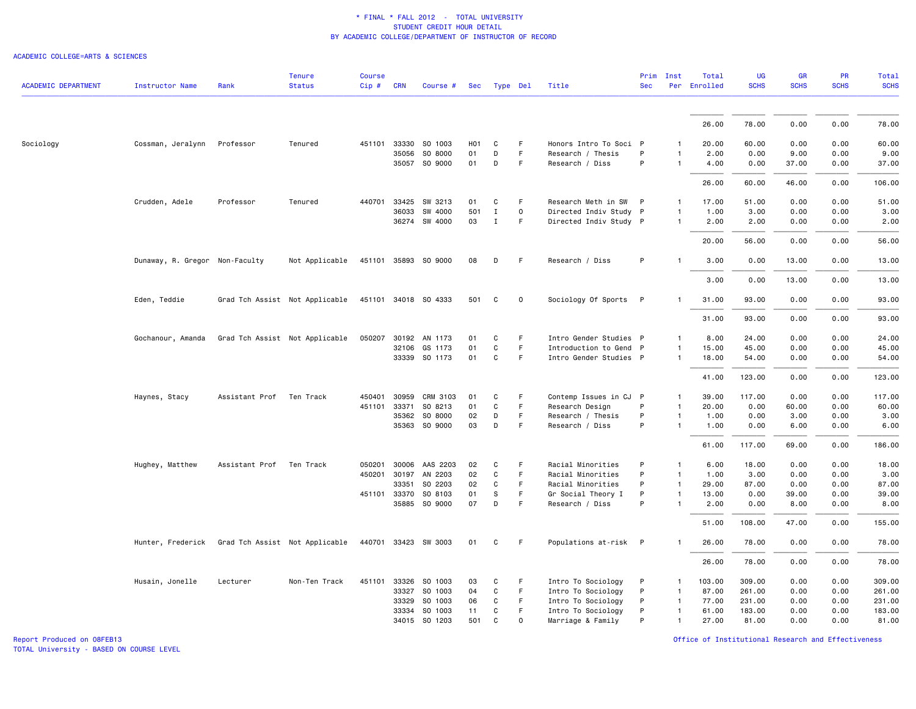## ACADEMIC COLLEGE=ARTS & SCIENCES

| <b>ACADEMIC DEPARTMENT</b> | <b>Instructor Name</b>         | Rank                           | <b>Tenure</b><br><b>Status</b> | <b>Course</b><br>$Cip \#$ | <b>CRN</b>   | Course #             | Sec              | Type Del     |                     | Title                  | Prim<br><b>Sec</b> | Inst         | Total<br>Per Enrolled | <b>UG</b><br><b>SCHS</b> | GR<br><b>SCHS</b> | PR<br><b>SCHS</b> | <b>Total</b><br><b>SCHS</b> |
|----------------------------|--------------------------------|--------------------------------|--------------------------------|---------------------------|--------------|----------------------|------------------|--------------|---------------------|------------------------|--------------------|--------------|-----------------------|--------------------------|-------------------|-------------------|-----------------------------|
|                            |                                |                                |                                |                           |              |                      |                  |              |                     |                        |                    |              |                       |                          |                   |                   |                             |
|                            |                                |                                |                                |                           |              |                      |                  |              |                     |                        |                    |              | 26.00                 | 78.00                    | 0.00              | 0.00              | 78.00                       |
| Sociology                  | Cossman, Jeralynn              | Professor                      | Tenured                        |                           | 451101 33330 | SO 1003              | H <sub>0</sub> 1 | C            | F.                  | Honors Intro To Soci P |                    |              | 20.00                 | 60.00                    | 0.00              | 0.00              | 60.00                       |
|                            |                                |                                |                                |                           | 35056        | SO 8000              | 01               | D            | F                   | Research / Thesis      | P                  | 1            | 2.00                  | 0.00                     | 9.00              | 0.00              | 9.00                        |
|                            |                                |                                |                                |                           |              | 35057 SO 9000        | 01               | D            | F                   | Research / Diss        | P                  | $\mathbf{1}$ | 4.00                  | 0.00                     | 37.00             | 0.00              | 37.00                       |
|                            |                                |                                |                                |                           |              |                      |                  |              |                     |                        |                    |              | 26.00                 | 60.00                    | 46.00             | 0.00              | 106.00                      |
|                            | Crudden, Adele                 | Professor                      | Tenured                        |                           | 440701 33425 | SW 3213              | 01               | C            | F.                  | Research Meth in SW    | P                  | $\mathbf{1}$ | 17.00                 | 51.00                    | 0.00              | 0.00              | 51.00                       |
|                            |                                |                                |                                |                           | 36033        | SW 4000              | 501              | $\mathbf{I}$ | $\mathsf{O}\xspace$ | Directed Indiv Study P |                    | $\mathbf{1}$ | 1.00                  | 3.00                     | 0.00              | 0.00              | 3.00                        |
|                            |                                |                                |                                |                           |              | 36274 SW 4000        | 03               | $\mathbf I$  | F.                  | Directed Indiv Study P |                    | 1            | 2.00                  | 2.00                     | 0.00              | 0.00              | 2.00                        |
|                            |                                |                                |                                |                           |              |                      |                  |              |                     |                        |                    |              | 20.00                 | 56.00                    | 0.00              | 0.00              | 56.00                       |
|                            | Dunaway, R. Gregor Non-Faculty |                                | Not Applicable                 |                           |              | 451101 35893 SO 9000 | 08               | D            | F.                  | Research / Diss        | P                  | $\mathbf{1}$ | 3.00                  | 0.00                     | 13.00             | 0.00              | 13.00                       |
|                            |                                |                                |                                |                           |              |                      |                  |              |                     |                        |                    |              | 3.00                  | 0.00                     | 13.00             | 0.00              | 13.00                       |
|                            | Eden, Teddie                   |                                | Grad Tch Assist Not Applicable |                           |              | 451101 34018 SO 4333 | 501              | C            | $\mathbf 0$         | Sociology Of Sports P  |                    | $\mathbf{1}$ | 31.00                 | 93.00                    | 0.00              | 0.00              | 93.00                       |
|                            |                                |                                |                                |                           |              |                      |                  |              |                     |                        |                    |              | 31.00                 | 93.00                    | 0.00              | 0.00              | 93.00                       |
|                            | Gochanour, Amanda              | Grad Tch Assist Not Applicable |                                |                           |              | 050207 30192 AN 1173 | 01               | C            | F                   | Intro Gender Studies P |                    | $\mathbf{1}$ | 8.00                  | 24.00                    | 0.00              | 0.00              | 24.00                       |
|                            |                                |                                |                                |                           | 32106        | GS 1173              | 01               | C            | F                   | Introduction to Gend P |                    | 1            | 15.00                 | 45.00                    | 0.00              | 0.00              | 45.00                       |
|                            |                                |                                |                                |                           |              | 33339 SO 1173        | 01               | $\mathtt{C}$ | F.                  | Intro Gender Studies P |                    | $\mathbf{1}$ | 18.00                 | 54.00                    | 0.00              | 0.00              | 54.00                       |
|                            |                                |                                |                                |                           |              |                      |                  |              |                     |                        |                    |              | 41.00                 | 123.00                   | 0.00              | 0.00              | 123.00                      |
|                            | Haynes, Stacy                  | Assistant Prof                 | Ten Track                      | 450401                    | 30959        | CRM 3103             | 01               | C            | F.                  | Contemp Issues in CJ P |                    | 1            | 39.00                 | 117.00                   | 0.00              | 0.00              | 117.00                      |
|                            |                                |                                |                                |                           | 451101 33371 | SO 8213              | 01               | $\mathbf c$  | F                   | Research Design        | P                  | $\mathbf{1}$ | 20.00                 | 0.00                     | 60.00             | 0.00              | 60.00                       |
|                            |                                |                                |                                |                           | 35362        | SO 8000              | 02               | D            | F                   | Research / Thesis      | P                  | 1            | 1.00                  | 0.00                     | 3.00              | 0.00              | 3.00                        |
|                            |                                |                                |                                |                           | 35363        | SO 9000              | 03               | D            | F.                  | Research / Diss        | P                  | $\mathbf{1}$ | 1.00                  | 0.00                     | 6.00              | 0.00              | 6.00                        |
|                            |                                |                                |                                |                           |              |                      |                  |              |                     |                        |                    |              | 61.00                 | 117.00                   | 69.00             | 0.00              | 186.00                      |
|                            | Hughey, Matthew                | Assistant Prof                 | Ten Track                      | 050201                    | 30006        | AAS 2203             | 02               | C            | F.                  | Racial Minorities      | P                  | $\mathbf{1}$ | 6.00                  | 18.00                    | 0.00              | 0.00              | 18.00                       |
|                            |                                |                                |                                |                           | 450201 30197 | AN 2203              | 02               | C            | F                   | Racial Minorities      | P                  | $\mathbf{1}$ | 1.00                  | 3.00                     | 0.00              | 0.00              | 3.00                        |
|                            |                                |                                |                                |                           | 33351        | SO 2203              | 02               | C            | F                   | Racial Minorities      | P                  | $\mathbf{1}$ | 29.00                 | 87.00                    | 0.00              | 0.00              | 87.00                       |
|                            |                                |                                |                                |                           | 451101 33370 | SO 8103              | 01               | S            | F                   | Gr Social Theory I     | P                  | $\mathbf{1}$ | 13.00                 | 0.00                     | 39.00             | 0.00              | 39.00                       |
|                            |                                |                                |                                |                           |              | 35885 SO 9000        | 07               | D            | F                   | Research / Diss        | P                  |              | 2.00                  | 0.00                     | 8.00              | 0.00              | 8.00                        |
|                            |                                |                                |                                |                           |              |                      |                  |              |                     |                        |                    |              | 51.00                 | 108.00                   | 47.00             | 0.00              | 155.00                      |
|                            | Hunter, Frederick              |                                | Grad Tch Assist Not Applicable |                           |              | 440701 33423 SW 3003 | 01               | C            | F                   | Populations at-risk P  |                    |              | 26.00                 | 78.00                    | 0.00              | 0.00              | 78.00                       |
|                            |                                |                                |                                |                           |              |                      |                  |              |                     |                        |                    |              | 26.00                 | 78.00                    | 0.00              | 0.00              | 78.00                       |
|                            | Husain, Jonelle                | Lecturer                       | Non-Ten Track                  |                           |              | 451101 33326 SO 1003 | 03               | C            | F                   | Intro To Sociology     | P                  | 1            | 103.00                | 309.00                   | 0.00              | 0.00              | 309.00                      |
|                            |                                |                                |                                |                           | 33327        | SO 1003              | 04               | C            | F                   | Intro To Sociology     | P                  | $\mathbf{1}$ | 87.00                 | 261.00                   | 0.00              | 0.00              | 261.00                      |
|                            |                                |                                |                                |                           | 33329        | SO 1003              | 06               | C            | F                   | Intro To Sociology     | P                  | $\mathbf{1}$ | 77.00                 | 231.00                   | 0.00              | 0.00              | 231.00                      |
|                            |                                |                                |                                |                           | 33334        | SO 1003              | 11               | C            | F.                  | Intro To Sociology     | P                  | $\mathbf{1}$ | 61.00                 | 183.00                   | 0.00              | 0.00              | 183.00                      |
|                            |                                |                                |                                |                           |              | 34015 SO 1203        | 501              | C            | $\Omega$            | Marriage & Family      | P                  | 1            | 27.00                 | 81.00                    | 0.00              | 0.00              | 81.00                       |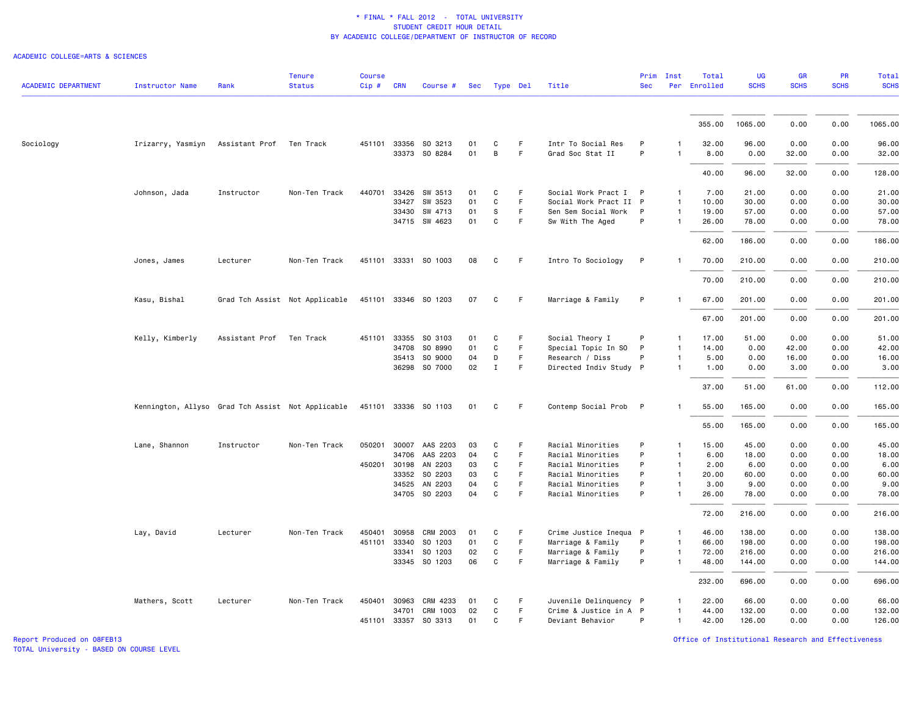### ACADEMIC COLLEGE=ARTS & SCIENCES

| <b>ACADEMIC DEPARTMENT</b> | <b>Instructor Name</b>                            | Rank           | <b>Tenure</b><br><b>Status</b> | <b>Course</b><br>Cip# | <b>CRN</b> | Course #              | Sec |              | Type Del | Title                  | Prim<br><b>Sec</b> | Inst         | Total<br>Per Enrolled | <b>UG</b><br><b>SCHS</b> | GR<br><b>SCHS</b> | PR<br><b>SCHS</b> | <b>Total</b><br><b>SCHS</b> |
|----------------------------|---------------------------------------------------|----------------|--------------------------------|-----------------------|------------|-----------------------|-----|--------------|----------|------------------------|--------------------|--------------|-----------------------|--------------------------|-------------------|-------------------|-----------------------------|
|                            |                                                   |                |                                |                       |            |                       |     |              |          |                        |                    |              |                       |                          |                   |                   |                             |
|                            |                                                   |                |                                |                       |            |                       |     |              |          |                        |                    |              | 355.00                | 1065.00                  | 0.00              | 0.00              | 1065.00                     |
| Sociology                  | Irizarry, Yasmiyn                                 | Assistant Prof | Ten Track                      | 451101 33356          |            | SO 3213               | 01  | C            | F.       | Intr To Social Res     | P                  |              | 32.00                 | 96.00                    | 0.00              | 0.00              | 96.00                       |
|                            |                                                   |                |                                |                       |            | 33373 SO 8284         | 01  | B            | F        | Grad Soc Stat II       | P                  | $\mathbf{1}$ | 8.00                  | 0.00                     | 32.00             | 0.00              | 32.00                       |
|                            |                                                   |                |                                |                       |            |                       |     |              |          |                        |                    |              | 40.00                 | 96.00                    | 32.00             | 0.00              | 128.00                      |
|                            | Johnson, Jada                                     | Instructor     | Non-Ten Track                  | 440701                | 33426      | SW 3513               | 01  | C            | F        | Social Work Pract I P  |                    | $\mathbf{1}$ | 7.00                  | 21.00                    | 0.00              | 0.00              | 21.00                       |
|                            |                                                   |                |                                |                       | 33427      | SW 3523               | 01  | C            | F.       | Social Work Pract II P |                    | $\mathbf{1}$ | 10.00                 | 30.00                    | 0.00              | 0.00              | 30.00                       |
|                            |                                                   |                |                                |                       |            | 33430 SW 4713         | 01  | s            | F        | Sen Sem Social Work    | P                  | $\mathbf{1}$ | 19.00                 | 57.00                    | 0.00              | 0.00              | 57.00                       |
|                            |                                                   |                |                                |                       |            | 34715 SW 4623         | 01  | $\mathtt{C}$ | F        | Sw With The Aged       | P                  | $\mathbf{1}$ | 26.00                 | 78.00                    | 0.00              | 0.00              | 78.00                       |
|                            |                                                   |                |                                |                       |            |                       |     |              |          |                        |                    |              | 62.00                 | 186,00                   | 0.00              | 0.00              | 186.00                      |
|                            | Jones, James                                      | Lecturer       | Non-Ten Track                  |                       |            | 451101 33331 SO 1003  | 08  | C            | F        | Intro To Sociology     | P                  | -1           | 70.00                 | 210.00                   | 0.00              | 0.00              | 210.00                      |
|                            |                                                   |                |                                |                       |            |                       |     |              |          |                        |                    |              | 70.00                 | 210.00                   | 0.00              | 0.00              | 210.00                      |
|                            | Kasu, Bishal                                      |                | Grad Tch Assist Not Applicable |                       |            | 451101 33346 SO 1203  | 07  | C            | F        | Marriage & Family      | P                  | $\mathbf{1}$ | 67.00                 | 201.00                   | 0.00              | 0.00              | 201.00                      |
|                            |                                                   |                |                                |                       |            |                       |     |              |          |                        |                    |              | 67.00                 | 201.00                   | 0.00              | 0.00              | 201.00                      |
|                            | Kelly, Kimberly                                   | Assistant Prof | Ten Track                      | 451101                | 33355      | SO 3103               | 01  | C            | F.       | Social Theory I        | P                  | $\mathbf{1}$ | 17.00                 | 51.00                    | 0.00              | 0.00              | 51.00                       |
|                            |                                                   |                |                                |                       | 34708      | SO 8990               | 01  | $\mathbf c$  | F        | Special Topic In SO    | P                  | $\mathbf{1}$ | 14.00                 | 0.00                     | 42.00             | 0.00              | 42.00                       |
|                            |                                                   |                |                                |                       | 35413      | SO 9000               | 04  | D            | F        | Research / Diss        | P                  | $\mathbf{1}$ | 5.00                  | 0.00                     | 16.00             | 0.00              | 16.00                       |
|                            |                                                   |                |                                |                       | 36298      | SO 7000               | 02  | $\mathbf{I}$ | F        | Directed Indiv Study P |                    | -1           | 1.00                  | 0.00                     | 3.00              | 0.00              | 3.00                        |
|                            |                                                   |                |                                |                       |            |                       |     |              |          |                        |                    |              | 37.00                 | 51.00                    | 61.00             | 0.00              | 112.00                      |
|                            | Kennington, Allyso Grad Tch Assist Not Applicable |                |                                |                       |            | 451101 33336 SO 1103  | 01  | C            | F.       | Contemp Social Prob P  |                    | -1           | 55.00                 | 165.00                   | 0.00              | 0.00              | 165.00                      |
|                            |                                                   |                |                                |                       |            |                       |     |              |          |                        |                    |              | 55.00                 | 165.00                   | 0.00              | 0.00              | 165.00                      |
|                            | Lane, Shannon                                     | Instructor     | Non-Ten Track                  |                       |            | 050201 30007 AAS 2203 | 03  | C            | F        | Racial Minorities      | P                  | $\mathbf{1}$ | 15.00                 | 45.00                    | 0.00              | 0.00              | 45.00                       |
|                            |                                                   |                |                                |                       |            | 34706 AAS 2203        | 04  | $\mathtt{C}$ | F.       | Racial Minorities      | P                  | $\mathbf{1}$ | 6.00                  | 18.00                    | 0.00              | 0.00              | 18.00                       |
|                            |                                                   |                |                                | 450201 30198          |            | AN 2203               | 03  | C            | F        | Racial Minorities      | P                  | $\mathbf{1}$ | 2.00                  | 6.00                     | 0.00              | 0.00              | 6.00                        |
|                            |                                                   |                |                                |                       | 33352      | SO 2203               | 03  | C            | F        | Racial Minorities      | P                  | $\mathbf{1}$ | 20.00                 | 60.00                    | 0.00              | 0.00              | 60.00                       |
|                            |                                                   |                |                                |                       | 34525      | AN 2203               | 04  | C            | F.       | Racial Minorities      | P                  | 1            | 3.00                  | 9.00                     | 0.00              | 0.00              | 9.00                        |
|                            |                                                   |                |                                |                       |            | 34705 SO 2203         | 04  | C            | F        | Racial Minorities      | P                  | $\mathbf{1}$ | 26.00                 | 78.00                    | 0.00              | 0.00              | 78.00                       |
|                            |                                                   |                |                                |                       |            |                       |     |              |          |                        |                    |              | 72.00                 | 216.00                   | 0.00              | 0.00              | 216.00                      |
|                            | Lay, David                                        | Lecturer       | Non-Ten Track                  | 450401                | 30958      | CRM 2003              | 01  | C            | F.       | Crime Justice Inequa P |                    | $\mathbf{1}$ | 46.00                 | 138.00                   | 0.00              | 0.00              | 138.00                      |
|                            |                                                   |                |                                | 451101 33340          |            | SO 1203               | 01  | C            | F.       | Marriage & Family      | P                  | $\mathbf{1}$ | 66.00                 | 198.00                   | 0.00              | 0.00              | 198.00                      |
|                            |                                                   |                |                                |                       | 33341      | SO 1203               | 02  | C            | F        | Marriage & Family      | P                  | 1            | 72.00                 | 216.00                   | 0.00              | 0.00              | 216.00                      |
|                            |                                                   |                |                                |                       | 33345      | SO 1203               | 06  | C            | F        | Marriage & Family      | P                  | 1            | 48.00                 | 144.00                   | 0.00              | 0.00              | 144.00                      |
|                            |                                                   |                |                                |                       |            |                       |     |              |          |                        |                    |              | 232.00                | 696.00                   | 0.00              | 0.00              | 696.00                      |
|                            | Mathers, Scott                                    | Lecturer       | Non-Ten Track                  | 450401 30963          |            | CRM 4233              | 01  | C            | F.       | Juvenile Delinquency P |                    | -1           | 22.00                 | 66.00                    | 0.00              | 0.00              | 66.00                       |
|                            |                                                   |                |                                |                       | 34701      | CRM 1003              | 02  | C            | F.       | Crime & Justice in A P |                    | 1            | 44.00                 | 132.00                   | 0.00              | 0.00              | 132.00                      |
|                            |                                                   |                |                                |                       |            | 451101 33357 SO 3313  | 01  | C            | F        | Deviant Behavior       | P                  | $\mathbf{1}$ | 42.00                 | 126.00                   | 0.00              | 0.00              | 126.00                      |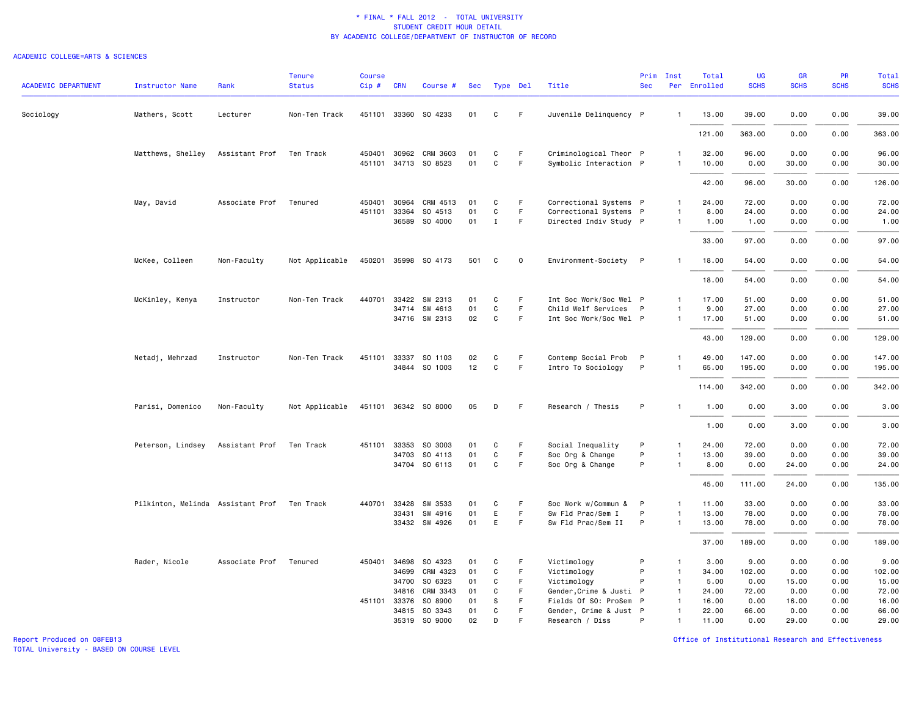## ACADEMIC COLLEGE=ARTS & SCIENCES

| <b>ACADEMIC DEPARTMENT</b> | <b>Instructor Name</b>                      | Rank           | <b>Tenure</b><br><b>Status</b> | <b>Course</b><br>Cip# | <b>CRN</b>   | Course #                 | Sec      |                   | Type Del    | Title                                            | Prim<br><b>Sec</b> | Inst                         | Total<br>Per Enrolled | <b>UG</b><br><b>SCHS</b> | GR<br><b>SCHS</b> | PR<br><b>SCHS</b> | <b>Total</b><br><b>SCHS</b> |
|----------------------------|---------------------------------------------|----------------|--------------------------------|-----------------------|--------------|--------------------------|----------|-------------------|-------------|--------------------------------------------------|--------------------|------------------------------|-----------------------|--------------------------|-------------------|-------------------|-----------------------------|
| Sociology                  | Mathers, Scott                              | Lecturer       | Non-Ten Track                  |                       |              | 451101 33360 SO 4233     | 01       | C                 | F           | Juvenile Delinquency P                           |                    | $\mathbf{1}$                 | 13.00                 | 39.00                    | 0.00              | 0.00              | 39.00                       |
|                            |                                             |                |                                |                       |              |                          |          |                   |             |                                                  |                    |                              | 121.00                | 363.00                   | 0.00              | 0.00              | 363.00                      |
|                            | Matthews, Shelley                           | Assistant Prof | Ten Track                      | 450401                | 30962        | CRM 3603                 | 01       | C                 | F.          | Criminological Theor P                           |                    | 1                            | 32.00                 | 96.00                    | 0.00              | 0.00              | 96.00                       |
|                            |                                             |                |                                |                       |              | 451101 34713 SO 8523     | 01       | C                 | F           | Symbolic Interaction P                           |                    | $\mathbf{1}$                 | 10.00                 | 0.00                     | 30.00             | 0.00              | 30.00                       |
|                            |                                             |                |                                |                       |              |                          |          |                   |             |                                                  |                    |                              | 42.00                 | 96.00                    | 30.00             | 0.00              | 126.00                      |
|                            | May, David                                  | Associate Prof | Tenured                        | 450401                | 30964        | CRM 4513                 | 01       | C<br>$\mathtt{C}$ | F.<br>F     | Correctional Systems P                           |                    | $\mathbf{1}$<br>$\mathbf{1}$ | 24.00                 | 72.00                    | 0.00              | 0.00              | 72.00                       |
|                            |                                             |                |                                |                       | 451101 33364 | SO 4513<br>36589 SO 4000 | 01<br>01 | $\mathbf{I}$      | F.          | Correctional Systems P<br>Directed Indiv Study P |                    | $\mathbf{1}$                 | 8.00<br>1.00          | 24.00<br>1.00            | 0.00<br>0.00      | 0.00<br>0.00      | 24.00<br>1.00               |
|                            |                                             |                |                                |                       |              |                          |          |                   |             |                                                  |                    |                              | 33.00                 | 97.00                    | 0.00              | 0.00              | 97.00                       |
|                            | McKee, Colleen                              | Non-Faculty    | Not Applicable                 |                       |              | 450201 35998 SO 4173     | 501      | C                 | $\mathbf 0$ | Environment-Society P                            |                    | $\mathbf{1}$                 | 18.00                 | 54.00                    | 0.00              | 0.00              | 54.00                       |
|                            |                                             |                |                                |                       |              |                          |          |                   |             |                                                  |                    |                              | 18.00                 | 54.00                    | 0.00              | 0.00              | 54.00                       |
|                            | McKinley, Kenya                             | Instructor     | Non-Ten Track                  | 440701                |              | 33422 SW 2313            | 01       | C                 | F           | Int Soc Work/Soc Wel P                           |                    | 1                            | 17.00                 | 51.00                    | 0.00              | 0.00              | 51.00                       |
|                            |                                             |                |                                |                       | 34714        | SW 4613                  | 01       | C                 | F           | Child Welf Services                              | P                  | $\mathbf{1}$                 | 9.00                  | 27.00                    | 0.00              | 0.00              | 27.00                       |
|                            |                                             |                |                                |                       |              | 34716 SW 2313            | 02       | C                 | F           | Int Soc Work/Soc Wel P                           |                    | 1                            | 17.00                 | 51.00                    | 0.00              | 0.00              | 51.00                       |
|                            |                                             |                |                                |                       |              |                          |          |                   |             |                                                  |                    |                              | 43.00                 | 129.00                   | 0.00              | 0.00              | 129.00                      |
|                            | Netadj, Mehrzad                             | Instructor     | Non-Ten Track                  | 451101                | 33337        | SO 1103                  | 02       | C                 | F.          | Contemp Social Prob                              | P                  | $\mathbf{1}$                 | 49.00                 | 147.00                   | 0.00              | 0.00              | 147.00                      |
|                            |                                             |                |                                |                       |              | 34844 SO 1003            | 12       | C                 | F           | Intro To Sociology                               | P                  | 1                            | 65.00                 | 195.00                   | 0.00              | 0.00              | 195.00                      |
|                            |                                             |                |                                |                       |              |                          |          |                   |             |                                                  |                    |                              | 114.00                | 342.00                   | 0.00              | 0.00              | 342.00                      |
|                            | Parisi, Domenico                            | Non-Faculty    | Not Applicable                 |                       |              | 451101 36342 SO 8000     | 05       | D                 | F.          | Research / Thesis                                | P                  | $\mathbf{1}$                 | 1.00                  | 0.00                     | 3.00              | 0.00              | 3.00                        |
|                            |                                             |                |                                |                       |              |                          |          |                   |             |                                                  |                    |                              | 1.00                  | 0.00                     | 3.00              | 0.00              | 3.00                        |
|                            | Peterson, Lindsey                           | Assistant Prof | Ten Track                      |                       | 451101 33353 | SO 3003                  | 01       | C                 | F.          | Social Inequality                                | P                  | $\mathbf{1}$                 | 24.00                 | 72.00                    | 0.00              | 0.00              | 72.00                       |
|                            |                                             |                |                                |                       | 34703        | SO 4113                  | 01       | C                 | F           | Soc Org & Change                                 | P                  | $\mathbf{1}$                 | 13.00                 | 39.00                    | 0.00              | 0.00              | 39.00                       |
|                            |                                             |                |                                |                       |              | 34704 SO 6113            | 01       | $\mathtt{C}$      | F.          | Soc Org & Change                                 | P                  | $\mathbf{1}$                 | 8.00                  | 0.00                     | 24.00             | 0.00              | 24.00                       |
|                            |                                             |                |                                |                       |              |                          |          |                   |             |                                                  |                    |                              | 45.00                 | 111.00                   | 24.00             | 0.00              | 135.00                      |
|                            | Pilkinton, Melinda Assistant Prof Ten Track |                |                                |                       | 440701 33428 | SW 3533                  | 01       | C                 | F.          | Soc Work w/Commun &                              | P                  | 1                            | 11.00                 | 33.00                    | 0.00              | 0.00              | 33.00                       |
|                            |                                             |                |                                |                       | 33431        | SW 4916                  | 01       | E                 | F           | Sw Fld Prac/Sem I                                | P                  | $\mathbf{1}$                 | 13.00                 | 78.00                    | 0.00              | 0.00              | 78.00                       |
|                            |                                             |                |                                |                       |              | 33432 SW 4926            | 01       | E                 | F           | Sw Fld Prac/Sem II                               | P                  | $\mathbf{1}$                 | 13.00                 | 78.00                    | 0.00              | 0.00              | 78.00                       |
|                            |                                             |                |                                |                       |              |                          |          |                   |             |                                                  |                    |                              | 37.00                 | 189.00                   | 0.00              | 0.00              | 189.00                      |
|                            | Rader, Nicole                               | Associate Prof | Tenured                        |                       | 450401 34698 | SO 4323                  | 01       | C                 | F           | Victimology                                      | P                  | $\mathbf{1}$                 | 3.00                  | 9.00                     | 0.00              | 0.00              | 9.00                        |
|                            |                                             |                |                                |                       | 34699        | CRM 4323                 | 01       | C                 | F           | Victimology                                      | P                  | $\mathbf{1}$                 | 34.00                 | 102.00                   | 0.00              | 0.00              | 102.00                      |
|                            |                                             |                |                                |                       | 34700        | SO 6323                  | 01       | C                 | F.          | Victimology                                      | P                  | $\mathbf{1}$                 | 5.00                  | 0.00                     | 15.00             | 0.00              | 15.00                       |
|                            |                                             |                |                                |                       | 34816        | CRM 3343                 | 01       | C                 | F           | Gender, Crime & Justi P                          |                    | $\mathbf{1}$                 | 24.00                 | 72.00                    | 0.00              | 0.00              | 72.00                       |
|                            |                                             |                |                                |                       | 451101 33376 | SO 8900                  | 01       | s                 | F.          | Fields Of SO: ProSem P                           |                    | $\mathbf{1}$                 | 16.00                 | 0.00                     | 16.00             | 0.00              | 16.00                       |
|                            |                                             |                |                                |                       | 34815        | SO 3343                  | 01       | C                 | F           | Gender, Crime & Just P                           |                    | 1                            | 22.00                 | 66.00                    | 0.00              | 0.00              | 66.00                       |
|                            |                                             |                |                                |                       |              | 35319 SO 9000            | 02       | D                 | F           | Research / Diss                                  | P                  | $\mathbf{1}$                 | 11.00                 | 0.00                     | 29.00             | 0.00              | 29.00                       |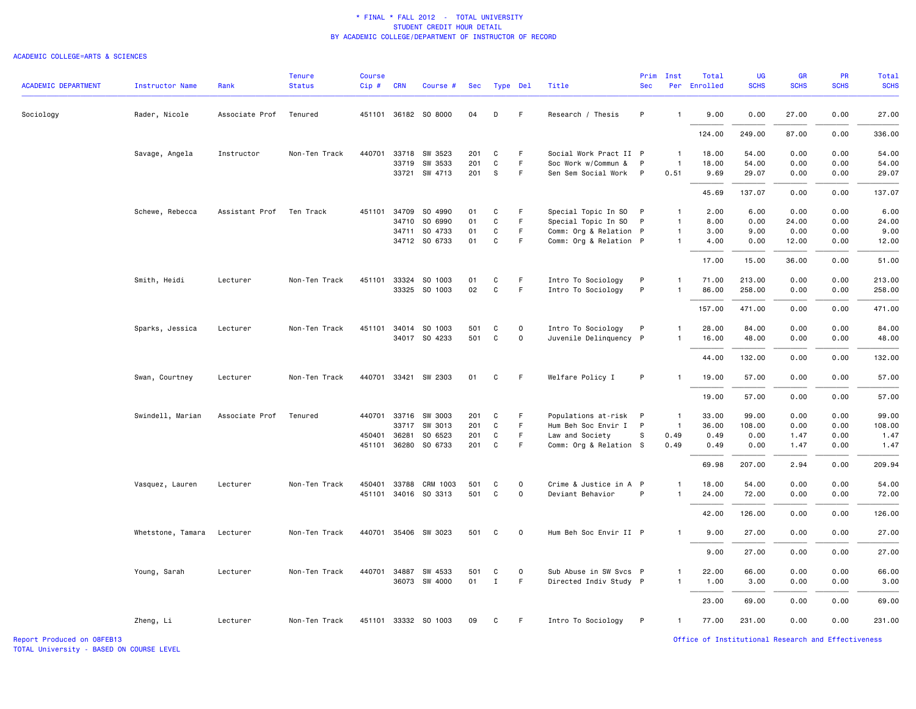### ACADEMIC COLLEGE=ARTS & SCIENCES

| <b>ACADEMIC DEPARTMENT</b> | Instructor Name   | Rank           | <b>Tenure</b><br><b>Status</b> | <b>Course</b><br>Cip# | <b>CRN</b> | Course #                 | Sec        |                   | Type Del    | Title                                        | Prim<br><b>Sec</b> | Inst                 | Total<br>Per Enrolled | <b>UG</b><br><b>SCHS</b> | GR<br><b>SCHS</b> | PR<br><b>SCHS</b> | <b>Total</b><br><b>SCHS</b> |
|----------------------------|-------------------|----------------|--------------------------------|-----------------------|------------|--------------------------|------------|-------------------|-------------|----------------------------------------------|--------------------|----------------------|-----------------------|--------------------------|-------------------|-------------------|-----------------------------|
| Sociology                  | Rader, Nicole     | Associate Prof | Tenured                        |                       |            | 451101 36182 SO 8000     | 04         | D                 | F.          | Research / Thesis                            | P                  | $\mathbf{1}$         | 9.00                  | 0.00                     | 27.00             | 0.00              | 27.00                       |
|                            |                   |                |                                |                       |            |                          |            |                   |             |                                              |                    |                      | 124.00                | 249.00                   | 87.00             | 0.00              | 336.00                      |
|                            | Savage, Angela    | Instructor     | Non-Ten Track                  | 440701                | 33718      | SW 3523                  | 201        | C                 | F.          | Social Work Pract II P                       |                    | $\overline{1}$       | 18.00                 | 54.00                    | 0.00              | 0.00              | 54.00                       |
|                            |                   |                |                                |                       | 33721      | 33719 SW 3533<br>SW 4713 | 201<br>201 | $\mathtt{C}$<br>s | F.<br>F.    | Soc Work w/Commun &<br>Sen Sem Social Work   | P<br>$\mathsf{P}$  | $\mathbf{1}$<br>0.51 | 18.00<br>9.69         | 54.00<br>29.07           | 0.00<br>0.00      | 0.00<br>0.00      | 54.00<br>29.07              |
|                            |                   |                |                                |                       |            |                          |            |                   |             |                                              |                    |                      | 45.69                 | 137.07                   | 0.00              | 0.00              | 137.07                      |
|                            | Schewe, Rebecca   | Assistant Prof | Ten Track                      | 451101 34709          |            | SO 4990                  | 01         | C                 | F.          | Special Topic In SO P                        |                    | $\mathbf{1}$         | 2.00                  | 6.00                     | 0.00              | 0.00              | 6.00                        |
|                            |                   |                |                                |                       | 34710      | SO 6990                  | 01         | C                 | F           | Special Topic In SO                          | $\mathsf{P}$       | $\mathbf{1}$         | 8.00                  | 0.00                     | 24.00             | 0.00              | 24.00                       |
|                            |                   |                |                                |                       | 34711      | SO 4733                  | 01         | C                 | F           | Comm: Org & Relation P                       |                    | $\overline{1}$       | 3.00                  | 9.00                     | 0.00              | 0.00              | 9.00                        |
|                            |                   |                |                                |                       |            | 34712 SO 6733            | 01         | C                 | F.          | Comm: Org & Relation P                       |                    | $\mathbf{1}$         | 4.00                  | 0.00                     | 12.00             | 0.00              | 12.00                       |
|                            |                   |                |                                |                       |            |                          |            |                   |             |                                              |                    |                      | 17.00                 | 15.00                    | 36.00             | 0.00              | 51.00                       |
|                            | Smith, Heidi      | Lecturer       | Non-Ten Track                  | 451101 33324          |            | SO 1003                  | 01         | C                 | F.          | Intro To Sociology                           | P                  | $\mathbf{1}$         | 71.00                 | 213.00                   | 0.00              | 0.00              | 213.00                      |
|                            |                   |                |                                |                       |            | 33325 SO 1003            | 02         | $\mathtt{C}$      | F           | Intro To Sociology                           | P                  | $\mathbf{1}$         | 86.00                 | 258.00                   | 0.00              | 0.00              | 258.00                      |
|                            |                   |                |                                |                       |            |                          |            |                   |             |                                              |                    |                      | 157.00                | 471.00                   | 0.00              | 0.00              | 471.00                      |
|                            |                   |                |                                |                       |            |                          |            |                   |             |                                              |                    | $\mathbf{1}$         |                       |                          |                   |                   |                             |
|                            | Sparks, Jessica   | Lecturer       | Non-Ten Track                  | 451101 34014          |            | SO 1003<br>34017 SO 4233 | 501<br>501 | C<br>C            | 0<br>0      | Intro To Sociology<br>Juvenile Delinquency P | P                  | $\mathbf{1}$         | 28.00<br>16.00        | 84.00<br>48.00           | 0.00<br>0.00      | 0.00<br>0.00      | 84.00<br>48.00              |
|                            |                   |                |                                |                       |            |                          |            |                   |             |                                              |                    |                      |                       |                          |                   |                   |                             |
|                            |                   |                |                                |                       |            |                          |            |                   |             |                                              |                    |                      | 44.00                 | 132.00                   | 0.00              | 0.00              | 132.00                      |
|                            | Swan, Courtney    | Lecturer       | Non-Ten Track                  |                       |            | 440701 33421 SW 2303     | 01         | C                 | F.          | Welfare Policy I                             | P                  | $\mathbf{1}$         | 19.00                 | 57.00                    | 0.00              | 0.00              | 57.00                       |
|                            |                   |                |                                |                       |            |                          |            |                   |             |                                              |                    |                      | 19.00                 | 57.00                    | 0.00              | 0.00              | 57.00                       |
|                            | Swindell, Marian  | Associate Prof | Tenured                        | 440701 33716          |            | SW 3003                  | 201        | C                 | F.          | Populations at-risk P                        |                    | $\overline{1}$       | 33.00                 | 99.00                    | 0.00              | 0.00              | 99.00                       |
|                            |                   |                |                                |                       | 33717      | SW 3013                  | 201        | C                 | F.          | Hum Beh Soc Envir I P                        |                    | $\overline{1}$       | 36.00                 | 108.00                   | 0.00              | 0.00              | 108.00                      |
|                            |                   |                |                                | 450401 36281          |            | SO 6523                  | 201        | C                 | F.          | Law and Society                              | S                  | 0.49                 | 0.49                  | 0.00                     | 1.47              | 0.00              | 1.47                        |
|                            |                   |                |                                |                       |            | 451101 36280 S0 6733     | 201        | C                 | F           | Comm: Org & Relation S                       |                    | 0.49                 | 0.49                  | 0.00                     | 1.47              | 0.00              | 1.47                        |
|                            |                   |                |                                |                       |            |                          |            |                   |             |                                              |                    |                      | 69.98                 | 207.00                   | 2.94              | 0.00              | 209.94                      |
|                            | Vasquez, Lauren   | Lecturer       | Non-Ten Track                  | 450401 33788          |            | CRM 1003                 | 501        | C                 | 0           | Crime & Justice in A P                       |                    | $\mathbf{1}$         | 18.00                 | 54.00                    | 0.00              | 0.00              | 54.00                       |
|                            |                   |                |                                |                       |            | 451101 34016 SO 3313     | 501        | C                 | 0           | Deviant Behavior                             | P                  | $\mathbf{1}$         | 24.00                 | 72.00                    | 0.00              | 0.00              | 72.00                       |
|                            |                   |                |                                |                       |            |                          |            |                   |             |                                              |                    |                      |                       |                          |                   |                   |                             |
|                            |                   |                |                                |                       |            |                          |            |                   |             |                                              |                    |                      | 42.00                 | 126.00                   | 0.00              | 0.00              | 126.00                      |
|                            | Whetstone, Tamara | Lecturer       | Non-Ten Track                  |                       |            | 440701 35406 SW 3023     | 501        | C                 | $\mathbf 0$ | Hum Beh Soc Envir II P                       |                    | $\mathbf{1}$         | 9.00                  | 27.00                    | 0.00              | 0.00              | 27.00                       |
|                            |                   |                |                                |                       |            |                          |            |                   |             |                                              |                    |                      | 9.00                  | 27.00                    | 0.00              | 0.00              | 27.00                       |
|                            | Young, Sarah      | Lecturer       | Non-Ten Track                  |                       |            | 440701 34887 SW 4533     | 501        | C                 | $\mathbf 0$ | Sub Abuse in SW Svcs P                       |                    | $\mathbf{1}$         | 22.00                 | 66.00                    | 0.00              | 0.00              | 66.00                       |
|                            |                   |                |                                |                       |            | 36073 SW 4000            | 01         | $\mathbf{I}$      | F.          | Directed Indiv Study P                       |                    | $\mathbf{1}$         | 1.00                  | 3.00                     | 0.00              | 0.00              | 3.00                        |
|                            |                   |                |                                |                       |            |                          |            |                   |             |                                              |                    |                      | 23.00                 | 69.00                    | 0.00              | 0.00              | 69.00                       |
|                            | Zheng, Li         | Lecturer       | Non-Ten Track                  |                       |            | 451101 33332 SO 1003     | 09         | C                 | F.          | Intro To Sociology                           | P                  | $\mathbf{1}$         | 77.00                 | 231.00                   | 0.00              | 0.00              | 231.00                      |
|                            |                   |                |                                |                       |            |                          |            |                   |             |                                              |                    |                      |                       |                          |                   |                   |                             |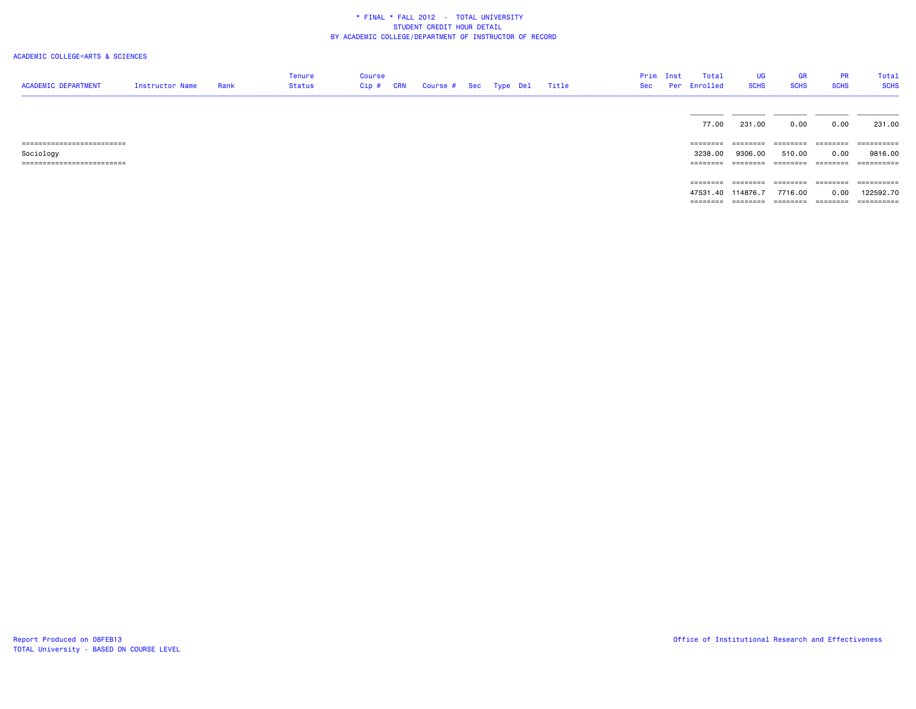## ACADEMIC COLLEGE=ARTS & SCIENCES

| <b>ACADEMIC DEPARTMENT</b> | Instructor Name | Rank | Tenure<br>Status | Course<br>Cip # | CRN | Course # Sec Type Del |  | Title | Sec | Prim Inst | Total<br>Per Enrolled | <b>UG</b><br><b>SCHS</b> | <b>GR</b><br><b>SCHS</b> | <b>PR</b><br><b>SCHS</b> | Total<br><b>SCHS</b> |
|----------------------------|-----------------|------|------------------|-----------------|-----|-----------------------|--|-------|-----|-----------|-----------------------|--------------------------|--------------------------|--------------------------|----------------------|
|                            |                 |      |                  |                 |     |                       |  |       |     |           |                       |                          |                          |                          |                      |
|                            |                 |      |                  |                 |     |                       |  |       |     |           |                       |                          |                          |                          |                      |
|                            |                 |      |                  |                 |     |                       |  |       |     |           | 77.00                 | 231.00                   | 0.00                     | 0.00                     | 231.00               |
| ========================== |                 |      |                  |                 |     |                       |  |       |     |           | ========              | ========                 | ------------------       |                          | -----------          |
| Sociology                  |                 |      |                  |                 |     |                       |  |       |     |           | 3238.00               | 9306.00                  | 510.00                   | 0.00                     | 9816.00              |
| ========================== |                 |      |                  |                 |     |                       |  |       |     |           | ========              | ========                 | ========                 | ========                 | -----------          |
|                            |                 |      |                  |                 |     |                       |  |       |     |           |                       |                          |                          |                          |                      |
|                            |                 |      |                  |                 |     |                       |  |       |     |           | ========              | ========                 | ========                 | ========                 | -----------          |
|                            |                 |      |                  |                 |     |                       |  |       |     |           | 47531.40 114876.7     |                          | 7716.00                  | 0.00                     | 122592.70            |
|                            |                 |      |                  |                 |     |                       |  |       |     |           | ========              | ========                 |                          | --------- --------       | -----------          |
|                            |                 |      |                  |                 |     |                       |  |       |     |           |                       |                          |                          |                          |                      |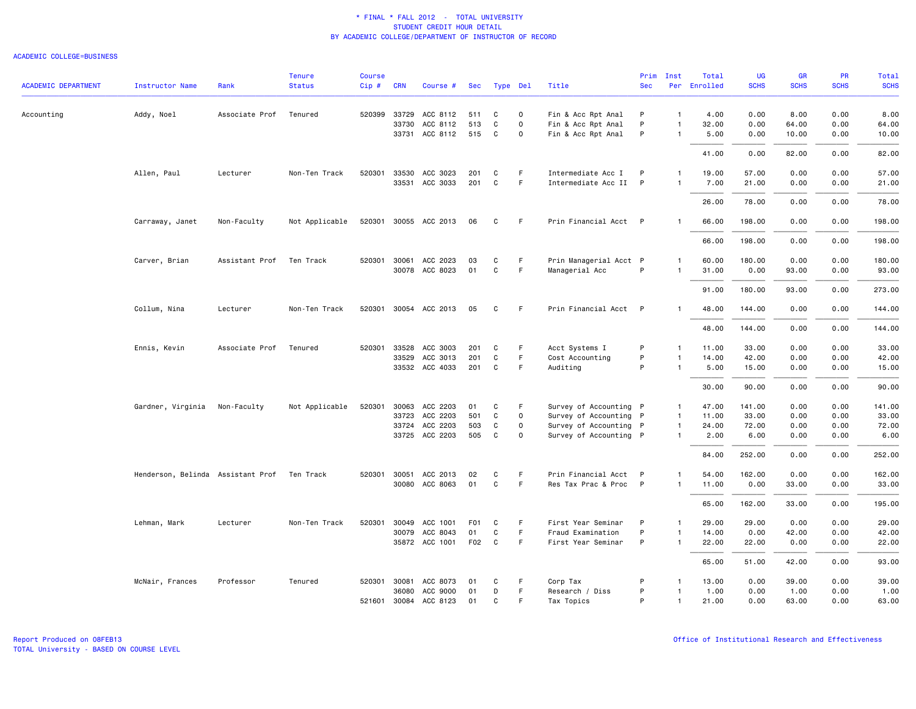### ACADEMIC COLLEGE=BUSINESS

|                            |                                   |                | <b>Tenure</b>  | <b>Course</b> |                |                       |          |          |             |                                          | Prim         | Inst           | Total          | UG             | <b>GR</b>     | <b>PR</b>    | Total           |
|----------------------------|-----------------------------------|----------------|----------------|---------------|----------------|-----------------------|----------|----------|-------------|------------------------------------------|--------------|----------------|----------------|----------------|---------------|--------------|-----------------|
| <b>ACADEMIC DEPARTMENT</b> | <b>Instructor Name</b>            | Rank           | <b>Status</b>  | Cip#          | <b>CRN</b>     | Course #              | Sec      | Type Del |             | Title                                    | <b>Sec</b>   |                | Per Enrolled   | <b>SCHS</b>    | <b>SCHS</b>   | <b>SCHS</b>  | <b>SCHS</b>     |
| Accounting                 | Addy, Noel                        | Associate Prof | Tenured        |               | 520399 33729   | ACC 8112              | 511      | C        | 0           | Fin & Acc Rpt Anal                       | P            | $\overline{1}$ | 4.00           | 0.00           | 8.00          | 0.00         | 8.00            |
|                            |                                   |                |                |               | 33730          | ACC 8112              | 513      | C        | $\mathbf 0$ | Fin & Acc Rpt Anal                       | P            | $\overline{1}$ | 32.00          | 0.00           | 64.00         | 0.00         | 64.00           |
|                            |                                   |                |                |               |                | 33731 ACC 8112        | 515      | C        | $\mathbf 0$ | Fin & Acc Rpt Anal                       | P            | $\mathbf{1}$   | 5.00           | 0.00           | 10.00         | 0.00         | 10.00           |
|                            |                                   |                |                |               |                |                       |          |          |             |                                          |              |                | 41.00          | 0.00           | 82.00         | 0.00         | 82.00           |
|                            | Allen, Paul                       | Lecturer       | Non-Ten Track  | 520301        | 33530          | ACC 3023              | 201      | C        | F.          | Intermediate Acc I                       | P            | $\mathbf{1}$   | 19.00          | 57.00          | 0.00          | 0.00         | 57.00           |
|                            |                                   |                |                |               |                | 33531 ACC 3033        | 201      | C        | F.          | Intermediate Acc II P                    |              | $\overline{1}$ | 7.00           | 21.00          | 0.00          | 0.00         | 21.00           |
|                            |                                   |                |                |               |                |                       |          |          |             |                                          |              |                | 26.00          | 78.00          | 0.00          | 0.00         | 78.00           |
|                            | Carraway, Janet                   | Non-Faculty    | Not Applicable |               |                | 520301 30055 ACC 2013 | 06       | C        | F.          | Prin Financial Acct P                    |              |                | 66.00          | 198.00         | 0.00          | 0.00         | 198.00          |
|                            |                                   |                |                |               |                |                       |          |          |             |                                          |              |                | 66.00          | 198.00         | 0.00          | 0.00         | 198.00          |
|                            |                                   |                |                |               |                |                       |          |          |             |                                          |              |                |                |                |               |              |                 |
|                            | Carver, Brian                     | Assistant Prof | Ten Track      | 520301        | 30061<br>30078 | ACC 2023<br>ACC 8023  | 03<br>01 | C<br>C   | F<br>F      | Prin Managerial Acct P<br>Managerial Acc | P            | $\mathbf{1}$   | 60.00<br>31.00 | 180.00<br>0.00 | 0.00<br>93.00 | 0.00<br>0.00 | 180.00<br>93.00 |
|                            |                                   |                |                |               |                |                       |          |          |             |                                          |              |                |                |                |               |              |                 |
|                            |                                   |                |                |               |                |                       |          |          |             |                                          |              |                | 91.00          | 180.00         | 93.00         | 0.00         | 273.00          |
|                            | Collum, Nina                      | Lecturer       | Non-Ten Track  |               |                | 520301 30054 ACC 2013 | 05       | C        | F.          | Prin Financial Acct P                    |              |                | 48.00          | 144.00         | 0.00          | 0.00         | 144.00          |
|                            |                                   |                |                |               |                |                       |          |          |             |                                          |              |                | 48.00          | 144.00         | 0.00          | 0.00         | 144.00          |
|                            | Ennis, Kevin                      | Associate Prof | Tenured        | 520301        | 33528          | ACC 3003              | 201      | C        | F           | Acct Systems I                           | P            | $\mathbf{1}$   | 11.00          | 33.00          | 0.00          | 0.00         | 33.00           |
|                            |                                   |                |                |               | 33529          | ACC 3013              | 201      | C        | F.          | Cost Accounting                          | P            | $\overline{1}$ | 14.00          | 42.00          | 0.00          | 0.00         | 42.00           |
|                            |                                   |                |                |               |                | 33532 ACC 4033        | 201      | C        | F           | Auditing                                 | P            | $\overline{1}$ | 5.00           | 15.00          | 0.00          | 0.00         | 15.00           |
|                            |                                   |                |                |               |                |                       |          |          |             |                                          |              |                | 30.00          | 90.00          | 0.00          | 0.00         | 90.00           |
|                            | Gardner, Virginia                 | Non-Faculty    | Not Applicable | 520301        | 30063          | ACC 2203              | 01       | C        | F           | Survey of Accounting P                   |              | -1             | 47.00          | 141.00         | 0.00          | 0.00         | 141.00          |
|                            |                                   |                |                |               | 33723          | ACC 2203              | 501      | C        | $\mathbf 0$ | Survey of Accounting P                   |              | $\mathbf{1}$   | 11.00          | 33.00          | 0.00          | 0.00         | 33.00           |
|                            |                                   |                |                |               | 33724          | ACC 2203              | 503      | C        | 0           | Survey of Accounting P                   |              | $\mathbf{1}$   | 24.00          | 72.00          | 0.00          | 0.00         | 72.00           |
|                            |                                   |                |                |               |                | 33725 ACC 2203        | 505      | C        | $\mathbf 0$ | Survey of Accounting P                   |              | $\mathbf{1}$   | 2.00           | 6.00           | 0.00          | 0.00         | 6.00            |
|                            |                                   |                |                |               |                |                       |          |          |             |                                          |              |                | 84.00          | 252.00         | 0.00          | 0.00         | 252.00          |
|                            | Henderson, Belinda Assistant Prof |                | Ten Track      |               | 520301 30051   | ACC 2013              | 02       | C        | F           | Prin Financial Acct P                    |              | $\mathbf{1}$   | 54.00          | 162.00         | 0.00          | 0.00         | 162.00          |
|                            |                                   |                |                |               |                | 30080 ACC 8063        | 01       | C        | F           | Res Tax Prac & Proc                      | $\mathsf{P}$ | $\mathbf{1}$   | 11.00          | 0.00           | 33.00         | 0.00         | 33.00           |
|                            |                                   |                |                |               |                |                       |          |          |             |                                          |              |                | 65.00          | 162.00         | 33.00         | 0.00         | 195.00          |
|                            | Lehman, Mark                      | Lecturer       | Non-Ten Track  | 520301        | 30049          | ACC 1001              | F01      | C        | -F          | First Year Seminar                       | P            | $\mathbf{1}$   | 29.00          | 29.00          | 0.00          | 0.00         | 29.00           |
|                            |                                   |                |                |               | 30079          | ACC 8043              | 01       | C        | F           | Fraud Examination                        | P            | $\mathbf{1}$   | 14.00          | 0.00           | 42.00         | 0.00         | 42.00           |
|                            |                                   |                |                |               |                | 35872 ACC 1001        | F02      | C        | F           | First Year Seminar                       | P            | $\mathbf{1}$   | 22.00          | 22.00          | 0.00          | 0.00         | 22.00           |
|                            |                                   |                |                |               |                |                       |          |          |             |                                          |              |                | 65.00          | 51.00          | 42.00         | 0.00         | 93.00           |
|                            | McNair, Frances                   | Professor      | Tenured        |               |                | 520301 30081 ACC 8073 | 01       | C        | F.          | Corp Tax                                 | P            |                | 13.00          | 0.00           | 39.00         | 0.00         | 39.00           |
|                            |                                   |                |                |               | 36080          | ACC 9000              | 01       | D        | $\mathsf F$ | Research / Diss                          | P            | $\overline{1}$ | 1.00           | 0.00           | 1.00          | 0.00         | 1.00            |
|                            |                                   |                |                |               |                | 521601 30084 ACC 8123 | 01       | C        | F           | Tax Topics                               | P            | $\mathbf{1}$   | 21.00          | 0.00           | 63.00         | 0.00         | 63.00           |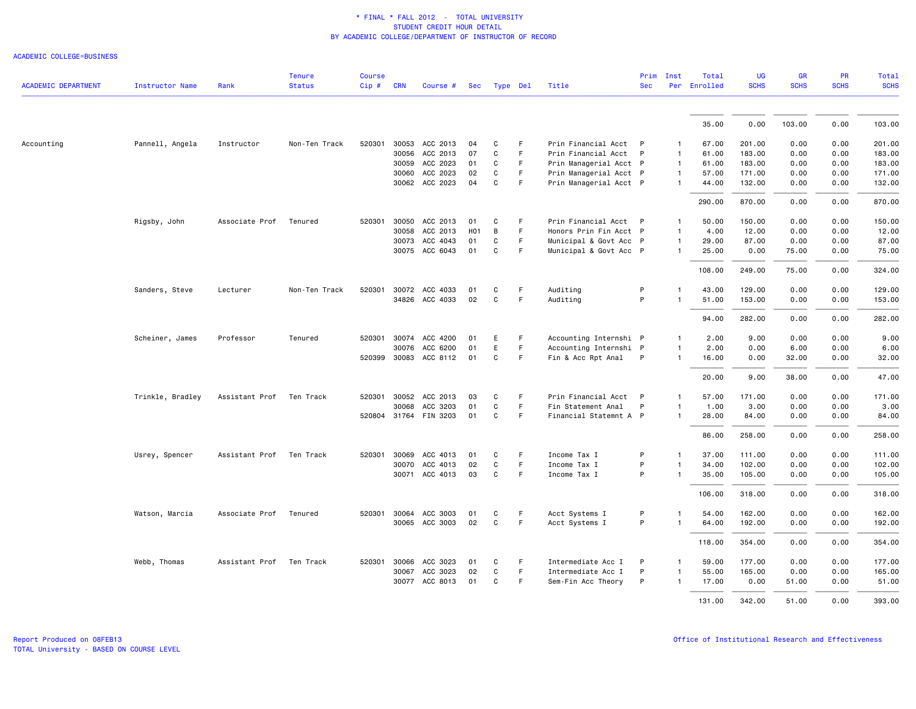ACADEMIC COLLEGE=BUSINESS

| <b>ACADEMIC DEPARTMENT</b> | <b>Instructor Name</b> | Rank           | <b>Tenure</b><br><b>Status</b> | <b>Course</b><br>Cip # CRN |       | Course #              | Sec              |              | Type Del    | Title                  | Prim<br><b>Sec</b> | Inst           | Total<br>Per Enrolled | <b>UG</b><br><b>SCHS</b> | <b>GR</b><br><b>SCHS</b> | <b>PR</b><br><b>SCHS</b> | Total<br><b>SCHS</b> |
|----------------------------|------------------------|----------------|--------------------------------|----------------------------|-------|-----------------------|------------------|--------------|-------------|------------------------|--------------------|----------------|-----------------------|--------------------------|--------------------------|--------------------------|----------------------|
|                            |                        |                |                                |                            |       |                       |                  |              |             |                        |                    |                |                       |                          |                          |                          |                      |
|                            |                        |                |                                |                            |       |                       |                  |              |             |                        |                    |                | 35.00                 | 0.00                     | 103.00                   | 0.00                     | 103.00               |
| Accounting                 | Pannell, Angela        | Instructor     | Non-Ten Track                  | 520301                     |       | 30053 ACC 2013        | 04               | C            | F           | Prin Financial Acct P  |                    | 1              | 67.00                 | 201.00                   | 0.00                     | 0.00                     | 201.00               |
|                            |                        |                |                                |                            | 30056 | ACC 2013              | 07               | C            | F           | Prin Financial Acct P  |                    | 1              | 61.00                 | 183.00                   | 0.00                     | 0.00                     | 183.00               |
|                            |                        |                |                                |                            | 30059 | ACC 2023              | 01               | C            | F           | Prin Managerial Acct P |                    | $\mathbf{1}$   | 61.00                 | 183.00                   | 0.00                     | 0.00                     | 183.00               |
|                            |                        |                |                                |                            | 30060 | ACC 2023              | 02               | C            | $\mathsf F$ | Prin Managerial Acct P |                    | $\mathbf{1}$   | 57.00                 | 171.00                   | 0.00                     | 0.00                     | 171.00               |
|                            |                        |                |                                |                            |       | 30062 ACC 2023        | 04               | C            | F           | Prin Managerial Acct P |                    |                | 44.00                 | 132.00                   | 0.00                     | 0.00                     | 132.00               |
|                            |                        |                |                                |                            |       |                       |                  |              |             |                        |                    |                | 290.00                | 870.00                   | 0.00                     | 0.00                     | 870.00               |
|                            | Rigsby, John           | Associate Prof | Tenured                        | 520301                     | 30050 | ACC 2013              | 01               | C            | F.          | Prin Financial Acct P  |                    |                | 50.00                 | 150.00                   | 0.00                     | 0.00                     | 150.00               |
|                            |                        |                |                                |                            | 30058 | ACC 2013              | H <sub>0</sub> 1 | B            | $\mathsf F$ | Honors Prin Fin Acct P |                    | $\mathbf{1}$   | 4.00                  | 12.00                    | 0.00                     | 0.00                     | 12.00                |
|                            |                        |                |                                |                            | 30073 | ACC 4043              | 01               | C            | F           | Municipal & Govt Acc P |                    | $\mathbf{1}$   | 29.00                 | 87.00                    | 0.00                     | 0.00                     | 87.00                |
|                            |                        |                |                                |                            |       | 30075 ACC 6043        | 01               | C            | F           | Municipal & Govt Acc P |                    | $\mathbf{1}$   | 25.00                 | 0.00                     | 75.00                    | 0.00                     | 75.00                |
|                            |                        |                |                                |                            |       |                       |                  |              |             |                        |                    |                | 108,00                | 249.00                   | 75.00                    | 0.00                     | 324.00               |
|                            | Sanders, Steve         | Lecturer       | Non-Ten Track                  | 520301                     | 30072 | ACC 4033              | 01               | C            | F           | Auditing               | P                  |                | 43.00                 | 129.00                   | 0.00                     | 0.00                     | 129.00               |
|                            |                        |                |                                |                            |       | 34826 ACC 4033        | 02               | C            | $\mathsf F$ | Auditing               | P                  | 1              | 51.00                 | 153.00                   | 0.00                     | 0.00                     | 153.00               |
|                            |                        |                |                                |                            |       |                       |                  |              |             |                        |                    |                | 94.00                 | 282.00                   | 0.00                     | 0.00                     | 282.00               |
|                            | Scheiner, James        | Professor      | Tenured                        | 520301                     |       | 30074 ACC 4200        | 01               | E            | F           | Accounting Internshi P |                    | -1             | 2.00                  | 9.00                     | 0.00                     | 0.00                     | 9.00                 |
|                            |                        |                |                                |                            | 30076 | ACC 6200              | 01               | E            | F           | Accounting Internshi P |                    |                | 2.00                  | 0.00                     | 6.00                     | 0.00                     | 6.00                 |
|                            |                        |                |                                |                            |       | 520399 30083 ACC 8112 | 01               | C            | F           | Fin & Acc Rpt Anal     | $\mathsf{P}$       | 1              | 16.00                 | 0.00                     | 32.00                    | 0.00                     | 32.00                |
|                            |                        |                |                                |                            |       |                       |                  |              |             |                        |                    |                | 20.00                 | 9.00                     | 38.00                    | 0.00                     | 47.00                |
|                            | Trinkle, Bradley       | Assistant Prof | Ten Track                      | 520301                     | 30052 | ACC 2013              | 03               | C            | F           | Prin Financial Acct P  |                    |                | 57.00                 | 171.00                   | 0.00                     | 0.00                     | 171.00               |
|                            |                        |                |                                |                            | 30068 | ACC 3203              | 01               | C            | F           | Fin Statement Anal     | P                  | 1              | 1.00                  | 3.00                     | 0.00                     | 0.00                     | 3.00                 |
|                            |                        |                |                                |                            |       | 520804 31764 FIN 3203 | 01               | C            | F           | Financial Statemnt A P |                    | $\mathbf{1}$   | 28.00                 | 84.00                    | 0.00                     | 0.00                     | 84.00                |
|                            |                        |                |                                |                            |       |                       |                  |              |             |                        |                    |                | 86.00                 | 258.00                   | 0.00                     | 0.00                     | 258.00               |
|                            | Usrey, Spencer         | Assistant Prof | Ten Track                      | 520301                     | 30069 | ACC 4013              | 01               | C            | F           | Income Tax I           | P                  | $\mathbf{1}$   | 37.00                 | 111.00                   | 0.00                     | 0.00                     | 111.00               |
|                            |                        |                |                                |                            | 30070 | ACC 4013              | 02               | C            | $\mathsf F$ | Income Tax I           | P                  | 1              | 34.00                 | 102.00                   | 0.00                     | 0.00                     | 102.00               |
|                            |                        |                |                                |                            |       | 30071 ACC 4013        | 03               | C            | F           | Income Tax I           | P                  | $\mathbf{1}$   | 35.00                 | 105.00                   | 0.00                     | 0.00                     | 105.00               |
|                            |                        |                |                                |                            |       |                       |                  |              |             |                        |                    |                | 106.00                | 318.00                   | 0.00                     | 0.00                     | 318.00               |
|                            | Watson, Marcia         | Associate Prof | Tenured                        | 520301                     | 30064 | ACC 3003              | 01               | C            | F           | Acct Systems I         | P                  |                | 54.00                 | 162.00                   | 0.00                     | 0.00                     | 162.00               |
|                            |                        |                |                                |                            |       | 30065 ACC 3003        | 02               | $\mathbf{C}$ | F           | Acct Systems I         | P                  | $\overline{1}$ | 64.00                 | 192.00                   | 0.00                     | 0.00                     | 192.00               |
|                            |                        |                |                                |                            |       |                       |                  |              |             |                        |                    |                | 118.00                | 354.00                   | 0.00                     | 0.00                     | 354.00               |
|                            | Webb, Thomas           | Assistant Prof | Ten Track                      | 520301                     | 30066 | ACC 3023              | 01               | C            | F           | Intermediate Acc I     | P                  | 1              | 59.00                 | 177.00                   | 0.00                     | 0.00                     | 177.00               |
|                            |                        |                |                                |                            | 30067 | ACC 3023              | 02               | $\mathbf{C}$ | F.          | Intermediate Acc I     | P                  | 1              | 55.00                 | 165.00                   | 0.00                     | 0.00                     | 165.00               |
|                            |                        |                |                                |                            | 30077 | ACC 8013              | 01               | C            | F           | Sem-Fin Acc Theory     | P                  | 1              | 17.00                 | 0.00                     | 51.00                    | 0.00                     | 51.00                |
|                            |                        |                |                                |                            |       |                       |                  |              |             |                        |                    |                | 131.00                | 342.00                   | 51.00                    | 0.00                     | 393.00               |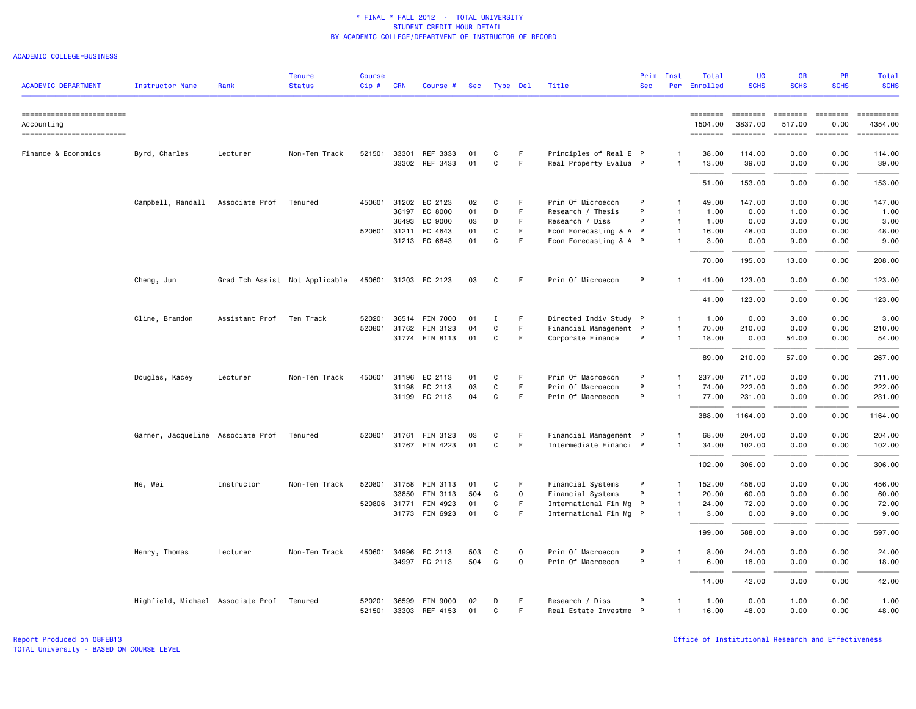### ACADEMIC COLLEGE=BUSINESS

| <b>ACADEMIC DEPARTMENT</b>                                           | <b>Instructor Name</b>            | Rank           | <b>Tenure</b><br><b>Status</b> | <b>Course</b><br>Cip# | <b>CRN</b> | Course #                                | Sec      | Type Del    |             | Title                                            | Prim<br><b>Sec</b> | Inst<br>Per                    | Total<br>Enrolled                                                                                                                                                                                                                                                                                                                                                                                                                                                                               | <b>UG</b><br><b>SCHS</b>                     | <b>GR</b><br><b>SCHS</b>                    | PR<br><b>SCHS</b>                                                                                                                                                                                                                                                                                                                                                                                                                                                                                                                                  | Total<br><b>SCHS</b>                                                                                                                                                                                                                                                                                                                                                                                                                                                                          |
|----------------------------------------------------------------------|-----------------------------------|----------------|--------------------------------|-----------------------|------------|-----------------------------------------|----------|-------------|-------------|--------------------------------------------------|--------------------|--------------------------------|-------------------------------------------------------------------------------------------------------------------------------------------------------------------------------------------------------------------------------------------------------------------------------------------------------------------------------------------------------------------------------------------------------------------------------------------------------------------------------------------------|----------------------------------------------|---------------------------------------------|----------------------------------------------------------------------------------------------------------------------------------------------------------------------------------------------------------------------------------------------------------------------------------------------------------------------------------------------------------------------------------------------------------------------------------------------------------------------------------------------------------------------------------------------------|-----------------------------------------------------------------------------------------------------------------------------------------------------------------------------------------------------------------------------------------------------------------------------------------------------------------------------------------------------------------------------------------------------------------------------------------------------------------------------------------------|
| ==========================<br>Accounting<br>------------------------ |                                   |                |                                |                       |            |                                         |          |             |             |                                                  |                    |                                | 1504.00<br>$\begin{array}{cccccc} \multicolumn{2}{c}{} & \multicolumn{2}{c}{} & \multicolumn{2}{c}{} & \multicolumn{2}{c}{} & \multicolumn{2}{c}{} & \multicolumn{2}{c}{} & \multicolumn{2}{c}{} & \multicolumn{2}{c}{} & \multicolumn{2}{c}{} & \multicolumn{2}{c}{} & \multicolumn{2}{c}{} & \multicolumn{2}{c}{} & \multicolumn{2}{c}{} & \multicolumn{2}{c}{} & \multicolumn{2}{c}{} & \multicolumn{2}{c}{} & \multicolumn{2}{c}{} & \multicolumn{2}{c}{} & \multicolumn{2}{c}{} & \multic$ | $= 10000000000$<br>3837.00<br><b>EDEDEED</b> | <b>SEESSEES</b><br>517.00<br><b>ESSESSE</b> | $\begin{array}{c} \multicolumn{3}{c} {\small \texttt{m}} = \multicolumn{3}{c} {\small \texttt{m}} = \multicolumn{3}{c} {\small \texttt{m}} = \multicolumn{3}{c} {\small \texttt{m}} = \multicolumn{3}{c} {\small \texttt{m}} = \multicolumn{3}{c} {\small \texttt{m}} = \multicolumn{3}{c} {\small \texttt{m}} = \multicolumn{3}{c} {\small \texttt{m}} = \multicolumn{3}{c} {\small \texttt{m}} = \multicolumn{3}{c} {\small \texttt{m}} = \multicolumn{3}{c} {\small \texttt{m}} = \multicolumn{3}{c} {\small \texttt{$<br>0.00<br>$= 222222222$ | ==========<br>4354.00<br>$\begin{minipage}{0.03\linewidth} \hspace*{-0.2cm} \textbf{if the number of } \texttt{if} \texttt{if} \texttt{if} \texttt{if} \texttt{if} \texttt{if} \texttt{if} \texttt{if} \texttt{if} \texttt{if} \texttt{if} \texttt{if} \texttt{if} \texttt{if} \texttt{if} \texttt{if} \texttt{if} \texttt{if} \texttt{if} \texttt{if} \texttt{if} \texttt{if} \texttt{if} \texttt{if} \texttt{if} \texttt{if} \texttt{if} \texttt{if} \texttt{if} \texttt{if} \texttt{if} \$ |
| Finance & Economics                                                  | Byrd, Charles                     | Lecturer       | Non-Ten Track                  |                       |            | 521501 33301 REF 3333<br>33302 REF 3433 | 01<br>01 | C<br>C      | F<br>F.     | Principles of Real E P<br>Real Property Evalua P |                    | -1<br>-1                       | 38.00<br>13.00                                                                                                                                                                                                                                                                                                                                                                                                                                                                                  | 114.00<br>39.00                              | 0.00<br>0.00                                | 0.00<br>0.00                                                                                                                                                                                                                                                                                                                                                                                                                                                                                                                                       | 114.00<br>39.00                                                                                                                                                                                                                                                                                                                                                                                                                                                                               |
|                                                                      |                                   |                |                                |                       |            |                                         |          |             |             |                                                  |                    |                                | 51.00                                                                                                                                                                                                                                                                                                                                                                                                                                                                                           | 153.00                                       | 0.00                                        | 0.00                                                                                                                                                                                                                                                                                                                                                                                                                                                                                                                                               | 153.00                                                                                                                                                                                                                                                                                                                                                                                                                                                                                        |
|                                                                      | Campbell, Randall                 | Associate Prof | Tenured                        |                       | 36197      | 450601 31202 EC 2123<br>EC 8000         | 02<br>01 | C<br>D      | F<br>F.     | Prin Of Microecon<br>Research / Thesis           | P<br>P             | $\mathbf{1}$<br>$\overline{1}$ | 49.00<br>1.00                                                                                                                                                                                                                                                                                                                                                                                                                                                                                   | 147.00<br>0.00                               | 0.00<br>1.00                                | 0.00<br>0.00                                                                                                                                                                                                                                                                                                                                                                                                                                                                                                                                       | 147.00<br>1.00                                                                                                                                                                                                                                                                                                                                                                                                                                                                                |
|                                                                      |                                   |                |                                |                       | 36493      | EC 9000                                 | 03       | D           | F.          | Research / Diss                                  | P                  | $\overline{1}$                 | 1.00                                                                                                                                                                                                                                                                                                                                                                                                                                                                                            | 0.00                                         | 3.00                                        | 0.00                                                                                                                                                                                                                                                                                                                                                                                                                                                                                                                                               | 3.00                                                                                                                                                                                                                                                                                                                                                                                                                                                                                          |
|                                                                      |                                   |                |                                | 520601 31211          |            | EC 4643                                 | 01       | $\mathbf C$ | F           | Econ Forecasting & A P                           |                    | $\mathbf{1}$                   | 16.00                                                                                                                                                                                                                                                                                                                                                                                                                                                                                           | 48.00                                        | 0.00                                        | 0.00                                                                                                                                                                                                                                                                                                                                                                                                                                                                                                                                               | 48.00                                                                                                                                                                                                                                                                                                                                                                                                                                                                                         |
|                                                                      |                                   |                |                                |                       |            | 31213 EC 6643                           | 01       | C           | F.          | Econ Forecasting & A P                           |                    | $\overline{1}$                 | 3.00                                                                                                                                                                                                                                                                                                                                                                                                                                                                                            | 0.00                                         | 9.00                                        | 0.00                                                                                                                                                                                                                                                                                                                                                                                                                                                                                                                                               | 9.00                                                                                                                                                                                                                                                                                                                                                                                                                                                                                          |
|                                                                      |                                   |                |                                |                       |            |                                         |          |             |             |                                                  |                    |                                | 70.00                                                                                                                                                                                                                                                                                                                                                                                                                                                                                           | 195.00                                       | 13.00                                       | 0.00                                                                                                                                                                                                                                                                                                                                                                                                                                                                                                                                               | 208.00                                                                                                                                                                                                                                                                                                                                                                                                                                                                                        |
|                                                                      | Cheng, Jun                        |                | Grad Tch Assist Not Applicable |                       |            | 450601 31203 EC 2123                    | 03       | C           | F.          | Prin Of Microecon                                | P                  | -1                             | 41.00                                                                                                                                                                                                                                                                                                                                                                                                                                                                                           | 123.00                                       | 0.00                                        | 0.00                                                                                                                                                                                                                                                                                                                                                                                                                                                                                                                                               | 123.00                                                                                                                                                                                                                                                                                                                                                                                                                                                                                        |
|                                                                      |                                   |                |                                |                       |            |                                         |          |             |             |                                                  |                    |                                | 41.00                                                                                                                                                                                                                                                                                                                                                                                                                                                                                           | 123.00                                       | 0.00                                        | 0.00                                                                                                                                                                                                                                                                                                                                                                                                                                                                                                                                               | 123.00                                                                                                                                                                                                                                                                                                                                                                                                                                                                                        |
|                                                                      | Cline, Brandon                    | Assistant Prof | Ten Track                      | 520201                |            | 36514 FIN 7000                          | 01       | Ι.          | F.          | Directed Indiv Study P                           |                    | $\overline{1}$                 | 1.00                                                                                                                                                                                                                                                                                                                                                                                                                                                                                            | 0.00                                         | 3.00                                        | 0.00                                                                                                                                                                                                                                                                                                                                                                                                                                                                                                                                               | 3.00                                                                                                                                                                                                                                                                                                                                                                                                                                                                                          |
|                                                                      |                                   |                |                                |                       |            | 520801 31762 FIN 3123                   | 04       | C           | F.          | Financial Management P                           |                    | $\overline{1}$                 | 70.00                                                                                                                                                                                                                                                                                                                                                                                                                                                                                           | 210.00                                       | 0.00                                        | 0.00                                                                                                                                                                                                                                                                                                                                                                                                                                                                                                                                               | 210.00                                                                                                                                                                                                                                                                                                                                                                                                                                                                                        |
|                                                                      |                                   |                |                                |                       |            | 31774 FIN 8113                          | 01       | C           | F.          | Corporate Finance                                | P                  | $\overline{1}$                 | 18.00                                                                                                                                                                                                                                                                                                                                                                                                                                                                                           | 0.00                                         | 54.00                                       | 0.00                                                                                                                                                                                                                                                                                                                                                                                                                                                                                                                                               | 54.00                                                                                                                                                                                                                                                                                                                                                                                                                                                                                         |
|                                                                      |                                   |                |                                |                       |            |                                         |          |             |             |                                                  |                    |                                | 89.00                                                                                                                                                                                                                                                                                                                                                                                                                                                                                           | 210.00                                       | 57.00                                       | 0.00                                                                                                                                                                                                                                                                                                                                                                                                                                                                                                                                               | 267.00                                                                                                                                                                                                                                                                                                                                                                                                                                                                                        |
|                                                                      | Douglas, Kacey                    | Lecturer       | Non-Ten Track                  | 450601                | 31196      | EC 2113                                 | 01       | C           | F           | Prin Of Macroecon                                | P                  | -1                             | 237.00                                                                                                                                                                                                                                                                                                                                                                                                                                                                                          | 711.00                                       | 0.00                                        | 0.00                                                                                                                                                                                                                                                                                                                                                                                                                                                                                                                                               | 711.00                                                                                                                                                                                                                                                                                                                                                                                                                                                                                        |
|                                                                      |                                   |                |                                |                       |            | 31198 EC 2113                           | 03       | C           | F           | Prin Of Macroecon                                | P                  | $\mathbf{1}$                   | 74.00                                                                                                                                                                                                                                                                                                                                                                                                                                                                                           | 222.00                                       | 0.00                                        | 0.00                                                                                                                                                                                                                                                                                                                                                                                                                                                                                                                                               | 222.00                                                                                                                                                                                                                                                                                                                                                                                                                                                                                        |
|                                                                      |                                   |                |                                |                       |            | 31199 EC 2113                           | 04       | C           | F.          | Prin Of Macroecon                                | P                  | $\overline{1}$                 | 77.00                                                                                                                                                                                                                                                                                                                                                                                                                                                                                           | 231.00                                       | 0.00                                        | 0.00                                                                                                                                                                                                                                                                                                                                                                                                                                                                                                                                               | 231.00                                                                                                                                                                                                                                                                                                                                                                                                                                                                                        |
|                                                                      |                                   |                |                                |                       |            |                                         |          |             |             |                                                  |                    |                                | 388.00                                                                                                                                                                                                                                                                                                                                                                                                                                                                                          | 1164.00                                      | 0.00                                        | 0.00                                                                                                                                                                                                                                                                                                                                                                                                                                                                                                                                               | 1164.00                                                                                                                                                                                                                                                                                                                                                                                                                                                                                       |
|                                                                      |                                   |                |                                |                       |            |                                         |          |             |             |                                                  |                    |                                |                                                                                                                                                                                                                                                                                                                                                                                                                                                                                                 |                                              |                                             |                                                                                                                                                                                                                                                                                                                                                                                                                                                                                                                                                    |                                                                                                                                                                                                                                                                                                                                                                                                                                                                                               |
|                                                                      | Garner, Jacqueline Associate Prof |                | Tenured                        | 520801                | 31761      | FIN 3123                                | 03       | C           | F           | Financial Management P                           |                    | $\mathbf{1}$                   | 68.00                                                                                                                                                                                                                                                                                                                                                                                                                                                                                           | 204.00                                       | 0.00                                        | 0.00                                                                                                                                                                                                                                                                                                                                                                                                                                                                                                                                               | 204.00                                                                                                                                                                                                                                                                                                                                                                                                                                                                                        |
|                                                                      |                                   |                |                                |                       |            | 31767 FIN 4223                          | 01       | $\mathbf C$ | F.          | Intermediate Financi P                           |                    | $\overline{1}$                 | 34.00                                                                                                                                                                                                                                                                                                                                                                                                                                                                                           | 102.00                                       | 0.00                                        | 0.00                                                                                                                                                                                                                                                                                                                                                                                                                                                                                                                                               | 102.00                                                                                                                                                                                                                                                                                                                                                                                                                                                                                        |
|                                                                      |                                   |                |                                |                       |            |                                         |          |             |             |                                                  |                    |                                | 102.00                                                                                                                                                                                                                                                                                                                                                                                                                                                                                          | 306.00                                       | 0.00                                        | 0.00                                                                                                                                                                                                                                                                                                                                                                                                                                                                                                                                               | 306.00                                                                                                                                                                                                                                                                                                                                                                                                                                                                                        |
|                                                                      | He, Wei                           | Instructor     | Non-Ten Track                  |                       |            | 520801 31758 FIN 3113                   | 01       | C           | F           | Financial Systems                                | P                  | $\mathbf{1}$                   | 152.00                                                                                                                                                                                                                                                                                                                                                                                                                                                                                          | 456.00                                       | 0.00                                        | 0.00                                                                                                                                                                                                                                                                                                                                                                                                                                                                                                                                               | 456.00                                                                                                                                                                                                                                                                                                                                                                                                                                                                                        |
|                                                                      |                                   |                |                                |                       | 33850      | FIN 3113                                | 504      | C           | $\mathsf 0$ | Financial Systems                                | P                  | $\overline{1}$                 | 20.00                                                                                                                                                                                                                                                                                                                                                                                                                                                                                           | 60.00                                        | 0.00                                        | 0.00                                                                                                                                                                                                                                                                                                                                                                                                                                                                                                                                               | 60.00                                                                                                                                                                                                                                                                                                                                                                                                                                                                                         |
|                                                                      |                                   |                |                                |                       |            | 520806 31771 FIN 4923                   | 01       | C           | F           | International Fin Mg P                           |                    | -1                             | 24.00                                                                                                                                                                                                                                                                                                                                                                                                                                                                                           | 72.00                                        | 0.00                                        | 0.00                                                                                                                                                                                                                                                                                                                                                                                                                                                                                                                                               | 72.00                                                                                                                                                                                                                                                                                                                                                                                                                                                                                         |
|                                                                      |                                   |                |                                |                       |            | 31773 FIN 6923                          | 01       | C           | F.          | International Fin Mg P                           |                    | $\overline{1}$                 | 3.00                                                                                                                                                                                                                                                                                                                                                                                                                                                                                            | 0.00                                         | 9.00                                        | 0.00                                                                                                                                                                                                                                                                                                                                                                                                                                                                                                                                               | 9.00                                                                                                                                                                                                                                                                                                                                                                                                                                                                                          |
|                                                                      |                                   |                |                                |                       |            |                                         |          |             |             |                                                  |                    |                                | 199.00                                                                                                                                                                                                                                                                                                                                                                                                                                                                                          | 588.00                                       | 9.00                                        | 0.00                                                                                                                                                                                                                                                                                                                                                                                                                                                                                                                                               | 597.00                                                                                                                                                                                                                                                                                                                                                                                                                                                                                        |
|                                                                      | Henry, Thomas                     | Lecturer       | Non-Ten Track                  | 450601                |            | 34996 EC 2113                           | 503      | C           | 0           | Prin Of Macroecon                                | P                  | $\overline{1}$                 | 8.00                                                                                                                                                                                                                                                                                                                                                                                                                                                                                            | 24.00                                        | 0.00                                        | 0.00                                                                                                                                                                                                                                                                                                                                                                                                                                                                                                                                               | 24.00                                                                                                                                                                                                                                                                                                                                                                                                                                                                                         |
|                                                                      |                                   |                |                                |                       |            | 34997 EC 2113                           | 504      | C           | $\mathbf 0$ | Prin Of Macroecon                                | P                  | $\overline{1}$                 | 6.00                                                                                                                                                                                                                                                                                                                                                                                                                                                                                            | 18.00                                        | 0.00                                        | 0.00                                                                                                                                                                                                                                                                                                                                                                                                                                                                                                                                               | 18.00                                                                                                                                                                                                                                                                                                                                                                                                                                                                                         |
|                                                                      |                                   |                |                                |                       |            |                                         |          |             |             |                                                  |                    |                                | 14.00                                                                                                                                                                                                                                                                                                                                                                                                                                                                                           | 42.00                                        | 0.00                                        | 0.00                                                                                                                                                                                                                                                                                                                                                                                                                                                                                                                                               | 42.00                                                                                                                                                                                                                                                                                                                                                                                                                                                                                         |
|                                                                      | Highfield, Michael Associate Prof |                | Tenured                        | 520201                | 36599      | FIN 9000                                | 02       | D           | F           | Research / Diss                                  | P                  | $\mathbf{1}$                   | 1.00                                                                                                                                                                                                                                                                                                                                                                                                                                                                                            | 0.00                                         | 1.00                                        | 0.00                                                                                                                                                                                                                                                                                                                                                                                                                                                                                                                                               | 1.00                                                                                                                                                                                                                                                                                                                                                                                                                                                                                          |
|                                                                      |                                   |                |                                |                       |            | 521501 33303 REF 4153                   | 01       | C           | F           | Real Estate Investme P                           |                    | $\overline{1}$                 | 16.00                                                                                                                                                                                                                                                                                                                                                                                                                                                                                           | 48.00                                        | 0.00                                        | 0.00                                                                                                                                                                                                                                                                                                                                                                                                                                                                                                                                               | 48.00                                                                                                                                                                                                                                                                                                                                                                                                                                                                                         |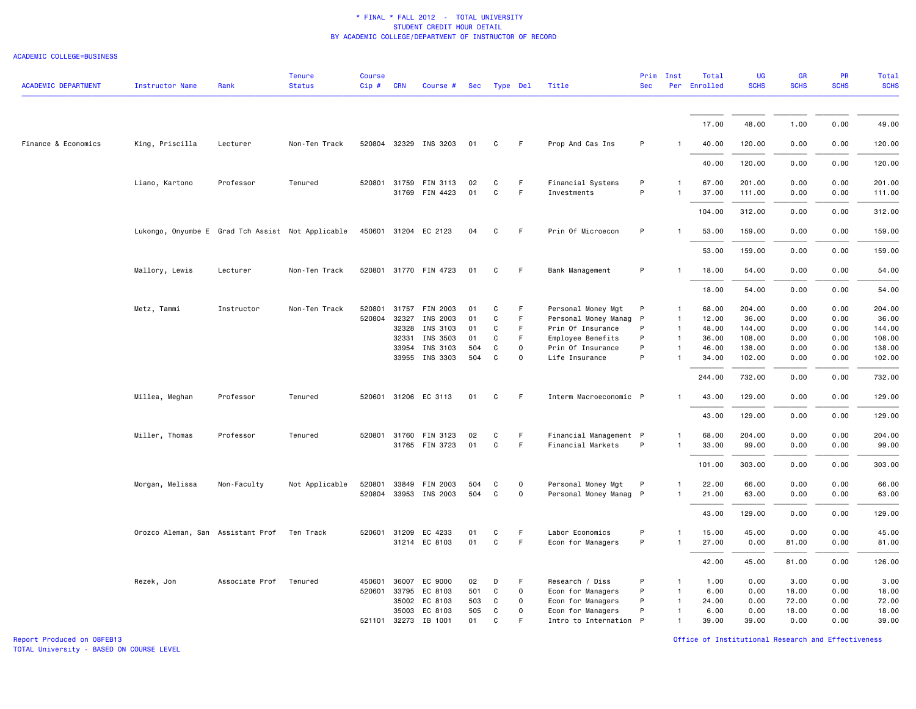#### ACADEMIC COLLEGE=BUSINESS

| <b>ACADEMIC DEPARTMENT</b> | <b>Instructor Name</b>                            | Rank           | <b>Tenure</b><br><b>Status</b> | <b>Course</b><br>Cip # CRN |              | Course #              | Sec | Type Del |             | Title                  | <b>Sec</b> | Prim Inst    | Total<br>Per Enrolled | <b>UG</b><br><b>SCHS</b> | GR<br><b>SCHS</b> | PR<br><b>SCHS</b> | <b>Total</b><br><b>SCHS</b> |
|----------------------------|---------------------------------------------------|----------------|--------------------------------|----------------------------|--------------|-----------------------|-----|----------|-------------|------------------------|------------|--------------|-----------------------|--------------------------|-------------------|-------------------|-----------------------------|
|                            |                                                   |                |                                |                            |              |                       |     |          |             |                        |            |              |                       |                          |                   |                   |                             |
|                            |                                                   |                |                                |                            |              |                       |     |          |             |                        |            |              | 17.00                 | 48.00                    | 1.00              | 0.00              | 49.00                       |
| Finance & Economics        | King, Priscilla                                   | Lecturer       | Non-Ten Track                  |                            |              | 520804 32329 INS 3203 | 01  | C        | F.          | Prop And Cas Ins       | P          |              | 40.00                 | 120.00                   | 0.00              | 0.00              | 120.00                      |
|                            |                                                   |                |                                |                            |              |                       |     |          |             |                        |            |              | 40.00                 | 120.00                   | 0.00              | 0.00              | 120.00                      |
|                            | Liano, Kartono                                    | Professor      | Tenured                        |                            |              | 520801 31759 FIN 3113 | 02  | C        | F           | Financial Systems      | P          |              | 67.00                 | 201.00                   | 0.00              | 0.00              | 201.00                      |
|                            |                                                   |                |                                |                            |              | 31769 FIN 4423        | 01  | C        | F           | Investments            | P          |              | 37.00                 | 111.00                   | 0.00              | 0.00              | 111.00                      |
|                            |                                                   |                |                                |                            |              |                       |     |          |             |                        |            |              | 104.00                | 312.00                   | 0.00              | 0.00              | 312.00                      |
|                            | Lukongo, Onyumbe E Grad Tch Assist Not Applicable |                |                                |                            |              | 450601 31204 EC 2123  | 04  | C        | -F          | Prin Of Microecon      | P          |              | 53.00                 | 159.00                   | 0.00              | 0.00              | 159.00                      |
|                            |                                                   |                |                                |                            |              |                       |     |          |             |                        |            |              | 53.00                 | 159.00                   | 0.00              | 0.00              | 159.00                      |
|                            | Mallory, Lewis                                    | Lecturer       | Non-Ten Track                  |                            |              | 520801 31770 FIN 4723 | 01  | C        | F           | Bank Management        | P          |              | 18.00                 | 54.00                    | 0.00              | 0.00              | 54.00                       |
|                            |                                                   |                |                                |                            |              |                       |     |          |             |                        |            |              | 18.00                 | 54.00                    | 0.00              | 0.00              | 54.00                       |
|                            | Metz, Tammi                                       | Instructor     | Non-Ten Track                  | 520801                     | 31757        | FIN 2003              | 01  | C        | F           | Personal Money Mgt     | P          | 1            | 68.00                 | 204.00                   | 0.00              | 0.00              | 204.00                      |
|                            |                                                   |                |                                | 520804                     | 32327        | INS 2003              | 01  | C        | F           | Personal Money Manag P |            | $\mathbf{1}$ | 12.00                 | 36.00                    | 0.00              | 0.00              | 36.00                       |
|                            |                                                   |                |                                |                            | 32328        | INS 3103              | 01  | C        | F           | Prin Of Insurance      | P          | $\mathbf{1}$ | 48.00                 | 144.00                   | 0.00              | 0.00              | 144.00                      |
|                            |                                                   |                |                                |                            | 32331        | INS 3503              | 01  | C        | F           | Employee Benefits      | P          | $\mathbf{1}$ | 36.00                 | 108.00                   | 0.00              | 0.00              | 108.00                      |
|                            |                                                   |                |                                |                            | 33954        | INS 3103              | 504 | C        | $\Omega$    | Prin Of Insurance      | P          | $\mathbf{1}$ | 46.00                 | 138.00                   | 0.00              | 0.00              | 138.00                      |
|                            |                                                   |                |                                |                            |              | 33955 INS 3303        | 504 | C        | $\Omega$    | Life Insurance         | P          |              | 34.00                 | 102.00                   | 0.00              | 0.00              | 102.00                      |
|                            |                                                   |                |                                |                            |              |                       |     |          |             |                        |            |              | 244.00                | 732.00                   | 0.00              | 0.00              | 732.00                      |
|                            | Millea, Meghan                                    | Professor      | Tenured                        |                            |              | 520601 31206 EC 3113  | 01  | C        | F.          | Interm Macroeconomic P |            |              | 43.00                 | 129.00                   | 0.00              | 0.00              | 129.00                      |
|                            |                                                   |                |                                |                            |              |                       |     |          |             |                        |            |              | 43.00                 | 129.00                   | 0.00              | 0.00              | 129.00                      |
|                            | Miller, Thomas                                    | Professor      | Tenured                        |                            |              | 520801 31760 FIN 3123 | 02  | C        | F.          | Financial Management P |            | 1            | 68.00                 | 204.00                   | 0.00              | 0.00              | 204.00                      |
|                            |                                                   |                |                                |                            |              | 31765 FIN 3723        | 01  | C        | F           | Financial Markets      | P          | $\mathbf{1}$ | 33.00                 | 99.00                    | 0.00              | 0.00              | 99.00                       |
|                            |                                                   |                |                                |                            |              |                       |     |          |             |                        |            |              | 101.00                | 303.00                   | 0.00              | 0.00              | 303.00                      |
|                            | Morgan, Melissa                                   | Non-Faculty    | Not Applicable                 | 520801                     | 33849        | FIN 2003              | 504 | C        | 0           | Personal Money Mgt     | P          |              | 22.00                 | 66.00                    | 0.00              | 0.00              | 66.00                       |
|                            |                                                   |                |                                |                            |              | 520804 33953 INS 2003 | 504 | C        | $\mathbf 0$ | Personal Money Manag P |            | $\mathbf{1}$ | 21.00                 | 63.00                    | 0.00              | 0.00              | 63.00                       |
|                            |                                                   |                |                                |                            |              |                       |     |          |             |                        |            |              | 43.00                 | 129.00                   | 0.00              | 0.00              | 129.00                      |
|                            | Orozco Aleman, San Assistant Prof Ten Track       |                |                                |                            | 520601 31209 | EC 4233               | 01  | C        | F.          | Labor Economics        | P          | $\mathbf{1}$ | 15.00                 | 45.00                    | 0.00              | 0.00              | 45.00                       |
|                            |                                                   |                |                                |                            |              | 31214 EC 8103         | 01  | C        | F           | Econ for Managers      | P          | $\mathbf{1}$ | 27.00                 | 0.00                     | 81.00             | 0.00              | 81.00                       |
|                            |                                                   |                |                                |                            |              |                       |     |          |             |                        |            |              | 42.00                 | 45.00                    | 81.00             | 0.00              | 126.00                      |
|                            |                                                   |                |                                |                            |              |                       |     |          |             |                        |            |              |                       |                          |                   |                   |                             |
|                            | Rezek, Jon                                        | Associate Prof | Tenured                        | 450601                     | 36007        | EC 9000               | 02  | D        | F           | Research / Diss        | P          | $\mathbf{1}$ | 1.00                  | 0.00                     | 3.00              | 0.00              | 3.00                        |
|                            |                                                   |                |                                |                            | 520601 33795 | EC 8103               | 501 | C        | 0           | Econ for Managers      | P          | $\mathbf{1}$ | 6.00                  | 0.00                     | 18.00             | 0.00              | 18.00                       |
|                            |                                                   |                |                                |                            | 35002        | EC 8103               | 503 | C        | $\mathbf 0$ | Econ for Managers      | P          | $\mathbf{1}$ | 24.00                 | 0.00                     | 72.00             | 0.00              | 72.00                       |
|                            |                                                   |                |                                |                            | 35003        | EC 8103               | 505 | C        | $\mathbf 0$ | Econ for Managers      | P          | $\mathbf{1}$ | 6.00                  | 0.00                     | 18.00             | 0.00              | 18.00                       |
|                            |                                                   |                |                                |                            |              | 521101 32273 IB 1001  | 01  | C        |             | Intro to Internation P |            | $\mathbf{1}$ | 39.00                 | 39.00                    | 0.00              | 0.00              | 39.00                       |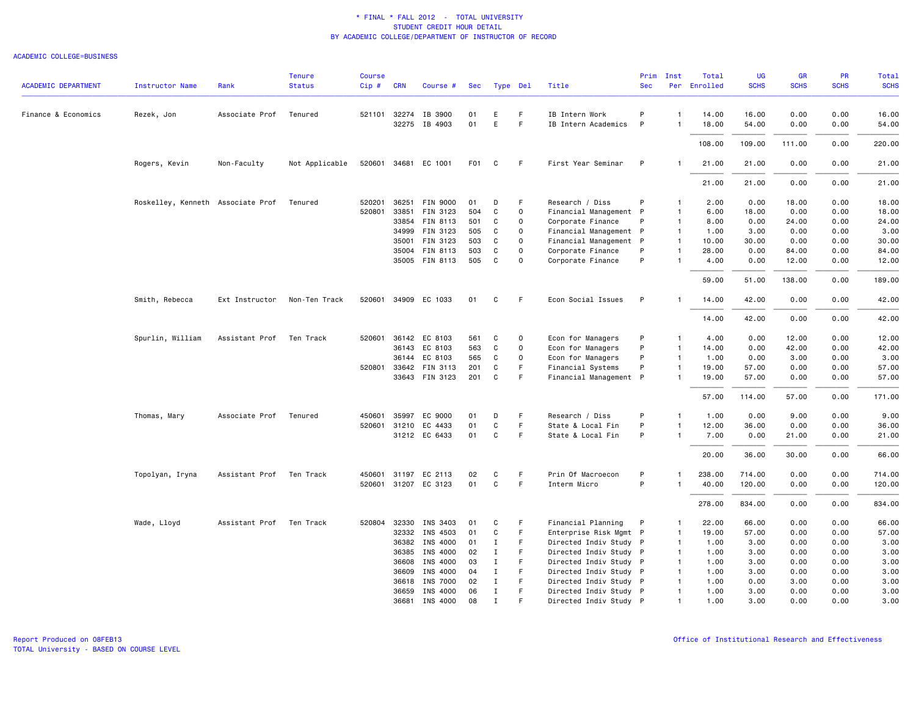## ACADEMIC COLLEGE=BUSINESS

|                            |                                   |                          | <b>Tenure</b>  | <b>Course</b> |              |                       |                  |              |              |                        | Prim         | Inst           | Total        | <b>UG</b>   | <b>GR</b>   | PR          | Total       |
|----------------------------|-----------------------------------|--------------------------|----------------|---------------|--------------|-----------------------|------------------|--------------|--------------|------------------------|--------------|----------------|--------------|-------------|-------------|-------------|-------------|
| <b>ACADEMIC DEPARTMENT</b> | <b>Instructor Name</b>            | Rank                     | <b>Status</b>  | Cip#          | <b>CRN</b>   | Course #              | Sec              | Type Del     |              | Title                  | <b>Sec</b>   |                | Per Enrolled | <b>SCHS</b> | <b>SCHS</b> | <b>SCHS</b> | <b>SCHS</b> |
| Finance & Economics        | Rezek, Jon                        | Associate Prof           | Tenured        |               | 521101 32274 | IB 3900               | 01               | E            | F            | IB Intern Work         | P            | $\mathbf{1}$   | 14.00        | 16.00       | 0.00        | 0.00        | 16.00       |
|                            |                                   |                          |                |               | 32275        | IB 4903               | 01               | E            | F            | IB Intern Academics    | P            | -1             | 18.00        | 54.00       | 0.00        | 0.00        | 54.00       |
|                            |                                   |                          |                |               |              |                       |                  |              |              |                        |              |                | 108.00       | 109.00      | 111.00      | 0.00        | 220.00      |
|                            | Rogers, Kevin                     | Non-Faculty              | Not Applicable |               |              | 520601 34681 EC 1001  | F <sub>0</sub> 1 | C            | F            | First Year Seminar     | P            |                | 21.00        | 21.00       | 0.00        | 0.00        | 21.00       |
|                            |                                   |                          |                |               |              |                       |                  |              |              |                        |              |                | 21.00        | 21.00       | 0.00        | 0.00        | 21.00       |
|                            | Roskelley, Kenneth Associate Prof |                          | Tenured        | 520201        | 36251        | FIN 9000              | 01               | D            | F            | Research / Diss        | P            | $\mathbf{1}$   | 2.00         | 0.00        | 18.00       | 0.00        | 18.00       |
|                            |                                   |                          |                | 520801        | 33851        | FIN 3123              | 504              | C            | 0            | Financial Management P |              | $\mathbf{1}$   | 6.00         | 18.00       | 0.00        | 0.00        | 18.00       |
|                            |                                   |                          |                |               |              | 33854 FIN 8113        | 501              | C            | $\mathbf 0$  | Corporate Finance      | P            | $\mathbf{1}$   | 8.00         | 0.00        | 24.00       | 0.00        | 24.00       |
|                            |                                   |                          |                |               | 34999        | FIN 3123              | 505              | C            | $\Omega$     | Financial Management P |              | $\overline{1}$ | 1.00         | 3.00        | 0.00        | 0.00        | 3.00        |
|                            |                                   |                          |                |               |              | 35001 FIN 3123        | 503              | C            | 0            | Financial Management P |              | $\overline{1}$ | 10.00        | 30.00       | 0.00        | 0.00        | 30.00       |
|                            |                                   |                          |                |               |              | 35004 FIN 8113        | 503              | C            | $\Omega$     | Corporate Finance      | P            | $\mathbf{1}$   | 28.00        | 0.00        | 84.00       | 0.00        | 84.00       |
|                            |                                   |                          |                |               |              | 35005 FIN 8113        | 505              | C            | $\mathbf 0$  | Corporate Finance      | P            | $\mathbf{1}$   | 4.00         | 0.00        | 12.00       | 0.00        | 12.00       |
|                            |                                   |                          |                |               |              |                       |                  |              |              |                        |              |                | 59.00        | 51.00       | 138.00      | 0.00        | 189.00      |
|                            | Smith, Rebecca                    | Ext Instructor           | Non-Ten Track  |               |              | 520601 34909 EC 1033  | 01               | C            | -F           | Econ Social Issues     | P            |                | 14.00        | 42.00       | 0.00        | 0.00        | 42.00       |
|                            |                                   |                          |                |               |              |                       |                  |              |              |                        |              |                | 14.00        | 42.00       | 0.00        | 0.00        | 42.00       |
|                            | Spurlin, William                  | Assistant Prof           | Ten Track      |               |              | 520601 36142 EC 8103  | 561              | C            | 0            | Econ for Managers      | P            | $\mathbf{1}$   | 4.00         | 0.00        | 12.00       | 0.00        | 12.00       |
|                            |                                   |                          |                |               |              | 36143 EC 8103         | 563              | C            | $\mathsf{o}$ | Econ for Managers      | P            | $\mathbf{1}$   | 14.00        | 0.00        | 42.00       | 0.00        | 42.00       |
|                            |                                   |                          |                |               | 36144        | EC 8103               | 565              | C            | 0            | Econ for Managers      | P            | $\overline{1}$ | 1.00         | 0.00        | 3.00        | 0.00        | 3.00        |
|                            |                                   |                          |                |               |              | 520801 33642 FIN 3113 | 201              | C            | F            | Financial Systems      | P            | $\mathbf{1}$   | 19.00        | 57.00       | 0.00        | 0.00        | 57.00       |
|                            |                                   |                          |                |               |              | 33643 FIN 3123        | 201              | C.           | F            | Financial Management P |              | $\mathbf{1}$   | 19.00        | 57.00       | 0.00        | 0.00        | 57.00       |
|                            |                                   |                          |                |               |              |                       |                  |              |              |                        |              |                | 57.00        | 114.00      | 57.00       | 0.00        | 171.00      |
|                            | Thomas, Mary                      | Associate Prof           | Tenured        | 450601        | 35997        | EC 9000               | 01               | D            | F            | Research / Diss        | P            | $\mathbf{1}$   | 1.00         | 0.00        | 9.00        | 0.00        | 9.00        |
|                            |                                   |                          |                | 520601        | 31210        | EC 4433               | 01               | C            | F            | State & Local Fin      | P            | $\mathbf{1}$   | 12.00        | 36.00       | 0.00        | 0.00        | 36.00       |
|                            |                                   |                          |                |               |              | 31212 EC 6433         | 01               | C            | F            | State & Local Fin      | P            | $\mathbf{1}$   | 7.00         | 0.00        | 21.00       | 0.00        | 21.00       |
|                            |                                   |                          |                |               |              |                       |                  |              |              |                        |              |                | 20.00        | 36.00       | 30.00       | 0.00        | 66.00       |
|                            | Topolyan, Iryna                   | Assistant Prof           | Ten Track      | 450601        |              | 31197 EC 2113         | 02               | C            | F.           | Prin Of Macroecon      | P            | $\mathbf{1}$   | 238.00       | 714.00      | 0.00        | 0.00        | 714.00      |
|                            |                                   |                          |                |               |              | 520601 31207 EC 3123  | 01               | C            | F.           | Interm Micro           | P            |                | 40.00        | 120.00      | 0.00        | 0.00        | 120.00      |
|                            |                                   |                          |                |               |              |                       |                  |              |              |                        |              |                | 278.00       | 834.00      | 0.00        | 0.00        | 834.00      |
|                            | Wade, Lloyd                       | Assistant Prof Ten Track |                |               |              | 520804 32330 INS 3403 | 01               | C            | F            | Financial Planning     | $\mathsf{P}$ | $\mathbf{1}$   | 22.00        | 66.00       | 0.00        | 0.00        | 66.00       |
|                            |                                   |                          |                |               | 32332        | INS 4503              | 01               | C            | F            | Enterprise Risk Mgmt P |              | $\mathbf{1}$   | 19.00        | 57.00       | 0.00        | 0.00        | 57.00       |
|                            |                                   |                          |                |               | 36382        | INS 4000              | 01               | Ι.           | F            | Directed Indiv Study P |              | $\overline{1}$ | 1.00         | 3.00        | 0.00        | 0.00        | 3.00        |
|                            |                                   |                          |                |               | 36385        | INS 4000              | 02               | $\mathbf I$  | F            | Directed Indiv Study P |              | $\overline{1}$ | 1.00         | 3.00        | 0.00        | 0.00        | 3.00        |
|                            |                                   |                          |                |               | 36608        | INS 4000              | 03               | Ι.           | F.           | Directed Indiv Study P |              | $\overline{1}$ | 1.00         | 3.00        | 0.00        | 0.00        | 3.00        |
|                            |                                   |                          |                |               | 36609        | INS 4000              | 04               | $\mathbf I$  | F            | Directed Indiv Study P |              | $\overline{1}$ | 1.00         | 3.00        | 0.00        | 0.00        | 3.00        |
|                            |                                   |                          |                |               | 36618        | INS 7000              | 02               | Ι.           | F            | Directed Indiv Study P |              | $\overline{1}$ | 1.00         | 0.00        | 3.00        | 0.00        | 3.00        |
|                            |                                   |                          |                |               | 36659        | INS 4000              | 06               | $\mathbf I$  | F            | Directed Indiv Study P |              | $\mathbf{1}$   | 1.00         | 3.00        | 0.00        | 0.00        | 3.00        |
|                            |                                   |                          |                |               | 36681        | INS 4000              | 08               | $\mathsf{T}$ |              | Directed Indiv Study P |              | $\mathbf{1}$   | 1.00         | 3.00        | 0.00        | 0.00        | 3.00        |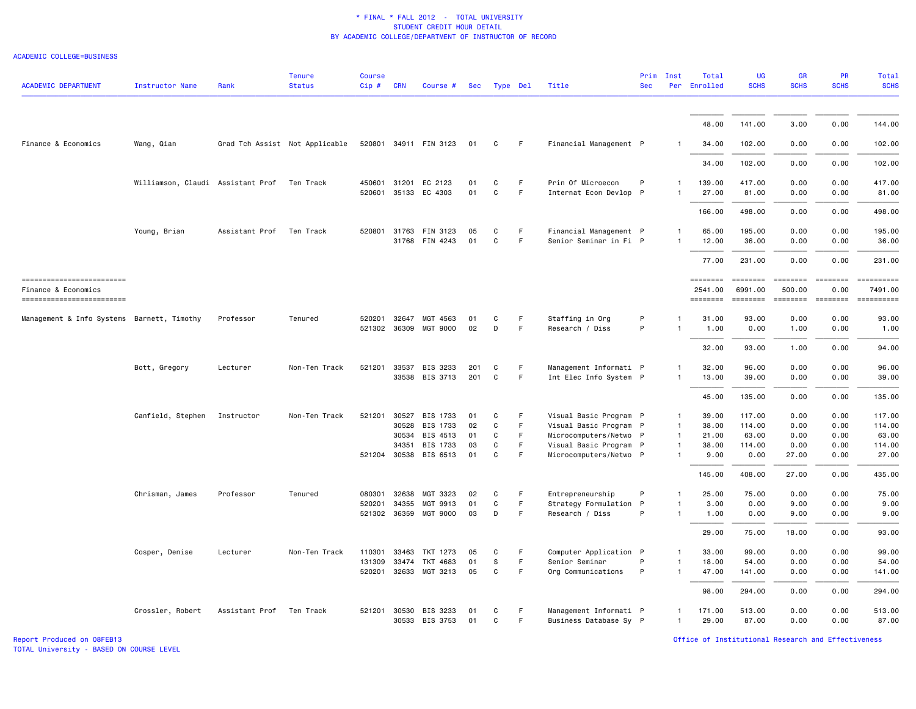#### ACADEMIC COLLEGE=BUSINESS

| <b>ACADEMIC DEPARTMENT</b>                        | <b>Instructor Name</b>                      | Rank           | <b>Tenure</b><br><b>Status</b> | <b>Course</b><br>$Cip$ # | <b>CRN</b>   | Course #              | Sec | Type Del |    | Title                  | <b>Sec</b> | Prim Inst    | Total<br>Per Enrolled | <b>UG</b><br><b>SCHS</b>                                                                                                                                                                                                                                                                                                                                                                                                                                                                 | GR<br><b>SCHS</b>                                                                                                                                                                                                                                                                                                                                                                                                                                                                                | PR<br><b>SCHS</b>     | <b>Total</b><br><b>SCHS</b>                                                                                                                                                                                                                                                                                                                                                                                                                                             |
|---------------------------------------------------|---------------------------------------------|----------------|--------------------------------|--------------------------|--------------|-----------------------|-----|----------|----|------------------------|------------|--------------|-----------------------|------------------------------------------------------------------------------------------------------------------------------------------------------------------------------------------------------------------------------------------------------------------------------------------------------------------------------------------------------------------------------------------------------------------------------------------------------------------------------------------|--------------------------------------------------------------------------------------------------------------------------------------------------------------------------------------------------------------------------------------------------------------------------------------------------------------------------------------------------------------------------------------------------------------------------------------------------------------------------------------------------|-----------------------|-------------------------------------------------------------------------------------------------------------------------------------------------------------------------------------------------------------------------------------------------------------------------------------------------------------------------------------------------------------------------------------------------------------------------------------------------------------------------|
|                                                   |                                             |                |                                |                          |              |                       |     |          |    |                        |            |              |                       |                                                                                                                                                                                                                                                                                                                                                                                                                                                                                          |                                                                                                                                                                                                                                                                                                                                                                                                                                                                                                  |                       |                                                                                                                                                                                                                                                                                                                                                                                                                                                                         |
|                                                   |                                             |                |                                |                          |              |                       |     |          |    |                        |            |              | 48.00                 | 141.00                                                                                                                                                                                                                                                                                                                                                                                                                                                                                   | 3.00                                                                                                                                                                                                                                                                                                                                                                                                                                                                                             | 0.00                  | 144.00                                                                                                                                                                                                                                                                                                                                                                                                                                                                  |
| Finance & Economics                               | Wang, Qian                                  |                | Grad Tch Assist Not Applicable |                          |              | 520801 34911 FIN 3123 | 01  | C        | F  | Financial Management P |            |              | 34.00                 | 102.00                                                                                                                                                                                                                                                                                                                                                                                                                                                                                   | 0.00                                                                                                                                                                                                                                                                                                                                                                                                                                                                                             | 0.00                  | 102.00                                                                                                                                                                                                                                                                                                                                                                                                                                                                  |
|                                                   |                                             |                |                                |                          |              |                       |     |          |    |                        |            |              | 34.00                 | 102.00                                                                                                                                                                                                                                                                                                                                                                                                                                                                                   | 0.00                                                                                                                                                                                                                                                                                                                                                                                                                                                                                             | 0.00                  | 102.00                                                                                                                                                                                                                                                                                                                                                                                                                                                                  |
|                                                   | Williamson, Claudi Assistant Prof Ten Track |                |                                |                          | 450601 31201 | EC 2123               | 01  | C        | F  | Prin Of Microecon      | P          | $\mathbf{1}$ | 139.00                | 417.00                                                                                                                                                                                                                                                                                                                                                                                                                                                                                   | 0.00                                                                                                                                                                                                                                                                                                                                                                                                                                                                                             | 0.00                  | 417.00                                                                                                                                                                                                                                                                                                                                                                                                                                                                  |
|                                                   |                                             |                |                                |                          | 520601 35133 | EC 4303               | 01  | C        | F  | Internat Econ Devlop P |            |              | 27.00                 | 81.00                                                                                                                                                                                                                                                                                                                                                                                                                                                                                    | 0.00                                                                                                                                                                                                                                                                                                                                                                                                                                                                                             | 0.00                  | 81.00                                                                                                                                                                                                                                                                                                                                                                                                                                                                   |
|                                                   |                                             |                |                                |                          |              |                       |     |          |    |                        |            |              | 166.00                | 498.00                                                                                                                                                                                                                                                                                                                                                                                                                                                                                   | 0.00                                                                                                                                                                                                                                                                                                                                                                                                                                                                                             | 0.00                  | 498.00                                                                                                                                                                                                                                                                                                                                                                                                                                                                  |
|                                                   | Young, Brian                                | Assistant Prof | Ten Track                      | 520801                   | 31763        | FIN 3123              | 05  | C        | F. | Financial Management P |            |              | 65.00                 | 195.00                                                                                                                                                                                                                                                                                                                                                                                                                                                                                   | 0.00                                                                                                                                                                                                                                                                                                                                                                                                                                                                                             | 0.00                  | 195.00                                                                                                                                                                                                                                                                                                                                                                                                                                                                  |
|                                                   |                                             |                |                                |                          |              | 31768 FIN 4243        | 01  | C        | F. | Senior Seminar in Fi P |            |              | 12.00                 | 36.00                                                                                                                                                                                                                                                                                                                                                                                                                                                                                    | 0.00                                                                                                                                                                                                                                                                                                                                                                                                                                                                                             | 0.00                  | 36.00                                                                                                                                                                                                                                                                                                                                                                                                                                                                   |
|                                                   |                                             |                |                                |                          |              |                       |     |          |    |                        |            |              | 77.00                 | 231.00                                                                                                                                                                                                                                                                                                                                                                                                                                                                                   | 0.00                                                                                                                                                                                                                                                                                                                                                                                                                                                                                             | 0.00                  | 231.00                                                                                                                                                                                                                                                                                                                                                                                                                                                                  |
| ==========================<br>Finance & Economics |                                             |                |                                |                          |              |                       |     |          |    |                        |            |              | ========<br>2541.00   | $\begin{array}{cccccc} \multicolumn{3}{c}{{\color{red}z}} & \multicolumn{3}{c}{{\color{red}z}} & \multicolumn{3}{c}{{\color{red}z}} & \multicolumn{3}{c}{{\color{red}z}} & \multicolumn{3}{c}{{\color{red}z}} & \multicolumn{3}{c}{{\color{red}z}} & \multicolumn{3}{c}{{\color{red}z}} & \multicolumn{3}{c}{{\color{red}z}} & \multicolumn{3}{c}{{\color{red}z}} & \multicolumn{3}{c}{{\color{red}z}} & \multicolumn{3}{c}{{\color{red}z}} & \multicolumn{3}{c}{{\color{red$<br>6991.00 | $\begin{array}{cccccccccc} \multicolumn{2}{c}{} & \multicolumn{2}{c}{} & \multicolumn{2}{c}{} & \multicolumn{2}{c}{} & \multicolumn{2}{c}{} & \multicolumn{2}{c}{} & \multicolumn{2}{c}{} & \multicolumn{2}{c}{} & \multicolumn{2}{c}{} & \multicolumn{2}{c}{} & \multicolumn{2}{c}{} & \multicolumn{2}{c}{} & \multicolumn{2}{c}{} & \multicolumn{2}{c}{} & \multicolumn{2}{c}{} & \multicolumn{2}{c}{} & \multicolumn{2}{c}{} & \multicolumn{2}{c}{} & \multicolumn{2}{c}{} & \mult$<br>500.00 | $= 222222222$<br>0.00 | ==========<br>7491.00                                                                                                                                                                                                                                                                                                                                                                                                                                                   |
| -------------------------                         |                                             |                |                                |                          |              |                       |     |          |    |                        |            |              | ========              | <b>ESSESSE</b>                                                                                                                                                                                                                                                                                                                                                                                                                                                                           |                                                                                                                                                                                                                                                                                                                                                                                                                                                                                                  |                       | $\begin{minipage}{0.9\linewidth} \hspace*{-0.2cm} \textbf{if the number of } \textit{if} \textit{if} \textit{if} \textit{if} \textit{if} \textit{if} \textit{if} \textit{if} \textit{if} \textit{if} \textit{if} \textit{if} \textit{if} \textit{if} \textit{if} \textit{if} \textit{if} \textit{if} \textit{if} \textit{if} \textit{if} \textit{if} \textit{if} \textit{if} \textit{if} \textit{if} \textit{if} \textit{if} \textit{if} \textit{if} \textit{if} \text$ |
| Management & Info Systems Barnett, Timothy        |                                             | Professor      | Tenured                        |                          |              | 520201 32647 MGT 4563 | 01  | C        | F  | Staffing in Org        | P          | 1            | 31.00                 | 93.00                                                                                                                                                                                                                                                                                                                                                                                                                                                                                    | 0.00                                                                                                                                                                                                                                                                                                                                                                                                                                                                                             | 0.00                  | 93.00                                                                                                                                                                                                                                                                                                                                                                                                                                                                   |
|                                                   |                                             |                |                                |                          |              | 521302 36309 MGT 9000 | 02  | D        | F  | Research / Diss        | P          |              | 1.00                  | 0.00                                                                                                                                                                                                                                                                                                                                                                                                                                                                                     | 1.00                                                                                                                                                                                                                                                                                                                                                                                                                                                                                             | 0.00                  | 1.00                                                                                                                                                                                                                                                                                                                                                                                                                                                                    |
|                                                   |                                             |                |                                |                          |              |                       |     |          |    |                        |            |              | 32.00                 | 93.00                                                                                                                                                                                                                                                                                                                                                                                                                                                                                    | 1.00                                                                                                                                                                                                                                                                                                                                                                                                                                                                                             | 0.00                  | 94.00                                                                                                                                                                                                                                                                                                                                                                                                                                                                   |
|                                                   | Bott, Gregory                               | Lecturer       | Non-Ten Track                  | 521201 33537             |              | BIS 3233              | 201 | C        | F. | Management Informati P |            |              | 32.00                 | 96.00                                                                                                                                                                                                                                                                                                                                                                                                                                                                                    | 0.00                                                                                                                                                                                                                                                                                                                                                                                                                                                                                             | 0.00                  | 96.00                                                                                                                                                                                                                                                                                                                                                                                                                                                                   |
|                                                   |                                             |                |                                |                          |              | 33538 BIS 3713        | 201 | C        | F  | Int Elec Info System P |            | $\mathbf{1}$ | 13.00                 | 39.00                                                                                                                                                                                                                                                                                                                                                                                                                                                                                    | 0.00                                                                                                                                                                                                                                                                                                                                                                                                                                                                                             | 0.00                  | 39.00                                                                                                                                                                                                                                                                                                                                                                                                                                                                   |
|                                                   |                                             |                |                                |                          |              |                       |     |          |    |                        |            |              | 45.00                 | 135.00                                                                                                                                                                                                                                                                                                                                                                                                                                                                                   | 0.00                                                                                                                                                                                                                                                                                                                                                                                                                                                                                             | 0.00                  | 135.00                                                                                                                                                                                                                                                                                                                                                                                                                                                                  |
|                                                   | Canfield, Stephen                           | Instructor     | Non-Ten Track                  | 521201                   | 30527        | BIS 1733              | 01  | C        | F  | Visual Basic Program P |            | $\mathbf{1}$ | 39.00                 | 117.00                                                                                                                                                                                                                                                                                                                                                                                                                                                                                   | 0.00                                                                                                                                                                                                                                                                                                                                                                                                                                                                                             | 0.00                  | 117.00                                                                                                                                                                                                                                                                                                                                                                                                                                                                  |
|                                                   |                                             |                |                                |                          | 30528        | BIS 1733              | 02  | C        | F  | Visual Basic Program P |            | $\mathbf{1}$ | 38.00                 | 114.00                                                                                                                                                                                                                                                                                                                                                                                                                                                                                   | 0.00                                                                                                                                                                                                                                                                                                                                                                                                                                                                                             | 0.00                  | 114.00                                                                                                                                                                                                                                                                                                                                                                                                                                                                  |
|                                                   |                                             |                |                                |                          | 30534        | BIS 4513              | 01  | C        | F  | Microcomputers/Netwo P |            | $\mathbf{1}$ | 21.00                 | 63.00                                                                                                                                                                                                                                                                                                                                                                                                                                                                                    | 0.00                                                                                                                                                                                                                                                                                                                                                                                                                                                                                             | 0.00                  | 63.00                                                                                                                                                                                                                                                                                                                                                                                                                                                                   |
|                                                   |                                             |                |                                |                          | 34351        | BIS 1733              | 03  | C        | F. | Visual Basic Program P |            | $\mathbf{1}$ | 38.00                 | 114.00                                                                                                                                                                                                                                                                                                                                                                                                                                                                                   | 0.00                                                                                                                                                                                                                                                                                                                                                                                                                                                                                             | 0.00                  | 114.00                                                                                                                                                                                                                                                                                                                                                                                                                                                                  |
|                                                   |                                             |                |                                | 521204 30538             |              | BIS 6513              | 01  | C        | F  | Microcomputers/Netwo P |            | -1           | 9.00                  | 0.00                                                                                                                                                                                                                                                                                                                                                                                                                                                                                     | 27.00                                                                                                                                                                                                                                                                                                                                                                                                                                                                                            | 0.00                  | 27.00                                                                                                                                                                                                                                                                                                                                                                                                                                                                   |
|                                                   |                                             |                |                                |                          |              |                       |     |          |    |                        |            |              | 145.00                | 408.00                                                                                                                                                                                                                                                                                                                                                                                                                                                                                   | 27.00                                                                                                                                                                                                                                                                                                                                                                                                                                                                                            | 0.00                  | 435.00                                                                                                                                                                                                                                                                                                                                                                                                                                                                  |
|                                                   | Chrisman, James                             | Professor      | Tenured                        | 080301 32638             |              | MGT 3323              | 02  | C        | F  | Entrepreneurship       | P          | 1            | 25.00                 | 75.00                                                                                                                                                                                                                                                                                                                                                                                                                                                                                    | 0.00                                                                                                                                                                                                                                                                                                                                                                                                                                                                                             | 0.00                  | 75.00                                                                                                                                                                                                                                                                                                                                                                                                                                                                   |
|                                                   |                                             |                |                                | 520201                   | 34355        | MGT 9913              | 01  | C        | F  | Strategy Formulation P |            | 1            | 3.00                  | 0.00                                                                                                                                                                                                                                                                                                                                                                                                                                                                                     | 9.00                                                                                                                                                                                                                                                                                                                                                                                                                                                                                             | 0.00                  | 9.00                                                                                                                                                                                                                                                                                                                                                                                                                                                                    |
|                                                   |                                             |                |                                |                          |              | 521302 36359 MGT 9000 | 03  | D        | F. | Research / Diss        | P          | $\mathbf{1}$ | 1.00                  | 0.00                                                                                                                                                                                                                                                                                                                                                                                                                                                                                     | 9.00                                                                                                                                                                                                                                                                                                                                                                                                                                                                                             | 0.00                  | 9.00                                                                                                                                                                                                                                                                                                                                                                                                                                                                    |
|                                                   |                                             |                |                                |                          |              |                       |     |          |    |                        |            |              | 29,00                 | 75.00                                                                                                                                                                                                                                                                                                                                                                                                                                                                                    | 18.00                                                                                                                                                                                                                                                                                                                                                                                                                                                                                            | 0.00                  | 93.00                                                                                                                                                                                                                                                                                                                                                                                                                                                                   |
|                                                   | Cosper, Denise                              | Lecturer       | Non-Ten Track                  | 110301                   | 33463        | TKT 1273              | 05  | C        | F. | Computer Application P |            | -1           | 33.00                 | 99.00                                                                                                                                                                                                                                                                                                                                                                                                                                                                                    | 0.00                                                                                                                                                                                                                                                                                                                                                                                                                                                                                             | 0.00                  | 99.00                                                                                                                                                                                                                                                                                                                                                                                                                                                                   |
|                                                   |                                             |                |                                | 131309                   | 33474        | TKT 4683              | 01  | S        | F. | Senior Seminar         | P          | $\mathbf{1}$ | 18.00                 | 54.00                                                                                                                                                                                                                                                                                                                                                                                                                                                                                    | 0.00                                                                                                                                                                                                                                                                                                                                                                                                                                                                                             | 0.00                  | 54.00                                                                                                                                                                                                                                                                                                                                                                                                                                                                   |
|                                                   |                                             |                |                                |                          |              | 520201 32633 MGT 3213 | 05  | C        | F  | Org Communications     | P          | $\mathbf{1}$ | 47.00                 | 141.00                                                                                                                                                                                                                                                                                                                                                                                                                                                                                   | 0.00                                                                                                                                                                                                                                                                                                                                                                                                                                                                                             | 0.00                  | 141.00                                                                                                                                                                                                                                                                                                                                                                                                                                                                  |
|                                                   |                                             |                |                                |                          |              |                       |     |          |    |                        |            |              | 98.00                 | 294.00                                                                                                                                                                                                                                                                                                                                                                                                                                                                                   | 0.00                                                                                                                                                                                                                                                                                                                                                                                                                                                                                             | 0.00                  | 294.00                                                                                                                                                                                                                                                                                                                                                                                                                                                                  |
|                                                   | Crossler, Robert                            | Assistant Prof | Ten Track                      |                          |              | 521201 30530 BIS 3233 | 01  | C        | F. | Management Informati P |            | $\mathbf{1}$ | 171.00                | 513.00                                                                                                                                                                                                                                                                                                                                                                                                                                                                                   | 0.00                                                                                                                                                                                                                                                                                                                                                                                                                                                                                             | 0.00                  | 513.00                                                                                                                                                                                                                                                                                                                                                                                                                                                                  |
|                                                   |                                             |                |                                |                          |              | 30533 BIS 3753        | 01  | C        | F  | Business Database Sy P |            | $\mathbf{1}$ | 29.00                 | 87.00                                                                                                                                                                                                                                                                                                                                                                                                                                                                                    | 0.00                                                                                                                                                                                                                                                                                                                                                                                                                                                                                             | 0.00                  | 87.00                                                                                                                                                                                                                                                                                                                                                                                                                                                                   |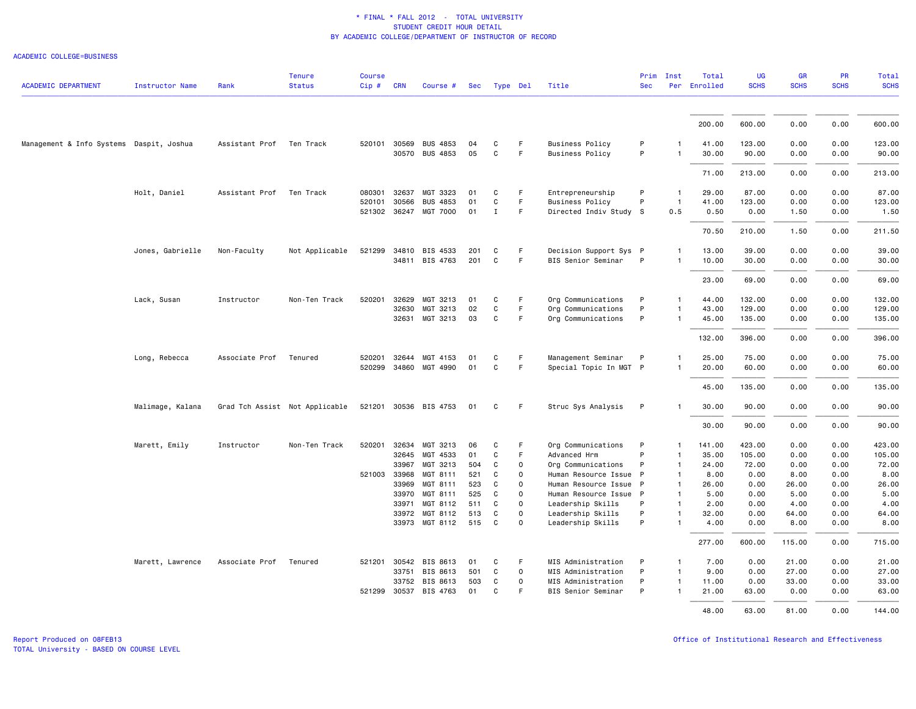## ACADEMIC COLLEGE=BUSINESS

| <b>ACADEMIC DEPARTMENT</b>               | <b>Instructor Name</b> | Rank                     | <b>Tenure</b><br><b>Status</b> | <b>Course</b><br>$Cip \#$ | <b>CRN</b>   | Course #              | Sec | Type Del     |             | Title                  | Prim<br><b>Sec</b> | Inst           | Total<br>Per Enrolled | <b>UG</b><br><b>SCHS</b> | <b>GR</b><br><b>SCHS</b> | PR<br><b>SCHS</b> | <b>Total</b><br><b>SCHS</b> |
|------------------------------------------|------------------------|--------------------------|--------------------------------|---------------------------|--------------|-----------------------|-----|--------------|-------------|------------------------|--------------------|----------------|-----------------------|--------------------------|--------------------------|-------------------|-----------------------------|
|                                          |                        |                          |                                |                           |              |                       |     |              |             |                        |                    |                |                       |                          |                          |                   |                             |
|                                          |                        |                          |                                |                           |              |                       |     |              |             |                        |                    |                | 200.00                | 600.00                   | 0.00                     | 0.00              | 600.00                      |
| Management & Info Systems Daspit, Joshua |                        | Assistant Prof Ten Track |                                |                           | 520101 30569 | <b>BUS 4853</b>       | 04  | C            | F.          | <b>Business Policy</b> | P                  | -1             | 41.00                 | 123.00                   | 0.00                     | 0.00              | 123.00                      |
|                                          |                        |                          |                                |                           | 30570        | <b>BUS 4853</b>       | 05  | C            | F.          | <b>Business Policy</b> | P                  | $\mathbf{1}$   | 30.00                 | 90.00                    | 0.00                     | 0.00              | 90.00                       |
|                                          |                        |                          |                                |                           |              |                       |     |              |             |                        |                    |                | 71.00                 | 213.00                   | 0.00                     | 0.00              | 213.00                      |
|                                          | Holt, Daniel           | Assistant Prof           | Ten Track                      | 080301                    | 32637        | MGT 3323              | 01  | C            | F           | Entrepreneurship       | P                  | $\mathbf{1}$   | 29.00                 | 87.00                    | 0.00                     | 0.00              | 87.00                       |
|                                          |                        |                          |                                | 520101                    | 30566        | <b>BUS 4853</b>       | 01  | $\mathtt{C}$ | F           | <b>Business Policy</b> | P                  | $\mathbf{1}$   | 41.00                 | 123.00                   | 0.00                     | 0.00              | 123.00                      |
|                                          |                        |                          |                                |                           |              | 521302 36247 MGT 7000 | 01  | $\mathbf I$  | F           | Directed Indiv Study S |                    | 0.5            | 0.50                  | 0.00                     | 1.50                     | 0.00              | 1.50                        |
|                                          |                        |                          |                                |                           |              |                       |     |              |             |                        |                    |                | 70.50                 | 210.00                   | 1.50                     | 0.00              | 211.50                      |
|                                          | Jones, Gabrielle       | Non-Faculty              | Not Applicable                 | 521299                    |              | 34810 BIS 4533        | 201 | C            | F.          | Decision Support Sys P |                    | -1             | 13.00                 | 39.00                    | 0.00                     | 0.00              | 39.00                       |
|                                          |                        |                          |                                |                           |              | 34811 BIS 4763        | 201 | C            | F           | BIS Senior Seminar     | P                  | $\mathbf{1}$   | 10.00                 | 30.00                    | 0.00                     | 0.00              | 30.00                       |
|                                          |                        |                          |                                |                           |              |                       |     |              |             |                        |                    |                | 23.00                 | 69.00                    | 0.00                     | 0.00              | 69.00                       |
|                                          | Lack, Susan            | Instructor               | Non-Ten Track                  | 520201                    | 32629        | MGT 3213              | 01  | C            | F           | Org Communications     | P                  | $\mathbf{1}$   | 44.00                 | 132.00                   | 0.00                     | 0.00              | 132.00                      |
|                                          |                        |                          |                                |                           | 32630        | MGT 3213              | 02  | C            | F           | Org Communications     | P                  |                | 43.00                 | 129.00                   | 0.00                     | 0.00              | 129.00                      |
|                                          |                        |                          |                                |                           |              | 32631 MGT 3213        | 03  | C            | F           | Org Communications     | P                  | $\mathbf{1}$   | 45.00                 | 135.00                   | 0.00                     | 0.00              | 135.00                      |
|                                          |                        |                          |                                |                           |              |                       |     |              |             |                        |                    |                | 132.00                | 396.00                   | 0.00                     | 0.00              | 396.00                      |
|                                          | Long, Rebecca          | Associate Prof           | Tenured                        | 520201                    | 32644        | MGT 4153              | 01  | C            | F           | Management Seminar     | P                  | $\mathbf{1}$   | 25.00                 | 75.00                    | 0.00                     | 0.00              | 75.00                       |
|                                          |                        |                          |                                | 520299                    |              | 34860 MGT 4990        | 01  | $\mathtt{C}$ | F.          | Special Topic In MGT P |                    |                | 20.00                 | 60.00                    | 0.00                     | 0.00              | 60.00                       |
|                                          |                        |                          |                                |                           |              |                       |     |              |             |                        |                    |                | 45.00                 | 135.00                   | 0.00                     | 0.00              | 135.00                      |
|                                          | Malimage, Kalana       |                          | Grad Tch Assist Not Applicable |                           |              | 521201 30536 BIS 4753 | 01  | C            | F.          | Struc Sys Analysis     | P                  | 1              | 30.00                 | 90.00                    | 0.00                     | 0.00              | 90.00                       |
|                                          |                        |                          |                                |                           |              |                       |     |              |             |                        |                    |                | 30.00                 | 90.00                    | 0.00                     | 0.00              | 90.00                       |
|                                          | Marett, Emily          | Instructor               | Non-Ten Track                  | 520201                    | 32634        | MGT 3213              | 06  | C            | F           | Org Communications     | P                  | $\mathbf{1}$   | 141.00                | 423.00                   | 0.00                     | 0.00              | 423.00                      |
|                                          |                        |                          |                                |                           | 32645        | MGT 4533              | 01  | C            | F.          | Advanced Hrm           | P                  | $\mathbf{1}$   | 35.00                 | 105.00                   | 0.00                     | 0.00              | 105.00                      |
|                                          |                        |                          |                                |                           | 33967        | MGT 3213              | 504 | C            | $\mathbf 0$ | Org Communications     | P                  | 1              | 24.00                 | 72.00                    | 0.00                     | 0.00              | 72.00                       |
|                                          |                        |                          |                                | 521003 33968              |              | MGT 8111              | 521 | C            | $\Omega$    | Human Resource Issue P |                    | $\overline{1}$ | 8.00                  | 0.00                     | 8.00                     | 0.00              | 8.00                        |
|                                          |                        |                          |                                |                           | 33969        | MGT 8111              | 523 | C            | $\Omega$    | Human Resource Issue P |                    | $\mathbf{1}$   | 26.00                 | 0.00                     | 26.00                    | 0.00              | 26.00                       |
|                                          |                        |                          |                                |                           | 33970        | MGT 8111              | 525 | C            | $\Omega$    | Human Resource Issue P |                    | 1              | 5.00                  | 0.00                     | 5.00                     | 0.00              | 5.00                        |
|                                          |                        |                          |                                |                           | 33971        | MGT 8112              | 511 | C            | $\mathbf 0$ | Leadership Skills      | P                  | $\mathbf{1}$   | 2.00                  | 0.00                     | 4.00                     | 0.00              | 4.00                        |
|                                          |                        |                          |                                |                           | 33972        | MGT 8112              | 513 | C            | $\circ$     | Leadership Skills      | P                  | $\mathbf{1}$   | 32.00                 | 0.00                     | 64.00                    | 0.00              | 64.00                       |
|                                          |                        |                          |                                |                           |              | 33973 MGT 8112        | 515 | C            | $\Omega$    | Leadership Skills      | P                  | $\mathbf{1}$   | 4.00                  | 0.00                     | 8.00                     | 0.00              | 8.00                        |
|                                          |                        |                          |                                |                           |              |                       |     |              |             |                        |                    |                | 277.00                | 600.00                   | 115.00                   | 0.00              | 715.00                      |
|                                          | Marett, Lawrence       | Associate Prof           | Tenured                        |                           |              | 521201 30542 BIS 8613 | 01  | C            | F           | MIS Administration     | P                  | $\mathbf{1}$   | 7.00                  | 0.00                     | 21.00                    | 0.00              | 21.00                       |
|                                          |                        |                          |                                |                           | 33751        | BIS 8613              | 501 | C            | $\mathbf 0$ | MIS Administration     | P                  | $\mathbf{1}$   | 9.00                  | 0.00                     | 27.00                    | 0.00              | 27.00                       |
|                                          |                        |                          |                                |                           | 33752        | BIS 8613              | 503 | C            | 0           | MIS Administration     | P                  | $\mathbf{1}$   | 11.00                 | 0.00                     | 33.00                    | 0.00              | 33.00                       |
|                                          |                        |                          |                                | 521299 30537              |              | BIS 4763              | 01  | C            | F           | BIS Senior Seminar     | P                  | $\mathbf{1}$   | 21.00                 | 63.00                    | 0.00                     | 0.00              | 63.00                       |
|                                          |                        |                          |                                |                           |              |                       |     |              |             |                        |                    |                | 48.00                 | 63.00                    | 81.00                    | 0.00              | 144.00                      |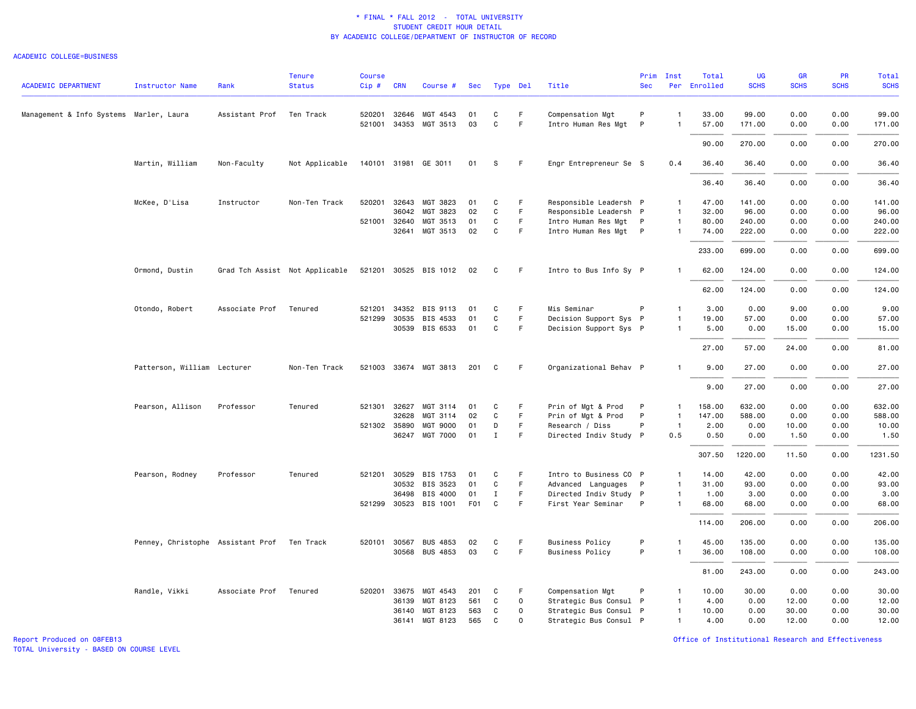#### ACADEMIC COLLEGE=BUSINESS

|                                         |                                   |                | <b>Tenure</b>                  | <b>Course</b> |              |                       |                  |              |             |                        | Prim         | Inst           | Total        | <b>UG</b>   | GR          | PR          | <b>Total</b> |
|-----------------------------------------|-----------------------------------|----------------|--------------------------------|---------------|--------------|-----------------------|------------------|--------------|-------------|------------------------|--------------|----------------|--------------|-------------|-------------|-------------|--------------|
| <b>ACADEMIC DEPARTMENT</b>              | <b>Instructor Name</b>            | Rank           | <b>Status</b>                  | $Cip$ #       | <b>CRN</b>   | Course #              | Sec              |              | Type Del    | Title                  | <b>Sec</b>   |                | Per Enrolled | <b>SCHS</b> | <b>SCHS</b> | <b>SCHS</b> | <b>SCHS</b>  |
| Management & Info Systems Marler, Laura |                                   | Assistant Prof | Ten Track                      |               | 520201 32646 | MGT 4543              | 01               | C            | F.          | Compensation Mgt       | P            | $\mathbf{1}$   | 33.00        | 99.00       | 0.00        | 0.00        | 99.00        |
|                                         |                                   |                |                                |               |              | 521001 34353 MGT 3513 | 03               | C            | F           | Intro Human Res Mgt    | $\mathsf{P}$ | $\mathbf{1}$   | 57.00        | 171.00      | 0.00        | 0.00        | 171.00       |
|                                         |                                   |                |                                |               |              |                       |                  |              |             |                        |              |                | 90.00        | 270.00      | 0.00        | 0.00        | 270.00       |
|                                         | Martin, William                   | Non-Faculty    | Not Applicable                 |               |              | 140101 31981 GE 3011  | 01               | S            | F.          | Engr Entrepreneur Se S |              | 0.4            | 36.40        | 36.40       | 0.00        | 0.00        | 36.40        |
|                                         |                                   |                |                                |               |              |                       |                  |              |             |                        |              |                | 36.40        | 36.40       | 0.00        | 0.00        | 36.40        |
|                                         | McKee, D'Lisa                     | Instructor     | Non-Ten Track                  | 520201        | 32643        | MGT 3823              | 01               | C            | F.          | Responsible Leadersh P |              | 1              | 47.00        | 141.00      | 0.00        | 0.00        | 141.00       |
|                                         |                                   |                |                                |               | 36042        | MGT 3823              | 02               | C            | F           | Responsible Leadersh P |              | $\mathbf{1}$   | 32.00        | 96.00       | 0.00        | 0.00        | 96.00        |
|                                         |                                   |                |                                | 521001 32640  |              | MGT 3513              | 01               | C            | F           | Intro Human Res Mgt P  |              | $\mathbf{1}$   | 80.00        | 240.00      | 0.00        | 0.00        | 240.00       |
|                                         |                                   |                |                                |               | 32641        | MGT 3513              | 02               | $\mathtt{C}$ | F           | Intro Human Res Mgt P  |              | $\mathbf{1}$   | 74.00        | 222.00      | 0.00        | 0.00        | 222.00       |
|                                         |                                   |                |                                |               |              |                       |                  |              |             |                        |              |                | 233.00       | 699.00      | 0.00        | 0.00        | 699.00       |
|                                         | Ormond, Dustin                    |                | Grad Tch Assist Not Applicable |               |              | 521201 30525 BIS 1012 | 02               | C            | F           | Intro to Bus Info Sy P |              | $\mathbf{1}$   | 62.00        | 124.00      | 0.00        | 0.00        | 124.00       |
|                                         |                                   |                |                                |               |              |                       |                  |              |             |                        |              |                | 62.00        | 124.00      | 0.00        | 0.00        | 124.00       |
|                                         | Otondo, Robert                    | Associate Prof | Tenured                        | 521201 34352  |              | BIS 9113              | 01               | C            | F           | Mis Seminar            | P            | $\mathbf{1}$   | 3.00         | 0.00        | 9.00        | 0.00        | 9.00         |
|                                         |                                   |                |                                |               |              | 521299 30535 BIS 4533 | 01               | C            | F           | Decision Support Sys P |              | $\mathbf{1}$   | 19.00        | 57.00       | 0.00        | 0.00        | 57.00        |
|                                         |                                   |                |                                |               |              | 30539 BIS 6533        | 01               | C            | F.          | Decision Support Sys P |              |                | 5.00         | 0.00        | 15.00       | 0.00        | 15.00        |
|                                         |                                   |                |                                |               |              |                       |                  |              |             |                        |              |                |              |             |             |             |              |
|                                         |                                   |                |                                |               |              |                       |                  |              |             |                        |              |                | 27.00        | 57.00       | 24.00       | 0.00        | 81.00        |
|                                         | Patterson, William Lecturer       |                | Non-Ten Track                  |               |              | 521003 33674 MGT 3813 | 201              | C            | F.          | Organizational Behav P |              | $\mathbf{1}$   | 9.00         | 27.00       | 0.00        | 0.00        | 27.00        |
|                                         |                                   |                |                                |               |              |                       |                  |              |             |                        |              |                | 9.00         | 27.00       | 0.00        | 0.00        | 27.00        |
|                                         | Pearson, Allison                  | Professor      | Tenured                        | 521301 32627  |              | MGT 3114              | 01               | C            | F.          | Prin of Mgt & Prod     | P            | $\mathbf{1}$   | 158.00       | 632.00      | 0.00        | 0.00        | 632.00       |
|                                         |                                   |                |                                |               | 32628        | MGT 3114              | 02               | C            | F.          | Prin of Mgt & Prod     | P            | $\overline{1}$ | 147.00       | 588.00      | 0.00        | 0.00        | 588.00       |
|                                         |                                   |                |                                | 521302 35890  |              | MGT 9000              | 01               | D            | F.          | Research / Diss        | P            | $\mathbf{1}$   | 2.00         | 0.00        | 10.00       | 0.00        | 10.00        |
|                                         |                                   |                |                                |               |              | 36247 MGT 7000        | 01               | $\mathbf I$  | F.          | Directed Indiv Study P |              | 0.5            | 0.50         | 0.00        | 1.50        | 0.00        | 1.50         |
|                                         |                                   |                |                                |               |              |                       |                  |              |             |                        |              |                | 307.50       | 1220.00     | 11.50       | 0.00        | 1231.50      |
|                                         | Pearson, Rodney                   | Professor      | Tenured                        | 521201 30529  |              | BIS 1753              | 01               | C            | F.          | Intro to Business CO P |              | $\mathbf{1}$   | 14.00        | 42.00       | 0.00        | 0.00        | 42.00        |
|                                         |                                   |                |                                |               | 30532        | BIS 3523              | 01               | C            | F           | Advanced Languages     | P            | $\mathbf{1}$   | 31.00        | 93.00       | 0.00        | 0.00        | 93.00        |
|                                         |                                   |                |                                |               | 36498        | BIS 4000              | 01               | Ι            | F.          | Directed Indiv Study P |              | $\mathbf{1}$   | 1.00         | 3.00        | 0.00        | 0.00        | 3.00         |
|                                         |                                   |                |                                |               |              | 521299 30523 BIS 1001 | F <sub>0</sub> 1 | C            | F.          | First Year Seminar     | P            | $\mathbf{1}$   | 68.00        | 68.00       | 0.00        | 0.00        | 68.00        |
|                                         |                                   |                |                                |               |              |                       |                  |              |             |                        |              |                | 114.00       | 206.00      | 0.00        | 0.00        | 206.00       |
|                                         | Penney, Christophe Assistant Prof |                | Ten Track                      |               |              | 520101 30567 BUS 4853 | 02               | C            | F           | <b>Business Policy</b> | P            | $\mathbf{1}$   | 45.00        | 135.00      | 0.00        | 0.00        | 135.00       |
|                                         |                                   |                |                                |               |              | 30568 BUS 4853        | 03               | C            | F.          | <b>Business Policy</b> | P            |                | 36.00        | 108.00      | 0.00        | 0.00        | 108.00       |
|                                         |                                   |                |                                |               |              |                       |                  |              |             |                        |              |                | 81.00        | 243.00      | 0.00        | 0.00        | 243.00       |
|                                         | Randle, Vikki                     | Associate Prof | Tenured                        |               | 520201 33675 | MGT 4543              | 201              | C            | F           | Compensation Mgt       | P            | $\mathbf{1}$   | 10.00        | 30.00       | 0.00        | 0.00        | 30.00        |
|                                         |                                   |                |                                |               | 36139        | MGT 8123              | 561              | C            | $\mathbf 0$ | Strategic Bus Consul P |              | $\mathbf{1}$   | 4.00         | 0.00        | 12.00       | 0.00        | 12.00        |
|                                         |                                   |                |                                |               |              | 36140 MGT 8123        | 563              | C            | $\Omega$    | Strategic Bus Consul P |              | $\overline{1}$ | 10.00        | 0.00        | 30.00       | 0.00        | 30.00        |
|                                         |                                   |                |                                |               | 36141        | MGT 8123              | 565              | C            | $\Omega$    | Strategic Bus Consul P |              | $\mathbf{1}$   | 4.00         | 0.00        | 12.00       | 0.00        | 12.00        |

Report Produced on 08FEB13 Office of Institutional Research and Effectiveness

TOTAL University - BASED ON COURSE LEVEL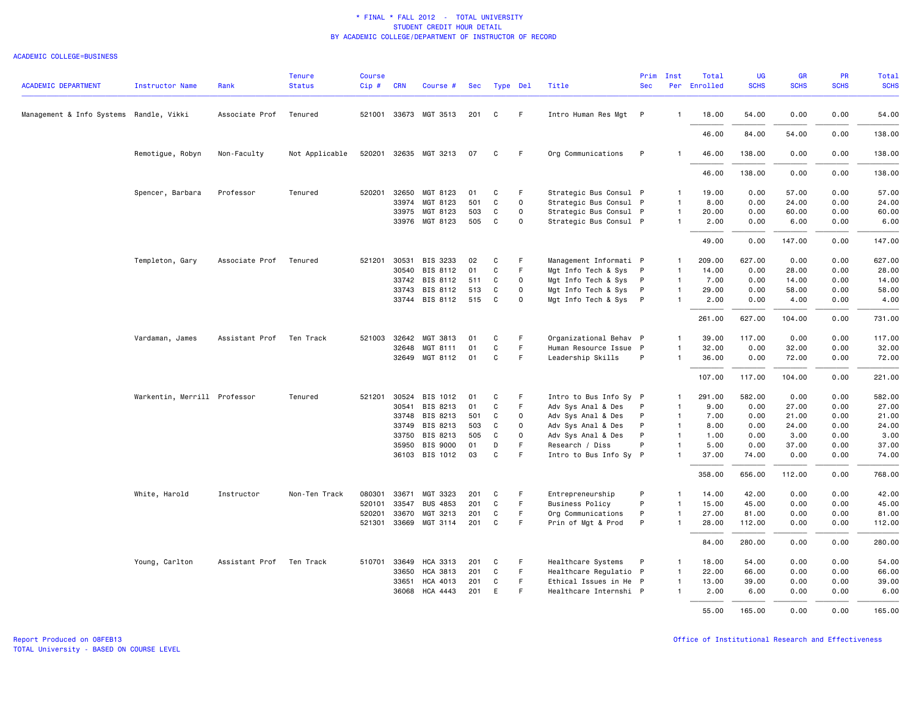#### ACADEMIC COLLEGE=BUSINESS

| <b>ACADEMIC DEPARTMENT</b>              | <b>Instructor Name</b>       | Rank           | <b>Tenure</b><br><b>Status</b> | <b>Course</b><br>$Cip \#$ | <b>CRN</b>   | Course #              | Sec |    | Type Del    | Title                  | Prim<br><b>Sec</b> | Inst           | Total<br>Per Enrolled | <b>UG</b><br><b>SCHS</b> | <b>GR</b><br><b>SCHS</b> | PR<br><b>SCHS</b> | <b>Total</b><br><b>SCHS</b> |
|-----------------------------------------|------------------------------|----------------|--------------------------------|---------------------------|--------------|-----------------------|-----|----|-------------|------------------------|--------------------|----------------|-----------------------|--------------------------|--------------------------|-------------------|-----------------------------|
|                                         |                              |                |                                |                           |              |                       |     |    |             |                        |                    |                |                       |                          |                          |                   |                             |
| Management & Info Systems Randle, Vikki |                              | Associate Prof | Tenured                        |                           |              | 521001 33673 MGT 3513 | 201 | C  | F.          | Intro Human Res Mgt P  |                    | $\mathbf{1}$   | 18.00                 | 54.00                    | 0.00                     | 0.00              | 54.00                       |
|                                         |                              |                |                                |                           |              |                       |     |    |             |                        |                    |                | 46.00                 | 84.00                    | 54.00                    | 0.00              | 138.00                      |
|                                         | Remotigue, Robyn             | Non-Faculty    | Not Applicable                 |                           |              | 520201 32635 MGT 3213 | 07  | C  | F           | Org Communications     | P                  | $\mathbf{1}$   | 46.00                 | 138.00                   | 0.00                     | 0.00              | 138.00                      |
|                                         |                              |                |                                |                           |              |                       |     |    |             |                        |                    |                | 46.00                 | 138.00                   | 0.00                     | 0.00              | 138.00                      |
|                                         | Spencer, Barbara             | Professor      | Tenured                        |                           | 520201 32650 | MGT 8123              | 01  | C  | F           | Strategic Bus Consul P |                    | 1              | 19.00                 | 0.00                     | 57.00                    | 0.00              | 57.00                       |
|                                         |                              |                |                                |                           | 33974        | MGT 8123              | 501 | C  | $\mathbf 0$ | Strategic Bus Consul P |                    | $\mathbf{1}$   | 8.00                  | 0.00                     | 24.00                    | 0.00              | 24.00                       |
|                                         |                              |                |                                |                           | 33975        | MGT 8123              | 503 | C  | $\Omega$    | Strategic Bus Consul P |                    | $\overline{1}$ | 20.00                 | 0.00                     | 60.00                    | 0.00              | 60.00                       |
|                                         |                              |                |                                |                           |              | 33976 MGT 8123        | 505 | C  | $\Omega$    | Strategic Bus Consul P |                    | $\mathbf{1}$   | 2.00                  | 0.00                     | 6.00                     | 0.00              | 6.00                        |
|                                         |                              |                |                                |                           |              |                       |     |    |             |                        |                    |                | 49.00                 | 0.00                     | 147.00                   | 0.00              | 147.00                      |
|                                         | Templeton, Gary              | Associate Prof | Tenured                        | 521201                    | 30531        | BIS 3233              | 02  | C  | F           | Management Informati P |                    | $\mathbf{1}$   | 209.00                | 627.00                   | 0.00                     | 0.00              | 627.00                      |
|                                         |                              |                |                                |                           | 30540        | BIS 8112              | 01  | C  | F           | Mgt Info Tech & Sys P  |                    | $\overline{1}$ | 14.00                 | 0.00                     | 28.00                    | 0.00              | 28.00                       |
|                                         |                              |                |                                |                           |              | 33742 BIS 8112        | 511 | C  | $\Omega$    | Mgt Info Tech & Sys    | $\mathsf{P}$       | $\mathbf{1}$   | 7.00                  | 0.00                     | 14.00                    | 0.00              | 14.00                       |
|                                         |                              |                |                                |                           | 33743        | BIS 8112              | 513 | C  | $\circ$     | Mgt Info Tech & Sys P  |                    | $\mathbf{1}$   | 29.00                 | 0.00                     | 58.00                    | 0.00              | 58.00                       |
|                                         |                              |                |                                |                           |              | 33744 BIS 8112        | 515 | C  | $\Omega$    | Mgt Info Tech & Sys P  |                    | $\mathbf{1}$   | 2.00                  | 0.00                     | 4.00                     | 0.00              | 4.00                        |
|                                         |                              |                |                                |                           |              |                       |     |    |             |                        |                    |                | 261.00                | 627.00                   | 104.00                   | 0.00              | 731.00                      |
|                                         | Vardaman, James              | Assistant Prof | Ten Track                      |                           | 521003 32642 | MGT 3813              | 01  | C  | F.          | Organizational Behav P |                    | $\mathbf{1}$   | 39.00                 | 117.00                   | 0.00                     | 0.00              | 117.00                      |
|                                         |                              |                |                                |                           | 32648        | MGT 8111              | 01  | C  | F.          | Human Resource Issue P |                    | $\mathbf{1}$   | 32.00                 | 0.00                     | 32.00                    | 0.00              | 32.00                       |
|                                         |                              |                |                                |                           | 32649        | MGT 8112              | 01  | C  | F           | Leadership Skills      | P                  | $\mathbf{1}$   | 36.00                 | 0.00                     | 72.00                    | 0.00              | 72.00                       |
|                                         |                              |                |                                |                           |              |                       |     |    |             |                        |                    |                | 107.00                | 117.00                   | 104.00                   | 0.00              | 221.00                      |
|                                         | Warkentin, Merrill Professor |                | Tenured                        |                           | 521201 30524 | BIS 1012              | 01  | C  | F           | Intro to Bus Info Sy P |                    | $\mathbf{1}$   | 291.00                | 582.00                   | 0.00                     | 0.00              | 582.00                      |
|                                         |                              |                |                                |                           | 30541        | BIS 8213              | 01  | C  | F.          | Adv Sys Anal & Des     | P                  | $\mathbf{1}$   | 9.00                  | 0.00                     | 27.00                    | 0.00              | 27.00                       |
|                                         |                              |                |                                |                           | 33748        | BIS 8213              | 501 | C  | $\circ$     | Adv Sys Anal & Des     | P                  | $\overline{1}$ | 7.00                  | 0.00                     | 21.00                    | 0.00              | 21.00                       |
|                                         |                              |                |                                |                           | 33749        | BIS 8213              | 503 | C  | $\Omega$    | Adv Sys Anal & Des     | P                  | $\mathbf{1}$   | 8.00                  | 0.00                     | 24.00                    | 0.00              | 24.00                       |
|                                         |                              |                |                                |                           | 33750        | BIS 8213              | 505 | C  | $\Omega$    | Adv Sys Anal & Des     | P                  | $\mathbf{1}$   | 1.00                  | 0.00                     | 3.00                     | 0.00              | 3.00                        |
|                                         |                              |                |                                |                           | 35950        | BIS 9000              | 01  | D  | F           | Research / Diss        | P                  | $\mathbf{1}$   | 5.00                  | 0.00                     | 37.00                    | 0.00              | 37.00                       |
|                                         |                              |                |                                |                           |              | 36103 BIS 1012        | 03  | C  | F           | Intro to Bus Info Sy P |                    | $\mathbf{1}$   | 37.00                 | 74.00                    | 0.00                     | 0.00              | 74.00                       |
|                                         |                              |                |                                |                           |              |                       |     |    |             |                        |                    |                | 358.00                | 656.00                   | 112.00                   | 0.00              | 768.00                      |
|                                         | White, Harold                | Instructor     | Non-Ten Track                  | 080301                    | 33671        | MGT 3323              | 201 | C  | F           | Entrepreneurship       | P                  | $\mathbf{1}$   | 14.00                 | 42.00                    | 0.00                     | 0.00              | 42.00                       |
|                                         |                              |                |                                | 520101                    | 33547        | <b>BUS 4853</b>       | 201 | C  | F.          | <b>Business Policy</b> | P                  | $\mathbf{1}$   | 15.00                 | 45.00                    | 0.00                     | 0.00              | 45.00                       |
|                                         |                              |                |                                |                           | 520201 33670 | MGT 3213              | 201 | C  | F           | Org Communications     | P                  | $\mathbf{1}$   | 27.00                 | 81.00                    | 0.00                     | 0.00              | 81.00                       |
|                                         |                              |                |                                |                           |              | 521301 33669 MGT 3114 | 201 | C. | F.          | Prin of Mgt & Prod     | P                  | $\mathbf{1}$   | 28.00                 | 112.00                   | 0.00                     | 0.00              | 112.00                      |
|                                         |                              |                |                                |                           |              |                       |     |    |             |                        |                    |                | 84.00                 | 280.00                   | 0.00                     | 0.00              | 280.00                      |
|                                         | Young, Carlton               | Assistant Prof | Ten Track                      |                           | 510701 33649 | <b>HCA 3313</b>       | 201 | C  | F.          | Healthcare Systems     | P                  | $\mathbf{1}$   | 18.00                 | 54.00                    | 0.00                     | 0.00              | 54.00                       |
|                                         |                              |                |                                |                           | 33650        | HCA 3813              | 201 | C  | F.          | Healthcare Regulatio P |                    | $\mathbf{1}$   | 22.00                 | 66.00                    | 0.00                     | 0.00              | 66.00                       |
|                                         |                              |                |                                |                           | 33651        | HCA 4013              | 201 | C  | F.          | Ethical Issues in He P |                    | $\mathbf{1}$   | 13.00                 | 39.00                    | 0.00                     | 0.00              | 39.00                       |
|                                         |                              |                |                                |                           | 36068        | HCA 4443              | 201 | E  | F           | Healthcare Internshi P |                    | $\mathbf{1}$   | 2.00                  | 6.00                     | 0.00                     | 0.00              | 6.00                        |
|                                         |                              |                |                                |                           |              |                       |     |    |             |                        |                    |                | 55.00                 | 165.00                   | 0.00                     | 0.00              | 165.00                      |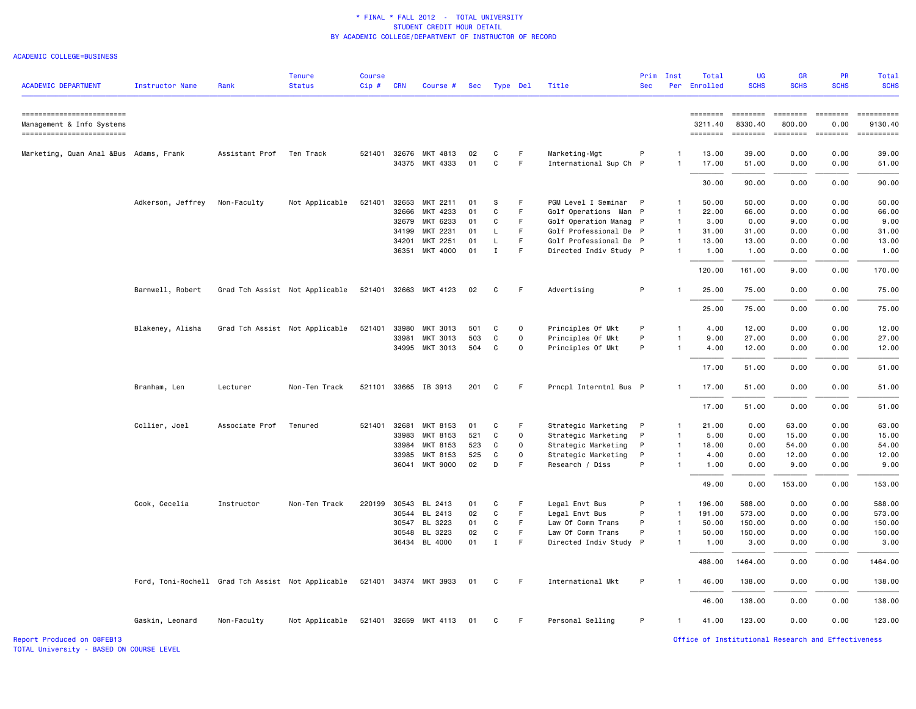### ACADEMIC COLLEGE=BUSINESS

| <b>ACADEMIC DEPARTMENT</b>                                                         | Instructor Name                                   | Rank           | <b>Tenure</b><br><b>Status</b> | <b>Course</b><br>Cip# | <b>CRN</b> | Course #                                | Sec      |              | Type Del    | Title                                      | Prim<br><b>Sec</b> | Inst<br>Per    | Total<br>Enrolled               | <b>UG</b><br><b>SCHS</b>                                                                                                                                                                                                                                                                                                                                                                                                                                                                                      | GR<br><b>SCHS</b>                                                                                                                                          | PR<br><b>SCHS</b>            | <b>Total</b><br><b>SCHS</b>                                                                                                                                                                                                                                                                                                                                                                                                                                                                       |
|------------------------------------------------------------------------------------|---------------------------------------------------|----------------|--------------------------------|-----------------------|------------|-----------------------------------------|----------|--------------|-------------|--------------------------------------------|--------------------|----------------|---------------------------------|---------------------------------------------------------------------------------------------------------------------------------------------------------------------------------------------------------------------------------------------------------------------------------------------------------------------------------------------------------------------------------------------------------------------------------------------------------------------------------------------------------------|------------------------------------------------------------------------------------------------------------------------------------------------------------|------------------------------|---------------------------------------------------------------------------------------------------------------------------------------------------------------------------------------------------------------------------------------------------------------------------------------------------------------------------------------------------------------------------------------------------------------------------------------------------------------------------------------------------|
|                                                                                    |                                                   |                |                                |                       |            |                                         |          |              |             |                                            |                    |                |                                 |                                                                                                                                                                                                                                                                                                                                                                                                                                                                                                               |                                                                                                                                                            |                              |                                                                                                                                                                                                                                                                                                                                                                                                                                                                                                   |
| ------------------------<br>Management & Info Systems<br>========================= |                                                   |                |                                |                       |            |                                         |          |              |             |                                            |                    |                | ========<br>3211.40<br>======== | $\begin{array}{cccccccccc} \multicolumn{2}{c}{} & \multicolumn{2}{c}{} & \multicolumn{2}{c}{} & \multicolumn{2}{c}{} & \multicolumn{2}{c}{} & \multicolumn{2}{c}{} & \multicolumn{2}{c}{} & \multicolumn{2}{c}{} & \multicolumn{2}{c}{} & \multicolumn{2}{c}{} & \multicolumn{2}{c}{} & \multicolumn{2}{c}{} & \multicolumn{2}{c}{} & \multicolumn{2}{c}{} & \multicolumn{2}{c}{} & \multicolumn{2}{c}{} & \multicolumn{2}{c}{} & \multicolumn{2}{c}{} & \multicolumn{2}{c}{} & \mult$<br>8330.40<br>======== | $\qquad \qquad \blacksquare \blacksquare \blacksquare \blacksquare \blacksquare \blacksquare \blacksquare \blacksquare \blacksquare$<br>800.00<br>======== | ESSESSEE<br>0.00<br>======== | $\begin{minipage}{0.9\linewidth} \hspace*{-0.2cm} \textbf{if the number of } \textit{if} \textit{if} \textit{if} \textit{if} \textit{if} \textit{if} \textit{if} \textit{if} \textit{if} \textit{if} \textit{if} \textit{if} \textit{if} \textit{if} \textit{if} \textit{if} \textit{if} \textit{if} \textit{if} \textit{if} \textit{if} \textit{if} \textit{if} \textit{if} \textit{if} \textit{if} \textit{if} \textit{if} \textit{if} \textit{if} \textit{if} \text$<br>9130.40<br>-========== |
| Marketing, Quan Anal &Bus Adams, Frank                                             |                                                   | Assistant Prof | Ten Track                      |                       |            | 521401 32676 MKT 4813<br>34375 MKT 4333 | 02<br>01 | C<br>C       | F<br>F      | Marketing-Mgt<br>International Sup Ch P    | P                  | 1<br>1         | 13.00<br>17.00                  | 39.00<br>51.00                                                                                                                                                                                                                                                                                                                                                                                                                                                                                                | 0.00<br>0.00                                                                                                                                               | 0.00<br>0.00                 | 39.00<br>51.00                                                                                                                                                                                                                                                                                                                                                                                                                                                                                    |
|                                                                                    |                                                   |                |                                |                       |            |                                         |          |              |             |                                            |                    |                | 30.00                           | 90.00                                                                                                                                                                                                                                                                                                                                                                                                                                                                                                         | 0.00                                                                                                                                                       | 0.00                         | 90.00                                                                                                                                                                                                                                                                                                                                                                                                                                                                                             |
|                                                                                    | Adkerson, Jeffrey                                 | Non-Faculty    | Not Applicable                 | 521401                | 32653      | MKT 2211                                | 01       | S            | F           | PGM Level I Seminar P                      |                    | 1              | 50.00                           | 50.00                                                                                                                                                                                                                                                                                                                                                                                                                                                                                                         | 0.00                                                                                                                                                       | 0.00                         | 50.00                                                                                                                                                                                                                                                                                                                                                                                                                                                                                             |
|                                                                                    |                                                   |                |                                |                       | 32666      | MKT 4233                                | 01       | C            | F           | Golf Operations Man P                      |                    | $\mathbf{1}$   | 22.00                           | 66.00                                                                                                                                                                                                                                                                                                                                                                                                                                                                                                         | 0.00                                                                                                                                                       | 0.00                         | 66.00                                                                                                                                                                                                                                                                                                                                                                                                                                                                                             |
|                                                                                    |                                                   |                |                                |                       | 32679      | MKT 6233                                | 01       | C            | F           | Golf Operation Manag P                     |                    | $\overline{1}$ | 3.00                            | 0.00                                                                                                                                                                                                                                                                                                                                                                                                                                                                                                          | 9.00                                                                                                                                                       | 0.00                         | 9.00                                                                                                                                                                                                                                                                                                                                                                                                                                                                                              |
|                                                                                    |                                                   |                |                                |                       | 34199      | MKT 2231                                | 01       | L            | F.          | Golf Professional De P                     |                    | $\overline{1}$ | 31.00                           | 31.00                                                                                                                                                                                                                                                                                                                                                                                                                                                                                                         | 0.00                                                                                                                                                       | 0.00                         | 31.00                                                                                                                                                                                                                                                                                                                                                                                                                                                                                             |
|                                                                                    |                                                   |                |                                |                       | 34201      | MKT 2251                                | 01       | L            | F.          | Golf Professional De P                     |                    | $\mathbf{1}$   | 13.00                           | 13.00                                                                                                                                                                                                                                                                                                                                                                                                                                                                                                         | 0.00                                                                                                                                                       | 0.00                         | 13.00                                                                                                                                                                                                                                                                                                                                                                                                                                                                                             |
|                                                                                    |                                                   |                |                                |                       | 36351      | MKT 4000                                | 01       | $\mathbf{I}$ | F           | Directed Indiv Study P                     |                    | $\mathbf{1}$   | 1.00                            | 1.00                                                                                                                                                                                                                                                                                                                                                                                                                                                                                                          | 0.00                                                                                                                                                       | 0.00                         | 1.00                                                                                                                                                                                                                                                                                                                                                                                                                                                                                              |
|                                                                                    |                                                   |                |                                |                       |            |                                         |          |              |             |                                            |                    |                | 120.00                          | 161.00                                                                                                                                                                                                                                                                                                                                                                                                                                                                                                        | 9.00                                                                                                                                                       | 0.00                         | 170.00                                                                                                                                                                                                                                                                                                                                                                                                                                                                                            |
|                                                                                    | Barnwell, Robert                                  |                | Grad Tch Assist Not Applicable |                       |            | 521401 32663 MKT 4123                   | 02       | C            | F           | Advertising                                | P                  | -1             | 25.00                           | 75.00                                                                                                                                                                                                                                                                                                                                                                                                                                                                                                         | 0.00                                                                                                                                                       | 0.00                         | 75.00                                                                                                                                                                                                                                                                                                                                                                                                                                                                                             |
|                                                                                    |                                                   |                |                                |                       |            |                                         |          |              |             |                                            |                    |                | 25.00                           | 75.00                                                                                                                                                                                                                                                                                                                                                                                                                                                                                                         | 0.00                                                                                                                                                       | 0.00                         | 75.00                                                                                                                                                                                                                                                                                                                                                                                                                                                                                             |
|                                                                                    |                                                   |                |                                |                       |            |                                         |          |              |             |                                            |                    |                |                                 |                                                                                                                                                                                                                                                                                                                                                                                                                                                                                                               |                                                                                                                                                            |                              |                                                                                                                                                                                                                                                                                                                                                                                                                                                                                                   |
|                                                                                    | Blakeney, Alisha                                  |                | Grad Tch Assist Not Applicable | 521401                | 33980      | MKT 3013                                | 501      | C            | 0           | Principles Of Mkt                          | P                  | $\mathbf{1}$   | 4.00                            | 12.00                                                                                                                                                                                                                                                                                                                                                                                                                                                                                                         | 0.00                                                                                                                                                       | 0.00                         | 12.00                                                                                                                                                                                                                                                                                                                                                                                                                                                                                             |
|                                                                                    |                                                   |                |                                |                       | 33981      | MKT 3013                                | 503      | C            | $\mathbf 0$ | Principles Of Mkt                          | P                  | 1              | 9.00                            | 27.00                                                                                                                                                                                                                                                                                                                                                                                                                                                                                                         | 0.00                                                                                                                                                       | 0.00                         | 27.00                                                                                                                                                                                                                                                                                                                                                                                                                                                                                             |
|                                                                                    |                                                   |                |                                |                       |            | 34995 MKT 3013                          | 504      | C            | $\mathbf 0$ | Principles Of Mkt                          | P                  | $\mathbf{1}$   | 4.00                            | 12.00                                                                                                                                                                                                                                                                                                                                                                                                                                                                                                         | 0.00                                                                                                                                                       | 0.00                         | 12.00                                                                                                                                                                                                                                                                                                                                                                                                                                                                                             |
|                                                                                    |                                                   |                |                                |                       |            |                                         |          |              |             |                                            |                    |                | 17.00                           | 51.00                                                                                                                                                                                                                                                                                                                                                                                                                                                                                                         | 0.00                                                                                                                                                       | 0.00                         | 51.00                                                                                                                                                                                                                                                                                                                                                                                                                                                                                             |
|                                                                                    | Branham, Len                                      | Lecturer       | Non-Ten Track                  |                       |            | 521101 33665 IB 3913                    | 201      | C            | F.          | Prncpl Interntnl Bus P                     |                    | -1             | 17.00                           | 51.00                                                                                                                                                                                                                                                                                                                                                                                                                                                                                                         | 0.00                                                                                                                                                       | 0.00                         | 51.00                                                                                                                                                                                                                                                                                                                                                                                                                                                                                             |
|                                                                                    |                                                   |                |                                |                       |            |                                         |          |              |             |                                            |                    |                | 17.00                           | 51.00                                                                                                                                                                                                                                                                                                                                                                                                                                                                                                         | 0.00                                                                                                                                                       | 0.00                         | 51.00                                                                                                                                                                                                                                                                                                                                                                                                                                                                                             |
|                                                                                    | Collier, Joel                                     | Associate Prof | Tenured                        | 521401                | 32681      | MKT 8153                                | 01       | C            | F           | Strategic Marketing                        | P                  | -1             | 21.00                           | 0.00                                                                                                                                                                                                                                                                                                                                                                                                                                                                                                          | 63.00                                                                                                                                                      | 0.00                         | 63.00                                                                                                                                                                                                                                                                                                                                                                                                                                                                                             |
|                                                                                    |                                                   |                |                                |                       | 33983      | MKT 8153                                | 521      | C            | 0           | Strategic Marketing                        | P                  | 1              | 5.00                            | 0.00                                                                                                                                                                                                                                                                                                                                                                                                                                                                                                          | 15.00                                                                                                                                                      | 0.00                         | 15.00                                                                                                                                                                                                                                                                                                                                                                                                                                                                                             |
|                                                                                    |                                                   |                |                                |                       | 33984      | MKT 8153                                | 523      | C            | 0           |                                            | P                  | $\mathbf{1}$   | 18.00                           | 0.00                                                                                                                                                                                                                                                                                                                                                                                                                                                                                                          | 54.00                                                                                                                                                      | 0.00                         | 54.00                                                                                                                                                                                                                                                                                                                                                                                                                                                                                             |
|                                                                                    |                                                   |                |                                |                       | 33985      | MKT 8153                                | 525      | C            | $\Omega$    | Strategic Marketing<br>Strategic Marketing | P                  | $\mathbf{1}$   | 4.00                            | 0.00                                                                                                                                                                                                                                                                                                                                                                                                                                                                                                          | 12.00                                                                                                                                                      | 0.00                         | 12.00                                                                                                                                                                                                                                                                                                                                                                                                                                                                                             |
|                                                                                    |                                                   |                |                                |                       |            | 36041 MKT 9000                          | 02       | D            | F           | Research / Diss                            | P                  | $\mathbf{1}$   | 1.00                            | 0.00                                                                                                                                                                                                                                                                                                                                                                                                                                                                                                          | 9.00                                                                                                                                                       | 0.00                         | 9.00                                                                                                                                                                                                                                                                                                                                                                                                                                                                                              |
|                                                                                    |                                                   |                |                                |                       |            |                                         |          |              |             |                                            |                    |                | 49.00                           | 0.00                                                                                                                                                                                                                                                                                                                                                                                                                                                                                                          | 153.00                                                                                                                                                     | 0.00                         | 153.00                                                                                                                                                                                                                                                                                                                                                                                                                                                                                            |
|                                                                                    | Cook, Cecelia                                     | Instructor     | Non-Ten Track                  | 220199                | 30543      | BL 2413                                 | 01       | C            | F           | Legal Envt Bus                             | P                  | $\mathbf{1}$   | 196.00                          | 588.00                                                                                                                                                                                                                                                                                                                                                                                                                                                                                                        | 0.00                                                                                                                                                       | 0.00                         | 588.00                                                                                                                                                                                                                                                                                                                                                                                                                                                                                            |
|                                                                                    |                                                   |                |                                |                       |            | 30544 BL 2413                           | 02       | C            | F           | Legal Envt Bus                             | P                  | $\mathbf{1}$   | 191.00                          | 573.00                                                                                                                                                                                                                                                                                                                                                                                                                                                                                                        | 0.00                                                                                                                                                       | 0.00                         | 573.00                                                                                                                                                                                                                                                                                                                                                                                                                                                                                            |
|                                                                                    |                                                   |                |                                |                       | 30547      | BL 3223                                 | 01       | C            | F.          | Law Of Comm Trans                          | P                  | 1              | 50.00                           | 150.00                                                                                                                                                                                                                                                                                                                                                                                                                                                                                                        | 0.00                                                                                                                                                       | 0.00                         | 150.00                                                                                                                                                                                                                                                                                                                                                                                                                                                                                            |
|                                                                                    |                                                   |                |                                |                       | 30548      | BL 3223                                 | 02       | C            | F           | Law Of Comm Trans                          | P                  | $\mathbf{1}$   | 50.00                           | 150.00                                                                                                                                                                                                                                                                                                                                                                                                                                                                                                        | 0.00                                                                                                                                                       | 0.00                         | 150.00                                                                                                                                                                                                                                                                                                                                                                                                                                                                                            |
|                                                                                    |                                                   |                |                                |                       |            |                                         |          |              |             |                                            |                    |                |                                 |                                                                                                                                                                                                                                                                                                                                                                                                                                                                                                               |                                                                                                                                                            |                              |                                                                                                                                                                                                                                                                                                                                                                                                                                                                                                   |
|                                                                                    |                                                   |                |                                |                       |            | 36434 BL 4000                           | 01       | $\mathbf{I}$ | F           | Directed Indiv Study P                     |                    | $\mathbf{1}$   | 1.00                            | 3.00                                                                                                                                                                                                                                                                                                                                                                                                                                                                                                          | 0.00                                                                                                                                                       | 0.00                         | 3.00                                                                                                                                                                                                                                                                                                                                                                                                                                                                                              |
|                                                                                    |                                                   |                |                                |                       |            |                                         |          |              |             |                                            |                    |                | 488.00                          | 1464.00                                                                                                                                                                                                                                                                                                                                                                                                                                                                                                       | 0.00                                                                                                                                                       | 0.00                         | 1464.00                                                                                                                                                                                                                                                                                                                                                                                                                                                                                           |
|                                                                                    | Ford, Toni-Rochell Grad Tch Assist Not Applicable |                |                                |                       |            | 521401 34374 MKT 3933                   | 01       | C            | F.          | International Mkt                          | P                  | $\mathbf{1}$   | 46.00                           | 138.00                                                                                                                                                                                                                                                                                                                                                                                                                                                                                                        | 0.00                                                                                                                                                       | 0.00                         | 138.00                                                                                                                                                                                                                                                                                                                                                                                                                                                                                            |
|                                                                                    |                                                   |                |                                |                       |            |                                         |          |              |             |                                            |                    |                | 46.00                           | 138.00                                                                                                                                                                                                                                                                                                                                                                                                                                                                                                        | 0.00                                                                                                                                                       | 0.00                         | 138.00                                                                                                                                                                                                                                                                                                                                                                                                                                                                                            |
|                                                                                    | Gaskin, Leonard                                   | Non-Faculty    | Not Applicable                 |                       |            | 521401 32659 MKT 4113                   | 01       | C            | F.          | Personal Selling                           | P                  | $\mathbf{1}$   | 41.00                           | 123.00                                                                                                                                                                                                                                                                                                                                                                                                                                                                                                        | 0.00                                                                                                                                                       | 0.00                         | 123.00                                                                                                                                                                                                                                                                                                                                                                                                                                                                                            |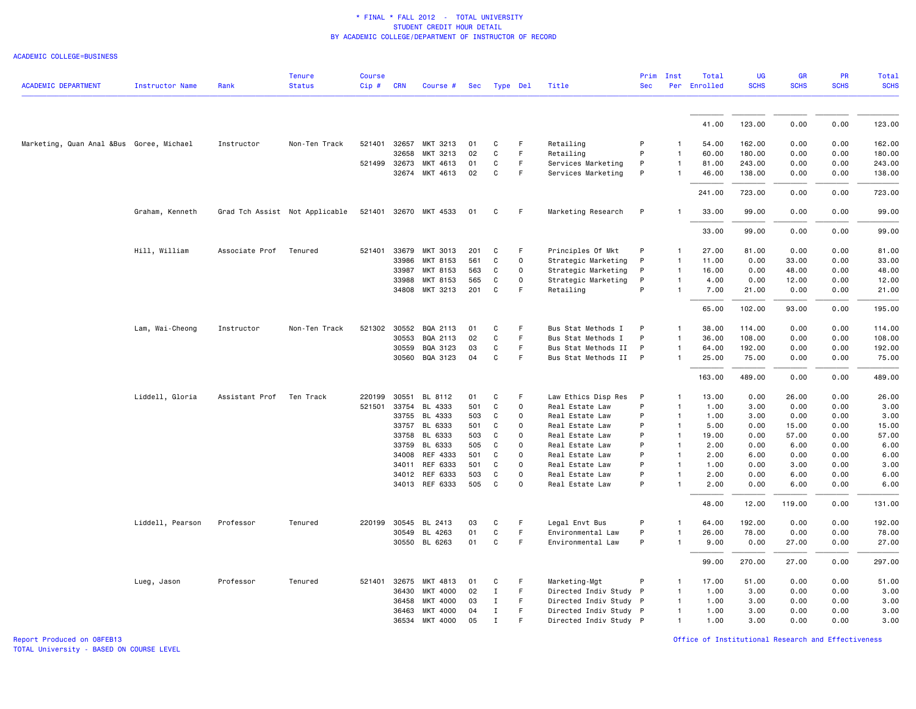ACADEMIC COLLEGE=BUSINESS

| <b>ACADEMIC DEPARTMENT</b>               | <b>Instructor Name</b> | Rank           | <b>Tenure</b><br><b>Status</b> | <b>Course</b><br>$Cip$ # | <b>CRN</b> | Course #              |     | Sec Type Del |                     | Title                  | Prim<br><b>Sec</b> | Inst           | Total<br>Per Enrolled | <b>UG</b><br><b>SCHS</b> | <b>GR</b><br><b>SCHS</b> | <b>PR</b><br><b>SCHS</b> | Total<br><b>SCHS</b> |
|------------------------------------------|------------------------|----------------|--------------------------------|--------------------------|------------|-----------------------|-----|--------------|---------------------|------------------------|--------------------|----------------|-----------------------|--------------------------|--------------------------|--------------------------|----------------------|
|                                          |                        |                |                                |                          |            |                       |     |              |                     |                        |                    |                |                       |                          |                          |                          |                      |
|                                          |                        |                |                                |                          |            |                       |     |              |                     |                        |                    |                | 41.00                 | 123.00                   | 0.00                     | 0.00                     | 123.00               |
| Marketing, Quan Anal &Bus Goree, Michael |                        | Instructor     | Non-Ten Track                  | 521401                   | 32657      | MKT 3213              | 01  | C            | F                   | Retailing              | P                  |                | 54.00                 | 162.00                   | 0.00                     | 0.00                     | 162.00               |
|                                          |                        |                |                                |                          | 32658      | MKT 3213              | 02  | C            | F.                  | Retailing              | P                  |                | 60.00                 | 180.00                   | 0.00                     | 0.00                     | 180.00               |
|                                          |                        |                |                                | 521499                   | 32673      | MKT 4613              | 01  | C            | F                   | Services Marketing     | P                  | $\mathbf{1}$   | 81.00                 | 243.00                   | 0.00                     | 0.00                     | 243.00               |
|                                          |                        |                |                                |                          |            | 32674 MKT 4613        | 02  | C            | F.                  | Services Marketing     | P                  |                | 46.00                 | 138.00                   | 0.00                     | 0.00                     | 138.00               |
|                                          |                        |                |                                |                          |            |                       |     |              |                     |                        |                    |                | 241.00                | 723.00                   | 0.00                     | 0.00                     | 723.00               |
|                                          | Graham, Kenneth        |                | Grad Tch Assist Not Applicable |                          |            | 521401 32670 MKT 4533 | 01  | C            | F                   | Marketing Research     | P                  |                | 33.00                 | 99.00                    | 0.00                     | 0.00                     | 99.00                |
|                                          |                        |                |                                |                          |            |                       |     |              |                     |                        |                    |                | 33.00                 | 99.00                    | 0.00                     | 0.00                     | 99.00                |
|                                          | Hill, William          | Associate Prof | Tenured                        | 521401                   | 33679      | MKT 3013              | 201 | C            | F                   | Principles Of Mkt      | P                  |                | 27.00                 | 81.00                    | 0.00                     | 0.00                     | 81.00                |
|                                          |                        |                |                                |                          | 33986      | MKT 8153              | 561 | C            | 0                   | Strategic Marketing    | P                  | $\mathbf{1}$   | 11.00                 | 0.00                     | 33.00                    | 0.00                     | 33.00                |
|                                          |                        |                |                                |                          | 33987      | MKT 8153              | 563 | C            | $\mathsf{O}\xspace$ | Strategic Marketing    | P                  |                | 16.00                 | 0.00                     | 48.00                    | 0.00                     | 48.00                |
|                                          |                        |                |                                |                          | 33988      | MKT 8153              | 565 | C            | $\mathsf{O}\xspace$ | Strategic Marketing    | P                  |                | 4.00                  | 0.00                     | 12.00                    | 0.00                     | 12.00                |
|                                          |                        |                |                                |                          | 34808      | MKT 3213              | 201 | C            | F                   | Retailing              | P                  |                | 7.00                  | 21.00                    | 0.00                     | 0.00                     | 21.00                |
|                                          |                        |                |                                |                          |            |                       |     |              |                     |                        |                    |                | 65.00                 | 102.00                   | 93.00                    | 0.00                     | 195.00               |
|                                          | Lam, Wai-Cheong        | Instructor     | Non-Ten Track                  | 521302                   | 30552      | BQA 2113              | 01  | C            | F                   | Bus Stat Methods I     | P                  |                | 38.00                 | 114.00                   | 0.00                     | 0.00                     | 114.00               |
|                                          |                        |                |                                |                          | 30553      | BQA 2113              | 02  | C            | F                   | Bus Stat Methods I     | P                  |                | 36.00                 | 108.00                   | 0.00                     | 0.00                     | 108.00               |
|                                          |                        |                |                                |                          | 30559      | BQA 3123              | 03  | C            | F.                  | Bus Stat Methods II    | P                  | $\mathbf{1}$   | 64.00                 | 192.00                   | 0.00                     | 0.00                     | 192.00               |
|                                          |                        |                |                                |                          | 30560      | BQA 3123              | 04  | C            | F.                  | Bus Stat Methods II    | $\mathsf{P}$       | $\mathbf{1}$   | 25.00                 | 75.00                    | 0.00                     | 0.00                     | 75.00                |
|                                          |                        |                |                                |                          |            |                       |     |              |                     |                        |                    |                | 163.00                | 489.00                   | 0.00                     | 0.00                     | 489.00               |
|                                          | Liddell, Gloria        | Assistant Prof | Ten Track                      | 220199                   | 30551      | BL 8112               | 01  | $\mathbf{C}$ | F                   | Law Ethics Disp Res    | P                  |                | 13.00                 | 0.00                     | 26.00                    | 0.00                     | 26.00                |
|                                          |                        |                |                                | 521501                   | 33754      | BL 4333               | 501 | C            | 0                   | Real Estate Law        | P                  |                | 1.00                  | 3.00                     | 0.00                     | 0.00                     | 3.00                 |
|                                          |                        |                |                                |                          | 33755      | BL 4333               | 503 | C            | 0                   | Real Estate Law        | P                  |                | 1.00                  | 3.00                     | 0.00                     | 0.00                     | 3.00                 |
|                                          |                        |                |                                |                          | 33757      | BL 6333               | 501 | C            | 0                   | Real Estate Law        | P                  |                | 5.00                  | 0.00                     | 15.00                    | 0.00                     | 15.00                |
|                                          |                        |                |                                |                          | 33758      | BL 6333               | 503 | C            | 0                   | Real Estate Law        | P                  | $\mathbf{1}$   | 19.00                 | 0.00                     | 57.00                    | 0.00                     | 57.00                |
|                                          |                        |                |                                |                          | 33759      | BL 6333               | 505 | C            | 0                   | Real Estate Law        | P                  | $\mathbf{1}$   | 2.00                  | 0.00                     | 6.00                     | 0.00                     | 6.00                 |
|                                          |                        |                |                                |                          | 34008      | REF 4333              | 501 | C            | 0                   | Real Estate Law        | P                  |                | 2.00                  | 6.00                     | 0.00                     | 0.00                     | 6.00                 |
|                                          |                        |                |                                |                          | 34011      | REF 6333              | 501 | C            | 0                   | Real Estate Law        | P                  |                | 1.00                  | 0.00                     | 3.00                     | 0.00                     | 3.00                 |
|                                          |                        |                |                                |                          | 34012      | REF 6333              | 503 | C            | $\mathsf{O}\xspace$ | Real Estate Law        | P                  | -1             | 2.00                  | 0.00                     | 6.00                     | 0.00                     | 6.00                 |
|                                          |                        |                |                                |                          |            | 34013 REF 6333        | 505 | C            | 0                   | Real Estate Law        | P                  |                | 2.00                  | 0.00                     | 6.00                     | 0.00                     | 6.00                 |
|                                          |                        |                |                                |                          |            |                       |     |              |                     |                        |                    |                | 48.00                 | 12.00                    | 119.00                   | 0.00                     | 131.00               |
|                                          | Liddell, Pearson       | Professor      | Tenured                        | 220199                   | 30545      | BL 2413               | 03  | C            | F                   | Legal Envt Bus         | P                  |                | 64.00                 | 192.00                   | 0.00                     | 0.00                     | 192.00               |
|                                          |                        |                |                                |                          | 30549      | BL 4263               | 01  | C            | F                   | Environmental Law      | P                  |                | 26.00                 | 78.00                    | 0.00                     | 0.00                     | 78.00                |
|                                          |                        |                |                                |                          | 30550      | BL 6263               | 01  | C            | F                   | Environmental Law      | P                  |                | 9.00                  | 0.00                     | 27.00                    | 0.00                     | 27.00                |
|                                          |                        |                |                                |                          |            |                       |     |              |                     |                        |                    |                | 99.00                 | 270.00                   | 27.00                    | 0.00                     | 297.00               |
|                                          | Lueg, Jason            | Professor      | Tenured                        | 521401                   | 32675      | MKT 4813              | 01  | C            | F                   | Marketing-Mgt          | P                  |                | 17.00                 | 51.00                    | 0.00                     | 0.00                     | 51.00                |
|                                          |                        |                |                                |                          | 36430      | <b>MKT 4000</b>       | 02  | Ι.           | F                   | Directed Indiv Study P |                    |                | 1.00                  | 3.00                     | 0.00                     | 0.00                     | 3.00                 |
|                                          |                        |                |                                |                          | 36458      | MKT 4000              | 03  | Ι.           | F.                  | Directed Indiv Study P |                    | $\mathbf{1}$   | 1.00                  | 3.00                     | 0.00                     | 0.00                     | 3.00                 |
|                                          |                        |                |                                |                          | 36463      | MKT 4000              | 04  | Ι.           | F                   | Directed Indiv Study P |                    | -1             | 1.00                  | 3.00                     | 0.00                     | 0.00                     | 3.00                 |
|                                          |                        |                |                                |                          | 36534      | MKT 4000              | 05  | $\mathbf I$  | F                   | Directed Indiv Study P |                    | $\overline{1}$ | 1.00                  | 3.00                     | 0.00                     | 0.00                     | 3.00                 |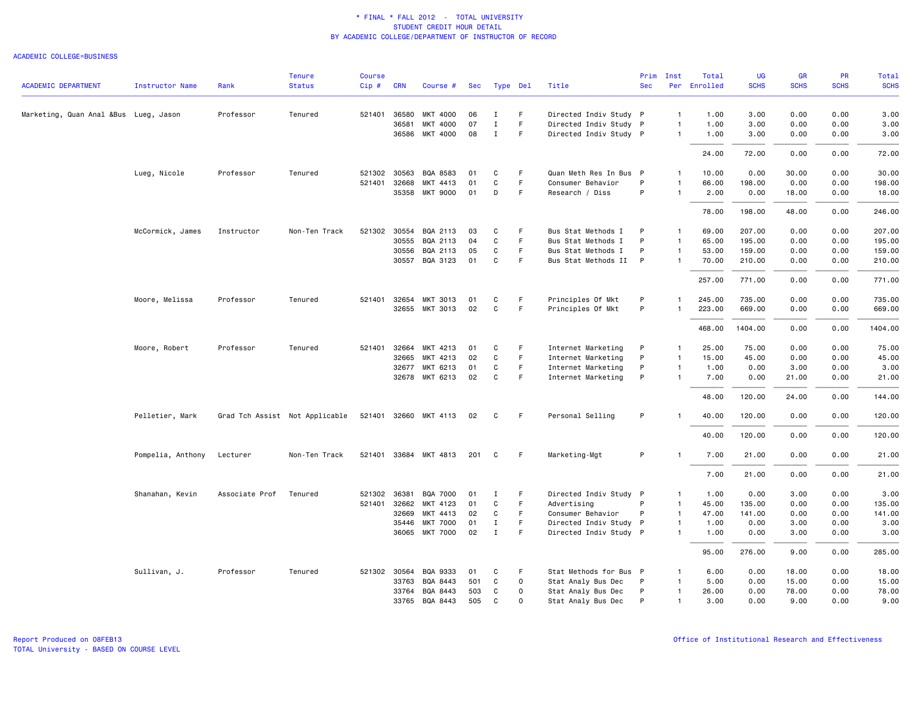### ACADEMIC COLLEGE=BUSINESS

|                                       |                        |                | <b>Tenure</b>                  | <b>Course</b> |            |                       |     |             |              |                        | Prim       | Inst           | Total        | <b>UG</b>   | <b>GR</b>   | PR          | Total       |
|---------------------------------------|------------------------|----------------|--------------------------------|---------------|------------|-----------------------|-----|-------------|--------------|------------------------|------------|----------------|--------------|-------------|-------------|-------------|-------------|
| <b>ACADEMIC DEPARTMENT</b>            | <b>Instructor Name</b> | Rank           | <b>Status</b>                  | Cip#          | <b>CRN</b> | Course #              | Sec | Type Del    |              | Title                  | <b>Sec</b> |                | Per Enrolled | <b>SCHS</b> | <b>SCHS</b> | <b>SCHS</b> | <b>SCHS</b> |
| Marketing, Quan Anal &Bus Lueg, Jason |                        | Professor      | Tenured                        | 521401        | 36580      | MKT 4000              | 06  | Ι.          | F            | Directed Indiv Study P |            | $\mathbf{1}$   | 1.00         | 3.00        | 0.00        | 0.00        | 3.00        |
|                                       |                        |                |                                |               | 36581      | MKT 4000              | 07  | $\mathbf I$ | $\mathsf F$  | Directed Indiv Study P |            | $\overline{1}$ | 1.00         | 3.00        | 0.00        | 0.00        | 3.00        |
|                                       |                        |                |                                |               |            | 36586 MKT 4000        | 08  | $\mathbf I$ | F            | Directed Indiv Study P |            | $\mathbf{1}$   | 1.00         | 3.00        | 0.00        | 0.00        | 3.00        |
|                                       |                        |                |                                |               |            |                       |     |             |              |                        |            |                | 24.00        | 72.00       | 0.00        | 0.00        | 72.00       |
|                                       | Lueg, Nicole           | Professor      | Tenured                        | 521302 30563  |            | BQA 8583              | 01  | C           | F            | Quan Meth Res In Bus P |            | $\mathbf{1}$   | 10.00        | 0.00        | 30.00       | 0.00        | 30.00       |
|                                       |                        |                |                                | 521401        | 32668      | MKT 4413              | 01  | C           | $\mathsf F$  | Consumer Behavior      | P          | $\mathbf{1}$   | 66.00        | 198.00      | 0.00        | 0.00        | 198.00      |
|                                       |                        |                |                                |               | 35358      | MKT 9000              | 01  | D           | $\mathsf F$  | Research / Diss        | P          | -1             | 2.00         | 0.00        | 18.00       | 0.00        | 18.00       |
|                                       |                        |                |                                |               |            |                       |     |             |              |                        |            |                | 78.00        | 198.00      | 48.00       | 0.00        | 246.00      |
|                                       | McCormick, James       | Instructor     | Non-Ten Track                  | 521302 30554  |            | BQA 2113              | 03  | C           | F            | Bus Stat Methods I     | P          | $\mathbf{1}$   | 69.00        | 207.00      | 0.00        | 0.00        | 207.00      |
|                                       |                        |                |                                |               | 30555      | BQA 2113              | 04  | C           | F            | Bus Stat Methods I     | P          | $\mathbf{1}$   | 65.00        | 195.00      | 0.00        | 0.00        | 195.00      |
|                                       |                        |                |                                |               | 30556      | BQA 2113              | 05  | C           | F            | Bus Stat Methods I     | P          | $\mathbf{1}$   | 53.00        | 159.00      | 0.00        | 0.00        | 159.00      |
|                                       |                        |                |                                |               | 30557      | BQA 3123              | 01  | C           | F            | Bus Stat Methods II    | P          | -1             | 70.00        | 210.00      | 0.00        | 0.00        | 210.00      |
|                                       |                        |                |                                |               |            |                       |     |             |              |                        |            |                | 257.00       | 771.00      | 0.00        | 0.00        | 771.00      |
|                                       | Moore, Melissa         | Professor      | Tenured                        | 521401 32654  |            | MKT 3013              | 01  | C           | F            | Principles Of Mkt      | P          | -1             | 245.00       | 735.00      | 0.00        | 0.00        | 735.00      |
|                                       |                        |                |                                |               |            | 32655 MKT 3013        | 02  | $\mathbf C$ | F            | Principles Of Mkt      | P          | $\mathbf{1}$   | 223.00       | 669.00      | 0.00        | 0.00        | 669.00      |
|                                       |                        |                |                                |               |            |                       |     |             |              |                        |            |                | 468.00       | 1404.00     | 0.00        | 0.00        | 1404.00     |
|                                       | Moore, Robert          | Professor      | Tenured                        | 521401        | 32664      | MKT 4213              | 01  | C           | F            | Internet Marketing     | P          | $\mathbf{1}$   | 25.00        | 75.00       | 0.00        | 0.00        | 75.00       |
|                                       |                        |                |                                |               | 32665      | MKT 4213              | 02  | C           | F            | Internet Marketing     | P          | $\mathbf{1}$   | 15.00        | 45.00       | 0.00        | 0.00        | 45.00       |
|                                       |                        |                |                                |               | 32677      | MKT 6213              | 01  | C           | F            | Internet Marketing     | P          | $\overline{1}$ | 1.00         | 0.00        | 3.00        | 0.00        | 3.00        |
|                                       |                        |                |                                |               | 32678      | MKT 6213              | 02  | C           | F            | Internet Marketing     | P          | $\mathbf{1}$   | 7.00         | 0.00        | 21.00       | 0.00        | 21.00       |
|                                       |                        |                |                                |               |            |                       |     |             |              |                        |            |                | 48.00        | 120.00      | 24.00       | 0.00        | 144.00      |
|                                       | Pelletier, Mark        |                | Grad Tch Assist Not Applicable |               |            | 521401 32660 MKT 4113 | 02  | C           | -F           | Personal Selling       | P          |                | 40.00        | 120.00      | 0.00        | 0.00        | 120.00      |
|                                       |                        |                |                                |               |            |                       |     |             |              |                        |            |                | 40.00        | 120.00      | 0.00        | 0.00        | 120.00      |
|                                       | Pompelia, Anthony      | Lecturer       | Non-Ten Track                  |               |            | 521401 33684 MKT 4813 | 201 | C           | -F           | Marketing-Mgt          | P          | -1             | 7.00         | 21.00       | 0.00        | 0.00        | 21.00       |
|                                       |                        |                |                                |               |            |                       |     |             |              |                        |            |                | 7.00         | 21.00       | 0.00        | 0.00        | 21.00       |
|                                       | Shanahan, Kevin        | Associate Prof | Tenured                        | 521302 36381  |            | <b>BQA 7000</b>       | 01  | Ι.          | F            | Directed Indiv Study P |            | $\mathbf{1}$   | 1.00         | 0.00        | 3.00        | 0.00        | 3.00        |
|                                       |                        |                |                                | 521401 32662  |            | MKT 4123              | 01  | C           | F.           | Advertising            | P          | $\overline{1}$ | 45.00        | 135.00      | 0.00        | 0.00        | 135.00      |
|                                       |                        |                |                                |               | 32669      | MKT 4413              | 02  | C           | F            | Consumer Behavior      | P          | $\overline{1}$ | 47.00        | 141.00      | 0.00        | 0.00        | 141.00      |
|                                       |                        |                |                                |               | 35446      | <b>MKT 7000</b>       | 01  | $\mathbf I$ | F            | Directed Indiv Study P |            | $\mathbf{1}$   | 1.00         | 0.00        | 3.00        | 0.00        | 3.00        |
|                                       |                        |                |                                |               |            | 36065 MKT 7000        | 02  | $\mathbf I$ | F.           | Directed Indiv Study P |            | $\mathbf{1}$   | 1.00         | 0.00        | 3.00        | 0.00        | 3.00        |
|                                       |                        |                |                                |               |            |                       |     |             |              |                        |            |                | 95.00        | 276.00      | 9.00        | 0.00        | 285.00      |
|                                       | Sullivan, J.           | Professor      | Tenured                        | 521302 30564  |            | BQA 9333              | 01  | C           | F.           | Stat Methods for Bus P |            | -1             | 6.00         | 0.00        | 18.00       | 0.00        | 18.00       |
|                                       |                        |                |                                |               | 33763      | BQA 8443              | 501 | C           | $\mathsf{o}$ | Stat Analy Bus Dec     | P          | $\mathbf{1}$   | 5.00         | 0.00        | 15.00       | 0.00        | 15.00       |
|                                       |                        |                |                                |               | 33764      | BQA 8443              | 503 | C           | 0            | Stat Analy Bus Dec     | P          | $\overline{1}$ | 26.00        | 0.00        | 78.00       | 0.00        | 78.00       |
|                                       |                        |                |                                |               | 33765      | BQA 8443              | 505 | C           | $\mathsf{o}$ | Stat Analy Bus Dec     | P          | $\mathbf{1}$   | 3.00         | 0.00        | 9.00        | 0.00        | 9.00        |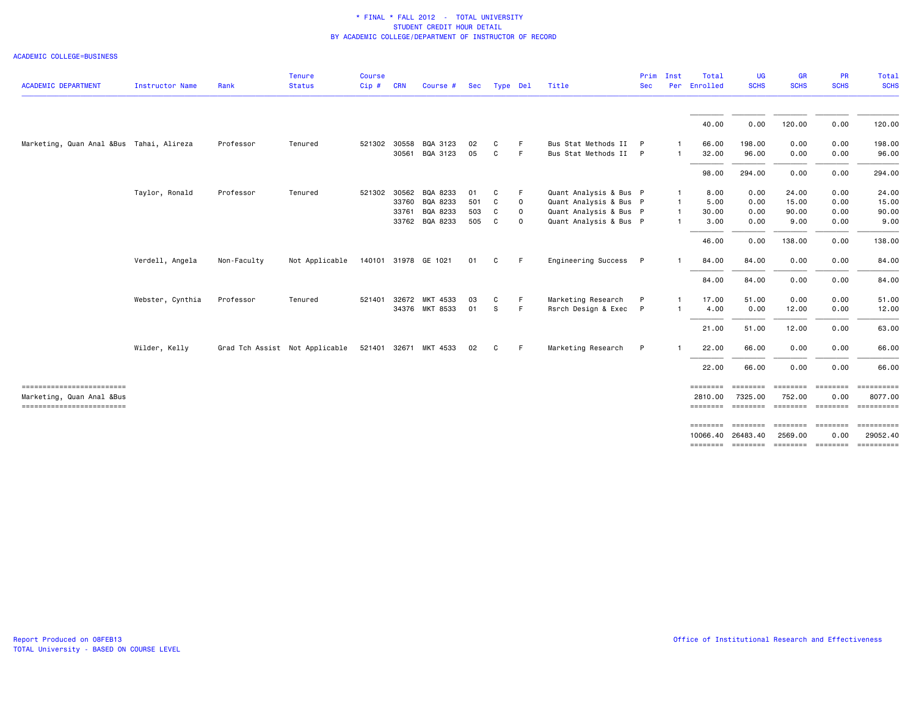## ACADEMIC COLLEGE=BUSINESS

| <b>ACADEMIC DEPARTMENT</b>                              | <b>Instructor Name</b> | Rank                           | <b>Tenure</b><br><b>Status</b> | Course<br>Cip# | <b>CRN</b> | Course #              | Sec | Type Del |             | Title                  | <b>Sec</b>   | Prim Inst    | Total<br>Per Enrolled | UG<br><b>SCHS</b>                  | <b>GR</b><br><b>SCHS</b>            | PR<br><b>SCHS</b> | Total<br><b>SCHS</b> |
|---------------------------------------------------------|------------------------|--------------------------------|--------------------------------|----------------|------------|-----------------------|-----|----------|-------------|------------------------|--------------|--------------|-----------------------|------------------------------------|-------------------------------------|-------------------|----------------------|
|                                                         |                        |                                |                                |                |            |                       |     |          |             |                        |              |              | 40.00                 | 0.00                               | 120.00                              | 0.00              | 120.00               |
| Marketing, Quan Anal &Bus Tahai, Alireza                |                        | Professor                      | Tenured                        | 521302 30558   |            | BQA 3123              | 02  | C        | F           | Bus Stat Methods II    | P            |              | 66.00                 | 198.00                             | 0.00                                | 0.00              | 198.00               |
|                                                         |                        |                                |                                |                |            | 30561 BQA 3123        | 05  | C        | F           | Bus Stat Methods II P  |              | $\mathbf{1}$ | 32.00                 | 96.00                              | 0.00                                | 0.00              | 96.00                |
|                                                         |                        |                                |                                |                |            |                       |     |          |             |                        |              |              | 98.00                 | 294.00                             | 0.00                                | 0.00              | 294.00               |
|                                                         | Taylor, Ronald         | Professor                      | Tenured                        |                |            | 521302 30562 BQA 8233 | 01  | C        | F.          | Quant Analysis & Bus P |              | $\mathbf{1}$ | 8.00                  | 0.00                               | 24.00                               | 0.00              | 24.00                |
|                                                         |                        |                                |                                |                |            | 33760 BQA 8233        | 501 | C        | 0           | Quant Analysis & Bus P |              | -1           | 5.00                  | 0.00                               | 15.00                               | 0.00              | 15.00                |
|                                                         |                        |                                |                                |                | 33761      | BQA 8233              | 503 | C        | $\mathbf 0$ | Quant Analysis & Bus P |              | $\mathbf{1}$ | 30.00                 | 0.00                               | 90.00                               | 0.00              | 90.00                |
|                                                         |                        |                                |                                |                |            | 33762 BQA 8233        | 505 | C        | $\mathbf 0$ | Quant Analysis & Bus P |              |              | 3.00                  | 0.00                               | 9.00                                | 0.00              | 9.00                 |
|                                                         |                        |                                |                                |                |            |                       |     |          |             |                        |              |              | 46.00                 | 0.00                               | 138.00                              | 0.00              | 138.00               |
|                                                         | Verdell, Angela        | Non-Faculty                    | Not Applicable                 |                |            | 140101 31978 GE 1021  | 01  | C        | F.          | Engineering Success    | $\mathsf{P}$ |              | 84.00                 | 84.00                              | 0.00                                | 0.00              | 84.00                |
|                                                         |                        |                                |                                |                |            |                       |     |          |             |                        |              |              | 84.00                 | 84.00                              | 0.00                                | 0.00              | 84.00                |
|                                                         | Webster, Cynthia       | Professor                      | Tenured                        | 521401         |            | 32672 MKT 4533        | 03  | C        | F.          | Marketing Research     | P            |              | 17.00                 | 51.00                              | 0.00                                | 0.00              | 51.00                |
|                                                         |                        |                                |                                |                |            | 34376 MKT 8533        | 01  | S.       | -F          | Rsrch Design & Exec P  |              |              | 4.00                  | 0.00                               | 12.00                               | 0.00              | 12.00                |
|                                                         |                        |                                |                                |                |            |                       |     |          |             |                        |              |              | 21.00                 | 51.00                              | 12.00                               | 0.00              | 63.00                |
|                                                         |                        |                                |                                |                |            |                       |     |          |             |                        |              |              |                       |                                    |                                     |                   |                      |
|                                                         | Wilder, Kelly          | Grad Tch Assist Not Applicable |                                |                |            | 521401 32671 MKT 4533 | 02  | C        | F.          | Marketing Research     | P            |              | 22.00                 | 66.00                              | 0.00                                | 0.00              | 66.00                |
|                                                         |                        |                                |                                |                |            |                       |     |          |             |                        |              |              | 22.00                 | 66.00                              | 0.00                                | 0.00              | 66.00                |
| ==========================                              |                        |                                |                                |                |            |                       |     |          |             |                        |              |              | ========              |                                    | <b>SEESSEES</b>                     | <b>ESSESSEE</b>   | ==========           |
| Marketing, Quan Anal &Bus<br>========================== |                        |                                |                                |                |            |                       |     |          |             |                        |              |              | 2810.00<br>========   | 7325.00                            | 752.00<br>-------- -------- ------- | 0.00              | 8077.00              |
|                                                         |                        |                                |                                |                |            |                       |     |          |             |                        |              |              | ========              | ========                           | <b>ESSESSES</b>                     | $=$ ========      |                      |
|                                                         |                        |                                |                                |                |            |                       |     |          |             |                        |              |              | 10066.40              | 26483.40                           | 2569.00                             | 0.00              | 29052.40             |
|                                                         |                        |                                |                                |                |            |                       |     |          |             |                        |              |              |                       | -------- ------- -------- -------- |                                     |                   | - ==========         |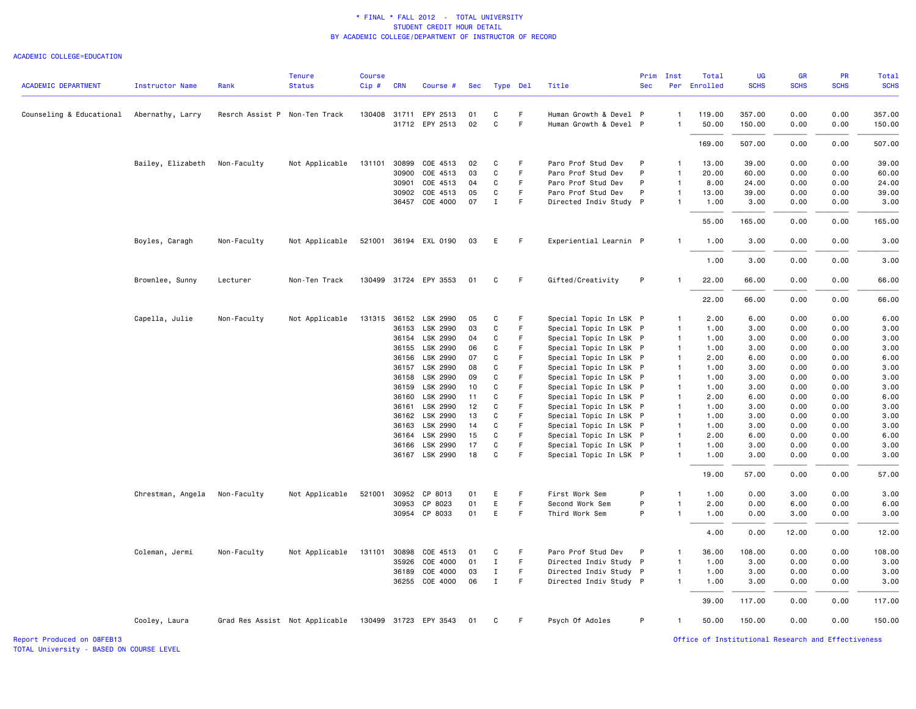#### ACADEMIC COLLEGE=EDUCATION

|                                           |                   |                               | <b>Tenure</b>                                        | <b>Course</b> |            |                       |     |              |             |                        | Prim       | Inst                         | Total        | UG          | <b>GR</b>   | PR          | Total       |
|-------------------------------------------|-------------------|-------------------------------|------------------------------------------------------|---------------|------------|-----------------------|-----|--------------|-------------|------------------------|------------|------------------------------|--------------|-------------|-------------|-------------|-------------|
| <b>ACADEMIC DEPARTMENT</b>                | Instructor Name   | Rank                          | <b>Status</b>                                        | $Cip$ #       | <b>CRN</b> | Course #              | Sec | Type Del     |             | Title                  | <b>Sec</b> |                              | Per Enrolled | <b>SCHS</b> | <b>SCHS</b> | <b>SCHS</b> | <b>SCHS</b> |
| Counseling & Educational Abernathy, Larry |                   | Resrch Assist P Non-Ten Track |                                                      |               |            | 130408 31711 EPY 2513 | 01  | C            | F.          | Human Growth & Devel P |            | $\mathbf{1}$                 | 119.00       | 357.00      | 0.00        | 0.00        | 357.00      |
|                                           |                   |                               |                                                      |               |            | 31712 EPY 2513        | 02  | $\mathbf{C}$ | F           | Human Growth & Devel P |            | $\mathbf{1}$                 | 50.00        | 150.00      | 0.00        | 0.00        | 150.00      |
|                                           |                   |                               |                                                      |               |            |                       |     |              |             |                        |            |                              | 169.00       | 507.00      | 0.00        | 0.00        | 507.00      |
|                                           | Bailey, Elizabeth | Non-Faculty                   | Not Applicable                                       | 131101        | 30899      | COE 4513              | 02  | C            | F.          | Paro Prof Stud Dev     | P          | $\mathbf{1}$                 | 13.00        | 39.00       | 0.00        | 0.00        | 39.00       |
|                                           |                   |                               |                                                      |               | 30900      | COE 4513              | 03  | C            | $\mathsf F$ | Paro Prof Stud Dev     | P          | $\mathbf{1}$                 | 20.00        | 60.00       | 0.00        | 0.00        | 60.00       |
|                                           |                   |                               |                                                      |               |            |                       |     |              | F           |                        | P          |                              |              |             |             |             |             |
|                                           |                   |                               |                                                      |               | 30901      | COE 4513              | 04  | C            | $\mathsf F$ | Paro Prof Stud Dev     |            | $\mathbf{1}$<br>$\mathbf{1}$ | 8.00         | 24.00       | 0.00        | 0.00        | 24.00       |
|                                           |                   |                               |                                                      |               | 30902      | COE 4513              | 05  | C            |             | Paro Prof Stud Dev     | P          |                              | 13.00        | 39.00       | 0.00        | 0.00        | 39.00       |
|                                           |                   |                               |                                                      |               | 36457      | COE 4000              | 07  | $\mathbf I$  | F           | Directed Indiv Study P |            | $\mathbf{1}$                 | 1.00         | 3.00        | 0.00        | 0.00        | 3.00        |
|                                           |                   |                               |                                                      |               |            |                       |     |              |             |                        |            |                              | 55.00        | 165.00      | 0.00        | 0.00        | 165.00      |
|                                           | Boyles, Caragh    | Non-Faculty                   | Not Applicable                                       |               |            | 521001 36194 EXL 0190 | 03  | Е            | -F          | Experiential Learnin P |            | $\mathbf{1}$                 | 1.00         | 3.00        | 0.00        | 0.00        | 3.00        |
|                                           |                   |                               |                                                      |               |            |                       |     |              |             |                        |            |                              | 1.00         | 3.00        | 0.00        | 0.00        | 3.00        |
|                                           | Brownlee, Sunny   | Lecturer                      | Non-Ten Track                                        |               |            | 130499 31724 EPY 3553 | 01  | C            | -F          | Gifted/Creativity      | P          |                              | 22.00        | 66.00       | 0.00        | 0.00        | 66.00       |
|                                           |                   |                               |                                                      |               |            |                       |     |              |             |                        |            |                              | 22.00        | 66.00       | 0.00        | 0.00        | 66.00       |
|                                           | Capella, Julie    | Non-Faculty                   | Not Applicable                                       |               |            | 131315 36152 LSK 2990 | 05  | C            | F           | Special Topic In LSK P |            | $\mathbf{1}$                 | 2.00         | 6.00        | 0.00        | 0.00        | 6.00        |
|                                           |                   |                               |                                                      |               | 36153      | LSK 2990              | 03  | C            | F           | Special Topic In LSK P |            | $\mathbf{1}$                 | 1.00         | 3.00        | 0.00        | 0.00        | 3.00        |
|                                           |                   |                               |                                                      |               |            | 36154 LSK 2990        | 04  | C            | F           | Special Topic In LSK P |            | $\overline{1}$               | 1.00         | 3.00        | 0.00        | 0.00        | 3.00        |
|                                           |                   |                               |                                                      |               | 36155      | LSK 2990              | 06  | C            | F           | Special Topic In LSK P |            | $\mathbf{1}$                 | 1.00         | 3.00        | 0.00        | 0.00        | 3.00        |
|                                           |                   |                               |                                                      |               | 36156      | LSK 2990              | 07  | $\mathsf{C}$ | F           | Special Topic In LSK P |            | $\overline{1}$               | 2.00         | 6.00        | 0.00        | 0.00        | 6.00        |
|                                           |                   |                               |                                                      |               | 36157      | LSK 2990              | 08  | C            | F           | Special Topic In LSK P |            | $\mathbf{1}$                 | 1.00         | 3.00        | 0.00        | 0.00        | 3.00        |
|                                           |                   |                               |                                                      |               | 36158      | LSK 2990              | 09  | C            | E           | Special Topic In LSK P |            | $\mathbf{1}$                 | 1.00         | 3.00        | 0.00        | 0.00        | 3.00        |
|                                           |                   |                               |                                                      |               | 36159      | LSK 2990              | 10  | C            | F           | Special Topic In LSK P |            | $\mathbf{1}$                 | 1.00         | 3.00        | 0.00        | 0.00        | 3.00        |
|                                           |                   |                               |                                                      |               | 36160      | LSK 2990              | 11  | $\mathbf C$  | F           | Special Topic In LSK P |            | $\overline{1}$               | 2.00         | 6.00        | 0.00        | 0.00        | 6.00        |
|                                           |                   |                               |                                                      |               | 36161      | LSK 2990              | 12  | C            | F           | Special Topic In LSK P |            | $\mathbf{1}$                 | 1.00         | 3.00        | 0.00        | 0.00        | 3.00        |
|                                           |                   |                               |                                                      |               | 36162      | LSK 2990              | 13  | C            | F           | Special Topic In LSK P |            | $\mathbf{1}$                 | 1.00         | 3.00        | 0.00        | 0.00        | 3.00        |
|                                           |                   |                               |                                                      |               | 36163      | LSK 2990              | 14  | C            | F           | Special Topic In LSK P |            | $\overline{1}$               | 1.00         | 3.00        | 0.00        | 0.00        | 3.00        |
|                                           |                   |                               |                                                      |               |            | 36164 LSK 2990        | 15  | C            | F           | Special Topic In LSK P |            | $\mathbf{1}$                 | 2.00         | 6.00        | 0.00        | 0.00        | 6.00        |
|                                           |                   |                               |                                                      |               | 36166      | LSK 2990              | 17  | $\mathbf C$  | F           | Special Topic In LSK P |            | $\overline{1}$               | 1.00         | 3.00        | 0.00        | 0.00        | 3.00        |
|                                           |                   |                               |                                                      |               |            | 36167 LSK 2990        | 18  | C            | F           | Special Topic In LSK P |            | $\mathbf{1}$                 | 1.00         | 3.00        | 0.00        | 0.00        | 3.00        |
|                                           |                   |                               |                                                      |               |            |                       |     |              |             |                        |            |                              | 19.00        | 57.00       | 0.00        | 0.00        | 57.00       |
|                                           | Chrestman, Angela | Non-Faculty                   | Not Applicable                                       | 521001        | 30952      | CP 8013               | 01  | Ε            | F           | First Work Sem         | P          | $\mathbf{1}$                 | 1.00         | 0.00        | 3.00        | 0.00        | 3.00        |
|                                           |                   |                               |                                                      |               | 30953      | CP 8023               | 01  | E            | F           | Second Work Sem        | P          | $\overline{1}$               | 2.00         | 0.00        | 6.00        | 0.00        | 6.00        |
|                                           |                   |                               |                                                      |               |            | 30954 CP 8033         | 01  | E            | F           | Third Work Sem         | P          | $\mathbf{1}$                 | 1.00         | 0.00        | 3.00        | 0.00        | 3.00        |
|                                           |                   |                               |                                                      |               |            |                       |     |              |             |                        |            |                              | 4.00         | 0.00        | 12.00       | 0.00        | 12.00       |
|                                           | Coleman, Jermi    | Non-Faculty                   | Not Applicable                                       | 131101        | 30898      | COE 4513              | 01  | C            | F           | Paro Prof Stud Dev     | P          | $\mathbf{1}$                 | 36.00        | 108.00      | 0.00        | 0.00        | 108.00      |
|                                           |                   |                               |                                                      |               | 35926      | COE 4000              | 01  | Ι.           | F.          | Directed Indiv Study P |            | $\mathbf{1}$                 | 1.00         | 3.00        | 0.00        | 0.00        | 3.00        |
|                                           |                   |                               |                                                      |               | 36189      | COE 4000              | 03  | $\;$ I       | F           | Directed Indiv Study P |            | $\mathbf{1}$                 | 1.00         | 3.00        | 0.00        | 0.00        | 3.00        |
|                                           |                   |                               |                                                      |               |            | 36255 COE 4000        | 06  | $\mathbf I$  | F.          | Directed Indiv Study P |            | $\mathbf{1}$                 | 1.00         | 3.00        | 0.00        | 0.00        | 3.00        |
|                                           |                   |                               |                                                      |               |            |                       |     |              |             |                        |            |                              | 39.00        | 117.00      | 0.00        | 0.00        | 117.00      |
|                                           | Cooley, Laura     |                               | Grad Res Assist Not Applicable 130499 31723 EPY 3543 |               |            |                       | 01  | C            | F.          | Psych Of Adoles        | P          | $\mathbf{1}$                 | 50.00        | 150.00      | 0.00        | 0.00        | 150.00      |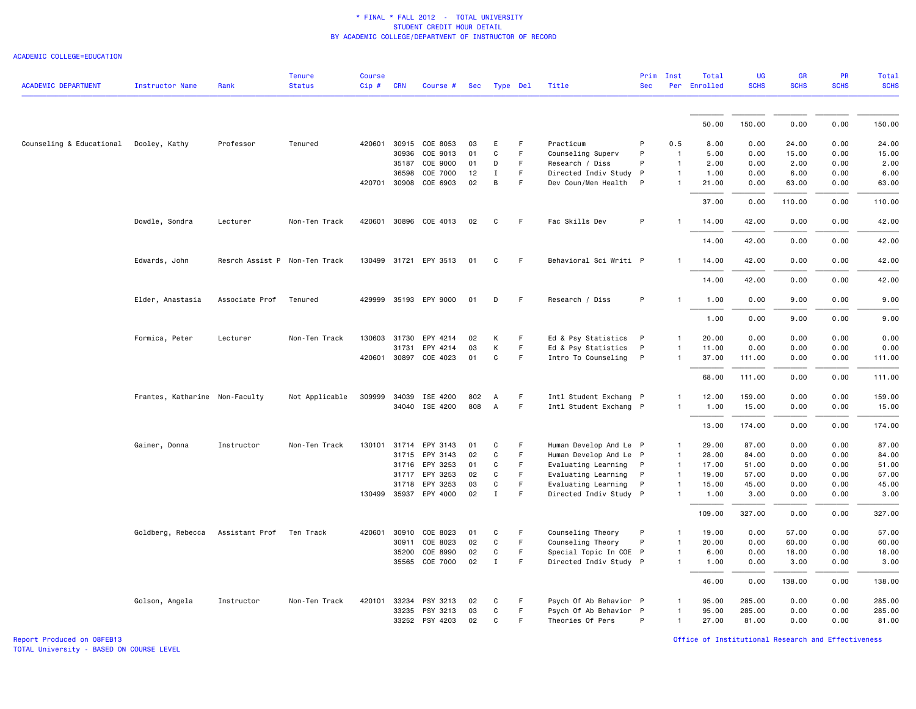#### ACADEMIC COLLEGE=EDUCATION

| <b>ACADEMIC DEPARTMENT</b>             | <b>Instructor Name</b>         | Rank                          | <b>Tenure</b><br><b>Status</b> | <b>Course</b><br>Cip# | <b>CRN</b>   | Course #              | Sec | Type Del       |    | Title                  | Prim<br><b>Sec</b> | Inst           | Total<br>Per Enrolled | <b>UG</b><br><b>SCHS</b> | GR<br><b>SCHS</b> | PR<br><b>SCHS</b> | <b>Total</b><br><b>SCHS</b> |
|----------------------------------------|--------------------------------|-------------------------------|--------------------------------|-----------------------|--------------|-----------------------|-----|----------------|----|------------------------|--------------------|----------------|-----------------------|--------------------------|-------------------|-------------------|-----------------------------|
|                                        |                                |                               |                                |                       |              |                       |     |                |    |                        |                    |                |                       |                          |                   |                   |                             |
|                                        |                                |                               |                                |                       |              |                       |     |                |    |                        |                    |                | 50.00                 | 150.00                   | 0.00              | 0.00              | 150.00                      |
| Counseling & Educational Dooley, Kathy |                                | Professor                     | Tenured                        |                       |              | 420601 30915 COE 8053 | 03  | E              | F. | Practicum              | P                  | 0.5            | 8.00                  | 0.00                     | 24.00             | 0.00              | 24.00                       |
|                                        |                                |                               |                                |                       | 30936        | COE 9013              | 01  | $\mathbf c$    | F  | Counseling Superv      | P                  | $\overline{1}$ | 5.00                  | 0.00                     | 15.00             | 0.00              | 15.00                       |
|                                        |                                |                               |                                |                       | 35187        | COE 9000              | 01  | D              | F  | Research / Diss        | P                  | $\mathbf{1}$   | 2.00                  | 0.00                     | 2.00              | 0.00              | 2.00                        |
|                                        |                                |                               |                                |                       | 36598        | COE 7000              | 12  | $\mathbf{I}$   | F  | Directed Indiv Study   | P                  | $\mathbf{1}$   | 1.00                  | 0.00                     | 6.00              | 0.00              | 6.00                        |
|                                        |                                |                               |                                |                       |              | 420701 30908 COE 6903 | 02  | B              | F  | Dev Coun/Men Health P  |                    | $\mathbf{1}$   | 21.00                 | 0.00                     | 63.00             | 0.00              | 63.00                       |
|                                        |                                |                               |                                |                       |              |                       |     |                |    |                        |                    |                | 37.00                 | 0.00                     | 110.00            | 0.00              | 110.00                      |
|                                        | Dowdle, Sondra                 | Lecturer                      | Non-Ten Track                  |                       |              | 420601 30896 COE 4013 | 02  | C              | F. | Fac Skills Dev         | P                  |                | 14.00                 | 42.00                    | 0.00              | 0.00              | 42.00                       |
|                                        |                                |                               |                                |                       |              |                       |     |                |    |                        |                    |                | 14.00                 | 42.00                    | 0.00              | 0.00              | 42.00                       |
|                                        | Edwards, John                  | Resrch Assist P Non-Ten Track |                                |                       |              | 130499 31721 EPY 3513 | 01  | C              | F. | Behavioral Sci Writi P |                    |                | 14.00                 | 42.00                    | 0.00              | 0.00              | 42.00                       |
|                                        |                                |                               |                                |                       |              |                       |     |                |    |                        |                    |                | 14.00                 | 42.00                    | 0.00              | 0.00              | 42.00                       |
|                                        | Elder, Anastasia               | Associate Prof                | Tenured                        |                       |              | 429999 35193 EPY 9000 | 01  | D              | F. | Research / Diss        | P                  |                | 1.00                  | 0.00                     | 9.00              | 0.00              | 9.00                        |
|                                        |                                |                               |                                |                       |              |                       |     |                |    |                        |                    |                | 1.00                  | 0.00                     | 9.00              | 0.00              | 9.00                        |
|                                        | Formica, Peter                 | Lecturer                      | Non-Ten Track                  |                       | 130603 31730 | EPY 4214              | 02  | К              | F. | Ed & Psy Statistics    | $\mathsf{P}$       | 1              | 20.00                 | 0.00                     | 0.00              | 0.00              | 0.00                        |
|                                        |                                |                               |                                |                       | 31731        | EPY 4214              | 03  | К              | F. | Ed & Psy Statistics    | P                  | $\mathbf{1}$   | 11.00                 | 0.00                     | 0.00              | 0.00              | 0.00                        |
|                                        |                                |                               |                                |                       |              | 420601 30897 COE 4023 | 01  | C              | F. | Intro To Counseling    | $\mathsf{P}$       | $\mathbf{1}$   | 37.00                 | 111.00                   | 0.00              | 0.00              | 111.00                      |
|                                        |                                |                               |                                |                       |              |                       |     |                |    |                        |                    |                | 68.00                 | 111.00                   | 0.00              | 0.00              | 111.00                      |
|                                        | Frantes, Katharine Non-Faculty |                               | Not Applicable                 | 309999                |              | 34039 ISE 4200        | 802 | A              | F. | Intl Student Exchang P |                    | $\mathbf{1}$   | 12.00                 | 159.00                   | 0.00              | 0.00              | 159.00                      |
|                                        |                                |                               |                                |                       |              | 34040 ISE 4200        | 808 | $\overline{A}$ | F. | Intl Student Exchang P |                    | $\mathbf{1}$   | 1.00                  | 15.00                    | 0.00              | 0.00              | 15.00                       |
|                                        |                                |                               |                                |                       |              |                       |     |                |    |                        |                    |                | 13.00                 | 174.00                   | 0.00              | 0.00              | 174.00                      |
|                                        | Gainer, Donna                  | Instructor                    | Non-Ten Track                  |                       | 130101 31714 | EPY 3143              | 01  | C              | F. | Human Develop And Le P |                    | $\mathbf{1}$   | 29.00                 | 87.00                    | 0.00              | 0.00              | 87.00                       |
|                                        |                                |                               |                                |                       | 31715        | EPY 3143              | 02  | C              | F  | Human Develop And Le P |                    | $\blacksquare$ | 28.00                 | 84.00                    | 0.00              | 0.00              | 84.00                       |
|                                        |                                |                               |                                |                       |              | 31716 EPY 3253        | 01  | C              | F  | Evaluating Learning    | P                  | $\mathbf{1}$   | 17.00                 | 51.00                    | 0.00              | 0.00              | 51.00                       |
|                                        |                                |                               |                                |                       | 31717        | EPY 3253              | 02  | C              | F. | Evaluating Learning    | P                  | $\overline{1}$ | 19.00                 | 57.00                    | 0.00              | 0.00              | 57.00                       |
|                                        |                                |                               |                                |                       | 31718        | EPY 3253              | 03  | C              | F  | Evaluating Learning    | P                  | $\mathbf{1}$   | 15.00                 | 45.00                    | 0.00              | 0.00              | 45.00                       |
|                                        |                                |                               |                                |                       |              | 130499 35937 EPY 4000 | 02  | $\mathbf{I}$   | F. | Directed Indiv Study P |                    | $\mathbf{1}$   | 1.00                  | 3.00                     | 0.00              | 0.00              | 3.00                        |
|                                        |                                |                               |                                |                       |              |                       |     |                |    |                        |                    |                | 109.00                | 327.00                   | 0.00              | 0.00              | 327.00                      |
|                                        | Goldberg, Rebecca              | Assistant Prof                | Ten Track                      |                       | 420601 30910 | COE 8023              | 01  | C              | F  | Counseling Theory      | P                  | $\mathbf{1}$   | 19.00                 | 0.00                     | 57.00             | 0.00              | 57.00                       |
|                                        |                                |                               |                                |                       | 30911        | COE 8023              | 02  | C              | F  | Counseling Theory      | P                  | $\mathbf{1}$   | 20.00                 | 0.00                     | 60.00             | 0.00              | 60.00                       |
|                                        |                                |                               |                                |                       | 35200        | COE 8990              | 02  | C              | F  | Special Topic In COE P |                    | $\mathbf{1}$   | 6.00                  | 0.00                     | 18.00             | 0.00              | 18.00                       |
|                                        |                                |                               |                                |                       |              | 35565 COE 7000        | 02  | $\mathbf I$    | F  | Directed Indiv Study P |                    | $\mathbf{1}$   | 1.00                  | 0.00                     | 3.00              | 0.00              | 3.00                        |
|                                        |                                |                               |                                |                       |              |                       |     |                |    |                        |                    |                | 46.00                 | 0.00                     | 138.00            | 0.00              | 138.00                      |
|                                        | Golson, Angela                 | Instructor                    | Non-Ten Track                  | 420101 33234          |              | PSY 3213              | 02  | C              | F  | Psych Of Ab Behavior P |                    | 1              | 95.00                 | 285.00                   | 0.00              | 0.00              | 285.00                      |
|                                        |                                |                               |                                |                       | 33235        | PSY 3213              | 03  | C              | F. | Psych Of Ab Behavior P |                    | $\mathbf{1}$   | 95.00                 | 285.00                   | 0.00              | 0.00              | 285.00                      |
|                                        |                                |                               |                                |                       |              | 33252 PSY 4203        | 02  | C              | F. | Theories Of Pers       | P                  | $\mathbf{1}$   | 27.00                 | 81.00                    | 0.00              | 0.00              | 81.00                       |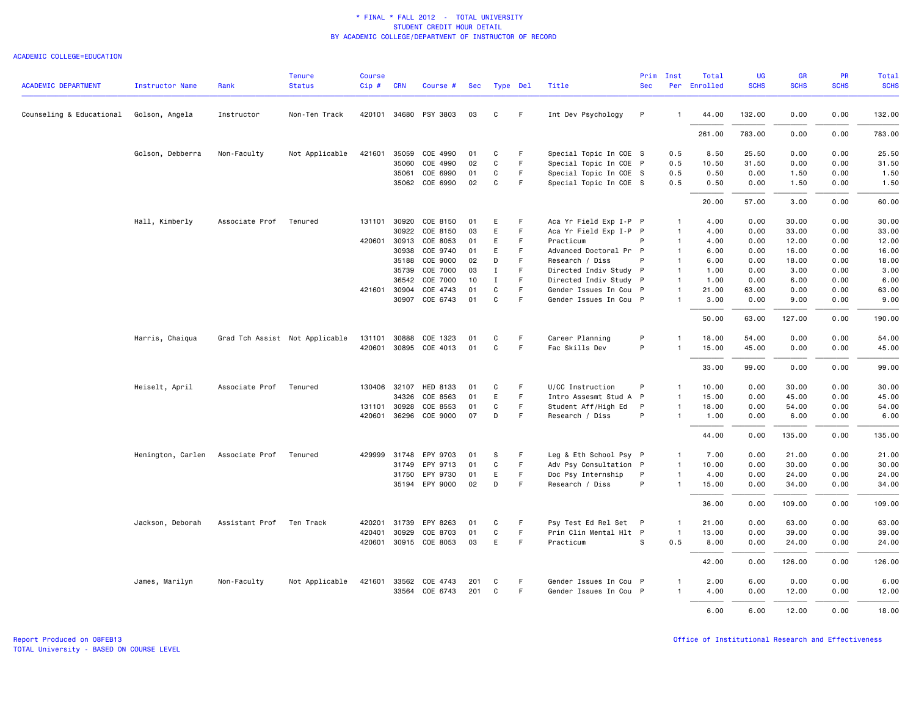#### ACADEMIC COLLEGE=EDUCATION

| <b>ACADEMIC DEPARTMENT</b> | <b>Instructor Name</b> | Rank                           | <b>Tenure</b><br><b>Status</b> | <b>Course</b><br>Cip# | <b>CRN</b>   | Course #              | Sec | Type Del |    | Title                  | Prim<br><b>Sec</b> | Inst           | Total<br>Per Enrolled | UG<br><b>SCHS</b> | GR<br><b>SCHS</b> | <b>PR</b><br><b>SCHS</b> | Total<br><b>SCHS</b> |
|----------------------------|------------------------|--------------------------------|--------------------------------|-----------------------|--------------|-----------------------|-----|----------|----|------------------------|--------------------|----------------|-----------------------|-------------------|-------------------|--------------------------|----------------------|
|                            |                        |                                |                                |                       |              |                       |     |          |    |                        |                    |                |                       |                   |                   |                          |                      |
| Counseling & Educational   | Golson, Angela         | Instructor                     | Non-Ten Track                  |                       | 420101 34680 | PSY 3803              | 03  | C        | F. | Int Dev Psychology     | P                  | $\overline{1}$ | 44.00                 | 132.00            | 0.00              | 0.00                     | 132.00               |
|                            |                        |                                |                                |                       |              |                       |     |          |    |                        |                    |                | 261.00                | 783.00            | 0.00              | 0.00                     | 783.00               |
|                            | Golson, Debberra       | Non-Faculty                    | Not Applicable                 |                       | 421601 35059 | COE 4990              | 01  | C        | F  | Special Topic In COE S |                    | 0.5            | 8.50                  | 25.50             | 0.00              | 0.00                     | 25.50                |
|                            |                        |                                |                                |                       | 35060        | COE 4990              | 02  | C        | F. | Special Topic In COE P |                    | 0.5            | 10.50                 | 31.50             | 0.00              | 0.00                     | 31.50                |
|                            |                        |                                |                                |                       | 35061        | COE 6990              | 01  | C        | F. | Special Topic In COE S |                    | 0.5            | 0.50                  | 0.00              | 1.50              | 0.00                     | 1.50                 |
|                            |                        |                                |                                |                       |              | 35062 COE 6990        | 02  | C        | F. | Special Topic In COE S |                    | 0.5            | 0.50                  | 0.00              | 1.50              | 0.00                     | 1.50                 |
|                            |                        |                                |                                |                       |              |                       |     |          |    |                        |                    |                | 20.00                 | 57.00             | 3.00              | 0.00                     | 60.00                |
|                            | Hall, Kimberly         | Associate Prof                 | Tenured                        | 131101                | 30920        | COE 8150              | 01  | Е        | F. | Aca Yr Field Exp I-P P |                    | $\mathbf{1}$   | 4.00                  | 0.00              | 30.00             | 0.00                     | 30.00                |
|                            |                        |                                |                                |                       | 30922        | COE 8150              | 03  | E        | F  | Aca Yr Field Exp I-P P |                    | $\mathbf{1}$   | 4.00                  | 0.00              | 33.00             | 0.00                     | 33.00                |
|                            |                        |                                |                                |                       | 420601 30913 | COE 8053              | 01  | E        | F. | Practicum              | P                  | $\mathbf{1}$   | 4.00                  | 0.00              | 12.00             | 0.00                     | 12.00                |
|                            |                        |                                |                                |                       | 30938        | COE 9740              | 01  | E        | F. | Advanced Doctoral Pr P |                    | $\overline{1}$ | 6.00                  | 0.00              | 16.00             | 0.00                     | 16.00                |
|                            |                        |                                |                                |                       | 35188        | COE 9000              | 02  | D        | F  | Research / Diss        | P                  | $\overline{1}$ | 6.00                  | 0.00              | 18.00             | 0.00                     | 18.00                |
|                            |                        |                                |                                |                       | 35739        | COE 7000              | 03  | Ι.       | F  | Directed Indiv Study P |                    | $\mathbf{1}$   | 1.00                  | 0.00              | 3.00              | 0.00                     | 3.00                 |
|                            |                        |                                |                                |                       | 36542        | COE 7000              | 10  | Ι.       | F  | Directed Indiv Study P |                    | $\mathbf{1}$   | 1.00                  | 0.00              | 6.00              | 0.00                     | 6.00                 |
|                            |                        |                                |                                |                       | 421601 30904 | COE 4743              | 01  | C        | F  | Gender Issues In Cou P |                    | $\mathbf{1}$   | 21.00                 | 63.00             | 0.00              | 0.00                     | 63.00                |
|                            |                        |                                |                                |                       | 30907        | COE 6743              | 01  | C        | F  | Gender Issues In Cou P |                    | $\mathbf{1}$   | 3.00                  | 0.00              | 9.00              | 0.00                     | 9.00                 |
|                            |                        |                                |                                |                       |              |                       |     |          |    |                        |                    |                | 50.00                 | 63.00             | 127.00            | 0.00                     | 190.00               |
|                            | Harris, Chaiqua        | Grad Tch Assist Not Applicable |                                | 131101                | 30888        | COE 1323              | 01  | C        | F  | Career Planning        | P                  |                | 18.00                 | 54.00             | 0.00              | 0.00                     | 54.00                |
|                            |                        |                                |                                |                       |              | 420601 30895 COE 4013 | 01  | C        | F. | Fac Skills Dev         | P                  | $\overline{1}$ | 15.00                 | 45.00             | 0.00              | 0.00                     | 45.00                |
|                            |                        |                                |                                |                       |              |                       |     |          |    |                        |                    |                | 33.00                 | 99.00             | 0.00              | 0.00                     | 99.00                |
|                            | Heiselt, April         | Associate Prof                 | Tenured                        |                       |              | 130406 32107 HED 8133 | 01  | C        | F  | U/CC Instruction       | P                  | $\mathbf{1}$   | 10.00                 | 0.00              | 30.00             | 0.00                     | 30.00                |
|                            |                        |                                |                                |                       | 34326        | COE 8563              | 01  | E        | F. | Intro Assesmt Stud A   | P                  | $\overline{1}$ | 15.00                 | 0.00              | 45.00             | 0.00                     | 45.00                |
|                            |                        |                                |                                | 131101                | 30928        | COE 8553              | 01  | C        | F. | Student Aff/High Ed    | P                  | $\mathbf{1}$   | 18.00                 | 0.00              | 54.00             | 0.00                     | 54.00                |
|                            |                        |                                |                                |                       | 420601 36296 | COE 9000              | 07  | D        | F. | Research / Diss        | P                  | $\overline{1}$ | 1.00                  | 0.00              | 6.00              | 0.00                     | 6.00                 |
|                            |                        |                                |                                |                       |              |                       |     |          |    |                        |                    |                | 44.00                 | 0.00              | 135.00            | 0.00                     | 135.00               |
|                            | Henington, Carlen      | Associate Prof                 | Tenured                        | 429999                | 31748        | EPY 9703              | 01  | s        | F. | Leg & Eth School Psy P |                    | $\mathbf{1}$   | 7.00                  | 0.00              | 21.00             | 0.00                     | 21.00                |
|                            |                        |                                |                                |                       | 31749        | EPY 9713              | 01  | C        | F. | Adv Psy Consultation P |                    | $\mathbf{1}$   | 10.00                 | 0.00              | 30.00             | 0.00                     | 30.00                |
|                            |                        |                                |                                |                       | 31750        | EPY 9730              | 01  | E        | F  | Doc Psy Internship     | P                  | $\mathbf{1}$   | 4.00                  | 0.00              | 24.00             | 0.00                     | 24.00                |
|                            |                        |                                |                                |                       |              | 35194 EPY 9000        | 02  | D        | F  | Research / Diss        | P                  | $\overline{1}$ | 15.00                 | 0.00              | 34.00             | 0.00                     | 34.00                |
|                            |                        |                                |                                |                       |              |                       |     |          |    |                        |                    |                | 36.00                 | 0.00              | 109.00            | 0.00                     | 109.00               |
|                            | Jackson, Deborah       | Assistant Prof                 | Ten Track                      | 420201                | 31739        | EPY 8263              | 01  | C        | F  | Psy Test Ed Rel Set P  |                    | $\mathbf{1}$   | 21.00                 | 0.00              | 63.00             | 0.00                     | 63.00                |
|                            |                        |                                |                                | 420401                | 30929        | COE 8703              | 01  | C        | F  | Prin Clin Mental Hlt P |                    | $\overline{1}$ | 13.00                 | 0.00              | 39.00             | 0.00                     | 39.00                |
|                            |                        |                                |                                |                       |              | 420601 30915 COE 8053 | 03  | E        | F. | Practicum              | s                  | 0.5            | 8,00                  | 0.00              | 24.00             | 0.00                     | 24.00                |
|                            |                        |                                |                                |                       |              |                       |     |          |    |                        |                    |                | 42.00                 | 0.00              | 126.00            | 0.00                     | 126.00               |
|                            | James, Marilyn         | Non-Faculty                    | Not Applicable                 |                       | 421601 33562 | COE 4743              | 201 | C        | F. | Gender Issues In Cou P |                    | $\mathbf{1}$   | 2.00                  | 6.00              | 0.00              | 0.00                     | 6.00                 |
|                            |                        |                                |                                |                       | 33564        | COE 6743              | 201 | C        | F. | Gender Issues In Cou P |                    | $\mathbf{1}$   | 4.00                  | 0.00              | 12.00             | 0.00                     | 12.00                |
|                            |                        |                                |                                |                       |              |                       |     |          |    |                        |                    |                | 6.00                  | 6.00              | 12.00             | 0.00                     | 18.00                |

Report Produced on 08FEB13 Office of Institutional Research and Effectiveness

TOTAL University - BASED ON COURSE LEVEL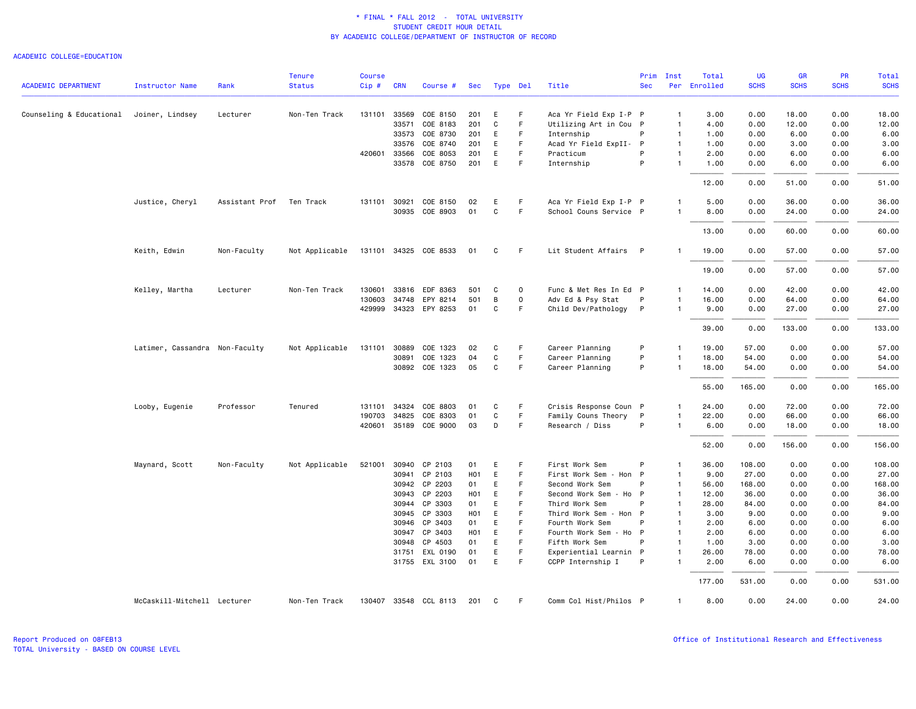## ACADEMIC COLLEGE=EDUCATION

| <b>SCHS</b><br><b>ACADEMIC DEPARTMENT</b><br><b>Status</b><br>Per Enrolled<br><b>SCHS</b><br><b>SCHS</b><br>Cip#<br><b>CRN</b><br>Title<br><b>Sec</b><br>Instructor Name<br>Rank<br>Course #<br>Sec<br>Type Del<br>COE 8150<br>Aca Yr Field Exp I-P P<br>18.00<br>0.00<br>Counseling & Educational<br>Joiner, Lindsey<br>Lecturer<br>Non-Ten Track<br>131101 33569<br>201<br>E<br>F<br>3.00<br>0.00<br>$\mathbf{1}$<br>COE 8183<br>201<br>C<br>F.<br>33571<br>Utilizing Art in Cou P<br>$\mathbf{1}$<br>4.00<br>0.00<br>12.00<br>0.00<br>COE 8730<br>E<br>F<br>P<br>6.00<br>0.00<br>33573<br>201<br>Internship<br>1.00<br>0.00<br>$\overline{1}$<br>33576<br>COE 8740<br>201<br>E<br>F<br>Acad Yr Field ExpII- P<br>$\mathbf{1}$<br>3.00<br>0.00<br>1.00<br>0.00<br>COE 8053<br>E<br>F<br>420601 33566<br>201<br>Practicum<br>P<br>$\mathbf{1}$<br>2.00<br>0.00<br>6.00<br>0.00<br>COE 8750<br>P<br>33578<br>201<br>E<br>F<br>Internship<br>1.00<br>0.00<br>6.00<br>0.00<br>$\mathbf{1}$<br>12.00<br>0.00<br>51.00<br>0.00<br>Assistant Prof<br>131101 30921<br>COE 8150<br>Aca Yr Field Exp I-P P<br>0.00<br>36.00<br>0.00<br>Justice, Cheryl<br>Ten Track<br>02<br>Е<br>-F<br>5.00<br>$\mathbf{1}$<br>30935 COE 8903<br>01<br>C<br>F.<br>School Couns Service P<br>$\mathbf{1}$<br>8.00<br>0.00<br>24.00<br>0.00<br>13.00<br>0.00<br>60.00<br>0.00<br>131101 34325 COE 8533<br>Lit Student Affairs P<br>57.00<br>Keith, Edwin<br>Non-Faculty<br>Not Applicable<br>01<br>C<br>- F<br>19.00<br>0.00<br>0.00<br>$\mathbf{1}$<br>19.00<br>0.00<br>57.00<br>0.00<br>0.00<br>42.00<br>0.00<br>33816<br>EDF 8363<br>$\mathsf 0$<br>Func & Met Res In Ed P<br>14.00<br>Kelley, Martha<br>Lecturer<br>Non-Ten Track<br>130601<br>501<br>C<br>$\mathbf{1}$<br>130603<br>34748<br>EPY 8214<br>501<br>B<br>$\mathsf 0$<br>Adv Ed & Psy Stat<br>P<br>16.00<br>0.00<br>64.00<br>0.00<br>$\mathbf{1}$<br>429999 34323 EPY 8253<br>C<br>F<br>Child Dev/Pathology<br>01<br>$\mathsf{P}$<br>$\mathbf{1}$<br>9.00<br>0.00<br>27.00<br>0.00<br>133.00<br>0.00<br>39.00<br>0.00<br>Latimer, Cassandra Non-Faculty<br>Not Applicable<br>131101<br>30889<br>COE 1323<br>C<br>F.<br>Career Planning<br>P<br>19.00<br>57.00<br>0.00<br>0.00<br>02<br>$\mathbf{1}$<br>$\mathbf C$<br>$\mathsf F$<br>P<br>30891<br>COE 1323<br>04<br>Career Planning<br>18.00<br>54.00<br>0.00<br>0.00<br>$\mathbf{1}$<br>$\mathsf F$<br>P<br>30892 COE 1323<br>05<br>C<br>Career Planning<br>$\mathbf{1}$<br>18.00<br>54.00<br>0.00<br>0.00<br>165.00<br>0.00<br>0.00<br>55.00<br>Crisis Response Coun P<br>72.00<br>0.00<br>Looby, Eugenie<br>Professor<br>Tenured<br>131101<br>34324<br>COE 8803<br>01<br>C<br>F<br>24.00<br>0.00<br>$\mathbf{1}$<br>$\mathsf F$<br>190703<br>34825<br>COE 8303<br>C<br>Family Couns Theory<br>P<br>22.00<br>0.00<br>66.00<br>0.00<br>01<br>$\mathbf{1}$<br>420601 35189 COE 9000<br>03<br>D<br>F<br>Research / Diss<br>P<br>18.00<br>0.00<br>$\mathbf{1}$<br>6.00<br>0.00<br>52.00<br>0.00<br>156.00<br>0.00<br>0.00<br>Not Applicable<br>30940<br>CP 2103<br>E<br>F<br>First Work Sem<br>P<br>36.00<br>108.00<br>0.00<br>Maynard, Scott<br>Non-Faculty<br>521001<br>01<br>-1<br>E<br>30941 CP 2103<br>H <sub>0</sub> 1<br>F<br>First Work Sem<br>- Hon P<br>9.00<br>27.00<br>0.00<br>0.00<br>$\mathbf{1}$<br>30942 CP 2203<br>01<br>E<br>F<br>Second Work Sem<br>P<br>56.00<br>168.00<br>0.00<br>0.00<br>$\mathbf{1}$<br>E<br>F<br>0.00<br>30943<br>CP 2203<br>H01<br>Second Work Sem<br>- Ho P<br>$\mathbf{1}$<br>12.00<br>36.00<br>0.00<br>CP 3303<br>E<br>30944<br>01<br>F.<br>Third Work Sem<br>P<br>28.00<br>84.00<br>0.00<br>0.00<br>$\mathbf{1}$<br>E<br>F<br>0.00<br>30945<br>CP 3303<br>H <sub>0</sub> 1<br>Third Work Sem - Hon P<br>3.00<br>9.00<br>0.00<br>$\mathbf{1}$<br>E<br>F<br>30946<br>CP 3403<br>01<br>Fourth Work Sem<br>P<br>2.00<br>6.00<br>0.00<br>0.00<br>$\mathbf{1}$<br>30947<br>CP 3403<br>H <sub>0</sub> 1<br>E<br>F<br>Fourth Work Sem<br>$\mathsf{P}$<br>2.00<br>6.00<br>0.00<br>0.00<br>- Ho<br>$\mathbf{1}$<br>E<br>$\mathsf F$<br>CP 4503<br>Fifth Work Sem<br>$\mathbf{1}$<br>1.00<br>3.00<br>0.00<br>0.00<br>30948<br>01<br>P<br>Ε<br>EXL 0190<br>F<br>Experiential Learnin P<br>26.00<br>78.00<br>0.00<br>0.00<br>31751<br>01<br>$\mathbf{1}$<br>31755 EXL 3100<br>01<br>E<br>F<br>CCPP Internship I<br>P<br>6.00<br>0.00<br>0.00<br>2.00<br>-1<br>177.00<br>531.00<br>0.00<br>0.00<br>McCaskill-Mitchell Lecturer<br>Non-Ten Track<br>130407 33548 CCL 8113<br>201<br>Comm Col Hist/Philos P<br>8.00<br>0.00<br>24.00<br>0.00<br>$\mathbf{C}$<br>-F<br>$\mathbf{1}$ |  | <b>Tenure</b> | <b>Course</b> |  |  |  | Prim | Inst | Total | UG | <b>GR</b> | <b>PR</b> | Total        |
|-------------------------------------------------------------------------------------------------------------------------------------------------------------------------------------------------------------------------------------------------------------------------------------------------------------------------------------------------------------------------------------------------------------------------------------------------------------------------------------------------------------------------------------------------------------------------------------------------------------------------------------------------------------------------------------------------------------------------------------------------------------------------------------------------------------------------------------------------------------------------------------------------------------------------------------------------------------------------------------------------------------------------------------------------------------------------------------------------------------------------------------------------------------------------------------------------------------------------------------------------------------------------------------------------------------------------------------------------------------------------------------------------------------------------------------------------------------------------------------------------------------------------------------------------------------------------------------------------------------------------------------------------------------------------------------------------------------------------------------------------------------------------------------------------------------------------------------------------------------------------------------------------------------------------------------------------------------------------------------------------------------------------------------------------------------------------------------------------------------------------------------------------------------------------------------------------------------------------------------------------------------------------------------------------------------------------------------------------------------------------------------------------------------------------------------------------------------------------------------------------------------------------------------------------------------------------------------------------------------------------------------------------------------------------------------------------------------------------------------------------------------------------------------------------------------------------------------------------------------------------------------------------------------------------------------------------------------------------------------------------------------------------------------------------------------------------------------------------------------------------------------------------------------------------------------------------------------------------------------------------------------------------------------------------------------------------------------------------------------------------------------------------------------------------------------------------------------------------------------------------------------------------------------------------------------------------------------------------------------------------------------------------------------------------------------------------------------------------------------------------------------------------------------------------------------------------------------------------------------------------------------------------------------------------------------------------------------------------------------------------------------------------------------------------------------------------------------------------------------------------------------------------------------------------------------------------------------------------------------------------------------------------------------------------------------------------------------------------------------------------------------------------------------------------------------------------------------------------------------------------------------------------------------------------------------------------------------------------------|--|---------------|---------------|--|--|--|------|------|-------|----|-----------|-----------|--------------|
|                                                                                                                                                                                                                                                                                                                                                                                                                                                                                                                                                                                                                                                                                                                                                                                                                                                                                                                                                                                                                                                                                                                                                                                                                                                                                                                                                                                                                                                                                                                                                                                                                                                                                                                                                                                                                                                                                                                                                                                                                                                                                                                                                                                                                                                                                                                                                                                                                                                                                                                                                                                                                                                                                                                                                                                                                                                                                                                                                                                                                                                                                                                                                                                                                                                                                                                                                                                                                                                                                                                                                                                                                                                                                                                                                                                                                                                                                                                                                                                                                                                                                                                                                                                                                                                                                                                                                                                                                                                                                                                                                                                                       |  |               |               |  |  |  |      |      |       |    |           |           | <b>SCHS</b>  |
|                                                                                                                                                                                                                                                                                                                                                                                                                                                                                                                                                                                                                                                                                                                                                                                                                                                                                                                                                                                                                                                                                                                                                                                                                                                                                                                                                                                                                                                                                                                                                                                                                                                                                                                                                                                                                                                                                                                                                                                                                                                                                                                                                                                                                                                                                                                                                                                                                                                                                                                                                                                                                                                                                                                                                                                                                                                                                                                                                                                                                                                                                                                                                                                                                                                                                                                                                                                                                                                                                                                                                                                                                                                                                                                                                                                                                                                                                                                                                                                                                                                                                                                                                                                                                                                                                                                                                                                                                                                                                                                                                                                                       |  |               |               |  |  |  |      |      |       |    |           |           | 18.00        |
|                                                                                                                                                                                                                                                                                                                                                                                                                                                                                                                                                                                                                                                                                                                                                                                                                                                                                                                                                                                                                                                                                                                                                                                                                                                                                                                                                                                                                                                                                                                                                                                                                                                                                                                                                                                                                                                                                                                                                                                                                                                                                                                                                                                                                                                                                                                                                                                                                                                                                                                                                                                                                                                                                                                                                                                                                                                                                                                                                                                                                                                                                                                                                                                                                                                                                                                                                                                                                                                                                                                                                                                                                                                                                                                                                                                                                                                                                                                                                                                                                                                                                                                                                                                                                                                                                                                                                                                                                                                                                                                                                                                                       |  |               |               |  |  |  |      |      |       |    |           |           | 12.00        |
|                                                                                                                                                                                                                                                                                                                                                                                                                                                                                                                                                                                                                                                                                                                                                                                                                                                                                                                                                                                                                                                                                                                                                                                                                                                                                                                                                                                                                                                                                                                                                                                                                                                                                                                                                                                                                                                                                                                                                                                                                                                                                                                                                                                                                                                                                                                                                                                                                                                                                                                                                                                                                                                                                                                                                                                                                                                                                                                                                                                                                                                                                                                                                                                                                                                                                                                                                                                                                                                                                                                                                                                                                                                                                                                                                                                                                                                                                                                                                                                                                                                                                                                                                                                                                                                                                                                                                                                                                                                                                                                                                                                                       |  |               |               |  |  |  |      |      |       |    |           |           | 6.00         |
|                                                                                                                                                                                                                                                                                                                                                                                                                                                                                                                                                                                                                                                                                                                                                                                                                                                                                                                                                                                                                                                                                                                                                                                                                                                                                                                                                                                                                                                                                                                                                                                                                                                                                                                                                                                                                                                                                                                                                                                                                                                                                                                                                                                                                                                                                                                                                                                                                                                                                                                                                                                                                                                                                                                                                                                                                                                                                                                                                                                                                                                                                                                                                                                                                                                                                                                                                                                                                                                                                                                                                                                                                                                                                                                                                                                                                                                                                                                                                                                                                                                                                                                                                                                                                                                                                                                                                                                                                                                                                                                                                                                                       |  |               |               |  |  |  |      |      |       |    |           |           | 3.00         |
|                                                                                                                                                                                                                                                                                                                                                                                                                                                                                                                                                                                                                                                                                                                                                                                                                                                                                                                                                                                                                                                                                                                                                                                                                                                                                                                                                                                                                                                                                                                                                                                                                                                                                                                                                                                                                                                                                                                                                                                                                                                                                                                                                                                                                                                                                                                                                                                                                                                                                                                                                                                                                                                                                                                                                                                                                                                                                                                                                                                                                                                                                                                                                                                                                                                                                                                                                                                                                                                                                                                                                                                                                                                                                                                                                                                                                                                                                                                                                                                                                                                                                                                                                                                                                                                                                                                                                                                                                                                                                                                                                                                                       |  |               |               |  |  |  |      |      |       |    |           |           | 6.00         |
|                                                                                                                                                                                                                                                                                                                                                                                                                                                                                                                                                                                                                                                                                                                                                                                                                                                                                                                                                                                                                                                                                                                                                                                                                                                                                                                                                                                                                                                                                                                                                                                                                                                                                                                                                                                                                                                                                                                                                                                                                                                                                                                                                                                                                                                                                                                                                                                                                                                                                                                                                                                                                                                                                                                                                                                                                                                                                                                                                                                                                                                                                                                                                                                                                                                                                                                                                                                                                                                                                                                                                                                                                                                                                                                                                                                                                                                                                                                                                                                                                                                                                                                                                                                                                                                                                                                                                                                                                                                                                                                                                                                                       |  |               |               |  |  |  |      |      |       |    |           |           | 6.00         |
|                                                                                                                                                                                                                                                                                                                                                                                                                                                                                                                                                                                                                                                                                                                                                                                                                                                                                                                                                                                                                                                                                                                                                                                                                                                                                                                                                                                                                                                                                                                                                                                                                                                                                                                                                                                                                                                                                                                                                                                                                                                                                                                                                                                                                                                                                                                                                                                                                                                                                                                                                                                                                                                                                                                                                                                                                                                                                                                                                                                                                                                                                                                                                                                                                                                                                                                                                                                                                                                                                                                                                                                                                                                                                                                                                                                                                                                                                                                                                                                                                                                                                                                                                                                                                                                                                                                                                                                                                                                                                                                                                                                                       |  |               |               |  |  |  |      |      |       |    |           |           | 51.00        |
|                                                                                                                                                                                                                                                                                                                                                                                                                                                                                                                                                                                                                                                                                                                                                                                                                                                                                                                                                                                                                                                                                                                                                                                                                                                                                                                                                                                                                                                                                                                                                                                                                                                                                                                                                                                                                                                                                                                                                                                                                                                                                                                                                                                                                                                                                                                                                                                                                                                                                                                                                                                                                                                                                                                                                                                                                                                                                                                                                                                                                                                                                                                                                                                                                                                                                                                                                                                                                                                                                                                                                                                                                                                                                                                                                                                                                                                                                                                                                                                                                                                                                                                                                                                                                                                                                                                                                                                                                                                                                                                                                                                                       |  |               |               |  |  |  |      |      |       |    |           |           | 36.00        |
|                                                                                                                                                                                                                                                                                                                                                                                                                                                                                                                                                                                                                                                                                                                                                                                                                                                                                                                                                                                                                                                                                                                                                                                                                                                                                                                                                                                                                                                                                                                                                                                                                                                                                                                                                                                                                                                                                                                                                                                                                                                                                                                                                                                                                                                                                                                                                                                                                                                                                                                                                                                                                                                                                                                                                                                                                                                                                                                                                                                                                                                                                                                                                                                                                                                                                                                                                                                                                                                                                                                                                                                                                                                                                                                                                                                                                                                                                                                                                                                                                                                                                                                                                                                                                                                                                                                                                                                                                                                                                                                                                                                                       |  |               |               |  |  |  |      |      |       |    |           |           | 24.00        |
|                                                                                                                                                                                                                                                                                                                                                                                                                                                                                                                                                                                                                                                                                                                                                                                                                                                                                                                                                                                                                                                                                                                                                                                                                                                                                                                                                                                                                                                                                                                                                                                                                                                                                                                                                                                                                                                                                                                                                                                                                                                                                                                                                                                                                                                                                                                                                                                                                                                                                                                                                                                                                                                                                                                                                                                                                                                                                                                                                                                                                                                                                                                                                                                                                                                                                                                                                                                                                                                                                                                                                                                                                                                                                                                                                                                                                                                                                                                                                                                                                                                                                                                                                                                                                                                                                                                                                                                                                                                                                                                                                                                                       |  |               |               |  |  |  |      |      |       |    |           |           | 60.00        |
|                                                                                                                                                                                                                                                                                                                                                                                                                                                                                                                                                                                                                                                                                                                                                                                                                                                                                                                                                                                                                                                                                                                                                                                                                                                                                                                                                                                                                                                                                                                                                                                                                                                                                                                                                                                                                                                                                                                                                                                                                                                                                                                                                                                                                                                                                                                                                                                                                                                                                                                                                                                                                                                                                                                                                                                                                                                                                                                                                                                                                                                                                                                                                                                                                                                                                                                                                                                                                                                                                                                                                                                                                                                                                                                                                                                                                                                                                                                                                                                                                                                                                                                                                                                                                                                                                                                                                                                                                                                                                                                                                                                                       |  |               |               |  |  |  |      |      |       |    |           |           | 57.00        |
|                                                                                                                                                                                                                                                                                                                                                                                                                                                                                                                                                                                                                                                                                                                                                                                                                                                                                                                                                                                                                                                                                                                                                                                                                                                                                                                                                                                                                                                                                                                                                                                                                                                                                                                                                                                                                                                                                                                                                                                                                                                                                                                                                                                                                                                                                                                                                                                                                                                                                                                                                                                                                                                                                                                                                                                                                                                                                                                                                                                                                                                                                                                                                                                                                                                                                                                                                                                                                                                                                                                                                                                                                                                                                                                                                                                                                                                                                                                                                                                                                                                                                                                                                                                                                                                                                                                                                                                                                                                                                                                                                                                                       |  |               |               |  |  |  |      |      |       |    |           |           | 57.00        |
|                                                                                                                                                                                                                                                                                                                                                                                                                                                                                                                                                                                                                                                                                                                                                                                                                                                                                                                                                                                                                                                                                                                                                                                                                                                                                                                                                                                                                                                                                                                                                                                                                                                                                                                                                                                                                                                                                                                                                                                                                                                                                                                                                                                                                                                                                                                                                                                                                                                                                                                                                                                                                                                                                                                                                                                                                                                                                                                                                                                                                                                                                                                                                                                                                                                                                                                                                                                                                                                                                                                                                                                                                                                                                                                                                                                                                                                                                                                                                                                                                                                                                                                                                                                                                                                                                                                                                                                                                                                                                                                                                                                                       |  |               |               |  |  |  |      |      |       |    |           |           | 42.00        |
|                                                                                                                                                                                                                                                                                                                                                                                                                                                                                                                                                                                                                                                                                                                                                                                                                                                                                                                                                                                                                                                                                                                                                                                                                                                                                                                                                                                                                                                                                                                                                                                                                                                                                                                                                                                                                                                                                                                                                                                                                                                                                                                                                                                                                                                                                                                                                                                                                                                                                                                                                                                                                                                                                                                                                                                                                                                                                                                                                                                                                                                                                                                                                                                                                                                                                                                                                                                                                                                                                                                                                                                                                                                                                                                                                                                                                                                                                                                                                                                                                                                                                                                                                                                                                                                                                                                                                                                                                                                                                                                                                                                                       |  |               |               |  |  |  |      |      |       |    |           |           | 64.00        |
|                                                                                                                                                                                                                                                                                                                                                                                                                                                                                                                                                                                                                                                                                                                                                                                                                                                                                                                                                                                                                                                                                                                                                                                                                                                                                                                                                                                                                                                                                                                                                                                                                                                                                                                                                                                                                                                                                                                                                                                                                                                                                                                                                                                                                                                                                                                                                                                                                                                                                                                                                                                                                                                                                                                                                                                                                                                                                                                                                                                                                                                                                                                                                                                                                                                                                                                                                                                                                                                                                                                                                                                                                                                                                                                                                                                                                                                                                                                                                                                                                                                                                                                                                                                                                                                                                                                                                                                                                                                                                                                                                                                                       |  |               |               |  |  |  |      |      |       |    |           |           | 27.00        |
|                                                                                                                                                                                                                                                                                                                                                                                                                                                                                                                                                                                                                                                                                                                                                                                                                                                                                                                                                                                                                                                                                                                                                                                                                                                                                                                                                                                                                                                                                                                                                                                                                                                                                                                                                                                                                                                                                                                                                                                                                                                                                                                                                                                                                                                                                                                                                                                                                                                                                                                                                                                                                                                                                                                                                                                                                                                                                                                                                                                                                                                                                                                                                                                                                                                                                                                                                                                                                                                                                                                                                                                                                                                                                                                                                                                                                                                                                                                                                                                                                                                                                                                                                                                                                                                                                                                                                                                                                                                                                                                                                                                                       |  |               |               |  |  |  |      |      |       |    |           |           | 133.00       |
|                                                                                                                                                                                                                                                                                                                                                                                                                                                                                                                                                                                                                                                                                                                                                                                                                                                                                                                                                                                                                                                                                                                                                                                                                                                                                                                                                                                                                                                                                                                                                                                                                                                                                                                                                                                                                                                                                                                                                                                                                                                                                                                                                                                                                                                                                                                                                                                                                                                                                                                                                                                                                                                                                                                                                                                                                                                                                                                                                                                                                                                                                                                                                                                                                                                                                                                                                                                                                                                                                                                                                                                                                                                                                                                                                                                                                                                                                                                                                                                                                                                                                                                                                                                                                                                                                                                                                                                                                                                                                                                                                                                                       |  |               |               |  |  |  |      |      |       |    |           |           | 57.00        |
|                                                                                                                                                                                                                                                                                                                                                                                                                                                                                                                                                                                                                                                                                                                                                                                                                                                                                                                                                                                                                                                                                                                                                                                                                                                                                                                                                                                                                                                                                                                                                                                                                                                                                                                                                                                                                                                                                                                                                                                                                                                                                                                                                                                                                                                                                                                                                                                                                                                                                                                                                                                                                                                                                                                                                                                                                                                                                                                                                                                                                                                                                                                                                                                                                                                                                                                                                                                                                                                                                                                                                                                                                                                                                                                                                                                                                                                                                                                                                                                                                                                                                                                                                                                                                                                                                                                                                                                                                                                                                                                                                                                                       |  |               |               |  |  |  |      |      |       |    |           |           | 54.00        |
|                                                                                                                                                                                                                                                                                                                                                                                                                                                                                                                                                                                                                                                                                                                                                                                                                                                                                                                                                                                                                                                                                                                                                                                                                                                                                                                                                                                                                                                                                                                                                                                                                                                                                                                                                                                                                                                                                                                                                                                                                                                                                                                                                                                                                                                                                                                                                                                                                                                                                                                                                                                                                                                                                                                                                                                                                                                                                                                                                                                                                                                                                                                                                                                                                                                                                                                                                                                                                                                                                                                                                                                                                                                                                                                                                                                                                                                                                                                                                                                                                                                                                                                                                                                                                                                                                                                                                                                                                                                                                                                                                                                                       |  |               |               |  |  |  |      |      |       |    |           |           | 54.00        |
|                                                                                                                                                                                                                                                                                                                                                                                                                                                                                                                                                                                                                                                                                                                                                                                                                                                                                                                                                                                                                                                                                                                                                                                                                                                                                                                                                                                                                                                                                                                                                                                                                                                                                                                                                                                                                                                                                                                                                                                                                                                                                                                                                                                                                                                                                                                                                                                                                                                                                                                                                                                                                                                                                                                                                                                                                                                                                                                                                                                                                                                                                                                                                                                                                                                                                                                                                                                                                                                                                                                                                                                                                                                                                                                                                                                                                                                                                                                                                                                                                                                                                                                                                                                                                                                                                                                                                                                                                                                                                                                                                                                                       |  |               |               |  |  |  |      |      |       |    |           |           | 165.00       |
|                                                                                                                                                                                                                                                                                                                                                                                                                                                                                                                                                                                                                                                                                                                                                                                                                                                                                                                                                                                                                                                                                                                                                                                                                                                                                                                                                                                                                                                                                                                                                                                                                                                                                                                                                                                                                                                                                                                                                                                                                                                                                                                                                                                                                                                                                                                                                                                                                                                                                                                                                                                                                                                                                                                                                                                                                                                                                                                                                                                                                                                                                                                                                                                                                                                                                                                                                                                                                                                                                                                                                                                                                                                                                                                                                                                                                                                                                                                                                                                                                                                                                                                                                                                                                                                                                                                                                                                                                                                                                                                                                                                                       |  |               |               |  |  |  |      |      |       |    |           |           | 72.00        |
|                                                                                                                                                                                                                                                                                                                                                                                                                                                                                                                                                                                                                                                                                                                                                                                                                                                                                                                                                                                                                                                                                                                                                                                                                                                                                                                                                                                                                                                                                                                                                                                                                                                                                                                                                                                                                                                                                                                                                                                                                                                                                                                                                                                                                                                                                                                                                                                                                                                                                                                                                                                                                                                                                                                                                                                                                                                                                                                                                                                                                                                                                                                                                                                                                                                                                                                                                                                                                                                                                                                                                                                                                                                                                                                                                                                                                                                                                                                                                                                                                                                                                                                                                                                                                                                                                                                                                                                                                                                                                                                                                                                                       |  |               |               |  |  |  |      |      |       |    |           |           | 66.00        |
|                                                                                                                                                                                                                                                                                                                                                                                                                                                                                                                                                                                                                                                                                                                                                                                                                                                                                                                                                                                                                                                                                                                                                                                                                                                                                                                                                                                                                                                                                                                                                                                                                                                                                                                                                                                                                                                                                                                                                                                                                                                                                                                                                                                                                                                                                                                                                                                                                                                                                                                                                                                                                                                                                                                                                                                                                                                                                                                                                                                                                                                                                                                                                                                                                                                                                                                                                                                                                                                                                                                                                                                                                                                                                                                                                                                                                                                                                                                                                                                                                                                                                                                                                                                                                                                                                                                                                                                                                                                                                                                                                                                                       |  |               |               |  |  |  |      |      |       |    |           |           | 18.00        |
|                                                                                                                                                                                                                                                                                                                                                                                                                                                                                                                                                                                                                                                                                                                                                                                                                                                                                                                                                                                                                                                                                                                                                                                                                                                                                                                                                                                                                                                                                                                                                                                                                                                                                                                                                                                                                                                                                                                                                                                                                                                                                                                                                                                                                                                                                                                                                                                                                                                                                                                                                                                                                                                                                                                                                                                                                                                                                                                                                                                                                                                                                                                                                                                                                                                                                                                                                                                                                                                                                                                                                                                                                                                                                                                                                                                                                                                                                                                                                                                                                                                                                                                                                                                                                                                                                                                                                                                                                                                                                                                                                                                                       |  |               |               |  |  |  |      |      |       |    |           |           | 156.00       |
|                                                                                                                                                                                                                                                                                                                                                                                                                                                                                                                                                                                                                                                                                                                                                                                                                                                                                                                                                                                                                                                                                                                                                                                                                                                                                                                                                                                                                                                                                                                                                                                                                                                                                                                                                                                                                                                                                                                                                                                                                                                                                                                                                                                                                                                                                                                                                                                                                                                                                                                                                                                                                                                                                                                                                                                                                                                                                                                                                                                                                                                                                                                                                                                                                                                                                                                                                                                                                                                                                                                                                                                                                                                                                                                                                                                                                                                                                                                                                                                                                                                                                                                                                                                                                                                                                                                                                                                                                                                                                                                                                                                                       |  |               |               |  |  |  |      |      |       |    |           |           | 108.00       |
|                                                                                                                                                                                                                                                                                                                                                                                                                                                                                                                                                                                                                                                                                                                                                                                                                                                                                                                                                                                                                                                                                                                                                                                                                                                                                                                                                                                                                                                                                                                                                                                                                                                                                                                                                                                                                                                                                                                                                                                                                                                                                                                                                                                                                                                                                                                                                                                                                                                                                                                                                                                                                                                                                                                                                                                                                                                                                                                                                                                                                                                                                                                                                                                                                                                                                                                                                                                                                                                                                                                                                                                                                                                                                                                                                                                                                                                                                                                                                                                                                                                                                                                                                                                                                                                                                                                                                                                                                                                                                                                                                                                                       |  |               |               |  |  |  |      |      |       |    |           |           | 27.00        |
|                                                                                                                                                                                                                                                                                                                                                                                                                                                                                                                                                                                                                                                                                                                                                                                                                                                                                                                                                                                                                                                                                                                                                                                                                                                                                                                                                                                                                                                                                                                                                                                                                                                                                                                                                                                                                                                                                                                                                                                                                                                                                                                                                                                                                                                                                                                                                                                                                                                                                                                                                                                                                                                                                                                                                                                                                                                                                                                                                                                                                                                                                                                                                                                                                                                                                                                                                                                                                                                                                                                                                                                                                                                                                                                                                                                                                                                                                                                                                                                                                                                                                                                                                                                                                                                                                                                                                                                                                                                                                                                                                                                                       |  |               |               |  |  |  |      |      |       |    |           |           | 168.00       |
|                                                                                                                                                                                                                                                                                                                                                                                                                                                                                                                                                                                                                                                                                                                                                                                                                                                                                                                                                                                                                                                                                                                                                                                                                                                                                                                                                                                                                                                                                                                                                                                                                                                                                                                                                                                                                                                                                                                                                                                                                                                                                                                                                                                                                                                                                                                                                                                                                                                                                                                                                                                                                                                                                                                                                                                                                                                                                                                                                                                                                                                                                                                                                                                                                                                                                                                                                                                                                                                                                                                                                                                                                                                                                                                                                                                                                                                                                                                                                                                                                                                                                                                                                                                                                                                                                                                                                                                                                                                                                                                                                                                                       |  |               |               |  |  |  |      |      |       |    |           |           | 36.00        |
|                                                                                                                                                                                                                                                                                                                                                                                                                                                                                                                                                                                                                                                                                                                                                                                                                                                                                                                                                                                                                                                                                                                                                                                                                                                                                                                                                                                                                                                                                                                                                                                                                                                                                                                                                                                                                                                                                                                                                                                                                                                                                                                                                                                                                                                                                                                                                                                                                                                                                                                                                                                                                                                                                                                                                                                                                                                                                                                                                                                                                                                                                                                                                                                                                                                                                                                                                                                                                                                                                                                                                                                                                                                                                                                                                                                                                                                                                                                                                                                                                                                                                                                                                                                                                                                                                                                                                                                                                                                                                                                                                                                                       |  |               |               |  |  |  |      |      |       |    |           |           | 84.00        |
|                                                                                                                                                                                                                                                                                                                                                                                                                                                                                                                                                                                                                                                                                                                                                                                                                                                                                                                                                                                                                                                                                                                                                                                                                                                                                                                                                                                                                                                                                                                                                                                                                                                                                                                                                                                                                                                                                                                                                                                                                                                                                                                                                                                                                                                                                                                                                                                                                                                                                                                                                                                                                                                                                                                                                                                                                                                                                                                                                                                                                                                                                                                                                                                                                                                                                                                                                                                                                                                                                                                                                                                                                                                                                                                                                                                                                                                                                                                                                                                                                                                                                                                                                                                                                                                                                                                                                                                                                                                                                                                                                                                                       |  |               |               |  |  |  |      |      |       |    |           |           | 9.00         |
|                                                                                                                                                                                                                                                                                                                                                                                                                                                                                                                                                                                                                                                                                                                                                                                                                                                                                                                                                                                                                                                                                                                                                                                                                                                                                                                                                                                                                                                                                                                                                                                                                                                                                                                                                                                                                                                                                                                                                                                                                                                                                                                                                                                                                                                                                                                                                                                                                                                                                                                                                                                                                                                                                                                                                                                                                                                                                                                                                                                                                                                                                                                                                                                                                                                                                                                                                                                                                                                                                                                                                                                                                                                                                                                                                                                                                                                                                                                                                                                                                                                                                                                                                                                                                                                                                                                                                                                                                                                                                                                                                                                                       |  |               |               |  |  |  |      |      |       |    |           |           | 6.00<br>6.00 |
|                                                                                                                                                                                                                                                                                                                                                                                                                                                                                                                                                                                                                                                                                                                                                                                                                                                                                                                                                                                                                                                                                                                                                                                                                                                                                                                                                                                                                                                                                                                                                                                                                                                                                                                                                                                                                                                                                                                                                                                                                                                                                                                                                                                                                                                                                                                                                                                                                                                                                                                                                                                                                                                                                                                                                                                                                                                                                                                                                                                                                                                                                                                                                                                                                                                                                                                                                                                                                                                                                                                                                                                                                                                                                                                                                                                                                                                                                                                                                                                                                                                                                                                                                                                                                                                                                                                                                                                                                                                                                                                                                                                                       |  |               |               |  |  |  |      |      |       |    |           |           | 3.00         |
|                                                                                                                                                                                                                                                                                                                                                                                                                                                                                                                                                                                                                                                                                                                                                                                                                                                                                                                                                                                                                                                                                                                                                                                                                                                                                                                                                                                                                                                                                                                                                                                                                                                                                                                                                                                                                                                                                                                                                                                                                                                                                                                                                                                                                                                                                                                                                                                                                                                                                                                                                                                                                                                                                                                                                                                                                                                                                                                                                                                                                                                                                                                                                                                                                                                                                                                                                                                                                                                                                                                                                                                                                                                                                                                                                                                                                                                                                                                                                                                                                                                                                                                                                                                                                                                                                                                                                                                                                                                                                                                                                                                                       |  |               |               |  |  |  |      |      |       |    |           |           | 78.00        |
|                                                                                                                                                                                                                                                                                                                                                                                                                                                                                                                                                                                                                                                                                                                                                                                                                                                                                                                                                                                                                                                                                                                                                                                                                                                                                                                                                                                                                                                                                                                                                                                                                                                                                                                                                                                                                                                                                                                                                                                                                                                                                                                                                                                                                                                                                                                                                                                                                                                                                                                                                                                                                                                                                                                                                                                                                                                                                                                                                                                                                                                                                                                                                                                                                                                                                                                                                                                                                                                                                                                                                                                                                                                                                                                                                                                                                                                                                                                                                                                                                                                                                                                                                                                                                                                                                                                                                                                                                                                                                                                                                                                                       |  |               |               |  |  |  |      |      |       |    |           |           | 6.00         |
|                                                                                                                                                                                                                                                                                                                                                                                                                                                                                                                                                                                                                                                                                                                                                                                                                                                                                                                                                                                                                                                                                                                                                                                                                                                                                                                                                                                                                                                                                                                                                                                                                                                                                                                                                                                                                                                                                                                                                                                                                                                                                                                                                                                                                                                                                                                                                                                                                                                                                                                                                                                                                                                                                                                                                                                                                                                                                                                                                                                                                                                                                                                                                                                                                                                                                                                                                                                                                                                                                                                                                                                                                                                                                                                                                                                                                                                                                                                                                                                                                                                                                                                                                                                                                                                                                                                                                                                                                                                                                                                                                                                                       |  |               |               |  |  |  |      |      |       |    |           |           | 531.00       |
|                                                                                                                                                                                                                                                                                                                                                                                                                                                                                                                                                                                                                                                                                                                                                                                                                                                                                                                                                                                                                                                                                                                                                                                                                                                                                                                                                                                                                                                                                                                                                                                                                                                                                                                                                                                                                                                                                                                                                                                                                                                                                                                                                                                                                                                                                                                                                                                                                                                                                                                                                                                                                                                                                                                                                                                                                                                                                                                                                                                                                                                                                                                                                                                                                                                                                                                                                                                                                                                                                                                                                                                                                                                                                                                                                                                                                                                                                                                                                                                                                                                                                                                                                                                                                                                                                                                                                                                                                                                                                                                                                                                                       |  |               |               |  |  |  |      |      |       |    |           |           | 24.00        |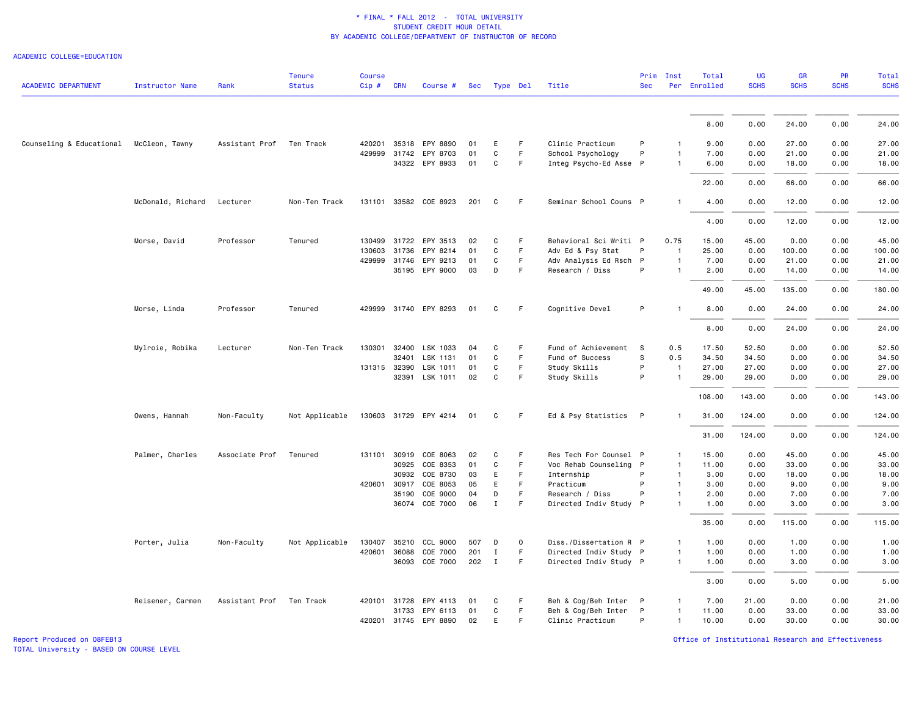ACADEMIC COLLEGE=EDUCATION

|                            |                        |                | <b>Tenure</b>  | <b>Course</b> |            |                       |     |                |             |                        | Prim         | Inst           | Total        | UG          | <b>GR</b>   | PR          | Total       |
|----------------------------|------------------------|----------------|----------------|---------------|------------|-----------------------|-----|----------------|-------------|------------------------|--------------|----------------|--------------|-------------|-------------|-------------|-------------|
| <b>ACADEMIC DEPARTMENT</b> | <b>Instructor Name</b> | Rank           | <b>Status</b>  | Cip#          | <b>CRN</b> | Course #              |     | Sec Type Del   |             | Title                  | <b>Sec</b>   |                | Per Enrolled | <b>SCHS</b> | <b>SCHS</b> | <b>SCHS</b> | <b>SCHS</b> |
|                            |                        |                |                |               |            |                       |     |                |             |                        |              |                |              |             |             |             |             |
|                            |                        |                |                |               |            |                       |     |                |             |                        |              |                | 8.00         | 0.00        | 24.00       | 0.00        | 24.00       |
| Counseling & Educational   | McCleon, Tawny         | Assistant Prof | Ten Track      | 420201        |            | 35318 EPY 8890        | 01  | Е              | F           | Clinic Practicum       | P            |                | 9.00         | 0.00        | 27.00       | 0.00        | 27.00       |
|                            |                        |                |                | 429999        | 31742      | EPY 8703              | 01  | C              | F.          | School Psychology      | P            |                | 7.00         | 0.00        | 21.00       | 0.00        | 21.00       |
|                            |                        |                |                |               |            | 34322 EPY 8933        | 01  | C              | F.          | Integ Psycho-Ed Asse P |              |                | 6.00         | 0.00        | 18.00       | 0.00        | 18.00       |
|                            |                        |                |                |               |            |                       |     |                |             |                        |              |                | 22.00        | 0.00        | 66.00       | 0.00        | 66.00       |
|                            | McDonald, Richard      | Lecturer       | Non-Ten Track  |               |            | 131101 33582 COE 8923 | 201 | C              | F.          | Seminar School Couns P |              |                | 4.00         | 0.00        | 12.00       | 0.00        | 12.00       |
|                            |                        |                |                |               |            |                       |     |                |             |                        |              |                | 4.00         | 0.00        | 12.00       | 0.00        | 12.00       |
|                            | Morse, David           | Professor      | Tenured        | 130499        | 31722      | EPY 3513              | 02  | C              | F           | Behavioral Sci Writi P |              | 0.75           | 15.00        | 45.00       | 0.00        | 0.00        | 45.00       |
|                            |                        |                |                | 130603        | 31736      | EPY 8214              | 01  | C              | F           | Adv Ed & Psy Stat      | P            |                | 25.00        | 0.00        | 100.00      | 0.00        | 100.00      |
|                            |                        |                |                | 429999        | 31746      | EPY 9213              | 01  | C              | F.          | Adv Analysis Ed Rsch P |              | $\mathbf{1}$   | 7.00         | 0.00        | 21.00       | 0.00        | 21.00       |
|                            |                        |                |                |               |            | 35195 EPY 9000        | 03  | D              | F.          | Research / Diss        | P            |                | 2.00         | 0.00        | 14.00       | 0.00        | 14.00       |
|                            |                        |                |                |               |            |                       |     |                |             |                        |              |                | 49.00        | 45.00       | 135.00      | 0.00        | 180.00      |
|                            | Morse, Linda           | Professor      | Tenured        | 429999        |            | 31740 EPY 8293        | 01  | C              | F           | Cognitive Devel        | P            |                | 8.00         | 0.00        | 24.00       | 0.00        | 24.00       |
|                            |                        |                |                |               |            |                       |     |                |             |                        |              |                | 8.00         | 0.00        | 24.00       | 0.00        | 24.00       |
|                            | Mylroie, Robika        | Lecturer       | Non-Ten Track  | 130301        |            | 32400 LSK 1033        | 04  | C              | F           | Fund of Achievement    | -S           | 0.5            | 17.50        | 52.50       | 0.00        | 0.00        | 52.50       |
|                            |                        |                |                |               | 32401      | LSK 1131              | 01  | C              | F           | Fund of Success        | s            | 0.5            | 34.50        | 34.50       | 0.00        | 0.00        | 34.50       |
|                            |                        |                |                |               |            | 131315 32390 LSK 1011 | 01  | C              | F.          | Study Skills           | P            | $\overline{1}$ | 27.00        | 27.00       | 0.00        | 0.00        | 27.00       |
|                            |                        |                |                |               |            | 32391 LSK 1011        | 02  | C              | F.          | Study Skills           | P            |                | 29.00        | 29.00       | 0.00        | 0.00        | 29.00       |
|                            |                        |                |                |               |            |                       |     |                |             |                        |              |                | 108.00       | 143.00      | 0.00        | 0.00        | 143.00      |
|                            | Owens, Hannah          | Non-Faculty    | Not Applicable |               |            | 130603 31729 EPY 4214 | 01  | C              | F           | Ed & Psy Statistics    | $\mathsf{P}$ |                | 31.00        | 124.00      | 0.00        | 0.00        | 124.00      |
|                            |                        |                |                |               |            |                       |     |                |             |                        |              |                | 31.00        | 124.00      | 0.00        | 0.00        | 124.00      |
|                            | Palmer, Charles        | Associate Prof | Tenured        |               |            | 131101 30919 COE 8063 | 02  | C              | F           | Res Tech For Counsel P |              |                | 15.00        | 0.00        | 45.00       | 0.00        | 45.00       |
|                            |                        |                |                |               | 30925      | COE 8353              | 01  | C              | F.          | Voc Rehab Counseling P |              | -1             | 11.00        | 0.00        | 33.00       | 0.00        | 33.00       |
|                            |                        |                |                |               | 30932      | COE 8730              | 03  | E              | F.          | Internship             | P            |                | 3.00         | 0.00        | 18.00       | 0.00        | 18.00       |
|                            |                        |                |                | 420601        | 30917      | COE 8053              | 05  | E              | F.          | Practicum              | P            |                | 3.00         | 0.00        | 9.00        | 0.00        | 9.00        |
|                            |                        |                |                |               | 35190      | COE 9000              | 04  | D              | F.          | Research / Diss        | P            | $\mathbf{1}$   | 2.00         | 0.00        | 7.00        | 0.00        | 7.00        |
|                            |                        |                |                |               |            | 36074 COE 7000        | 06  | $\mathbf I$    | F           | Directed Indiv Study P |              |                | 1.00         | 0.00        | 3.00        | 0.00        | 3.00        |
|                            |                        |                |                |               |            |                       |     |                |             |                        |              |                | 35.00        | 0.00        | 115.00      | 0.00        | 115.00      |
|                            | Porter, Julia          | Non-Faculty    | Not Applicable | 130407        | 35210      | CCL 9000              | 507 | D              | $\mathbf 0$ | Diss./Dissertation R P |              |                | 1.00         | 0.00        | 1.00        | 0.00        | 1.00        |
|                            |                        |                |                | 420601        | 36088      | COE 7000              | 201 | $\mathbf I$    | F           | Directed Indiv Study P |              | $\mathbf{1}$   | 1.00         | 0.00        | 1.00        | 0.00        | 1.00        |
|                            |                        |                |                |               |            | 36093 COE 7000        | 202 | $\blacksquare$ | F           | Directed Indiv Study P |              | $\mathbf{1}$   | 1.00         | 0.00        | 3.00        | 0.00        | 3.00        |
|                            |                        |                |                |               |            |                       |     |                |             |                        |              |                | 3.00         | 0.00        | 5.00        | 0.00        | 5.00        |
|                            | Reisener, Carmen       | Assistant Prof | Ten Track      | 420101        | 31728      | EPY 4113              | 01  | C              | F           | Beh & Cog/Beh Inter    | $\mathsf{P}$ | $\mathbf{1}$   | 7.00         | 21.00       | 0.00        | 0.00        | 21.00       |
|                            |                        |                |                |               | 31733      | EPY 6113              | 01  | C              | F.          | Beh & Cog/Beh Inter    | P            | $\mathbf{1}$   | 11.00        | 0.00        | 33.00       | 0.00        | 33.00       |
|                            |                        |                |                |               |            | 420201 31745 EPY 8890 | 02  | E.             | F.          | Clinic Practicum       | P            | $\mathbf{1}$   | 10.00        | 0.00        | 30.00       | 0.00        | 30.00       |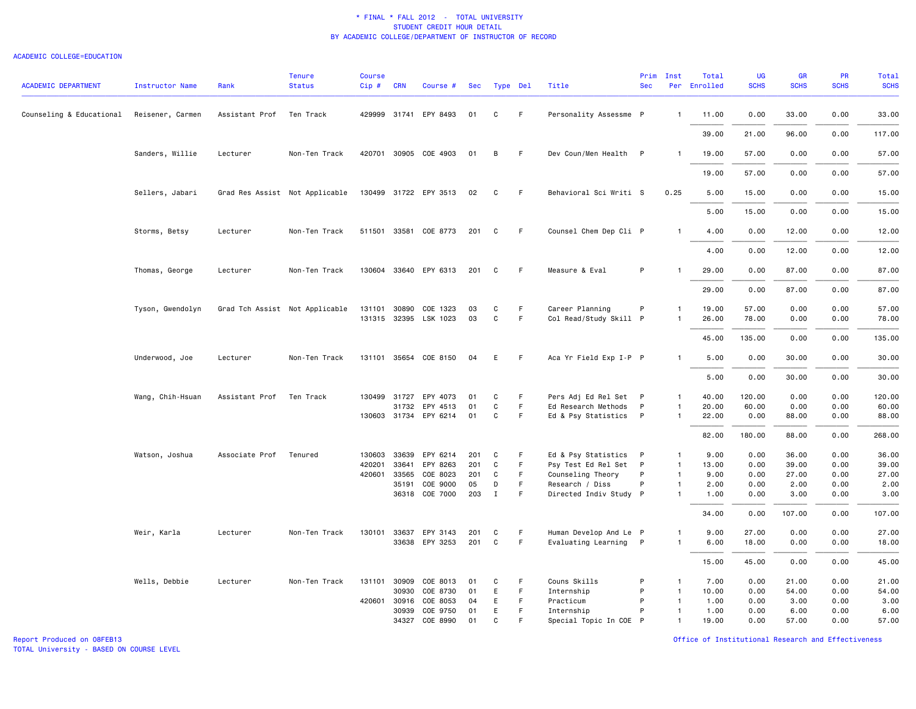#### ACADEMIC COLLEGE=EDUCATION

| ACADEMIC DEPARTMENT      | <b>Instructor Name</b> | Rank           | <b>Tenure</b><br><b>Status</b> | <b>Course</b><br>$Cip$ # | <b>CRN</b>     | Course #              | Sec       |              | Type Del | Title                                     | Prim<br><b>Sec</b> | Inst                           | Total<br>Per Enrolled | <b>UG</b><br><b>SCHS</b> | GR<br><b>SCHS</b> | PR<br><b>SCHS</b> | <b>Total</b><br><b>SCHS</b> |
|--------------------------|------------------------|----------------|--------------------------------|--------------------------|----------------|-----------------------|-----------|--------------|----------|-------------------------------------------|--------------------|--------------------------------|-----------------------|--------------------------|-------------------|-------------------|-----------------------------|
| Counseling & Educational | Reisener, Carmen       | Assistant Prof | Ten Track                      |                          |                | 429999 31741 EPY 8493 | 01        | C            | F        | Personality Assessme P                    |                    | $\mathbf{1}$                   | 11.00                 | 0.00                     | 33.00             | 0.00              | 33.00                       |
|                          |                        |                |                                |                          |                |                       |           |              |          |                                           |                    |                                | 39.00                 | 21.00                    | 96.00             | 0.00              | 117.00                      |
|                          | Sanders, Willie        | Lecturer       | Non-Ten Track                  |                          |                | 420701 30905 COE 4903 | 01        | B            | F.       | Dev Coun/Men Health P                     |                    | $\mathbf{1}$                   | 19.00                 | 57.00                    | 0.00              | 0.00              | 57.00                       |
|                          |                        |                |                                |                          |                |                       |           |              |          |                                           |                    |                                | 19.00                 | 57.00                    | 0.00              | 0.00              | 57.00                       |
|                          | Sellers, Jabari        |                | Grad Res Assist Not Applicable |                          |                | 130499 31722 EPY 3513 | 02        | C            | F.       | Behavioral Sci Writi S                    |                    | 0.25                           | 5.00                  | 15.00                    | 0.00              | 0.00              | 15.00                       |
|                          |                        |                |                                |                          |                |                       |           |              |          |                                           |                    |                                | 5.00                  | 15.00                    | 0.00              | 0.00              | 15.00                       |
|                          | Storms, Betsy          | Lecturer       | Non-Ten Track                  |                          |                | 511501 33581 COE 8773 | 201       | C            | F        | Counsel Chem Dep Cli P                    |                    | $\mathbf{1}$                   | 4.00                  | 0.00                     | 12.00             | 0.00              | 12.00                       |
|                          |                        |                |                                |                          |                |                       |           |              |          |                                           |                    |                                | 4.00                  | 0.00                     | 12.00             | 0.00              | 12.00                       |
|                          | Thomas, George         | Lecturer       | Non-Ten Track                  |                          |                | 130604 33640 EPY 6313 | 201       | C            | F        | Measure & Eval                            | P                  | $\mathbf{1}$                   | 29.00                 | 0.00                     | 87.00             | 0.00              | 87.00                       |
|                          |                        |                |                                |                          |                |                       |           |              |          |                                           |                    |                                | 29.00                 | 0.00                     | 87.00             | 0.00              | 87.00                       |
|                          | Tyson, Gwendolyn       |                | Grad Tch Assist Not Applicable | 131101                   | 30890          | COE 1323              | 03        | C            | F.       | Career Planning                           | P                  | 1                              | 19.00                 | 57.00                    | 0.00              | 0.00              | 57.00                       |
|                          |                        |                |                                |                          |                | 131315 32395 LSK 1023 | 03        | $\mathtt{C}$ | F        | Col Read/Study Skill P                    |                    | $\mathbf{1}$                   | 26.00                 | 78.00                    | 0.00              | 0.00              | 78.00                       |
|                          |                        |                |                                |                          |                |                       |           |              |          |                                           |                    |                                | 45.00                 | 135.00                   | 0.00              | 0.00              | 135.00                      |
|                          | Underwood, Joe         | Lecturer       | Non-Ten Track                  |                          |                | 131101 35654 COE 8150 | 04        | E            | F.       | Aca Yr Field Exp I-P P                    |                    | $\mathbf{1}$                   | 5.00                  | 0.00                     | 30.00             | 0.00              | 30.00                       |
|                          |                        |                |                                |                          |                |                       |           |              |          |                                           |                    |                                | 5.00                  | 0.00                     | 30.00             | 0.00              | 30.00                       |
|                          | Wang, Chih-Hsuan       | Assistant Prof | Ten Track                      |                          | 130499 31727   | EPY 4073              | 01        | C            | F.       | Pers Adj Ed Rel Set P                     |                    | $\mathbf{1}$                   | 40.00                 | 120.00                   | 0.00              | 0.00              | 120.00                      |
|                          |                        |                |                                |                          |                | 31732 EPY 4513        | 01        | C            | F.       | Ed Research Methods                       | P                  | $\mathbf{1}$                   | 20.00                 | 60.00                    | 0.00              | 0.00              | 60.00                       |
|                          |                        |                |                                |                          |                | 130603 31734 EPY 6214 | 01        | C            | F.       | Ed & Psy Statistics                       | $\mathsf{P}$       | $\mathbf{1}$                   | 22.00                 | 0.00                     | 88.00             | 0.00              | 88.00                       |
|                          |                        |                |                                |                          |                |                       |           |              |          |                                           |                    |                                | 82.00                 | 180.00                   | 88.00             | 0.00              | 268.00                      |
|                          | Watson, Joshua         | Associate Prof | Tenured                        | 130603                   | 33639          | EPY 6214              | 201       | C            | F.       | Ed & Psy Statistics P                     |                    | $\mathbf{1}$                   | 9.00                  | 0.00                     | 36.00             | 0.00              | 36.00                       |
|                          |                        |                |                                | 420201                   | 33641          | EPY 8263              | 201       | C            | F        | Psy Test Ed Rel Set                       | $\mathsf{P}$       | $\mathbf{1}$                   | 13.00                 | 0.00                     | 39.00             | 0.00              | 39.00                       |
|                          |                        |                |                                | 420601                   | 33565<br>35191 | COE 8023<br>COE 9000  | 201<br>05 | C<br>D       | F.<br>F  | Counseling Theory                         | P<br>P             | $\overline{1}$<br>$\mathbf{1}$ | 9.00<br>2.00          | 0.00<br>0.00             | 27.00             | 0.00              | 27.00<br>2.00               |
|                          |                        |                |                                |                          |                | 36318 COE 7000        | 203       | $\mathbf{I}$ | F.       | Research / Diss<br>Directed Indiv Study P |                    | $\mathbf{1}$                   | 1.00                  | 0.00                     | 2.00<br>3.00      | 0.00<br>0.00      | 3.00                        |
|                          |                        |                |                                |                          |                |                       |           |              |          |                                           |                    |                                | 34.00                 | 0.00                     | 107.00            | 0.00              | 107.00                      |
|                          | Weir, Karla            | Lecturer       | Non-Ten Track                  | 130101                   | 33637          | EPY 3143              | 201       | C            | F.       | Human Develop And Le P                    |                    | 1                              | 9.00                  | 27.00                    | 0.00              | 0.00              | 27.00                       |
|                          |                        |                |                                |                          |                | 33638 EPY 3253        | 201       | C            | F        | Evaluating Learning P                     |                    | $\mathbf{1}$                   | 6.00                  | 18.00                    | 0.00              | 0.00              | 18.00                       |
|                          |                        |                |                                |                          |                |                       |           |              |          |                                           |                    |                                | 15.00                 | 45.00                    | 0.00              | 0.00              | 45.00                       |
|                          | Wells, Debbie          | Lecturer       | Non-Ten Track                  | 131101 30909             |                | COE 8013              | 01        | C            | F.       | Couns Skills                              | P                  | -1                             | 7.00                  | 0.00                     | 21.00             | 0.00              | 21.00                       |
|                          |                        |                |                                |                          | 30930          | COE 8730              | 01        | E            | F        | Internship                                | P                  | $\overline{1}$                 | 10.00                 | 0.00                     | 54.00             | 0.00              | 54.00                       |
|                          |                        |                |                                | 420601 30916             | 30939          | COE 8053<br>COE 9750  | 04<br>01  | E<br>E       | F.<br>F. | Practicum<br>Internship                   | P<br>P             | $\overline{1}$<br>$\mathbf{1}$ | 1.00<br>1.00          | 0.00<br>0.00             | 3.00<br>6.00      | 0.00<br>0.00      | 3.00<br>6.00                |
|                          |                        |                |                                |                          |                | 34327 COE 8990        | 01        | $\mathsf{C}$ | F        | Special Topic In COE P                    |                    | $\mathbf{1}$                   | 19.00                 | 0.00                     | 57.00             | 0.00              | 57.00                       |
|                          |                        |                |                                |                          |                |                       |           |              |          |                                           |                    |                                |                       |                          |                   |                   |                             |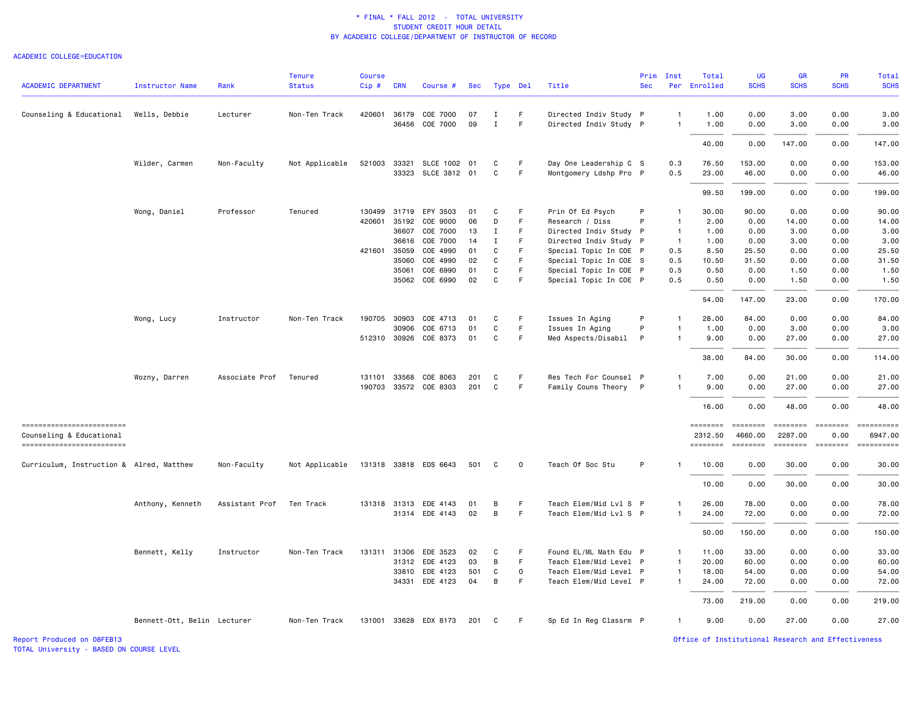#### ACADEMIC COLLEGE=EDUCATION

| <b>ACADEMIC DEPARTMENT</b>                           | <b>Instructor Name</b>      | Rank           | <b>Tenure</b><br><b>Status</b> | <b>Course</b><br>$Cip$ # | <b>CRN</b>   | Course #              | Sec | Type Del     |              | Title                  | Prim<br><b>Sec</b> | Inst           | Total<br>Per Enrolled | UG<br><b>SCHS</b>   | GR<br><b>SCHS</b>   | PR<br><b>SCHS</b> | Total<br><b>SCHS</b>  |
|------------------------------------------------------|-----------------------------|----------------|--------------------------------|--------------------------|--------------|-----------------------|-----|--------------|--------------|------------------------|--------------------|----------------|-----------------------|---------------------|---------------------|-------------------|-----------------------|
| Counseling & Educational                             | Wells, Debbie               | Lecturer       | Non-Ten Track                  |                          | 420601 36179 | COE 7000              | 07  | п.           | F            | Directed Indiv Study P |                    | -1             | 1.00                  | 0.00                | 3.00                | 0.00              | 3.00                  |
|                                                      |                             |                |                                |                          | 36456        | COE 7000              | 09  | Ι.           | F            | Directed Indiv Study P |                    | $\mathbf{1}$   | 1.00                  | 0.00                | 3.00                | 0.00              | 3.00                  |
|                                                      |                             |                |                                |                          |              |                       |     |              |              |                        |                    |                | 40.00                 | 0.00                | 147.00              | 0.00              | 147.00                |
|                                                      | Wilder, Carmen              | Non-Faculty    | Not Applicable                 | 521003                   | 33321        | SLCE 1002 01          |     | C            | F            | Day One Leadership C S |                    | 0.3            | 76.50                 | 153.00              | 0.00                | 0.00              | 153.00                |
|                                                      |                             |                |                                |                          | 33323        | SLCE 3812 01          |     | C            | F            | Montgomery Ldshp Pro P |                    | 0.5            | 23.00                 | 46.00               | 0.00                | 0.00              | 46.00                 |
|                                                      |                             |                |                                |                          |              |                       |     |              |              |                        |                    |                | 99.50                 | 199.00              | 0.00                | 0.00              | 199.00                |
|                                                      | Wong, Daniel                | Professor      | Tenured                        |                          | 130499 31719 | EPY 3503              | 01  | C            | F            | Prin Of Ed Psych       | P                  | -1             | 30.00                 | 90.00               | 0.00                | 0.00              | 90.00                 |
|                                                      |                             |                |                                |                          | 420601 35192 | COE 9000              | 06  | D            | F            | Research / Diss        | P                  | $\overline{1}$ | 2.00                  | 0.00                | 14.00               | 0.00              | 14.00                 |
|                                                      |                             |                |                                |                          | 36607        | COE 7000              | 13  | Ι.           | F            | Directed Indiv Study P |                    | $\overline{1}$ | 1.00                  | 0.00                | 3.00                | 0.00              | 3.00                  |
|                                                      |                             |                |                                |                          | 36616        | COE 7000              | 14  | $\mathbf{I}$ | F.           | Directed Indiv Study P |                    | $\mathbf{1}$   | 1.00                  | 0.00                | 3.00                | 0.00              | 3.00                  |
|                                                      |                             |                |                                |                          | 421601 35059 | COE 4990              | 01  | C            | F            | Special Topic In COE P |                    | 0.5            | 8.50                  | 25.50               | 0.00                | 0.00              | 25.50                 |
|                                                      |                             |                |                                |                          | 35060        | COE 4990              | 02  | C            | F            | Special Topic In COE S |                    | 0.5            | 10.50                 | 31.50               | 0.00                | 0.00              | 31.50                 |
|                                                      |                             |                |                                |                          | 35061        | COE 6990              | 01  | C            | F            | Special Topic In COE P |                    | 0.5            | 0.50                  | 0.00                | 1.50                | 0.00              | 1.50                  |
|                                                      |                             |                |                                |                          |              | 35062 COE 6990        | 02  | C            | F.           | Special Topic In COE P |                    | 0.5            | 0.50                  | 0.00                | 1.50                | 0.00              | 1.50                  |
|                                                      |                             |                |                                |                          |              |                       |     |              |              |                        |                    |                | 54.00                 | 147.00              | 23.00               | 0.00              | 170.00                |
|                                                      | Wong, Lucy                  | Instructor     | Non-Ten Track                  |                          | 190705 30903 | COE 4713              | 01  | C            | F            | Issues In Aging        | P                  | $\mathbf{1}$   | 28.00                 | 84.00               | 0.00                | 0.00              | 84.00                 |
|                                                      |                             |                |                                |                          | 30906        | COE 6713              | 01  | C            | F            | Issues In Aging        | P                  | $\mathbf{1}$   | 1.00                  | 0.00                | 3.00                | 0.00              | 3.00                  |
|                                                      |                             |                |                                |                          | 512310 30926 | COE 8373              | 01  | C            | F            | Med Aspects/Disabil    | P                  |                | 9.00                  | 0.00                | 27.00               | 0.00              | 27.00                 |
|                                                      |                             |                |                                |                          |              |                       |     |              |              |                        |                    |                | 38.00                 | 84.00               | 30.00               | 0.00              | 114.00                |
|                                                      | Wozny, Darren               | Associate Prof | Tenured                        | 131101                   | 33568        | COE 8063              | 201 | C            | F.           | Res Tech For Counsel P |                    |                | 7.00                  | 0.00                | 21.00               | 0.00              | 21.00                 |
|                                                      |                             |                |                                |                          |              | 190703 33572 COE 8303 | 201 | C            | F.           | Family Couns Theory P  |                    | $\overline{1}$ | 9.00                  | 0.00                | 27.00               | 0.00              | 27.00                 |
|                                                      |                             |                |                                |                          |              |                       |     |              |              |                        |                    |                | 16.00                 | 0.00                | 48.00               | 0.00              | 48.00                 |
| ------------------------                             |                             |                |                                |                          |              |                       |     |              |              |                        |                    |                | ========              | ========            | ========            | <b>ESSESSEE</b>   |                       |
| Counseling & Educational<br>------------------------ |                             |                |                                |                          |              |                       |     |              |              |                        |                    |                | 2312.50<br>========   | 4660.00<br>======== | 2287.00<br>======== | 0.00              | 6947.00<br>========== |
| Curriculum, Instruction & Alred, Matthew             |                             | Non-Faculty    | Not Applicable                 |                          |              | 131318 33818 EDS 6643 | 501 | C            | $\mathbf 0$  | Teach Of Soc Stu       | P                  | $\mathbf{1}$   | 10.00                 | 0.00                | 30.00               | 0.00              | 30.00                 |
|                                                      |                             |                |                                |                          |              |                       |     |              |              |                        |                    |                | 10.00                 | 0.00                | 30.00               | 0.00              | 30.00                 |
|                                                      | Anthony, Kenneth            | Assistant Prof | Ten Track                      |                          | 131318 31313 | EDE 4143              | 01  | В            | F.           | Teach Elem/Mid Lvl S P |                    | $\mathbf{1}$   | 26.00                 | 78.00               | 0.00                | 0.00              | 78.00                 |
|                                                      |                             |                |                                |                          |              | 31314 EDE 4143        | 02  | B            | F            | Teach Elem/Mid Lvl S P |                    | $\overline{1}$ | 24.00                 | 72.00               | 0.00                | 0.00              | 72.00                 |
|                                                      |                             |                |                                |                          |              |                       |     |              |              |                        |                    |                |                       |                     |                     |                   |                       |
|                                                      |                             |                |                                |                          |              |                       |     |              |              |                        |                    |                | 50.00                 | 150.00              | 0.00                | 0.00              | 150.00                |
|                                                      | Bennett, Kelly              | Instructor     | Non-Ten Track                  |                          | 131311 31306 | EDE 3523              | 02  | C            | F            | Found EL/ML Math Edu P |                    | $\mathbf{1}$   | 11.00                 | 33.00               | 0.00                | 0.00              | 33.00                 |
|                                                      |                             |                |                                |                          |              | 31312 EDE 4123        | 03  | В            | F.           | Teach Elem/Mid Level P |                    | $\overline{1}$ | 20.00                 | 60.00               | 0.00                | 0.00              | 60.00                 |
|                                                      |                             |                |                                |                          |              | 33810 EDE 4123        | 501 | C            | $\mathsf{O}$ | Teach Elem/Mid Level P |                    | $\mathbf{1}$   | 18.00                 | 54.00               | 0.00                | 0.00              | 54.00                 |
|                                                      |                             |                |                                |                          |              | 34331 EDE 4123        | 04  | $\, {\bf B}$ | F            | Teach Elem/Mid Level P |                    | $\mathbf{1}$   | 24.00                 | 72.00               | 0.00                | 0.00              | 72.00                 |
|                                                      |                             |                |                                |                          |              |                       |     |              |              |                        |                    |                | 73.00                 | 219.00              | 0.00                | 0.00              | 219.00                |
|                                                      | Bennett-Ott, Belin Lecturer |                | Non-Ten Track                  |                          |              | 131001 33628 EDX 8173 | 201 | C            | F.           | Sp Ed In Reg Classrm P |                    | $\overline{1}$ | 9.00                  | 0.00                | 27.00               | 0.00              | 27.00                 |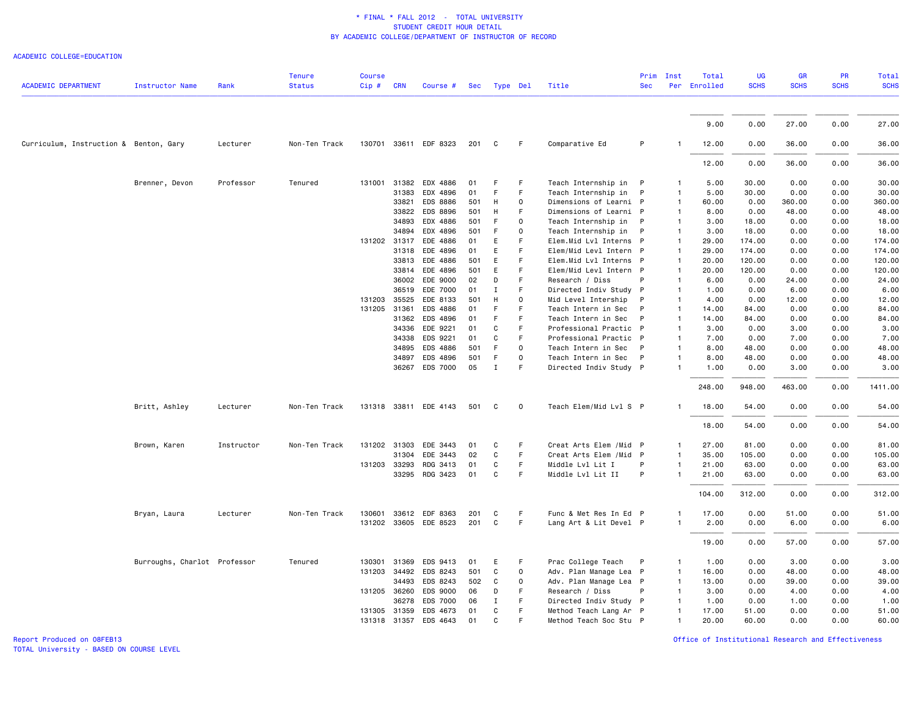ACADEMIC COLLEGE=EDUCATION

| <b>ACADEMIC DEPARTMENT</b>             | Instructor Name              | Rank       | <b>Tenure</b><br><b>Status</b> | <b>Course</b><br>Cip # CRN |              | Course #              |     | Sec Type Del |                     | Title                   | Prim<br><b>Sec</b> | Inst         | Total<br>Per Enrolled | <b>UG</b><br><b>SCHS</b> | <b>GR</b><br><b>SCHS</b> | PR<br><b>SCHS</b> | Total<br><b>SCHS</b> |
|----------------------------------------|------------------------------|------------|--------------------------------|----------------------------|--------------|-----------------------|-----|--------------|---------------------|-------------------------|--------------------|--------------|-----------------------|--------------------------|--------------------------|-------------------|----------------------|
|                                        |                              |            |                                |                            |              |                       |     |              |                     |                         |                    |              |                       |                          |                          |                   |                      |
|                                        |                              |            |                                |                            |              |                       |     |              |                     |                         |                    |              | 9.00                  | 0.00                     | 27.00                    | 0.00              | 27.00                |
| Curriculum, Instruction & Benton, Gary |                              | Lecturer   | Non-Ten Track                  |                            |              | 130701 33611 EDF 8323 | 201 | C            | F                   | Comparative Ed          | P                  |              | 12.00                 | 0.00                     | 36.00                    | 0.00              | 36.00                |
|                                        |                              |            |                                |                            |              |                       |     |              |                     |                         |                    |              | 12.00                 | 0.00                     | 36.00                    | 0.00              | 36.00                |
|                                        | Brenner, Devon               | Professor  | Tenured                        | 131001                     | 31382        | EDX 4886              | 01  | F            | F                   | Teach Internship in     | P                  |              | 5.00                  | 30.00                    | 0.00                     | 0.00              | 30.00                |
|                                        |                              |            |                                |                            | 31383        | EDX 4896              | 01  | F            | F                   | Teach Internship in     | P                  |              | 5.00                  | 30.00                    | 0.00                     | 0.00              | 30.00                |
|                                        |                              |            |                                |                            | 33821        | EDS 8886              | 501 | H            | 0                   | Dimensions of Learni P  |                    | -1           | 60.00                 | 0.00                     | 360.00                   | 0.00              | 360.00               |
|                                        |                              |            |                                |                            | 33822        | EDS 8896              | 501 | H            | F                   | Dimensions of Learni P  |                    |              | 8.00                  | 0.00                     | 48.00                    | 0.00              | 48.00                |
|                                        |                              |            |                                |                            | 34893        | EDX 4886              | 501 | F            | 0                   | Teach Internship in     | $\mathsf{P}$       | -1           | 3.00                  | 18.00                    | 0.00                     | 0.00              | 18.00                |
|                                        |                              |            |                                |                            | 34894        | EDX 4896              | 501 | F            | 0                   | Teach Internship in     | P                  |              | 3.00                  | 18.00                    | 0.00                     | 0.00              | 18.00                |
|                                        |                              |            |                                | 131202                     | 31317        | EDE 4886              | 01  | E            | F                   | Elem.Mid Lvl Interns P  |                    |              | 29.00                 | 174.00                   | 0.00                     | 0.00              | 174.00               |
|                                        |                              |            |                                |                            | 31318        | EDE 4896              | 01  | E.           | F                   | Elem/Mid Levl Intern P  |                    | $\mathbf{1}$ | 29.00                 | 174.00                   | 0.00                     | 0.00              | 174.00               |
|                                        |                              |            |                                |                            | 33813        | EDE 4886              | 501 | E            | F                   | Elem.Mid Lvl Interns P  |                    | -1           | 20.00                 | 120.00                   | 0.00                     | 0.00              | 120.00               |
|                                        |                              |            |                                |                            | 33814        | EDE 4896              | 501 | E            | F                   | Elem/Mid Levl Intern P  |                    |              | 20.00                 | 120.00                   | 0.00                     | 0.00              | 120.00               |
|                                        |                              |            |                                |                            | 36002        | EDE 9000              | 02  | D            | F                   | Research / Diss         | P                  |              | 6.00                  | 0.00                     | 24.00                    | 0.00              | 24.00                |
|                                        |                              |            |                                |                            | 36519        | EDE 7000              | 01  | Ι.           | F                   | Directed Indiv Study P  |                    |              | 1.00                  | 0.00                     | 6.00                     | 0.00              | 6.00                 |
|                                        |                              |            |                                | 131203                     | 35525        | EDE 8133              | 501 | H            | 0                   | Mid Level Intership     | P                  |              | 4.00                  | 0.00                     | 12.00                    | 0.00              | 12.00                |
|                                        |                              |            |                                | 131205                     | 31361        | EDS 4886              | 01  | -F           | F                   | Teach Intern in Sec     | P                  |              | 14.00                 | 84.00                    | 0.00                     | 0.00              | 84.00                |
|                                        |                              |            |                                |                            |              | 31362 EDS 4896        | 01  | F            | F.                  | Teach Intern in Sec     | $\mathsf{P}$       | -1           | 14.00                 | 84.00                    | 0.00                     | 0.00              | 84.00                |
|                                        |                              |            |                                |                            | 34336        | EDE 9221              | 01  | C            | F                   | Professional Practic P  |                    |              | 3.00                  | 0.00                     | 3.00                     | 0.00              | 3.00                 |
|                                        |                              |            |                                |                            | 34338        | EDS 9221              | 01  | C            | F                   | Professional Practic P  |                    |              | 7.00                  | 0.00                     | 7.00                     | 0.00              | 7.00                 |
|                                        |                              |            |                                |                            | 34895        | EDS 4886              | 501 | F            | $\mathbf 0$         | Teach Intern in Sec     | $\mathsf{P}$       |              | 8.00                  | 48.00                    | 0.00                     | 0.00              | 48.00                |
|                                        |                              |            |                                |                            | 34897        | EDS 4896              | 501 | F            | 0                   | Teach Intern in Sec     | $\mathsf{P}$       |              | 8.00                  | 48.00                    | 0.00                     | 0.00              | 48.00                |
|                                        |                              |            |                                |                            |              | 36267 EDS 7000        | 05  | $\mathbf I$  | F.                  | Directed Indiv Study P  |                    |              | 1.00                  | 0.00                     | 3.00                     | 0.00              | 3.00                 |
|                                        |                              |            |                                |                            |              |                       |     |              |                     |                         |                    |              | 248.00                | 948.00                   | 463.00                   | 0.00              | 1411.00              |
|                                        | Britt, Ashley                | Lecturer   | Non-Ten Track                  |                            |              | 131318 33811 EDE 4143 | 501 | C            | 0                   | Teach Elem/Mid Lvl S P  |                    |              | 18.00                 | 54.00                    | 0.00                     | 0.00              | 54.00                |
|                                        |                              |            |                                |                            |              |                       |     |              |                     |                         |                    |              | 18.00                 | 54.00                    | 0.00                     | 0.00              | 54.00                |
|                                        | Brown, Karen                 | Instructor | Non-Ten Track                  |                            | 131202 31303 | EDE 3443              | 01  | C            | F                   | Creat Arts Elem / Mid P |                    |              | 27.00                 | 81.00                    | 0.00                     | 0.00              | 81.00                |
|                                        |                              |            |                                |                            | 31304        | EDE 3443              | 02  | C            | F.                  | Creat Arts Elem / Mid P |                    | $\mathbf{1}$ | 35.00                 | 105.00                   | 0.00                     | 0.00              | 105.00               |
|                                        |                              |            |                                |                            | 131203 33293 | RDG 3413              | 01  | C            | F.                  | Middle Lvl Lit I        | P                  | -1           | 21.00                 | 63.00                    | 0.00                     | 0.00              | 63.00                |
|                                        |                              |            |                                |                            |              | 33295 RDG 3423        | 01  | C            | F                   | Middle Lvl Lit II       | P                  | $\mathbf{1}$ | 21.00                 | 63.00                    | 0.00                     | 0.00              | 63.00                |
|                                        |                              |            |                                |                            |              |                       |     |              |                     |                         |                    |              | 104.00                | 312.00                   | 0.00                     | 0.00              | 312.00               |
|                                        | Bryan, Laura                 | Lecturer   | Non-Ten Track                  | 130601                     |              | 33612 EDF 8363        | 201 | C            | F                   | Func & Met Res In Ed P  |                    |              | 17.00                 | 0.00                     | 51.00                    | 0.00              | 51.00                |
|                                        |                              |            |                                |                            |              | 131202 33605 EDE 8523 | 201 | $\mathsf{C}$ | F                   | Lang Art & Lit Devel P  |                    |              | 2.00                  | 0.00                     | 6.00                     | 0.00              | 6.00                 |
|                                        |                              |            |                                |                            |              |                       |     |              |                     |                         |                    |              | 19.00                 | 0.00                     | 57.00                    | 0.00              | 57.00                |
|                                        | Burroughs, Charlot Professor |            | Tenured                        | 130301                     | 31369        | EDS 9413              | 01  | E            | F                   | Prac College Teach      | P                  | -1           | 1.00                  | 0.00                     | 3.00                     | 0.00              | 3.00                 |
|                                        |                              |            |                                | 131203                     | 34492        | EDS 8243              | 501 | $\mathsf{C}$ | $\mathsf{O}\xspace$ | Adv. Plan Manage Lea P  |                    |              | 16.00                 | 0.00                     | 48.00                    | 0.00              | 48.00                |
|                                        |                              |            |                                |                            | 34493        | EDS 8243              | 502 | C            | 0                   | Adv. Plan Manage Lea P  |                    | -1           | 13.00                 | 0.00                     | 39.00                    | 0.00              | 39.00                |
|                                        |                              |            |                                | 131205                     | 36260        | EDS 9000              | 06  | D            | F                   | Research / Diss         | P                  |              | 3.00                  | 0.00                     | 4.00                     | 0.00              | 4.00                 |
|                                        |                              |            |                                |                            | 36278        | <b>EDS 7000</b>       | 06  | Ι.           | F                   | Directed Indiv Study P  |                    |              | 1.00                  | 0.00                     | 1.00                     | 0.00              | 1.00                 |
|                                        |                              |            |                                |                            | 131305 31359 | EDS 4673              | 01  | C            | F                   | Method Teach Lang Ar P  |                    |              | 17.00                 | 51.00                    | 0.00                     | 0.00              | 51.00                |
|                                        |                              |            |                                |                            | 131318 31357 | EDS 4643              | 01  | C            | F                   | Method Teach Soc Stu P  |                    | -1           | 20.00                 | 60.00                    | 0.00                     | 0.00              | 60.00                |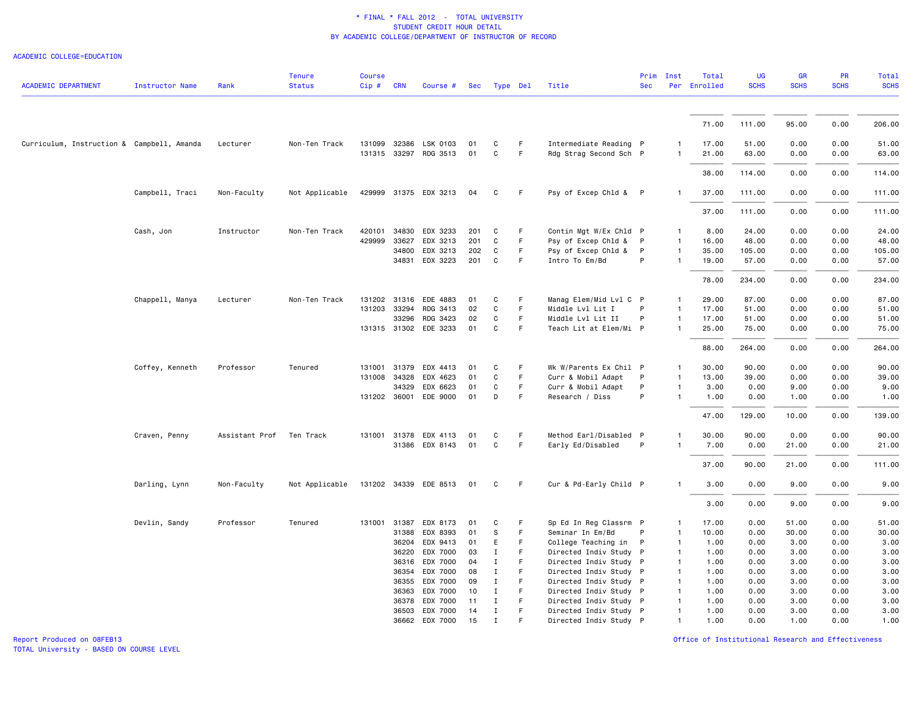### ACADEMIC COLLEGE=EDUCATION

|                                            |                        |                          | <b>Tenure</b>  | <b>Course</b> |            |                       |     |              |        |                        |            | Prim Inst      | Total        | UG          | GR          | PR          | <b>Total</b> |
|--------------------------------------------|------------------------|--------------------------|----------------|---------------|------------|-----------------------|-----|--------------|--------|------------------------|------------|----------------|--------------|-------------|-------------|-------------|--------------|
| ACADEMIC DEPARTMENT                        | <b>Instructor Name</b> | Rank                     | <b>Status</b>  | $Cip \#$      | <b>CRN</b> | Course #              | Sec | Type Del     |        | Title                  | <b>Sec</b> |                | Per Enrolled | <b>SCHS</b> | <b>SCHS</b> | <b>SCHS</b> | <b>SCHS</b>  |
|                                            |                        |                          |                |               |            |                       |     |              |        |                        |            |                | 71.00        | 111.00      | 95.00       | 0.00        | 206.00       |
|                                            |                        |                          |                |               |            |                       |     |              |        |                        |            |                |              |             |             |             |              |
| Curriculum, Instruction & Campbell, Amanda |                        | Lecturer                 | Non-Ten Track  |               |            | 131099 32386 LSK 0103 | 01  | C            | F.     | Intermediate Reading P |            | 1              | 17.00        | 51.00       | 0.00        | 0.00        | 51.00        |
|                                            |                        |                          |                |               |            | 131315 33297 RDG 3513 | 01  | $\mathtt{C}$ | F      | Rdg Strag Second Sch P |            | $\mathbf{1}$   | 21.00        | 63.00       | 0.00        | 0.00        | 63.00        |
|                                            |                        |                          |                |               |            |                       |     |              |        |                        |            |                | 38.00        | 114.00      | 0.00        | 0.00        | 114.00       |
|                                            | Campbell, Traci        | Non-Faculty              | Not Applicable |               |            | 429999 31375 EDX 3213 | 04  | C            | F.     | Psy of Excep Chld & P  |            | $\mathbf{1}$   | 37.00        | 111.00      | 0.00        | 0.00        | 111.00       |
|                                            |                        |                          |                |               |            |                       |     |              |        |                        |            |                | 37.00        | 111.00      | 0.00        | 0.00        | 111.00       |
|                                            | Cash, Jon              | Instructor               | Non-Ten Track  | 420101        | 34830      | EDX 3233              | 201 | C            | F.     | Contin Mgt W/Ex Chld P |            | 1              | 8.00         | 24.00       | 0.00        | 0.00        | 24.00        |
|                                            |                        |                          |                | 429999        | 33627      | EDX 3213              | 201 | C            | F      | Psy of Excep Chld & P  |            | $\mathbf{1}$   | 16.00        | 48.00       | 0.00        | 0.00        | 48.00        |
|                                            |                        |                          |                |               | 34800      | EDX 3213              | 202 | $\mathtt{C}$ | F.     | Psy of Excep Chld &    | P          | $\mathbf{1}$   | 35.00        | 105.00      | 0.00        | 0.00        | 105.00       |
|                                            |                        |                          |                |               | 34831      | EDX 3223              | 201 | C            | F      | Intro To Em/Bd         | P          | $\mathbf{1}$   | 19.00        | 57.00       | 0.00        | 0.00        | 57.00        |
|                                            |                        |                          |                |               |            |                       |     |              |        |                        |            |                | 78.00        | 234.00      | 0.00        | 0.00        | 234.00       |
|                                            | Chappell, Manya        | Lecturer                 | Non-Ten Track  | 131202 31316  |            | EDE 4883              | 01  | C            | F      | Manag Elem/Mid Lvl C P |            | $\mathbf{1}$   | 29.00        | 87.00       | 0.00        | 0.00        | 87.00        |
|                                            |                        |                          |                | 131203 33294  |            | RDG 3413              | 02  | C            | F      | Middle Lvl Lit I       | P          | $\mathbf{1}$   | 17.00        | 51.00       | 0.00        | 0.00        | 51.00        |
|                                            |                        |                          |                |               | 33296      | RDG 3423              | 02  | C            | F      | Middle Lvl Lit II      | P          | $\mathbf{1}$   | 17.00        | 51.00       | 0.00        | 0.00        | 51.00        |
|                                            |                        |                          |                |               |            | 131315 31302 EDE 3233 | 01  | C            | F.     | Teach Lit at Elem/Mi P |            | $\mathbf{1}$   | 25.00        | 75.00       | 0.00        | 0.00        | 75.00        |
|                                            |                        |                          |                |               |            |                       |     |              |        |                        |            |                | 88.00        | 264.00      | 0.00        | 0.00        | 264.00       |
|                                            | Coffey, Kenneth        | Professor                | Tenured        | 131001 31379  |            | EDX 4413              | 01  | C            | F      | Wk W/Parents Ex Chil P |            | $\mathbf{1}$   | 30.00        | 90.00       | 0.00        | 0.00        | 90.00        |
|                                            |                        |                          |                | 131008 34328  |            | EDX 4623              | 01  | C            | F.     | Curr & Mobil Adapt     | P          | $\mathbf{1}$   | 13.00        | 39.00       | 0.00        | 0.00        | 39.00        |
|                                            |                        |                          |                |               | 34329      | EDX 6623              | 01  | C            | F.     | Curr & Mobil Adapt     | P          | $\mathbf{1}$   | 3.00         | 0.00        | 9.00        | 0.00        | 9.00         |
|                                            |                        |                          |                | 131202 36001  |            | EDE 9000              | 01  | D            | F      | Research / Diss        | P          | $\mathbf{1}$   | 1.00         | 0.00        | 1.00        | 0.00        | 1.00         |
|                                            |                        |                          |                |               |            |                       |     |              |        |                        |            |                | 47.00        | 129.00      | 10.00       | 0.00        | 139.00       |
|                                            | Craven, Penny          | Assistant Prof Ten Track |                |               |            | 131001 31378 EDX 4113 | 01  | C            | F.     | Method Earl/Disabled P |            | $\mathbf{1}$   | 30.00        | 90.00       | 0.00        | 0.00        | 90.00        |
|                                            |                        |                          |                |               |            | 31386 EDX 8143        | 01  | $\mathtt{C}$ | F      | Early Ed/Disabled      | P          | $\mathbf{1}$   | 7.00         | 0.00        | 21.00       | 0.00        | 21.00        |
|                                            |                        |                          |                |               |            |                       |     |              |        |                        |            |                | 37.00        | 90.00       | 21.00       | 0.00        | 111.00       |
|                                            | Darling, Lynn          | Non-Faculty              | Not Applicable |               |            | 131202 34339 EDE 8513 | 01  | C            | F.     | Cur & Pd-Early Child P |            | $\mathbf{1}$   | 3.00         | 0.00        | 9.00        | 0.00        | 9.00         |
|                                            |                        |                          |                |               |            |                       |     |              |        |                        |            |                | 3.00         | 0.00        | 9.00        | 0.00        | 9.00         |
|                                            | Devlin, Sandy          | Professor                | Tenured        | 131001 31387  |            | EDX 8173              | 01  | C            | F      | Sp Ed In Reg Classrm P |            | 1              | 17.00        | 0.00        | 51.00       | 0.00        | 51.00        |
|                                            |                        |                          |                |               | 31388      | EDX 8393              | 01  | s            | F      | Seminar In Em/Bd       | P          | $\mathbf{1}$   | 10.00        | 0.00        | 30.00       | 0.00        | 30.00        |
|                                            |                        |                          |                |               | 36204      | EDX 9413              | 01  | E            | F      | College Teaching in    | P          | $\overline{1}$ | 1.00         | 0.00        | 3.00        | 0.00        | 3.00         |
|                                            |                        |                          |                |               | 36220      | EDX 7000              | 03  | Ι            | F      | Directed Indiv Study P |            | $\overline{1}$ | 1.00         | 0.00        | 3.00        | 0.00        | 3.00         |
|                                            |                        |                          |                |               | 36316      | EDX 7000              | 04  | $\mathbf I$  | F      | Directed Indiv Study P |            | $\mathbf{1}$   | 1.00         | 0.00        | 3.00        | 0.00        | 3.00         |
|                                            |                        |                          |                |               | 36354      | EDX 7000              | 08  | I            | F      | Directed Indiv Study P |            | $\mathbf{1}$   | 1.00         | 0.00        | 3.00        | 0.00        | 3.00         |
|                                            |                        |                          |                |               | 36355      | EDX 7000              | 09  | Ι.           | F      | Directed Indiv Study P |            | $\overline{1}$ | 1.00         | 0.00        | 3.00        | 0.00        | 3.00         |
|                                            |                        |                          |                |               | 36363      | EDX 7000              | 10  | $\mathbf I$  | F.     | Directed Indiv Study P |            | $\mathbf{1}$   | 1.00         | 0.00        | 3.00        | 0.00        | 3.00         |
|                                            |                        |                          |                |               | 36378      | EDX 7000              | 11  | Ι            | F<br>F | Directed Indiv Study P |            | $\mathbf{1}$   | 1.00         | 0.00        | 3.00        | 0.00        | 3.00         |
|                                            |                        |                          |                |               |            | 36503 EDX 7000        | 14  | $\mathbf I$  |        | Directed Indiv Study P |            | $\mathbf{1}$   | 1.00         | 0.00        | 3.00        | 0.00        | 3.00         |
|                                            |                        |                          |                |               | 36662      | EDX 7000              | 15  | $\mathbf I$  |        | Directed Indiv Study P |            | $\mathbf{1}$   | 1.00         | 0.00        | 1.00        | 0.00        | 1.00         |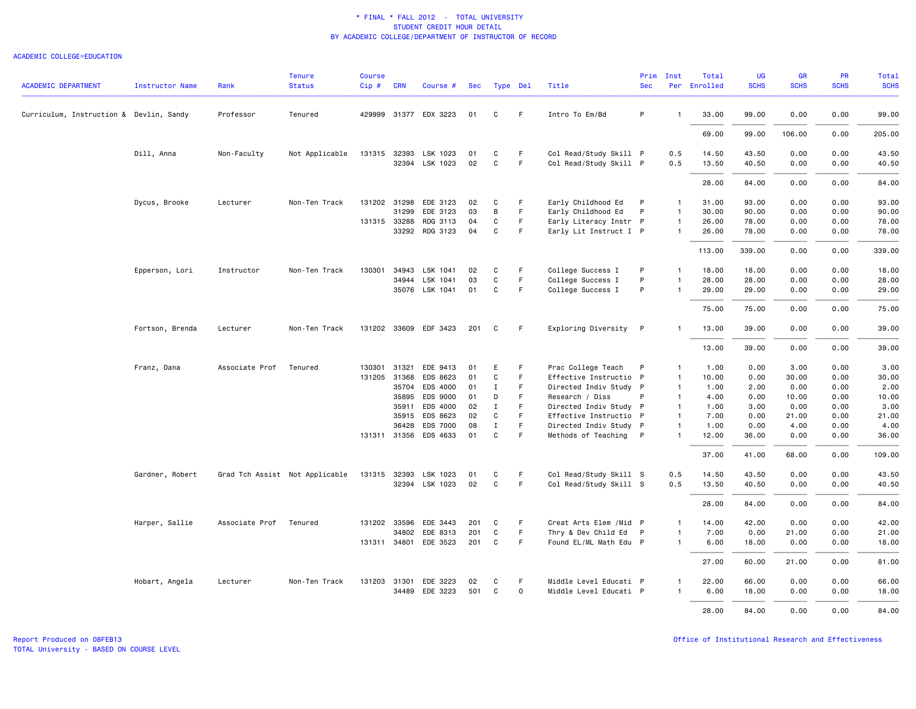### ACADEMIC COLLEGE=EDUCATION

| <b>ACADEMIC DEPARTMENT</b>              | <b>Instructor Name</b> | Rank           | <b>Tenure</b><br><b>Status</b> | <b>Course</b><br>$Cip$ # | <b>CRN</b>   | Course #                                | Sec      | Type Del    |                   | Title                                    | Prim<br><b>Sec</b> | Inst                         | Total<br>Per Enrolled | UG<br><b>SCHS</b> | GR<br><b>SCHS</b> | PR<br><b>SCHS</b> | Total<br><b>SCHS</b> |
|-----------------------------------------|------------------------|----------------|--------------------------------|--------------------------|--------------|-----------------------------------------|----------|-------------|-------------------|------------------------------------------|--------------------|------------------------------|-----------------------|-------------------|-------------------|-------------------|----------------------|
|                                         |                        |                |                                |                          |              |                                         |          |             |                   |                                          |                    |                              |                       |                   |                   |                   |                      |
| Curriculum, Instruction & Devlin, Sandy |                        | Professor      | Tenured                        |                          |              | 429999 31377 EDX 3223                   | 01       | C           | F.                | Intro To Em/Bd                           | P                  | $\overline{1}$               | 33.00                 | 99.00             | 0.00              | 0.00              | 99.00                |
|                                         |                        |                |                                |                          |              |                                         |          |             |                   |                                          |                    |                              | 69.00                 | 99.00             | 106.00            | 0.00              | 205.00               |
|                                         | Dill, Anna             | Non-Faculty    | Not Applicable                 |                          |              | 131315 32393 LSK 1023<br>32394 LSK 1023 | 01<br>02 | C<br>C      | $\mathsf F$<br>F. | Col Read/Study Skill P                   |                    | 0.5                          | 14.50                 | 43.50             | 0.00              | 0.00              | 43.50                |
|                                         |                        |                |                                |                          |              |                                         |          |             |                   | Col Read/Study Skill P                   |                    | 0.5                          | 13.50                 | 40.50             | 0.00              | 0.00              | 40.50                |
|                                         |                        |                |                                |                          |              |                                         |          |             |                   |                                          |                    |                              | 28.00                 | 84.00             | 0.00              | 0.00              | 84.00                |
|                                         | Dycus, Brooke          | Lecturer       | Non-Ten Track                  |                          | 31299        | 131202 31298 EDE 3123<br>EDE 3123       | 02<br>03 | C<br>В      | F.<br>F           | Early Childhood Ed<br>Early Childhood Ed | P<br>P             | $\mathbf{1}$<br>$\mathbf{1}$ | 31.00<br>30.00        | 93.00<br>90.00    | 0.00<br>0.00      | 0.00<br>0.00      | 93.00<br>90.00       |
|                                         |                        |                |                                |                          | 131315 33288 | RDG 3113                                | 04       | C           | F.                | Early Literacy Instr P                   |                    | $\mathbf{1}$                 | 26.00                 | 78.00             | 0.00              | 0.00              | 78.00                |
|                                         |                        |                |                                |                          |              | 33292 RDG 3123                          | 04       | C           | F                 | Early Lit Instruct I P                   |                    | $\overline{1}$               | 26.00                 | 78.00             | 0.00              | 0.00              | 78.00                |
|                                         |                        |                |                                |                          |              |                                         |          |             |                   |                                          |                    |                              | 113.00                | 339.00            | 0.00              | 0.00              | 339.00               |
|                                         | Epperson, Lori         | Instructor     | Non-Ten Track                  |                          |              | 130301 34943 LSK 1041                   | 02       | C           | F                 | College Success I                        | P                  | $\mathbf{1}$                 | 18.00                 | 18.00             | 0.00              | 0.00              | 18.00                |
|                                         |                        |                |                                |                          | 34944        | LSK 1041                                | 03       | C           | F                 | College Success I                        | P                  |                              | 28.00                 | 28.00             | 0.00              | 0.00              | 28.00                |
|                                         |                        |                |                                |                          |              | 35076 LSK 1041                          | 01       | C           | F.                | College Success I                        | P                  | $\overline{1}$               | 29.00                 | 29.00             | 0.00              | 0.00              | 29.00                |
|                                         |                        |                |                                |                          |              |                                         |          |             |                   |                                          |                    |                              | 75.00                 | 75.00             | 0.00              | 0.00              | 75.00                |
|                                         | Fortson, Brenda        | Lecturer       | Non-Ten Track                  |                          |              | 131202 33609 EDF 3423                   | 201      | C           | F                 | Exploring Diversity P                    |                    | -1                           | 13.00                 | 39.00             | 0.00              | 0.00              | 39.00                |
|                                         |                        |                |                                |                          |              |                                         |          |             |                   |                                          |                    |                              | 13.00                 | 39.00             | 0.00              | 0.00              | 39.00                |
|                                         | Franz, Dana            | Associate Prof | Tenured                        | 130301                   | 31321        | EDE 9413                                | 01       | E           | F                 | Prac College Teach                       | P                  | $\mathbf{1}$                 | 1.00                  | 0.00              | 3.00              | 0.00              | 3.00                 |
|                                         |                        |                |                                |                          | 131205 31368 | EDS 8623                                | 01       | C           | F                 | Effective Instructio P                   |                    | $\mathbf{1}$                 | 10.00                 | 0.00              | 30.00             | 0.00              | 30.00                |
|                                         |                        |                |                                |                          | 35704        | EDS 4000                                | 01       | $\mathbf I$ | F.                | Directed Indiv Study P                   |                    | $\mathbf{1}$                 | 1.00                  | 2.00              | 0.00              | 0.00              | 2.00                 |
|                                         |                        |                |                                |                          | 35895        | EDS 9000                                | 01       | D           | F                 | Research / Diss                          | P                  | $\mathbf{1}$                 | 4.00                  | 0.00              | 10.00             | 0.00              | 10.00                |
|                                         |                        |                |                                |                          | 35911        | EDS 4000                                | 02       | $\mathbf I$ | F                 | Directed Indiv Study P                   |                    | $\mathbf{1}$                 | 1.00                  | 3.00              | 0.00              | 0.00              | 3.00                 |
|                                         |                        |                |                                |                          |              | 35915 EDS 8623                          | 02       | C           | F                 | Effective Instructio P                   |                    | $\mathbf{1}$                 | 7.00                  | 0.00              | 21.00             | 0.00              | 21.00                |
|                                         |                        |                |                                |                          | 36428        | EDS 7000                                | 08       | $\mathbf I$ | $\mathsf F$       | Directed Indiv Study P                   |                    | $\overline{1}$               | 1.00                  | 0.00              | 4.00              | 0.00              | 4.00                 |
|                                         |                        |                |                                |                          |              | 131311 31356 EDS 4633                   | 01       | C           | F.                | Methods of Teaching P                    |                    | $\mathbf{1}$                 | 12.00                 | 36.00             | 0.00              | 0.00              | 36.00                |
|                                         |                        |                |                                |                          |              |                                         |          |             |                   |                                          |                    |                              | 37.00                 | 41.00             | 68.00             | 0.00              | 109.00               |
|                                         | Gardner, Robert        |                | Grad Tch Assist Not Applicable |                          |              | 131315 32393 LSK 1023                   | 01       | C           | F                 | Col Read/Study Skill S                   |                    | 0.5                          | 14.50                 | 43.50             | 0.00              | 0.00              | 43.50                |
|                                         |                        |                |                                |                          |              | 32394 LSK 1023                          | 02       | C           | F.                | Col Read/Study Skill S                   |                    | 0.5                          | 13.50                 | 40.50             | 0.00              | 0.00              | 40.50                |
|                                         |                        |                |                                |                          |              |                                         |          |             |                   |                                          |                    |                              | 28.00                 | 84.00             | 0.00              | 0.00              | 84.00                |
|                                         | Harper, Sallie         | Associate Prof | Tenured                        |                          | 131202 33596 | EDE 3443                                | 201      | C           | F                 | Creat Arts Elem / Mid P                  |                    | $\mathbf{1}$                 | 14.00                 | 42.00             | 0.00              | 0.00              | 42.00                |
|                                         |                        |                |                                |                          |              | 34802 EDE 8313                          | 201      | C           | $\mathsf F$       | Thry & Dev Child Ed P                    |                    | $\mathbf{1}$                 | 7.00                  | 0.00              | 21.00             | 0.00              | 21.00                |
|                                         |                        |                |                                |                          |              | 131311 34801 EDE 3523                   | 201      | C           | F                 | Found EL/ML Math Edu P                   |                    | $\overline{1}$               | 6.00                  | 18.00             | 0.00              | 0.00              | 18.00                |
|                                         |                        |                |                                |                          |              |                                         |          |             |                   |                                          |                    |                              | 27.00                 | 60.00             | 21.00             | 0.00              | 81.00                |
|                                         | Hobart, Angela         | Lecturer       | Non-Ten Track                  |                          | 131203 31301 | EDE 3223                                | 02       | C           | F.                | Middle Level Educati P                   |                    | $\overline{1}$               | 22.00                 | 66.00             | 0.00              | 0.00              | 66.00                |
|                                         |                        |                |                                |                          |              | 34489 EDE 3223                          | 501      | C           | $\mathbf 0$       | Middle Level Educati P                   |                    | $\mathbf{1}$                 | 6.00                  | 18.00             | 0.00              | 0.00              | 18.00                |
|                                         |                        |                |                                |                          |              |                                         |          |             |                   |                                          |                    |                              | 28,00                 | 84.00             | 0.00              | 0.00              | 84.00                |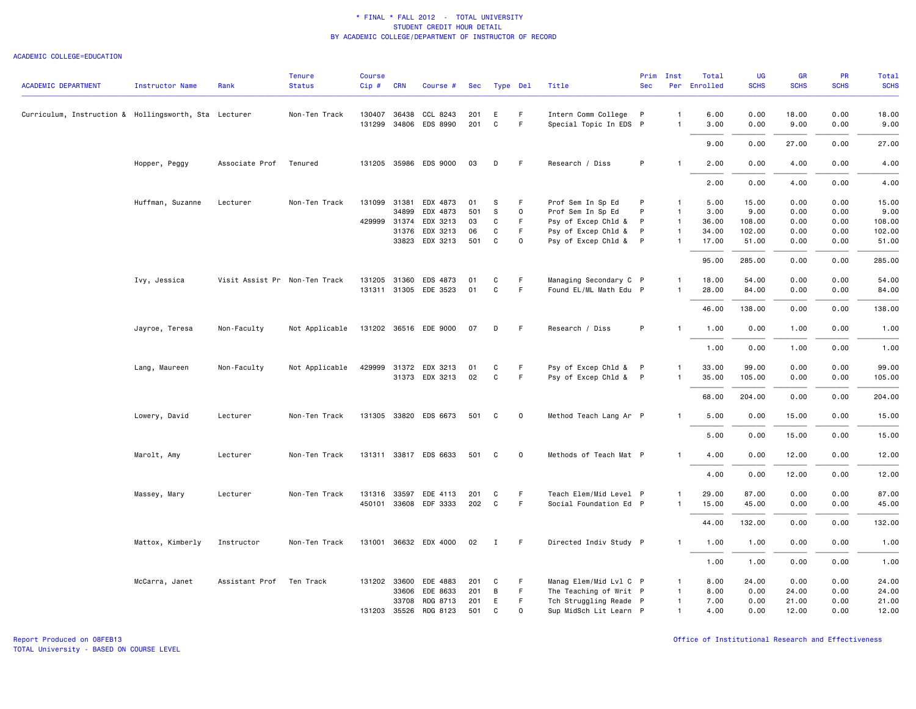### ACADEMIC COLLEGE=EDUCATION

|                                                       |                        |                               | <b>Tenure</b>  | <b>Course</b> |              |                       |     |              |              |                        | Prim       | Inst           | Total        | <b>UG</b>   | GR          | PR          | Total       |
|-------------------------------------------------------|------------------------|-------------------------------|----------------|---------------|--------------|-----------------------|-----|--------------|--------------|------------------------|------------|----------------|--------------|-------------|-------------|-------------|-------------|
| <b>ACADEMIC DEPARTMENT</b>                            | <b>Instructor Name</b> | Rank                          | <b>Status</b>  | $Cip \#$      | <b>CRN</b>   | Course #              | Sec | Type Del     |              | Title                  | <b>Sec</b> |                | Per Enrolled | <b>SCHS</b> | <b>SCHS</b> | <b>SCHS</b> | <b>SCHS</b> |
| Curriculum, Instruction & Hollingsworth, Sta Lecturer |                        |                               | Non-Ten Track  |               | 130407 36438 | CCL 8243              | 201 | E            | F.           | Intern Comm College P  |            | $\mathbf{1}$   | 6.00         | 0.00        | 18.00       | 0.00        | 18.00       |
|                                                       |                        |                               |                |               |              | 131299 34806 EDS 8990 | 201 | C            | F            | Special Topic In EDS P |            | $\mathbf{1}$   | 3.00         | 0.00        | 9.00        | 0.00        | 9.00        |
|                                                       |                        |                               |                |               |              |                       |     |              |              |                        |            |                | 9.00         | 0.00        | 27.00       | 0.00        | 27.00       |
|                                                       | Hopper, Peggy          | Associate Prof                | Tenured        |               |              | 131205 35986 EDS 9000 | 03  | D            | F            | Research / Diss        | P          | $\mathbf{1}$   | 2.00         | 0.00        | 4.00        | 0.00        | 4.00        |
|                                                       |                        |                               |                |               |              |                       |     |              |              |                        |            |                | 2.00         | 0.00        | 4.00        | 0.00        | 4.00        |
|                                                       | Huffman, Suzanne       | Lecturer                      | Non-Ten Track  |               |              | 131099 31381 EDX 4873 | 01  | s            | F.           | Prof Sem In Sp Ed      | P          | $\mathbf{1}$   | 5.00         | 15.00       | 0.00        | 0.00        | 15.00       |
|                                                       |                        |                               |                |               | 34899        | EDX 4873              | 501 | S            | $\mathbf 0$  | Prof Sem In Sp Ed      | P          | $\overline{1}$ | 3.00         | 9.00        | 0.00        | 0.00        | 9.00        |
|                                                       |                        |                               |                |               | 429999 31374 | EDX 3213              | 03  | C            | F            | Psy of Excep Chld &    | P          | $\overline{1}$ | 36.00        | 108.00      | 0.00        | 0.00        | 108.00      |
|                                                       |                        |                               |                |               | 31376        | EDX 3213              | 06  | C            | F            | Psy of Excep Chld &    | P          | $\mathbf{1}$   | 34.00        | 102.00      | 0.00        | 0.00        | 102.00      |
|                                                       |                        |                               |                |               |              | 33823 EDX 3213        | 501 | C            | $\mathbf 0$  | Psy of Excep Chld & P  |            | $\mathbf{1}$   | 17.00        | 51.00       | 0.00        | 0.00        | 51.00       |
|                                                       |                        |                               |                |               |              |                       |     |              |              |                        |            |                | 95.00        | 285.00      | 0.00        | 0.00        | 285.00      |
|                                                       | Ivy, Jessica           | Visit Assist Pr Non-Ten Track |                |               | 131205 31360 | EDS 4873              | 01  | C            | F            | Managing Secondary C P |            | $\mathbf{1}$   | 18.00        | 54.00       | 0.00        | 0.00        | 54.00       |
|                                                       |                        |                               |                |               |              | 131311 31305 EDE 3523 | 01  | $\mathbf C$  | F.           | Found EL/ML Math Edu P |            | -1             | 28.00        | 84.00       | 0.00        | 0.00        | 84.00       |
|                                                       |                        |                               |                |               |              |                       |     |              |              |                        |            |                | 46.00        | 138.00      | 0.00        | 0.00        | 138.00      |
|                                                       | Jayroe, Teresa         | Non-Faculty                   | Not Applicable |               |              | 131202 36516 EDE 9000 | 07  | D            | -F           | Research / Diss        | P          |                | 1.00         | 0.00        | 1.00        | 0.00        | 1.00        |
|                                                       |                        |                               |                |               |              |                       |     |              |              |                        |            |                | 1.00         | 0.00        | 1.00        | 0.00        | 1.00        |
|                                                       | Lang, Maureen          | Non-Faculty                   | Not Applicable |               |              | 429999 31372 EDX 3213 | 01  | C            | F            | Psy of Excep Chld & P  |            | $\mathbf{1}$   | 33.00        | 99.00       | 0.00        | 0.00        | 99.00       |
|                                                       |                        |                               |                |               |              | 31373 EDX 3213        | 02  | C            | F.           | Psy of Excep Chld & P  |            | -1             | 35.00        | 105.00      | 0.00        | 0.00        | 105.00      |
|                                                       |                        |                               |                |               |              |                       |     |              |              |                        |            |                | 68.00        | 204.00      | 0.00        | 0.00        | 204.00      |
|                                                       | Lowery, David          | Lecturer                      | Non-Ten Track  |               |              | 131305 33820 EDS 6673 | 501 | C            | $\mathbf 0$  | Method Teach Lang Ar P |            |                | 5.00         | 0.00        | 15.00       | 0.00        | 15.00       |
|                                                       |                        |                               |                |               |              |                       |     |              |              |                        |            |                | 5.00         | 0.00        | 15.00       | 0.00        | 15.00       |
|                                                       | Marolt, Amy            | Lecturer                      | Non-Ten Track  |               |              | 131311 33817 EDS 6633 | 501 | C            | $\mathbf 0$  | Methods of Teach Mat P |            | $\mathbf{1}$   | 4.00         | 0.00        | 12.00       | 0.00        | 12.00       |
|                                                       |                        |                               |                |               |              |                       |     |              |              |                        |            |                | 4.00         | 0.00        | 12.00       | 0.00        | 12.00       |
|                                                       | Massey, Mary           | Lecturer                      | Non-Ten Track  |               | 131316 33597 | EDE 4113              | 201 | C            | F            | Teach Elem/Mid Level P |            | $\mathbf{1}$   | 29.00        | 87.00       | 0.00        | 0.00        | 87.00       |
|                                                       |                        |                               |                |               |              | 450101 33608 EDF 3333 | 202 | C            | $\mathsf F$  | Social Foundation Ed P |            | $\mathbf{1}$   | 15.00        | 45.00       | 0.00        | 0.00        | 45.00       |
|                                                       |                        |                               |                |               |              |                       |     |              |              |                        |            |                | 44.00        | 132.00      | 0.00        | 0.00        | 132.00      |
|                                                       | Mattox, Kimberly       | Instructor                    | Non-Ten Track  |               |              | 131001 36632 EDX 4000 | 02  | $\mathbf{I}$ | - F          | Directed Indiv Study P |            | $\mathbf{1}$   | 1.00         | 1.00        | 0.00        | 0.00        | 1.00        |
|                                                       |                        |                               |                |               |              |                       |     |              |              |                        |            |                | 1.00         | 1.00        | 0.00        | 0.00        | 1.00        |
|                                                       | McCarra, Janet         | Assistant Prof                | Ten Track      |               |              | 131202 33600 EDE 4883 | 201 | C            | F            | Manag Elem/Mid Lvl C P |            | $\mathbf{1}$   | 8.00         | 24.00       | 0.00        | 0.00        | 24.00       |
|                                                       |                        |                               |                |               | 33606        | EDE 8633              | 201 | B            | F            | The Teaching of Writ P |            | $\overline{1}$ | 8.00         | 0.00        | 24.00       | 0.00        | 24.00       |
|                                                       |                        |                               |                |               | 33708        | RDG 8713              | 201 | E            | F            | Tch Struggling Reade P |            | $\overline{1}$ | 7.00         | 0.00        | 21.00       | 0.00        | 21.00       |
|                                                       |                        |                               |                |               |              | 131203 35526 RDG 8123 | 501 | C            | $\mathsf{o}$ | Sup MidSch Lit Learn P |            | $\mathbf{1}$   | 4.00         | 0.00        | 12.00       | 0.00        | 12.00       |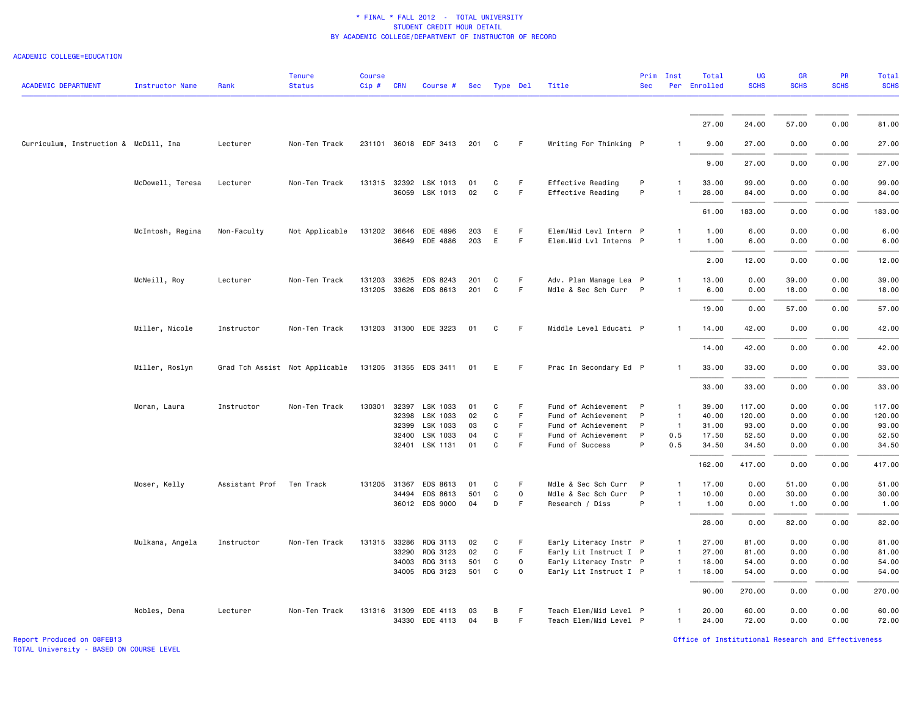#### ACADEMIC COLLEGE=EDUCATION

| <b>ACADEMIC DEPARTMENT</b>            | <b>Instructor Name</b> | Rank                     | <b>Tenure</b><br><b>Status</b> | <b>Course</b><br>$Cip \#$ | <b>CRN</b>   | Course #              | Sec | Type Del       |          | Title                  | <b>Sec</b>   | Prim Inst      | Total<br>Per Enrolled | <b>UG</b><br><b>SCHS</b> | GR<br><b>SCHS</b> | PR<br><b>SCHS</b> | <b>Total</b><br><b>SCHS</b> |
|---------------------------------------|------------------------|--------------------------|--------------------------------|---------------------------|--------------|-----------------------|-----|----------------|----------|------------------------|--------------|----------------|-----------------------|--------------------------|-------------------|-------------------|-----------------------------|
|                                       |                        |                          |                                |                           |              |                       |     |                |          |                        |              |                |                       |                          |                   |                   |                             |
|                                       |                        |                          |                                |                           |              |                       |     |                |          |                        |              |                | 27.00                 | 24.00                    | 57.00             | 0.00              | 81.00                       |
| Curriculum, Instruction & McDill, Ina |                        | Lecturer                 | Non-Ten Track                  |                           |              | 231101 36018 EDF 3413 | 201 | $\overline{c}$ | F.       | Writing For Thinking P |              | -1             | 9.00                  | 27.00                    | 0.00              | 0.00              | 27.00                       |
|                                       |                        |                          |                                |                           |              |                       |     |                |          |                        |              |                | 9.00                  | 27.00                    | 0.00              | 0.00              | 27.00                       |
|                                       | McDowell, Teresa       | Lecturer                 | Non-Ten Track                  |                           |              | 131315 32392 LSK 1013 | 01  | C              | F        | Effective Reading      | P            | $\mathbf{1}$   | 33.00                 | 99.00                    | 0.00              | 0.00              | 99.00                       |
|                                       |                        |                          |                                |                           |              | 36059 LSK 1013        | 02  | $\mathtt{C}$   | F.       | Effective Reading      | P            | $\mathbf{1}$   | 28.00                 | 84.00                    | 0.00              | 0.00              | 84.00                       |
|                                       |                        |                          |                                |                           |              |                       |     |                |          |                        |              |                | 61.00                 | 183.00                   | 0.00              | 0.00              | 183.00                      |
|                                       | McIntosh, Regina       | Non-Faculty              | Not Applicable                 |                           |              | 131202 36646 EDE 4896 | 203 | E              | F.       | Elem/Mid Levl Intern P |              | $\mathbf{1}$   | 1.00                  | 6.00                     | 0.00              | 0.00              | 6.00                        |
|                                       |                        |                          |                                |                           |              | 36649 EDE 4886        | 203 | E              | F.       | Elem.Mid Lvl Interns P |              | $\mathbf{1}$   | 1.00                  | 6.00                     | 0.00              | 0.00              | 6.00                        |
|                                       |                        |                          |                                |                           |              |                       |     |                |          |                        |              |                | 2.00                  | 12.00                    | 0.00              | 0.00              | 12.00                       |
|                                       | McNeill, Roy           | Lecturer                 | Non-Ten Track                  | 131203                    | 33625        | EDS 8243              | 201 | C              | F.       | Adv. Plan Manage Lea P |              | $\mathbf{1}$   | 13.00                 | 0.00                     | 39.00             | 0.00              | 39.00                       |
|                                       |                        |                          |                                |                           |              | 131205 33626 EDS 8613 | 201 | C              | F        | Mdle & Sec Sch Curr P  |              | $\mathbf{1}$   | 6.00                  | 0.00                     | 18.00             | 0.00              | 18.00                       |
|                                       |                        |                          |                                |                           |              |                       |     |                |          |                        |              |                | 19.00                 | 0.00                     | 57.00             | 0.00              | 57.00                       |
|                                       | Miller, Nicole         | Instructor               | Non-Ten Track                  |                           |              | 131203 31300 EDE 3223 | 01  | C              | F.       | Middle Level Educati P |              | $\mathbf{1}$   | 14.00                 | 42.00                    | 0.00              | 0.00              | 42.00                       |
|                                       |                        |                          |                                |                           |              |                       |     |                |          |                        |              |                | 14.00                 | 42.00                    | 0.00              | 0.00              | 42.00                       |
|                                       | Miller, Roslyn         |                          | Grad Tch Assist Not Applicable |                           |              | 131205 31355 EDS 3411 | 01  | E              | F.       | Prac In Secondary Ed P |              |                | 33.00                 | 33.00                    | 0.00              | 0.00              | 33.00                       |
|                                       |                        |                          |                                |                           |              |                       |     |                |          |                        |              |                | 33.00                 | 33.00                    | 0.00              | 0.00              | 33.00                       |
|                                       | Moran, Laura           | Instructor               | Non-Ten Track                  | 130301                    | 32397        | LSK 1033              | 01  | C              | F        | Fund of Achievement    | $\mathsf{P}$ | $\mathbf{1}$   | 39.00                 | 117.00                   | 0.00              | 0.00              | 117.00                      |
|                                       |                        |                          |                                |                           | 32398        | LSK 1033              | 02  | C              | F.       | Fund of Achievement    | P            | $\mathbf{1}$   | 40.00                 | 120.00                   | 0.00              | 0.00              | 120.00                      |
|                                       |                        |                          |                                |                           | 32399        | LSK 1033              | 03  | C              | F        | Fund of Achievement    | P            | $\overline{1}$ | 31.00                 | 93.00                    | 0.00              | 0.00              | 93.00                       |
|                                       |                        |                          |                                |                           | 32400        | LSK 1033              | 04  | C              | F.       | Fund of Achievement    | P            | 0.5            | 17.50                 | 52.50                    | 0.00              | 0.00              | 52.50                       |
|                                       |                        |                          |                                |                           |              | 32401 LSK 1131        | 01  | C              | F        | Fund of Success        | P            | 0.5            | 34.50                 | 34.50                    | 0.00              | 0.00              | 34.50                       |
|                                       |                        |                          |                                |                           |              |                       |     |                |          |                        |              |                | 162.00                | 417.00                   | 0.00              | 0.00              | 417.00                      |
|                                       | Moser, Kelly           | Assistant Prof Ten Track |                                |                           | 131205 31367 | EDS 8613              | 01  | C              | F        | Mdle & Sec Sch Curr    | $\mathsf{P}$ | $\mathbf{1}$   | 17.00                 | 0.00                     | 51.00             | 0.00              | 51.00                       |
|                                       |                        |                          |                                |                           | 34494        | EDS 8613              | 501 | C              | 0        | Mdle & Sec Sch Curr    | P            | $\mathbf{1}$   | 10.00                 | 0.00                     | 30.00             | 0.00              | 30.00                       |
|                                       |                        |                          |                                |                           |              | 36012 EDS 9000        | 04  | D              | F.       | Research / Diss        | P            | $\mathbf{1}$   | 1.00                  | 0.00                     | 1.00              | 0.00              | 1.00                        |
|                                       |                        |                          |                                |                           |              |                       |     |                |          |                        |              |                | 28.00                 | 0.00                     | 82.00             | 0.00              | 82.00                       |
|                                       | Mulkana, Angela        | Instructor               | Non-Ten Track                  | 131315 33286              |              | RDG 3113              | 02  | C              | F        | Early Literacy Instr P |              | 1              | 27.00                 | 81.00                    | 0.00              | 0.00              | 81.00                       |
|                                       |                        |                          |                                |                           | 33290        | RDG 3123              | 02  | $\mathtt{C}$   | F.       | Early Lit Instruct I P |              | $\overline{1}$ | 27.00                 | 81.00                    | 0.00              | 0.00              | 81.00                       |
|                                       |                        |                          |                                |                           | 34003        | RDG 3113              | 501 | C              | 0        | Early Literacy Instr P |              | $\overline{1}$ | 18.00                 | 54.00                    | 0.00              | 0.00              | 54.00                       |
|                                       |                        |                          |                                |                           |              | 34005 RDG 3123        | 501 | C              | $\Omega$ | Early Lit Instruct I P |              | $\mathbf{1}$   | 18.00                 | 54.00                    | 0.00              | 0.00              | 54.00                       |
|                                       |                        |                          |                                |                           |              |                       |     |                |          |                        |              |                | 90.00                 | 270.00                   | 0.00              | 0.00              | 270.00                      |
|                                       | Nobles, Dena           | Lecturer                 | Non-Ten Track                  |                           |              | 131316 31309 EDE 4113 | 03  | B              | F        | Teach Elem/Mid Level P |              | $\mathbf{1}$   | 20.00                 | 60.00                    | 0.00              | 0.00              | 60.00                       |
|                                       |                        |                          |                                |                           |              | 34330 EDE 4113        | 04  | В              | F.       | Teach Elem/Mid Level P |              | $\mathbf{1}$   | 24.00                 | 72.00                    | 0.00              | 0.00              | 72.00                       |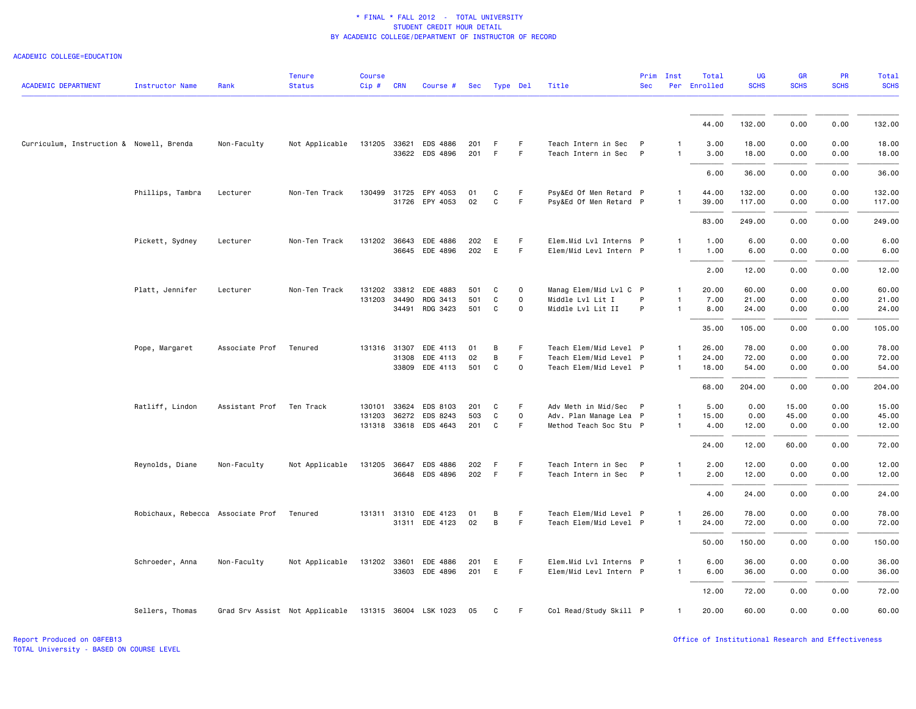### ACADEMIC COLLEGE=EDUCATION

| <b>ACADEMIC DEPARTMENT</b>               | Instructor Name                   | Rank           | <b>Tenure</b><br><b>Status</b>                       | <b>Course</b><br>$Cip$ # | <b>CRN</b> | Course #                   | Sec        | Type Del     |             | Title                                            | <b>Sec</b>   | Prim Inst         | Total<br>Per Enrolled | <b>UG</b><br><b>SCHS</b> | GR<br><b>SCHS</b> | PR<br><b>SCHS</b> | <b>Total</b><br><b>SCHS</b> |
|------------------------------------------|-----------------------------------|----------------|------------------------------------------------------|--------------------------|------------|----------------------------|------------|--------------|-------------|--------------------------------------------------|--------------|-------------------|-----------------------|--------------------------|-------------------|-------------------|-----------------------------|
|                                          |                                   |                |                                                      |                          |            |                            |            |              |             |                                                  |              |                   |                       |                          |                   |                   |                             |
|                                          |                                   |                |                                                      |                          |            |                            |            |              |             |                                                  |              |                   | 44.00                 | 132.00                   | 0.00              | 0.00              | 132.00                      |
| Curriculum, Instruction & Nowell, Brenda |                                   | Non-Faculty    | Not Applicable                                       | 131205 33621             |            | EDS 4886<br>33622 EDS 4896 | 201<br>201 | -F<br>F      | F.<br>F     | Teach Intern in Sec<br>Teach Intern in Sec P     | $\mathsf{P}$ | $\mathbf{1}$<br>1 | 3.00<br>3.00          | 18.00<br>18.00           | 0.00<br>0.00      | 0.00<br>0.00      | 18.00<br>18.00              |
|                                          |                                   |                |                                                      |                          |            |                            |            |              |             |                                                  |              |                   | 6.00                  | 36.00                    | 0.00              | 0.00              | 36.00                       |
|                                          | Phillips, Tambra                  | Lecturer       | Non-Ten Track                                        | 130499                   |            | 31725 EPY 4053             | 01         | C            | F           | Psy&Ed Of Men Retard P                           |              | $\mathbf{1}$      | 44.00                 | 132.00                   | 0.00              | 0.00              | 132.00                      |
|                                          |                                   |                |                                                      |                          |            | 31726 EPY 4053             | 02         | $\mathtt{C}$ | F.          | Psy&Ed Of Men Retard P                           |              | $\mathbf{1}$      | 39.00<br>83.00        | 117.00<br>249.00         | 0.00<br>0.00      | 0.00<br>0.00      | 117.00<br>249.00            |
|                                          | Pickett, Sydney                   | Lecturer       | Non-Ten Track                                        | 131202 36643             |            | EDE 4886                   | 202        | E            | F           | Elem.Mid Lvl Interns P                           |              | $\mathbf{1}$      | 1.00                  | 6.00                     | 0.00              | 0.00              | 6.00                        |
|                                          |                                   |                |                                                      |                          |            | 36645 EDE 4896             | 202        | E            | F.          | Elem/Mid Levl Intern P                           |              | $\mathbf{1}$      | 1.00                  | 6.00                     | 0.00              | 0.00              | 6.00                        |
|                                          |                                   |                |                                                      |                          |            |                            |            |              |             |                                                  |              |                   | 2.00                  | 12.00                    | 0.00              | 0.00              | 12.00                       |
|                                          | Platt, Jennifer                   | Lecturer       | Non-Ten Track                                        | 131202 33812             |            | EDE 4883                   | 501        | C            | $\circ$     | Manag Elem/Mid Lvl C P                           |              | $\mathbf{1}$      | 20.00                 | 60.00                    | 0.00              | 0.00              | 60.00                       |
|                                          |                                   |                |                                                      | 131203 34490             |            | RDG 3413                   | 501        | C            | 0           | Middle Lvl Lit I                                 | P            | 1                 | 7.00                  | 21.00                    | 0.00              | 0.00              | 21.00                       |
|                                          |                                   |                |                                                      |                          | 34491      | RDG 3423                   | 501        | C            | $\mathbf 0$ | Middle Lvl Lit II                                | P            | $\mathbf{1}$      | 8.00                  | 24.00                    | 0.00              | 0.00              | 24.00                       |
|                                          |                                   |                |                                                      |                          |            |                            |            |              |             |                                                  |              |                   | 35.00                 | 105.00                   | 0.00              | 0.00              | 105.00                      |
|                                          | Pope, Margaret                    | Associate Prof | Tenured                                              | 131316 31307             |            | EDE 4113                   | 01         | B            | F.          | Teach Elem/Mid Level P                           |              | $\mathbf{1}$      | 26.00                 | 78.00                    | 0.00              | 0.00              | 78.00                       |
|                                          |                                   |                |                                                      |                          | 31308      | EDE 4113<br>33809 EDE 4113 | 02<br>501  | B<br>C       | F<br>0      | Teach Elem/Mid Level P<br>Teach Elem/Mid Level P |              | 1<br>$\mathbf{1}$ | 24.00<br>18.00        | 72.00<br>54.00           | 0.00<br>0.00      | 0.00<br>0.00      | 72.00<br>54.00              |
|                                          |                                   |                |                                                      |                          |            |                            |            |              |             |                                                  |              |                   | 68.00                 | 204.00                   | 0.00              | 0.00              | 204.00                      |
|                                          | Ratliff, Lindon                   | Assistant Prof | Ten Track                                            | 130101 33624             |            | EDS 8103                   | 201        | C            | F           | Adv Meth in Mid/Sec P                            |              | $\mathbf{1}$      | 5.00                  | 0.00                     | 15.00             | 0.00              | 15.00                       |
|                                          |                                   |                |                                                      |                          |            | 131203 36272 EDS 8243      | 503        | C            | $\mathbf 0$ | Adv. Plan Manage Lea P                           |              | $\mathbf{1}$      | 15.00                 | 0.00                     | 45.00             | 0.00              | 45.00                       |
|                                          |                                   |                |                                                      |                          |            | 131318 33618 EDS 4643      | 201        | C            | F.          | Method Teach Soc Stu P                           |              | $\mathbf{1}$      | 4.00                  | 12.00                    | 0.00              | 0.00              | 12.00                       |
|                                          |                                   |                |                                                      |                          |            |                            |            |              |             |                                                  |              |                   | 24.00                 | 12.00                    | 60.00             | 0.00              | 72.00                       |
|                                          | Reynolds, Diane                   | Non-Faculty    | Not Applicable                                       |                          |            | 131205 36647 EDS 4886      | 202        | F            | F           | Teach Intern in Sec                              | $\mathsf{P}$ | $\mathbf{1}$      | 2.00                  | 12.00                    | 0.00              | 0.00              | 12.00                       |
|                                          |                                   |                |                                                      |                          |            | 36648 EDS 4896             | 202        | F            | F           | Teach Intern in Sec P                            |              | $\mathbf{1}$      | 2.00                  | 12.00                    | 0.00              | 0.00              | 12.00                       |
|                                          |                                   |                |                                                      |                          |            |                            |            |              |             |                                                  |              |                   | 4.00                  | 24.00                    | 0.00              | 0.00              | 24.00                       |
|                                          | Robichaux, Rebecca Associate Prof |                | Tenured                                              | 131311 31310             |            | EDE 4123                   | 01         | B            | F.          | Teach Elem/Mid Level P                           |              | $\mathbf{1}$      | 26.00                 | 78.00                    | 0.00              | 0.00              | 78.00                       |
|                                          |                                   |                |                                                      |                          |            | 31311 EDE 4123             | 02         | B            | F           | Teach Elem/Mid Level P                           |              | $\mathbf{1}$      | 24.00                 | 72.00                    | 0.00              | 0.00              | 72.00                       |
|                                          |                                   |                |                                                      |                          |            |                            |            |              |             |                                                  |              |                   | 50.00                 | 150.00                   | 0.00              | 0.00              | 150.00                      |
|                                          | Schroeder, Anna                   | Non-Faculty    | Not Applicable                                       | 131202 33601             |            | EDE 4886                   | 201        | E            | F.          | Elem.Mid Lvl Interns P                           |              | $\mathbf{1}$      | 6.00                  | 36.00                    | 0.00              | 0.00              | 36.00                       |
|                                          |                                   |                |                                                      |                          |            | 33603 EDE 4896             | 201        | E            | F.          | Elem/Mid Levl Intern P                           |              | $\mathbf{1}$      | 6.00                  | 36.00                    | 0.00              | 0.00              | 36.00                       |
|                                          |                                   |                |                                                      |                          |            |                            |            |              |             |                                                  |              |                   | 12.00                 | 72.00                    | 0.00              | 0.00              | 72.00                       |
|                                          | Sellers, Thomas                   |                | Grad Srv Assist Not Applicable 131315 36004 LSK 1023 |                          |            |                            | 05         | C            | F.          | Col Read/Study Skill P                           |              | $\mathbf{1}$      | 20.00                 | 60.00                    | 0.00              | 0.00              | 60.00                       |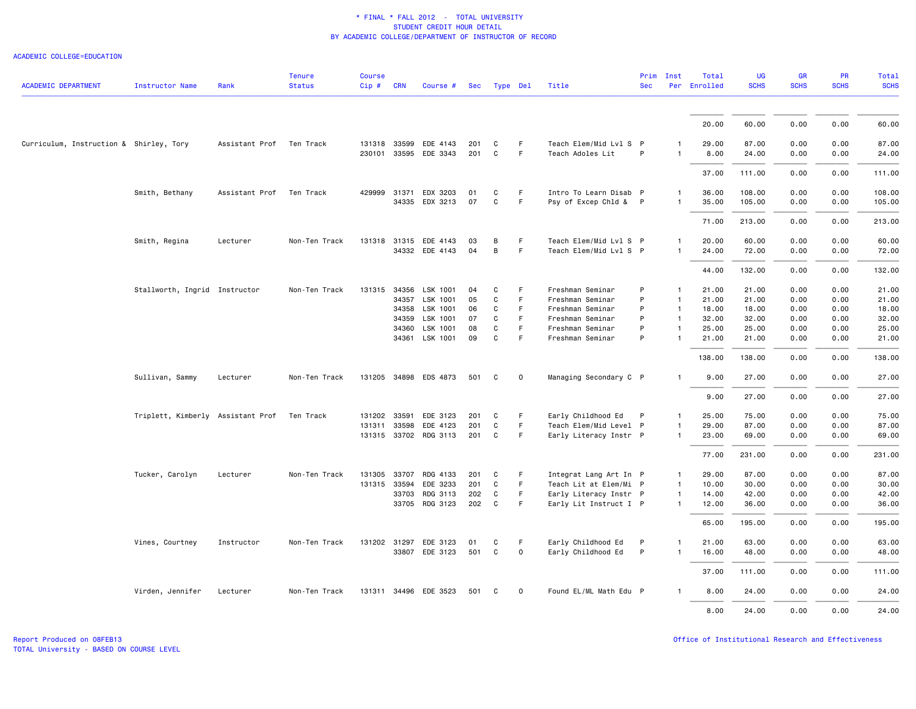### ACADEMIC COLLEGE=EDUCATION

| <b>ACADEMIC DEPARTMENT</b>              | <b>Instructor Name</b>            | Rank           | <b>Tenure</b><br><b>Status</b> | <b>Course</b><br>$Cip \#$ | <b>CRN</b> | Course #              | Sec | Type Del     |             | Title                  | <b>Sec</b> | Prim Inst      | Total<br>Per Enrolled | <b>UG</b><br><b>SCHS</b> | <b>GR</b><br><b>SCHS</b> | <b>PR</b><br><b>SCHS</b> | Total<br><b>SCHS</b> |
|-----------------------------------------|-----------------------------------|----------------|--------------------------------|---------------------------|------------|-----------------------|-----|--------------|-------------|------------------------|------------|----------------|-----------------------|--------------------------|--------------------------|--------------------------|----------------------|
|                                         |                                   |                |                                |                           |            |                       |     |              |             |                        |            |                |                       |                          |                          |                          |                      |
|                                         |                                   |                |                                |                           |            |                       |     |              |             |                        |            |                | 20.00                 | 60.00                    | 0.00                     | 0.00                     | 60.00                |
| Curriculum, Instruction & Shirley, Tory |                                   | Assistant Prof | Ten Track                      |                           |            | 131318 33599 EDE 4143 | 201 | C            | F           | Teach Elem/Mid Lvl S P |            | $\mathbf{1}$   | 29.00                 | 87.00                    | 0.00                     | 0.00                     | 87.00                |
|                                         |                                   |                |                                |                           |            | 230101 33595 EDE 3343 | 201 | $\mathbf C$  | F.          | Teach Adoles Lit       | P          | $\overline{1}$ | 8.00                  | 24.00                    | 0.00                     | 0.00                     | 24.00                |
|                                         |                                   |                |                                |                           |            |                       |     |              |             |                        |            |                | 37.00                 | 111.00                   | 0.00                     | 0.00                     | 111.00               |
|                                         | Smith, Bethany                    | Assistant Prof | Ten Track                      | 429999                    | 31371      | EDX 3203              | 01  | C            | F.          | Intro To Learn Disab P |            | $\overline{1}$ | 36.00                 | 108.00                   | 0.00                     | 0.00                     | 108.00               |
|                                         |                                   |                |                                |                           |            | 34335 EDX 3213        | 07  | $\mathtt{C}$ | F           | Psy of Excep Chld & P  |            | $\overline{1}$ | 35.00                 | 105.00                   | 0.00                     | 0.00                     | 105.00               |
|                                         |                                   |                |                                |                           |            |                       |     |              |             |                        |            |                | 71.00                 | 213.00                   | 0.00                     | 0.00                     | 213.00               |
|                                         | Smith, Regina                     | Lecturer       | Non-Ten Track                  |                           |            | 131318 31315 EDE 4143 | 03  | В            | F           | Teach Elem/Mid Lvl S P |            | $\mathbf{1}$   | 20.00                 | 60.00                    | 0.00                     | 0.00                     | 60.00                |
|                                         |                                   |                |                                |                           |            | 34332 EDE 4143        | 04  | B            | F.          | Teach Elem/Mid Lvl S P |            |                | 24.00                 | 72.00                    | 0.00                     | 0.00                     | 72.00                |
|                                         |                                   |                |                                |                           |            |                       |     |              |             |                        |            |                | 44.00                 | 132.00                   | 0.00                     | 0.00                     | 132.00               |
|                                         | Stallworth, Ingrid Instructor     |                | Non-Ten Track                  | 131315 34356              |            | LSK 1001              | 04  | C            | F           | Freshman Seminar       | P          | $\overline{1}$ | 21.00                 | 21.00                    | 0.00                     | 0.00                     | 21.00                |
|                                         |                                   |                |                                |                           |            | 34357 LSK 1001        | 05  | C            | F.          | Freshman Seminar       | P          | $\overline{1}$ | 21.00                 | 21.00                    | 0.00                     | 0.00                     | 21.00                |
|                                         |                                   |                |                                |                           | 34358      | LSK 1001              | 06  | C            | F           | Freshman Seminar       | P          | $\overline{1}$ | 18.00                 | 18.00                    | 0.00                     | 0.00                     | 18.00                |
|                                         |                                   |                |                                |                           | 34359      | LSK 1001              | 07  | C            | F           | Freshman Seminar       | P          | $\overline{1}$ | 32.00                 | 32.00                    | 0.00                     | 0.00                     | 32.00                |
|                                         |                                   |                |                                |                           | 34360      | LSK 1001              | 08  | C            | F           | Freshman Seminar       | P          | $\overline{1}$ | 25.00                 | 25.00                    | 0.00                     | 0.00                     | 25.00                |
|                                         |                                   |                |                                |                           | 34361      | LSK 1001              | 09  | C            | F           | Freshman Seminar       | P          | $\overline{1}$ | 21.00                 | 21.00                    | 0.00                     | 0.00                     | 21.00                |
|                                         |                                   |                |                                |                           |            |                       |     |              |             |                        |            |                | 138.00                | 138.00                   | 0.00                     | 0.00                     | 138.00               |
|                                         | Sullivan, Sammy                   | Lecturer       | Non-Ten Track                  |                           |            | 131205 34898 EDS 4873 | 501 | C            | $\mathbf 0$ | Managing Secondary C P |            | $\overline{1}$ | 9.00                  | 27.00                    | 0.00                     | 0.00                     | 27.00                |
|                                         |                                   |                |                                |                           |            |                       |     |              |             |                        |            |                | 9.00                  | 27.00                    | 0.00                     | 0.00                     | 27.00                |
|                                         | Triplett, Kimberly Assistant Prof |                | Ten Track                      | 131202 33591              |            | EDE 3123              | 201 | C            | F           | Early Childhood Ed     | P          | $\overline{1}$ | 25.00                 | 75.00                    | 0.00                     | 0.00                     | 75.00                |
|                                         |                                   |                |                                | 131311 33598              |            | EDE 4123              | 201 | C            | F           | Teach Elem/Mid Level P |            | $\overline{1}$ | 29.00                 | 87.00                    | 0.00                     | 0.00                     | 87.00                |
|                                         |                                   |                |                                |                           |            | 131315 33702 RDG 3113 | 201 | C            | F.          | Early Literacy Instr P |            | $\mathbf{1}$   | 23.00                 | 69.00                    | 0.00                     | 0.00                     | 69.00                |
|                                         |                                   |                |                                |                           |            |                       |     |              |             |                        |            |                | 77.00                 | 231.00                   | 0.00                     | 0.00                     | 231.00               |
|                                         | Tucker, Carolyn                   | Lecturer       | Non-Ten Track                  | 131305 33707              |            | RDG 4133              | 201 | C            | F           | Integrat Lang Art In P |            | $\overline{1}$ | 29.00                 | 87.00                    | 0.00                     | 0.00                     | 87.00                |
|                                         |                                   |                |                                | 131315 33594              |            | EDE 3233              | 201 | C            | F.          | Teach Lit at Elem/Mi P |            | $\overline{1}$ | 10.00                 | 30.00                    | 0.00                     | 0.00                     | 30.00                |
|                                         |                                   |                |                                |                           | 33703      | RDG 3113              | 202 | C            | F.          | Early Literacy Instr P |            | $\overline{1}$ | 14.00                 | 42.00                    | 0.00                     | 0.00                     | 42.00                |
|                                         |                                   |                |                                |                           |            | 33705 RDG 3123        | 202 | $\mathbf{C}$ | F.          | Early Lit Instruct I P |            | $\overline{1}$ | 12.00                 | 36.00                    | 0.00                     | 0.00                     | 36.00                |
|                                         |                                   |                |                                |                           |            |                       |     |              |             |                        |            |                | 65.00                 | 195.00                   | 0.00                     | 0.00                     | 195.00               |
|                                         | Vines, Courtney                   | Instructor     | Non-Ten Track                  |                           |            | 131202 31297 EDE 3123 | 01  | C            | F           | Early Childhood Ed     | P          | $\overline{1}$ | 21.00                 | 63.00                    | 0.00                     | 0.00                     | 63.00                |
|                                         |                                   |                |                                |                           |            | 33807 EDE 3123        | 501 | $\mathsf{C}$ | $\mathsf 0$ | Early Childhood Ed     | P          | $\overline{1}$ | 16.00                 | 48.00                    | 0.00                     | 0.00                     | 48.00                |
|                                         |                                   |                |                                |                           |            |                       |     |              |             |                        |            |                | 37.00                 | 111.00                   | 0.00                     | 0.00                     | 111.00               |
|                                         | Virden, Jennifer                  | Lecturer       | Non-Ten Track                  |                           |            | 131311 34496 EDE 3523 | 501 | C            | 0           | Found EL/ML Math Edu P |            |                | 8.00                  | 24.00                    | 0.00                     | 0.00                     | 24.00                |
|                                         |                                   |                |                                |                           |            |                       |     |              |             |                        |            |                | 8.00                  | 24.00                    | 0.00                     | 0.00                     | 24.00                |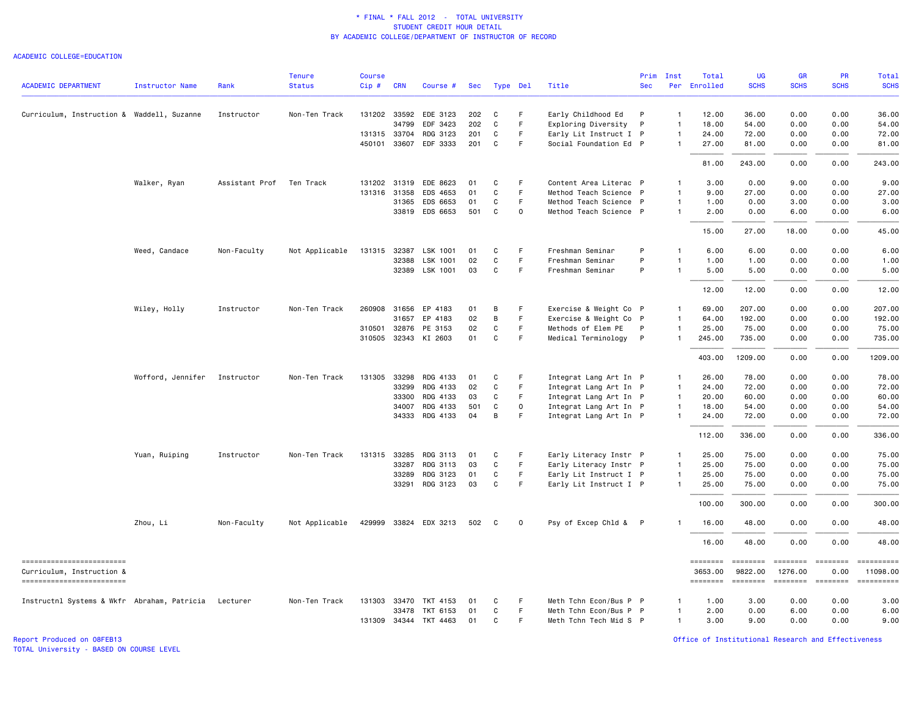### ACADEMIC COLLEGE=EDUCATION

|                                                       |                   |                | <b>Tenure</b>  | <b>Course</b> |            |                       |     |          |             |                        | Prim         | Inst           | Total               | <b>UG</b>           | <b>GR</b>           | <b>PR</b>             | Total                  |
|-------------------------------------------------------|-------------------|----------------|----------------|---------------|------------|-----------------------|-----|----------|-------------|------------------------|--------------|----------------|---------------------|---------------------|---------------------|-----------------------|------------------------|
| <b>ACADEMIC DEPARTMENT</b>                            | Instructor Name   | Rank           | <b>Status</b>  | $Cip \#$      | <b>CRN</b> | Course #              | Sec | Type Del |             | Title                  | <b>Sec</b>   |                | Per Enrolled        | <b>SCHS</b>         | <b>SCHS</b>         | <b>SCHS</b>           | <b>SCHS</b>            |
| Curriculum, Instruction & Waddell, Suzanne            |                   | Instructor     | Non-Ten Track  |               |            | 131202 33592 EDE 3123 | 202 | C        | F.          | Early Childhood Ed     | P            | $\overline{1}$ | 12.00               | 36.00               | 0.00                | 0.00                  | 36.00                  |
|                                                       |                   |                |                |               | 34799      | EDF 3423              | 202 | C        | F.          | Exploring Diversity    | $\mathsf{P}$ | $\mathbf{1}$   | 18.00               | 54.00               | 0.00                | 0.00                  | 54.00                  |
|                                                       |                   |                |                | 131315 33704  |            | RDG 3123              | 201 | C        | F.          | Early Lit Instruct I P |              | $\mathbf{1}$   | 24.00               | 72.00               | 0.00                | 0.00                  | 72.00                  |
|                                                       |                   |                |                | 450101 33607  |            | EDF 3333              | 201 | C        | F.          | Social Foundation Ed P |              | -1             | 27.00               | 81.00               | 0.00                | 0.00                  | 81.00                  |
|                                                       |                   |                |                |               |            |                       |     |          |             |                        |              |                | 81.00               | 243.00              | 0.00                | 0.00                  | 243.00                 |
|                                                       | Walker, Ryan      | Assistant Prof | Ten Track      | 131202 31319  |            | EDE 8623              | 01  | C        | E           | Content Area Literac P |              | -1             | 3.00                | 0.00                | 9.00                | 0.00                  | 9.00                   |
|                                                       |                   |                |                | 131316 31358  |            | EDS 4653              | 01  | C        | $\mathsf F$ | Method Teach Science P |              | $\mathbf{1}$   | 9.00                | 27.00               | 0.00                | 0.00                  | 27.00                  |
|                                                       |                   |                |                |               | 31365      | EDS 6653              | 01  | C        | F.          | Method Teach Science P |              | $\mathbf{1}$   | 1.00                | 0.00                | 3.00                | 0.00                  | 3.00                   |
|                                                       |                   |                |                |               |            | 33819 EDS 6653        | 501 | C        | 0           | Method Teach Science P |              | $\overline{1}$ | 2.00                | 0.00                | 6.00                | 0.00                  | 6.00                   |
|                                                       |                   |                |                |               |            |                       |     |          |             |                        |              |                | 15.00               | 27.00               | 18.00               | 0.00                  | 45.00                  |
|                                                       | Weed, Candace     | Non-Faculty    | Not Applicable | 131315 32387  |            | LSK 1001              | 01  | C        | F           | Freshman Seminar       | P            | $\overline{1}$ | 6.00                | 6.00                | 0.00                | 0.00                  | 6.00                   |
|                                                       |                   |                |                |               | 32388      | LSK 1001              | 02  | C        | F           | Freshman Seminar       | P            | $\overline{1}$ | 1.00                | 1.00                | 0.00                | 0.00                  | 1.00                   |
|                                                       |                   |                |                |               | 32389      | LSK 1001              | 03  | C        | F           | Freshman Seminar       | P            | $\overline{1}$ | 5.00                | 5.00                | 0.00                | 0.00                  | 5.00                   |
|                                                       |                   |                |                |               |            |                       |     |          |             |                        |              |                | 12.00               | 12.00               | 0.00                | 0.00                  | 12.00                  |
|                                                       | Wiley, Holly      | Instructor     | Non-Ten Track  | 260908 31656  |            | EP 4183               | 01  | B        | F           | Exercise & Weight Co P |              | -1             | 69.00               | 207.00              | 0.00                | 0.00                  | 207.00                 |
|                                                       |                   |                |                |               | 31657      | EP 4183               | 02  | B        | F           | Exercise & Weight Co P |              | $\overline{1}$ | 64.00               | 192.00              | 0.00                | 0.00                  | 192.00                 |
|                                                       |                   |                |                | 310501 32876  |            | PE 3153               | 02  | C        | F           | Methods of Elem PE     | P            | $\mathbf{1}$   | 25.00               | 75.00               | 0.00                | 0.00                  | 75.00                  |
|                                                       |                   |                |                | 310505 32343  |            | KI 2603               | 01  | C        | F.          | Medical Terminology    | $\mathsf{P}$ | $\mathbf{1}$   | 245.00              | 735.00              | 0.00                | 0.00                  | 735.00                 |
|                                                       |                   |                |                |               |            |                       |     |          |             |                        |              |                | 403.00              | 1209.00             | 0.00                | 0.00                  | 1209.00                |
|                                                       | Wofford, Jennifer | Instructor     | Non-Ten Track  | 131305 33298  |            | RDG 4133              | 01  | C        | F           | Integrat Lang Art In P |              | $\mathbf{1}$   | 26.00               | 78.00               | 0.00                | 0.00                  | 78.00                  |
|                                                       |                   |                |                |               | 33299      | RDG 4133              | 02  | C        | F.          | Integrat Lang Art In P |              | $\mathbf{1}$   | 24.00               | 72.00               | 0.00                | 0.00                  | 72.00                  |
|                                                       |                   |                |                |               | 33300      | RDG 4133              | 03  | C        | F.          | Integrat Lang Art In P |              | $\mathbf{1}$   | 20.00               | 60.00               | 0.00                | 0.00                  | 60.00                  |
|                                                       |                   |                |                |               | 34007      | RDG 4133              | 501 | C        | 0           | Integrat Lang Art In P |              | $\mathbf{1}$   | 18.00               | 54.00               | 0.00                | 0.00                  | 54.00                  |
|                                                       |                   |                |                |               |            | 34333 RDG 4133        | 04  | B        | F.          | Integrat Lang Art In P |              | $\overline{1}$ | 24.00               | 72.00               | 0.00                | 0.00                  | 72.00                  |
|                                                       |                   |                |                |               |            |                       |     |          |             |                        |              |                | 112.00              | 336.00              | 0.00                | 0.00                  | 336.00                 |
|                                                       | Yuan, Ruiping     | Instructor     | Non-Ten Track  | 131315 33285  |            | RDG 3113              | 01  | C        | F           | Early Literacy Instr P |              | $\overline{1}$ | 25.00               | 75.00               | 0.00                | 0.00                  | 75.00                  |
|                                                       |                   |                |                |               | 33287      | RDG 3113              | 03  | C        | F.          | Early Literacy Instr P |              | $\overline{1}$ | 25.00               | 75.00               | 0.00                | 0.00                  | 75.00                  |
|                                                       |                   |                |                |               | 33289      | RDG 3123              | 01  | C        | F           | Early Lit Instruct I P |              | $\mathbf{1}$   | 25.00               | 75.00               | 0.00                | 0.00                  | 75.00                  |
|                                                       |                   |                |                |               | 33291      | RDG 3123              | 03  | C        | F           | Early Lit Instruct I P |              | $\overline{1}$ | 25.00               | 75.00               | 0.00                | 0.00                  | 75.00                  |
|                                                       |                   |                |                |               |            |                       |     |          |             |                        |              |                | 100.00              | 300.00              | 0.00                | 0.00                  | 300.00                 |
|                                                       | Zhou, Li          | Non-Faculty    | Not Applicable |               |            | 429999 33824 EDX 3213 | 502 | C        | $\mathbf 0$ | Psy of Excep Chld & P  |              |                | 16.00               | 48.00               | 0.00                | 0.00                  | 48.00                  |
|                                                       |                   |                |                |               |            |                       |     |          |             |                        |              |                | 16.00               | 48.00               | 0.00                | 0.00                  | 48.00                  |
| ------------------------<br>Curriculum, Instruction & |                   |                |                |               |            |                       |     |          |             |                        |              |                | ========<br>3653.00 | ========<br>9822.00 | ========<br>1276.00 | $= 222222222$<br>0.00 | ==========<br>11098.00 |
| =========================                             |                   |                |                |               |            |                       |     |          |             |                        |              |                | ========            | ========            | ========            | ========              | ==========             |
| Instructnl Systems & Wkfr Abraham, Patricia Lecturer  |                   |                | Non-Ten Track  |               |            | 131303 33470 TKT 4153 | 01  | C        | F           | Meth Tchn Econ/Bus P P |              | -1             | 1.00                | 3.00                | 0.00                | 0.00                  | 3.00                   |
|                                                       |                   |                |                |               | 33478      | TKT 6153              | 01  | C        | F           | Meth Tchn Econ/Bus P P |              | $\overline{1}$ | 2.00                | 0.00                | 6.00                | 0.00                  | 6.00                   |
|                                                       |                   |                |                |               |            | 131309 34344 TKT 4463 | 01  | C        | F           | Meth Tchn Tech Mid S P |              | $\mathbf{1}$   | 3.00                | 9.00                | 0.00                | 0.00                  | 9.00                   |

Report Produced on 08FEB13 Office of Institutional Research and Effectiveness

TOTAL University - BASED ON COURSE LEVEL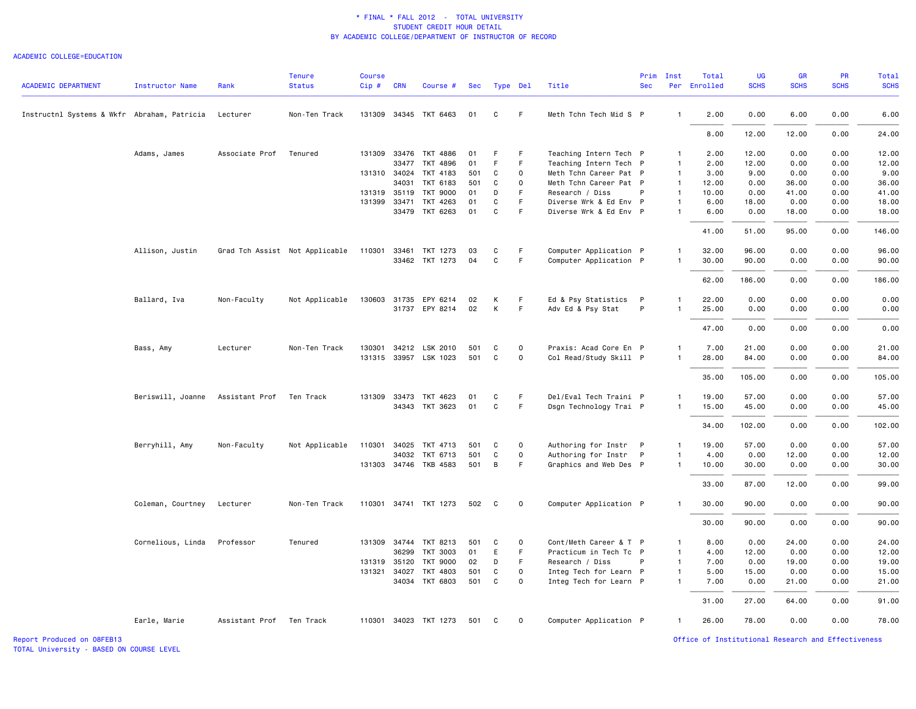#### ACADEMIC COLLEGE=EDUCATION

| <b>ACADEMIC DEPARTMENT</b>                  | <b>Instructor Name</b> | Rank                     | <b>Tenure</b><br><b>Status</b> | <b>Course</b><br>$Cip$ # | <b>CRN</b>   | Course #                                       | Sec        |   | Type Del    | Title                  | Prim<br><b>Sec</b> | Inst           | Total<br>Per Enrolled | <b>UG</b><br><b>SCHS</b> | GR<br><b>SCHS</b> | PR<br><b>SCHS</b> | <b>Total</b><br><b>SCHS</b> |
|---------------------------------------------|------------------------|--------------------------|--------------------------------|--------------------------|--------------|------------------------------------------------|------------|---|-------------|------------------------|--------------------|----------------|-----------------------|--------------------------|-------------------|-------------------|-----------------------------|
| Instructnl Systems & Wkfr Abraham, Patricia |                        | Lecturer                 | Non-Ten Track                  |                          |              | 131309 34345 TKT 6463                          | 01         | C | F.          | Meth Tchn Tech Mid S P |                    | $\mathbf{1}$   | 2.00                  | 0.00                     | 6.00              | 0.00              | 6.00                        |
|                                             |                        |                          |                                |                          |              |                                                |            |   |             |                        |                    |                | 8.00                  | 12.00                    | 12.00             | 0.00              | 24.00                       |
|                                             | Adams, James           | Associate Prof           | Tenured                        |                          |              | 131309 33476 TKT 4886                          | 01         | F | F           | Teaching Intern Tech P |                    | $\mathbf{1}$   | 2.00                  | 12.00                    | 0.00              | 0.00              | 12.00                       |
|                                             |                        |                          |                                |                          |              | 33477 TKT 4896                                 | 01         | F | F           | Teaching Intern Tech P |                    | $\mathbf{1}$   | 2.00                  | 12.00                    | 0.00              | 0.00              | 12.00                       |
|                                             |                        |                          |                                |                          | 131310 34024 | TKT 4183                                       | 501        | C | $\circ$     | Meth Tchn Career Pat P |                    | $\overline{1}$ | 3.00                  | 9.00                     | 0.00              | 0.00              | 9.00                        |
|                                             |                        |                          |                                |                          | 34031        | TKT 6183                                       | 501        | C | $\Omega$    | Meth Tchn Career Pat P |                    | $\mathbf{1}$   | 12.00                 | 0.00                     | 36.00             | 0.00              | 36.00                       |
|                                             |                        |                          |                                |                          |              | 131319 35119 TKT 9000                          | 01         | D | F.          | Research / Diss        | P                  | $\mathbf{1}$   | 10.00                 | 0.00                     | 41.00             | 0.00              | 41.00                       |
|                                             |                        |                          |                                | 131399                   | 33471        | TKT 4263                                       | 01         | C | F           | Diverse Wrk & Ed Env P |                    | $\mathbf{1}$   | 6.00                  | 18.00                    | 0.00              | 0.00              | 18.00                       |
|                                             |                        |                          |                                |                          |              | 33479 TKT 6263                                 | 01         | C | F           | Diverse Wrk & Ed Env P |                    | $\mathbf{1}$   | 6.00                  | 0.00                     | 18.00             | 0.00              | 18.00                       |
|                                             |                        |                          |                                |                          |              |                                                |            |   |             |                        |                    |                | 41.00                 | 51.00                    | 95.00             | 0.00              | 146.00                      |
|                                             | Allison, Justin        |                          | Grad Tch Assist Not Applicable | 110301                   | 33461        | TKT 1273                                       | 03         | C | F.          | Computer Application P |                    | $\mathbf{1}$   | 32.00                 | 96.00                    | 0.00              | 0.00              | 96.00                       |
|                                             |                        |                          |                                |                          |              | 33462 TKT 1273                                 | 04         | C | F           | Computer Application P |                    | $\mathbf{1}$   | 30.00                 | 90.00                    | 0.00              | 0.00              | 90.00                       |
|                                             |                        |                          |                                |                          |              |                                                |            |   |             |                        |                    |                | 62.00                 | 186.00                   | 0.00              | 0.00              | 186.00                      |
|                                             | Ballard, Iva           | Non-Faculty              | Not Applicable                 |                          |              | 130603 31735 EPY 6214                          | 02         | K | F.          | Ed & Psy Statistics    | P                  | $\mathbf{1}$   | 22.00                 | 0.00                     | 0.00              | 0.00              | 0.00                        |
|                                             |                        |                          |                                |                          |              | 31737 EPY 8214                                 | 02         | K | F.          | Adv Ed & Psy Stat      | P                  | $\mathbf{1}$   | 25.00                 | 0.00                     | 0.00              | 0.00              | 0.00                        |
|                                             |                        |                          |                                |                          |              |                                                |            |   |             |                        |                    |                | 47.00                 | 0.00                     | 0.00              | 0.00              | 0.00                        |
|                                             |                        |                          | Non-Ten Track                  |                          |              |                                                |            | C | $\circ$     | Praxis: Acad Core En P |                    | $\mathbf{1}$   |                       | 21.00                    |                   |                   |                             |
|                                             | Bass, Amy              | Lecturer                 |                                |                          |              | 130301 34212 LSK 2010<br>131315 33957 LSK 1023 | 501<br>501 | C | $\mathbf 0$ | Col Read/Study Skill P |                    | $\mathbf{1}$   | 7.00<br>28.00         | 84.00                    | 0.00<br>0.00      | 0.00<br>0.00      | 21.00<br>84.00              |
|                                             |                        |                          |                                |                          |              |                                                |            |   |             |                        |                    |                |                       |                          |                   |                   |                             |
|                                             |                        |                          |                                |                          |              |                                                |            |   |             |                        |                    |                | 35.00                 | 105.00                   | 0.00              | 0.00              | 105.00                      |
|                                             | Beriswill, Joanne      | Assistant Prof           | Ten Track                      |                          |              | 131309 33473 TKT 4623                          | 01         | C | F.          | Del/Eval Tech Traini P |                    | $\mathbf{1}$   | 19.00                 | 57.00                    | 0.00              | 0.00              | 57.00                       |
|                                             |                        |                          |                                |                          |              | 34343 TKT 3623                                 | 01         | C | F.          | Dsgn Technology Trai P |                    | $\mathbf{1}$   | 15.00                 | 45.00                    | 0.00              | 0.00              | 45.00                       |
|                                             |                        |                          |                                |                          |              |                                                |            |   |             |                        |                    |                | 34.00                 | 102.00                   | 0.00              | 0.00              | 102.00                      |
|                                             | Berryhill, Amy         | Non-Faculty              | Not Applicable                 |                          |              | 110301 34025 TKT 4713                          | 501        | C | 0           | Authoring for Instr P  |                    | $\mathbf{1}$   | 19.00                 | 57.00                    | 0.00              | 0.00              | 57.00                       |
|                                             |                        |                          |                                |                          |              | 34032 TKT 6713                                 | 501        | C | 0           | Authoring for Instr P  |                    | $\mathbf{1}$   | 4.00                  | 0.00                     | 12.00             | 0.00              | 12.00                       |
|                                             |                        |                          |                                |                          |              | 131303 34746 TKB 4583                          | 501        | B | F           | Graphics and Web Des P |                    | $\mathbf{1}$   | 10.00                 | 30.00                    | 0.00              | 0.00              | 30.00                       |
|                                             |                        |                          |                                |                          |              |                                                |            |   |             |                        |                    |                | 33.00                 | 87.00                    | 12.00             | 0.00              | 99.00                       |
|                                             | Coleman, Courtney      | Lecturer                 | Non-Ten Track                  |                          |              | 110301 34741 TKT 1273                          | 502        | C | 0           | Computer Application P |                    | $\mathbf{1}$   | 30.00                 | 90.00                    | 0.00              | 0.00              | 90.00                       |
|                                             |                        |                          |                                |                          |              |                                                |            |   |             |                        |                    |                | 30.00                 | 90.00                    | 0.00              | 0.00              | 90.00                       |
|                                             | Cornelious, Linda      | Professor                | Tenured                        |                          |              | 131309 34744 TKT 8213                          | 501        | C | 0           | Cont/Meth Career & T P |                    | $\mathbf{1}$   | 8.00                  | 0.00                     | 24.00             | 0.00              | 24.00                       |
|                                             |                        |                          |                                |                          | 36299        | TKT 3003                                       | 01         | E | F           | Practicum in Tech Tc P |                    | $\mathbf{1}$   | 4.00                  | 12.00                    | 0.00              | 0.00              | 12.00                       |
|                                             |                        |                          |                                | 131319 35120             |              | TKT 9000                                       | 02         | D | F           | Research / Diss        | P                  | $\mathbf{1}$   | 7.00                  | 0.00                     | 19.00             | 0.00              | 19.00                       |
|                                             |                        |                          |                                | 131321 34027             |              | TKT 4803                                       | 501        | C | $\mathbf 0$ | Integ Tech for Learn P |                    | $\mathbf{1}$   | 5.00                  | 15.00                    | 0.00              | 0.00              | 15.00                       |
|                                             |                        |                          |                                |                          |              | 34034 TKT 6803                                 | 501        | C | $\Omega$    | Integ Tech for Learn P |                    | $\mathbf{1}$   | 7.00                  | 0.00                     | 21.00             | 0.00              | 21.00                       |
|                                             |                        |                          |                                |                          |              |                                                |            |   |             |                        |                    |                | 31.00                 | 27.00                    | 64.00             | 0.00              | 91.00                       |
|                                             | Earle, Marie           | Assistant Prof Ten Track |                                |                          |              | 110301 34023 TKT 1273                          | 501        | C | $\circ$     | Computer Application P |                    | 1              | 26.00                 | 78.00                    | 0.00              | 0.00              | 78.00                       |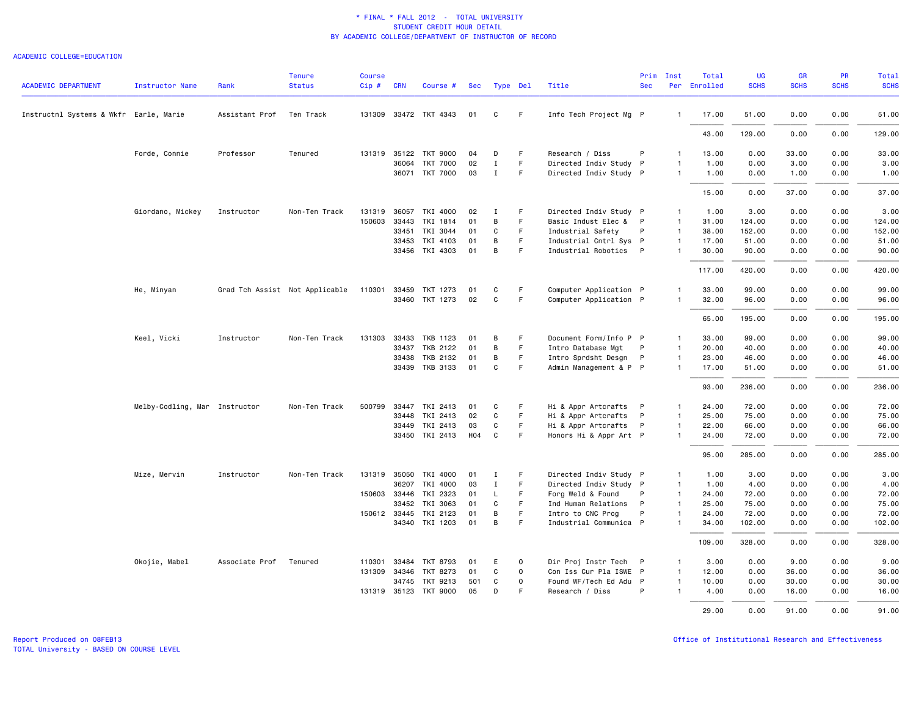#### ACADEMIC COLLEGE=EDUCATION

| ACADEMIC DEPARTMENT                    | <b>Instructor Name</b>        | Rank           | <b>Tenure</b><br><b>Status</b> | <b>Course</b><br>$Cip \#$ | <b>CRN</b> | Course #              | Sec | Type Del     |             | Title                  | Prim<br><b>Sec</b> | Inst           | Total<br>Per Enrolled | <b>UG</b><br><b>SCHS</b> | <b>GR</b><br><b>SCHS</b> | PR<br><b>SCHS</b> | Total<br><b>SCHS</b> |
|----------------------------------------|-------------------------------|----------------|--------------------------------|---------------------------|------------|-----------------------|-----|--------------|-------------|------------------------|--------------------|----------------|-----------------------|--------------------------|--------------------------|-------------------|----------------------|
| Instructnl Systems & Wkfr Earle, Marie |                               | Assistant Prof | Ten Track                      |                           |            | 131309 33472 TKT 4343 | 01  | C            | F.          | Info Tech Project Mg P |                    | $\overline{1}$ | 17.00                 | 51.00                    | 0.00                     | 0.00              | 51.00                |
|                                        |                               |                |                                |                           |            |                       |     |              |             |                        |                    |                | 43.00                 | 129.00                   | 0.00                     | 0.00              | 129.00               |
|                                        | Forde, Connie                 | Professor      | Tenured                        |                           |            | 131319 35122 TKT 9000 | 04  | D            | F           | Research / Diss        | P                  | $\overline{1}$ | 13.00                 | 0.00                     | 33.00                    | 0.00              | 33.00                |
|                                        |                               |                |                                |                           | 36064      | <b>TKT 7000</b>       | 02  | $\mathbf{I}$ | F.          | Directed Indiv Study   | P                  | $\overline{1}$ | 1.00                  | 0.00                     | 3.00                     | 0.00              | 3.00                 |
|                                        |                               |                |                                |                           |            | 36071 TKT 7000        | 03  | $\mathbf{I}$ | F           | Directed Indiv Study P |                    | $\overline{1}$ | 1.00                  | 0.00                     | 1.00                     | 0.00              | 1.00                 |
|                                        |                               |                |                                |                           |            |                       |     |              |             |                        |                    |                | 15.00                 | 0.00                     | 37.00                    | 0.00              | 37.00                |
|                                        | Giordano, Mickey              | Instructor     | Non-Ten Track                  | 131319                    | 36057      | TKI 4000              | 02  | I            | F           | Directed Indiv Study P |                    | $\overline{1}$ | 1.00                  | 3.00                     | 0.00                     | 0.00              | 3.00                 |
|                                        |                               |                |                                | 150603                    | 33443      | TKI 1814              | 01  | B            | F           | Basic Indust Elec &    | P                  | $\overline{1}$ | 31.00                 | 124.00                   | 0.00                     | 0.00              | 124.00               |
|                                        |                               |                |                                |                           | 33451      | TKI 3044              | 01  | $\mathbf C$  | F.          | Industrial Safety      | P                  | $\overline{1}$ | 38.00                 | 152.00                   | 0.00                     | 0.00              | 152.00               |
|                                        |                               |                |                                |                           | 33453      | TKI 4103              | 01  | В            | F           | Industrial Cntrl Sys P |                    | $\overline{1}$ | 17.00                 | 51.00                    | 0.00                     | 0.00              | 51.00                |
|                                        |                               |                |                                |                           |            | 33456 TKI 4303        | 01  | B            | F.          | Industrial Robotics P  |                    | $\mathbf{1}$   | 30.00                 | 90.00                    | 0.00                     | 0.00              | 90.00                |
|                                        |                               |                |                                |                           |            |                       |     |              |             |                        |                    |                | 117.00                | 420.00                   | 0.00                     | 0.00              | 420.00               |
|                                        | He, Minyan                    |                | Grad Tch Assist Not Applicable | 110301                    |            | 33459 TKT 1273        | 01  | C            | F           | Computer Application P |                    | $\mathbf{1}$   | 33.00                 | 99.00                    | 0.00                     | 0.00              | 99.00                |
|                                        |                               |                |                                |                           |            | 33460 TKT 1273        | 02  | $\mathsf{C}$ | F.          | Computer Application P |                    | $\overline{1}$ | 32.00                 | 96.00                    | 0.00                     | 0.00              | 96.00                |
|                                        |                               |                |                                |                           |            |                       |     |              |             |                        |                    |                | 65.00                 | 195.00                   | 0.00                     | 0.00              | 195.00               |
|                                        | Keel, Vicki                   | Instructor     | Non-Ten Track                  | 131303                    | 33433      | TKB 1123              | 01  | B            | F           | Document Form/Info P P |                    | -1             | 33.00                 | 99.00                    | 0.00                     | 0.00              | 99.00                |
|                                        |                               |                |                                |                           | 33437      | TKB 2122              | 01  | B            | F.          | Intro Database Mgt     | P                  | $\overline{1}$ | 20.00                 | 40.00                    | 0.00                     | 0.00              | 40.00                |
|                                        |                               |                |                                |                           | 33438      | TKB 2132              | 01  | B            | F.          | Intro Sprdsht Desgn    | P                  | $\overline{1}$ | 23.00                 | 46.00                    | 0.00                     | 0.00              | 46.00                |
|                                        |                               |                |                                |                           |            | 33439 TKB 3133        | 01  | C            | F.          | Admin Management & P P |                    | $\overline{1}$ | 17.00                 | 51.00                    | 0.00                     | 0.00              | 51.00                |
|                                        |                               |                |                                |                           |            |                       |     |              |             |                        |                    |                | 93.00                 | 236.00                   | 0.00                     | 0.00              | 236.00               |
|                                        | Melby-Codling, Mar Instructor |                | Non-Ten Track                  | 500799                    | 33447      | TKI 2413              | 01  | C            | F           | Hi & Appr Artcrafts    | P                  | $\overline{1}$ | 24.00                 | 72.00                    | 0.00                     | 0.00              | 72.00                |
|                                        |                               |                |                                |                           | 33448      | TKI 2413              | 02  | C            | F.          | Hi & Appr Artcrafts    | P                  | $\overline{1}$ | 25.00                 | 75.00                    | 0.00                     | 0.00              | 75.00                |
|                                        |                               |                |                                |                           |            | 33449 TKI 2413        | 03  | C            | F.          | Hi & Appr Artcrafts    | P                  | $\overline{1}$ | 22.00                 | 66.00                    | 0.00                     | 0.00              | 66.00                |
|                                        |                               |                |                                |                           |            | 33450 TKI 2413        | H04 | C            | F           | Honors Hi & Appr Art P |                    | $\overline{1}$ | 24.00                 | 72.00                    | 0.00                     | 0.00              | 72.00                |
|                                        |                               |                |                                |                           |            |                       |     |              |             |                        |                    |                | 95.00                 | 285.00                   | 0.00                     | 0.00              | 285.00               |
|                                        | Mize, Mervin                  | Instructor     | Non-Ten Track                  |                           |            | 131319 35050 TKI 4000 | 01  | I            | F           | Directed Indiv Study P |                    | $\overline{1}$ | 1.00                  | 3.00                     | 0.00                     | 0.00              | 3.00                 |
|                                        |                               |                |                                |                           | 36207      | TKI 4000              | 03  | $\mathbf I$  | F           | Directed Indiv Study P |                    | $\overline{1}$ | 1.00                  | 4.00                     | 0.00                     | 0.00              | 4.00                 |
|                                        |                               |                |                                | 150603 33446              |            | TKI 2323              | 01  | L            | F           | Forg Weld & Found      | P                  | $\overline{1}$ | 24.00                 | 72.00                    | 0.00                     | 0.00              | 72.00                |
|                                        |                               |                |                                |                           | 33452      | TKI 3063              | 01  | C            | F           | Ind Human Relations    | P                  | $\overline{1}$ | 25.00                 | 75.00                    | 0.00                     | 0.00              | 75.00                |
|                                        |                               |                |                                |                           |            | 150612 33445 TKI 2123 | 01  | B            | F.          | Intro to CNC Prog      | P                  | $\overline{1}$ | 24.00                 | 72.00                    | 0.00                     | 0.00              | 72.00                |
|                                        |                               |                |                                |                           |            | 34340 TKI 1203        | 01  | B            | F           | Industrial Communica P |                    | $\mathbf{1}$   | 34.00                 | 102.00                   | 0.00                     | 0.00              | 102.00               |
|                                        |                               |                |                                |                           |            |                       |     |              |             |                        |                    |                | 109.00                | 328.00                   | 0.00                     | 0.00              | 328.00               |
|                                        | Okojie, Mabel                 | Associate Prof | Tenured                        | 110301                    | 33484      | TKT 8793              | 01  | Ε            | $\mathbf 0$ | Dir Proj Instr Tech    | P                  | $\overline{1}$ | 3.00                  | 0.00                     | 9.00                     | 0.00              | 9.00                 |
|                                        |                               |                |                                |                           |            | 131309 34346 TKT 8273 | 01  | C            | $\mathbf 0$ | Con Iss Cur Pla ISWE P |                    | $\overline{1}$ | 12.00                 | 0.00                     | 36.00                    | 0.00              | 36.00                |
|                                        |                               |                |                                |                           | 34745      | TKT 9213              | 501 | C            | $\mathbf 0$ | Found WF/Tech Ed Adu P |                    | $\mathbf{1}$   | 10.00                 | 0.00                     | 30.00                    | 0.00              | 30.00                |
|                                        |                               |                |                                |                           |            | 131319 35123 TKT 9000 | 05  | D            | F           | Research / Diss        | P                  | $\overline{1}$ | 4.00                  | 0.00                     | 16.00                    | 0.00              | 16.00                |
|                                        |                               |                |                                |                           |            |                       |     |              |             |                        |                    |                | 29,00                 | 0.00                     | 91.00                    | 0.00              | 91.00                |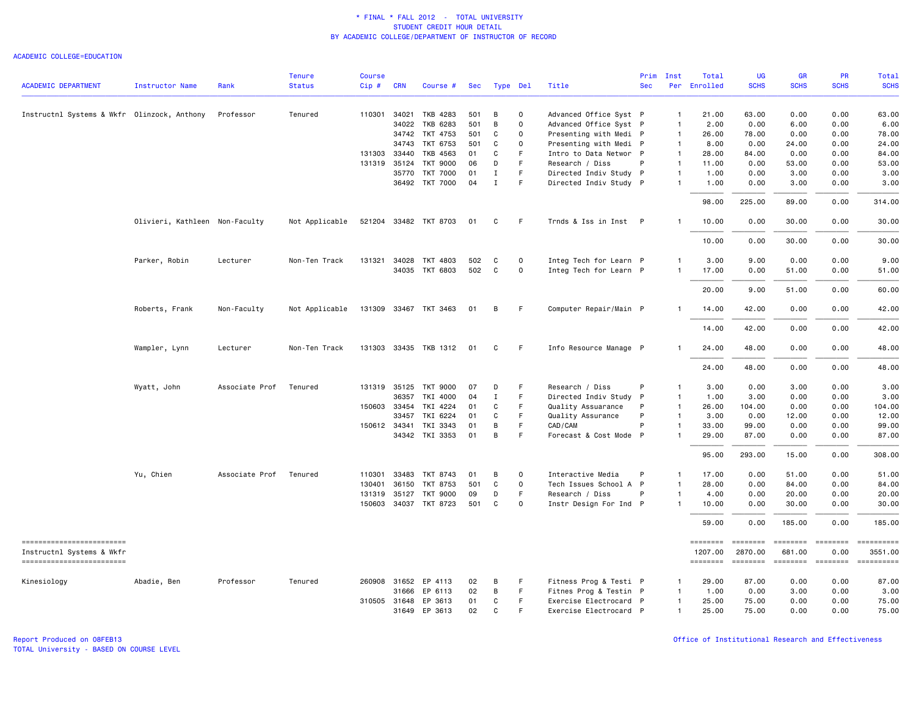#### ACADEMIC COLLEGE=EDUCATION

|                                                       |                                |                | <b>Tenure</b>  | <b>Course</b> |            |                       |     |              |              |                        | Prim         | Inst         | Total               | UG                         | <b>GR</b>                | PR                      | Total                 |
|-------------------------------------------------------|--------------------------------|----------------|----------------|---------------|------------|-----------------------|-----|--------------|--------------|------------------------|--------------|--------------|---------------------|----------------------------|--------------------------|-------------------------|-----------------------|
| <b>ACADEMIC DEPARTMENT</b>                            | <b>Instructor Name</b>         | Rank           | <b>Status</b>  | Cip#          | <b>CRN</b> | Course #              | Sec |              | Type Del     | Title                  | <b>Sec</b>   | Per          | Enrolled            | <b>SCHS</b>                | <b>SCHS</b>              | <b>SCHS</b>             | <b>SCHS</b>           |
|                                                       |                                |                |                |               |            |                       |     |              |              |                        |              |              |                     |                            |                          |                         |                       |
| Instructnl Systems & Wkfr Olinzock, Anthony           |                                | Professor      | Tenured        | 110301 34021  |            | TKB 4283              | 501 | B            | $\mathbf 0$  | Advanced Office Syst P |              | $\mathbf{1}$ | 21.00               | 63.00                      | 0.00                     | 0.00                    | 63.00                 |
|                                                       |                                |                |                |               | 34022      | TKB 6283              | 501 | B            | $\mathsf{O}$ | Advanced Office Syst P |              | $\mathbf{1}$ | 2.00                | 0.00                       | 6.00                     | 0.00                    | 6.00                  |
|                                                       |                                |                |                |               | 34742      | TKT 4753              | 501 | C            | $\mathbf 0$  | Presenting with Medi P |              | -1           | 26.00               | 78.00                      | 0.00                     | 0.00                    | 78.00                 |
|                                                       |                                |                |                |               | 34743      | TKT 6753              | 501 | C            | $\Omega$     | Presenting with Medi P |              | $\mathbf{1}$ | 8.00                | 0.00                       | 24.00                    | 0.00                    | 24.00                 |
|                                                       |                                |                |                | 131303        | 33440      | TKB 4563              | 01  | C            | F.           | Intro to Data Networ P |              | $\mathbf{1}$ | 28.00               | 84.00                      | 0.00                     | 0.00                    | 84.00                 |
|                                                       |                                |                |                | 131319        | 35124      | <b>TKT 9000</b>       | 06  | D            | F.           | Research / Diss        | P            | $\mathbf{1}$ | 11.00               | 0.00                       | 53.00                    | 0.00                    | 53.00                 |
|                                                       |                                |                |                |               | 35770      | <b>TKT 7000</b>       | 01  | Ι.           | F            | Directed Indiv Study P |              | $\mathbf{1}$ | 1.00                | 0.00                       | 3.00                     | 0.00                    | 3.00                  |
|                                                       |                                |                |                |               |            | 36492 TKT 7000        | 04  | $\mathbf I$  | E            | Directed Indiv Study P |              | $\mathbf{1}$ | 1.00                | 0.00                       | 3.00                     | 0.00                    | 3.00                  |
|                                                       |                                |                |                |               |            |                       |     |              |              |                        |              |              | 98.00               | 225.00                     | 89.00                    | 0.00                    | 314.00                |
|                                                       | Olivieri, Kathleen Non-Faculty |                | Not Applicable |               |            | 521204 33482 TKT 8703 | 01  | C            | F            | Trnds & Iss in Inst P  |              | $\mathbf{1}$ | 10.00               | 0.00                       | 30.00                    | 0.00                    | 30.00                 |
|                                                       |                                |                |                |               |            |                       |     |              |              |                        |              |              | 10.00               | 0.00                       | 30.00                    | 0.00                    | 30.00                 |
|                                                       | Parker, Robin                  | Lecturer       | Non-Ten Track  | 131321 34028  |            | TKT 4803              | 502 | C            | $\Omega$     | Integ Tech for Learn P |              | -1           | 3,00                | 9.00                       | 0.00                     | 0.00                    | 9.00                  |
|                                                       |                                |                |                |               |            | 34035 TKT 6803        | 502 | C            | $\mathbf 0$  | Integ Tech for Learn P |              | $\mathbf{1}$ | 17.00               | 0.00                       | 51.00                    | 0.00                    | 51.00                 |
|                                                       |                                |                |                |               |            |                       |     |              |              |                        |              |              |                     |                            |                          |                         |                       |
|                                                       |                                |                |                |               |            |                       |     |              |              |                        |              |              | 20.00               | 9.00                       | 51.00                    | 0.00                    | 60.00                 |
|                                                       | Roberts, Frank                 | Non-Faculty    | Not Applicable |               |            | 131309 33467 TKT 3463 | 01  | в            | F.           | Computer Repair/Main P |              |              | 14.00               | 42.00                      | 0.00                     | 0.00                    | 42.00                 |
|                                                       |                                |                |                |               |            |                       |     |              |              |                        |              |              | 14.00               | 42.00                      | 0.00                     | 0.00                    | 42.00                 |
|                                                       | Wampler, Lynn                  | Lecturer       | Non-Ten Track  |               |            | 131303 33435 TKB 1312 | 01  | C            | F            | Info Resource Manage P |              |              | 24.00               | 48.00                      | 0.00                     | 0.00                    | 48.00                 |
|                                                       |                                |                |                |               |            |                       |     |              |              |                        |              |              | 24.00               | 48.00                      | 0.00                     | 0.00                    | 48.00                 |
|                                                       | Wyatt, John                    | Associate Prof | Tenured        |               |            | 131319 35125 TKT 9000 | 07  | D            | -F           | Research / Diss        | P            | -1           | 3.00                | 0.00                       | 3.00                     | 0.00                    | 3.00                  |
|                                                       |                                |                |                |               | 36357      | TKI 4000              | 04  | $\mathbf I$  | F            | Directed Indiv Study   | $\mathsf{P}$ | $\mathbf{1}$ | 1.00                | 3.00                       | 0.00                     | 0.00                    | 3.00                  |
|                                                       |                                |                |                | 150603 33454  |            | TKI 4224              | 01  | C            | F            | Quality Assuarance     | P            | $\mathbf{1}$ | 26.00               | 104.00                     | 0.00                     | 0.00                    | 104.00                |
|                                                       |                                |                |                |               | 33457      | TKI 6224              | 01  | C            | F.           | Quality Assurance      | P            | $\mathbf{1}$ | 3.00                | 0.00                       | 12.00                    | 0.00                    | 12.00                 |
|                                                       |                                |                |                | 150612 34341  |            | TKI 3343              | 01  | B            | $\mathsf F$  | CAD/CAM                | P            | $\mathbf{1}$ | 33.00               | 99.00                      | 0.00                     | 0.00                    | 99.00                 |
|                                                       |                                |                |                |               |            | 34342 TKI 3353        | 01  | B            | E            | Forecast & Cost Mode P |              |              | 29.00               | 87.00                      | 0.00                     | 0.00                    | 87.00                 |
|                                                       |                                |                |                |               |            |                       |     |              |              |                        |              |              | 95.00               | 293.00                     | 15.00                    | 0.00                    | 308.00                |
|                                                       | Yu, Chien                      | Associate Prof | Tenured        | 110301 33483  |            | TKT 8743              | 01  | B            | $\mathbf 0$  | Interactive Media      | P            | $\mathbf{1}$ | 17.00               | 0.00                       | 51.00                    | 0.00                    | 51.00                 |
|                                                       |                                |                |                | 130401        | 36150      | TKT 8753              | 501 | $\mathbf C$  | $\mathsf{O}$ | Tech Issues School A P |              | -1           | 28.00               | 0.00                       | 84.00                    | 0.00                    | 84.00                 |
|                                                       |                                |                |                | 131319 35127  |            | TKT 9000              | 09  | D            | F            | Research / Diss        | P            | $\mathbf{1}$ | 4.00                | 0.00                       | 20.00                    | 0.00                    | 20.00                 |
|                                                       |                                |                |                |               |            | 150603 34037 TKT 8723 | 501 | C            | $\mathbf 0$  | Instr Design For Ind P |              | $\mathbf{1}$ | 10.00               | 0.00                       | 30.00                    | 0.00                    | 30.00                 |
|                                                       |                                |                |                |               |            |                       |     |              |              |                        |              |              | 59.00               | 0.00                       | 185.00                   | 0.00                    | 185.00                |
| ==========================                            |                                |                |                |               |            |                       |     |              |              |                        |              |              | ========            | <b>EEEEEEE</b>             | <b>EEEEEEE</b>           | ========                | ==========            |
| Instructnl Systems & Wkfr<br>------------------------ |                                |                |                |               |            |                       |     |              |              |                        |              |              | 1207.00<br>======== | 2870.00<br><b>SEBERBER</b> | 681.00<br><b>EDEDEED</b> | 0.00<br><b>EBBBBBBB</b> | 3551.00<br>========== |
| Kinesiology                                           | Abadie, Ben                    | Professor      | Tenured        | 260908 31652  |            | EP 4113               | 02  | B            | F            | Fitness Prog & Testi P |              | $\mathbf{1}$ | 29.00               | 87.00                      | 0.00                     | 0.00                    | 87.00                 |
|                                                       |                                |                |                |               | 31666      | EP 6113               | 02  | B            | F            | Fitnes Prog & Testin P |              | $\mathbf{1}$ | 1.00                | 0.00                       | 3.00                     | 0.00                    | 3.00                  |
|                                                       |                                |                |                | 310505 31648  |            | EP 3613               | 01  | C            | $\mathsf F$  | Exercise Electrocard P |              | -1           | 25.00               | 75.00                      | 0.00                     | 0.00                    | 75.00                 |
|                                                       |                                |                |                |               |            | 31649 EP 3613         | 02  | $\mathsf{C}$ | E            | Exercise Electrocard P |              | $\mathbf{1}$ | 25.00               | 75.00                      | 0.00                     | 0.00                    | 75.00                 |
|                                                       |                                |                |                |               |            |                       |     |              |              |                        |              |              |                     |                            |                          |                         |                       |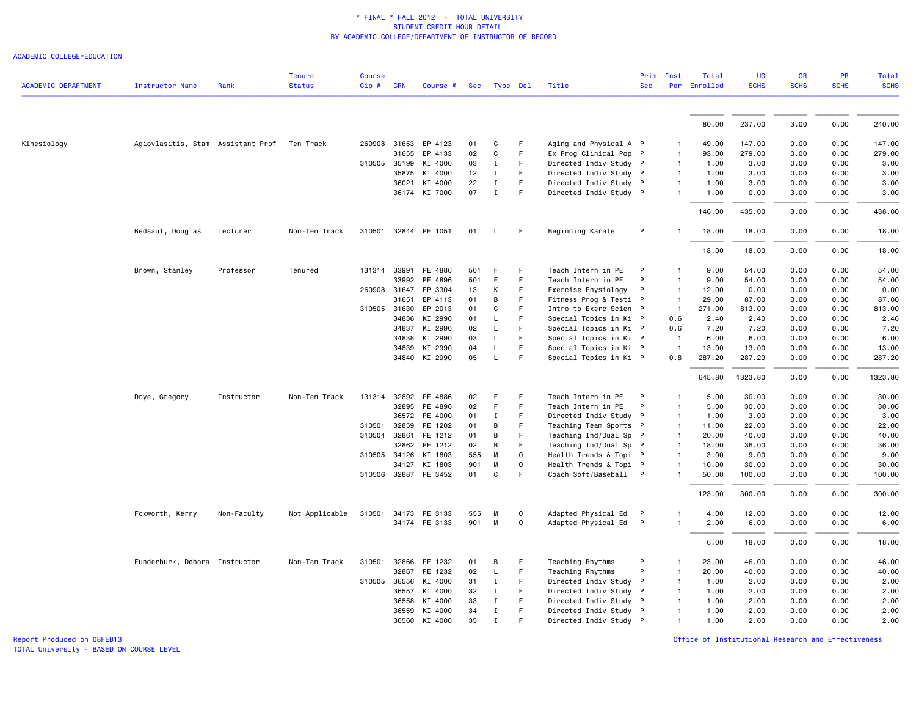ACADEMIC COLLEGE=EDUCATION

|                            |                                             |             | <b>Tenure</b>  | <b>Course</b> |              |                                 |           |              |               |                                                 | Prim       | Inst           | Total          | <b>UG</b>       | GR           | PR           | <b>Total</b>    |
|----------------------------|---------------------------------------------|-------------|----------------|---------------|--------------|---------------------------------|-----------|--------------|---------------|-------------------------------------------------|------------|----------------|----------------|-----------------|--------------|--------------|-----------------|
| <b>ACADEMIC DEPARTMENT</b> | <b>Instructor Name</b>                      | Rank        | <b>Status</b>  | Cip #         | <b>CRN</b>   | Course #                        | Sec       | Type Del     |               | Title                                           | <b>Sec</b> |                | Per Enrolled   | <b>SCHS</b>     | <b>SCHS</b>  | <b>SCHS</b>  | <b>SCHS</b>     |
|                            |                                             |             |                |               |              |                                 |           |              |               |                                                 |            |                |                |                 |              |              |                 |
|                            |                                             |             |                |               |              |                                 |           |              |               |                                                 |            |                | 80.00          | 237.00          | 3.00         | 0.00         | 240.00          |
| Kinesiology                | Agiovlasitis, Stam Assistant Prof Ten Track |             |                |               |              | 260908 31653 EP 4123            | 01        | C            | F             | Aging and Physical A P                          |            | 1.             | 49.00          | 147.00          | 0.00         | 0.00         | 147.00          |
|                            |                                             |             |                |               | 31655        | EP 4133                         | 02        | C            | F             | Ex Prog Clinical Pop P                          |            | $\overline{1}$ | 93.00          | 279.00          | 0.00         | 0.00         | 279.00          |
|                            |                                             |             |                |               | 310505 35199 | KI 4000                         | 03        | $\mathbf{I}$ | F             | Directed Indiv Study P                          |            | $\mathbf{1}$   | 1.00           | 3.00            | 0.00         | 0.00         | 3.00            |
|                            |                                             |             |                |               | 35875        | KI 4000                         | 12        | Ι.           | F             | Directed Indiv Study P                          |            | -1             | 1.00           | 3.00            | 0.00         | 0.00         | 3.00            |
|                            |                                             |             |                |               | 36021        | KI 4000                         | 22        | $\mathbf{I}$ | F             | Directed Indiv Study P                          |            | $\overline{1}$ | 1.00           | 3.00            | 0.00         | 0.00         | 3.00            |
|                            |                                             |             |                |               |              | 36174 KI 7000                   | 07        | $\mathbf{I}$ | F             | Directed Indiv Study P                          |            | 1              | 1.00           | 0.00            | 3.00         | 0.00         | 3.00            |
|                            |                                             |             |                |               |              |                                 |           |              |               |                                                 |            |                | 146.00         | 435.00          | 3.00         | 0.00         | 438.00          |
|                            | Bedsaul, Douglas                            | Lecturer    | Non-Ten Track  |               |              | 310501 32844 PE 1051            | 01        | L.           | F             | Beginning Karate                                | P          | $\mathbf{1}$   | 18.00          | 18.00           | 0.00         | 0.00         | 18.00           |
|                            |                                             |             |                |               |              |                                 |           |              |               |                                                 |            |                | 18.00          | 18.00           | 0.00         | 0.00         | 18.00           |
|                            | Brown, Stanley                              | Professor   | Tenured        | 131314        | 33991        | PE 4886                         | 501       | F.           | F             | Teach Intern in PE                              | P          | 1              | 9.00           | 54.00           | 0.00         | 0.00         | 54.00           |
|                            |                                             |             |                |               | 33992        | PE 4896                         | 501       | -F           | F             | Teach Intern in PE                              | P          | $\mathbf{1}$   | 9.00           | 54.00           | 0.00         | 0.00         | 54.00           |
|                            |                                             |             |                |               | 260908 31647 | EP 3304                         | 13        | Κ            | F             | Exercise Physiology                             | P          | $\mathbf{1}$   | 12.00          | 0.00            | 0.00         | 0.00         | 0.00            |
|                            |                                             |             |                |               | 31651        | EP 4113                         | 01        | B            | F             | Fitness Prog & Testi P                          |            | $\mathbf{1}$   | 29.00          | 87.00           | 0.00         | 0.00         | 87.00           |
|                            |                                             |             |                | 310505        | 31630        | EP 2013                         | 01        | С            | F             | Intro to Exerc Scien P                          |            | $\mathbf{1}$   | 271.00         | 813.00          | 0.00         | 0.00         | 813.00          |
|                            |                                             |             |                |               | 34836        | KI 2990                         | 01        | L.           | F             | Special Topics in Ki P                          |            | 0.6            | 2.40           | 2.40            | 0.00         | 0.00         | 2.40            |
|                            |                                             |             |                |               | 34837        | KI 2990                         | 02        | $\mathsf{L}$ | F             | Special Topics in Ki P                          |            | 0.6            | 7.20           | 7.20            | 0.00         | 0.00         | 7.20            |
|                            |                                             |             |                |               | 34838        | KI 2990                         | 03        | L            | F             | Special Topics in Ki P                          |            | -1             | 6.00           | 6.00            | 0.00         | 0.00         | 6.00            |
|                            |                                             |             |                |               | 34839        | KI 2990                         | 04        | L            | F             | Special Topics in Ki P                          |            | $\overline{1}$ | 13.00          | 13.00           | 0.00         | 0.00         | 13.00           |
|                            |                                             |             |                |               |              | 34840 KI 2990                   | 05        | L            | F             | Special Topics in Ki P                          |            | 0.8            | 287.20         | 287.20          | 0.00         | 0.00         | 287.20          |
|                            |                                             |             |                |               |              |                                 |           |              |               |                                                 |            |                | 645.80         | 1323.80         | 0.00         | 0.00         | 1323.80         |
|                            |                                             |             |                |               |              |                                 |           | F.           | F             |                                                 |            |                |                |                 |              |              |                 |
|                            | Drye, Gregory                               | Instructor  | Non-Ten Track  | 131314        |              | 32892 PE 4886                   | 02        |              |               | Teach Intern in PE                              | P          | 1              | 5.00           | 30.00           | 0.00         | 0.00         | 30.00           |
|                            |                                             |             |                |               |              | 32895 PE 4896                   | 02        | F            | F<br>F        | Teach Intern in PE                              | P          | $\mathbf{1}$   | 5.00           | 30.00           | 0.00         | 0.00         | 30.00           |
|                            |                                             |             |                |               |              | 36572 PE 4000                   | 01        | Ι.           |               | Directed Indiv Study P                          |            | -1             | 1.00           | 3.00            | 0.00         | 0.00         | 3.00            |
|                            |                                             |             |                | 310501        | 32859        | PE 1202                         | 01        | В            | F             | Teaching Team Sports P                          |            | $\mathbf{1}$   | 11.00          | 22.00           | 0.00         | 0.00         | 22.00           |
|                            |                                             |             |                | 310504        | 32861        | PE 1212                         | 01        | В            | F             | Teaching Ind/Dual Sp P                          |            | $\mathbf{1}$   | 20.00          | 40.00           | 0.00         | 0.00         | 40.00           |
|                            |                                             |             |                |               | 32862        | PE 1212                         | 02        | В            | F             | Teaching Ind/Dual Sp P                          |            | $\mathbf{1}$   | 18.00          | 36.00           | 0.00         | 0.00         | 36.00           |
|                            |                                             |             |                | 310505        | 34126        | KI 1803                         | 555       | M            | $\Omega$      | Health Trends & Topi P                          |            | $\mathbf{1}$   | 3.00           | 9.00            | 0.00         | 0.00         | 9.00            |
|                            |                                             |             |                |               | 34127        | KI 1803<br>310506 32887 PE 3452 | 901<br>01 | M<br>C       | $\Omega$<br>E | Health Trends & Topi P<br>Coach Soft/Baseball P |            | 1<br>1         | 10.00<br>50.00 | 30.00<br>100.00 | 0.00<br>0.00 | 0.00<br>0.00 | 30.00<br>100.00 |
|                            |                                             |             |                |               |              |                                 |           |              |               |                                                 |            |                | 123.00         | 300.00          | 0.00         | 0.00         | 300.00          |
|                            | Foxworth, Kerry                             | Non-Faculty | Not Applicable | 310501        |              | 34173 PE 3133                   | 555       | M            | $\Omega$      |                                                 |            | 1              | 4.00           | 12.00           | 0.00         | 0.00         | 12.00           |
|                            |                                             |             |                |               |              | 34174 PE 3133                   | 901       | M            | $\Omega$      | Adapted Physical Ed P<br>Adapted Physical Ed P  |            | $\mathbf{1}$   | 2.00           | 6.00            | 0.00         | 0.00         | 6.00            |
|                            |                                             |             |                |               |              |                                 |           |              |               |                                                 |            |                | 6.00           | 18.00           | 0.00         | 0.00         | 18.00           |
|                            |                                             |             |                |               |              |                                 |           |              |               |                                                 |            |                |                |                 |              |              |                 |
|                            | Funderburk, Debora Instructor               |             | Non-Ten Track  | 310501        | 32866        | PE 1232                         | 01        | В            | F             | Teaching Rhythms                                | P          | 1              | 23.00          | 46.00           | 0.00         | 0.00         | 46.00           |
|                            |                                             |             |                |               |              | 32867 PE 1232                   | 02        | $\mathsf L$  | F             | Teaching Rhythms                                | P          | $\mathbf{1}$   | 20.00          | 40.00           | 0.00         | 0.00         | 40.00           |
|                            |                                             |             |                | 310505        |              | 36556 KI 4000                   | 31        | $\mathbf{I}$ | F             | Directed Indiv Study P                          |            | $\mathbf{1}$   | 1.00           | 2.00            | 0.00         | 0.00         | 2.00            |
|                            |                                             |             |                |               | 36557        | KI 4000                         | 32        | $\mathbf{I}$ | F<br>F        | Directed Indiv Study P                          |            | 1              | 1.00           | 2.00            | 0.00         | 0.00         | 2.00            |
|                            |                                             |             |                |               | 36558        | KI 4000                         | 33<br>34  | $\mathbf{I}$ | F             | Directed Indiv Study P                          |            | $\mathbf{1}$   | 1.00<br>1.00   | 2.00            | 0.00         | 0.00<br>0.00 | 2.00            |
|                            |                                             |             |                |               | 36559        | KI 4000                         |           | $\mathbf{I}$ | E             | Directed Indiv Study P                          |            | $\mathbf{1}$   |                | 2.00            | 0.00         |              | 2.00            |
|                            |                                             |             |                |               |              | 36560 KI 4000                   | 35        | $\mathbf{I}$ |               | Directed Indiv Study P                          |            | $\mathbf{1}$   | 1.00           | 2.00            | 0.00         | 0.00         | 2.00            |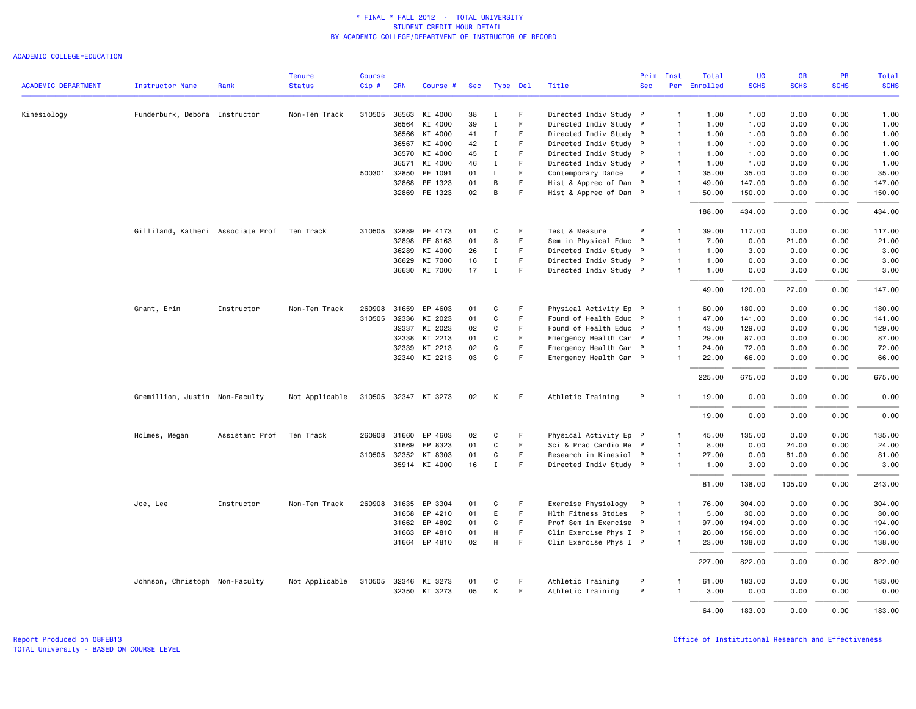### ACADEMIC COLLEGE=EDUCATION

|                            |                                   |                | <b>Tenure</b>  | Course |              |                      |     |              |    |                        | Prim         | Inst           | Total        | UG          | <b>GR</b>   | <b>PR</b>   | Total       |
|----------------------------|-----------------------------------|----------------|----------------|--------|--------------|----------------------|-----|--------------|----|------------------------|--------------|----------------|--------------|-------------|-------------|-------------|-------------|
| <b>ACADEMIC DEPARTMENT</b> | Instructor Name                   | Rank           | <b>Status</b>  | Cip#   | <b>CRN</b>   | Course #             | Sec | Type Del     |    | Title                  | <b>Sec</b>   |                | Per Enrolled | <b>SCHS</b> | <b>SCHS</b> | <b>SCHS</b> | <b>SCHS</b> |
| Kinesiology                | Funderburk, Debora Instructor     |                | Non-Ten Track  |        |              | 310505 36563 KI 4000 | 38  | Ι.           | F  | Directed Indiv Study P |              | $\mathbf{1}$   | 1.00         | 1.00        | 0.00        | 0.00        | 1.00        |
|                            |                                   |                |                |        | 36564        | KI 4000              | 39  | $\mathbf I$  | F  | Directed Indiv Study P |              | $\mathbf{1}$   | 1.00         | 1.00        | 0.00        | 0.00        | 1.00        |
|                            |                                   |                |                |        | 36566        | KI 4000              | 41  | Ι.           | F. | Directed Indiv Study P |              | $\mathbf{1}$   | 1.00         | 1.00        | 0.00        | 0.00        | 1.00        |
|                            |                                   |                |                |        | 36567        | KI 4000              | 42  | $\mathbf I$  | F  | Directed Indiv Study P |              | $\mathbf{1}$   | 1.00         | 1.00        | 0.00        | 0.00        | 1.00        |
|                            |                                   |                |                |        | 36570        | KI 4000              | 45  | $\mathbf I$  | F. | Directed Indiv Study P |              | $\mathbf{1}$   | 1.00         | 1.00        | 0.00        | 0.00        | 1.00        |
|                            |                                   |                |                |        | 36571        | KI 4000              | 46  | $\mathbf I$  | F. | Directed Indiv Study P |              | $\mathbf{1}$   | 1.00         | 1.00        | 0.00        | 0.00        | 1.00        |
|                            |                                   |                |                |        | 500301 32850 | PE 1091              | 01  | L            | F  | Contemporary Dance     | $\mathsf{P}$ | $\mathbf{1}$   | 35.00        | 35.00       | 0.00        | 0.00        | 35.00       |
|                            |                                   |                |                |        | 32868        | PE 1323              | 01  | B            | F. | Hist & Apprec of Dan P |              | $\mathbf{1}$   | 49.00        | 147.00      | 0.00        | 0.00        | 147.00      |
|                            |                                   |                |                |        |              | 32869 PE 1323        | 02  | В            | F  | Hist & Apprec of Dan P |              | $\mathbf{1}$   | 50.00        | 150.00      | 0.00        | 0.00        | 150.00      |
|                            |                                   |                |                |        |              |                      |     |              |    |                        |              |                | 188.00       | 434.00      | 0.00        | 0.00        | 434.00      |
|                            | Gilliland, Katheri Associate Prof |                | Ten Track      |        |              | 310505 32889 PE 4173 | 01  | C            | F  | Test & Measure         |              | -1             | 39.00        | 117.00      | 0.00        | 0.00        | 117.00      |
|                            |                                   |                |                |        | 32898        | PE 8163              | 01  | S            | F. | Sem in Physical Educ P |              | $\mathbf{1}$   | 7.00         | 0.00        | 21.00       | 0.00        | 21.00       |
|                            |                                   |                |                |        | 36289        | KI 4000              | 26  | $\mathbf I$  | F  | Directed Indiv Study P |              | $\mathbf{1}$   | 1.00         | 3.00        | 0.00        | 0.00        | 3.00        |
|                            |                                   |                |                |        | 36629        | KI 7000              | 16  | $\mathbf I$  | F  | Directed Indiv Study P |              | $\overline{1}$ | 1.00         | 0.00        | 3.00        | 0.00        | 3.00        |
|                            |                                   |                |                |        |              | 36630 KI 7000        | 17  | $\mathbf{I}$ | F. | Directed Indiv Study P |              | $\mathbf{1}$   | 1.00         | 0.00        | 3.00        | 0.00        | 3.00        |
|                            |                                   |                |                |        |              |                      |     |              |    |                        |              |                | 49.00        | 120.00      | 27.00       | 0.00        | 147.00      |
|                            | Grant, Erin                       | Instructor     | Non-Ten Track  | 260908 | 31659        | EP 4603              | 01  | C            | F  | Physical Activity Ep P |              | $\overline{1}$ | 60.00        | 180.00      | 0.00        | 0.00        | 180.00      |
|                            |                                   |                |                | 310505 |              | 32336 KI 2023        | 01  | $\mathbf{C}$ | F  | Found of Health Educ P |              | $\mathbf{1}$   | 47.00        | 141.00      | 0.00        | 0.00        | 141.00      |
|                            |                                   |                |                |        |              | 32337 KI 2023        | 02  | C            | F. | Found of Health Educ P |              | $\mathbf{1}$   | 43.00        | 129.00      | 0.00        | 0.00        | 129.00      |
|                            |                                   |                |                |        | 32338        | KI 2213              | 01  | C            | F  | Emergency Health Car P |              | $\mathbf{1}$   | 29.00        | 87.00       | 0.00        | 0.00        | 87.00       |
|                            |                                   |                |                |        | 32339        | KI 2213              | 02  | $\mathbf{C}$ | F  | Emergency Health Car P |              | $\mathbf{1}$   | 24.00        | 72.00       | 0.00        | 0.00        | 72.00       |
|                            |                                   |                |                |        |              | 32340 KI 2213        | 03  | C            | F  | Emergency Health Car P |              | $\mathbf{1}$   | 22.00        | 66.00       | 0.00        | 0.00        | 66.00       |
|                            |                                   |                |                |        |              |                      |     |              |    |                        |              |                | 225.00       | 675.00      | 0.00        | 0.00        | 675.00      |
|                            | Gremillion, Justin Non-Faculty    |                | Not Applicable |        |              | 310505 32347 KI 3273 | 02  | Κ            | -F | Athletic Training      | P            |                | 19.00        | 0.00        | 0.00        | 0.00        | 0.00        |
|                            |                                   |                |                |        |              |                      |     |              |    |                        |              |                | 19.00        | 0.00        | 0.00        | 0.00        | 0.00        |
|                            | Holmes, Megan                     | Assistant Prof | Ten Track      |        | 260908 31660 | EP 4603              | 02  | C            | F  | Physical Activity Ep P |              | $\mathbf{1}$   | 45.00        | 135.00      | 0.00        | 0.00        | 135.00      |
|                            |                                   |                |                |        | 31669        | EP 8323              | 01  | C            | F. | Sci & Prac Cardio Re P |              | $\mathbf{1}$   | 8.00         | 0.00        | 24.00       | 0.00        | 24.00       |
|                            |                                   |                |                |        | 310505 32352 | KI 8303              | 01  | C            | F  | Research in Kinesiol P |              | $\overline{1}$ | 27.00        | 0.00        | 81.00       | 0.00        | 81.00       |
|                            |                                   |                |                |        |              | 35914 KI 4000        | 16  | $\mathbf I$  | F  | Directed Indiv Study P |              | $\mathbf{1}$   | 1.00         | 3.00        | 0.00        | 0.00        | 3.00        |
|                            |                                   |                |                |        |              |                      |     |              |    |                        |              |                | 81.00        | 138.00      | 105.00      | 0.00        | 243.00      |
|                            | Joe, Lee                          | Instructor     | Non-Ten Track  |        |              | 260908 31635 EP 3304 | 01  | C            | F  | Exercise Physiology P  |              | $\overline{1}$ | 76.00        | 304.00      | 0.00        | 0.00        | 304.00      |
|                            |                                   |                |                |        | 31658        | EP 4210              | 01  | E            | F. | Hlth Fitness Stdies    | P            | $\overline{1}$ | 5.00         | 30.00       | 0.00        | 0.00        | 30.00       |
|                            |                                   |                |                |        | 31662        | EP 4802              | 01  | C            | F  | Prof Sem in Exercise P |              | $\mathbf{1}$   | 97.00        | 194.00      | 0.00        | 0.00        | 194.00      |
|                            |                                   |                |                |        | 31663        | EP 4810              | 01  | H            | F. | Clin Exercise Phys I P |              | $\mathbf{1}$   | 26.00        | 156.00      | 0.00        | 0.00        | 156.00      |
|                            |                                   |                |                |        |              | 31664 EP 4810        | 02  | H            | F  | Clin Exercise Phys I P |              | $\mathbf{1}$   | 23.00        | 138.00      | 0.00        | 0.00        | 138.00      |
|                            |                                   |                |                |        |              |                      |     |              |    |                        |              |                | 227.00       | 822.00      | 0.00        | 0.00        | 822.00      |
|                            | Johnson, Christoph Non-Faculty    |                | Not Applicable |        |              | 310505 32346 KI 3273 | 01  | С            | F  | Athletic Training      | P            | -1             | 61.00        | 183.00      | 0.00        | 0.00        | 183.00      |
|                            |                                   |                |                |        |              | 32350 KI 3273        | 05  | K            | F  | Athletic Training      | P            |                | 3,00         | 0.00        | 0.00        | 0.00        | 0.00        |
|                            |                                   |                |                |        |              |                      |     |              |    |                        |              |                |              |             |             |             |             |
|                            |                                   |                |                |        |              |                      |     |              |    |                        |              |                | 64.00        | 183.00      | 0.00        | 0.00        | 183.00      |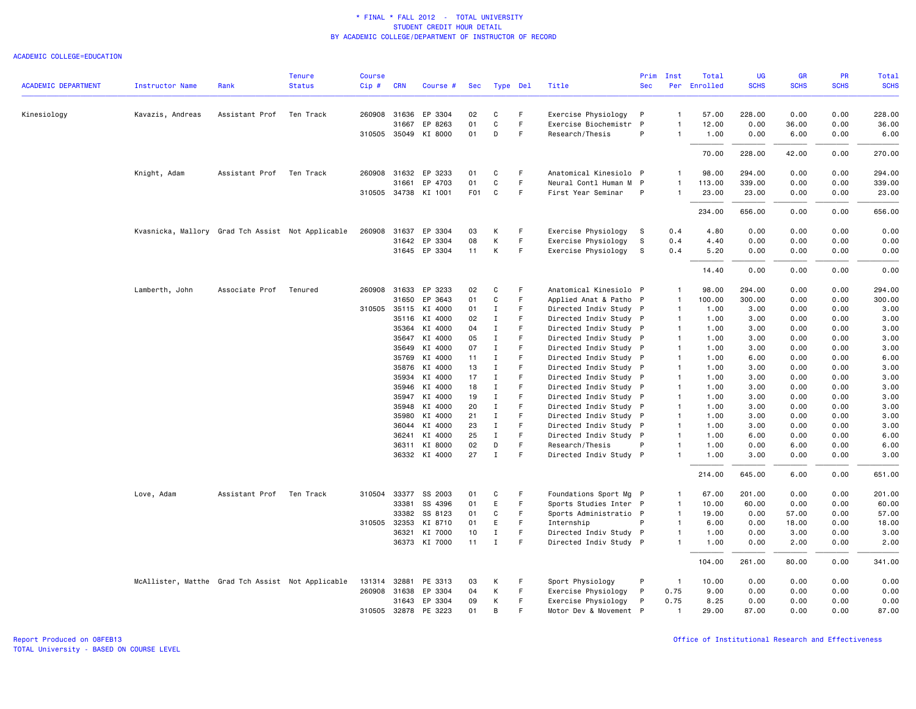#### ACADEMIC COLLEGE=EDUCATION

|                            |                                                   |                | <b>Tenure</b> | <b>Course</b> |                |                      |                  |                  |         |                                                  | Prim         | Inst                             | Total        | <b>UG</b>    | <b>GR</b>    | <b>PR</b>    | Total        |
|----------------------------|---------------------------------------------------|----------------|---------------|---------------|----------------|----------------------|------------------|------------------|---------|--------------------------------------------------|--------------|----------------------------------|--------------|--------------|--------------|--------------|--------------|
| <b>ACADEMIC DEPARTMENT</b> | <b>Instructor Name</b>                            | Rank           | <b>Status</b> | $Cip$ #       | <b>CRN</b>     | Course #             | Sec              | Type Del         |         | Title                                            | <b>Sec</b>   |                                  | Per Enrolled | <b>SCHS</b>  | <b>SCHS</b>  | <b>SCHS</b>  | <b>SCHS</b>  |
| Kinesiology                | Kavazis, Andreas                                  | Assistant Prof | Ten Track     |               | 260908 31636   | EP 3304              | 02               | C                | F.      | Exercise Physiology                              | P            | 1                                | 57.00        | 228.00       | 0.00         | 0.00         | 228.00       |
|                            |                                                   |                |               |               | 31667          | EP 8263              | 01               | C                | F       | Exercise Biochemistr                             | $\mathsf{P}$ | $\mathbf{1}$                     | 12.00        | 0.00         | 36.00        | 0.00         | 36.00        |
|                            |                                                   |                |               |               |                | 310505 35049 KI 8000 | 01               | D                | F       | Research/Thesis                                  | P            | $\mathbf{1}$                     | 1.00         | 0.00         | 6.00         | 0.00         | 6.00         |
|                            |                                                   |                |               |               |                |                      |                  |                  |         |                                                  |              |                                  | 70.00        | 228.00       | 42.00        | 0.00         | 270.00       |
|                            | Knight, Adam                                      | Assistant Prof | Ten Track     |               | 260908 31632   | EP 3233              | 01               | C                | F.      | Anatomical Kinesiolo P                           |              | $\mathbf{1}$                     | 98.00        | 294.00       | 0.00         | 0.00         | 294.00       |
|                            |                                                   |                |               |               | 31661          | EP 4703              | 01               | C                | F       | Neural Contl Human M P                           |              | $\mathbf{1}$                     | 113.00       | 339.00       | 0.00         | 0.00         | 339.00       |
|                            |                                                   |                |               |               |                | 310505 34738 KI 1001 | F <sub>0</sub> 1 | $\mathtt{C}$     | F       | First Year Seminar                               | P            | $\mathbf{1}$                     | 23.00        | 23.00        | 0.00         | 0.00         | 23.00        |
|                            |                                                   |                |               |               |                |                      |                  |                  |         |                                                  |              |                                  | 234.00       | 656.00       | 0.00         | 0.00         | 656.00       |
|                            | Kvasnicka, Mallory Grad Tch Assist Not Applicable |                |               | 260908        | 31637          | EP 3304              | 03               | К                | F.      | Exercise Physiology                              | - S          | 0.4                              | 4.80         | 0.00         | 0.00         | 0.00         | 0.00         |
|                            |                                                   |                |               |               |                | 31642 EP 3304        | 08               | К                | F.      | Exercise Physiology                              | S            | 0.4                              | 4.40         | 0.00         | 0.00         | 0.00         | 0.00         |
|                            |                                                   |                |               |               |                | 31645 EP 3304        | 11               | К                | F       | Exercise Physiology                              | S            | 0.4                              | 5.20         | 0.00         | 0.00         | 0.00         | 0.00         |
|                            |                                                   |                |               |               |                |                      |                  |                  |         |                                                  |              |                                  | 14.40        | 0.00         | 0.00         | 0.00         | 0.00         |
|                            | Lamberth, John                                    | Associate Prof | Tenured       | 260908        | 31633          | EP 3233              | 02               | C                | F       | Anatomical Kinesiolo P                           |              | $\mathbf{1}$                     | 98.00        | 294.00       | 0.00         | 0.00         | 294.00       |
|                            |                                                   |                |               |               | 31650          | EP 3643              | 01               | $\mathbf c$      | F       | Applied Anat & Patho P                           |              | $\mathbf{1}$                     | 100.00       | 300.00       | 0.00         | 0.00         | 300.00       |
|                            |                                                   |                |               |               |                | 310505 35115 KI 4000 | 01               | $\mathbf I$      | F.      | Directed Indiv Study P                           |              | $\mathbf{1}$                     | 1.00         | 3.00         | 0.00         | 0.00         | 3.00         |
|                            |                                                   |                |               |               | 35116          | KI 4000              | 02               | I                | F       | Directed Indiv Study P                           |              | $\mathbf{1}$                     | 1.00         | 3.00         | 0.00         | 0.00         | 3.00         |
|                            |                                                   |                |               |               | 35364          | KI 4000              | 04               | $\bf{I}$         | F       | Directed Indiv Study P                           |              | $\mathbf{1}$                     | 1.00         | 3.00         | 0.00         | 0.00         | 3.00         |
|                            |                                                   |                |               |               |                | 35647 KI 4000        | 05               | $\mathbf I$      | F       | Directed Indiv Study P                           |              | $\overline{1}$                   | 1.00         | 3.00         | 0.00         | 0.00         | 3.00         |
|                            |                                                   |                |               |               | 35649          | KI 4000              | 07               | $\mathbf{I}$     | F       | Directed Indiv Study P                           |              | $\overline{1}$                   | 1.00         | 3.00         | 0.00         | 0.00         | 3.00         |
|                            |                                                   |                |               |               | 35769          | KI 4000              | 11               | $\mathbf I$      | F       | Directed Indiv Study P                           |              | $\overline{1}$                   | 1.00         | 6.00         | 0.00         | 0.00         | 6.00         |
|                            |                                                   |                |               |               |                | 35876 KI 4000        | 13               | $\mathbf I$      | F       | Directed Indiv Study P                           |              | $\mathbf{1}$                     | 1.00         | 3.00         | 0.00         | 0.00         | 3.00         |
|                            |                                                   |                |               |               | 35934          | KI 4000              | 17               | $\mathbf I$      | F       | Directed Indiv Study P                           |              | $\mathbf{1}$                     | 1.00         | 3.00         | 0.00         | 0.00         | 3.00         |
|                            |                                                   |                |               |               |                | 35946 KI 4000        | 18               | Ι                | F       | Directed Indiv Study P                           |              | $\overline{1}$                   | 1.00         | 3.00         | 0.00         | 0.00         | 3.00         |
|                            |                                                   |                |               |               | 35947<br>35948 | KI 4000<br>KI 4000   | 19<br>20         | $\mathbf I$<br>I | F.<br>F | Directed Indiv Study P                           |              | $\overline{1}$<br>$\overline{1}$ | 1.00<br>1.00 | 3.00<br>3.00 | 0.00<br>0.00 | 0.00<br>0.00 | 3.00<br>3.00 |
|                            |                                                   |                |               |               |                | 35980 KI 4000        | 21               | $\bf{I}$         | F       | Directed Indiv Study P<br>Directed Indiv Study P |              | $\overline{1}$                   | 1.00         | 3.00         | 0.00         | 0.00         | 3.00         |
|                            |                                                   |                |               |               | 36044          | KI 4000              | 23               | $\mathbf I$      | F       | Directed Indiv Study P                           |              | $\overline{1}$                   | 1.00         | 3.00         | 0.00         | 0.00         | 3.00         |
|                            |                                                   |                |               |               | 36241          | KI 4000              | 25               | $\mathbf{I}$     | F       | Directed Indiv Study P                           |              | $\mathbf{1}$                     | 1.00         | 6.00         | 0.00         | 0.00         | 6.00         |
|                            |                                                   |                |               |               | 36311          | KI 8000              | 02               | D                | F       | Research/Thesis                                  | P            | 1                                | 1.00         | 0.00         | 6.00         | 0.00         | 6.00         |
|                            |                                                   |                |               |               |                | 36332 KI 4000        | 27               | $\mathbf{I}$     | F       | Directed Indiv Study P                           |              | $\mathbf{1}$                     | 1.00         | 3.00         | 0.00         | 0.00         | 3.00         |
|                            |                                                   |                |               |               |                |                      |                  |                  |         |                                                  |              |                                  | 214.00       | 645.00       | 6.00         | 0.00         | 651.00       |
|                            | Love, Adam                                        | Assistant Prof | Ten Track     | 310504        | 33377          | SS 2003              | 01               | C                | F       | Foundations Sport Mg P                           |              | $\mathbf{1}$                     | 67.00        | 201.00       | 0.00         | 0.00         | 201.00       |
|                            |                                                   |                |               |               | 33381          | SS 4396              | 01               | E                | F       | Sports Studies Inter P                           |              | $\mathbf{1}$                     | 10.00        | 60.00        | 0.00         | 0.00         | 60.00        |
|                            |                                                   |                |               |               | 33382          | SS 8123              | 01               | C                | F       | Sports Administratio P                           |              | $\mathbf{1}$                     | 19.00        | 0.00         | 57.00        | 0.00         | 57.00        |
|                            |                                                   |                |               |               | 310505 32353   | KI 8710              | 01               | E                | F       | Internship                                       | P            | $\mathbf{1}$                     | 6.00         | 0.00         | 18.00        | 0.00         | 18.00        |
|                            |                                                   |                |               |               | 36321          | KI 7000              | 10               | $\mathbf I$      | F       | Directed Indiv Study P                           |              | $\mathbf{1}$                     | 1.00         | 0.00         | 3.00         | 0.00         | 3.00         |
|                            |                                                   |                |               |               |                | 36373 KI 7000        | 11               | $\mathbf{I}$     | F.      | Directed Indiv Study P                           |              | $\mathbf{1}$                     | 1.00         | 0.00         | 2.00         | 0.00         | 2.00         |
|                            |                                                   |                |               |               |                |                      |                  |                  |         |                                                  |              |                                  | 104.00       | 261.00       | 80.00        | 0.00         | 341.00       |
|                            | McAllister, Matthe Grad Tch Assist Not Applicable |                |               | 131314        | 32881          | PE 3313              | 03               | К                | F.      | Sport Physiology                                 | P            | $\overline{1}$                   | 10.00        | 0.00         | 0.00         | 0.00         | 0.00         |
|                            |                                                   |                |               |               | 260908 31638   | EP 3304              | 04               | К                | F       | Exercise Physiology                              | P            | 0.75                             | 9.00         | 0.00         | 0.00         | 0.00         | 0.00         |
|                            |                                                   |                |               |               | 31643          | EP 3304              | 09               | К                | F.      | Exercise Physiology                              | P            | 0.75                             | 8.25         | 0.00         | 0.00         | 0.00         | 0.00         |
|                            |                                                   |                |               |               |                | 310505 32878 PE 3223 | 01               | B                | F       | Motor Dev & Movement P                           |              | $\overline{1}$                   | 29.00        | 87.00        | 0.00         | 0.00         | 87.00        |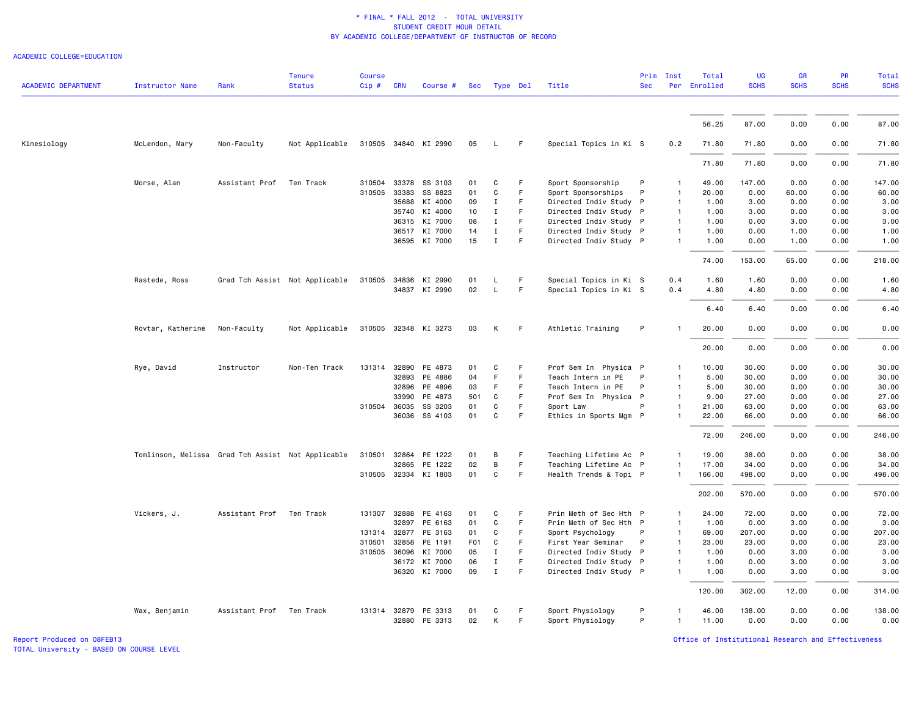#### ACADEMIC COLLEGE=EDUCATION

| <b>ACADEMIC DEPARTMENT</b> | <b>Instructor Name</b>                            | Rank                     | <b>Tenure</b><br><b>Status</b> | <b>Course</b><br>$Cip \#$ | <b>CRN</b>   | Course #             |                 | Sec Type Del |    | Title                  | Prim<br><b>Sec</b> | Inst         | Total<br>Per Enrolled | <b>UG</b><br><b>SCHS</b> | <b>GR</b><br><b>SCHS</b> | <b>PR</b><br><b>SCHS</b> | Total<br><b>SCHS</b> |
|----------------------------|---------------------------------------------------|--------------------------|--------------------------------|---------------------------|--------------|----------------------|-----------------|--------------|----|------------------------|--------------------|--------------|-----------------------|--------------------------|--------------------------|--------------------------|----------------------|
|                            |                                                   |                          |                                |                           |              |                      |                 |              |    |                        |                    |              |                       |                          |                          |                          |                      |
|                            |                                                   |                          |                                |                           |              |                      |                 |              |    |                        |                    |              | 56.25                 | 87.00                    | 0.00                     | 0.00                     | 87.00                |
| Kinesiology                | McLendon, Mary                                    | Non-Faculty              | Not Applicable                 |                           |              | 310505 34840 KI 2990 | 05              | L.           | F. | Special Topics in Ki S |                    | 0.2          | 71.80                 | 71.80                    | 0.00                     | 0.00                     | 71.80                |
|                            |                                                   |                          |                                |                           |              |                      |                 |              |    |                        |                    |              | 71.80                 | 71.80                    | 0.00                     | 0.00                     | 71.80                |
|                            | Morse, Alan                                       | Assistant Prof           | Ten Track                      | 310504                    | 33378        | SS 3103              | 01              | C            | F  | Sport Sponsorship      | P                  |              | 49.00                 | 147.00                   | 0.00                     | 0.00                     | 147.00               |
|                            |                                                   |                          |                                | 310505                    | 33383        | SS 8823              | 01              | C            | F  | Sport Sponsorships     | P                  |              | 20.00                 | 0.00                     | 60.00                    | 0.00                     | 60.00                |
|                            |                                                   |                          |                                |                           | 35688        | KI 4000              | 09              | Ι.           | F  | Directed Indiv Study P |                    |              | 1.00                  | 3.00                     | 0.00                     | 0.00                     | 3.00                 |
|                            |                                                   |                          |                                |                           |              | 35740 KI 4000        | 10              | $\mathbf I$  | F  | Directed Indiv Study P |                    |              | 1.00                  | 3.00                     | 0.00                     | 0.00                     | 3.00                 |
|                            |                                                   |                          |                                |                           |              | 36315 KI 7000        | 08              | $\mathbf{I}$ | F. | Directed Indiv Study P |                    | $\mathbf{1}$ | 1.00                  | 0.00                     | 3.00                     | 0.00                     | 3.00                 |
|                            |                                                   |                          |                                |                           | 36517        | KI 7000              | 14              | $\mathbf{I}$ | F  | Directed Indiv Study P |                    |              | 1.00                  | 0.00                     | 1.00                     | 0.00                     | 1.00                 |
|                            |                                                   |                          |                                |                           |              | 36595 KI 7000        | 15              | $\mathbf{I}$ | F. | Directed Indiv Study P |                    |              | 1.00                  | 0.00                     | 1.00                     | 0.00                     | 1.00                 |
|                            |                                                   |                          |                                |                           |              |                      |                 |              |    |                        |                    |              | 74.00                 | 153.00                   | 65.00                    | 0.00                     | 218.00               |
|                            | Rastede, Ross                                     |                          | Grad Tch Assist Not Applicable | 310505                    |              | 34836 KI 2990        | 01              | L            | F  | Special Topics in Ki S |                    | 0.4          | 1.60                  | 1.60                     | 0.00                     | 0.00                     | 1.60                 |
|                            |                                                   |                          |                                |                           |              | 34837 KI 2990        | 02              | L            | F  | Special Topics in Ki S |                    | 0.4          | 4.80                  | 4.80                     | 0.00                     | 0.00                     | 4.80                 |
|                            |                                                   |                          |                                |                           |              |                      |                 |              |    |                        |                    |              |                       |                          |                          |                          |                      |
|                            |                                                   |                          |                                |                           |              |                      |                 |              |    |                        |                    |              | 6.40                  | 6.40                     | 0.00                     | 0.00                     | 6.40                 |
|                            | Rovtar, Katherine                                 | Non-Faculty              | Not Applicable                 |                           |              | 310505 32348 KI 3273 | 03              | Κ            | F  | Athletic Training      | P                  |              | 20.00                 | 0.00                     | 0.00                     | 0.00                     | 0.00                 |
|                            |                                                   |                          |                                |                           |              |                      |                 |              |    |                        |                    |              | 20.00                 | 0.00                     | 0.00                     | 0.00                     | 0.00                 |
|                            | Rye, David                                        | Instructor               | Non-Ten Track                  | 131314                    | 32890        | PE 4873              | 01              | C            | F  | Prof Sem In Physica P  |                    |              | 10.00                 | 30.00                    | 0.00                     | 0.00                     | 30.00                |
|                            |                                                   |                          |                                |                           | 32893        | PE 4886              | 04              | F            | F  | Teach Intern in PE     | P                  |              | 5.00                  | 30.00                    | 0.00                     | 0.00                     | 30.00                |
|                            |                                                   |                          |                                |                           | 32896        | PE 4896              | 03              | F            | F  | Teach Intern in PE     | P                  |              | 5.00                  | 30.00                    | 0.00                     | 0.00                     | 30.00                |
|                            |                                                   |                          |                                |                           | 33990        | PE 4873              | 501             | C            | F. | Prof Sem In Physica P  |                    |              | 9.00                  | 27.00                    | 0.00                     | 0.00                     | 27.00                |
|                            |                                                   |                          |                                | 310504                    | 36035        | SS 3203              | 01              | C            | F  | Sport Law              |                    |              | 21.00                 | 63.00                    | 0.00                     | 0.00                     | 63.00                |
|                            |                                                   |                          |                                |                           |              | 36036 SS 4103        | 01              | C            | F  | Ethics in Sports Mgm P |                    |              | 22.00                 | 66.00                    | 0.00                     | 0.00                     | 66.00                |
|                            |                                                   |                          |                                |                           |              |                      |                 |              |    |                        |                    |              | 72.00                 | 246.00                   | 0.00                     | 0.00                     | 246.00               |
|                            | Tomlinson, Melissa Grad Tch Assist Not Applicable |                          |                                | 310501                    |              | 32864 PE 1222        | 01              | В            | F  | Teaching Lifetime Ac P |                    | $\mathbf{1}$ | 19.00                 | 38.00                    | 0.00                     | 0.00                     | 38.00                |
|                            |                                                   |                          |                                |                           |              | 32865 PE 1222        | 02              | В            | F  | Teaching Lifetime Ac P |                    |              | 17.00                 | 34.00                    | 0.00                     | 0.00                     | 34.00                |
|                            |                                                   |                          |                                |                           |              | 310505 32334 KI 1803 | 01              | C            | F  | Health Trends & Topi P |                    |              | 166.00                | 498.00                   | 0.00                     | 0.00                     | 498.00               |
|                            |                                                   |                          |                                |                           |              |                      |                 |              |    |                        |                    |              | 202.00                | 570.00                   | 0.00                     | 0.00                     | 570.00               |
|                            | Vickers, J.                                       | Assistant Prof Ten Track |                                |                           |              | 131307 32888 PE 4163 | 01              | C            | F  | Prin Meth of Sec Hth P |                    |              | 24.00                 | 72.00                    | 0.00                     | 0.00                     | 72.00                |
|                            |                                                   |                          |                                |                           | 32897        | PE 6163              | 01              | C            | F  | Prin Meth of Sec Hth P |                    |              | 1.00                  | 0.00                     | 3.00                     | 0.00                     | 3.00                 |
|                            |                                                   |                          |                                | 131314                    |              | 32877 PE 3163        | 01              | C            | F  | Sport Psychology       | P                  |              | 69.00                 | 207.00                   | 0.00                     | 0.00                     | 207.00               |
|                            |                                                   |                          |                                | 310501                    | 32858        | PE 1191              | F <sub>01</sub> | C            | F. | First Year Seminar     | P                  | $\mathbf{1}$ | 23.00                 | 23.00                    | 0.00                     | 0.00                     | 23.00                |
|                            |                                                   |                          |                                | 310505                    | 36096        | KI 7000              | 05              | $\mathbf{I}$ | F  | Directed Indiv Study P |                    | $\mathbf{1}$ | 1.00                  | 0.00                     | 3.00                     | 0.00                     | 3.00                 |
|                            |                                                   |                          |                                |                           |              | 36172 KI 7000        | 06              | $\mathbf{I}$ | F  | Directed Indiv Study P |                    |              | 1.00                  | 0.00                     | 3.00                     | 0.00                     | 3.00                 |
|                            |                                                   |                          |                                |                           |              |                      |                 |              | F  |                        |                    |              |                       |                          |                          |                          |                      |
|                            |                                                   |                          |                                |                           |              | 36320 KI 7000        | 09              | $\mathbf I$  |    | Directed Indiv Study P |                    |              | 1.00                  | 0.00                     | 3.00                     | 0.00                     | 3.00                 |
|                            |                                                   |                          |                                |                           |              |                      |                 |              |    |                        |                    |              | 120.00                | 302.00                   | 12.00                    | 0.00                     | 314.00               |
|                            | Wax, Benjamin                                     | Assistant Prof Ten Track |                                |                           | 131314 32879 | PE 3313              | 01              | C            | F  | Sport Physiology       | P                  |              | 46.00                 | 138.00                   | 0.00                     | 0.00                     | 138.00               |
|                            |                                                   |                          |                                |                           |              | 32880 PE 3313        | 02              | К            | F  | Sport Physiology       | P                  | $\mathbf{1}$ | 11.00                 | 0.00                     | 0.00                     | 0.00                     | 0.00                 |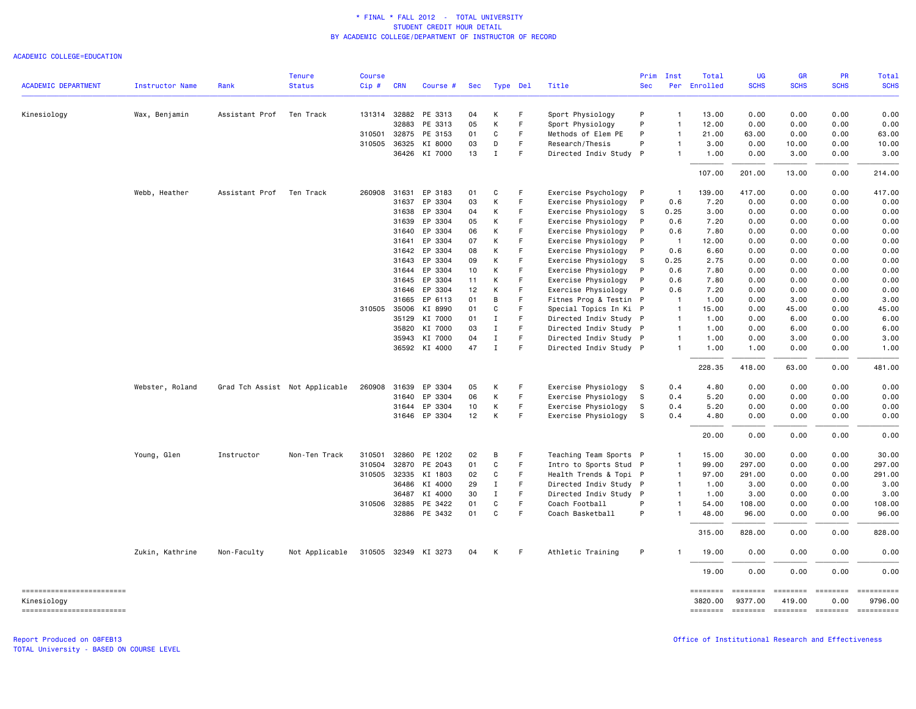ACADEMIC COLLEGE=EDUCATION

|                                         |                        |                | <b>Tenure</b>                  | <b>Course</b> |              |                      |     |             |             |                        | Prim         | Inst           | Total               | <b>UG</b>              | <b>GR</b>                                  | PR          | Total       |
|-----------------------------------------|------------------------|----------------|--------------------------------|---------------|--------------|----------------------|-----|-------------|-------------|------------------------|--------------|----------------|---------------------|------------------------|--------------------------------------------|-------------|-------------|
| <b>ACADEMIC DEPARTMENT</b>              | <b>Instructor Name</b> | Rank           | <b>Status</b>                  | Cip#          | <b>CRN</b>   | Course #             | Sec | Type Del    |             | Title                  | <b>Sec</b>   |                | Per Enrolled        | <b>SCHS</b>            | <b>SCHS</b>                                | <b>SCHS</b> | <b>SCHS</b> |
| Kinesiology                             | Wax, Benjamin          | Assistant Prof | Ten Track                      |               |              | 131314 32882 PE 3313 | 04  | К           | F           | Sport Physiology       | P            | $\mathbf{1}$   | 13.00               | 0.00                   | 0.00                                       | 0.00        | 0.00        |
|                                         |                        |                |                                |               | 32883        | PE 3313              | 05  | К           | F           | Sport Physiology       | P            | $\mathbf{1}$   | 12.00               | 0.00                   | 0.00                                       | 0.00        | 0.00        |
|                                         |                        |                |                                | 310501        | 32875        | PE 3153              | 01  | C           | F           | Methods of Elem PE     | P            | $\mathbf{1}$   | 21.00               | 63.00                  | 0.00                                       | 0.00        | 63.00       |
|                                         |                        |                |                                |               | 310505 36325 | KI 8000              | 03  | D           | F           | Research/Thesis        | P            | $\mathbf{1}$   | 3.00                | 0.00                   | 10.00                                      | 0.00        | 10.00       |
|                                         |                        |                |                                |               |              | 36426 KI 7000        | 13  | $\mathbf I$ | F           | Directed Indiv Study P |              | $\mathbf{1}$   | 1.00                | 0.00                   | 3.00                                       | 0.00        | 3.00        |
|                                         |                        |                |                                |               |              |                      |     |             |             |                        |              |                | 107.00              | 201.00                 | 13.00                                      | 0.00        | 214.00      |
|                                         | Webb, Heather          | Assistant Prof | Ten Track                      |               | 260908 31631 | EP 3183              | 01  | C           | F           | Exercise Psychology    | $\mathsf{P}$ | -1             | 139.00              | 417.00                 | 0.00                                       | 0.00        | 417.00      |
|                                         |                        |                |                                |               | 31637        | EP 3304              | 03  | К           | F           | Exercise Physiology    | P            | 0.6            | 7.20                | 0.00                   | 0.00                                       | 0.00        | 0.00        |
|                                         |                        |                |                                |               | 31638        | EP 3304              | 04  | К           | F           | Exercise Physiology    | s            | 0.25           | 3.00                | 0.00                   | 0.00                                       | 0.00        | 0.00        |
|                                         |                        |                |                                |               | 31639        | EP 3304              | 05  | К           | F.          | Exercise Physiology    | P            | 0.6            | 7.20                | 0.00                   | 0.00                                       | 0.00        | 0.00        |
|                                         |                        |                |                                |               | 31640        | EP 3304              | 06  | К           | F           | Exercise Physiology    | P            | 0.6            | 7.80                | 0.00                   | 0.00                                       | 0.00        | 0.00        |
|                                         |                        |                |                                |               | 31641        | EP 3304              | 07  | К           | F           | Exercise Physiology    | P            | $\overline{1}$ | 12.00               | 0.00                   | 0.00                                       | 0.00        | 0.00        |
|                                         |                        |                |                                |               | 31642        | EP 3304              | 08  | К           | F           | Exercise Physiology    | P            | 0.6            | 6.60                | 0.00                   | 0.00                                       | 0.00        | 0.00        |
|                                         |                        |                |                                |               | 31643        | EP 3304              | 09  | К           | F           | Exercise Physiology    | s            | 0.25           | 2.75                | 0.00                   | 0.00                                       | 0.00        | 0.00        |
|                                         |                        |                |                                |               | 31644        | EP 3304              | 10  | К           | F           | Exercise Physiology    | P            | 0.6            | 7.80                | 0.00                   | 0.00                                       | 0.00        | 0.00        |
|                                         |                        |                |                                |               | 31645        | EP 3304              | 11  | К           | F           | Exercise Physiology    | P            | 0.6            | 7.80                | 0.00                   | 0.00                                       | 0.00        | 0.00        |
|                                         |                        |                |                                |               | 31646        | EP 3304              | 12  | К           | E           | Exercise Physiology    | $\mathsf{P}$ | 0.6            | 7.20                | 0.00                   | 0.00                                       | 0.00        | 0.00        |
|                                         |                        |                |                                |               | 31665        | EP 6113              | 01  | В           | F           | Fitnes Prog & Testin P |              | $\overline{1}$ | 1.00                | 0.00                   | 3.00                                       | 0.00        | 3.00        |
|                                         |                        |                |                                |               | 310505 35006 | KI 8990              | 01  | $\mathbf C$ | F           | Special Topics In Ki P |              | $\overline{1}$ | 15.00               | 0.00                   | 45.00                                      | 0.00        | 45.00       |
|                                         |                        |                |                                |               | 35129        | KI 7000              | 01  | $\mathbf I$ | F           | Directed Indiv Study P |              | $\overline{1}$ | 1.00                | 0.00                   | 6.00                                       | 0.00        | 6.00        |
|                                         |                        |                |                                |               | 35820        | KI 7000              | 03  | $\mathbf I$ | F           | Directed Indiv Study P |              | $\mathbf{1}$   | 1.00                | 0.00                   | 6.00                                       | 0.00        | 6.00        |
|                                         |                        |                |                                |               | 35943        | KI 7000              | 04  | $\;$ I      | F           | Directed Indiv Study P |              | $\mathbf{1}$   | 1.00                | 0.00                   | 3.00                                       | 0.00        | 3.00        |
|                                         |                        |                |                                |               |              | 36592 KI 4000        | 47  | $\mathbf I$ | $\mathsf F$ | Directed Indiv Study P |              | $\mathbf{1}$   | 1.00                | 1.00                   | 0.00                                       | 0.00        | 1.00        |
|                                         |                        |                |                                |               |              |                      |     |             |             |                        |              |                | 228.35              | 418.00                 | 63.00                                      | 0.00        | 481.00      |
|                                         | Webster, Roland        |                | Grad Tch Assist Not Applicable | 260908        | 31639        | EP 3304              | 05  | К           | F           | Exercise Physiology    | - S          | 0.4            | 4.80                | 0.00                   | 0.00                                       | 0.00        | 0.00        |
|                                         |                        |                |                                |               | 31640        | EP 3304              | 06  | К           | F           | Exercise Physiology    | s            | 0.4            | 5.20                | 0.00                   | 0.00                                       | 0.00        | 0.00        |
|                                         |                        |                |                                |               |              | 31644 EP 3304        | 10  | К           | F.          | Exercise Physiology    | s            | 0.4            | 5.20                | 0.00                   | 0.00                                       | 0.00        | 0.00        |
|                                         |                        |                |                                |               |              | 31646 EP 3304        | 12  | К           | F           | Exercise Physiology    | S.           | 0.4            | 4.80                | 0.00                   | 0.00                                       | 0.00        | 0.00        |
|                                         |                        |                |                                |               |              |                      |     |             |             |                        |              |                | 20.00               | 0.00                   | 0.00                                       | 0.00        | 0.00        |
|                                         | Young, Glen            | Instructor     | Non-Ten Track                  | 310501        | 32860        | PE 1202              | 02  | В           | F           | Teaching Team Sports P |              | -1             | 15.00               | 30.00                  | 0.00                                       | 0.00        | 30.00       |
|                                         |                        |                |                                | 310504        | 32870        | PE 2043              | 01  | C           | F           | Intro to Sports Stud P |              | $\overline{1}$ | 99.00               | 297.00                 | 0.00                                       | 0.00        | 297.00      |
|                                         |                        |                |                                | 310505        | 32335        | KI 1803              | 02  | C           | F           | Health Trends & Topi P |              | $\overline{1}$ | 97.00               | 291.00                 | 0.00                                       | 0.00        | 291.00      |
|                                         |                        |                |                                |               | 36486        | KI 4000              | 29  | Ι.          | F           | Directed Indiv Study P |              | $\mathbf{1}$   | 1.00                | 3.00                   | 0.00                                       | 0.00        | 3.00        |
|                                         |                        |                |                                |               | 36487        | KI 4000              | 30  | $\mathbf I$ | $\mathsf F$ | Directed Indiv Study P |              | $\overline{1}$ | 1.00                | 3.00                   | 0.00                                       | 0.00        | 3.00        |
|                                         |                        |                |                                |               | 310506 32885 | PE 3422              | 01  | $\mathbf C$ | F           | Coach Football         | P            | $\mathbf{1}$   | 54.00               | 108.00                 | 0.00                                       | 0.00        | 108.00      |
|                                         |                        |                |                                |               |              | 32886 PE 3432        | 01  | C           | F           | Coach Basketball       | P            |                | 48.00               | 96.00                  | 0.00                                       | 0.00        | 96.00       |
|                                         |                        |                |                                |               |              |                      |     |             |             |                        |              |                | 315.00              | 828.00                 | 0.00                                       | 0.00        | 828.00      |
|                                         | Zukin, Kathrine        | Non-Faculty    | Not Applicable                 |               |              | 310505 32349 KI 3273 | 04  | К           | F           | Athletic Training      | P            |                | 19.00               | 0.00                   | 0.00                                       | 0.00        | 0.00        |
|                                         |                        |                |                                |               |              |                      |     |             |             |                        |              |                | 19.00               | 0.00                   | 0.00                                       | 0.00        | 0.00        |
| ------------------------<br>Kinesiology |                        |                |                                |               |              |                      |     |             |             |                        |              |                | ========<br>3820.00 | $=$ =======<br>9377.00 | <b>EEEEEEE</b><br>419.00                   | 0.00        | 9796.00     |
| -------------------------               |                        |                |                                |               |              |                      |     |             |             |                        |              |                |                     |                        | -------- ------- -------- <i>-------</i> - |             | ==========  |

Report Produced on 08FEB13 Office of Institutional Research and Effectiveness

TOTAL University - BASED ON COURSE LEVEL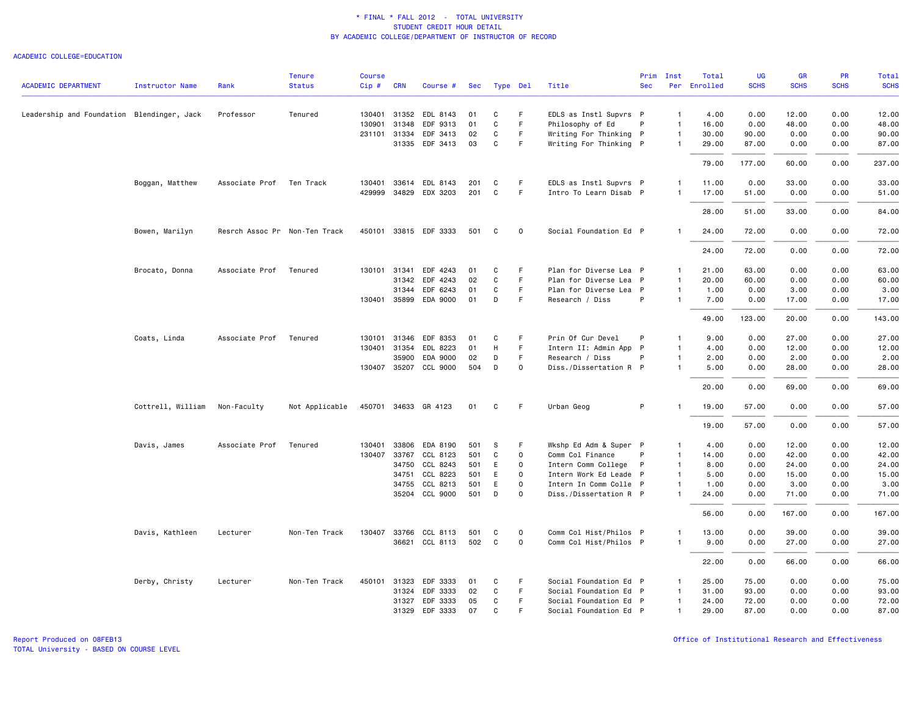### ACADEMIC COLLEGE=EDUCATION

|                                            |                        |                               | <b>Tenure</b>  | <b>Course</b> |              |                                   |            |          |             |                                                  | Prim       | Inst                           | Total          | UG            | <b>GR</b>     | <b>PR</b>    | Total          |
|--------------------------------------------|------------------------|-------------------------------|----------------|---------------|--------------|-----------------------------------|------------|----------|-------------|--------------------------------------------------|------------|--------------------------------|----------------|---------------|---------------|--------------|----------------|
| <b>ACADEMIC DEPARTMENT</b>                 | <b>Instructor Name</b> | Rank                          | <b>Status</b>  | $Cip$ #       | <b>CRN</b>   | Course #                          | Sec        | Type Del |             | Title                                            | <b>Sec</b> |                                | Per Enrolled   | <b>SCHS</b>   | <b>SCHS</b>   | <b>SCHS</b>  | <b>SCHS</b>    |
| Leadership and Foundation Blendinger, Jack |                        | Professor                     | Tenured        | 130401 31352  |              | EDL 8143                          | 01         | C        | F.          | EDLS as Instl Supvrs P                           |            | $\mathbf{1}$                   | 4.00           | 0.00          | 12.00         | 0.00         | 12.00          |
|                                            |                        |                               |                | 130901        | 31348        | EDF 9313                          | 01         | C        | F.          | Philosophy of Ed                                 | P          | $\mathbf{1}$                   | 16.00          | 0.00          | 48.00         | 0.00         | 48.00          |
|                                            |                        |                               |                | 231101 31334  |              | EDF 3413                          | 02         | C        | F.          | Writing For Thinking P                           |            | $\mathbf{1}$                   | 30.00          | 90.00         | 0.00          | 0.00         | 90.00          |
|                                            |                        |                               |                |               |              | 31335 EDF 3413                    | 03         | C        | F.          | Writing For Thinking P                           |            | $\mathbf{1}$                   | 29.00          | 87.00         | 0.00          | 0.00         | 87.00          |
|                                            |                        |                               |                |               |              |                                   |            |          |             |                                                  |            |                                | 79.00          | 177.00        | 60.00         | 0.00         | 237.00         |
|                                            |                        |                               |                |               |              |                                   |            |          | F.          |                                                  |            |                                |                |               |               |              |                |
|                                            | Boggan, Matthew        | Associate Prof Ten Track      |                | 429999 34829  |              | 130401 33614 EDL 8143<br>EDX 3203 | 201<br>201 | C<br>C   | F.          | EDLS as Instl Supvrs P<br>Intro To Learn Disab P |            | $\overline{1}$<br>$\mathbf{1}$ | 11.00<br>17.00 | 0.00<br>51.00 | 33.00<br>0.00 | 0.00<br>0.00 | 33.00<br>51.00 |
|                                            |                        |                               |                |               |              |                                   |            |          |             |                                                  |            |                                |                |               |               |              |                |
|                                            |                        |                               |                |               |              |                                   |            |          |             |                                                  |            |                                | 28,00          | 51.00         | 33.00         | 0.00         | 84.00          |
|                                            | Bowen, Marilyn         | Resrch Assoc Pr Non-Ten Track |                |               |              | 450101 33815 EDF 3333             | 501        | C        | $\mathbf 0$ | Social Foundation Ed P                           |            |                                | 24.00          | 72.00         | 0.00          | 0.00         | 72.00          |
|                                            |                        |                               |                |               |              |                                   |            |          |             |                                                  |            |                                | 24.00          | 72.00         | 0.00          | 0.00         | 72.00          |
|                                            | Brocato, Donna         | Associate Prof                | Tenured        |               | 130101 31341 | EDF 4243                          | 01         | C        | F           | Plan for Diverse Lea P                           |            | $\mathbf{1}$                   | 21.00          | 63.00         | 0.00          | 0.00         | 63.00          |
|                                            |                        |                               |                |               | 31342        | EDF 4243                          | 02         | C        | F           | Plan for Diverse Lea P                           |            | $\mathbf{1}$                   | 20.00          | 60.00         | 0.00          | 0.00         | 60.00          |
|                                            |                        |                               |                |               | 31344        | EDF 6243                          | 01         | C        | F.          | Plan for Diverse Lea P                           |            | $\mathbf{1}$                   | 1.00           | 0.00          | 3.00          | 0.00         | 3.00           |
|                                            |                        |                               |                |               |              | 130401 35899 EDA 9000             | 01         | D        | F.          | Research / Diss                                  | P          | $\overline{1}$                 | 7.00           | 0.00          | 17.00         | 0.00         | 17.00          |
|                                            |                        |                               |                |               |              |                                   |            |          |             |                                                  |            |                                | 49.00          | 123.00        | 20.00         | 0.00         | 143.00         |
|                                            | Coats, Linda           | Associate Prof                | Tenured        | 130101        | 31346        | EDF 8353                          | 01         | C        | F           | Prin Of Cur Devel                                | P          | $\mathbf{1}$                   | 9.00           | 0.00          | 27.00         | 0.00         | 27.00          |
|                                            |                        |                               |                | 130401 31354  |              | EDL 8223                          | 01         | H        | F.          | Intern II: Admin App P                           |            | $\overline{1}$                 | 4.00           | 0.00          | 12.00         | 0.00         | 12.00          |
|                                            |                        |                               |                |               | 35900        | EDA 9000                          | 02         | D        | F           | Research / Diss                                  | P          | $\mathbf{1}$                   | 2.00           | 0.00          | 2.00          | 0.00         | 2.00           |
|                                            |                        |                               |                |               |              | 130407 35207 CCL 9000             | 504        | D        | $\mathbf 0$ | Diss./Dissertation R P                           |            | $\mathbf{1}$                   | 5.00           | 0.00          | 28.00         | 0.00         | 28.00          |
|                                            |                        |                               |                |               |              |                                   |            |          |             |                                                  |            |                                | 20.00          | 0.00          | 69.00         | 0.00         | 69.00          |
|                                            | Cottrell, William      | Non-Faculty                   | Not Applicable |               |              | 450701 34633 GR 4123              | 01         | C        | -F          | Urban Geog                                       | P          |                                | 19.00          | 57.00         | 0.00          | 0.00         | 57.00          |
|                                            |                        |                               |                |               |              |                                   |            |          |             |                                                  |            |                                | 19.00          | 57.00         | 0.00          | 0.00         | 57.00          |
|                                            | Davis, James           | Associate Prof                | Tenured        | 130401        | 33806        | EDA 8190                          | 501        | s        | F           | Wkshp Ed Adm & Super P                           |            | $\mathbf{1}$                   | 4.00           | 0.00          | 12.00         | 0.00         | 12.00          |
|                                            |                        |                               |                |               | 130407 33767 | CCL 8123                          | 501        | C        | $\mathbf 0$ | Comm Col Finance                                 | P          | $\mathbf{1}$                   | 14.00          | 0.00          | 42.00         | 0.00         | 42.00          |
|                                            |                        |                               |                |               | 34750        | CCL 8243                          | 501        | E        | $\mathbf 0$ | Intern Comm College                              | P          | $\mathbf{1}$                   | 8.00           | 0.00          | 24.00         | 0.00         | 24.00          |
|                                            |                        |                               |                |               | 34751        | CCL 8223                          | 501        | E        | $\circ$     | Intern Work Ed Leade P                           |            | $\overline{1}$                 | 5.00           | 0.00          | 15.00         | 0.00         | 15.00          |
|                                            |                        |                               |                |               | 34755        | CCL 8213                          | 501        | E        | $\Omega$    | Intern In Comm Colle P                           |            | $\overline{1}$                 | 1.00           | 0.00          | 3.00          | 0.00         | 3.00           |
|                                            |                        |                               |                |               |              | 35204 CCL 9000                    | 501        | D        | $\Omega$    | Diss./Dissertation R P                           |            | $\overline{1}$                 | 24.00          | 0.00          | 71.00         | 0.00         | 71.00          |
|                                            |                        |                               |                |               |              |                                   |            |          |             |                                                  |            |                                | 56.00          | 0.00          | 167.00        | 0.00         | 167.00         |
|                                            | Davis, Kathleen        | Lecturer                      | Non-Ten Track  |               |              | 130407 33766 CCL 8113             | 501        | C        | 0           | Comm Col Hist/Philos P                           |            | -1                             | 13.00          | 0.00          | 39.00         | 0.00         | 39.00          |
|                                            |                        |                               |                |               |              | 36621 CCL 8113                    | 502        | C        | $\circ$     | Comm Col Hist/Philos P                           |            | $\overline{1}$                 | 9.00           | 0.00          | 27.00         | 0.00         | 27.00          |
|                                            |                        |                               |                |               |              |                                   |            |          |             |                                                  |            |                                | 22.00          | 0.00          | 66.00         | 0.00         | 66.00          |
|                                            | Derby, Christy         | Lecturer                      | Non-Ten Track  | 450101 31323  |              | EDF 3333                          | 01         | C        | F.          | Social Foundation Ed P                           |            | $\mathbf{1}$                   | 25.00          | 75.00         | 0.00          | 0.00         | 75.00          |
|                                            |                        |                               |                |               | 31324        | EDF 3333                          | 02         | C        | F           | Social Foundation Ed P                           |            | $\mathbf{1}$                   | 31.00          | 93.00         | 0.00          | 0.00         | 93.00          |
|                                            |                        |                               |                |               | 31327        | EDF 3333                          | 05         | C        | F.          | Social Foundation Ed P                           |            | $\mathbf{1}$                   | 24.00          | 72.00         | 0.00          | 0.00         | 72.00          |
|                                            |                        |                               |                |               | 31329        | EDF 3333                          | 07         | C        | F.          | Social Foundation Ed P                           |            | $\mathbf{1}$                   | 29.00          | 87.00         | 0.00          | 0.00         | 87.00          |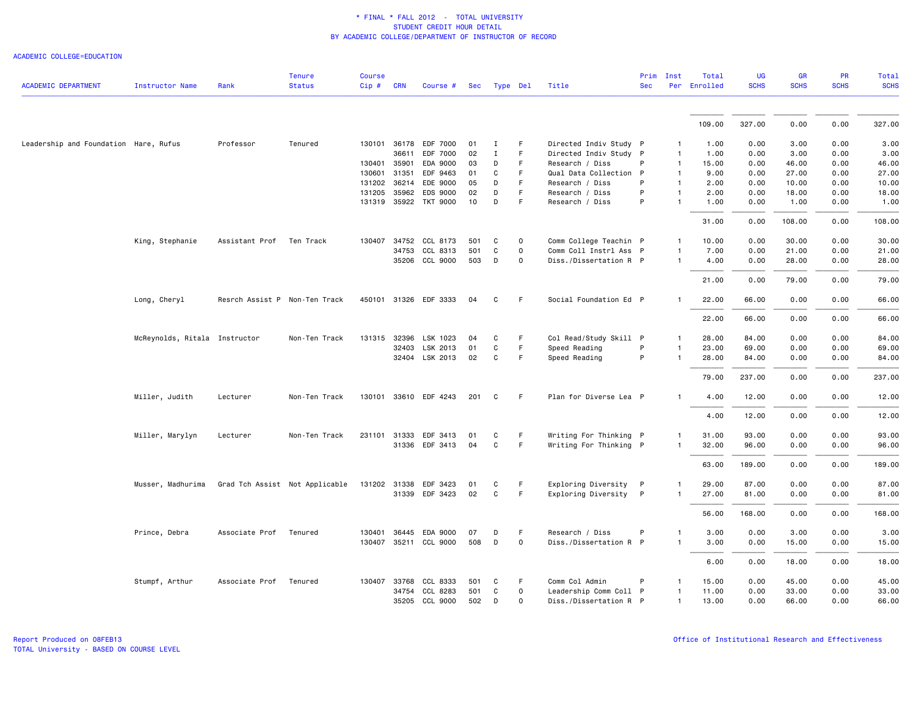ACADEMIC COLLEGE=EDUCATION

| <b>ACADEMIC DEPARTMENT</b>            | Instructor Name               | Rank                           | <b>Tenure</b><br><b>Status</b> | <b>Course</b><br>Cip # CRN |              | Course #              |     | Sec Type Del |             | Title                  | Prim<br><b>Sec</b> | Inst         | Total<br>Per Enrolled | <b>UG</b><br><b>SCHS</b> | <b>GR</b><br><b>SCHS</b> | <b>PR</b><br><b>SCHS</b> | Total<br><b>SCHS</b> |
|---------------------------------------|-------------------------------|--------------------------------|--------------------------------|----------------------------|--------------|-----------------------|-----|--------------|-------------|------------------------|--------------------|--------------|-----------------------|--------------------------|--------------------------|--------------------------|----------------------|
|                                       |                               |                                |                                |                            |              |                       |     |              |             |                        |                    |              |                       |                          |                          |                          |                      |
|                                       |                               |                                |                                |                            |              |                       |     |              |             |                        |                    |              | 109.00                | 327.00                   | 0.00                     | 0.00                     | 327.00               |
| Leadership and Foundation Hare, Rufus |                               | Professor                      | Tenured                        |                            |              | 130101 36178 EDF 7000 | 01  | Ι.           | F           | Directed Indiv Study P |                    |              | 1.00                  | 0.00                     | 3.00                     | 0.00                     | 3.00                 |
|                                       |                               |                                |                                |                            | 36611        | EDF 7000              | 02  | Ι.           | F           | Directed Indiv Study P |                    |              | 1.00                  | 0.00                     | 3.00                     | 0.00                     | 3.00                 |
|                                       |                               |                                |                                | 130401                     | 35901        | EDA 9000              | 03  | D            | F           | Research / Diss        | P                  |              | 15.00                 | 0.00                     | 46.00                    | 0.00                     | 46.00                |
|                                       |                               |                                |                                | 130601                     | 31351        | EDF 9463              | 01  | C            | F.          | Qual Data Collection P |                    |              | 9.00                  | 0.00                     | 27.00                    | 0.00                     | 27.00                |
|                                       |                               |                                |                                | 131202                     | 36214        | EDE 9000              | 05  | D            | F           | Research / Diss        | P                  |              | 2.00                  | 0.00                     | 10.00                    | 0.00                     | 10.00                |
|                                       |                               |                                |                                | 131205                     | 35962        | EDS 9000              | 02  | D            | F           | Research / Diss        | P                  |              | 2.00                  | 0.00                     | 18.00                    | 0.00                     | 18.00                |
|                                       |                               |                                |                                |                            |              | 131319 35922 TKT 9000 | 10  | D            | F           | Research / Diss        | P                  |              | 1.00                  | 0.00                     | 1.00                     | 0.00                     | 1.00                 |
|                                       |                               |                                |                                |                            |              |                       |     |              |             |                        |                    |              | 31.00                 | 0.00                     | 108.00                   | 0.00                     | 108.00               |
|                                       | King, Stephanie               | Assistant Prof Ten Track       |                                | 130407                     |              | 34752 CCL 8173        | 501 | C            | 0           | Comm College Teachin P |                    |              | 10.00                 | 0.00                     | 30.00                    | 0.00                     | 30.00                |
|                                       |                               |                                |                                |                            | 34753        | CCL 8313              | 501 | C            | $\mathbf 0$ | Comm Coll Instrl Ass P |                    |              | 7.00                  | 0.00                     | 21.00                    | 0.00                     | 21.00                |
|                                       |                               |                                |                                |                            |              | 35206 CCL 9000        | 503 | D            | 0           | Diss./Dissertation R P |                    |              | 4.00                  | 0.00                     | 28.00                    | 0.00                     | 28.00                |
|                                       |                               |                                |                                |                            |              |                       |     |              |             |                        |                    |              | 21.00                 | 0.00                     | 79.00                    | 0.00                     | 79.00                |
|                                       | Long, Cheryl                  | Resrch Assist P Non-Ten Track  |                                |                            |              | 450101 31326 EDF 3333 | 04  | C            | F           | Social Foundation Ed P |                    |              | 22.00                 | 66.00                    | 0.00                     | 0.00                     | 66.00                |
|                                       |                               |                                |                                |                            |              |                       |     |              |             |                        |                    |              | 22.00                 | 66.00                    | 0.00                     | 0.00                     | 66.00                |
|                                       | McReynolds, Ritala Instructor |                                | Non-Ten Track                  |                            |              | 131315 32396 LSK 1023 | 04  | C            | F           | Col Read/Study Skill P |                    |              | 28.00                 | 84.00                    | 0.00                     | 0.00                     | 84.00                |
|                                       |                               |                                |                                |                            | 32403        | LSK 2013              | 01  | C            | F.          | Speed Reading          | P                  |              | 23.00                 | 69.00                    | 0.00                     | 0.00                     | 69.00                |
|                                       |                               |                                |                                |                            |              | 32404 LSK 2013        | 02  | C            | F.          | Speed Reading          | P                  |              | 28.00                 | 84.00                    | 0.00                     | 0.00                     | 84.00                |
|                                       |                               |                                |                                |                            |              |                       |     |              |             |                        |                    |              | 79.00                 | 237.00                   | 0.00                     | 0.00                     | 237.00               |
|                                       | Miller, Judith                | Lecturer                       | Non-Ten Track                  |                            |              | 130101 33610 EDF 4243 | 201 | C            | F           | Plan for Diverse Lea P |                    |              | 4.00                  | 12.00                    | 0.00                     | 0.00                     | 12.00                |
|                                       |                               |                                |                                |                            |              |                       |     |              |             |                        |                    |              | 4.00                  | 12.00                    | 0.00                     | 0.00                     | 12.00                |
|                                       | Miller, Marylyn               | Lecturer                       | Non-Ten Track                  |                            |              | 231101 31333 EDF 3413 | 01  | C            | F           | Writing For Thinking P |                    |              | 31.00                 | 93.00                    | 0.00                     | 0.00                     | 93.00                |
|                                       |                               |                                |                                |                            |              | 31336 EDF 3413        | 04  | C            | F           | Writing For Thinking P |                    |              | 32.00                 | 96.00                    | 0.00                     | 0.00                     | 96.00                |
|                                       |                               |                                |                                |                            |              |                       |     |              |             |                        |                    |              | 63.00                 | 189.00                   | 0.00                     | 0.00                     | 189.00               |
|                                       |                               |                                |                                |                            |              |                       |     |              |             |                        |                    |              |                       |                          |                          |                          |                      |
|                                       | Musser, Madhurima             | Grad Tch Assist Not Applicable |                                |                            | 131202 31338 | EDF 3423              | 01  | C            | F           | Exploring Diversity    | $\mathsf{P}$       | -1           | 29.00                 | 87.00                    | 0.00                     | 0.00                     | 87.00                |
|                                       |                               |                                |                                |                            |              | 31339 EDF 3423        | 02  | C            | F           | Exploring Diversity    | P                  |              | 27.00                 | 81.00                    | 0.00                     | 0.00                     | 81.00                |
|                                       |                               |                                |                                |                            |              |                       |     |              |             |                        |                    |              | 56.00                 | 168.00                   | 0.00                     | 0.00                     | 168.00               |
|                                       | Prince, Debra                 | Associate Prof                 | Tenured                        | 130401                     | 36445        | EDA 9000              | 07  | D            | F           | Research / Diss        | P                  |              | 3.00                  | 0.00                     | 3.00                     | 0.00                     | 3.00                 |
|                                       |                               |                                |                                |                            |              | 130407 35211 CCL 9000 | 508 | D            | 0           | Diss./Dissertation R P |                    |              | 3.00                  | 0.00                     | 15.00                    | 0.00                     | 15.00                |
|                                       |                               |                                |                                |                            |              |                       |     |              |             |                        |                    |              | 6.00                  | 0.00                     | 18.00                    | 0.00                     | 18.00                |
|                                       | Stumpf, Arthur                | Associate Prof                 | Tenured                        |                            | 130407 33768 | CCL 8333              | 501 | C            | F           | Comm Col Admin         | P                  |              | 15.00                 | 0.00                     | 45.00                    | 0.00                     | 45.00                |
|                                       |                               |                                |                                |                            | 34754        | CCL 8283              | 501 | C            | $\mathbf 0$ | Leadership Comm Coll P |                    |              | 11.00                 | 0.00                     | 33.00                    | 0.00                     | 33.00                |
|                                       |                               |                                |                                |                            |              | 35205 CCL 9000        | 502 | D            | 0           | Diss./Dissertation R P |                    | $\mathbf{1}$ | 13.00                 | 0.00                     | 66.00                    | 0.00                     | 66.00                |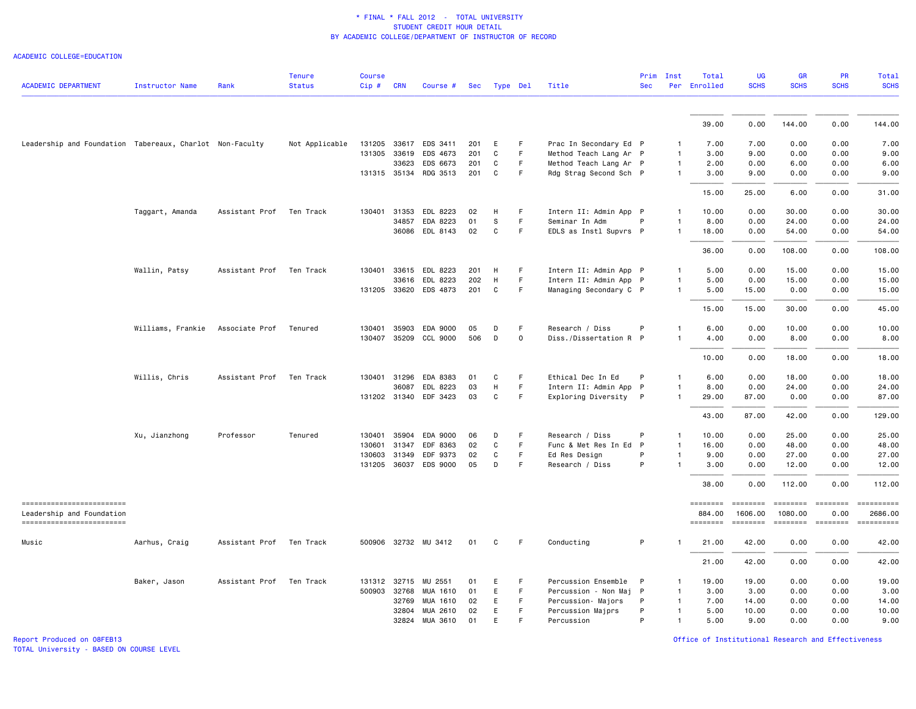ACADEMIC COLLEGE=EDUCATION

| <b>ACADEMIC DEPARTMENT</b>                               | <b>Instructor Name</b> | Rank           | <b>Tenure</b><br><b>Status</b> | <b>Course</b><br>$Cip \#$ | <b>CRN</b> | Course #              | Sec | Type Del |    | Title                  | <b>Sec</b>   | Prim Inst    | Total<br>Per Enrolled | <b>UG</b><br><b>SCHS</b>                                                                    | <b>GR</b><br><b>SCHS</b> | PR<br><b>SCHS</b> | <b>Total</b><br><b>SCHS</b> |
|----------------------------------------------------------|------------------------|----------------|--------------------------------|---------------------------|------------|-----------------------|-----|----------|----|------------------------|--------------|--------------|-----------------------|---------------------------------------------------------------------------------------------|--------------------------|-------------------|-----------------------------|
|                                                          |                        |                |                                |                           |            |                       |     |          |    |                        |              |              |                       |                                                                                             |                          |                   |                             |
|                                                          |                        |                |                                |                           |            |                       |     |          |    |                        |              |              | 39.00                 | 0.00                                                                                        | 144.00                   | 0.00              | 144.00                      |
| Leadership and Foundation Tabereaux, Charlot Non-Faculty |                        |                | Not Applicable                 |                           |            | 131205 33617 EDS 3411 | 201 | E        | F. | Prac In Secondary Ed P |              | -1           | 7.00                  | 7.00                                                                                        | 0.00                     | 0.00              | 7.00                        |
|                                                          |                        |                |                                | 131305 33619              |            | EDS 4673              | 201 | C        | F. | Method Teach Lang Ar P |              | $\mathbf{1}$ | 3.00                  | 9.00                                                                                        | 0.00                     | 0.00              | 9.00                        |
|                                                          |                        |                |                                |                           | 33623      | EDS 6673              | 201 | C        | F  | Method Teach Lang Ar P |              | $\mathbf{1}$ | 2.00                  | 0.00                                                                                        | 6.00                     | 0.00              | 6.00                        |
|                                                          |                        |                |                                | 131315 35134              |            | RDG 3513              | 201 | C        | F. | Rdg Strag Second Sch P |              | -1           | 3.00                  | 9.00                                                                                        | 0.00                     | 0.00              | 9.00                        |
|                                                          |                        |                |                                |                           |            |                       |     |          |    |                        |              |              | 15.00                 | 25.00                                                                                       | 6.00                     | 0.00              | 31.00                       |
|                                                          | Taggart, Amanda        | Assistant Prof | Ten Track                      | 130401                    | 31353      | EDL 8223              | 02  | H        | F  | Intern II: Admin App P |              | $\mathbf{1}$ | 10.00                 | 0.00                                                                                        | 30.00                    | 0.00              | 30.00                       |
|                                                          |                        |                |                                |                           | 34857      | EDA 8223              | 01  | S        | F  | Seminar In Adm         | P            | $\mathbf{1}$ | 8.00                  | 0.00                                                                                        | 24.00                    | 0.00              | 24.00                       |
|                                                          |                        |                |                                |                           | 36086      | EDL 8143              | 02  | C        | F. | EDLS as Instl Supvrs P |              | $\mathbf{1}$ | 18.00                 | 0.00                                                                                        | 54.00                    | 0.00              | 54.00                       |
|                                                          |                        |                |                                |                           |            |                       |     |          |    |                        |              |              | 36.00                 | 0.00                                                                                        | 108.00                   | 0.00              | 108.00                      |
|                                                          | Wallin, Patsy          | Assistant Prof | Ten Track                      | 130401                    | 33615      | EDL 8223              | 201 | H        | F. | Intern II: Admin App P |              | $\mathbf{1}$ | 5.00                  | 0.00                                                                                        | 15.00                    | 0.00              | 15.00                       |
|                                                          |                        |                |                                |                           | 33616      | EDL 8223              | 202 | H        | F. | Intern II: Admin App P |              | $\mathbf{1}$ | 5.00                  | 0.00                                                                                        | 15.00                    | 0.00              | 15.00                       |
|                                                          |                        |                |                                |                           |            | 131205 33620 EDS 4873 | 201 | C        | F. | Managing Secondary C P |              | $\mathbf{1}$ | 5.00                  | 15.00                                                                                       | 0.00                     | 0.00              | 15.00                       |
|                                                          |                        |                |                                |                           |            |                       |     |          |    |                        |              |              | 15.00                 | 15.00                                                                                       | 30.00                    | 0.00              | 45.00                       |
|                                                          | Williams, Frankie      | Associate Prof | Tenured                        | 130401                    | 35903      | EDA 9000              | 05  | D        | F  | Research / Diss        | P            | $\mathbf{1}$ | 6.00                  | 0.00                                                                                        | 10.00                    | 0.00              | 10.00                       |
|                                                          |                        |                |                                |                           |            | 130407 35209 CCL 9000 | 506 | D        | 0  | Diss./Dissertation R P |              | 1            | 4.00                  | 0.00                                                                                        | 8.00                     | 0.00              | 8.00                        |
|                                                          |                        |                |                                |                           |            |                       |     |          |    |                        |              |              | 10.00                 | 0.00                                                                                        | 18.00                    | 0.00              | 18.00                       |
|                                                          | Willis, Chris          | Assistant Prof | Ten Track                      | 130401 31296              |            | EDA 8383              | 01  | C        | F  | Ethical Dec In Ed      | P            | $\mathbf{1}$ | 6.00                  | 0.00                                                                                        | 18.00                    | 0.00              | 18.00                       |
|                                                          |                        |                |                                |                           | 36087      | EDL 8223              | 03  | H        | F  | Intern II: Admin App P |              | $\mathbf{1}$ | 8.00                  | 0.00                                                                                        | 24.00                    | 0.00              | 24.00                       |
|                                                          |                        |                |                                |                           |            | 131202 31340 EDF 3423 | 03  | C        | F  | Exploring Diversity P  |              | $\mathbf{1}$ | 29.00                 | 87.00                                                                                       | 0.00                     | 0.00              | 87.00                       |
|                                                          |                        |                |                                |                           |            |                       |     |          |    |                        |              |              | 43.00                 | 87.00                                                                                       | 42.00                    | 0.00              | 129.00                      |
|                                                          | Xu, Jianzhong          | Professor      | Tenured                        | 130401                    | 35904      | EDA 9000              | 06  | D        | F. | Research / Diss        | P            | 1            | 10.00                 | 0.00                                                                                        | 25.00                    | 0.00              | 25.00                       |
|                                                          |                        |                |                                | 130601                    | 31347      | EDF 8363              | 02  | C        | F. | Func & Met Res In Ed   | $\mathsf{P}$ | $\mathbf{1}$ | 16.00                 | 0.00                                                                                        | 48.00                    | 0.00              | 48.00                       |
|                                                          |                        |                |                                | 130603 31349              |            | EDF 9373              | 02  | C        | F. | Ed Res Design          | P            | $\mathbf{1}$ | 9.00                  | 0.00                                                                                        | 27.00                    | 0.00              | 27.00                       |
|                                                          |                        |                |                                | 131205 36037              |            | EDS 9000              | 05  | D        | F  | Research / Diss        | P            | $\mathbf{1}$ | 3.00                  | 0.00                                                                                        | 12.00                    | 0.00              | 12.00                       |
|                                                          |                        |                |                                |                           |            |                       |     |          |    |                        |              |              | 38.00                 | 0.00                                                                                        | 112.00                   | 0.00              | 112.00                      |
| ==========================<br>Leadership and Foundation  |                        |                |                                |                           |            |                       |     |          |    |                        |              |              | ========<br>884,00    | $\begin{array}{c} \texttt{m} = \texttt{m} = \texttt{m} = \texttt{m} \end{array}$<br>1606.00 | 1080.00                  | 0.00              | ==========<br>2686.00       |
| ------------------------                                 |                        |                |                                |                           |            |                       |     |          |    |                        |              |              | ========              | <b>ESSESSE</b>                                                                              | $=$                      | <b>EDEDEED</b>    |                             |
| Music                                                    | Aarhus, Craig          | Assistant Prof | Ten Track                      |                           |            | 500906 32732 MU 3412  | 01  | C        | F. | Conducting             | P            |              | 21.00                 | 42.00                                                                                       | 0.00                     | 0.00              | 42.00                       |
|                                                          |                        |                |                                |                           |            |                       |     |          |    |                        |              |              | 21.00                 | 42.00                                                                                       | 0.00                     | 0.00              | 42.00                       |
|                                                          | Baker, Jason           | Assistant Prof | Ten Track                      | 131312 32715              |            | MU 2551               | 01  | E        | F  | Percussion Ensemble    | P            | $\mathbf{1}$ | 19.00                 | 19.00                                                                                       | 0.00                     | 0.00              | 19.00                       |
|                                                          |                        |                |                                | 500903 32768              |            | MUA 1610              | 01  | E        | F  | Percussion - Non Maj P |              | $\mathbf{1}$ | 3.00                  | 3.00                                                                                        | 0.00                     | 0.00              | 3.00                        |
|                                                          |                        |                |                                |                           | 32769      | MUA 1610              | 02  | E.       | F. | Percussion- Majors     | P            | $\mathbf{1}$ | 7.00                  | 14.00                                                                                       | 0.00                     | 0.00              | 14.00                       |
|                                                          |                        |                |                                |                           | 32804      | MUA 2610              | 02  | E        | F  | Percussion Majprs      | P            | $\mathbf{1}$ | 5.00                  | 10.00                                                                                       | 0.00                     | 0.00              | 10.00                       |
|                                                          |                        |                |                                |                           |            | 32824 MUA 3610        | 01  | E        | F. | Percussion             | P            | $\mathbf{1}$ | 5.00                  | 9.00                                                                                        | 0.00                     | 0.00              | 9.00                        |

TOTAL University - BASED ON COURSE LEVEL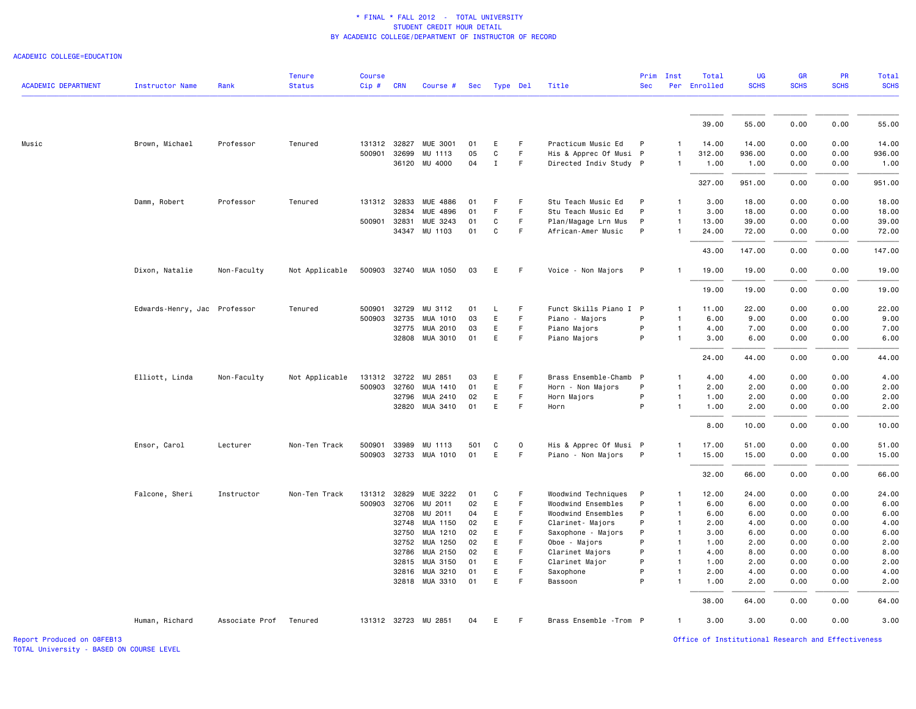ACADEMIC COLLEGE=EDUCATION

|                            |                              |                        | <b>Tenure</b>  | <b>Course</b> |            |                       |     |                  |          |                         | Prim         | Inst                         | Total        | <b>UG</b>   | <b>GR</b>   | PR          | <b>Total</b> |
|----------------------------|------------------------------|------------------------|----------------|---------------|------------|-----------------------|-----|------------------|----------|-------------------------|--------------|------------------------------|--------------|-------------|-------------|-------------|--------------|
| <b>ACADEMIC DEPARTMENT</b> | <b>Instructor Name</b>       | Rank                   | <b>Status</b>  | $Cip$ #       | <b>CRN</b> | Course #              | Sec |                  | Type Del | Title                   | <b>Sec</b>   |                              | Per Enrolled | <b>SCHS</b> | <b>SCHS</b> | <b>SCHS</b> | <b>SCHS</b>  |
|                            |                              |                        |                |               |            |                       |     |                  |          |                         |              |                              | 39.00        | 55.00       | 0.00        | 0.00        | 55.00        |
| Music                      | Brown, Michael               | Professor              | Tenured        | 131312 32827  |            | MUE 3001              | 01  | E                | F.       | Practicum Music Ed      | P            | 1                            | 14.00        | 14.00       | 0.00        | 0.00        | 14.00        |
|                            |                              |                        |                | 500901 32699  |            | MU 1113               | 05  | $\mathtt{C}$     | F.       | His & Apprec Of Musi P  |              | $\mathbf{1}$                 | 312.00       | 936.00      | 0.00        | 0.00        | 936.00       |
|                            |                              |                        |                |               |            | 36120 MU 4000         | 04  | $\mathbf I$      | F.       | Directed Indiv Study P  |              | $\mathbf{1}$                 | 1.00         | 1.00        | 0.00        | 0.00        | 1.00         |
|                            |                              |                        |                |               |            |                       |     |                  |          |                         |              |                              |              |             |             |             |              |
|                            |                              |                        |                |               |            |                       |     |                  |          |                         |              |                              | 327.00       | 951.00      | 0.00        | 0.00        | 951.00       |
|                            | Damm, Robert                 | Professor              | Tenured        | 131312 32833  |            | MUE 4886              | 01  | F<br>$\mathsf F$ | F<br>F   | Stu Teach Music Ed      | P            | $\mathbf{1}$<br>$\mathbf{1}$ | 3.00         | 18.00       | 0.00        | 0.00        | 18.00        |
|                            |                              |                        |                |               | 32834      | <b>MUE 4896</b>       | 01  |                  |          | Stu Teach Music Ed      | P            |                              | 3.00         | 18.00       | 0.00        | 0.00        | 18.00        |
|                            |                              |                        |                | 500901 32831  |            | MUE 3243              | 01  | C                | F.       | Plan/Magage Lrn Mus     | P            | $\mathbf{1}$                 | 13.00        | 39.00       | 0.00        | 0.00        | 39.00        |
|                            |                              |                        |                |               | 34347      | MU 1103               | 01  | $\mathbf c$      | F.       | African-Amer Music      | P            | $\mathbf{1}$                 | 24.00        | 72.00       | 0.00        | 0.00        | 72.00        |
|                            |                              |                        |                |               |            |                       |     |                  |          |                         |              |                              | 43.00        | 147.00      | 0.00        | 0.00        | 147.00       |
|                            | Dixon, Natalie               | Non-Faculty            | Not Applicable | 500903        |            | 32740 MUA 1050        | 03  | E                | F.       | Voice - Non Majors      | P            | $\mathbf{1}$                 | 19.00        | 19.00       | 0.00        | 0.00        | 19.00        |
|                            |                              |                        |                |               |            |                       |     |                  |          |                         |              |                              | 19.00        | 19.00       | 0.00        | 0.00        | 19.00        |
|                            | Edwards-Henry, Jac Professor |                        | Tenured        | 500901        | 32729      | MU 3112               | 01  | L.               | F.       | Funct Skills Piano I P  |              | $\mathbf{1}$                 | 11.00        | 22.00       | 0.00        | 0.00        | 22.00        |
|                            |                              |                        |                | 500903        | 32735      | MUA 1010              | 03  | E                | F        | Piano - Majors          | P            | $\mathbf{1}$                 | 6.00         | 9.00        | 0.00        | 0.00        | 9.00         |
|                            |                              |                        |                |               | 32775      | MUA 2010              | 03  | E                | F        | Piano Majors            | P            | $\mathbf{1}$                 | 4.00         | 7.00        | 0.00        | 0.00        | 7.00         |
|                            |                              |                        |                |               | 32808      | MUA 3010              | 01  | E                | F.       | Piano Majors            | P            | $\mathbf{1}$                 | 3.00         | 6.00        | 0.00        | 0.00        | 6.00         |
|                            |                              |                        |                |               |            |                       |     |                  |          |                         |              |                              | 24.00        | 44.00       | 0.00        | 0.00        | 44.00        |
|                            | Elliott, Linda               | Non-Faculty            | Not Applicable | 131312 32722  |            | MU 2851               | 03  | E                | F        | Brass Ensemble-Chamb    | $\mathsf{P}$ | -1                           | 4.00         | 4.00        | 0.00        | 0.00        | 4.00         |
|                            |                              |                        |                | 500903 32760  |            | MUA 1410              | 01  | E                | F        | Horn - Non Majors       | P            | $\mathbf{1}$                 | 2.00         | 2.00        | 0.00        | 0.00        | 2.00         |
|                            |                              |                        |                |               | 32796      | MUA 2410              | 02  | E                | F        | Horn Majors             | P            | $\mathbf{1}$                 | 1.00         | 2.00        | 0.00        | 0.00        | 2.00         |
|                            |                              |                        |                |               |            | 32820 MUA 3410        | 01  | E                | F.       | Horn                    | P            | $\mathbf{1}$                 | 1.00         | 2.00        | 0.00        | 0.00        | 2.00         |
|                            |                              |                        |                |               |            |                       |     |                  |          |                         |              |                              | 8.00         | 10.00       | 0.00        | 0.00        | 10.00        |
|                            | Ensor, Carol                 | Lecturer               | Non-Ten Track  | 500901        | 33989      | MU 1113               | 501 | C                | 0        | His & Apprec Of Musi P  |              | 1                            | 17.00        | 51.00       | 0.00        | 0.00        | 51.00        |
|                            |                              |                        |                |               |            | 500903 32733 MUA 1010 | 01  | E                | F.       | Piano - Non Majors      | $\mathsf{P}$ | $\mathbf{1}$                 | 15.00        | 15.00       | 0.00        | 0.00        | 15.00        |
|                            |                              |                        |                |               |            |                       |     |                  |          |                         |              |                              | 32.00        | 66.00       | 0.00        | 0.00        | 66.00        |
|                            | Falcone, Sheri               | Instructor             | Non-Ten Track  | 131312 32829  |            | MUE 3222              | 01  | C                | F        | Woodwind Techniques     | P            | $\mathbf{1}$                 | 12.00        | 24.00       | 0.00        | 0.00        | 24.00        |
|                            |                              |                        |                | 500903        | 32706      | MU 2011               | 02  | E                | F        | Woodwind Ensembles      | P            | $\mathbf{1}$                 | 6.00         | 6.00        | 0.00        | 0.00        | 6.00         |
|                            |                              |                        |                |               | 32708      | MU 2011               | 04  | E.               | F        | Woodwind Ensembles      | P            | 1                            | 6.00         | 6.00        | 0.00        | 0.00        | 6.00         |
|                            |                              |                        |                |               | 32748      | MUA 1150              | 02  | E                | F.       | Clarinet- Majors        | P            | $\mathbf{1}$                 | 2.00         | 4.00        | 0.00        | 0.00        | 4.00         |
|                            |                              |                        |                |               | 32750      | MUA 1210              | 02  | E                | F.       | Saxophone - Majors      | P            | $\mathbf{1}$                 | 3.00         | 6.00        | 0.00        | 0.00        | 6.00         |
|                            |                              |                        |                |               | 32752      | MUA 1250              | 02  | E                | F.       | Oboe - Majors           | P            | $\mathbf{1}$                 | 1.00         | 2.00        | 0.00        | 0.00        | 2.00         |
|                            |                              |                        |                |               | 32786      | MUA 2150              | 02  | E                | F.       | Clarinet Majors         | P            | $\mathbf{1}$                 | 4.00         | 8.00        | 0.00        | 0.00        | 8.00         |
|                            |                              |                        |                |               | 32815      | MUA 3150              | 01  | E                | F.       | Clarinet Major          | P            | $\mathbf{1}$                 | 1.00         | 2.00        | 0.00        | 0.00        | 2.00         |
|                            |                              |                        |                |               | 32816      | MUA 3210              | 01  | E                | F.       | Saxophone               | P            | $\mathbf{1}$                 | 2.00         | 4.00        | 0.00        | 0.00        | 4.00         |
|                            |                              |                        |                |               |            | 32818 MUA 3310        | 01  | E                | F        | Bassoon                 | P            | $\mathbf{1}$                 | 1.00         | 2.00        | 0.00        | 0.00        | 2.00         |
|                            |                              |                        |                |               |            |                       |     |                  |          |                         |              |                              | 38.00        | 64.00       | 0.00        | 0.00        | 64.00        |
|                            | Human, Richard               | Associate Prof Tenured |                |               |            | 131312 32723 MU 2851  | 04  | E                | F        | Brass Ensemble - Trom P |              | $\mathbf{1}$                 | 3.00         | 3.00        | 0.00        | 0.00        | 3.00         |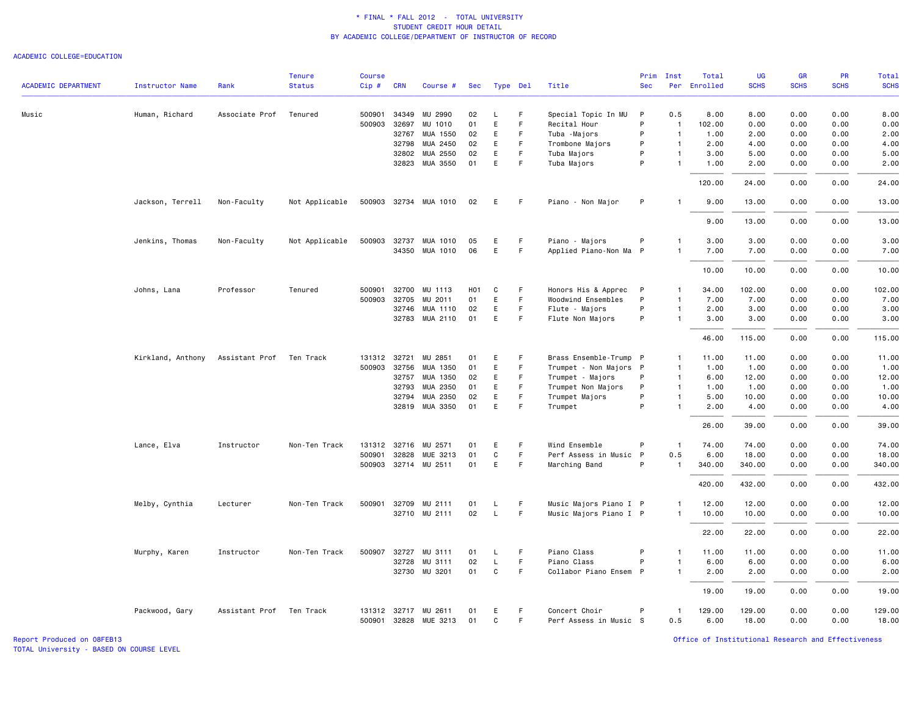#### ACADEMIC COLLEGE=EDUCATION

|                            |                        |                | <b>Tenure</b>  | <b>Course</b> |              |                       |                  |             |             |                        | Prim         | Inst           | Total        | UG          | <b>GR</b>   | PR          | Total       |
|----------------------------|------------------------|----------------|----------------|---------------|--------------|-----------------------|------------------|-------------|-------------|------------------------|--------------|----------------|--------------|-------------|-------------|-------------|-------------|
| <b>ACADEMIC DEPARTMENT</b> | <b>Instructor Name</b> | Rank           | <b>Status</b>  | Cip#          | <b>CRN</b>   | Course #              | Sec              | Type Del    |             | Title                  | <b>Sec</b>   |                | Per Enrolled | <b>SCHS</b> | <b>SCHS</b> | <b>SCHS</b> | <b>SCHS</b> |
| Music                      | Human, Richard         | Associate Prof | Tenured        | 500901        | 34349        | MU 2990               | 02               | L.          | F           | Special Topic In MU    | P            | 0.5            | 8.00         | 8.00        | 0.00        | 0.00        | 8.00        |
|                            |                        |                |                | 500903        | 32697        | MU 1010               | 01               | E           | F           | Recital Hour           | P            | $\overline{1}$ | 102.00       | 0.00        | 0.00        | 0.00        | 0.00        |
|                            |                        |                |                |               | 32767        | MUA 1550              | 02               | E           | F.          | Tuba -Majors           | P            | $\overline{1}$ | 1.00         | 2.00        | 0.00        | 0.00        | 2.00        |
|                            |                        |                |                |               | 32798        | MUA 2450              | 02               | E           | F           | Trombone Majors        | P            | $\overline{1}$ | 2.00         | 4.00        | 0.00        | 0.00        | 4.00        |
|                            |                        |                |                |               | 32802        | MUA 2550              | 02               | E           | F           | Tuba Majors            | P            | $\mathbf{1}$   | 3.00         | 5.00        | 0.00        | 0.00        | 5.00        |
|                            |                        |                |                |               | 32823        | MUA 3550              | 01               | E           | F           | Tuba Majors            | P            | $\mathbf{1}$   | 1.00         | 2.00        | 0.00        | 0.00        | 2.00        |
|                            |                        |                |                |               |              |                       |                  |             |             |                        |              |                | 120.00       | 24.00       | 0.00        | 0.00        | 24.00       |
|                            | Jackson, Terrell       | Non-Faculty    | Not Applicable |               |              | 500903 32734 MUA 1010 | 02               | Е           | -F          | Piano - Non Major      | P            | $\overline{1}$ | 9.00         | 13.00       | 0.00        | 0.00        | 13.00       |
|                            |                        |                |                |               |              |                       |                  |             |             |                        |              |                | 9.00         | 13.00       | 0.00        | 0.00        | 13.00       |
|                            | Jenkins, Thomas        | Non-Faculty    | Not Applicable | 500903        | 32737        | MUA 1010              | 05               | E           | F           | Piano - Majors         | P            | $\mathbf{1}$   | 3.00         | 3.00        | 0.00        | 0.00        | 3.00        |
|                            |                        |                |                |               |              | 34350 MUA 1010        | 06               | Ε           | F           | Applied Piano-Non Ma P |              | $\overline{1}$ | 7.00         | 7.00        | 0.00        | 0.00        | 7.00        |
|                            |                        |                |                |               |              |                       |                  |             |             |                        |              |                | 10.00        | 10.00       | 0.00        | 0.00        | 10.00       |
|                            | Johns, Lana            | Professor      | Tenured        | 500901        | 32700        | MU 1113               | H <sub>0</sub> 1 | C           | F           | Honors His & Apprec    | $\mathsf{P}$ | $\mathbf{1}$   | 34.00        | 102.00      | 0.00        | 0.00        | 102.00      |
|                            |                        |                |                | 500903        | 32705        | MU 2011               | 01               | E           | F           | Woodwind Ensembles     | P            | $\mathbf{1}$   | 7.00         | 7.00        | 0.00        | 0.00        | 7.00        |
|                            |                        |                |                |               | 32746        | MUA 1110              | 02               | E           | F.          | Flute - Majors         | P            | $\mathbf{1}$   | 2.00         | 3.00        | 0.00        | 0.00        | 3.00        |
|                            |                        |                |                |               |              | 32783 MUA 2110        | 01               | E           | $\mathsf F$ | Flute Non Majors       | P            | $\mathbf{1}$   | 3.00         | 3.00        | 0.00        | 0.00        | 3.00        |
|                            |                        |                |                |               |              |                       |                  |             |             |                        |              |                | 46.00        | 115.00      | 0.00        | 0.00        | 115.00      |
|                            | Kirkland, Anthony      | Assistant Prof | Ten Track      |               | 131312 32721 | MU 2851               | 01               | E           | F           | Brass Ensemble-Trump P |              | $\mathbf{1}$   | 11.00        | 11.00       | 0.00        | 0.00        | 11.00       |
|                            |                        |                |                | 500903        | 32756        | MUA 1350              | 01               | E           | F           | Trumpet - Non Majors P |              | $\overline{1}$ | 1.00         | 1.00        | 0.00        | 0.00        | 1.00        |
|                            |                        |                |                |               | 32757        | MUA 1350              | 02               | E           | F           | Trumpet - Majors       | P            | $\mathbf{1}$   | 6.00         | 12.00       | 0.00        | 0.00        | 12.00       |
|                            |                        |                |                |               | 32793        | MUA 2350              | 01               | E           | F           | Trumpet Non Majors     | P            | $\mathbf{1}$   | 1.00         | 1.00        | 0.00        | 0.00        | 1.00        |
|                            |                        |                |                |               | 32794        | MUA 2350              | 02               | E           | F           | Trumpet Majors         | P            | $\overline{1}$ | 5.00         | 10.00       | 0.00        | 0.00        | 10.00       |
|                            |                        |                |                |               | 32819        | MUA 3350              | 01               | E           | F           | Trumpet                | P            | $\overline{1}$ | 2.00         | 4.00        | 0.00        | 0.00        | 4.00        |
|                            |                        |                |                |               |              |                       |                  |             |             |                        |              |                | 26.00        | 39.00       | 0.00        | 0.00        | 39.00       |
|                            | Lance, Elva            | Instructor     | Non-Ten Track  |               | 131312 32716 | MU 2571               | 01               | E           | F           | Wind Ensemble          | P            | $\overline{1}$ | 74.00        | 74.00       | 0.00        | 0.00        | 74.00       |
|                            |                        |                |                | 500901        | 32828        | MUE 3213              | 01               | $\mathbf C$ | F           | Perf Assess in Music P |              | 0.5            | 6.00         | 18.00       | 0.00        | 0.00        | 18.00       |
|                            |                        |                |                |               |              | 500903 32714 MU 2511  | 01               | E           | F.          | Marching Band          | P            | $\overline{1}$ | 340.00       | 340.00      | 0.00        | 0.00        | 340.00      |
|                            |                        |                |                |               |              |                       |                  |             |             |                        |              |                | 420.00       | 432.00      | 0.00        | 0.00        | 432.00      |
|                            | Melby, Cynthia         | Lecturer       | Non-Ten Track  |               | 500901 32709 | MU 2111               | 01               | L           | F           | Music Majors Piano I P |              | $\mathbf{1}$   | 12.00        | 12.00       | 0.00        | 0.00        | 12.00       |
|                            |                        |                |                |               |              | 32710 MU 2111         | 02               | $\mathsf L$ | F           | Music Majors Piano I P |              | $\mathbf{1}$   | 10.00        | 10.00       | 0.00        | 0.00        | 10.00       |
|                            |                        |                |                |               |              |                       |                  |             |             |                        |              |                | 22.00        | 22.00       | 0.00        | 0.00        | 22.00       |
|                            | Murphy, Karen          | Instructor     | Non-Ten Track  |               | 500907 32727 | MU 3111               | 01               | L           | F           | Piano Class            | P            | $\mathbf{1}$   | 11.00        | 11.00       | 0.00        | 0.00        | 11.00       |
|                            |                        |                |                |               | 32728        | MU 3111               | 02               | L           | F.          | Piano Class            | P            | $\mathbf{1}$   | 6.00         | 6.00        | 0.00        | 0.00        | 6.00        |
|                            |                        |                |                |               |              | 32730 MU 3201         | 01               | C           | $\mathsf F$ | Collabor Piano Ensem P |              | $\mathbf{1}$   | 2.00         | 2.00        | 0.00        | 0.00        | 2.00        |
|                            |                        |                |                |               |              |                       |                  |             |             |                        |              |                | 19.00        | 19.00       | 0.00        | 0.00        | 19.00       |
|                            | Packwood, Gary         | Assistant Prof | Ten Track      |               |              | 131312 32717 MU 2611  | 01               | E           | -F          | Concert Choir          | P            | $\mathbf{1}$   | 129.00       | 129.00      | 0.00        | 0.00        | 129.00      |
|                            |                        |                |                |               |              | 500901 32828 MUE 3213 | 01               | C           | F           | Perf Assess in Music S |              | 0.5            | 6.00         | 18.00       | 0.00        | 0.00        | 18.00       |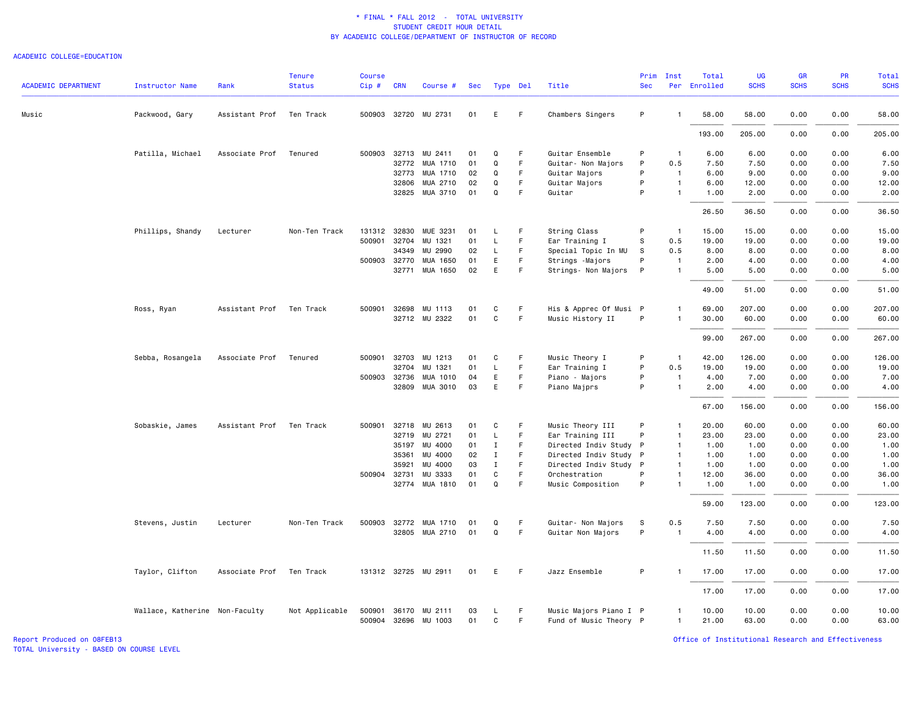#### ACADEMIC COLLEGE=EDUCATION

| <b>ACADEMIC DEPARTMENT</b> | <b>Instructor Name</b>         | Rank           | <b>Tenure</b><br><b>Status</b> | <b>Course</b><br>$Cip \#$ | <b>CRN</b> | Course #             | Sec |              | Type Del | Title                  | Prim<br><b>Sec</b> | Inst           | Total<br>Per Enrolled | UG<br><b>SCHS</b> | GR<br><b>SCHS</b> | PR<br><b>SCHS</b> | <b>Total</b><br><b>SCHS</b> |
|----------------------------|--------------------------------|----------------|--------------------------------|---------------------------|------------|----------------------|-----|--------------|----------|------------------------|--------------------|----------------|-----------------------|-------------------|-------------------|-------------------|-----------------------------|
| Music                      | Packwood, Gary                 | Assistant Prof | Ten Track                      |                           |            | 500903 32720 MU 2731 | 01  | E            | F.       | Chambers Singers       | P                  | $\mathbf{1}$   | 58.00                 | 58.00             | 0.00              | 0.00              | 58.00                       |
|                            |                                |                |                                |                           |            |                      |     |              |          |                        |                    |                | 193.00                | 205.00            | 0.00              | 0.00              | 205.00                      |
|                            | Patilla, Michael               | Associate Prof | Tenured                        |                           |            | 500903 32713 MU 2411 | 01  | Q            | F        | Guitar Ensemble        | P                  | $\mathbf{1}$   | 6.00                  | 6.00              | 0.00              | 0.00              | 6.00                        |
|                            |                                |                |                                |                           |            | 32772 MUA 1710       | 01  | $\mathsf Q$  | F        | Guitar- Non Majors     | P                  | 0.5            | 7.50                  | 7.50              | 0.00              | 0.00              | 7.50                        |
|                            |                                |                |                                |                           | 32773      | MUA 1710             | 02  | Q            | F.       | Guitar Majors          | P                  | $\overline{1}$ | 6.00                  | 9.00              | 0.00              | 0.00              | 9.00                        |
|                            |                                |                |                                |                           | 32806      | MUA 2710             | 02  | Q            | F        | Guitar Majors          | P                  | $\mathbf{1}$   | 6.00                  | 12.00             | 0.00              | 0.00              | 12.00                       |
|                            |                                |                |                                |                           |            | 32825 MUA 3710       | 01  | Q            | F.       | Guitar                 | P                  | $\mathbf{1}$   | 1.00                  | 2.00              | 0.00              | 0.00              | 2.00                        |
|                            |                                |                |                                |                           |            |                      |     |              |          |                        |                    |                | 26.50                 | 36.50             | 0.00              | 0.00              | 36.50                       |
|                            | Phillips, Shandy               | Lecturer       | Non-Ten Track                  | 131312                    |            | 32830 MUE 3231       | 01  | L            | F.       | String Class           | P                  | $\overline{1}$ | 15.00                 | 15.00             | 0.00              | 0.00              | 15.00                       |
|                            |                                |                |                                | 500901                    | 32704      | MU 1321              | 01  | L            | F        | Ear Training I         | S                  | 0.5            | 19.00                 | 19.00             | 0.00              | 0.00              | 19.00                       |
|                            |                                |                |                                |                           | 34349      | MU 2990              | 02  | L            | F        | Special Topic In MU    | S                  | 0.5            | 8.00                  | 8.00              | 0.00              | 0.00              | 8.00                        |
|                            |                                |                |                                | 500903 32770              |            | MUA 1650             | 01  | E            | F        | Strings - Majors       | P                  | $\overline{1}$ | 2.00                  | 4.00              | 0.00              | 0.00              | 4.00                        |
|                            |                                |                |                                |                           | 32771      | MUA 1650             | 02  | E            | F        | Strings- Non Majors    | P                  | $\mathbf{1}$   | 5.00                  | 5.00              | 0.00              | 0.00              | 5.00                        |
|                            |                                |                |                                |                           |            |                      |     |              |          |                        |                    |                | 49.00                 | 51.00             | 0.00              | 0.00              | 51.00                       |
|                            | Ross, Ryan                     | Assistant Prof | Ten Track                      | 500901                    | 32698      | MU 1113              | 01  | C            | F.       | His & Apprec Of Musi P |                    | $\mathbf{1}$   | 69.00                 | 207.00            | 0.00              | 0.00              | 207.00                      |
|                            |                                |                |                                |                           |            | 32712 MU 2322        | 01  | $\mathbf{C}$ | F.       | Music History II       | P                  | $\mathbf{1}$   | 30.00                 | 60.00             | 0.00              | 0.00              | 60.00                       |
|                            |                                |                |                                |                           |            |                      |     |              |          |                        |                    |                | 99.00                 | 267.00            | 0.00              | 0.00              | 267.00                      |
|                            | Sebba, Rosangela               | Associate Prof | Tenured                        | 500901                    | 32703      | MU 1213              | 01  | C            | F.       | Music Theory I         | P                  | $\overline{1}$ | 42.00                 | 126,00            | 0.00              | 0.00              | 126.00                      |
|                            |                                |                |                                |                           | 32704      | MU 1321              | 01  | L            | F.       | Ear Training I         | P                  | 0.5            | 19.00                 | 19.00             | 0.00              | 0.00              | 19.00                       |
|                            |                                |                |                                | 500903 32736              |            | MUA 1010             | 04  | E            | F        | Piano - Majors         | P                  | $\overline{1}$ | 4.00                  | 7.00              | 0.00              | 0.00              | 7.00                        |
|                            |                                |                |                                |                           | 32809      | MUA 3010             | 03  | E            | F.       | Piano Majprs           | P                  | $\mathbf{1}$   | 2.00                  | 4.00              | 0.00              | 0.00              | 4.00                        |
|                            |                                |                |                                |                           |            |                      |     |              |          |                        |                    |                | 67.00                 | 156.00            | 0.00              | 0.00              | 156.00                      |
|                            | Sobaskie, James                | Assistant Prof | Ten Track                      | 500901                    | 32718      | MU 2613              | 01  | C            | F        | Music Theory III       | P                  | $\mathbf{1}$   | 20.00                 | 60.00             | 0.00              | 0.00              | 60.00                       |
|                            |                                |                |                                |                           | 32719      | MU 2721              | 01  | L            | F        | Ear Training III       | P                  | $\overline{1}$ | 23.00                 | 23.00             | 0.00              | 0.00              | 23.00                       |
|                            |                                |                |                                |                           | 35197      | MU 4000              | 01  | $\mathbf I$  | F.       | Directed Indiv Study P |                    | $\mathbf{1}$   | 1.00                  | 1.00              | 0.00              | 0.00              | 1.00                        |
|                            |                                |                |                                |                           | 35361      | MU 4000              | 02  | $\mathbf{I}$ | F        | Directed Indiv Study   | $\mathsf{P}$       | $\overline{1}$ | 1.00                  | 1.00              | 0.00              | 0.00              | 1.00                        |
|                            |                                |                |                                |                           | 35921      | MU 4000              | 03  | $\mathbf I$  | F.       | Directed Indiv Study P |                    | $\mathbf{1}$   | 1.00                  | 1.00              | 0.00              | 0.00              | 1.00                        |
|                            |                                |                |                                | 500904 32731              |            | MU 3333              | 01  | C            | F        | Orchestration          | P                  | $\mathbf{1}$   | 12.00                 | 36.00             | 0.00              | 0.00              | 36.00                       |
|                            |                                |                |                                |                           | 32774      | MUA 1810             | 01  | $\Omega$     | F.       | Music Composition      | P                  | $\mathbf{1}$   | 1.00                  | 1.00              | 0.00              | 0.00              | 1.00                        |
|                            |                                |                |                                |                           |            |                      |     |              |          |                        |                    |                | 59.00                 | 123,00            | 0.00              | 0.00              | 123.00                      |
|                            | Stevens, Justin                | Lecturer       | Non-Ten Track                  | 500903                    | 32772      | MUA 1710             | 01  | Q            | F.       | Guitar- Non Majors     | S                  | 0.5            | 7.50                  | 7.50              | 0.00              | 0.00              | 7.50                        |
|                            |                                |                |                                |                           |            | 32805 MUA 2710       | 01  | $\mathsf Q$  | F        | Guitar Non Majors      | P                  | $\overline{1}$ | 4.00                  | 4.00              | 0.00              | 0.00              | 4.00                        |
|                            |                                |                |                                |                           |            |                      |     |              |          |                        |                    |                |                       |                   |                   |                   |                             |
|                            |                                |                |                                |                           |            |                      |     |              |          |                        |                    |                | 11.50                 | 11.50             | 0.00              | 0.00              | 11.50                       |
|                            | Taylor, Clifton                | Associate Prof | Ten Track                      |                           |            | 131312 32725 MU 2911 | 01  | E            | F        | Jazz Ensemble          | P                  |                | 17.00                 | 17.00             | 0.00              | 0.00              | 17.00                       |
|                            |                                |                |                                |                           |            |                      |     |              |          |                        |                    |                | 17.00                 | 17.00             | 0.00              | 0.00              | 17.00                       |
|                            | Wallace, Katherine Non-Faculty |                | Not Applicable                 | 500901                    |            | 36170 MU 2111        | 03  | L            | F.       | Music Majors Piano I P |                    | $\mathbf{1}$   | 10.00                 | 10.00             | 0.00              | 0.00              | 10.00                       |
|                            |                                |                |                                |                           |            | 500904 32696 MU 1003 | 01  | C            | F        | Fund of Music Theory P |                    | $\mathbf{1}$   | 21.00                 | 63.00             | 0.00              | 0.00              | 63.00                       |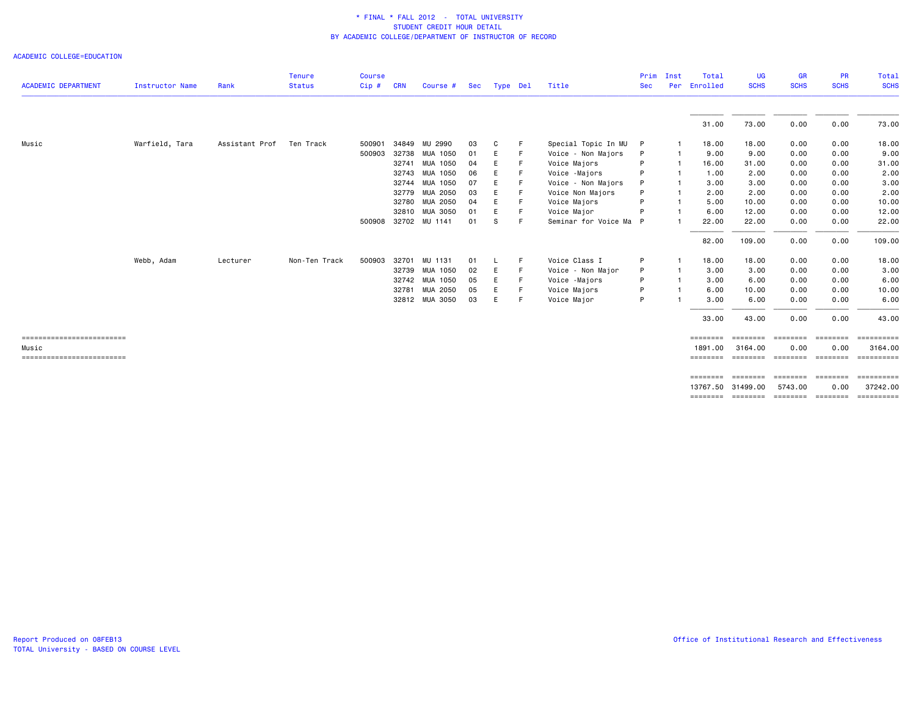ACADEMIC COLLEGE=EDUCATION

| <b>ACADEMIC DEPARTMENT</b> | Instructor Name | Rank           | <b>Tenure</b><br><b>Status</b> | <b>Course</b><br>Cip# | <b>CRN</b> | Course #             | Sec  | Type Del |     | Title                | Prim<br><b>Sec</b> | Inst<br>Per  | Total<br>Enrolled | UG<br><b>SCHS</b> | <b>GR</b><br><b>SCHS</b>   | <b>PR</b><br><b>SCHS</b> | Total<br><b>SCHS</b> |
|----------------------------|-----------------|----------------|--------------------------------|-----------------------|------------|----------------------|------|----------|-----|----------------------|--------------------|--------------|-------------------|-------------------|----------------------------|--------------------------|----------------------|
|                            |                 |                |                                |                       |            |                      |      |          |     |                      |                    |              | 31.00             | 73.00             | 0.00                       | 0.00                     | 73.00                |
| Music                      | Warfield, Tara  | Assistant Prof | Ten Track                      | 500901                | 34849      | MU 2990              | 03   | C        | -F  | Special Topic In MU  | P                  | -1           | 18.00             | 18.00             | 0.00                       | 0.00                     | 18.00                |
|                            |                 |                |                                | 500903                | 32738      | MUA 1050             | 01   | E        | - F | Voice - Non Majors   | P                  | -1           | 9.00              | 9.00              | 0.00                       | 0.00                     | 9.00                 |
|                            |                 |                |                                |                       | 32741      | MUA 1050             | 04   | E        | -F  | Voice Majors         | P                  | -1           | 16.00             | 31.00             | 0.00                       | 0.00                     | 31.00                |
|                            |                 |                |                                |                       |            | 32743 MUA 1050       | - 06 | E        | -F  | Voice -Majors        | P                  |              | 1.00              | 2.00              | 0.00                       | 0.00                     | 2.00                 |
|                            |                 |                |                                |                       |            | 32744 MUA 1050       | 07   | E        |     | Voice - Non Majors   |                    |              | 3,00              | 3.00              | 0.00                       | 0.00                     | 3.00                 |
|                            |                 |                |                                |                       |            | 32779 MUA 2050       | 03   |          |     | Voice Non Majors     | P                  | $\mathbf{1}$ | 2.00              | 2.00              | 0.00                       | 0.00                     | 2.00                 |
|                            |                 |                |                                |                       | 32780      | MUA 2050             | 04   |          |     | Voice Majors         | P                  | -1           | 5.00              | 10.00             | 0.00                       | 0.00                     | 10.00                |
|                            |                 |                |                                |                       |            | 32810 MUA 3050       | 01   | E        |     | Voice Major          | P                  |              | 6.00              | 12.00             | 0.00                       | 0.00                     | 12.00                |
|                            |                 |                |                                |                       |            | 500908 32702 MU 1141 | 01   | -S       | -F  | Seminar for Voice Ma | - P                |              | 22.00             | 22.00             | 0.00                       | 0.00                     | 22.00                |
|                            |                 |                |                                |                       |            |                      |      |          |     |                      |                    |              | 82.00             | 109.00            | 0.00                       | 0.00                     | 109.00               |
|                            | Webb, Adam      | Lecturer       | Non-Ten Track                  | 500903                |            | 32701 MU 1131        | 01   | L.       | -F  | Voice Class I        | P                  | -1           | 18.00             | 18.00             | 0.00                       | 0.00                     | 18.00                |
|                            |                 |                |                                |                       |            | 32739 MUA 1050       | 02   | E        | -F. | Voice - Non Major    | P                  | $\mathbf{1}$ | 3.00              | 3.00              | 0.00                       | 0.00                     | 3.00                 |
|                            |                 |                |                                |                       |            | 32742 MUA 1050       | 05   | E        | -F  | Voice -Majors        | P                  | $\mathbf{1}$ | 3.00              | 6.00              | 0.00                       | 0.00                     | 6.00                 |
|                            |                 |                |                                |                       | 32781      | MUA 2050             | 05   | E        | -F  | Voice Majors         | P                  | $\mathbf{1}$ | 6.00              | 10.00             | 0.00                       | 0.00                     | 10.00                |
|                            |                 |                |                                |                       |            | 32812 MUA 3050       | 03   | E        | -F  | Voice Major          | P                  |              | 3.00              | 6.00              | 0.00                       | 0.00                     | 6.00                 |
|                            |                 |                |                                |                       |            |                      |      |          |     |                      |                    |              | 33.00             | 43.00             | 0.00                       | 0.00                     | 43.00                |
| ========================== |                 |                |                                |                       |            |                      |      |          |     |                      |                    |              | ========          | ========          | ---------                  | <b>EDDEDED</b>           | ==========           |
| Music                      |                 |                |                                |                       |            |                      |      |          |     |                      |                    |              | 1891.00           | 3164.00           | 0.00                       | 0.00                     | 3164.00              |
| -------------------------  |                 |                |                                |                       |            |                      |      |          |     |                      |                    |              | ========          |                   | ======== ======== ======== |                          | ==========           |
|                            |                 |                |                                |                       |            |                      |      |          |     |                      |                    |              | ========          | ========          | --------- --------         |                          |                      |
|                            |                 |                |                                |                       |            |                      |      |          |     |                      |                    |              |                   | 13767.50 31499.00 | 5743.00                    | 0.00                     | 37242.00             |
|                            |                 |                |                                |                       |            |                      |      |          |     |                      |                    |              |                   |                   |                            |                          | ==========           |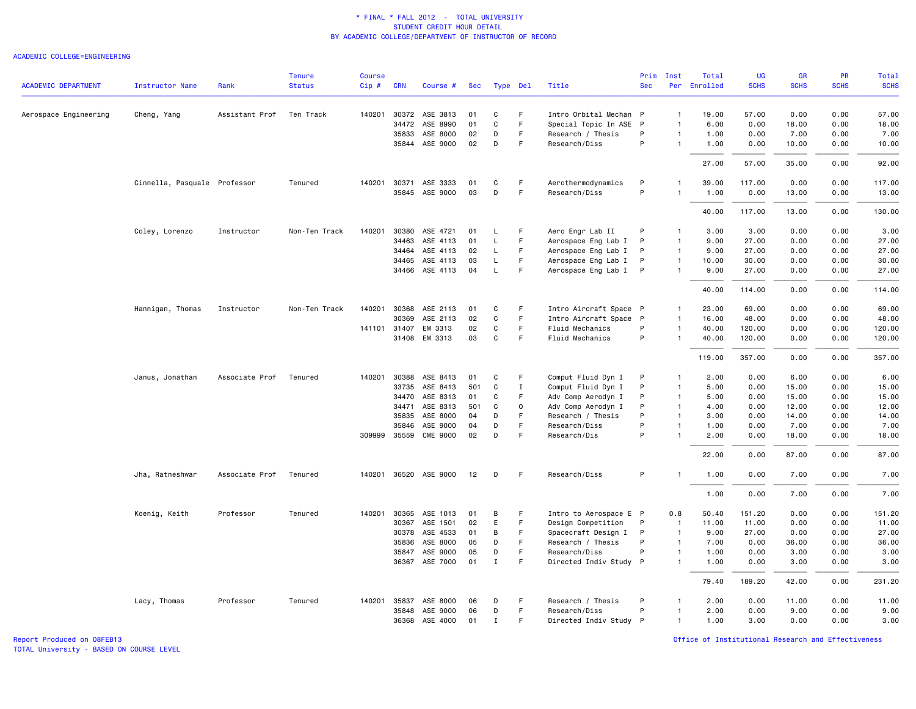### ACADEMIC COLLEGE=ENGINEERING

|                            |                              |                | <b>Tenure</b> | <b>Course</b> |              |                       |     |              |             |                        | Prim       | Inst           | Total        | <b>UG</b>   | <b>GR</b>   | PR          | Total       |
|----------------------------|------------------------------|----------------|---------------|---------------|--------------|-----------------------|-----|--------------|-------------|------------------------|------------|----------------|--------------|-------------|-------------|-------------|-------------|
| <b>ACADEMIC DEPARTMENT</b> | <b>Instructor Name</b>       | Rank           | <b>Status</b> | Cip#          | <b>CRN</b>   | Course #              | Sec | Type Del     |             | Title                  | <b>Sec</b> |                | Per Enrolled | <b>SCHS</b> | <b>SCHS</b> | <b>SCHS</b> | <b>SCHS</b> |
| Aerospace Engineering      | Cheng, Yang                  | Assistant Prof | Ten Track     | 140201        |              | 30372 ASE 3813        | 01  | C            | F.          | Intro Orbital Mechan P |            | $\overline{1}$ | 19.00        | 57.00       | 0.00        | 0.00        | 57.00       |
|                            |                              |                |               |               |              | 34472 ASE 8990        | 01  | $\mathbf C$  | F.          | Special Topic In ASE P |            | $\overline{1}$ | 6.00         | 0.00        | 18.00       | 0.00        | 18.00       |
|                            |                              |                |               |               | 35833        | ASE 8000              | 02  | D            | F.          | Research / Thesis      | P          | $\overline{1}$ | 1.00         | 0.00        | 7.00        | 0.00        | 7.00        |
|                            |                              |                |               |               |              | 35844 ASE 9000        | 02  | D            | F.          | Research/Diss          | P          | $\mathbf{1}$   | 1.00         | 0.00        | 10.00       | 0.00        | 10.00       |
|                            |                              |                |               |               |              |                       |     |              |             |                        |            |                | 27.00        | 57.00       | 35.00       | 0.00        | 92.00       |
|                            | Cinnella, Pasquale Professor |                | Tenured       | 140201        | 30371        | ASE 3333              | 01  | C            | F           | Aerothermodynamics     | P          |                | 39.00        | 117.00      | 0.00        | 0.00        | 117.00      |
|                            |                              |                |               |               |              | 35845 ASE 9000        | 03  | D            | F           | Research/Diss          | P          | $\overline{1}$ | 1.00         | 0.00        | 13.00       | 0.00        | 13.00       |
|                            |                              |                |               |               |              |                       |     |              |             |                        |            |                | 40.00        | 117.00      | 13.00       | 0.00        | 130.00      |
|                            | Coley, Lorenzo               | Instructor     | Non-Ten Track | 140201        | 30380        | ASE 4721              | 01  | L.           | F           | Aero Engr Lab II       | P          | $\overline{1}$ | 3.00         | 3.00        | 0.00        | 0.00        | 3.00        |
|                            |                              |                |               |               | 34463        | ASE 4113              | 01  | L            | F           | Aerospace Eng Lab I    | P          | $\overline{1}$ | 9.00         | 27.00       | 0.00        | 0.00        | 27.00       |
|                            |                              |                |               |               | 34464        | ASE 4113              | 02  | L            | F.          | Aerospace Eng Lab I    | P          | $\overline{1}$ | 9.00         | 27.00       | 0.00        | 0.00        | 27.00       |
|                            |                              |                |               |               | 34465        | ASE 4113              | 03  | L            | F.          | Aerospace Eng Lab I    | P          | $\overline{1}$ | 10.00        | 30.00       | 0.00        | 0.00        | 30.00       |
|                            |                              |                |               |               | 34466        | ASE 4113              | 04  | L            | F           | Aerospace Eng Lab I    | P          | $\overline{1}$ | 9.00         | 27.00       | 0.00        | 0.00        | 27.00       |
|                            |                              |                |               |               |              |                       |     |              |             |                        |            |                | 40.00        | 114.00      | 0.00        | 0.00        | 114.00      |
|                            | Hannigan, Thomas             | Instructor     | Non-Ten Track |               | 140201 30368 | ASE 2113              | 01  | C            | F           | Intro Aircraft Space P |            | -1             | 23.00        | 69.00       | 0.00        | 0.00        | 69.00       |
|                            |                              |                |               |               | 30369        | ASE 2113              | 02  | C            | F.          | Intro Aircraft Space P |            | $\overline{1}$ | 16.00        | 48.00       | 0.00        | 0.00        | 48.00       |
|                            |                              |                |               |               | 141101 31407 | EM 3313               | 02  | $\mathsf{C}$ | F.          | Fluid Mechanics        | P          | $\overline{1}$ | 40.00        | 120.00      | 0.00        | 0.00        | 120.00      |
|                            |                              |                |               |               |              | 31408 EM 3313         | 03  | C            | F.          | Fluid Mechanics        | P          | $\overline{1}$ | 40.00        | 120.00      | 0.00        | 0.00        | 120.00      |
|                            |                              |                |               |               |              |                       |     |              |             |                        |            |                | 119.00       | 357.00      | 0.00        | 0.00        | 357.00      |
|                            | Janus, Jonathan              | Associate Prof | Tenured       | 140201        | 30388        | ASE 8413              | 01  | C            | F           | Comput Fluid Dyn I     | P          | $\mathbf{1}$   | 2.00         | 0.00        | 6.00        | 0.00        | 6.00        |
|                            |                              |                |               |               | 33735        | ASE 8413              | 501 | C            | $\mathbf I$ | Comput Fluid Dyn I     | P          | $\overline{1}$ | 5.00         | 0.00        | 15.00       | 0.00        | 15.00       |
|                            |                              |                |               |               | 34470        | ASE 8313              | 01  | C            | F           | Adv Comp Aerodyn I     | P          | $\overline{1}$ | 5.00         | 0.00        | 15.00       | 0.00        | 15.00       |
|                            |                              |                |               |               | 34471        | ASE 8313              | 501 | C            | $\mathbf 0$ | Adv Comp Aerodyn I     | P          | $\overline{1}$ | 4.00         | 0.00        | 12.00       | 0.00        | 12.00       |
|                            |                              |                |               |               | 35835        | ASE 8000              | 04  | D            | F.          | Research / Thesis      | P          | $\overline{1}$ | 3.00         | 0.00        | 14.00       | 0.00        | 14.00       |
|                            |                              |                |               |               | 35846        | ASE 9000              | 04  | D            | F           | Research/Diss          | P          | $\overline{1}$ | 1.00         | 0.00        | 7.00        | 0.00        | 7.00        |
|                            |                              |                |               |               |              | 309999 35559 CME 9000 | 02  | D            | F           | Research/Dis           | P          | $\overline{1}$ | 2.00         | 0.00        | 18.00       | 0.00        | 18.00       |
|                            |                              |                |               |               |              |                       |     |              |             |                        |            |                | 22.00        | 0.00        | 87.00       | 0.00        | 87.00       |
|                            | Jha, Ratneshwar              | Associate Prof | Tenured       |               |              | 140201 36520 ASE 9000 | 12  | D            | F           | Research/Diss          | P          | $\overline{1}$ | 1.00         | 0.00        | 7.00        | 0.00        | 7.00        |
|                            |                              |                |               |               |              |                       |     |              |             |                        |            |                | 1.00         | 0.00        | 7.00        | 0.00        | 7.00        |
|                            | Koenig, Keith                | Professor      | Tenured       |               |              | 140201 30365 ASE 1013 | 01  | В            | F           | Intro to Aerospace E P |            | 0.8            | 50.40        | 151.20      | 0.00        | 0.00        | 151.20      |
|                            |                              |                |               |               | 30367        | ASE 1501              | 02  | E            | F           | Design Competition     | P          | $\overline{1}$ | 11.00        | 11.00       | 0.00        | 0.00        | 11.00       |
|                            |                              |                |               |               | 30378        | ASE 4533              | 01  | В            | F           | Spacecraft Design I    | P          | $\overline{1}$ | 9.00         | 27.00       | 0.00        | 0.00        | 27.00       |
|                            |                              |                |               |               | 35836        | ASE 8000              | 05  | D            | F.          | Research / Thesis      | P          | $\overline{1}$ | 7.00         | 0.00        | 36.00       | 0.00        | 36.00       |
|                            |                              |                |               |               | 35847        | ASE 9000              | 05  | D            | F           | Research/Diss          | P          | $\overline{1}$ | 1.00         | 0.00        | 3.00        | 0.00        | 3.00        |
|                            |                              |                |               |               |              | 36367 ASE 7000        | 01  | $\mathbf I$  | F           | Directed Indiv Study P |            | $\overline{1}$ | 1.00         | 0.00        | 3.00        | 0.00        | 3.00        |
|                            |                              |                |               |               |              |                       |     |              |             |                        |            |                | 79.40        | 189.20      | 42.00       | 0.00        | 231.20      |
|                            | Lacy, Thomas                 | Professor      | Tenured       |               | 140201 35837 | ASE 8000              | 06  | D            | F           | Research / Thesis      | P          | $\mathbf{1}$   | 2.00         | 0.00        | 11.00       | 0.00        | 11.00       |
|                            |                              |                |               |               | 35848        | ASE 9000              | 06  | D            | F.          | Research/Diss          | P          | $\overline{1}$ | 2.00         | 0.00        | 9.00        | 0.00        | 9.00        |
|                            |                              |                |               |               |              | 36368 ASE 4000        | 01  | $\mathbf{I}$ | F.          | Directed Indiv Study P |            | $\overline{1}$ | 1.00         | 3.00        | 0.00        | 0.00        | 3.00        |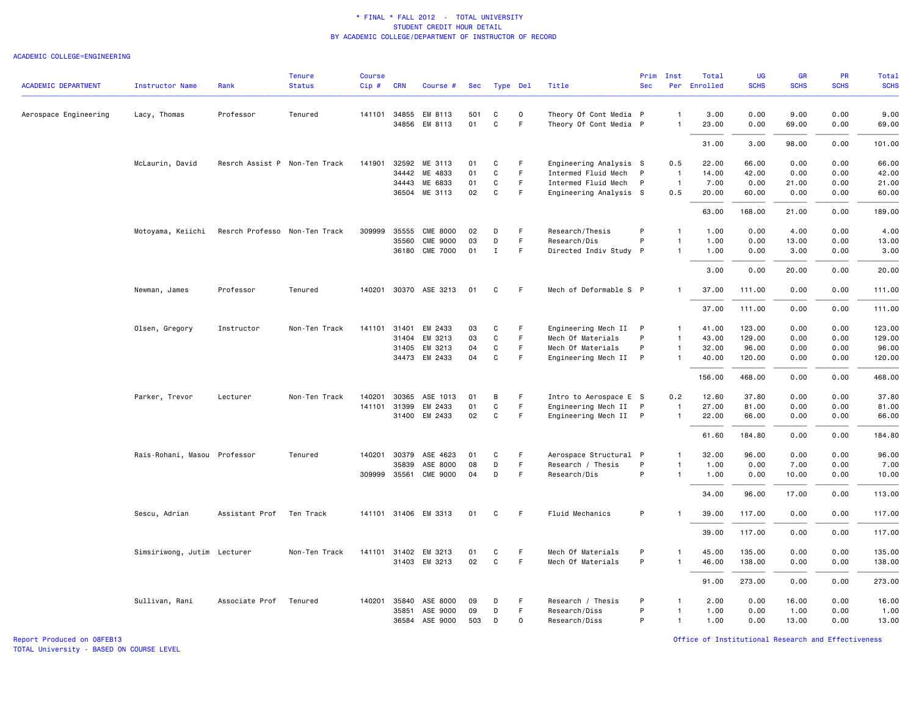#### ACADEMIC COLLEGE=ENGINEERING

| <b>ACADEMIC DEPARTMENT</b> | <b>Instructor Name</b>       | Rank                          | <b>Tenure</b><br><b>Status</b> | <b>Course</b><br>Cip# | <b>CRN</b>   | Course #              | Sec | Type Del     |             | Title                  | Prim<br><b>Sec</b> | Inst           | Total<br>Per Enrolled | <b>UG</b><br><b>SCHS</b> | GR<br><b>SCHS</b> | PR<br><b>SCHS</b> | Total<br><b>SCHS</b> |
|----------------------------|------------------------------|-------------------------------|--------------------------------|-----------------------|--------------|-----------------------|-----|--------------|-------------|------------------------|--------------------|----------------|-----------------------|--------------------------|-------------------|-------------------|----------------------|
|                            |                              |                               |                                |                       |              |                       |     |              |             |                        |                    |                |                       |                          |                   |                   |                      |
| Aerospace Engineering      | Lacy, Thomas                 | Professor                     | Tenured                        |                       | 141101 34855 | EM 8113               | 501 | C            | $\mathbf 0$ | Theory Of Cont Media P |                    | $\overline{1}$ | 3.00                  | 0.00                     | 9.00              | 0.00              | 9.00                 |
|                            |                              |                               |                                |                       | 34856        | EM 8113               | 01  | $\mathbf C$  | F.          | Theory Of Cont Media P |                    | $\overline{1}$ | 23.00                 | 0.00                     | 69.00             | 0.00              | 69.00                |
|                            |                              |                               |                                |                       |              |                       |     |              |             |                        |                    |                | 31.00                 | 3.00                     | 98.00             | 0.00              | 101.00               |
|                            | McLaurin, David              | Resrch Assist P Non-Ten Track |                                |                       | 141901 32592 | ME 3113               | 01  | C            | F           | Engineering Analysis S |                    | 0.5            | 22.00                 | 66.00                    | 0.00              | 0.00              | 66.00                |
|                            |                              |                               |                                |                       | 34442        | ME 4833               | 01  | $\mathbf C$  | F           | Intermed Fluid Mech    | P                  | $\overline{1}$ | 14.00                 | 42.00                    | 0.00              | 0.00              | 42.00                |
|                            |                              |                               |                                |                       |              | 34443 ME 6833         | 01  | C            | F.          | Intermed Fluid Mech    | P                  | $\overline{1}$ | 7.00                  | 0.00                     | 21.00             | 0.00              | 21.00                |
|                            |                              |                               |                                |                       |              | 36504 ME 3113         | 02  | $\mathsf{C}$ | F.          | Engineering Analysis S |                    | 0.5            | 20.00                 | 60.00                    | 0.00              | 0.00              | 60.00                |
|                            |                              |                               |                                |                       |              |                       |     |              |             |                        |                    |                | 63.00                 | 168.00                   | 21.00             | 0.00              | 189.00               |
|                            | Motoyama, Keiichi            | Resrch Professo Non-Ten Track |                                | 309999                | 35555        | <b>CME 8000</b>       | 02  | D            | F           | Research/Thesis        | P                  | $\overline{1}$ | 1.00                  | 0.00                     | 4.00              | 0.00              | 4.00                 |
|                            |                              |                               |                                |                       | 35560        | <b>CME 9000</b>       | 03  | D            | F.          | Research/Dis           | P                  | $\overline{1}$ | 1.00                  | 0.00                     | 13.00             | 0.00              | 13.00                |
|                            |                              |                               |                                |                       |              | 36180 CME 7000        | 01  | $\mathbf I$  | F.          | Directed Indiv Study P |                    | $\mathbf{1}$   | 1.00                  | 0.00                     | 3.00              | 0.00              | 3.00                 |
|                            |                              |                               |                                |                       |              |                       |     |              |             |                        |                    |                | 3.00                  | 0.00                     | 20.00             | 0.00              | 20.00                |
|                            | Newman, James                | Professor                     | Tenured                        |                       |              | 140201 30370 ASE 3213 | 01  | C            | F           | Mech of Deformable S P |                    | $\mathbf{1}$   | 37.00                 | 111.00                   | 0.00              | 0.00              | 111.00               |
|                            |                              |                               |                                |                       |              |                       |     |              |             |                        |                    |                | 37.00                 | 111.00                   | 0.00              | 0.00              | 111.00               |
|                            | Olsen, Gregory               | Instructor                    | Non-Ten Track                  | 141101                | 31401        | EM 2433               | 03  | C            | F           | Engineering Mech II    | P                  | $\overline{1}$ | 41.00                 | 123.00                   | 0.00              | 0.00              | 123.00               |
|                            |                              |                               |                                |                       | 31404        | EM 3213               | 03  | $\mathsf{C}$ | F           | Mech Of Materials      | P                  | $\overline{1}$ | 43.00                 | 129.00                   | 0.00              | 0.00              | 129.00               |
|                            |                              |                               |                                |                       | 31405        | EM 3213               | 04  | C            | F           | Mech Of Materials      | P                  | $\overline{1}$ | 32.00                 | 96.00                    | 0.00              | 0.00              | 96.00                |
|                            |                              |                               |                                |                       |              | 34473 EM 2433         | 04  | $\mathbf C$  | F.          | Engineering Mech II    | P                  | -1             | 40.00                 | 120.00                   | 0.00              | 0.00              | 120.00               |
|                            |                              |                               |                                |                       |              |                       |     |              |             |                        |                    |                | 156.00                | 468.00                   | 0.00              | 0.00              | 468.00               |
|                            | Parker, Trevor               | Lecturer                      | Non-Ten Track                  | 140201                | 30365        | ASE 1013              | 01  | В            | F.          | Intro to Aerospace E S |                    | 0.2            | 12.60                 | 37.80                    | 0.00              | 0.00              | 37.80                |
|                            |                              |                               |                                |                       | 141101 31399 | EM 2433               | 01  | $\mathbf C$  | F           | Engineering Mech II    | P                  | $\overline{1}$ | 27.00                 | 81.00                    | 0.00              | 0.00              | 81.00                |
|                            |                              |                               |                                |                       |              | 31400 EM 2433         | 02  | C            | F.          | Engineering Mech II P  |                    | $\overline{1}$ | 22.00                 | 66.00                    | 0.00              | 0.00              | 66.00                |
|                            |                              |                               |                                |                       |              |                       |     |              |             |                        |                    |                | 61.60                 | 184.80                   | 0.00              | 0.00              | 184.80               |
|                            | Rais-Rohani, Masou Professor |                               | Tenured                        |                       | 140201 30379 | ASE 4623              | 01  | C            | F           | Aerospace Structural P |                    | $\mathbf{1}$   | 32.00                 | 96.00                    | 0.00              | 0.00              | 96.00                |
|                            |                              |                               |                                |                       | 35839        | ASE 8000              | 08  | D            | F.          | Research / Thesis      | P                  | $\mathbf{1}$   | 1.00                  | 0.00                     | 7.00              | 0.00              | 7.00                 |
|                            |                              |                               |                                |                       | 309999 35561 | <b>CME 9000</b>       | 04  | D            | F.          | Research/Dis           | P                  | $\mathbf{1}$   | 1.00                  | 0.00                     | 10.00             | 0.00              | 10.00                |
|                            |                              |                               |                                |                       |              |                       |     |              |             |                        |                    |                | 34.00                 | 96.00                    | 17.00             | 0.00              | 113.00               |
|                            | Sescu, Adrian                | Assistant Prof                | Ten Track                      |                       |              | 141101 31406 EM 3313  | 01  | C            | F           | Fluid Mechanics        | P                  | -1             | 39.00                 | 117.00                   | 0.00              | 0.00              | 117.00               |
|                            |                              |                               |                                |                       |              |                       |     |              |             |                        |                    |                | 39.00                 | 117.00                   | 0.00              | 0.00              | 117.00               |
|                            | Simsiriwong, Jutim Lecturer  |                               | Non-Ten Track                  |                       |              | 141101 31402 EM 3213  | 01  | C            | F           | Mech Of Materials      | P                  | $\overline{1}$ | 45.00                 | 135.00                   | 0.00              | 0.00              | 135.00               |
|                            |                              |                               |                                |                       |              | 31403 EM 3213         | 02  | C            | F.          | Mech Of Materials      | P                  | $\overline{1}$ | 46.00                 | 138.00                   | 0.00              | 0.00              | 138.00               |
|                            |                              |                               |                                |                       |              |                       |     |              |             |                        |                    |                | 91.00                 | 273.00                   | 0.00              | 0.00              | 273.00               |
|                            | Sullivan, Rani               | Associate Prof                | Tenured                        |                       | 140201 35840 | ASE 8000              | 09  | D            | F           | Research / Thesis      | P                  | $\mathbf{1}$   | 2.00                  | 0.00                     | 16.00             | 0.00              | 16.00                |
|                            |                              |                               |                                |                       | 35851        | ASE 9000              | 09  | D            | F.          | Research/Diss          | P                  | $\overline{1}$ | 1.00                  | 0.00                     | 1.00              | 0.00              | 1.00                 |
|                            |                              |                               |                                |                       |              | 36584 ASE 9000        | 503 | D            | 0           | Research/Diss          | P                  | $\overline{1}$ | 1.00                  | 0.00                     | 13.00             | 0.00              | 13.00                |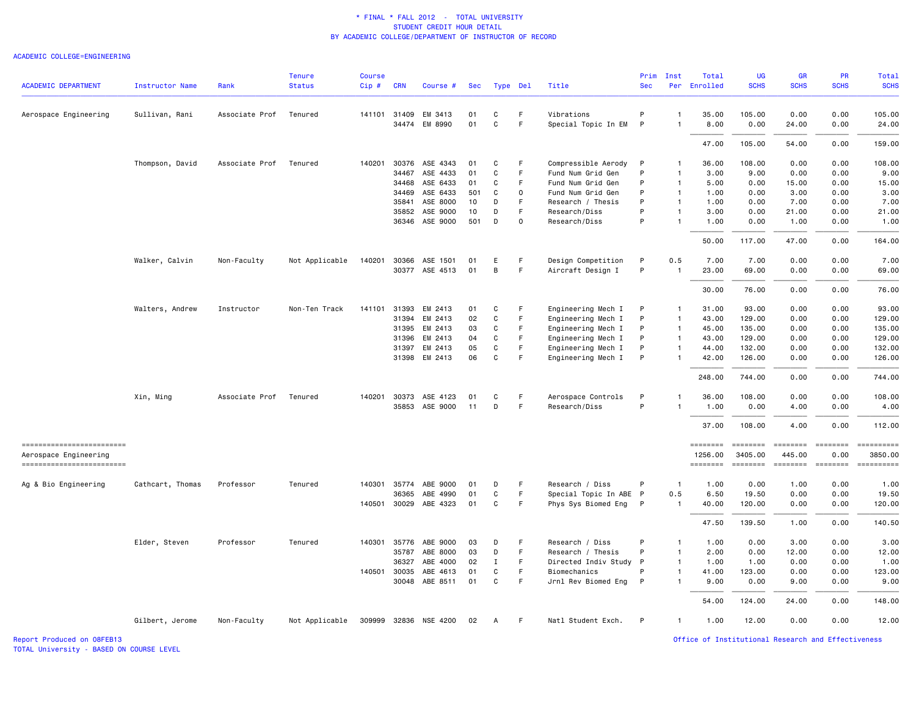#### ACADEMIC COLLEGE=ENGINEERING

| <b>ACADEMIC DEPARTMENT</b>                         | <b>Instructor Name</b> | Rank           | <b>Tenure</b><br><b>Status</b> | <b>Course</b><br>$Cip$ # | <b>CRN</b>   | Course #              | Sec |             | Type Del    | Title                  | Prim<br><b>Sec</b> | Inst           | Total<br>Per Enrolled | UG<br><b>SCHS</b>   | <b>GR</b><br><b>SCHS</b>                                                                                                                                                                                                                                                                                                                                                                                                                                                                         | PR<br><b>SCHS</b>                                                                                                                                                                                                                                                                                                                                                                                                                                                                              | Total<br><b>SCHS</b>  |
|----------------------------------------------------|------------------------|----------------|--------------------------------|--------------------------|--------------|-----------------------|-----|-------------|-------------|------------------------|--------------------|----------------|-----------------------|---------------------|--------------------------------------------------------------------------------------------------------------------------------------------------------------------------------------------------------------------------------------------------------------------------------------------------------------------------------------------------------------------------------------------------------------------------------------------------------------------------------------------------|------------------------------------------------------------------------------------------------------------------------------------------------------------------------------------------------------------------------------------------------------------------------------------------------------------------------------------------------------------------------------------------------------------------------------------------------------------------------------------------------|-----------------------|
|                                                    |                        |                |                                |                          |              |                       |     |             |             |                        |                    |                |                       |                     |                                                                                                                                                                                                                                                                                                                                                                                                                                                                                                  |                                                                                                                                                                                                                                                                                                                                                                                                                                                                                                |                       |
| Aerospace Engineering                              | Sullivan, Rani         | Associate Prof | Tenured                        |                          | 141101 31409 | EM 3413               | 01  | C           | F           | Vibrations             | P                  | -1             | 35.00                 | 105.00              | 0.00                                                                                                                                                                                                                                                                                                                                                                                                                                                                                             | 0.00                                                                                                                                                                                                                                                                                                                                                                                                                                                                                           | 105.00                |
|                                                    |                        |                |                                |                          |              | 34474 EM 8990         | 01  | $\mathbf C$ | F           | Special Topic In EM    | P                  | $\overline{1}$ | 8.00                  | 0.00                | 24.00                                                                                                                                                                                                                                                                                                                                                                                                                                                                                            | 0.00                                                                                                                                                                                                                                                                                                                                                                                                                                                                                           | 24.00                 |
|                                                    |                        |                |                                |                          |              |                       |     |             |             |                        |                    |                | 47.00                 | 105.00              | 54.00                                                                                                                                                                                                                                                                                                                                                                                                                                                                                            | 0.00                                                                                                                                                                                                                                                                                                                                                                                                                                                                                           | 159.00                |
|                                                    | Thompson, David        | Associate Prof | Tenured                        | 140201                   | 30376        | ASE 4343              | 01  | C           | F           | Compressible Aerody    | P                  | $\mathbf{1}$   | 36.00                 | 108.00              | 0.00                                                                                                                                                                                                                                                                                                                                                                                                                                                                                             | 0.00                                                                                                                                                                                                                                                                                                                                                                                                                                                                                           | 108.00                |
|                                                    |                        |                |                                |                          | 34467        | ASE 4433              | 01  | C           | F           | Fund Num Grid Gen      | P                  | $\mathbf{1}$   | 3.00                  | 9.00                | 0.00                                                                                                                                                                                                                                                                                                                                                                                                                                                                                             | 0.00                                                                                                                                                                                                                                                                                                                                                                                                                                                                                           | 9.00                  |
|                                                    |                        |                |                                |                          | 34468        | ASE 6433              | 01  | C           | F           | Fund Num Grid Gen      | P                  | $\mathbf{1}$   | 5.00                  | 0.00                | 15.00                                                                                                                                                                                                                                                                                                                                                                                                                                                                                            | 0.00                                                                                                                                                                                                                                                                                                                                                                                                                                                                                           | 15.00                 |
|                                                    |                        |                |                                |                          | 34469        | ASE 6433              | 501 | C           | $\mathbf 0$ | Fund Num Grid Gen      | P                  | $\overline{1}$ | 1.00                  | 0.00                | 3.00                                                                                                                                                                                                                                                                                                                                                                                                                                                                                             | 0.00                                                                                                                                                                                                                                                                                                                                                                                                                                                                                           | 3.00                  |
|                                                    |                        |                |                                |                          | 35841        | ASE 8000              | 10  | D           | F           | Research / Thesis      | P                  | $\overline{1}$ | 1.00                  | 0.00                | 7.00                                                                                                                                                                                                                                                                                                                                                                                                                                                                                             | 0.00                                                                                                                                                                                                                                                                                                                                                                                                                                                                                           | 7.00                  |
|                                                    |                        |                |                                |                          | 35852        | ASE 9000              | 10  | D           | F           | Research/Diss          | P                  | $\mathbf{1}$   | 3.00                  | 0.00                | 21.00                                                                                                                                                                                                                                                                                                                                                                                                                                                                                            | 0.00                                                                                                                                                                                                                                                                                                                                                                                                                                                                                           | 21.00                 |
|                                                    |                        |                |                                |                          |              | 36346 ASE 9000        | 501 | D           | 0           | Research/Diss          | P                  | $\mathbf{1}$   | 1.00                  | 0.00                | 1.00                                                                                                                                                                                                                                                                                                                                                                                                                                                                                             | 0.00                                                                                                                                                                                                                                                                                                                                                                                                                                                                                           | 1.00                  |
|                                                    |                        |                |                                |                          |              |                       |     |             |             |                        |                    |                | 50.00                 | 117.00              | 47.00                                                                                                                                                                                                                                                                                                                                                                                                                                                                                            | 0.00                                                                                                                                                                                                                                                                                                                                                                                                                                                                                           | 164.00                |
|                                                    | Walker, Calvin         | Non-Faculty    | Not Applicable                 |                          | 140201 30366 | ASE 1501              | 01  | E           | F           | Design Competition     | P                  | 0.5            | 7.00                  | 7.00                | 0.00                                                                                                                                                                                                                                                                                                                                                                                                                                                                                             | 0.00                                                                                                                                                                                                                                                                                                                                                                                                                                                                                           | 7.00                  |
|                                                    |                        |                |                                |                          | 30377        | ASE 4513              | 01  | В           | F           | Aircraft Design I      | P                  | $\overline{1}$ | 23.00                 | 69.00               | 0.00                                                                                                                                                                                                                                                                                                                                                                                                                                                                                             | 0.00                                                                                                                                                                                                                                                                                                                                                                                                                                                                                           | 69.00                 |
|                                                    |                        |                |                                |                          |              |                       |     |             |             |                        |                    |                | 30.00                 | 76.00               | 0.00                                                                                                                                                                                                                                                                                                                                                                                                                                                                                             | 0.00                                                                                                                                                                                                                                                                                                                                                                                                                                                                                           | 76.00                 |
|                                                    | Walters, Andrew        | Instructor     | Non-Ten Track                  |                          | 141101 31393 | EM 2413               | 01  | C           | F           | Engineering Mech I     | P                  | $\mathbf{1}$   | 31.00                 | 93.00               | 0.00                                                                                                                                                                                                                                                                                                                                                                                                                                                                                             | 0.00                                                                                                                                                                                                                                                                                                                                                                                                                                                                                           | 93.00                 |
|                                                    |                        |                |                                |                          | 31394        | EM 2413               | 02  | C           | $\mathsf F$ | Engineering Mech I     | P                  | $\overline{1}$ | 43.00                 | 129.00              | 0.00                                                                                                                                                                                                                                                                                                                                                                                                                                                                                             | 0.00                                                                                                                                                                                                                                                                                                                                                                                                                                                                                           | 129.00                |
|                                                    |                        |                |                                |                          | 31395        | EM 2413               | 03  | C           | F           | Engineering Mech I     | P                  | $\overline{1}$ | 45.00                 | 135.00              | 0.00                                                                                                                                                                                                                                                                                                                                                                                                                                                                                             | 0.00                                                                                                                                                                                                                                                                                                                                                                                                                                                                                           | 135.00                |
|                                                    |                        |                |                                |                          | 31396        | EM 2413               | 04  | C           | F.          | Engineering Mech I     | P                  | $\overline{1}$ | 43.00                 | 129.00              | 0.00                                                                                                                                                                                                                                                                                                                                                                                                                                                                                             | 0.00                                                                                                                                                                                                                                                                                                                                                                                                                                                                                           | 129.00                |
|                                                    |                        |                |                                |                          | 31397        | EM 2413               | 05  | C           | F           | Engineering Mech I     | P                  | $\mathbf{1}$   | 44.00                 | 132.00              | 0.00                                                                                                                                                                                                                                                                                                                                                                                                                                                                                             | 0.00                                                                                                                                                                                                                                                                                                                                                                                                                                                                                           | 132.00                |
|                                                    |                        |                |                                |                          |              | 31398 EM 2413         | 06  | $\mathbf C$ | F           |                        | P                  | -1             | 42.00                 | 126.00              | 0.00                                                                                                                                                                                                                                                                                                                                                                                                                                                                                             | 0.00                                                                                                                                                                                                                                                                                                                                                                                                                                                                                           | 126.00                |
|                                                    |                        |                |                                |                          |              |                       |     |             |             | Engineering Mech I     |                    |                |                       |                     |                                                                                                                                                                                                                                                                                                                                                                                                                                                                                                  |                                                                                                                                                                                                                                                                                                                                                                                                                                                                                                |                       |
|                                                    |                        |                |                                |                          |              |                       |     |             |             |                        |                    |                | 248.00                | 744.00              | 0.00                                                                                                                                                                                                                                                                                                                                                                                                                                                                                             | 0.00                                                                                                                                                                                                                                                                                                                                                                                                                                                                                           | 744.00                |
|                                                    | Xin, Ming              | Associate Prof | Tenured                        | 140201                   | 30373        | ASE 4123              | 01  | C           | F           | Aerospace Controls     | P                  | -1             | 36.00                 | 108.00              | 0.00                                                                                                                                                                                                                                                                                                                                                                                                                                                                                             | 0.00                                                                                                                                                                                                                                                                                                                                                                                                                                                                                           | 108.00                |
|                                                    |                        |                |                                |                          | 35853        | ASE 9000              | 11  | D           | F           | Research/Diss          | P                  | $\mathbf{1}$   | 1.00                  | 0.00                | 4.00                                                                                                                                                                                                                                                                                                                                                                                                                                                                                             | 0.00                                                                                                                                                                                                                                                                                                                                                                                                                                                                                           | 4.00                  |
|                                                    |                        |                |                                |                          |              |                       |     |             |             |                        |                    |                | 37.00                 | 108.00              | 4.00                                                                                                                                                                                                                                                                                                                                                                                                                                                                                             | 0.00                                                                                                                                                                                                                                                                                                                                                                                                                                                                                           | 112.00                |
| ------------------------                           |                        |                |                                |                          |              |                       |     |             |             |                        |                    |                | ========              | ========            | ========                                                                                                                                                                                                                                                                                                                                                                                                                                                                                         | $\qquad \qquad \equiv \equiv \equiv \equiv \equiv \equiv \equiv \equiv$                                                                                                                                                                                                                                                                                                                                                                                                                        | ==========            |
| Aerospace Engineering<br>------------------------- |                        |                |                                |                          |              |                       |     |             |             |                        |                    |                | 1256.00<br>========   | 3405.00<br>======== | 445.00<br>$\begin{array}{cccccccccc} \multicolumn{2}{c}{} & \multicolumn{2}{c}{} & \multicolumn{2}{c}{} & \multicolumn{2}{c}{} & \multicolumn{2}{c}{} & \multicolumn{2}{c}{} & \multicolumn{2}{c}{} & \multicolumn{2}{c}{} & \multicolumn{2}{c}{} & \multicolumn{2}{c}{} & \multicolumn{2}{c}{} & \multicolumn{2}{c}{} & \multicolumn{2}{c}{} & \multicolumn{2}{c}{} & \multicolumn{2}{c}{} & \multicolumn{2}{c}{} & \multicolumn{2}{c}{} & \multicolumn{2}{c}{} & \multicolumn{2}{c}{} & \mult$ | 0.00<br>$\begin{array}{cccccccccc} \multicolumn{2}{c}{} & \multicolumn{2}{c}{} & \multicolumn{2}{c}{} & \multicolumn{2}{c}{} & \multicolumn{2}{c}{} & \multicolumn{2}{c}{} & \multicolumn{2}{c}{} & \multicolumn{2}{c}{} & \multicolumn{2}{c}{} & \multicolumn{2}{c}{} & \multicolumn{2}{c}{} & \multicolumn{2}{c}{} & \multicolumn{2}{c}{} & \multicolumn{2}{c}{} & \multicolumn{2}{c}{} & \multicolumn{2}{c}{} & \multicolumn{2}{c}{} & \multicolumn{2}{c}{} & \multicolumn{2}{c}{} & \mult$ | 3850.00<br>========== |
| Ag & Bio Engineering                               | Cathcart, Thomas       | Professor      | Tenured                        |                          |              | 140301 35774 ABE 9000 | 01  | D           | F.          | Research / Diss        | P                  | -1             | 1.00                  | 0.00                | 1.00                                                                                                                                                                                                                                                                                                                                                                                                                                                                                             | 0.00                                                                                                                                                                                                                                                                                                                                                                                                                                                                                           | 1.00                  |
|                                                    |                        |                |                                |                          | 36365        | ABE 4990              | 01  | $\mathbf C$ | $\mathsf F$ | Special Topic In ABE P |                    | 0.5            | 6.50                  | 19.50               | 0.00                                                                                                                                                                                                                                                                                                                                                                                                                                                                                             | 0.00                                                                                                                                                                                                                                                                                                                                                                                                                                                                                           | 19.50                 |
|                                                    |                        |                |                                |                          | 140501 30029 | ABE 4323              | 01  | C           | F           | Phys Sys Biomed Eng P  |                    | $\mathbf{1}$   | 40.00                 | 120.00              | 0.00                                                                                                                                                                                                                                                                                                                                                                                                                                                                                             | 0.00                                                                                                                                                                                                                                                                                                                                                                                                                                                                                           | 120.00                |
|                                                    |                        |                |                                |                          |              |                       |     |             |             |                        |                    |                | 47.50                 | 139.50              | 1.00                                                                                                                                                                                                                                                                                                                                                                                                                                                                                             | 0.00                                                                                                                                                                                                                                                                                                                                                                                                                                                                                           | 140.50                |
|                                                    | Elder, Steven          | Professor      | Tenured                        |                          | 140301 35776 | ABE 9000              | 03  | D           | F           | Research / Diss        | P                  | $\mathbf{1}$   | 1.00                  | 0.00                | 3.00                                                                                                                                                                                                                                                                                                                                                                                                                                                                                             | 0.00                                                                                                                                                                                                                                                                                                                                                                                                                                                                                           | 3.00                  |
|                                                    |                        |                |                                |                          | 35787        | ABE 8000              | 03  | D           | F.          | Research / Thesis      | P                  | $\mathbf{1}$   | 2.00                  | 0.00                | 12.00                                                                                                                                                                                                                                                                                                                                                                                                                                                                                            | 0.00                                                                                                                                                                                                                                                                                                                                                                                                                                                                                           | 12.00                 |
|                                                    |                        |                |                                |                          | 36327        | ABE 4000              | 02  | Ι.          | F           | Directed Indiv Study P |                    | $\overline{1}$ | 1.00                  | 1.00                | 0.00                                                                                                                                                                                                                                                                                                                                                                                                                                                                                             | 0.00                                                                                                                                                                                                                                                                                                                                                                                                                                                                                           | 1.00                  |
|                                                    |                        |                |                                |                          | 140501 30035 | ABE 4613              | 01  | C           | F           | Biomechanics           | P                  | $\mathbf{1}$   | 41.00                 | 123.00              | 0.00                                                                                                                                                                                                                                                                                                                                                                                                                                                                                             | 0.00                                                                                                                                                                                                                                                                                                                                                                                                                                                                                           | 123.00                |
|                                                    |                        |                |                                |                          |              | 30048 ABE 8511        | 01  | C           | F           | Jrnl Rev Biomed Eng    | P                  | $\mathbf{1}$   | 9.00                  | 0.00                | 9.00                                                                                                                                                                                                                                                                                                                                                                                                                                                                                             | 0.00                                                                                                                                                                                                                                                                                                                                                                                                                                                                                           | 9.00                  |
|                                                    |                        |                |                                |                          |              |                       |     |             |             |                        |                    |                | 54.00                 | 124.00              | 24.00                                                                                                                                                                                                                                                                                                                                                                                                                                                                                            | 0.00                                                                                                                                                                                                                                                                                                                                                                                                                                                                                           | 148.00                |
|                                                    | Gilbert, Jerome        | Non-Faculty    | Not Applicable                 |                          |              | 309999 32836 NSE 4200 | 02  | A           | -F          | Natl Student Exch.     | P                  | $\mathbf{1}$   | 1.00                  | 12.00               | 0.00                                                                                                                                                                                                                                                                                                                                                                                                                                                                                             | 0.00                                                                                                                                                                                                                                                                                                                                                                                                                                                                                           | 12.00                 |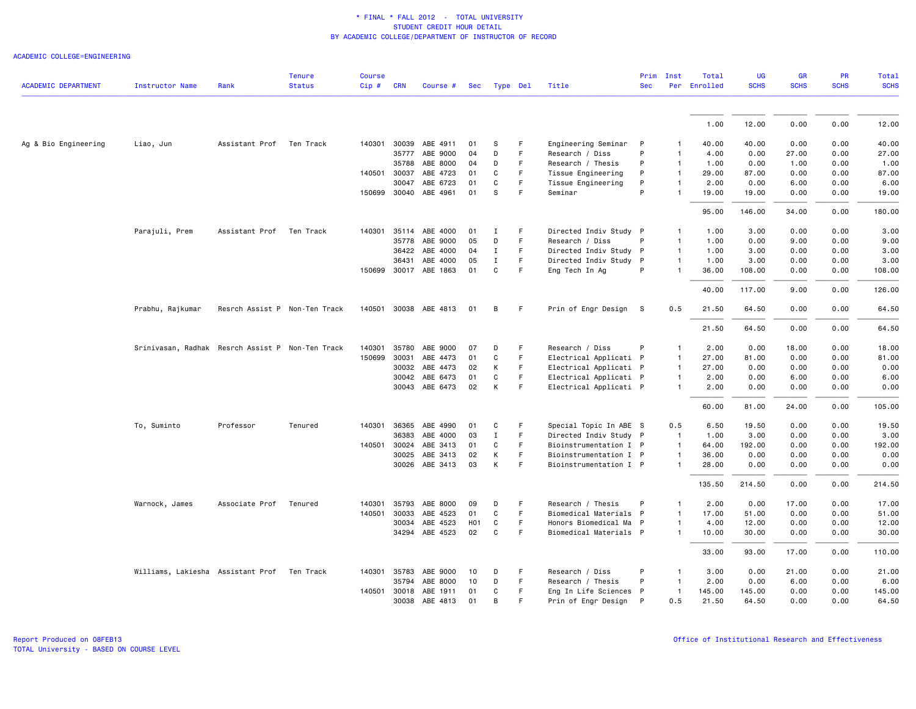### ACADEMIC COLLEGE=ENGINEERING

|                            |                                                  |                               | <b>Tenure</b> | <b>Course</b> |              |                       |                  |              |    |                        | Prim         | Inst           | Total        | <b>UG</b>   | GR          | <b>PR</b>   | Total       |
|----------------------------|--------------------------------------------------|-------------------------------|---------------|---------------|--------------|-----------------------|------------------|--------------|----|------------------------|--------------|----------------|--------------|-------------|-------------|-------------|-------------|
| <b>ACADEMIC DEPARTMENT</b> | <b>Instructor Name</b>                           | Rank                          | <b>Status</b> | $Cip$ #       | <b>CRN</b>   | Course #              | Sec              | Type Del     |    | Title                  | <b>Sec</b>   |                | Per Enrolled | <b>SCHS</b> | <b>SCHS</b> | <b>SCHS</b> | <b>SCHS</b> |
|                            |                                                  |                               |               |               |              |                       |                  |              |    |                        |              |                | 1.00         | 12.00       | 0.00        | 0.00        | 12.00       |
|                            |                                                  |                               |               |               |              |                       |                  |              |    |                        |              |                |              |             |             |             |             |
| Ag & Bio Engineering       | Liao, Jun                                        | Assistant Prof                | Ten Track     | 140301        | 30039        | ABE 4911              | 01               | S            | F  | Engineering Seminar    | $\mathsf{P}$ |                | 40.00        | 40.00       | 0.00        | 0.00        | 40.00       |
|                            |                                                  |                               |               |               | 35777        | ABE 9000              | 04               | D            | F  | Research / Diss        | P            | $\mathbf{1}$   | 4.00         | 0.00        | 27.00       | 0.00        | 27.00       |
|                            |                                                  |                               |               |               | 35788        | ABE 8000              | 04               | D            | F  | Research / Thesis      | P            | $\mathbf{1}$   | 1.00         | 0.00        | 1.00        | 0.00        | 1.00        |
|                            |                                                  |                               |               |               | 140501 30037 | ABE 4723              | 01               | C            | F. | Tissue Engineering     | P            | $\mathbf{1}$   | 29.00        | 87.00       | 0.00        | 0.00        | 87.00       |
|                            |                                                  |                               |               |               | 30047        | ABE 6723              | 01               | C            | F  | Tissue Engineering     | P            | $\mathbf{1}$   | 2.00         | 0.00        | 6.00        | 0.00        | 6.00        |
|                            |                                                  |                               |               |               |              | 150699 30040 ABE 4961 | 01               | s            | F  | Seminar                | P            |                | 19.00        | 19.00       | 0.00        | 0.00        | 19.00       |
|                            |                                                  |                               |               |               |              |                       |                  |              |    |                        |              |                | 95.00        | 146.00      | 34.00       | 0.00        | 180.00      |
|                            | Parajuli, Prem                                   | Assistant Prof                | Ten Track     | 140301        | 35114        | ABE 4000              | 01               | <b>I</b>     | F  | Directed Indiv Study P |              | $\mathbf{1}$   | 1.00         | 3.00        | 0.00        | 0.00        | 3.00        |
|                            |                                                  |                               |               |               | 35778        | ABE 9000              | 05               | D            | F. | Research / Diss        | P            | $\mathbf{1}$   | 1.00         | 0.00        | 9.00        | 0.00        | 9.00        |
|                            |                                                  |                               |               |               | 36422        | ABE 4000              | 04               | Ι            | F. | Directed Indiv Study P |              | $\mathbf{1}$   | 1.00         | 3.00        | 0.00        | 0.00        | 3.00        |
|                            |                                                  |                               |               |               | 36431        | ABE 4000              | 05               | $\mathbf{I}$ | F  | Directed Indiv Study P |              | $\mathbf{1}$   | 1.00         | 3.00        | 0.00        | 0.00        | 3.00        |
|                            |                                                  |                               |               |               |              | 150699 30017 ABE 1863 | 01               | C            | F  | Eng Tech In Ag         | P            | $\mathbf{1}$   | 36.00        | 108.00      | 0.00        | 0.00        | 108.00      |
|                            |                                                  |                               |               |               |              |                       |                  |              |    |                        |              |                | 40.00        | 117.00      | 9.00        | 0.00        | 126.00      |
|                            | Prabhu, Rajkumar                                 | Resrch Assist P Non-Ten Track |               |               |              | 140501 30038 ABE 4813 | 01               | B            | F. | Prin of Engr Design S  |              | 0.5            | 21.50        | 64.50       | 0.00        | 0.00        | 64.50       |
|                            |                                                  |                               |               |               |              |                       |                  |              |    |                        |              |                | 21.50        | 64.50       | 0.00        | 0.00        | 64.50       |
|                            | Srinivasan, Radhak Resrch Assist P Non-Ten Track |                               |               | 140301        | 35780        | ABE 9000              | 07               | D            | F. | Research / Diss        | P            | $\mathbf{1}$   | 2.00         | 0.00        | 18.00       | 0.00        | 18.00       |
|                            |                                                  |                               |               | 150699        | 30031        | ABE 4473              | 01               | C            | F  | Electrical Applicati P |              | $\mathbf{1}$   | 27.00        | 81.00       | 0.00        | 0.00        | 81.00       |
|                            |                                                  |                               |               |               | 30032        | ABE 4473              | 02               | K            | F. | Electrical Applicati P |              | $\overline{1}$ | 27.00        | 0.00        | 0.00        | 0.00        | 0.00        |
|                            |                                                  |                               |               |               |              | 30042 ABE 6473        | 01               | C            | F  | Electrical Applicati P |              | $\mathbf{1}$   | 2.00         | 0.00        | 6.00        | 0.00        | 6.00        |
|                            |                                                  |                               |               |               |              | 30043 ABE 6473        | 02               | К            | F  | Electrical Applicati P |              | $\mathbf{1}$   | 2.00         | 0.00        | 0.00        | 0.00        | 0.00        |
|                            |                                                  |                               |               |               |              |                       |                  |              |    |                        |              |                | 60.00        | 81.00       | 24.00       | 0.00        | 105.00      |
|                            | To, Suminto                                      | Professor                     | Tenured       | 140301        | 36365        | ABE 4990              | 01               | C            | F  | Special Topic In ABE S |              | 0.5            | 6.50         | 19.50       | 0.00        | 0.00        | 19.50       |
|                            |                                                  |                               |               |               | 36383        | ABE 4000              | 03               | Ι            | F  | Directed Indiv Study P |              | $\overline{1}$ | 1.00         | 3.00        | 0.00        | 0.00        | 3.00        |
|                            |                                                  |                               |               | 140501 30024  |              | ABE 3413              | 01               | C            | F  | Bioinstrumentation I P |              | $\mathbf{1}$   | 64.00        | 192.00      | 0.00        | 0.00        | 192.00      |
|                            |                                                  |                               |               |               | 30025        | ABE 3413              | 02               | К            | F  | Bioinstrumentation I P |              | $\mathbf{1}$   | 36.00        | 0.00        | 0.00        | 0.00        | 0.00        |
|                            |                                                  |                               |               |               |              | 30026 ABE 3413        | 03               | К            | F  | Bioinstrumentation I P |              | $\mathbf{1}$   | 28.00        | 0.00        | 0.00        | 0.00        | 0.00        |
|                            |                                                  |                               |               |               |              |                       |                  |              |    |                        |              |                | 135.50       | 214.50      | 0.00        | 0.00        | 214.50      |
|                            | Warnock, James                                   | Associate Prof                | Tenured       | 140301        | 35793        | ABE 8000              | 09               | D            | F  | Research / Thesis      | P            | $\mathbf{1}$   | 2.00         | 0.00        | 17.00       | 0.00        | 17.00       |
|                            |                                                  |                               |               | 140501        | 30033        | ABE 4523              | 01               | C            | F. | Biomedical Materials P |              | $\mathbf{1}$   | 17.00        | 51.00       | 0.00        | 0.00        | 51.00       |
|                            |                                                  |                               |               |               | 30034        | ABE 4523              | H <sub>0</sub> 1 | C            | F  | Honors Biomedical Ma P |              | $\mathbf{1}$   | 4.00         | 12.00       | 0.00        | 0.00        | 12.00       |
|                            |                                                  |                               |               |               |              | 34294 ABE 4523        | 02               | C            | F  | Biomedical Materials P |              | $\mathbf{1}$   | 10.00        | 30.00       | 0.00        | 0.00        | 30.00       |
|                            |                                                  |                               |               |               |              |                       |                  |              |    |                        |              |                | 33.00        | 93.00       | 17.00       | 0.00        | 110.00      |
|                            | Williams, Lakiesha  Assistant Prof               |                               | Ten Track     |               | 140301 35783 | ABE 9000              | 10               | D            | F  | Research / Diss        | P            | $\mathbf{1}$   | 3.00         | 0.00        | 21.00       | 0.00        | 21.00       |
|                            |                                                  |                               |               |               | 35794        | ABE 8000              | 10               | D            | F. | Research / Thesis      | P            | -1             | 2.00         | 0.00        | 6.00        | 0.00        | 6.00        |
|                            |                                                  |                               |               |               |              | 140501 30018 ABE 1911 | 01               | C            | F  | Eng In Life Sciences P |              | $\mathbf{1}$   | 145.00       | 145.00      | 0.00        | 0.00        | 145.00      |
|                            |                                                  |                               |               |               |              | 30038 ABE 4813        | 01               | B            | F  | Prin of Engr Design    | P            | 0.5            | 21.50        | 64.50       | 0.00        | 0.00        | 64.50       |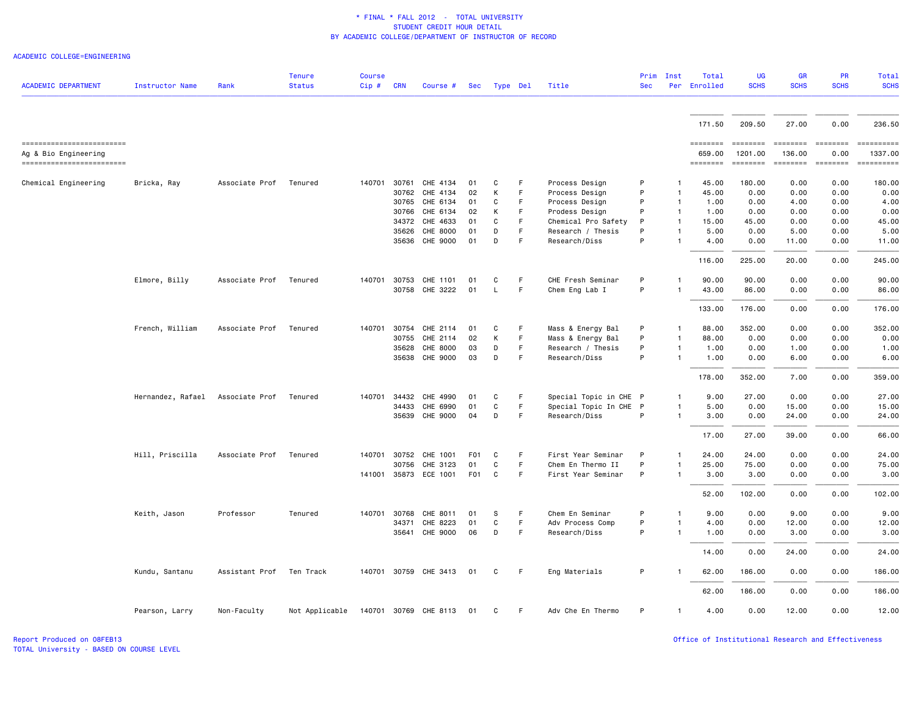#### ACADEMIC COLLEGE=ENGINEERING

| <b>ACADEMIC DEPARTMENT</b>                                                    | <b>Instructor Name</b>           | Rank           | <b>Tenure</b><br><b>Status</b> | <b>Course</b><br>Cip # | <b>CRN</b> | Course #              |                 | Sec Type Del |    | Title                  | Prim<br><b>Sec</b> | Inst         | Total<br>Per Enrolled                 | <b>UG</b><br><b>SCHS</b>                                                                                      | <b>GR</b><br><b>SCHS</b> | <b>PR</b><br><b>SCHS</b> | Total<br><b>SCHS</b>                                                                                                                                                                                                                                                                                                                                                                                                                                         |
|-------------------------------------------------------------------------------|----------------------------------|----------------|--------------------------------|------------------------|------------|-----------------------|-----------------|--------------|----|------------------------|--------------------|--------------|---------------------------------------|---------------------------------------------------------------------------------------------------------------|--------------------------|--------------------------|--------------------------------------------------------------------------------------------------------------------------------------------------------------------------------------------------------------------------------------------------------------------------------------------------------------------------------------------------------------------------------------------------------------------------------------------------------------|
|                                                                               |                                  |                |                                |                        |            |                       |                 |              |    |                        |                    |              |                                       |                                                                                                               |                          |                          |                                                                                                                                                                                                                                                                                                                                                                                                                                                              |
|                                                                               |                                  |                |                                |                        |            |                       |                 |              |    |                        |                    |              | 171.50                                | 209.50                                                                                                        | 27.00                    | 0.00                     | 236.50                                                                                                                                                                                                                                                                                                                                                                                                                                                       |
| -------------------------<br>Ag & Bio Engineering<br>------------------------ |                                  |                |                                |                        |            |                       |                 |              |    |                        |                    |              | ========<br>659.00<br><b>EDEDEDED</b> | $\begin{array}{c} \texttt{m} = \texttt{m} = \texttt{m} = \texttt{m} \end{array}$<br>1201.00<br><b>ESSESSE</b> | 136.00<br>========       | 0.00<br>$=$ ========     | $\begin{minipage}{0.9\linewidth} \hspace*{-0.2cm} \textbf{1} & \textbf{2} & \textbf{3} & \textbf{5} & \textbf{6} & \textbf{7} & \textbf{8} \\ \textbf{5} & \textbf{6} & \textbf{7} & \textbf{8} & \textbf{8} & \textbf{8} & \textbf{9} & \textbf{1} & \textbf{1} & \textbf{1} \\ \textbf{6} & \textbf{8} & \textbf{8} & \textbf{8} & \textbf{8} & \textbf{8} & \textbf{1} & \textbf{1} & \textbf{1} & \textbf{1} & \textbf{1} \\ \$<br>1337.00<br>========== |
| Chemical Engineering                                                          | Bricka, Ray                      | Associate Prof | Tenured                        | 140701                 | 30761      | CHE 4134              | 01              | C            | F  | Process Design         | P                  |              | 45.00                                 | 180.00                                                                                                        | 0.00                     | 0.00                     | 180.00                                                                                                                                                                                                                                                                                                                                                                                                                                                       |
|                                                                               |                                  |                |                                |                        |            | 30762 CHE 4134        | 02              | К            | F  | Process Design         | P                  | $\mathbf{1}$ | 45.00                                 | 0.00                                                                                                          | 0.00                     | 0.00                     | 0.00                                                                                                                                                                                                                                                                                                                                                                                                                                                         |
|                                                                               |                                  |                |                                |                        | 30765      | CHE 6134              | 01              | C            | F. | Process Design         | P                  |              | 1.00                                  | 0.00                                                                                                          | 4.00                     | 0.00                     | 4.00                                                                                                                                                                                                                                                                                                                                                                                                                                                         |
|                                                                               |                                  |                |                                |                        | 30766      | CHE 6134              | 02              | К            | F  | Prodess Design         | P                  | -1           | 1.00                                  | 0.00                                                                                                          | 0.00                     | 0.00                     | 0.00                                                                                                                                                                                                                                                                                                                                                                                                                                                         |
|                                                                               |                                  |                |                                |                        |            | 34372 CHE 4633        | 01              | C            | F. | Chemical Pro Safety    | P                  | -1           | 15.00                                 | 45.00                                                                                                         | 0.00                     | 0.00                     | 45.00                                                                                                                                                                                                                                                                                                                                                                                                                                                        |
|                                                                               |                                  |                |                                |                        | 35626      | CHE 8000              | 01              | D            | F  | Research / Thesis      | P                  |              | 5.00                                  | 0.00                                                                                                          | 5.00                     | 0.00                     | 5.00                                                                                                                                                                                                                                                                                                                                                                                                                                                         |
|                                                                               |                                  |                |                                |                        |            | 35636 CHE 9000        | 01              | D            | F  | Research/Diss          | P                  |              | 4.00                                  | 0.00                                                                                                          | 11.00                    | 0.00                     | 11.00                                                                                                                                                                                                                                                                                                                                                                                                                                                        |
|                                                                               |                                  |                |                                |                        |            |                       |                 |              |    |                        |                    |              | 116.00                                | 225.00                                                                                                        | 20.00                    | 0.00                     | 245.00                                                                                                                                                                                                                                                                                                                                                                                                                                                       |
|                                                                               | Elmore, Billy                    | Associate Prof | Tenured                        | 140701                 | 30753      | CHE 1101              | 01              | C            | F  | CHE Fresh Seminar      | P                  |              | 90.00                                 | 90.00                                                                                                         | 0.00                     | 0.00                     | 90.00                                                                                                                                                                                                                                                                                                                                                                                                                                                        |
|                                                                               |                                  |                |                                |                        | 30758      | CHE 3222              | 01              | L            | F. | Chem Eng Lab I         | P                  |              | 43.00                                 | 86.00                                                                                                         | 0.00                     | 0.00                     | 86.00                                                                                                                                                                                                                                                                                                                                                                                                                                                        |
|                                                                               |                                  |                |                                |                        |            |                       |                 |              |    |                        |                    |              | 133.00                                | 176.00                                                                                                        | 0.00                     | 0.00                     | 176.00                                                                                                                                                                                                                                                                                                                                                                                                                                                       |
|                                                                               | French, William                  | Associate Prof | Tenured                        | 140701                 | 30754      | CHE 2114              | 01              | C            | F  | Mass & Energy Bal      | P                  |              | 88.00                                 | 352.00                                                                                                        | 0.00                     | 0.00                     | 352.00                                                                                                                                                                                                                                                                                                                                                                                                                                                       |
|                                                                               |                                  |                |                                |                        | 30755      | CHE 2114              | 02              | К            | F  | Mass & Energy Bal      | P                  | $\mathbf{1}$ | 88.00                                 | 0.00                                                                                                          | 0.00                     | 0.00                     | 0.00                                                                                                                                                                                                                                                                                                                                                                                                                                                         |
|                                                                               |                                  |                |                                |                        | 35628      | CHE 8000              | 03              | D            | F  | Research / Thesis      | P                  |              | 1.00                                  | 0.00                                                                                                          | 1.00                     | 0.00                     | 1.00                                                                                                                                                                                                                                                                                                                                                                                                                                                         |
|                                                                               |                                  |                |                                |                        |            | 35638 CHE 9000        | 03              | D            | F  | Research/Diss          | P                  |              | 1.00                                  | 0.00                                                                                                          | 6.00                     | 0.00                     | 6.00                                                                                                                                                                                                                                                                                                                                                                                                                                                         |
|                                                                               |                                  |                |                                |                        |            |                       |                 |              |    |                        |                    |              | 178.00                                | 352.00                                                                                                        | 7.00                     | 0.00                     | 359.00                                                                                                                                                                                                                                                                                                                                                                                                                                                       |
|                                                                               | Hernandez, Rafael Associate Prof |                | Tenured                        | 140701                 | 34432      | CHE 4990              | 01              | C            | F  | Special Topic in CHE P |                    |              | 9.00                                  | 27.00                                                                                                         | 0.00                     | 0.00                     | 27.00                                                                                                                                                                                                                                                                                                                                                                                                                                                        |
|                                                                               |                                  |                |                                |                        | 34433      | CHE 6990              | 01              | C            | F  | Special Topic In CHE P |                    |              | 5.00                                  | 0.00                                                                                                          | 15.00                    | 0.00                     | 15.00                                                                                                                                                                                                                                                                                                                                                                                                                                                        |
|                                                                               |                                  |                |                                |                        |            | 35639 CHE 9000        | 04              | D            | F  | Research/Diss          | P                  |              | 3.00                                  | 0.00                                                                                                          | 24.00                    | 0.00                     | 24.00                                                                                                                                                                                                                                                                                                                                                                                                                                                        |
|                                                                               |                                  |                |                                |                        |            |                       |                 |              |    |                        |                    |              | 17.00                                 | 27.00                                                                                                         | 39.00                    | 0.00                     | 66.00                                                                                                                                                                                                                                                                                                                                                                                                                                                        |
|                                                                               | Hill, Priscilla                  | Associate Prof | Tenured                        | 140701                 | 30752      | CHE 1001              | F01             | C            | F  | First Year Seminar     | P                  |              | 24.00                                 | 24.00                                                                                                         | 0.00                     | 0.00                     | 24.00                                                                                                                                                                                                                                                                                                                                                                                                                                                        |
|                                                                               |                                  |                |                                |                        | 30756      | CHE 3123              | 01              | C            | F  | Chem En Thermo II      | P                  | $\mathbf{1}$ | 25.00                                 | 75.00                                                                                                         | 0.00                     | 0.00                     | 75.00                                                                                                                                                                                                                                                                                                                                                                                                                                                        |
|                                                                               |                                  |                |                                |                        |            | 141001 35873 ECE 1001 | F <sub>01</sub> | C            | F  | First Year Seminar     | P                  | $\mathbf{1}$ | 3.00                                  | 3.00                                                                                                          | 0.00                     | 0.00                     | 3.00                                                                                                                                                                                                                                                                                                                                                                                                                                                         |
|                                                                               |                                  |                |                                |                        |            |                       |                 |              |    |                        |                    |              | 52.00                                 | 102.00                                                                                                        | 0.00                     | 0.00                     | 102.00                                                                                                                                                                                                                                                                                                                                                                                                                                                       |
|                                                                               | Keith, Jason                     | Professor      | Tenured                        | 140701                 | 30768      | CHE 8011              | 01              | <b>S</b>     | F  | Chem En Seminar        | P                  |              | 9.00                                  | 0.00                                                                                                          | 9.00                     | 0.00                     | 9.00                                                                                                                                                                                                                                                                                                                                                                                                                                                         |
|                                                                               |                                  |                |                                |                        | 34371      | CHE 8223              | 01              | C            | F  | Adv Process Comp       | P                  | $\mathbf{1}$ | 4.00                                  | 0.00                                                                                                          | 12.00                    | 0.00                     | 12.00                                                                                                                                                                                                                                                                                                                                                                                                                                                        |
|                                                                               |                                  |                |                                |                        | 35641      | CHE 9000              | 06              | D            | F  | Research/Diss          | P                  | $\mathbf{1}$ | 1.00                                  | 0.00                                                                                                          | 3.00                     | 0.00                     | 3.00                                                                                                                                                                                                                                                                                                                                                                                                                                                         |
|                                                                               |                                  |                |                                |                        |            |                       |                 |              |    |                        |                    |              | 14.00                                 | 0.00                                                                                                          | 24.00                    | 0.00                     | 24.00                                                                                                                                                                                                                                                                                                                                                                                                                                                        |
|                                                                               | Kundu, Santanu                   | Assistant Prof | Ten Track                      |                        |            | 140701 30759 CHE 3413 | 01              | C            | F  | Eng Materials          | P                  |              | 62.00                                 | 186.00                                                                                                        | 0.00                     | 0.00                     | 186.00                                                                                                                                                                                                                                                                                                                                                                                                                                                       |
|                                                                               |                                  |                |                                |                        |            |                       |                 |              |    |                        |                    |              | 62.00                                 | 186.00                                                                                                        | 0.00                     | 0.00                     | 186.00                                                                                                                                                                                                                                                                                                                                                                                                                                                       |
|                                                                               | Pearson, Larry                   | Non-Faculty    | Not Applicable                 |                        |            | 140701 30769 CHE 8113 | 01              | C            | F. | Adv Che En Thermo      | P                  | $\mathbf{1}$ | 4.00                                  | 0.00                                                                                                          | 12.00                    | 0.00                     | 12.00                                                                                                                                                                                                                                                                                                                                                                                                                                                        |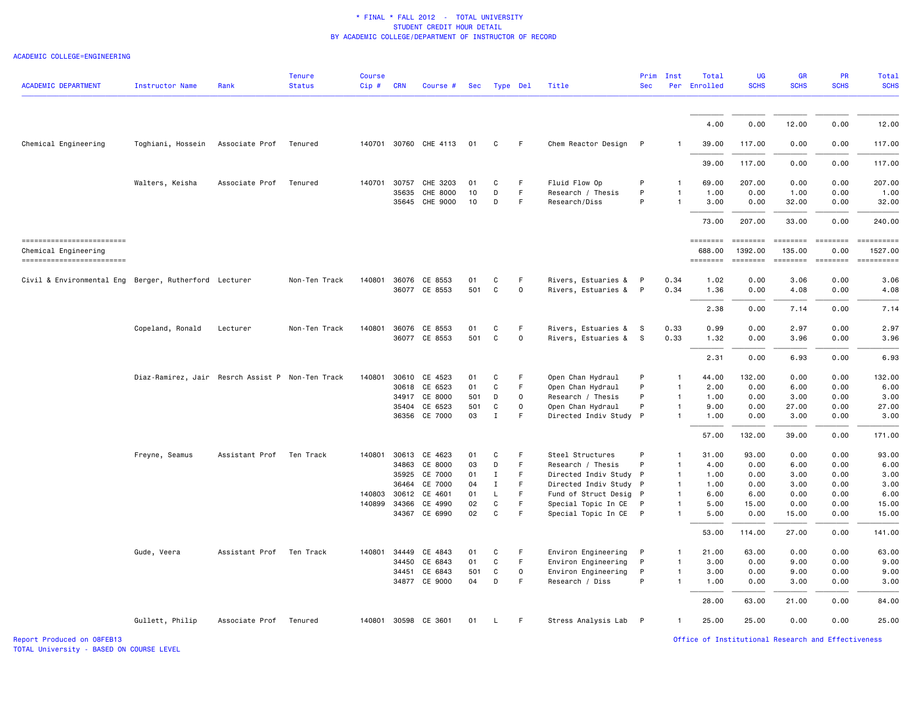### ACADEMIC COLLEGE=ENGINEERING

| <b>ACADEMIC DEPARTMENT</b>                            | Instructor Name                                  | Rank                     | <b>Tenure</b><br><b>Status</b> | <b>Course</b><br>Cip# | <b>CRN</b>     | Course #              |            | Sec Type Del      |                          | Title                                            | Prim<br><b>Sec</b> | Inst         | Total<br>Per Enrolled | <b>UG</b><br><b>SCHS</b> | <b>GR</b><br><b>SCHS</b> | PR<br><b>SCHS</b> | Total<br><b>SCHS</b>  |
|-------------------------------------------------------|--------------------------------------------------|--------------------------|--------------------------------|-----------------------|----------------|-----------------------|------------|-------------------|--------------------------|--------------------------------------------------|--------------------|--------------|-----------------------|--------------------------|--------------------------|-------------------|-----------------------|
|                                                       |                                                  |                          |                                |                       |                |                       |            |                   |                          |                                                  |                    |              | 4.00                  | 0.00                     | 12.00                    | 0.00              | 12.00                 |
| Chemical Engineering                                  | Toghiani, Hossein                                | Associate Prof           | Tenured                        |                       |                | 140701 30760 CHE 4113 | 01         | <sub>c</sub>      | F                        | Chem Reactor Design                              | P                  |              | 39.00                 | 117.00                   | 0.00                     | 0.00              | 117.00                |
|                                                       |                                                  |                          |                                |                       |                |                       |            |                   |                          |                                                  |                    |              | 39.00                 | 117.00                   | 0.00                     | 0.00              | 117.00                |
|                                                       |                                                  |                          |                                |                       |                |                       |            |                   |                          |                                                  |                    |              |                       |                          |                          |                   |                       |
|                                                       | Walters, Keisha                                  | Associate Prof           | Tenured                        | 140701                | 30757<br>35635 | CHE 3203<br>CHE 8000  | 01<br>10   | C<br>D            | F<br>F                   | Fluid Flow Op<br>Research / Thesis               | P<br>P             |              | 69.00<br>1.00         | 207.00<br>0.00           | 0.00<br>1.00             | 0.00<br>0.00      | 207.00<br>1.00        |
|                                                       |                                                  |                          |                                |                       | 35645          | CHE 9000              | 10         | D                 | F.                       | Research/Diss                                    | P                  |              | 3.00                  | 0.00                     | 32.00                    | 0.00              | 32.00                 |
|                                                       |                                                  |                          |                                |                       |                |                       |            |                   |                          |                                                  |                    |              | 73.00                 | 207.00                   | 33.00                    | 0.00              | 240.00                |
| -------------------------<br>Chemical Engineering     |                                                  |                          |                                |                       |                |                       |            |                   |                          |                                                  |                    |              | ========<br>688.00    | 1392.00                  | <b>ESSESSE</b><br>135.00 | 0.00              | ==========<br>1527.00 |
| ------------------------                              |                                                  |                          |                                |                       |                |                       |            |                   |                          |                                                  |                    |              | ========              | ========                 | ========                 |                   |                       |
| Civil & Environmental Eng Berger, Rutherford Lecturer |                                                  |                          | Non-Ten Track                  | 140801                |                | 36076 CE 8553         | 01         | C                 | F                        | Rivers, Estuaries &                              | $\mathsf{P}$       | 0.34         | 1.02                  | 0.00                     | 3.06                     | 0.00              | 3.06                  |
|                                                       |                                                  |                          |                                |                       |                | 36077 CE 8553         | 501        | C                 | $\mathsf{O}\xspace$      | Rivers, Estuaries &                              | $\mathsf{P}$       | 0.34         | 1.36                  | 0.00                     | 4.08                     | 0.00              | 4.08                  |
|                                                       |                                                  |                          |                                |                       |                |                       |            |                   |                          |                                                  |                    |              | 2.38                  | 0.00                     | 7.14                     | 0.00              | 7.14                  |
|                                                       | Copeland, Ronald                                 | Lecturer                 | Non-Ten Track                  | 140801                | 36076          | CE 8553               | 01         | C                 | F                        | Rivers, Estuaries &                              | s                  | 0.33         | 0.99                  | 0.00                     | 2.97                     | 0.00              | 2.97                  |
|                                                       |                                                  |                          |                                |                       |                | 36077 CE 8553         | 501        | C                 | 0                        | Rivers, Estuaries &                              | - S                | 0.33         | 1.32                  | 0.00                     | 3.96                     | 0.00              | 3.96                  |
|                                                       |                                                  |                          |                                |                       |                |                       |            |                   |                          |                                                  |                    |              | 2.31                  | 0.00                     | 6.93                     | 0.00              | 6.93                  |
|                                                       | Diaz-Ramirez, Jair Resrch Assist P Non-Ten Track |                          |                                | 140801                | 30610          | CE 4523               | 01         | C                 | F                        | Open Chan Hydraul                                | P                  |              | 44.00                 | 132.00                   | 0.00                     | 0.00              | 132.00                |
|                                                       |                                                  |                          |                                |                       | 30618          | CE 6523               | 01         | C                 | F.                       | Open Chan Hydraul                                | P                  |              | 2.00                  | 0.00                     | 6.00                     | 0.00              | 6.00                  |
|                                                       |                                                  |                          |                                |                       | 34917          | CE 8000<br>CE 6523    | 501<br>501 | D<br>$\mathtt{C}$ | 0<br>$\mathsf{O}\xspace$ | Research / Thesis                                | P<br>P             | -1           | 1.00                  | 0.00<br>0.00             | 3.00                     | 0.00<br>0.00      | 3.00<br>27.00         |
|                                                       |                                                  |                          |                                |                       | 35404          | 36356 CE 7000         | 03         | $\mathbf I$       | F                        | Open Chan Hydraul<br>Directed Indiv Study P      |                    |              | 9.00<br>1.00          | 0.00                     | 27.00<br>3.00            | 0.00              | 3.00                  |
|                                                       |                                                  |                          |                                |                       |                |                       |            |                   |                          |                                                  |                    |              | 57.00                 | 132.00                   | 39.00                    | 0.00              | 171.00                |
|                                                       |                                                  |                          |                                |                       |                |                       |            |                   |                          |                                                  |                    |              |                       |                          |                          |                   |                       |
|                                                       | Freyne, Seamus                                   | Assistant Prof Ten Track |                                | 140801                |                | 30613 CE 4623         | 01         | C                 | F                        | Steel Structures                                 | P                  |              | 31.00                 | 93.00                    | 0.00                     | 0.00              | 93.00                 |
|                                                       |                                                  |                          |                                |                       | 34863          | CE 8000               | 03         | D                 | F<br>F                   | Research / Thesis                                | P                  | -1           | 4.00                  | 0.00                     | 6.00                     | 0.00              | 6.00                  |
|                                                       |                                                  |                          |                                |                       | 35925<br>36464 | CE 7000<br>CE 7000    | 01<br>04   | Ι.<br>Ι.          | F                        | Directed Indiv Study P<br>Directed Indiv Study P |                    |              | 1.00<br>1.00          | 0.00<br>0.00             | 3.00<br>3.00             | 0.00<br>0.00      | 3.00<br>3.00          |
|                                                       |                                                  |                          |                                | 140803                | 30612          | CE 4601               | 01         | L                 | F                        | Fund of Struct Desig P                           |                    |              | 6.00                  | 6.00                     | 0.00                     | 0.00              | 6.00                  |
|                                                       |                                                  |                          |                                | 140899                | 34366          | CE 4990               | 02         | C                 | F.                       | Special Topic In CE                              | $\mathsf{P}$       |              | 5.00                  | 15.00                    | 0.00                     | 0.00              | 15.00                 |
|                                                       |                                                  |                          |                                |                       | 34367          | CE 6990               | 02         | C                 | F                        | Special Topic In CE P                            |                    |              | 5.00                  | 0.00                     | 15.00                    | 0.00              | 15.00                 |
|                                                       |                                                  |                          |                                |                       |                |                       |            |                   |                          |                                                  |                    |              | 53.00                 | 114.00                   | 27.00                    | 0.00              | 141.00                |
|                                                       | Gude, Veera                                      | Assistant Prof           | Ten Track                      | 140801                | 34449          | CE 4843               | 01         | C                 | F                        | Environ Engineering                              | P                  |              | 21.00                 | 63.00                    | 0.00                     | 0.00              | 63.00                 |
|                                                       |                                                  |                          |                                |                       | 34450          | CE 6843               | 01         | C                 | F.                       | Environ Engineering                              | P                  | $\mathbf{1}$ | 3.00                  | 0.00                     | 9.00                     | 0.00              | 9.00                  |
|                                                       |                                                  |                          |                                |                       | 34451          | CE 6843               | 501        | C                 | 0                        | Environ Engineering                              | P                  |              | 3.00                  | 0.00                     | 9.00                     | 0.00              | 9.00                  |
|                                                       |                                                  |                          |                                |                       | 34877          | CE 9000               | 04         | D                 | F                        | Research / Diss                                  | P                  | $\mathbf{1}$ | 1.00                  | 0.00                     | 3.00                     | 0.00              | 3.00                  |
|                                                       |                                                  |                          |                                |                       |                |                       |            |                   |                          |                                                  |                    |              | 28.00                 | 63.00                    | 21.00                    | 0.00              | 84.00                 |
|                                                       | Gullett, Philip                                  | Associate Prof Tenured   |                                |                       |                | 140801 30598 CE 3601  | 01         | L                 | F                        | Stress Analysis Lab                              | $\mathsf{P}$       | -1           | 25.00                 | 25.00                    | 0.00                     | 0.00              | 25.00                 |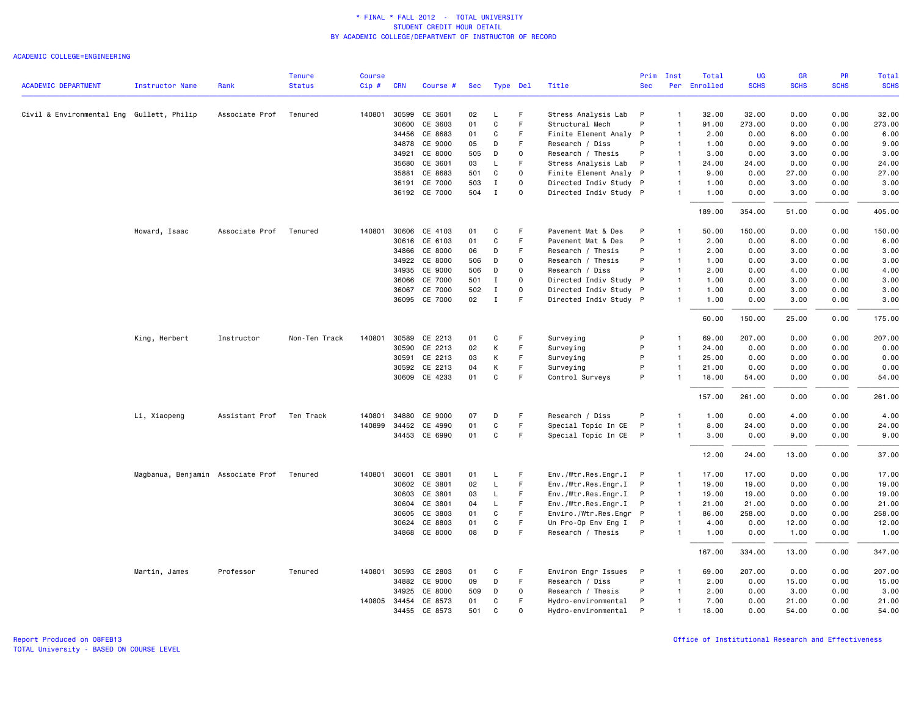### ACADEMIC COLLEGE=ENGINEERING

|                                           |                                           |                          | <b>Tenure</b> | <b>Course</b> |              |               |                 |              |             |                        | Prim       | Inst           | Total        | UG          | GR          | PR          | <b>Total</b> |
|-------------------------------------------|-------------------------------------------|--------------------------|---------------|---------------|--------------|---------------|-----------------|--------------|-------------|------------------------|------------|----------------|--------------|-------------|-------------|-------------|--------------|
| <b>ACADEMIC DEPARTMENT</b>                | <b>Instructor Name</b>                    | Rank                     | <b>Status</b> | Cip#          | <b>CRN</b>   | Course #      | <b>Sec</b>      |              | Type Del    | Title                  | <b>Sec</b> |                | Per Enrolled | <b>SCHS</b> | <b>SCHS</b> | <b>SCHS</b> | <b>SCHS</b>  |
| Civil & Environmental Eng Gullett, Philip |                                           | Associate Prof           | Tenured       | 140801        | 30599        | CE 3601       | 02              | L            | F           | Stress Analysis Lab    | P          | $\mathbf{1}$   | 32.00        | 32.00       | 0.00        | 0.00        | 32.00        |
|                                           |                                           |                          |               |               | 30600        | CE 3603       | 01              | C            | F.          | Structural Mech        | P          | $\mathbf{1}$   | 91.00        | 273.00      | 0.00        | 0.00        | 273.00       |
|                                           |                                           |                          |               |               | 34456        | CE 8683       | 01              | C            | F           | Finite Element Analy P |            | $\mathbf{1}$   | 2.00         | 0.00        | 6.00        | 0.00        | 6.00         |
|                                           |                                           |                          |               |               |              | 34878 CE 9000 | 05              | D            | F           | Research / Diss        | P          | $\mathbf{1}$   | 1.00         | 0.00        | 9.00        | 0.00        | 9.00         |
|                                           |                                           |                          |               |               | 34921        | CE 8000       | 505             | D            | $\Omega$    | Research / Thesis      | P          | $\overline{1}$ | 3.00         | 0.00        | 3.00        | 0.00        | 3.00         |
|                                           |                                           |                          |               |               | 35680        | CE 3601       | 03              | L            | F           | Stress Analysis Lab    | P          | $\mathbf{1}$   | 24.00        | 24.00       | 0.00        | 0.00        | 24.00        |
|                                           |                                           |                          |               |               | 35881        | CE 8683       | 501             | C            | $\Omega$    | Finite Element Analy P |            | $\mathbf{1}$   | 9.00         | 0.00        | 27.00       | 0.00        | 27.00        |
|                                           |                                           |                          |               |               | 36191        | CE 7000       | 503             | $\mathbf I$  | $\mathbf 0$ | Directed Indiv Study P |            | $\mathbf{1}$   | 1.00         | 0.00        | 3.00        | 0.00        | 3.00         |
|                                           |                                           |                          |               |               |              | 36192 CE 7000 | 504             | $\mathbf{I}$ | $\Omega$    | Directed Indiv Study P |            | $\mathbf{1}$   | 1.00         | 0.00        | 3.00        | 0.00        | 3.00         |
|                                           |                                           |                          |               |               |              |               |                 |              |             |                        |            |                | 189.00       | 354.00      | 51.00       | 0.00        | 405.00       |
|                                           | Howard, Isaac                             | Associate Prof           | Tenured       | 140801        |              | 30606 CE 4103 | 01              | C            | F           | Pavement Mat & Des     | P          | $\mathbf{1}$   | 50.00        | 150.00      | 0.00        | 0.00        | 150.00       |
|                                           |                                           |                          |               |               |              | 30616 CE 6103 | 01              | C            | F           | Pavement Mat & Des     | P          | $\mathbf{1}$   | 2.00         | 0.00        | 6.00        | 0.00        | 6.00         |
|                                           |                                           |                          |               |               | 34866        | CE 8000       | 06              | D            | F           | Research / Thesis      | P          | $\mathbf{1}$   | 2.00         | 0.00        | 3.00        | 0.00        | 3.00         |
|                                           |                                           |                          |               |               |              | 34922 CE 8000 | 506             | D            | $\Omega$    | Research / Thesis      | P          | $\mathbf{1}$   | 1.00         | 0.00        | 3.00        | 0.00        | 3.00         |
|                                           |                                           |                          |               |               | 34935        | CE 9000       | 506             | D            | $\Omega$    | Research / Diss        | P          | $\mathbf{1}$   | 2.00         | 0.00        | 4.00        | 0.00        | 4.00         |
|                                           |                                           |                          |               |               | 36066        | CE 7000       | 501             | $\mathbf I$  | $\Omega$    | Directed Indiv Study P |            | $\mathbf{1}$   | 1.00         | 0.00        | 3.00        | 0.00        | 3.00         |
|                                           |                                           |                          |               |               | 36067        | CE 7000       | 502             | $\mathbf I$  | $\Omega$    | Directed Indiv Study P |            | $\mathbf{1}$   | 1.00         | 0.00        | 3.00        | 0.00        | 3.00         |
|                                           |                                           |                          |               |               |              | 36095 CE 7000 | 02 <sub>2</sub> | $\mathbf I$  | F           | Directed Indiv Study P |            | $\mathbf{1}$   | 1.00         | 0.00        | 3.00        | 0.00        | 3.00         |
|                                           |                                           |                          |               |               |              |               |                 |              |             |                        |            |                | 60.00        | 150.00      | 25.00       | 0.00        | 175.00       |
|                                           | King, Herbert                             | Instructor               | Non-Ten Track | 140801        | 30589        | CE 2213       | 01              | C            | F           | Surveying              | P          | $\overline{1}$ | 69.00        | 207.00      | 0.00        | 0.00        | 207.00       |
|                                           |                                           |                          |               |               | 30590        | CE 2213       | 02              | K            | F           | Surveying              | P          | $\mathbf{1}$   | 24.00        | 0.00        | 0.00        | 0.00        | 0.00         |
|                                           |                                           |                          |               |               | 30591        | CE 2213       | 03              | К            | F           | Surveying              | P          | $\mathbf{1}$   | 25.00        | 0.00        | 0.00        | 0.00        | 0.00         |
|                                           |                                           |                          |               |               | 30592        | CE 2213       | 04              | К            | F.          | Surveying              | P          | $\mathbf{1}$   | 21.00        | 0.00        | 0.00        | 0.00        | 0.00         |
|                                           |                                           |                          |               |               |              | 30609 CE 4233 | 01              | C            | F           | Control Surveys        | P          | $\mathbf{1}$   | 18.00        | 54.00       | 0.00        | 0.00        | 54.00        |
|                                           |                                           |                          |               |               |              |               |                 |              |             |                        |            |                | 157.00       | 261.00      | 0.00        | 0.00        | 261.00       |
|                                           | Li, Xiaopeng                              | Assistant Prof Ten Track |               | 140801        | 34880        | CE 9000       | 07              | D            | F           | Research / Diss        | P          | $\mathbf{1}$   | 1.00         | 0.00        | 4.00        | 0.00        | 4.00         |
|                                           |                                           |                          |               | 140899        | 34452        | CE 4990       | 01              | C            | F           | Special Topic In CE    | P          | $\mathbf{1}$   | 8.00         | 24.00       | 0.00        | 0.00        | 24.00        |
|                                           |                                           |                          |               |               |              | 34453 CE 6990 | 01              | $\mathtt{C}$ | F           | Special Topic In CE P  |            | $\mathbf{1}$   | 3.00         | 0.00        | 9.00        | 0.00        | 9.00         |
|                                           |                                           |                          |               |               |              |               |                 |              |             |                        |            |                | 12.00        | 24.00       | 13.00       | 0.00        | 37.00        |
|                                           | Magbanua, Benjamin Associate Prof Tenured |                          |               | 140801        | 30601        | CE 3801       | 01              | L.           | F           | Env./Wtr.Res.Engr.I P  |            | $\mathbf{1}$   | 17.00        | 17.00       | 0.00        | 0.00        | 17.00        |
|                                           |                                           |                          |               |               | 30602        | CE 3801       | 02              | L            | F.          | Env./Wtr.Res.Engr.I P  |            | $\overline{1}$ | 19.00        | 19,00       | 0.00        | 0.00        | 19.00        |
|                                           |                                           |                          |               |               | 30603        | CE 3801       | 03              | L            | F           | Env./Wtr.Res.Engr.I P  |            | $\overline{1}$ | 19.00        | 19.00       | 0.00        | 0.00        | 19.00        |
|                                           |                                           |                          |               |               | 30604        | CE 3801       | 04              | L            | F           | Env./Wtr.Res.Engr.I    | P          | $\mathbf{1}$   | 21.00        | 21.00       | 0.00        | 0.00        | 21.00        |
|                                           |                                           |                          |               |               | 30605        | CE 3803       | 01              | C            | F           | Enviro./Wtr.Res.Engr P |            | $\overline{1}$ | 86.00        | 258.00      | 0.00        | 0.00        | 258.00       |
|                                           |                                           |                          |               |               | 30624        | CE 8803       | 01              | C            | F.          | Un Pro-Op Env Eng I    | P          | $\mathbf{1}$   | 4.00         | 0.00        | 12.00       | 0.00        | 12.00        |
|                                           |                                           |                          |               |               |              | 34868 CE 8000 | 08              | D            | F           | Research / Thesis      | P          | $\mathbf{1}$   | 1.00         | 0.00        | 1.00        | 0.00        | 1.00         |
|                                           |                                           |                          |               |               |              |               |                 |              |             |                        |            |                | 167.00       | 334.00      | 13.00       | 0.00        | 347.00       |
|                                           | Martin, James                             | Professor                | Tenured       | 140801        | 30593        | CE 2803       | 01              | C            | F           | Environ Engr Issues    | P          | $\mathbf{1}$   | 69.00        | 207.00      | 0.00        | 0.00        | 207.00       |
|                                           |                                           |                          |               |               |              | 34882 CE 9000 | 09              | D            | F.          | Research / Diss        | P          | $\mathbf{1}$   | 2.00         | 0.00        | 15.00       | 0.00        | 15.00        |
|                                           |                                           |                          |               |               | 34925        | CE 8000       | 509             | D            | 0           | Research / Thesis      | P          | $\mathbf{1}$   | 2.00         | 0.00        | 3.00        | 0.00        | 3.00         |
|                                           |                                           |                          |               |               | 140805 34454 | CE 8573       | 01              | C            | F           | Hydro-environmental    | P          | $\overline{1}$ | 7.00         | 0.00        | 21.00       | 0.00        | 21.00        |
|                                           |                                           |                          |               |               |              | 34455 CE 8573 | 501             | C            | $\Omega$    | Hydro-environmental    | P          | 1              | 18.00        | 0.00        | 54.00       | 0.00        | 54.00        |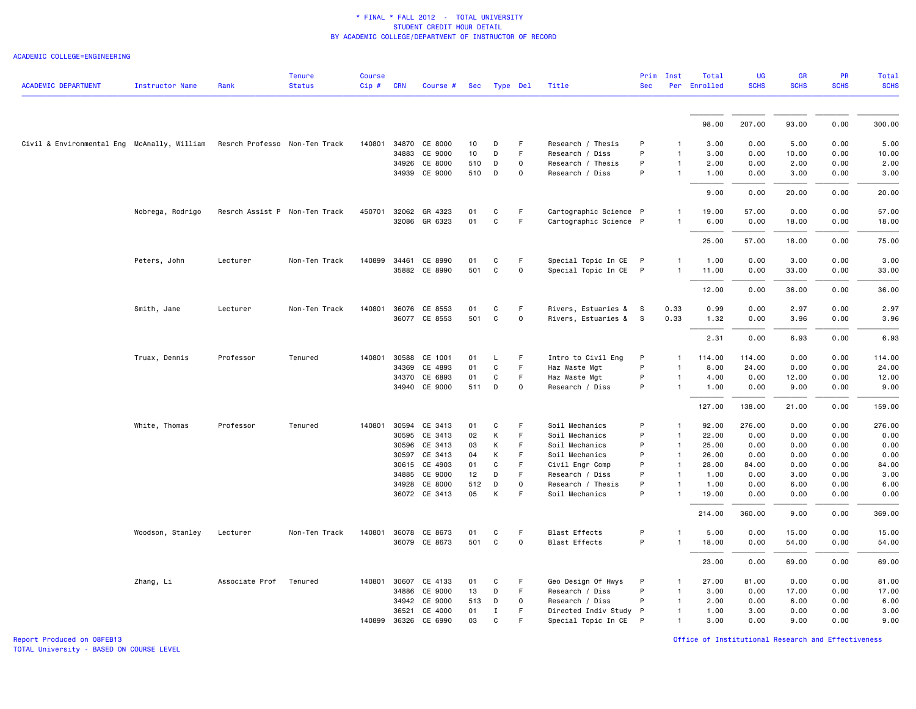### ACADEMIC COLLEGE=ENGINEERING

| <b>ACADEMIC DEPARTMENT</b>                  | <b>Instructor Name</b> | Rank                          | <b>Tenure</b><br><b>Status</b> | <b>Course</b><br>Cip# | <b>CRN</b>   | Course #                 | Sec      | Type Del     |                     | Title                              | Prim<br><b>Sec</b> | Inst                           | Total<br>Per Enrolled | <b>UG</b><br><b>SCHS</b> | GR<br><b>SCHS</b> | PR<br><b>SCHS</b> | <b>Total</b><br><b>SCHS</b> |
|---------------------------------------------|------------------------|-------------------------------|--------------------------------|-----------------------|--------------|--------------------------|----------|--------------|---------------------|------------------------------------|--------------------|--------------------------------|-----------------------|--------------------------|-------------------|-------------------|-----------------------------|
|                                             |                        |                               |                                |                       |              |                          |          |              |                     |                                    |                    |                                |                       |                          |                   |                   |                             |
|                                             |                        |                               |                                |                       |              |                          |          |              |                     |                                    |                    |                                | 98.00                 | 207.00                   | 93.00             | 0.00              | 300.00                      |
| Civil & Environmental Eng McAnally, William |                        | Resrch Professo Non-Ten Track |                                |                       |              | 140801 34870 CE 8000     | 10       | D            | F                   | Research / Thesis                  | P                  | -1                             | 3.00                  | 0.00                     | 5.00              | 0.00              | 5.00                        |
|                                             |                        |                               |                                |                       | 34883        | CE 9000                  | 10       | D            | F                   | Research / Diss                    | P                  | $\mathbf{1}$                   | 3.00                  | 0.00                     | 10.00             | 0.00              | 10.00                       |
|                                             |                        |                               |                                |                       |              | 34926 CE 8000            | 510      | D            | $\mathbf 0$         | Research / Thesis                  | P                  | $\mathbf{1}$                   | 2.00                  | 0.00                     | 2.00              | 0.00              | 2.00                        |
|                                             |                        |                               |                                |                       |              | 34939 CE 9000            | 510      | D            | 0                   | Research / Diss                    | P                  | $\mathbf{1}$                   | 1.00                  | 0.00                     | 3.00              | 0.00              | 3.00                        |
|                                             |                        |                               |                                |                       |              |                          |          |              |                     |                                    |                    |                                | 9.00                  | 0.00                     | 20.00             | 0.00              | 20.00                       |
|                                             | Nobrega, Rodrigo       | Resrch Assist P Non-Ten Track |                                |                       | 450701 32062 | GR 4323                  | 01       | C            | F                   | Cartographic Science P             |                    | $\mathbf{1}$                   | 19.00                 | 57.00                    | 0.00              | 0.00              | 57.00                       |
|                                             |                        |                               |                                |                       |              | 32086 GR 6323            | 01       | C            | F.                  | Cartographic Science P             |                    | $\mathbf{1}$                   | 6.00                  | 0.00                     | 18.00             | 0.00              | 18.00                       |
|                                             |                        |                               |                                |                       |              |                          |          |              |                     |                                    |                    |                                | 25.00                 | 57.00                    | 18.00             | 0.00              | 75.00                       |
|                                             | Peters, John           | Lecturer                      | Non-Ten Track                  | 140899                | 34461        | CE 8990                  | 01       | C            | F                   | Special Topic In CE P              |                    | $\mathbf{1}$                   | 1.00                  | 0.00                     | 3.00              | 0.00              | 3.00                        |
|                                             |                        |                               |                                |                       |              | 35882 CE 8990            | 501      | C            | 0                   | Special Topic In CE P              |                    | $\mathbf{1}$                   | 11.00                 | 0.00                     | 33.00             | 0.00              | 33.00                       |
|                                             |                        |                               |                                |                       |              |                          |          |              |                     |                                    |                    |                                | 12.00                 | 0.00                     | 36.00             | 0.00              | 36.00                       |
|                                             | Smith, Jane            | Lecturer                      | Non-Ten Track                  | 140801                | 36076        | CE 8553                  | 01       | C            | F.                  | Rivers, Estuaries &                | s                  | 0.33                           | 0.99                  | 0.00                     | 2.97              | 0.00              | 2.97                        |
|                                             |                        |                               |                                |                       |              | 36077 CE 8553            | 501      | C            | 0                   | Rivers, Estuaries & S              |                    | 0.33                           | 1.32                  | 0.00                     | 3.96              | 0.00              | 3.96                        |
|                                             |                        |                               |                                |                       |              |                          |          |              |                     |                                    |                    |                                | 2.31                  | 0.00                     | 6.93              | 0.00              | 6.93                        |
|                                             | Truax, Dennis          | Professor                     | Tenured                        | 140801                | 30588        | CE 1001                  | 01       | L            | F                   | Intro to Civil Eng                 | P                  | $\mathbf{1}$                   | 114.00                | 114.00                   | 0.00              | 0.00              | 114.00                      |
|                                             |                        |                               |                                |                       | 34369        | CE 4893                  | 01       | $\mathtt{C}$ | F.                  | Haz Waste Mgt                      | P                  |                                | 8.00                  | 24.00                    | 0.00              | 0.00              | 24.00                       |
|                                             |                        |                               |                                |                       |              | 34370 CE 6893            | 01       | C            | F                   | Haz Waste Mgt                      | P                  | $\mathbf{1}$                   | 4.00                  | 0.00                     | 12.00             | 0.00              | 12.00                       |
|                                             |                        |                               |                                |                       |              | 34940 CE 9000            | 511      | D            | $\Omega$            | Research / Diss                    | P                  | $\mathbf{1}$                   | 1.00                  | 0.00                     | 9.00              | 0.00              | 9.00                        |
|                                             |                        |                               |                                |                       |              |                          |          |              |                     |                                    |                    |                                | 127.00                | 138.00                   | 21.00             | 0.00              | 159.00                      |
|                                             | White, Thomas          | Professor                     | Tenured                        | 140801                | 30594        | CE 3413                  | 01       | C            | F.                  | Soil Mechanics                     | P                  | -1                             | 92.00                 | 276.00                   | 0.00              | 0.00              | 276.00                      |
|                                             |                        |                               |                                |                       | 30595        | CE 3413                  | 02       | К            | F                   | Soil Mechanics                     | P                  | $\mathbf{1}$                   | 22.00                 | 0.00                     | 0.00              | 0.00              | 0.00                        |
|                                             |                        |                               |                                |                       |              | 30596 CE 3413            | 03       | K            | F.                  | Soil Mechanics                     | P                  | $\mathbf{1}$                   | 25.00                 | 0.00                     | 0.00              | 0.00              | 0.00                        |
|                                             |                        |                               |                                |                       | 30597        | CE 3413                  | 04       | К            | F.<br>F             | Soil Mechanics                     | P<br>P             | $\overline{1}$                 | 26.00                 | 0.00                     | 0.00              | 0.00              | 0.00                        |
|                                             |                        |                               |                                |                       | 34885        | 30615 CE 4903<br>CE 9000 | 01<br>12 | C<br>D       | F.                  | Civil Engr Comp<br>Research / Diss | P                  | $\mathbf{1}$<br>$\overline{1}$ | 28.00<br>1.00         | 84.00<br>0.00            | 0.00<br>3.00      | 0.00<br>0.00      | 84.00<br>3.00               |
|                                             |                        |                               |                                |                       | 34928        | CE 8000                  | 512      | D            | 0                   | Research / Thesis                  | P                  | $\mathbf{1}$                   | 1.00                  | 0.00                     | 6.00              | 0.00              | 6.00                        |
|                                             |                        |                               |                                |                       |              | 36072 CE 3413            | 05       | К            | F                   | Soil Mechanics                     | P                  | $\overline{1}$                 | 19.00                 | 0.00                     | 0.00              | 0.00              | 0.00                        |
|                                             |                        |                               |                                |                       |              |                          |          |              |                     |                                    |                    |                                | 214.00                | 360.00                   | 9.00              | 0.00              | 369.00                      |
|                                             | Woodson, Stanley       | Lecturer                      | Non-Ten Track                  |                       |              | 140801 36078 CE 8673     | 01       | C            | F                   | <b>Blast Effects</b>               | P                  | 1                              | 5.00                  | 0.00                     | 15.00             | 0.00              | 15.00                       |
|                                             |                        |                               |                                |                       |              | 36079 CE 8673            | 501      | $\mathtt{C}$ | $\mathsf{O}\xspace$ | <b>Blast Effects</b>               | P                  | $\mathbf{1}$                   | 18.00                 | 0.00                     | 54.00             | 0.00              | 54.00                       |
|                                             |                        |                               |                                |                       |              |                          |          |              |                     |                                    |                    |                                | 23.00                 | 0.00                     | 69.00             | 0.00              | 69.00                       |
|                                             | Zhang, Li              | Associate Prof                | Tenured                        | 140801                | 30607        | CE 4133                  | 01       | C            | F.                  | Geo Design Of Hwys                 | P                  | 1                              | 27.00                 | 81.00                    | 0.00              | 0.00              | 81.00                       |
|                                             |                        |                               |                                |                       | 34886        | CE 9000                  | 13       | D            | F                   | Research / Diss                    | P                  | $\mathbf{1}$                   | 3.00                  | 0.00                     | 17.00             | 0.00              | 17.00                       |
|                                             |                        |                               |                                |                       | 34942        | CE 9000                  | 513      | D            | $\mathbf 0$         | Research / Diss                    | P                  | $\mathbf{1}$                   | 2.00                  | 0.00                     | 6.00              | 0.00              | 6.00                        |
|                                             |                        |                               |                                |                       | 36521        | CE 4000                  | 01       | Ι            | F                   | Directed Indiv Study P             |                    | $\mathbf{1}$                   | 1.00                  | 3.00                     | 0.00              | 0.00              | 3.00                        |
|                                             |                        |                               |                                |                       |              | 140899 36326 CE 6990     | 03       | C            | F                   | Special Topic In CE P              |                    | $\mathbf{1}$                   | 3.00                  | 0.00                     | 9.00              | 0.00              | 9.00                        |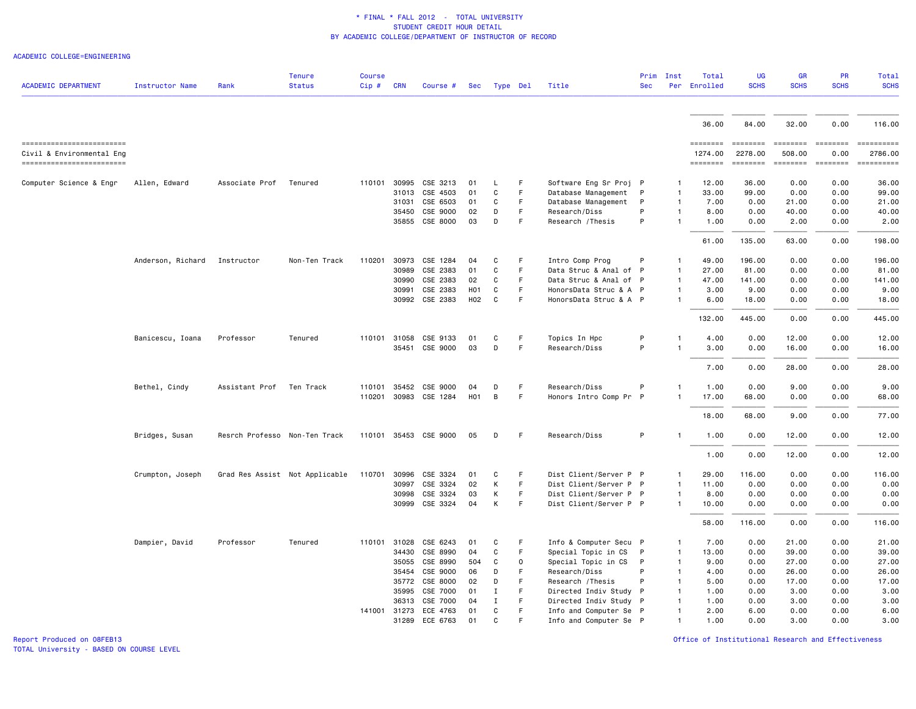ACADEMIC COLLEGE=ENGINEERING

|                            |                        |                               | <b>Tenure</b>                  | <b>Course</b> |              |                       |                  |             |              |                        | Prim         | Inst         | Total        | <b>UG</b>   | <b>GR</b>   | <b>PR</b>        | Total       |
|----------------------------|------------------------|-------------------------------|--------------------------------|---------------|--------------|-----------------------|------------------|-------------|--------------|------------------------|--------------|--------------|--------------|-------------|-------------|------------------|-------------|
| <b>ACADEMIC DEPARTMENT</b> | <b>Instructor Name</b> | Rank                          | <b>Status</b>                  | Cip#          | <b>CRN</b>   | Course #              | Sec              |             | Type Del     | Title                  | <b>Sec</b>   |              | Per Enrolled | <b>SCHS</b> | <b>SCHS</b> | <b>SCHS</b>      | <b>SCHS</b> |
|                            |                        |                               |                                |               |              |                       |                  |             |              |                        |              |              |              |             |             |                  |             |
|                            |                        |                               |                                |               |              |                       |                  |             |              |                        |              |              | 36.00        | 84.00       | 32.00       | 0.00             | 116.00      |
| ------------------------   |                        |                               |                                |               |              |                       |                  |             |              |                        |              |              | ========     | ========    | ========    | ========         |             |
| Civil & Environmental Eng  |                        |                               |                                |               |              |                       |                  |             |              |                        |              |              | 1274.00      | 2278.00     | 508.00      | 0.00             | 2786.00     |
| -------------------------  |                        |                               |                                |               |              |                       |                  |             |              |                        |              |              | ========     | ========    |             | ======== ======= |             |
| Computer Science & Engr    | Allen, Edward          | Associate Prof                | Tenured                        | 110101        | 30995        | CSE 3213              | 01               | L           | F            | Software Eng Sr Proj P |              | 1            | 12.00        | 36.00       | 0.00        | 0.00             | 36.00       |
|                            |                        |                               |                                |               | 31013        | CSE 4503              | 01               | C           | F            | Database Management    | P            | $\mathbf{1}$ | 33.00        | 99.00       | 0.00        | 0.00             | 99.00       |
|                            |                        |                               |                                |               | 31031        | CSE 6503              | 01               | C           | $\mathsf F$  | Database Management    | P            | -1           | 7.00         | 0.00        | 21.00       | 0.00             | 21.00       |
|                            |                        |                               |                                |               | 35450        | CSE 9000              | 02               | D           | F            | Research/Diss          | P            | 1            | 8.00         | 0.00        | 40.00       | 0.00             | 40.00       |
|                            |                        |                               |                                |               |              | 35855 CSE 8000        | 03               | D           | F            | Research / Thesis      | P            |              | 1.00         | 0.00        | 2.00        | 0.00             | 2.00        |
|                            |                        |                               |                                |               |              |                       |                  |             |              |                        |              |              | 61.00        | 135.00      | 63.00       | 0.00             | 198.00      |
|                            | Anderson, Richard      | Instructor                    | Non-Ten Track                  | 110201        | 30973        | CSE 1284              | 04               | C           | F            | Intro Comp Prog        | P            | -1           | 49.00        | 196.00      | 0.00        | 0.00             | 196.00      |
|                            |                        |                               |                                |               | 30989        | CSE 2383              | 01               | C           | F            | Data Struc & Anal of P |              | $\mathbf{1}$ | 27.00        | 81.00       | 0.00        | 0.00             | 81.00       |
|                            |                        |                               |                                |               | 30990        | CSE 2383              | 02               | C           | F            | Data Struc & Anal of P |              | 1            | 47.00        | 141.00      | 0.00        | 0.00             | 141.00      |
|                            |                        |                               |                                |               | 30991        | CSE 2383              | H <sub>0</sub> 1 | C           | F            | HonorsData Struc & A P |              | $\mathbf{1}$ | 3.00         | 9.00        | 0.00        | 0.00             | 9.00        |
|                            |                        |                               |                                |               |              | 30992 CSE 2383        | H02              | C           | F            | HonorsData Struc & A P |              |              | 6.00         | 18,00       | 0.00        | 0.00             | 18,00       |
|                            |                        |                               |                                |               |              |                       |                  |             |              |                        |              |              |              |             |             |                  |             |
|                            |                        |                               |                                |               |              |                       |                  |             |              |                        |              |              | 132.00       | 445.00      | 0.00        | 0.00             | 445.00      |
|                            | Banicescu, Ioana       | Professor                     | Tenured                        |               | 110101 31058 | CSE 9133              | 01               | C           | F            | Topics In Hpc          | P            |              | 4.00         | 0.00        | 12.00       | 0.00             | 12.00       |
|                            |                        |                               |                                |               |              | 35451 CSE 9000        | 03               | D           | F            | Research/Diss          | P            | 1            | 3,00         | 0.00        | 16.00       | 0.00             | 16.00       |
|                            |                        |                               |                                |               |              |                       |                  |             |              |                        |              |              | 7.00         | 0.00        | 28.00       | 0.00             | 28.00       |
|                            | Bethel, Cindy          | Assistant Prof                | Ten Track                      | 110101        | 35452        | CSE 9000              | 04               | D           | F            | Research/Diss          | P            | -1           | 1.00         | 0.00        | 9.00        | 0.00             | 9.00        |
|                            |                        |                               |                                |               | 110201 30983 | CSE 1284              | <b>H01</b>       | B           | F            | Honors Intro Comp Pr P |              |              | 17.00        | 68.00       | 0.00        | 0.00             | 68.00       |
|                            |                        |                               |                                |               |              |                       |                  |             |              |                        |              |              | 18.00        | 68.00       | 9.00        | 0.00             | 77.00       |
|                            | Bridges, Susan         | Resrch Professo Non-Ten Track |                                |               |              | 110101 35453 CSE 9000 | 05               | D           | F            | Research/Diss          | P            | $\mathbf{1}$ | 1.00         | 0.00        | 12.00       | 0.00             | 12.00       |
|                            |                        |                               |                                |               |              |                       |                  |             |              |                        |              |              | 1.00         | 0.00        | 12.00       | 0.00             | 12.00       |
|                            |                        |                               |                                |               |              |                       |                  |             |              |                        |              |              |              |             |             |                  |             |
|                            | Crumpton, Joseph       |                               | Grad Res Assist Not Applicable | 110701        | 30996        | CSE 3324              | 01               | C           | F            | Dist Client/Server P P |              |              | 29.00        | 116.00      | 0.00        | 0.00             | 116.00      |
|                            |                        |                               |                                |               | 30997        | CSE 3324              | 02               | Κ           | $\mathsf F$  | Dist Client/Server P P |              | $\mathbf{1}$ | 11.00        | 0.00        | 0.00        | 0.00             | 0.00        |
|                            |                        |                               |                                |               | 30998        | CSE 3324              | 03               | Κ           | F            | Dist Client/Server P P |              |              | 8.00         | 0.00        | 0.00        | 0.00             | 0.00        |
|                            |                        |                               |                                |               |              | 30999 CSE 3324        | 04               | K           | F            | Dist Client/Server P P |              | 1            | 10.00        | 0.00        | 0.00        | 0.00             | 0.00        |
|                            |                        |                               |                                |               |              |                       |                  |             |              |                        |              |              | 58.00        | 116.00      | 0.00        | 0.00             | 116.00      |
|                            | Dampier, David         | Professor                     | Tenured                        | 110101        | 31028        | CSE 6243              | 01               | C           | F            | Info & Computer Secu P |              | $\mathbf{1}$ | 7.00         | 0.00        | 21.00       | 0.00             | 21.00       |
|                            |                        |                               |                                |               | 34430        | CSE 8990              | 04               | C           | F            | Special Topic in CS    | $\mathsf{P}$ | $\mathbf{1}$ | 13.00        | 0.00        | 39.00       | 0.00             | 39.00       |
|                            |                        |                               |                                |               | 35055        | CSE 8990              | 504              | C           | $\mathsf{O}$ | Special Topic in CS    | P            | $\mathbf{1}$ | 9.00         | 0.00        | 27.00       | 0.00             | 27.00       |
|                            |                        |                               |                                |               | 35454        | CSE 9000              | 06               | D           | F            | Research/Diss          | P            |              | 4.00         | 0.00        | 26.00       | 0.00             | 26.00       |
|                            |                        |                               |                                |               | 35772        | CSE 8000              | 02               | D           | F.           | Research / Thesis      | P            | 1            | 5.00         | 0.00        | 17.00       | 0.00             | 17.00       |
|                            |                        |                               |                                |               | 35995        | CSE 7000              | 01               | Ι.          | F            | Directed Indiv Study P |              | 1            | 1.00         | 0.00        | 3.00        | 0.00             | 3.00        |
|                            |                        |                               |                                |               | 36313        | CSE 7000              | 04               | $\mathbf I$ | F            | Directed Indiv Study P |              | -1           | 1.00         | 0.00        | 3.00        | 0.00             | 3.00        |
|                            |                        |                               |                                | 141001        | 31273        | ECE 4763              | 01               | C           | F            | Info and Computer Se P |              | 1            | 2.00         | 6.00        | 0.00        | 0.00             | 6.00        |
|                            |                        |                               |                                |               | 31289        | ECE 6763              | 01               | C           | E            | Info and Computer Se P |              | 1            | 1.00         | 0.00        | 3.00        | 0.00             | 3,00        |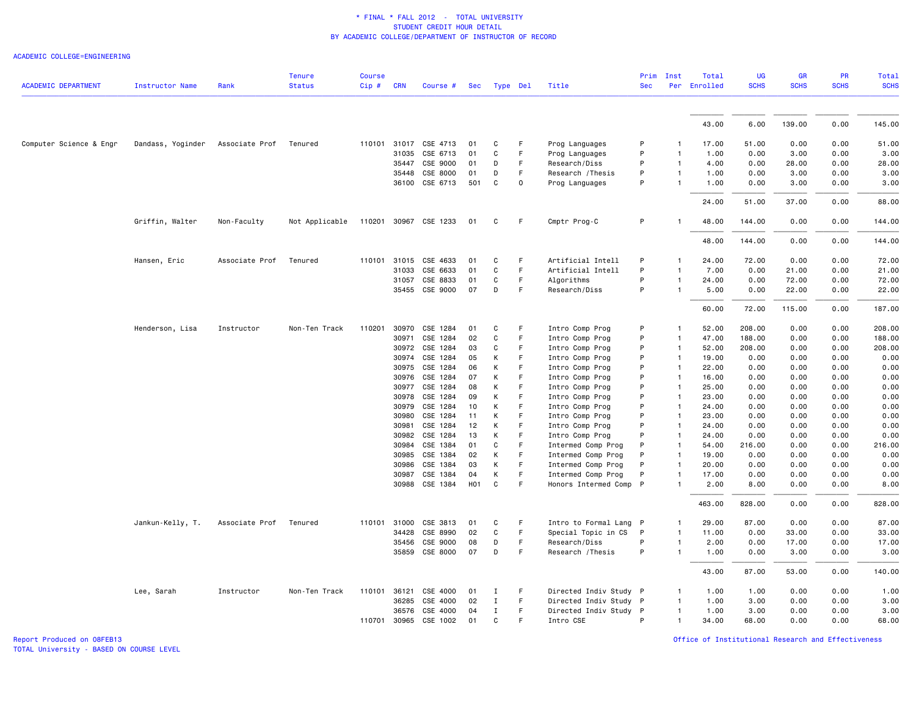### ACADEMIC COLLEGE=ENGINEERING

| <b>ACADEMIC DEPARTMENT</b> | <b>Instructor Name</b> | Rank           | <b>Tenure</b><br><b>Status</b> | <b>Course</b><br>$Cip \#$ | <b>CRN</b> | Course #              | Sec              |             | Type Del | Title                  | Prim<br><b>Sec</b> | Inst           | Total<br>Per Enrolled | <b>UG</b><br><b>SCHS</b> | GR<br><b>SCHS</b> | PR<br><b>SCHS</b> | <b>Total</b><br><b>SCHS</b> |
|----------------------------|------------------------|----------------|--------------------------------|---------------------------|------------|-----------------------|------------------|-------------|----------|------------------------|--------------------|----------------|-----------------------|--------------------------|-------------------|-------------------|-----------------------------|
|                            |                        |                |                                |                           |            |                       |                  |             |          |                        |                    |                |                       |                          |                   |                   |                             |
|                            |                        |                |                                |                           |            |                       |                  |             |          |                        |                    |                | 43.00                 | 6.00                     | 139.00            | 0.00              | 145.00                      |
| Computer Science & Engr    | Dandass, Yoginder      | Associate Prof | Tenured                        |                           |            | 110101 31017 CSE 4713 | 01               | C           | F.       | Prog Languages         | P                  | -1             | 17.00                 | 51.00                    | 0.00              | 0.00              | 51.00                       |
|                            |                        |                |                                |                           | 31035      | CSE 6713              | 01               | C           | F        | Prog Languages         | P                  | $\mathbf{1}$   | 1.00                  | 0.00                     | 3.00              | 0.00              | 3.00                        |
|                            |                        |                |                                |                           | 35447      | CSE 9000              | 01               | D           | F        | Research/Diss          | P                  | $\mathbf{1}$   | 4.00                  | 0.00                     | 28.00             | 0.00              | 28.00                       |
|                            |                        |                |                                |                           | 35448      | CSE 8000              | 01               | D           | F        | Research / Thesis      | P                  | $\mathbf{1}$   | 1.00                  | 0.00                     | 3.00              | 0.00              | 3.00                        |
|                            |                        |                |                                |                           |            | 36100 CSE 6713        | 501              | C           | $\Omega$ | Prog Languages         | P                  | $\mathbf{1}$   | 1.00                  | 0.00                     | 3.00              | 0.00              | 3.00                        |
|                            |                        |                |                                |                           |            |                       |                  |             |          |                        |                    |                | 24.00                 | 51.00                    | 37.00             | 0.00              | 88.00                       |
|                            | Griffin, Walter        | Non-Faculty    | Not Applicable                 |                           |            | 110201 30967 CSE 1233 | 01               | C           | F        | Cmptr Prog-C           | P                  |                | 48.00                 | 144.00                   | 0.00              | 0.00              | 144.00                      |
|                            |                        |                |                                |                           |            |                       |                  |             |          |                        |                    |                | 48.00                 | 144.00                   | 0.00              | 0.00              | 144.00                      |
|                            | Hansen, Eric           | Associate Prof | Tenured                        | 110101                    | 31015      | CSE 4633              | 01               | C           | F        | Artificial Intell      | P                  | $\mathbf{1}$   | 24.00                 | 72.00                    | 0.00              | 0.00              | 72.00                       |
|                            |                        |                |                                |                           | 31033      | CSE 6633              | 01               | C           | F.       | Artificial Intell      | P                  | -1             | 7.00                  | 0.00                     | 21.00             | 0.00              | 21.00                       |
|                            |                        |                |                                |                           | 31057      | CSE 8833              | 01               | C           | F        | Algorithms             | P                  | $\mathbf{1}$   | 24.00                 | 0.00                     | 72.00             | 0.00              | 72.00                       |
|                            |                        |                |                                |                           |            | 35455 CSE 9000        | 07               | D           | F.       | Research/Diss          | P                  | $\mathbf{1}$   | 5.00                  | 0.00                     | 22.00             | 0.00              | 22.00                       |
|                            |                        |                |                                |                           |            |                       |                  |             |          |                        |                    |                | 60.00                 | 72.00                    | 115.00            | 0.00              | 187.00                      |
|                            | Henderson, Lisa        | Instructor     | Non-Ten Track                  | 110201                    | 30970      | CSE 1284              | 01               | C           | F        | Intro Comp Prog        | P                  | -1             | 52.00                 | 208.00                   | 0.00              | 0.00              | 208.00                      |
|                            |                        |                |                                |                           | 30971      | CSE 1284              | 02               | C           | F        | Intro Comp Prog        | P                  | $\mathbf{1}$   | 47.00                 | 188.00                   | 0.00              | 0.00              | 188.00                      |
|                            |                        |                |                                |                           | 30972      | CSE 1284              | 03               | C           | F.       | Intro Comp Prog        | P                  | $\mathbf{1}$   | 52.00                 | 208.00                   | 0.00              | 0.00              | 208.00                      |
|                            |                        |                |                                |                           | 30974      | CSE 1284              | 05               | К           | F        | Intro Comp Prog        | P                  | $\overline{1}$ | 19.00                 | 0.00                     | 0.00              | 0.00              | 0.00                        |
|                            |                        |                |                                |                           | 30975      | CSE 1284              | 06               | К           | F        | Intro Comp Prog        | P                  | $\mathbf{1}$   | 22.00                 | 0.00                     | 0.00              | 0.00              | 0.00                        |
|                            |                        |                |                                |                           | 30976      | CSE 1284              | 07               | K           | F        | Intro Comp Prog        | P                  | $\mathbf{1}$   | 16.00                 | 0.00                     | 0.00              | 0.00              | 0.00                        |
|                            |                        |                |                                |                           | 30977      | CSE 1284              | 08               | К           | F        | Intro Comp Prog        | P                  | $\overline{1}$ | 25.00                 | 0.00                     | 0.00              | 0.00              | 0.00                        |
|                            |                        |                |                                |                           | 30978      | CSE 1284              | 09               | K           | F.       | Intro Comp Prog        | P                  | $\mathbf{1}$   | 23.00                 | 0.00                     | 0.00              | 0.00              | 0.00                        |
|                            |                        |                |                                |                           | 30979      | CSE 1284              | 10               | К           | F        | Intro Comp Prog        | P                  | $\mathbf{1}$   | 24.00                 | 0.00                     | 0.00              | 0.00              | 0.00                        |
|                            |                        |                |                                |                           | 30980      | CSE 1284              | 11               | К           | F.       | Intro Comp Prog        | P                  | $\mathbf{1}$   | 23.00                 | 0.00                     | 0.00              | 0.00              | 0.00                        |
|                            |                        |                |                                |                           | 30981      | CSE 1284              | 12               | К           | F        | Intro Comp Prog        | P                  | $\mathbf{1}$   | 24.00                 | 0.00                     | 0.00              | 0.00              | 0.00                        |
|                            |                        |                |                                |                           | 30982      | CSE 1284              | 13               | К           | F        | Intro Comp Prog        | P                  | $\mathbf{1}$   | 24.00                 | 0.00                     | 0.00              | 0.00              | 0.00                        |
|                            |                        |                |                                |                           | 30984      | CSE 1384              | 01               | C           | F.       | Intermed Comp Prog     | P                  | $\mathbf{1}$   | 54.00                 | 216.00                   | 0.00              | 0.00              | 216.00                      |
|                            |                        |                |                                |                           | 30985      | CSE 1384              | 02               | К           | F        | Intermed Comp Prog     | P                  | $\mathbf{1}$   | 19.00                 | 0.00                     | 0.00              | 0.00              | 0.00                        |
|                            |                        |                |                                |                           | 30986      | CSE 1384              | 03               | К           | F        | Intermed Comp Prog     | P                  | $\mathbf{1}$   | 20.00                 | 0.00                     | 0.00              | 0.00              | 0.00                        |
|                            |                        |                |                                |                           | 30987      | CSE 1384              | 04               | K           | F        | Intermed Comp Prog     | P                  | $\mathbf{1}$   | 17.00                 | 0.00                     | 0.00              | 0.00              | 0.00                        |
|                            |                        |                |                                |                           |            | 30988 CSE 1384        | H <sub>0</sub> 1 | C           | F        | Honors Intermed Comp   | $\mathsf{P}$       |                | 2.00                  | 8.00                     | 0.00              | 0.00              | 8.00                        |
|                            |                        |                |                                |                           |            |                       |                  |             |          |                        |                    |                | 463.00                | 828.00                   | 0.00              | 0.00              | 828.00                      |
|                            | Jankun-Kelly, T.       | Associate Prof | Tenured                        | 110101                    | 31000      | CSE 3813              | 01               | C           | F.       | Intro to Formal Lang P |                    | $\mathbf{1}$   | 29.00                 | 87.00                    | 0.00              | 0.00              | 87.00                       |
|                            |                        |                |                                |                           | 34428      | CSE 8990              | 02               | C           | F.       | Special Topic in CS    | $\mathsf{P}$       | $\mathbf{1}$   | 11.00                 | 0.00                     | 33.00             | 0.00              | 33.00                       |
|                            |                        |                |                                |                           | 35456      | CSE 9000              | 08               | D           | F        | Research/Diss          | P                  | $\mathbf{1}$   | 2.00                  | 0.00                     | 17.00             | 0.00              | 17.00                       |
|                            |                        |                |                                |                           | 35859      | CSE 8000              | 07               | D           | F        | Research / Thesis      | P                  | $\mathbf{1}$   | 1.00                  | 0.00                     | 3.00              | 0.00              | 3.00                        |
|                            |                        |                |                                |                           |            |                       |                  |             |          |                        |                    |                | 43.00                 | 87.00                    | 53.00             | 0.00              | 140.00                      |
|                            | Lee, Sarah             | Instructor     | Non-Ten Track                  | 110101                    | 36121      | CSE 4000              | 01               | Ι           | F        | Directed Indiv Study P |                    | 1              | 1.00                  | 1.00                     | 0.00              | 0.00              | 1.00                        |
|                            |                        |                |                                |                           | 36285      | CSE 4000              | 02               | $\mathbf I$ | F        | Directed Indiv Study P |                    | $\mathbf{1}$   | 1.00                  | 3.00                     | 0.00              | 0.00              | 3.00                        |
|                            |                        |                |                                |                           | 36576      | CSE 4000              | 04               | $\mathbf I$ | F        | Directed Indiv Study P |                    | $\overline{1}$ | 1.00                  | 3.00                     | 0.00              | 0.00              | 3.00                        |
|                            |                        |                |                                | 110701 30965              |            | CSE 1002              | 01               | C           | F        | Intro CSE              | P                  | 1              | 34.00                 | 68.00                    | 0.00              | 0.00              | 68.00                       |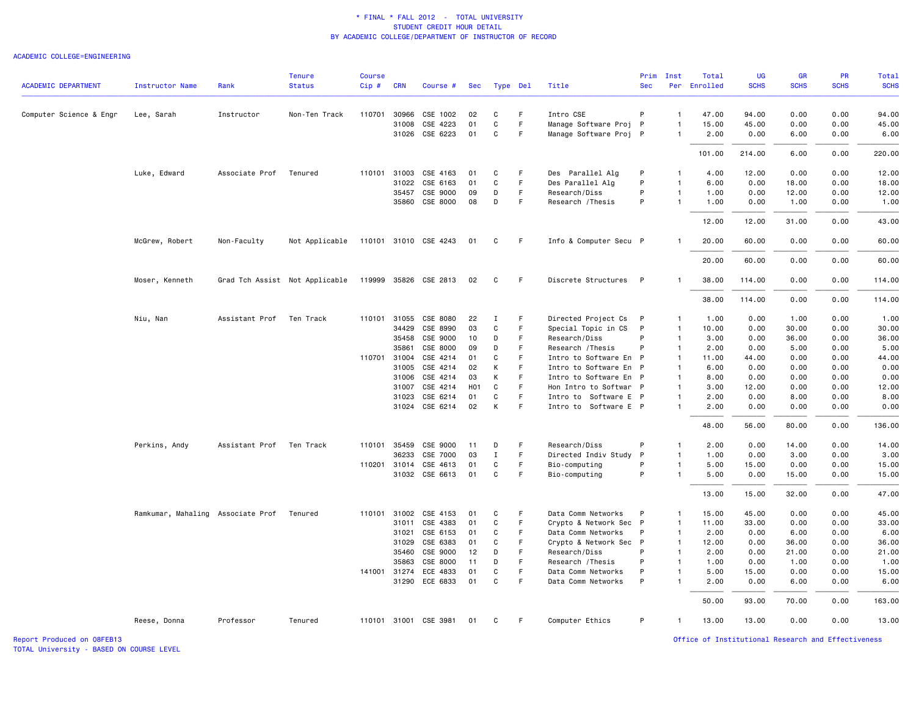### ACADEMIC COLLEGE=ENGINEERING

|                            |                                           |                | <b>Tenure</b>                  | <b>Course</b> |              |                       |                  |              |    |                        |              | Prim Inst      | Total        | <b>UG</b>   | <b>GR</b>   | <b>PR</b>   | Total       |
|----------------------------|-------------------------------------------|----------------|--------------------------------|---------------|--------------|-----------------------|------------------|--------------|----|------------------------|--------------|----------------|--------------|-------------|-------------|-------------|-------------|
| <b>ACADEMIC DEPARTMENT</b> | <b>Instructor Name</b>                    | Rank           | <b>Status</b>                  | $Cip$ #       | <b>CRN</b>   | Course #              | Sec              | Type Del     |    | Title                  | <b>Sec</b>   |                | Per Enrolled | <b>SCHS</b> | <b>SCHS</b> | <b>SCHS</b> | <b>SCHS</b> |
| Computer Science & Engr    | Lee, Sarah                                | Instructor     | Non-Ten Track                  | 110701        | 30966        | CSE 1002              | 02               | C            | F. | Intro CSE              | P            |                | 47.00        | 94.00       | 0.00        | 0.00        | 94.00       |
|                            |                                           |                |                                |               | 31008        | CSE 4223              | 01               | C            | F  | Manage Software Proj P |              | $\mathbf{1}$   | 15.00        | 45.00       | 0.00        | 0.00        | 45.00       |
|                            |                                           |                |                                |               |              | 31026 CSE 6223        | 01               | C            | F. | Manage Software Proj P |              | $\mathbf{1}$   | 2.00         | 0.00        | 6.00        | 0.00        | 6.00        |
|                            |                                           |                |                                |               |              |                       |                  |              |    |                        |              |                | 101.00       | 214.00      | 6.00        | 0.00        | 220.00      |
|                            | Luke, Edward                              | Associate Prof | Tenured                        |               | 110101 31003 | CSE 4163              | 01               | C            | F  | Des Parallel Alg       | P            | $\mathbf{1}$   | 4.00         | 12.00       | 0.00        | 0.00        | 12.00       |
|                            |                                           |                |                                |               | 31022        | CSE 6163              | 01               | C            | F. | Des Parallel Alg       | P            | $\mathbf{1}$   | 6.00         | 0.00        | 18.00       | 0.00        | 18.00       |
|                            |                                           |                |                                |               | 35457        | CSE 9000              | 09               | D            | F. | Research/Diss          | P            | 1              | 1.00         | 0.00        | 12.00       | 0.00        | 12.00       |
|                            |                                           |                |                                |               | 35860        | CSE 8000              | 08               | D            | F. | Research / Thesis      | P            | $\mathbf{1}$   | 1.00         | 0.00        | 1.00        | 0.00        | 1.00        |
|                            |                                           |                |                                |               |              |                       |                  |              |    |                        |              |                | 12.00        | 12.00       | 31.00       | 0.00        | 43.00       |
|                            | McGrew, Robert                            | Non-Faculty    | Not Applicable                 |               |              | 110101 31010 CSE 4243 | 01               | C            | F. | Info & Computer Secu P |              | -1             | 20.00        | 60.00       | 0.00        | 0.00        | 60.00       |
|                            |                                           |                |                                |               |              |                       |                  |              |    |                        |              |                | 20.00        | 60.00       | 0.00        | 0.00        | 60.00       |
|                            | Moser, Kenneth                            |                | Grad Tch Assist Not Applicable |               |              | 119999 35826 CSE 2813 | 02               | C            | F. | Discrete Structures P  |              | -1             | 38.00        | 114.00      | 0.00        | 0.00        | 114.00      |
|                            |                                           |                |                                |               |              |                       |                  |              |    |                        |              |                | 38.00        | 114.00      | 0.00        | 0.00        | 114.00      |
|                            | Niu, Nan                                  | Assistant Prof | Ten Track                      |               | 110101 31055 | CSE 8080              | 22               | Ι            | F. | Directed Project Cs    | $\mathsf{P}$ | $\mathbf{1}$   | 1.00         | 0.00        | 1.00        | 0.00        | 1.00        |
|                            |                                           |                |                                |               | 34429        | CSE 8990              | 03               | C            | F  | Special Topic in CS    | $\mathsf{P}$ | $\mathbf{1}$   | 10.00        | 0.00        | 30.00       | 0.00        | 30.00       |
|                            |                                           |                |                                |               | 35458        | CSE 9000              | 10               | D            | F  | Research/Diss          | P            | $\mathbf{1}$   | 3.00         | 0.00        | 36.00       | 0.00        | 36.00       |
|                            |                                           |                |                                |               | 35861        | CSE 8000              | 09               | D            | F  | Research / Thesis      | P            | $\mathbf{1}$   | 2.00         | 0.00        | 5.00        | 0.00        | 5.00        |
|                            |                                           |                |                                |               | 110701 31004 | CSE 4214              | 01               | C            | F. | Intro to Software En P |              | $\mathbf{1}$   | 11.00        | 44.00       | 0.00        | 0.00        | 44.00       |
|                            |                                           |                |                                |               | 31005        | CSE 4214              | 02               | К            | F  | Intro to Software En P |              | $\mathbf{1}$   | 6.00         | 0.00        | 0.00        | 0.00        | 0.00        |
|                            |                                           |                |                                |               | 31006        | CSE 4214              | 03               | K            | F  | Intro to Software En P |              | $\mathbf{1}$   | 8.00         | 0.00        | 0.00        | 0.00        | 0.00        |
|                            |                                           |                |                                |               | 31007        | CSE 4214              | H <sub>0</sub> 1 | C            | F  | Hon Intro to Softwar P |              | $\mathbf{1}$   | 3.00         | 12.00       | 0.00        | 0.00        | 12.00       |
|                            |                                           |                |                                |               | 31023        | CSE 6214              | 01               | C            | F  | Intro to Software E P  |              | $\mathbf{1}$   | 2.00         | 0.00        | 8.00        | 0.00        | 8.00        |
|                            |                                           |                |                                |               |              | 31024 CSE 6214        | 02               | K            | F. | Intro to Software E P  |              | $\mathbf{1}$   | 2.00         | 0.00        | 0.00        | 0.00        | 0.00        |
|                            |                                           |                |                                |               |              |                       |                  |              |    |                        |              |                | 48.00        | 56.00       | 80.00       | 0.00        | 136.00      |
|                            | Perkins, Andy                             | Assistant Prof | Ten Track                      |               | 110101 35459 | CSE 9000              | 11               | D            | F  | Research/Diss          | P            | $\mathbf{1}$   | 2.00         | 0.00        | 14.00       | 0.00        | 14.00       |
|                            |                                           |                |                                |               | 36233        | CSE 7000              | 03               | $\mathbf{I}$ | F. | Directed Indiv Study   | P            | $\mathbf{1}$   | 1.00         | 0.00        | 3.00        | 0.00        | 3.00        |
|                            |                                           |                |                                |               | 110201 31014 | CSE 4613              | 01               | C            | F. | Bio-computing          | P            | $\mathbf{1}$   | 5.00         | 15.00       | 0.00        | 0.00        | 15.00       |
|                            |                                           |                |                                |               |              | 31032 CSE 6613        | 01               | $\mathtt{C}$ | F  | Bio-computing          | P            | $\mathbf{1}$   | 5.00         | 0.00        | 15.00       | 0.00        | 15.00       |
|                            |                                           |                |                                |               |              |                       |                  |              |    |                        |              |                | 13.00        | 15.00       | 32.00       | 0.00        | 47.00       |
|                            | Ramkumar, Mahaling Associate Prof Tenured |                |                                |               | 110101 31002 | CSE 4153              | 01               | C            | F  | Data Comm Networks     | P            | $\mathbf{1}$   | 15.00        | 45.00       | 0.00        | 0.00        | 45.00       |
|                            |                                           |                |                                |               | 31011        | CSE 4383              | 01               | C            | F  | Crypto & Network Sec P |              | $\mathbf{1}$   | 11.00        | 33.00       | 0.00        | 0.00        | 33.00       |
|                            |                                           |                |                                |               | 31021        | CSE 6153              | 01               | C            | F  | Data Comm Networks     | P            | $\mathbf{1}$   | 2.00         | 0.00        | 6.00        | 0.00        | 6.00        |
|                            |                                           |                |                                |               | 31029        | CSE 6383              | 01               | C            | F  | Crypto & Network Sec P |              | $\mathbf{1}$   | 12.00        | 0.00        | 36.00       | 0.00        | 36.00       |
|                            |                                           |                |                                |               | 35460        | CSE 9000              | 12               | D            | F. | Research/Diss          | P            | $\overline{1}$ | 2.00         | 0.00        | 21.00       | 0.00        | 21.00       |
|                            |                                           |                |                                |               | 35863        | CSE 8000              | 11               | D            | F  | Research / Thesis      | P            | $\mathbf{1}$   | 1.00         | 0.00        | 1.00        | 0.00        | 1.00        |
|                            |                                           |                |                                |               | 141001 31274 | ECE 4833              | 01               | C            | F  | Data Comm Networks     | P            | 1              | 5.00         | 15.00       | 0.00        | 0.00        | 15.00       |
|                            |                                           |                |                                |               |              | 31290 ECE 6833        | 01               | C            | F  | Data Comm Networks     | P            | $\mathbf{1}$   | 2.00         | 0.00        | 6.00        | 0.00        | 6.00        |
|                            |                                           |                |                                |               |              |                       |                  |              |    |                        |              |                | 50.00        | 93.00       | 70.00       | 0.00        | 163.00      |
|                            | Reese, Donna                              | Professor      | Tenured                        |               |              | 110101 31001 CSE 3981 | 01               | C            | F. | Computer Ethics        | P            | $\mathbf{1}$   | 13.00        | 13.00       | 0.00        | 0.00        | 13.00       |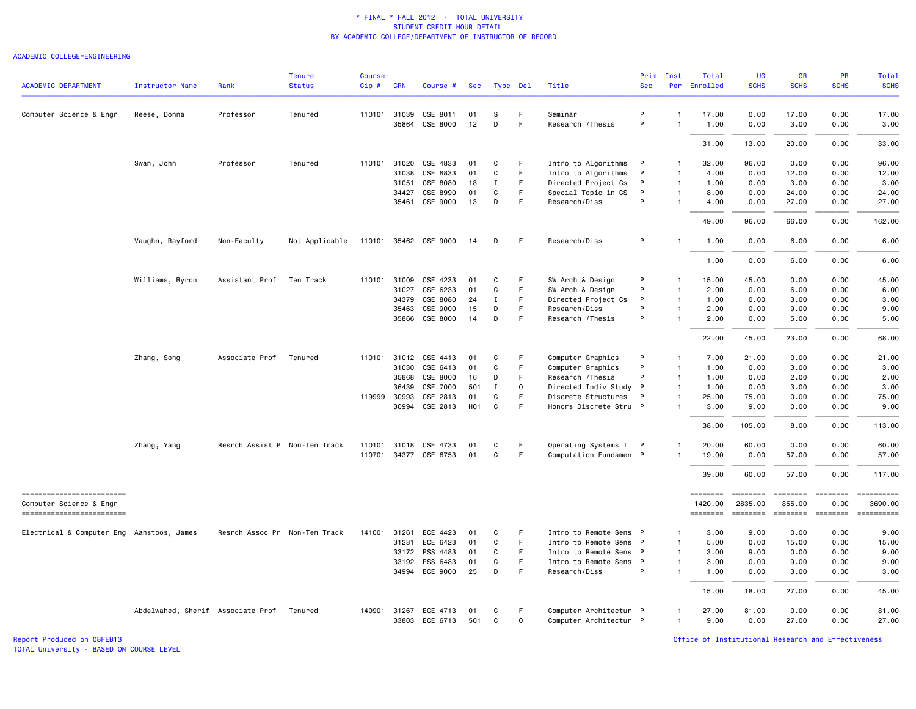#### ACADEMIC COLLEGE=ENGINEERING

|                                                     |                                   |                               | <b>Tenure</b>  | <b>Course</b> |                |                       |            |             |             |                                                  | Prim         | Inst         | Total               | <b>UG</b>           | <b>GR</b>                 | <b>PR</b>              | Total                                                                                                                                                                                                                                                                                                                                                                                                                               |
|-----------------------------------------------------|-----------------------------------|-------------------------------|----------------|---------------|----------------|-----------------------|------------|-------------|-------------|--------------------------------------------------|--------------|--------------|---------------------|---------------------|---------------------------|------------------------|-------------------------------------------------------------------------------------------------------------------------------------------------------------------------------------------------------------------------------------------------------------------------------------------------------------------------------------------------------------------------------------------------------------------------------------|
| <b>ACADEMIC DEPARTMENT</b>                          | <b>Instructor Name</b>            | Rank                          | <b>Status</b>  | Cip#          | <b>CRN</b>     | Course #              | <b>Sec</b> | Type Del    |             | Title                                            | <b>Sec</b>   |              | Per Enrolled        | <b>SCHS</b>         | <b>SCHS</b>               | <b>SCHS</b>            | <b>SCHS</b>                                                                                                                                                                                                                                                                                                                                                                                                                         |
| Computer Science & Engr                             | Reese, Donna                      | Professor                     | Tenured        |               | 110101 31039   | CSE 8011              | 01         | S           | F           | Seminar                                          | P            | -1           | 17.00               | 0.00                | 17.00                     | 0.00                   | 17.00                                                                                                                                                                                                                                                                                                                                                                                                                               |
|                                                     |                                   |                               |                |               | 35864          | CSE 8000              | 12         | D           | $\mathsf F$ | Research / Thesis                                | P            | $\mathbf{1}$ | 1.00                | 0.00                | 3.00                      | 0.00                   | 3.00                                                                                                                                                                                                                                                                                                                                                                                                                                |
|                                                     |                                   |                               |                |               |                |                       |            |             |             |                                                  |              |              | 31.00               | 13.00               | 20.00                     | 0.00                   | 33.00                                                                                                                                                                                                                                                                                                                                                                                                                               |
|                                                     | Swan, John                        | Professor                     | Tenured        | 110101        | 31020          | CSE 4833              | 01         | C           | F           | Intro to Algorithms                              | P            | $\mathbf{1}$ | 32.00               | 96.00               | 0.00                      | 0.00                   | 96.00                                                                                                                                                                                                                                                                                                                                                                                                                               |
|                                                     |                                   |                               |                |               | 31038          | CSE 6833              | 01         | C           | F           | Intro to Algorithms                              | P            | $\mathbf{1}$ | 4.00                | 0.00                | 12.00                     | 0.00                   | 12.00                                                                                                                                                                                                                                                                                                                                                                                                                               |
|                                                     |                                   |                               |                |               | 31051          | CSE 8080              | 18         | $\mathbf I$ | $\mathsf F$ | Directed Project Cs                              | P            | $\mathbf{1}$ | 1.00                | 0.00                | 3.00                      | 0.00                   | 3.00                                                                                                                                                                                                                                                                                                                                                                                                                                |
|                                                     |                                   |                               |                |               | 34427          | CSE 8990              | 01         | C           | F           | Special Topic in CS                              | P            | $\mathbf{1}$ | 8.00                | 0.00                | 24.00                     | 0.00                   | 24.00                                                                                                                                                                                                                                                                                                                                                                                                                               |
|                                                     |                                   |                               |                |               | 35461          | CSE 9000              | 13         | D           | F           | Research/Diss                                    | P            | $\mathbf{1}$ | 4.00                | 0.00                | 27.00                     | 0.00                   | 27.00                                                                                                                                                                                                                                                                                                                                                                                                                               |
|                                                     |                                   |                               |                |               |                |                       |            |             |             |                                                  |              |              | 49.00               | 96.00               | 66.00                     | 0.00                   | 162.00                                                                                                                                                                                                                                                                                                                                                                                                                              |
|                                                     | Vaughn, Rayford                   | Non-Faculty                   | Not Applicable |               |                | 110101 35462 CSE 9000 | 14         | D           | F           | Research/Diss                                    | P            | -1           | 1.00                | 0.00                | 6.00                      | 0.00                   | 6.00                                                                                                                                                                                                                                                                                                                                                                                                                                |
|                                                     |                                   |                               |                |               |                |                       |            |             |             |                                                  |              |              | 1.00                | 0.00                | 6.00                      | 0.00                   | 6.00                                                                                                                                                                                                                                                                                                                                                                                                                                |
|                                                     | Williams, Byron                   | Assistant Prof                | Ten Track      | 110101        | 31009          | CSE 4233              | 01         | C           | F           | SW Arch & Design                                 | P            | $\mathbf{1}$ | 15.00               | 45.00               | 0.00                      | 0.00                   | 45.00                                                                                                                                                                                                                                                                                                                                                                                                                               |
|                                                     |                                   |                               |                |               | 31027          | CSE 6233              | 01         | C           | $\mathsf F$ | SW Arch & Design                                 | P            | $\mathbf{1}$ | 2.00                | 0.00                | 6.00                      | 0.00                   | 6.00                                                                                                                                                                                                                                                                                                                                                                                                                                |
|                                                     |                                   |                               |                |               | 34379          | CSE 8080              | 24         | Ι.          | F           | Directed Project Cs                              | P            | $\mathbf{1}$ | 1.00                | 0.00                | 3.00                      | 0.00                   | 3.00                                                                                                                                                                                                                                                                                                                                                                                                                                |
|                                                     |                                   |                               |                |               | 35463          | CSE 9000              | 15         | D           | E           | Research/Diss                                    | P            | $\mathbf{1}$ | 2.00                | 0.00                | 9.00                      | 0.00                   | 9.00                                                                                                                                                                                                                                                                                                                                                                                                                                |
|                                                     |                                   |                               |                |               |                | 35866 CSE 8000        | 14         | D           | F           | Research / Thesis                                | P            | $\mathbf{1}$ | 2.00                | 0.00                | 5.00                      | 0.00                   | 5.00                                                                                                                                                                                                                                                                                                                                                                                                                                |
|                                                     |                                   |                               |                |               |                |                       |            |             |             |                                                  |              |              | 22.00               | 45.00               | 23.00                     | 0.00                   | 68.00                                                                                                                                                                                                                                                                                                                                                                                                                               |
|                                                     | Zhang, Song                       | Associate Prof                | Tenured        | 110101        | 31012          | CSE 4413              | 01         | C           | F           | Computer Graphics                                | P            | $\mathbf{1}$ | 7.00                | 21.00               | 0.00                      | 0.00                   | 21.00                                                                                                                                                                                                                                                                                                                                                                                                                               |
|                                                     |                                   |                               |                |               | 31030          | CSE 6413              | 01         | C           | F           | Computer Graphics                                | P            | $\mathbf{1}$ | 1.00                | 0.00                | 3.00                      | 0.00                   | 3.00                                                                                                                                                                                                                                                                                                                                                                                                                                |
|                                                     |                                   |                               |                |               | 35868          | CSE 8000              | 16         | D           | $\mathsf F$ | Research / Thesis                                | P            | $\mathbf{1}$ | 1.00                | 0.00                | 2.00                      | 0.00                   | 2.00                                                                                                                                                                                                                                                                                                                                                                                                                                |
|                                                     |                                   |                               |                |               | 36439          | CSE 7000              | 501        | $\mathbf I$ | $\mathbf 0$ | Directed Indiv Study P                           |              | $\mathbf{1}$ | 1.00                | 0.00                | 3.00                      | 0.00                   | 3.00                                                                                                                                                                                                                                                                                                                                                                                                                                |
|                                                     |                                   |                               |                |               | 119999 30993   | CSE 2813              | 01         | C           | F           | Discrete Structures                              | P            | $\mathbf{1}$ | 25.00               | 75.00               | 0.00                      | 0.00                   | 75.00                                                                                                                                                                                                                                                                                                                                                                                                                               |
|                                                     |                                   |                               |                |               |                | 30994 CSE 2813        | H01        | C           | F           | Honors Discrete Stru P                           |              | $\mathbf{1}$ | 3.00                | 9.00                | 0.00                      | 0.00                   | 9.00                                                                                                                                                                                                                                                                                                                                                                                                                                |
|                                                     |                                   |                               |                |               |                |                       |            |             |             |                                                  |              |              | 38.00               | 105.00              | 8.00                      | 0.00                   | 113.00                                                                                                                                                                                                                                                                                                                                                                                                                              |
|                                                     | Zhang, Yang                       | Resrch Assist P Non-Ten Track |                | 110101        | 31018          | CSE 4733              | 01         | C           | F           | Operating Systems I                              | P            |              | 20.00               | 60.00               | 0.00                      | 0.00                   | 60.00                                                                                                                                                                                                                                                                                                                                                                                                                               |
|                                                     |                                   |                               |                | 110701        |                | 34377 CSE 6753        | 01         | C           | F           | Computation Fundamen P                           |              | -1           | 19.00               | 0.00                | 57.00                     | 0.00                   | 57.00                                                                                                                                                                                                                                                                                                                                                                                                                               |
|                                                     |                                   |                               |                |               |                |                       |            |             |             |                                                  |              |              | 39.00               | 60.00               | 57.00                     | 0.00                   | 117.00                                                                                                                                                                                                                                                                                                                                                                                                                              |
| ------------------------                            |                                   |                               |                |               |                |                       |            |             |             |                                                  |              |              | <b>EDESSEDE</b>     | ========            | $= 1.122222222$           | <b>EDEDEDER</b>        | ==========                                                                                                                                                                                                                                                                                                                                                                                                                          |
| Computer Science & Engr<br>------------------------ |                                   |                               |                |               |                |                       |            |             |             |                                                  |              |              | 1420.00<br>======== | 2835.00<br>======== | 855.00<br><b>EDESSERS</b> | 0.00<br><b>ESSESSE</b> | 3690.00<br>$\begin{minipage}{0.03\linewidth} \hspace*{-0.2cm} \textbf{if} \hspace*{-0.1cm} \textbf{if} \hspace*{-0.1cm} \textbf{if} \hspace*{-0.1cm} \textbf{if} \hspace*{-0.1cm} \textbf{if} \hspace*{-0.1cm} \textbf{if} \hspace*{-0.1cm} \textbf{if} \hspace*{-0.1cm} \textbf{if} \hspace*{-0.1cm} \textbf{if} \hspace*{-0.1cm} \textbf{if} \hspace*{-0.1cm} \textbf{if} \hspace*{-0.1cm} \textbf{if} \hspace*{-0.1cm} \textbf{$ |
|                                                     |                                   |                               |                |               |                |                       |            |             |             |                                                  |              |              |                     |                     |                           |                        |                                                                                                                                                                                                                                                                                                                                                                                                                                     |
| Electrical & Computer Eng Aanstoos, James           |                                   | Resrch Assoc Pr Non-Ten Track |                | 141001        | 31261<br>31281 | ECE 4423<br>ECE 6423  | 01<br>01   | C<br>C      | F<br>F      | Intro to Remote Sens P<br>Intro to Remote Sens P |              | $\mathbf{1}$ | 3.00<br>5.00        | 9.00<br>0.00        | 0.00<br>15.00             | 0.00<br>0.00           | 9.00                                                                                                                                                                                                                                                                                                                                                                                                                                |
|                                                     |                                   |                               |                |               | 33172          | PSS 4483              | 01         | C           | F           | Intro to Remote Sens                             | $\mathsf{P}$ | $\mathbf{1}$ | 3.00                | 9.00                | 0.00                      | 0.00                   | 15.00<br>9.00                                                                                                                                                                                                                                                                                                                                                                                                                       |
|                                                     |                                   |                               |                |               | 33192          | PSS 6483              | 01         | C           | F           | Intro to Remote Sens                             | $\mathsf{P}$ | $\mathbf{1}$ | 3.00                | 0.00                | 9.00                      | 0.00                   | 9.00                                                                                                                                                                                                                                                                                                                                                                                                                                |
|                                                     |                                   |                               |                |               |                | 34994 ECE 9000        | 25         | D           | E           | Research/Diss                                    | P            | $\mathbf{1}$ | 1.00                | 0.00                | 3.00                      | 0.00                   | 3.00                                                                                                                                                                                                                                                                                                                                                                                                                                |
|                                                     |                                   |                               |                |               |                |                       |            |             |             |                                                  |              |              | 15.00               | 18.00               | 27.00                     | 0.00                   | 45.00                                                                                                                                                                                                                                                                                                                                                                                                                               |
|                                                     | Abdelwahed, Sherif Associate Prof |                               | Tenured        | 140901        | 31267          | ECE 4713              | 01         | C           | F           | Computer Architectur P                           |              | $\mathbf{1}$ | 27.00               | 81.00               | 0.00                      | 0.00                   | 81.00                                                                                                                                                                                                                                                                                                                                                                                                                               |
|                                                     |                                   |                               |                |               |                | 33803 ECE 6713        | 501        | C           | $\mathbf 0$ | Computer Architectur P                           |              | $\mathbf{1}$ | 9.00                | 0.00                | 27.00                     | 0.00                   | 27.00                                                                                                                                                                                                                                                                                                                                                                                                                               |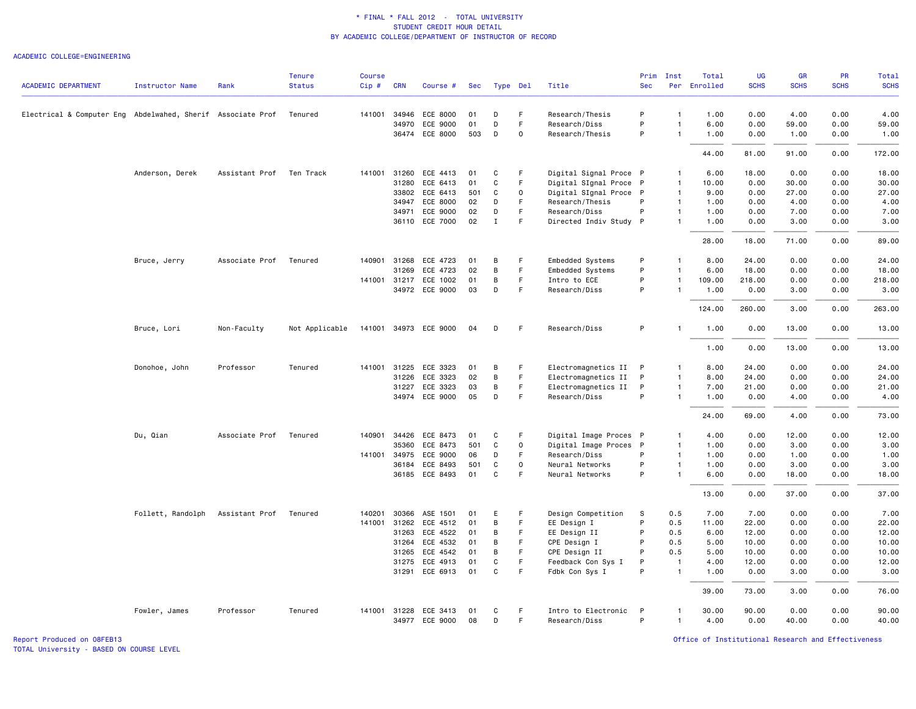### ACADEMIC COLLEGE=ENGINEERING

|                                                             |                   |                | <b>Tenure</b>  | <b>Course</b> |              |                       |     |              |             |                        | Prim         | Inst           | Total        | <b>UG</b>   | <b>GR</b>   | PR          | Total       |
|-------------------------------------------------------------|-------------------|----------------|----------------|---------------|--------------|-----------------------|-----|--------------|-------------|------------------------|--------------|----------------|--------------|-------------|-------------|-------------|-------------|
| <b>ACADEMIC DEPARTMENT</b>                                  | Instructor Name   | Rank           | <b>Status</b>  | $Cip$ #       | <b>CRN</b>   | Course #              | Sec | Type Del     |             | Title                  | <b>Sec</b>   |                | Per Enrolled | <b>SCHS</b> | <b>SCHS</b> | <b>SCHS</b> | <b>SCHS</b> |
| Electrical & Computer Eng Abdelwahed, Sherif Associate Prof |                   |                | Tenured        | 141001        | 34946        | ECE 8000              | 01  | D            | F.          | Research/Thesis        | P            | $\mathbf{1}$   | 1.00         | 0.00        | 4.00        | 0.00        | 4.00        |
|                                                             |                   |                |                |               | 34970        | ECE 9000              | 01  | D            | $\mathsf F$ | Research/Diss          | P            | $\mathbf{1}$   | 6.00         | 0.00        | 59.00       | 0.00        | 59.00       |
|                                                             |                   |                |                |               |              | 36474 ECE 8000        | 503 | D            | 0           | Research/Thesis        | P            | $\mathbf{1}$   | 1.00         | 0.00        | 1.00        | 0.00        | 1.00        |
|                                                             |                   |                |                |               |              |                       |     |              |             |                        |              |                | 44.00        | 81.00       | 91.00       | 0.00        | 172.00      |
|                                                             |                   |                |                |               |              |                       |     |              |             |                        |              |                |              |             |             |             |             |
|                                                             | Anderson, Derek   | Assistant Prof | Ten Track      | 141001        | 31260        | ECE 4413              | 01  | C            | F           | Digital Signal Proce P |              | $\mathbf{1}$   | 6.00         | 18.00       | 0.00        | 0.00        | 18.00       |
|                                                             |                   |                |                |               | 31280        | ECE 6413              | 01  | $\mathsf{C}$ | F           | Digital SIgnal Proce P |              | $\mathbf{1}$   | 10.00        | 0.00        | 30.00       | 0.00        | 30.00       |
|                                                             |                   |                |                |               | 33802        | ECE 6413              | 501 | C            | 0           | Digital SIgnal Proce P |              | $\overline{1}$ | 9.00         | 0.00        | 27.00       | 0.00        | 27.00       |
|                                                             |                   |                |                |               | 34947        | ECE 8000              | 02  | D            | F           | Research/Thesis        | P            | $\overline{1}$ | 1.00         | 0.00        | 4.00        | 0.00        | 4.00        |
|                                                             |                   |                |                |               |              | 34971 ECE 9000        | 02  | D            | F           | Research/Diss          | P            | $\mathbf{1}$   | 1.00         | 0.00        | 7.00        | 0.00        | 7.00        |
|                                                             |                   |                |                |               |              | 36110 ECE 7000        | 02  | $\mathbf I$  | $\mathsf F$ | Directed Indiv Study P |              | $\mathbf{1}$   | 1.00         | 0.00        | 3.00        | 0.00        | 3.00        |
|                                                             |                   |                |                |               |              |                       |     |              |             |                        |              |                | 28.00        | 18,00       | 71.00       | 0.00        | 89.00       |
|                                                             | Bruce, Jerry      | Associate Prof | Tenured        |               |              | 140901 31268 ECE 4723 | 01  | В            | F           | Embedded Systems       | P            | $\mathbf{1}$   | 8.00         | 24.00       | 0.00        | 0.00        | 24.00       |
|                                                             |                   |                |                |               | 31269        | ECE 4723              | 02  | B            | F.          | Embedded Systems       | P            | $\mathbf{1}$   | 6.00         | 18.00       | 0.00        | 0.00        | 18.00       |
|                                                             |                   |                |                |               |              | 141001 31217 ECE 1002 | 01  | В            | F           | Intro to ECE           | P            | $\mathbf{1}$   | 109.00       | 218.00      | 0.00        | 0.00        | 218.00      |
|                                                             |                   |                |                |               |              | 34972 ECE 9000        | 03  | D            | F.          | Research/Diss          | P            | $\mathbf{1}$   | 1.00         | 0.00        | 3.00        | 0.00        | 3.00        |
|                                                             |                   |                |                |               |              |                       |     |              |             |                        |              |                | 124.00       | 260.00      | 3.00        | 0.00        | 263.00      |
|                                                             | Bruce, Lori       | Non-Faculty    | Not Applicable |               |              | 141001 34973 ECE 9000 | 04  | D            | -F          | Research/Diss          | P            | -1             | 1.00         | 0.00        | 13.00       | 0.00        | 13.00       |
|                                                             |                   |                |                |               |              |                       |     |              |             |                        |              |                | 1.00         | 0.00        | 13.00       | 0.00        | 13.00       |
|                                                             | Donohoe, John     | Professor      | Tenured        |               | 141001 31225 | ECE 3323              | 01  | В            | F           | Electromagnetics II    | P            | $\mathbf{1}$   | 8.00         | 24.00       | 0.00        | 0.00        | 24.00       |
|                                                             |                   |                |                |               | 31226        | ECE 3323              | 02  | В            | $\mathsf F$ | Electromagnetics II    | P            | $\mathbf{1}$   | 8.00         | 24.00       | 0.00        | 0.00        | 24.00       |
|                                                             |                   |                |                |               |              | 31227 ECE 3323        | 03  | B            | F           | Electromagnetics II    | P            | $\mathbf{1}$   | 7.00         | 21.00       | 0.00        | 0.00        | 21.00       |
|                                                             |                   |                |                |               |              | 34974 ECE 9000        | 05  | D            | F           | Research/Diss          | P            | $\mathbf{1}$   | 1.00         | 0.00        | 4.00        | 0.00        | 4.00        |
|                                                             |                   |                |                |               |              |                       |     |              |             |                        |              |                | 24.00        | 69.00       | 4.00        | 0.00        | 73.00       |
|                                                             | Du, Qian          | Associate Prof | Tenured        | 140901        |              | 34426 ECE 8473        | 01  | C            | F           | Digital Image Proces P |              | $\mathbf{1}$   | 4.00         | 0.00        | 12.00       | 0.00        | 12.00       |
|                                                             |                   |                |                |               | 35360        | ECE 8473              | 501 | C            | $\mathbf 0$ | Digital Image Proces P |              | $\mathbf{1}$   | 1.00         | 0.00        | 3.00        | 0.00        | 3.00        |
|                                                             |                   |                |                |               | 141001 34975 | ECE 9000              | 06  | D            | F           | Research/Diss          | P            | $\overline{1}$ | 1.00         | 0.00        | 1.00        | 0.00        | 1.00        |
|                                                             |                   |                |                |               |              | 36184 ECE 8493        | 501 | C            | $\mathbf 0$ | Neural Networks        | P            | $\overline{1}$ | 1.00         | 0.00        | 3.00        | 0.00        | 3.00        |
|                                                             |                   |                |                |               |              | 36185 ECE 8493        | 01  | C            | F           | Neural Networks        | P            | $\mathbf{1}$   | 6.00         | 0.00        | 18.00       | 0.00        | 18.00       |
|                                                             |                   |                |                |               |              |                       |     |              |             |                        |              |                | 13.00        | 0.00        | 37.00       | 0.00        | 37.00       |
|                                                             | Follett, Randolph | Assistant Prof | Tenured        | 140201        | 30366        | ASE 1501              | 01  | Ε            | F           | Design Competition     | S.           | 0.5            | 7.00         | 7.00        | 0.00        | 0.00        | 7.00        |
|                                                             |                   |                |                | 141001        | 31262        | ECE 4512              | 01  | В            | F           | EE Design I            | P            | 0.5            | 11.00        | 22.00       | 0.00        | 0.00        | 22.00       |
|                                                             |                   |                |                |               | 31263        | ECE 4522              | 01  | B            | F           | EE Design II           | P            | 0.5            | 6.00         | 12.00       | 0.00        | 0.00        | 12.00       |
|                                                             |                   |                |                |               | 31264        | ECE 4532              | 01  | В            | F.          | CPE Design I           | P            | 0.5            | 5.00         | 10.00       | 0.00        | 0.00        | 10.00       |
|                                                             |                   |                |                |               | 31265        | ECE 4542              | 01  | В            | F           | CPE Design II          | P            | 0.5            | 5.00         | 10.00       | 0.00        | 0.00        | 10.00       |
|                                                             |                   |                |                |               | 31275        | ECE 4913              | 01  | C            | F.          | Feedback Con Sys I     | P            | $\overline{1}$ | 4.00         | 12.00       | 0.00        | 0.00        | 12.00       |
|                                                             |                   |                |                |               |              | 31291 ECE 6913        | 01  | C            | F           | Fdbk Con Sys I         | P            | $\mathbf{1}$   | 1.00         | 0.00        | 3.00        | 0.00        | 3.00        |
|                                                             |                   |                |                |               |              |                       |     |              |             |                        |              |                | 39.00        | 73.00       | 3.00        | 0.00        | 76.00       |
|                                                             | Fowler, James     | Professor      | Tenured        |               |              | 141001 31228 ECE 3413 | 01  | C            | F           | Intro to Electronic    | $\mathsf{P}$ | $\mathbf{1}$   | 30.00        | 90.00       | 0.00        | 0.00        | 90.00       |
|                                                             |                   |                |                |               |              | 34977 ECE 9000        | 08  | D            | F.          | Research/Diss          | P            | $\mathbf{1}$   | 4.00         | 0.00        | 40.00       | 0.00        | 40.00       |

TOTAL University - BASED ON COURSE LEVEL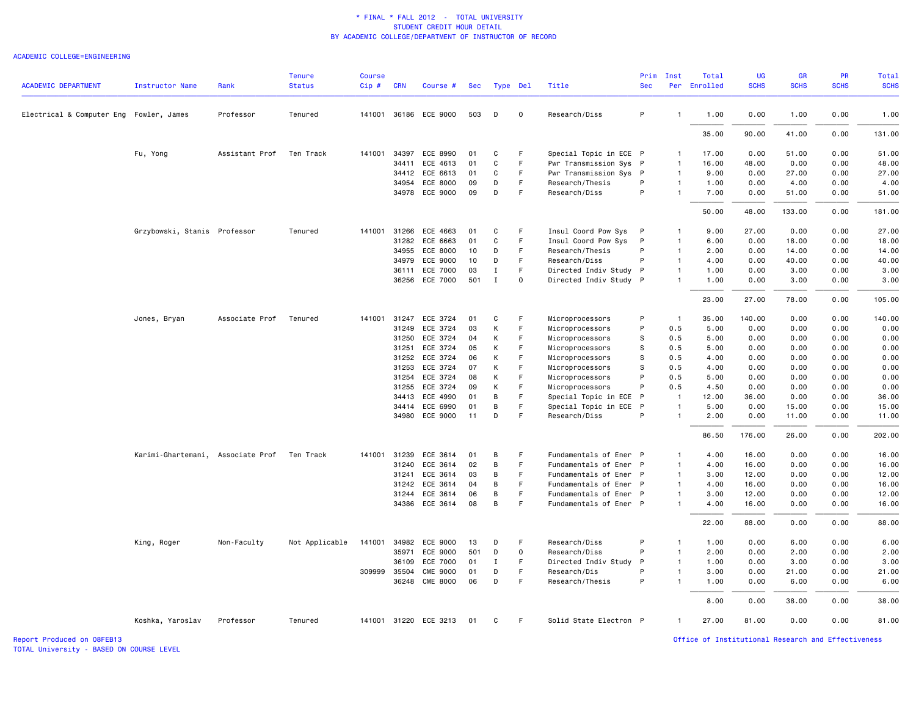#### ACADEMIC COLLEGE=ENGINEERING

| <b>ACADEMIC DEPARTMENT</b>              | <b>Instructor Name</b>            | Rank                   | <b>Tenure</b><br><b>Status</b> | <b>Course</b><br>$Cip$ # | <b>CRN</b> | Course #              | Sec |              | Type Del     | Title                  | Prim<br><b>Sec</b> | Inst           | Total<br>Per Enrolled | <b>UG</b><br><b>SCHS</b> | GR<br><b>SCHS</b> | PR<br><b>SCHS</b> | <b>Total</b><br><b>SCHS</b> |
|-----------------------------------------|-----------------------------------|------------------------|--------------------------------|--------------------------|------------|-----------------------|-----|--------------|--------------|------------------------|--------------------|----------------|-----------------------|--------------------------|-------------------|-------------------|-----------------------------|
|                                         |                                   |                        |                                |                          |            |                       |     |              |              |                        |                    |                |                       |                          |                   |                   |                             |
| Electrical & Computer Eng Fowler, James |                                   | Professor              | Tenured                        |                          |            | 141001 36186 ECE 9000 | 503 | D            | $\mathbf 0$  | Research/Diss          | P                  | $\mathbf{1}$   | 1.00                  | 0.00                     | 1.00              | 0.00              | 1.00                        |
|                                         |                                   |                        |                                |                          |            |                       |     |              |              |                        |                    |                | 35.00                 | 90.00                    | 41.00             | 0.00              | 131.00                      |
|                                         | Fu, Yong                          | Assistant Prof         | Ten Track                      | 141001                   | 34397      | ECE 8990              | 01  | C            | F            | Special Topic in ECE P |                    | $\mathbf{1}$   | 17.00                 | 0.00                     | 51.00             | 0.00              | 51.00                       |
|                                         |                                   |                        |                                |                          | 34411      | ECE 4613              | 01  | C            | F.           | Pwr Transmission Sys P |                    | $\overline{1}$ | 16.00                 | 48.00                    | 0.00              | 0.00              | 48.00                       |
|                                         |                                   |                        |                                |                          | 34412      | ECE 6613              | 01  | C            | F.           | Pwr Transmission Sys   | $\mathsf{P}$       | $\mathbf{1}$   | 9.00                  | 0.00                     | 27.00             | 0.00              | 27.00                       |
|                                         |                                   |                        |                                |                          | 34954      | ECE 8000              | 09  | D            | F            | Research/Thesis        | P                  | $\mathbf{1}$   | 1.00                  | 0.00                     | 4.00              | 0.00              | 4.00                        |
|                                         |                                   |                        |                                |                          |            | 34978 ECE 9000        | 09  | D            | F            | Research/Diss          | P                  | $\mathbf{1}$   | 7.00                  | 0.00                     | 51.00             | 0.00              | 51.00                       |
|                                         |                                   |                        |                                |                          |            |                       |     |              |              |                        |                    |                | 50.00                 | 48.00                    | 133.00            | 0.00              | 181.00                      |
|                                         | Grzybowski, Stanis Professor      |                        | Tenured                        | 141001 31266             |            | ECE 4663              | 01  | C            | F            | Insul Coord Pow Sys    | P                  | 1              | 9.00                  | 27.00                    | 0.00              | 0.00              | 27.00                       |
|                                         |                                   |                        |                                |                          | 31282      | ECE 6663              | 01  | C            | F            | Insul Coord Pow Sys    | P                  | $\mathbf{1}$   | 6.00                  | 0.00                     | 18.00             | 0.00              | 18.00                       |
|                                         |                                   |                        |                                |                          | 34955      | ECE 8000              | 10  | D            | F.           | Research/Thesis        | P                  | $\mathbf{1}$   | 2.00                  | 0.00                     | 14.00             | 0.00              | 14.00                       |
|                                         |                                   |                        |                                |                          | 34979      | ECE 9000              | 10  | D            | F            | Research/Diss          | P                  | $\mathbf{1}$   | 4.00                  | 0.00                     | 40.00             | 0.00              | 40.00                       |
|                                         |                                   |                        |                                |                          | 36111      | ECE 7000              | 03  | $\mathbf{I}$ | F.           | Directed Indiv Study   | $\mathsf{P}$       | $\mathbf{1}$   | 1.00                  | 0.00                     | 3.00              | 0.00              | 3.00                        |
|                                         |                                   |                        |                                |                          |            | 36256 ECE 7000        | 501 | $\mathbf{I}$ | 0            | Directed Indiv Study P |                    | $\mathbf{1}$   | 1.00                  | 0.00                     | 3.00              | 0.00              | 3.00                        |
|                                         |                                   |                        |                                |                          |            |                       |     |              |              |                        |                    |                | 23.00                 | 27.00                    | 78.00             | 0.00              | 105.00                      |
|                                         | Jones, Bryan                      | Associate Prof Tenured |                                | 141001 31247             |            | ECE 3724              | 01  | C            | F            | Microprocessors        | P                  | $\overline{1}$ | 35.00                 | 140.00                   | 0.00              | 0.00              | 140.00                      |
|                                         |                                   |                        |                                |                          | 31249      | ECE 3724              | 03  | К            | F            | Microprocessors        | P                  | 0.5            | 5.00                  | 0.00                     | 0.00              | 0.00              | 0.00                        |
|                                         |                                   |                        |                                |                          | 31250      | ECE 3724              | 04  | K            | F            | Microprocessors        | s                  | 0.5            | 5.00                  | 0.00                     | 0.00              | 0.00              | 0.00                        |
|                                         |                                   |                        |                                |                          | 31251      | ECE 3724              | 05  | K            | F.           | Microprocessors        | s                  | 0.5            | 5.00                  | 0.00                     | 0.00              | 0.00              | 0.00                        |
|                                         |                                   |                        |                                |                          | 31252      | ECE 3724              | 06  | К            | F            | Microprocessors        | s                  | 0.5            | 4.00                  | 0.00                     | 0.00              | 0.00              | 0.00                        |
|                                         |                                   |                        |                                |                          | 31253      | ECE 3724              | 07  | К            | F            | Microprocessors        | s                  | 0.5            | 4.00                  | 0.00                     | 0.00              | 0.00              | 0.00                        |
|                                         |                                   |                        |                                |                          | 31254      | ECE 3724              | 08  | K            | F            | Microprocessors        | P                  | 0.5            | 5.00                  | 0.00                     | 0.00              | 0.00              | 0.00                        |
|                                         |                                   |                        |                                |                          | 31255      | ECE 3724              | 09  | К            | F            | Microprocessors        | P                  | 0.5            | 4.50                  | 0.00                     | 0.00              | 0.00              | 0.00                        |
|                                         |                                   |                        |                                |                          | 34413      | ECE 4990              | 01  | B            | F.           | Special Topic in ECE   | P                  | $\overline{1}$ | 12.00                 | 36.00                    | 0.00              | 0.00              | 36.00                       |
|                                         |                                   |                        |                                |                          | 34414      | ECE 6990              | 01  | B            | F            | Special Topic in ECE   | $\mathsf{P}$       | $\overline{1}$ | 5.00                  | 0.00                     | 15.00             | 0.00              | 15.00                       |
|                                         |                                   |                        |                                |                          |            | 34980 ECE 9000        | 11  | D            | F            | Research/Diss          | P                  | $\mathbf{1}$   | 2.00                  | 0.00                     | 11.00             | 0.00              | 11.00                       |
|                                         |                                   |                        |                                |                          |            |                       |     |              |              |                        |                    |                | 86.50                 | 176.00                   | 26.00             | 0.00              | 202.00                      |
|                                         | Karimi-Ghartemani, Associate Prof |                        | Ten Track                      | 141001 31239             |            | ECE 3614              | 01  | B            | F            | Fundamentals of Ener P |                    | $\mathbf{1}$   | 4.00                  | 16.00                    | 0.00              | 0.00              | 16.00                       |
|                                         |                                   |                        |                                |                          | 31240      | ECE 3614              | 02  | B            | F.           | Fundamentals of Ener P |                    | $\mathbf{1}$   | 4.00                  | 16.00                    | 0.00              | 0.00              | 16.00                       |
|                                         |                                   |                        |                                |                          | 31241      | ECE 3614              | 03  | B            | F            | Fundamentals of Ener P |                    | $\mathbf{1}$   | 3.00                  | 12.00                    | 0.00              | 0.00              | 12.00                       |
|                                         |                                   |                        |                                |                          | 31242      | ECE 3614              | 04  | B            | F            | Fundamentals of Ener P |                    | $\overline{1}$ | 4.00                  | 16.00                    | 0.00              | 0.00              | 16.00                       |
|                                         |                                   |                        |                                |                          | 31244      | ECE 3614              | 06  | B            | F.           | Fundamentals of Ener P |                    | $\mathbf{1}$   | 3.00                  | 12.00                    | 0.00              | 0.00              | 12.00                       |
|                                         |                                   |                        |                                |                          |            | 34386 ECE 3614        | 08  | B            | F            | Fundamentals of Ener P |                    | $\mathbf{1}$   | 4.00                  | 16.00                    | 0.00              | 0.00              | 16.00                       |
|                                         |                                   |                        |                                |                          |            |                       |     |              |              |                        |                    |                | 22.00                 | 88.00                    | 0.00              | 0.00              | 88.00                       |
|                                         | King, Roger                       | Non-Faculty            | Not Applicable                 |                          |            | 141001 34982 ECE 9000 | 13  | D            | F            | Research/Diss          | P                  | $\mathbf{1}$   | 1.00                  | 0.00                     | 6.00              | 0.00              | 6.00                        |
|                                         |                                   |                        |                                |                          | 35971      | ECE 9000              | 501 | D            | $\mathsf{o}$ | Research/Diss          | P                  | $\mathbf{1}$   | 2.00                  | 0.00                     | 2.00              | 0.00              | 2.00                        |
|                                         |                                   |                        |                                |                          | 36109      | ECE 7000              | 01  | I            | F.           | Directed Indiv Study   | P                  | $\mathbf{1}$   | 1.00                  | 0.00                     | 3.00              | 0.00              | 3.00                        |
|                                         |                                   |                        |                                | 309999 35504             |            | <b>CME 9000</b>       | 01  | D            | F            | Research/Dis           | P                  | 1              | 3.00                  | 0.00                     | 21.00             | 0.00              | 21.00                       |
|                                         |                                   |                        |                                |                          |            | 36248 CME 8000        | 06  | D            | F            | Research/Thesis        | P                  | $\mathbf{1}$   | 1.00                  | 0.00                     | 6.00              | 0.00              | 6.00                        |
|                                         |                                   |                        |                                |                          |            |                       |     |              |              |                        |                    |                | 8.00                  | 0.00                     | 38.00             | 0.00              | 38.00                       |
|                                         | Koshka, Yaroslav                  | Professor              | Tenured                        |                          |            | 141001 31220 ECE 3213 | 01  | C            | F.           | Solid State Electron P |                    | $\mathbf{1}$   | 27.00                 | 81.00                    | 0.00              | 0.00              | 81.00                       |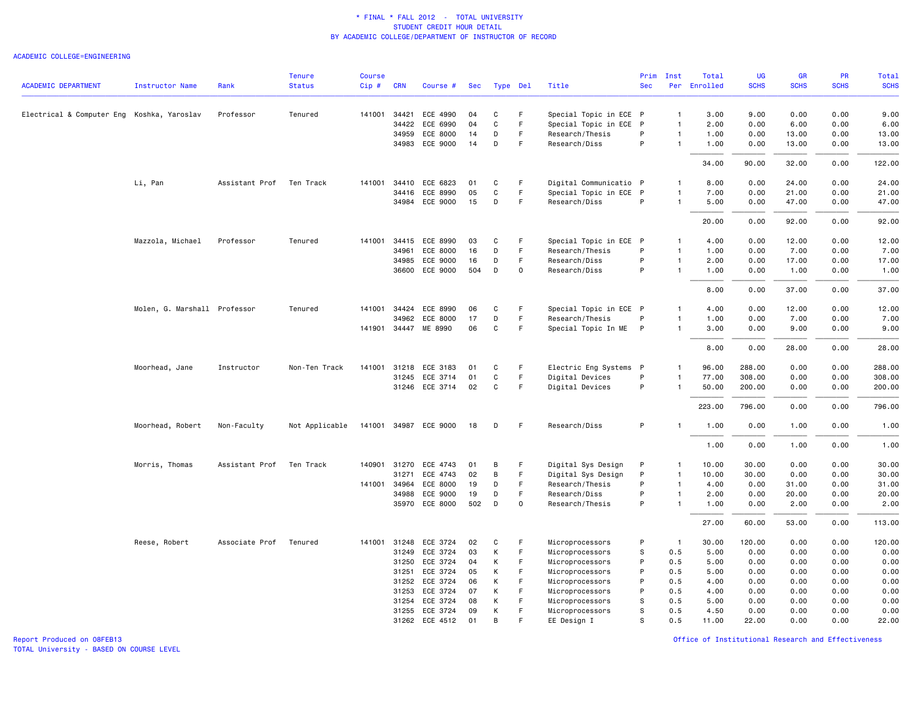### ACADEMIC COLLEGE=ENGINEERING

|                                            |                              |                | <b>Tenure</b>  | <b>Course</b> |              |                                  |          |               |              |                        | Prim       | Inst           | Total        | <b>UG</b>    | GR           | PR           | Total         |
|--------------------------------------------|------------------------------|----------------|----------------|---------------|--------------|----------------------------------|----------|---------------|--------------|------------------------|------------|----------------|--------------|--------------|--------------|--------------|---------------|
| <b>ACADEMIC DEPARTMENT</b>                 | Instructor Name              | Rank           | <b>Status</b>  | Cip#          | <b>CRN</b>   | Course #                         | Sec      | Type Del      |              | Title                  | <b>Sec</b> |                | Per Enrolled | <b>SCHS</b>  | <b>SCHS</b>  | <b>SCHS</b>  | <b>SCHS</b>   |
| Electrical & Computer Eng Koshka, Yaroslav |                              | Professor      | Tenured        |               |              | 141001 34421 ECE 4990            | 04       | C             | F            | Special Topic in ECE P |            | $\mathbf{1}$   | 3.00         | 9.00         | 0.00         | 0.00         | 9.00          |
|                                            |                              |                |                |               | 34422        | ECE 6990                         | 04       | $\mathbf C$   | F            | Special Topic in ECE P |            | $\overline{1}$ | 2.00         | 0.00         | 6.00         | 0.00         | 6.00          |
|                                            |                              |                |                |               | 34959        | ECE 8000                         | 14       | D             | F.           | Research/Thesis        | P          | $\mathbf{1}$   | 1.00         | 0.00         | 13.00        | 0.00         | 13.00         |
|                                            |                              |                |                |               |              | 34983 ECE 9000                   | 14       | D             | F            | Research/Diss          | P          | $\mathbf{1}$   | 1.00         | 0.00         | 13.00        | 0.00         | 13.00         |
|                                            |                              |                |                |               |              |                                  |          |               |              |                        |            |                | 34.00        | 90.00        | 32.00        | 0.00         | 122.00        |
|                                            | Li, Pan                      | Assistant Prof | Ten Track      | 141001        | 34410        | ECE 6823                         | 01       | C             | F            | Digital Communicatio P |            | 1              | 8.00         | 0.00         | 24.00        | 0.00         | 24.00         |
|                                            |                              |                |                |               | 34416        | ECE 8990                         | 05       | $\mathbf C$   | F            | Special Topic in ECE P |            | $\mathbf{1}$   | 7.00         | 0.00         | 21.00        | 0.00         | 21.00         |
|                                            |                              |                |                |               |              | 34984 ECE 9000                   | 15       | D             | -F           | Research/Diss          | P          | $\mathbf{1}$   | 5.00         | 0.00         | 47.00        | 0.00         | 47.00         |
|                                            |                              |                |                |               |              |                                  |          |               |              |                        |            |                | 20.00        | 0.00         | 92.00        | 0.00         | 92.00         |
|                                            | Mazzola, Michael             | Professor      | Tenured        | 141001        |              | 34415 ECE 8990                   | 03       | C             | E            | Special Topic in ECE P |            | $\mathbf{1}$   | 4.00         | 0.00         | 12.00        | 0.00         | 12.00         |
|                                            |                              |                |                |               | 34961        | ECE 8000                         | 16       | D             | F.           | Research/Thesis        | P          | $\mathbf{1}$   | 1.00         | 0.00         | 7.00         | 0.00         | 7.00          |
|                                            |                              |                |                |               | 34985        | ECE 9000                         | 16       | D             | F            | Research/Diss          | P          | $\mathbf{1}$   | 2.00         | 0.00         | 17.00        | 0.00         | 17.00         |
|                                            |                              |                |                |               |              | 36600 ECE 9000                   | 504      | D             | $\mathbf 0$  | Research/Diss          | P          | $\mathbf{1}$   | 1.00         | 0.00         | 1.00         | 0.00         | 1.00          |
|                                            |                              |                |                |               |              |                                  |          |               |              |                        |            |                | 8.00         | 0.00         | 37.00        | 0.00         | 37.00         |
|                                            | Molen, G. Marshall Professor |                | Tenured        |               | 141001 34424 | ECE 8990                         | 06       | C             | F            | Special Topic in ECE P |            | $\mathbf{1}$   | 4.00         | 0.00         | 12.00        | 0.00         | 12.00         |
|                                            |                              |                |                |               | 34962        | ECE 8000                         | 17       | D             | F            | Research/Thesis        | P          | $\mathbf{1}$   | 1.00         | 0.00         | 7.00         | 0.00         | 7.00          |
|                                            |                              |                |                |               |              | 141901 34447 ME 8990             | 06       | C             | F            | Special Topic In ME P  |            | $\mathbf{1}$   | 3.00         | 0.00         | 9.00         | 0.00         | 9.00          |
|                                            |                              |                |                |               |              |                                  |          |               |              |                        |            |                | 8.00         | 0.00         | 28.00        | 0.00         | 28.00         |
|                                            | Moorhead, Jane               | Instructor     | Non-Ten Track  | 141001        | 31218        | ECE 3183                         | 01       | C             | F            | Electric Eng Systems P |            | $\mathbf{1}$   | 96.00        | 288.00       | 0.00         | 0.00         | 288.00        |
|                                            |                              |                |                |               |              | 31245 ECE 3714                   | 01       | C             | F            | Digital Devices        | P          | $\overline{1}$ | 77.00        | 308.00       | 0.00         | 0.00         | 308.00        |
|                                            |                              |                |                |               |              | 31246 ECE 3714                   | 02       | C             | F            | Digital Devices        | P          | $\mathbf{1}$   | 50.00        | 200.00       | 0.00         | 0.00         | 200.00        |
|                                            |                              |                |                |               |              |                                  |          |               |              |                        |            |                | 223.00       | 796.00       | 0.00         | 0.00         | 796.00        |
|                                            | Moorhead, Robert             | Non-Faculty    | Not Applicable |               |              | 141001 34987 ECE 9000            | 18       | D             | F.           | Research/Diss          | P          | -1             | 1.00         | 0.00         | 1.00         | 0.00         | 1.00          |
|                                            |                              |                |                |               |              |                                  |          |               |              |                        |            |                | 1.00         | 0.00         | 1.00         | 0.00         | 1.00          |
|                                            | Morris, Thomas               | Assistant Prof | Ten Track      |               |              | 140901 31270 ECE 4743            | 01       | В             | F            | Digital Sys Design     | P          | $\mathbf{1}$   | 10.00        | 30.00        | 0.00         | 0.00         | 30.00         |
|                                            |                              |                |                |               | 31271        | ECE 4743                         | 02       | В             | F            | Digital Sys Design     | P          | $\overline{1}$ | 10.00        | 30.00        | 0.00         | 0.00         | 30.00         |
|                                            |                              |                |                | 141001        | 34964        | ECE 8000                         | 19       | D             | F.           | Research/Thesis        | P          | $\mathbf{1}$   | 4.00         | 0.00         | 31.00        | 0.00         | 31.00         |
|                                            |                              |                |                |               | 34988        | ECE 9000                         | 19       | D             | F            | Research/Diss          | P          | $\mathbf{1}$   | 2.00         | 0.00         | 20.00        | 0.00         | 20.00         |
|                                            |                              |                |                |               |              | 35970 ECE 8000                   | 502      | D             | $\mathsf{o}$ | Research/Thesis        | P          | $\mathbf{1}$   | 1.00         | 0.00         | 2.00         | 0.00         | 2.00          |
|                                            |                              |                |                |               |              |                                  |          |               |              |                        |            |                | 27.00        | 60.00        | 53.00        | 0.00         | 113.00        |
|                                            | Reese, Robert                | Associate Prof | Tenured        | 141001        | 31248        | ECE 3724                         | 02       | C             | F            | Microprocessors        | P          | $\overline{1}$ | 30.00        | 120.00       | 0.00         | 0.00         | 120.00        |
|                                            |                              |                |                |               | 31249        | ECE 3724                         | 03       | К             | F            | Microprocessors        | s          | 0.5            | 5.00         | 0.00         | 0.00         | 0.00         | 0.00          |
|                                            |                              |                |                |               | 31250        | ECE 3724                         | 04       | К             | F            | Microprocessors        | P          | 0.5            | 5.00         | 0.00         | 0.00         | 0.00         | 0.00          |
|                                            |                              |                |                |               | 31251        | ECE 3724                         | 05       | К             | F            | Microprocessors        | P          | 0.5            | 5.00         | 0.00         | 0.00         | 0.00         | 0.00          |
|                                            |                              |                |                |               |              | 31252 ECE 3724                   | 06       | К             | F            | Microprocessors        | P          | 0.5            | 4.00         | 0.00         | 0.00         | 0.00         | 0.00          |
|                                            |                              |                |                |               | 31253        | ECE 3724                         | 07       | К             | F            | Microprocessors        | P          | 0.5            | 4.00         | 0.00         | 0.00         | 0.00         | 0.00          |
|                                            |                              |                |                |               | 31254        | ECE 3724                         | 08       | К             | F<br>F       | Microprocessors        | s<br>s     | 0.5<br>0.5     | 5.00<br>4.50 | 0.00<br>0.00 | 0.00         | 0.00         | 0.00          |
|                                            |                              |                |                |               |              | 31255 ECE 3724<br>31262 ECE 4512 | 09<br>01 | К<br><b>B</b> | E            | Microprocessors        | S          | 0.5            | 11.00        | 22.00        | 0.00<br>0.00 | 0.00<br>0.00 | 0.00<br>22.00 |
|                                            |                              |                |                |               |              |                                  |          |               |              | EE Design I            |            |                |              |              |              |              |               |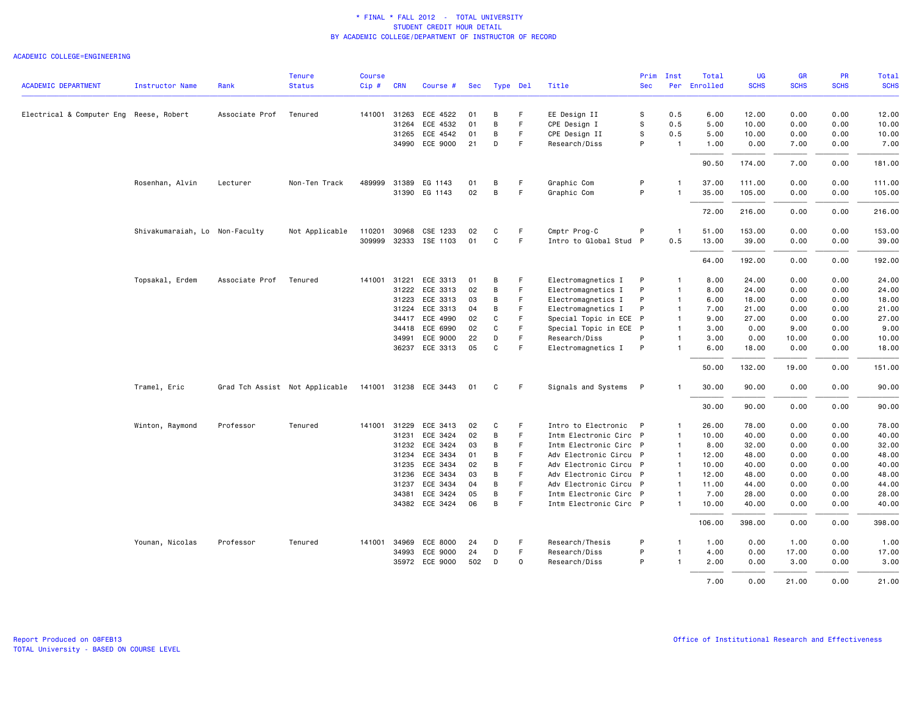### ACADEMIC COLLEGE=ENGINEERING

|                                         |                                |                | <b>Tenure</b>                  | Course |              |                       |            |          |    |                        | Prim       | Inst           | Total        | <b>UG</b>   | <b>GR</b>   | PR          | Total       |
|-----------------------------------------|--------------------------------|----------------|--------------------------------|--------|--------------|-----------------------|------------|----------|----|------------------------|------------|----------------|--------------|-------------|-------------|-------------|-------------|
| <b>ACADEMIC DEPARTMENT</b>              | <b>Instructor Name</b>         | Rank           | <b>Status</b>                  | Cip#   | <b>CRN</b>   | Course #              | <b>Sec</b> | Type Del |    | Title                  | <b>Sec</b> |                | Per Enrolled | <b>SCHS</b> | <b>SCHS</b> | <b>SCHS</b> | <b>SCHS</b> |
| Electrical & Computer Eng Reese, Robert |                                | Associate Prof | Tenured                        |        | 141001 31263 | ECE 4522              | 01         | в        | F  | EE Design II           | s          | 0.5            | 6.00         | 12.00       | 0.00        | 0.00        | 12.00       |
|                                         |                                |                |                                |        | 31264        | ECE 4532              | 01         | B        | F  | CPE Design I           | s          | 0.5            | 5.00         | 10.00       | 0.00        | 0.00        | 10.00       |
|                                         |                                |                |                                |        |              | 31265 ECE 4542        | 01         | B        | F  | CPE Design II          | s          | 0.5            | 5.00         | 10.00       | 0.00        | 0.00        | 10.00       |
|                                         |                                |                |                                |        |              | 34990 ECE 9000        | 21         | D        | F  | Research/Diss          | P          | $\overline{1}$ | 1.00         | 0.00        | 7.00        | 0.00        | 7.00        |
|                                         |                                |                |                                |        |              |                       |            |          |    |                        |            |                | 90.50        | 174.00      | 7.00        | 0.00        | 181.00      |
|                                         | Rosenhan, Alvin                | Lecturer       | Non-Ten Track                  |        |              | 489999 31389 EG 1143  | 01         | B        | F  | Graphic Com            | P          | $\overline{1}$ | 37.00        | 111.00      | 0.00        | 0.00        | 111.00      |
|                                         |                                |                |                                |        |              | 31390 EG 1143         | 02         | B        | F. | Graphic Com            | P          | $\overline{1}$ | 35.00        | 105.00      | 0.00        | 0.00        | 105.00      |
|                                         |                                |                |                                |        |              |                       |            |          |    |                        |            |                | 72.00        | 216.00      | 0.00        | 0.00        | 216.00      |
|                                         | Shivakumaraiah, Lo Non-Faculty |                | Not Applicable                 | 110201 | 30968        | CSE 1233              | 02         | C        | F  | Cmptr Prog-C           | P          | -1             | 51.00        | 153.00      | 0.00        | 0.00        | 153.00      |
|                                         |                                |                |                                |        |              | 309999 32333 ISE 1103 | 01         | C        | F. | Intro to Global Stud P |            | 0.5            | 13.00        | 39.00       | 0.00        | 0.00        | 39.00       |
|                                         |                                |                |                                |        |              |                       |            |          |    |                        |            |                | 64.00        | 192.00      | 0.00        | 0.00        | 192.00      |
|                                         | Topsakal, Erdem                | Associate Prof | Tenured                        |        | 141001 31221 | ECE 3313              | 01         | B        |    | Electromagnetics I     | P          | $\overline{1}$ | 8.00         | 24.00       | 0.00        | 0.00        | 24.00       |
|                                         |                                |                |                                |        | 31222        | ECE 3313              | 02         | B        | F. | Electromagnetics I     | P          | $\overline{1}$ | 8.00         | 24.00       | 0.00        | 0.00        | 24.00       |
|                                         |                                |                |                                |        | 31223        | ECE 3313              | 03         | В        | F  | Electromagnetics I     | P          | $\overline{1}$ | 6.00         | 18.00       | 0.00        | 0.00        | 18.00       |
|                                         |                                |                |                                |        | 31224        | ECE 3313              | 04         | B        | F  | Electromagnetics I     | P          | $\overline{1}$ | 7.00         | 21.00       | 0.00        | 0.00        | 21.00       |
|                                         |                                |                |                                |        |              | 34417 ECE 4990        | 02         | C        | F  | Special Topic in ECE   | P          | $\overline{1}$ | 9.00         | 27.00       | 0.00        | 0.00        | 27.00       |
|                                         |                                |                |                                |        |              | 34418 ECE 6990        | 02         | C        | F  | Special Topic in ECE P |            | $\overline{1}$ | 3.00         | 0.00        | 9.00        | 0.00        | 9.00        |
|                                         |                                |                |                                |        | 34991        | ECE 9000              | 22         | D        | F  | Research/Diss          | P          | $\overline{1}$ | 3.00         | 0.00        | 10.00       | 0.00        | 10.00       |
|                                         |                                |                |                                |        |              | 36237 ECE 3313        | 05         | C        | F  | Electromagnetics I     | P          | $\overline{1}$ | 6.00         | 18.00       | 0.00        | 0.00        | 18.00       |
|                                         |                                |                |                                |        |              |                       |            |          |    |                        |            |                | 50.00        | 132.00      | 19.00       | 0.00        | 151.00      |
|                                         | Tramel, Eric                   |                | Grad Tch Assist Not Applicable |        |              | 141001 31238 ECE 3443 | 01         | C        | F  | Signals and Systems    | P          |                | 30.00        | 90.00       | 0.00        | 0.00        | 90.00       |
|                                         |                                |                |                                |        |              |                       |            |          |    |                        |            |                | 30.00        | 90.00       | 0.00        | 0.00        | 90.00       |
|                                         | Winton, Raymond                | Professor      | Tenured                        |        |              | 141001 31229 ECE 3413 | 02         | C        | F  | Intro to Electronic    | P          | $\overline{1}$ | 26.00        | 78.00       | 0.00        | 0.00        | 78.00       |
|                                         |                                |                |                                |        | 31231        | ECE 3424              | 02         | B        | F  | Intm Electronic Circ P |            | $\overline{1}$ | 10.00        | 40.00       | 0.00        | 0.00        | 40.00       |
|                                         |                                |                |                                |        | 31232        | ECE 3424              | 03         | B        | F  | Intm Electronic Circ P |            | $\overline{1}$ | 8.00         | 32.00       | 0.00        | 0.00        | 32.00       |
|                                         |                                |                |                                |        | 31234        | ECE 3434              | 01         | B        | F  | Adv Electronic Circu P |            | $\overline{1}$ | 12.00        | 48.00       | 0.00        | 0.00        | 48.00       |
|                                         |                                |                |                                |        |              | 31235 ECE 3434        | 02         | B        | F  | Adv Electronic Circu P |            | $\overline{1}$ | 10.00        | 40.00       | 0.00        | 0.00        | 40.00       |
|                                         |                                |                |                                |        | 31236        | ECE 3434              | 03         | В        | F  | Adv Electronic Circu P |            | $\overline{1}$ | 12.00        | 48.00       | 0.00        | 0.00        | 48.00       |
|                                         |                                |                |                                |        | 31237        | ECE 3434              | 04         | В        | F  | Adv Electronic Circu P |            | $\mathbf{1}$   | 11.00        | 44.00       | 0.00        | 0.00        | 44.00       |
|                                         |                                |                |                                |        | 34381        | ECE 3424              | 05         | B        | F  | Intm Electronic Circ P |            | $\overline{1}$ | 7.00         | 28.00       | 0.00        | 0.00        | 28.00       |
|                                         |                                |                |                                |        |              | 34382 ECE 3424        | 06         | B        | F  | Intm Electronic Circ P |            | $\mathbf{1}$   | 10.00        | 40.00       | 0.00        | 0.00        | 40.00       |
|                                         |                                |                |                                |        |              |                       |            |          |    |                        |            |                | 106.00       | 398.00      | 0.00        | 0.00        | 398.00      |
|                                         | Younan, Nicolas                | Professor      | Tenured                        |        |              | 141001 34969 ECE 8000 | 24         | D        | F  | Research/Thesis        | P          | $\overline{1}$ | 1.00         | 0.00        | 1.00        | 0.00        | 1.00        |
|                                         |                                |                |                                |        | 34993        | ECE 9000              | 24         | D        | F. | Research/Diss          | P          | $\overline{1}$ | 4.00         | 0.00        | 17.00       | 0.00        | 17.00       |
|                                         |                                |                |                                |        |              | 35972 ECE 9000        | 502        | D        | 0  | Research/Diss          | P          | $\overline{1}$ | 2.00         | 0.00        | 3.00        | 0.00        | 3.00        |
|                                         |                                |                |                                |        |              |                       |            |          |    |                        |            |                | 7.00         | 0.00        | 21.00       | 0.00        | 21.00       |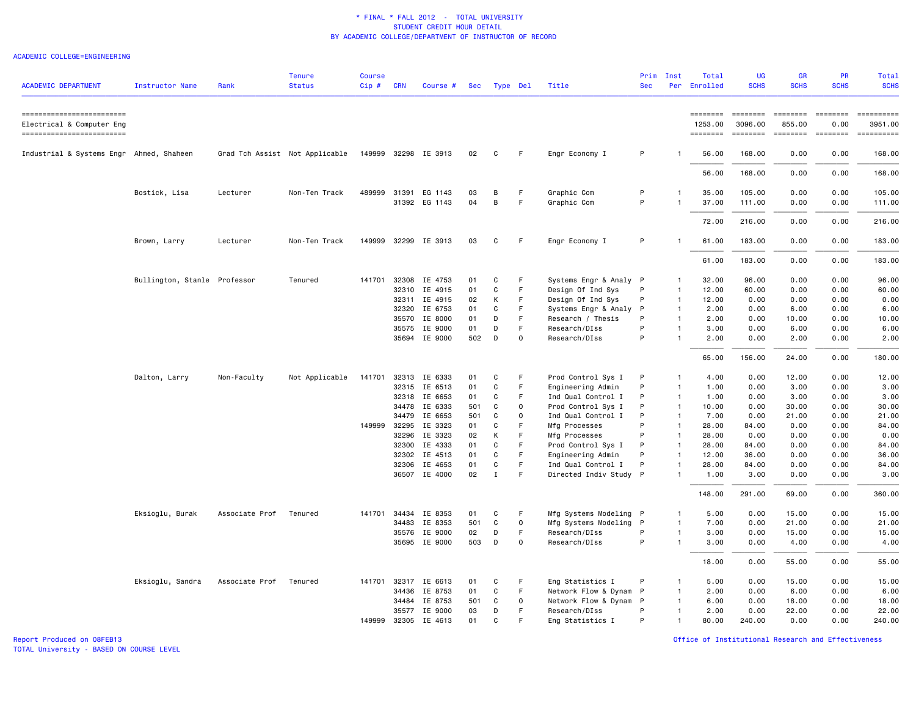### ACADEMIC COLLEGE=ENGINEERING

| <b>ACADEMIC DEPARTMENT</b>                             | <b>Instructor Name</b>       | Rank           | <b>Tenure</b><br><b>Status</b> | <b>Course</b><br>Cip# | CRN            | Course #                 | Sec      |              | Type Del    | Title                                       | Prim<br><b>Sec</b> | Inst                           | Total<br>Per Enrolled | <b>UG</b><br><b>SCHS</b>                                                           | <b>GR</b><br><b>SCHS</b>                                                                                                                       | PR<br><b>SCHS</b>       | Total<br><b>SCHS</b>                                                                                                                                                                                                                                                                                                                                                                                                                                                                                 |
|--------------------------------------------------------|------------------------------|----------------|--------------------------------|-----------------------|----------------|--------------------------|----------|--------------|-------------|---------------------------------------------|--------------------|--------------------------------|-----------------------|------------------------------------------------------------------------------------|------------------------------------------------------------------------------------------------------------------------------------------------|-------------------------|------------------------------------------------------------------------------------------------------------------------------------------------------------------------------------------------------------------------------------------------------------------------------------------------------------------------------------------------------------------------------------------------------------------------------------------------------------------------------------------------------|
| ==========================                             |                              |                |                                |                       |                |                          |          |              |             |                                             |                    |                                | ========              | $\qquad \qquad \equiv \equiv \equiv \equiv \equiv \equiv \equiv \equiv$            | <b>EBBBBBBB</b>                                                                                                                                | <b>ESSESSE</b>          | <b>Expressed</b>                                                                                                                                                                                                                                                                                                                                                                                                                                                                                     |
| Electrical & Computer Eng<br>------------------------- |                              |                |                                |                       |                |                          |          |              |             |                                             |                    |                                | 1253.00<br>========   | 3096.00<br>$\qquad \qquad \equiv \equiv \equiv \equiv \equiv \equiv \equiv \equiv$ | 855.00<br>$\qquad \qquad \blacksquare \blacksquare \blacksquare \blacksquare \blacksquare \blacksquare \blacksquare \blacksquare \blacksquare$ | 0.00<br>$= 10000000000$ | 3951.00<br>$\begin{minipage}{0.03\linewidth} \begin{tabular}{l} \multicolumn{2}{l}{} & \multicolumn{2}{l}{} & \multicolumn{2}{l}{} \\ \multicolumn{2}{l}{} & \multicolumn{2}{l}{} & \multicolumn{2}{l}{} \\ \multicolumn{2}{l}{} & \multicolumn{2}{l}{} & \multicolumn{2}{l}{} \\ \multicolumn{2}{l}{} & \multicolumn{2}{l}{} & \multicolumn{2}{l}{} \\ \multicolumn{2}{l}{} & \multicolumn{2}{l}{} & \multicolumn{2}{l}{} \\ \multicolumn{2}{l}{} & \multicolumn{2}{l}{} & \multicolumn{2}{l}{} \\$ |
| Industrial & Systems Engr Ahmed, Shaheen               |                              |                | Grad Tch Assist Not Applicable |                       |                | 149999 32298 IE 3913     | 02       | C            | F           | Engr Economy I                              | P                  |                                | 56.00                 | 168.00                                                                             | 0.00                                                                                                                                           | 0.00                    | 168.00                                                                                                                                                                                                                                                                                                                                                                                                                                                                                               |
|                                                        |                              |                |                                |                       |                |                          |          |              |             |                                             |                    |                                | 56.00                 | 168.00                                                                             | 0.00                                                                                                                                           | 0.00                    | 168.00                                                                                                                                                                                                                                                                                                                                                                                                                                                                                               |
|                                                        | Bostick, Lisa                | Lecturer       | Non-Ten Track                  | 489999                | 31391          | EG 1143<br>31392 EG 1143 | 03<br>04 | B<br>B       | F<br>F      | Graphic Com<br>Graphic Com                  | P<br>P             | $\mathbf{1}$<br>1              | 35.00<br>37.00        | 105.00<br>111.00                                                                   | 0.00<br>0.00                                                                                                                                   | 0.00<br>0.00            | 105.00<br>111.00                                                                                                                                                                                                                                                                                                                                                                                                                                                                                     |
|                                                        |                              |                |                                |                       |                |                          |          |              |             |                                             |                    |                                | 72.00                 | 216.00                                                                             | 0.00                                                                                                                                           | 0.00                    | 216.00                                                                                                                                                                                                                                                                                                                                                                                                                                                                                               |
|                                                        | Brown, Larry                 | Lecturer       | Non-Ten Track                  | 149999                |                | 32299 IE 3913            | 03       | C            | F           | Engr Economy I                              | P                  | $\mathbf{1}$                   | 61.00                 | 183,00                                                                             | 0.00                                                                                                                                           | 0.00                    | 183.00                                                                                                                                                                                                                                                                                                                                                                                                                                                                                               |
|                                                        |                              |                |                                |                       |                |                          |          |              |             |                                             |                    |                                | 61.00                 | 183.00                                                                             | 0.00                                                                                                                                           | 0.00                    | 183.00                                                                                                                                                                                                                                                                                                                                                                                                                                                                                               |
|                                                        | Bullington, Stanle Professor |                | Tenured                        | 141701                | 32308<br>32310 | IE 4753<br>IE 4915       | 01<br>01 | C<br>C       | F<br>F.     | Systems Engr & Analy P<br>Design Of Ind Sys | P                  | $\mathbf{1}$<br>$\overline{1}$ | 32.00<br>12.00        | 96.00<br>60.00                                                                     | 0.00<br>0.00                                                                                                                                   | 0.00<br>0.00            | 96.00<br>60.00                                                                                                                                                                                                                                                                                                                                                                                                                                                                                       |
|                                                        |                              |                |                                |                       | 32311          | IE 4915                  | 02       | К            | F           | Design Of Ind Sys                           | P                  | $\overline{1}$                 | 12.00                 | 0.00                                                                               | 0.00                                                                                                                                           | 0.00                    | 0.00                                                                                                                                                                                                                                                                                                                                                                                                                                                                                                 |
|                                                        |                              |                |                                |                       | 32320          | IE 6753                  | 01       | C            | F           | Systems Engr & Analy                        | P                  | $\mathbf{1}$                   | 2.00                  | 0.00                                                                               | 6.00                                                                                                                                           | 0.00                    | 6.00                                                                                                                                                                                                                                                                                                                                                                                                                                                                                                 |
|                                                        |                              |                |                                |                       | 35570          | IE 8000                  | 01       | D            | F.          | Research / Thesis                           | P                  | $\mathbf{1}$                   | 2.00                  | 0.00                                                                               | 10.00                                                                                                                                          | 0.00                    | 10.00                                                                                                                                                                                                                                                                                                                                                                                                                                                                                                |
|                                                        |                              |                |                                |                       |                | 35575 IE 9000            | 01       | D            | F.          | Research/DIss                               | P                  | $\mathbf{1}$                   | 3.00                  | 0.00                                                                               | 6.00                                                                                                                                           | 0.00                    | 6.00                                                                                                                                                                                                                                                                                                                                                                                                                                                                                                 |
|                                                        |                              |                |                                |                       |                | 35694 IE 9000            | 502      | D            | $\Omega$    | Research/DIss                               | P                  | $\mathbf{1}$                   | 2.00                  | 0.00                                                                               | 2.00                                                                                                                                           | 0.00                    | 2.00                                                                                                                                                                                                                                                                                                                                                                                                                                                                                                 |
|                                                        |                              |                |                                |                       |                |                          |          |              |             |                                             |                    |                                | 65.00                 | 156.00                                                                             | 24.00                                                                                                                                          | 0.00                    | 180.00                                                                                                                                                                                                                                                                                                                                                                                                                                                                                               |
|                                                        | Dalton, Larry                | Non-Faculty    | Not Applicable                 | 141701                |                | 32313 IE 6333            | 01       | C            | F           | Prod Control Sys I                          | P                  | 1                              | 4.00                  | 0.00                                                                               | 12.00                                                                                                                                          | 0.00                    | 12.00                                                                                                                                                                                                                                                                                                                                                                                                                                                                                                |
|                                                        |                              |                |                                |                       | 32315          | IE 6513                  | 01       | C            | F           | Engineering Admin                           | P                  | $\mathbf{1}$                   | 1.00                  | 0.00                                                                               | 3.00                                                                                                                                           | 0.00                    | 3.00                                                                                                                                                                                                                                                                                                                                                                                                                                                                                                 |
|                                                        |                              |                |                                |                       |                | 32318 IE 6653            | 01       | C            | F           | Ind Qual Control I                          | P                  | $\overline{1}$                 | 1.00                  | 0.00                                                                               | 3.00                                                                                                                                           | 0.00                    | 3.00                                                                                                                                                                                                                                                                                                                                                                                                                                                                                                 |
|                                                        |                              |                |                                |                       | 34478          | IE 6333                  | 501      | C            | $\mathbf 0$ | Prod Control Sys I                          | P                  | $\mathbf{1}$                   | 10.00                 | 0.00                                                                               | 30.00                                                                                                                                          | 0.00                    | 30.00                                                                                                                                                                                                                                                                                                                                                                                                                                                                                                |
|                                                        |                              |                |                                |                       | 34479          | IE 6653                  | 501      | C            | $\Omega$    | Ind Qual Control I                          | P                  | $\mathbf{1}$                   | 7.00                  | 0.00                                                                               | 21.00                                                                                                                                          | 0.00                    | 21.00                                                                                                                                                                                                                                                                                                                                                                                                                                                                                                |
|                                                        |                              |                |                                | 149999                | 32295          | IE 3323                  | 01       | C            | F           | Mfg Processes                               | P                  | $\overline{1}$                 | 28.00                 | 84.00                                                                              | 0.00                                                                                                                                           | 0.00                    | 84.00                                                                                                                                                                                                                                                                                                                                                                                                                                                                                                |
|                                                        |                              |                |                                |                       | 32296          | IE 3323                  | 02       | К            | F.          | Mfg Processes                               | P                  | $\mathbf{1}$                   | 28.00                 | 0.00                                                                               | 0.00                                                                                                                                           | 0.00                    | 0.00                                                                                                                                                                                                                                                                                                                                                                                                                                                                                                 |
|                                                        |                              |                |                                |                       | 32300          | IE 4333                  | 01       | C            | F           | Prod Control Sys I                          | P                  | $\mathbf{1}$                   | 28.00                 | 84.00                                                                              | 0.00                                                                                                                                           | 0.00                    | 84.00                                                                                                                                                                                                                                                                                                                                                                                                                                                                                                |
|                                                        |                              |                |                                |                       | 32302          | IE 4513                  | 01       | C            | F           | Engineering Admin                           | P                  | $\mathbf{1}$                   | 12.00                 | 36.00                                                                              | 0.00                                                                                                                                           | 0.00                    | 36.00                                                                                                                                                                                                                                                                                                                                                                                                                                                                                                |
|                                                        |                              |                |                                |                       | 32306          | IE 4653                  | 01       | C            | F           | Ind Qual Control I                          | P                  | $\mathbf{1}$                   | 28.00                 | 84.00                                                                              | 0.00                                                                                                                                           | 0.00                    | 84.00                                                                                                                                                                                                                                                                                                                                                                                                                                                                                                |
|                                                        |                              |                |                                |                       |                | 36507 IE 4000            | 02       | $\mathbf{I}$ | F           | Directed Indiv Study P                      |                    | $\mathbf{1}$                   | 1.00                  | 3.00                                                                               | 0.00                                                                                                                                           | 0.00                    | 3.00                                                                                                                                                                                                                                                                                                                                                                                                                                                                                                 |
|                                                        |                              |                |                                |                       |                |                          |          |              |             |                                             |                    |                                | 148.00                | 291.00                                                                             | 69.00                                                                                                                                          | 0.00                    | 360.00                                                                                                                                                                                                                                                                                                                                                                                                                                                                                               |
|                                                        | Eksioglu, Burak              | Associate Prof | Tenured                        | 141701                | 34434          | IE 8353                  | 01       | C            | F           | Mfg Systems Modeling P                      |                    | $\mathbf{1}$                   | 5.00                  | 0.00                                                                               | 15.00                                                                                                                                          | 0.00                    | 15.00                                                                                                                                                                                                                                                                                                                                                                                                                                                                                                |
|                                                        |                              |                |                                |                       | 34483          | IE 8353                  | 501      | C            | 0           | Mfg Systems Modeling P                      |                    | 1                              | 7.00                  | 0.00                                                                               | 21.00                                                                                                                                          | 0.00                    | 21.00                                                                                                                                                                                                                                                                                                                                                                                                                                                                                                |
|                                                        |                              |                |                                |                       | 35576          | IE 9000                  | 02       | D            | F           | Research/DIss                               | P                  | $\mathbf{1}$                   | 3.00                  | 0.00                                                                               | 15.00                                                                                                                                          | 0.00                    | 15.00                                                                                                                                                                                                                                                                                                                                                                                                                                                                                                |
|                                                        |                              |                |                                |                       |                | 35695 IE 9000            | 503      | D            | $\Omega$    | Research/DIss                               | P                  | $\mathbf{1}$                   | 3.00                  | 0.00                                                                               | 4.00                                                                                                                                           | 0.00                    | 4.00                                                                                                                                                                                                                                                                                                                                                                                                                                                                                                 |
|                                                        |                              |                |                                |                       |                |                          |          |              |             |                                             |                    |                                | 18.00                 | 0.00                                                                               | 55.00                                                                                                                                          | 0.00                    | 55.00                                                                                                                                                                                                                                                                                                                                                                                                                                                                                                |
|                                                        | Eksioglu, Sandra             | Associate Prof | Tenured                        |                       |                | 141701 32317 IE 6613     | 01       | C            | F           | Eng Statistics I                            | P                  | $\mathbf{1}$                   | 5.00                  | 0.00                                                                               | 15.00                                                                                                                                          | 0.00                    | 15.00                                                                                                                                                                                                                                                                                                                                                                                                                                                                                                |
|                                                        |                              |                |                                |                       |                | 34436 IE 8753            | 01       | C            | F.          | Network Flow & Dynam                        | $\mathsf{P}$       | $\mathbf{1}$                   | 2.00                  | 0.00                                                                               | 6.00                                                                                                                                           | 0.00                    | 6.00                                                                                                                                                                                                                                                                                                                                                                                                                                                                                                 |
|                                                        |                              |                |                                |                       | 34484          | IE 8753                  | 501      | C            | 0           | Network Flow & Dynam P                      |                    | 1                              | 6.00                  | 0.00                                                                               | 18.00                                                                                                                                          | 0.00                    | 18.00                                                                                                                                                                                                                                                                                                                                                                                                                                                                                                |
|                                                        |                              |                |                                |                       |                | 35577 IE 9000            | 03       | D            | F           | Research/DIss                               | P                  | $\mathbf{1}$                   | 2.00                  | 0.00                                                                               | 22.00                                                                                                                                          | 0.00                    | 22.00                                                                                                                                                                                                                                                                                                                                                                                                                                                                                                |
|                                                        |                              |                |                                | 149999                | 32305          | IE 4613                  | 01       | C            |             | Eng Statistics I                            | P                  |                                | 80.00                 | 240.00                                                                             | 0.00                                                                                                                                           | 0.00                    | 240.00                                                                                                                                                                                                                                                                                                                                                                                                                                                                                               |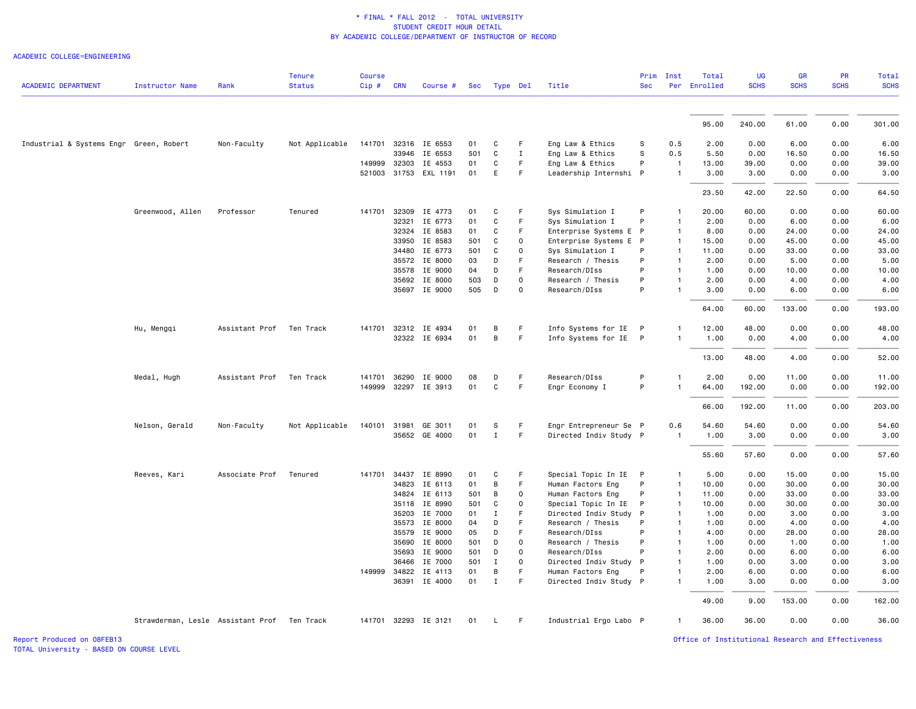ACADEMIC COLLEGE=ENGINEERING

|                                         |                                   |                | <b>Tenure</b><br><b>Status</b> | <b>Course</b> |                |                      |            |                  |                                    |                                         | Prim         | Inst         | Total<br>Per Enrolled | UG<br><b>SCHS</b> | <b>GR</b><br><b>SCHS</b> | PR<br><b>SCHS</b> | Total<br><b>SCHS</b> |
|-----------------------------------------|-----------------------------------|----------------|--------------------------------|---------------|----------------|----------------------|------------|------------------|------------------------------------|-----------------------------------------|--------------|--------------|-----------------------|-------------------|--------------------------|-------------------|----------------------|
| <b>ACADEMIC DEPARTMENT</b>              | <b>Instructor Name</b>            | Rank           |                                | Cip#          | <b>CRN</b>     | Course #             | Sec        | Type Del         |                                    | Title                                   | <b>Sec</b>   |              |                       |                   |                          |                   |                      |
|                                         |                                   |                |                                |               |                |                      |            |                  |                                    |                                         |              |              | 95.00                 | 240.00            | 61.00                    | 0.00              | 301.00               |
|                                         |                                   |                |                                |               |                |                      |            |                  |                                    |                                         |              |              |                       |                   |                          |                   |                      |
| Industrial & Systems Engr Green, Robert |                                   | Non-Faculty    | Not Applicable                 | 141701        | 32316          | IE 6553              | 01         | C                | F                                  | Eng Law & Ethics                        | s            | 0.5          | 2.00                  | 0.00              | 6.00                     | 0.00              | 6.00                 |
|                                         |                                   |                |                                |               | 33946          | IE 6553              | 501        | C                | $\mathbf{I}$                       | Eng Law & Ethics                        | S            | 0.5          | 5.50                  | 0.00              | 16.50                    | 0.00              | 16.50                |
|                                         |                                   |                |                                | 149999        | 32303          | IE 4553              | 01         | C                | F.                                 | Eng Law & Ethics                        | P            | $\mathbf{1}$ | 13.00                 | 39.00             | 0.00                     | 0.00              | 39.00                |
|                                         |                                   |                |                                | 521003        | 31753          | EXL 1191             | 01         | E.               | F.                                 | Leadership Internshi P                  |              |              | 3.00                  | 3.00              | 0.00                     | 0.00              | 3.00                 |
|                                         |                                   |                |                                |               |                |                      |            |                  |                                    |                                         |              |              | 23.50                 | 42.00             | 22.50                    | 0.00              | 64.50                |
|                                         | Greenwood, Allen                  | Professor      | Tenured                        | 141701        | 32309          | IE 4773              | 01         | C                | F                                  | Sys Simulation I                        | P            |              | 20.00                 | 60.00             | 0.00                     | 0.00              | 60.00                |
|                                         |                                   |                |                                |               | 32321          | IE 6773              | 01         | C                | F                                  | Sys Simulation I                        | P            |              | 2.00                  | 0.00              | 6.00                     | 0.00              | 6.00                 |
|                                         |                                   |                |                                |               | 32324          | IE 8583              | 01         | C                | F.                                 | Enterprise Systems E P                  |              | $\mathbf{1}$ | 8.00                  | 0.00              | 24.00                    | 0.00              | 24.00                |
|                                         |                                   |                |                                |               | 33950          | IE 8583              | 501        | C                | 0                                  | Enterprise Systems E P                  |              | $\mathbf{1}$ | 15.00                 | 0.00              | 45.00                    | 0.00              | 45.00                |
|                                         |                                   |                |                                |               | 34480          | IE 6773              | 501        | C                | 0                                  | Sys Simulation I                        | P<br>P       |              | 11.00                 | 0.00              | 33.00                    | 0.00              | 33.00                |
|                                         |                                   |                |                                |               | 35572<br>35578 | IE 8000<br>IE 9000   | 03         | D<br>D           | F.<br>F                            | Research / Thesis<br>Research/DIss      | P            | $\mathbf{1}$ | 2.00<br>1.00          | 0.00<br>0.00      | 5.00<br>10.00            | 0.00<br>0.00      | 5.00<br>10.00        |
|                                         |                                   |                |                                |               | 35692          | IE 8000              | 04<br>503  | D                | $\mathbf 0$                        | Research / Thesis                       | P            |              | 2.00                  | 0.00              | 4.00                     | 0.00              | 4.00                 |
|                                         |                                   |                |                                |               |                | 35697 IE 9000        | 505        | D                | 0                                  | Research/DIss                           | P            |              | 3.00                  | 0.00              | 6.00                     | 0.00              | 6.00                 |
|                                         |                                   |                |                                |               |                |                      |            |                  |                                    |                                         |              |              | 64.00                 | 60.00             | 133.00                   | 0.00              | 193.00               |
|                                         |                                   |                |                                |               |                |                      |            |                  |                                    |                                         |              |              |                       |                   |                          |                   |                      |
|                                         | Hu, Mengqi                        | Assistant Prof | Ten Track                      | 141701        | 32312          | IE 4934              | 01         | В                | F                                  | Info Systems for IE                     | $\mathsf{P}$ |              | 12.00                 | 48.00             | 0.00                     | 0.00              | 48.00                |
|                                         |                                   |                |                                |               |                | 32322 IE 6934        | 01         | В                | F.                                 | Info Systems for IE                     | $\mathsf{P}$ |              | 1.00                  | 0.00              | 4.00                     | 0.00              | 4.00                 |
|                                         |                                   |                |                                |               |                |                      |            |                  |                                    |                                         |              |              | 13.00                 | 48.00             | 4.00                     | 0.00              | 52.00                |
|                                         | Medal, Hugh                       | Assistant Prof | Ten Track                      | 141701        | 36290          | IE 9000              | 08         | D                | F                                  | Research/DIss                           | P            |              | 2.00                  | 0.00              | 11.00                    | 0.00              | 11.00                |
|                                         |                                   |                |                                | 149999        |                | 32297 IE 3913        | 01         | C                | F                                  | Engr Economy I                          | P            |              | 64.00                 | 192.00            | 0.00                     | 0.00              | 192.00               |
|                                         |                                   |                |                                |               |                |                      |            |                  |                                    |                                         |              |              | 66.00                 | 192.00            | 11.00                    | 0.00              | 203.00               |
|                                         | Nelson, Gerald                    | Non-Faculty    | Not Applicable                 | 140101 31981  |                | GE 3011              | 01         | s                | F                                  | Engr Entrepreneur Se P                  |              | 0.6          | 54.60                 | 54.60             | 0.00                     | 0.00              | 54.60                |
|                                         |                                   |                |                                |               |                | 35652 GE 4000        | 01         | $\mathbf I$      | F                                  | Directed Indiv Study P                  |              | $\mathbf{1}$ | 1.00                  | 3.00              | 0.00                     | 0.00              | 3.00                 |
|                                         |                                   |                |                                |               |                |                      |            |                  |                                    |                                         |              |              |                       |                   |                          |                   |                      |
|                                         |                                   |                |                                |               |                |                      |            |                  |                                    |                                         |              |              | 55.60                 | 57.60             | 0.00                     | 0.00              | 57.60                |
|                                         | Reeves, Kari                      | Associate Prof | Tenured                        | 141701        | 34437          | IE 8990              | 01         | C                | F                                  | Special Topic In IE                     | $\mathsf{P}$ | $\mathbf{1}$ | 5.00                  | 0.00              | 15.00                    | 0.00              | 15.00                |
|                                         |                                   |                |                                |               | 34823          | IE 6113              | 01         | В                | F                                  | Human Factors Eng                       | P            |              | 10.00                 | 0.00              | 30.00                    | 0.00              | 30.00                |
|                                         |                                   |                |                                |               | 34824          | IE 6113              | 501        | В                | 0                                  | Human Factors Eng                       | P            | $\mathbf{1}$ | 11.00                 | 0.00              | 33.00                    | 0.00              | 33.00                |
|                                         |                                   |                |                                |               | 35118          | IE 8990              | 501        | C                | $\mathbf 0$                        | Special Topic In IE                     | P            |              | 10.00                 | 0.00              | 30.00                    | 0.00              | 30.00                |
|                                         |                                   |                |                                |               | 35203          | IE 7000              | 01         | Ι.               | F.                                 | Directed Indiv Study                    | P            |              | 1.00                  | 0.00              | 3.00                     | 0.00              | 3.00                 |
|                                         |                                   |                |                                |               | 35573          | IE 8000              | 04         | D                | F                                  | Research / Thesis                       | P            |              | 1.00                  | 0.00              | 4.00                     | 0.00              | 4.00                 |
|                                         |                                   |                |                                |               | 35579          | IE 9000              | 05         | D                | F.                                 | Research/DIss                           | P            | $\mathbf{1}$ | 4.00                  | 0.00              | 28.00                    | 0.00              | 28.00                |
|                                         |                                   |                |                                |               | 35690          | IE 8000              | 501        | D                | $\mathsf{O}\xspace$<br>$\mathbf 0$ | Research / Thesis                       | P<br>p       | $\mathbf{1}$ | 1.00                  | 0.00              | 1.00                     | 0.00              | 1.00                 |
|                                         |                                   |                |                                |               | 35693<br>36466 | IE 9000<br>IE 7000   | 501<br>501 | D<br>$\mathbf I$ | 0                                  | Research/DIss<br>Directed Indiv Study P |              | $\mathbf{1}$ | 2.00<br>1.00          | 0.00<br>0.00      | 6.00<br>3.00             | 0.00<br>0.00      | 6.00<br>3.00         |
|                                         |                                   |                |                                | 149999        | 34822          | IE 4113              | 01         | в                | F                                  | Human Factors Eng                       | P            |              | 2.00                  | 6.00              | 0.00                     | 0.00              | 6.00                 |
|                                         |                                   |                |                                |               | 36391          | IE 4000              | 01         | $\mathbf I$      | F.                                 | Directed Indiv Study P                  |              |              | 1.00                  | 3.00              | 0.00                     | 0.00              | 3.00                 |
|                                         |                                   |                |                                |               |                |                      |            |                  |                                    |                                         |              |              | 49.00                 | 9.00              | 153.00                   | 0.00              | 162.00               |
|                                         | Strawderman, Lesle Assistant Prof |                | Ten Track                      |               |                | 141701 32293 IE 3121 | 01         | L                | F                                  | Industrial Ergo Labo P                  |              | -1           | 36.00                 | 36.00             | 0.00                     | 0.00              | 36.00                |
|                                         |                                   |                |                                |               |                |                      |            |                  |                                    |                                         |              |              |                       |                   |                          |                   |                      |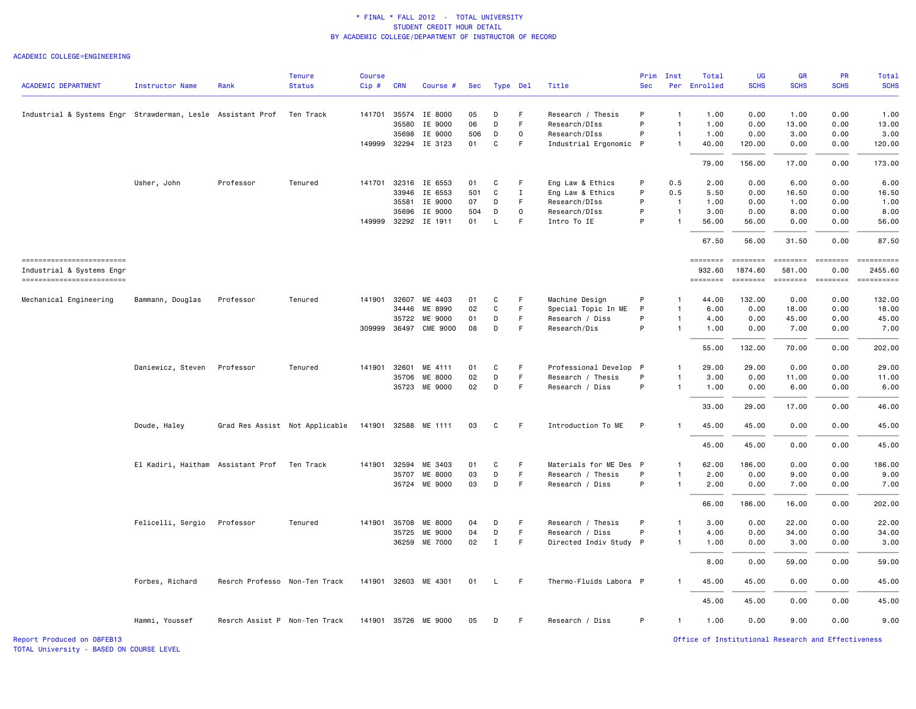#### ACADEMIC COLLEGE=ENGINEERING

| <b>ACADEMIC DEPARTMENT</b>                                  | <b>Instructor Name</b>            | Rank                          | <b>Tenure</b><br><b>Status</b> | <b>Course</b><br>Cip# | <b>CRN</b>   | Course #             | Sec |              | Type Del    | Title                  | Prim<br><b>Sec</b> | Inst           | Total<br>Per Enrolled | <b>UG</b><br><b>SCHS</b>   | GR<br><b>SCHS</b>                                                                                                                                                                                                                                                                                                                                                                                                                                                                                | PR<br><b>SCHS</b> | <b>Total</b><br><b>SCHS</b>                                                                                                                                                                                                                                                                                                                                                                                                                                             |
|-------------------------------------------------------------|-----------------------------------|-------------------------------|--------------------------------|-----------------------|--------------|----------------------|-----|--------------|-------------|------------------------|--------------------|----------------|-----------------------|----------------------------|--------------------------------------------------------------------------------------------------------------------------------------------------------------------------------------------------------------------------------------------------------------------------------------------------------------------------------------------------------------------------------------------------------------------------------------------------------------------------------------------------|-------------------|-------------------------------------------------------------------------------------------------------------------------------------------------------------------------------------------------------------------------------------------------------------------------------------------------------------------------------------------------------------------------------------------------------------------------------------------------------------------------|
| Industrial & Systems Engr Strawderman, Lesle Assistant Prof |                                   |                               | Ten Track                      |                       |              | 141701 35574 IE 8000 | 05  | D            | F           | Research / Thesis      | P                  | 1              | 1.00                  | 0.00                       | 1.00                                                                                                                                                                                                                                                                                                                                                                                                                                                                                             | 0.00              | 1.00                                                                                                                                                                                                                                                                                                                                                                                                                                                                    |
|                                                             |                                   |                               |                                |                       | 35580        | IE 9000              | 06  | D            | F           | Research/DIss          | P                  | $\mathbf{1}$   | 1.00                  | 0.00                       | 13.00                                                                                                                                                                                                                                                                                                                                                                                                                                                                                            | 0.00              | 13.00                                                                                                                                                                                                                                                                                                                                                                                                                                                                   |
|                                                             |                                   |                               |                                |                       | 35698        | IE 9000              | 506 | D            | $\mathbf 0$ | Research/DIss          | P                  | $\mathbf{1}$   | 1.00                  | 0.00                       | 3.00                                                                                                                                                                                                                                                                                                                                                                                                                                                                                             | 0.00              | 3.00                                                                                                                                                                                                                                                                                                                                                                                                                                                                    |
|                                                             |                                   |                               |                                |                       |              | 149999 32294 IE 3123 | 01  | C            | F.          | Industrial Ergonomic P |                    | $\mathbf{1}$   | 40.00                 | 120.00                     | 0.00                                                                                                                                                                                                                                                                                                                                                                                                                                                                                             | 0.00              | 120.00                                                                                                                                                                                                                                                                                                                                                                                                                                                                  |
|                                                             |                                   |                               |                                |                       |              |                      |     |              |             |                        |                    |                | 79.00                 | 156.00                     | 17.00                                                                                                                                                                                                                                                                                                                                                                                                                                                                                            | 0.00              | 173.00                                                                                                                                                                                                                                                                                                                                                                                                                                                                  |
|                                                             | Usher, John                       | Professor                     | Tenured                        | 141701                |              | 32316 IE 6553        | 01  | C            | F           | Eng Law & Ethics       | P                  | 0.5            | 2.00                  | 0.00                       | 6.00                                                                                                                                                                                                                                                                                                                                                                                                                                                                                             | 0.00              | 6.00                                                                                                                                                                                                                                                                                                                                                                                                                                                                    |
|                                                             |                                   |                               |                                |                       |              | 33946 IE 6553        | 501 | C            | $\mathbf I$ | Eng Law & Ethics       | P                  | 0.5            | 5.50                  | 0.00                       | 16.50                                                                                                                                                                                                                                                                                                                                                                                                                                                                                            | 0.00              | 16.50                                                                                                                                                                                                                                                                                                                                                                                                                                                                   |
|                                                             |                                   |                               |                                |                       | 35581        | IE 9000              | 07  | D            | F           | Research/DIss          | P                  | $\overline{1}$ | 1.00                  | 0.00                       | 1.00                                                                                                                                                                                                                                                                                                                                                                                                                                                                                             | 0.00              | 1.00                                                                                                                                                                                                                                                                                                                                                                                                                                                                    |
|                                                             |                                   |                               |                                |                       | 35696        | IE 9000              | 504 | D            | $\circ$     | Research/DIss          | P                  | $\overline{1}$ | 3.00                  | 0.00                       | 8.00                                                                                                                                                                                                                                                                                                                                                                                                                                                                                             | 0.00              | 8.00                                                                                                                                                                                                                                                                                                                                                                                                                                                                    |
|                                                             |                                   |                               |                                |                       |              | 149999 32292 IE 1911 | 01  | L            | F.          | Intro To IE            | P                  | $\mathbf{1}$   | 56.00                 | 56.00                      | 0.00                                                                                                                                                                                                                                                                                                                                                                                                                                                                                             | 0.00              | 56.00                                                                                                                                                                                                                                                                                                                                                                                                                                                                   |
|                                                             |                                   |                               |                                |                       |              |                      |     |              |             |                        |                    |                | 67.50                 | 56.00                      | 31.50                                                                                                                                                                                                                                                                                                                                                                                                                                                                                            | 0.00              | 87.50                                                                                                                                                                                                                                                                                                                                                                                                                                                                   |
| ------------------------                                    |                                   |                               |                                |                       |              |                      |     |              |             |                        |                    |                | ========              | <b>ESSESSE</b>             | $\qquad \qquad \blacksquare \blacksquare \blacksquare \blacksquare \blacksquare \blacksquare \blacksquare \blacksquare \blacksquare$                                                                                                                                                                                                                                                                                                                                                             | $=$               | $\begin{minipage}{0.9\linewidth} \hspace*{-0.2cm} \textbf{if the number of } \textit{if} \textit{if} \textit{if} \textit{if} \textit{if} \textit{if} \textit{if} \textit{if} \textit{if} \textit{if} \textit{if} \textit{if} \textit{if} \textit{if} \textit{if} \textit{if} \textit{if} \textit{if} \textit{if} \textit{if} \textit{if} \textit{if} \textit{if} \textit{if} \textit{if} \textit{if} \textit{if} \textit{if} \textit{if} \textit{if} \textit{if} \text$ |
| Industrial & Systems Engr<br>------------------------       |                                   |                               |                                |                       |              |                      |     |              |             |                        |                    |                | 932.60<br>========    | 1874.60<br><b>EEEEEEEE</b> | 581.00<br>$\begin{array}{cccccccccc} \multicolumn{2}{c}{} & \multicolumn{2}{c}{} & \multicolumn{2}{c}{} & \multicolumn{2}{c}{} & \multicolumn{2}{c}{} & \multicolumn{2}{c}{} & \multicolumn{2}{c}{} & \multicolumn{2}{c}{} & \multicolumn{2}{c}{} & \multicolumn{2}{c}{} & \multicolumn{2}{c}{} & \multicolumn{2}{c}{} & \multicolumn{2}{c}{} & \multicolumn{2}{c}{} & \multicolumn{2}{c}{} & \multicolumn{2}{c}{} & \multicolumn{2}{c}{} & \multicolumn{2}{c}{} & \multicolumn{2}{c}{} & \mult$ | 0.00<br>ESSESSEE  | 2455.60                                                                                                                                                                                                                                                                                                                                                                                                                                                                 |
| Mechanical Engineering                                      | Bammann, Douglas                  | Professor                     | Tenured                        | 141901                | 32607        | ME 4403              | 01  | C            | F           | Machine Design         | P                  | -1             | 44.00                 | 132.00                     | 0.00                                                                                                                                                                                                                                                                                                                                                                                                                                                                                             | 0.00              | 132.00                                                                                                                                                                                                                                                                                                                                                                                                                                                                  |
|                                                             |                                   |                               |                                |                       | 34446        | ME 8990              | 02  | C            | F           | Special Topic In ME    | P                  | 1              | 6.00                  | 0.00                       | 18.00                                                                                                                                                                                                                                                                                                                                                                                                                                                                                            | 0.00              | 18.00                                                                                                                                                                                                                                                                                                                                                                                                                                                                   |
|                                                             |                                   |                               |                                |                       | 35722        | ME 9000              | 01  | D            | F           | Research / Diss        | P                  | 1              | 4.00                  | 0.00                       | 45.00                                                                                                                                                                                                                                                                                                                                                                                                                                                                                            | 0.00              | 45.00                                                                                                                                                                                                                                                                                                                                                                                                                                                                   |
|                                                             |                                   |                               |                                |                       | 309999 36497 | <b>CME 9000</b>      | 08  | D            | F.          | Research/Dis           | P                  | $\overline{1}$ | 1.00                  | 0.00                       | 7.00                                                                                                                                                                                                                                                                                                                                                                                                                                                                                             | 0.00              | 7.00                                                                                                                                                                                                                                                                                                                                                                                                                                                                    |
|                                                             |                                   |                               |                                |                       |              |                      |     |              |             |                        |                    |                |                       |                            |                                                                                                                                                                                                                                                                                                                                                                                                                                                                                                  |                   |                                                                                                                                                                                                                                                                                                                                                                                                                                                                         |
|                                                             |                                   |                               |                                |                       |              |                      |     |              |             |                        |                    |                | 55.00                 | 132.00                     | 70.00                                                                                                                                                                                                                                                                                                                                                                                                                                                                                            | 0.00              | 202.00                                                                                                                                                                                                                                                                                                                                                                                                                                                                  |
|                                                             | Daniewicz, Steven                 | Professor                     | Tenured                        |                       | 141901 32601 | ME 4111              | 01  | C            | F           | Professional Develop   | $\mathsf{P}$       | $\mathbf{1}$   | 29.00                 | 29.00                      | 0.00                                                                                                                                                                                                                                                                                                                                                                                                                                                                                             | 0.00              | 29.00                                                                                                                                                                                                                                                                                                                                                                                                                                                                   |
|                                                             |                                   |                               |                                |                       | 35706        | ME 8000              | 02  | D            | F           | Research / Thesis      | P                  |                | 3.00                  | 0.00                       | 11.00                                                                                                                                                                                                                                                                                                                                                                                                                                                                                            | 0.00              | 11.00                                                                                                                                                                                                                                                                                                                                                                                                                                                                   |
|                                                             |                                   |                               |                                |                       |              | 35723 ME 9000        | 02  | D            | F           | Research / Diss        | P                  | $\mathbf{1}$   | 1.00                  | 0.00                       | 6.00                                                                                                                                                                                                                                                                                                                                                                                                                                                                                             | 0.00              | 6.00                                                                                                                                                                                                                                                                                                                                                                                                                                                                    |
|                                                             |                                   |                               |                                |                       |              |                      |     |              |             |                        |                    |                | 33.00                 | 29.00                      | 17.00                                                                                                                                                                                                                                                                                                                                                                                                                                                                                            | 0.00              | 46.00                                                                                                                                                                                                                                                                                                                                                                                                                                                                   |
|                                                             | Doude, Haley                      |                               | Grad Res Assist Not Applicable |                       |              | 141901 32588 ME 1111 | 03  | C            | F.          | Introduction To ME     | P                  | $\mathbf{1}$   | 45.00                 | 45.00                      | 0.00                                                                                                                                                                                                                                                                                                                                                                                                                                                                                             | 0.00              | 45.00                                                                                                                                                                                                                                                                                                                                                                                                                                                                   |
|                                                             |                                   |                               |                                |                       |              |                      |     |              |             |                        |                    |                | 45.00                 | 45.00                      | 0.00                                                                                                                                                                                                                                                                                                                                                                                                                                                                                             | 0.00              | 45.00                                                                                                                                                                                                                                                                                                                                                                                                                                                                   |
|                                                             | El Kadiri, Haitham Assistant Prof |                               | Ten Track                      | 141901                | 32594        | ME 3403              | 01  | C            | F.          | Materials for ME Des P |                    | $\mathbf{1}$   | 62.00                 | 186.00                     | 0.00                                                                                                                                                                                                                                                                                                                                                                                                                                                                                             | 0.00              | 186.00                                                                                                                                                                                                                                                                                                                                                                                                                                                                  |
|                                                             |                                   |                               |                                |                       | 35707        | ME 8000              | 03  | D            | F.          | Research / Thesis      | P                  | $\mathbf{1}$   | 2.00                  | 0.00                       | 9.00                                                                                                                                                                                                                                                                                                                                                                                                                                                                                             | 0.00              | 9.00                                                                                                                                                                                                                                                                                                                                                                                                                                                                    |
|                                                             |                                   |                               |                                |                       | 35724        | ME 9000              | 03  | D            | F           | Research / Diss        | P                  | $\mathbf{1}$   | 2.00                  | 0.00                       | 7.00                                                                                                                                                                                                                                                                                                                                                                                                                                                                                             | 0.00              | 7.00                                                                                                                                                                                                                                                                                                                                                                                                                                                                    |
|                                                             |                                   |                               |                                |                       |              |                      |     |              |             |                        |                    |                | 66.00                 | 186.00                     | 16.00                                                                                                                                                                                                                                                                                                                                                                                                                                                                                            | 0.00              | 202.00                                                                                                                                                                                                                                                                                                                                                                                                                                                                  |
|                                                             | Felicelli, Sergio                 | Professor                     | Tenured                        |                       | 141901 35708 | ME 8000              | 04  | D            | F           | Research / Thesis      | P                  | $\mathbf{1}$   | 3.00                  | 0.00                       | 22.00                                                                                                                                                                                                                                                                                                                                                                                                                                                                                            | 0.00              | 22.00                                                                                                                                                                                                                                                                                                                                                                                                                                                                   |
|                                                             |                                   |                               |                                |                       | 35725        | ME 9000              | 04  | D            | F           | Research / Diss        | P                  | $\mathbf{1}$   | 4.00                  | 0.00                       | 34.00                                                                                                                                                                                                                                                                                                                                                                                                                                                                                            | 0.00              | 34.00                                                                                                                                                                                                                                                                                                                                                                                                                                                                   |
|                                                             |                                   |                               |                                |                       |              | 36259 ME 7000        | 02  | $\mathbf{I}$ | F           | Directed Indiv Study P |                    | $\mathbf{1}$   | 1.00                  | 0.00                       | 3.00                                                                                                                                                                                                                                                                                                                                                                                                                                                                                             | 0.00              | 3.00                                                                                                                                                                                                                                                                                                                                                                                                                                                                    |
|                                                             |                                   |                               |                                |                       |              |                      |     |              |             |                        |                    |                | 8.00                  | 0.00                       | 59.00                                                                                                                                                                                                                                                                                                                                                                                                                                                                                            | 0.00              | 59.00                                                                                                                                                                                                                                                                                                                                                                                                                                                                   |
|                                                             | Forbes, Richard                   | Resrch Professo Non-Ten Track |                                |                       |              | 141901 32603 ME 4301 | 01  | L.           | F.          | Thermo-Fluids Labora P |                    | -1             | 45.00                 | 45.00                      | 0.00                                                                                                                                                                                                                                                                                                                                                                                                                                                                                             | 0.00              | 45.00                                                                                                                                                                                                                                                                                                                                                                                                                                                                   |
|                                                             |                                   |                               |                                |                       |              |                      |     |              |             |                        |                    |                | 45.00                 | 45.00                      | 0.00                                                                                                                                                                                                                                                                                                                                                                                                                                                                                             | 0.00              | 45.00                                                                                                                                                                                                                                                                                                                                                                                                                                                                   |
|                                                             | Hammi, Youssef                    | Resrch Assist P Non-Ten Track |                                |                       |              | 141901 35726 ME 9000 | 05  | D            | F           | Research / Diss        | P                  | $\mathbf{1}$   | 1.00                  | 0.00                       | 9.00                                                                                                                                                                                                                                                                                                                                                                                                                                                                                             | 0.00              | 9.00                                                                                                                                                                                                                                                                                                                                                                                                                                                                    |

TOTAL University - BASED ON COURSE LEVEL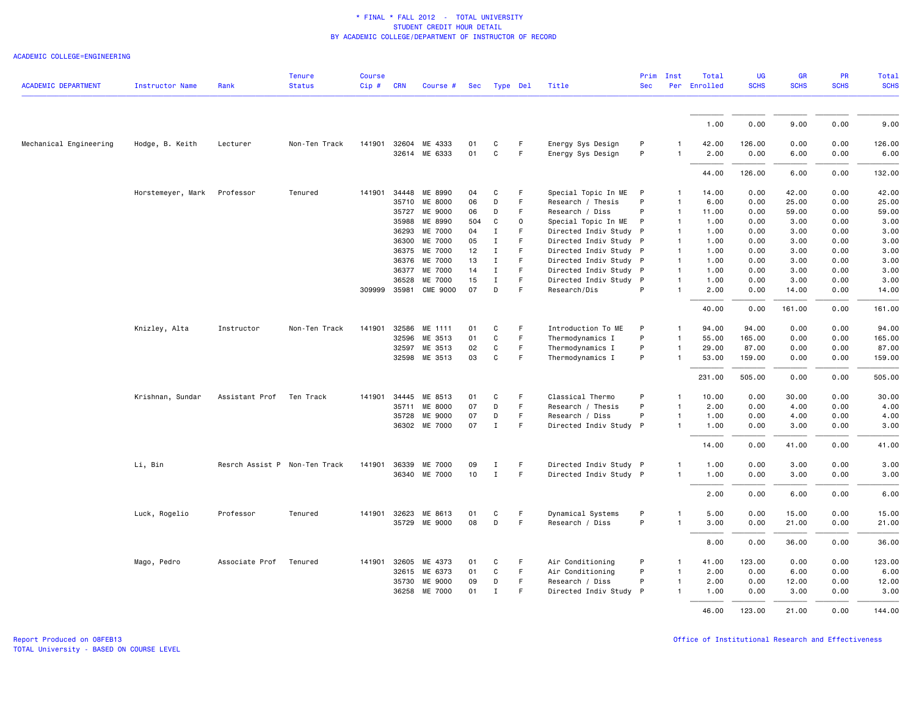### ACADEMIC COLLEGE=ENGINEERING

|                            |                        |                               | <b>Tenure</b> | <b>Course</b> |            |                      |     |              |    |                        | Prim       | Inst           | Total        | <b>UG</b>   | GR          | PR          | <b>Total</b> |
|----------------------------|------------------------|-------------------------------|---------------|---------------|------------|----------------------|-----|--------------|----|------------------------|------------|----------------|--------------|-------------|-------------|-------------|--------------|
| <b>ACADEMIC DEPARTMENT</b> | <b>Instructor Name</b> | Rank                          | <b>Status</b> | Cip#          | <b>CRN</b> | Course #             | Sec | Type Del     |    | Title                  | <b>Sec</b> |                | Per Enrolled | <b>SCHS</b> | <b>SCHS</b> | <b>SCHS</b> | <b>SCHS</b>  |
|                            |                        |                               |               |               |            |                      |     |              |    |                        |            |                | 1.00         | 0.00        | 9.00        | 0.00        | 9.00         |
|                            |                        |                               |               |               |            |                      |     |              |    |                        |            |                |              |             |             |             |              |
| Mechanical Engineering     | Hodge, B. Keith        | Lecturer                      | Non-Ten Track |               |            | 141901 32604 ME 4333 | 01  | C            | F. | Energy Sys Design      | P          | $\mathbf{1}$   | 42.00        | 126.00      | 0.00        | 0.00        | 126.00       |
|                            |                        |                               |               |               |            | 32614 ME 6333        | 01  | $\mathtt{C}$ | F  | Energy Sys Design      | P          | $\mathbf{1}$   | 2.00         | 0.00        | 6.00        | 0.00        | 6.00         |
|                            |                        |                               |               |               |            |                      |     |              |    |                        |            |                | 44.00        | 126.00      | 6.00        | 0.00        | 132.00       |
|                            | Horstemeyer, Mark      | Professor                     | Tenured       | 141901        | 34448      | ME 8990              | 04  | C            | F. | Special Topic In ME    | P          | $\mathbf{1}$   | 14.00        | 0.00        | 42.00       | 0.00        | 42.00        |
|                            |                        |                               |               |               | 35710      | ME 8000              | 06  | D            | F  | Research / Thesis      | P          | $\mathbf{1}$   | 6.00         | 0.00        | 25.00       | 0.00        | 25.00        |
|                            |                        |                               |               |               | 35727      | ME 9000              | 06  | D            | F  | Research / Diss        | P          | $\overline{1}$ | 11.00        | 0.00        | 59.00       | 0.00        | 59.00        |
|                            |                        |                               |               |               | 35988      | ME 8990              | 504 | C            | 0  | Special Topic In ME    | P          | $\mathbf{1}$   | 1.00         | 0.00        | 3.00        | 0.00        | 3.00         |
|                            |                        |                               |               |               | 36293      | ME 7000              | 04  | $\mathbf I$  | F  | Directed Indiv Study P |            | $\mathbf{1}$   | 1.00         | 0.00        | 3.00        | 0.00        | 3.00         |
|                            |                        |                               |               |               | 36300      | ME 7000              | 05  | $\mathbf I$  | F. | Directed Indiv Study P |            | $\mathbf{1}$   | 1.00         | 0.00        | 3.00        | 0.00        | 3.00         |
|                            |                        |                               |               |               | 36375      | ME 7000              | 12  | Ι.           | F  | Directed Indiv Study P |            | $\mathbf{1}$   | 1.00         | 0.00        | 3.00        | 0.00        | 3.00         |
|                            |                        |                               |               |               | 36376      | ME 7000              | 13  | Ι.           | F  | Directed Indiv Study P |            | $\mathbf{1}$   | 1.00         | 0.00        | 3.00        | 0.00        | 3.00         |
|                            |                        |                               |               |               | 36377      | ME 7000              | 14  | $\mathbf{I}$ | F  | Directed Indiv Study P |            | $\overline{1}$ | 1.00         | 0.00        | 3.00        | 0.00        | 3.00         |
|                            |                        |                               |               |               | 36528      | ME 7000              | 15  | $\mathbf I$  | F. | Directed Indiv Study P |            | $\mathbf{1}$   | 1.00         | 0.00        | 3.00        | 0.00        | 3.00         |
|                            |                        |                               |               | 309999 35981  |            | <b>CME 9000</b>      | 07  | D            | F  | Research/Dis           | P          | $\mathbf{1}$   | 2.00         | 0.00        | 14.00       | 0.00        | 14.00        |
|                            |                        |                               |               |               |            |                      |     |              |    |                        |            |                | 40.00        | 0.00        | 161.00      | 0.00        | 161.00       |
|                            | Knizley, Alta          | Instructor                    | Non-Ten Track | 141901        |            | 32586 ME 1111        | 01  | C            | F. | Introduction To ME     | P          | $\mathbf{1}$   | 94.00        | 94.00       | 0.00        | 0.00        | 94.00        |
|                            |                        |                               |               |               | 32596      | ME 3513              | 01  | C            | F. | Thermodynamics I       | P          | $\mathbf{1}$   | 55.00        | 165.00      | 0.00        | 0.00        | 165.00       |
|                            |                        |                               |               |               | 32597      | ME 3513              | 02  | C            | F  | Thermodynamics I       | P          | $\mathbf{1}$   | 29.00        | 87.00       | 0.00        | 0.00        | 87.00        |
|                            |                        |                               |               |               |            | 32598 ME 3513        | 03  | $\mathbf{C}$ | F  | Thermodynamics I       | P          | $\mathbf{1}$   | 53.00        | 159.00      | 0.00        | 0.00        | 159.00       |
|                            |                        |                               |               |               |            |                      |     |              |    |                        |            |                | 231.00       | 505.00      | 0.00        | 0.00        | 505.00       |
|                            | Krishnan, Sundar       | Assistant Prof                | Ten Track     | 141901        | 34445      | ME 8513              | 01  | C            | F  | Classical Thermo       | P          | $\mathbf{1}$   | 10.00        | 0.00        | 30.00       | 0.00        | 30.00        |
|                            |                        |                               |               |               | 35711      | ME 8000              | 07  | D            | F  | Research / Thesis      | P          | $\mathbf{1}$   | 2.00         | 0.00        | 4.00        | 0.00        | 4.00         |
|                            |                        |                               |               |               | 35728      | ME 9000              | 07  | D            | F  | Research / Diss        | P          | $\mathbf{1}$   | 1.00         | 0.00        | 4.00        | 0.00        | 4.00         |
|                            |                        |                               |               |               |            | 36302 ME 7000        | 07  | $\mathbf{I}$ | F  | Directed Indiv Study P |            | $\mathbf{1}$   | 1.00         | 0.00        | 3.00        | 0.00        | 3.00         |
|                            |                        |                               |               |               |            |                      |     |              |    |                        |            |                | 14.00        | 0.00        | 41.00       | 0.00        | 41.00        |
|                            | Li, Bin                | Resrch Assist P Non-Ten Track |               | 141901        | 36339      | ME 7000              | 09  | Ι            | F  | Directed Indiv Study P |            | $\mathbf{1}$   | 1.00         | 0.00        | 3.00        | 0.00        | 3.00         |
|                            |                        |                               |               |               |            | 36340 ME 7000        | 10  | $\mathbf{I}$ | F  | Directed Indiv Study P |            | $\mathbf{1}$   | 1.00         | 0.00        | 3.00        | 0.00        | 3.00         |
|                            |                        |                               |               |               |            |                      |     |              |    |                        |            |                | 2.00         | 0.00        | 6.00        | 0.00        | 6.00         |
|                            | Luck, Rogelio          | Professor                     | Tenured       | 141901        | 32623      | ME 8613              | 01  | C            | F  | Dynamical Systems      | P          | $\mathbf{1}$   | 5.00         | 0.00        | 15.00       | 0.00        | 15.00        |
|                            |                        |                               |               |               |            | 35729 ME 9000        | 08  | D            | F  | Research / Diss        | P          | $\mathbf{1}$   | 3.00         | 0.00        | 21.00       | 0.00        | 21.00        |
|                            |                        |                               |               |               |            |                      |     |              |    |                        |            |                |              |             |             |             |              |
|                            |                        |                               |               |               |            |                      |     |              |    |                        |            |                | 8.00         | 0.00        | 36.00       | 0.00        | 36.00        |
|                            | Mago, Pedro            | Associate Prof                | Tenured       | 141901 32605  |            | ME 4373              | 01  | C            | F  | Air Conditioning       | P          | $\mathbf{1}$   | 41.00        | 123.00      | 0.00        | 0.00        | 123.00       |
|                            |                        |                               |               |               |            | 32615 ME 6373        | 01  | C            | F. | Air Conditioning       | P          | $\mathbf{1}$   | 2.00         | 0.00        | 6.00        | 0.00        | 6.00         |
|                            |                        |                               |               |               | 35730      | ME 9000              | 09  | D            | F  | Research / Diss        | P          | $\mathbf{1}$   | 2.00         | 0.00        | 12.00       | 0.00        | 12.00        |
|                            |                        |                               |               |               | 36258      | ME 7000              | 01  | $\mathbf I$  | F  | Directed Indiv Study P |            | $\mathbf{1}$   | 1.00         | 0.00        | 3.00        | 0.00        | 3.00         |
|                            |                        |                               |               |               |            |                      |     |              |    |                        |            |                | 46.00        | 123,00      | 21.00       | 0.00        | 144.00       |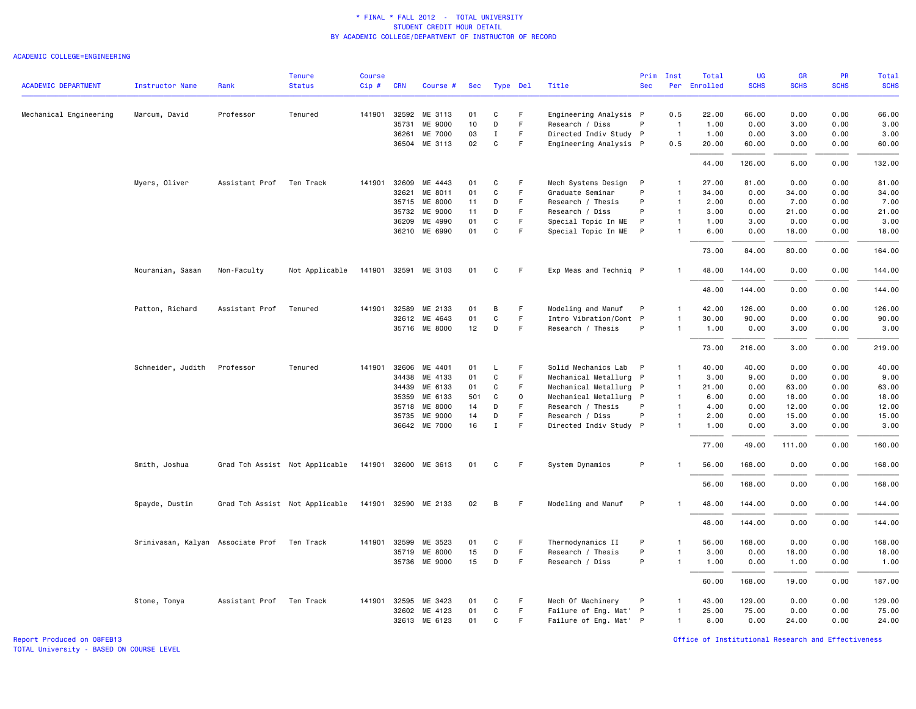#### ACADEMIC COLLEGE=ENGINEERING

|                            |                                             |                          | <b>Tenure</b>                                       | <b>Course</b> |              |                      |     |              |              |                        | Prim         | Inst           | Total        | <b>UG</b>   | <b>GR</b>   | <b>PR</b>   | Total       |
|----------------------------|---------------------------------------------|--------------------------|-----------------------------------------------------|---------------|--------------|----------------------|-----|--------------|--------------|------------------------|--------------|----------------|--------------|-------------|-------------|-------------|-------------|
| <b>ACADEMIC DEPARTMENT</b> | Instructor Name                             | Rank                     | <b>Status</b>                                       | $Cip$ #       | <b>CRN</b>   | Course #             | Sec | Type Del     |              | Title                  | <b>Sec</b>   |                | Per Enrolled | <b>SCHS</b> | <b>SCHS</b> | <b>SCHS</b> | <b>SCHS</b> |
| Mechanical Engineering     | Marcum, David                               | Professor                | Tenured                                             | 141901        |              | 32592 ME 3113        | 01  | C            | F.           | Engineering Analysis P |              | 0.5            | 22.00        | 66.00       | 0.00        | 0.00        | 66.00       |
|                            |                                             |                          |                                                     |               | 35731        | ME 9000              | 10  | D            | $\mathsf F$  | Research / Diss        | P            | $\overline{1}$ | 1.00         | 0.00        | 3.00        | 0.00        | 3.00        |
|                            |                                             |                          |                                                     |               | 36261        | ME 7000              | 03  | $\mathbf I$  | $\mathsf F$  | Directed Indiv Study P |              | $\overline{1}$ | 1.00         | 0.00        | 3.00        | 0.00        | 3.00        |
|                            |                                             |                          |                                                     |               | 36504        | ME 3113              | 02  | $\mathtt{C}$ | F            | Engineering Analysis P |              | 0.5            | 20.00        | 60.00       | 0.00        | 0.00        | 60.00       |
|                            |                                             |                          |                                                     |               |              |                      |     |              |              |                        |              |                | 44.00        | 126.00      | 6.00        | 0.00        | 132.00      |
|                            | Myers, Oliver                               | Assistant Prof           | Ten Track                                           | 141901        | 32609        | ME 4443              | 01  | C            | F            | Mech Systems Design    | P            | -1             | 27.00        | 81.00       | 0.00        | 0.00        | 81.00       |
|                            |                                             |                          |                                                     |               | 32621        | ME 8011              | 01  | C            | F            | Graduate Seminar       | P            | $\mathbf{1}$   | 34.00        | 0.00        | 34.00       | 0.00        | 34.00       |
|                            |                                             |                          |                                                     |               | 35715        | ME 8000              | 11  | D            | F            | Research / Thesis      | P            | $\overline{1}$ | 2.00         | 0.00        | 7.00        | 0.00        | 7.00        |
|                            |                                             |                          |                                                     |               | 35732        | ME 9000              | 11  | D            | F            | Research / Diss        | P            | $\mathbf{1}$   | 3.00         | 0.00        | 21.00       | 0.00        | 21.00       |
|                            |                                             |                          |                                                     |               | 36209        | ME 4990              | 01  | $\mathbf C$  | $\mathsf F$  | Special Topic In ME    | P            | $\overline{1}$ | 1.00         | 3.00        | 0.00        | 0.00        | 3.00        |
|                            |                                             |                          |                                                     |               | 36210        | ME 6990              | 01  | $\mathbf C$  | $\mathsf F$  | Special Topic In ME    | P            | $\mathbf{1}$   | 6.00         | 0.00        | 18.00       | 0.00        | 18.00       |
|                            |                                             |                          |                                                     |               |              |                      |     |              |              |                        |              |                | 73.00        | 84.00       | 80.00       | 0.00        | 164.00      |
|                            | Nouranian, Sasan                            | Non-Faculty              | Not Applicable                                      |               |              | 141901 32591 ME 3103 | 01  | C            | F.           | Exp Meas and Techniq P |              | $\mathbf{1}$   | 48.00        | 144.00      | 0.00        | 0.00        | 144.00      |
|                            |                                             |                          |                                                     |               |              |                      |     |              |              |                        |              |                | 48.00        | 144.00      | 0.00        | 0.00        | 144.00      |
|                            | Patton, Richard                             | Assistant Prof           | Tenured                                             |               | 141901 32589 | ME 2133              | 01  | В            | F            | Modeling and Manuf     | P            | $\mathbf{1}$   | 42.00        | 126.00      | 0.00        | 0.00        | 126.00      |
|                            |                                             |                          |                                                     |               | 32612        | ME 4643              | 01  | $\mathbf C$  | F.           | Intro Vibration/Cont P |              | $\mathbf{1}$   | 30.00        | 90.00       | 0.00        | 0.00        | 90.00       |
|                            |                                             |                          |                                                     |               |              | 35716 ME 8000        | 12  | D            | F            | Research / Thesis      | P            | $\mathbf{1}$   | 1.00         | 0.00        | 3.00        | 0.00        | 3.00        |
|                            |                                             |                          |                                                     |               |              |                      |     |              |              |                        |              |                |              |             |             |             |             |
|                            |                                             |                          |                                                     |               |              |                      |     |              |              |                        |              |                | 73.00        | 216.00      | 3.00        | 0.00        | 219.00      |
|                            | Schneider, Judith                           | Professor                | Tenured                                             | 141901        | 32606        | ME 4401              | 01  | L            | F            | Solid Mechanics Lab    | $\mathsf{P}$ | $\mathbf{1}$   | 40.00        | 40.00       | 0.00        | 0.00        | 40.00       |
|                            |                                             |                          |                                                     |               | 34438        | ME 4133              | 01  | $\mathbf C$  | F            | Mechanical Metallurg P |              | $\mathbf{1}$   | 3.00         | 9.00        | 0.00        | 0.00        | 9.00        |
|                            |                                             |                          |                                                     |               | 34439        | ME 6133              | 01  | C            | F.           | Mechanical Metallurg P |              | $\overline{1}$ | 21.00        | 0.00        | 63.00       | 0.00        | 63.00       |
|                            |                                             |                          |                                                     |               | 35359        | ME 6133              | 501 | C            | $\mathsf{o}$ | Mechanical Metallurg P |              | $\mathbf{1}$   | 6.00         | 0.00        | 18.00       | 0.00        | 18.00       |
|                            |                                             |                          |                                                     |               | 35718        | ME 8000              | 14  | D            | F            | Research / Thesis      | P            | $\mathbf{1}$   | 4.00         | 0.00        | 12.00       | 0.00        | 12.00       |
|                            |                                             |                          |                                                     |               | 35735        | ME 9000              | 14  | D            | F.           | Research / Diss        | P            | $\mathbf{1}$   | 2.00         | 0.00        | 15.00       | 0.00        | 15.00       |
|                            |                                             |                          |                                                     |               | 36642        | ME 7000              | 16  | $\mathbf I$  | F            | Directed Indiv Study P |              | $\mathbf{1}$   | 1.00         | 0.00        | 3.00        | 0.00        | 3.00        |
|                            |                                             |                          |                                                     |               |              |                      |     |              |              |                        |              |                | 77.00        | 49.00       | 111.00      | 0.00        | 160.00      |
|                            | Smith, Joshua                               |                          | Grad Tch Assist Not Applicable 141901 32600 ME 3613 |               |              |                      | 01  | C            | F.           | System Dynamics        | P            | -1             | 56.00        | 168.00      | 0.00        | 0.00        | 168.00      |
|                            |                                             |                          |                                                     |               |              |                      |     |              |              |                        |              |                | 56.00        | 168.00      | 0.00        | 0.00        | 168.00      |
|                            | Spayde, Dustin                              |                          | Grad Tch Assist Not Applicable                      |               |              | 141901 32590 ME 2133 | 02  | В            | -F           | Modeling and Manuf     | P            |                | 48.00        | 144.00      | 0.00        | 0.00        | 144.00      |
|                            |                                             |                          |                                                     |               |              |                      |     |              |              |                        |              |                | 48.00        | 144.00      | 0.00        | 0.00        | 144.00      |
|                            | Srinivasan, Kalyan Associate Prof Ten Track |                          |                                                     |               | 141901 32599 | ME 3523              | 01  | C            | F.           | Thermodynamics II      | P            | 1              | 56.00        | 168.00      | 0.00        | 0.00        | 168.00      |
|                            |                                             |                          |                                                     |               | 35719        | ME 8000              | 15  | D            | F            | Research / Thesis      | P            | $\mathbf{1}$   | 3.00         | 0.00        | 18.00       | 0.00        | 18.00       |
|                            |                                             |                          |                                                     |               |              | 35736 ME 9000        | 15  | D            | F            | Research / Diss        | P            | 1              | 1.00         | 0.00        | 1.00        | 0.00        | 1.00        |
|                            |                                             |                          |                                                     |               |              |                      |     |              |              |                        |              |                | 60.00        | 168.00      | 19.00       | 0.00        | 187.00      |
|                            | Stone, Tonya                                | Assistant Prof Ten Track |                                                     |               | 141901 32595 | ME 3423              | 01  | C            | F            | Mech Of Machinery      | P            | $\mathbf{1}$   | 43.00        | 129.00      | 0.00        | 0.00        | 129.00      |
|                            |                                             |                          |                                                     |               | 32602        | ME 4123              | 01  | $\mathbf C$  | F.           | Failure of Eng. Mat' P |              | $\mathbf{1}$   | 25.00        | 75.00       | 0.00        | 0.00        | 75.00       |
|                            |                                             |                          |                                                     |               | 32613        | ME 6123              | 01  | C            | F.           | Failure of Eng. Mat' P |              | $\mathbf{1}$   | 8.00         | 0.00        | 24.00       | 0.00        | 24.00       |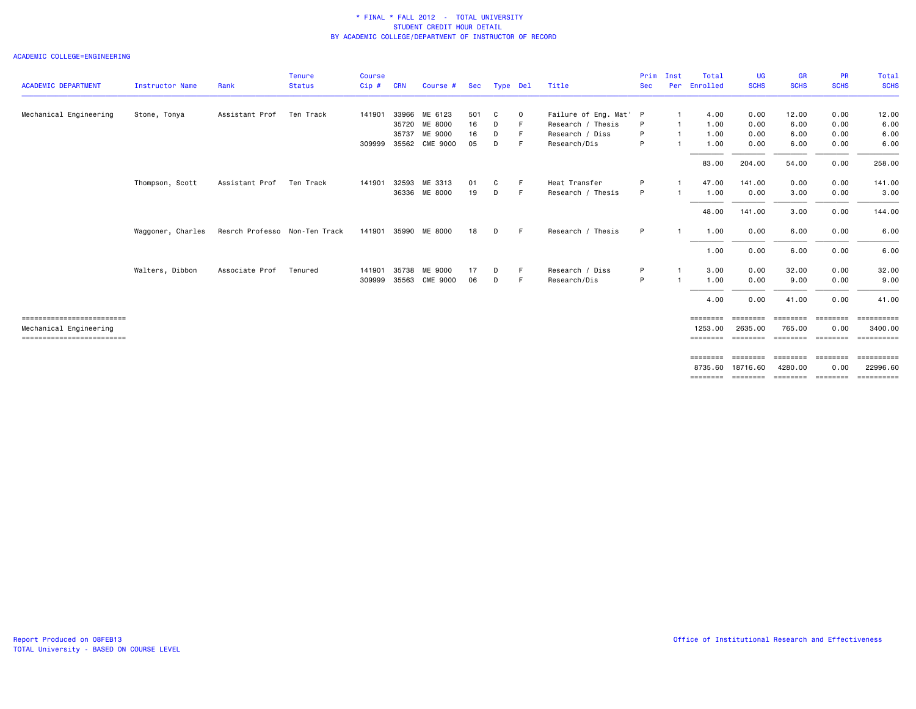### ACADEMIC COLLEGE=ENGINEERING

|                                                      |                   |                               | <b>Tenure</b> | <b>Course</b> |            |                       |     |          |             |                        | Prim       | Inst | Total                                                                              | <b>UG</b>            | <b>GR</b>           | <b>PR</b>              | <b>Total</b>            |
|------------------------------------------------------|-------------------|-------------------------------|---------------|---------------|------------|-----------------------|-----|----------|-------------|------------------------|------------|------|------------------------------------------------------------------------------------|----------------------|---------------------|------------------------|-------------------------|
| <b>ACADEMIC DEPARTMENT</b>                           | Instructor Name   | Rank                          | <b>Status</b> | Cip#          | <b>CRN</b> | Course #              | Sec | Type Del |             | Title                  | <b>Sec</b> | Per  | Enrolled                                                                           | <b>SCHS</b>          | <b>SCHS</b>         | <b>SCHS</b>            | <b>SCHS</b>             |
| Mechanical Engineering                               | Stone, Tonya      | Assistant Prof                | Ten Track     | 141901        |            | 33966 ME 6123         | 501 | C        | $\mathbf 0$ | Failure of Eng. Mat' P |            |      | 4.00                                                                               | 0.00                 | 12.00               | 0.00                   | 12.00                   |
|                                                      |                   |                               |               |               |            | 35720 ME 8000         | 16  | D        |             | Research / Thesis      | P          |      | 1.00                                                                               | 0.00                 | 6.00                | 0.00                   | 6.00                    |
|                                                      |                   |                               |               |               |            | 35737 ME 9000         | 16  | D        |             | Research / Diss        | P          |      | 1.00                                                                               | 0.00                 | 6.00                | 0.00                   | 6.00                    |
|                                                      |                   |                               |               |               |            | 309999 35562 CME 9000 | 05  | D        |             | Research/Dis           | P          |      | 1.00                                                                               | 0.00                 | 6.00                | 0.00                   | 6.00                    |
|                                                      |                   |                               |               |               |            |                       |     |          |             |                        |            |      | 83.00                                                                              | 204.00               | 54.00               | 0.00                   | 258.00                  |
|                                                      | Thompson, Scott   | Assistant Prof                | Ten Track     | 141901        |            | 32593 ME 3313         | 01  | С        | F           | Heat Transfer          | P          |      | 47.00                                                                              | 141.00               | 0.00                | 0.00                   | 141.00                  |
|                                                      |                   |                               |               |               |            | 36336 ME 8000         | 19  | D        | E           | Research / Thesis      | P          |      | 1.00                                                                               | 0.00                 | 3.00                | 0.00                   | 3.00                    |
|                                                      |                   |                               |               |               |            |                       |     |          |             |                        |            |      | 48.00                                                                              | 141.00               | 3.00                | 0.00                   | 144.00                  |
|                                                      | Waggoner, Charles | Resrch Professo Non-Ten Track |               |               |            | 141901 35990 ME 8000  | 18  | D        | -F          | Research / Thesis      | P          | -1   | 1.00                                                                               | 0.00                 | 6.00                | 0.00                   | 6.00                    |
|                                                      |                   |                               |               |               |            |                       |     |          |             |                        |            |      | 1.00                                                                               | 0.00                 | 6.00                | 0.00                   | 6.00                    |
|                                                      | Walters, Dibbon   | Associate Prof                | Tenured       | 141901        |            | 35738 ME 9000         | 17  | D        |             | Research / Diss        | P          |      | 3.00                                                                               | 0.00                 | 32.00               | 0.00                   | 32.00                   |
|                                                      |                   |                               |               | 309999        | 35563      | <b>CME 9000</b>       | 06  | D        | E           | Research/Dis           | P          |      | 1.00                                                                               | 0.00                 | 9.00                | 0.00                   | 9.00                    |
|                                                      |                   |                               |               |               |            |                       |     |          |             |                        |            |      | 4.00                                                                               | 0.00                 | 41.00               | 0.00                   | 41.00                   |
| ==========================                           |                   |                               |               |               |            |                       |     |          |             |                        |            |      | ========                                                                           | ========             | ========            | ========               | $=$ = = = = = = = = = = |
| Mechanical Engineering<br>========================== |                   |                               |               |               |            |                       |     |          |             |                        |            |      | 1253,00<br>========                                                                | 2635,00              | 765.00              | 0.00                   | 3400.00                 |
|                                                      |                   |                               |               |               |            |                       |     |          |             |                        |            |      |                                                                                    |                      |                     |                        |                         |
|                                                      |                   |                               |               |               |            |                       |     |          |             |                        |            |      | $\qquad \qquad \equiv \equiv \equiv \equiv \equiv \equiv \equiv \equiv$<br>8735.60 | ========<br>18716.60 | ========<br>4280.00 | <b>ESSESSE</b><br>0.00 | ==========<br>22996.60  |
|                                                      |                   |                               |               |               |            |                       |     |          |             |                        |            |      | ========                                                                           |                      |                     |                        | ==========              |
|                                                      |                   |                               |               |               |            |                       |     |          |             |                        |            |      |                                                                                    |                      |                     |                        |                         |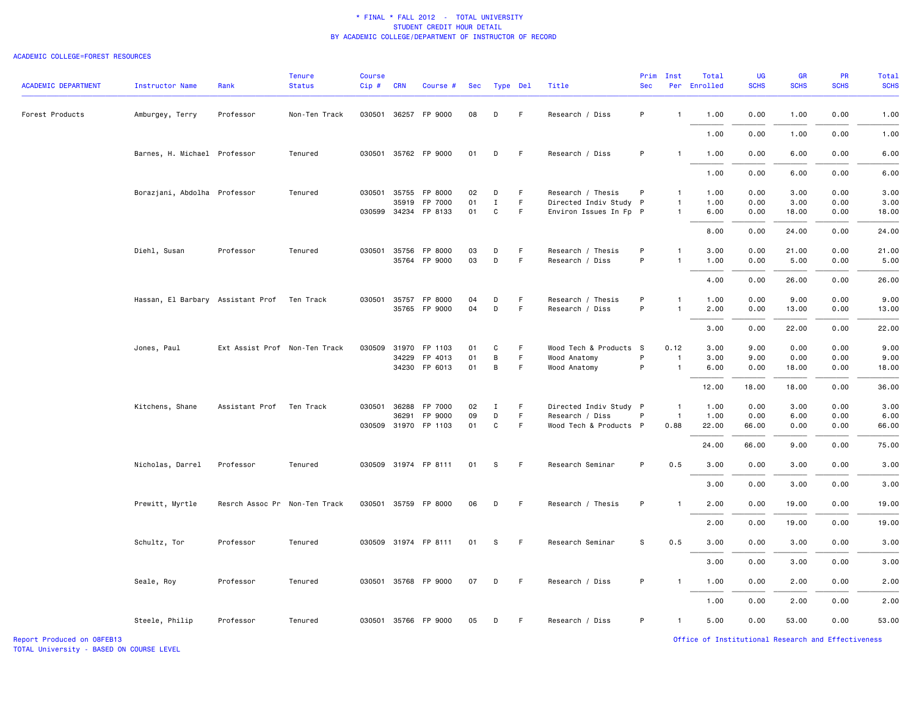### ACADEMIC COLLEGE=FOREST RESOURCES

| <b>ACADEMIC DEPARTMENT</b> | <b>Instructor Name</b>            | Rank                          | <b>Tenure</b><br><b>Status</b> | <b>Course</b><br>$Cip$ # | <b>CRN</b>   | Course #             | Sec |              | Type Del | Title                  | Prim<br><b>Sec</b> | Inst           | Total<br>Per Enrolled | <b>UG</b><br><b>SCHS</b> | GR<br><b>SCHS</b> | PR<br><b>SCHS</b> | <b>Total</b><br><b>SCHS</b> |
|----------------------------|-----------------------------------|-------------------------------|--------------------------------|--------------------------|--------------|----------------------|-----|--------------|----------|------------------------|--------------------|----------------|-----------------------|--------------------------|-------------------|-------------------|-----------------------------|
| Forest Products            | Amburgey, Terry                   | Professor                     | Non-Ten Track                  |                          |              | 030501 36257 FP 9000 | 08  | D            | F        | Research / Diss        | P                  | $\mathbf{1}$   | 1.00                  | 0.00                     | 1.00              | 0.00              | 1.00                        |
|                            |                                   |                               |                                |                          |              |                      |     |              |          |                        |                    |                | 1.00                  | 0.00                     | 1.00              | 0.00              | 1.00                        |
|                            | Barnes, H. Michael Professor      |                               | Tenured                        |                          |              | 030501 35762 FP 9000 | 01  | D            | F        | Research / Diss        | P                  | $\mathbf{1}$   | 1.00                  | 0.00                     | 6.00              | 0.00              | 6.00                        |
|                            |                                   |                               |                                |                          |              |                      |     |              |          |                        |                    |                | 1.00                  | 0.00                     | 6.00              | 0.00              | 6.00                        |
|                            | Borazjani, Abdolha Professor      |                               | Tenured                        |                          | 030501 35755 | FP 8000              | 02  | D            | F.       | Research / Thesis      | P                  | $\mathbf{1}$   | 1.00                  | 0.00                     | 3.00              | 0.00              | 3.00                        |
|                            |                                   |                               |                                |                          | 35919        | FP 7000              | 01  | $\mathbf{I}$ | F        | Directed Indiv Study P |                    | $\mathbf{1}$   | 1.00                  | 0.00                     | 3.00              | 0.00              | 3.00                        |
|                            |                                   |                               |                                |                          |              | 030599 34234 FP 8133 | 01  | C            | F        | Environ Issues In Fp P |                    | $\mathbf{1}$   | 6.00                  | 0.00                     | 18.00             | 0.00              | 18.00                       |
|                            |                                   |                               |                                |                          |              |                      |     |              |          |                        |                    |                | 8.00                  | 0.00                     | 24.00             | 0.00              | 24.00                       |
|                            | Diehl, Susan                      | Professor                     | Tenured                        |                          | 030501 35756 | FP 8000              | 03  | D            | F        | Research / Thesis      | P                  | $\mathbf{1}$   | 3.00                  | 0.00                     | 21.00             | 0.00              | 21.00                       |
|                            |                                   |                               |                                |                          |              | 35764 FP 9000        | 03  | D            | F        | Research / Diss        | P                  | $\mathbf{1}$   | 1.00                  | 0.00                     | 5.00              | 0.00              | 5.00                        |
|                            |                                   |                               |                                |                          |              |                      |     |              |          |                        |                    |                | 4.00                  | 0.00                     | 26.00             | 0.00              | 26.00                       |
|                            | Hassan, El Barbary Assistant Prof |                               | Ten Track                      |                          | 030501 35757 | FP 8000              | 04  | D            | F.       | Research / Thesis      | P                  | $\mathbf{1}$   | 1.00                  | 0.00                     | 9.00              | 0.00              | 9.00                        |
|                            |                                   |                               |                                |                          |              | 35765 FP 9000        | 04  | D            | F        | Research / Diss        | P                  |                | 2.00                  | 0.00                     | 13.00             | 0.00              | 13.00                       |
|                            |                                   |                               |                                |                          |              |                      |     |              |          |                        |                    |                | 3.00                  | 0.00                     | 22.00             | 0.00              | 22.00                       |
|                            | Jones, Paul                       | Ext Assist Prof Non-Ten Track |                                | 030509 31970             |              | FP 1103              | 01  | C            | F.       | Wood Tech & Products S |                    | 0.12           | 3.00                  | 9.00                     | 0.00              | 0.00              | 9.00                        |
|                            |                                   |                               |                                |                          | 34229        | FP 4013              | 01  | B            | F        | Wood Anatomy           | P                  | $\mathbf{1}$   | 3.00                  | 9.00                     | 0.00              | 0.00              | 9.00                        |
|                            |                                   |                               |                                |                          |              | 34230 FP 6013        | 01  | B            | F        | Wood Anatomy           | P                  | $\overline{1}$ | 6.00                  | 0.00                     | 18.00             | 0.00              | 18.00                       |
|                            |                                   |                               |                                |                          |              |                      |     |              |          |                        |                    |                | 12.00                 | 18.00                    | 18.00             | 0.00              | 36.00                       |
|                            | Kitchens, Shane                   | Assistant Prof                | Ten Track                      | 030501                   | 36288        | FP 7000              | 02  | I            | F.       | Directed Indiv Study P |                    | $\overline{1}$ | 1.00                  | 0.00                     | 3.00              | 0.00              | 3.00                        |
|                            |                                   |                               |                                |                          | 36291        | FP 9000              | 09  | D            | F.       | Research / Diss        | P                  | $\overline{1}$ | 1.00                  | 0.00                     | 6.00              | 0.00              | 6.00                        |
|                            |                                   |                               |                                |                          |              | 030509 31970 FP 1103 | 01  | C            | F.       | Wood Tech & Products P |                    | 0.88           | 22.00                 | 66.00                    | 0.00              | 0.00              | 66.00                       |
|                            |                                   |                               |                                |                          |              |                      |     |              |          |                        |                    |                | 24.00                 | 66.00                    | 9.00              | 0.00              | 75.00                       |
|                            | Nicholas, Darrel                  | Professor                     | Tenured                        |                          |              | 030509 31974 FP 8111 | 01  | -S           | F        | Research Seminar       | P                  | 0.5            | 3.00                  | 0.00                     | 3.00              | 0.00              | 3.00                        |
|                            |                                   |                               |                                |                          |              |                      |     |              |          |                        |                    |                | 3.00                  | 0.00                     | 3.00              | 0.00              | 3.00                        |
|                            | Prewitt, Myrtle                   | Resrch Assoc Pr Non-Ten Track |                                |                          |              | 030501 35759 FP 8000 | 06  | D            | F        | Research / Thesis      | P                  | $\mathbf{1}$   | 2.00                  | 0.00                     | 19.00             | 0.00              | 19.00                       |
|                            |                                   |                               |                                |                          |              |                      |     |              |          |                        |                    |                | 2.00                  | 0.00                     | 19.00             | 0.00              | 19.00                       |
|                            | Schultz, Tor                      | Professor                     | Tenured                        |                          |              | 030509 31974 FP 8111 | 01  | S.           | F.       | Research Seminar       | S                  | 0.5            | 3.00                  | 0.00                     | 3.00              | 0.00              | 3.00                        |
|                            |                                   |                               |                                |                          |              |                      |     |              |          |                        |                    |                | 3.00                  | 0.00                     | 3.00              | 0.00              | 3.00                        |
|                            | Seale, Roy                        | Professor                     | Tenured                        |                          |              | 030501 35768 FP 9000 | 07  | D            | F.       | Research / Diss        | P                  | $\mathbf{1}$   | 1.00                  | 0.00                     | 2.00              | 0.00              | 2.00                        |
|                            |                                   |                               |                                |                          |              |                      |     |              |          |                        |                    |                | 1.00                  | 0.00                     | 2.00              | 0.00              | 2.00                        |
|                            | Steele, Philip                    | Professor                     | Tenured                        |                          |              | 030501 35766 FP 9000 | 05  | D            | F.       | Research / Diss        | P                  | $\mathbf{1}$   | 5.00                  | 0.00                     | 53.00             | 0.00              | 53.00                       |

TOTAL University - BASED ON COURSE LEVEL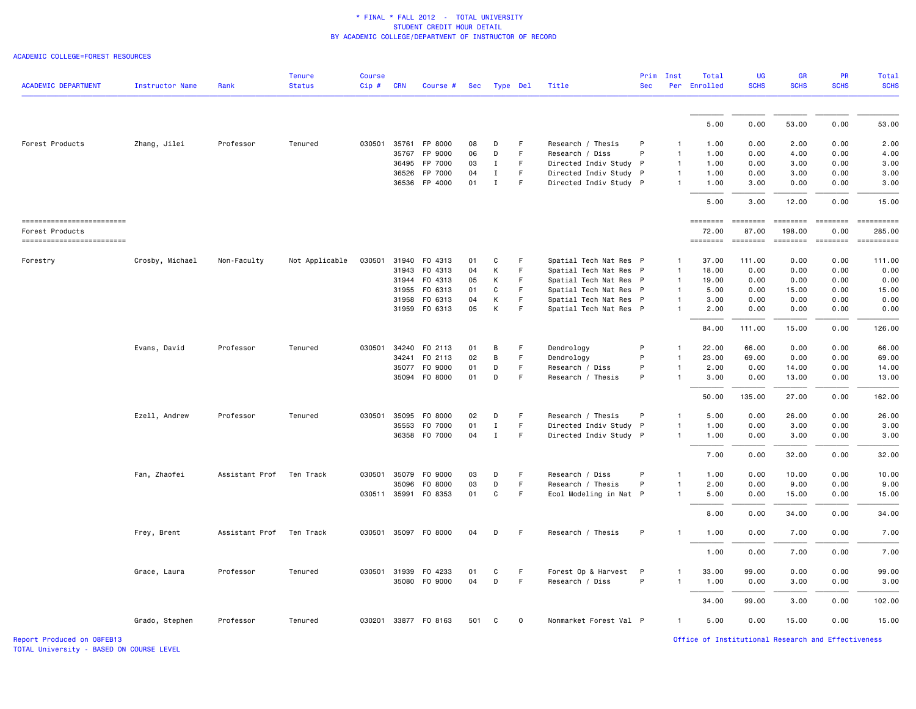#### ACADEMIC COLLEGE=FOREST RESOURCES

| <b>ACADEMIC DEPARTMENT</b>                   | <b>Instructor Name</b> | Rank           | <b>Tenure</b><br><b>Status</b> | <b>Course</b><br>$Cip$ # | <b>CRN</b> | Course #             | Sec | Type Del     |    | Title                  | <b>Sec</b> | Prim Inst      | Total<br>Per Enrolled    | <b>UG</b><br><b>SCHS</b> | <b>GR</b><br><b>SCHS</b>                                                                                                                                                                                                                                                                                                                                                                                                                                                               | <b>PR</b><br><b>SCHS</b> | <b>Total</b><br><b>SCHS</b> |
|----------------------------------------------|------------------------|----------------|--------------------------------|--------------------------|------------|----------------------|-----|--------------|----|------------------------|------------|----------------|--------------------------|--------------------------|----------------------------------------------------------------------------------------------------------------------------------------------------------------------------------------------------------------------------------------------------------------------------------------------------------------------------------------------------------------------------------------------------------------------------------------------------------------------------------------|--------------------------|-----------------------------|
|                                              |                        |                |                                |                          |            |                      |     |              |    |                        |            |                |                          |                          |                                                                                                                                                                                                                                                                                                                                                                                                                                                                                        |                          |                             |
|                                              |                        |                |                                |                          |            |                      |     |              |    |                        |            |                | 5.00                     | 0.00                     | 53.00                                                                                                                                                                                                                                                                                                                                                                                                                                                                                  | 0.00                     | 53.00                       |
| Forest Products                              | Zhang, Jilei           | Professor      | Tenured                        | 030501                   | 35761      | FP 8000              | 08  | D            | F. | Research / Thesis      | P          | -1             | 1.00                     | 0.00                     | 2.00                                                                                                                                                                                                                                                                                                                                                                                                                                                                                   | 0.00                     | 2.00                        |
|                                              |                        |                |                                |                          | 35767      | FP 9000              | 06  | D            | F  | Research / Diss        | P          | $\mathbf{1}$   | 1.00                     | 0.00                     | 4.00                                                                                                                                                                                                                                                                                                                                                                                                                                                                                   | 0.00                     | 4.00                        |
|                                              |                        |                |                                |                          | 36495      | FP 7000              | 03  | $\mathbf I$  | F  | Directed Indiv Study P |            | $\overline{1}$ | 1.00                     | 0.00                     | 3.00                                                                                                                                                                                                                                                                                                                                                                                                                                                                                   | 0.00                     | 3.00                        |
|                                              |                        |                |                                |                          | 36526      | FP 7000              | 04  | $\mathbf{I}$ | F  | Directed Indiv Study P |            | $\overline{1}$ | 1.00                     | 0.00                     | 3.00                                                                                                                                                                                                                                                                                                                                                                                                                                                                                   | 0.00                     | 3.00                        |
|                                              |                        |                |                                |                          |            | 36536 FP 4000        | 01  | $\mathbf{I}$ | F. | Directed Indiv Study P |            | $\mathbf{1}$   | 1.00                     | 3.00                     | 0.00                                                                                                                                                                                                                                                                                                                                                                                                                                                                                   | 0.00                     | 3.00                        |
|                                              |                        |                |                                |                          |            |                      |     |              |    |                        |            |                | 5.00                     | 3.00                     | 12.00                                                                                                                                                                                                                                                                                                                                                                                                                                                                                  | 0.00                     | 15.00                       |
| ==========================                   |                        |                |                                |                          |            |                      |     |              |    |                        |            |                | ========                 | $= 222222222$            | $\begin{array}{cccccccccc} \multicolumn{2}{c}{} & \multicolumn{2}{c}{} & \multicolumn{2}{c}{} & \multicolumn{2}{c}{} & \multicolumn{2}{c}{} & \multicolumn{2}{c}{} & \multicolumn{2}{c}{} & \multicolumn{2}{c}{} & \multicolumn{2}{c}{} & \multicolumn{2}{c}{} & \multicolumn{2}{c}{} & \multicolumn{2}{c}{} & \multicolumn{2}{c}{} & \multicolumn{2}{c}{} & \multicolumn{2}{c}{} & \multicolumn{2}{c}{} & \multicolumn{2}{c}{} & \multicolumn{2}{c}{} & \multicolumn{2}{c}{} & \mult$ | $= 222222222$            | -----------                 |
| Forest Products<br>------------------------- |                        |                |                                |                          |            |                      |     |              |    |                        |            |                | 72.00<br><b>EDESSERS</b> | 87.00                    | 198.00<br>$\qquad \qquad \bullet \bullet \bullet \bullet \bullet \bullet \bullet \bullet$                                                                                                                                                                                                                                                                                                                                                                                              | 0.00<br>$=$ ========     | 285,00<br>==========        |
| Forestry                                     | Crosby, Michael        | Non-Faculty    | Not Applicable                 | 030501                   |            | 31940 FO 4313        | 01  | C            | F  | Spatial Tech Nat Res P |            | 1              | 37.00                    | 111.00                   | 0.00                                                                                                                                                                                                                                                                                                                                                                                                                                                                                   | 0.00                     | 111.00                      |
|                                              |                        |                |                                |                          | 31943      | F0 4313              | 04  | К            | F  | Spatial Tech Nat Res P |            | $\mathbf{1}$   | 18.00                    | 0.00                     | 0.00                                                                                                                                                                                                                                                                                                                                                                                                                                                                                   | 0.00                     | 0.00                        |
|                                              |                        |                |                                |                          | 31944      | F0 4313              | 05  | K            | F. | Spatial Tech Nat Res P |            | $\mathbf{1}$   | 19.00                    | 0.00                     | 0.00                                                                                                                                                                                                                                                                                                                                                                                                                                                                                   | 0.00                     | 0.00                        |
|                                              |                        |                |                                |                          | 31955      | F0 6313              | 01  | C            | F  | Spatial Tech Nat Res P |            | $\mathbf{1}$   | 5.00                     | 0.00                     | 15.00                                                                                                                                                                                                                                                                                                                                                                                                                                                                                  | 0.00                     | 15.00                       |
|                                              |                        |                |                                |                          | 31958      | F0 6313              | 04  | К            | F  | Spatial Tech Nat Res P |            | $\mathbf{1}$   | 3.00                     | 0.00                     | 0.00                                                                                                                                                                                                                                                                                                                                                                                                                                                                                   | 0.00                     | 0.00                        |
|                                              |                        |                |                                |                          | 31959      | F0 6313              | 05  | К            | F  | Spatial Tech Nat Res P |            | $\mathbf{1}$   | 2.00                     | 0.00                     | 0.00                                                                                                                                                                                                                                                                                                                                                                                                                                                                                   | 0.00                     | 0.00                        |
|                                              |                        |                |                                |                          |            |                      |     |              |    |                        |            |                | 84.00                    | 111.00                   | 15.00                                                                                                                                                                                                                                                                                                                                                                                                                                                                                  | 0.00                     | 126.00                      |
|                                              | Evans, David           | Professor      | Tenured                        |                          |            | 030501 34240 F0 2113 | 01  | B            | F  | Dendrology             | P          | -1             | 22.00                    | 66.00                    | 0.00                                                                                                                                                                                                                                                                                                                                                                                                                                                                                   | 0.00                     | 66.00                       |
|                                              |                        |                |                                |                          | 34241      | F0 2113              | 02  | B            | F  | Dendrology             | P          | $\mathbf{1}$   | 23.00                    | 69.00                    | 0.00                                                                                                                                                                                                                                                                                                                                                                                                                                                                                   | 0.00                     | 69.00                       |
|                                              |                        |                |                                |                          | 35077      | F0 9000              | 01  | D            | F  | Research / Diss        | P          | $\mathbf{1}$   | 2.00                     | 0.00                     | 14.00                                                                                                                                                                                                                                                                                                                                                                                                                                                                                  | 0.00                     | 14.00                       |
|                                              |                        |                |                                |                          |            | 35094 F0 8000        | 01  | D            | F. | Research / Thesis      | P          |                | 3.00                     | 0.00                     | 13.00                                                                                                                                                                                                                                                                                                                                                                                                                                                                                  | 0.00                     | 13.00                       |
|                                              |                        |                |                                |                          |            |                      |     |              |    |                        |            |                | 50.00                    | 135.00                   | 27.00                                                                                                                                                                                                                                                                                                                                                                                                                                                                                  | 0.00                     | 162.00                      |
|                                              | Ezell, Andrew          | Professor      | Tenured                        | 030501 35095             |            | F0 8000              | 02  | D            | F. | Research / Thesis      | P          | $\mathbf{1}$   | 5.00                     | 0.00                     | 26.00                                                                                                                                                                                                                                                                                                                                                                                                                                                                                  | 0.00                     | 26.00                       |
|                                              |                        |                |                                |                          | 35553      | F0 7000              | 01  | $\mathbf{I}$ | F. | Directed Indiv Study P |            | $\mathbf{1}$   | 1.00                     | 0.00                     | 3.00                                                                                                                                                                                                                                                                                                                                                                                                                                                                                   | 0.00                     | 3.00                        |
|                                              |                        |                |                                |                          |            | 36358 F0 7000        | 04  | $\mathbf{I}$ | F  | Directed Indiv Study P |            | $\mathbf{1}$   | 1.00                     | 0.00                     | 3.00                                                                                                                                                                                                                                                                                                                                                                                                                                                                                   | 0.00                     | 3.00                        |
|                                              |                        |                |                                |                          |            |                      |     |              |    |                        |            |                | 7.00                     | 0.00                     | 32.00                                                                                                                                                                                                                                                                                                                                                                                                                                                                                  | 0.00                     | 32.00                       |
|                                              | Fan, Zhaofei           | Assistant Prof | Ten Track                      | 030501                   | 35079      | F0 9000              | 03  | D            | F. | Research / Diss        | P          | $\mathbf{1}$   | 1.00                     | 0.00                     | 10.00                                                                                                                                                                                                                                                                                                                                                                                                                                                                                  | 0.00                     | 10.00                       |
|                                              |                        |                |                                |                          | 35096      | F0 8000              | 03  | D            | F. | Research / Thesis      | P          | $\mathbf{1}$   | 2.00                     | 0.00                     | 9.00                                                                                                                                                                                                                                                                                                                                                                                                                                                                                   | 0.00                     | 9.00                        |
|                                              |                        |                |                                |                          |            | 030511 35991 F0 8353 | 01  | C            | F. | Ecol Modeling in Nat P |            | $\mathbf{1}$   | 5.00                     | 0.00                     | 15.00                                                                                                                                                                                                                                                                                                                                                                                                                                                                                  | 0.00                     | 15.00                       |
|                                              |                        |                |                                |                          |            |                      |     |              |    |                        |            |                | 8.00                     | 0.00                     | 34.00                                                                                                                                                                                                                                                                                                                                                                                                                                                                                  | 0.00                     | 34.00                       |
|                                              | Frey, Brent            | Assistant Prof | Ten Track                      |                          |            | 030501 35097 F0 8000 | 04  | D            | F. | Research / Thesis      | P          | $\mathbf{1}$   | 1.00                     | 0.00                     | 7.00                                                                                                                                                                                                                                                                                                                                                                                                                                                                                   | 0.00                     | 7.00                        |
|                                              |                        |                |                                |                          |            |                      |     |              |    |                        |            |                | 1.00                     | 0.00                     | 7.00                                                                                                                                                                                                                                                                                                                                                                                                                                                                                   | 0.00                     | 7.00                        |
|                                              | Grace, Laura           | Professor      | Tenured                        | 030501 31939             |            | F0 4233              | 01  | C            | F. | Forest Op & Harvest    | P          | -1             | 33.00                    | 99.00                    | 0.00                                                                                                                                                                                                                                                                                                                                                                                                                                                                                   | 0.00                     | 99.00                       |
|                                              |                        |                |                                |                          |            | 35080 F0 9000        | 04  | D            | F  | Research / Diss        | P          | $\mathbf{1}$   | 1.00                     | 0.00                     | 3.00                                                                                                                                                                                                                                                                                                                                                                                                                                                                                   | 0.00                     | 3.00                        |
|                                              |                        |                |                                |                          |            |                      |     |              |    |                        |            |                | 34.00                    | 99.00                    | 3.00                                                                                                                                                                                                                                                                                                                                                                                                                                                                                   | 0.00                     | 102.00                      |
|                                              | Grado, Stephen         | Professor      | Tenured                        |                          |            | 030201 33877 F0 8163 | 501 | C            | 0  | Nonmarket Forest Val P |            | 1              | 5.00                     | 0.00                     | 15.00                                                                                                                                                                                                                                                                                                                                                                                                                                                                                  | 0.00                     | 15.00                       |

TOTAL University - BASED ON COURSE LEVEL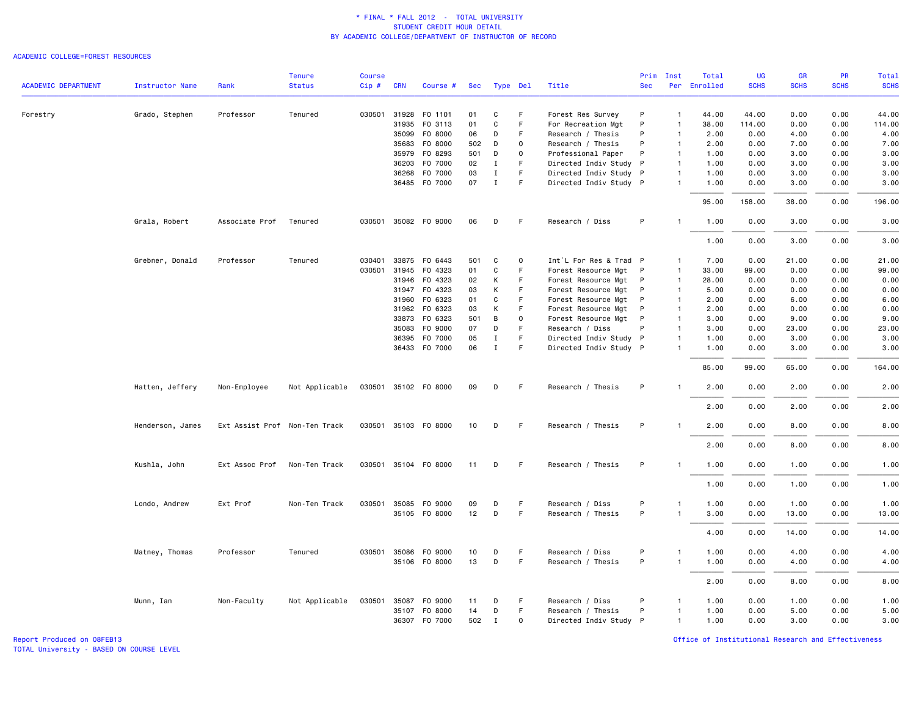### ACADEMIC COLLEGE=FOREST RESOURCES

|                            |                        |                               | <b>Tenure</b>  | <b>Course</b> |            |                      |     |              |             |                        | Prim         | Inst           | Total        | UG          | <b>GR</b>   | <b>PR</b>   | Total       |
|----------------------------|------------------------|-------------------------------|----------------|---------------|------------|----------------------|-----|--------------|-------------|------------------------|--------------|----------------|--------------|-------------|-------------|-------------|-------------|
| <b>ACADEMIC DEPARTMENT</b> | <b>Instructor Name</b> | Rank                          | <b>Status</b>  | Cip#          | <b>CRN</b> | Course #             | Sec | Type Del     |             | Title                  | <b>Sec</b>   |                | Per Enrolled | <b>SCHS</b> | <b>SCHS</b> | <b>SCHS</b> | <b>SCHS</b> |
| Forestry                   | Grado, Stephen         | Professor                     | Tenured        | 030501        | 31928      | F0 1101              | 01  | C            | F           | Forest Res Survey      | P            | $\overline{1}$ | 44.00        | 44.00       | 0.00        | 0.00        | 44.00       |
|                            |                        |                               |                |               | 31935      | F0 3113              | 01  | $\mathbf{C}$ | F           | For Recreation Mgt     | P            | $\overline{1}$ | 38.00        | 114.00      | 0.00        | 0.00        | 114.00      |
|                            |                        |                               |                |               | 35099      | F0 8000              | 06  | D            | F.          | Research / Thesis      | P            | $\mathbf{1}$   | 2.00         | 0.00        | 4.00        | 0.00        | 4.00        |
|                            |                        |                               |                |               | 35683      | F0 8000              | 502 | D            | $\mathbf 0$ | Research / Thesis      | P            | $\mathbf{1}$   | 2.00         | 0.00        | 7.00        | 0.00        | 7.00        |
|                            |                        |                               |                |               | 35979      | F0 8293              | 501 | D            | $\Omega$    | Professional Paper     | P            | $\mathbf{1}$   | 1.00         | 0.00        | 3.00        | 0.00        | 3.00        |
|                            |                        |                               |                |               | 36203      | F0 7000              | 02  | Ι.           | F.          | Directed Indiv Study P |              | $\mathbf{1}$   | 1.00         | 0.00        | 3.00        | 0.00        | 3.00        |
|                            |                        |                               |                |               | 36268      | F0 7000              | 03  | $\bf{I}$     | F           | Directed Indiv Study P |              | $\mathbf{1}$   | 1.00         | 0.00        | 3.00        | 0.00        | 3.00        |
|                            |                        |                               |                |               |            | 36485 F0 7000        | 07  | $\mathbf{I}$ | F.          | Directed Indiv Study P |              | $\overline{1}$ | 1.00         | 0.00        | 3.00        | 0.00        | 3.00        |
|                            |                        |                               |                |               |            |                      |     |              |             |                        |              |                | 95.00        | 158.00      | 38.00       | 0.00        | 196.00      |
|                            | Grala, Robert          | Associate Prof                | Tenured        |               |            | 030501 35082 FO 9000 | 06  | D            | F           | Research / Diss        | P            | $\overline{1}$ | 1.00         | 0.00        | 3.00        | 0.00        | 3.00        |
|                            |                        |                               |                |               |            |                      |     |              |             |                        |              |                | 1.00         | 0.00        | 3.00        | 0.00        | 3.00        |
|                            | Grebner, Donald        | Professor                     | Tenured        | 030401        | 33875      | FO 6443              | 501 | C            | $\mathbf 0$ | Int`L For Res & Trad P |              | $\overline{1}$ | 7.00         | 0.00        | 21.00       | 0.00        | 21.00       |
|                            |                        |                               |                | 030501        | 31945      | F0 4323              | 01  | C            | F           | Forest Resource Mgt    | P            | $\mathbf{1}$   | 33.00        | 99.00       | 0.00        | 0.00        | 99.00       |
|                            |                        |                               |                |               | 31946      | F0 4323              | 02  | К            | F.          | Forest Resource Mgt    | $\mathsf{P}$ | $\mathbf{1}$   | 28.00        | 0.00        | 0.00        | 0.00        | 0.00        |
|                            |                        |                               |                |               | 31947      | F0 4323              | 03  | К            | F           | Forest Resource Mgt    | P            | $\mathbf{1}$   | 5.00         | 0.00        | 0.00        | 0.00        | 0.00        |
|                            |                        |                               |                |               | 31960      | F0 6323              | 01  | C            | F.          | Forest Resource Mgt    | P            | $\mathbf{1}$   | 2.00         | 0.00        | 6.00        | 0.00        | 6.00        |
|                            |                        |                               |                |               |            | 31962 FO 6323        | 03  | К            | F           | Forest Resource Mgt    | P            | $\overline{1}$ | 2.00         | 0.00        | 0.00        | 0.00        | 0.00        |
|                            |                        |                               |                |               | 33873      | F0 6323              | 501 | В            | $\Omega$    | Forest Resource Mgt    | P            | $\mathbf{1}$   | 3.00         | 0.00        | 9.00        | 0.00        | 9.00        |
|                            |                        |                               |                |               | 35083      | F0 9000              | 07  | D            | F.          | Research / Diss        | P            | $\mathbf{1}$   | 3.00         | 0.00        | 23.00       | 0.00        | 23.00       |
|                            |                        |                               |                |               | 36395      | F0 7000              | 05  | $\mathbf I$  | F           | Directed Indiv Study P |              | $\overline{1}$ | 1.00         | 0.00        | 3.00        | 0.00        | 3.00        |
|                            |                        |                               |                |               |            | 36433 FO 7000        | 06  | $\mathbf{I}$ | F.          | Directed Indiv Study P |              | $\overline{1}$ | 1.00         | 0.00        | 3.00        | 0.00        | 3.00        |
|                            |                        |                               |                |               |            |                      |     |              |             |                        |              |                | 85.00        | 99.00       | 65.00       | 0.00        | 164.00      |
|                            | Hatten, Jeffery        | Non-Employee                  | Not Applicable |               |            | 030501 35102 F0 8000 | 09  | D            | F           | Research / Thesis      | P            |                | 2.00         | 0.00        | 2.00        | 0.00        | 2.00        |
|                            |                        |                               |                |               |            |                      |     |              |             |                        |              |                | 2.00         | 0.00        | 2.00        | 0.00        | 2.00        |
|                            | Henderson, James       | Ext Assist Prof Non-Ten Track |                |               |            | 030501 35103 F0 8000 | 10  | D            | -F          | Research / Thesis      | P            | $\mathbf{1}$   | 2.00         | 0.00        | 8.00        | 0.00        | 8.00        |
|                            |                        |                               |                |               |            |                      |     |              |             |                        |              |                | 2.00         | 0.00        | 8.00        | 0.00        | 8.00        |
|                            | Kushla, John           | Ext Assoc Prof                | Non-Ten Track  |               |            | 030501 35104 F0 8000 | 11  | D            | F.          | Research / Thesis      | P            | $\mathbf{1}$   | 1.00         | 0.00        | 1.00        | 0.00        | 1.00        |
|                            |                        |                               |                |               |            |                      |     |              |             |                        |              |                | 1.00         | 0.00        | 1.00        | 0.00        | 1.00        |
|                            | Londo, Andrew          | Ext Prof                      | Non-Ten Track  | 030501        | 35085      | F0 9000              | 09  | D            | F           | Research / Diss        | P            | -1             | 1.00         | 0.00        | 1.00        | 0.00        | 1.00        |
|                            |                        |                               |                |               |            | 35105 FO 8000        | 12  | D            | $\mathsf F$ | Research / Thesis      | P            | $\overline{1}$ | 3.00         | 0.00        | 13.00       | 0.00        | 13.00       |
|                            |                        |                               |                |               |            |                      |     |              |             |                        |              |                | 4.00         | 0.00        | 14.00       | 0.00        | 14.00       |
|                            | Matney, Thomas         | Professor                     | Tenured        | 030501        | 35086      | F0 9000              | 10  | D            | F           | Research / Diss        | P            | $\overline{1}$ | 1.00         | 0.00        | 4.00        | 0.00        | 4.00        |
|                            |                        |                               |                |               |            | 35106 FO 8000        | 13  | D            | F.          | Research / Thesis      | P            | $\mathbf{1}$   | 1.00         | 0.00        | 4.00        | 0.00        | 4.00        |
|                            |                        |                               |                |               |            |                      |     |              |             |                        |              |                | 2.00         | 0.00        | 8.00        | 0.00        | 8.00        |
|                            | Munn, Ian              | Non-Faculty                   | Not Applicable | 030501        | 35087      | F0 9000              | 11  | D            | F           | Research / Diss        | P            | $\mathbf{1}$   | 1.00         | 0.00        | 1.00        | 0.00        | 1.00        |
|                            |                        |                               |                |               |            | 35107 FO 8000        | 14  | D            | F.          | Research / Thesis      | P            | $\overline{1}$ | 1.00         | 0.00        | 5.00        | 0.00        | 5.00        |
|                            |                        |                               |                |               |            | 36307 F0 7000        | 502 | $\mathbf{I}$ | 0           | Directed Indiv Study P |              | $\mathbf{1}$   | 1.00         | 0.00        | 3.00        | 0.00        | 3.00        |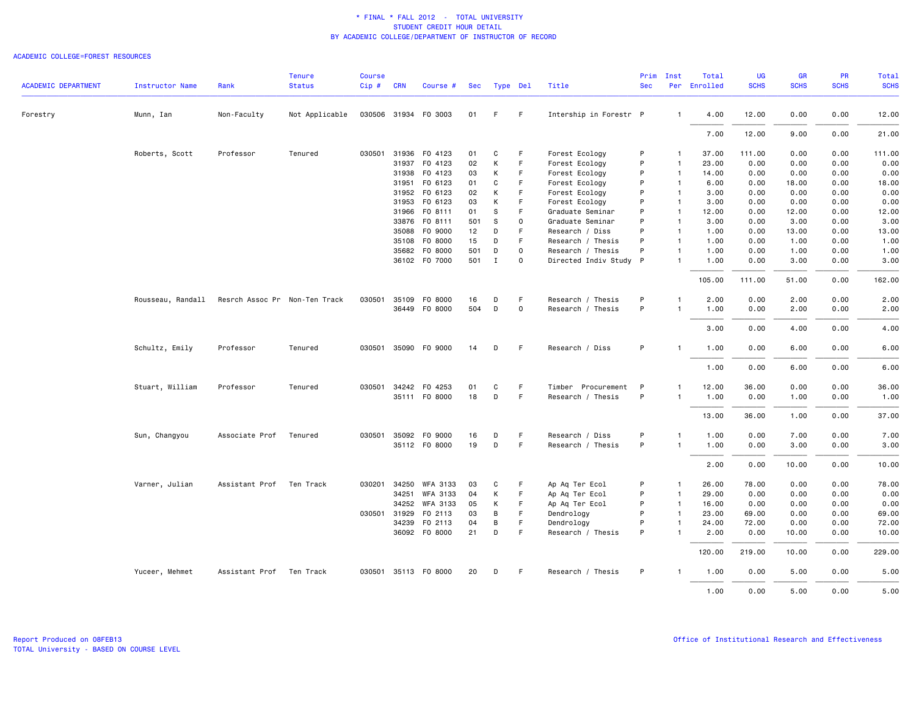### ACADEMIC COLLEGE=FOREST RESOURCES

| <b>ACADEMIC DEPARTMENT</b> | Instructor Name   | Rank                          | <b>Tenure</b><br><b>Status</b> | <b>Course</b><br>Cip# | <b>CRN</b>   | Course #             | Sec | Type Del     |             | Title                  | Prim<br><b>Sec</b> | Inst           | Total<br>Per Enrolled | UG<br><b>SCHS</b> | <b>GR</b><br><b>SCHS</b> | PR<br><b>SCHS</b> | Total<br><b>SCHS</b> |
|----------------------------|-------------------|-------------------------------|--------------------------------|-----------------------|--------------|----------------------|-----|--------------|-------------|------------------------|--------------------|----------------|-----------------------|-------------------|--------------------------|-------------------|----------------------|
| Forestry                   | Munn, Ian         | Non-Faculty                   | Not Applicable                 |                       |              | 030506 31934 F0 3003 | 01  | F.           | - F         | Intership in Forestr P |                    | $\mathbf{1}$   | 4.00                  | 12.00             | 0.00                     | 0.00              | 12.00                |
|                            |                   |                               |                                |                       |              |                      |     |              |             |                        |                    |                | 7.00                  | 12.00             | 9.00                     | 0.00              | 21.00                |
|                            | Roberts, Scott    | Professor                     | Tenured                        |                       |              | 030501 31936 FO 4123 | 01  | C            | F           | Forest Ecology         | P                  | -1             | 37.00                 | 111.00            | 0.00                     | 0.00              | 111.00               |
|                            |                   |                               |                                |                       |              | 31937 FO 4123        | 02  | К            | F.          | Forest Ecology         | P                  | $\overline{1}$ | 23.00                 | 0.00              | 0.00                     | 0.00              | 0.00                 |
|                            |                   |                               |                                |                       | 31938        | F0 4123              | 03  | К            | F           | Forest Ecology         | P                  | $\overline{1}$ | 14.00                 | 0.00              | 0.00                     | 0.00              | 0.00                 |
|                            |                   |                               |                                |                       |              | 31951 F0 6123        | 01  | C            | F           | Forest Ecology         | P                  | $\overline{1}$ | 6.00                  | 0.00              | 18.00                    | 0.00              | 18.00                |
|                            |                   |                               |                                |                       |              | 31952 FO 6123        | 02  | К            | F           | Forest Ecology         | P                  | $\mathbf{1}$   | 3.00                  | 0.00              | 0.00                     | 0.00              | 0.00                 |
|                            |                   |                               |                                |                       | 31953        | FO 6123              | 03  | К            | F           | Forest Ecology         | P                  | $\mathbf{1}$   | 3.00                  | 0.00              | 0.00                     | 0.00              | 0.00                 |
|                            |                   |                               |                                |                       | 31966        | FO 8111              | 01  | S            | F           | Graduate Seminar       | P                  | $\mathbf{1}$   | 12.00                 | 0.00              | 12.00                    | 0.00              | 12.00                |
|                            |                   |                               |                                |                       | 33876        | FO 8111              | 501 | S            | $\mathbf 0$ | Graduate Seminar       | P                  | $\overline{1}$ | 3.00                  | 0.00              | 3.00                     | 0.00              | 3.00                 |
|                            |                   |                               |                                |                       | 35088        | F0 9000              | 12  | D            | F           | Research / Diss        | P                  | $\mathbf{1}$   | 1.00                  | 0.00              | 13.00                    | 0.00              | 13.00                |
|                            |                   |                               |                                |                       |              | 35108 FO 8000        | 15  | D            | F           | Research / Thesis      | P                  | $\overline{1}$ | 1.00                  | 0.00              | 1.00                     | 0.00              | 1.00                 |
|                            |                   |                               |                                |                       | 35682        | F0 8000              | 501 | D            | $\Omega$    | Research / Thesis      | P                  | $\mathbf{1}$   | 1.00                  | 0.00              | 1.00                     | 0.00              | 1.00                 |
|                            |                   |                               |                                |                       |              | 36102 F0 7000        | 501 | $\mathbf{I}$ | 0           | Directed Indiv Study P |                    | $\mathbf{1}$   | 1.00                  | 0.00              | 3.00                     | 0.00              | 3.00                 |
|                            |                   |                               |                                |                       |              |                      |     |              |             |                        |                    |                | 105.00                | 111.00            | 51.00                    | 0.00              | 162.00               |
|                            | Rousseau, Randall | Resrch Assoc Pr Non-Ten Track |                                | 030501                | 35109        | F0 8000              | 16  | D            | F           | Research / Thesis      | P                  | $\mathbf{1}$   | 2.00                  | 0.00              | 2.00                     | 0.00              | 2.00                 |
|                            |                   |                               |                                |                       |              | 36449 FO 8000        | 504 | D            | 0           | Research / Thesis      | P                  | -1             | 1.00                  | 0.00              | 2.00                     | 0.00              | 2.00                 |
|                            |                   |                               |                                |                       |              |                      |     |              |             |                        |                    |                |                       |                   |                          |                   |                      |
|                            |                   |                               |                                |                       |              |                      |     |              |             |                        |                    |                | 3.00                  | 0.00              | 4.00                     | 0.00              | 4.00                 |
|                            | Schultz, Emily    | Professor                     | Tenured                        |                       |              | 030501 35090 F0 9000 | 14  | D            | - F         | Research / Diss        | P                  | $\mathbf{1}$   | 1.00                  | 0.00              | 6.00                     | 0.00              | 6.00                 |
|                            |                   |                               |                                |                       |              |                      |     |              |             |                        |                    |                | 1.00                  | 0.00              | 6.00                     | 0.00              | 6.00                 |
|                            | Stuart, William   | Professor                     | Tenured                        |                       |              | 030501 34242 F0 4253 | 01  | C            | F.          | Timber Procurement     | - P                | 1              | 12.00                 | 36.00             | 0.00                     | 0.00              | 36.00                |
|                            |                   |                               |                                |                       |              | 35111 F0 8000        | 18  | D            | -F          | Research / Thesis      | P                  | $\mathbf{1}$   | 1.00                  | 0.00              | 1.00                     | 0.00              | 1.00                 |
|                            |                   |                               |                                |                       |              |                      |     |              |             |                        |                    |                |                       |                   |                          |                   |                      |
|                            |                   |                               |                                |                       |              |                      |     |              |             |                        |                    |                | 13.00                 | 36.00             | 1.00                     | 0.00              | 37.00                |
|                            | Sun, Changyou     | Associate Prof                | Tenured                        |                       | 030501 35092 | F0 9000              | 16  | D            | F           | Research / Diss        | P                  | $\mathbf{1}$   | 1.00                  | 0.00              | 7.00                     | 0.00              | 7.00                 |
|                            |                   |                               |                                |                       |              | 35112 FO 8000        | 19  | D            | F           | Research / Thesis      | P                  | $\overline{1}$ | 1.00                  | 0.00              | 3.00                     | 0.00              | 3.00                 |
|                            |                   |                               |                                |                       |              |                      |     |              |             |                        |                    |                | 2.00                  | 0.00              | 10.00                    | 0.00              | 10.00                |
|                            | Varner, Julian    | Assistant Prof                | Ten Track                      | 030201                | 34250        | WFA 3133             | 03  | C            | F           | Ap Aq Ter Ecol         | P                  | $\mathbf{1}$   | 26.00                 | 78.00             | 0.00                     | 0.00              | 78.00                |
|                            |                   |                               |                                |                       |              | 34251 WFA 3133       | 04  | К            | F.          | Ap Aq Ter Ecol         | P                  | $\overline{1}$ | 29.00                 | 0.00              | 0.00                     | 0.00              | 0.00                 |
|                            |                   |                               |                                |                       | 34252        | WFA 3133             | 05  | К            | F           | Ap Aq Ter Ecol         | P                  | $\overline{1}$ | 16.00                 | 0.00              | 0.00                     | 0.00              | 0.00                 |
|                            |                   |                               |                                |                       | 030501 31929 | F0 2113              | 03  | B            | F           | Dendrology             | P                  | $\overline{1}$ | 23.00                 | 69.00             | 0.00                     | 0.00              | 69.00                |
|                            |                   |                               |                                |                       | 34239        | F0 2113              | 04  | В            | $\mathsf F$ | Dendrology             | P                  | $\mathbf{1}$   | 24.00                 | 72.00             | 0.00                     | 0.00              | 72.00                |
|                            |                   |                               |                                |                       |              | 36092 F0 8000        | 21  | D            | F           | Research / Thesis      | P                  |                | 2.00                  | 0.00              | 10.00                    | 0.00              | 10.00                |
|                            |                   |                               |                                |                       |              |                      |     |              |             |                        |                    |                | 120.00                | 219.00            | 10.00                    | 0.00              | 229.00               |
|                            | Yuceer, Mehmet    | Assistant Prof Ten Track      |                                |                       |              | 030501 35113 F0 8000 | 20  | D            | -F          | Research / Thesis      | P                  |                | 1.00                  | 0.00              | 5.00                     | 0.00              | 5.00                 |
|                            |                   |                               |                                |                       |              |                      |     |              |             |                        |                    |                | 1.00                  | 0.00              | 5.00                     | 0.00              | 5.00                 |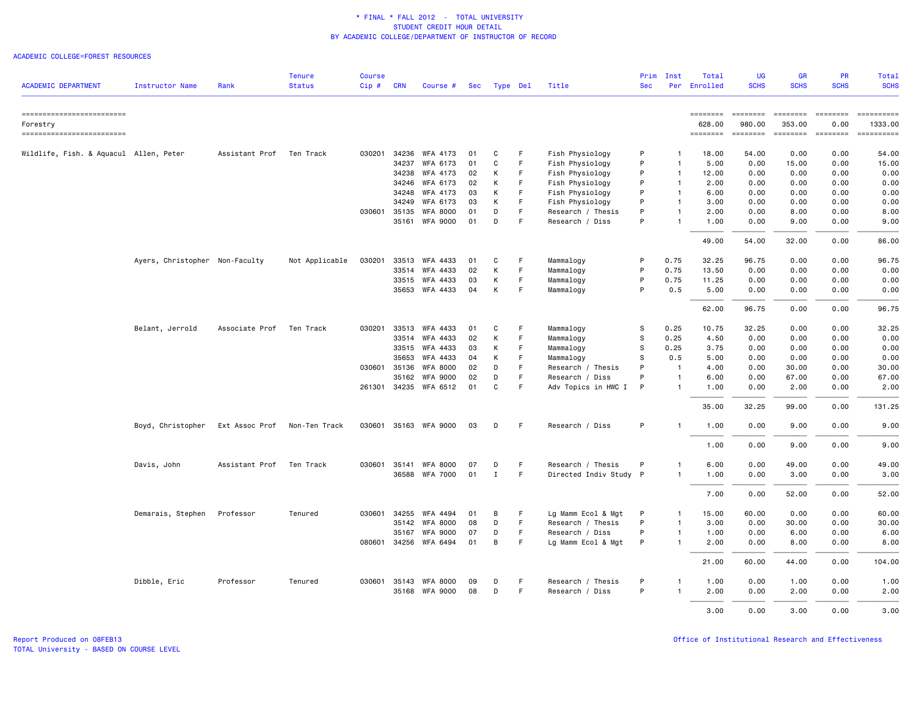### ACADEMIC COLLEGE=FOREST RESOURCES

| <b>ACADEMIC DEPARTMENT</b>             | Instructor Name                | Rank                     | <b>Tenure</b><br><b>Status</b> | <b>Course</b><br>Cip# | <b>CRN</b> | Course #                           |          | Sec Type Del |         | Title                                | Prim<br><b>Sec</b> | Inst                         | Total<br>Per Enrolled | UG<br><b>SCHS</b> | <b>GR</b><br><b>SCHS</b> | <b>PR</b><br><b>SCHS</b> | Total<br><b>SCHS</b> |
|----------------------------------------|--------------------------------|--------------------------|--------------------------------|-----------------------|------------|------------------------------------|----------|--------------|---------|--------------------------------------|--------------------|------------------------------|-----------------------|-------------------|--------------------------|--------------------------|----------------------|
| ==========================             |                                |                          |                                |                       |            |                                    |          |              |         |                                      |                    |                              | <b>EDESSEDE</b>       | <b>SESSESSE</b>   | ========                 | <b>EDESSER</b>           |                      |
| Forestry                               |                                |                          |                                |                       |            |                                    |          |              |         |                                      |                    |                              | 628.00                | 980.00            | 353.00                   | 0.00                     | 1333.00              |
| ==========================             |                                |                          |                                |                       |            |                                    |          |              |         |                                      |                    |                              | ========              | ========          | <b>ESSESSER</b>          | $=$ ========             | ==========           |
| Wildlife, Fish. & Aquacul Allen, Peter |                                | Assistant Prof           | Ten Track                      | 030201                |            | 34236 WFA 4173                     | 01       | C            | F.      | Fish Physiology                      | P                  | $\mathbf{1}$                 | 18,00                 | 54.00             | 0.00                     | 0.00                     | 54.00                |
|                                        |                                |                          |                                |                       | 34237      | WFA 6173                           | 01       | C            | F.      | Fish Physiology                      | P                  | $\overline{1}$               | 5.00                  | 0.00              | 15.00                    | 0.00                     | 15.00                |
|                                        |                                |                          |                                |                       | 34238      | WFA 4173                           | 02       | К            | F       | Fish Physiology                      | P                  | $\mathbf{1}$                 | 12.00                 | 0.00              | 0.00                     | 0.00                     | 0.00                 |
|                                        |                                |                          |                                |                       | 34246      | WFA 6173                           | 02       | К            | -F      | Fish Physiology                      | P                  | $\mathbf{1}$                 | 2.00                  | 0.00              | 0.00                     | 0.00                     | 0.00                 |
|                                        |                                |                          |                                |                       | 34248      | WFA 4173                           | 03       | К            | F.      | Fish Physiology                      | P                  | $\overline{1}$               | 6.00                  | 0.00              | 0.00                     | 0.00                     | 0.00                 |
|                                        |                                |                          |                                |                       | 34249      | WFA 6173                           | 03       | К            | F       | Fish Physiology                      | P                  | $\mathbf{1}$                 | 3.00                  | 0.00              | 0.00                     | 0.00                     | 0.00                 |
|                                        |                                |                          |                                | 030601 35135          | 35161      | <b>WFA 8000</b><br><b>WFA 9000</b> | 01<br>01 | D<br>D       | F.<br>F | Research / Thesis<br>Research / Diss | P<br>P             | $\mathbf{1}$<br>$\mathbf{1}$ | 2.00<br>1.00          | 0.00<br>0.00      | 8.00<br>9.00             | 0.00<br>0.00             | 8.00<br>9.00         |
|                                        |                                |                          |                                |                       |            |                                    |          |              |         |                                      |                    |                              |                       |                   |                          | 0.00                     | 86.00                |
|                                        |                                |                          |                                |                       |            |                                    |          |              |         |                                      |                    |                              | 49.00                 | 54.00             | 32.00                    |                          |                      |
|                                        | Ayers, Christopher Non-Faculty |                          | Not Applicable                 | 030201                | 33513      | <b>WFA 4433</b>                    | 01       | C            | F       | Mammalogy                            | P                  | 0.75                         | 32.25                 | 96.75             | 0.00                     | 0.00                     | 96.75                |
|                                        |                                |                          |                                |                       |            | 33514 WFA 4433                     | 02       | К            | -F      | Mammalogy                            | P                  | 0.75                         | 13.50                 | 0.00              | 0.00                     | 0.00                     | 0.00                 |
|                                        |                                |                          |                                |                       | 33515      | WFA 4433                           | 03       | К            | F       | Mammalogy                            | P                  | 0.75                         | 11.25                 | 0.00              | 0.00                     | 0.00                     | 0.00                 |
|                                        |                                |                          |                                |                       |            | 35653 WFA 4433                     | 04       | К            | F       | Mammalogy                            | P                  | 0.5                          | 5.00                  | 0.00              | 0.00                     | 0.00                     | 0.00                 |
|                                        |                                |                          |                                |                       |            |                                    |          |              |         |                                      |                    |                              | 62.00                 | 96.75             | 0.00                     | 0.00                     | 96.75                |
|                                        | Belant, Jerrold                | Associate Prof Ten Track |                                |                       |            | 030201 33513 WFA 4433              | 01       | C            | -F      | Mammalogy                            | s                  | 0.25                         | 10.75                 | 32.25             | 0.00                     | 0.00                     | 32.25                |
|                                        |                                |                          |                                |                       | 33514      | WFA 4433                           | 02       | К            | F       | Mammalogy                            | s                  | 0.25                         | 4.50                  | 0.00              | 0.00                     | 0.00                     | 0.00                 |
|                                        |                                |                          |                                |                       | 33515      | <b>WFA 4433</b>                    | 03       | К            | E       | Mammalogy                            | s                  | 0.25                         | 3.75                  | 0.00              | 0.00                     | 0.00                     | 0.00                 |
|                                        |                                |                          |                                |                       | 35653      | WFA 4433                           | 04       | К            | F       | Mammalogy                            | s                  | 0.5                          | 5.00                  | 0.00              | 0.00                     | 0.00                     | 0.00                 |
|                                        |                                |                          |                                | 030601 35136          |            | <b>WFA 8000</b>                    | 02       | D            | F       | Research / Thesis                    | P                  | $\overline{1}$               | 4.00                  | 0.00              | 30.00                    | 0.00                     | 30.00                |
|                                        |                                |                          |                                |                       | 35162      | <b>WFA 9000</b>                    | 02       | D            | F       | Research / Diss                      | P                  | $\mathbf{1}$                 | 6.00                  | 0.00              | 67.00                    | 0.00                     | 67.00                |
|                                        |                                |                          |                                |                       |            | 261301 34235 WFA 6512              | 01       | C            | E       | Adv Topics in HWC I                  | P                  | $\overline{1}$               | 1.00                  | 0.00              | 2.00                     | 0.00                     | 2.00                 |
|                                        |                                |                          |                                |                       |            |                                    |          |              |         |                                      |                    |                              | 35.00                 | 32.25             | 99.00                    | 0.00                     | 131.25               |
|                                        | Boyd, Christopher              | Ext Assoc Prof           | Non-Ten Track                  |                       |            | 030601 35163 WFA 9000              | 03       | D            | -F      | Research / Diss                      | P                  | $\mathbf{1}$                 | 1.00                  | 0.00              | 9.00                     | 0.00                     | 9.00                 |
|                                        |                                |                          |                                |                       |            |                                    |          |              |         |                                      |                    |                              | 1.00                  | 0.00              | 9.00                     | 0.00                     | 9.00                 |
|                                        | Davis, John                    | Assistant Prof           | Ten Track                      | 030601                | 35141      | <b>WFA 8000</b>                    | 07       | D            | F       | Research / Thesis                    | P                  | $\mathbf{1}$                 | 6.00                  | 0.00              | 49.00                    | 0.00                     | 49.00                |
|                                        |                                |                          |                                |                       |            | 36588 WFA 7000                     | 01       | $\mathbf I$  | F.      | Directed Indiv Study P               |                    | $\mathbf{1}$                 | 1.00                  | 0.00              | 3.00                     | 0.00                     | 3.00                 |
|                                        |                                |                          |                                |                       |            |                                    |          |              |         |                                      |                    |                              | 7.00                  | 0.00              | 52.00                    | 0.00                     | 52.00                |
|                                        | Demarais, Stephen              | Professor                | Tenured                        | 030601                | 34255      | WFA 4494                           | 01       | В            | F.      | Lg Mamm Ecol & Mgt                   | P                  | $\mathbf{1}$                 | 15.00                 | 60.00             | 0.00                     | 0.00                     | 60.00                |
|                                        |                                |                          |                                |                       | 35142      | <b>WFA 8000</b>                    | 08       | D            | F       | Research / Thesis                    | P                  | $\mathbf{1}$                 | 3.00                  | 0.00              | 30.00                    | 0.00                     | 30.00                |
|                                        |                                |                          |                                |                       | 35167      | <b>WFA 9000</b>                    | 07       | D            | F       | Research / Diss                      | P                  | $\mathbf{1}$                 | 1.00                  | 0.00              | 6.00                     | 0.00                     | 6.00                 |
|                                        |                                |                          |                                |                       |            | 080601 34256 WFA 6494              | 01       | B            | F       | Lg Mamm Ecol & Mgt                   | P                  | $\mathbf{1}$                 | 2.00                  | 0.00              | 8.00                     | 0.00                     | 8.00                 |
|                                        |                                |                          |                                |                       |            |                                    |          |              |         |                                      |                    |                              | 21.00                 | 60.00             | 44.00                    | 0.00                     | 104.00               |
|                                        | Dibble, Eric                   | Professor                | Tenured                        | 030601 35143          |            | WFA 8000                           | 09       | D            | F       | Research / Thesis                    | P                  | -1                           | 1.00                  | 0.00              | 1.00                     | 0.00                     | 1.00                 |
|                                        |                                |                          |                                |                       |            | 35168 WFA 9000                     | 08       | D            | F.      | Research / Diss                      | P                  | -1                           | 2.00                  | 0.00              | 2.00                     | 0.00                     | 2.00                 |
|                                        |                                |                          |                                |                       |            |                                    |          |              |         |                                      |                    |                              | 3.00                  | 0.00              | 3.00                     | 0.00                     | 3.00                 |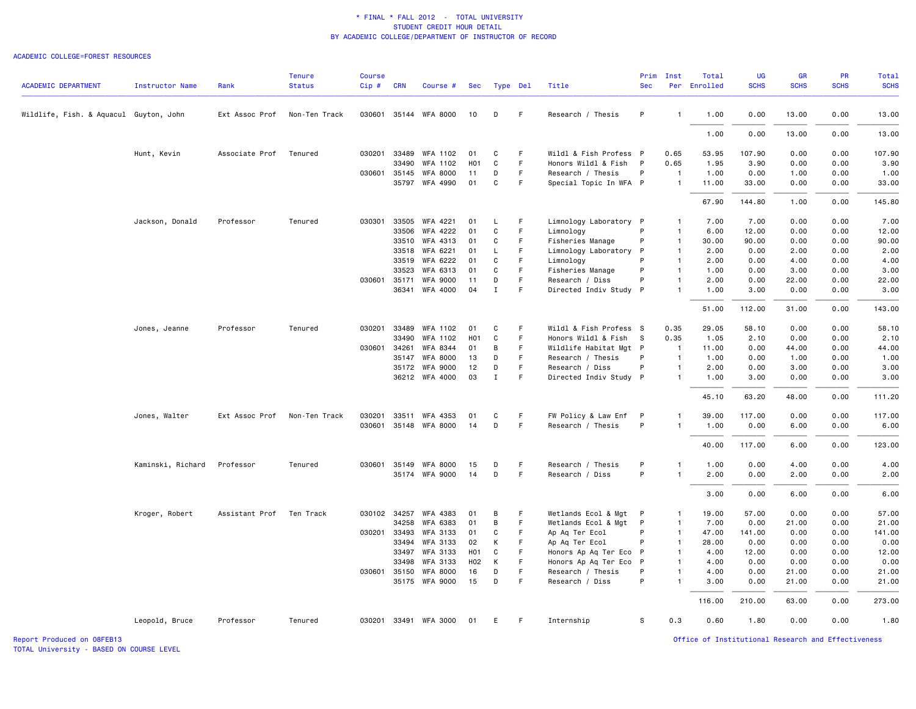#### ACADEMIC COLLEGE=FOREST RESOURCES

| <b>ACADEMIC DEPARTMENT</b>             | Instructor Name   | Rank           | <b>Tenure</b><br><b>Status</b> | <b>Course</b><br>$Cip$ # | <b>CRN</b> | Course #              | Sec              | Type Del     |    | Title                  | Prim<br><b>Sec</b> | Inst           | Total<br>Per Enrolled | <b>UG</b><br><b>SCHS</b> | <b>GR</b><br><b>SCHS</b> | <b>PR</b><br><b>SCHS</b> | <b>Total</b><br><b>SCHS</b> |
|----------------------------------------|-------------------|----------------|--------------------------------|--------------------------|------------|-----------------------|------------------|--------------|----|------------------------|--------------------|----------------|-----------------------|--------------------------|--------------------------|--------------------------|-----------------------------|
|                                        |                   |                |                                |                          |            |                       |                  |              |    |                        |                    |                |                       |                          |                          |                          |                             |
| Wildlife, Fish. & Aquacul Guyton, John |                   | Ext Assoc Prof | Non-Ten Track                  |                          |            | 030601 35144 WFA 8000 | 10               | D            | F. | Research / Thesis      | P                  | $\mathbf{1}$   | 1.00                  | 0.00                     | 13.00                    | 0.00                     | 13.00                       |
|                                        |                   |                |                                |                          |            |                       |                  |              |    |                        |                    |                | 1.00                  | 0.00                     | 13.00                    | 0.00                     | 13.00                       |
|                                        | Hunt, Kevin       | Associate Prof | Tenured                        | 030201                   | 33489      | WFA 1102              | 01               | C            | F  | Wildl & Fish Profess P |                    | 0.65           | 53.95                 | 107.90                   | 0.00                     | 0.00                     | 107.90                      |
|                                        |                   |                |                                |                          | 33490      | WFA 1102              | H <sub>0</sub> 1 | C            | F. | Honors Wildl & Fish P  |                    | 0.65           | 1.95                  | 3.90                     | 0.00                     | 0.00                     | 3.90                        |
|                                        |                   |                |                                | 030601 35145             |            | <b>WFA 8000</b>       | 11               | D            | F  | Research / Thesis      | P                  | $\overline{1}$ | 1.00                  | 0.00                     | 1.00                     | 0.00                     | 1.00                        |
|                                        |                   |                |                                |                          |            | 35797 WFA 4990        | 01               | $\mathtt{C}$ | F  | Special Topic In WFA P |                    | $\overline{1}$ | 11.00                 | 33.00                    | 0.00                     | 0.00                     | 33.00                       |
|                                        |                   |                |                                |                          |            |                       |                  |              |    |                        |                    |                | 67.90                 | 144.80                   | 1.00                     | 0.00                     | 145.80                      |
|                                        | Jackson, Donald   | Professor      | Tenured                        | 030301 33505             |            | WFA 4221              | 01               | L            | F  | Limnology Laboratory P |                    | $\mathbf{1}$   | 7.00                  | 7.00                     | 0.00                     | 0.00                     | 7.00                        |
|                                        |                   |                |                                |                          | 33506      | WFA 4222              | 01               | $\mathtt{C}$ | F  | Limnology              | P                  | $\mathbf{1}$   | 6.00                  | 12.00                    | 0.00                     | 0.00                     | 12.00                       |
|                                        |                   |                |                                |                          | 33510      | WFA 4313              | 01               | C            | F  | Fisheries Manage       | P                  | $\mathbf{1}$   | 30.00                 | 90.00                    | 0.00                     | 0.00                     | 90.00                       |
|                                        |                   |                |                                |                          | 33518      | WFA 6221              | 01               | L            | F  | Limnology Laboratory P |                    | $\mathbf{1}$   | 2.00                  | 0.00                     | 2.00                     | 0.00                     | 2.00                        |
|                                        |                   |                |                                |                          | 33519      | WFA 6222              | 01               | C            | F. | Limnology              | P                  | $\mathbf{1}$   | 2.00                  | 0.00                     | 4.00                     | 0.00                     | 4.00                        |
|                                        |                   |                |                                |                          | 33523      | WFA 6313              | 01               | C            | F  | Fisheries Manage       | P                  | $\mathbf{1}$   | 1.00                  | 0.00                     | 3.00                     | 0.00                     | 3.00                        |
|                                        |                   |                |                                | 030601 35171             |            | <b>WFA 9000</b>       | 11               | D            | F. | Research / Diss        | P                  | $\mathbf{1}$   | 2.00                  | 0.00                     | 22.00                    | 0.00                     | 22.00                       |
|                                        |                   |                |                                |                          |            | 36341 WFA 4000        | 04               | $\mathbf I$  | F  | Directed Indiv Study P |                    | $\mathbf{1}$   | 1.00                  | 3.00                     | 0.00                     | 0.00                     | 3.00                        |
|                                        |                   |                |                                |                          |            |                       |                  |              |    |                        |                    |                | 51.00                 | 112.00                   | 31.00                    | 0.00                     | 143.00                      |
|                                        | Jones, Jeanne     | Professor      | Tenured                        | 030201                   | 33489      | <b>WFA 1102</b>       | 01               | C            | F  | Wildl & Fish Profess S |                    | 0.35           | 29.05                 | 58.10                    | 0.00                     | 0.00                     | 58.10                       |
|                                        |                   |                |                                |                          | 33490      | WFA 1102              | H <sub>0</sub> 1 | C            | F. | Honors Wildl & Fish    | $^{\circ}$ S       | 0.35           | 1.05                  | 2.10                     | 0.00                     | 0.00                     | 2.10                        |
|                                        |                   |                |                                | 030601 34261             |            | WFA 8344              | 01               | B            | F  | Wildlife Habitat Mgt P |                    | $\overline{1}$ | 11.00                 | 0.00                     | 44.00                    | 0.00                     | 44.00                       |
|                                        |                   |                |                                |                          | 35147      | <b>WFA 8000</b>       | 13               | D            | F  | Research / Thesis      | P                  | $\overline{1}$ | 1.00                  | 0.00                     | 1.00                     | 0.00                     | 1.00                        |
|                                        |                   |                |                                |                          | 35172      | <b>WFA 9000</b>       | 12               | D            | F  | Research / Diss        | P                  | $\mathbf{1}$   | 2.00                  | 0.00                     | 3.00                     | 0.00                     | 3.00                        |
|                                        |                   |                |                                |                          |            | 36212 WFA 4000        | 03               | $\mathbf I$  | F  | Directed Indiv Study P |                    | $\mathbf{1}$   | 1.00                  | 3.00                     | 0.00                     | 0.00                     | 3.00                        |
|                                        |                   |                |                                |                          |            |                       |                  |              |    |                        |                    |                | 45.10                 | 63.20                    | 48.00                    | 0.00                     | 111.20                      |
|                                        | Jones, Walter     | Ext Assoc Prof | Non-Ten Track                  | 030201                   | 33511      | WFA 4353              | 01               | C            | F. | FW Policy & Law Enf    | P                  | $\mathbf{1}$   | 39.00                 | 117.00                   | 0.00                     | 0.00                     | 117.00                      |
|                                        |                   |                |                                |                          |            | 030601 35148 WFA 8000 | 14               | D            | F  | Research / Thesis      | P                  | $\mathbf{1}$   | 1.00                  | 0.00                     | 6.00                     | 0.00                     | 6.00                        |
|                                        |                   |                |                                |                          |            |                       |                  |              |    |                        |                    |                | 40.00                 | 117.00                   | 6.00                     | 0.00                     | 123.00                      |
|                                        | Kaminski, Richard | Professor      | Tenured                        | 030601                   | 35149      | <b>WFA 8000</b>       | 15               | D            | F. | Research / Thesis      | P                  | 1              | 1.00                  | 0.00                     | 4.00                     | 0.00                     | 4.00                        |
|                                        |                   |                |                                |                          |            | 35174 WFA 9000        | 14               | D            | F. | Research / Diss        | P                  | $\mathbf{1}$   | 2.00                  | 0.00                     | 2.00                     | 0.00                     | 2.00                        |
|                                        |                   |                |                                |                          |            |                       |                  |              |    |                        |                    |                | 3.00                  | 0.00                     | 6.00                     | 0.00                     | 6.00                        |
|                                        | Kroger, Robert    | Assistant Prof | Ten Track                      | 030102 34257             |            | WFA 4383              | 01               | B            | F  | Wetlands Ecol & Mgt P  |                    | $\mathbf{1}$   | 19.00                 | 57.00                    | 0.00                     | 0.00                     | 57.00                       |
|                                        |                   |                |                                |                          | 34258      | WFA 6383              | 01               | B            | F. | Wetlands Ecol & Mgt    | $\mathsf{P}$       | $\overline{1}$ | 7.00                  | 0.00                     | 21.00                    | 0.00                     | 21.00                       |
|                                        |                   |                |                                | 030201 33493             |            | WFA 3133              | 01               | C            | F. | Ap Aq Ter Ecol         | P                  | $\overline{1}$ | 47.00                 | 141.00                   | 0.00                     | 0.00                     | 141.00                      |
|                                        |                   |                |                                |                          | 33494      | <b>WFA 3133</b>       | 02               | K            | F  | Ap Aq Ter Ecol         | P                  | $\mathbf{1}$   | 28.00                 | 0.00                     | 0.00                     | 0.00                     | 0.00                        |
|                                        |                   |                |                                |                          | 33497      | WFA 3133              | H <sub>0</sub> 1 | C            | F  | Honors Ap Aq Ter Eco P |                    | $\mathbf{1}$   | 4.00                  | 12.00                    | 0.00                     | 0.00                     | 12.00                       |
|                                        |                   |                |                                |                          | 33498      | <b>WFA 3133</b>       | H <sub>02</sub>  | K            | F. | Honors Ap Aq Ter Eco   | $\mathsf{P}$       | $\mathbf{1}$   | 4.00                  | 0.00                     | 0.00                     | 0.00                     | 0.00                        |
|                                        |                   |                |                                | 030601 35150             |            | <b>WFA 8000</b>       | 16               | D            | F  | Research / Thesis      | P                  | $\mathbf{1}$   | 4.00                  | 0.00                     | 21.00                    | 0.00                     | 21.00                       |
|                                        |                   |                |                                |                          |            | 35175 WFA 9000        | 15               | D            | F. | Research / Diss        | P                  | $\mathbf{1}$   | 3.00                  | 0.00                     | 21.00                    | 0.00                     | 21.00                       |
|                                        |                   |                |                                |                          |            |                       |                  |              |    |                        |                    |                | 116.00                | 210.00                   | 63.00                    | 0.00                     | 273.00                      |
|                                        | Leopold, Bruce    | Professor      | Tenured                        |                          |            | 030201 33491 WFA 3000 | 01               | E.           | F. | Internship             | S                  | 0.3            | 0.60                  | 1.80                     | 0.00                     | 0.00                     | 1.80                        |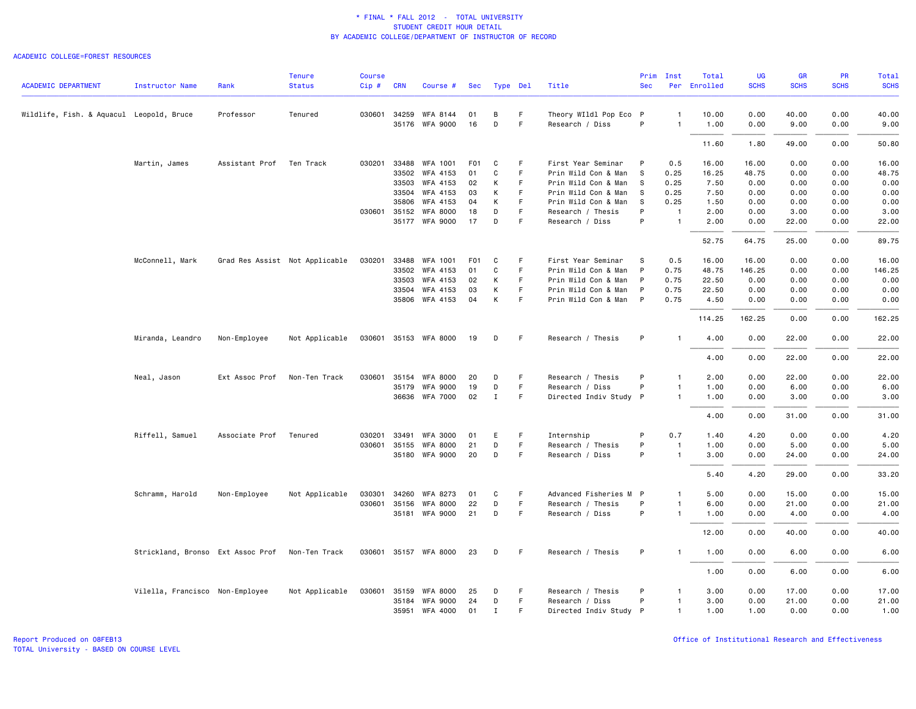### ACADEMIC COLLEGE=FOREST RESOURCES

| <b>ACADEMIC DEPARTMENT</b>               |                                   |                | <b>Tenure</b><br><b>Status</b> | <b>Course</b> | <b>CRN</b> |                       |                  |              |          | Title                  | Prim<br><b>Sec</b> | Inst           | Total<br>Per Enrolled | <b>UG</b><br><b>SCHS</b> | <b>GR</b><br><b>SCHS</b> | PR<br><b>SCHS</b> | <b>Total</b><br><b>SCHS</b> |
|------------------------------------------|-----------------------------------|----------------|--------------------------------|---------------|------------|-----------------------|------------------|--------------|----------|------------------------|--------------------|----------------|-----------------------|--------------------------|--------------------------|-------------------|-----------------------------|
|                                          | Instructor Name                   | Rank           |                                | Cip#          |            | Course #              | Sec              |              | Type Del |                        |                    |                |                       |                          |                          |                   |                             |
| Wildlife, Fish. & Aquacul Leopold, Bruce |                                   | Professor      | Tenured                        |               |            | 030601 34259 WFA 8144 | 01               | B            | F        | Theory WIldl Pop Eco P |                    | 1              | 10.00                 | 0.00                     | 40.00                    | 0.00              | 40.00                       |
|                                          |                                   |                |                                |               |            | 35176 WFA 9000        | 16               | D            | F        | Research / Diss        | P                  | 1              | 1.00                  | 0.00                     | 9.00                     | 0.00              | 9.00                        |
|                                          |                                   |                |                                |               |            |                       |                  |              |          |                        |                    |                | 11.60                 | 1.80                     | 49.00                    | 0.00              | 50.80                       |
|                                          | Martin, James                     | Assistant Prof | Ten Track                      | 030201        | 33488      | WFA 1001              | F <sub>01</sub>  | C            | F        | First Year Seminar     | P                  | 0.5            | 16.00                 | 16.00                    | 0.00                     | 0.00              | 16.00                       |
|                                          |                                   |                |                                |               | 33502      | WFA 4153              | 01               | C            | F        | Prin Wild Con & Man    | <sub>S</sub>       | 0.25           | 16.25                 | 48.75                    | 0.00                     | 0.00              | 48.75                       |
|                                          |                                   |                |                                |               | 33503      | WFA 4153              | 02               | К            | F.       | Prin Wild Con & Man    | S                  | 0.25           | 7.50                  | 0.00                     | 0.00                     | 0.00              | 0.00                        |
|                                          |                                   |                |                                |               | 33504      | WFA 4153              | 03               | К            | F        | Prin Wild Con & Man    | S                  | 0.25           | 7.50                  | 0.00                     | 0.00                     | 0.00              | 0.00                        |
|                                          |                                   |                |                                |               | 35806      | <b>WFA 4153</b>       | 04               | К            | F        | Prin Wild Con & Man    | s                  | 0.25           | 1.50                  | 0.00                     | 0.00                     | 0.00              | 0.00                        |
|                                          |                                   |                |                                | 030601 35152  |            | <b>WFA 8000</b>       | 18               | D            | F.       | Research / Thesis      | P                  | $\mathbf{1}$   | 2.00                  | 0.00                     | 3.00                     | 0.00              | 3.00                        |
|                                          |                                   |                |                                |               |            | 35177 WFA 9000        | 17               | D            | F        | Research / Diss        | P                  | $\mathbf{1}$   | 2.00                  | 0.00                     | 22.00                    | 0.00              | 22.00                       |
|                                          |                                   |                |                                |               |            |                       |                  |              |          |                        |                    |                | 52.75                 | 64.75                    | 25.00                    | 0.00              | 89.75                       |
|                                          | McConnell, Mark                   |                | Grad Res Assist Not Applicable | 030201        | 33488      | <b>WFA 1001</b>       | F <sub>0</sub> 1 | C            | F        | First Year Seminar     | S                  | 0.5            | 16.00                 | 16.00                    | 0.00                     | 0.00              | 16.00                       |
|                                          |                                   |                |                                |               |            | 33502 WFA 4153        | 01               | C            | F.       | Prin Wild Con & Man    | P                  | 0.75           | 48.75                 | 146.25                   | 0.00                     | 0.00              | 146.25                      |
|                                          |                                   |                |                                |               | 33503      | WFA 4153              | 02               | К            | F        | Prin Wild Con & Man    | P                  | 0.75           | 22.50                 | 0.00                     | 0.00                     | 0.00              | 0.00                        |
|                                          |                                   |                |                                |               |            | 33504 WFA 4153        | 03               | К            | F        | Prin Wild Con & Man    | P                  | 0.75           | 22.50                 | 0.00                     | 0.00                     | 0.00              | 0.00                        |
|                                          |                                   |                |                                |               |            | 35806 WFA 4153        | 04               | К            | F        | Prin Wild Con & Man P  |                    | 0.75           | 4.50                  | 0.00                     | 0.00                     | 0.00              | 0.00                        |
|                                          |                                   |                |                                |               |            |                       |                  |              |          |                        |                    |                | 114.25                | 162.25                   | 0.00                     | 0.00              | 162.25                      |
|                                          | Miranda, Leandro                  | Non-Employee   | Not Applicable                 |               |            | 030601 35153 WFA 8000 | 19               | D            | F        | Research / Thesis      | P                  | $\mathbf{1}$   | 4.00                  | 0.00                     | 22.00                    | 0.00              | 22.00                       |
|                                          |                                   |                |                                |               |            |                       |                  |              |          |                        |                    |                | 4.00                  | 0.00                     | 22.00                    | 0.00              | 22.00                       |
|                                          | Neal, Jason                       | Ext Assoc Prof | Non-Ten Track                  | 030601        | 35154      | <b>WFA 8000</b>       | 20               | D            | F        | Research / Thesis      | P                  | $\mathbf{1}$   | 2.00                  | 0.00                     | 22.00                    | 0.00              | 22.00                       |
|                                          |                                   |                |                                |               |            | 35179 WFA 9000        | 19               | D            | F        | Research / Diss        | P                  | 1              | 1.00                  | 0.00                     | 6.00                     | 0.00              | 6.00                        |
|                                          |                                   |                |                                |               |            | 36636 WFA 7000        | 02               | $\mathbf{I}$ | F.       | Directed Indiv Study P |                    | $\mathbf{1}$   | 1.00                  | 0.00                     | 3.00                     | 0.00              | 3.00                        |
|                                          |                                   |                |                                |               |            |                       |                  |              |          |                        |                    |                | 4.00                  | 0.00                     | 31.00                    | 0.00              | 31.00                       |
|                                          | Riffell, Samuel                   | Associate Prof | Tenured                        | 030201        | 33491      | <b>WFA 3000</b>       | 01               | E            | F        | Internship             | P                  | 0.7            | 1.40                  | 4.20                     | 0.00                     | 0.00              | 4.20                        |
|                                          |                                   |                |                                | 030601 35155  |            | WFA 8000              | 21               | D            | F.       | Research / Thesis      | P                  | $\overline{1}$ | 1.00                  | 0.00                     | 5.00                     | 0.00              | 5.00                        |
|                                          |                                   |                |                                |               |            | 35180 WFA 9000        | 20               | D            | F.       | Research / Diss        | P                  | $\mathbf{1}$   | 3.00                  | 0.00                     | 24.00                    | 0.00              | 24.00                       |
|                                          |                                   |                |                                |               |            |                       |                  |              |          |                        |                    |                | 5.40                  | 4.20                     | 29.00                    | 0.00              | 33.20                       |
|                                          | Schramm, Harold                   | Non-Employee   | Not Applicable                 | 030301        | 34260      | <b>WFA 8273</b>       | 01               | C            | F        | Advanced Fisheries M   | $\mathsf{P}$       | $\mathbf{1}$   | 5.00                  | 0.00                     | 15.00                    | 0.00              | 15.00                       |
|                                          |                                   |                |                                | 030601 35156  |            | WFA 8000              | 22               | D            | F        | Research / Thesis      | P                  | 1              | 6.00                  | 0.00                     | 21.00                    | 0.00              | 21.00                       |
|                                          |                                   |                |                                |               |            | 35181 WFA 9000        | 21               | D            | F.       | Research / Diss        | P                  | $\mathbf{1}$   | 1.00                  | 0.00                     | 4.00                     | 0.00              | 4.00                        |
|                                          |                                   |                |                                |               |            |                       |                  |              |          |                        |                    |                | 12.00                 | 0.00                     | 40.00                    | 0.00              | 40.00                       |
|                                          | Strickland, Bronso Ext Assoc Prof |                | Non-Ten Track                  |               |            | 030601 35157 WFA 8000 | 23               | D            | F.       | Research / Thesis      | P                  | $\mathbf{1}$   | 1.00                  | 0.00                     | 6.00                     | 0.00              | 6.00                        |
|                                          |                                   |                |                                |               |            |                       |                  |              |          |                        |                    |                | 1.00                  | 0.00                     | 6.00                     | 0.00              | 6.00                        |
|                                          | Vilella, Francisco Non-Employee   |                | Not Applicable                 |               |            | 030601 35159 WFA 8000 | 25               | D            | F        | Research / Thesis      | P                  | -1             | 3.00                  | 0.00                     | 17.00                    | 0.00              | 17.00                       |
|                                          |                                   |                |                                |               | 35184      | <b>WFA 9000</b>       | 24               | D            | F.       | Research / Diss        | P                  | $\mathbf{1}$   | 3.00                  | 0.00                     | 21.00                    | 0.00              | 21.00                       |
|                                          |                                   |                |                                |               |            | 35951 WFA 4000        | 01               | <b>I</b>     | F        | Directed Indiv Study P |                    | 1              | 1.00                  | 1.00                     | 0.00                     | 0.00              | 1.00                        |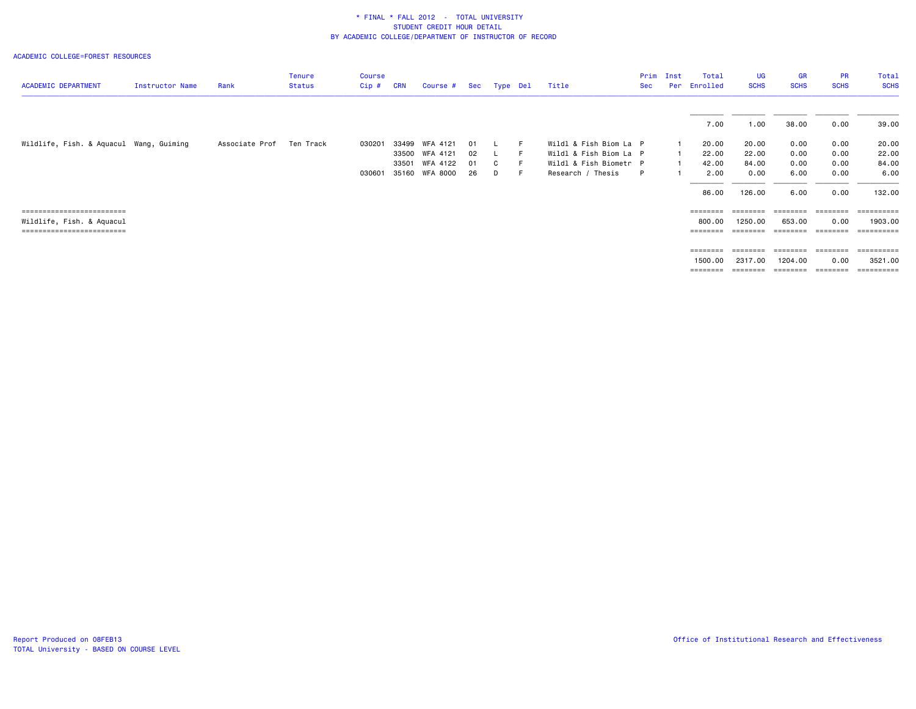### ACADEMIC COLLEGE=FOREST RESOURCES

| <b>ACADEMIC DEPARTMENT</b>              | Instructor Name | Rank           | <b>Tenure</b><br><b>Status</b> | <b>Course</b><br>Cip# | <b>CRN</b> | Course #       | Sec  | Type Del |    | Title                  | Prim<br>Sec | Inst<br>Per | Total<br>Enrolled | <b>UG</b><br><b>SCHS</b> | <b>GR</b><br><b>SCHS</b> | <b>PR</b><br><b>SCHS</b> | Total<br><b>SCHS</b>                                                                                                                                                                                                                                                                                                                                                                                                                                                                       |
|-----------------------------------------|-----------------|----------------|--------------------------------|-----------------------|------------|----------------|------|----------|----|------------------------|-------------|-------------|-------------------|--------------------------|--------------------------|--------------------------|--------------------------------------------------------------------------------------------------------------------------------------------------------------------------------------------------------------------------------------------------------------------------------------------------------------------------------------------------------------------------------------------------------------------------------------------------------------------------------------------|
|                                         |                 |                |                                |                       |            |                |      |          |    |                        |             |             | 7.00              | 1.00                     | 38.00                    | 0.00                     | 39.00                                                                                                                                                                                                                                                                                                                                                                                                                                                                                      |
| Wildlife, Fish. & Aquacul Wang, Guiming |                 | Associate Prof | Ten Track                      | 030201                | 33499      | WFA 4121       | 01   |          | -F | Wildl & Fish Biom La P |             |             | 20.00             | 20.00                    | 0.00                     | 0.00                     | 20.00                                                                                                                                                                                                                                                                                                                                                                                                                                                                                      |
|                                         |                 |                |                                |                       |            | 33500 WFA 4121 | - 02 |          | -F | Wildl & Fish Biom La P |             |             | 22.00             | 22.00                    | 0.00                     | 0.00                     | 22.00                                                                                                                                                                                                                                                                                                                                                                                                                                                                                      |
|                                         |                 |                |                                |                       | 33501      | WFA 4122       | 01   | C.       |    | Wildl & Fish Biometr P |             |             | 42.00             | 84.00                    | 0.00                     | 0.00                     | 84.00                                                                                                                                                                                                                                                                                                                                                                                                                                                                                      |
|                                         |                 |                |                                | 030601                |            | 35160 WFA 8000 | -26  | D        | -F | Research / Thesis      | P           |             | 2.00              | 0.00                     | 6.00                     | 0.00                     | 6.00                                                                                                                                                                                                                                                                                                                                                                                                                                                                                       |
|                                         |                 |                |                                |                       |            |                |      |          |    |                        |             |             | 86.00             | 126.00                   | 6.00                     | 0.00                     | 132.00                                                                                                                                                                                                                                                                                                                                                                                                                                                                                     |
| ==========================              |                 |                |                                |                       |            |                |      |          |    |                        |             |             | $=$ = = = = = = = | ========                 | $=$ = = = = = = =        |                          |                                                                                                                                                                                                                                                                                                                                                                                                                                                                                            |
| Wildlife, Fish. & Aquacul               |                 |                |                                |                       |            |                |      |          |    |                        |             |             | 800.00            | 1250.00                  | 653.00                   | 0.00                     | 1903.00                                                                                                                                                                                                                                                                                                                                                                                                                                                                                    |
| -------------------------               |                 |                |                                |                       |            |                |      |          |    |                        |             |             | ========          | ========                 | ========                 | ========                 | ==========                                                                                                                                                                                                                                                                                                                                                                                                                                                                                 |
|                                         |                 |                |                                |                       |            |                |      |          |    |                        |             |             | $=$ = = = = = = = | ========                 | $=$ = = = = = = =        | ========                 |                                                                                                                                                                                                                                                                                                                                                                                                                                                                                            |
|                                         |                 |                |                                |                       |            |                |      |          |    |                        |             |             | 1500.00           | 2317.00                  | 1204.00                  | 0.00                     | 3521.00                                                                                                                                                                                                                                                                                                                                                                                                                                                                                    |
|                                         |                 |                |                                |                       |            |                |      |          |    |                        |             |             | ========          | ========                 | ========                 | ========                 | $\begin{minipage}{0.9\linewidth} \begin{tabular}{l} \multicolumn{2}{l}{} & \multicolumn{2}{l}{} & \multicolumn{2}{l}{} \\ \multicolumn{2}{l}{} & \multicolumn{2}{l}{} & \multicolumn{2}{l}{} \\ \multicolumn{2}{l}{} & \multicolumn{2}{l}{} & \multicolumn{2}{l}{} \\ \multicolumn{2}{l}{} & \multicolumn{2}{l}{} & \multicolumn{2}{l}{} \\ \multicolumn{2}{l}{} & \multicolumn{2}{l}{} & \multicolumn{2}{l}{} \\ \multicolumn{2}{l}{} & \multicolumn{2}{l}{} & \multicolumn{2}{l}{} \\ \$ |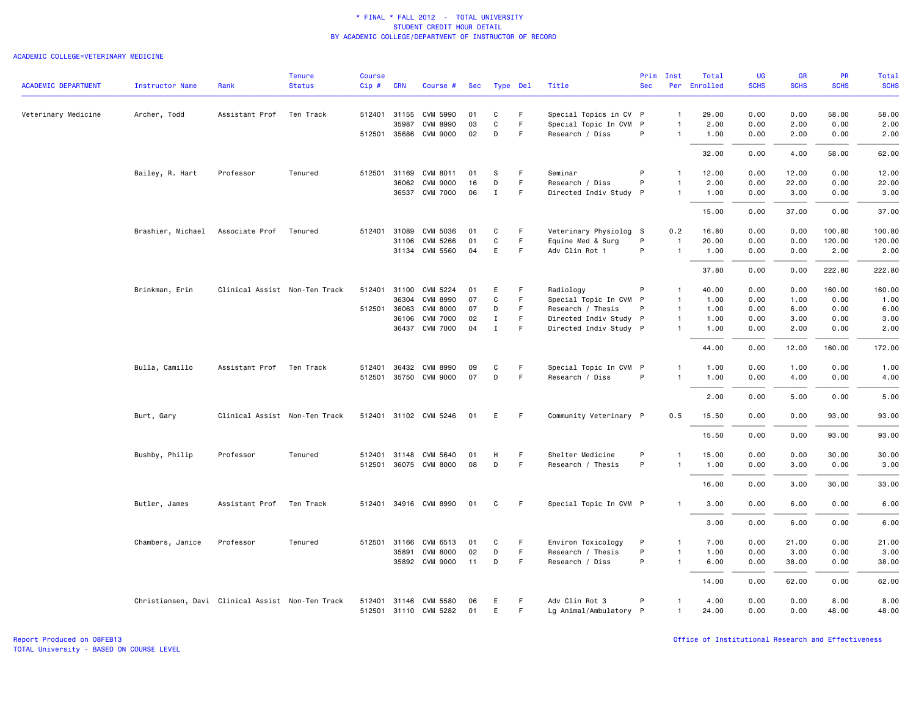### ACADEMIC COLLEGE=VETERINARY MEDICINE

|                            |                                                  |                               | <b>Tenure</b> | <b>Course</b> |              |                       |     |             |             |                        | Prim       | Inst           | Total        | <b>UG</b>   | <b>GR</b>   | PR          | Total       |
|----------------------------|--------------------------------------------------|-------------------------------|---------------|---------------|--------------|-----------------------|-----|-------------|-------------|------------------------|------------|----------------|--------------|-------------|-------------|-------------|-------------|
| <b>ACADEMIC DEPARTMENT</b> | <b>Instructor Name</b>                           | Rank                          | <b>Status</b> | $Cip \#$      | <b>CRN</b>   | Course #              | Sec | Type Del    |             | Title                  | <b>Sec</b> |                | Per Enrolled | <b>SCHS</b> | <b>SCHS</b> | <b>SCHS</b> | <b>SCHS</b> |
| Veterinary Medicine        | Archer, Todd                                     | Assistant Prof                | Ten Track     |               | 512401 31155 | CVM 5990              | 01  | C           | F.          | Special Topics in CV P |            | $\mathbf{1}$   | 29.00        | 0.00        | 0.00        | 58.00       | 58.00       |
|                            |                                                  |                               |               |               | 35987        | <b>CVM 8990</b>       | 03  | C           | F.          | Special Topic In CVM P |            | $\mathbf{1}$   | 2.00         | 0.00        | 2.00        | 0.00        | 2.00        |
|                            |                                                  |                               |               |               |              | 512501 35686 CVM 9000 | 02  | D           | F.          | Research / Diss        | P          | $\overline{1}$ | 1.00         | 0.00        | 2.00        | 0.00        | 2.00        |
|                            |                                                  |                               |               |               |              |                       |     |             |             |                        |            |                | 32.00        | 0.00        | 4.00        | 58.00       | 62.00       |
|                            | Bailey, R. Hart                                  | Professor                     | Tenured       | 512501        | 31169        | CVM 8011              | 01  | s           | F.          | Seminar                | P          | $\mathbf{1}$   | 12.00        | 0.00        | 12.00       | 0.00        | 12.00       |
|                            |                                                  |                               |               |               | 36062        | <b>CVM 9000</b>       | 16  | D           | F           | Research / Diss        | P          | $\mathbf{1}$   | 2.00         | 0.00        | 22.00       | 0.00        | 22.00       |
|                            |                                                  |                               |               |               |              | 36537 CVM 7000        | 06  | $\mathbf I$ | $\mathsf F$ | Directed Indiv Study P |            | $\mathbf{1}$   | 1.00         | 0.00        | 3.00        | 0.00        | 3.00        |
|                            |                                                  |                               |               |               |              |                       |     |             |             |                        |            |                | 15.00        | 0.00        | 37.00       | 0.00        | 37.00       |
|                            | Brashier, Michael Associate Prof                 |                               | Tenured       | 512401        | 31089        | CVM 5036              | 01  | C           | -F          | Veterinary Physiolog S |            | 0.2            | 16.80        | 0.00        | 0.00        | 100.80      | 100.80      |
|                            |                                                  |                               |               |               | 31106        | <b>CVM 5266</b>       | 01  | C           | F           | Equine Med & Surg      | P          | $\overline{1}$ | 20.00        | 0.00        | 0.00        | 120.00      | 120.00      |
|                            |                                                  |                               |               |               |              | 31134 CVM 5560        | 04  | E           | F.          | Adv Clin Rot 1         | P          | $\overline{1}$ | 1.00         | 0.00        | 0.00        | 2.00        | 2.00        |
|                            |                                                  |                               |               |               |              |                       |     |             |             |                        |            |                | 37.80        | 0.00        | 0.00        | 222.80      | 222.80      |
|                            | Brinkman, Erin                                   | Clinical Assist Non-Ten Track |               | 512401        | 31100        | CVM 5224              | 01  | Ε           | F           | Radiology              | P          | $\mathbf{1}$   | 40.00        | 0.00        | 0.00        | 160.00      | 160.00      |
|                            |                                                  |                               |               |               | 36304        | <b>CVM 8990</b>       | 07  | C           | F           | Special Topic In CVM P |            | $\mathbf{1}$   | 1.00         | 0.00        | 1.00        | 0.00        | 1.00        |
|                            |                                                  |                               |               |               | 512501 36063 | <b>CVM 8000</b>       | 07  | D           | F.          | Research / Thesis      | P          | $\mathbf{1}$   | 1.00         | 0.00        | 6.00        | 0.00        | 6.00        |
|                            |                                                  |                               |               |               | 36106        | <b>CVM 7000</b>       | 02  | $\mathbf I$ | $\mathsf F$ | Directed Indiv Study P |            | $\overline{1}$ | 1.00         | 0.00        | 3.00        | 0.00        | 3.00        |
|                            |                                                  |                               |               |               |              | 36437 CVM 7000        | 04  | $\mathbf I$ | F           | Directed Indiv Study P |            | $\mathbf{1}$   | 1.00         | 0.00        | 2.00        | 0.00        | 2.00        |
|                            |                                                  |                               |               |               |              |                       |     |             |             |                        |            |                | 44.00        | 0.00        | 12.00       | 160.00      | 172.00      |
|                            | Bulla, Camillo                                   | Assistant Prof                | Ten Track     | 512401        | 36432        | CVM 8990              | 09  | C           | F.          | Special Topic In CVM P |            | 1              | 1.00         | 0.00        | 1.00        | 0.00        | 1.00        |
|                            |                                                  |                               |               |               | 512501 35750 | <b>CVM 9000</b>       | 07  | D           | F           | Research / Diss        | P          | $\mathbf{1}$   | 1.00         | 0.00        | 4.00        | 0.00        | 4.00        |
|                            |                                                  |                               |               |               |              |                       |     |             |             |                        |            |                | 2.00         | 0.00        | 5.00        | 0.00        | 5.00        |
|                            | Burt, Gary                                       | Clinical Assist Non-Ten Track |               |               |              | 512401 31102 CVM 5246 | 01  | E           | -F          | Community Veterinary P |            | 0.5            | 15.50        | 0.00        | 0.00        | 93.00       | 93.00       |
|                            |                                                  |                               |               |               |              |                       |     |             |             |                        |            |                | 15.50        | 0.00        | 0.00        | 93.00       | 93.00       |
|                            | Bushby, Philip                                   | Professor                     | Tenured       | 512401        | 31148        | CVM 5640              | 01  | н           | F           | Shelter Medicine       | P          | $\mathbf{1}$   | 15.00        | 0.00        | 0.00        | 30.00       | 30.00       |
|                            |                                                  |                               |               |               |              | 512501 36075 CVM 8000 | 08  | D           | F           | Research / Thesis      | P          | $\overline{1}$ | 1.00         | 0.00        | 3.00        | 0.00        | 3.00        |
|                            |                                                  |                               |               |               |              |                       |     |             |             |                        |            |                | 16.00        | 0.00        | 3.00        | 30.00       | 33.00       |
|                            | Butler, James                                    | Assistant Prof                | Ten Track     |               |              | 512401 34916 CVM 8990 | 01  | C           | F.          | Special Topic In CVM P |            | -1             | 3.00         | 0.00        | 6.00        | 0.00        | 6.00        |
|                            |                                                  |                               |               |               |              |                       |     |             |             |                        |            |                | 3.00         | 0.00        | 6.00        | 0.00        | 6.00        |
|                            | Chambers, Janice                                 | Professor                     | Tenured       |               | 512501 31166 | CVM 6513              | 01  | C           | F           | Environ Toxicology     | P          | $\mathbf{1}$   | 7.00         | 0.00        | 21.00       | 0.00        | 21.00       |
|                            |                                                  |                               |               |               | 35891        | CVM 8000              | 02  | D           | F           | Research / Thesis      | P          | $\overline{1}$ | 1.00         | 0.00        | 3.00        | 0.00        | 3.00        |
|                            |                                                  |                               |               |               |              | 35892 CVM 9000        | 11  | D           | F.          | Research / Diss        | P          | $\mathbf{1}$   | 6.00         | 0.00        | 38.00       | 0.00        | 38.00       |
|                            |                                                  |                               |               |               |              |                       |     |             |             |                        |            |                | 14.00        | 0.00        | 62.00       | 0.00        | 62.00       |
|                            | Christiansen, Davi Clinical Assist Non-Ten Track |                               |               | 512401        |              | 31146 CVM 5580        | 06  | Е           | -F          | Adv Clin Rot 3         | P          | $\mathbf{1}$   | 4.00         | 0.00        | 0.00        | 8.00        | 8.00        |
|                            |                                                  |                               |               |               |              | 512501 31110 CVM 5282 | 01  | E           | F.          | Lg Animal/Ambulatory P |            | $\mathbf{1}$   | 24.00        | 0.00        | 0.00        | 48.00       | 48.00       |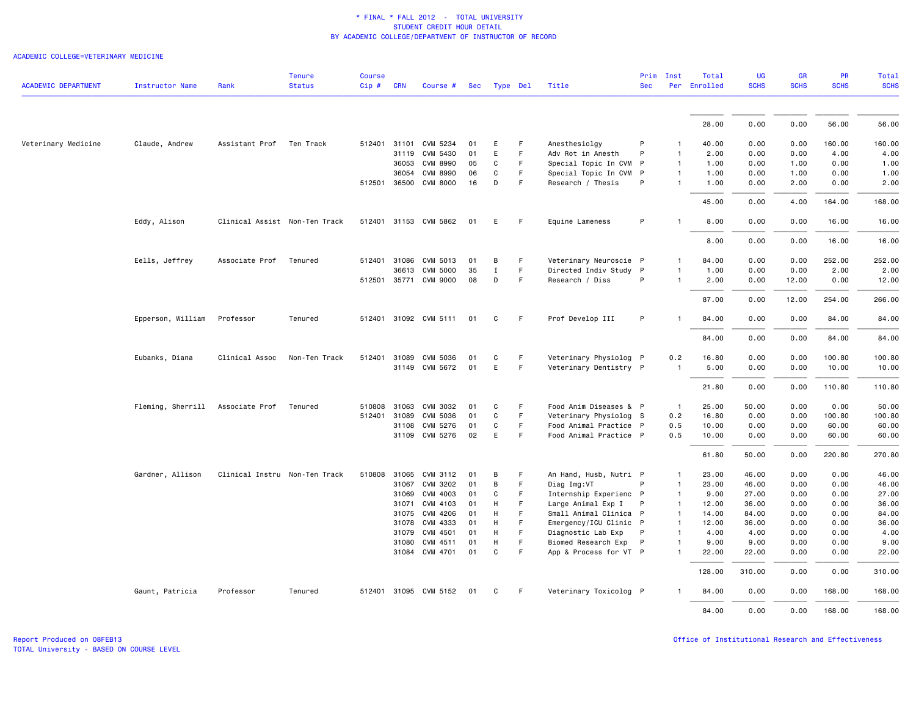| <b>ACADEMIC DEPARTMENT</b> | <b>Instructor Name</b> | Rank                          | <b>Tenure</b><br><b>Status</b> | <b>Course</b><br>Cip# | <b>CRN</b> | Course #              | Sec | Type Del |    | Title                  | <b>Sec</b> | Prim Inst      | Total<br>Per Enrolled | <b>UG</b><br><b>SCHS</b> | <b>GR</b><br><b>SCHS</b> | <b>PR</b><br><b>SCHS</b> | <b>Total</b><br><b>SCHS</b> |
|----------------------------|------------------------|-------------------------------|--------------------------------|-----------------------|------------|-----------------------|-----|----------|----|------------------------|------------|----------------|-----------------------|--------------------------|--------------------------|--------------------------|-----------------------------|
|                            |                        |                               |                                |                       |            |                       |     |          |    |                        |            |                |                       |                          |                          |                          |                             |
|                            |                        |                               |                                |                       |            |                       |     |          |    |                        |            |                | 28.00                 | 0.00                     | 0.00                     | 56.00                    | 56.00                       |
| Veterinary Medicine        | Claude, Andrew         | Assistant Prof Ten Track      |                                |                       |            | 512401 31101 CVM 5234 | 01  | E        | F. | Anesthesiolgy          | P          | -1             | 40.00                 | 0.00                     | 0.00                     | 160.00                   | 160.00                      |
|                            |                        |                               |                                |                       | 31119      | CVM 5430              | 01  | E        | F. | Adv Rot in Anesth      | P          | $\mathbf{1}$   | 2.00                  | 0.00                     | 0.00                     | 4.00                     | 4.00                        |
|                            |                        |                               |                                |                       | 36053      | <b>CVM 8990</b>       | 05  | C        | F  | Special Topic In CVM P |            | $\overline{1}$ | 1.00                  | 0.00                     | 1.00                     | 0.00                     | 1.00                        |
|                            |                        |                               |                                |                       | 36054      | <b>CVM 8990</b>       | 06  | C        | F. | Special Topic In CVM P |            | $\mathbf{1}$   | 1.00                  | 0.00                     | 1.00                     | 0.00                     | 1.00                        |
|                            |                        |                               |                                |                       |            | 512501 36500 CVM 8000 | 16  | D        | F. | Research / Thesis      | P          | $\mathbf{1}$   | 1.00                  | 0.00                     | 2.00                     | 0.00                     | 2.00                        |
|                            |                        |                               |                                |                       |            |                       |     |          |    |                        |            |                | 45.00                 | 0.00                     | 4.00                     | 164.00                   | 168.00                      |
|                            | Eddy, Alison           | Clinical Assist Non-Ten Track |                                |                       |            | 512401 31153 CVM 5862 | 01  | E        | F. | Equine Lameness        | P          | $\mathbf{1}$   | 8.00                  | 0.00                     | 0.00                     | 16.00                    | 16.00                       |
|                            |                        |                               |                                |                       |            |                       |     |          |    |                        |            |                | 8.00                  | 0.00                     | 0.00                     | 16.00                    | 16.00                       |
|                            | Eells, Jeffrey         | Associate Prof                | Tenured                        |                       |            | 512401 31086 CVM 5013 | 01  | B        | F. | Veterinary Neuroscie P |            | $\mathbf{1}$   | 84.00                 | 0.00                     | 0.00                     | 252.00                   | 252.00                      |
|                            |                        |                               |                                |                       | 36613      | <b>CVM 5000</b>       | 35  | Ι.       | F. | Directed Indiv Study P |            | $\mathbf{1}$   | 1.00                  | 0.00                     | 0.00                     | 2.00                     | 2.00                        |
|                            |                        |                               |                                |                       |            | 512501 35771 CVM 9000 | 08  | D        | F. | Research / Diss        | P          | $\mathbf{1}$   | 2.00                  | 0.00                     | 12.00                    | 0.00                     | 12.00                       |
|                            |                        |                               |                                |                       |            |                       |     |          |    |                        |            |                | 87.00                 | 0.00                     | 12.00                    | 254.00                   | 266.00                      |
|                            | Epperson, William      | Professor                     | Tenured                        |                       |            | 512401 31092 CVM 5111 | 01  | C        | F. | Prof Develop III       | P          | $\mathbf{1}$   | 84.00                 | 0.00                     | 0.00                     | 84.00                    | 84.00                       |
|                            |                        |                               |                                |                       |            |                       |     |          |    |                        |            |                | 84.00                 | 0.00                     | 0.00                     | 84.00                    | 84.00                       |
|                            | Eubanks, Diana         | Clinical Assoc                | Non-Ten Track                  |                       |            | 512401 31089 CVM 5036 | 01  | C        | F. | Veterinary Physiolog P |            | 0.2            | 16.80                 | 0.00                     | 0.00                     | 100.80                   | 100.80                      |
|                            |                        |                               |                                |                       |            | 31149 CVM 5672        | 01  | E        | F  | Veterinary Dentistry P |            | $\mathbf{1}$   | 5.00                  | 0.00                     | 0.00                     | 10.00                    | 10.00                       |
|                            |                        |                               |                                |                       |            |                       |     |          |    |                        |            |                | 21.80                 | 0.00                     | 0.00                     | 110.80                   | 110.80                      |
|                            | Fleming, Sherrill      | Associate Prof                | Tenured                        | 510808                | 31063      | CVM 3032              | 01  | C        | F  | Food Anim Diseases & P |            | $\overline{1}$ | 25.00                 | 50.00                    | 0.00                     | 0.00                     | 50.00                       |
|                            |                        |                               |                                | 512401 31089          |            | CVM 5036              | 01  | C        | F. | Veterinary Physiolog S |            | 0.2            | 16.80                 | 0.00                     | 0.00                     | 100.80                   | 100.80                      |
|                            |                        |                               |                                |                       | 31108      | CVM 5276              | 01  | C        | F. | Food Animal Practice P |            | 0.5            | 10.00                 | 0.00                     | 0.00                     | 60.00                    | 60.00                       |
|                            |                        |                               |                                |                       |            | 31109 CVM 5276        | 02  | E        | F. | Food Animal Practice P |            | 0.5            | 10.00                 | 0.00                     | 0.00                     | 60.00                    | 60.00                       |
|                            |                        |                               |                                |                       |            |                       |     |          |    |                        |            |                | 61.80                 | 50.00                    | 0.00                     | 220.80                   | 270.80                      |
|                            | Gardner, Allison       | Clinical Instru Non-Ten Track |                                |                       |            | 510808 31065 CVM 3112 | 01  | B        | F. | An Hand, Husb, Nutri P |            | 1              | 23.00                 | 46.00                    | 0.00                     | 0.00                     | 46.00                       |
|                            |                        |                               |                                |                       | 31067      | CVM 3202              | 01  | B        | F. | Diag Img:VT            | P          | $\mathbf{1}$   | 23.00                 | 46.00                    | 0.00                     | 0.00                     | 46.00                       |
|                            |                        |                               |                                |                       | 31069      | CVM 4003              | 01  | C        | F  | Internship Experienc P |            | $\overline{1}$ | 9.00                  | 27,00                    | 0.00                     | 0.00                     | 27.00                       |
|                            |                        |                               |                                |                       | 31071      | CVM 4103              | 01  | H        | F. | Large Animal Exp I     | P          | $\overline{1}$ | 12.00                 | 36.00                    | 0.00                     | 0.00                     | 36.00                       |
|                            |                        |                               |                                |                       | 31075      | CVM 4206              | 01  | H        | F  | Small Animal Clinica P |            | $\mathbf{1}$   | 14.00                 | 84.00                    | 0.00                     | 0.00                     | 84.00                       |
|                            |                        |                               |                                |                       | 31078      | CVM 4333              | 01  | H        | F  | Emergency/ICU Clinic P |            | $\overline{1}$ | 12.00                 | 36.00                    | 0.00                     | 0.00                     | 36.00                       |
|                            |                        |                               |                                |                       |            | 31079 CVM 4501        | 01  | H        | F. | Diagnostic Lab Exp     | P          | $\mathbf{1}$   | 4.00                  | 4.00                     | 0.00                     | 0.00                     | 4.00                        |
|                            |                        |                               |                                |                       | 31080      | CVM 4511              | 01  | H        | F. | Biomed Research Exp    | P          | $\mathbf{1}$   | 9.00                  | 9.00                     | 0.00                     | 0.00                     | 9.00                        |
|                            |                        |                               |                                |                       |            | 31084 CVM 4701        | 01  | C        | F  | App & Process for VT P |            | $\mathbf{1}$   | 22.00                 | 22.00                    | 0.00                     | 0.00                     | 22.00                       |
|                            |                        |                               |                                |                       |            |                       |     |          |    |                        |            |                | 128.00                | 310.00                   | 0.00                     | 0.00                     | 310.00                      |
|                            | Gaunt, Patricia        | Professor                     | Tenured                        |                       |            | 512401 31095 CVM 5152 | 01  | C        | F. | Veterinary Toxicolog P |            |                | 84.00                 | 0.00                     | 0.00                     | 168.00                   | 168.00                      |
|                            |                        |                               |                                |                       |            |                       |     |          |    |                        |            |                | 84.00                 | 0.00                     | 0.00                     | 168,00                   | 168.00                      |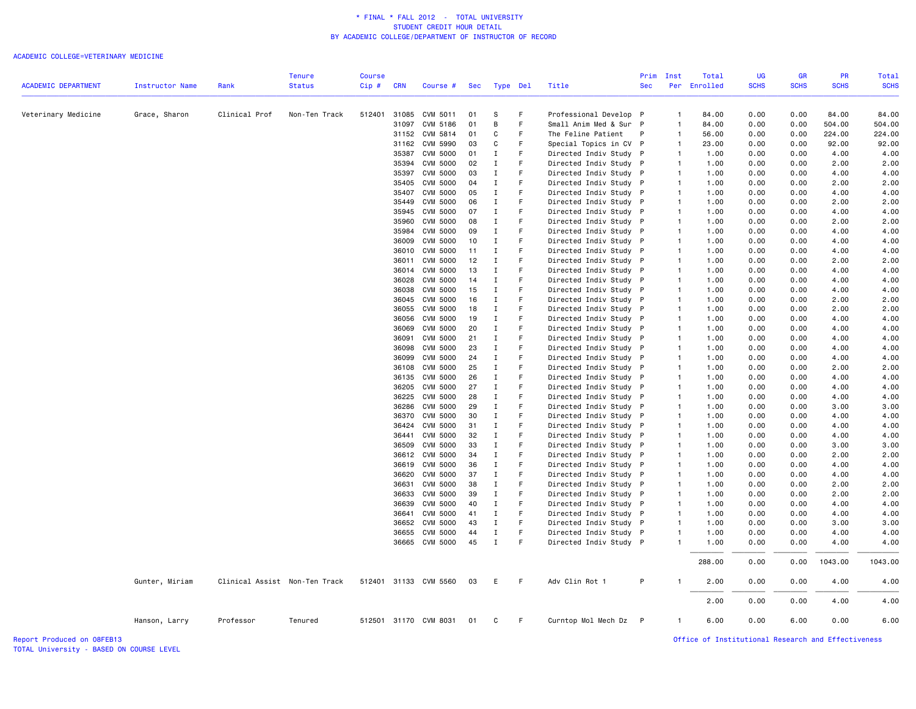#### ACADEMIC COLLEGE=VETERINARY MEDICINE

|                            |                        |                               | Tenure        | <b>Course</b> |            |                       |     |             |    |                        |              | Prim Inst      | Total        | UG          | <b>GR</b>   | <b>PR</b>   | Total       |
|----------------------------|------------------------|-------------------------------|---------------|---------------|------------|-----------------------|-----|-------------|----|------------------------|--------------|----------------|--------------|-------------|-------------|-------------|-------------|
| <b>ACADEMIC DEPARTMENT</b> | <b>Instructor Name</b> | Rank                          | <b>Status</b> | Cip#          | <b>CRN</b> | Course #              | Sec | Type Del    |    | Title                  | <b>Sec</b>   |                | Per Enrolled | <b>SCHS</b> | <b>SCHS</b> | <b>SCHS</b> | <b>SCHS</b> |
| Veterinary Medicine        | Grace, Sharon          | Clinical Prof                 | Non-Ten Track | 512401        | 31085      | CVM 5011              | 01  | S           | F  | Professional Develop P |              | $\overline{1}$ | 84.00        | 0.00        | 0.00        | 84.00       | 84.00       |
|                            |                        |                               |               |               | 31097      | CVM 5186              | 01  | B           | F  | Small Anim Med & Sur P |              | $\overline{1}$ | 84.00        | 0.00        | 0.00        | 504.00      | 504.00      |
|                            |                        |                               |               |               | 31152      | CVM 5814              | 01  | C           | F  | The Feline Patient     | P            | $\overline{1}$ | 56.00        | 0.00        | 0.00        | 224.00      | 224.00      |
|                            |                        |                               |               |               | 31162      | CVM 5990              | 03  | C           | F  | Special Topics in CV P |              | $\overline{1}$ | 23.00        | 0.00        | 0.00        | 92.00       | 92.00       |
|                            |                        |                               |               |               | 35387      | <b>CVM 5000</b>       | 01  | I           | F  | Directed Indiv Study P |              | $\overline{1}$ | 1.00         | 0.00        | 0.00        | 4.00        | 4.00        |
|                            |                        |                               |               |               | 35394      | <b>CVM 5000</b>       | 02  | $\mathbf I$ | F  | Directed Indiv Study P |              | $\overline{1}$ | 1.00         | 0.00        | 0.00        | 2.00        | 2.00        |
|                            |                        |                               |               |               | 35397      | <b>CVM 5000</b>       | 03  | I           | F  | Directed Indiv Study P |              | $\overline{1}$ | 1.00         | 0.00        | 0.00        | 4.00        | 4.00        |
|                            |                        |                               |               |               | 35405      | <b>CVM 5000</b>       | 04  | $\mathbf I$ | F  | Directed Indiv Study   | P            | $\overline{1}$ | 1.00         | 0.00        | 0.00        | 2.00        | 2.00        |
|                            |                        |                               |               |               | 35407      | <b>CVM 5000</b>       | 05  | I           | F  | Directed Indiv Study P |              | $\overline{1}$ | 1.00         | 0.00        | 0.00        | 4.00        | 4.00        |
|                            |                        |                               |               |               | 35449      | <b>CVM 5000</b>       | 06  | $\mathbf I$ | F  | Directed Indiv Study P |              | $\overline{1}$ | 1.00         | 0.00        | 0.00        | 2.00        | 2.00        |
|                            |                        |                               |               |               | 35945      | <b>CVM 5000</b>       | 07  | I           | F  | Directed Indiv Study   | P            | $\overline{1}$ | 1.00         | 0.00        | 0.00        | 4.00        | 4.00        |
|                            |                        |                               |               |               |            | <b>CVM 5000</b>       | 08  |             |    |                        |              | $\overline{1}$ |              | 0.00        |             |             | 2.00        |
|                            |                        |                               |               |               | 35960      |                       |     | Ι           | F  | Directed Indiv Study P |              |                | 1.00         |             | 0.00        | 2.00        |             |
|                            |                        |                               |               |               | 35984      | <b>CVM 5000</b>       | 09  | $\mathbf I$ |    | Directed Indiv Study P |              | $\overline{1}$ | 1.00         | 0.00        | 0.00        | 4.00        | 4.00        |
|                            |                        |                               |               |               | 36009      | <b>CVM 5000</b>       | 10  | I           | F  | Directed Indiv Study   | $\mathsf{P}$ | $\mathbf{1}$   | 1.00         | 0.00        | 0.00        | 4.00        | 4.00        |
|                            |                        |                               |               |               | 36010      | <b>CVM 5000</b>       | 11  | $\mathbf I$ |    | Directed Indiv Study   |              | $\overline{1}$ | 1.00         | 0.00        | 0.00        | 4.00        | 4.00        |
|                            |                        |                               |               |               | 36011      | <b>CVM 5000</b>       | 12  | I           | F  | Directed Indiv Study P |              | $\overline{1}$ | 1.00         | 0.00        | 0.00        | 2.00        | 2.00        |
|                            |                        |                               |               |               | 36014      | <b>CVM 5000</b>       | 13  | I           | F  | Directed Indiv Study P |              | $\overline{1}$ | 1.00         | 0.00        | 0.00        | 4.00        | 4.00        |
|                            |                        |                               |               |               | 36028      | <b>CVM 5000</b>       | 14  | $\mathbf I$ | F  | Directed Indiv Study P |              | $\overline{1}$ | 1.00         | 0.00        | 0.00        | 4.00        | 4.00        |
|                            |                        |                               |               |               | 36038      | <b>CVM 5000</b>       | 15  | I           | F  | Directed Indiv Study P |              | $\overline{1}$ | 1.00         | 0.00        | 0.00        | 4.00        | 4.00        |
|                            |                        |                               |               |               | 36045      | <b>CVM 5000</b>       | 16  | $\mathbf I$ | F  | Directed Indiv Study P |              | $\overline{1}$ | 1.00         | 0.00        | 0.00        | 2.00        | 2.00        |
|                            |                        |                               |               |               | 36055      | <b>CVM 5000</b>       | 18  | I           | F  | Directed Indiv Study P |              | $\overline{1}$ | 1.00         | 0.00        | 0.00        | 2.00        | 2.00        |
|                            |                        |                               |               |               | 36056      | <b>CVM 5000</b>       | 19  | Ι.          | F  | Directed Indiv Study P |              | $\overline{1}$ | 1.00         | 0.00        | 0.00        | 4.00        | 4.00        |
|                            |                        |                               |               |               | 36069      | <b>CVM 5000</b>       | 20  | $\;$ I      | F  | Directed Indiv Study P |              | $\overline{1}$ | 1.00         | 0.00        | 0.00        | 4.00        | 4.00        |
|                            |                        |                               |               |               | 36091      | <b>CVM 5000</b>       | 21  | Ι.          | F  | Directed Indiv Study   | P            | $\overline{1}$ | 1.00         | 0.00        | 0.00        | 4.00        | 4.00        |
|                            |                        |                               |               |               | 36098      | <b>CVM 5000</b>       | 23  | $\mathbf I$ | F  | Directed Indiv Study P |              | $\overline{1}$ | 1.00         | 0.00        | 0.00        | 4.00        | 4.00        |
|                            |                        |                               |               |               | 36099      | <b>CVM 5000</b>       | 24  | $\mathbf I$ | F  | Directed Indiv Study P |              | $\overline{1}$ | 1.00         | 0.00        | 0.00        | 4.00        | 4.00        |
|                            |                        |                               |               |               | 36108      | <b>CVM 5000</b>       | 25  | Ι.          | F  | Directed Indiv Study P |              | $\overline{1}$ | 1.00         | 0.00        | 0.00        | 2.00        | 2.00        |
|                            |                        |                               |               |               | 36135      | CVM 5000              | 26  | Ι.          |    | Directed Indiv Study P |              | $\overline{1}$ | 1.00         | 0.00        | 0.00        | 4.00        | 4.00        |
|                            |                        |                               |               |               | 36205      | <b>CVM 5000</b>       | 27  | $\mathbf I$ | F  | Directed Indiv Study P |              | $\overline{1}$ | 1.00         | 0.00        | 0.00        | 4.00        | 4.00        |
|                            |                        |                               |               |               | 36225      | <b>CVM 5000</b>       | 28  | $\mathbf I$ | F  | Directed Indiv Study P |              | $\overline{1}$ | 1.00         | 0.00        | 0.00        | 4.00        | 4.00        |
|                            |                        |                               |               |               | 36286      | <b>CVM 5000</b>       | 29  | I           |    | Directed Indiv Study P |              | $\overline{1}$ | 1.00         | 0.00        | 0.00        | 3.00        | 3.00        |
|                            |                        |                               |               |               | 36370      | <b>CVM 5000</b>       | 30  | $\mathbf I$ | F  | Directed Indiv Study   | P            | $\overline{1}$ | 1.00         | 0.00        | 0.00        | 4.00        | 4.00        |
|                            |                        |                               |               |               | 36424      | <b>CVM 5000</b>       | 31  | Ι.          | F  | Directed Indiv Study P |              | $\overline{1}$ | 1.00         | 0.00        | 0.00        | 4.00        | 4.00        |
|                            |                        |                               |               |               | 36441      | <b>CVM 5000</b>       | 32  | Ι.          | F  | Directed Indiv Study P |              | $\overline{1}$ | 1.00         | 0.00        | 0.00        | 4.00        | 4.00        |
|                            |                        |                               |               |               | 36509      | <b>CVM 5000</b>       | 33  | $\;$ I      | F  | Directed Indiv Study   | P            | $\overline{1}$ | 1.00         | 0.00        | 0.00        | 3.00        | 3.00        |
|                            |                        |                               |               |               | 36612      | <b>CVM 5000</b>       | 34  | Ι.          | F  | Directed Indiv Study P |              | $\overline{1}$ | 1.00         | 0.00        | 0.00        | 2.00        | 2.00        |
|                            |                        |                               |               |               | 36619      | <b>CVM 5000</b>       | 36  | I           | F  | Directed Indiv Study   | $\mathsf{P}$ | $\overline{1}$ | 1.00         | 0.00        | 0.00        | 4.00        | 4.00        |
|                            |                        |                               |               |               | 36620      | <b>CVM 5000</b>       | 37  | $\mathbf I$ | F  | Directed Indiv Study P |              | $\overline{1}$ | 1.00         | 0.00        | 0.00        | 4.00        | 4.00        |
|                            |                        |                               |               |               | 36631      | <b>CVM 5000</b>       | 38  | $\mathbf I$ | F  | Directed Indiv Study P |              | $\overline{1}$ | 1.00         | 0.00        | 0.00        | 2.00        | 2.00        |
|                            |                        |                               |               |               | 36633      | <b>CVM 5000</b>       | 39  | Ι.          | F  | Directed Indiv Study   | P            | $\overline{1}$ | 1.00         | 0.00        | 0.00        | 2.00        | 2.00        |
|                            |                        |                               |               |               | 36639      | <b>CVM 5000</b>       | 40  | I           | F  | Directed Indiv Study P |              | $\overline{1}$ | 1.00         | 0.00        | 0.00        | 4.00        | 4.00        |
|                            |                        |                               |               |               | 36641      | <b>CVM 5000</b>       | 41  | $\mathbf I$ | F  | Directed Indiv Study P |              | $\overline{1}$ | 1.00         | 0.00        | 0.00        | 4.00        | 4.00        |
|                            |                        |                               |               |               | 36652      | <b>CVM 5000</b>       | 43  | I           | F  | Directed Indiv Study   | P            | $\overline{1}$ | 1.00         | 0.00        | 0.00        | 3.00        | 3.00        |
|                            |                        |                               |               |               | 36655      | <b>CVM 5000</b>       | 44  | $\mathbf I$ |    | Directed Indiv Study P |              | $\overline{1}$ | 1.00         | 0.00        | 0.00        | 4.00        | 4.00        |
|                            |                        |                               |               |               |            | 36665 CVM 5000        | 45  | $\mathbf I$ | F  | Directed Indiv Study P |              | $\overline{1}$ | 1.00         | 0.00        | 0.00        | 4.00        | 4.00        |
|                            |                        |                               |               |               |            |                       |     |             |    |                        |              |                | 288.00       | 0.00        | 0.00        | 1043.00     | 1043.00     |
|                            | Gunter, Miriam         | Clinical Assist Non-Ten Track |               |               |            | 512401 31133 CVM 5560 | 03  | Ε           | F. | Adv Clin Rot 1         | P            | $\overline{1}$ | 2.00         | 0.00        | 0.00        | 4.00        | 4.00        |
|                            |                        |                               |               |               |            |                       |     |             |    |                        |              |                | 2.00         | 0.00        | 0.00        | 4.00        | 4.00        |
|                            | Hanson, Larry          | Professor                     | Tenured       |               |            | 512501 31170 CVM 8031 | 01  | C           | F. | Curntop Mol Mech Dz    | P            | $\overline{1}$ | 6.00         | 0.00        | 6.00        | 0.00        | 6.00        |

TOTAL University - BASED ON COURSE LEVEL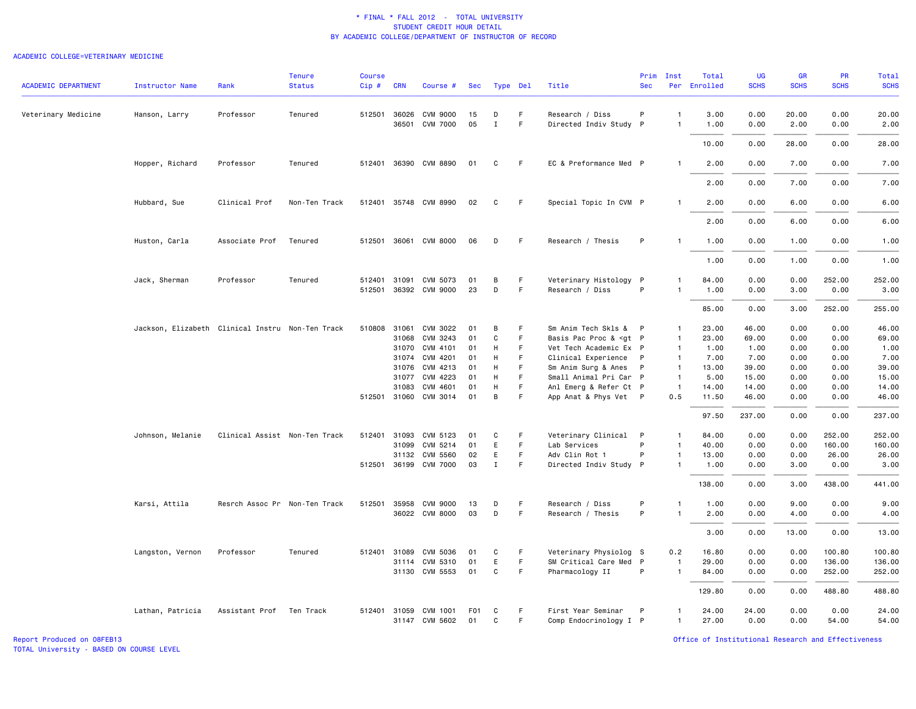### ACADEMIC COLLEGE=VETERINARY MEDICINE

| <b>ACADEMIC DEPARTMENT</b> | Instructor Name                                  | Rank                          | <b>Tenure</b><br><b>Status</b> | <b>Course</b><br>Cip# | <b>CRN</b>   | Course #              | Sec | Type Del    |             | Title                                                                                                                                               | Prim<br><b>Sec</b> | Inst           | Total<br>Per Enrolled | UG<br><b>SCHS</b> | <b>GR</b><br><b>SCHS</b> | PR<br><b>SCHS</b> | Total<br><b>SCHS</b> |
|----------------------------|--------------------------------------------------|-------------------------------|--------------------------------|-----------------------|--------------|-----------------------|-----|-------------|-------------|-----------------------------------------------------------------------------------------------------------------------------------------------------|--------------------|----------------|-----------------------|-------------------|--------------------------|-------------------|----------------------|
|                            |                                                  |                               |                                |                       |              |                       |     |             |             |                                                                                                                                                     |                    |                |                       |                   |                          |                   |                      |
| Veterinary Medicine        | Hanson, Larry                                    | Professor                     | Tenured                        |                       | 512501 36026 | CVM 9000              | 15  | D           | F.          | Research / Diss                                                                                                                                     | P                  | $\mathbf{1}$   | 3.00                  | 0.00              | 20.00                    | 0.00              | 20.00                |
|                            |                                                  |                               |                                |                       | 36501        | <b>CVM 7000</b>       | 05  | $\mathbf I$ | $\mathsf F$ | Directed Indiv Study P                                                                                                                              |                    | $\mathbf{1}$   | 1.00                  | 0.00              | 2.00                     | 0.00              | 2.00                 |
|                            |                                                  |                               |                                |                       |              |                       |     |             |             |                                                                                                                                                     |                    |                | 10.00                 | 0.00              | 28.00                    | 0.00              | 28.00                |
|                            | Hopper, Richard                                  | Professor                     | Tenured                        |                       |              | 512401 36390 CVM 8890 | 01  | C           | - F         | EC & Preformance Med P                                                                                                                              |                    | $\mathbf{1}$   | 2.00                  | 0.00              | 7.00                     | 0.00              | 7.00                 |
|                            |                                                  |                               |                                |                       |              |                       |     |             |             |                                                                                                                                                     |                    |                | 2.00                  | 0.00              | 7.00                     | 0.00              | 7.00                 |
|                            | Hubbard, Sue                                     | Clinical Prof                 | Non-Ten Track                  |                       |              | 512401 35748 CVM 8990 | 02  | C           | F           | Special Topic In CVM P                                                                                                                              |                    | $\mathbf{1}$   | 2.00                  | 0.00              | 6.00                     | 0.00              | 6.00                 |
|                            |                                                  |                               |                                |                       |              |                       |     |             |             |                                                                                                                                                     |                    |                | 2.00                  | 0.00              | 6.00                     | 0.00              | 6.00                 |
|                            | Huston, Carla                                    | Associate Prof                | Tenured                        |                       |              | 512501 36061 CVM 8000 | 06  | D           | - F         | Research / Thesis                                                                                                                                   | P                  | -1             | 1.00                  | 0.00              | 1.00                     | 0.00              | 1.00                 |
|                            |                                                  |                               |                                |                       |              |                       |     |             |             |                                                                                                                                                     |                    |                | 1.00                  | 0.00              | 1.00                     | 0.00              | 1.00                 |
|                            | Jack, Sherman                                    | Professor                     | Tenured                        | 512401                | 31091        | CVM 5073              | 01  | В           | F           | Veterinary Histology P                                                                                                                              |                    | 1              | 84.00                 | 0.00              | 0.00                     | 252.00            | 252.00               |
|                            |                                                  |                               |                                |                       |              | 512501 36392 CVM 9000 | 23  | D           | F.          | Research / Diss                                                                                                                                     | P                  | $\mathbf{1}$   | 1.00                  | 0.00              | 3.00                     | 0.00              | 3.00                 |
|                            |                                                  |                               |                                |                       |              |                       |     |             |             |                                                                                                                                                     |                    |                | 85.00                 | 0.00              | 3.00                     | 252.00            | 255.00               |
|                            | Jackson, Elizabeth Clinical Instru Non-Ten Track |                               |                                | 510808                | 31061        | CVM 3022              | 01  | В           | F           | Sm Anim Tech Skls & P                                                                                                                               |                    | $\mathbf{1}$   | 23.00                 | 46.00             | 0.00                     | 0.00              | 46.00                |
|                            |                                                  |                               |                                |                       | 31068        | CVM 3243              | 01  | C           | F           | Basis Pac Proc & <gt p<="" td=""><td></td><td><math>\mathbf{1}</math></td><td>23.00</td><td>69.00</td><td>0.00</td><td>0.00</td><td>69.00</td></gt> |                    | $\mathbf{1}$   | 23.00                 | 69.00             | 0.00                     | 0.00              | 69.00                |
|                            |                                                  |                               |                                |                       | 31070        | CVM 4101              | 01  | H           | F.          | Vet Tech Academic Ex P                                                                                                                              |                    | $\overline{1}$ | 1.00                  | 1.00              | 0.00                     | 0.00              | 1.00                 |
|                            |                                                  |                               |                                |                       | 31074        | CVM 4201              | 01  | H           | F.          | Clinical Experience                                                                                                                                 | $\mathsf{P}$       | $\overline{1}$ | 7.00                  | 7.00              | 0.00                     | 0.00              | 7.00                 |
|                            |                                                  |                               |                                |                       | 31076        | CVM 4213              | 01  | H           | F           | Sm Anim Surg & Anes P                                                                                                                               |                    | $\overline{1}$ | 13.00                 | 39.00             | 0.00                     | 0.00              | 39.00                |
|                            |                                                  |                               |                                |                       | 31077        | CVM 4223              | 01  | H           | F<br>F      | Small Animal Pri Car P                                                                                                                              |                    | $\mathbf{1}$   | 5.00                  | 15.00             | 0.00                     | 0.00              | 15.00                |
|                            |                                                  |                               |                                |                       | 31083        | CVM 4601              | 01  | H           |             | Anl Emerg & Refer Ct P                                                                                                                              |                    | $\overline{1}$ | 14.00                 | 14.00             | 0.00                     | 0.00              | 14.00                |
|                            |                                                  |                               |                                |                       |              | 512501 31060 CVM 3014 | 01  | В           | F           | App Anat & Phys Vet P                                                                                                                               |                    | 0.5            | 11.50                 | 46.00             | 0.00                     | 0.00              | 46.00                |
|                            |                                                  |                               |                                |                       |              |                       |     |             |             |                                                                                                                                                     |                    |                | 97.50                 | 237.00            | 0.00                     | 0.00              | 237.00               |
|                            | Johnson, Melanie                                 | Clinical Assist Non-Ten Track |                                |                       | 512401 31093 | CVM 5123              | 01  | C           | F           | Veterinary Clinical P                                                                                                                               |                    | $\mathbf{1}$   | 84.00                 | 0.00              | 0.00                     | 252.00            | 252.00               |
|                            |                                                  |                               |                                |                       | 31099        | CVM 5214              | 01  | E           | F           | Lab Services                                                                                                                                        | P                  | $\mathbf{1}$   | 40.00                 | 0.00              | 0.00                     | 160.00            | 160.00               |
|                            |                                                  |                               |                                |                       | 31132        | CVM 5560              | 02  | E           | F           | Adv Clin Rot 1                                                                                                                                      | P                  | $\mathbf{1}$   | 13.00                 | 0.00              | 0.00                     | 26.00             | 26.00                |
|                            |                                                  |                               |                                |                       |              | 512501 36199 CVM 7000 | 03  | $\mathbf I$ | F           | Directed Indiv Study P                                                                                                                              |                    | $\mathbf{1}$   | 1.00                  | 0.00              | 3.00                     | 0.00              | 3.00                 |
|                            |                                                  |                               |                                |                       |              |                       |     |             |             |                                                                                                                                                     |                    |                | 138.00                | 0.00              | 3.00                     | 438.00            | 441.00               |
|                            | Karsi, Attila                                    | Resrch Assoc Pr Non-Ten Track |                                | 512501                | 35958        | <b>CVM 9000</b>       | 13  | D           | F           | Research / Diss                                                                                                                                     | P                  | $\mathbf{1}$   | 1.00                  | 0.00              | 9.00                     | 0.00              | 9.00                 |
|                            |                                                  |                               |                                |                       |              | 36022 CVM 8000        | 03  | D           | F           | Research / Thesis                                                                                                                                   | P                  | $\mathbf{1}$   | 2.00                  | 0.00              | 4.00                     | 0.00              | 4.00                 |
|                            |                                                  |                               |                                |                       |              |                       |     |             |             |                                                                                                                                                     |                    |                | 3.00                  | 0.00              | 13.00                    | 0.00              | 13.00                |
|                            | Langston, Vernon                                 | Professor                     | Tenured                        | 512401                | 31089        | CVM 5036              | 01  | C           | -F          | Veterinary Physiolog S                                                                                                                              |                    | 0.2            | 16.80                 | 0.00              | 0.00                     | 100.80            | 100.80               |
|                            |                                                  |                               |                                |                       |              | 31114 CVM 5310        | 01  | E           | F.          | SM Critical Care Med P                                                                                                                              |                    | $\overline{1}$ | 29.00                 | 0.00              | 0.00                     | 136.00            | 136.00               |
|                            |                                                  |                               |                                |                       |              | 31130 CVM 5553        | 01  | C           | F.          | Pharmacology II                                                                                                                                     | P                  | $\overline{1}$ | 84.00                 | 0.00              | 0.00                     | 252.00            | 252.00               |
|                            |                                                  |                               |                                |                       |              |                       |     |             |             |                                                                                                                                                     |                    |                | 129.80                | 0.00              | 0.00                     | 488.80            | 488.80               |
|                            | Lathan, Patricia                                 | Assistant Prof                | Ten Track                      |                       |              | 512401 31059 CVM 1001 | F01 | C           | -F          | First Year Seminar                                                                                                                                  | $\mathsf{P}$       | $\mathbf{1}$   | 24.00                 | 24,00             | 0.00                     | 0.00              | 24.00                |
|                            |                                                  |                               |                                |                       |              | 31147 CVM 5602        | 01  | C           | F.          | Comp Endocrinology I P                                                                                                                              |                    | $\overline{1}$ | 27.00                 | 0.00              | 0.00                     | 54.00             | 54.00                |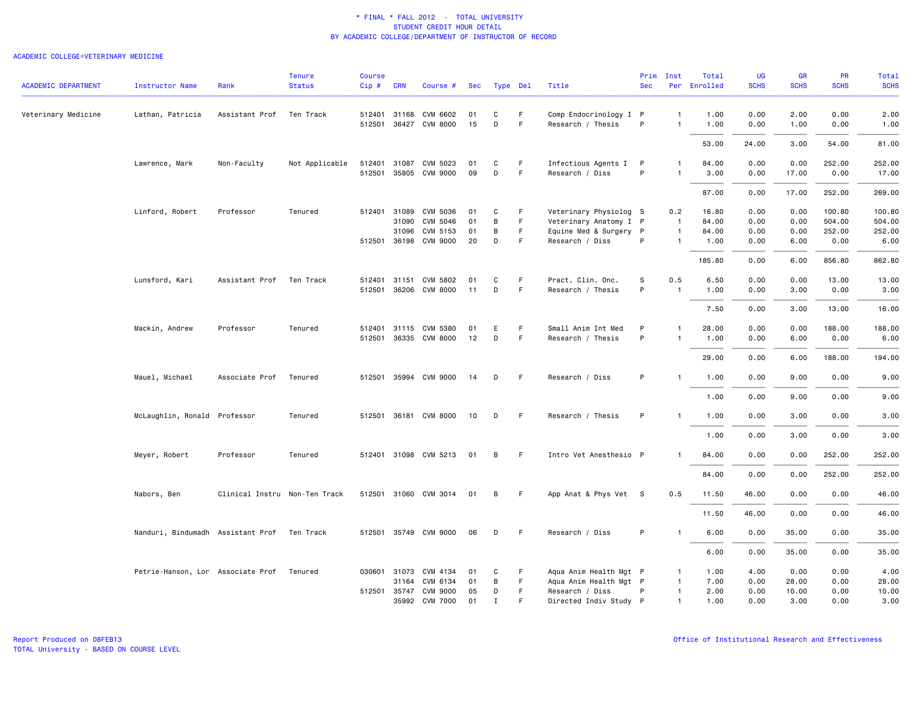|                            |                                   |                               | <b>Tenure</b>  | <b>Course</b> |              |                       |     |             |             |                        | Prim       | Inst           | Total        | <b>UG</b>   | <b>GR</b>   | PR          | Total       |
|----------------------------|-----------------------------------|-------------------------------|----------------|---------------|--------------|-----------------------|-----|-------------|-------------|------------------------|------------|----------------|--------------|-------------|-------------|-------------|-------------|
| <b>ACADEMIC DEPARTMENT</b> | <b>Instructor Name</b>            | Rank                          | <b>Status</b>  | Cip#          | <b>CRN</b>   | Course #              | Sec | Type Del    |             | Title                  | <b>Sec</b> |                | Per Enrolled | <b>SCHS</b> | <b>SCHS</b> | <b>SCHS</b> | <b>SCHS</b> |
| Veterinary Medicine        | Lathan, Patricia                  | Assistant Prof                | Ten Track      |               | 512401 31168 | CVM 6602              | 01  | C           | F           | Comp Endocrinology I P |            | $\mathbf{1}$   | 1.00         | 0.00        | 2.00        | 0.00        | 2.00        |
|                            |                                   |                               |                |               |              | 512501 36427 CVM 8000 | 15  | D           | F.          | Research / Thesis      | P          | $\mathbf{1}$   | 1.00         | 0.00        | 1.00        | 0.00        | 1.00        |
|                            |                                   |                               |                |               |              |                       |     |             |             |                        |            |                | 53.00        | 24.00       | 3.00        | 54.00       | 81.00       |
|                            | Lawrence, Mark                    | Non-Faculty                   | Not Applicable |               |              | 512401 31087 CVM 5023 | 01  | C           | F.          | Infectious Agents I    | P          | -1             | 84.00        | 0.00        | 0.00        | 252.00      | 252.00      |
|                            |                                   |                               |                |               |              | 512501 35805 CVM 9000 | 09  | D           | $\mathsf F$ | Research / Diss        | P          | $\mathbf{1}$   | 3.00         | 0.00        | 17.00       | 0.00        | 17.00       |
|                            |                                   |                               |                |               |              |                       |     |             |             |                        |            |                | 87.00        | 0.00        | 17.00       | 252.00      | 269.00      |
|                            | Linford, Robert                   | Professor                     | Tenured        |               | 512401 31089 | CVM 5036              | 01  | C           | F           | Veterinary Physiolog S |            | 0.2            | 16.80        | 0.00        | 0.00        | 100.80      | 100.80      |
|                            |                                   |                               |                |               | 31090        | CVM 5046              | 01  | В           | F           | Veterinary Anatomy I P |            | $\overline{1}$ | 84.00        | 0.00        | 0.00        | 504.00      | 504.00      |
|                            |                                   |                               |                |               | 31096        | CVM 5153              | 01  | В           | F           | Equine Med & Surgery P |            | $\overline{1}$ | 84.00        | 0.00        | 0.00        | 252.00      | 252.00      |
|                            |                                   |                               |                |               | 512501 36198 | CVM 9000              | 20  | D           | F           | Research / Diss        | P          | $\mathbf{1}$   | 1.00         | 0.00        | 6.00        | 0.00        | 6.00        |
|                            |                                   |                               |                |               |              |                       |     |             |             |                        |            |                | 185.80       | 0.00        | 6.00        | 856.80      | 862.80      |
|                            | Lunsford, Kari                    | Assistant Prof                | Ten Track      |               | 512401 31151 | CVM 5802              | 01  | C           | F.          | Pract. Clin. Onc.      | s          | 0.5            | 6.50         | 0.00        | 0.00        | 13.00       | 13.00       |
|                            |                                   |                               |                |               | 512501 36206 | <b>CVM 8000</b>       | 11  | D           | F           | Research / Thesis      | P          | $\overline{1}$ | 1.00         | 0.00        | 3.00        | 0.00        | 3.00        |
|                            |                                   |                               |                |               |              |                       |     |             |             |                        |            |                |              |             |             |             |             |
|                            |                                   |                               |                |               |              |                       |     |             |             |                        |            |                | 7.50         | 0.00        | 3.00        | 13.00       | 16.00       |
|                            | Mackin, Andrew                    | Professor                     | Tenured        |               |              | 512401 31115 CVM 5380 | 01  | Ε           | F           | Small Anim Int Med     | P          | $\mathbf{1}$   | 28.00        | 0.00        | 0.00        | 188.00      | 188.00      |
|                            |                                   |                               |                |               |              | 512501 36335 CVM 8000 | 12  | D           | F.          | Research / Thesis      | P          | $\mathbf{1}$   | 1.00         | 0.00        | 6.00        | 0.00        | 6.00        |
|                            |                                   |                               |                |               |              |                       |     |             |             |                        |            |                | 29.00        | 0.00        | 6.00        | 188.00      | 194.00      |
|                            | Mauel, Michael                    | Associate Prof                | Tenured        |               |              | 512501 35994 CVM 9000 | -14 | D           | -F          | Research / Diss        | P          | -1             | 1.00         | 0.00        | 9.00        | 0.00        | 9.00        |
|                            |                                   |                               |                |               |              |                       |     |             |             |                        |            |                | 1.00         | 0.00        | 9.00        | 0.00        | 9.00        |
|                            | McLaughlin, Ronald Professor      |                               | Tenured        |               |              | 512501 36181 CVM 8000 | 10  | D           | F           | Research / Thesis      | P          | -1             | 1.00         | 0.00        | 3.00        | 0.00        | 3.00        |
|                            |                                   |                               |                |               |              |                       |     |             |             |                        |            |                | 1.00         | 0.00        | 3.00        | 0.00        | 3.00        |
|                            |                                   |                               |                |               |              |                       |     |             |             |                        |            |                |              |             |             |             |             |
|                            | Meyer, Robert                     | Professor                     | Tenured        |               |              | 512401 31098 CVM 5213 | 01  | В           | - F         | Intro Vet Anesthesio P |            | -1             | 84.00        | 0.00        | 0.00        | 252.00      | 252.00      |
|                            |                                   |                               |                |               |              |                       |     |             |             |                        |            |                | 84.00        | 0.00        | 0.00        | 252.00      | 252.00      |
|                            | Nabors, Ben                       | Clinical Instru Non-Ten Track |                |               |              | 512501 31060 CVM 3014 | 01  | В           | -F          | App Anat & Phys Vet S  |            | 0.5            | 11.50        | 46.00       | 0.00        | 0.00        | 46.00       |
|                            |                                   |                               |                |               |              |                       |     |             |             |                        |            |                | 11.50        | 46.00       | 0.00        | 0.00        | 46.00       |
|                            | Nanduri, Bindumadh Assistant Prof |                               | Ten Track      |               |              | 512501 35749 CVM 9000 | 06  | D           | -F          | Research / Diss        | P          | $\overline{1}$ | 6.00         | 0.00        | 35.00       | 0.00        | 35.00       |
|                            |                                   |                               |                |               |              |                       |     |             |             |                        |            |                | 6.00         | 0.00        | 35.00       | 0.00        | 35.00       |
|                            | Petrie-Hanson, Lor Associate Prof |                               | Tenured        |               | 030601 31073 | CVM 4134              | 01  | C           | F           | Aqua Anim Health Mgt P |            | -1             | 1.00         | 4.00        | 0.00        | 0.00        | 4.00        |
|                            |                                   |                               |                |               | 31164        | CVM 6134              | 01  | В           | -F          | Aqua Anim Health Mgt P |            | $\overline{1}$ | 7.00         | 0.00        | 28.00       | 0.00        | 28.00       |
|                            |                                   |                               |                |               | 512501 35747 | CVM 9000              | 05  | D           | $\mathsf F$ | Research / Diss        | P          | $\mathbf{1}$   | 2.00         | 0.00        | 10.00       | 0.00        | 10.00       |
|                            |                                   |                               |                |               |              | 35992 CVM 7000        | 01  | $\mathbf I$ | F           | Directed Indiv Study P |            | $\mathbf{1}$   | 1.00         | 0.00        | 3.00        | 0.00        | 3.00        |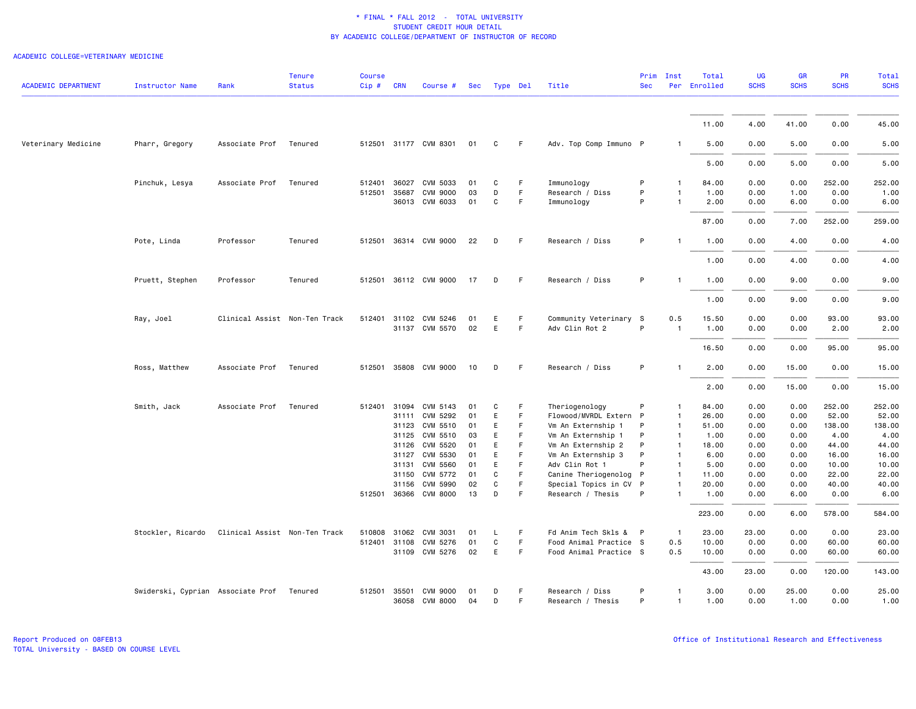| <b>ACADEMIC DEPARTMENT</b> | <b>Instructor Name</b>                    | Rank                          | <b>Tenure</b><br><b>Status</b> | <b>Course</b><br>$Cip \#$ | <b>CRN</b>     | Course #                          | Sec      | Type Del |          | Title                                          | Prim<br><b>Sec</b> | Inst                         | Total<br>Per Enrolled | <b>UG</b><br><b>SCHS</b> | <b>GR</b><br><b>SCHS</b> | <b>PR</b><br><b>SCHS</b> | Total<br><b>SCHS</b> |
|----------------------------|-------------------------------------------|-------------------------------|--------------------------------|---------------------------|----------------|-----------------------------------|----------|----------|----------|------------------------------------------------|--------------------|------------------------------|-----------------------|--------------------------|--------------------------|--------------------------|----------------------|
|                            |                                           |                               |                                |                           |                |                                   |          |          |          |                                                |                    |                              |                       |                          |                          |                          |                      |
|                            |                                           |                               |                                |                           |                |                                   |          |          |          |                                                |                    |                              | 11.00                 | 4.00                     | 41.00                    | 0.00                     | 45.00                |
| Veterinary Medicine        | Pharr, Gregory                            | Associate Prof                | Tenured                        |                           |                | 512501 31177 CVM 8301             | 01       | C        | F.       | Adv. Top Comp Immuno P                         |                    | $\mathbf{1}$                 | 5.00                  | 0.00                     | 5.00                     | 0.00                     | 5.00                 |
|                            |                                           |                               |                                |                           |                |                                   |          |          |          |                                                |                    |                              | 5.00                  | 0.00                     | 5.00                     | 0.00                     | 5.00                 |
|                            | Pinchuk, Lesya                            | Associate Prof                | Tenured                        | 512401                    | 36027          | CVM 5033                          | 01       | C        | F.       | Immunology                                     | P                  | -1                           | 84.00                 | 0.00                     | 0.00                     | 252.00                   | 252.00               |
|                            |                                           |                               |                                | 512501 35687              |                | <b>CVM 9000</b><br>36013 CVM 6033 | 03<br>01 | D<br>C   | F<br>F   | Research / Diss<br>Immunology                  | P<br>P             | $\mathbf{1}$                 | 1.00<br>2.00          | 0.00<br>0.00             | 1.00<br>6.00             | 0.00<br>0.00             | 1.00<br>6.00         |
|                            |                                           |                               |                                |                           |                |                                   |          |          |          |                                                |                    |                              | 87.00                 | 0.00                     | 7.00                     | 252.00                   | 259.00               |
|                            | Pote, Linda                               | Professor                     | Tenured                        |                           |                | 512501 36314 CVM 9000             | 22       | D        | F.       | Research / Diss                                | P                  |                              | 1.00                  | 0.00                     | 4.00                     | 0.00                     | 4.00                 |
|                            |                                           |                               |                                |                           |                |                                   |          |          |          |                                                |                    |                              | 1.00                  | 0.00                     | 4.00                     | 0.00                     | 4.00                 |
|                            | Pruett, Stephen                           | Professor                     | Tenured                        |                           |                | 512501 36112 CVM 9000             | 17       | D        | F.       | Research / Diss                                | P                  | $\mathbf{1}$                 | 1.00                  | 0.00                     | 9.00                     | 0.00                     | 9.00                 |
|                            |                                           |                               |                                |                           |                |                                   |          |          |          |                                                |                    |                              | 1.00                  | 0.00                     | 9.00                     | 0.00                     | 9.00                 |
|                            |                                           |                               |                                |                           |                |                                   |          |          |          |                                                |                    |                              |                       |                          |                          |                          |                      |
|                            | Ray, Joel                                 | Clinical Assist Non-Ten Track |                                | 512401 31102              |                | CVM 5246<br>31137 CVM 5570        | 01<br>02 | E<br>E.  | F.<br>F. | Community Veterinary S<br>Adv Clin Rot 2       | P                  | 0.5<br>$\overline{1}$        | 15.50<br>1.00         | 0.00<br>0.00             | 0.00<br>0.00             | 93.00<br>2.00            | 93.00<br>2.00        |
|                            |                                           |                               |                                |                           |                |                                   |          |          |          |                                                |                    |                              | 16.50                 | 0.00                     | 0.00                     | 95.00                    | 95.00                |
|                            | Ross, Matthew                             | Associate Prof Tenured        |                                |                           |                | 512501 35808 CVM 9000             | 10       | D        | F        | Research / Diss                                | P                  | $\mathbf{1}$                 | 2.00                  | 0.00                     | 15.00                    | 0.00                     | 15.00                |
|                            |                                           |                               |                                |                           |                |                                   |          |          |          |                                                |                    |                              | 2.00                  | 0.00                     | 15.00                    | 0.00                     | 15.00                |
|                            | Smith, Jack                               | Associate Prof                | Tenured                        | 512401 31094              |                | CVM 5143                          | 01       | C        | F        | Theriogenology                                 | P                  | $\mathbf{1}$                 | 84.00                 | 0.00                     | 0.00                     | 252.00                   | 252.00               |
|                            |                                           |                               |                                |                           | 31111          | CVM 5292                          | 01       | E        | F        | Flowood/MVRDL Extern P                         |                    | $\mathbf{1}$                 | 26.00                 | 0.00                     | 0.00                     | 52.00                    | 52.00                |
|                            |                                           |                               |                                |                           | 31123          | CVM 5510                          | 01       | E        | F.       | Vm An Externship 1                             | P                  | $\overline{1}$               | 51.00                 | 0.00                     | 0.00                     | 138.00                   | 138.00               |
|                            |                                           |                               |                                |                           |                | 31125 CVM 5510                    | 03       | E        | F        | Vm An Externship 1                             | P                  | $\mathbf{1}$                 | 1.00                  | 0.00                     | 0.00                     | 4.00                     | 4.00                 |
|                            |                                           |                               |                                |                           | 31126          | CVM 5520                          | 01       | E        | F        | Vm An Externship 2                             | P                  | $\mathbf{1}$                 | 18.00                 | 0.00                     | 0.00                     | 44.00                    | 44.00                |
|                            |                                           |                               |                                |                           | 31127          | CVM 5530                          | 01       | E        | F        | Vm An Externship 3                             | P                  | $\overline{1}$               | 6.00                  | 0.00                     | 0.00                     | 16.00                    | 16.00                |
|                            |                                           |                               |                                |                           | 31131<br>31150 | CVM 5560<br>CVM 5772              | 01<br>01 | E<br>C   | F<br>F.  | Adv Clin Rot 1                                 | P<br>$\mathsf{P}$  | $\mathbf{1}$<br>$\mathbf{1}$ | 5.00<br>11.00         | 0.00<br>0.00             | 0.00<br>0.00             | 10.00<br>22.00           | 10.00<br>22.00       |
|                            |                                           |                               |                                |                           | 31156          | CVM 5990                          | 02       | C        | F        | Canine Theriogenolog<br>Special Topics in CV P |                    | $\mathbf{1}$                 | 20.00                 | 0.00                     | 0.00                     | 40.00                    | 40.00                |
|                            |                                           |                               |                                |                           |                | 512501 36366 CVM 8000             | 13       | D        | F        | Research / Thesis                              | P                  | $\mathbf{1}$                 | 1.00                  | 0.00                     | 6.00                     | 0.00                     | 6.00                 |
|                            |                                           |                               |                                |                           |                |                                   |          |          |          |                                                |                    |                              | 223.00                | 0.00                     | 6.00                     | 578.00                   | 584.00               |
|                            | Stockler, Ricardo                         | Clinical Assist Non-Ten Track |                                | 510808                    | 31062          | CVM 3031                          | 01       | L.       | F        | Fd Anim Tech Skls & P                          |                    | $\overline{1}$               | 23.00                 | 23.00                    | 0.00                     | 0.00                     | 23.00                |
|                            |                                           |                               |                                | 512401 31108              |                | CVM 5276                          | 01       | C        | F.       | Food Animal Practice S                         |                    | 0.5                          | 10.00                 | 0.00                     | 0.00                     | 60.00                    | 60.00                |
|                            |                                           |                               |                                |                           |                | 31109 CVM 5276                    | 02       | E        | F        | Food Animal Practice S                         |                    | 0.5                          | 10.00                 | 0.00                     | 0.00                     | 60.00                    | 60.00                |
|                            |                                           |                               |                                |                           |                |                                   |          |          |          |                                                |                    |                              | 43.00                 | 23.00                    | 0.00                     | 120.00                   | 143.00               |
|                            | Swiderski, Cyprian Associate Prof Tenured |                               |                                | 512501 35501              |                | <b>CVM 9000</b><br>36058 CVM 8000 | 01<br>04 | D<br>D   | F<br>F.  | Research / Diss<br>Research / Thesis           | P<br>P             | $\mathbf{1}$<br>$\mathbf{1}$ | 3.00<br>1.00          | 0.00<br>0.00             | 25.00<br>1.00            | 0.00<br>0.00             | 25.00<br>1.00        |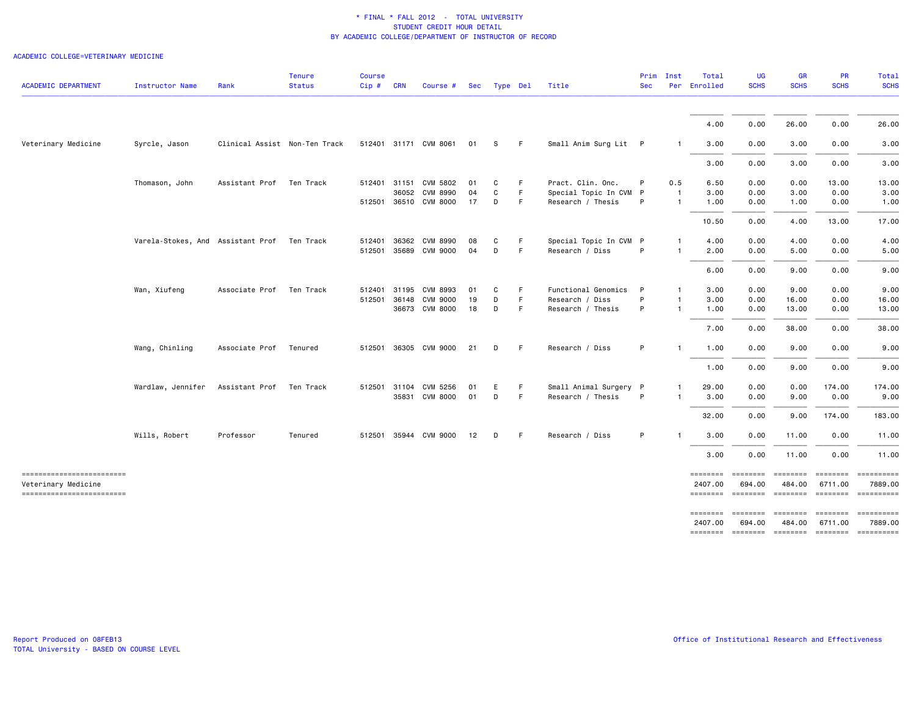| <b>ACADEMIC DEPARTMENT</b>                                                     | <b>Instructor Name</b>                      | Rank                          | <b>Tenure</b><br><b>Status</b> | <b>Course</b><br>$Cip \#$ | <b>CRN</b> | Course #                                | Sec      | Type Del |          | Title                                       | <b>Sec</b> | Prim Inst                    | Total<br>Per Enrolled      | <b>UG</b><br><b>SCHS</b>  | <b>GR</b><br><b>SCHS</b>  | <b>PR</b><br><b>SCHS</b> | Total<br><b>SCHS</b>    |
|--------------------------------------------------------------------------------|---------------------------------------------|-------------------------------|--------------------------------|---------------------------|------------|-----------------------------------------|----------|----------|----------|---------------------------------------------|------------|------------------------------|----------------------------|---------------------------|---------------------------|--------------------------|-------------------------|
|                                                                                |                                             |                               |                                |                           |            |                                         |          |          |          |                                             |            |                              | 4.00                       | 0.00                      | 26.00                     | 0.00                     | 26.00                   |
| Veterinary Medicine                                                            | Syrcle, Jason                               | Clinical Assist Non-Ten Track |                                |                           |            | 512401 31171 CVM 8061                   | 01       | s        | F.       | Small Anim Surg Lit P                       |            | -1                           | 3.00                       | 0.00                      | 3.00                      | 0.00                     | 3.00                    |
|                                                                                |                                             |                               |                                |                           |            |                                         |          |          |          |                                             |            |                              | 3.00                       | 0.00                      | 3.00                      | 0.00                     | 3.00                    |
|                                                                                | Thomason, John                              | Assistant Prof Ten Track      |                                |                           |            | 512401 31151 CVM 5802<br>36052 CVM 8990 | 01<br>04 | C<br>C   | F.<br>F. | Pract. Clin. Onc.                           | P          | 0.5<br>$\blacksquare$        | 6.50<br>3.00               | 0.00<br>0.00              | 0.00<br>3.00              | 13.00<br>0.00            | 13.00                   |
|                                                                                |                                             |                               |                                |                           |            | 512501 36510 CVM 8000                   | 17       | D        | F.       | Special Topic In CVM P<br>Research / Thesis | P          | -1                           | 1.00                       | 0.00                      | 1.00                      | 0.00                     | 3.00<br>1.00            |
|                                                                                |                                             |                               |                                |                           |            |                                         |          |          |          |                                             |            |                              | 10.50                      | 0.00                      | 4.00                      | 13.00                    | 17.00                   |
|                                                                                | Varela-Stokes, And Assistant Prof Ten Track |                               |                                | 512401 36362              |            | CVM 8990<br>512501 35689 CVM 9000       | 08<br>04 | C<br>D   | F.<br>F. | Special Topic In CVM P<br>Research / Diss   | P          | $\mathbf{1}$<br>$\mathbf{1}$ | 4.00<br>2.00               | 0.00<br>0.00              | 4.00<br>5.00              | 0.00<br>0.00             | 4.00<br>5.00            |
|                                                                                |                                             |                               |                                |                           |            |                                         |          |          |          |                                             |            |                              | 6.00                       | 0.00                      | 9.00                      | 0.00                     | 9.00                    |
|                                                                                | Wan, Xiufeng                                | Associate Prof                | Ten Track                      | 512401<br>512501 36148    | 31195      | CVM 8993<br>CVM 9000                    | 01<br>19 | C<br>D   | F.<br>F. | Functional Genomics<br>Research / Diss      | P<br>P     | $\mathbf{1}$<br>$\mathbf{1}$ | 3.00<br>3.00               | 0.00<br>0.00              | 9.00<br>16.00             | 0.00<br>0.00             | 9.00<br>16.00           |
|                                                                                |                                             |                               |                                |                           |            | 36673 CVM 8000                          | 18       | D        | F.       | Research / Thesis                           | P          | $\mathbf{1}$                 | 1.00                       | 0.00                      | 13.00                     | 0.00                     | 13.00                   |
|                                                                                |                                             |                               |                                |                           |            |                                         |          |          |          |                                             | P          | $\mathbf{1}$                 | 7.00<br>1.00               | 0.00<br>0.00              | 38.00<br>9.00             | 0.00                     | 38.00                   |
|                                                                                | Wang, Chinling                              | Associate Prof                | Tenured                        |                           |            | 512501 36305 CVM 9000                   | 21       | D        | F.       | Research / Diss                             |            |                              | 1.00                       | 0.00                      | 9.00                      | 0.00<br>0.00             | 9.00<br>9.00            |
|                                                                                | Wardlaw, Jennifer                           | Assistant Prof                | Ten Track                      | 512501 31104              |            | CVM 5256                                | 01       | E        | F.       | Small Animal Surgery P                      |            | $\mathbf{1}$                 | 29.00                      | 0.00                      | 0.00                      | 174.00                   | 174.00                  |
|                                                                                |                                             |                               |                                |                           |            | 35831 CVM 8000                          | 01       | D        | F        | Research / Thesis                           | P          | $\mathbf{1}$                 | 3.00                       | 0.00                      | 9.00                      | 0.00                     | 9.00                    |
|                                                                                |                                             |                               |                                |                           |            |                                         |          |          |          |                                             |            |                              | 32.00                      | 0.00                      | 9.00                      | 174.00                   | 183.00                  |
|                                                                                | Wills, Robert                               | Professor                     | Tenured                        |                           |            | 512501 35944 CVM 9000                   | 12       | D        | F.       | Research / Diss                             | P          |                              | 3.00                       | 0.00                      | 11.00                     | 0.00                     | 11.00                   |
|                                                                                |                                             |                               |                                |                           |            |                                         |          |          |          |                                             |            |                              | 3.00                       | 0.00                      | 11.00                     | 0.00                     | 11.00                   |
| -------------------------<br>Veterinary Medicine<br>-------------------------- |                                             |                               |                                |                           |            |                                         |          |          |          |                                             |            |                              | ========<br>2407.00        | <b>EDEDEDED</b><br>694.00 | <b>EDEDEDED</b><br>484.00 | 6711.00                  | 7889.00                 |
|                                                                                |                                             |                               |                                |                           |            |                                         |          |          |          |                                             |            |                              | <b>ESSESSES</b><br>2407.00 | $=$ ========<br>694.00    | $=$ ========<br>484.00    | ========<br>6711.00      | - ==========<br>7889.00 |